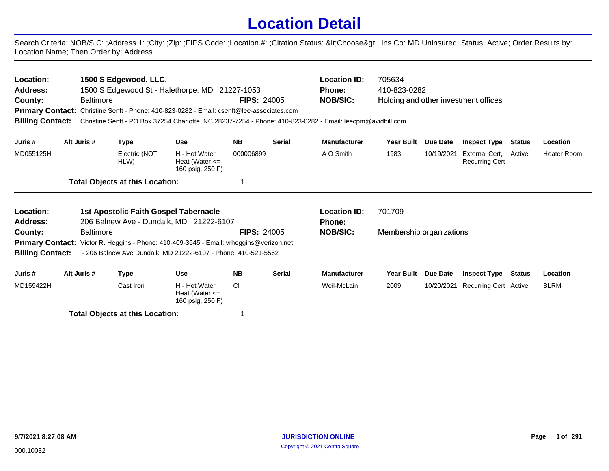## **Location Detail**

Search Criteria: NOB/SIC: ;Address 1: ;City: ;Zip: ;FIPS Code: ;Location #: ;Citation Status: <Choose&gt;; Ins Co: MD Uninsured; Status: Active; Order Results by: Location Name; Then Order by: Address

| Location:<br><b>Address:</b><br>County:<br><b>Billing Contact:</b> | <b>Baltimore</b>                                                                                                                                                                                                                                                                   | 1500 S Edgewood, LLC.<br>1500 S Edgewood St - Halethorpe, MD 21227-1053<br>Primary Contact: Christine Senft - Phone: 410-823-0282 - Email: csenft@lee-associates.com<br>Christine Senft - PO Box 37254 Charlotte, NC 28237-7254 - Phone: 410-823-0282 - Email: leecpm@avidbill.com |                                                         | <b>FIPS: 24005</b> |               | <b>Location ID:</b><br><b>Phone:</b><br><b>NOB/SIC:</b> | 705634<br>410-823-0282<br>Holding and other investment offices |            |                                         |               |                    |
|--------------------------------------------------------------------|------------------------------------------------------------------------------------------------------------------------------------------------------------------------------------------------------------------------------------------------------------------------------------|------------------------------------------------------------------------------------------------------------------------------------------------------------------------------------------------------------------------------------------------------------------------------------|---------------------------------------------------------|--------------------|---------------|---------------------------------------------------------|----------------------------------------------------------------|------------|-----------------------------------------|---------------|--------------------|
| Juris #                                                            | Alt Juris #                                                                                                                                                                                                                                                                        | <b>Type</b>                                                                                                                                                                                                                                                                        | <b>Use</b>                                              | <b>NB</b>          | <b>Serial</b> | <b>Manufacturer</b>                                     | <b>Year Built</b>                                              | Due Date   | <b>Inspect Type</b>                     | <b>Status</b> | Location           |
| MD055125H                                                          |                                                                                                                                                                                                                                                                                    | Electric (NOT<br>HLW)                                                                                                                                                                                                                                                              | H - Hot Water<br>Heat (Water $\leq$<br>160 psig, 250 F) | 000006899          |               | A O Smith                                               | 1983                                                           | 10/19/2021 | External Cert.<br><b>Recurring Cert</b> | Active        | <b>Heater Room</b> |
|                                                                    |                                                                                                                                                                                                                                                                                    | <b>Total Objects at this Location:</b>                                                                                                                                                                                                                                             |                                                         |                    |               |                                                         |                                                                |            |                                         |               |                    |
| Location:<br><b>Address:</b>                                       | <b>1st Apostolic Faith Gospel Tabernacle</b>                                                                                                                                                                                                                                       |                                                                                                                                                                                                                                                                                    |                                                         |                    |               | <b>Location ID:</b><br>Phone:                           | 701709                                                         |            |                                         |               |                    |
| County:                                                            | 206 Balnew Ave - Dundalk, MD 21222-6107<br><b>FIPS: 24005</b><br><b>Baltimore</b><br><b>Primary Contact:</b><br>Victor R. Heggins - Phone: 410-409-3645 - Email: vrheggins@verizon.net<br><b>Billing Contact:</b><br>- 206 Balnew Ave Dundalk, MD 21222-6107 - Phone: 410-521-5562 |                                                                                                                                                                                                                                                                                    |                                                         |                    |               |                                                         | Membership organizations                                       |            |                                         |               |                    |
| Juris #                                                            | Alt Juris #                                                                                                                                                                                                                                                                        | <b>Type</b>                                                                                                                                                                                                                                                                        | <b>Use</b>                                              | <b>NB</b>          | <b>Serial</b> | <b>Manufacturer</b>                                     | <b>Year Built</b>                                              | Due Date   | <b>Inspect Type</b>                     | <b>Status</b> | Location           |
| MD159422H                                                          |                                                                                                                                                                                                                                                                                    | Cast Iron                                                                                                                                                                                                                                                                          | H - Hot Water<br>Heat (Water $\leq$<br>160 psig, 250 F) | <b>CI</b>          |               | Weil-McLain                                             | 2009                                                           | 10/20/2021 | <b>Recurring Cert Active</b>            |               | <b>BLRM</b>        |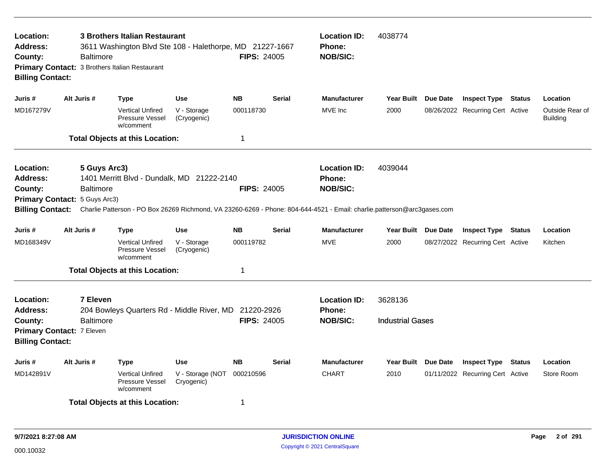| Location:<br><b>Address:</b><br>County:<br><b>Billing Contact:</b> | <b>Baltimore</b>                                                                                                                         | <b>3 Brothers Italian Restaurant</b><br>3611 Washington Blvd Ste 108 - Halethorpe, MD 21227-1667<br>Primary Contact: 3 Brothers Italian Restaurant |                                | <b>FIPS: 24005</b> | <b>Location ID:</b><br><b>Phone:</b><br><b>NOB/SIC:</b>                                                                                                                     | 4038774                                                 |                                    |                                  |                                    |
|--------------------------------------------------------------------|------------------------------------------------------------------------------------------------------------------------------------------|----------------------------------------------------------------------------------------------------------------------------------------------------|--------------------------------|--------------------|-----------------------------------------------------------------------------------------------------------------------------------------------------------------------------|---------------------------------------------------------|------------------------------------|----------------------------------|------------------------------------|
| Juris #                                                            | Alt Juris #                                                                                                                              | Type                                                                                                                                               | Use                            | <b>NB</b>          | <b>Serial</b>                                                                                                                                                               | <b>Manufacturer</b>                                     | Year Built Due Date                | <b>Inspect Type Status</b>       | Location                           |
| MD167279V                                                          |                                                                                                                                          | <b>Vertical Unfired</b><br>Pressure Vessel<br>w/comment                                                                                            | V - Storage<br>(Cryogenic)     | 000118730          |                                                                                                                                                                             | MVE Inc                                                 | 2000                               | 08/26/2022 Recurring Cert Active | Outside Rear of<br><b>Building</b> |
|                                                                    |                                                                                                                                          | <b>Total Objects at this Location:</b>                                                                                                             |                                | 1                  |                                                                                                                                                                             |                                                         |                                    |                                  |                                    |
| Location:<br>Address:<br>County:<br><b>Billing Contact:</b>        | 5 Guys Arc3)<br><b>Baltimore</b><br>Primary Contact: 5 Guys Arc3)                                                                        | 1401 Merritt Blvd - Dundalk, MD 21222-2140                                                                                                         |                                | <b>FIPS: 24005</b> | <b>Location ID:</b><br>Phone:<br><b>NOB/SIC:</b><br>Charlie Patterson - PO Box 26269 Richmond, VA 23260-6269 - Phone: 804-644-4521 - Email: charlie.patterson@arc3gases.com | 4039044                                                 |                                    |                                  |                                    |
| Juris #                                                            | Alt Juris #                                                                                                                              | Type                                                                                                                                               | <b>Use</b>                     | <b>NB</b>          | <b>Serial</b>                                                                                                                                                               | <b>Manufacturer</b>                                     | Year Built Due Date                | <b>Inspect Type Status</b>       | Location                           |
| MD168349V                                                          |                                                                                                                                          | <b>Vertical Unfired</b><br>Pressure Vessel<br>w/comment                                                                                            | V - Storage<br>(Cryogenic)     | 000119782          |                                                                                                                                                                             | MVE                                                     | 2000                               | 08/27/2022 Recurring Cert Active | Kitchen                            |
|                                                                    |                                                                                                                                          | <b>Total Objects at this Location:</b>                                                                                                             |                                | $\mathbf 1$        |                                                                                                                                                                             |                                                         |                                    |                                  |                                    |
| Location:<br>Address:<br>County:<br><b>Billing Contact:</b>        | 7 Eleven<br>204 Bowleys Quarters Rd - Middle River, MD 21220-2926<br><b>FIPS: 24005</b><br><b>Baltimore</b><br>Primary Contact: 7 Eleven |                                                                                                                                                    |                                |                    |                                                                                                                                                                             | <b>Location ID:</b><br><b>Phone:</b><br><b>NOB/SIC:</b> | 3628136<br><b>Industrial Gases</b> |                                  |                                    |
| Juris #                                                            | Alt Juris #                                                                                                                              | Type                                                                                                                                               | Use                            | <b>NB</b>          | <b>Serial</b>                                                                                                                                                               | <b>Manufacturer</b>                                     | Year Built Due Date                | <b>Inspect Type Status</b>       | Location                           |
| MD142891V                                                          |                                                                                                                                          | <b>Vertical Unfired</b><br>Pressure Vessel<br>w/comment                                                                                            | V - Storage (NOT<br>Cryogenic) | 000210596          |                                                                                                                                                                             | <b>CHART</b>                                            | 2010                               | 01/11/2022 Recurring Cert Active | Store Room                         |
|                                                                    |                                                                                                                                          | <b>Total Objects at this Location:</b>                                                                                                             |                                | -1                 |                                                                                                                                                                             |                                                         |                                    |                                  |                                    |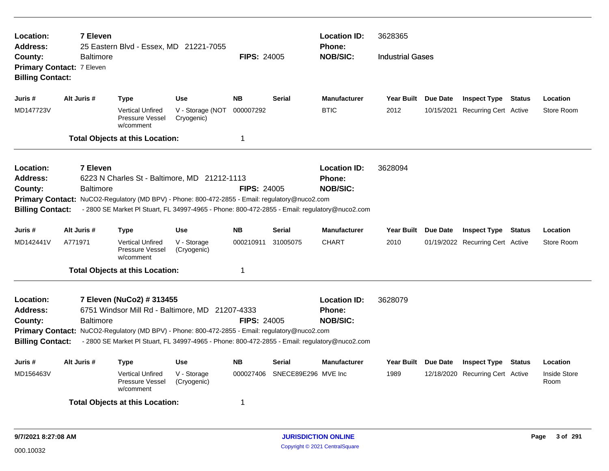| Location:<br>Address:                                              | 7 Eleven                                                                                                                                                                | 25 Eastern Blvd - Essex, MD 21221-7055                                                                                                                                                                                                                                          |                                |                    |                     | <b>Location ID:</b><br><b>Phone:</b>                    | 3628365                 |                                  |        |                             |
|--------------------------------------------------------------------|-------------------------------------------------------------------------------------------------------------------------------------------------------------------------|---------------------------------------------------------------------------------------------------------------------------------------------------------------------------------------------------------------------------------------------------------------------------------|--------------------------------|--------------------|---------------------|---------------------------------------------------------|-------------------------|----------------------------------|--------|-----------------------------|
| County:<br><b>Billing Contact:</b>                                 | <b>Baltimore</b><br>Primary Contact: 7 Eleven                                                                                                                           |                                                                                                                                                                                                                                                                                 |                                | <b>FIPS: 24005</b> |                     | <b>NOB/SIC:</b>                                         | <b>Industrial Gases</b> |                                  |        |                             |
| Juris #                                                            | Alt Juris #                                                                                                                                                             | Type                                                                                                                                                                                                                                                                            | <b>Use</b>                     | <b>NB</b>          | <b>Serial</b>       | <b>Manufacturer</b>                                     | Year Built Due Date     | <b>Inspect Type Status</b>       |        | Location                    |
| MD147723V                                                          |                                                                                                                                                                         | <b>Vertical Unfired</b><br>Pressure Vessel<br>w/comment                                                                                                                                                                                                                         | V - Storage (NOT<br>Cryogenic) | 000007292          |                     | <b>BTIC</b>                                             | 2012                    | 10/15/2021 Recurring Cert Active |        | Store Room                  |
|                                                                    |                                                                                                                                                                         | <b>Total Objects at this Location:</b>                                                                                                                                                                                                                                          |                                | 1                  |                     |                                                         |                         |                                  |        |                             |
| Location:<br><b>Address:</b>                                       | 7 Eleven<br>6223 N Charles St - Baltimore, MD 21212-1113<br>Baltimore<br><b>FIPS: 24005</b>                                                                             |                                                                                                                                                                                                                                                                                 |                                |                    |                     |                                                         | 3628094                 |                                  |        |                             |
| County:<br><b>Primary Contact:</b><br><b>Billing Contact:</b>      |                                                                                                                                                                         | NuCO2-Regulatory (MD BPV) - Phone: 800-472-2855 - Email: regulatory@nuco2.com                                                                                                                                                                                                   |                                |                    |                     | <b>NOB/SIC:</b>                                         |                         |                                  |        |                             |
| Juris #                                                            | - 2800 SE Market PI Stuart, FL 34997-4965 - Phone: 800-472-2855 - Email: regulatory@nuco2.com<br>Alt Juris #<br><b>NB</b><br><b>Type</b><br><b>Use</b><br><b>Serial</b> |                                                                                                                                                                                                                                                                                 |                                |                    |                     | <b>Manufacturer</b>                                     | Year Built Due Date     | <b>Inspect Type Status</b>       |        | Location                    |
| MD142441V                                                          | A771971                                                                                                                                                                 | <b>Vertical Unfired</b><br>Pressure Vessel<br>w/comment                                                                                                                                                                                                                         | V - Storage<br>(Cryogenic)     | 000210911          | 31005075            | <b>CHART</b>                                            | 2010                    | 01/19/2022 Recurring Cert Active |        | Store Room                  |
|                                                                    |                                                                                                                                                                         | <b>Total Objects at this Location:</b>                                                                                                                                                                                                                                          |                                | 1                  |                     |                                                         |                         |                                  |        |                             |
| Location:<br><b>Address:</b><br>County:<br><b>Billing Contact:</b> | <b>Baltimore</b>                                                                                                                                                        | 7 Eleven (NuCo2) # 313455<br>6751 Windsor Mill Rd - Baltimore, MD 21207-4333<br>Primary Contact: NuCO2-Regulatory (MD BPV) - Phone: 800-472-2855 - Email: regulatory@nuco2.com<br>- 2800 SE Market PI Stuart, FL 34997-4965 - Phone: 800-472-2855 - Email: regulatory@nuco2.com |                                | <b>FIPS: 24005</b> |                     | <b>Location ID:</b><br><b>Phone:</b><br><b>NOB/SIC:</b> | 3628079                 |                                  |        |                             |
| Juris #                                                            | Alt Juris #                                                                                                                                                             | Type                                                                                                                                                                                                                                                                            | <b>Use</b>                     | <b>NB</b>          | <b>Serial</b>       | <b>Manufacturer</b>                                     | Year Built Due Date     | <b>Inspect Type</b>              | Status | Location                    |
| MD156463V                                                          |                                                                                                                                                                         | <b>Vertical Unfired</b><br><b>Pressure Vessel</b><br>w/comment                                                                                                                                                                                                                  | V - Storage<br>(Cryogenic)     | 000027406          | SNECE89E296 MVE Inc |                                                         | 1989                    | 12/18/2020 Recurring Cert Active |        | <b>Inside Store</b><br>Room |
|                                                                    |                                                                                                                                                                         | <b>Total Objects at this Location:</b>                                                                                                                                                                                                                                          |                                | 1                  |                     |                                                         |                         |                                  |        |                             |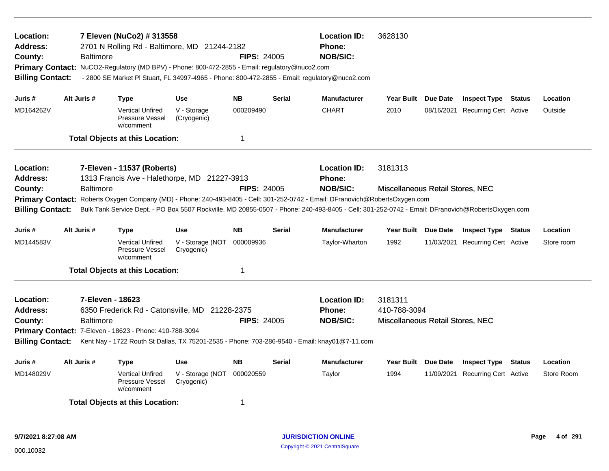| Location:<br><b>Address:</b><br>County:<br><b>Billing Contact:</b>                                                                                                                                                                                                                                                                             |             | Baltimore        | 7 Eleven (NuCo2) # 313558<br>2701 N Rolling Rd - Baltimore, MD 21244-2182<br>Primary Contact: NuCO2-Regulatory (MD BPV) - Phone: 800-472-2855 - Email: regulatory@nuco2.com<br>- 2800 SE Market PI Stuart, FL 34997-4965 - Phone: 800-472-2855 - Email: regulatory@nuco2.com |                                | <b>FIPS: 24005</b> |               | <b>Location ID:</b><br><b>Phone:</b><br><b>NOB/SIC:</b>                                                                                                          | 3628130                                                     |                                  |            |
|------------------------------------------------------------------------------------------------------------------------------------------------------------------------------------------------------------------------------------------------------------------------------------------------------------------------------------------------|-------------|------------------|------------------------------------------------------------------------------------------------------------------------------------------------------------------------------------------------------------------------------------------------------------------------------|--------------------------------|--------------------|---------------|------------------------------------------------------------------------------------------------------------------------------------------------------------------|-------------------------------------------------------------|----------------------------------|------------|
| Juris #                                                                                                                                                                                                                                                                                                                                        | Alt Juris # |                  | <b>Type</b>                                                                                                                                                                                                                                                                  | <b>Use</b>                     | <b>NB</b>          | <b>Serial</b> | <b>Manufacturer</b>                                                                                                                                              | Year Built Due Date                                         | <b>Inspect Type Status</b>       | Location   |
| MD164262V                                                                                                                                                                                                                                                                                                                                      |             |                  | <b>Vertical Unfired</b><br>Pressure Vessel<br>w/comment                                                                                                                                                                                                                      | V - Storage<br>(Cryogenic)     | 000209490          |               | <b>CHART</b>                                                                                                                                                     | 2010                                                        | 08/16/2021 Recurring Cert Active | Outside    |
|                                                                                                                                                                                                                                                                                                                                                |             |                  | <b>Total Objects at this Location:</b>                                                                                                                                                                                                                                       |                                | 1                  |               |                                                                                                                                                                  |                                                             |                                  |            |
| Location:<br>Address:<br>County:<br><b>Primary Contact:</b><br><b>Billing Contact:</b>                                                                                                                                                                                                                                                         |             | <b>Baltimore</b> | 7-Eleven - 11537 (Roberts)<br>1313 Francis Ave - Halethorpe, MD 21227-3913                                                                                                                                                                                                   |                                | <b>FIPS: 24005</b> |               | <b>Location ID:</b><br>Phone:<br><b>NOB/SIC:</b><br>Roberts Oxygen Company (MD) - Phone: 240-493-8405 - Cell: 301-252-0742 - Email: DFranovich@RobertsOxygen.com | 3181313<br>Miscellaneous Retail Stores, NEC                 |                                  |            |
| Bulk Tank Service Dept. - PO Box 5507 Rockville, MD 20855-0507 - Phone: 240-493-8405 - Cell: 301-252-0742 - Email: DFranovich@RobertsOxygen.com<br>Alt Juris #<br><b>Use</b><br><b>NB</b><br><b>Serial</b><br><b>Manufacturer</b><br>Juris #<br><b>Type</b>                                                                                    |             |                  |                                                                                                                                                                                                                                                                              |                                |                    |               | Year Built Due Date                                                                                                                                              | <b>Inspect Type Status</b>                                  | Location                         |            |
| MD144583V                                                                                                                                                                                                                                                                                                                                      |             |                  | <b>Vertical Unfired</b><br>Pressure Vessel<br>w/comment                                                                                                                                                                                                                      | V - Storage (NOT<br>Cryogenic) | 000009936          |               | Taylor-Wharton                                                                                                                                                   | 1992                                                        | 11/03/2021 Recurring Cert Active | Store room |
|                                                                                                                                                                                                                                                                                                                                                |             |                  | <b>Total Objects at this Location:</b>                                                                                                                                                                                                                                       |                                | 1                  |               |                                                                                                                                                                  |                                                             |                                  |            |
| Location:<br>7-Eleven - 18623<br>6350 Frederick Rd - Catonsville, MD 21228-2375<br><b>Address:</b><br><b>Baltimore</b><br><b>FIPS: 24005</b><br>County:<br>Primary Contact: 7-Eleven - 18623 - Phone: 410-788-3094<br><b>Billing Contact:</b><br>Kent Nay - 1722 Routh St Dallas, TX 75201-2535 - Phone: 703-286-9540 - Email: knay01@7-11.com |             |                  |                                                                                                                                                                                                                                                                              |                                |                    |               | <b>Location ID:</b><br><b>Phone:</b><br><b>NOB/SIC:</b>                                                                                                          | 3181311<br>410-788-3094<br>Miscellaneous Retail Stores, NEC |                                  |            |
| Juris #                                                                                                                                                                                                                                                                                                                                        | Alt Juris # |                  | <b>Type</b>                                                                                                                                                                                                                                                                  | <b>Use</b>                     | <b>NB</b>          | <b>Serial</b> | <b>Manufacturer</b>                                                                                                                                              | Year Built Due Date                                         | <b>Inspect Type Status</b>       | Location   |
| MD148029V                                                                                                                                                                                                                                                                                                                                      |             |                  | <b>Vertical Unfired</b><br>Pressure Vessel<br>w/comment                                                                                                                                                                                                                      | V - Storage (NOT<br>Cryogenic) | 000020559          |               | Taylor                                                                                                                                                           | 1994                                                        | 11/09/2021 Recurring Cert Active | Store Room |
|                                                                                                                                                                                                                                                                                                                                                |             |                  | <b>Total Objects at this Location:</b>                                                                                                                                                                                                                                       |                                | 1                  |               |                                                                                                                                                                  |                                                             |                                  |            |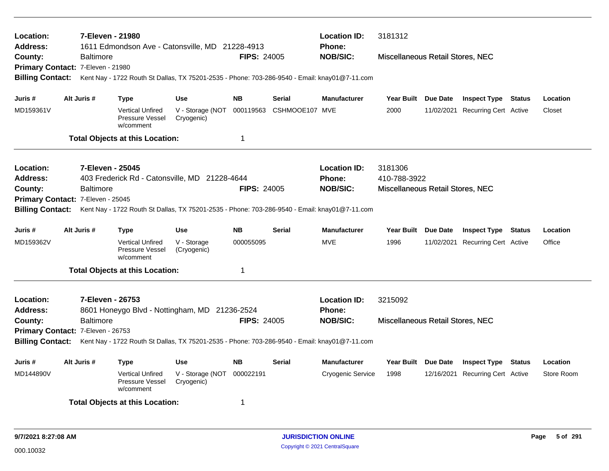| Location:<br>Address:             |                                   | 7-Eleven - 21980 | 1611 Edmondson Ave - Catonsville, MD 21228-4913                                               |                                |                    |                | <b>Location ID:</b><br>Phone: | 3181312                                           |            |                                  |        |            |
|-----------------------------------|-----------------------------------|------------------|-----------------------------------------------------------------------------------------------|--------------------------------|--------------------|----------------|-------------------------------|---------------------------------------------------|------------|----------------------------------|--------|------------|
| County:                           |                                   | <b>Baltimore</b> |                                                                                               |                                | <b>FIPS: 24005</b> |                | <b>NOB/SIC:</b>               | Miscellaneous Retail Stores, NEC                  |            |                                  |        |            |
| Primary Contact: 7-Eleven - 21980 |                                   |                  |                                                                                               |                                |                    |                |                               |                                                   |            |                                  |        |            |
| <b>Billing Contact:</b>           |                                   |                  | Kent Nay - 1722 Routh St Dallas, TX 75201-2535 - Phone: 703-286-9540 - Email: knay01@7-11.com |                                |                    |                |                               |                                                   |            |                                  |        |            |
| Juris #                           |                                   | Alt Juris #      | Type                                                                                          | Use                            | <b>NB</b>          | Serial         | <b>Manufacturer</b>           | Year Built Due Date                               |            | <b>Inspect Type Status</b>       |        | Location   |
| MD159361V                         |                                   |                  | <b>Vertical Unfired</b><br>Pressure Vessel<br>w/comment                                       | V - Storage (NOT<br>Cryogenic) | 000119563          | CSHMOOE107 MVE |                               | 2000                                              |            | 11/02/2021 Recurring Cert Active |        | Closet     |
|                                   |                                   |                  | <b>Total Objects at this Location:</b>                                                        |                                | 1                  |                |                               |                                                   |            |                                  |        |            |
| Location:                         |                                   | 7-Eleven - 25045 |                                                                                               |                                |                    |                | <b>Location ID:</b>           | 3181306                                           |            |                                  |        |            |
| <b>Address:</b>                   |                                   |                  | 403 Frederick Rd - Catonsville, MD 21228-4644                                                 |                                |                    |                | <b>Phone:</b>                 | 410-788-3922                                      |            |                                  |        |            |
| County:                           |                                   | <b>Baltimore</b> |                                                                                               |                                | <b>FIPS: 24005</b> |                | <b>NOB/SIC:</b>               | Miscellaneous Retail Stores, NEC                  |            |                                  |        |            |
| Primary Contact: 7-Eleven - 25045 |                                   |                  |                                                                                               |                                |                    |                |                               |                                                   |            |                                  |        |            |
| <b>Billing Contact:</b>           |                                   |                  | Kent Nay - 1722 Routh St Dallas, TX 75201-2535 - Phone: 703-286-9540 - Email: knay01@7-11.com |                                |                    |                |                               |                                                   |            |                                  |        |            |
| Juris #                           |                                   | Alt Juris #      | <b>Type</b>                                                                                   | <b>Use</b>                     | <b>NB</b>          | <b>Serial</b>  | <b>Manufacturer</b>           | Year Built Due Date<br><b>Inspect Type Status</b> |            | Location                         |        |            |
| MD159362V                         |                                   |                  | <b>Vertical Unfired</b><br>Pressure Vessel<br>w/comment                                       | V - Storage<br>(Cryogenic)     | 000055095          |                | <b>MVE</b>                    | 1996                                              |            | 11/02/2021 Recurring Cert Active |        | Office     |
|                                   |                                   |                  | <b>Total Objects at this Location:</b>                                                        |                                | 1                  |                |                               |                                                   |            |                                  |        |            |
| Location:                         |                                   | 7-Eleven - 26753 |                                                                                               |                                |                    |                | <b>Location ID:</b>           | 3215092                                           |            |                                  |        |            |
| <b>Address:</b>                   |                                   |                  | 8601 Honeygo Blvd - Nottingham, MD 21236-2524                                                 |                                |                    |                | <b>Phone:</b>                 |                                                   |            |                                  |        |            |
| County:                           |                                   | <b>Baltimore</b> |                                                                                               |                                | <b>FIPS: 24005</b> |                | <b>NOB/SIC:</b>               | Miscellaneous Retail Stores, NEC                  |            |                                  |        |            |
|                                   | Primary Contact: 7-Eleven - 26753 |                  |                                                                                               |                                |                    |                |                               |                                                   |            |                                  |        |            |
| <b>Billing Contact:</b>           |                                   |                  | Kent Nay - 1722 Routh St Dallas, TX 75201-2535 - Phone: 703-286-9540 - Email: knay01@7-11.com |                                |                    |                |                               |                                                   |            |                                  |        |            |
| Juris #                           |                                   | Alt Juris #      | Type                                                                                          | <b>Use</b>                     | <b>NB</b>          | <b>Serial</b>  | Manufacturer                  | <b>Year Built</b>                                 | Due Date   | <b>Inspect Type</b>              | Status | Location   |
| MD144890V                         |                                   |                  | <b>Vertical Unfired</b><br>Pressure Vessel<br>w/comment                                       | V - Storage (NOT<br>Cryogenic) | 000022191          |                | Cryogenic Service             | 1998                                              | 12/16/2021 | <b>Recurring Cert Active</b>     |        | Store Room |
|                                   |                                   |                  | <b>Total Objects at this Location:</b>                                                        |                                | 1                  |                |                               |                                                   |            |                                  |        |            |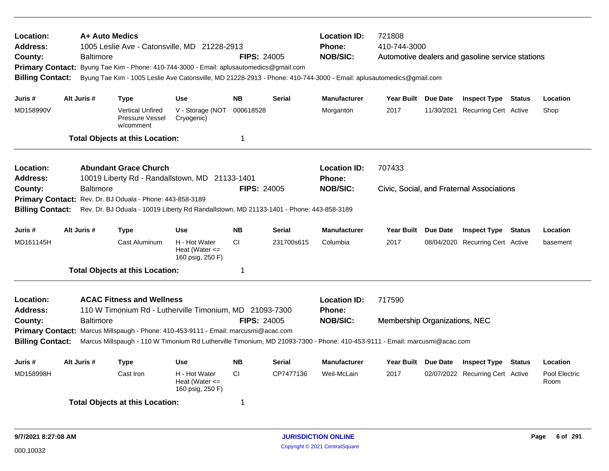| A+ Auto Medics<br>Location:<br><b>Address:</b><br>1005 Leslie Ave - Catonsville, MD 21228-2913<br><b>FIPS: 24005</b><br>County:<br><b>Baltimore</b><br>Primary Contact: Byung Tae Kim - Phone: 410-744-3000 - Email: aplusautomedics@gmail.com<br>Byung Tae Kim - 1005 Leslie Ave Catonsville, MD 21228-2913 - Phone: 410-744-3000 - Email: aplusautomedics@gmail.com<br><b>Billing Contact:</b><br>Alt Juris # |             |  |                                                         |                                                                                         |                        | <b>Location ID:</b><br><b>Phone:</b><br><b>NOB/SIC:</b> | 721808<br>410-744-3000<br>Automotive dealers and gasoline service stations                                                 |                                           |  |                                                                |        |                       |  |
|-----------------------------------------------------------------------------------------------------------------------------------------------------------------------------------------------------------------------------------------------------------------------------------------------------------------------------------------------------------------------------------------------------------------|-------------|--|---------------------------------------------------------|-----------------------------------------------------------------------------------------|------------------------|---------------------------------------------------------|----------------------------------------------------------------------------------------------------------------------------|-------------------------------------------|--|----------------------------------------------------------------|--------|-----------------------|--|
| Juris #                                                                                                                                                                                                                                                                                                                                                                                                         |             |  | Type                                                    | <b>Use</b>                                                                              | <b>NB</b>              | <b>Serial</b>                                           | <b>Manufacturer</b>                                                                                                        | Year Built Due Date                       |  | <b>Inspect Type Status</b>                                     |        | Location              |  |
| MD158990V                                                                                                                                                                                                                                                                                                                                                                                                       |             |  | <b>Vertical Unfired</b><br>Pressure Vessel<br>w/comment | V - Storage (NOT<br>Cryogenic)                                                          | 000618528              |                                                         | Morganton                                                                                                                  | 2017                                      |  | 11/30/2021 Recurring Cert Active                               |        | Shop                  |  |
|                                                                                                                                                                                                                                                                                                                                                                                                                 |             |  | <b>Total Objects at this Location:</b>                  |                                                                                         | $\mathbf 1$            |                                                         |                                                                                                                            |                                           |  |                                                                |        |                       |  |
| Location:<br><b>Abundant Grace Church</b><br>10019 Liberty Rd - Randallstown, MD 21133-1401<br>Address:<br><b>FIPS: 24005</b><br>County:<br><b>Baltimore</b>                                                                                                                                                                                                                                                    |             |  |                                                         |                                                                                         |                        |                                                         | <b>Location ID:</b><br>Phone:                                                                                              | 707433                                    |  |                                                                |        |                       |  |
| <b>Primary Contact:</b>                                                                                                                                                                                                                                                                                                                                                                                         |             |  | Rev. Dr. BJ Oduala - Phone: 443-858-3189                | Rev. Dr. BJ Oduala - 10019 Liberty Rd Randallstown, MD 21133-1401 - Phone: 443-858-3189 |                        |                                                         | <b>NOB/SIC:</b>                                                                                                            | Civic, Social, and Fraternal Associations |  |                                                                |        |                       |  |
| <b>Billing Contact:</b>                                                                                                                                                                                                                                                                                                                                                                                         |             |  |                                                         |                                                                                         |                        |                                                         |                                                                                                                            |                                           |  |                                                                |        |                       |  |
| Juris #<br>MD161145H                                                                                                                                                                                                                                                                                                                                                                                            | Alt Juris # |  | <b>Type</b><br>Cast Aluminum                            | <b>Use</b><br>H - Hot Water<br>Heat (Water $\leq$<br>160 psig, 250 F)                   | <b>NB</b><br><b>CI</b> | <b>Serial</b><br>231700s615                             | <b>Manufacturer</b><br>Columbia                                                                                            | Year Built Due Date<br>2017               |  | <b>Inspect Type Status</b><br>08/04/2020 Recurring Cert Active |        | Location<br>basement  |  |
|                                                                                                                                                                                                                                                                                                                                                                                                                 |             |  | <b>Total Objects at this Location:</b>                  |                                                                                         | $\overline{1}$         |                                                         |                                                                                                                            |                                           |  |                                                                |        |                       |  |
| <b>ACAC Fitness and Wellness</b><br>Location:<br>110 W Timonium Rd - Lutherville Timonium, MD 21093-7300<br><b>Address:</b><br><b>Baltimore</b><br>County:<br>Primary Contact: Marcus Millspaugh - Phone: 410-453-9111 - Email: marcusmi@acac.com                                                                                                                                                               |             |  |                                                         | <b>FIPS: 24005</b>                                                                      |                        | <b>Location ID:</b><br><b>Phone:</b><br><b>NOB/SIC:</b> | 717590<br>Membership Organizations, NEC                                                                                    |                                           |  |                                                                |        |                       |  |
| <b>Billing Contact:</b>                                                                                                                                                                                                                                                                                                                                                                                         |             |  |                                                         |                                                                                         |                        |                                                         | Marcus Millspaugh - 110 W Timonium Rd Lutherville Timonium, MD 21093-7300 - Phone: 410-453-9111 - Email: marcusmi@acac.com |                                           |  |                                                                |        |                       |  |
| Juris #                                                                                                                                                                                                                                                                                                                                                                                                         | Alt Juris # |  | <b>Type</b>                                             | <b>Use</b>                                                                              | <b>NB</b>              | <b>Serial</b>                                           | Manufacturer                                                                                                               | Year Built Due Date                       |  | <b>Inspect Type</b>                                            | Status | Location              |  |
| MD158998H                                                                                                                                                                                                                                                                                                                                                                                                       |             |  | Cast Iron                                               | H - Hot Water<br>Heat (Water $\leq$<br>160 psig, 250 F)                                 | CI                     | CP7477136                                               | Weil-McLain                                                                                                                | 2017                                      |  | 02/07/2022 Recurring Cert Active                               |        | Pool Electric<br>Room |  |
|                                                                                                                                                                                                                                                                                                                                                                                                                 |             |  | <b>Total Objects at this Location:</b>                  |                                                                                         | $\overline{1}$         |                                                         |                                                                                                                            |                                           |  |                                                                |        |                       |  |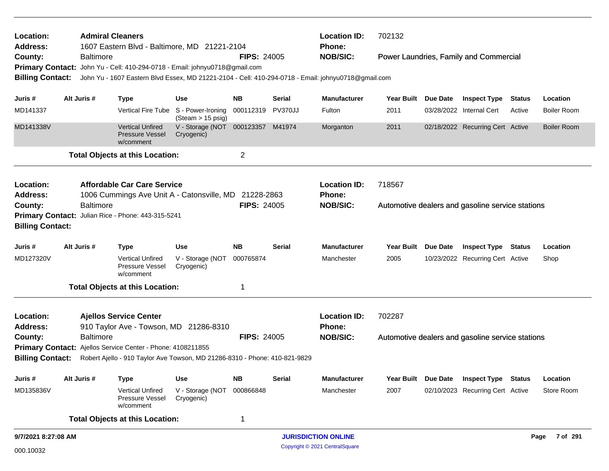| Location:                                                                                                                                    |                  | <b>Admiral Cleaners</b>                                                                             |                                                  |                    |               | <b>Location ID:</b><br>702132<br><b>Phone:</b> |                   |                 |                                                  |        |                    |
|----------------------------------------------------------------------------------------------------------------------------------------------|------------------|-----------------------------------------------------------------------------------------------------|--------------------------------------------------|--------------------|---------------|------------------------------------------------|-------------------|-----------------|--------------------------------------------------|--------|--------------------|
| <b>Address:</b><br>County:                                                                                                                   | <b>Baltimore</b> | 1607 Eastern Blvd - Baltimore, MD 21221-2104                                                        |                                                  | <b>FIPS: 24005</b> |               | <b>NOB/SIC:</b>                                |                   |                 | Power Laundries, Family and Commercial           |        |                    |
| <b>Primary Contact:</b>                                                                                                                      |                  | John Yu - Cell: 410-294-0718 - Email: johnyu0718@gmail.com                                          |                                                  |                    |               |                                                |                   |                 |                                                  |        |                    |
| <b>Billing Contact:</b>                                                                                                                      |                  | John Yu - 1607 Eastern Blvd Essex, MD 21221-2104 - Cell: 410-294-0718 - Email: johnyu0718@gmail.com |                                                  |                    |               |                                                |                   |                 |                                                  |        |                    |
| Juris #                                                                                                                                      | Alt Juris #      | Type                                                                                                | <b>Use</b>                                       | <b>NB</b>          | Serial        | <b>Manufacturer</b>                            | Year Built        | Due Date        | <b>Inspect Type Status</b>                       |        | Location           |
| MD141337                                                                                                                                     |                  | <b>Vertical Fire Tube</b>                                                                           | S - Power-Ironing<br>$(Steam > 15 \text{ psig})$ | 000112319          | PV370JJ       | Fulton                                         | 2011              |                 | 03/28/2022 Internal Cert                         | Active | <b>Boiler Room</b> |
| MD141338V                                                                                                                                    |                  | <b>Vertical Unfired</b><br><b>Pressure Vessel</b><br>w/comment                                      | V - Storage (NOT 000123357 M41974<br>Cryogenic)  |                    |               | Morganton                                      | 2011              |                 | 02/18/2022 Recurring Cert Active                 |        | <b>Boiler Room</b> |
|                                                                                                                                              |                  | <b>Total Objects at this Location:</b>                                                              |                                                  | $\overline{2}$     |               |                                                |                   |                 |                                                  |        |                    |
| Location:                                                                                                                                    |                  |                                                                                                     |                                                  |                    |               | <b>Location ID:</b>                            | 718567            |                 |                                                  |        |                    |
| <b>Affordable Car Care Service</b><br>1006 Cummings Ave Unit A - Catonsville, MD 21228-2863<br>Phone:<br><b>Address:</b><br><b>Baltimore</b> |                  |                                                                                                     |                                                  |                    |               |                                                |                   |                 |                                                  |        |                    |
| County:                                                                                                                                      |                  | <b>FIPS: 24005</b><br><b>NOB/SIC:</b><br>Automotive dealers and gasoline service stations           |                                                  |                    |               |                                                |                   |                 |                                                  |        |                    |
|                                                                                                                                              |                  | Primary Contact: Julian Rice - Phone: 443-315-5241                                                  |                                                  |                    |               |                                                |                   |                 |                                                  |        |                    |
| <b>Billing Contact:</b>                                                                                                                      |                  |                                                                                                     |                                                  |                    |               |                                                |                   |                 |                                                  |        |                    |
| Juris #                                                                                                                                      | Alt Juris #      | <b>Type</b>                                                                                         | <b>Use</b>                                       | <b>NB</b>          | Serial        | <b>Manufacturer</b>                            | Year Built        | <b>Due Date</b> | <b>Inspect Type Status</b>                       |        | Location           |
| MD127320V                                                                                                                                    |                  | <b>Vertical Unfired</b><br>Pressure Vessel<br>w/comment                                             | V - Storage (NOT<br>Cryogenic)                   | 000765874          |               | Manchester                                     | 2005              |                 | 10/23/2022 Recurring Cert Active                 |        | Shop               |
|                                                                                                                                              |                  | <b>Total Objects at this Location:</b>                                                              |                                                  | 1                  |               |                                                |                   |                 |                                                  |        |                    |
| Location:<br><b>Address:</b>                                                                                                                 |                  | <b>Ajellos Service Center</b><br>910 Taylor Ave - Towson, MD 21286-8310                             |                                                  |                    |               | <b>Location ID:</b><br><b>Phone:</b>           | 702287            |                 |                                                  |        |                    |
| County:                                                                                                                                      | <b>Baltimore</b> |                                                                                                     |                                                  | <b>FIPS: 24005</b> |               | <b>NOB/SIC:</b>                                |                   |                 | Automotive dealers and gasoline service stations |        |                    |
|                                                                                                                                              |                  | Primary Contact: Ajellos Service Center - Phone: 4108211855                                         |                                                  |                    |               |                                                |                   |                 |                                                  |        |                    |
| <b>Billing Contact:</b>                                                                                                                      |                  | Robert Ajello - 910 Taylor Ave Towson, MD 21286-8310 - Phone: 410-821-9829                          |                                                  |                    |               |                                                |                   |                 |                                                  |        |                    |
| Juris #                                                                                                                                      | Alt Juris #      | <b>Type</b>                                                                                         | <b>Use</b>                                       | <b>NB</b>          | <b>Serial</b> | <b>Manufacturer</b>                            | <b>Year Built</b> | Due Date        | <b>Inspect Type Status</b>                       |        | Location           |
| MD135836V                                                                                                                                    |                  | <b>Vertical Unfired</b><br>Pressure Vessel<br>w/comment                                             | V - Storage (NOT<br>Cryogenic)                   | 000866848          |               | Manchester                                     | 2007              |                 | 02/10/2023 Recurring Cert Active                 |        | Store Room         |
|                                                                                                                                              |                  | <b>Total Objects at this Location:</b>                                                              |                                                  | 1                  |               |                                                |                   |                 |                                                  |        |                    |
| 9/7/2021 8:27:08 AM                                                                                                                          |                  |                                                                                                     |                                                  |                    |               | <b>JURISDICTION ONLINE</b>                     |                   |                 |                                                  |        | Page 7 of 291      |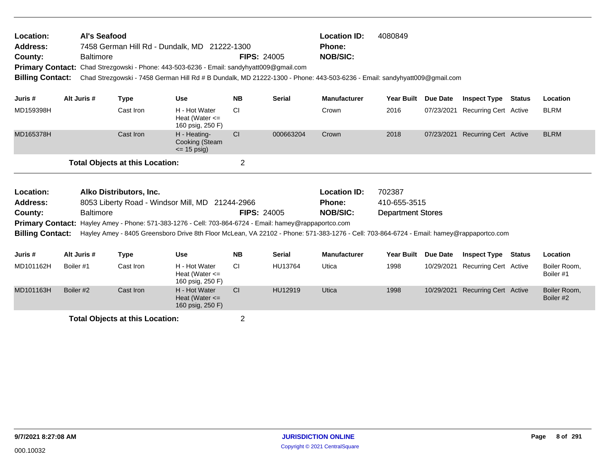| Location: | Al's Seafood                                                                                                                              |                    | <b>Location ID:</b> | 4080849 |
|-----------|-------------------------------------------------------------------------------------------------------------------------------------------|--------------------|---------------------|---------|
| Address:  | 7458 German Hill Rd - Dundalk, MD 21222-1300                                                                                              |                    | <b>Phone:</b>       |         |
| County:   | <b>Baltimore</b>                                                                                                                          | <b>FIPS: 24005</b> | <b>NOB/SIC:</b>     |         |
|           | Primary Contact: Chad Strezgowski - Phone: 443-503-6236 - Email: sandyhyatt009@gmail.com                                                  |                    |                     |         |
|           | Billing Contact: Chad Strezgowski - 7458 German Hill Rd # B Dundalk, MD 21222-1300 - Phone: 443-503-6236 - Email: sandyhyatt009@gmail.com |                    |                     |         |

| Juris #                                 | Alt Juris #      | Type                                   | <b>Use</b>                                                                                                                                                | <b>NB</b>          | <b>Serial</b> | <b>Manufacturer</b>                                     | <b>Year Built</b>                                  | <b>Due Date</b> | <b>Inspect Type Status</b>       | Location    |
|-----------------------------------------|------------------|----------------------------------------|-----------------------------------------------------------------------------------------------------------------------------------------------------------|--------------------|---------------|---------------------------------------------------------|----------------------------------------------------|-----------------|----------------------------------|-------------|
| MD159398H                               |                  | Cast Iron                              | H - Hot Water<br>Heat (Water $\leq$<br>160 psig, 250 F)                                                                                                   | <b>CI</b>          |               | Crown                                                   | 2016                                               |                 | 07/23/2021 Recurring Cert Active | <b>BLRM</b> |
| MD165378H                               |                  | Cast Iron                              | H - Heating-<br>Cooking (Steam<br>$\le$ 15 psig)                                                                                                          | <b>CI</b>          | 000663204     | Crown                                                   | 2018                                               | 07/23/2021      | <b>Recurring Cert Active</b>     | <b>BLRM</b> |
|                                         |                  | <b>Total Objects at this Location:</b> |                                                                                                                                                           | 2                  |               |                                                         |                                                    |                 |                                  |             |
| Location:<br><b>Address:</b><br>County: | <b>Baltimore</b> | Alko Distributors, Inc.                | 8053 Liberty Road - Windsor Mill, MD 21244-2966<br>Primary Contact: Hayley Amey - Phone: 571-383-1276 - Cell: 703-864-6724 - Email: hamey@rappaportco.com | <b>FIPS: 24005</b> |               | <b>Location ID:</b><br><b>Phone:</b><br><b>NOB/SIC:</b> | 702387<br>410-655-3515<br><b>Department Stores</b> |                 |                                  |             |

**Billing Contact:** Hayley Amey - 8405 Greensboro Drive 8th Floor McLean, VA 22102 - Phone: 571-383-1276 - Cell: 703-864-6724 - Email: hamey@rappaportco.com

| Juris #   | Alt Juris # | Type       | <b>Use</b>                                              | <b>NB</b> | <b>Serial</b> | <b>Manufacturer</b> | <b>Year Built</b> | <b>Due Date</b> | <b>Inspect Type</b>   | <b>Status</b> | Location                  |
|-----------|-------------|------------|---------------------------------------------------------|-----------|---------------|---------------------|-------------------|-----------------|-----------------------|---------------|---------------------------|
| MD101162H | Boiler #1   | Cast Iron. | H - Hot Water<br>Heat (Water $\leq$<br>160 psig, 250 F) |           | HU13764       | Utica               | 1998              | 10/29/2021      | Recurring Cert Active |               | Boiler Room,<br>Boiler #1 |
| MD101163H | Boiler #2   | Cast Iron  | H - Hot Water<br>Heat (Water $\leq$<br>160 psig, 250 F) | <b>CI</b> | HU12919       | Utica               | 1998              | 10/29/2021      | Recurring Cert Active |               | Boiler Room,<br>Boiler #2 |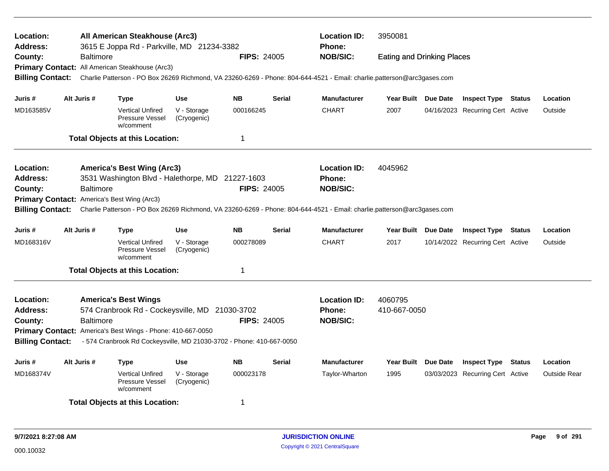| Location:<br><b>Address:</b>                |             |                  | All American Steakhouse (Arc3)<br>3615 E Joppa Rd - Parkville, MD 21234-3382 |                            |                         |               | <b>Location ID:</b><br><b>Phone:</b>                                                                                    | 3950081                                                                               |                                  |  |                     |
|---------------------------------------------|-------------|------------------|------------------------------------------------------------------------------|----------------------------|-------------------------|---------------|-------------------------------------------------------------------------------------------------------------------------|---------------------------------------------------------------------------------------|----------------------------------|--|---------------------|
| County:                                     |             | <b>Baltimore</b> |                                                                              |                            | <b>FIPS: 24005</b>      |               | <b>NOB/SIC:</b>                                                                                                         | <b>Eating and Drinking Places</b>                                                     |                                  |  |                     |
|                                             |             |                  | Primary Contact: All American Steakhouse (Arc3)                              |                            |                         |               |                                                                                                                         |                                                                                       |                                  |  |                     |
| <b>Billing Contact:</b>                     |             |                  |                                                                              |                            |                         |               | Charlie Patterson - PO Box 26269 Richmond, VA 23260-6269 - Phone: 804-644-4521 - Email: charlie.patterson@arc3gases.com |                                                                                       |                                  |  |                     |
| Juris #                                     | Alt Juris # |                  | <b>Type</b>                                                                  | <b>Use</b>                 | <b>NB</b>               | <b>Serial</b> | <b>Manufacturer</b>                                                                                                     | Year Built Due Date                                                                   | <b>Inspect Type Status</b>       |  | Location            |
| MD163585V                                   |             |                  | <b>Vertical Unfired</b><br>Pressure Vessel<br>w/comment                      | V - Storage<br>(Cryogenic) | 000166245               |               | <b>CHART</b>                                                                                                            | 2007                                                                                  | 04/16/2023 Recurring Cert Active |  | Outside             |
|                                             |             |                  | <b>Total Objects at this Location:</b>                                       |                            | $\overline{\mathbf{1}}$ |               |                                                                                                                         |                                                                                       |                                  |  |                     |
| Location:                                   |             |                  | <b>America's Best Wing (Arc3)</b>                                            |                            |                         |               | <b>Location ID:</b>                                                                                                     | 4045962                                                                               |                                  |  |                     |
| <b>Address:</b>                             |             |                  | 3531 Washington Blvd - Halethorpe, MD 21227-1603                             |                            |                         |               | <b>Phone:</b>                                                                                                           |                                                                                       |                                  |  |                     |
| County:                                     |             | Baltimore        |                                                                              |                            | <b>FIPS: 24005</b>      |               | <b>NOB/SIC:</b>                                                                                                         |                                                                                       |                                  |  |                     |
| Primary Contact: America's Best Wing (Arc3) |             |                  |                                                                              |                            |                         |               |                                                                                                                         |                                                                                       |                                  |  |                     |
| <b>Billing Contact:</b>                     |             |                  |                                                                              |                            |                         |               | Charlie Patterson - PO Box 26269 Richmond, VA 23260-6269 - Phone: 804-644-4521 - Email: charlie.patterson@arc3gases.com |                                                                                       |                                  |  |                     |
| Juris #                                     | Alt Juris # |                  | <b>Type</b>                                                                  | <b>Use</b>                 | <b>NB</b>               | <b>Serial</b> | <b>Manufacturer</b>                                                                                                     | Year Built Due Date<br><b>Inspect Type Status</b><br>10/14/2022 Recurring Cert Active | Location                         |  |                     |
| MD168316V                                   |             |                  | <b>Vertical Unfired</b><br>Pressure Vessel<br>w/comment                      | V - Storage<br>(Cryogenic) | 000278089               |               | <b>CHART</b>                                                                                                            | 2017                                                                                  |                                  |  | Outside             |
|                                             |             |                  | <b>Total Objects at this Location:</b>                                       |                            | -1                      |               |                                                                                                                         |                                                                                       |                                  |  |                     |
| Location:                                   |             |                  | <b>America's Best Wings</b>                                                  |                            |                         |               | <b>Location ID:</b>                                                                                                     | 4060795                                                                               |                                  |  |                     |
| <b>Address:</b>                             |             |                  | 574 Cranbrook Rd - Cockeysville, MD 21030-3702                               |                            |                         |               | <b>Phone:</b>                                                                                                           | 410-667-0050                                                                          |                                  |  |                     |
| County:                                     |             | Baltimore        |                                                                              |                            | <b>FIPS: 24005</b>      |               | <b>NOB/SIC:</b>                                                                                                         |                                                                                       |                                  |  |                     |
|                                             |             |                  | Primary Contact: America's Best Wings - Phone: 410-667-0050                  |                            |                         |               |                                                                                                                         |                                                                                       |                                  |  |                     |
| <b>Billing Contact:</b>                     |             |                  | - 574 Cranbrook Rd Cockeysville, MD 21030-3702 - Phone: 410-667-0050         |                            |                         |               |                                                                                                                         |                                                                                       |                                  |  |                     |
| Juris #                                     | Alt Juris # |                  | <b>Type</b>                                                                  | <b>Use</b>                 | <b>NB</b>               | <b>Serial</b> | <b>Manufacturer</b>                                                                                                     | Year Built Due Date                                                                   | <b>Inspect Type Status</b>       |  | Location            |
| MD168374V                                   |             |                  | <b>Vertical Unfired</b><br>Pressure Vessel<br>w/comment                      | V - Storage<br>(Cryogenic) | 000023178               |               | Taylor-Wharton                                                                                                          | 1995                                                                                  | 03/03/2023 Recurring Cert Active |  | <b>Outside Rear</b> |
|                                             |             |                  | <b>Total Objects at this Location:</b>                                       |                            | -1                      |               |                                                                                                                         |                                                                                       |                                  |  |                     |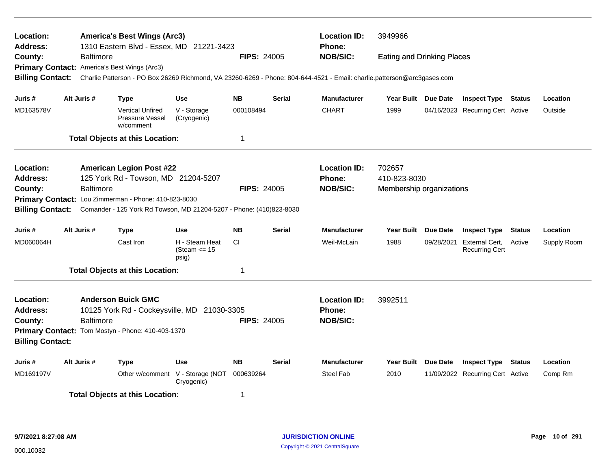| Location:<br><b>Address:</b>                                                                      |                  | <b>America's Best Wings (Arc3)</b><br>1310 Eastern Blvd - Essex, MD 21221-3423                                          |                                                |                    |               | <b>Location ID:</b><br><b>Phone:</b> | 3949966<br><b>Eating and Drinking Places</b> |                 |                                         |               |             |  |
|---------------------------------------------------------------------------------------------------|------------------|-------------------------------------------------------------------------------------------------------------------------|------------------------------------------------|--------------------|---------------|--------------------------------------|----------------------------------------------|-----------------|-----------------------------------------|---------------|-------------|--|
| County:                                                                                           | Baltimore        |                                                                                                                         |                                                | <b>FIPS: 24005</b> |               | <b>NOB/SIC:</b>                      |                                              |                 |                                         |               |             |  |
|                                                                                                   |                  | Primary Contact: America's Best Wings (Arc3)                                                                            |                                                |                    |               |                                      |                                              |                 |                                         |               |             |  |
| <b>Billing Contact:</b>                                                                           |                  | Charlie Patterson - PO Box 26269 Richmond, VA 23260-6269 - Phone: 804-644-4521 - Email: charlie.patterson@arc3gases.com |                                                |                    |               |                                      |                                              |                 |                                         |               |             |  |
| Juris #                                                                                           | Alt Juris #      | <b>Type</b>                                                                                                             | <b>Use</b>                                     | <b>NB</b>          | <b>Serial</b> | <b>Manufacturer</b>                  | Year Built Due Date                          |                 | <b>Inspect Type</b>                     | <b>Status</b> | Location    |  |
| MD163578V                                                                                         |                  | <b>Vertical Unfired</b><br>Pressure Vessel<br>w/comment                                                                 | V - Storage<br>(Cryogenic)                     | 000108494          |               | <b>CHART</b>                         | 1999                                         |                 | 04/16/2023 Recurring Cert Active        |               | Outside     |  |
|                                                                                                   |                  | <b>Total Objects at this Location:</b>                                                                                  |                                                | 1                  |               |                                      |                                              |                 |                                         |               |             |  |
| Location:                                                                                         |                  | <b>American Legion Post #22</b>                                                                                         |                                                |                    |               | <b>Location ID:</b>                  | 702657                                       |                 |                                         |               |             |  |
| <b>Address:</b>                                                                                   |                  | 125 York Rd - Towson, MD 21204-5207                                                                                     |                                                |                    |               | <b>Phone:</b>                        | 410-823-8030                                 |                 |                                         |               |             |  |
| County:                                                                                           | <b>Baltimore</b> |                                                                                                                         |                                                | <b>FIPS: 24005</b> |               | <b>NOB/SIC:</b>                      | Membership organizations                     |                 |                                         |               |             |  |
| <b>Primary Contact:</b>                                                                           |                  | Lou Zimmerman - Phone: 410-823-8030                                                                                     |                                                |                    |               |                                      |                                              |                 |                                         |               |             |  |
| <b>Billing Contact:</b>                                                                           |                  | Comander - 125 York Rd Towson, MD 21204-5207 - Phone: (410)823-8030                                                     |                                                |                    |               |                                      |                                              |                 |                                         |               |             |  |
| Juris #                                                                                           | Alt Juris #      | <b>Type</b>                                                                                                             | <b>Use</b>                                     | <b>NB</b>          | <b>Serial</b> | <b>Manufacturer</b>                  | <b>Year Built</b>                            | <b>Due Date</b> | <b>Inspect Type</b>                     | <b>Status</b> | Location    |  |
| MD060064H                                                                                         |                  | Cast Iron                                                                                                               | H - Steam Heat<br>(Steam $\le$ 15<br>psig)     | <b>CI</b>          |               | Weil-McLain                          | 1988                                         | 09/28/2021      | <b>External Cert,</b><br>Recurring Cert | Active        | Supply Room |  |
|                                                                                                   |                  | <b>Total Objects at this Location:</b>                                                                                  |                                                | 1                  |               |                                      |                                              |                 |                                         |               |             |  |
| Location:<br><b>Anderson Buick GMC</b><br>Address:<br>10125 York Rd - Cockeysville, MD 21030-3305 |                  |                                                                                                                         |                                                |                    |               | <b>Location ID:</b><br><b>Phone:</b> | 3992511                                      |                 |                                         |               |             |  |
| County:                                                                                           | <b>Baltimore</b> |                                                                                                                         |                                                | <b>FIPS: 24005</b> |               | <b>NOB/SIC:</b>                      |                                              |                 |                                         |               |             |  |
| <b>Billing Contact:</b>                                                                           |                  | Primary Contact: Tom Mostyn - Phone: 410-403-1370                                                                       |                                                |                    |               |                                      |                                              |                 |                                         |               |             |  |
| Juris #                                                                                           | Alt Juris #      | <b>Type</b>                                                                                                             | <b>Use</b>                                     | <b>NB</b>          | <b>Serial</b> | <b>Manufacturer</b>                  | Year Built Due Date                          |                 | <b>Inspect Type</b>                     | <b>Status</b> | Location    |  |
| MD169197V                                                                                         |                  |                                                                                                                         | Other w/comment V - Storage (NOT<br>Cryogenic) | 000639264          |               | <b>Steel Fab</b>                     | 2010                                         |                 | 11/09/2022 Recurring Cert Active        |               | Comp Rm     |  |
| 1<br><b>Total Objects at this Location:</b>                                                       |                  |                                                                                                                         |                                                |                    |               |                                      |                                              |                 |                                         |               |             |  |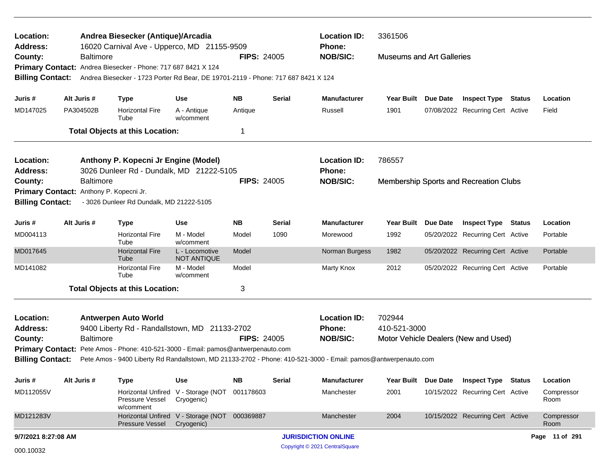| Location:<br><b>Address:</b>                       |                  | Andrea Biesecker (Antique)/Arcadia<br>16020 Carnival Ave - Upperco, MD 21155-9509                              |                                                   |                    |               | <b>Location ID:</b><br>Phone:  | 3361506                          |                 |                                               |                    |
|----------------------------------------------------|------------------|----------------------------------------------------------------------------------------------------------------|---------------------------------------------------|--------------------|---------------|--------------------------------|----------------------------------|-----------------|-----------------------------------------------|--------------------|
| County:                                            | <b>Baltimore</b> | Primary Contact: Andrea Biesecker - Phone: 717 687 8421 X 124                                                  |                                                   | <b>FIPS: 24005</b> |               | <b>NOB/SIC:</b>                | <b>Museums and Art Galleries</b> |                 |                                               |                    |
| <b>Billing Contact:</b>                            |                  | Andrea Biesecker - 1723 Porter Rd Bear, DE 19701-2119 - Phone: 717 687 8421 X 124                              |                                                   |                    |               |                                |                                  |                 |                                               |                    |
| Juris #                                            | Alt Juris #      | <b>Type</b>                                                                                                    | <b>Use</b>                                        | <b>NB</b>          | <b>Serial</b> | <b>Manufacturer</b>            | Year Built Due Date              |                 | <b>Inspect Type Status</b>                    | Location           |
| MD147025                                           | PA304502B        | <b>Horizontal Fire</b><br>Tube                                                                                 | A - Antique<br>w/comment                          | Antique            |               | Russell                        | 1901                             |                 | 07/08/2022 Recurring Cert Active              | Field              |
|                                                    |                  | <b>Total Objects at this Location:</b>                                                                         |                                                   | 1                  |               |                                |                                  |                 |                                               |                    |
| Location:                                          |                  | Anthony P. Kopecni Jr Engine (Model)                                                                           |                                                   |                    |               | <b>Location ID:</b>            | 786557                           |                 |                                               |                    |
| <b>Address:</b>                                    | <b>Baltimore</b> | 3026 Dunleer Rd - Dundalk, MD 21222-5105                                                                       |                                                   | <b>FIPS: 24005</b> |               | Phone:<br><b>NOB/SIC:</b>      |                                  |                 |                                               |                    |
| County:<br>Primary Contact: Anthony P. Kopecni Jr. |                  |                                                                                                                |                                                   |                    |               |                                |                                  |                 | <b>Membership Sports and Recreation Clubs</b> |                    |
| <b>Billing Contact:</b>                            |                  | - 3026 Dunleer Rd Dundalk, MD 21222-5105                                                                       |                                                   |                    |               |                                |                                  |                 |                                               |                    |
| Juris #                                            | Alt Juris #      | <b>Type</b>                                                                                                    | <b>Use</b>                                        | <b>NB</b>          | Serial        | <b>Manufacturer</b>            | <b>Year Built</b>                | <b>Due Date</b> | <b>Inspect Type Status</b>                    | Location           |
| MD004113                                           |                  | <b>Horizontal Fire</b><br>Tube                                                                                 | M - Model<br>w/comment                            | Model              | 1090          | Morewood                       | 1992                             |                 | 05/20/2022 Recurring Cert Active              | Portable           |
| MD017645                                           |                  | <b>Horizontal Fire</b><br>Tube                                                                                 | L - Locomotive<br>NOT ANTIQUE                     | Model              |               | Norman Burgess                 | 1982                             |                 | 05/20/2022 Recurring Cert Active              | Portable           |
| MD141082                                           |                  | <b>Horizontal Fire</b><br>Tube                                                                                 | M - Model<br>w/comment                            | Model              |               | <b>Marty Knox</b>              | 2012                             |                 | 05/20/2022 Recurring Cert Active              | Portable           |
|                                                    |                  | <b>Total Objects at this Location:</b>                                                                         |                                                   | 3                  |               |                                |                                  |                 |                                               |                    |
|                                                    |                  |                                                                                                                |                                                   |                    |               |                                |                                  |                 |                                               |                    |
| Location:<br>Address:                              |                  | <b>Antwerpen Auto World</b><br>9400 Liberty Rd - Randallstown, MD 21133-2702                                   |                                                   |                    |               | <b>Location ID:</b><br>Phone:  | 702944<br>410-521-3000           |                 |                                               |                    |
| County:                                            | <b>Baltimore</b> |                                                                                                                |                                                   | <b>FIPS: 24005</b> |               | <b>NOB/SIC:</b>                |                                  |                 | Motor Vehicle Dealers (New and Used)          |                    |
|                                                    |                  | Primary Contact: Pete Amos - Phone: 410-521-3000 - Email: pamos@antwerpenauto.com                              |                                                   |                    |               |                                |                                  |                 |                                               |                    |
| <b>Billing Contact:</b>                            |                  | Pete Amos - 9400 Liberty Rd Randallstown, MD 21133-2702 - Phone: 410-521-3000 - Email: pamos@antwerpenauto.com |                                                   |                    |               |                                |                                  |                 |                                               |                    |
| Juris #                                            | Alt Juris #      | <b>Type</b>                                                                                                    | Use                                               | <b>NB</b>          | <b>Serial</b> | <b>Manufacturer</b>            | Year Built                       | <b>Due Date</b> | <b>Inspect Type Status</b>                    | Location           |
| MD112055V                                          |                  | Pressure Vessel<br>w/comment                                                                                   | Horizontal Unfired V - Storage (NOT<br>Cryogenic) | 001178603          |               | Manchester                     | 2001                             |                 | 10/15/2022 Recurring Cert Active              | Compressor<br>Room |
| MD121283V                                          |                  | <b>Pressure Vessel</b>                                                                                         | Horizontal Unfired V - Storage (NOT<br>Cryogenic) | 000369887          |               | Manchester                     | 2004                             |                 | 10/15/2022 Recurring Cert Active              | Compressor<br>Room |
| 9/7/2021 8:27:08 AM                                |                  |                                                                                                                |                                                   |                    |               | <b>JURISDICTION ONLINE</b>     |                                  |                 |                                               | Page 11 of 291     |
| 000.10032                                          |                  |                                                                                                                |                                                   |                    |               | Copyright © 2021 CentralSquare |                                  |                 |                                               |                    |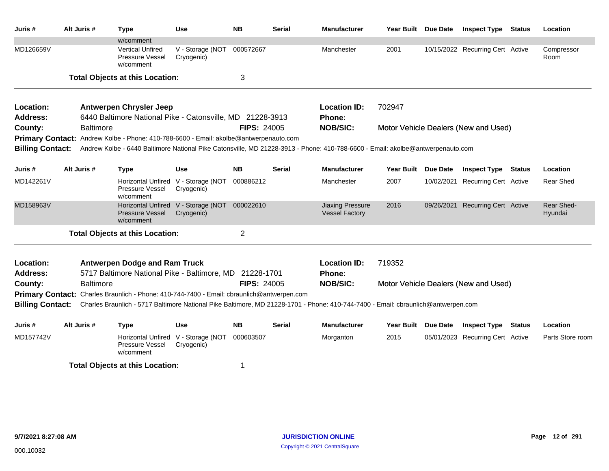| Juris #                    | Alt Juris #      | <b>Type</b>                                                                                                                       | <b>Use</b>                                        | <b>NB</b>          | <b>Serial</b> | <b>Manufacturer</b>                              | Year Built Due Date |                 | <b>Inspect Type Status</b>           |               | Location              |
|----------------------------|------------------|-----------------------------------------------------------------------------------------------------------------------------------|---------------------------------------------------|--------------------|---------------|--------------------------------------------------|---------------------|-----------------|--------------------------------------|---------------|-----------------------|
| MD126659V                  |                  | w/comment<br><b>Vertical Unfired</b><br>Pressure Vessel<br>w/comment                                                              | V - Storage (NOT<br>Cryogenic)                    | 000572667          |               | Manchester                                       | 2001                |                 | 10/15/2022 Recurring Cert Active     |               | Compressor<br>Room    |
|                            |                  | <b>Total Objects at this Location:</b>                                                                                            |                                                   | 3                  |               |                                                  |                     |                 |                                      |               |                       |
| Location:                  |                  | <b>Antwerpen Chrysler Jeep</b>                                                                                                    |                                                   |                    |               | <b>Location ID:</b>                              | 702947              |                 |                                      |               |                       |
| <b>Address:</b><br>County: | <b>Baltimore</b> | 6440 Baltimore National Pike - Catonsville, MD 21228-3913                                                                         |                                                   | <b>FIPS: 24005</b> |               | Phone:<br><b>NOB/SIC:</b>                        |                     |                 | Motor Vehicle Dealers (New and Used) |               |                       |
|                            |                  | Primary Contact: Andrew Kolbe - Phone: 410-788-6600 - Email: akolbe@antwerpenauto.com                                             |                                                   |                    |               |                                                  |                     |                 |                                      |               |                       |
| <b>Billing Contact:</b>    |                  | Andrew Kolbe - 6440 Baltimore National Pike Catonsville, MD 21228-3913 - Phone: 410-788-6600 - Email: akolbe@antwerpenauto.com    |                                                   |                    |               |                                                  |                     |                 |                                      |               |                       |
| Juris #                    | Alt Juris #      | <b>Type</b>                                                                                                                       | <b>Use</b>                                        | <b>NB</b>          | Serial        | <b>Manufacturer</b>                              | <b>Year Built</b>   | <b>Due Date</b> | <b>Inspect Type</b>                  | <b>Status</b> | Location              |
| MD142261V                  |                  | Pressure Vessel<br>w/comment                                                                                                      | Horizontal Unfired V - Storage (NOT<br>Cryogenic) | 000886212          |               | Manchester                                       | 2007                |                 | 10/02/2021 Recurring Cert Active     |               | <b>Rear Shed</b>      |
| MD158963V                  |                  | <b>Pressure Vessel</b><br>w/comment                                                                                               | Horizontal Unfired V - Storage (NOT<br>Cryogenic) | 000022610          |               | <b>Jiaxing Pressure</b><br><b>Vessel Factory</b> | 2016                |                 | 09/26/2021 Recurring Cert Active     |               | Rear Shed-<br>Hyundai |
|                            |                  | <b>Total Objects at this Location:</b>                                                                                            |                                                   | $\overline{2}$     |               |                                                  |                     |                 |                                      |               |                       |
| Location:                  |                  | <b>Antwerpen Dodge and Ram Truck</b>                                                                                              |                                                   |                    |               | <b>Location ID:</b>                              | 719352              |                 |                                      |               |                       |
| <b>Address:</b><br>County: | <b>Baltimore</b> | 5717 Baltimore National Pike - Baltimore, MD 21228-1701                                                                           |                                                   | <b>FIPS: 24005</b> |               | <b>Phone:</b><br><b>NOB/SIC:</b>                 |                     |                 | Motor Vehicle Dealers (New and Used) |               |                       |
|                            |                  | Primary Contact: Charles Braunlich - Phone: 410-744-7400 - Email: cbraunlich@antwerpen.com                                        |                                                   |                    |               |                                                  |                     |                 |                                      |               |                       |
| <b>Billing Contact:</b>    |                  | Charles Braunlich - 5717 Baltimore National Pike Baltimore, MD 21228-1701 - Phone: 410-744-7400 - Email: cbraunlich@antwerpen.com |                                                   |                    |               |                                                  |                     |                 |                                      |               |                       |
| Juris #                    | Alt Juris #      | Type                                                                                                                              | Use                                               | <b>NB</b>          | <b>Serial</b> | <b>Manufacturer</b>                              | Year Built Due Date |                 | <b>Inspect Type Status</b>           |               | Location              |
| MD157742V                  |                  | Pressure Vessel<br>w/comment                                                                                                      | Horizontal Unfired V - Storage (NOT<br>Cryogenic) | 000603507          |               | Morganton                                        | 2015                |                 | 05/01/2023 Recurring Cert Active     |               | Parts Store room      |
|                            |                  | <b>Total Objects at this Location:</b>                                                                                            |                                                   | -1                 |               |                                                  |                     |                 |                                      |               |                       |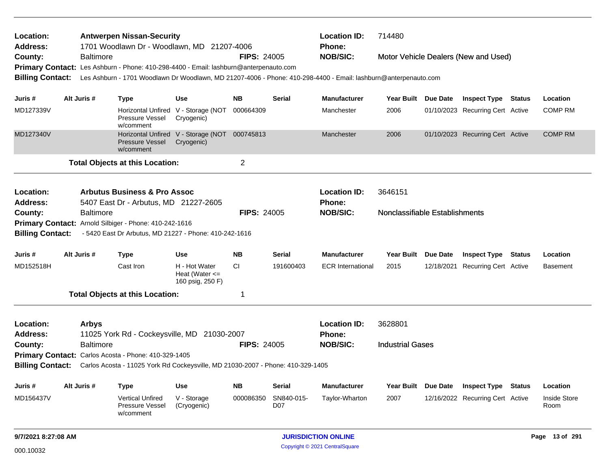| Location:<br><b>Antwerpen Nissan-Security</b><br>1701 Woodlawn Dr - Woodlawn, MD 21207-4006<br><b>Address:</b> |  |                  |                                                                                       |                                                             |                    |                   | <b>Location ID:</b><br>Phone:                                                                                   | 714480                         |          |                                      |               |                             |
|----------------------------------------------------------------------------------------------------------------|--|------------------|---------------------------------------------------------------------------------------|-------------------------------------------------------------|--------------------|-------------------|-----------------------------------------------------------------------------------------------------------------|--------------------------------|----------|--------------------------------------|---------------|-----------------------------|
| County:                                                                                                        |  | <b>Baltimore</b> |                                                                                       |                                                             | <b>FIPS: 24005</b> |                   | <b>NOB/SIC:</b>                                                                                                 |                                |          | Motor Vehicle Dealers (New and Used) |               |                             |
|                                                                                                                |  |                  | Primary Contact: Les Ashburn - Phone: 410-298-4400 - Email: lashburn@anterpenauto.com |                                                             |                    |                   |                                                                                                                 |                                |          |                                      |               |                             |
| <b>Billing Contact:</b>                                                                                        |  |                  |                                                                                       |                                                             |                    |                   | Les Ashburn - 1701 Woodlawn Dr Woodlawn, MD 21207-4006 - Phone: 410-298-4400 - Email: lashburn@anterpenauto.com |                                |          |                                      |               |                             |
| Juris #                                                                                                        |  | Alt Juris #      | Type                                                                                  | <b>Use</b>                                                  | NB.                | Serial            | <b>Manufacturer</b>                                                                                             | Year Built Due Date            |          | <b>Inspect Type Status</b>           |               | Location                    |
| MD127339V                                                                                                      |  |                  | Pressure Vessel<br>w/comment                                                          | Horizontal Unfired V - Storage (NOT<br>Cryogenic)           | 000664309          |                   | Manchester                                                                                                      | 2006                           |          | 01/10/2023 Recurring Cert Active     |               | <b>COMP RM</b>              |
| MD127340V                                                                                                      |  |                  | <b>Pressure Vessel</b><br>w/comment                                                   | Horizontal Unfired V - Storage (NOT 000745813<br>Cryogenic) |                    |                   | Manchester                                                                                                      | 2006                           |          | 01/10/2023 Recurring Cert Active     |               | <b>COMP RM</b>              |
|                                                                                                                |  |                  | <b>Total Objects at this Location:</b>                                                |                                                             | 2                  |                   |                                                                                                                 |                                |          |                                      |               |                             |
| Location:                                                                                                      |  |                  | <b>Arbutus Business &amp; Pro Assoc</b>                                               |                                                             |                    |                   | <b>Location ID:</b>                                                                                             | 3646151                        |          |                                      |               |                             |
| <b>Address:</b>                                                                                                |  |                  | 5407 East Dr - Arbutus, MD 21227-2605                                                 |                                                             |                    |                   | Phone:                                                                                                          |                                |          |                                      |               |                             |
| County:                                                                                                        |  | <b>Baltimore</b> |                                                                                       |                                                             | <b>FIPS: 24005</b> |                   | <b>NOB/SIC:</b>                                                                                                 | Nonclassifiable Establishments |          |                                      |               |                             |
|                                                                                                                |  |                  | Primary Contact: Arnold Silbiger - Phone: 410-242-1616                                |                                                             |                    |                   |                                                                                                                 |                                |          |                                      |               |                             |
| <b>Billing Contact:</b>                                                                                        |  |                  | - 5420 East Dr Arbutus, MD 21227 - Phone: 410-242-1616                                |                                                             |                    |                   |                                                                                                                 |                                |          |                                      |               |                             |
| Juris #                                                                                                        |  | Alt Juris #      | <b>Type</b>                                                                           | <b>Use</b>                                                  | NΒ                 | Serial            | <b>Manufacturer</b>                                                                                             | Year Built Due Date            |          | <b>Inspect Type</b>                  | <b>Status</b> | Location                    |
| MD152518H                                                                                                      |  |                  | Cast Iron                                                                             | H - Hot Water<br>Heat (Water $\leq$<br>160 psig, 250 F)     | <b>CI</b>          | 191600403         | <b>ECR International</b>                                                                                        | 2015                           |          | 12/18/2021 Recurring Cert Active     |               | Basement                    |
|                                                                                                                |  |                  | <b>Total Objects at this Location:</b>                                                |                                                             | 1                  |                   |                                                                                                                 |                                |          |                                      |               |                             |
| Location:                                                                                                      |  | <b>Arbys</b>     |                                                                                       |                                                             |                    |                   | <b>Location ID:</b>                                                                                             | 3628801                        |          |                                      |               |                             |
| <b>Address:</b>                                                                                                |  |                  | 11025 York Rd - Cockeysville, MD 21030-2007                                           |                                                             |                    |                   | <b>Phone:</b>                                                                                                   |                                |          |                                      |               |                             |
| County:                                                                                                        |  | <b>Baltimore</b> |                                                                                       |                                                             | <b>FIPS: 24005</b> |                   | <b>NOB/SIC:</b>                                                                                                 | <b>Industrial Gases</b>        |          |                                      |               |                             |
|                                                                                                                |  |                  | Primary Contact: Carlos Acosta - Phone: 410-329-1405                                  |                                                             |                    |                   |                                                                                                                 |                                |          |                                      |               |                             |
| <b>Billing Contact:</b>                                                                                        |  |                  | Carlos Acosta - 11025 York Rd Cockeysville, MD 21030-2007 - Phone: 410-329-1405       |                                                             |                    |                   |                                                                                                                 |                                |          |                                      |               |                             |
| Juris #                                                                                                        |  | Alt Juris #      | <b>Type</b>                                                                           | <b>Use</b>                                                  | <b>NB</b>          | Serial            | <b>Manufacturer</b>                                                                                             | <b>Year Built</b>              | Due Date | <b>Inspect Type</b>                  | <b>Status</b> | Location                    |
| MD156437V                                                                                                      |  |                  | <b>Vertical Unfired</b><br><b>Pressure Vessel</b><br>w/comment                        | V - Storage<br>(Cryogenic)                                  | 000086350          | SN840-015-<br>D07 | Taylor-Wharton                                                                                                  | 2007                           |          | 12/16/2022 Recurring Cert Active     |               | <b>Inside Store</b><br>Room |
| 9/7/2021 8:27:08 AM                                                                                            |  |                  |                                                                                       |                                                             |                    |                   | <b>JURISDICTION ONLINE</b>                                                                                      |                                |          |                                      |               | Page 13 of 291              |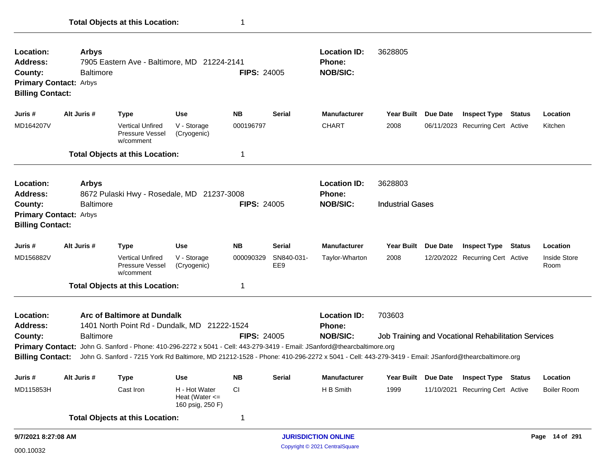| 9/7/2021 8:27:08 AM                                                                    |                  |                                                                                                                                                 |                                                         |                    |                   | <b>JURISDICTION ONLINE</b>       |                         |                 |                                                     | Page 14 of 291       |
|----------------------------------------------------------------------------------------|------------------|-------------------------------------------------------------------------------------------------------------------------------------------------|---------------------------------------------------------|--------------------|-------------------|----------------------------------|-------------------------|-----------------|-----------------------------------------------------|----------------------|
|                                                                                        |                  | <b>Total Objects at this Location:</b>                                                                                                          |                                                         | 1                  |                   |                                  |                         |                 |                                                     |                      |
| MD115853H                                                                              |                  | Cast Iron                                                                                                                                       | H - Hot Water<br>Heat (Water $\leq$<br>160 psig, 250 F) | <b>CI</b>          |                   | H B Smith                        | 1999                    |                 | 11/10/2021 Recurring Cert Active                    | <b>Boiler Room</b>   |
| Juris #                                                                                | Alt Juris #      | Type                                                                                                                                            | <b>Use</b>                                              | <b>NB</b>          | <b>Serial</b>     | <b>Manufacturer</b>              | Year Built Due Date     |                 | <b>Inspect Type Status</b>                          | Location             |
| <b>Billing Contact:</b>                                                                |                  | John G. Sanford - 7215 York Rd Baltimore, MD 21212-1528 - Phone: 410-296-2272 x 5041 - Cell: 443-279-3419 - Email: JSanford@thearcbaltimore.org |                                                         |                    |                   |                                  |                         |                 |                                                     |                      |
|                                                                                        |                  | Primary Contact: John G. Sanford - Phone: 410-296-2272 x 5041 - Cell: 443-279-3419 - Email: JSanford@thearcbaltimore.org                        |                                                         |                    |                   |                                  |                         |                 |                                                     |                      |
| County:                                                                                | <b>Baltimore</b> |                                                                                                                                                 |                                                         | <b>FIPS: 24005</b> |                   | <b>NOB/SIC:</b>                  |                         |                 | Job Training and Vocational Rehabilitation Services |                      |
| Location:<br><b>Address:</b>                                                           |                  | Arc of Baltimore at Dundalk<br>1401 North Point Rd - Dundalk, MD 21222-1524                                                                     |                                                         |                    |                   | <b>Location ID:</b><br>Phone:    | 703603                  |                 |                                                     |                      |
|                                                                                        |                  | <b>Total Objects at this Location:</b>                                                                                                          |                                                         | 1                  |                   |                                  |                         |                 |                                                     |                      |
| MD156882V                                                                              |                  | <b>Vertical Unfired</b><br>Pressure Vessel<br>w/comment                                                                                         | V - Storage<br>(Cryogenic)                              | 000090329          | SN840-031-<br>EE9 | Taylor-Wharton                   | 2008                    |                 | 12/20/2022 Recurring Cert Active                    | Inside Store<br>Room |
| Juris #                                                                                | Alt Juris #      | <b>Type</b>                                                                                                                                     | <b>Use</b>                                              | <b>NB</b>          | Serial            | <b>Manufacturer</b>              | <b>Year Built</b>       | <b>Due Date</b> | <b>Inspect Type Status</b>                          | Location             |
| <b>Billing Contact:</b>                                                                |                  |                                                                                                                                                 |                                                         |                    |                   |                                  |                         |                 |                                                     |                      |
| <b>Primary Contact: Arbys</b>                                                          |                  |                                                                                                                                                 |                                                         |                    |                   |                                  |                         |                 |                                                     |                      |
| County:                                                                                | <b>Baltimore</b> |                                                                                                                                                 |                                                         | <b>FIPS: 24005</b> |                   | <b>NOB/SIC:</b>                  | <b>Industrial Gases</b> |                 |                                                     |                      |
| Location:<br><b>Address:</b>                                                           | <b>Arbys</b>     | 8672 Pulaski Hwy - Rosedale, MD 21237-3008                                                                                                      |                                                         |                    |                   | <b>Location ID:</b><br>Phone:    | 3628803                 |                 |                                                     |                      |
|                                                                                        |                  | <b>Total Objects at this Location:</b>                                                                                                          |                                                         | $\mathbf 1$        |                   |                                  |                         |                 |                                                     |                      |
| MD164207V                                                                              |                  | <b>Vertical Unfired</b><br>Pressure Vessel<br>w/comment                                                                                         | V - Storage<br>(Cryogenic)                              | 000196797          |                   | <b>CHART</b>                     | 2008                    |                 | 06/11/2023 Recurring Cert Active                    | Kitchen              |
| Juris #                                                                                | Alt Juris #      | <b>Type</b>                                                                                                                                     | <b>Use</b>                                              | <b>NB</b>          | <b>Serial</b>     | <b>Manufacturer</b>              | Year Built Due Date     |                 | <b>Inspect Type Status</b>                          | Location             |
| <b>Address:</b><br>County:<br><b>Primary Contact: Arbys</b><br><b>Billing Contact:</b> | <b>Baltimore</b> | 7905 Eastern Ave - Baltimore, MD 21224-2141                                                                                                     |                                                         | <b>FIPS: 24005</b> |                   | <b>Phone:</b><br><b>NOB/SIC:</b> |                         |                 |                                                     |                      |
| Location:                                                                              | <b>Arbys</b>     |                                                                                                                                                 |                                                         |                    |                   | <b>Location ID:</b>              | 3628805                 |                 |                                                     |                      |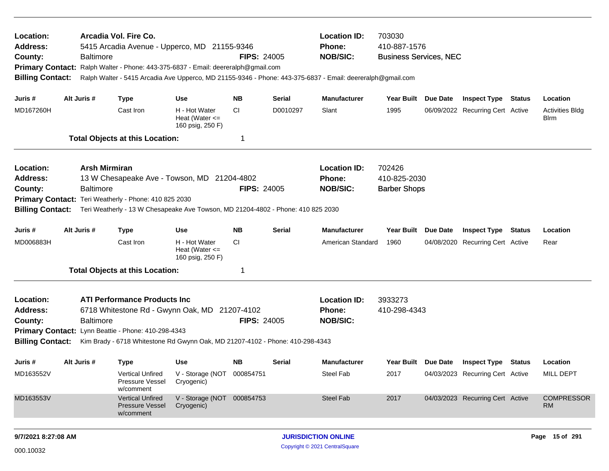| Location:<br>Address:<br>County:<br><b>Primary Contact:</b><br><b>Billing Contact:</b>        | <b>Baltimore</b>                         | Arcadia Vol. Fire Co.<br>5415 Arcadia Avenue - Upperco, MD 21155-9346<br>Ralph Walter - Phone: 443-375-6837 - Email: deereralph@gmail.com                                                                    |                                                         | <b>FIPS: 24005</b> |                                                         | <b>Location ID:</b><br><b>Phone:</b><br><b>NOB/SIC:</b><br>Ralph Walter - 5415 Arcadia Ave Upperco, MD 21155-9346 - Phone: 443-375-6837 - Email: deereralph@gmail.com | 703030<br>410-887-1576<br><b>Business Services, NEC</b> |                 |                                  |        |                                        |
|-----------------------------------------------------------------------------------------------|------------------------------------------|--------------------------------------------------------------------------------------------------------------------------------------------------------------------------------------------------------------|---------------------------------------------------------|--------------------|---------------------------------------------------------|-----------------------------------------------------------------------------------------------------------------------------------------------------------------------|---------------------------------------------------------|-----------------|----------------------------------|--------|----------------------------------------|
| Juris #                                                                                       | Alt Juris #                              | <b>Type</b>                                                                                                                                                                                                  | <b>Use</b>                                              | <b>NB</b>          | <b>Serial</b>                                           | <b>Manufacturer</b>                                                                                                                                                   | Year Built Due Date                                     |                 | <b>Inspect Type Status</b>       |        | Location                               |
| MD167260H                                                                                     |                                          | Cast Iron                                                                                                                                                                                                    | H - Hot Water<br>Heat (Water $\leq$<br>160 psig, 250 F) | СI                 | D0010297                                                | Slant                                                                                                                                                                 | 1995                                                    |                 | 06/09/2022 Recurring Cert Active |        | <b>Activities Bldg</b><br><b>B</b> lrm |
|                                                                                               |                                          | <b>Total Objects at this Location:</b>                                                                                                                                                                       |                                                         | -1                 |                                                         |                                                                                                                                                                       |                                                         |                 |                                  |        |                                        |
| Location:<br>Address:<br>County:<br><b>Billing Contact:</b>                                   | <b>Arsh Mirmiran</b><br><b>Baltimore</b> | 13 W Chesapeake Ave - Towson, MD 21204-4802<br>Primary Contact: Teri Weatherly - Phone: 410 825 2030<br>Teri Weatherly - 13 W Chesapeake Ave Towson, MD 21204-4802 - Phone: 410 825 2030                     |                                                         | <b>FIPS: 24005</b> |                                                         | <b>Location ID:</b><br><b>Phone:</b><br><b>NOB/SIC:</b>                                                                                                               | 702426<br>410-825-2030<br><b>Barber Shops</b>           |                 |                                  |        |                                        |
| Juris #                                                                                       | Alt Juris #                              | <b>Type</b>                                                                                                                                                                                                  | <b>Use</b>                                              | <b>NB</b>          | <b>Serial</b>                                           | Manufacturer                                                                                                                                                          | Year Built                                              | <b>Due Date</b> | <b>Inspect Type</b>              | Status | Location                               |
| MD006883H                                                                                     |                                          | Cast Iron                                                                                                                                                                                                    | H - Hot Water<br>Heat (Water $\leq$<br>160 psig, 250 F) | CI                 |                                                         | American Standard                                                                                                                                                     | 1960                                                    |                 | 04/08/2020 Recurring Cert Active |        | Rear                                   |
|                                                                                               |                                          | <b>Total Objects at this Location:</b>                                                                                                                                                                       |                                                         | -1                 |                                                         |                                                                                                                                                                       |                                                         |                 |                                  |        |                                        |
| Location:<br><b>Address:</b><br>County:<br><b>Primary Contact:</b><br><b>Billing Contact:</b> | <b>Baltimore</b>                         | <b>ATI Performance Products Inc.</b><br>6718 Whitestone Rd - Gwynn Oak, MD 21207-4102<br>Lynn Beattie - Phone: 410-298-4343<br>Kim Brady - 6718 Whitestone Rd Gwynn Oak, MD 21207-4102 - Phone: 410-298-4343 |                                                         | <b>FIPS: 24005</b> | <b>Location ID:</b><br><b>Phone:</b><br><b>NOB/SIC:</b> | 3933273<br>410-298-4343                                                                                                                                               |                                                         |                 |                                  |        |                                        |
| Juris #                                                                                       | Alt Juris #                              | <b>Type</b>                                                                                                                                                                                                  | <b>Use</b>                                              | <b>NB</b>          | <b>Serial</b>                                           | <b>Manufacturer</b>                                                                                                                                                   | Year Built Due Date                                     |                 | <b>Inspect Type Status</b>       |        | Location                               |
| MD163552V                                                                                     |                                          | Vertical Unfired<br>Pressure Vessel<br>w/comment                                                                                                                                                             | V - Storage (NOT 000854751<br>Cryogenic)                |                    |                                                         | Steel Fab                                                                                                                                                             | 2017                                                    |                 | 04/03/2023 Recurring Cert Active |        | MILL DEPT                              |
| MD163553V                                                                                     |                                          | <b>Vertical Unfired</b><br><b>Pressure Vessel</b><br>w/comment                                                                                                                                               | V - Storage (NOT 000854753<br>Cryogenic)                |                    |                                                         | Steel Fab                                                                                                                                                             | 2017                                                    |                 | 04/03/2023 Recurring Cert Active |        | <b>COMPRESSOR</b><br><b>RM</b>         |
| 9/7/2021 8:27:08 AM                                                                           |                                          |                                                                                                                                                                                                              |                                                         |                    |                                                         | <b>JURISDICTION ONLINE</b>                                                                                                                                            |                                                         |                 |                                  |        | Page 15 of 291                         |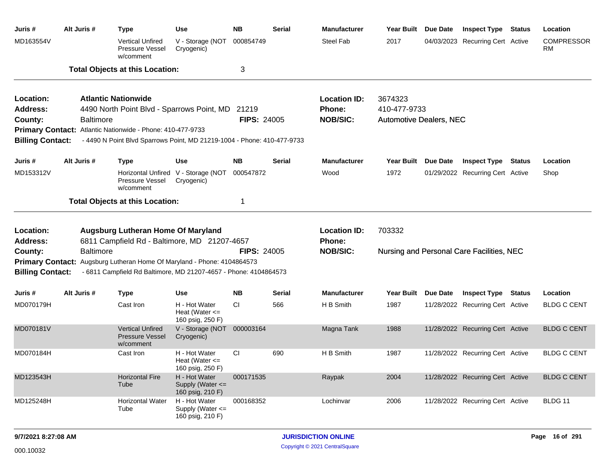| Juris #                            | Alt Juris #      | <b>Type</b>                                                                                                                                 | <b>Use</b>                                              | <b>NB</b>          | <b>Serial</b> | <b>Manufacturer</b>           | Year Built Due Date            |                     | <b>Inspect Type</b>                       | <b>Status</b> | Location                       |
|------------------------------------|------------------|---------------------------------------------------------------------------------------------------------------------------------------------|---------------------------------------------------------|--------------------|---------------|-------------------------------|--------------------------------|---------------------|-------------------------------------------|---------------|--------------------------------|
| MD163554V                          |                  | <b>Vertical Unfired</b><br>Pressure Vessel<br>w/comment                                                                                     | V - Storage (NOT<br>Cryogenic)                          | 000854749          |               | Steel Fab                     | 2017                           |                     | 04/03/2023 Recurring Cert Active          |               | <b>COMPRESSOR</b><br><b>RM</b> |
|                                    |                  | <b>Total Objects at this Location:</b>                                                                                                      |                                                         | 3                  |               |                               |                                |                     |                                           |               |                                |
| Location:                          |                  | <b>Atlantic Nationwide</b>                                                                                                                  |                                                         |                    |               | <b>Location ID:</b>           | 3674323                        |                     |                                           |               |                                |
| <b>Address:</b>                    |                  | 4490 North Point Blvd - Sparrows Point, MD 21219                                                                                            |                                                         |                    |               | Phone:                        | 410-477-9733                   |                     |                                           |               |                                |
| County:                            | <b>Baltimore</b> |                                                                                                                                             |                                                         | <b>FIPS: 24005</b> |               | <b>NOB/SIC:</b>               | <b>Automotive Dealers, NEC</b> |                     |                                           |               |                                |
|                                    |                  | Primary Contact: Atlantic Nationwide - Phone: 410-477-9733                                                                                  |                                                         |                    |               |                               |                                |                     |                                           |               |                                |
| <b>Billing Contact:</b>            |                  | -4490 N Point Blvd Sparrows Point, MD 21219-1004 - Phone: 410-477-9733                                                                      |                                                         |                    |               |                               |                                |                     |                                           |               |                                |
| Juris #                            | Alt Juris #      | <b>Type</b>                                                                                                                                 | <b>Use</b>                                              | <b>NB</b>          | <b>Serial</b> | <b>Manufacturer</b>           |                                | Year Built Due Date | <b>Inspect Type</b>                       | <b>Status</b> | Location                       |
| MD153312V                          |                  | Pressure Vessel<br>w/comment                                                                                                                | Horizontal Unfired V - Storage (NOT<br>Cryogenic)       | 000547872          |               | Wood                          | 1972                           |                     | 01/29/2022 Recurring Cert Active          |               | Shop                           |
|                                    |                  | <b>Total Objects at this Location:</b>                                                                                                      |                                                         | $\mathbf 1$        |               |                               |                                |                     |                                           |               |                                |
| Location:<br><b>Address:</b>       |                  | <b>Augsburg Lutheran Home Of Maryland</b><br>6811 Campfield Rd - Baltimore, MD 21207-4657                                                   |                                                         |                    |               | <b>Location ID:</b><br>Phone: | 703332                         |                     |                                           |               |                                |
| County:<br><b>Billing Contact:</b> | <b>Baltimore</b> | Primary Contact: Augsburg Lutheran Home Of Maryland - Phone: 4104864573<br>- 6811 Campfield Rd Baltimore, MD 21207-4657 - Phone: 4104864573 |                                                         | <b>FIPS: 24005</b> |               | <b>NOB/SIC:</b>               |                                |                     | Nursing and Personal Care Facilities, NEC |               |                                |
| Juris #                            | Alt Juris #      | <b>Type</b>                                                                                                                                 | <b>Use</b>                                              | <b>NB</b>          | <b>Serial</b> | <b>Manufacturer</b>           | Year Built Due Date            |                     | <b>Inspect Type</b>                       | <b>Status</b> | Location                       |
| MD070179H                          |                  | Cast Iron                                                                                                                                   | H - Hot Water<br>Heat (Water $\leq$<br>160 psig, 250 F) | <b>CI</b>          | 566           | H B Smith                     | 1987                           |                     | 11/28/2022 Recurring Cert Active          |               | <b>BLDG C CENT</b>             |
| MD070181V                          |                  | <b>Vertical Unfired</b><br><b>Pressure Vessel</b><br>w/comment                                                                              | V - Storage (NOT 000003164<br>Cryogenic)                |                    |               | Magna Tank                    | 1988                           |                     | 11/28/2022 Recurring Cert Active          |               | <b>BLDG C CENT</b>             |
| MD070184H                          |                  | Cast Iron                                                                                                                                   | H - Hot Water<br>Heat (Water $\leq$<br>160 psig, 250 F) | <b>CI</b>          | 690           | H B Smith                     | 1987                           |                     | 11/28/2022 Recurring Cert Active          |               | <b>BLDG C CENT</b>             |
| MD123543H                          |                  | <b>Horizontal Fire</b><br>Tube                                                                                                              | H - Hot Water<br>Supply (Water <=<br>160 psig, 210 F)   | 000171535          |               | Raypak                        | 2004                           |                     | 11/28/2022 Recurring Cert Active          |               | <b>BLDG C CENT</b>             |
| MD125248H                          |                  | <b>Horizontal Water</b><br>Tube                                                                                                             | H - Hot Water<br>Supply (Water <=<br>160 psig, 210 F)   | 000168352          |               | Lochinvar                     | 2006                           |                     | 11/28/2022 Recurring Cert Active          |               | BLDG 11                        |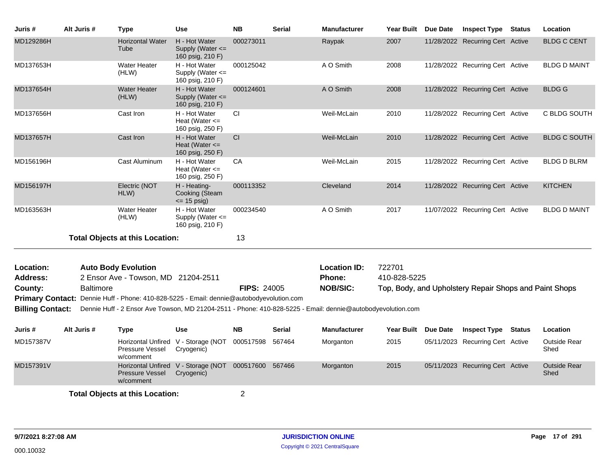| Juris #                 | Alt Juris #      | <b>Type</b>                                                                              | <b>Use</b>                                                | <b>NB</b>          | <b>Serial</b> | <b>Manufacturer</b>                                                                                         | <b>Year Built</b> | Due Date        | <b>Inspect Type</b>                                    | <b>Status</b> | Location                    |
|-------------------------|------------------|------------------------------------------------------------------------------------------|-----------------------------------------------------------|--------------------|---------------|-------------------------------------------------------------------------------------------------------------|-------------------|-----------------|--------------------------------------------------------|---------------|-----------------------------|
| MD129286H               |                  | <b>Horizontal Water</b><br>Tube                                                          | H - Hot Water<br>Supply (Water $\leq$<br>160 psig, 210 F) | 000273011          |               | Raypak                                                                                                      | 2007              |                 | 11/28/2022 Recurring Cert Active                       |               | <b>BLDG C CENT</b>          |
| MD137653H               |                  | <b>Water Heater</b><br>(HLW)                                                             | H - Hot Water<br>Supply (Water <=<br>160 psig, 210 F)     | 000125042          |               | A O Smith                                                                                                   | 2008              |                 | 11/28/2022 Recurring Cert Active                       |               | <b>BLDG D MAINT</b>         |
| MD137654H               |                  | <b>Water Heater</b><br>(HLW)                                                             | H - Hot Water<br>Supply (Water <=<br>160 psig, 210 F)     | 000124601          |               | A O Smith                                                                                                   | 2008              |                 | 11/28/2022 Recurring Cert Active                       |               | <b>BLDGG</b>                |
| MD137656H               |                  | Cast Iron                                                                                | H - Hot Water<br>Heat (Water $\leq$<br>160 psig, 250 F)   | <b>CI</b>          |               | Weil-McLain                                                                                                 | 2010              |                 | 11/28/2022 Recurring Cert Active                       |               | C BLDG SOUTH                |
| MD137657H               |                  | Cast Iron                                                                                | H - Hot Water<br>Heat (Water $\leq$<br>160 psig, 250 F)   | CI                 |               | Weil-McLain                                                                                                 | 2010              |                 | 11/28/2022 Recurring Cert Active                       |               | <b>BLDG C SOUTH</b>         |
| MD156196H               |                  | Cast Aluminum                                                                            | H - Hot Water<br>Heat (Water $\leq$<br>160 psig, 250 F)   | CA                 |               | Weil-McLain                                                                                                 | 2015              |                 | 11/28/2022 Recurring Cert Active                       |               | <b>BLDG D BLRM</b>          |
| MD156197H               |                  | Electric (NOT<br>HLW)                                                                    | H - Heating-<br>Cooking (Steam<br>$\le$ 15 psig)          | 000113352          |               | Cleveland                                                                                                   | 2014              |                 | 11/28/2022 Recurring Cert Active                       |               | <b>KITCHEN</b>              |
| MD163563H               |                  | <b>Water Heater</b><br>(HLW)                                                             | H - Hot Water<br>Supply (Water <=<br>160 psig, 210 F)     | 000234540          |               | A O Smith                                                                                                   | 2017              |                 | 11/07/2022 Recurring Cert Active                       |               | <b>BLDG D MAINT</b>         |
|                         |                  | <b>Total Objects at this Location:</b>                                                   |                                                           | 13                 |               |                                                                                                             |                   |                 |                                                        |               |                             |
| Location:               |                  | <b>Auto Body Evolution</b>                                                               |                                                           |                    |               | <b>Location ID:</b>                                                                                         | 722701            |                 |                                                        |               |                             |
| <b>Address:</b>         |                  | 2 Ensor Ave - Towson, MD 21204-2511                                                      |                                                           |                    |               | Phone:                                                                                                      | 410-828-5225      |                 |                                                        |               |                             |
| County:                 | <b>Baltimore</b> |                                                                                          |                                                           | <b>FIPS: 24005</b> |               | <b>NOB/SIC:</b>                                                                                             |                   |                 | Top, Body, and Upholstery Repair Shops and Paint Shops |               |                             |
|                         |                  | Primary Contact: Dennie Huff - Phone: 410-828-5225 - Email: dennie@autobodyevolution.com |                                                           |                    |               |                                                                                                             |                   |                 |                                                        |               |                             |
| <b>Billing Contact:</b> |                  |                                                                                          |                                                           |                    |               | Dennie Huff - 2 Ensor Ave Towson, MD 21204-2511 - Phone: 410-828-5225 - Email: dennie@autobodyevolution.com |                   |                 |                                                        |               |                             |
| Juris #                 | Alt Juris #      | <b>Type</b>                                                                              | <b>Use</b>                                                | <b>NB</b>          | Serial        | <b>Manufacturer</b>                                                                                         | <b>Year Built</b> | <b>Due Date</b> | <b>Inspect Type Status</b>                             |               | Location                    |
| MD157387V               |                  | Horizontal Unfired<br><b>Pressure Vessel</b><br>w/comment                                | V - Storage (NOT<br>Cryogenic)                            | 000517598          | 567464        | Morganton                                                                                                   | 2015              |                 | 05/11/2023 Recurring Cert Active                       |               | <b>Outside Rear</b><br>Shed |
| MD157391V               |                  | Pressure Vessel<br>w/comment                                                             | Horizontal Unfired V - Storage (NOT<br>Cryogenic)         | 000517600          | 567466        | Morganton                                                                                                   | 2015              |                 | 05/11/2023 Recurring Cert Active                       |               | <b>Outside Rear</b><br>Shed |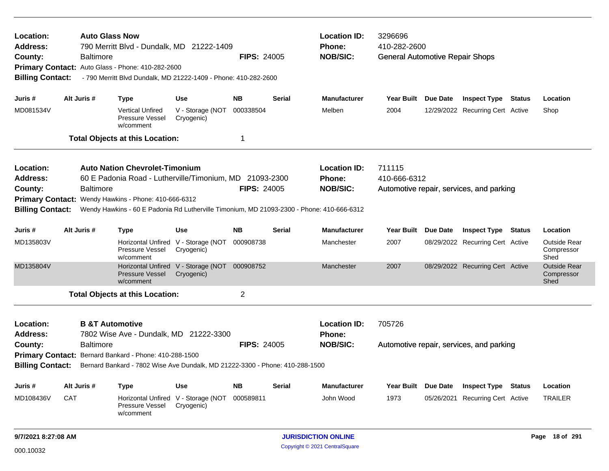| Location:<br>Address:<br>County:<br><b>Billing Contact:</b> | <b>Baltimore</b> | <b>Auto Glass Now</b><br>790 Merritt Blvd - Dundalk, MD 21222-1409<br>Primary Contact: Auto Glass - Phone: 410-282-2600<br>- 790 Merritt Blvd Dundalk, MD 21222-1409 - Phone: 410-282-2600                                                            |                                                   | <b>FIPS: 24005</b> |        | <b>Location ID:</b><br>Phone:<br><b>NOB/SIC:</b> | 3296696<br>410-282-2600<br><b>General Automotive Repair Shops</b> |            |                                          |                                           |
|-------------------------------------------------------------|------------------|-------------------------------------------------------------------------------------------------------------------------------------------------------------------------------------------------------------------------------------------------------|---------------------------------------------------|--------------------|--------|--------------------------------------------------|-------------------------------------------------------------------|------------|------------------------------------------|-------------------------------------------|
| Juris #                                                     | Alt Juris #      | <b>Type</b>                                                                                                                                                                                                                                           | <b>Use</b>                                        | <b>NB</b>          | Serial | <b>Manufacturer</b>                              | Year Built Due Date                                               |            | <b>Inspect Type Status</b>               | Location                                  |
| MD081534V                                                   |                  | <b>Vertical Unfired</b><br><b>Pressure Vessel</b><br>w/comment                                                                                                                                                                                        | V - Storage (NOT<br>Cryogenic)                    | 000338504          |        | Melben                                           | 2004                                                              |            | 12/29/2022 Recurring Cert Active         | Shop                                      |
|                                                             |                  | <b>Total Objects at this Location:</b>                                                                                                                                                                                                                |                                                   | 1                  |        |                                                  |                                                                   |            |                                          |                                           |
| Location:<br>Address:<br>County:<br><b>Billing Contact:</b> | <b>Baltimore</b> | <b>Auto Nation Chevrolet-Timonium</b><br>60 E Padonia Road - Lutherville/Timonium, MD 21093-2300<br>Primary Contact: Wendy Hawkins - Phone: 410-666-6312<br>Wendy Hawkins - 60 E Padonia Rd Lutherville Timonium, MD 21093-2300 - Phone: 410-666-6312 |                                                   | <b>FIPS: 24005</b> |        | <b>Location ID:</b><br>Phone:<br><b>NOB/SIC:</b> | 711115<br>410-666-6312                                            |            | Automotive repair, services, and parking |                                           |
| Juris #                                                     | Alt Juris #      | <b>Type</b>                                                                                                                                                                                                                                           | <b>Use</b>                                        | NB.                | Serial | <b>Manufacturer</b>                              | <b>Year Built</b>                                                 | Due Date   | <b>Inspect Type Status</b>               | Location                                  |
| MD135803V                                                   |                  | <b>Pressure Vessel</b><br>w/comment                                                                                                                                                                                                                   | Horizontal Unfired V - Storage (NOT<br>Cryogenic) | 000908738          |        | Manchester                                       | 2007                                                              |            | 08/29/2022 Recurring Cert Active         | <b>Outside Rear</b><br>Compressor<br>Shed |
| MD135804V                                                   |                  | <b>Pressure Vessel</b><br>w/comment                                                                                                                                                                                                                   | Horizontal Unfired V - Storage (NOT<br>Cryogenic) | 000908752          |        | Manchester                                       | 2007                                                              |            | 08/29/2022 Recurring Cert Active         | <b>Outside Rear</b><br>Compressor<br>Shed |
|                                                             |                  | <b>Total Objects at this Location:</b>                                                                                                                                                                                                                |                                                   | $\overline{2}$     |        |                                                  |                                                                   |            |                                          |                                           |
| Location:<br><b>Address:</b><br>County:                     | <b>Baltimore</b> | <b>B &amp;T Automotive</b><br>7802 Wise Ave - Dundalk, MD 21222-3300                                                                                                                                                                                  |                                                   | <b>FIPS: 24005</b> |        | <b>Location ID:</b><br>Phone:<br><b>NOB/SIC:</b> | 705726                                                            |            | Automotive repair, services, and parking |                                           |
| <b>Billing Contact:</b>                                     |                  | Primary Contact: Bernard Bankard - Phone: 410-288-1500<br>Bernard Bankard - 7802 Wise Ave Dundalk, MD 21222-3300 - Phone: 410-288-1500                                                                                                                |                                                   |                    |        |                                                  |                                                                   |            |                                          |                                           |
| Juris #                                                     | Alt Juris #      | <b>Type</b>                                                                                                                                                                                                                                           | <b>Use</b>                                        | <b>NB</b>          | Serial | <b>Manufacturer</b>                              | Year Built Due Date                                               |            | <b>Inspect Type Status</b>               | Location                                  |
| MD108436V                                                   | <b>CAT</b>       | <b>Pressure Vessel</b><br>w/comment                                                                                                                                                                                                                   | Horizontal Unfired V - Storage (NOT<br>Cryogenic) | 000589811          |        | John Wood                                        | 1973                                                              | 05/26/2021 | <b>Recurring Cert Active</b>             | <b>TRAILER</b>                            |
| 9/7/2021 8:27:08 AM                                         |                  |                                                                                                                                                                                                                                                       |                                                   |                    |        | <b>JURISDICTION ONLINE</b>                       |                                                                   |            |                                          | Page 18 of 291                            |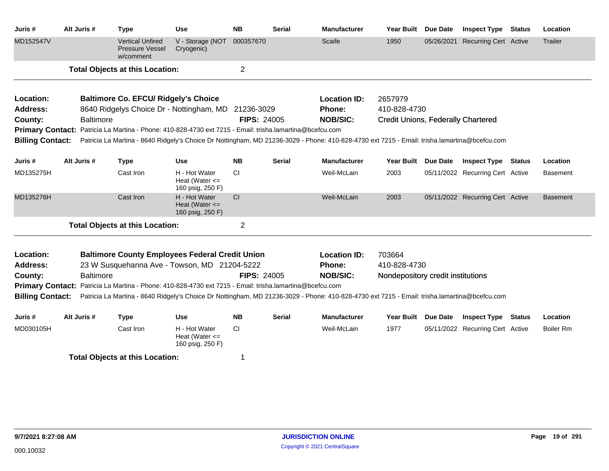| Juris #                 | Alt Juris #      | <b>Type</b>                                                                                                                                  | Use                                                     | <b>NB</b>          | <b>Serial</b> | <b>Manufacturer</b> | Year Built Due Date                       |            | <b>Inspect Type Status</b>       | Location         |
|-------------------------|------------------|----------------------------------------------------------------------------------------------------------------------------------------------|---------------------------------------------------------|--------------------|---------------|---------------------|-------------------------------------------|------------|----------------------------------|------------------|
| MD152547V               |                  | <b>Vertical Unfired</b><br><b>Pressure Vessel</b><br>w/comment                                                                               | V - Storage (NOT<br>Cryogenic)                          | 000357670          |               | Scaife              | 1950                                      | 05/26/2021 | <b>Recurring Cert Active</b>     | Trailer          |
|                         |                  | <b>Total Objects at this Location:</b>                                                                                                       |                                                         | $\overline{2}$     |               |                     |                                           |            |                                  |                  |
| Location:               |                  | <b>Baltimore Co. EFCU/ Ridgely's Choice</b>                                                                                                  |                                                         |                    |               | <b>Location ID:</b> | 2657979                                   |            |                                  |                  |
| <b>Address:</b>         |                  | 8640 Ridgelys Choice Dr - Nottingham, MD                                                                                                     |                                                         | 21236-3029         |               | Phone:              | 410-828-4730                              |            |                                  |                  |
| County:                 | <b>Baltimore</b> |                                                                                                                                              |                                                         | <b>FIPS: 24005</b> |               | <b>NOB/SIC:</b>     | <b>Credit Unions, Federally Chartered</b> |            |                                  |                  |
|                         |                  | Primary Contact: Patricia La Martina - Phone: 410-828-4730 ext 7215 - Email: trisha.lamartina@bcefcu.com                                     |                                                         |                    |               |                     |                                           |            |                                  |                  |
| <b>Billing Contact:</b> |                  | Patricia La Martina - 8640 Ridgely's Choice Dr Nottingham, MD 21236-3029 - Phone: 410-828-4730 ext 7215 - Email: trisha.lamartina@bcefcu.com |                                                         |                    |               |                     |                                           |            |                                  |                  |
| Juris #                 | Alt Juris #      | <b>Type</b>                                                                                                                                  | <b>Use</b>                                              | <b>NB</b>          | <b>Serial</b> | <b>Manufacturer</b> | Year Built Due Date                       |            | <b>Inspect Type Status</b>       | Location         |
| MD135275H               |                  | Cast Iron                                                                                                                                    | H - Hot Water<br>Heat (Water $\leq$<br>160 psig, 250 F) | <b>CI</b>          |               | Weil-McLain         | 2003                                      |            | 05/11/2022 Recurring Cert Active | <b>Basement</b>  |
| MD135276H               |                  | Cast Iron                                                                                                                                    | H - Hot Water<br>Heat (Water $\leq$<br>160 psig, 250 F) | CI                 |               | Weil-McLain         | 2003                                      |            | 05/11/2022 Recurring Cert Active | <b>Basement</b>  |
|                         |                  | <b>Total Objects at this Location:</b>                                                                                                       |                                                         | $\overline{2}$     |               |                     |                                           |            |                                  |                  |
| Location:               |                  | <b>Baltimore County Employees Federal Credit Union</b>                                                                                       |                                                         |                    |               | <b>Location ID:</b> | 703664                                    |            |                                  |                  |
| <b>Address:</b>         |                  | 23 W Susquehanna Ave - Towson, MD 21204-5222                                                                                                 |                                                         |                    |               | <b>Phone:</b>       | 410-828-4730                              |            |                                  |                  |
| County:                 | <b>Baltimore</b> |                                                                                                                                              |                                                         | <b>FIPS: 24005</b> |               | <b>NOB/SIC:</b>     | Nondepository credit institutions         |            |                                  |                  |
| <b>Primary Contact:</b> |                  | Patricia La Martina - Phone: 410-828-4730 ext 7215 - Email: trisha.lamartina@bcefcu.com                                                      |                                                         |                    |               |                     |                                           |            |                                  |                  |
| <b>Billing Contact:</b> |                  | Patricia La Martina - 8640 Ridgely's Choice Dr Nottingham, MD 21236-3029 - Phone: 410-828-4730 ext 7215 - Email: trisha.lamartina@bcefcu.com |                                                         |                    |               |                     |                                           |            |                                  |                  |
| Juris #                 | Alt Juris #      | <b>Type</b>                                                                                                                                  | <b>Use</b>                                              | <b>NB</b>          | <b>Serial</b> | <b>Manufacturer</b> | Year Built Due Date                       |            | <b>Inspect Type Status</b>       | Location         |
| MD030105H               |                  | Cast Iron                                                                                                                                    | H - Hot Water<br>Heat (Water $\leq$<br>160 psig, 250 F) | CI                 |               | Weil-McLain         | 1977                                      |            | 05/11/2022 Recurring Cert Active | <b>Boiler Rm</b> |
|                         |                  | <b>Total Objects at this Location:</b>                                                                                                       |                                                         | 1                  |               |                     |                                           |            |                                  |                  |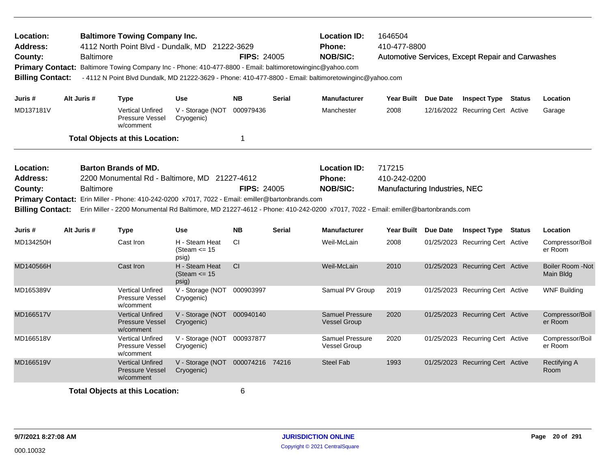| Location:<br><b>Address:</b><br>County:<br>Primary Contact: Baltimore Towing Company Inc - Phone: 410-477-8800 - Email: baltimoretowinginc@yahoo.com<br><b>Billing Contact:</b><br>Juris # |  | <b>Baltimore</b> | <b>Baltimore Towing Company Inc.</b><br>4112 North Point Blvd - Dundalk, MD 21222-3629                                                                                           |                                                | <b>FIPS: 24005</b> |               | <b>Location ID:</b><br>Phone:<br><b>NOB/SIC:</b><br>- 4112 N Point Blvd Dundalk, MD 21222-3629 - Phone: 410-477-8800 - Email: baltimoretowinginc@yahoo.com                               | 1646504<br>410-477-8800                                 |                     | Automotive Services, Except Repair and Carwashes |               |                               |
|--------------------------------------------------------------------------------------------------------------------------------------------------------------------------------------------|--|------------------|----------------------------------------------------------------------------------------------------------------------------------------------------------------------------------|------------------------------------------------|--------------------|---------------|------------------------------------------------------------------------------------------------------------------------------------------------------------------------------------------|---------------------------------------------------------|---------------------|--------------------------------------------------|---------------|-------------------------------|
|                                                                                                                                                                                            |  | Alt Juris #      | <b>Type</b>                                                                                                                                                                      | <b>Use</b>                                     | <b>NB</b>          | <b>Serial</b> | <b>Manufacturer</b>                                                                                                                                                                      | <b>Year Built</b>                                       | <b>Due Date</b>     | <b>Inspect Type</b>                              | <b>Status</b> | Location                      |
| MD137181V                                                                                                                                                                                  |  |                  | <b>Vertical Unfired</b><br><b>Pressure Vessel</b><br>w/comment                                                                                                                   | V - Storage (NOT<br>Cryogenic)                 | 000979436          |               | Manchester                                                                                                                                                                               | 2008                                                    |                     | 12/16/2022 Recurring Cert Active                 |               | Garage                        |
|                                                                                                                                                                                            |  |                  | <b>Total Objects at this Location:</b>                                                                                                                                           |                                                | 1                  |               |                                                                                                                                                                                          |                                                         |                     |                                                  |               |                               |
| Location:<br><b>Address:</b><br>County:<br><b>Billing Contact:</b>                                                                                                                         |  | <b>Baltimore</b> | <b>Barton Brands of MD.</b><br>2200 Monumental Rd - Baltimore, MD 21227-4612<br>Primary Contact: Erin Miller - Phone: 410-242-0200 x7017, 7022 - Email: emiller@bartonbrands.com |                                                | <b>FIPS: 24005</b> |               | <b>Location ID:</b><br><b>Phone:</b><br><b>NOB/SIC:</b><br>Erin Miller - 2200 Monumental Rd Baltimore, MD 21227-4612 - Phone: 410-242-0200 x7017, 7022 - Email: emiller@bartonbrands.com | 717215<br>410-242-0200<br>Manufacturing Industries, NEC |                     |                                                  |               |                               |
| Juris #                                                                                                                                                                                    |  | Alt Juris #      | <b>Type</b>                                                                                                                                                                      | <b>Use</b>                                     | <b>NB</b>          | <b>Serial</b> | <b>Manufacturer</b>                                                                                                                                                                      |                                                         | Year Built Due Date | <b>Inspect Type Status</b>                       |               | Location                      |
| MD134250H                                                                                                                                                                                  |  |                  | Cast Iron                                                                                                                                                                        | H - Steam Heat<br>(Steam $\le$ 15<br>psig)     | <b>CI</b>          |               | Weil-McLain                                                                                                                                                                              | 2008                                                    |                     | 01/25/2023 Recurring Cert Active                 |               | Compressor/Boil<br>er Room    |
| MD140566H                                                                                                                                                                                  |  |                  | Cast Iron                                                                                                                                                                        | H - Steam Heat<br>(Steam $\le$ 15<br>psig)     | <b>CI</b>          |               | Weil-McLain                                                                                                                                                                              | 2010                                                    |                     | 01/25/2023 Recurring Cert Active                 |               | Boiler Room -Not<br>Main Bldg |
| MD165389V                                                                                                                                                                                  |  |                  | <b>Vertical Unfired</b><br>Pressure Vessel<br>w/comment                                                                                                                          | V - Storage (NOT 000903997<br>Cryogenic)       |                    |               | Samual PV Group                                                                                                                                                                          | 2019                                                    |                     | 01/25/2023 Recurring Cert Active                 |               | <b>WNF Building</b>           |
| MD166517V                                                                                                                                                                                  |  |                  | <b>Vertical Unfired</b><br><b>Pressure Vessel</b><br>w/comment                                                                                                                   | V - Storage (NOT 000940140<br>Cryogenic)       |                    |               | <b>Samuel Pressure</b><br><b>Vessel Group</b>                                                                                                                                            | 2020                                                    |                     | 01/25/2023 Recurring Cert Active                 |               | Compressor/Boil<br>er Room    |
| MD166518V                                                                                                                                                                                  |  |                  | <b>Vertical Unfired</b><br>Pressure Vessel<br>w/comment                                                                                                                          | V - Storage (NOT 000937877<br>Cryogenic)       |                    |               | Samuel Pressure<br>Vessel Group                                                                                                                                                          | 2020                                                    |                     | 01/25/2023 Recurring Cert Active                 |               | Compressor/Boil<br>er Room    |
| MD166519V                                                                                                                                                                                  |  |                  | <b>Vertical Unfired</b><br><b>Pressure Vessel</b><br>w/comment                                                                                                                   | V - Storage (NOT 000074216 74216<br>Cryogenic) |                    |               | <b>Steel Fab</b>                                                                                                                                                                         | 1993                                                    |                     | 01/25/2023 Recurring Cert Active                 |               | Rectifying A<br>Room          |
|                                                                                                                                                                                            |  |                  | <b>Total Objects at this Location:</b>                                                                                                                                           |                                                | 6                  |               |                                                                                                                                                                                          |                                                         |                     |                                                  |               |                               |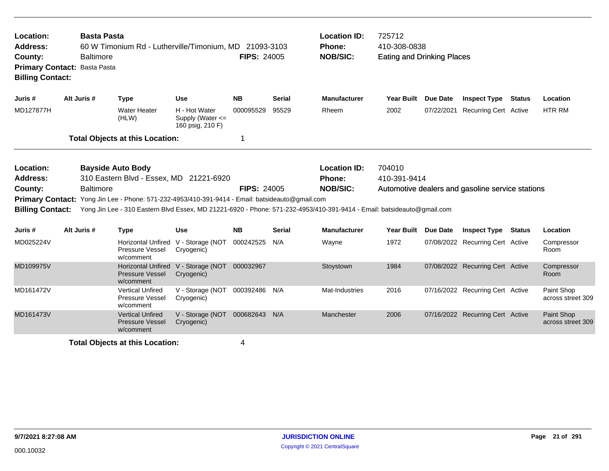| Location:<br>Address:<br>County:<br><b>Billing Contact:</b>                                   | <b>Basta Pasta</b><br><b>Baltimore</b><br>Primary Contact: Basta Pasta | 60 W Timonium Rd - Lutherville/Timonium, MD 21093-3103                                                                                                |                                                           | <b>FIPS: 24005</b> |        | <b>Location ID:</b><br><b>Phone:</b><br><b>NOB/SIC:</b>                                                                                                                           | 725712<br>410-308-0838<br><b>Eating and Drinking Places</b> |                 |                                                  |        |                                 |
|-----------------------------------------------------------------------------------------------|------------------------------------------------------------------------|-------------------------------------------------------------------------------------------------------------------------------------------------------|-----------------------------------------------------------|--------------------|--------|-----------------------------------------------------------------------------------------------------------------------------------------------------------------------------------|-------------------------------------------------------------|-----------------|--------------------------------------------------|--------|---------------------------------|
| Juris #                                                                                       | Alt Juris #                                                            | <b>Type</b>                                                                                                                                           | <b>Use</b>                                                | NB.                | Serial | <b>Manufacturer</b>                                                                                                                                                               | Year Built                                                  | <b>Due Date</b> | <b>Inspect Type</b>                              | Status | Location                        |
| MD127877H                                                                                     |                                                                        | <b>Water Heater</b><br>(HLW)                                                                                                                          | H - Hot Water<br>Supply (Water $\leq$<br>160 psig, 210 F) | 000095529          | 95529  | Rheem                                                                                                                                                                             | 2002                                                        | 07/22/2021      | <b>Recurring Cert Active</b>                     |        | HTR RM                          |
|                                                                                               |                                                                        | <b>Total Objects at this Location:</b>                                                                                                                |                                                           | 1                  |        |                                                                                                                                                                                   |                                                             |                 |                                                  |        |                                 |
| Location:<br><b>Address:</b><br>County:<br><b>Primary Contact:</b><br><b>Billing Contact:</b> | <b>Baltimore</b>                                                       | <b>Bayside Auto Body</b><br>310 Eastern Blvd - Essex, MD 21221-6920<br>Yong Jin Lee - Phone: 571-232-4953/410-391-9414 - Email: batsideauto@gmail.com |                                                           | <b>FIPS: 24005</b> |        | <b>Location ID:</b><br><b>Phone:</b><br><b>NOB/SIC:</b><br>Yong Jin Lee - 310 Eastern Blvd Essex, MD 21221-6920 - Phone: 571-232-4953/410-391-9414 - Email: batsideauto@gmail.com | 704010<br>410-391-9414                                      |                 | Automotive dealers and gasoline service stations |        |                                 |
| Juris #                                                                                       | Alt Juris #                                                            | <b>Type</b>                                                                                                                                           | <b>Use</b>                                                | <b>NB</b>          | Serial | <b>Manufacturer</b>                                                                                                                                                               | Year Built Due Date                                         |                 | <b>Inspect Type Status</b>                       |        | Location                        |
| MD025224V                                                                                     |                                                                        | Pressure Vessel<br>w/comment                                                                                                                          | Horizontal Unfired V - Storage (NOT<br>Cryogenic)         | 000242525          | N/A    | Wayne                                                                                                                                                                             | 1972                                                        |                 | 07/08/2022 Recurring Cert Active                 |        | Compressor<br>Room              |
| MD109975V                                                                                     |                                                                        | <b>Pressure Vessel</b><br>w/comment                                                                                                                   | Horizontal Unfired V - Storage (NOT<br>Cryogenic)         | 000032967          |        | Stoystown                                                                                                                                                                         | 1984                                                        |                 | 07/08/2022 Recurring Cert Active                 |        | Compressor<br>Room              |
| MD161472V                                                                                     |                                                                        | <b>Vertical Unfired</b><br>Pressure Vessel<br>w/comment                                                                                               | V - Storage (NOT<br>Cryogenic)                            | 000392486 N/A      |        | Mat-Industries                                                                                                                                                                    | 2016                                                        |                 | 07/16/2022 Recurring Cert Active                 |        | Paint Shop<br>across street 309 |
| MD161473V                                                                                     |                                                                        | <b>Vertical Unfired</b><br><b>Pressure Vessel</b><br>w/comment                                                                                        | V - Storage (NOT 000682643 N/A<br>Cryogenic)              |                    |        | Manchester                                                                                                                                                                        | 2006                                                        |                 | 07/16/2022 Recurring Cert Active                 |        | Paint Shop<br>across street 309 |
|                                                                                               |                                                                        | <b>Total Objects at this Location:</b>                                                                                                                |                                                           | 4                  |        |                                                                                                                                                                                   |                                                             |                 |                                                  |        |                                 |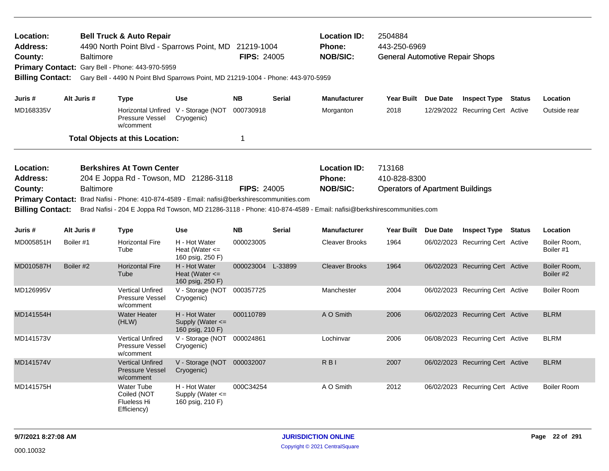| Location:<br>Address:<br>County:<br><b>Billing Contact:</b>        |                          | <b>Baltimore</b> | <b>Bell Truck &amp; Auto Repair</b><br>Primary Contact: Gary Bell - Phone: 443-970-5959 | 4490 North Point Blvd - Sparrows Point, MD 21219-1004<br>Gary Bell - 4490 N Point Blvd Sparrows Point, MD 21219-1004 - Phone: 443-970-5959 | <b>FIPS: 24005</b>       |               | <b>Location ID:</b><br>Phone:<br><b>NOB/SIC:</b>                                                                                                                       | 2504884<br>443-250-6969<br><b>General Automotive Repair Shops</b> |                                                                |                                       |
|--------------------------------------------------------------------|--------------------------|------------------|-----------------------------------------------------------------------------------------|--------------------------------------------------------------------------------------------------------------------------------------------|--------------------------|---------------|------------------------------------------------------------------------------------------------------------------------------------------------------------------------|-------------------------------------------------------------------|----------------------------------------------------------------|---------------------------------------|
| Juris #<br>MD168335V                                               | Alt Juris #              |                  | <b>Type</b><br>Pressure Vessel<br>w/comment<br><b>Total Objects at this Location:</b>   | <b>Use</b><br>Horizontal Unfired V - Storage (NOT 000730918<br>Cryogenic)                                                                  | <b>NB</b><br>$\mathbf 1$ | <b>Serial</b> | <b>Manufacturer</b><br>Morganton                                                                                                                                       | Year Built Due Date<br>2018                                       | <b>Inspect Type Status</b><br>12/29/2022 Recurring Cert Active | Location<br>Outside rear              |
| Location:<br><b>Address:</b><br>County:<br><b>Billing Contact:</b> |                          | <b>Baltimore</b> | <b>Berkshires At Town Center</b>                                                        | 204 E Joppa Rd - Towson, MD 21286-3118<br>Primary Contact: Brad Nafisi - Phone: 410-874-4589 - Email: nafisi@berkshirescommunities.com     | <b>FIPS: 24005</b>       |               | <b>Location ID:</b><br>Phone:<br><b>NOB/SIC:</b><br>Brad Nafisi - 204 E Joppa Rd Towson, MD 21286-3118 - Phone: 410-874-4589 - Email: nafisi@berkshirescommunities.com | 713168<br>410-828-8300<br><b>Operators of Apartment Buildings</b> |                                                                |                                       |
| Juris #<br>MD005851H                                               | Alt Juris #<br>Boiler #1 |                  | <b>Type</b><br><b>Horizontal Fire</b><br>Tube                                           | <b>Use</b><br>H - Hot Water<br>Heat (Water $\leq$<br>160 psig, 250 F)                                                                      | <b>NB</b><br>000023005   | <b>Serial</b> | <b>Manufacturer</b><br><b>Cleaver Brooks</b>                                                                                                                           | Year Built Due Date<br>1964                                       | <b>Inspect Type Status</b><br>06/02/2023 Recurring Cert Active | Location<br>Boiler Room,<br>Boiler #1 |
| MD010587H                                                          | Boiler #2                |                  | <b>Horizontal Fire</b><br>Tube                                                          | H - Hot Water<br>Heat (Water $\leq$<br>160 psig, 250 F)                                                                                    | 000023004 L-33899        |               | <b>Cleaver Brooks</b>                                                                                                                                                  | 1964                                                              | 06/02/2023 Recurring Cert Active                               | Boiler Room,<br>Boiler #2             |
| MD126995V                                                          |                          |                  | <b>Vertical Unfired</b><br>Pressure Vessel<br>w/comment                                 | V - Storage (NOT 000357725<br>Cryogenic)                                                                                                   |                          |               | Manchester                                                                                                                                                             | 2004                                                              | 06/02/2023 Recurring Cert Active                               | <b>Boiler Room</b>                    |
| MD141554H                                                          |                          |                  | <b>Water Heater</b><br>(HLW)                                                            | H - Hot Water<br>Supply (Water <=<br>160 psig, 210 F)                                                                                      | 000110789                |               | A O Smith                                                                                                                                                              | 2006                                                              | 06/02/2023 Recurring Cert Active                               | <b>BLRM</b>                           |
| MD141573V                                                          |                          |                  | <b>Vertical Unfired</b><br>Pressure Vessel<br>w/comment                                 | V - Storage (NOT 000024861<br>Cryogenic)                                                                                                   |                          |               | Lochinvar                                                                                                                                                              | 2006                                                              | 06/08/2023 Recurring Cert Active                               | <b>BLRM</b>                           |
| MD141574V                                                          |                          |                  | <b>Vertical Unfired</b><br><b>Pressure Vessel</b><br>w/comment                          | V - Storage (NOT 000032007<br>Cryogenic)                                                                                                   |                          |               | R B I                                                                                                                                                                  | 2007                                                              | 06/02/2023 Recurring Cert Active                               | <b>BLRM</b>                           |
| MD141575H                                                          |                          |                  | Water Tube<br>Coiled (NOT<br>Flueless Hi<br>Efficiency)                                 | H - Hot Water<br>Supply (Water <=<br>160 psig, 210 F)                                                                                      | 000C34254                |               | A O Smith                                                                                                                                                              | 2012                                                              | 06/02/2023 Recurring Cert Active                               | <b>Boiler Room</b>                    |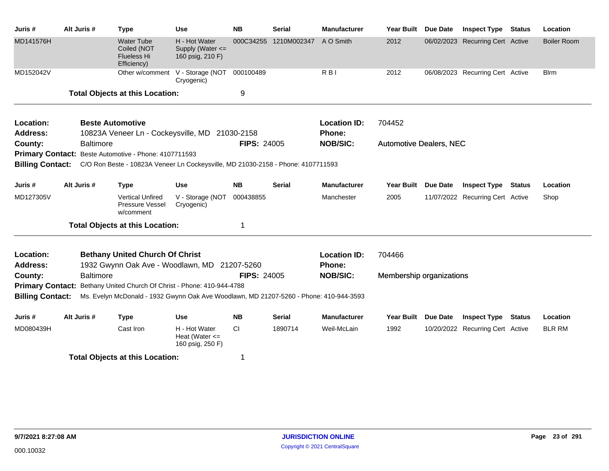| Juris #                      | Alt Juris # |                  | <b>Type</b>                                             | <b>Use</b>                                                                             | <b>NB</b>          | <b>Serial</b> | <b>Manufacturer</b>           | Year Built                     | Due Date        | <b>Inspect Type Status</b>       |        | Location           |
|------------------------------|-------------|------------------|---------------------------------------------------------|----------------------------------------------------------------------------------------|--------------------|---------------|-------------------------------|--------------------------------|-----------------|----------------------------------|--------|--------------------|
| MD141576H                    |             |                  | Water Tube<br>Coiled (NOT<br>Flueless Hi<br>Efficiency) | H - Hot Water<br>Supply (Water <=<br>160 psig, 210 F)                                  | 000C34255          | 1210M002347   | A O Smith                     | 2012                           |                 | 06/02/2023 Recurring Cert Active |        | <b>Boiler Room</b> |
| MD152042V                    |             |                  |                                                         | Other w/comment V - Storage (NOT<br>Cryogenic)                                         | 000100489          |               | R <sub>B</sub>                | 2012                           |                 | 06/08/2023 Recurring Cert Active |        | <b>Blrm</b>        |
|                              |             |                  | <b>Total Objects at this Location:</b>                  |                                                                                        | 9                  |               |                               |                                |                 |                                  |        |                    |
| Location:                    |             |                  | <b>Beste Automotive</b>                                 |                                                                                        |                    |               | <b>Location ID:</b>           | 704452                         |                 |                                  |        |                    |
| <b>Address:</b>              |             |                  |                                                         | 10823A Veneer Ln - Cockeysville, MD 21030-2158                                         |                    |               | Phone:                        |                                |                 |                                  |        |                    |
| County:                      |             | <b>Baltimore</b> | Primary Contact: Beste Automotive - Phone: 4107711593   |                                                                                        | <b>FIPS: 24005</b> |               | <b>NOB/SIC:</b>               | <b>Automotive Dealers, NEC</b> |                 |                                  |        |                    |
| <b>Billing Contact:</b>      |             |                  |                                                         | C/O Ron Beste - 10823A Veneer Ln Cockeysville, MD 21030-2158 - Phone: 4107711593       |                    |               |                               |                                |                 |                                  |        |                    |
| Juris #                      | Alt Juris # |                  | <b>Type</b>                                             | <b>Use</b>                                                                             | <b>NB</b>          | <b>Serial</b> | <b>Manufacturer</b>           | <b>Year Built</b>              | <b>Due Date</b> | <b>Inspect Type</b>              | Status | Location           |
| MD127305V                    |             |                  | <b>Vertical Unfired</b><br>Pressure Vessel<br>w/comment | V - Storage (NOT<br>Cryogenic)                                                         | 000438855          |               | Manchester                    | 2005                           |                 | 11/07/2022 Recurring Cert Active |        | Shop               |
|                              |             |                  | <b>Total Objects at this Location:</b>                  |                                                                                        | 1                  |               |                               |                                |                 |                                  |        |                    |
| Location:<br><b>Address:</b> |             |                  | <b>Bethany United Church Of Christ</b>                  | 1932 Gwynn Oak Ave - Woodlawn, MD 21207-5260                                           |                    |               | <b>Location ID:</b><br>Phone: | 704466                         |                 |                                  |        |                    |
| County:                      |             | <b>Baltimore</b> |                                                         |                                                                                        | <b>FIPS: 24005</b> |               | <b>NOB/SIC:</b>               | Membership organizations       |                 |                                  |        |                    |
| <b>Primary Contact:</b>      |             |                  |                                                         | Bethany United Church Of Christ - Phone: 410-944-4788                                  |                    |               |                               |                                |                 |                                  |        |                    |
| <b>Billing Contact:</b>      |             |                  |                                                         | Ms. Evelyn McDonald - 1932 Gwynn Oak Ave Woodlawn, MD 21207-5260 - Phone: 410-944-3593 |                    |               |                               |                                |                 |                                  |        |                    |
| Juris #                      | Alt Juris # |                  | <b>Type</b>                                             | <b>Use</b>                                                                             | <b>NB</b>          | <b>Serial</b> | <b>Manufacturer</b>           | Year Built Due Date            |                 | <b>Inspect Type Status</b>       |        | Location           |
| MD080439H                    |             |                  | Cast Iron                                               | H - Hot Water<br>Heat (Water $\leq$<br>160 psig, 250 F)                                | CI                 | 1890714       | Weil-McLain                   | 1992                           |                 | 10/20/2022 Recurring Cert Active |        | <b>BLR RM</b>      |
|                              |             |                  | <b>Total Objects at this Location:</b>                  |                                                                                        | 1                  |               |                               |                                |                 |                                  |        |                    |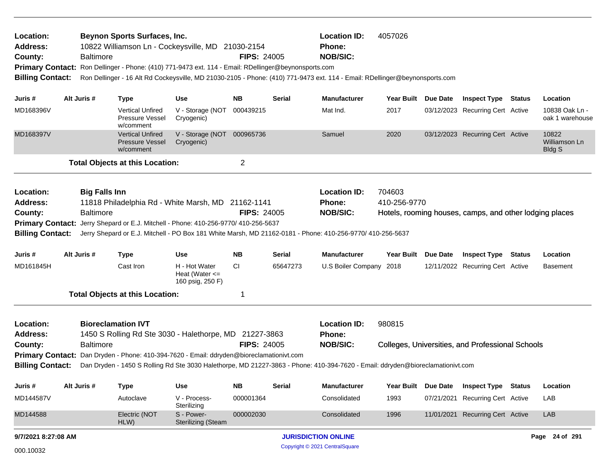| Location:<br><b>Beynon Sports Surfaces, Inc.</b><br>10822 Williamson Ln - Cockeysville, MD 21030-2154<br>Address:<br>County:<br><b>Baltimore</b><br>Ron Dellinger - Phone: (410) 771-9473 ext. 114 - Email: RDellinger@beynonsports.com<br><b>Primary Contact:</b><br><b>Billing Contact:</b><br>Ron Dellinger - 16 Alt Rd Cockeysville, MD 21030-2105 - Phone: (410) 771-9473 ext. 114 - Email: RDellinger@beynonsports.com<br>Alt Juris # |                                                                                        |                      |                                                                                          |                                                         | <b>FIPS: 24005</b> |                    | <b>Location ID:</b><br><b>Phone:</b><br><b>NOB/SIC:</b>                                                                        | 4057026             |                                                         |        |                                         |
|---------------------------------------------------------------------------------------------------------------------------------------------------------------------------------------------------------------------------------------------------------------------------------------------------------------------------------------------------------------------------------------------------------------------------------------------|----------------------------------------------------------------------------------------|----------------------|------------------------------------------------------------------------------------------|---------------------------------------------------------|--------------------|--------------------|--------------------------------------------------------------------------------------------------------------------------------|---------------------|---------------------------------------------------------|--------|-----------------------------------------|
| Juris #                                                                                                                                                                                                                                                                                                                                                                                                                                     |                                                                                        |                      | <b>Type</b>                                                                              | <b>Use</b>                                              | <b>NB</b>          | <b>Serial</b>      | <b>Manufacturer</b>                                                                                                            | Year Built Due Date | <b>Inspect Type</b>                                     | Status | Location                                |
| MD168396V                                                                                                                                                                                                                                                                                                                                                                                                                                   |                                                                                        |                      | <b>Vertical Unfired</b><br>Pressure Vessel<br>w/comment                                  | V - Storage (NOT<br>Cryogenic)                          | 000439215          |                    | Mat Ind.                                                                                                                       | 2017                | 03/12/2023 Recurring Cert Active                        |        | 10838 Oak Ln -<br>oak 1 warehouse       |
| MD168397V                                                                                                                                                                                                                                                                                                                                                                                                                                   |                                                                                        |                      | <b>Vertical Unfired</b><br><b>Pressure Vessel</b><br>w/comment                           | V - Storage (NOT 000965736<br>Cryogenic)                |                    |                    | Samuel                                                                                                                         | 2020                | 03/12/2023 Recurring Cert Active                        |        | 10822<br>Williamson Ln<br><b>Bldg S</b> |
|                                                                                                                                                                                                                                                                                                                                                                                                                                             |                                                                                        |                      | <b>Total Objects at this Location:</b>                                                   |                                                         | $\overline{c}$     |                    |                                                                                                                                |                     |                                                         |        |                                         |
| Location:                                                                                                                                                                                                                                                                                                                                                                                                                                   |                                                                                        | <b>Big Falls Inn</b> |                                                                                          |                                                         |                    |                    | <b>Location ID:</b>                                                                                                            | 704603              |                                                         |        |                                         |
| <b>Address:</b>                                                                                                                                                                                                                                                                                                                                                                                                                             |                                                                                        |                      | 11818 Philadelphia Rd - White Marsh, MD 21162-1141                                       |                                                         |                    |                    | Phone:                                                                                                                         | 410-256-9770        |                                                         |        |                                         |
| County:                                                                                                                                                                                                                                                                                                                                                                                                                                     | <b>Baltimore</b><br>Jerry Shepard or E.J. Mitchell - Phone: 410-256-9770/ 410-256-5637 |                      |                                                                                          |                                                         |                    | <b>FIPS: 24005</b> | <b>NOB/SIC:</b>                                                                                                                |                     | Hotels, rooming houses, camps, and other lodging places |        |                                         |
| <b>Primary Contact:</b>                                                                                                                                                                                                                                                                                                                                                                                                                     |                                                                                        |                      |                                                                                          |                                                         |                    |                    |                                                                                                                                |                     |                                                         |        |                                         |
| <b>Billing Contact:</b>                                                                                                                                                                                                                                                                                                                                                                                                                     |                                                                                        |                      |                                                                                          |                                                         |                    |                    | Jerry Shepard or E.J. Mitchell - PO Box 181 White Marsh, MD 21162-0181 - Phone: 410-256-9770/ 410-256-5637                     |                     |                                                         |        |                                         |
| Juris #                                                                                                                                                                                                                                                                                                                                                                                                                                     |                                                                                        | Alt Juris #          | <b>Type</b>                                                                              | <b>Use</b>                                              | <b>NB</b>          | Serial             | <b>Manufacturer</b>                                                                                                            | Year Built Due Date | <b>Inspect Type Status</b>                              |        | Location                                |
| MD161845H                                                                                                                                                                                                                                                                                                                                                                                                                                   |                                                                                        |                      | Cast Iron                                                                                | H - Hot Water<br>Heat (Water $\leq$<br>160 psig, 250 F) | <b>CI</b>          | 65647273           | U.S Boiler Company 2018                                                                                                        |                     | 12/11/2022 Recurring Cert Active                        |        | <b>Basement</b>                         |
|                                                                                                                                                                                                                                                                                                                                                                                                                                             |                                                                                        |                      | <b>Total Objects at this Location:</b>                                                   |                                                         | 1                  |                    |                                                                                                                                |                     |                                                         |        |                                         |
| Location:                                                                                                                                                                                                                                                                                                                                                                                                                                   |                                                                                        |                      | <b>Bioreclamation IVT</b>                                                                |                                                         |                    |                    | <b>Location ID:</b>                                                                                                            | 980815              |                                                         |        |                                         |
| <b>Address:</b>                                                                                                                                                                                                                                                                                                                                                                                                                             |                                                                                        |                      | 1450 S Rolling Rd Ste 3030 - Halethorpe, MD 21227-3863                                   |                                                         |                    |                    | <b>Phone:</b>                                                                                                                  |                     |                                                         |        |                                         |
| County:                                                                                                                                                                                                                                                                                                                                                                                                                                     |                                                                                        | <b>Baltimore</b>     |                                                                                          |                                                         | <b>FIPS: 24005</b> |                    | <b>NOB/SIC:</b>                                                                                                                |                     | Colleges, Universities, and Professional Schools        |        |                                         |
|                                                                                                                                                                                                                                                                                                                                                                                                                                             |                                                                                        |                      | Primary Contact: Dan Dryden - Phone: 410-394-7620 - Email: ddryden@bioreclamationivt.com |                                                         |                    |                    |                                                                                                                                |                     |                                                         |        |                                         |
| <b>Billing Contact:</b>                                                                                                                                                                                                                                                                                                                                                                                                                     |                                                                                        |                      |                                                                                          |                                                         |                    |                    | Dan Dryden - 1450 S Rolling Rd Ste 3030 Halethorpe, MD 21227-3863 - Phone: 410-394-7620 - Email: ddryden@bioreclamationivt.com |                     |                                                         |        |                                         |
| Juris #                                                                                                                                                                                                                                                                                                                                                                                                                                     |                                                                                        | Alt Juris #          | <b>Type</b>                                                                              | Use                                                     | <b>NB</b>          | <b>Serial</b>      | <b>Manufacturer</b>                                                                                                            | Year Built Due Date | <b>Inspect Type Status</b>                              |        | Location                                |
| MD144587V                                                                                                                                                                                                                                                                                                                                                                                                                                   |                                                                                        |                      | Autoclave                                                                                | V - Process-<br>Sterilizing                             | 000001364          |                    | Consolidated                                                                                                                   | 1993                | 07/21/2021 Recurring Cert Active                        |        | LAB                                     |
| MD144588                                                                                                                                                                                                                                                                                                                                                                                                                                    |                                                                                        |                      | Electric (NOT<br>HLW)                                                                    | S - Power-<br><b>Sterilizing (Steam</b>                 | 000002030          |                    | Consolidated                                                                                                                   | 1996                | 11/01/2021 Recurring Cert Active                        |        | LAB                                     |
| 9/7/2021 8:27:08 AM                                                                                                                                                                                                                                                                                                                                                                                                                         |                                                                                        |                      |                                                                                          |                                                         |                    |                    | <b>JURISDICTION ONLINE</b>                                                                                                     |                     |                                                         |        | Page 24 of 291                          |
| 000.10032                                                                                                                                                                                                                                                                                                                                                                                                                                   |                                                                                        |                      |                                                                                          |                                                         |                    |                    | Copyright © 2021 CentralSquare                                                                                                 |                     |                                                         |        |                                         |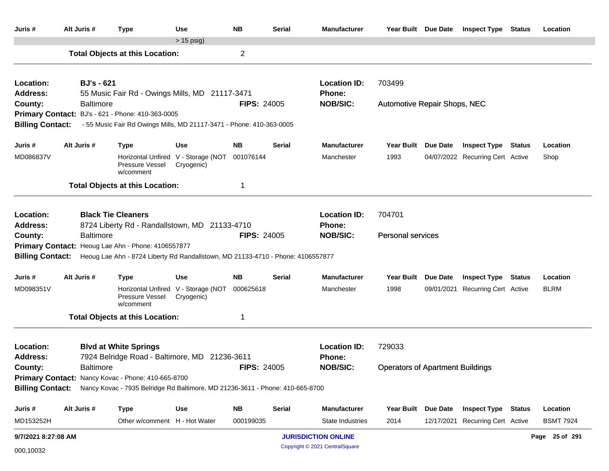| Juris #                      | Alt Juris #       | <b>Type</b>                                                                                      | Use                                                         | <b>NB</b>          | Serial        | Manufacturer                   |                                         | Year Built Due Date | <b>Inspect Type Status</b>       | Location         |
|------------------------------|-------------------|--------------------------------------------------------------------------------------------------|-------------------------------------------------------------|--------------------|---------------|--------------------------------|-----------------------------------------|---------------------|----------------------------------|------------------|
|                              |                   |                                                                                                  | $> 15$ psig)                                                |                    |               |                                |                                         |                     |                                  |                  |
|                              |                   | <b>Total Objects at this Location:</b>                                                           |                                                             | $\overline{2}$     |               |                                |                                         |                     |                                  |                  |
| Location:<br><b>Address:</b> | <b>BJ's - 621</b> | 55 Music Fair Rd - Owings Mills, MD 21117-3471                                                   |                                                             |                    |               | <b>Location ID:</b><br>Phone:  | 703499                                  |                     |                                  |                  |
| County:                      | <b>Baltimore</b>  |                                                                                                  |                                                             | <b>FIPS: 24005</b> |               | <b>NOB/SIC:</b>                | <b>Automotive Repair Shops, NEC</b>     |                     |                                  |                  |
|                              |                   | Primary Contact: BJ's - 621 - Phone: 410-363-0005                                                |                                                             |                    |               |                                |                                         |                     |                                  |                  |
| <b>Billing Contact:</b>      |                   | - 55 Music Fair Rd Owings Mills, MD 21117-3471 - Phone: 410-363-0005                             |                                                             |                    |               |                                |                                         |                     |                                  |                  |
| Juris #                      | Alt Juris #       | <b>Type</b>                                                                                      | <b>Use</b>                                                  | <b>NB</b>          | Serial        | <b>Manufacturer</b>            | <b>Year Built</b>                       | <b>Due Date</b>     | <b>Inspect Type Status</b>       | Location         |
| MD086837V                    |                   | Pressure Vessel<br>w/comment                                                                     | Horizontal Unfired V - Storage (NOT 001076144<br>Cryogenic) |                    |               | Manchester                     | 1993                                    |                     | 04/07/2022 Recurring Cert Active | Shop             |
|                              |                   | <b>Total Objects at this Location:</b>                                                           |                                                             |                    |               |                                |                                         |                     |                                  |                  |
| Location:                    |                   | <b>Black Tie Cleaners</b>                                                                        |                                                             |                    |               | <b>Location ID:</b>            | 704701                                  |                     |                                  |                  |
| <b>Address:</b>              |                   | 8724 Liberty Rd - Randallstown, MD 21133-4710                                                    |                                                             |                    |               | <b>Phone:</b>                  |                                         |                     |                                  |                  |
| County:                      | <b>Baltimore</b>  |                                                                                                  |                                                             | <b>FIPS: 24005</b> |               | <b>NOB/SIC:</b>                | <b>Personal services</b>                |                     |                                  |                  |
|                              |                   | Primary Contact: Heoug Lae Ahn - Phone: 4106557877                                               |                                                             |                    |               |                                |                                         |                     |                                  |                  |
|                              |                   | Billing Contact: Heoug Lae Ahn - 8724 Liberty Rd Randallstown, MD 21133-4710 - Phone: 4106557877 |                                                             |                    |               |                                |                                         |                     |                                  |                  |
| Juris #                      | Alt Juris #       | Type                                                                                             | <b>Use</b>                                                  | <b>NB</b>          | Serial        | <b>Manufacturer</b>            | Year Built Due Date                     |                     | <b>Inspect Type Status</b>       | Location         |
| MD098351V                    |                   | Pressure Vessel<br>w/comment                                                                     | Horizontal Unfired V - Storage (NOT 000625618<br>Cryogenic) |                    |               | Manchester                     | 1998                                    |                     | 09/01/2021 Recurring Cert Active | <b>BLRM</b>      |
|                              |                   | <b>Total Objects at this Location:</b>                                                           |                                                             |                    |               |                                |                                         |                     |                                  |                  |
| Location:                    |                   | <b>Blvd at White Springs</b>                                                                     |                                                             |                    |               | <b>Location ID:</b>            | 729033                                  |                     |                                  |                  |
| <b>Address:</b>              |                   | 7924 Belridge Road - Baltimore, MD 21236-3611                                                    |                                                             |                    |               | Phone:                         |                                         |                     |                                  |                  |
| County:                      | Baltimore         |                                                                                                  |                                                             | <b>FIPS: 24005</b> |               | <b>NOB/SIC:</b>                | <b>Operators of Apartment Buildings</b> |                     |                                  |                  |
|                              |                   | <b>Primary Contact: Nancy Kovac - Phone: 410-665-8700</b>                                        |                                                             |                    |               |                                |                                         |                     |                                  |                  |
|                              |                   | Billing Contact: Nancy Kovac - 7935 Belridge Rd Baltimore, MD 21236-3611 - Phone: 410-665-8700   |                                                             |                    |               |                                |                                         |                     |                                  |                  |
| Juris #                      | Alt Juris #       | <b>Type</b>                                                                                      | <b>Use</b>                                                  | <b>NB</b>          | <b>Serial</b> | <b>Manufacturer</b>            | <b>Year Built</b>                       | Due Date            | <b>Inspect Type Status</b>       | Location         |
| MD153252H                    |                   | Other w/comment H - Hot Water                                                                    |                                                             | 000199035          |               | <b>State Industries</b>        | 2014                                    |                     | 12/17/2021 Recurring Cert Active | <b>BSMT 7924</b> |
| 9/7/2021 8:27:08 AM          |                   |                                                                                                  |                                                             |                    |               | <b>JURISDICTION ONLINE</b>     |                                         |                     |                                  | Page 25 of 291   |
| 000.10032                    |                   |                                                                                                  |                                                             |                    |               | Copyright © 2021 CentralSquare |                                         |                     |                                  |                  |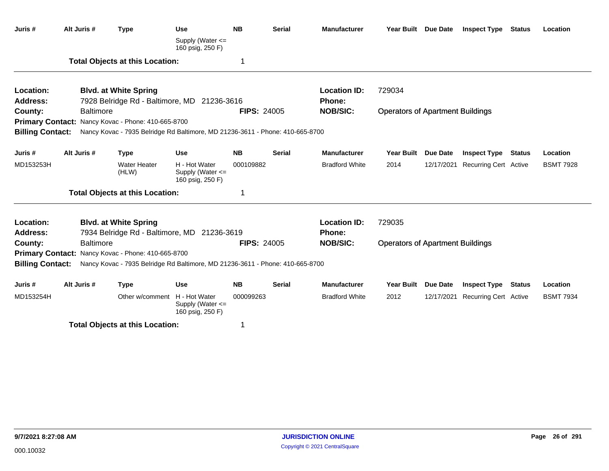| Juris #                 | Alt Juris #      | <b>Type</b>                                                                   | <b>Use</b>                                                | <b>NB</b>          | <b>Serial</b> | <b>Manufacturer</b>   | Year Built Due Date                     |                 | <b>Inspect Type Status</b>       |               | Location         |
|-------------------------|------------------|-------------------------------------------------------------------------------|-----------------------------------------------------------|--------------------|---------------|-----------------------|-----------------------------------------|-----------------|----------------------------------|---------------|------------------|
|                         |                  |                                                                               | Supply (Water <=<br>160 psig, 250 F)                      |                    |               |                       |                                         |                 |                                  |               |                  |
|                         |                  | <b>Total Objects at this Location:</b>                                        |                                                           | 1                  |               |                       |                                         |                 |                                  |               |                  |
| Location:               |                  | <b>Blvd. at White Spring</b>                                                  |                                                           |                    |               | <b>Location ID:</b>   | 729034                                  |                 |                                  |               |                  |
| <b>Address:</b>         |                  | 7928 Belridge Rd - Baltimore, MD 21236-3616                                   |                                                           |                    |               | <b>Phone:</b>         |                                         |                 |                                  |               |                  |
| County:                 | <b>Baltimore</b> |                                                                               |                                                           | <b>FIPS: 24005</b> |               | <b>NOB/SIC:</b>       | <b>Operators of Apartment Buildings</b> |                 |                                  |               |                  |
|                         |                  | Primary Contact: Nancy Kovac - Phone: 410-665-8700                            |                                                           |                    |               |                       |                                         |                 |                                  |               |                  |
| <b>Billing Contact:</b> |                  | Nancy Kovac - 7935 Belridge Rd Baltimore, MD 21236-3611 - Phone: 410-665-8700 |                                                           |                    |               |                       |                                         |                 |                                  |               |                  |
| Juris #                 | Alt Juris #      | <b>Type</b>                                                                   | <b>Use</b>                                                | <b>NB</b>          | <b>Serial</b> | <b>Manufacturer</b>   | Year Built Due Date                     |                 | <b>Inspect Type Status</b>       |               | Location         |
| MD153253H               |                  | <b>Water Heater</b><br>(HLW)                                                  | H - Hot Water<br>Supply (Water <=<br>160 psig, 250 F)     | 000109882          |               | <b>Bradford White</b> | 2014                                    | 12/17/2021      | <b>Recurring Cert Active</b>     |               | <b>BSMT 7928</b> |
|                         |                  | <b>Total Objects at this Location:</b>                                        |                                                           | 1                  |               |                       |                                         |                 |                                  |               |                  |
| Location:               |                  | <b>Blvd. at White Spring</b>                                                  |                                                           |                    |               | <b>Location ID:</b>   | 729035                                  |                 |                                  |               |                  |
| <b>Address:</b>         |                  | 7934 Belridge Rd - Baltimore, MD 21236-3619                                   |                                                           |                    |               | Phone:                |                                         |                 |                                  |               |                  |
| County:                 | <b>Baltimore</b> |                                                                               |                                                           | <b>FIPS: 24005</b> |               | <b>NOB/SIC:</b>       | <b>Operators of Apartment Buildings</b> |                 |                                  |               |                  |
|                         |                  | Primary Contact: Nancy Kovac - Phone: 410-665-8700                            |                                                           |                    |               |                       |                                         |                 |                                  |               |                  |
| <b>Billing Contact:</b> |                  | Nancy Kovac - 7935 Belridge Rd Baltimore, MD 21236-3611 - Phone: 410-665-8700 |                                                           |                    |               |                       |                                         |                 |                                  |               |                  |
| Juris#                  | Alt Juris #      | <b>Type</b>                                                                   | <b>Use</b>                                                | <b>NB</b>          | <b>Serial</b> | <b>Manufacturer</b>   | <b>Year Built</b>                       | <b>Due Date</b> | <b>Inspect Type</b>              | <b>Status</b> | Location         |
| MD153254H               |                  | Other w/comment                                                               | H - Hot Water<br>Supply (Water $\leq$<br>160 psig, 250 F) | 000099263          |               | <b>Bradford White</b> | 2012                                    |                 | 12/17/2021 Recurring Cert Active |               | <b>BSMT 7934</b> |
|                         |                  | <b>Total Objects at this Location:</b>                                        |                                                           | 1                  |               |                       |                                         |                 |                                  |               |                  |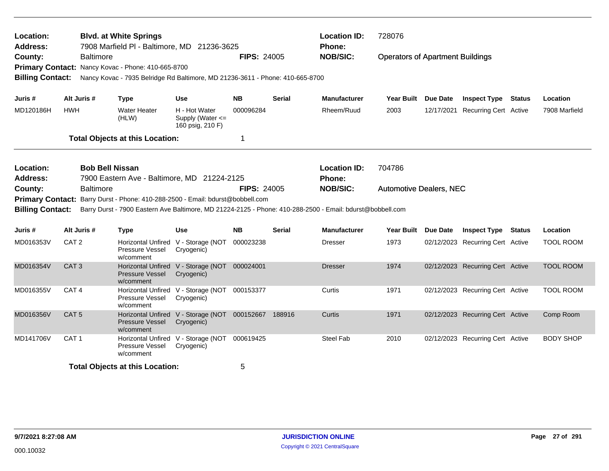| Location:<br><b>Address:</b>       |                  | <b>Blvd. at White Springs</b><br>7908 Marfield PI - Baltimore, MD 21236-3625                                                        |                                                                    |                    |               | <b>Location ID:</b><br><b>Phone:</b> | 728076                                  |            |                                  |                  |
|------------------------------------|------------------|-------------------------------------------------------------------------------------------------------------------------------------|--------------------------------------------------------------------|--------------------|---------------|--------------------------------------|-----------------------------------------|------------|----------------------------------|------------------|
| County:<br><b>Billing Contact:</b> | <b>Baltimore</b> | Primary Contact: Nancy Kovac - Phone: 410-665-8700<br>Nancy Kovac - 7935 Belridge Rd Baltimore, MD 21236-3611 - Phone: 410-665-8700 |                                                                    | <b>FIPS: 24005</b> |               | <b>NOB/SIC:</b>                      | <b>Operators of Apartment Buildings</b> |            |                                  |                  |
| Juris #                            | Alt Juris #      | <b>Type</b>                                                                                                                         | <b>Use</b>                                                         | <b>NB</b>          | <b>Serial</b> | <b>Manufacturer</b>                  | Year Built Due Date                     |            | <b>Inspect Type Status</b>       | Location         |
| MD120186H                          | <b>HWH</b>       | <b>Water Heater</b><br>(HLW)                                                                                                        | H - Hot Water<br>Supply (Water <=<br>160 psig, 210 F)              | 000096284          |               | Rheem/Ruud                           | 2003                                    | 12/17/2021 | Recurring Cert Active            | 7908 Marfield    |
|                                    |                  | <b>Total Objects at this Location:</b>                                                                                              |                                                                    | 1                  |               |                                      |                                         |            |                                  |                  |
| Location:<br><b>Address:</b>       |                  | <b>Bob Bell Nissan</b><br>7900 Eastern Ave - Baltimore, MD 21224-2125                                                               |                                                                    |                    |               | <b>Location ID:</b><br><b>Phone:</b> | 704786                                  |            |                                  |                  |
| County:<br><b>Primary Contact:</b> | Baltimore        | Barry Durst - Phone: 410-288-2500 - Email: bdurst@bobbell.com                                                                       |                                                                    | <b>FIPS: 24005</b> |               | <b>NOB/SIC:</b>                      | <b>Automotive Dealers, NEC</b>          |            |                                  |                  |
| <b>Billing Contact:</b>            |                  | Barry Durst - 7900 Eastern Ave Baltimore, MD 21224-2125 - Phone: 410-288-2500 - Email: bdurst@bobbell.com                           |                                                                    |                    |               |                                      |                                         |            |                                  |                  |
| Juris #                            | Alt Juris #      | <b>Type</b>                                                                                                                         | <b>Use</b>                                                         | <b>NB</b>          | <b>Serial</b> | <b>Manufacturer</b>                  | <b>Year Built</b>                       | Due Date   | <b>Inspect Type Status</b>       | Location         |
| MD016353V                          | CAT <sub>2</sub> | Pressure Vessel<br>w/comment                                                                                                        | Horizontal Unfired V - Storage (NOT 000023238<br>Cryogenic)        |                    |               | <b>Dresser</b>                       | 1973                                    |            | 02/12/2023 Recurring Cert Active | <b>TOOL ROOM</b> |
| MD016354V                          | CAT <sub>3</sub> | <b>Pressure Vessel</b><br>w/comment                                                                                                 | Horizontal Unfired V - Storage (NOT 000024001<br>Cryogenic)        |                    |               | <b>Dresser</b>                       | 1974                                    |            | 02/12/2023 Recurring Cert Active | <b>TOOL ROOM</b> |
| MD016355V                          | CAT <sub>4</sub> | Pressure Vessel<br>w/comment                                                                                                        | Horizontal Unfired V - Storage (NOT 000153377<br>Cryogenic)        |                    |               | Curtis                               | 1971                                    |            | 02/12/2023 Recurring Cert Active | <b>TOOL ROOM</b> |
| MD016356V                          | CAT <sub>5</sub> | <b>Pressure Vessel</b><br>w/comment                                                                                                 | Horizontal Unfired V - Storage (NOT 000152667 188916<br>Cryogenic) |                    |               | Curtis                               | 1971                                    |            | 02/12/2023 Recurring Cert Active | Comp Room        |
| MD141706V                          | CAT <sub>1</sub> | Pressure Vessel<br>w/comment                                                                                                        | Horizontal Unfired V - Storage (NOT<br>Cryogenic)                  | 000619425          |               | <b>Steel Fab</b>                     | 2010                                    |            | 02/12/2023 Recurring Cert Active | <b>BODY SHOP</b> |
|                                    |                  | <b>Total Objects at this Location:</b>                                                                                              |                                                                    | 5                  |               |                                      |                                         |            |                                  |                  |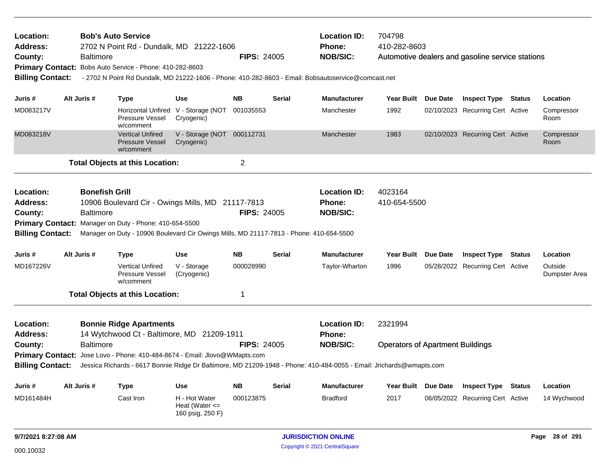| Location:<br><b>Address:</b><br>County:<br><b>Billing Contact:</b>                            | <b>Baltimore</b>                          | <b>Bob's Auto Service</b><br>2702 N Point Rd - Dundalk, MD 21222-1606<br>Primary Contact: Bobs Auto Service - Phone: 410-282-8603<br>- 2702 N Point Rd Dundalk, MD 21222-1606 - Phone: 410-282-8603 - Email: Bobsautoservice@comcast.net                          |                                                         | <b>FIPS: 24005</b> |               | <b>Location ID:</b><br><b>Phone:</b><br><b>NOB/SIC:</b> | 704798<br>410-282-8603                             | Automotive dealers and gasoline service stations |               |                          |
|-----------------------------------------------------------------------------------------------|-------------------------------------------|-------------------------------------------------------------------------------------------------------------------------------------------------------------------------------------------------------------------------------------------------------------------|---------------------------------------------------------|--------------------|---------------|---------------------------------------------------------|----------------------------------------------------|--------------------------------------------------|---------------|--------------------------|
| Juris #                                                                                       | Alt Juris #                               | <b>Type</b>                                                                                                                                                                                                                                                       | <b>Use</b>                                              | <b>NB</b>          | <b>Serial</b> | <b>Manufacturer</b>                                     | Year Built Due Date                                | <b>Inspect Type Status</b>                       |               | Location                 |
| MD083217V                                                                                     |                                           | Pressure Vessel<br>w/comment                                                                                                                                                                                                                                      | Horizontal Unfired V - Storage (NOT<br>Cryogenic)       | 001035553          |               | Manchester                                              | 1992                                               | 02/10/2023 Recurring Cert Active                 |               | Compressor<br>Room       |
| MD083218V                                                                                     |                                           | <b>Vertical Unfired</b><br><b>Pressure Vessel</b><br>w/comment                                                                                                                                                                                                    | V - Storage (NOT 000112731<br>Cryogenic)                |                    |               | Manchester                                              | 1983                                               | 02/10/2023 Recurring Cert Active                 |               | Compressor<br>Room       |
|                                                                                               |                                           | <b>Total Objects at this Location:</b>                                                                                                                                                                                                                            |                                                         | $\overline{2}$     |               |                                                         |                                                    |                                                  |               |                          |
| Location:<br><b>Address:</b><br>County:<br><b>Billing Contact:</b>                            | <b>Bonefish Grill</b><br><b>Baltimore</b> | 10906 Boulevard Cir - Owings Mills, MD 21117-7813<br>Primary Contact: Manager on Duty - Phone: 410-654-5500<br>Manager on Duty - 10906 Boulevard Cir Owings Mills, MD 21117-7813 - Phone: 410-654-5500                                                            |                                                         | <b>FIPS: 24005</b> |               | <b>Location ID:</b><br><b>Phone:</b><br><b>NOB/SIC:</b> | 4023164<br>410-654-5500                            |                                                  |               |                          |
| Juris #                                                                                       | Alt Juris #                               | <b>Type</b>                                                                                                                                                                                                                                                       | <b>Use</b>                                              | <b>NB</b>          | <b>Serial</b> | <b>Manufacturer</b>                                     | Year Built Due Date                                | <b>Inspect Type</b>                              | <b>Status</b> | Location                 |
| MD167226V                                                                                     |                                           | <b>Vertical Unfired</b><br>Pressure Vessel<br>w/comment                                                                                                                                                                                                           | V - Storage<br>(Cryogenic)                              | 000028990          |               | Taylor-Wharton                                          | 1996                                               | 05/28/2022 Recurring Cert Active                 |               | Outside<br>Dumpster Area |
|                                                                                               |                                           | <b>Total Objects at this Location:</b>                                                                                                                                                                                                                            |                                                         | 1                  |               |                                                         |                                                    |                                                  |               |                          |
| Location:<br><b>Address:</b><br>County:<br><b>Primary Contact:</b><br><b>Billing Contact:</b> | <b>Baltimore</b>                          | <b>Bonnie Ridge Apartments</b><br>14 Wytchwood Ct - Baltimore, MD 21209-1911<br>Jose Lovo - Phone: 410-484-8674 - Email: Jlovo@WMapts.com<br>Jessica Richards - 6617 Bonnie Ridge Dr Baltimore, MD 21209-1948 - Phone: 410-484-0055 - Email: Jrichards@wmapts.com |                                                         | <b>FIPS: 24005</b> |               | <b>Location ID:</b><br><b>Phone:</b><br><b>NOB/SIC:</b> | 2321994<br><b>Operators of Apartment Buildings</b> |                                                  |               |                          |
| Juris #                                                                                       | Alt Juris #                               | <b>Type</b>                                                                                                                                                                                                                                                       | <b>Use</b>                                              | <b>NB</b>          | <b>Serial</b> | <b>Manufacturer</b>                                     | Year Built Due Date                                | <b>Inspect Type</b>                              | Status        | Location                 |
| MD161484H                                                                                     |                                           | Cast Iron                                                                                                                                                                                                                                                         | H - Hot Water<br>Heat (Water $\leq$<br>160 psig, 250 F) | 000123875          |               | <b>Bradford</b>                                         | 2017                                               | 06/05/2022 Recurring Cert Active                 |               | 14 Wychwood              |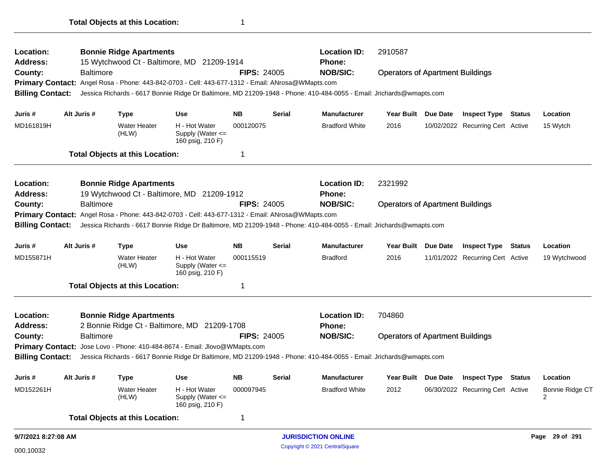| Location:<br><b>Address:</b> |                  | <b>Bonnie Ridge Apartments</b>         | 15 Wytchwood Ct - Baltimore, MD 21209-1914                                                        |                    |               | <b>Location ID:</b><br>Phone:                                                                                        | 2910587                                 |                                  |                      |
|------------------------------|------------------|----------------------------------------|---------------------------------------------------------------------------------------------------|--------------------|---------------|----------------------------------------------------------------------------------------------------------------------|-----------------------------------------|----------------------------------|----------------------|
| County:                      | <b>Baltimore</b> |                                        |                                                                                                   | <b>FIPS: 24005</b> |               | <b>NOB/SIC:</b>                                                                                                      | <b>Operators of Apartment Buildings</b> |                                  |                      |
|                              |                  |                                        | Primary Contact: Angel Rosa - Phone: 443-842-0703 - Cell: 443-677-1312 - Email: ANrosa@WMapts.com |                    |               |                                                                                                                      |                                         |                                  |                      |
| <b>Billing Contact:</b>      |                  |                                        |                                                                                                   |                    |               | Jessica Richards - 6617 Bonnie Ridge Dr Baltimore, MD 21209-1948 - Phone: 410-484-0055 - Email: Jrichards@wmapts.com |                                         |                                  |                      |
| Juris #                      | Alt Juris #      | <b>Type</b>                            | <b>Use</b>                                                                                        | <b>NB</b>          | <b>Serial</b> | <b>Manufacturer</b>                                                                                                  | Year Built Due Date                     | <b>Inspect Type Status</b>       | Location             |
| MD161819H                    |                  | <b>Water Heater</b><br>(HLW)           | H - Hot Water<br>Supply (Water <=<br>160 psig, 210 F)                                             | 000120075          |               | <b>Bradford White</b>                                                                                                | 2016                                    | 10/02/2022 Recurring Cert Active | 15 Wytch             |
|                              |                  | <b>Total Objects at this Location:</b> |                                                                                                   | -1                 |               |                                                                                                                      |                                         |                                  |                      |
| Location:                    |                  | <b>Bonnie Ridge Apartments</b>         |                                                                                                   |                    |               | <b>Location ID:</b>                                                                                                  | 2321992                                 |                                  |                      |
| <b>Address:</b>              |                  |                                        | 19 Wytchwood Ct - Baltimore, MD 21209-1912                                                        |                    |               | Phone:                                                                                                               |                                         |                                  |                      |
| County:                      | <b>Baltimore</b> |                                        |                                                                                                   | <b>FIPS: 24005</b> |               | <b>NOB/SIC:</b>                                                                                                      | <b>Operators of Apartment Buildings</b> |                                  |                      |
|                              |                  |                                        | Primary Contact: Angel Rosa - Phone: 443-842-0703 - Cell: 443-677-1312 - Email: ANrosa@WMapts.com |                    |               |                                                                                                                      |                                         |                                  |                      |
| <b>Billing Contact:</b>      |                  |                                        |                                                                                                   |                    |               | Jessica Richards - 6617 Bonnie Ridge Dr Baltimore, MD 21209-1948 - Phone: 410-484-0055 - Email: Jrichards@wmapts.com |                                         |                                  |                      |
| Juris #                      | Alt Juris #      | <b>Type</b>                            | <b>Use</b>                                                                                        | <b>NB</b>          | <b>Serial</b> | <b>Manufacturer</b>                                                                                                  | Year Built Due Date                     | <b>Inspect Type Status</b>       | Location             |
| MD155871H                    |                  | <b>Water Heater</b><br>(HLW)           | H - Hot Water<br>Supply (Water $\leq$<br>160 psig, 210 F)                                         | 000115519          |               | <b>Bradford</b>                                                                                                      | 2016                                    | 11/01/2022 Recurring Cert Active | 19 Wytchwood         |
|                              |                  | <b>Total Objects at this Location:</b> |                                                                                                   | $\mathbf 1$        |               |                                                                                                                      |                                         |                                  |                      |
| Location:                    |                  | <b>Bonnie Ridge Apartments</b>         |                                                                                                   |                    |               | <b>Location ID:</b>                                                                                                  | 704860                                  |                                  |                      |
| <b>Address:</b>              |                  |                                        | 2 Bonnie Ridge Ct - Baltimore, MD 21209-1708                                                      |                    |               | <b>Phone:</b>                                                                                                        |                                         |                                  |                      |
| County:                      | <b>Baltimore</b> |                                        |                                                                                                   | <b>FIPS: 24005</b> |               | <b>NOB/SIC:</b>                                                                                                      | <b>Operators of Apartment Buildings</b> |                                  |                      |
| <b>Primary Contact:</b>      |                  |                                        | Jose Lovo - Phone: 410-484-8674 - Email: Jlovo@WMapts.com                                         |                    |               |                                                                                                                      |                                         |                                  |                      |
| <b>Billing Contact:</b>      |                  |                                        |                                                                                                   |                    |               | Jessica Richards - 6617 Bonnie Ridge Dr Baltimore, MD 21209-1948 - Phone: 410-484-0055 - Email: Jrichards@wmapts.com |                                         |                                  |                      |
| Juris #                      | Alt Juris #      | <b>Type</b>                            | <b>Use</b>                                                                                        | <b>NB</b>          | <b>Serial</b> | <b>Manufacturer</b>                                                                                                  | Year Built Due Date                     | <b>Inspect Type Status</b>       | Location             |
| MD152261H                    |                  | <b>Water Heater</b><br>(HLW)           | H - Hot Water<br>Supply (Water $\leq$<br>160 psig, 210 F)                                         | 000097945          |               | <b>Bradford White</b>                                                                                                | 2012                                    | 06/30/2022 Recurring Cert Active | Bonnie Ridge CT<br>2 |
|                              |                  | <b>Total Objects at this Location:</b> |                                                                                                   | $\overline{1}$     |               |                                                                                                                      |                                         |                                  |                      |
| 9/7/2021 8:27:08 AM          |                  |                                        |                                                                                                   |                    |               | <b>JURISDICTION ONLINE</b>                                                                                           |                                         |                                  | Page 29 of 291       |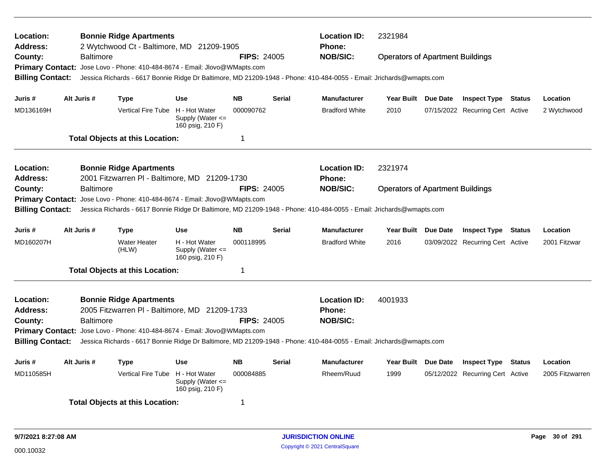| Location:<br>Address:   |                                                                                                                      |                  | <b>Bonnie Ridge Apartments</b><br>2 Wytchwood Ct - Baltimore, MD 21209-1905 |                                                           |                    |               | <b>Location ID:</b><br><b>Phone:</b>                                                                                 | 2321984                                 |                                  |        |                 |
|-------------------------|----------------------------------------------------------------------------------------------------------------------|------------------|-----------------------------------------------------------------------------|-----------------------------------------------------------|--------------------|---------------|----------------------------------------------------------------------------------------------------------------------|-----------------------------------------|----------------------------------|--------|-----------------|
| County:                 |                                                                                                                      | <b>Baltimore</b> |                                                                             |                                                           | <b>FIPS: 24005</b> |               | <b>NOB/SIC:</b>                                                                                                      | <b>Operators of Apartment Buildings</b> |                                  |        |                 |
|                         |                                                                                                                      |                  | Primary Contact: Jose Lovo - Phone: 410-484-8674 - Email: Jlovo@WMapts.com  |                                                           |                    |               |                                                                                                                      |                                         |                                  |        |                 |
| <b>Billing Contact:</b> |                                                                                                                      |                  |                                                                             |                                                           |                    |               | Jessica Richards - 6617 Bonnie Ridge Dr Baltimore, MD 21209-1948 - Phone: 410-484-0055 - Email: Jrichards@wmapts.com |                                         |                                  |        |                 |
| Juris #                 |                                                                                                                      | Alt Juris #      | <b>Type</b>                                                                 | <b>Use</b>                                                | <b>NB</b>          | <b>Serial</b> | <b>Manufacturer</b>                                                                                                  | Year Built Due Date                     | <b>Inspect Type Status</b>       |        | Location        |
| MD136169H               |                                                                                                                      |                  | Vertical Fire Tube H - Hot Water                                            | Supply (Water <=<br>160 psig, 210 F)                      | 000090762          |               | <b>Bradford White</b>                                                                                                | 2010                                    | 07/15/2022 Recurring Cert Active |        | 2 Wytchwood     |
|                         |                                                                                                                      |                  | <b>Total Objects at this Location:</b>                                      |                                                           | $\mathbf 1$        |               |                                                                                                                      |                                         |                                  |        |                 |
| Location:               |                                                                                                                      |                  | <b>Bonnie Ridge Apartments</b>                                              |                                                           |                    |               | <b>Location ID:</b>                                                                                                  | 2321974                                 |                                  |        |                 |
| <b>Address:</b>         |                                                                                                                      |                  | 2001 Fitzwarren PI - Baltimore, MD 21209-1730                               |                                                           |                    |               | Phone:                                                                                                               |                                         |                                  |        |                 |
| County:                 | <b>Baltimore</b><br><b>FIPS: 24005</b><br>Primary Contact: Jose Lovo - Phone: 410-484-8674 - Email: Jlovo@WMapts.com |                  |                                                                             |                                                           |                    |               | <b>NOB/SIC:</b>                                                                                                      | <b>Operators of Apartment Buildings</b> |                                  |        |                 |
|                         |                                                                                                                      |                  |                                                                             |                                                           |                    |               |                                                                                                                      |                                         |                                  |        |                 |
| <b>Billing Contact:</b> |                                                                                                                      |                  |                                                                             |                                                           |                    |               | Jessica Richards - 6617 Bonnie Ridge Dr Baltimore, MD 21209-1948 - Phone: 410-484-0055 - Email: Jrichards@wmapts.com |                                         |                                  |        |                 |
| Juris #                 |                                                                                                                      | Alt Juris #      | <b>Type</b>                                                                 | <b>Use</b>                                                | <b>NB</b>          | <b>Serial</b> | <b>Manufacturer</b>                                                                                                  | Year Built Due Date                     | <b>Inspect Type</b>              | Status | Location        |
| MD160207H               |                                                                                                                      |                  | <b>Water Heater</b><br>(HLW)                                                | H - Hot Water<br>Supply (Water $\leq$<br>160 psig, 210 F) | 000118995          |               | <b>Bradford White</b>                                                                                                | 2016                                    | 03/09/2022 Recurring Cert Active |        | 2001 Fitzwar    |
|                         |                                                                                                                      |                  | <b>Total Objects at this Location:</b>                                      |                                                           | 1                  |               |                                                                                                                      |                                         |                                  |        |                 |
| Location:               |                                                                                                                      |                  | <b>Bonnie Ridge Apartments</b>                                              |                                                           |                    |               | <b>Location ID:</b>                                                                                                  | 4001933                                 |                                  |        |                 |
| <b>Address:</b>         |                                                                                                                      |                  | 2005 Fitzwarren PI - Baltimore, MD 21209-1733                               |                                                           |                    |               | Phone:                                                                                                               |                                         |                                  |        |                 |
| County:                 |                                                                                                                      | <b>Baltimore</b> |                                                                             |                                                           | <b>FIPS: 24005</b> |               | <b>NOB/SIC:</b>                                                                                                      |                                         |                                  |        |                 |
|                         |                                                                                                                      |                  | Primary Contact: Jose Lovo - Phone: 410-484-8674 - Email: Jlovo@WMapts.com  |                                                           |                    |               |                                                                                                                      |                                         |                                  |        |                 |
| <b>Billing Contact:</b> |                                                                                                                      |                  |                                                                             |                                                           |                    |               | Jessica Richards - 6617 Bonnie Ridge Dr Baltimore, MD 21209-1948 - Phone: 410-484-0055 - Email: Jrichards@wmapts.com |                                         |                                  |        |                 |
| Juris #                 |                                                                                                                      | Alt Juris #      | <b>Type</b>                                                                 | Use                                                       | <b>NB</b>          | <b>Serial</b> | <b>Manufacturer</b>                                                                                                  | Year Built Due Date                     | <b>Inspect Type</b>              | Status | Location        |
| MD110585H               |                                                                                                                      |                  | Vertical Fire Tube H - Hot Water                                            | Supply (Water $\leq$<br>160 psig, 210 F)                  | 000084885          |               | Rheem/Ruud                                                                                                           | 1999                                    | 05/12/2022 Recurring Cert Active |        | 2005 Fitzwarren |
|                         |                                                                                                                      |                  | <b>Total Objects at this Location:</b>                                      |                                                           | -1                 |               |                                                                                                                      |                                         |                                  |        |                 |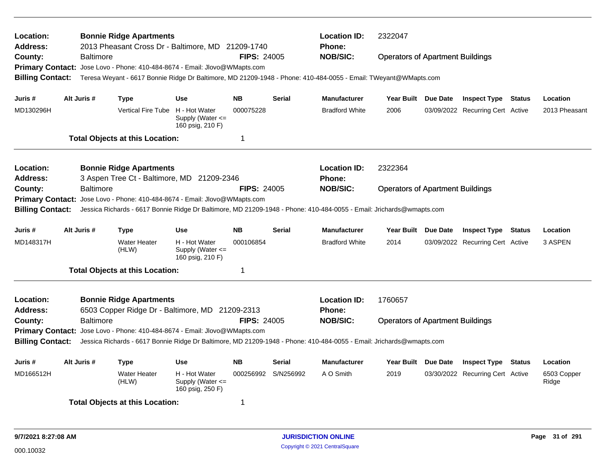| Location:<br><b>Address:</b> |             |                  | <b>Bonnie Ridge Apartments</b><br>2013 Pheasant Cross Dr - Baltimore, MD 21209-1740 |                                                           |                    |               | <b>Location ID:</b><br><b>Phone:</b>                                                                                 | 2322047                                 |                                  |                      |
|------------------------------|-------------|------------------|-------------------------------------------------------------------------------------|-----------------------------------------------------------|--------------------|---------------|----------------------------------------------------------------------------------------------------------------------|-----------------------------------------|----------------------------------|----------------------|
| County:                      |             | <b>Baltimore</b> |                                                                                     |                                                           | <b>FIPS: 24005</b> |               | <b>NOB/SIC:</b>                                                                                                      | <b>Operators of Apartment Buildings</b> |                                  |                      |
|                              |             |                  | Primary Contact: Jose Lovo - Phone: 410-484-8674 - Email: Jlovo@WMapts.com          |                                                           |                    |               |                                                                                                                      |                                         |                                  |                      |
| <b>Billing Contact:</b>      |             |                  |                                                                                     |                                                           |                    |               | Teresa Weyant - 6617 Bonnie Ridge Dr Baltimore, MD 21209-1948 - Phone: 410-484-0055 - Email: TWeyant@WMapts.com      |                                         |                                  |                      |
|                              |             |                  |                                                                                     |                                                           |                    |               |                                                                                                                      |                                         |                                  |                      |
| Juris #                      | Alt Juris # |                  | Type                                                                                | <b>Use</b>                                                | <b>NB</b>          | <b>Serial</b> | <b>Manufacturer</b>                                                                                                  | Year Built Due Date                     | <b>Inspect Type Status</b>       | Location             |
| MD130296H                    |             |                  | <b>Vertical Fire Tube</b>                                                           | H - Hot Water<br>Supply (Water <=<br>160 psig, 210 F)     | 000075228          |               | <b>Bradford White</b>                                                                                                | 2006                                    | 03/09/2022 Recurring Cert Active | 2013 Pheasant        |
|                              |             |                  | <b>Total Objects at this Location:</b>                                              |                                                           | -1                 |               |                                                                                                                      |                                         |                                  |                      |
| Location:                    |             |                  | <b>Bonnie Ridge Apartments</b>                                                      |                                                           |                    |               | <b>Location ID:</b>                                                                                                  | 2322364                                 |                                  |                      |
| Address:                     |             |                  | 3 Aspen Tree Ct - Baltimore, MD 21209-2346                                          |                                                           |                    |               | <b>Phone:</b>                                                                                                        |                                         |                                  |                      |
| County:                      |             | <b>Baltimore</b> |                                                                                     |                                                           | <b>FIPS: 24005</b> |               | <b>NOB/SIC:</b>                                                                                                      | <b>Operators of Apartment Buildings</b> |                                  |                      |
|                              |             |                  | Primary Contact: Jose Lovo - Phone: 410-484-8674 - Email: Jlovo@WMapts.com          |                                                           |                    |               |                                                                                                                      |                                         |                                  |                      |
| <b>Billing Contact:</b>      |             |                  |                                                                                     |                                                           |                    |               | Jessica Richards - 6617 Bonnie Ridge Dr Baltimore, MD 21209-1948 - Phone: 410-484-0055 - Email: Jrichards@wmapts.com |                                         |                                  |                      |
| Juris #                      | Alt Juris # |                  | <b>Type</b>                                                                         | <b>Use</b>                                                | <b>NB</b>          | <b>Serial</b> | <b>Manufacturer</b>                                                                                                  | Year Built Due Date                     | <b>Inspect Type Status</b>       | Location             |
| MD148317H                    |             |                  | <b>Water Heater</b><br>(HLW)                                                        | H - Hot Water<br>Supply (Water <=<br>160 psig, 210 F)     | 000106854          |               | <b>Bradford White</b>                                                                                                | 2014                                    | 03/09/2022 Recurring Cert Active | 3 ASPEN              |
|                              |             |                  | <b>Total Objects at this Location:</b>                                              |                                                           | -1                 |               |                                                                                                                      |                                         |                                  |                      |
| <b>Location:</b>             |             |                  | <b>Bonnie Ridge Apartments</b>                                                      |                                                           |                    |               | <b>Location ID:</b>                                                                                                  | 1760657                                 |                                  |                      |
| Address:                     |             |                  | 6503 Copper Ridge Dr - Baltimore, MD 21209-2313                                     |                                                           |                    |               | <b>Phone:</b>                                                                                                        |                                         |                                  |                      |
| County:                      |             | <b>Baltimore</b> |                                                                                     |                                                           | <b>FIPS: 24005</b> |               | <b>NOB/SIC:</b>                                                                                                      | <b>Operators of Apartment Buildings</b> |                                  |                      |
|                              |             |                  | Primary Contact: Jose Lovo - Phone: 410-484-8674 - Email: Jlovo@WMapts.com          |                                                           |                    |               |                                                                                                                      |                                         |                                  |                      |
| <b>Billing Contact:</b>      |             |                  |                                                                                     |                                                           |                    |               | Jessica Richards - 6617 Bonnie Ridge Dr Baltimore, MD 21209-1948 - Phone: 410-484-0055 - Email: Jrichards@wmapts.com |                                         |                                  |                      |
| Juris #                      | Alt Juris # |                  | Type                                                                                | <b>Use</b>                                                | <b>NB</b>          | <b>Serial</b> | <b>Manufacturer</b>                                                                                                  | Year Built Due Date                     | <b>Inspect Type Status</b>       | Location             |
| MD166512H                    |             |                  | <b>Water Heater</b><br>(HLW)                                                        | H - Hot Water<br>Supply (Water $\leq$<br>160 psig, 250 F) | 000256992          | S/N256992     | A O Smith                                                                                                            | 2019                                    | 03/30/2022 Recurring Cert Active | 6503 Copper<br>Ridge |
|                              |             |                  | <b>Total Objects at this Location:</b>                                              |                                                           | -1                 |               |                                                                                                                      |                                         |                                  |                      |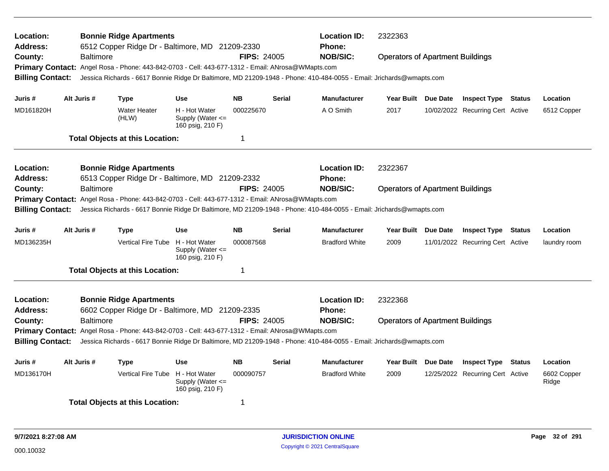| Location:<br>Address:<br>County:<br><b>Billing Contact:</b>                            |             | <b>Baltimore</b> | <b>Bonnie Ridge Apartments</b><br>6512 Copper Ridge Dr - Baltimore, MD 21209-2330<br>Primary Contact: Angel Rosa - Phone: 443-842-0703 - Cell: 443-677-1312 - Email: ANrosa@WMapts.com |                                                                         | <b>FIPS: 24005</b>          |               | <b>Location ID:</b><br><b>Phone:</b><br><b>NOB/SIC:</b><br>Jessica Richards - 6617 Bonnie Ridge Dr Baltimore, MD 21209-1948 - Phone: 410-484-0055 - Email: Jrichards@wmapts.com | 2322363<br><b>Operators of Apartment Buildings</b> |                                                                |        |                                  |
|----------------------------------------------------------------------------------------|-------------|------------------|----------------------------------------------------------------------------------------------------------------------------------------------------------------------------------------|-------------------------------------------------------------------------|-----------------------------|---------------|---------------------------------------------------------------------------------------------------------------------------------------------------------------------------------|----------------------------------------------------|----------------------------------------------------------------|--------|----------------------------------|
| Juris #<br>MD161820H                                                                   | Alt Juris # |                  | <b>Type</b><br><b>Water Heater</b><br>(HLW)<br><b>Total Objects at this Location:</b>                                                                                                  | <b>Use</b><br>H - Hot Water<br>Supply (Water $\leq$<br>160 psig, 210 F) | <b>NB</b><br>000225670<br>1 | <b>Serial</b> | <b>Manufacturer</b><br>A O Smith                                                                                                                                                | Year Built Due Date<br>2017                        | <b>Inspect Type Status</b><br>10/02/2022 Recurring Cert Active |        | Location<br>6512 Copper          |
| Location:<br>Address:<br>County:<br><b>Primary Contact:</b><br><b>Billing Contact:</b> |             | <b>Baltimore</b> | <b>Bonnie Ridge Apartments</b><br>6513 Copper Ridge Dr - Baltimore, MD 21209-2332<br>Angel Rosa - Phone: 443-842-0703 - Cell: 443-677-1312 - Email: ANrosa@WMapts.com                  |                                                                         | <b>FIPS: 24005</b>          |               | <b>Location ID:</b><br><b>Phone:</b><br><b>NOB/SIC:</b><br>Jessica Richards - 6617 Bonnie Ridge Dr Baltimore, MD 21209-1948 - Phone: 410-484-0055 - Email: Jrichards@wmapts.com | 2322367<br><b>Operators of Apartment Buildings</b> |                                                                |        |                                  |
| Juris #<br>MD136235H                                                                   | Alt Juris # |                  | <b>Type</b><br>Vertical Fire Tube H - Hot Water<br><b>Total Objects at this Location:</b>                                                                                              | <b>Use</b><br>Supply (Water $\leq$<br>160 psig, 210 F)                  | <b>NB</b><br>000087568<br>1 | <b>Serial</b> | <b>Manufacturer</b><br><b>Bradford White</b>                                                                                                                                    | Year Built Due Date<br>2009                        | <b>Inspect Type Status</b><br>11/01/2022 Recurring Cert Active |        | Location<br>laundry room         |
| Location:<br>Address:<br>County:<br><b>Billing Contact:</b>                            |             | <b>Baltimore</b> | <b>Bonnie Ridge Apartments</b><br>6602 Copper Ridge Dr - Baltimore, MD 21209-2335<br>Primary Contact: Angel Rosa - Phone: 443-842-0703 - Cell: 443-677-1312 - Email: ANrosa@WMapts.com |                                                                         | <b>FIPS: 24005</b>          |               | <b>Location ID:</b><br>Phone:<br><b>NOB/SIC:</b><br>Jessica Richards - 6617 Bonnie Ridge Dr Baltimore, MD 21209-1948 - Phone: 410-484-0055 - Email: Jrichards@wmapts.com        | 2322368<br><b>Operators of Apartment Buildings</b> |                                                                |        |                                  |
| Juris #<br>MD136170H                                                                   | Alt Juris # |                  | <b>Type</b><br>Vertical Fire Tube H - Hot Water<br><b>Total Objects at this Location:</b>                                                                                              | <b>Use</b><br>Supply (Water $\leq$<br>160 psig, 210 F)                  | <b>NB</b><br>000090757<br>1 | Serial        | <b>Manufacturer</b><br><b>Bradford White</b>                                                                                                                                    | Year Built Due Date<br>2009                        | <b>Inspect Type</b><br>12/25/2022 Recurring Cert Active        | Status | Location<br>6602 Copper<br>Ridge |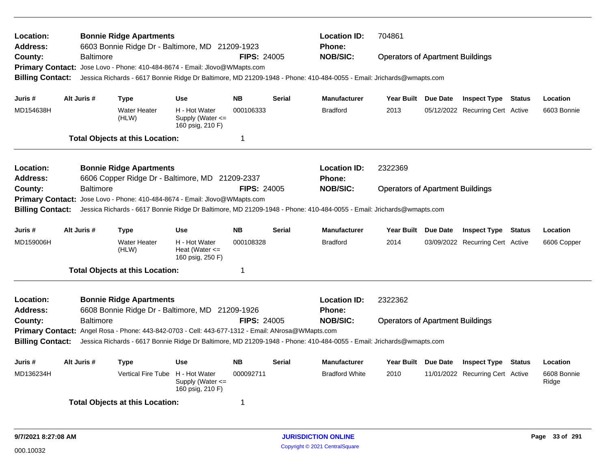| Location:<br><b>Address:</b><br>County:<br><b>Primary Contact:</b><br><b>Billing Contact:</b><br>Juris #<br>MD154638H | Baltimore<br>Alt Juris #                                        | <b>Bonnie Ridge Apartments</b><br>6603 Bonnie Ridge Dr - Baltimore, MD 21209-1923<br>Jose Lovo - Phone: 410-484-8674 - Email: Jlovo@WMapts.com<br>Jessica Richards - 6617 Bonnie Ridge Dr Baltimore, MD 21209-1948 - Phone: 410-484-0055 - Email: Jrichards@wmapts.com<br><b>Type</b><br><b>Water Heater</b> | <b>Use</b><br>H - Hot Water                             | <b>FIPS: 24005</b><br><b>NB</b><br>000106333 | <b>Serial</b> | <b>Location ID:</b><br><b>Phone:</b><br><b>NOB/SIC:</b><br><b>Manufacturer</b><br><b>Bradford</b> | 704861<br><b>Operators of Apartment Buildings</b><br>Year Built Due Date<br>2013 | <b>Inspect Type Status</b><br>05/12/2022 Recurring Cert Active |        | Location<br>6603 Bonnie |
|-----------------------------------------------------------------------------------------------------------------------|-----------------------------------------------------------------|--------------------------------------------------------------------------------------------------------------------------------------------------------------------------------------------------------------------------------------------------------------------------------------------------------------|---------------------------------------------------------|----------------------------------------------|---------------|---------------------------------------------------------------------------------------------------|----------------------------------------------------------------------------------|----------------------------------------------------------------|--------|-------------------------|
|                                                                                                                       |                                                                 | (HLW)                                                                                                                                                                                                                                                                                                        | Supply (Water $\leq$<br>160 psig, 210 F)                |                                              |               |                                                                                                   |                                                                                  |                                                                |        |                         |
|                                                                                                                       |                                                                 | <b>Total Objects at this Location:</b>                                                                                                                                                                                                                                                                       |                                                         | $\mathbf 1$                                  |               |                                                                                                   |                                                                                  |                                                                |        |                         |
| <b>Location:</b><br><b>Address:</b>                                                                                   |                                                                 | <b>Bonnie Ridge Apartments</b><br>6606 Copper Ridge Dr - Baltimore, MD 21209-2337                                                                                                                                                                                                                            |                                                         |                                              |               | <b>Location ID:</b><br>Phone:                                                                     | 2322369                                                                          |                                                                |        |                         |
| County:                                                                                                               | Baltimore                                                       |                                                                                                                                                                                                                                                                                                              |                                                         | <b>FIPS: 24005</b>                           |               | <b>NOB/SIC:</b>                                                                                   | <b>Operators of Apartment Buildings</b>                                          |                                                                |        |                         |
| <b>Primary Contact:</b><br><b>Billing Contact:</b>                                                                    |                                                                 | Jose Lovo - Phone: 410-484-8674 - Email: Jlovo@WMapts.com<br>Jessica Richards - 6617 Bonnie Ridge Dr Baltimore, MD 21209-1948 - Phone: 410-484-0055 - Email: Jrichards@wmapts.com                                                                                                                            |                                                         |                                              |               |                                                                                                   |                                                                                  |                                                                |        |                         |
| Juris #                                                                                                               | Alt Juris #                                                     | <b>Type</b>                                                                                                                                                                                                                                                                                                  | Use                                                     | <b>NB</b>                                    | Serial        | Manufacturer                                                                                      | Year Built Due Date                                                              | <b>Inspect Type Status</b>                                     |        | Location                |
| MD159006H                                                                                                             |                                                                 | <b>Water Heater</b><br>(HLW)                                                                                                                                                                                                                                                                                 | H - Hot Water<br>Heat (Water $\leq$<br>160 psig, 250 F) | 000108328                                    |               | <b>Bradford</b>                                                                                   | 2014                                                                             | 03/09/2022 Recurring Cert Active                               |        | 6606 Copper             |
|                                                                                                                       |                                                                 | <b>Total Objects at this Location:</b>                                                                                                                                                                                                                                                                       |                                                         | -1                                           |               |                                                                                                   |                                                                                  |                                                                |        |                         |
| Location:<br><b>Address:</b>                                                                                          |                                                                 | <b>Bonnie Ridge Apartments</b><br>6608 Bonnie Ridge Dr - Baltimore, MD 21209-1926                                                                                                                                                                                                                            |                                                         |                                              |               | <b>Location ID:</b><br><b>Phone:</b>                                                              | 2322362                                                                          |                                                                |        |                         |
| County:                                                                                                               | <b>Baltimore</b>                                                |                                                                                                                                                                                                                                                                                                              |                                                         | <b>FIPS: 24005</b>                           |               | <b>NOB/SIC:</b>                                                                                   | <b>Operators of Apartment Buildings</b>                                          |                                                                |        |                         |
| <b>Billing Contact:</b>                                                                                               |                                                                 | Primary Contact: Angel Rosa - Phone: 443-842-0703 - Cell: 443-677-1312 - Email: ANrosa@WMapts.com<br>Jessica Richards - 6617 Bonnie Ridge Dr Baltimore, MD 21209-1948 - Phone: 410-484-0055 - Email: Jrichards@wmapts.com                                                                                    |                                                         |                                              |               |                                                                                                   |                                                                                  |                                                                |        |                         |
| Juris #                                                                                                               | Alt Juris #<br><b>NB</b><br><b>Use</b><br><b>Serial</b><br>Type |                                                                                                                                                                                                                                                                                                              |                                                         |                                              |               | <b>Manufacturer</b>                                                                               | Year Built Due Date                                                              | <b>Inspect Type</b>                                            | Status | Location                |
| MD136234H                                                                                                             |                                                                 | Vertical Fire Tube H - Hot Water                                                                                                                                                                                                                                                                             | Supply (Water $\leq$<br>160 psig, 210 F)                | 000092711                                    |               | <b>Bradford White</b>                                                                             | 2010                                                                             | 11/01/2022 Recurring Cert Active                               |        | 6608 Bonnie<br>Ridge    |
|                                                                                                                       |                                                                 | <b>Total Objects at this Location:</b>                                                                                                                                                                                                                                                                       |                                                         | -1                                           |               |                                                                                                   |                                                                                  |                                                                |        |                         |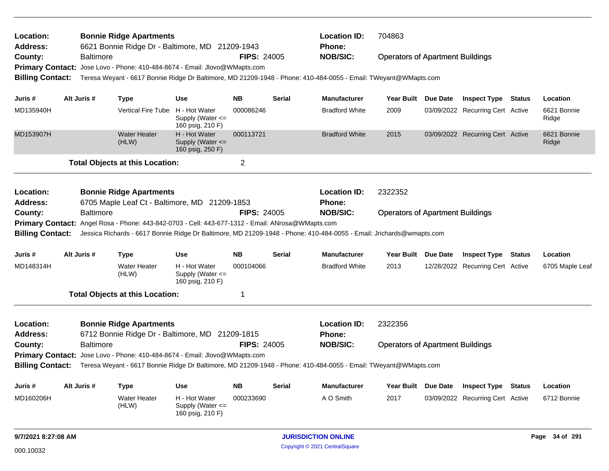| Location:<br><b>Address:</b> |                  | <b>Bonnie Ridge Apartments</b>         | 6621 Bonnie Ridge Dr - Baltimore, MD 21209-1943                                                   |                         |               | <b>Location ID:</b><br><b>Phone:</b>                                                                                 | 704863                                  |                                  |               |                      |
|------------------------------|------------------|----------------------------------------|---------------------------------------------------------------------------------------------------|-------------------------|---------------|----------------------------------------------------------------------------------------------------------------------|-----------------------------------------|----------------------------------|---------------|----------------------|
| County:                      | <b>Baltimore</b> |                                        |                                                                                                   | <b>FIPS: 24005</b>      |               | <b>NOB/SIC:</b>                                                                                                      | <b>Operators of Apartment Buildings</b> |                                  |               |                      |
|                              |                  |                                        | Primary Contact: Jose Lovo - Phone: 410-484-8674 - Email: Jlovo@WMapts.com                        |                         |               |                                                                                                                      |                                         |                                  |               |                      |
| <b>Billing Contact:</b>      |                  |                                        |                                                                                                   |                         |               | Teresa Weyant - 6617 Bonnie Ridge Dr Baltimore, MD 21209-1948 - Phone: 410-484-0055 - Email: TWeyant@WMapts.com      |                                         |                                  |               |                      |
|                              |                  |                                        |                                                                                                   |                         |               |                                                                                                                      |                                         |                                  |               |                      |
| Juris #                      | Alt Juris #      | <b>Type</b>                            | <b>Use</b>                                                                                        | <b>NB</b>               | <b>Serial</b> | <b>Manufacturer</b>                                                                                                  | Year Built Due Date                     | <b>Inspect Type Status</b>       |               | Location             |
| MD135940H                    |                  | <b>Vertical Fire Tube</b>              | H - Hot Water<br>Supply (Water $\leq$<br>160 psig, 210 F)                                         | 000086246               |               | <b>Bradford White</b>                                                                                                | 2009                                    | 03/09/2022 Recurring Cert Active |               | 6621 Bonnie<br>Ridge |
| MD153907H                    |                  | <b>Water Heater</b><br>(HLW)           | H - Hot Water<br>Supply (Water $\leq$<br>160 psig, 250 F)                                         | 000113721               |               | <b>Bradford White</b>                                                                                                | 2015                                    | 03/09/2022 Recurring Cert Active |               | 6621 Bonnie<br>Ridge |
|                              |                  | <b>Total Objects at this Location:</b> |                                                                                                   | $\overline{\mathbf{c}}$ |               |                                                                                                                      |                                         |                                  |               |                      |
| Location:<br>Address:        |                  | <b>Bonnie Ridge Apartments</b>         | 6705 Maple Leaf Ct - Baltimore, MD 21209-1853                                                     |                         |               | <b>Location ID:</b><br>Phone:                                                                                        | 2322352                                 |                                  |               |                      |
| County:                      | <b>Baltimore</b> |                                        |                                                                                                   | <b>FIPS: 24005</b>      |               | <b>NOB/SIC:</b>                                                                                                      | <b>Operators of Apartment Buildings</b> |                                  |               |                      |
|                              |                  |                                        | Primary Contact: Angel Rosa - Phone: 443-842-0703 - Cell: 443-677-1312 - Email: ANrosa@WMapts.com |                         |               |                                                                                                                      |                                         |                                  |               |                      |
| <b>Billing Contact:</b>      |                  |                                        |                                                                                                   |                         |               | Jessica Richards - 6617 Bonnie Ridge Dr Baltimore, MD 21209-1948 - Phone: 410-484-0055 - Email: Jrichards@wmapts.com |                                         |                                  |               |                      |
| Juris #                      | Alt Juris #      | <b>Type</b>                            | Use                                                                                               | <b>NB</b>               | Serial        | <b>Manufacturer</b>                                                                                                  | Year Built Due Date                     | <b>Inspect Type Status</b>       |               | Location             |
| MD148314H                    |                  | <b>Water Heater</b><br>(HLW)           | H - Hot Water<br>Supply (Water $\leq$<br>160 psig, 210 F)                                         | 000104066               |               | <b>Bradford White</b>                                                                                                | 2013                                    | 12/28/2022 Recurring Cert Active |               | 6705 Maple Leaf      |
|                              |                  | <b>Total Objects at this Location:</b> |                                                                                                   | 1                       |               |                                                                                                                      |                                         |                                  |               |                      |
| Location:                    |                  | <b>Bonnie Ridge Apartments</b>         |                                                                                                   |                         |               | <b>Location ID:</b>                                                                                                  | 2322356                                 |                                  |               |                      |
| <b>Address:</b>              |                  |                                        | 6712 Bonnie Ridge Dr - Baltimore, MD 21209-1815                                                   |                         |               | Phone:                                                                                                               |                                         |                                  |               |                      |
| County:                      | <b>Baltimore</b> |                                        |                                                                                                   | <b>FIPS: 24005</b>      |               | <b>NOB/SIC:</b>                                                                                                      | <b>Operators of Apartment Buildings</b> |                                  |               |                      |
|                              |                  |                                        | Primary Contact: Jose Lovo - Phone: 410-484-8674 - Email: Jlovo@WMapts.com                        |                         |               |                                                                                                                      |                                         |                                  |               |                      |
| <b>Billing Contact:</b>      |                  |                                        |                                                                                                   |                         |               | Teresa Weyant - 6617 Bonnie Ridge Dr Baltimore, MD 21209-1948 - Phone: 410-484-0055 - Email: TWeyant@WMapts.com      |                                         |                                  |               |                      |
| Juris #                      | Alt Juris #      | <b>Type</b>                            | <b>Use</b>                                                                                        | <b>NB</b>               | <b>Serial</b> | <b>Manufacturer</b>                                                                                                  | Year Built Due Date                     | <b>Inspect Type</b>              | <b>Status</b> | Location             |
| MD160206H                    |                  | Water Heater<br>(HLW)                  | H - Hot Water<br>Supply (Water $\leq$<br>160 psig, 210 F)                                         | 000233690               |               | A O Smith                                                                                                            | 2017                                    | 03/09/2022 Recurring Cert Active |               | 6712 Bonnie          |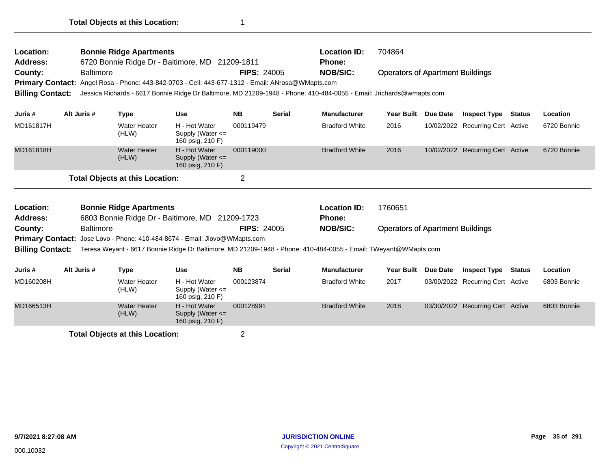| Location:<br><b>Address:</b><br>County:<br><b>Primary Contact:</b><br><b>Billing Contact:</b>                                                                                                                                   |                                                                                   | <b>Bonnie Ridge Apartments</b><br>6720 Bonnie Ridge Dr - Baltimore, MD 21209-1811<br><b>FIPS: 24005</b><br><b>Baltimore</b><br>Angel Rosa - Phone: 443-842-0703 - Cell: 443-677-1312 - Email: ANrosa@WMapts.com<br>Jessica Richards - 6617 Bonnie Ridge Dr Baltimore, MD 21209-1948 - Phone: 410-484-0055 - Email: Jrichards@wmapts.com |                                             |                                                                         |                        |                                      | <b>Location ID:</b><br><b>Phone:</b><br><b>NOB/SIC:</b> | 704864<br><b>Operators of Apartment Buildings</b> |          |                                                         |               |                         |  |
|---------------------------------------------------------------------------------------------------------------------------------------------------------------------------------------------------------------------------------|-----------------------------------------------------------------------------------|-----------------------------------------------------------------------------------------------------------------------------------------------------------------------------------------------------------------------------------------------------------------------------------------------------------------------------------------|---------------------------------------------|-------------------------------------------------------------------------|------------------------|--------------------------------------|---------------------------------------------------------|---------------------------------------------------|----------|---------------------------------------------------------|---------------|-------------------------|--|
|                                                                                                                                                                                                                                 |                                                                                   |                                                                                                                                                                                                                                                                                                                                         |                                             |                                                                         |                        |                                      |                                                         |                                                   |          |                                                         |               |                         |  |
| Juris #<br>MD161817H                                                                                                                                                                                                            |                                                                                   | Alt Juris #                                                                                                                                                                                                                                                                                                                             | <b>Type</b><br><b>Water Heater</b><br>(HLW) | <b>Use</b><br>H - Hot Water<br>Supply (Water $\leq$<br>160 psig, 210 F) | <b>NB</b><br>000119479 | <b>Serial</b>                        | <b>Manufacturer</b><br><b>Bradford White</b>            | <b>Year Built</b><br>2016                         | Due Date | <b>Inspect Type</b><br>10/02/2022 Recurring Cert Active | Status        | Location<br>6720 Bonnie |  |
| MD161818H                                                                                                                                                                                                                       |                                                                                   |                                                                                                                                                                                                                                                                                                                                         | <b>Water Heater</b><br>(HLW)                | H - Hot Water<br>Supply (Water $\leq$<br>160 psig, 210 F)               | 000119000              |                                      | <b>Bradford White</b>                                   | 2016                                              |          | 10/02/2022 Recurring Cert Active                        |               | 6720 Bonnie             |  |
|                                                                                                                                                                                                                                 |                                                                                   |                                                                                                                                                                                                                                                                                                                                         | <b>Total Objects at this Location:</b>      |                                                                         | $\overline{2}$         |                                      |                                                         |                                                   |          |                                                         |               |                         |  |
| Location:<br><b>Address:</b>                                                                                                                                                                                                    | <b>Bonnie Ridge Apartments</b><br>6803 Bonnie Ridge Dr - Baltimore, MD 21209-1723 |                                                                                                                                                                                                                                                                                                                                         |                                             |                                                                         |                        | <b>Location ID:</b><br><b>Phone:</b> | 1760651                                                 |                                                   |          |                                                         |               |                         |  |
| County:                                                                                                                                                                                                                         |                                                                                   | <b>Baltimore</b>                                                                                                                                                                                                                                                                                                                        |                                             |                                                                         | <b>FIPS: 24005</b>     |                                      | <b>NOB/SIC:</b>                                         | <b>Operators of Apartment Buildings</b>           |          |                                                         |               |                         |  |
| <b>Primary Contact:</b> Jose Lovo - Phone: 410-484-8674 - Email: Jlovo@WMapts.com<br><b>Billing Contact:</b><br>Teresa Weyant - 6617 Bonnie Ridge Dr Baltimore, MD 21209-1948 - Phone: 410-484-0055 - Email: TWeyant@WMapts.com |                                                                                   |                                                                                                                                                                                                                                                                                                                                         |                                             |                                                                         |                        |                                      |                                                         |                                                   |          |                                                         |               |                         |  |
| Juris #                                                                                                                                                                                                                         |                                                                                   | Alt Juris #                                                                                                                                                                                                                                                                                                                             | <b>Type</b>                                 | <b>Use</b>                                                              | <b>NB</b>              | <b>Serial</b>                        | <b>Manufacturer</b>                                     | Year Built Due Date                               |          | <b>Inspect Type</b>                                     | <b>Status</b> | Location                |  |
| MD160208H                                                                                                                                                                                                                       |                                                                                   |                                                                                                                                                                                                                                                                                                                                         | <b>Water Heater</b><br>(HLW)                | H - Hot Water<br>Supply (Water $\leq$<br>160 psig, 210 F)               | 000123874              |                                      | <b>Bradford White</b>                                   | 2017                                              |          | 03/09/2022 Recurring Cert Active                        |               | 6803 Bonnie             |  |
| MD166513H                                                                                                                                                                                                                       |                                                                                   |                                                                                                                                                                                                                                                                                                                                         | <b>Water Heater</b><br>(HLW)                | H - Hot Water<br>Supply (Water $\leq$<br>160 psig, 210 F)               | 000128991              |                                      | <b>Bradford White</b>                                   | 2018                                              |          | 03/30/2022 Recurring Cert Active                        |               | 6803 Bonnie             |  |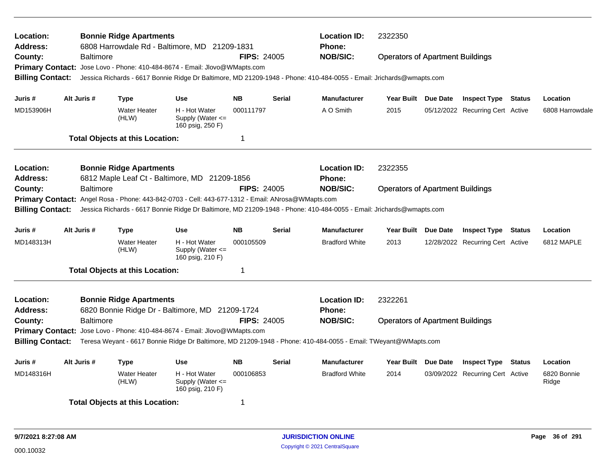| Location:<br><b>Address:</b><br>County:<br><b>Primary Contact:</b><br><b>Billing Contact:</b> |                                                                                   | <b>Bonnie Ridge Apartments</b><br>6808 Harrowdale Rd - Baltimore, MD 21209-1831<br><b>FIPS: 24005</b><br>Baltimore<br>Jose Lovo - Phone: 410-484-8674 - Email: Jlovo@WMapts.com<br>Jessica Richards - 6617 Bonnie Ridge Dr Baltimore, MD 21209-1948 - Phone: 410-484-0055 - Email: Jrichards@wmapts.com |                                                                                  |                    |               |                                                                                                                                         | <b>Location ID:</b><br>2322350<br><b>Phone:</b><br><b>NOB/SIC:</b><br><b>Operators of Apartment Buildings</b> |  |                                  |               |                      |  |
|-----------------------------------------------------------------------------------------------|-----------------------------------------------------------------------------------|---------------------------------------------------------------------------------------------------------------------------------------------------------------------------------------------------------------------------------------------------------------------------------------------------------|----------------------------------------------------------------------------------|--------------------|---------------|-----------------------------------------------------------------------------------------------------------------------------------------|---------------------------------------------------------------------------------------------------------------|--|----------------------------------|---------------|----------------------|--|
| Juris #                                                                                       | Alt Juris #                                                                       | <b>Type</b>                                                                                                                                                                                                                                                                                             | <b>Use</b>                                                                       | <b>NB</b>          | <b>Serial</b> | <b>Manufacturer</b>                                                                                                                     | Year Built Due Date                                                                                           |  | <b>Inspect Type Status</b>       |               | Location             |  |
| MD153906H                                                                                     |                                                                                   | <b>Water Heater</b><br>(HLW)                                                                                                                                                                                                                                                                            | H - Hot Water<br>Supply (Water <=<br>160 psig, 250 F)                            | 000111797          |               | A O Smith                                                                                                                               | 2015                                                                                                          |  | 05/12/2022 Recurring Cert Active |               | 6808 Harrowdale      |  |
|                                                                                               |                                                                                   | <b>Total Objects at this Location:</b>                                                                                                                                                                                                                                                                  |                                                                                  | $\mathbf 1$        |               |                                                                                                                                         |                                                                                                               |  |                                  |               |                      |  |
| Location:<br><b>Address:</b>                                                                  | <b>Bonnie Ridge Apartments</b><br>6812 Maple Leaf Ct - Baltimore, MD 21209-1856   |                                                                                                                                                                                                                                                                                                         |                                                                                  |                    |               | <b>Location ID:</b><br>Phone:                                                                                                           | 2322355                                                                                                       |  |                                  |               |                      |  |
| County:<br><b>Primary Contact:</b><br><b>Billing Contact:</b>                                 | Baltimore                                                                         |                                                                                                                                                                                                                                                                                                         | Angel Rosa - Phone: 443-842-0703 - Cell: 443-677-1312 - Email: ANrosa@WMapts.com | <b>FIPS: 24005</b> |               | <b>NOB/SIC:</b><br>Jessica Richards - 6617 Bonnie Ridge Dr Baltimore, MD 21209-1948 - Phone: 410-484-0055 - Email: Jrichards@wmapts.com | <b>Operators of Apartment Buildings</b>                                                                       |  |                                  |               |                      |  |
| Juris #                                                                                       | Alt Juris #                                                                       | <b>Type</b>                                                                                                                                                                                                                                                                                             | <b>Use</b>                                                                       | <b>NB</b>          | <b>Serial</b> | <b>Manufacturer</b>                                                                                                                     | Year Built Due Date                                                                                           |  | <b>Inspect Type Status</b>       |               | Location             |  |
| MD148313H                                                                                     |                                                                                   | <b>Water Heater</b><br>(HLW)                                                                                                                                                                                                                                                                            | H - Hot Water<br>Supply (Water <=<br>160 psig, 210 F)                            | 000105509          |               | <b>Bradford White</b>                                                                                                                   | 2013                                                                                                          |  | 12/28/2022 Recurring Cert Active |               | 6812 MAPLE           |  |
|                                                                                               |                                                                                   | <b>Total Objects at this Location:</b>                                                                                                                                                                                                                                                                  |                                                                                  | -1                 |               |                                                                                                                                         |                                                                                                               |  |                                  |               |                      |  |
| <b>Location:</b><br><b>Address:</b>                                                           | <b>Bonnie Ridge Apartments</b><br>6820 Bonnie Ridge Dr - Baltimore, MD 21209-1724 |                                                                                                                                                                                                                                                                                                         |                                                                                  |                    |               | <b>Location ID:</b><br><b>Phone:</b>                                                                                                    | 2322261                                                                                                       |  |                                  |               |                      |  |
| County:<br><b>Billing Contact:</b>                                                            | <b>Baltimore</b>                                                                  |                                                                                                                                                                                                                                                                                                         | Primary Contact: Jose Lovo - Phone: 410-484-8674 - Email: Jlovo@WMapts.com       | <b>FIPS: 24005</b> |               | <b>NOB/SIC:</b><br>Teresa Weyant - 6617 Bonnie Ridge Dr Baltimore, MD 21209-1948 - Phone: 410-484-0055 - Email: TWeyant@WMapts.com      | <b>Operators of Apartment Buildings</b>                                                                       |  |                                  |               |                      |  |
| Juris #                                                                                       | Alt Juris #                                                                       | Type                                                                                                                                                                                                                                                                                                    | Use                                                                              | <b>NB</b>          | <b>Serial</b> | <b>Manufacturer</b>                                                                                                                     | Year Built Due Date                                                                                           |  | <b>Inspect Type</b>              | <b>Status</b> | Location             |  |
| MD148316H                                                                                     |                                                                                   | <b>Water Heater</b><br>(HLW)                                                                                                                                                                                                                                                                            | H - Hot Water<br>Supply (Water <=<br>160 psig, 210 F)                            | 000106853          |               | <b>Bradford White</b>                                                                                                                   | 2014                                                                                                          |  | 03/09/2022 Recurring Cert Active |               | 6820 Bonnie<br>Ridge |  |
|                                                                                               |                                                                                   | <b>Total Objects at this Location:</b>                                                                                                                                                                                                                                                                  |                                                                                  | 1                  |               |                                                                                                                                         |                                                                                                               |  |                                  |               |                      |  |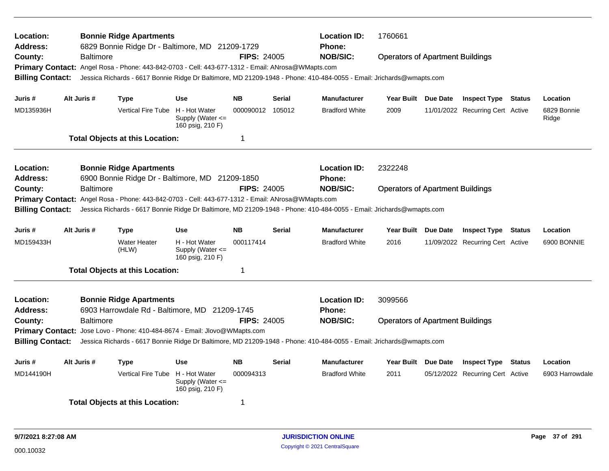| Location:<br><b>Address:</b><br>County:<br><b>Billing Contact:</b> | <b>Baltimore</b> | <b>Bonnie Ridge Apartments</b><br>6829 Bonnie Ridge Dr - Baltimore, MD 21209-1729<br>Primary Contact: Angel Rosa - Phone: 443-842-0703 - Cell: 443-677-1312 - Email: ANrosa@WMapts.com                                    |                                                           | <b>FIPS: 24005</b> |               | <b>Location ID:</b><br>1760661<br><b>Phone:</b><br><b>NOB/SIC:</b><br><b>Operators of Apartment Buildings</b><br>Jessica Richards - 6617 Bonnie Ridge Dr Baltimore, MD 21209-1948 - Phone: 410-484-0055 - Email: Jrichards@wmapts.com |                                         |  |                                  |               |                      |
|--------------------------------------------------------------------|------------------|---------------------------------------------------------------------------------------------------------------------------------------------------------------------------------------------------------------------------|-----------------------------------------------------------|--------------------|---------------|---------------------------------------------------------------------------------------------------------------------------------------------------------------------------------------------------------------------------------------|-----------------------------------------|--|----------------------------------|---------------|----------------------|
| Juris #                                                            | Alt Juris #      | Type                                                                                                                                                                                                                      | Use                                                       | <b>NB</b>          | <b>Serial</b> | <b>Manufacturer</b>                                                                                                                                                                                                                   | Year Built Due Date                     |  | <b>Inspect Type Status</b>       |               | Location             |
| MD135936H                                                          |                  | Vertical Fire Tube H - Hot Water                                                                                                                                                                                          | Supply (Water $\leq$<br>160 psig, 210 F)                  | 000090012 105012   |               | <b>Bradford White</b>                                                                                                                                                                                                                 | 2009                                    |  | 11/01/2022 Recurring Cert Active |               | 6829 Bonnie<br>Ridge |
|                                                                    |                  | <b>Total Objects at this Location:</b>                                                                                                                                                                                    |                                                           | 1                  |               |                                                                                                                                                                                                                                       |                                         |  |                                  |               |                      |
| Location:<br><b>Address:</b>                                       |                  | <b>Bonnie Ridge Apartments</b><br>6900 Bonnie Ridge Dr - Baltimore, MD 21209-1850                                                                                                                                         |                                                           |                    |               | <b>Location ID:</b><br><b>Phone:</b>                                                                                                                                                                                                  | 2322248                                 |  |                                  |               |                      |
| County:<br><b>Billing Contact:</b>                                 | <b>Baltimore</b> | Primary Contact: Angel Rosa - Phone: 443-842-0703 - Cell: 443-677-1312 - Email: ANrosa@WMapts.com<br>Jessica Richards - 6617 Bonnie Ridge Dr Baltimore, MD 21209-1948 - Phone: 410-484-0055 - Email: Jrichards@wmapts.com |                                                           | <b>FIPS: 24005</b> |               | <b>NOB/SIC:</b>                                                                                                                                                                                                                       | <b>Operators of Apartment Buildings</b> |  |                                  |               |                      |
| Juris #                                                            | Alt Juris #      | <b>Type</b>                                                                                                                                                                                                               | <b>Use</b>                                                | <b>NB</b>          | <b>Serial</b> | <b>Manufacturer</b>                                                                                                                                                                                                                   | Year Built Due Date                     |  | <b>Inspect Type</b>              | Status        | Location             |
| MD159433H                                                          |                  | <b>Water Heater</b><br>(HLW)                                                                                                                                                                                              | H - Hot Water<br>Supply (Water $\leq$<br>160 psig, 210 F) | 000117414          |               | <b>Bradford White</b>                                                                                                                                                                                                                 | 2016                                    |  | 11/09/2022 Recurring Cert Active |               | 6900 BONNIE          |
|                                                                    |                  | <b>Total Objects at this Location:</b>                                                                                                                                                                                    |                                                           | 1                  |               |                                                                                                                                                                                                                                       |                                         |  |                                  |               |                      |
| Location:<br><b>Address:</b>                                       |                  | <b>Bonnie Ridge Apartments</b><br>6903 Harrowdale Rd - Baltimore, MD 21209-1745                                                                                                                                           |                                                           |                    |               | <b>Location ID:</b><br>Phone:                                                                                                                                                                                                         | 3099566                                 |  |                                  |               |                      |
| County:<br><b>Billing Contact:</b>                                 | <b>Baltimore</b> | Primary Contact: Jose Lovo - Phone: 410-484-8674 - Email: Jlovo@WMapts.com<br>Jessica Richards - 6617 Bonnie Ridge Dr Baltimore, MD 21209-1948 - Phone: 410-484-0055 - Email: Jrichards@wmapts.com                        |                                                           | <b>FIPS: 24005</b> |               | <b>NOB/SIC:</b>                                                                                                                                                                                                                       | <b>Operators of Apartment Buildings</b> |  |                                  |               |                      |
| Juris #                                                            | Alt Juris #      | <b>Type</b>                                                                                                                                                                                                               | <b>Use</b>                                                | <b>NB</b>          | <b>Serial</b> | <b>Manufacturer</b>                                                                                                                                                                                                                   | Year Built Due Date                     |  | <b>Inspect Type</b>              | <b>Status</b> | Location             |
| MD144190H                                                          |                  | Vertical Fire Tube H - Hot Water                                                                                                                                                                                          | Supply (Water $\leq$<br>160 psig, 210 F)                  | 000094313          |               | <b>Bradford White</b>                                                                                                                                                                                                                 | 2011                                    |  | 05/12/2022 Recurring Cert Active |               | 6903 Harrowdale      |
|                                                                    |                  | <b>Total Objects at this Location:</b>                                                                                                                                                                                    |                                                           | 1                  |               |                                                                                                                                                                                                                                       |                                         |  |                                  |               |                      |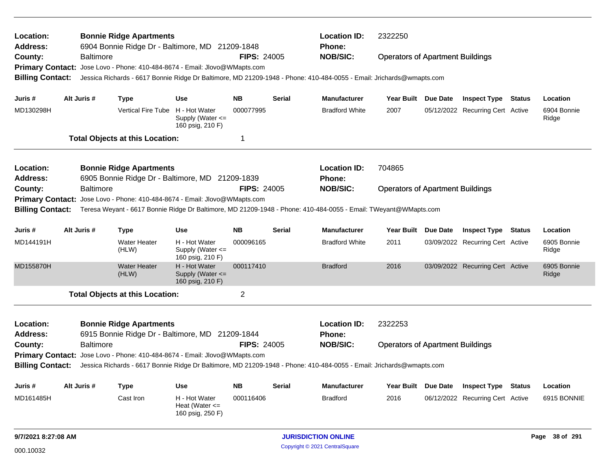| Location:<br>Address:       |                                                                                                                                            |                  | <b>Bonnie Ridge Apartments</b><br>6904 Bonnie Ridge Dr - Baltimore, MD 21209-1848                                    |                                                           |                    |                 | <b>Location ID:</b><br>Phone:           | 2322250                                 |                                  |               |                      |
|-----------------------------|--------------------------------------------------------------------------------------------------------------------------------------------|------------------|----------------------------------------------------------------------------------------------------------------------|-----------------------------------------------------------|--------------------|-----------------|-----------------------------------------|-----------------------------------------|----------------------------------|---------------|----------------------|
| County:                     |                                                                                                                                            | <b>Baltimore</b> |                                                                                                                      |                                                           | <b>FIPS: 24005</b> |                 | <b>NOB/SIC:</b>                         | <b>Operators of Apartment Buildings</b> |                                  |               |                      |
| <b>Primary Contact:</b>     |                                                                                                                                            |                  | Jose Lovo - Phone: 410-484-8674 - Email: Jlovo@WMapts.com                                                            |                                                           |                    |                 |                                         |                                         |                                  |               |                      |
| <b>Billing Contact:</b>     |                                                                                                                                            |                  | Jessica Richards - 6617 Bonnie Ridge Dr Baltimore, MD 21209-1948 - Phone: 410-484-0055 - Email: Jrichards@wmapts.com |                                                           |                    |                 |                                         |                                         |                                  |               |                      |
| Juris #                     |                                                                                                                                            | Alt Juris #      | <b>Type</b>                                                                                                          | <b>Use</b>                                                | <b>NB</b>          | Serial          | <b>Manufacturer</b>                     | Year Built Due Date                     | <b>Inspect Type Status</b>       |               | Location             |
| MD130298H                   |                                                                                                                                            |                  | Vertical Fire Tube H - Hot Water                                                                                     | Supply (Water <=<br>160 psig, 210 F)                      | 000077995          |                 | <b>Bradford White</b>                   | 2007                                    | 05/12/2022 Recurring Cert Active |               | 6904 Bonnie<br>Ridge |
|                             |                                                                                                                                            |                  | <b>Total Objects at this Location:</b>                                                                               |                                                           | 1                  |                 |                                         |                                         |                                  |               |                      |
| Location:                   |                                                                                                                                            |                  | <b>Bonnie Ridge Apartments</b>                                                                                       |                                                           |                    |                 | <b>Location ID:</b>                     | 704865                                  |                                  |               |                      |
| <b>Address:</b>             |                                                                                                                                            |                  | 6905 Bonnie Ridge Dr - Baltimore, MD 21209-1839                                                                      |                                                           |                    |                 | Phone:                                  |                                         |                                  |               |                      |
| <b>Baltimore</b><br>County: |                                                                                                                                            |                  |                                                                                                                      | <b>FIPS: 24005</b>                                        |                    | <b>NOB/SIC:</b> | <b>Operators of Apartment Buildings</b> |                                         |                                  |               |                      |
| <b>Primary Contact:</b>     | Jose Lovo - Phone: 410-484-8674 - Email: Jlovo@WMapts.com                                                                                  |                  |                                                                                                                      |                                                           |                    |                 |                                         |                                         |                                  |               |                      |
|                             | Teresa Weyant - 6617 Bonnie Ridge Dr Baltimore, MD 21209-1948 - Phone: 410-484-0055 - Email: TWeyant@WMapts.com<br><b>Billing Contact:</b> |                  |                                                                                                                      |                                                           |                    |                 |                                         |                                         |                                  |               |                      |
| Juris #                     |                                                                                                                                            | Alt Juris #      | <b>Type</b>                                                                                                          | <b>Use</b>                                                | <b>NB</b>          | <b>Serial</b>   | <b>Manufacturer</b>                     | Year Built Due Date                     | <b>Inspect Type Status</b>       |               | Location             |
| MD144191H                   |                                                                                                                                            |                  | Water Heater<br>(HLW)                                                                                                | H - Hot Water<br>Supply (Water $\leq$<br>160 psig, 210 F) | 000096165          |                 | <b>Bradford White</b>                   | 2011                                    | 03/09/2022 Recurring Cert Active |               | 6905 Bonnie<br>Ridge |
| MD155870H                   |                                                                                                                                            |                  | <b>Water Heater</b><br>(HLW)                                                                                         | H - Hot Water<br>Supply (Water $\leq$<br>160 psig, 210 F) | 000117410          |                 | <b>Bradford</b>                         | 2016                                    | 03/09/2022 Recurring Cert Active |               | 6905 Bonnie<br>Ridge |
|                             |                                                                                                                                            |                  | <b>Total Objects at this Location:</b>                                                                               |                                                           | $\overline{c}$     |                 |                                         |                                         |                                  |               |                      |
| Location:                   |                                                                                                                                            |                  | <b>Bonnie Ridge Apartments</b>                                                                                       |                                                           |                    |                 | <b>Location ID:</b>                     | 2322253                                 |                                  |               |                      |
| Address:                    |                                                                                                                                            |                  | 6915 Bonnie Ridge Dr - Baltimore, MD 21209-1844                                                                      |                                                           |                    |                 | <b>Phone:</b>                           |                                         |                                  |               |                      |
| County:                     |                                                                                                                                            | <b>Baltimore</b> |                                                                                                                      |                                                           | <b>FIPS: 24005</b> |                 | <b>NOB/SIC:</b>                         | <b>Operators of Apartment Buildings</b> |                                  |               |                      |
| <b>Primary Contact:</b>     |                                                                                                                                            |                  | Jose Lovo - Phone: 410-484-8674 - Email: Jlovo@WMapts.com                                                            |                                                           |                    |                 |                                         |                                         |                                  |               |                      |
| <b>Billing Contact:</b>     |                                                                                                                                            |                  | Jessica Richards - 6617 Bonnie Ridge Dr Baltimore, MD 21209-1948 - Phone: 410-484-0055 - Email: Jrichards@wmapts.com |                                                           |                    |                 |                                         |                                         |                                  |               |                      |
| Juris #                     |                                                                                                                                            | Alt Juris #      | <b>Type</b>                                                                                                          | <b>Use</b>                                                | <b>NB</b>          | <b>Serial</b>   | <b>Manufacturer</b>                     | Year Built Due Date                     | <b>Inspect Type</b>              | <b>Status</b> | Location             |
| MD161485H                   |                                                                                                                                            |                  | Cast Iron                                                                                                            | H - Hot Water<br>Heat (Water $\leq$<br>160 psig, 250 F)   | 000116406          |                 | <b>Bradford</b>                         | 2016                                    | 06/12/2022 Recurring Cert Active |               | 6915 BONNIE          |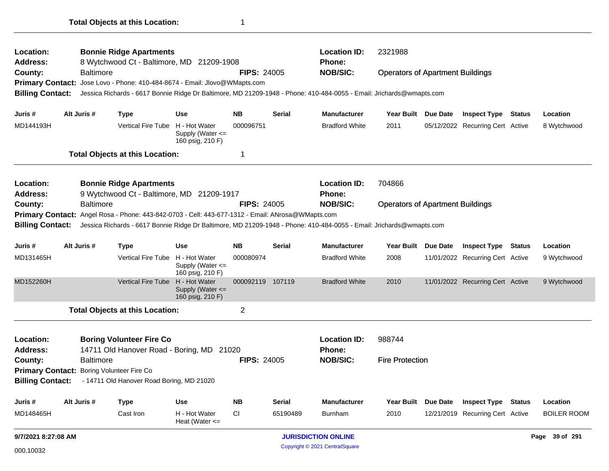| <b>Location:</b><br><b>Address:</b>              |                                                                                                                                                 |                  | <b>Bonnie Ridge Apartments</b><br>8 Wytchwood Ct - Baltimore, MD 21209-1908 |                                                           |                            |                    | <b>Location ID:</b><br><b>Phone:</b>                                                                                 | 2321988                                 |                                  |        |                    |
|--------------------------------------------------|-------------------------------------------------------------------------------------------------------------------------------------------------|------------------|-----------------------------------------------------------------------------|-----------------------------------------------------------|----------------------------|--------------------|----------------------------------------------------------------------------------------------------------------------|-----------------------------------------|----------------------------------|--------|--------------------|
| County:                                          |                                                                                                                                                 | <b>Baltimore</b> |                                                                             |                                                           | <b>FIPS: 24005</b>         |                    | <b>NOB/SIC:</b>                                                                                                      | <b>Operators of Apartment Buildings</b> |                                  |        |                    |
| <b>Primary Contact:</b>                          |                                                                                                                                                 |                  | Jose Lovo - Phone: 410-484-8674 - Email: Jlovo@WMapts.com                   |                                                           |                            |                    |                                                                                                                      |                                         |                                  |        |                    |
| <b>Billing Contact:</b>                          |                                                                                                                                                 |                  |                                                                             |                                                           |                            |                    | Jessica Richards - 6617 Bonnie Ridge Dr Baltimore, MD 21209-1948 - Phone: 410-484-0055 - Email: Jrichards@wmapts.com |                                         |                                  |        |                    |
| Juris #                                          |                                                                                                                                                 | Alt Juris #      | <b>Type</b>                                                                 | <b>Use</b>                                                | <b>NB</b>                  | <b>Serial</b>      | <b>Manufacturer</b>                                                                                                  | Year Built Due Date                     | <b>Inspect Type Status</b>       |        | Location           |
| MD144193H                                        |                                                                                                                                                 |                  | Vertical Fire Tube H - Hot Water                                            | Supply (Water $\leq$<br>160 psig, 210 F)                  | 000096751                  |                    | <b>Bradford White</b>                                                                                                | 2011                                    | 05/12/2022 Recurring Cert Active |        | 8 Wytchwood        |
|                                                  |                                                                                                                                                 |                  | <b>Total Objects at this Location:</b>                                      |                                                           | 1                          |                    |                                                                                                                      |                                         |                                  |        |                    |
| Location:                                        |                                                                                                                                                 |                  | <b>Bonnie Ridge Apartments</b>                                              |                                                           |                            |                    | <b>Location ID:</b>                                                                                                  | 704866                                  |                                  |        |                    |
| <b>Address:</b>                                  | 9 Wytchwood Ct - Baltimore, MD 21209-1917                                                                                                       |                  |                                                                             |                                                           |                            |                    | <b>Phone:</b>                                                                                                        |                                         |                                  |        |                    |
| County:                                          | <b>Baltimore</b>                                                                                                                                |                  |                                                                             |                                                           |                            | <b>FIPS: 24005</b> | <b>NOB/SIC:</b>                                                                                                      | <b>Operators of Apartment Buildings</b> |                                  |        |                    |
|                                                  | <b>Primary Contact:</b><br>Angel Rosa - Phone: 443-842-0703 - Cell: 443-677-1312 - Email: ANrosa@WMapts.com                                     |                  |                                                                             |                                                           |                            |                    |                                                                                                                      |                                         |                                  |        |                    |
|                                                  | <b>Billing Contact:</b><br>Jessica Richards - 6617 Bonnie Ridge Dr Baltimore, MD 21209-1948 - Phone: 410-484-0055 - Email: Jrichards@wmapts.com |                  |                                                                             |                                                           |                            |                    |                                                                                                                      |                                         |                                  |        |                    |
| Juris #                                          |                                                                                                                                                 | Alt Juris #      | <b>Type</b>                                                                 | <b>Use</b>                                                | <b>NB</b>                  | <b>Serial</b>      | <b>Manufacturer</b>                                                                                                  | Year Built Due Date                     | <b>Inspect Type</b>              | Status | Location           |
| MD131465H                                        |                                                                                                                                                 |                  | Vertical Fire Tube H - Hot Water                                            | Supply (Water $\leq$<br>160 psig, 210 F)                  | 000080974                  |                    | <b>Bradford White</b>                                                                                                | 2008                                    | 11/01/2022 Recurring Cert Active |        | 9 Wytchwood        |
| MD152260H                                        |                                                                                                                                                 |                  | <b>Vertical Fire Tube</b>                                                   | H - Hot Water<br>Supply (Water $\leq$<br>160 psig, 210 F) | 000092119 107119           |                    | <b>Bradford White</b>                                                                                                | 2010                                    | 11/01/2022 Recurring Cert Active |        | 9 Wytchwood        |
|                                                  |                                                                                                                                                 |                  | <b>Total Objects at this Location:</b>                                      |                                                           | 2                          |                    |                                                                                                                      |                                         |                                  |        |                    |
| <b>Location:</b>                                 |                                                                                                                                                 |                  | <b>Boring Volunteer Fire Co</b>                                             |                                                           |                            |                    | <b>Location ID:</b>                                                                                                  | 988744                                  |                                  |        |                    |
| <b>Address:</b>                                  |                                                                                                                                                 |                  | 14711 Old Hanover Road - Boring, MD 21020                                   |                                                           |                            |                    | <b>Phone:</b>                                                                                                        |                                         |                                  |        |                    |
| County:                                          |                                                                                                                                                 | <b>Baltimore</b> |                                                                             |                                                           | <b>FIPS: 24005</b>         |                    | <b>NOB/SIC:</b>                                                                                                      | <b>Fire Protection</b>                  |                                  |        |                    |
| <b>Primary Contact:</b> Boring Volunteer Fire Co |                                                                                                                                                 |                  |                                                                             |                                                           |                            |                    |                                                                                                                      |                                         |                                  |        |                    |
| <b>Billing Contact:</b>                          |                                                                                                                                                 |                  | - 14711 Old Hanover Road Boring, MD 21020                                   |                                                           |                            |                    |                                                                                                                      |                                         |                                  |        |                    |
| Juris #                                          |                                                                                                                                                 | Alt Juris #      | Type                                                                        | <b>Use</b>                                                | <b>NB</b>                  | <b>Serial</b>      | <b>Manufacturer</b>                                                                                                  | Year Built Due Date                     | <b>Inspect Type</b>              | Status | Location           |
| MD148465H                                        |                                                                                                                                                 |                  | Cast Iron                                                                   | H - Hot Water<br>Heat (Water $\leq$                       | СI                         | 65190489           | <b>Burnham</b>                                                                                                       | 2010                                    | 12/21/2019 Recurring Cert Active |        | <b>BOILER ROOM</b> |
| 9/7/2021 8:27:08 AM                              |                                                                                                                                                 |                  |                                                                             |                                                           | <b>JURISDICTION ONLINE</b> |                    |                                                                                                                      |                                         | Page 39 of 291                   |        |                    |

Copyright © 2021 CentralSquare 000.10032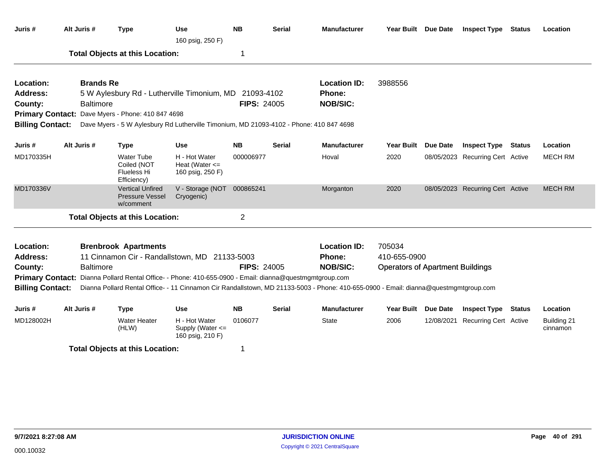| Juris #                                      | Alt Juris #                                                            | <b>Type</b>                                                                                                                          | Use<br>160 psig, 250 F)                                 | <b>NB</b>          | <b>Serial</b> | <b>Manufacturer</b>                              | Year Built Due Date                     | <b>Inspect Type Status</b>       | Location                |
|----------------------------------------------|------------------------------------------------------------------------|--------------------------------------------------------------------------------------------------------------------------------------|---------------------------------------------------------|--------------------|---------------|--------------------------------------------------|-----------------------------------------|----------------------------------|-------------------------|
|                                              |                                                                        | <b>Total Objects at this Location:</b>                                                                                               |                                                         | -1                 |               |                                                  |                                         |                                  |                         |
| Location:<br><b>Address:</b><br>County:      | <b>Brands Re</b><br><b>Baltimore</b>                                   | 5 W Aylesbury Rd - Lutherville Timonium, MD 21093-4102                                                                               |                                                         | <b>FIPS: 24005</b> |               | <b>Location ID:</b><br>Phone:<br><b>NOB/SIC:</b> | 3988556                                 |                                  |                         |
|                                              |                                                                        | Primary Contact: Dave Myers - Phone: 410 847 4698                                                                                    |                                                         |                    |               |                                                  |                                         |                                  |                         |
| <b>Billing Contact:</b>                      |                                                                        | Dave Myers - 5 W Aylesbury Rd Lutherville Timonium, MD 21093-4102 - Phone: 410 847 4698                                              |                                                         |                    |               |                                                  |                                         |                                  |                         |
| Juris #                                      | Alt Juris #                                                            | <b>Type</b>                                                                                                                          | <b>Use</b>                                              | <b>NB</b>          | <b>Serial</b> | <b>Manufacturer</b>                              | Year Built Due Date                     | <b>Inspect Type Status</b>       | Location                |
| MD170335H                                    |                                                                        | <b>Water Tube</b><br>Coiled (NOT<br>Flueless Hi<br>Efficiency)                                                                       | H - Hot Water<br>Heat (Water $\leq$<br>160 psig, 250 F) | 000006977          |               | Hoval                                            | 2020                                    | 08/05/2023 Recurring Cert Active | <b>MECH RM</b>          |
| MD170336V                                    |                                                                        | <b>Vertical Unfired</b><br><b>Pressure Vessel</b><br>w/comment                                                                       | V - Storage (NOT 000865241<br>Cryogenic)                |                    |               | Morganton                                        | 2020                                    | 08/05/2023 Recurring Cert Active | <b>MECH RM</b>          |
|                                              |                                                                        | <b>Total Objects at this Location:</b>                                                                                               |                                                         | $\overline{2}$     |               |                                                  |                                         |                                  |                         |
| Location:                                    |                                                                        | <b>Brenbrook Apartments</b>                                                                                                          |                                                         |                    |               | <b>Location ID:</b>                              | 705034                                  |                                  |                         |
| <b>Address:</b>                              |                                                                        | 11 Cinnamon Cir - Randallstown, MD 21133-5003                                                                                        |                                                         |                    |               | Phone:                                           | 410-655-0900                            |                                  |                         |
| County:                                      | <b>Baltimore</b>                                                       | Primary Contact: Dianna Pollard Rental Office- - Phone: 410-655-0900 - Email: dianna@questmgmtgroup.com                              |                                                         | <b>FIPS: 24005</b> |               | <b>NOB/SIC:</b>                                  | <b>Operators of Apartment Buildings</b> |                                  |                         |
| <b>Billing Contact:</b>                      |                                                                        | Dianna Pollard Rental Office- - 11 Cinnamon Cir Randallstown, MD 21133-5003 - Phone: 410-655-0900 - Email: dianna@questmgmtgroup.com |                                                         |                    |               |                                                  |                                         |                                  |                         |
| Juris #                                      | Alt Juris #<br><b>NB</b><br><b>Use</b><br><b>Serial</b><br><b>Type</b> |                                                                                                                                      |                                                         |                    |               | <b>Manufacturer</b>                              | Year Built Due Date                     | <b>Inspect Type Status</b>       | Location                |
| MD128002H                                    |                                                                        | <b>Water Heater</b><br>(HLW)                                                                                                         | H - Hot Water<br>Supply (Water <=<br>160 psig, 210 F)   | 0106077            |               | State                                            | 2006                                    | 12/08/2021 Recurring Cert Active | Building 21<br>cinnamon |
| <b>Total Objects at this Location:</b><br>-1 |                                                                        |                                                                                                                                      |                                                         |                    |               |                                                  |                                         |                                  |                         |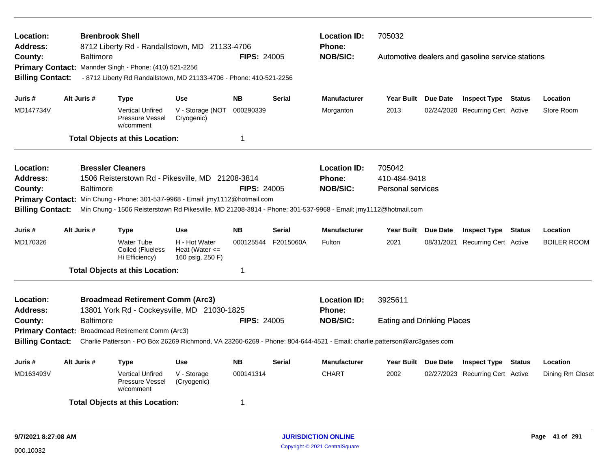| Location:<br><b>Address:</b> |                  | <b>Brenbrook Shell</b><br>8712 Liberty Rd - Randallstown, MD 21133-4706                                                 |                                                         |                    |               | <b>Location ID:</b><br><b>Phone:</b> | 705032<br>Automotive dealers and gasoline service stations |  |                                  |               |                    |  |
|------------------------------|------------------|-------------------------------------------------------------------------------------------------------------------------|---------------------------------------------------------|--------------------|---------------|--------------------------------------|------------------------------------------------------------|--|----------------------------------|---------------|--------------------|--|
| County:                      | <b>Baltimore</b> |                                                                                                                         |                                                         | <b>FIPS: 24005</b> |               | <b>NOB/SIC:</b>                      |                                                            |  |                                  |               |                    |  |
|                              |                  | Primary Contact: Mannder Singh - Phone: (410) 521-2256                                                                  |                                                         |                    |               |                                      |                                                            |  |                                  |               |                    |  |
| <b>Billing Contact:</b>      |                  | - 8712 Liberty Rd Randallstown, MD 21133-4706 - Phone: 410-521-2256                                                     |                                                         |                    |               |                                      |                                                            |  |                                  |               |                    |  |
| Juris #                      | Alt Juris #      | <b>Type</b>                                                                                                             | <b>Use</b>                                              | <b>NB</b>          | <b>Serial</b> | <b>Manufacturer</b>                  | Year Built Due Date                                        |  | <b>Inspect Type Status</b>       |               | Location           |  |
| MD147734V                    |                  | <b>Vertical Unfired</b><br><b>Pressure Vessel</b><br>w/comment                                                          | V - Storage (NOT<br>Cryogenic)                          | 000290339          |               | Morganton                            | 2013                                                       |  | 02/24/2020 Recurring Cert Active |               | Store Room         |  |
|                              |                  | <b>Total Objects at this Location:</b>                                                                                  |                                                         | 1                  |               |                                      |                                                            |  |                                  |               |                    |  |
| Location:                    |                  | <b>Bressler Cleaners</b>                                                                                                |                                                         |                    |               | <b>Location ID:</b>                  | 705042                                                     |  |                                  |               |                    |  |
| <b>Address:</b>              |                  | 1506 Reisterstown Rd - Pikesville, MD 21208-3814                                                                        |                                                         |                    |               | <b>Phone:</b>                        | 410-484-9418                                               |  |                                  |               |                    |  |
| County:                      | Baltimore        |                                                                                                                         |                                                         | <b>FIPS: 24005</b> |               | <b>NOB/SIC:</b>                      | <b>Personal services</b>                                   |  |                                  |               |                    |  |
|                              |                  | Primary Contact: Min Chung - Phone: 301-537-9968 - Email: jmy1112@hotmail.com                                           |                                                         |                    |               |                                      |                                                            |  |                                  |               |                    |  |
| <b>Billing Contact:</b>      |                  | Min Chung - 1506 Reisterstown Rd Pikesville, MD 21208-3814 - Phone: 301-537-9968 - Email: jmy1112@hotmail.com           |                                                         |                    |               |                                      |                                                            |  |                                  |               |                    |  |
| Juris #                      | Alt Juris #      | <b>Type</b>                                                                                                             | <b>Use</b>                                              | <b>NB</b>          | <b>Serial</b> | <b>Manufacturer</b>                  | Year Built Due Date                                        |  | <b>Inspect Type Status</b>       |               | Location           |  |
| MD170326                     |                  | <b>Water Tube</b><br>Coiled (Flueless<br>Hi Efficiency)                                                                 | H - Hot Water<br>Heat (Water $\leq$<br>160 psig, 250 F) | 000125544          | F2015060A     | Fulton                               | 2021                                                       |  | 08/31/2021 Recurring Cert Active |               | <b>BOILER ROOM</b> |  |
|                              |                  | <b>Total Objects at this Location:</b>                                                                                  |                                                         | 1                  |               |                                      |                                                            |  |                                  |               |                    |  |
| Location:<br><b>Address:</b> |                  | <b>Broadmead Retirement Comm (Arc3)</b><br>13801 York Rd - Cockeysville, MD 21030-1825                                  |                                                         |                    |               | <b>Location ID:</b><br>Phone:        | 3925611                                                    |  |                                  |               |                    |  |
| County:                      | <b>Baltimore</b> |                                                                                                                         |                                                         | <b>FIPS: 24005</b> |               | <b>NOB/SIC:</b>                      | <b>Eating and Drinking Places</b>                          |  |                                  |               |                    |  |
|                              |                  | Primary Contact: Broadmead Retirement Comm (Arc3)                                                                       |                                                         |                    |               |                                      |                                                            |  |                                  |               |                    |  |
| <b>Billing Contact:</b>      |                  | Charlie Patterson - PO Box 26269 Richmond, VA 23260-6269 - Phone: 804-644-4521 - Email: charlie.patterson@arc3gases.com |                                                         |                    |               |                                      |                                                            |  |                                  |               |                    |  |
| Juris #                      | Alt Juris #      | <b>Type</b>                                                                                                             | <b>Use</b>                                              | <b>NB</b>          | <b>Serial</b> | <b>Manufacturer</b>                  | Year Built Due Date                                        |  | <b>Inspect Type</b>              | <b>Status</b> | Location           |  |
| MD163493V                    |                  | <b>Vertical Unfired</b><br>Pressure Vessel<br>w/comment                                                                 | V - Storage<br>(Cryogenic)                              | 000141314          |               | <b>CHART</b>                         | 2002                                                       |  | 02/27/2023 Recurring Cert Active |               | Dining Rm Closet   |  |
|                              |                  | <b>Total Objects at this Location:</b>                                                                                  |                                                         | 1                  |               |                                      |                                                            |  |                                  |               |                    |  |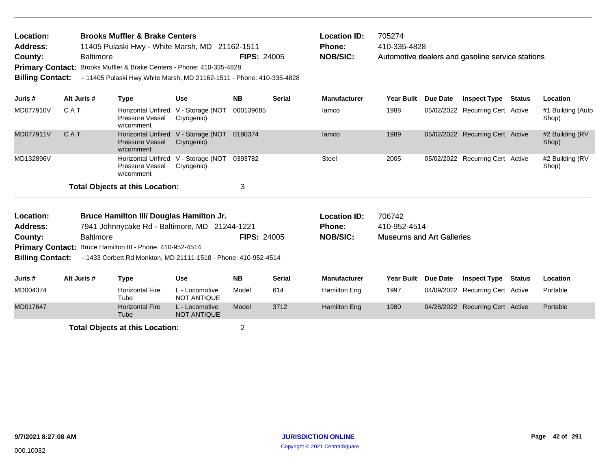| <b>Location:</b> | <b>Brooks Muffler &amp; Brake Centers</b>                                             |                    | <b>Location ID:</b> | 705274 |
|------------------|---------------------------------------------------------------------------------------|--------------------|---------------------|--------|
| <b>Address:</b>  | 11405 Pulaski Hwy - White Marsh, MD 21162-1511                                        |                    | <b>Phone:</b>       | 410-33 |
| County:          | <b>Baltimore</b>                                                                      | <b>FIPS: 24005</b> | NOB/SIC:            | Automo |
|                  | Primary Contact: Brooks Muffler & Brake Centers - Phone: 410-335-4828                 |                    |                     |        |
|                  | Billing Contact: - 11405 Pulaski Hwy White Marsh, MD 21162-1511 - Phone: 410-335-4828 |                    |                     |        |

| <b>Location ID:</b> | 705274                                           |
|---------------------|--------------------------------------------------|
| Phone:              | 410-335-4828                                     |
| NOB/SIC:            | Automotive dealers and gasoline service stations |

| Juris #   | Alt Juris # | Type                                                                | Use                                               | <b>NB</b> | <b>Serial</b> | <b>Manufacturer</b> | <b>Year Built</b> | <b>Due Date</b> | <b>Inspect Type Status</b>       | Location                   |
|-----------|-------------|---------------------------------------------------------------------|---------------------------------------------------|-----------|---------------|---------------------|-------------------|-----------------|----------------------------------|----------------------------|
| MD077910V | <b>CAT</b>  | Horizontal Unfired V - Storage (NOT<br>Pressure Vessel<br>w/comment | Cryogenic)                                        | 000139685 |               | lamco               | 1988              |                 | 05/02/2022 Recurring Cert Active | #1 Building (Auto<br>Shop) |
| MD077911V | CAT         | <b>Pressure Vessel</b><br>w/comment                                 | Horizontal Unfired V - Storage (NOT<br>Cryogenic) | 0180374   |               | lamco               | 1989              |                 | 05/02/2022 Recurring Cert Active | #2 Building (RV<br>Shop)   |
| MD132896V |             | Pressure Vessel<br>w/comment                                        | Horizontal Unfired V - Storage (NOT<br>Cryogenic) | 0393782   |               | <b>Steel</b>        | 2005              |                 | 05/02/2022 Recurring Cert Active | #2 Building (RV<br>Shop)   |
|           |             | <b>Total Objects at this Location:</b>                              |                                                   | 3         |               |                     |                   |                 |                                  |                            |

| Bruce Hamilton III/ Douglas Hamilton Jr.<br>Location:<br>7941 Johnnycake Rd - Baltimore, MD 21244-1221 |                                                                                                                             |                                |                                      |                    | Location ID:  | 706742              |                                  |                 |                                  |          |
|--------------------------------------------------------------------------------------------------------|-----------------------------------------------------------------------------------------------------------------------------|--------------------------------|--------------------------------------|--------------------|---------------|---------------------|----------------------------------|-----------------|----------------------------------|----------|
| <b>Address:</b>                                                                                        |                                                                                                                             |                                |                                      |                    |               | <b>Phone:</b>       | 410-952-4514                     |                 |                                  |          |
| County:                                                                                                | <b>Baltimore</b>                                                                                                            |                                |                                      | <b>FIPS: 24005</b> |               | <b>NOB/SIC:</b>     | <b>Museums and Art Galleries</b> |                 |                                  |          |
|                                                                                                        | Primary Contact: Bruce Hamilton III - Phone: 410-952-4514<br>- 1433 Corbett Rd Monkton, MD 21111-1518 - Phone: 410-952-4514 |                                |                                      |                    |               |                     |                                  |                 |                                  |          |
| <b>Billing Contact:</b>                                                                                |                                                                                                                             |                                |                                      |                    |               |                     |                                  |                 |                                  |          |
|                                                                                                        |                                                                                                                             |                                |                                      |                    |               |                     |                                  |                 |                                  |          |
| Juris #                                                                                                | Alt Juris #                                                                                                                 | Type                           | <b>Use</b>                           | <b>NB</b>          | <b>Serial</b> | <b>Manufacturer</b> | <b>Year Built</b>                | <b>Due Date</b> | <b>Inspect Type Status</b>       | Location |
| MD004374                                                                                               |                                                                                                                             | <b>Horizontal Fire</b><br>Tube | L - Locomotive<br>NOT ANTIQUE        | Model              | 614           | Hamilton Eng        | 1997                             |                 | 04/09/2022 Recurring Cert Active | Portable |
| MD017647                                                                                               |                                                                                                                             | <b>Horizontal Fire</b><br>Tube | L - Locomotive<br><b>NOT ANTIQUE</b> | Model              | 3712          | Hamilton Eng        | 1980                             |                 | 04/28/2022 Recurring Cert Active | Portable |

**Total Objects at this Location:** 2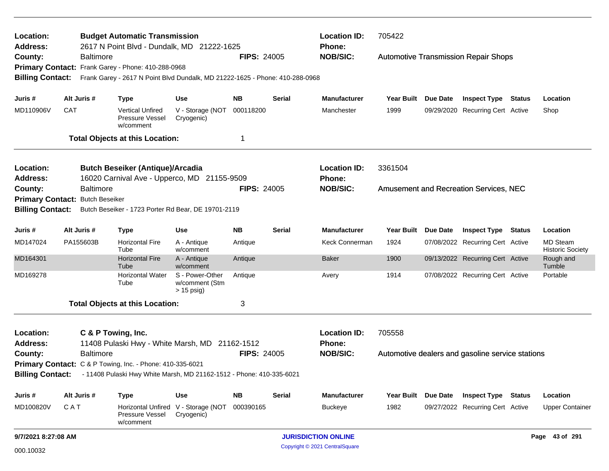| Location:<br><b>Budget Automatic Transmission</b><br>2617 N Point Blvd - Dundalk, MD 21222-1625<br>Address: |                                                                                                                                                                              |                          |                                                                                                                                    |                                                             |                      | <b>Location ID:</b><br>Phone:  | 705422                                |                           |                 |                                                                |                             |
|-------------------------------------------------------------------------------------------------------------|------------------------------------------------------------------------------------------------------------------------------------------------------------------------------|--------------------------|------------------------------------------------------------------------------------------------------------------------------------|-------------------------------------------------------------|----------------------|--------------------------------|---------------------------------------|---------------------------|-----------------|----------------------------------------------------------------|-----------------------------|
| County:<br><b>Billing Contact:</b>                                                                          |                                                                                                                                                                              | <b>Baltimore</b>         | Primary Contact: Frank Garey - Phone: 410-288-0968<br>Frank Garey - 2617 N Point Blvd Dundalk, MD 21222-1625 - Phone: 410-288-0968 |                                                             | <b>FIPS: 24005</b>   |                                | <b>NOB/SIC:</b>                       |                           |                 | <b>Automotive Transmission Repair Shops</b>                    |                             |
| Juris #                                                                                                     |                                                                                                                                                                              | Alt Juris #              | <b>Type</b>                                                                                                                        | <b>Use</b>                                                  | <b>NB</b>            | <b>Serial</b>                  | <b>Manufacturer</b>                   | Year Built Due Date       |                 | <b>Inspect Type Status</b>                                     | Location                    |
| MD110906V                                                                                                   | <b>CAT</b>                                                                                                                                                                   |                          | <b>Vertical Unfired</b><br><b>Pressure Vessel</b><br>w/comment                                                                     | V - Storage (NOT<br>Cryogenic)                              | 000118200            |                                | Manchester                            | 1999                      |                 | 09/29/2020 Recurring Cert Active                               | Shop                        |
|                                                                                                             |                                                                                                                                                                              |                          | <b>Total Objects at this Location:</b>                                                                                             |                                                             | 1                    |                                |                                       |                           |                 |                                                                |                             |
| Location:<br>Address:                                                                                       |                                                                                                                                                                              |                          | <b>Butch Beseiker (Antique)/Arcadia</b><br>16020 Carnival Ave - Upperco, MD 21155-9509                                             |                                                             |                      |                                | <b>Location ID:</b><br>Phone:         | 3361504                   |                 |                                                                |                             |
| County:                                                                                                     | <b>Baltimore</b><br><b>FIPS: 24005</b><br><b>Primary Contact:</b><br><b>Butch Beseiker</b><br><b>Billing Contact:</b><br>Butch Beseiker - 1723 Porter Rd Bear, DE 19701-2119 |                          |                                                                                                                                    |                                                             |                      |                                | <b>NOB/SIC:</b>                       |                           |                 | <b>Amusement and Recreation Services, NEC</b>                  |                             |
|                                                                                                             |                                                                                                                                                                              |                          |                                                                                                                                    |                                                             |                      |                                |                                       |                           |                 |                                                                |                             |
| Juris #<br>MD147024                                                                                         |                                                                                                                                                                              | Alt Juris #<br>PA155603B | <b>Type</b><br><b>Horizontal Fire</b>                                                                                              | Use<br>A - Antique                                          | <b>NB</b><br>Antique | <b>Serial</b>                  | <b>Manufacturer</b><br>Keck Connerman | <b>Year Built</b><br>1924 | Due Date        | <b>Inspect Type Status</b><br>07/08/2022 Recurring Cert Active | Location<br><b>MD Steam</b> |
|                                                                                                             |                                                                                                                                                                              |                          | Tube                                                                                                                               | w/comment                                                   |                      |                                |                                       |                           |                 |                                                                | <b>Historic Society</b>     |
| MD164301                                                                                                    |                                                                                                                                                                              |                          | <b>Horizontal Fire</b><br>Tube                                                                                                     | A - Antique<br>w/comment                                    | Antique              |                                | <b>Baker</b>                          | 1900                      |                 | 09/13/2022 Recurring Cert Active                               | Rough and<br>Tumble         |
| MD169278                                                                                                    |                                                                                                                                                                              |                          | <b>Horizontal Water</b><br>Tube                                                                                                    | S - Power-Other<br>w/comment (Stm<br>$> 15$ psig)           | Antique              |                                | Avery                                 | 1914                      |                 | 07/08/2022 Recurring Cert Active                               | Portable                    |
|                                                                                                             |                                                                                                                                                                              |                          | <b>Total Objects at this Location:</b>                                                                                             |                                                             | 3                    |                                |                                       |                           |                 |                                                                |                             |
| Location:                                                                                                   |                                                                                                                                                                              |                          | C & P Towing, Inc.                                                                                                                 |                                                             |                      |                                | <b>Location ID:</b>                   | 705558                    |                 |                                                                |                             |
| <b>Address:</b>                                                                                             |                                                                                                                                                                              |                          | 11408 Pulaski Hwy - White Marsh, MD 21162-1512                                                                                     |                                                             |                      |                                | <b>Phone:</b>                         |                           |                 |                                                                |                             |
| County:                                                                                                     |                                                                                                                                                                              | <b>Baltimore</b>         |                                                                                                                                    |                                                             | <b>FIPS: 24005</b>   |                                | <b>NOB/SIC:</b>                       |                           |                 | Automotive dealers and gasoline service stations               |                             |
|                                                                                                             | Primary Contact: C & P Towing, Inc. - Phone: 410-335-6021                                                                                                                    |                          |                                                                                                                                    |                                                             |                      |                                |                                       |                           |                 |                                                                |                             |
|                                                                                                             |                                                                                                                                                                              |                          | Billing Contact: - 11408 Pulaski Hwy White Marsh, MD 21162-1512 - Phone: 410-335-6021                                              |                                                             |                      |                                |                                       |                           |                 |                                                                |                             |
| Juris #                                                                                                     |                                                                                                                                                                              | Alt Juris #              | <b>Type</b>                                                                                                                        | <b>Use</b>                                                  | <b>NB</b>            | <b>Serial</b>                  | <b>Manufacturer</b>                   | <b>Year Built</b>         | <b>Due Date</b> | <b>Inspect Type Status</b>                                     | Location                    |
| MD100820V                                                                                                   | CAT                                                                                                                                                                          |                          | Pressure Vessel<br>w/comment                                                                                                       | Horizontal Unfired V - Storage (NOT 000390165<br>Cryogenic) |                      |                                | <b>Buckeye</b>                        | 1982                      |                 | 09/27/2022 Recurring Cert Active                               | <b>Upper Container</b>      |
| 9/7/2021 8:27:08 AM                                                                                         |                                                                                                                                                                              |                          |                                                                                                                                    |                                                             |                      |                                | <b>JURISDICTION ONLINE</b>            |                           |                 |                                                                | Page 43 of 291              |
| 000.10032                                                                                                   |                                                                                                                                                                              |                          |                                                                                                                                    |                                                             |                      | Copyright © 2021 CentralSquare |                                       |                           |                 |                                                                |                             |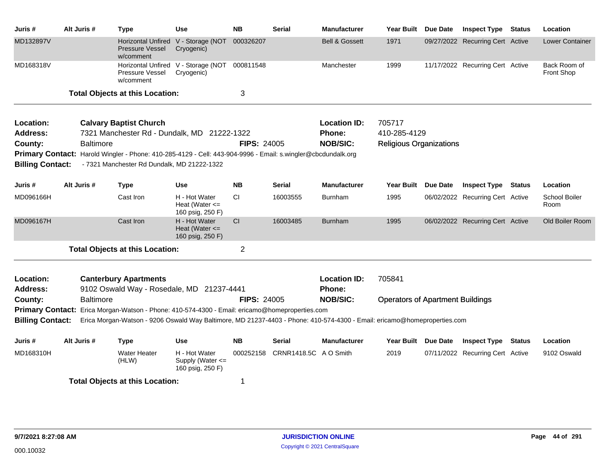| Juris #                      | Alt Juris #                                                                                                                                                                                                                | <b>Type</b>                                                                                                  | <b>Use</b>                                              | <b>NB</b>              | <b>Serial</b> | <b>Manufacturer</b>           | <b>Year Built</b>                       | <b>Due Date</b> | <b>Inspect Type</b>              | <b>Status</b> | Location                     |
|------------------------------|----------------------------------------------------------------------------------------------------------------------------------------------------------------------------------------------------------------------------|--------------------------------------------------------------------------------------------------------------|---------------------------------------------------------|------------------------|---------------|-------------------------------|-----------------------------------------|-----------------|----------------------------------|---------------|------------------------------|
| MD132897V                    |                                                                                                                                                                                                                            | Horizontal Unfired<br><b>Pressure Vessel</b><br>w/comment                                                    | V - Storage (NOT<br>Cryogenic)                          | 000326207              |               | <b>Bell &amp; Gossett</b>     | 1971                                    |                 | 09/27/2022 Recurring Cert Active |               | <b>Lower Container</b>       |
| MD168318V                    |                                                                                                                                                                                                                            | Pressure Vessel<br>w/comment                                                                                 | Horizontal Unfired V - Storage (NOT<br>Cryogenic)       | 000811548              |               | Manchester                    | 1999                                    |                 | 11/17/2022 Recurring Cert Active |               | Back Room of<br>Front Shop   |
|                              |                                                                                                                                                                                                                            | <b>Total Objects at this Location:</b>                                                                       |                                                         | 3                      |               |                               |                                         |                 |                                  |               |                              |
| Location:                    |                                                                                                                                                                                                                            | <b>Calvary Baptist Church</b>                                                                                |                                                         |                        |               | <b>Location ID:</b>           | 705717                                  |                 |                                  |               |                              |
| <b>Address:</b>              |                                                                                                                                                                                                                            | 7321 Manchester Rd - Dundalk, MD 21222-1322                                                                  |                                                         |                        |               | Phone:                        | 410-285-4129                            |                 |                                  |               |                              |
| County:                      | <b>Baltimore</b>                                                                                                                                                                                                           |                                                                                                              |                                                         | <b>FIPS: 24005</b>     |               | <b>NOB/SIC:</b>               | <b>Religious Organizations</b>          |                 |                                  |               |                              |
|                              |                                                                                                                                                                                                                            | Primary Contact: Harold Wingler - Phone: 410-285-4129 - Cell: 443-904-9996 - Email: s.wingler@cbcdundalk.org |                                                         |                        |               |                               |                                         |                 |                                  |               |                              |
| <b>Billing Contact:</b>      |                                                                                                                                                                                                                            | - 7321 Manchester Rd Dundalk, MD 21222-1322                                                                  |                                                         |                        |               |                               |                                         |                 |                                  |               |                              |
| Juris #                      | Alt Juris #                                                                                                                                                                                                                | <b>Type</b>                                                                                                  | Use                                                     | <b>NB</b>              | Serial        | <b>Manufacturer</b>           | <b>Year Built</b>                       | <b>Due Date</b> | <b>Inspect Type</b>              | Status        | Location                     |
| MD096166H                    |                                                                                                                                                                                                                            | Cast Iron                                                                                                    | H - Hot Water<br>Heat (Water $\leq$<br>160 psig, 250 F) | СI                     | 16003555      | Burnham                       | 1995                                    |                 | 06/02/2022 Recurring Cert Active |               | <b>School Boiler</b><br>Room |
| MD096167H                    |                                                                                                                                                                                                                            | Cast Iron                                                                                                    | H - Hot Water<br>Heat (Water $\leq$<br>160 psig, 250 F) | $\mathsf{C}\mathsf{I}$ | 16003485      | <b>Burnham</b>                | 1995                                    |                 | 06/02/2022 Recurring Cert Active |               | Old Boiler Room              |
|                              |                                                                                                                                                                                                                            | <b>Total Objects at this Location:</b>                                                                       |                                                         | $\overline{2}$         |               |                               |                                         |                 |                                  |               |                              |
| Location:<br><b>Address:</b> |                                                                                                                                                                                                                            | <b>Canterbury Apartments</b><br>9102 Oswald Way - Rosedale, MD 21237-4441                                    |                                                         |                        |               | <b>Location ID:</b><br>Phone: | 705841                                  |                 |                                  |               |                              |
| County:                      | <b>Baltimore</b>                                                                                                                                                                                                           |                                                                                                              |                                                         | <b>FIPS: 24005</b>     |               | <b>NOB/SIC:</b>               | <b>Operators of Apartment Buildings</b> |                 |                                  |               |                              |
|                              |                                                                                                                                                                                                                            |                                                                                                              |                                                         |                        |               |                               |                                         |                 |                                  |               |                              |
| <b>Billing Contact:</b>      | Primary Contact: Erica Morgan-Watson - Phone: 410-574-4300 - Email: ericamo@homeproperties.com<br>Erica Morgan-Watson - 9206 Oswald Way Baltimore, MD 21237-4403 - Phone: 410-574-4300 - Email: ericamo@homeproperties.com |                                                                                                              |                                                         |                        |               |                               |                                         |                 |                                  |               |                              |
| Juris #                      | Alt Juris #                                                                                                                                                                                                                | <b>Type</b>                                                                                                  | Use                                                     | <b>NB</b>              | Serial        | <b>Manufacturer</b>           | Year Built Due Date                     |                 | <b>Inspect Type</b>              | Status        | Location                     |
| MD168310H                    |                                                                                                                                                                                                                            | <b>Water Heater</b><br>(HLW)                                                                                 | H - Hot Water<br>Supply (Water <=<br>160 psig, 250 F)   | 000252158              | CRNR1418.5C   | A O Smith                     | 2019                                    |                 | 07/11/2022 Recurring Cert Active |               | 9102 Oswald                  |
|                              |                                                                                                                                                                                                                            | <b>Total Objects at this Location:</b>                                                                       |                                                         | 1                      |               |                               |                                         |                 |                                  |               |                              |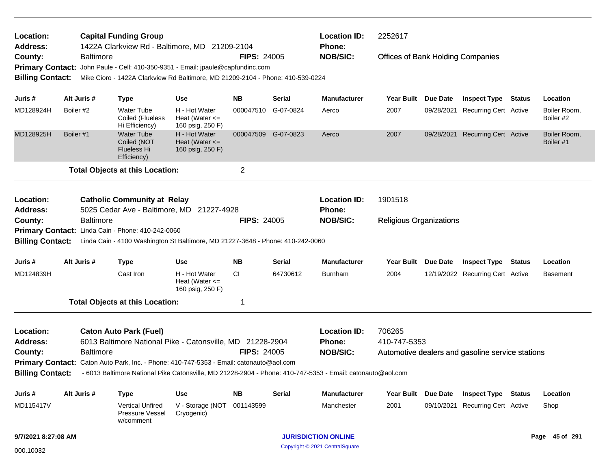| <b>Capital Funding Group</b><br>Location:<br>1422A Clarkview Rd - Baltimore, MD 21209-2104<br><b>Address:</b><br><b>Baltimore</b><br>County:                                                 |                                                                                                                             |                  |                                                                |                                                           |                     |                                | <b>Location ID:</b><br><b>Phone:</b>     | 2252617                        |  |                                                  |  |                           |
|----------------------------------------------------------------------------------------------------------------------------------------------------------------------------------------------|-----------------------------------------------------------------------------------------------------------------------------|------------------|----------------------------------------------------------------|-----------------------------------------------------------|---------------------|--------------------------------|------------------------------------------|--------------------------------|--|--------------------------------------------------|--|---------------------------|
| Primary Contact: John Paule - Cell: 410-350-9351 - Email: jpaule@capfundinc.com<br><b>Billing Contact:</b><br>Mike Cioro - 1422A Clarkview Rd Baltimore, MD 21209-2104 - Phone: 410-539-0224 |                                                                                                                             |                  |                                                                | <b>FIPS: 24005</b>                                        |                     | <b>NOB/SIC:</b>                | <b>Offices of Bank Holding Companies</b> |                                |  |                                                  |  |                           |
|                                                                                                                                                                                              |                                                                                                                             |                  |                                                                |                                                           |                     |                                |                                          |                                |  |                                                  |  |                           |
|                                                                                                                                                                                              |                                                                                                                             |                  |                                                                |                                                           |                     |                                |                                          |                                |  |                                                  |  |                           |
| Juris #                                                                                                                                                                                      | Alt Juris #                                                                                                                 |                  | <b>Type</b>                                                    | <b>Use</b>                                                | NΒ                  | Serial                         | <b>Manufacturer</b>                      | Year Built Due Date            |  | <b>Inspect Type Status</b>                       |  | Location                  |
| MD128924H                                                                                                                                                                                    | Boiler #2                                                                                                                   |                  | <b>Water Tube</b><br>Coiled (Flueless<br>Hi Efficiency)        | H - Hot Water<br>Heat (Water $\leq$<br>160 psig, 250 F)   | 000047510 G-07-0824 |                                | Aerco                                    | 2007                           |  | 09/28/2021 Recurring Cert Active                 |  | Boiler Room,<br>Boiler #2 |
| MD128925H                                                                                                                                                                                    | Boiler #1                                                                                                                   |                  | <b>Water Tube</b><br>Coiled (NOT<br>Flueless Hi<br>Efficiency) | H - Hot Water<br>Heat (Water $\leq$<br>160 psig, 250 F)   | 000047509 G-07-0823 |                                | Aerco                                    | 2007                           |  | 09/28/2021 Recurring Cert Active                 |  | Boiler Room,<br>Boiler #1 |
|                                                                                                                                                                                              |                                                                                                                             |                  | <b>Total Objects at this Location:</b>                         |                                                           | $\overline{2}$      |                                |                                          |                                |  |                                                  |  |                           |
| Location:                                                                                                                                                                                    |                                                                                                                             |                  | <b>Catholic Community at Relay</b>                             |                                                           |                     |                                | <b>Location ID:</b>                      | 1901518                        |  |                                                  |  |                           |
| <b>Address:</b>                                                                                                                                                                              |                                                                                                                             |                  |                                                                | 5025 Cedar Ave - Baltimore, MD 21227-4928                 |                     |                                | Phone:                                   |                                |  |                                                  |  |                           |
| County:                                                                                                                                                                                      | <b>Baltimore</b>                                                                                                            |                  |                                                                |                                                           | <b>FIPS: 24005</b>  |                                | <b>NOB/SIC:</b>                          | <b>Religious Organizations</b> |  |                                                  |  |                           |
|                                                                                                                                                                                              | Primary Contact: Linda Cain - Phone: 410-242-0060                                                                           |                  |                                                                |                                                           |                     |                                |                                          |                                |  |                                                  |  |                           |
|                                                                                                                                                                                              | Billing Contact: Linda Cain - 4100 Washington St Baltimore, MD 21227-3648 - Phone: 410-242-0060                             |                  |                                                                |                                                           |                     |                                |                                          |                                |  |                                                  |  |                           |
| Juris #                                                                                                                                                                                      | Alt Juris #                                                                                                                 |                  | <b>Type</b>                                                    | <b>Use</b>                                                | <b>NB</b>           | Serial                         | <b>Manufacturer</b>                      | Year Built Due Date            |  | <b>Inspect Type Status</b>                       |  | Location                  |
| MD124839H                                                                                                                                                                                    |                                                                                                                             |                  | Cast Iron                                                      | H - Hot Water<br>Heat (Water $\leq$<br>160 psig, 250 F)   | <b>CI</b>           | 64730612                       | Burnham                                  | 2004                           |  | 12/19/2022 Recurring Cert Active                 |  | <b>Basement</b>           |
|                                                                                                                                                                                              |                                                                                                                             |                  | <b>Total Objects at this Location:</b>                         |                                                           | 1                   |                                |                                          |                                |  |                                                  |  |                           |
| Location:                                                                                                                                                                                    |                                                                                                                             |                  | <b>Caton Auto Park (Fuel)</b>                                  |                                                           |                     |                                | <b>Location ID:</b>                      | 706265                         |  |                                                  |  |                           |
| <b>Address:</b>                                                                                                                                                                              |                                                                                                                             |                  |                                                                | 6013 Baltimore National Pike - Catonsville, MD 21228-2904 |                     |                                | <b>Phone:</b>                            | 410-747-5353                   |  |                                                  |  |                           |
| County:                                                                                                                                                                                      |                                                                                                                             | <b>Baltimore</b> |                                                                |                                                           | <b>FIPS: 24005</b>  |                                | <b>NOB/SIC:</b>                          |                                |  | Automotive dealers and gasoline service stations |  |                           |
|                                                                                                                                                                                              | Primary Contact: Caton Auto Park, Inc. - Phone: 410-747-5353 - Email: catonauto@aol.com                                     |                  |                                                                |                                                           |                     |                                |                                          |                                |  |                                                  |  |                           |
|                                                                                                                                                                                              | Billing Contact: - 6013 Baltimore National Pike Catonsville, MD 21228-2904 - Phone: 410-747-5353 - Email: catonauto@aol.com |                  |                                                                |                                                           |                     |                                |                                          |                                |  |                                                  |  |                           |
| Juris #                                                                                                                                                                                      | Alt Juris #                                                                                                                 |                  | <b>Type</b>                                                    | Use                                                       | <b>NB</b>           | <b>Serial</b>                  | <b>Manufacturer</b>                      | Year Built Due Date            |  | <b>Inspect Type Status</b>                       |  | Location                  |
| MD115417V                                                                                                                                                                                    |                                                                                                                             |                  | <b>Vertical Unfired</b><br>Pressure Vessel<br>w/comment        | V - Storage (NOT<br>Cryogenic)                            | 001143599           |                                | Manchester                               | 2001                           |  | 09/10/2021 Recurring Cert Active                 |  | Shop                      |
| 9/7/2021 8:27:08 AM                                                                                                                                                                          |                                                                                                                             |                  |                                                                |                                                           |                     |                                | <b>JURISDICTION ONLINE</b>               |                                |  |                                                  |  | Page 45 of 291            |
| 000.10032                                                                                                                                                                                    |                                                                                                                             |                  |                                                                |                                                           |                     | Copyright © 2021 CentralSquare |                                          |                                |  |                                                  |  |                           |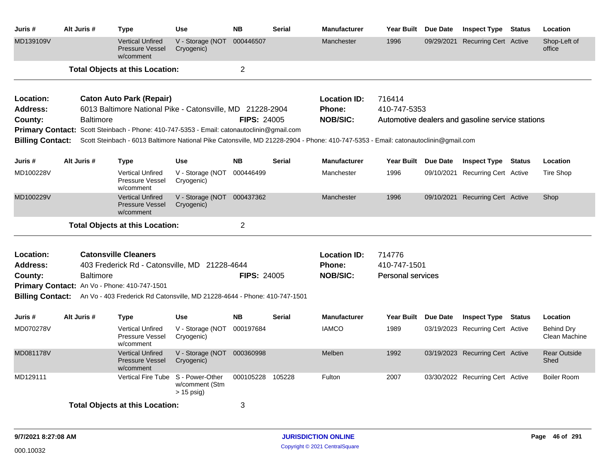| Juris #                                 | Alt Juris #      | <b>Type</b>                                                                               | Use                                               | <b>NB</b>          | <b>Serial</b> | <b>Manufacturer</b>                                                                                                                |                                                    | Year Built Due Date | <b>Inspect Type</b>                              | <b>Status</b> | Location                           |
|-----------------------------------------|------------------|-------------------------------------------------------------------------------------------|---------------------------------------------------|--------------------|---------------|------------------------------------------------------------------------------------------------------------------------------------|----------------------------------------------------|---------------------|--------------------------------------------------|---------------|------------------------------------|
| MD139109V                               |                  | <b>Vertical Unfired</b><br><b>Pressure Vessel</b><br>w/comment                            | V - Storage (NOT<br>Cryogenic)                    | 000446507          |               | Manchester                                                                                                                         | 1996                                               |                     | 09/29/2021 Recurring Cert Active                 |               | Shop-Left of<br>office             |
|                                         |                  | <b>Total Objects at this Location:</b>                                                    |                                                   | $\overline{2}$     |               |                                                                                                                                    |                                                    |                     |                                                  |               |                                    |
| Location:                               |                  | <b>Caton Auto Park (Repair)</b>                                                           |                                                   |                    |               | <b>Location ID:</b>                                                                                                                | 716414                                             |                     |                                                  |               |                                    |
| <b>Address:</b>                         |                  | 6013 Baltimore National Pike - Catonsville, MD 21228-2904                                 |                                                   |                    |               | <b>Phone:</b>                                                                                                                      | 410-747-5353                                       |                     |                                                  |               |                                    |
| County:                                 | <b>Baltimore</b> |                                                                                           |                                                   | <b>FIPS: 24005</b> |               | <b>NOB/SIC:</b>                                                                                                                    |                                                    |                     | Automotive dealers and gasoline service stations |               |                                    |
|                                         |                  | Primary Contact: Scott Steinbach - Phone: 410-747-5353 - Email: catonautoclinin@gmail.com |                                                   |                    |               |                                                                                                                                    |                                                    |                     |                                                  |               |                                    |
| <b>Billing Contact:</b>                 |                  |                                                                                           |                                                   |                    |               | Scott Steinbach - 6013 Baltimore National Pike Catonsville, MD 21228-2904 - Phone: 410-747-5353 - Email: catonautoclinin@gmail.com |                                                    |                     |                                                  |               |                                    |
| Juris #                                 | Alt Juris #      | <b>Type</b>                                                                               | <b>Use</b>                                        | <b>NB</b>          | <b>Serial</b> | <b>Manufacturer</b>                                                                                                                |                                                    | Year Built Due Date | <b>Inspect Type Status</b>                       |               | Location                           |
| MD100228V                               |                  | <b>Vertical Unfired</b><br>Pressure Vessel<br>w/comment                                   | V - Storage (NOT 000446499<br>Cryogenic)          |                    |               | Manchester                                                                                                                         | 1996                                               |                     | 09/10/2021 Recurring Cert Active                 |               | <b>Tire Shop</b>                   |
| MD100229V                               |                  | <b>Vertical Unfired</b><br><b>Pressure Vessel</b><br>w/comment                            | V - Storage (NOT 000437362<br>Cryogenic)          |                    |               | Manchester                                                                                                                         | 1996                                               |                     | 09/10/2021 Recurring Cert Active                 |               | Shop                               |
|                                         |                  | <b>Total Objects at this Location:</b>                                                    |                                                   | $\overline{2}$     |               |                                                                                                                                    |                                                    |                     |                                                  |               |                                    |
| Location:<br><b>Address:</b><br>County: | <b>Baltimore</b> | <b>Catonsville Cleaners</b><br>403 Frederick Rd - Catonsville, MD 21228-4644              |                                                   | <b>FIPS: 24005</b> |               | <b>Location ID:</b><br>Phone:<br><b>NOB/SIC:</b>                                                                                   | 714776<br>410-747-1501<br><b>Personal services</b> |                     |                                                  |               |                                    |
|                                         |                  | Primary Contact: An Vo - Phone: 410-747-1501                                              |                                                   |                    |               |                                                                                                                                    |                                                    |                     |                                                  |               |                                    |
| <b>Billing Contact:</b>                 |                  | An Vo - 403 Frederick Rd Catonsville, MD 21228-4644 - Phone: 410-747-1501                 |                                                   |                    |               |                                                                                                                                    |                                                    |                     |                                                  |               |                                    |
| Juris #                                 | Alt Juris #      | <b>Type</b>                                                                               | <b>Use</b>                                        | <b>NB</b>          | <b>Serial</b> | <b>Manufacturer</b>                                                                                                                | Year Built Due Date                                |                     | <b>Inspect Type Status</b>                       |               | Location                           |
| MD070278V                               |                  | <b>Vertical Unfired</b><br>Pressure Vessel<br>w/comment                                   | V - Storage (NOT 000197684<br>Cryogenic)          |                    |               | <b>IAMCO</b>                                                                                                                       | 1989                                               |                     | 03/19/2023 Recurring Cert Active                 |               | <b>Behind Dry</b><br>Clean Machine |
| MD081178V                               |                  | <b>Vertical Unfired</b><br><b>Pressure Vessel</b><br>w/comment                            | V - Storage (NOT 000360998<br>Cryogenic)          |                    |               | Melben                                                                                                                             | 1992                                               |                     | 03/19/2023 Recurring Cert Active                 |               | <b>Rear Outside</b><br>Shed        |
| MD129111                                |                  | <b>Vertical Fire Tube</b>                                                                 | S - Power-Other<br>w/comment (Stm<br>$> 15$ psig) | 000105228          | 105228        | Fulton                                                                                                                             | 2007                                               |                     | 03/30/2022 Recurring Cert Active                 |               | <b>Boiler Room</b>                 |
|                                         |                  | <b>Total Objects at this Location:</b>                                                    |                                                   | 3                  |               |                                                                                                                                    |                                                    |                     |                                                  |               |                                    |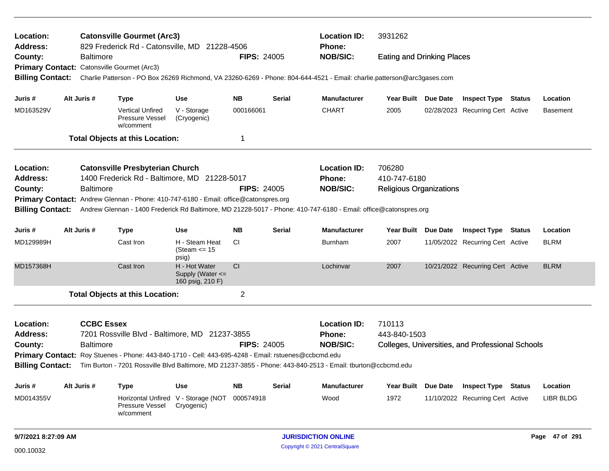| <b>Catonsville Gourmet (Arc3)</b><br><b>Location ID:</b><br>3931262<br>Location:<br><b>Address:</b><br>829 Frederick Rd - Catonsville, MD 21228-4506<br>Phone:<br><b>NOB/SIC:</b><br><b>Baltimore</b><br><b>FIPS: 24005</b><br><b>Eating and Drinking Places</b><br>County:<br>Primary Contact: Catonsville Gourmet (Arc3)<br><b>Billing Contact:</b><br>Charlie Patterson - PO Box 26269 Richmond, VA 23260-6269 - Phone: 804-644-4521 - Email: charlie.patterson@arc3gases.com |             |                   |                                                                                                                  |                                                       |                    |               |                            |                                |                                                  |                  |
|----------------------------------------------------------------------------------------------------------------------------------------------------------------------------------------------------------------------------------------------------------------------------------------------------------------------------------------------------------------------------------------------------------------------------------------------------------------------------------|-------------|-------------------|------------------------------------------------------------------------------------------------------------------|-------------------------------------------------------|--------------------|---------------|----------------------------|--------------------------------|--------------------------------------------------|------------------|
|                                                                                                                                                                                                                                                                                                                                                                                                                                                                                  |             |                   |                                                                                                                  |                                                       |                    |               |                            |                                |                                                  |                  |
|                                                                                                                                                                                                                                                                                                                                                                                                                                                                                  |             |                   |                                                                                                                  |                                                       |                    |               |                            |                                |                                                  |                  |
|                                                                                                                                                                                                                                                                                                                                                                                                                                                                                  |             |                   |                                                                                                                  |                                                       |                    |               |                            |                                |                                                  |                  |
| Juris #                                                                                                                                                                                                                                                                                                                                                                                                                                                                          | Alt Juris # |                   | <b>Type</b>                                                                                                      | <b>Use</b>                                            | <b>NB</b>          | <b>Serial</b> | <b>Manufacturer</b>        | Year Built Due Date            | <b>Inspect Type Status</b>                       | Location         |
| MD163529V                                                                                                                                                                                                                                                                                                                                                                                                                                                                        |             |                   | <b>Vertical Unfired</b><br>Pressure Vessel<br>w/comment                                                          | V - Storage<br>(Cryogenic)                            | 000166061          |               | <b>CHART</b>               | 2005                           | 02/28/2023 Recurring Cert Active                 | <b>Basement</b>  |
|                                                                                                                                                                                                                                                                                                                                                                                                                                                                                  |             |                   | <b>Total Objects at this Location:</b>                                                                           |                                                       | 1                  |               |                            |                                |                                                  |                  |
| Location:                                                                                                                                                                                                                                                                                                                                                                                                                                                                        |             |                   | <b>Catonsville Presbyterian Church</b>                                                                           |                                                       |                    |               | <b>Location ID:</b>        | 706280                         |                                                  |                  |
| <b>Address:</b>                                                                                                                                                                                                                                                                                                                                                                                                                                                                  |             |                   | 1400 Frederick Rd - Baltimore, MD 21228-5017                                                                     |                                                       |                    |               | Phone:                     | 410-747-6180                   |                                                  |                  |
| County:                                                                                                                                                                                                                                                                                                                                                                                                                                                                          |             | <b>Baltimore</b>  |                                                                                                                  |                                                       | <b>FIPS: 24005</b> |               | <b>NOB/SIC:</b>            | <b>Religious Organizations</b> |                                                  |                  |
|                                                                                                                                                                                                                                                                                                                                                                                                                                                                                  |             |                   | Primary Contact: Andrew Glennan - Phone: 410-747-6180 - Email: office@catonspres.org                             |                                                       |                    |               |                            |                                |                                                  |                  |
| <b>Billing Contact:</b>                                                                                                                                                                                                                                                                                                                                                                                                                                                          |             |                   | Andrew Glennan - 1400 Frederick Rd Baltimore, MD 21228-5017 - Phone: 410-747-6180 - Email: office@catonspres.org |                                                       |                    |               |                            |                                |                                                  |                  |
| Juris #                                                                                                                                                                                                                                                                                                                                                                                                                                                                          | Alt Juris # |                   | <b>Type</b>                                                                                                      | <b>Use</b>                                            | <b>NB</b>          | <b>Serial</b> | <b>Manufacturer</b>        | Year Built Due Date            | <b>Inspect Type Status</b>                       | Location         |
| MD129989H                                                                                                                                                                                                                                                                                                                                                                                                                                                                        |             |                   | Cast Iron                                                                                                        | H - Steam Heat<br>(Steam $\leq$ 15<br>psig)           | <b>CI</b>          |               | <b>Burnham</b>             | 2007                           | 11/05/2022 Recurring Cert Active                 | <b>BLRM</b>      |
| MD157368H                                                                                                                                                                                                                                                                                                                                                                                                                                                                        |             |                   | Cast Iron                                                                                                        | H - Hot Water<br>Supply (Water <=<br>160 psig, 210 F) | CI                 |               | Lochinvar                  | 2007                           | 10/21/2022 Recurring Cert Active                 | <b>BLRM</b>      |
|                                                                                                                                                                                                                                                                                                                                                                                                                                                                                  |             |                   | <b>Total Objects at this Location:</b>                                                                           |                                                       | $\overline{c}$     |               |                            |                                |                                                  |                  |
| Location:                                                                                                                                                                                                                                                                                                                                                                                                                                                                        |             | <b>CCBC Essex</b> |                                                                                                                  |                                                       |                    |               | <b>Location ID:</b>        | 710113                         |                                                  |                  |
| <b>Address:</b>                                                                                                                                                                                                                                                                                                                                                                                                                                                                  |             |                   | 7201 Rossville Blvd - Baltimore, MD 21237-3855                                                                   |                                                       |                    |               | <b>Phone:</b>              | 443-840-1503                   |                                                  |                  |
| County:                                                                                                                                                                                                                                                                                                                                                                                                                                                                          |             | <b>Baltimore</b>  |                                                                                                                  |                                                       | <b>FIPS: 24005</b> |               | <b>NOB/SIC:</b>            |                                | Colleges, Universities, and Professional Schools |                  |
|                                                                                                                                                                                                                                                                                                                                                                                                                                                                                  |             |                   | Primary Contact: Roy Stuenes - Phone: 443-840-1710 - Cell: 443-695-4248 - Email: rstuenes@ccbcmd.edu             |                                                       |                    |               |                            |                                |                                                  |                  |
| <b>Billing Contact:</b>                                                                                                                                                                                                                                                                                                                                                                                                                                                          |             |                   | Tim Burton - 7201 Rossville Blvd Baltimore, MD 21237-3855 - Phone: 443-840-2513 - Email: tburton@ccbcmd.edu      |                                                       |                    |               |                            |                                |                                                  |                  |
| Juris #                                                                                                                                                                                                                                                                                                                                                                                                                                                                          | Alt Juris # |                   | <b>Type</b>                                                                                                      | <b>Use</b>                                            | <b>NB</b>          | <b>Serial</b> | <b>Manufacturer</b>        | Year Built Due Date            | <b>Inspect Type Status</b>                       | Location         |
| MD014355V                                                                                                                                                                                                                                                                                                                                                                                                                                                                        |             |                   | Horizontal Unfired V - Storage (NOT<br>Pressure Vessel<br>w/comment                                              | Cryogenic)                                            | 000574918          |               | Wood                       | 1972                           | 11/10/2022 Recurring Cert Active                 | <b>LIBR BLDG</b> |
| 9/7/2021 8:27:09 AM                                                                                                                                                                                                                                                                                                                                                                                                                                                              |             |                   |                                                                                                                  |                                                       |                    |               | <b>JURISDICTION ONLINE</b> |                                |                                                  | Page 47 of 291   |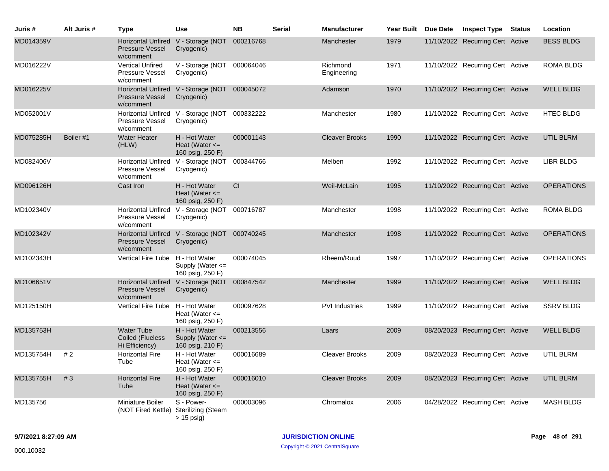| Juris #   | Alt Juris # | <b>Type</b>                                                      | <b>Use</b>                                                  | <b>NB</b> | <b>Serial</b> | <b>Manufacturer</b>     | Year Built Due Date | <b>Inspect Type Status</b>       | Location          |
|-----------|-------------|------------------------------------------------------------------|-------------------------------------------------------------|-----------|---------------|-------------------------|---------------------|----------------------------------|-------------------|
| MD014359V |             | <b>Horizontal Unfired</b><br><b>Pressure Vessel</b><br>w/comment | V - Storage (NOT 000216768<br>Cryogenic)                    |           |               | Manchester              | 1979                | 11/10/2022 Recurring Cert Active | <b>BESS BLDG</b>  |
| MD016222V |             | <b>Vertical Unfired</b><br>Pressure Vessel<br>w/comment          | V - Storage (NOT<br>Cryogenic)                              | 000064046 |               | Richmond<br>Engineering | 1971                | 11/10/2022 Recurring Cert Active | <b>ROMA BLDG</b>  |
| MD016225V |             | <b>Pressure Vessel</b><br>w/comment                              | Horizontal Unfired V - Storage (NOT 000045072<br>Cryogenic) |           |               | Adamson                 | 1970                | 11/10/2022 Recurring Cert Active | <b>WELL BLDG</b>  |
| MD052001V |             | <b>Horizontal Unfired</b><br>Pressure Vessel<br>w/comment        | V - Storage (NOT<br>Cryogenic)                              | 000332222 |               | Manchester              | 1980                | 11/10/2022 Recurring Cert Active | <b>HTEC BLDG</b>  |
| MD075285H | Boiler #1   | <b>Water Heater</b><br>(HLW)                                     | H - Hot Water<br>Heat (Water $\leq$<br>160 psig, 250 F)     | 000001143 |               | <b>Cleaver Brooks</b>   | 1990                | 11/10/2022 Recurring Cert Active | <b>UTIL BLRM</b>  |
| MD082406V |             | <b>Horizontal Unfired</b><br>Pressure Vessel<br>w/comment        | V - Storage (NOT<br>Cryogenic)                              | 000344766 |               | Melben                  | 1992                | 11/10/2022 Recurring Cert Active | <b>LIBR BLDG</b>  |
| MD096126H |             | Cast Iron                                                        | H - Hot Water<br>Heat (Water $\leq$<br>160 psig, 250 F)     | CI        |               | Weil-McLain             | 1995                | 11/10/2022 Recurring Cert Active | <b>OPERATIONS</b> |
| MD102340V |             | <b>Horizontal Unfired</b><br>Pressure Vessel<br>w/comment        | V - Storage (NOT 000716787<br>Cryogenic)                    |           |               | Manchester              | 1998                | 11/10/2022 Recurring Cert Active | <b>ROMA BLDG</b>  |
| MD102342V |             | <b>Pressure Vessel</b><br>w/comment                              | Horizontal Unfired V - Storage (NOT 000740245<br>Cryogenic) |           |               | Manchester              | 1998                | 11/10/2022 Recurring Cert Active | <b>OPERATIONS</b> |
| MD102343H |             | <b>Vertical Fire Tube</b>                                        | H - Hot Water<br>Supply (Water $\leq$<br>160 psig, 250 F)   | 000074045 |               | Rheem/Ruud              | 1997                | 11/10/2022 Recurring Cert Active | <b>OPERATIONS</b> |
| MD106651V |             | <b>Horizontal Unfired</b><br><b>Pressure Vessel</b><br>w/comment | V - Storage (NOT 000847542<br>Cryogenic)                    |           |               | Manchester              | 1999                | 11/10/2022 Recurring Cert Active | <b>WELL BLDG</b>  |
| MD125150H |             | <b>Vertical Fire Tube</b>                                        | H - Hot Water<br>Heat (Water $\leq$<br>160 psig, 250 F)     | 000097628 |               | <b>PVI</b> Industries   | 1999                | 11/10/2022 Recurring Cert Active | <b>SSRV BLDG</b>  |
| MD135753H |             | <b>Water Tube</b><br>Coiled (Flueless<br>Hi Efficiency)          | H - Hot Water<br>Supply (Water $\leq$<br>160 psig, 210 F)   | 000213556 |               | Laars                   | 2009                | 08/20/2023 Recurring Cert Active | <b>WELL BLDG</b>  |
| MD135754H | #2          | <b>Horizontal Fire</b><br>Tube                                   | H - Hot Water<br>Heat (Water $\leq$<br>160 psig, 250 F)     | 000016689 |               | <b>Cleaver Brooks</b>   | 2009                | 08/20/2023 Recurring Cert Active | UTIL BLRM         |
| MD135755H | #3          | <b>Horizontal Fire</b><br>Tube                                   | H - Hot Water<br>Heat (Water $\leq$<br>160 psig, 250 F)     | 000016010 |               | <b>Cleaver Brooks</b>   | 2009                | 08/20/2023 Recurring Cert Active | <b>UTIL BLRM</b>  |
| MD135756  |             | Miniature Boiler<br>(NOT Fired Kettle)                           | S - Power-<br><b>Sterilizing (Steam</b><br>$> 15$ psig)     | 000003096 |               | Chromalox               | 2006                | 04/28/2022 Recurring Cert Active | <b>MASH BLDG</b>  |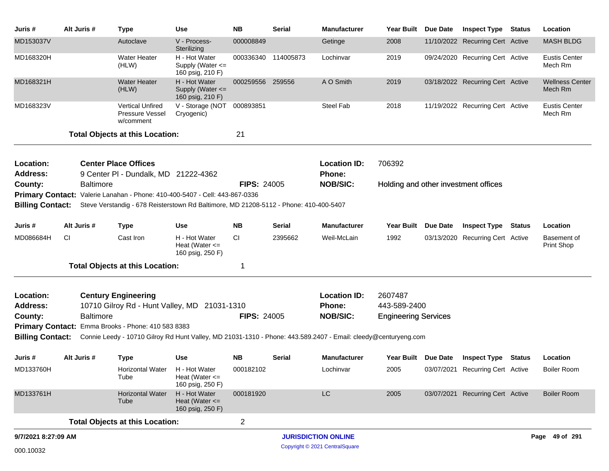| Juris #                 | Alt Juris #      | <b>Type</b>                                                                                                    | Use                                                     | <b>NB</b>          | <b>Serial</b>       | Manufacturer               |                             | Year Built Due Date | <b>Inspect Type Status</b>              | Location                          |
|-------------------------|------------------|----------------------------------------------------------------------------------------------------------------|---------------------------------------------------------|--------------------|---------------------|----------------------------|-----------------------------|---------------------|-----------------------------------------|-----------------------------------|
| MD153037V               |                  | Autoclave                                                                                                      | V - Process-<br>Sterilizing                             | 000008849          |                     | Getinge                    | 2008                        |                     | 11/10/2022 Recurring Cert Active        | <b>MASH BLDG</b>                  |
| MD168320H               |                  | <b>Water Heater</b><br>(HLW)                                                                                   | H - Hot Water<br>Supply (Water <=<br>160 psig, 210 F)   |                    | 000336340 114005873 | Lochinvar                  | 2019                        |                     | 09/24/2020 Recurring Cert Active        | <b>Eustis Center</b><br>Mech Rm   |
| MD168321H               |                  | <b>Water Heater</b><br>(HLW)                                                                                   | H - Hot Water<br>Supply (Water <=<br>160 psig, 210 F)   | 000259556 259556   |                     | A O Smith                  | 2019                        |                     | 03/18/2022 Recurring Cert Active        | <b>Wellness Center</b><br>Mech Rm |
| MD168323V               |                  | <b>Vertical Unfired</b><br>Pressure Vessel<br>w/comment                                                        | V - Storage (NOT 000893851<br>Cryogenic)                |                    |                     | <b>Steel Fab</b>           | 2018                        |                     | 11/19/2022 Recurring Cert Active        | <b>Eustis Center</b><br>Mech Rm   |
|                         |                  | <b>Total Objects at this Location:</b>                                                                         |                                                         | 21                 |                     |                            |                             |                     |                                         |                                   |
| Location:               |                  | <b>Center Place Offices</b>                                                                                    |                                                         |                    |                     | <b>Location ID:</b>        | 706392                      |                     |                                         |                                   |
| <b>Address:</b>         |                  | 9 Center PI - Dundalk, MD 21222-4362                                                                           |                                                         |                    |                     | <b>Phone:</b>              |                             |                     |                                         |                                   |
| County:                 | <b>Baltimore</b> |                                                                                                                |                                                         | <b>FIPS: 24005</b> |                     | <b>NOB/SIC:</b>            |                             |                     | Holding and other investment offices    |                                   |
|                         |                  | Primary Contact: Valerie Lanahan - Phone: 410-400-5407 - Cell: 443-867-0336                                    |                                                         |                    |                     |                            |                             |                     |                                         |                                   |
| <b>Billing Contact:</b> |                  | Steve Verstandig - 678 Reisterstown Rd Baltimore, MD 21208-5112 - Phone: 410-400-5407                          |                                                         |                    |                     |                            |                             |                     |                                         |                                   |
| Juris #                 | Alt Juris #      | <b>Type</b>                                                                                                    | Use                                                     | <b>NB</b>          | Serial              | <b>Manufacturer</b>        | Year Built Due Date         |                     | <b>Inspect Type Status</b>              | Location                          |
| MD086684H               | <b>CI</b>        | Cast Iron                                                                                                      | H - Hot Water<br>Heat (Water $\leq$<br>160 psig, 250 F) | <b>CI</b>          | 2395662             | Weil-McLain                | 1992                        |                     | 03/13/2020 Recurring Cert Active        | Basement of<br>Print Shop         |
|                         |                  | <b>Total Objects at this Location:</b>                                                                         |                                                         | -1                 |                     |                            |                             |                     |                                         |                                   |
| Location:               |                  | <b>Century Engineering</b>                                                                                     |                                                         |                    |                     | <b>Location ID:</b>        | 2607487                     |                     |                                         |                                   |
| <b>Address:</b>         |                  | 10710 Gilroy Rd - Hunt Valley, MD 21031-1310                                                                   |                                                         |                    |                     | <b>Phone:</b>              | 443-589-2400                |                     |                                         |                                   |
| County:                 | <b>Baltimore</b> |                                                                                                                |                                                         | <b>FIPS: 24005</b> |                     | <b>NOB/SIC:</b>            | <b>Engineering Services</b> |                     |                                         |                                   |
|                         |                  | Primary Contact: Emma Brooks - Phone: 410 583 8383                                                             |                                                         |                    |                     |                            |                             |                     |                                         |                                   |
| <b>Billing Contact:</b> |                  | Connie Leedy - 10710 Gilroy Rd Hunt Valley, MD 21031-1310 - Phone: 443.589.2407 - Email: cleedy@centuryeng.com |                                                         |                    |                     |                            |                             |                     |                                         |                                   |
| Juris #                 | Alt Juris #      | <b>Type</b>                                                                                                    | <b>Use</b>                                              | <b>NB</b>          | Serial              | <b>Manufacturer</b>        |                             |                     | Year Built Due Date Inspect Type Status | Location                          |
| MD133760H               |                  | Horizontal Water H - Hot Water<br>Tube                                                                         | Heat (Water $\leq$<br>160 psig, 250 F)                  | 000182102          |                     | Lochinvar                  | 2005                        |                     | 03/07/2021 Recurring Cert Active        | <b>Boiler Room</b>                |
| MD133761H               |                  | <b>Horizontal Water</b><br>Tube                                                                                | H - Hot Water<br>Heat (Water $\leq$<br>160 psig, 250 F) | 000181920          |                     | $\mathsf{LC}$              | 2005                        |                     | 03/07/2021 Recurring Cert Active        | <b>Boiler Room</b>                |
|                         |                  | <b>Total Objects at this Location:</b>                                                                         |                                                         | $\overline{2}$     |                     |                            |                             |                     |                                         |                                   |
| 9/7/2021 8:27:09 AM     |                  |                                                                                                                |                                                         |                    |                     | <b>JURISDICTION ONLINE</b> |                             |                     |                                         | Page 49 of 291                    |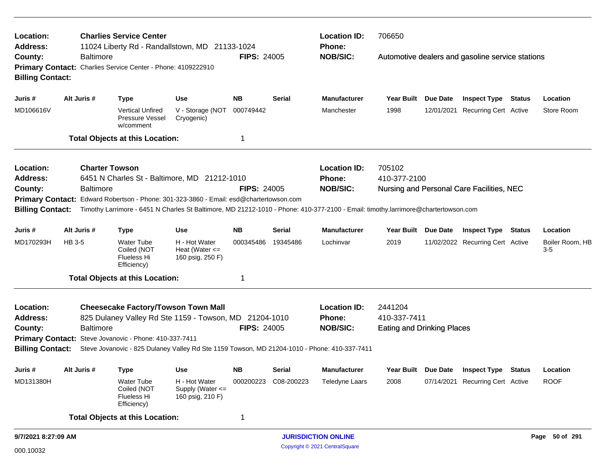| Location:                                             |                  | <b>Charlies Service Center</b>                                                                                                    |                                                         |                    |                      | <b>Location ID:</b>        | 706650                            |                                                  |               |                          |
|-------------------------------------------------------|------------------|-----------------------------------------------------------------------------------------------------------------------------------|---------------------------------------------------------|--------------------|----------------------|----------------------------|-----------------------------------|--------------------------------------------------|---------------|--------------------------|
| <b>Address:</b><br>County:<br><b>Billing Contact:</b> | <b>Baltimore</b> | 11024 Liberty Rd - Randallstown, MD 21133-1024<br>Primary Contact: Charlies Service Center - Phone: 4109222910                    |                                                         | <b>FIPS: 24005</b> |                      | Phone:<br><b>NOB/SIC:</b>  |                                   | Automotive dealers and gasoline service stations |               |                          |
| Juris #                                               | Alt Juris #      | <b>Type</b>                                                                                                                       | <b>Use</b>                                              | <b>NB</b>          | <b>Serial</b>        | <b>Manufacturer</b>        | Year Built Due Date               | <b>Inspect Type Status</b>                       |               | Location                 |
| MD106616V                                             |                  | <b>Vertical Unfired</b><br>Pressure Vessel<br>w/comment                                                                           | V - Storage (NOT<br>Cryogenic)                          | 000749442          |                      | Manchester                 | 1998                              | 12/01/2021 Recurring Cert Active                 |               | Store Room               |
|                                                       |                  | <b>Total Objects at this Location:</b>                                                                                            |                                                         | 1                  |                      |                            |                                   |                                                  |               |                          |
| Location:                                             |                  | <b>Charter Towson</b>                                                                                                             |                                                         |                    |                      | <b>Location ID:</b>        | 705102                            |                                                  |               |                          |
| Address:                                              |                  | 6451 N Charles St - Baltimore, MD 21212-1010                                                                                      |                                                         |                    |                      | Phone:                     | 410-377-2100                      |                                                  |               |                          |
| County:                                               | <b>Baltimore</b> |                                                                                                                                   |                                                         | <b>FIPS: 24005</b> |                      | <b>NOB/SIC:</b>            |                                   | Nursing and Personal Care Facilities, NEC        |               |                          |
| <b>Primary Contact:</b>                               |                  | Edward Robertson - Phone: 301-323-3860 - Email: esd@chartertowson.com                                                             |                                                         |                    |                      |                            |                                   |                                                  |               |                          |
| <b>Billing Contact:</b>                               |                  | Timothy Larrimore - 6451 N Charles St Baltimore, MD 21212-1010 - Phone: 410-377-2100 - Email: timothy.larrimore@chartertowson.com |                                                         |                    |                      |                            |                                   |                                                  |               |                          |
| Juris #                                               | Alt Juris #      | <b>Type</b>                                                                                                                       | <b>Use</b>                                              | NΒ                 | Serial               | <b>Manufacturer</b>        | Year Built Due Date               | <b>Inspect Type Status</b>                       |               | Location                 |
| MD170293H                                             | HB 3-5           | <b>Water Tube</b><br>Coiled (NOT<br>Flueless Hi<br>Efficiency)                                                                    | H - Hot Water<br>Heat (Water $\leq$<br>160 psig, 250 F) | 000345486          | 19345486             | Lochinvar                  | 2019                              | 11/02/2022 Recurring Cert Active                 |               | Boiler Room, HB<br>$3-5$ |
|                                                       |                  | <b>Total Objects at this Location:</b>                                                                                            |                                                         | 1                  |                      |                            |                                   |                                                  |               |                          |
| Location:                                             |                  | <b>Cheesecake Factory/Towson Town Mall</b>                                                                                        |                                                         |                    |                      | <b>Location ID:</b>        | 2441204                           |                                                  |               |                          |
| <b>Address:</b>                                       |                  | 825 Dulaney Valley Rd Ste 1159 - Towson, MD 21204-1010                                                                            |                                                         |                    |                      | <b>Phone:</b>              | 410-337-7411                      |                                                  |               |                          |
| County:                                               | <b>Baltimore</b> |                                                                                                                                   |                                                         | <b>FIPS: 24005</b> |                      | <b>NOB/SIC:</b>            | <b>Eating and Drinking Places</b> |                                                  |               |                          |
|                                                       |                  | Primary Contact: Steve Jovanovic - Phone: 410-337-7411                                                                            |                                                         |                    |                      |                            |                                   |                                                  |               |                          |
| <b>Billing Contact:</b>                               |                  | Steve Jovanovic - 825 Dulaney Valley Rd Ste 1159 Towson, MD 21204-1010 - Phone: 410-337-7411                                      |                                                         |                    |                      |                            |                                   |                                                  |               |                          |
| Juris #                                               | Alt Juris #      | <b>Type</b>                                                                                                                       | <b>Use</b>                                              | NΒ                 | <b>Serial</b>        | <b>Manufacturer</b>        | Year Built Due Date               | <b>Inspect Type</b>                              | <b>Status</b> | Location                 |
| MD131380H                                             |                  | Water Tube<br>Coiled (NOT<br>Flueless Hi<br>Efficiency)                                                                           | H - Hot Water<br>Supply (Water <=<br>160 psig, 210 F)   |                    | 000200223 C08-200223 | Teledyne Laars             | 2008                              | 07/14/2021 Recurring Cert Active                 |               | <b>ROOF</b>              |
|                                                       |                  | <b>Total Objects at this Location:</b>                                                                                            |                                                         | 1                  |                      |                            |                                   |                                                  |               |                          |
| 9/7/2021 8:27:09 AM                                   |                  |                                                                                                                                   |                                                         |                    |                      | <b>JURISDICTION ONLINE</b> |                                   |                                                  |               | Page 50 of 291           |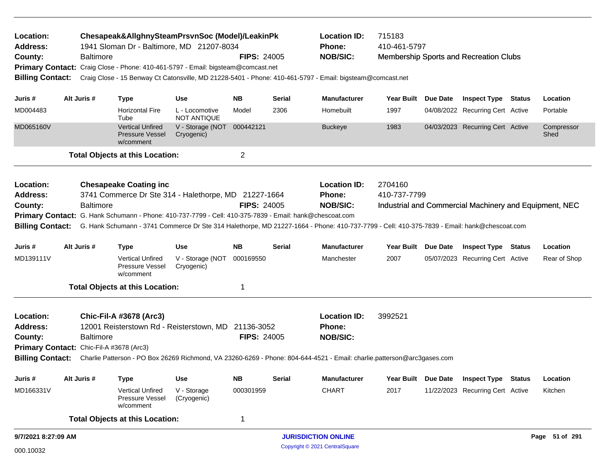| Location:<br><b>Address:</b><br>County:                                             | <b>Baltimore</b> | Chesapeak&AllghnySteamPrsvnSoc (Model)/LeakinPk<br>1941 Sloman Dr - Baltimore, MD 21207-8034<br>Primary Contact: Craig Close - Phone: 410-461-5797 - Email: bigsteam@comcast.net |                                      | <b>FIPS: 24005</b> |               | <b>Location ID:</b><br><b>Phone:</b><br><b>NOB/SIC:</b>                                                                                                      | 715183<br>410-461-5797 |                 | Membership Sports and Recreation Clubs                 |                    |
|-------------------------------------------------------------------------------------|------------------|----------------------------------------------------------------------------------------------------------------------------------------------------------------------------------|--------------------------------------|--------------------|---------------|--------------------------------------------------------------------------------------------------------------------------------------------------------------|------------------------|-----------------|--------------------------------------------------------|--------------------|
| <b>Billing Contact:</b>                                                             |                  |                                                                                                                                                                                  |                                      |                    |               | Craig Close - 15 Benway Ct Catonsville, MD 21228-5401 - Phone: 410-461-5797 - Email: bigsteam@comcast.net                                                    |                        |                 |                                                        |                    |
| Juris #                                                                             | Alt Juris #      | Type                                                                                                                                                                             | <b>Use</b>                           | <b>NB</b>          | <b>Serial</b> | <b>Manufacturer</b>                                                                                                                                          | <b>Year Built</b>      | <b>Due Date</b> | <b>Inspect Type Status</b>                             | Location           |
| MD004483                                                                            |                  | <b>Horizontal Fire</b><br>Tube                                                                                                                                                   | L - Locomotive<br><b>NOT ANTIQUE</b> | Model              | 2306          | Homebuilt                                                                                                                                                    | 1997                   |                 | 04/08/2022 Recurring Cert Active                       | Portable           |
| MD065160V                                                                           |                  | <b>Vertical Unfired</b><br>Pressure Vessel<br>w/comment                                                                                                                          | V - Storage (NOT<br>Cryogenic)       | 000442121          |               | <b>Buckeye</b>                                                                                                                                               | 1983                   |                 | 04/03/2023 Recurring Cert Active                       | Compressor<br>Shed |
|                                                                                     |                  | <b>Total Objects at this Location:</b>                                                                                                                                           |                                      | $\overline{2}$     |               |                                                                                                                                                              |                        |                 |                                                        |                    |
| Location:                                                                           |                  | <b>Chesapeake Coating inc</b>                                                                                                                                                    |                                      |                    |               | <b>Location ID:</b>                                                                                                                                          | 2704160                |                 |                                                        |                    |
| Address:                                                                            |                  | 3741 Commerce Dr Ste 314 - Halethorpe, MD 21227-1664                                                                                                                             |                                      |                    |               | Phone:                                                                                                                                                       | 410-737-7799           |                 |                                                        |                    |
| County:                                                                             | <b>Baltimore</b> |                                                                                                                                                                                  |                                      | <b>FIPS: 24005</b> |               | <b>NOB/SIC:</b>                                                                                                                                              |                        |                 | Industrial and Commercial Machinery and Equipment, NEC |                    |
|                                                                                     |                  | Primary Contact: G. Hank Schumann - Phone: 410-737-7799 - Cell: 410-375-7839 - Email: hank@chescoat.com                                                                          |                                      |                    |               |                                                                                                                                                              |                        |                 |                                                        |                    |
|                                                                                     |                  |                                                                                                                                                                                  |                                      |                    |               | Billing Contact: G. Hank Schumann - 3741 Commerce Dr Ste 314 Halethorpe, MD 21227-1664 - Phone: 410-737-7799 - Cell: 410-375-7839 - Email: hank@chescoat.com |                        |                 |                                                        |                    |
| Juris #                                                                             | Alt Juris #      | <b>Type</b>                                                                                                                                                                      | Use                                  | <b>NB</b>          | <b>Serial</b> | <b>Manufacturer</b>                                                                                                                                          | <b>Year Built</b>      | <b>Due Date</b> | <b>Inspect Type Status</b>                             | Location           |
| MD139111V                                                                           |                  | <b>Vertical Unfired</b><br>Pressure Vessel<br>w/comment                                                                                                                          | V - Storage (NOT<br>Cryogenic)       | 000169550          |               | Manchester                                                                                                                                                   | 2007                   |                 | 05/07/2023 Recurring Cert Active                       | Rear of Shop       |
|                                                                                     |                  | <b>Total Objects at this Location:</b>                                                                                                                                           |                                      | 1                  |               |                                                                                                                                                              |                        |                 |                                                        |                    |
| Location:<br><b>Address:</b><br>County:<br>Primary Contact: Chic-Fil-A #3678 (Arc3) | <b>Baltimore</b> | Chic-Fil-A #3678 (Arc3)<br>12001 Reisterstown Rd - Reisterstown, MD 21136-3052                                                                                                   |                                      | <b>FIPS: 24005</b> |               | <b>Location ID:</b><br><b>Phone:</b><br><b>NOB/SIC:</b>                                                                                                      | 3992521                |                 |                                                        |                    |
| <b>Billing Contact:</b>                                                             |                  |                                                                                                                                                                                  |                                      |                    |               | Charlie Patterson - PO Box 26269 Richmond, VA 23260-6269 - Phone: 804-644-4521 - Email: charlie.patterson@arc3gases.com                                      |                        |                 |                                                        |                    |
| Juris #                                                                             | Alt Juris #      | <b>Type</b>                                                                                                                                                                      | <b>Use</b>                           | <b>NB</b>          | <b>Serial</b> | Manufacturer                                                                                                                                                 | <b>Year Built</b>      | Due Date        | <b>Inspect Type Status</b>                             | Location           |
| MD166331V                                                                           |                  | <b>Vertical Unfired</b><br>Pressure Vessel<br>w/comment                                                                                                                          | V - Storage<br>(Cryogenic)           | 000301959          |               | <b>CHART</b>                                                                                                                                                 | 2017                   |                 | 11/22/2023 Recurring Cert Active                       | Kitchen            |
|                                                                                     |                  | <b>Total Objects at this Location:</b>                                                                                                                                           |                                      | 1                  |               |                                                                                                                                                              |                        |                 |                                                        |                    |
| 9/7/2021 8:27:09 AM                                                                 |                  |                                                                                                                                                                                  |                                      |                    |               | <b>JURISDICTION ONLINE</b>                                                                                                                                   |                        |                 |                                                        | Page 51 of 291     |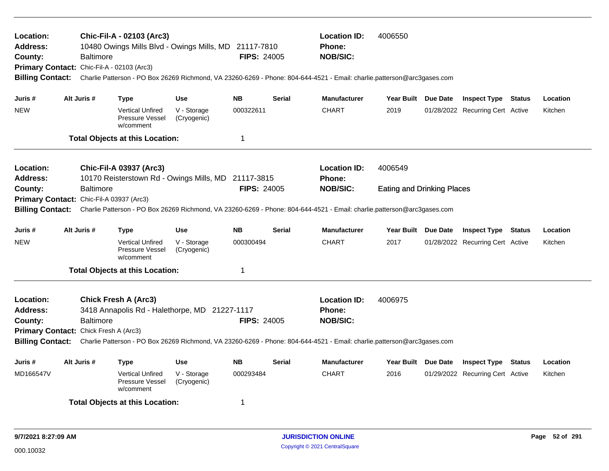| Location:<br>Address:<br>County:<br>Primary Contact: Chic-Fil-A - 02103 (Arc3)<br><b>Billing Contact:</b>                                                                                                                                                                                                                                                                                                                                                                                                               |             | <b>Baltimore</b> | Chic-Fil-A - 02103 (Arc3)                               | 10480 Owings Mills Blvd - Owings Mills, MD 21117-7810 | <b>FIPS: 24005</b>                |               | <b>Location ID:</b><br><b>Phone:</b><br><b>NOB/SIC:</b><br>Charlie Patterson - PO Box 26269 Richmond, VA 23260-6269 - Phone: 804-644-4521 - Email: charlie.patterson@arc3gases.com           | 4006550             |                                  |               |          |
|-------------------------------------------------------------------------------------------------------------------------------------------------------------------------------------------------------------------------------------------------------------------------------------------------------------------------------------------------------------------------------------------------------------------------------------------------------------------------------------------------------------------------|-------------|------------------|---------------------------------------------------------|-------------------------------------------------------|-----------------------------------|---------------|----------------------------------------------------------------------------------------------------------------------------------------------------------------------------------------------|---------------------|----------------------------------|---------------|----------|
| Juris #                                                                                                                                                                                                                                                                                                                                                                                                                                                                                                                 | Alt Juris # |                  | <b>Type</b>                                             | <b>Use</b>                                            | <b>NB</b>                         | <b>Serial</b> | <b>Manufacturer</b>                                                                                                                                                                          | Year Built Due Date | <b>Inspect Type Status</b>       |               | Location |
| <b>NEW</b>                                                                                                                                                                                                                                                                                                                                                                                                                                                                                                              |             |                  | <b>Vertical Unfired</b><br>Pressure Vessel<br>w/comment | V - Storage<br>(Cryogenic)                            | 000322611                         |               | <b>CHART</b>                                                                                                                                                                                 | 2019                | 01/28/2022 Recurring Cert Active |               | Kitchen  |
|                                                                                                                                                                                                                                                                                                                                                                                                                                                                                                                         |             |                  | <b>Total Objects at this Location:</b>                  |                                                       | 1                                 |               |                                                                                                                                                                                              |                     |                                  |               |          |
| Location:<br><b>Address:</b>                                                                                                                                                                                                                                                                                                                                                                                                                                                                                            |             |                  |                                                         |                                                       |                                   |               | <b>Location ID:</b><br>Phone:                                                                                                                                                                | 4006549             |                                  |               |          |
| <b>Chic-Fil-A 03937 (Arc3)</b><br>10170 Reisterstown Rd - Owings Mills, MD 21117-3815<br><b>Baltimore</b><br><b>FIPS: 24005</b><br>County:<br>Primary Contact: Chic-Fil-A 03937 (Arc3)<br><b>Billing Contact:</b><br>Charlie Patterson - PO Box 26269 Richmond, VA 23260-6269 - Phone: 804-644-4521 - Email: charlie.patterson@arc3gases.com<br>Alt Juris #<br><b>NB</b><br>Juris #<br><b>Type</b><br><b>Use</b><br><b>NEW</b><br><b>Vertical Unfired</b><br>V - Storage<br>000300494<br>Pressure Vessel<br>(Cryogenic) |             |                  |                                                         | <b>NOB/SIC:</b>                                       | <b>Eating and Drinking Places</b> |               |                                                                                                                                                                                              |                     |                                  |               |          |
|                                                                                                                                                                                                                                                                                                                                                                                                                                                                                                                         |             |                  |                                                         |                                                       |                                   | <b>Serial</b> | <b>Manufacturer</b>                                                                                                                                                                          | Year Built Due Date | <b>Inspect Type Status</b>       |               | Location |
|                                                                                                                                                                                                                                                                                                                                                                                                                                                                                                                         |             |                  | w/comment                                               |                                                       |                                   |               | <b>CHART</b>                                                                                                                                                                                 | 2017                | 01/28/2022 Recurring Cert Active |               | Kitchen  |
|                                                                                                                                                                                                                                                                                                                                                                                                                                                                                                                         |             |                  | <b>Total Objects at this Location:</b>                  |                                                       | 1                                 |               |                                                                                                                                                                                              |                     |                                  |               |          |
| Location:<br>Address:<br>County:<br>Primary Contact: Chick Fresh A (Arc3)                                                                                                                                                                                                                                                                                                                                                                                                                                               |             | Baltimore        | <b>Chick Fresh A (Arc3)</b>                             | 3418 Annapolis Rd - Halethorpe, MD 21227-1117         | <b>FIPS: 24005</b>                |               | <b>Location ID:</b><br>Phone:<br><b>NOB/SIC:</b><br>Billing Contact: Charlie Patterson - PO Box 26269 Richmond, VA 23260-6269 - Phone: 804-644-4521 - Email: charlie.patterson@arc3gases.com | 4006975             |                                  |               |          |
| Juris #                                                                                                                                                                                                                                                                                                                                                                                                                                                                                                                 | Alt Juris # |                  | Type                                                    | <b>Use</b>                                            | <b>NB</b>                         | <b>Serial</b> | <b>Manufacturer</b>                                                                                                                                                                          | Year Built Due Date | <b>Inspect Type</b>              | <b>Status</b> | Location |
| MD166547V                                                                                                                                                                                                                                                                                                                                                                                                                                                                                                               |             |                  | <b>Vertical Unfired</b><br>Pressure Vessel<br>w/comment | V - Storage<br>(Cryogenic)                            | 000293484                         |               | <b>CHART</b>                                                                                                                                                                                 | 2016                | 01/29/2022 Recurring Cert Active |               | Kitchen  |
|                                                                                                                                                                                                                                                                                                                                                                                                                                                                                                                         |             |                  | <b>Total Objects at this Location:</b>                  |                                                       | 1                                 |               |                                                                                                                                                                                              |                     |                                  |               |          |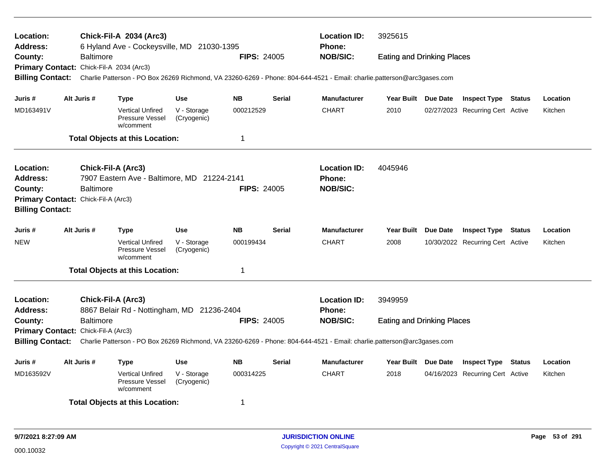| Location:<br><b>Address:</b>                                   |                    | <b>Chick-Fil-A 2034 (Arc3)</b><br>6 Hyland Ave - Cockeysville, MD 21030-1395 |                            |                    |               | <b>Location ID:</b><br><b>Phone:</b>                                                                                    | 3925615                           |                                  |        |          |
|----------------------------------------------------------------|--------------------|------------------------------------------------------------------------------|----------------------------|--------------------|---------------|-------------------------------------------------------------------------------------------------------------------------|-----------------------------------|----------------------------------|--------|----------|
| County:                                                        | <b>Baltimore</b>   |                                                                              |                            | <b>FIPS: 24005</b> |               | <b>NOB/SIC:</b>                                                                                                         | <b>Eating and Drinking Places</b> |                                  |        |          |
| Primary Contact: Chick-Fil-A 2034 (Arc3)                       |                    |                                                                              |                            |                    |               |                                                                                                                         |                                   |                                  |        |          |
| <b>Billing Contact:</b>                                        |                    |                                                                              |                            |                    |               | Charlie Patterson - PO Box 26269 Richmond, VA 23260-6269 - Phone: 804-644-4521 - Email: charlie.patterson@arc3gases.com |                                   |                                  |        |          |
| Juris #                                                        | Alt Juris #        | Type                                                                         | <b>Use</b>                 | <b>NB</b>          | <b>Serial</b> | <b>Manufacturer</b>                                                                                                     | Year Built Due Date               | <b>Inspect Type Status</b>       |        | Location |
| MD163491V                                                      |                    | <b>Vertical Unfired</b><br>Pressure Vessel<br>w/comment                      | V - Storage<br>(Cryogenic) | 000212529          |               | <b>CHART</b>                                                                                                            | 2010                              | 02/27/2023 Recurring Cert Active |        | Kitchen  |
|                                                                |                    | <b>Total Objects at this Location:</b>                                       |                            | 1                  |               |                                                                                                                         |                                   |                                  |        |          |
| <b>Location:</b>                                               | Chick-Fil-A (Arc3) |                                                                              |                            |                    |               | <b>Location ID:</b>                                                                                                     | 4045946                           |                                  |        |          |
| <b>Address:</b>                                                |                    | 7907 Eastern Ave - Baltimore, MD 21224-2141                                  |                            |                    |               | Phone:                                                                                                                  |                                   |                                  |        |          |
| County:                                                        | <b>Baltimore</b>   |                                                                              |                            | <b>FIPS: 24005</b> |               | <b>NOB/SIC:</b>                                                                                                         |                                   |                                  |        |          |
| Primary Contact: Chick-Fil-A (Arc3)<br><b>Billing Contact:</b> |                    |                                                                              |                            |                    |               |                                                                                                                         |                                   |                                  |        |          |
| Juris #                                                        | Alt Juris #        | <b>Type</b>                                                                  | <b>Use</b>                 | <b>NB</b>          | <b>Serial</b> | <b>Manufacturer</b>                                                                                                     | Year Built Due Date               | <b>Inspect Type Status</b>       |        | Location |
| <b>NEW</b>                                                     |                    | <b>Vertical Unfired</b><br>Pressure Vessel<br>w/comment                      | V - Storage<br>(Cryogenic) | 000199434          |               | <b>CHART</b>                                                                                                            | 2008                              | 10/30/2022 Recurring Cert Active |        | Kitchen  |
|                                                                |                    | <b>Total Objects at this Location:</b>                                       |                            | 1                  |               |                                                                                                                         |                                   |                                  |        |          |
| Location:<br><b>Address:</b>                                   | Chick-Fil-A (Arc3) | 8867 Belair Rd - Nottingham, MD 21236-2404                                   |                            |                    |               | <b>Location ID:</b><br><b>Phone:</b>                                                                                    | 3949959                           |                                  |        |          |
| County:                                                        | <b>Baltimore</b>   |                                                                              |                            | <b>FIPS: 24005</b> |               | <b>NOB/SIC:</b>                                                                                                         | <b>Eating and Drinking Places</b> |                                  |        |          |
| Primary Contact: Chick-Fil-A (Arc3)                            |                    |                                                                              |                            |                    |               |                                                                                                                         |                                   |                                  |        |          |
| <b>Billing Contact:</b>                                        |                    |                                                                              |                            |                    |               | Charlie Patterson - PO Box 26269 Richmond, VA 23260-6269 - Phone: 804-644-4521 - Email: charlie.patterson@arc3gases.com |                                   |                                  |        |          |
| Juris #                                                        | Alt Juris #        | <b>Type</b>                                                                  | <b>Use</b>                 | <b>NB</b>          | <b>Serial</b> | <b>Manufacturer</b>                                                                                                     | Year Built Due Date               | <b>Inspect Type</b>              | Status | Location |
| MD163592V                                                      |                    | <b>Vertical Unfired</b><br>Pressure Vessel<br>w/comment                      | V - Storage<br>(Cryogenic) | 000314225          |               | <b>CHART</b>                                                                                                            | 2018                              | 04/16/2023 Recurring Cert Active |        | Kitchen  |
|                                                                |                    | <b>Total Objects at this Location:</b>                                       |                            | 1                  |               |                                                                                                                         |                                   |                                  |        |          |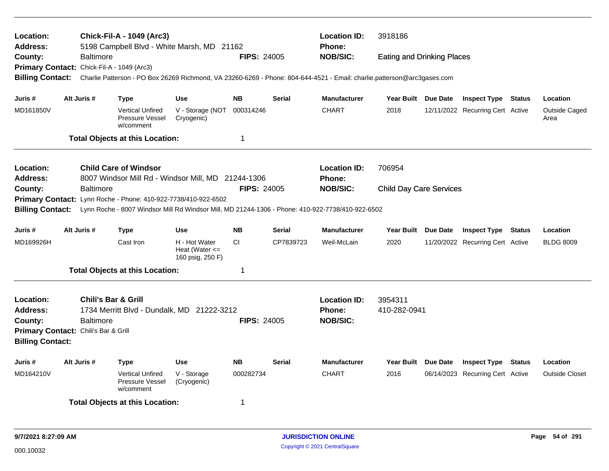| Location:<br>Address:                      |                                | <b>Chick-Fil-A - 1049 (Arc3)</b><br>5198 Campbell Blvd - White Marsh, MD 21162 |                                                         |                    |               | <b>Location ID:</b><br><b>Phone:</b>                                                                                    | 3918186                           |                 |                                  |        |                       |
|--------------------------------------------|--------------------------------|--------------------------------------------------------------------------------|---------------------------------------------------------|--------------------|---------------|-------------------------------------------------------------------------------------------------------------------------|-----------------------------------|-----------------|----------------------------------|--------|-----------------------|
| County:                                    | <b>Baltimore</b>               |                                                                                |                                                         | <b>FIPS: 24005</b> |               | <b>NOB/SIC:</b>                                                                                                         | <b>Eating and Drinking Places</b> |                 |                                  |        |                       |
| Primary Contact: Chick-Fil-A - 1049 (Arc3) |                                |                                                                                |                                                         |                    |               |                                                                                                                         |                                   |                 |                                  |        |                       |
| <b>Billing Contact:</b>                    |                                |                                                                                |                                                         |                    |               | Charlie Patterson - PO Box 26269 Richmond, VA 23260-6269 - Phone: 804-644-4521 - Email: charlie.patterson@arc3gases.com |                                   |                 |                                  |        |                       |
| Juris #                                    | Alt Juris #                    | <b>Type</b>                                                                    | <b>Use</b>                                              | <b>NB</b>          | <b>Serial</b> | <b>Manufacturer</b>                                                                                                     | Year Built Due Date               |                 | <b>Inspect Type Status</b>       |        | Location              |
| MD161850V                                  |                                | <b>Vertical Unfired</b><br>Pressure Vessel<br>w/comment                        | V - Storage (NOT<br>Cryogenic)                          | 000314246          |               | <b>CHART</b>                                                                                                            | 2018                              |                 | 12/11/2022 Recurring Cert Active |        | Outside Caged<br>Area |
|                                            |                                | <b>Total Objects at this Location:</b>                                         |                                                         | $\mathbf 1$        |               |                                                                                                                         |                                   |                 |                                  |        |                       |
| Location:                                  |                                | <b>Child Care of Windsor</b>                                                   |                                                         |                    |               | <b>Location ID:</b>                                                                                                     | 706954                            |                 |                                  |        |                       |
| <b>Address:</b>                            |                                | 8007 Windsor Mill Rd - Windsor Mill, MD 21244-1306                             |                                                         |                    |               | Phone:                                                                                                                  |                                   |                 |                                  |        |                       |
| County:                                    | <b>Baltimore</b>               |                                                                                |                                                         | FIPS: 24005        |               | <b>NOB/SIC:</b>                                                                                                         | <b>Child Day Care Services</b>    |                 |                                  |        |                       |
|                                            |                                | Primary Contact: Lynn Roche - Phone: 410-922-7738/410-922-6502                 |                                                         |                    |               |                                                                                                                         |                                   |                 |                                  |        |                       |
| <b>Billing Contact:</b>                    |                                |                                                                                |                                                         |                    |               | Lynn Roche - 8007 Windsor Mill Rd Windsor Mill, MD 21244-1306 - Phone: 410-922-7738/410-922-6502                        |                                   |                 |                                  |        |                       |
| Juris #                                    | Alt Juris #                    | <b>Type</b>                                                                    | <b>Use</b>                                              | <b>NB</b>          | <b>Serial</b> | <b>Manufacturer</b>                                                                                                     | <b>Year Built</b>                 | Due Date        | <b>Inspect Type</b>              | Status | Location              |
| MD169926H                                  |                                | Cast Iron                                                                      | H - Hot Water<br>Heat (Water $\leq$<br>160 psig, 250 F) | CI.                | CP7839723     | Weil-McLain                                                                                                             | 2020                              |                 | 11/20/2022 Recurring Cert Active |        | <b>BLDG 8009</b>      |
|                                            |                                | <b>Total Objects at this Location:</b>                                         |                                                         | $\mathbf 1$        |               |                                                                                                                         |                                   |                 |                                  |        |                       |
| Location:                                  | <b>Chili's Bar &amp; Grill</b> |                                                                                |                                                         |                    |               | <b>Location ID:</b>                                                                                                     | 3954311                           |                 |                                  |        |                       |
| <b>Address:</b>                            |                                | 1734 Merritt Blvd - Dundalk, MD 21222-3212                                     |                                                         |                    |               | <b>Phone:</b>                                                                                                           | 410-282-0941                      |                 |                                  |        |                       |
| County:                                    | <b>Baltimore</b>               |                                                                                |                                                         | <b>FIPS: 24005</b> |               | <b>NOB/SIC:</b>                                                                                                         |                                   |                 |                                  |        |                       |
| Primary Contact: Chili's Bar & Grill       |                                |                                                                                |                                                         |                    |               |                                                                                                                         |                                   |                 |                                  |        |                       |
| <b>Billing Contact:</b>                    |                                |                                                                                |                                                         |                    |               |                                                                                                                         |                                   |                 |                                  |        |                       |
| Juris #                                    | Alt Juris #                    | <b>Type</b>                                                                    | <b>Use</b>                                              | <b>NB</b>          | <b>Serial</b> | <b>Manufacturer</b>                                                                                                     | Year Built                        | <b>Due Date</b> | <b>Inspect Type Status</b>       |        | Location              |
| MD164210V                                  |                                | <b>Vertical Unfired</b><br><b>Pressure Vessel</b><br>w/comment                 | V - Storage<br>(Cryogenic)                              | 000282734          |               | <b>CHART</b>                                                                                                            | 2016                              |                 | 06/14/2023 Recurring Cert Active |        | <b>Outside Closet</b> |
|                                            |                                | <b>Total Objects at this Location:</b>                                         |                                                         | -1                 |               |                                                                                                                         |                                   |                 |                                  |        |                       |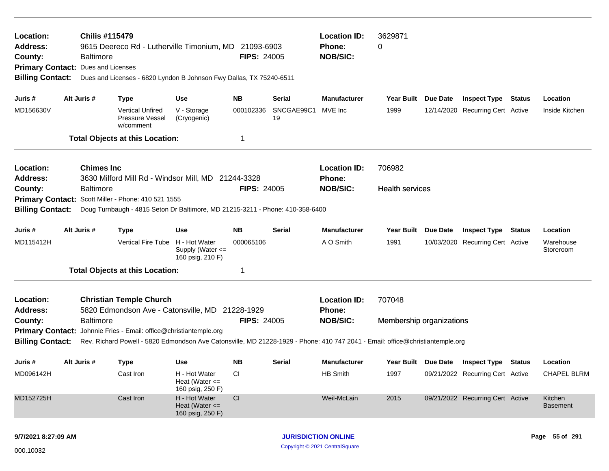| Location:<br><b>Address:</b><br>County:<br>Primary Contact: Dues and Licenses<br><b>Billing Contact:</b><br>Juris #<br>MD156630V |  | <b>Chilis #115479</b><br><b>Baltimore</b> | 9615 Deereco Rd - Lutherville Timonium, MD 21093-6903<br>Dues and Licenses - 6820 Lyndon B Johnson Fwy Dallas, TX 75240-6511  |                                                           | <b>FIPS: 24005</b> |                  | <b>Location ID:</b><br>Phone:<br><b>NOB/SIC:</b> | 3629871<br>0             |                 |                                  |               |                            |
|----------------------------------------------------------------------------------------------------------------------------------|--|-------------------------------------------|-------------------------------------------------------------------------------------------------------------------------------|-----------------------------------------------------------|--------------------|------------------|--------------------------------------------------|--------------------------|-----------------|----------------------------------|---------------|----------------------------|
|                                                                                                                                  |  | Alt Juris #                               | <b>Type</b>                                                                                                                   | <b>Use</b>                                                | <b>NB</b>          | Serial           | <b>Manufacturer</b>                              | Year Built Due Date      |                 | <b>Inspect Type Status</b>       |               | Location                   |
|                                                                                                                                  |  |                                           | <b>Vertical Unfired</b><br>Pressure Vessel<br>w/comment                                                                       | V - Storage<br>(Cryogenic)                                | 000102336          | SNCGAE99C1<br>19 | MVE Inc                                          | 1999                     |                 | 12/14/2020 Recurring Cert Active |               | Inside Kitchen             |
|                                                                                                                                  |  |                                           | <b>Total Objects at this Location:</b>                                                                                        |                                                           | 1                  |                  |                                                  |                          |                 |                                  |               |                            |
| Location:<br><b>Address:</b>                                                                                                     |  | <b>Chimes Inc</b>                         | 3630 Milford Mill Rd - Windsor Mill, MD 21244-3328                                                                            |                                                           |                    |                  | <b>Location ID:</b><br><b>Phone:</b>             | 706982                   |                 |                                  |               |                            |
| County:                                                                                                                          |  | <b>Baltimore</b>                          |                                                                                                                               |                                                           | <b>FIPS: 24005</b> |                  | <b>NOB/SIC:</b>                                  | <b>Health services</b>   |                 |                                  |               |                            |
|                                                                                                                                  |  |                                           | Primary Contact: Scott Miller - Phone: 410 521 1555                                                                           |                                                           |                    |                  |                                                  |                          |                 |                                  |               |                            |
| <b>Billing Contact:</b>                                                                                                          |  |                                           | Doug Turnbaugh - 4815 Seton Dr Baltimore, MD 21215-3211 - Phone: 410-358-6400                                                 |                                                           |                    |                  |                                                  |                          |                 |                                  |               |                            |
| Juris #                                                                                                                          |  | Alt Juris #                               | <b>Type</b>                                                                                                                   | Use                                                       | <b>NB</b>          | Serial           | <b>Manufacturer</b>                              | <b>Year Built</b>        | <b>Due Date</b> | <b>Inspect Type</b>              | <b>Status</b> | Location                   |
| MD115412H                                                                                                                        |  |                                           | <b>Vertical Fire Tube</b>                                                                                                     | H - Hot Water<br>Supply (Water $\leq$<br>160 psig, 210 F) | 000065106          |                  | A O Smith                                        | 1991                     |                 | 10/03/2020 Recurring Cert Active |               | Warehouse<br>Storeroom     |
|                                                                                                                                  |  |                                           | <b>Total Objects at this Location:</b>                                                                                        |                                                           | 1                  |                  |                                                  |                          |                 |                                  |               |                            |
| Location:<br><b>Address:</b>                                                                                                     |  |                                           | <b>Christian Temple Church</b><br>5820 Edmondson Ave - Catonsville, MD 21228-1929                                             |                                                           |                    |                  | <b>Location ID:</b><br><b>Phone:</b>             | 707048                   |                 |                                  |               |                            |
| County:                                                                                                                          |  | <b>Baltimore</b>                          |                                                                                                                               |                                                           | <b>FIPS: 24005</b> |                  | <b>NOB/SIC:</b>                                  | Membership organizations |                 |                                  |               |                            |
|                                                                                                                                  |  |                                           | Primary Contact: Johnnie Fries - Email: office@christiantemple.org                                                            |                                                           |                    |                  |                                                  |                          |                 |                                  |               |                            |
| <b>Billing Contact:</b>                                                                                                          |  |                                           | Rev. Richard Powell - 5820 Edmondson Ave Catonsville, MD 21228-1929 - Phone: 410 747 2041 - Email: office@christiantemple.org |                                                           |                    |                  |                                                  |                          |                 |                                  |               |                            |
| Juris #                                                                                                                          |  | Alt Juris #                               | <b>Type</b>                                                                                                                   | <b>Use</b>                                                | NB.                | Serial           | <b>Manufacturer</b>                              | Year Built Due Date      |                 | <b>Inspect Type Status</b>       |               | Location                   |
| MD096142H                                                                                                                        |  |                                           | Cast Iron                                                                                                                     | H - Hot Water<br>Heat (Water $\leq$<br>160 psig, 250 F)   | <b>CI</b>          |                  | HB Smith                                         | 1997                     |                 | 09/21/2022 Recurring Cert Active |               | <b>CHAPEL BLRM</b>         |
| MD152725H                                                                                                                        |  |                                           | Cast Iron                                                                                                                     | H - Hot Water<br>Heat (Water $\leq$<br>160 psig, 250 F)   | CI                 |                  | Weil-McLain                                      | 2015                     |                 | 09/21/2022 Recurring Cert Active |               | Kitchen<br><b>Basement</b> |
| 9/7/2021 8:27:09 AM                                                                                                              |  |                                           |                                                                                                                               |                                                           |                    |                  | <b>JURISDICTION ONLINE</b>                       |                          |                 |                                  |               | Page 55 of 291             |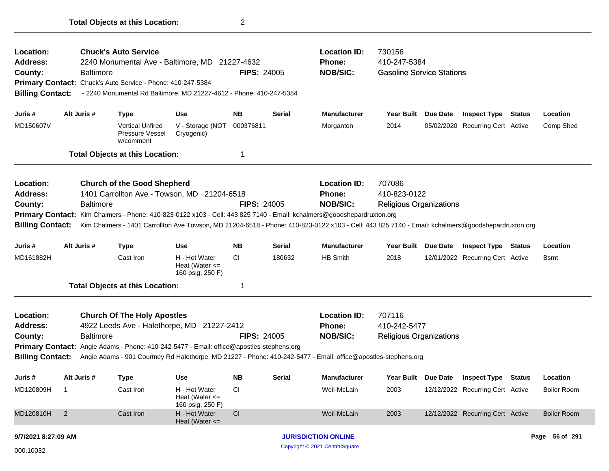| Location:<br><b>Address:</b><br>County:<br><b>Billing Contact:</b> |    | <b>Baltimore</b> | <b>Chuck's Auto Service</b><br>2240 Monumental Ave - Baltimore, MD 21227-4632<br>Primary Contact: Chuck's Auto Service - Phone: 410-247-5384<br>- 2240 Monumental Rd Baltimore, MD 21227-4612 - Phone: 410-247-5384 |                                                         | <b>FIPS: 24005</b> |               | <b>Location ID:</b><br><b>Phone:</b><br><b>NOB/SIC:</b>                                                                                                                                                                                                                     | 730156<br>410-247-5384<br><b>Gasoline Service Stations</b> |          |                                  |                    |
|--------------------------------------------------------------------|----|------------------|---------------------------------------------------------------------------------------------------------------------------------------------------------------------------------------------------------------------|---------------------------------------------------------|--------------------|---------------|-----------------------------------------------------------------------------------------------------------------------------------------------------------------------------------------------------------------------------------------------------------------------------|------------------------------------------------------------|----------|----------------------------------|--------------------|
| Juris #                                                            |    | Alt Juris #      | Type                                                                                                                                                                                                                | <b>Use</b>                                              | <b>NB</b>          | <b>Serial</b> | <b>Manufacturer</b>                                                                                                                                                                                                                                                         | <b>Year Built</b>                                          | Due Date | <b>Inspect Type Status</b>       | Location           |
| MD150607V                                                          |    |                  | <b>Vertical Unfired</b><br>Pressure Vessel<br>w/comment                                                                                                                                                             | V - Storage (NOT 000376811<br>Cryogenic)                |                    |               | Morganton                                                                                                                                                                                                                                                                   | 2014                                                       |          | 05/02/2020 Recurring Cert Active | Comp Shed          |
|                                                                    |    |                  | <b>Total Objects at this Location:</b>                                                                                                                                                                              |                                                         | 1                  |               |                                                                                                                                                                                                                                                                             |                                                            |          |                                  |                    |
| Location:                                                          |    |                  | <b>Church of the Good Shepherd</b>                                                                                                                                                                                  |                                                         |                    |               | <b>Location ID:</b>                                                                                                                                                                                                                                                         | 707086                                                     |          |                                  |                    |
| <b>Address:</b>                                                    |    |                  | 1401 Carrollton Ave - Towson, MD 21204-6518                                                                                                                                                                         |                                                         |                    |               | <b>Phone:</b>                                                                                                                                                                                                                                                               | 410-823-0122                                               |          |                                  |                    |
| County:                                                            |    | <b>Baltimore</b> |                                                                                                                                                                                                                     |                                                         | <b>FIPS: 24005</b> |               | <b>NOB/SIC:</b>                                                                                                                                                                                                                                                             | <b>Religious Organizations</b>                             |          |                                  |                    |
| <b>Billing Contact:</b>                                            |    |                  |                                                                                                                                                                                                                     |                                                         |                    |               | Primary Contact: Kim Chalmers - Phone: 410-823-0122 x103 - Cell: 443 825 7140 - Email: kchalmers@goodshepardruxton.org<br>Kim Chalmers - 1401 Carrollton Ave Towson, MD 21204-6518 - Phone: 410-823-0122 x103 - Cell: 443 825 7140 - Email: kchalmers@goodshepardruxton.org |                                                            |          |                                  |                    |
| Juris #                                                            |    | Alt Juris #      | <b>Type</b>                                                                                                                                                                                                         | <b>Use</b>                                              | <b>NB</b>          | <b>Serial</b> | <b>Manufacturer</b>                                                                                                                                                                                                                                                         | Year Built Due Date                                        |          | <b>Inspect Type Status</b>       | Location           |
| MD161882H                                                          |    |                  | Cast Iron                                                                                                                                                                                                           | H - Hot Water<br>Heat (Water $\leq$<br>160 psig, 250 F) | <b>CI</b>          | 180632        | <b>HB Smith</b>                                                                                                                                                                                                                                                             | 2018                                                       |          | 12/01/2022 Recurring Cert Active | Bsmt               |
|                                                                    |    |                  | <b>Total Objects at this Location:</b>                                                                                                                                                                              |                                                         | 1                  |               |                                                                                                                                                                                                                                                                             |                                                            |          |                                  |                    |
| Location:                                                          |    |                  | <b>Church Of The Holy Apostles</b>                                                                                                                                                                                  |                                                         |                    |               | <b>Location ID:</b>                                                                                                                                                                                                                                                         | 707116                                                     |          |                                  |                    |
| <b>Address:</b>                                                    |    |                  | 4922 Leeds Ave - Halethorpe, MD 21227-2412                                                                                                                                                                          |                                                         |                    |               | Phone:                                                                                                                                                                                                                                                                      | 410-242-5477                                               |          |                                  |                    |
| County:                                                            |    | <b>Baltimore</b> |                                                                                                                                                                                                                     |                                                         | <b>FIPS: 24005</b> |               | <b>NOB/SIC:</b>                                                                                                                                                                                                                                                             | <b>Religious Organizations</b>                             |          |                                  |                    |
| <b>Billing Contact:</b>                                            |    |                  | Primary Contact: Angie Adams - Phone: 410-242-5477 - Email: office@apostles-stephens.org                                                                                                                            |                                                         |                    |               | Angie Adams - 901 Courtney Rd Halethorpe, MD 21227 - Phone: 410-242-5477 - Email: office@apostles-stephens.org                                                                                                                                                              |                                                            |          |                                  |                    |
| Juris #                                                            |    | Alt Juris #      | <b>Type</b>                                                                                                                                                                                                         | <b>Use</b>                                              | <b>NB</b>          | Serial        | <b>Manufacturer</b>                                                                                                                                                                                                                                                         | <b>Year Built</b>                                          | Due Date | <b>Inspect Type Status</b>       | Location           |
| MD120809H                                                          | -1 |                  | Cast Iron                                                                                                                                                                                                           | H - Hot Water<br>Heat (Water $\leq$<br>160 psig, 250 F) | <b>CI</b>          |               | Weil-McLain                                                                                                                                                                                                                                                                 | 2003                                                       |          | 12/12/2022 Recurring Cert Active | Boiler Room        |
| MD120810H                                                          | 2  |                  | Cast Iron                                                                                                                                                                                                           | H - Hot Water<br>Heat (Water $\leq$                     | CI                 |               | Weil-McLain                                                                                                                                                                                                                                                                 | 2003                                                       |          | 12/12/2022 Recurring Cert Active | <b>Boiler Room</b> |
| 9/7/2021 8:27:09 AM                                                |    |                  |                                                                                                                                                                                                                     |                                                         |                    |               | <b>JURISDICTION ONLINE</b>                                                                                                                                                                                                                                                  |                                                            |          |                                  | Page 56 of 291     |

Copyright © 2021 CentralSquare 000.10032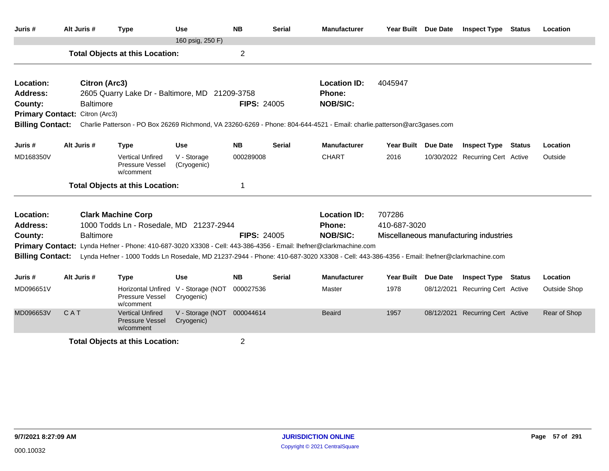| Juris #                 | Alt Juris #                           | <b>Type</b>                                                    | Use                                      | <b>NB</b>          | <b>Serial</b> | <b>Manufacturer</b>                                                                                                                     | Year Built Due Date |                 | <b>Inspect Type</b>                    | Status        | Location     |
|-------------------------|---------------------------------------|----------------------------------------------------------------|------------------------------------------|--------------------|---------------|-----------------------------------------------------------------------------------------------------------------------------------------|---------------------|-----------------|----------------------------------------|---------------|--------------|
|                         |                                       |                                                                | 160 psig, 250 F)                         |                    |               |                                                                                                                                         |                     |                 |                                        |               |              |
|                         |                                       | <b>Total Objects at this Location:</b>                         |                                          | $\overline{2}$     |               |                                                                                                                                         |                     |                 |                                        |               |              |
| Location:               | Citron (Arc3)                         |                                                                |                                          |                    |               | <b>Location ID:</b>                                                                                                                     | 4045947             |                 |                                        |               |              |
| <b>Address:</b>         |                                       | 2605 Quarry Lake Dr - Baltimore, MD 21209-3758                 |                                          |                    |               | <b>Phone:</b>                                                                                                                           |                     |                 |                                        |               |              |
| County:                 | <b>Baltimore</b>                      |                                                                |                                          | <b>FIPS: 24005</b> |               | <b>NOB/SIC:</b>                                                                                                                         |                     |                 |                                        |               |              |
|                         | <b>Primary Contact: Citron (Arc3)</b> |                                                                |                                          |                    |               |                                                                                                                                         |                     |                 |                                        |               |              |
| <b>Billing Contact:</b> |                                       |                                                                |                                          |                    |               | Charlie Patterson - PO Box 26269 Richmond, VA 23260-6269 - Phone: 804-644-4521 - Email: charlie.patterson@arc3gases.com                 |                     |                 |                                        |               |              |
| Juris #                 | Alt Juris #                           | <b>Type</b>                                                    | <b>Use</b>                               | <b>NB</b>          | <b>Serial</b> | <b>Manufacturer</b>                                                                                                                     | <b>Year Built</b>   | <b>Due Date</b> | <b>Inspect Type</b>                    | <b>Status</b> | Location     |
| MD168350V               |                                       | <b>Vertical Unfired</b><br>Pressure Vessel<br>w/comment        | V - Storage<br>(Cryogenic)               | 000289008          |               | <b>CHART</b>                                                                                                                            | 2016                |                 | 10/30/2022 Recurring Cert Active       |               | Outside      |
|                         |                                       | <b>Total Objects at this Location:</b>                         |                                          | 1                  |               |                                                                                                                                         |                     |                 |                                        |               |              |
| Location:               |                                       | <b>Clark Machine Corp</b>                                      |                                          |                    |               | <b>Location ID:</b>                                                                                                                     | 707286              |                 |                                        |               |              |
| <b>Address:</b>         |                                       | 1000 Todds Ln - Rosedale, MD 21237-2944                        |                                          |                    |               | <b>Phone:</b>                                                                                                                           | 410-687-3020        |                 |                                        |               |              |
| County:                 | <b>Baltimore</b>                      |                                                                |                                          | <b>FIPS: 24005</b> |               | <b>NOB/SIC:</b>                                                                                                                         |                     |                 | Miscellaneous manufacturing industries |               |              |
|                         |                                       |                                                                |                                          |                    |               | Primary Contact: Lynda Hefner - Phone: 410-687-3020 X3308 - Cell: 443-386-4356 - Email: Ihefner@clarkmachine.com                        |                     |                 |                                        |               |              |
| <b>Billing Contact:</b> |                                       |                                                                |                                          |                    |               | Lynda Hefner - 1000 Todds Ln Rosedale, MD 21237-2944 - Phone: 410-687-3020 X3308 - Cell: 443-386-4356 - Email: Ihefner@clarkmachine.com |                     |                 |                                        |               |              |
| Juris #                 | Alt Juris #                           | <b>Type</b>                                                    | Use                                      | <b>NB</b>          | <b>Serial</b> | <b>Manufacturer</b>                                                                                                                     | <b>Year Built</b>   | <b>Due Date</b> | <b>Inspect Type Status</b>             |               | Location     |
| MD096651V               |                                       | <b>Horizontal Unfired</b><br>Pressure Vessel<br>w/comment      | V - Storage (NOT<br>Cryogenic)           | 000027536          |               | Master                                                                                                                                  | 1978                | 08/12/2021      | <b>Recurring Cert Active</b>           |               | Outside Shop |
| MD096653V               | CAT                                   | <b>Vertical Unfired</b><br><b>Pressure Vessel</b><br>w/comment | V - Storage (NOT 000044614<br>Cryogenic) |                    |               | <b>Beaird</b>                                                                                                                           | 1957                | 08/12/2021      | <b>Recurring Cert Active</b>           |               | Rear of Shop |
|                         |                                       | <b>Total Objects at this Location:</b>                         |                                          | 2                  |               |                                                                                                                                         |                     |                 |                                        |               |              |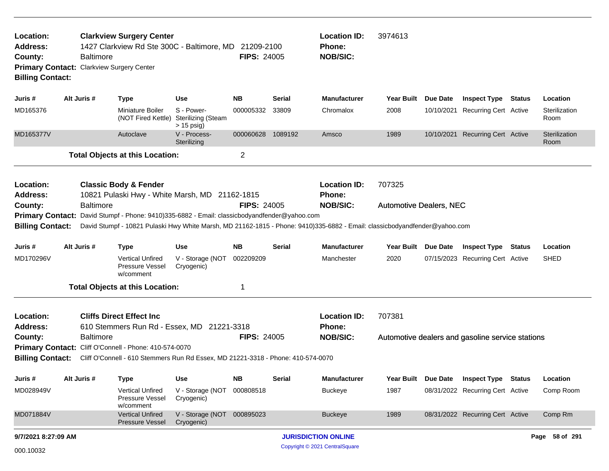| Location:<br><b>Address:</b><br>County:<br>Primary Contact: Clarkview Surgery Center<br><b>Billing Contact:</b>                                                                                                                                                                                                                        |  | <b>Baltimore</b> | <b>Clarkview Surgery Center</b><br>1427 Clarkview Rd Ste 300C - Baltimore, MD    |                                                         | 21209-2100<br><b>FIPS: 24005</b> |               | <b>Location ID:</b><br>Phone:<br><b>NOB/SIC:</b> | 3974613                        |                 |                                                  |               |                       |
|----------------------------------------------------------------------------------------------------------------------------------------------------------------------------------------------------------------------------------------------------------------------------------------------------------------------------------------|--|------------------|----------------------------------------------------------------------------------|---------------------------------------------------------|----------------------------------|---------------|--------------------------------------------------|--------------------------------|-----------------|--------------------------------------------------|---------------|-----------------------|
| Juris #                                                                                                                                                                                                                                                                                                                                |  | Alt Juris #      | <b>Type</b>                                                                      | <b>Use</b>                                              | <b>NB</b>                        | Serial        | <b>Manufacturer</b>                              | <b>Year Built</b>              | <b>Due Date</b> | <b>Inspect Type Status</b>                       |               | Location              |
| MD165376                                                                                                                                                                                                                                                                                                                               |  |                  | <b>Miniature Boiler</b><br>(NOT Fired Kettle)                                    | S - Power-<br><b>Sterilizing (Steam</b><br>$> 15$ psig) | 000005332                        | 33809         | Chromalox                                        | 2008                           |                 | 10/10/2021 Recurring Cert Active                 |               | Sterilization<br>Room |
| MD165377V                                                                                                                                                                                                                                                                                                                              |  |                  | Autoclave                                                                        | V - Process-<br>Sterilizing                             | 000060628                        | 1089192       | Amsco                                            | 1989                           |                 | 10/10/2021 Recurring Cert Active                 |               | Sterilization<br>Room |
|                                                                                                                                                                                                                                                                                                                                        |  |                  | <b>Total Objects at this Location:</b>                                           |                                                         | $\overline{2}$                   |               |                                                  |                                |                 |                                                  |               |                       |
| Location:<br><b>Address:</b>                                                                                                                                                                                                                                                                                                           |  |                  | <b>Classic Body &amp; Fender</b>                                                 |                                                         |                                  |               | <b>Location ID:</b><br><b>Phone:</b>             | 707325                         |                 |                                                  |               |                       |
| 10821 Pulaski Hwy - White Marsh, MD 21162-1815<br><b>Baltimore</b><br>County:<br>Primary Contact: David Stumpf - Phone: 9410)335-6882 - Email: classicbodyandfender@yahoo.com<br><b>Billing Contact:</b><br>David Stumpf - 10821 Pulaski Hwy White Marsh, MD 21162-1815 - Phone: 9410)335-6882 - Email: classicbodyandfender@yahoo.com |  |                  |                                                                                  |                                                         | <b>FIPS: 24005</b>               |               | <b>NOB/SIC:</b>                                  | <b>Automotive Dealers, NEC</b> |                 |                                                  |               |                       |
| Juris #                                                                                                                                                                                                                                                                                                                                |  | Alt Juris #      | <b>Type</b>                                                                      | Use                                                     | <b>NB</b>                        | <b>Serial</b> | <b>Manufacturer</b>                              | <b>Year Built</b>              | <b>Due Date</b> | <b>Inspect Type</b>                              | <b>Status</b> | Location              |
| MD170296V                                                                                                                                                                                                                                                                                                                              |  |                  | <b>Vertical Unfired</b><br>Pressure Vessel<br>w/comment                          | V - Storage (NOT<br>Cryogenic)                          | 002209209                        |               | Manchester                                       | 2020                           |                 | 07/15/2023 Recurring Cert Active                 |               | <b>SHED</b>           |
|                                                                                                                                                                                                                                                                                                                                        |  |                  | <b>Total Objects at this Location:</b>                                           |                                                         | 1                                |               |                                                  |                                |                 |                                                  |               |                       |
| Location:<br><b>Address:</b>                                                                                                                                                                                                                                                                                                           |  |                  | <b>Cliffs Direct Effect Inc.</b><br>610 Stemmers Run Rd - Essex, MD 21221-3318   |                                                         |                                  |               | <b>Location ID:</b><br><b>Phone:</b>             | 707381                         |                 |                                                  |               |                       |
| County:                                                                                                                                                                                                                                                                                                                                |  | <b>Baltimore</b> | Primary Contact: Cliff O'Connell - Phone: 410-574-0070                           |                                                         | <b>FIPS: 24005</b>               |               | <b>NOB/SIC:</b>                                  |                                |                 | Automotive dealers and gasoline service stations |               |                       |
| <b>Billing Contact:</b>                                                                                                                                                                                                                                                                                                                |  |                  | Cliff O'Connell - 610 Stemmers Run Rd Essex, MD 21221-3318 - Phone: 410-574-0070 |                                                         |                                  |               |                                                  |                                |                 |                                                  |               |                       |
| Juris #                                                                                                                                                                                                                                                                                                                                |  | Alt Juris #      | <b>Type</b>                                                                      | <b>Use</b>                                              | <b>NB</b>                        | <b>Serial</b> | <b>Manufacturer</b>                              | <b>Year Built</b>              | Due Date        | <b>Inspect Type Status</b>                       |               | Location              |
| MD028949V                                                                                                                                                                                                                                                                                                                              |  |                  | <b>Vertical Unfired</b><br>Pressure Vessel<br>w/comment                          | V - Storage (NOT 000808518<br>Cryogenic)                |                                  |               | Buckeye                                          | 1987                           |                 | 08/31/2022 Recurring Cert Active                 |               | Comp Room             |
| MD071884V                                                                                                                                                                                                                                                                                                                              |  |                  | <b>Vertical Unfired</b><br><b>Pressure Vessel</b>                                | V - Storage (NOT 000895023<br>Cryogenic)                |                                  |               | <b>Buckeye</b>                                   | 1989                           |                 | 08/31/2022 Recurring Cert Active                 |               | Comp Rm               |
| 9/7/2021 8:27:09 AM                                                                                                                                                                                                                                                                                                                    |  |                  |                                                                                  |                                                         |                                  |               | <b>JURISDICTION ONLINE</b>                       |                                |                 |                                                  |               | Page 58 of 291        |
| 000.10032                                                                                                                                                                                                                                                                                                                              |  |                  |                                                                                  |                                                         |                                  |               | Copyright © 2021 CentralSquare                   |                                |                 |                                                  |               |                       |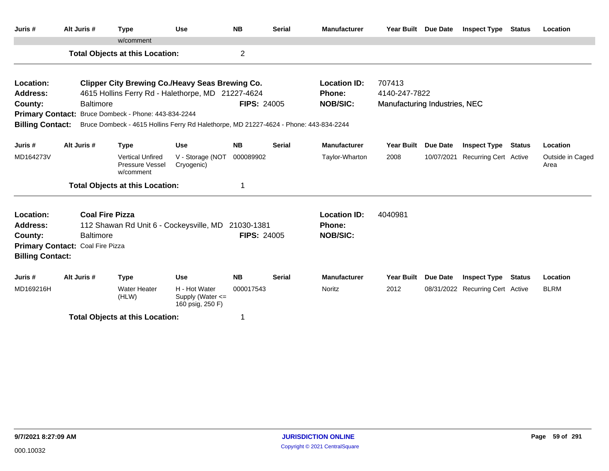| Juris #                 | Alt Juris #                      | <b>Type</b>                                                                           | <b>Use</b>                                                | <b>NB</b>          | <b>Serial</b> | <b>Manufacturer</b> |                               | Year Built Due Date | <b>Inspect Type Status</b>       |               | Location                 |
|-------------------------|----------------------------------|---------------------------------------------------------------------------------------|-----------------------------------------------------------|--------------------|---------------|---------------------|-------------------------------|---------------------|----------------------------------|---------------|--------------------------|
|                         |                                  | w/comment                                                                             |                                                           |                    |               |                     |                               |                     |                                  |               |                          |
|                         |                                  | <b>Total Objects at this Location:</b>                                                |                                                           | $\overline{2}$     |               |                     |                               |                     |                                  |               |                          |
| Location:               |                                  | <b>Clipper City Brewing Co./Heavy Seas Brewing Co.</b>                                |                                                           |                    |               | <b>Location ID:</b> | 707413                        |                     |                                  |               |                          |
| <b>Address:</b>         |                                  | 4615 Hollins Ferry Rd - Halethorpe, MD 21227-4624                                     |                                                           |                    |               | Phone:              | 4140-247-7822                 |                     |                                  |               |                          |
| County:                 | <b>Baltimore</b>                 |                                                                                       |                                                           | <b>FIPS: 24005</b> |               | <b>NOB/SIC:</b>     | Manufacturing Industries, NEC |                     |                                  |               |                          |
| <b>Primary Contact:</b> |                                  | Bruce Dombeck - Phone: 443-834-2244                                                   |                                                           |                    |               |                     |                               |                     |                                  |               |                          |
| <b>Billing Contact:</b> |                                  | Bruce Dombeck - 4615 Hollins Ferry Rd Halethorpe, MD 21227-4624 - Phone: 443-834-2244 |                                                           |                    |               |                     |                               |                     |                                  |               |                          |
| Juris #                 | Alt Juris #                      | <b>Type</b>                                                                           | <b>Use</b>                                                | <b>NB</b>          | <b>Serial</b> | <b>Manufacturer</b> | <b>Year Built</b>             | <b>Due Date</b>     | <b>Inspect Type</b>              | <b>Status</b> | Location                 |
| MD164273V               |                                  | <b>Vertical Unfired</b><br>Pressure Vessel<br>w/comment                               | V - Storage (NOT<br>Cryogenic)                            | 000089902          |               | Taylor-Wharton      | 2008                          | 10/07/2021          | <b>Recurring Cert Active</b>     |               | Outside in Caged<br>Area |
|                         |                                  | <b>Total Objects at this Location:</b>                                                |                                                           | $\overline{1}$     |               |                     |                               |                     |                                  |               |                          |
| Location:               |                                  | <b>Coal Fire Pizza</b>                                                                |                                                           |                    |               | <b>Location ID:</b> | 4040981                       |                     |                                  |               |                          |
| <b>Address:</b>         |                                  | 112 Shawan Rd Unit 6 - Cockeysville, MD                                               |                                                           | 21030-1381         |               | <b>Phone:</b>       |                               |                     |                                  |               |                          |
| County:                 | <b>Baltimore</b>                 |                                                                                       |                                                           | <b>FIPS: 24005</b> |               | <b>NOB/SIC:</b>     |                               |                     |                                  |               |                          |
|                         | Primary Contact: Coal Fire Pizza |                                                                                       |                                                           |                    |               |                     |                               |                     |                                  |               |                          |
| <b>Billing Contact:</b> |                                  |                                                                                       |                                                           |                    |               |                     |                               |                     |                                  |               |                          |
| Juris #                 | Alt Juris #                      | <b>Type</b>                                                                           | <b>Use</b>                                                | <b>NB</b>          | <b>Serial</b> | <b>Manufacturer</b> | <b>Year Built</b>             | Due Date            | <b>Inspect Type Status</b>       |               | Location                 |
| MD169216H               |                                  | <b>Water Heater</b><br>(HLW)                                                          | H - Hot Water<br>Supply (Water $\leq$<br>160 psig, 250 F) | 000017543          |               | <b>Noritz</b>       | 2012                          |                     | 08/31/2022 Recurring Cert Active |               | <b>BLRM</b>              |
|                         |                                  | <b>Total Objects at this Location:</b>                                                |                                                           | 1                  |               |                     |                               |                     |                                  |               |                          |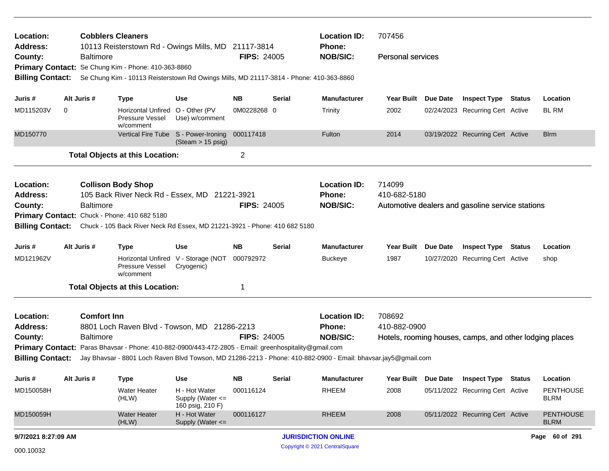| Location:<br><b>Address:</b> |   | <b>Cobblers Cleaners</b> | 10113 Reisterstown Rd - Owings Mills, MD 21117-3814                                                   |                                                       |                    |               | <b>Location ID:</b><br>Phone:                                                                                  | 707456                   |                                                         |                                 |
|------------------------------|---|--------------------------|-------------------------------------------------------------------------------------------------------|-------------------------------------------------------|--------------------|---------------|----------------------------------------------------------------------------------------------------------------|--------------------------|---------------------------------------------------------|---------------------------------|
| County:                      |   | Baltimore                |                                                                                                       |                                                       | <b>FIPS: 24005</b> |               | <b>NOB/SIC:</b>                                                                                                | <b>Personal services</b> |                                                         |                                 |
|                              |   |                          | Primary Contact: Se Chung Kim - Phone: 410-363-8860                                                   |                                                       |                    |               |                                                                                                                |                          |                                                         |                                 |
| <b>Billing Contact:</b>      |   |                          | Se Chung Kim - 10113 Reisterstown Rd Owings Mills, MD 21117-3814 - Phone: 410-363-8860                |                                                       |                    |               |                                                                                                                |                          |                                                         |                                 |
| Juris #                      |   | Alt Juris #              | <b>Type</b>                                                                                           | <b>Use</b>                                            | <b>NB</b>          | <b>Serial</b> | <b>Manufacturer</b>                                                                                            | Year Built Due Date      | <b>Inspect Type Status</b>                              | Location                        |
| MD115203V                    | 0 |                          | <b>Horizontal Unfired</b><br>Pressure Vessel<br>w/comment                                             | O - Other (PV<br>Use) w/comment                       | 0M0228268 0        |               | Trinity                                                                                                        | 2002                     | 02/24/2023 Recurring Cert Active                        | <b>BL RM</b>                    |
| MD150770                     |   |                          | Vertical Fire Tube S - Power-Ironing                                                                  | (Steam > 15 psig)                                     | 000117418          |               | Fulton                                                                                                         | 2014                     | 03/19/2022 Recurring Cert Active                        | <b>Blrm</b>                     |
|                              |   |                          | <b>Total Objects at this Location:</b>                                                                |                                                       | $\overline{c}$     |               |                                                                                                                |                          |                                                         |                                 |
| Location:                    |   |                          | <b>Collison Body Shop</b>                                                                             |                                                       |                    |               | <b>Location ID:</b>                                                                                            | 714099                   |                                                         |                                 |
| <b>Address:</b>              |   |                          | 105 Back River Neck Rd - Essex, MD 21221-3921                                                         |                                                       |                    |               | Phone:                                                                                                         | 410-682-5180             |                                                         |                                 |
| County:                      |   | <b>Baltimore</b>         |                                                                                                       |                                                       | <b>FIPS: 24005</b> |               | <b>NOB/SIC:</b>                                                                                                |                          | Automotive dealers and gasoline service stations        |                                 |
|                              |   |                          | Primary Contact: Chuck - Phone: 410 682 5180                                                          |                                                       |                    |               |                                                                                                                |                          |                                                         |                                 |
| <b>Billing Contact:</b>      |   |                          | Chuck - 105 Back River Neck Rd Essex, MD 21221-3921 - Phone: 410 682 5180                             |                                                       |                    |               |                                                                                                                |                          |                                                         |                                 |
| Juris#                       |   | Alt Juris #              | <b>Type</b>                                                                                           | Use                                                   | <b>NB</b>          | <b>Serial</b> | <b>Manufacturer</b>                                                                                            | Year Built Due Date      | <b>Inspect Type Status</b>                              | Location                        |
| MD121962V                    |   |                          | Pressure Vessel<br>w/comment                                                                          | Horizontal Unfired V - Storage (NOT<br>Cryogenic)     | 000792972          |               | <b>Buckeye</b>                                                                                                 | 1987                     | 10/27/2020 Recurring Cert Active                        | shop                            |
|                              |   |                          | <b>Total Objects at this Location:</b>                                                                |                                                       | 1                  |               |                                                                                                                |                          |                                                         |                                 |
| Location:                    |   | <b>Comfort Inn</b>       |                                                                                                       |                                                       |                    |               | <b>Location ID:</b>                                                                                            | 708692                   |                                                         |                                 |
| Address:                     |   |                          | 8801 Loch Raven Blvd - Towson, MD 21286-2213                                                          |                                                       |                    |               | <b>Phone:</b>                                                                                                  | 410-882-0900             |                                                         |                                 |
| County:                      |   | <b>Baltimore</b>         |                                                                                                       |                                                       | <b>FIPS: 24005</b> |               | <b>NOB/SIC:</b>                                                                                                |                          | Hotels, rooming houses, camps, and other lodging places |                                 |
|                              |   |                          | Primary Contact: Paras Bhavsar - Phone: 410-882-0900/443-472-2805 - Email: greenhospitality@gmail.com |                                                       |                    |               |                                                                                                                |                          |                                                         |                                 |
| <b>Billing Contact:</b>      |   |                          |                                                                                                       |                                                       |                    |               | Jay Bhavsar - 8801 Loch Raven Blvd Towson, MD 21286-2213 - Phone: 410-882-0900 - Email: bhavsar.jay5@gmail.com |                          |                                                         |                                 |
| Juris #                      |   | Alt Juris #              | <b>Type</b>                                                                                           | <b>Use</b>                                            | <b>NB</b>          | <b>Serial</b> | <b>Manufacturer</b>                                                                                            | Year Built Due Date      | <b>Inspect Type Status</b>                              | Location                        |
| MD150058H                    |   |                          | <b>Water Heater</b><br>(HLW)                                                                          | H - Hot Water<br>Supply (Water <=<br>160 psig, 210 F) | 000116124          |               | <b>RHEEM</b>                                                                                                   | 2008                     | 05/11/2022 Recurring Cert Active                        | <b>PENTHOUSE</b><br><b>BLRM</b> |
| MD150059H                    |   |                          | <b>Water Heater</b><br>(HLW)                                                                          | H - Hot Water<br>Supply (Water <=                     | 000116127          |               | <b>RHEEM</b>                                                                                                   | 2008                     | 05/11/2022 Recurring Cert Active                        | <b>PENTHOUSE</b><br><b>BLRM</b> |
| 9/7/2021 8:27:09 AM          |   |                          |                                                                                                       |                                                       |                    |               | <b>JURISDICTION ONLINE</b>                                                                                     |                          |                                                         | Page 60 of 291                  |
| 000.10032                    |   |                          |                                                                                                       |                                                       |                    |               | Copyright © 2021 CentralSquare                                                                                 |                          |                                                         |                                 |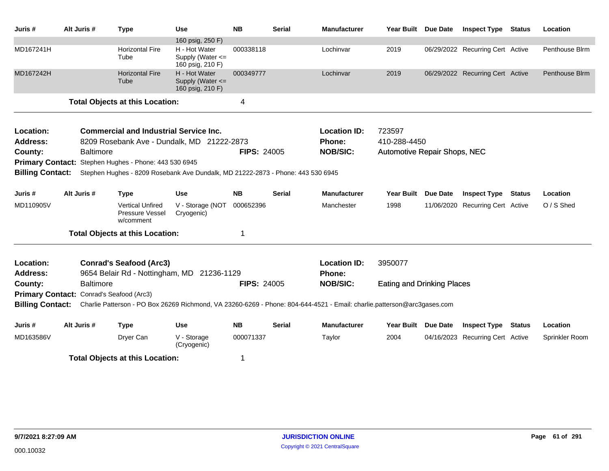| Juris #                 | Alt Juris #                              | <b>Type</b>                                                                                                             | <b>Use</b>                                                | <b>NB</b>          | <b>Serial</b> | <b>Manufacturer</b> | Year Built Due Date               |          | <b>Inspect Type</b>              | <b>Status</b> | Location       |
|-------------------------|------------------------------------------|-------------------------------------------------------------------------------------------------------------------------|-----------------------------------------------------------|--------------------|---------------|---------------------|-----------------------------------|----------|----------------------------------|---------------|----------------|
|                         |                                          |                                                                                                                         | 160 psig, 250 F)                                          |                    |               |                     |                                   |          |                                  |               |                |
| MD167241H               |                                          | <b>Horizontal Fire</b><br>Tube                                                                                          | H - Hot Water<br>Supply (Water $\leq$<br>160 psig, 210 F) | 000338118          |               | Lochinvar           | 2019                              |          | 06/29/2022 Recurring Cert Active |               | Penthouse Blrm |
| MD167242H               |                                          | <b>Horizontal Fire</b><br>Tube                                                                                          | H - Hot Water<br>Supply (Water <=<br>160 psig, 210 F)     | 000349777          |               | Lochinvar           | 2019                              |          | 06/29/2022 Recurring Cert Active |               | Penthouse Blrm |
|                         |                                          | <b>Total Objects at this Location:</b>                                                                                  |                                                           | 4                  |               |                     |                                   |          |                                  |               |                |
| Location:               |                                          | <b>Commercial and Industrial Service Inc.</b>                                                                           |                                                           |                    |               | <b>Location ID:</b> | 723597                            |          |                                  |               |                |
| <b>Address:</b>         |                                          | 8209 Rosebank Ave - Dundalk, MD 21222-2873                                                                              |                                                           |                    |               | Phone:              | 410-288-4450                      |          |                                  |               |                |
| County:                 | <b>Baltimore</b>                         |                                                                                                                         |                                                           | <b>FIPS: 24005</b> |               | <b>NOB/SIC:</b>     | Automotive Repair Shops, NEC      |          |                                  |               |                |
|                         |                                          | Primary Contact: Stephen Hughes - Phone: 443 530 6945                                                                   |                                                           |                    |               |                     |                                   |          |                                  |               |                |
| <b>Billing Contact:</b> |                                          | Stephen Hughes - 8209 Rosebank Ave Dundalk, MD 21222-2873 - Phone: 443 530 6945                                         |                                                           |                    |               |                     |                                   |          |                                  |               |                |
| Juris #                 | Alt Juris #                              | <b>Type</b>                                                                                                             | <b>Use</b>                                                | <b>NB</b>          | <b>Serial</b> | <b>Manufacturer</b> | <b>Year Built</b>                 | Due Date | <b>Inspect Type</b>              | <b>Status</b> | Location       |
| MD110905V               |                                          | <b>Vertical Unfired</b><br><b>Pressure Vessel</b><br>w/comment                                                          | V - Storage (NOT<br>Cryogenic)                            | 000652396          |               | Manchester          | 1998                              |          | 11/06/2020 Recurring Cert Active |               | O / S Shed     |
|                         |                                          | <b>Total Objects at this Location:</b>                                                                                  |                                                           | 1                  |               |                     |                                   |          |                                  |               |                |
| Location:               |                                          | <b>Conrad's Seafood (Arc3)</b>                                                                                          |                                                           |                    |               | <b>Location ID:</b> | 3950077                           |          |                                  |               |                |
| <b>Address:</b>         |                                          | 9654 Belair Rd - Nottingham, MD 21236-1129                                                                              |                                                           |                    |               | Phone:              |                                   |          |                                  |               |                |
| County:                 | <b>Baltimore</b>                         |                                                                                                                         |                                                           | <b>FIPS: 24005</b> |               | <b>NOB/SIC:</b>     | <b>Eating and Drinking Places</b> |          |                                  |               |                |
|                         | Primary Contact: Conrad's Seafood (Arc3) |                                                                                                                         |                                                           |                    |               |                     |                                   |          |                                  |               |                |
| <b>Billing Contact:</b> |                                          | Charlie Patterson - PO Box 26269 Richmond, VA 23260-6269 - Phone: 804-644-4521 - Email: charlie.patterson@arc3gases.com |                                                           |                    |               |                     |                                   |          |                                  |               |                |
| Juris #                 | Alt Juris #                              | <b>Type</b>                                                                                                             | <b>Use</b>                                                | <b>NB</b>          | <b>Serial</b> | <b>Manufacturer</b> | <b>Year Built</b>                 | Due Date | <b>Inspect Type</b>              | Status        | Location       |
| MD163586V               |                                          | Dryer Can                                                                                                               | V - Storage<br>(Cryogenic)                                | 000071337          |               | Taylor              | 2004                              |          | 04/16/2023 Recurring Cert Active |               | Sprinkler Room |
|                         |                                          | <b>Total Objects at this Location:</b>                                                                                  |                                                           | 1                  |               |                     |                                   |          |                                  |               |                |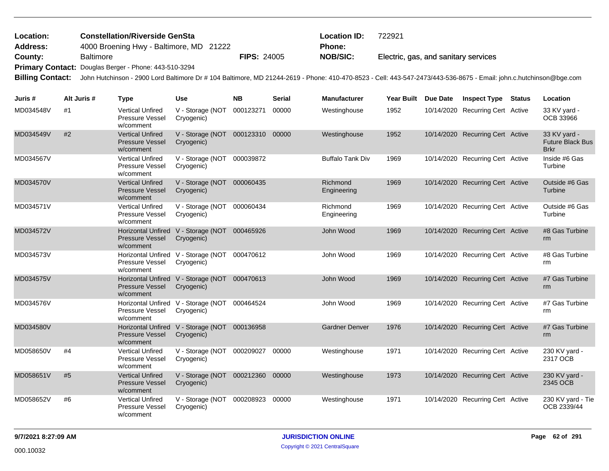| <b>Location:</b><br><b>Address:</b> |                  | <b>Constellation/Riverside GenSta</b><br>4000 Broening Hwy - Baltimore, MD 21222                                                                                   |                                                             |                    |               | <b>Location ID:</b><br>Phone: | 722921                               |                 |                                  |                                                        |
|-------------------------------------|------------------|--------------------------------------------------------------------------------------------------------------------------------------------------------------------|-------------------------------------------------------------|--------------------|---------------|-------------------------------|--------------------------------------|-----------------|----------------------------------|--------------------------------------------------------|
| County:                             | <b>Baltimore</b> |                                                                                                                                                                    |                                                             | <b>FIPS: 24005</b> |               | <b>NOB/SIC:</b>               | Electric, gas, and sanitary services |                 |                                  |                                                        |
| <b>Primary Contact:</b>             |                  | Douglas Berger - Phone: 443-510-3294                                                                                                                               |                                                             |                    |               |                               |                                      |                 |                                  |                                                        |
| <b>Billing Contact:</b>             |                  | John Hutchinson - 2900 Lord Baltimore Dr # 104 Baltimore, MD 21244-2619 - Phone: 410-470-8523 - Cell: 443-547-2473/443-536-8675 - Email: john.c.hutchinson@bge.com |                                                             |                    |               |                               |                                      |                 |                                  |                                                        |
| Juris #                             | Alt Juris #      | <b>Type</b>                                                                                                                                                        | <b>Use</b>                                                  | <b>NB</b>          | <b>Serial</b> | <b>Manufacturer</b>           | <b>Year Built</b>                    | <b>Due Date</b> | <b>Inspect Type Status</b>       | Location                                               |
| MD034548V<br>#1                     |                  | <b>Vertical Unfired</b><br><b>Pressure Vessel</b><br>w/comment                                                                                                     | V - Storage (NOT<br>Cryogenic)                              | 000123271          | 00000         | Westinghouse                  | 1952                                 |                 | 10/14/2020 Recurring Cert Active | 33 KV yard -<br>OCB 33966                              |
| MD034549V<br>#2                     |                  | <b>Vertical Unfired</b><br><b>Pressure Vessel</b><br>w/comment                                                                                                     | V - Storage (NOT 000123310 00000<br>Cryogenic)              |                    |               | Westinghouse                  | 1952                                 |                 | 10/14/2020 Recurring Cert Active | 33 KV yard -<br><b>Future Black Bus</b><br><b>Brkr</b> |
| MD034567V                           |                  | <b>Vertical Unfired</b><br><b>Pressure Vessel</b><br>w/comment                                                                                                     | V - Storage (NOT 000039872<br>Cryogenic)                    |                    |               | <b>Buffalo Tank Div</b>       | 1969                                 |                 | 10/14/2020 Recurring Cert Active | Inside #6 Gas<br>Turbine                               |
| MD034570V                           |                  | <b>Vertical Unfired</b><br><b>Pressure Vessel</b><br>w/comment                                                                                                     | V - Storage (NOT 000060435<br>Cryogenic)                    |                    |               | Richmond<br>Engineering       | 1969                                 |                 | 10/14/2020 Recurring Cert Active | Outside #6 Gas<br>Turbine                              |
| MD034571V                           |                  | <b>Vertical Unfired</b><br><b>Pressure Vessel</b><br>w/comment                                                                                                     | V - Storage (NOT 000060434<br>Cryogenic)                    |                    |               | Richmond<br>Engineering       | 1969                                 |                 | 10/14/2020 Recurring Cert Active | Outside #6 Gas<br>Turbine                              |
| MD034572V                           |                  | <b>Pressure Vessel</b><br>w/comment                                                                                                                                | Horizontal Unfired V - Storage (NOT 000465926<br>Cryogenic) |                    |               | John Wood                     | 1969                                 |                 | 10/14/2020 Recurring Cert Active | #8 Gas Turbine<br>rm                                   |
| MD034573V                           |                  | Pressure Vessel<br>w/comment                                                                                                                                       | Horizontal Unfired V - Storage (NOT 000470612<br>Cryogenic) |                    |               | John Wood                     | 1969                                 |                 | 10/14/2020 Recurring Cert Active | #8 Gas Turbine<br>rm                                   |
| MD034575V                           |                  | <b>Pressure Vessel</b><br>w/comment                                                                                                                                | Horizontal Unfired V - Storage (NOT 000470613<br>Cryogenic) |                    |               | John Wood                     | 1969                                 |                 | 10/14/2020 Recurring Cert Active | #7 Gas Turbine<br>rm                                   |
| MD034576V                           |                  | Pressure Vessel<br>w/comment                                                                                                                                       | Horizontal Unfired V - Storage (NOT 000464524<br>Cryogenic) |                    |               | John Wood                     | 1969                                 |                 | 10/14/2020 Recurring Cert Active | #7 Gas Turbine<br>rm                                   |
| MD034580V                           |                  | <b>Horizontal Unfired</b><br><b>Pressure Vessel</b><br>w/comment                                                                                                   | V - Storage (NOT<br>Cryogenic)                              | 000136958          |               | <b>Gardner Denver</b>         | 1976                                 |                 | 10/14/2020 Recurring Cert Active | #7 Gas Turbine<br>rm                                   |
| MD058650V<br>#4                     |                  | <b>Vertical Unfired</b><br>Pressure Vessel<br>w/comment                                                                                                            | V - Storage (NOT 000209027 00000<br>Cryogenic)              |                    |               | Westinghouse                  | 1971                                 |                 | 10/14/2020 Recurring Cert Active | 230 KV yard -<br>2317 OCB                              |
| MD058651V<br>#5                     |                  | <b>Vertical Unfired</b><br><b>Pressure Vessel</b><br>w/comment                                                                                                     | V - Storage (NOT 000212360<br>Cryogenic)                    |                    | 00000         | Westinghouse                  | 1973                                 |                 | 10/14/2020 Recurring Cert Active | 230 KV yard -<br>2345 OCB                              |
| MD058652V<br>#6                     |                  | <b>Vertical Unfired</b><br>Pressure Vessel<br>w/comment                                                                                                            | V - Storage (NOT 000208923<br>Cryogenic)                    |                    | 00000         | Westinghouse                  | 1971                                 |                 | 10/14/2020 Recurring Cert Active | 230 KV yard - Tie<br>OCB 2339/44                       |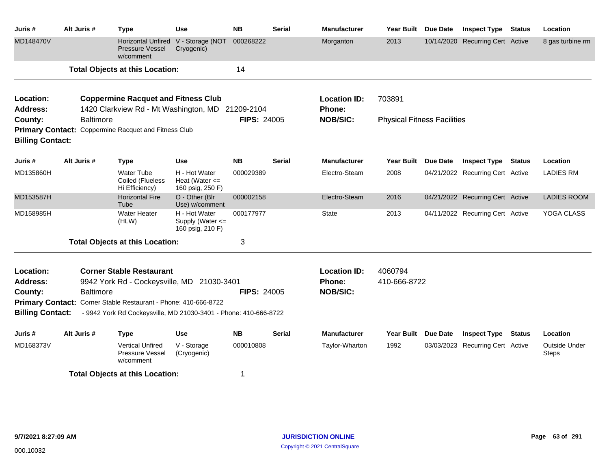| Juris #                            | Alt Juris #      | <b>Type</b>                                                                                    | <b>Use</b>                                              | <b>NB</b>          | <b>Serial</b> | Manufacturer                  | Year Built                         | <b>Due Date</b> | <b>Inspect Type</b>              | <b>Status</b> | Location                      |
|------------------------------------|------------------|------------------------------------------------------------------------------------------------|---------------------------------------------------------|--------------------|---------------|-------------------------------|------------------------------------|-----------------|----------------------------------|---------------|-------------------------------|
| MD148470V                          |                  | <b>Horizontal Unfired</b><br><b>Pressure Vessel</b><br>w/comment                               | V - Storage (NOT<br>Cryogenic)                          | 000268222          |               | Morganton                     | 2013                               |                 | 10/14/2020 Recurring Cert Active |               | 8 gas turbine rm              |
|                                    |                  | <b>Total Objects at this Location:</b>                                                         |                                                         | 14                 |               |                               |                                    |                 |                                  |               |                               |
| Location:<br><b>Address:</b>       |                  | <b>Coppermine Racquet and Fitness Club</b><br>1420 Clarkview Rd - Mt Washington, MD 21209-2104 |                                                         |                    |               | <b>Location ID:</b><br>Phone: | 703891                             |                 |                                  |               |                               |
| County:<br><b>Billing Contact:</b> | <b>Baltimore</b> | Primary Contact: Coppermine Racquet and Fitness Club                                           |                                                         | <b>FIPS: 24005</b> |               | <b>NOB/SIC:</b>               | <b>Physical Fitness Facilities</b> |                 |                                  |               |                               |
| Juris #                            | Alt Juris #      | <b>Type</b>                                                                                    | <b>Use</b>                                              | <b>NB</b>          | <b>Serial</b> | <b>Manufacturer</b>           | Year Built                         | <b>Due Date</b> | <b>Inspect Type</b>              | <b>Status</b> | Location                      |
| MD135860H                          |                  | <b>Water Tube</b><br>Coiled (Flueless<br>Hi Efficiency)                                        | H - Hot Water<br>Heat (Water $\leq$<br>160 psig, 250 F) | 000029389          |               | Electro-Steam                 | 2008                               |                 | 04/21/2022 Recurring Cert Active |               | <b>LADIES RM</b>              |
| MD153587H                          |                  | <b>Horizontal Fire</b><br>Tube                                                                 | O - Other (Blr<br>Use) w/comment                        | 000002158          |               | Electro-Steam                 | 2016                               |                 | 04/21/2022 Recurring Cert Active |               | <b>LADIES ROOM</b>            |
| MD158985H                          |                  | Water Heater<br>(HLW)                                                                          | H - Hot Water<br>Supply (Water <=<br>160 psig, 210 F)   | 000177977          |               | State                         | 2013                               |                 | 04/11/2022 Recurring Cert Active |               | YOGA CLASS                    |
|                                    |                  | <b>Total Objects at this Location:</b>                                                         |                                                         | 3                  |               |                               |                                    |                 |                                  |               |                               |
| Location:                          |                  | <b>Corner Stable Restaurant</b>                                                                |                                                         |                    |               | <b>Location ID:</b>           | 4060794                            |                 |                                  |               |                               |
| <b>Address:</b>                    |                  | 9942 York Rd - Cockeysville, MD                                                                | 21030-3401                                              |                    |               | Phone:                        | 410-666-8722                       |                 |                                  |               |                               |
| County:                            | <b>Baltimore</b> | Primary Contact: Corner Stable Restaurant - Phone: 410-666-8722                                |                                                         | <b>FIPS: 24005</b> |               | <b>NOB/SIC:</b>               |                                    |                 |                                  |               |                               |
| <b>Billing Contact:</b>            |                  | - 9942 York Rd Cockeysville, MD 21030-3401 - Phone: 410-666-8722                               |                                                         |                    |               |                               |                                    |                 |                                  |               |                               |
| Juris #                            | Alt Juris #      | Type                                                                                           | Use                                                     | <b>NB</b>          | Serial        | <b>Manufacturer</b>           | Year Built Due Date                |                 | <b>Inspect Type Status</b>       |               | Location                      |
| MD168373V                          |                  | <b>Vertical Unfired</b><br>Pressure Vessel<br>w/comment                                        | V - Storage<br>(Cryogenic)                              | 000010808          |               | Taylor-Wharton                | 1992                               |                 | 03/03/2023 Recurring Cert Active |               | Outside Under<br><b>Steps</b> |
|                                    |                  | <b>Total Objects at this Location:</b>                                                         |                                                         | 1                  |               |                               |                                    |                 |                                  |               |                               |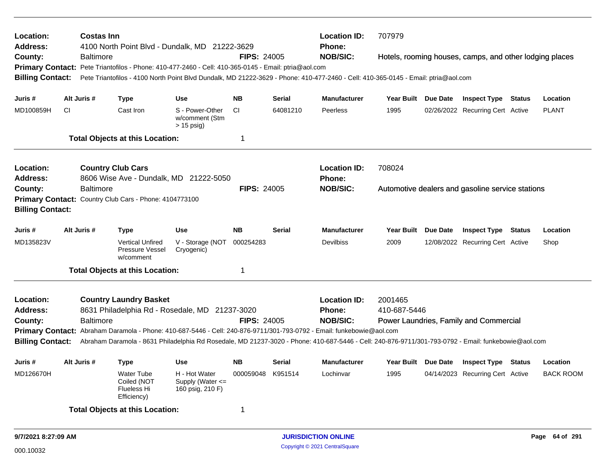| <b>Location:</b><br><b>Address:</b> | <b>Costas Inn</b>                                                                 |                  | 4100 North Point Blvd - Dundalk, MD 21222-3629                        | <b>Location ID:</b><br>Phone:                                                                        | 707979             |               |                                                                                                                                                                                                                                                                              |                     |                 |                                                         |        |                  |
|-------------------------------------|-----------------------------------------------------------------------------------|------------------|-----------------------------------------------------------------------|------------------------------------------------------------------------------------------------------|--------------------|---------------|------------------------------------------------------------------------------------------------------------------------------------------------------------------------------------------------------------------------------------------------------------------------------|---------------------|-----------------|---------------------------------------------------------|--------|------------------|
| County:                             |                                                                                   | <b>Baltimore</b> |                                                                       |                                                                                                      | <b>FIPS: 24005</b> |               | <b>NOB/SIC:</b>                                                                                                                                                                                                                                                              |                     |                 | Hotels, rooming houses, camps, and other lodging places |        |                  |
|                                     |                                                                                   |                  |                                                                       | Primary Contact: Pete Triantofilos - Phone: 410-477-2460 - Cell: 410-365-0145 - Email: ptria@aol.com |                    |               |                                                                                                                                                                                                                                                                              |                     |                 |                                                         |        |                  |
| <b>Billing Contact:</b>             |                                                                                   |                  |                                                                       |                                                                                                      |                    |               | Pete Triantofilos - 4100 North Point Blvd Dundalk, MD 21222-3629 - Phone: 410-477-2460 - Cell: 410-365-0145 - Email: ptria@aol.com                                                                                                                                           |                     |                 |                                                         |        |                  |
| Juris #                             |                                                                                   | Alt Juris #      | <b>Type</b>                                                           | <b>Use</b>                                                                                           | <b>NB</b>          | <b>Serial</b> | <b>Manufacturer</b>                                                                                                                                                                                                                                                          | Year Built Due Date |                 | <b>Inspect Type</b>                                     | Status | Location         |
| MD100859H                           | <b>CI</b>                                                                         |                  | Cast Iron                                                             | S - Power-Other<br>w/comment (Stm<br>$> 15$ psig)                                                    | <b>CI</b>          | 64081210      | Peerless                                                                                                                                                                                                                                                                     | 1995                |                 | 02/26/2022 Recurring Cert Active                        |        | <b>PLANT</b>     |
|                                     |                                                                                   |                  | <b>Total Objects at this Location:</b>                                |                                                                                                      | 1                  |               |                                                                                                                                                                                                                                                                              |                     |                 |                                                         |        |                  |
| Location:<br><b>Address:</b>        |                                                                                   |                  | <b>Country Club Cars</b>                                              | 8606 Wise Ave - Dundalk, MD 21222-5050                                                               |                    |               | <b>Location ID:</b><br>Phone:                                                                                                                                                                                                                                                | 708024              |                 |                                                         |        |                  |
| County:                             |                                                                                   | <b>Baltimore</b> |                                                                       |                                                                                                      | <b>FIPS: 24005</b> |               | <b>NOB/SIC:</b>                                                                                                                                                                                                                                                              |                     |                 | Automotive dealers and gasoline service stations        |        |                  |
|                                     | Primary Contact: Country Club Cars - Phone: 4104773100<br><b>Billing Contact:</b> |                  |                                                                       |                                                                                                      |                    |               |                                                                                                                                                                                                                                                                              |                     |                 |                                                         |        |                  |
| Juris #                             |                                                                                   | Alt Juris #      | Type                                                                  | <b>Use</b>                                                                                           | <b>NB</b>          | <b>Serial</b> | <b>Manufacturer</b>                                                                                                                                                                                                                                                          | <b>Year Built</b>   | Due Date        | <b>Inspect Type Status</b>                              |        | Location         |
| MD135823V                           |                                                                                   |                  | <b>Vertical Unfired</b><br>Pressure Vessel<br>w/comment               | V - Storage (NOT<br>Cryogenic)                                                                       | 000254283          |               | <b>Devilbiss</b>                                                                                                                                                                                                                                                             | 2009                |                 | 12/08/2022 Recurring Cert Active                        |        | Shop             |
|                                     |                                                                                   |                  | <b>Total Objects at this Location:</b>                                |                                                                                                      | 1                  |               |                                                                                                                                                                                                                                                                              |                     |                 |                                                         |        |                  |
| Location:                           |                                                                                   |                  | <b>Country Laundry Basket</b>                                         |                                                                                                      |                    |               | <b>Location ID:</b>                                                                                                                                                                                                                                                          | 2001465             |                 |                                                         |        |                  |
| <b>Address:</b>                     |                                                                                   |                  |                                                                       | 8631 Philadelphia Rd - Rosedale, MD 21237-3020                                                       |                    |               | Phone:                                                                                                                                                                                                                                                                       | 410-687-5446        |                 |                                                         |        |                  |
| County:                             |                                                                                   | <b>Baltimore</b> |                                                                       |                                                                                                      | <b>FIPS: 24005</b> |               | <b>NOB/SIC:</b>                                                                                                                                                                                                                                                              |                     |                 | Power Laundries, Family and Commercial                  |        |                  |
| <b>Billing Contact:</b>             |                                                                                   |                  |                                                                       |                                                                                                      |                    |               | Primary Contact: Abraham Daramola - Phone: 410-687-5446 - Cell: 240-876-9711/301-793-0792 - Email: funkebowie@aol.com<br>Abraham Daramola - 8631 Philadelphia Rd Rosedale, MD 21237-3020 - Phone: 410-687-5446 - Cell: 240-876-9711/301-793-0792 - Email: funkebowie@aol.com |                     |                 |                                                         |        |                  |
| Juris #                             |                                                                                   | Alt Juris #      | <b>Type</b>                                                           | <b>Use</b>                                                                                           | <b>NB</b>          | Serial        | <b>Manufacturer</b>                                                                                                                                                                                                                                                          | <b>Year Built</b>   | <b>Due Date</b> | <b>Inspect Type Status</b>                              |        | Location         |
| MD126670H                           |                                                                                   |                  | <b>Water Tube</b><br>Coiled (NOT<br><b>Flueless Hi</b><br>Efficiency) | H - Hot Water<br>Supply (Water $\leq$<br>160 psig, 210 F)                                            | 000059048          | K951514       | Lochinvar                                                                                                                                                                                                                                                                    | 1995                |                 | 04/14/2023 Recurring Cert Active                        |        | <b>BACK ROOM</b> |
|                                     |                                                                                   |                  | <b>Total Objects at this Location:</b>                                |                                                                                                      | 1                  |               |                                                                                                                                                                                                                                                                              |                     |                 |                                                         |        |                  |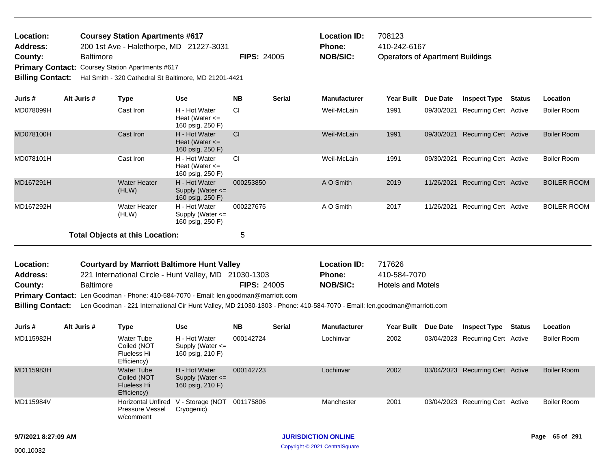| <b>Location:</b> | <b>Coursey Station Apartments #617</b>                                 |                    | <b>Location ID:</b> | 708123  |
|------------------|------------------------------------------------------------------------|--------------------|---------------------|---------|
| <b>Address:</b>  | 200 1st Ave - Halethorpe, MD 21227-3031                                |                    | <b>Phone:</b>       | 410-24  |
| County:          | <b>Baltimore</b>                                                       | <b>FIPS: 24005</b> | NOB/SIC:            | Operato |
|                  | <b>Primary Contact:</b> Coursey Station Apartments #617                |                    |                     |         |
|                  | Billing Contact: Hal Smith - 320 Cathedral St Baltimore, MD 21201-4421 |                    |                     |         |

| <b>Location ID:</b> | 708123                                  |
|---------------------|-----------------------------------------|
| <b>Phone:</b>       | 410-242-6167                            |
| <b>NOB/SIC:</b>     | <b>Operators of Apartment Buildings</b> |

**Juris # Alt Juris # Type Use NB Serial Manufacturer Year Built Due Date Inspect Type Status Location** MD078099H Cast Iron H - Hot Water Weil-McLain 1991 09/30/2021 Heat (Water <= 160 psig, 250 F) CI CI Recurring Cert Active Boiler Room Neil-McLain 1991 09/30/2021 Recurring Cert Active Boiler Room MD078100H Cast Iron H - Hot Water Weil-McLain 1991 09/30/2021 Heat (Water <= 160 psig, 250 F) CI Recurring Cert Active Boiler Room Neil-McLain 1991 09/30/2021 Recurring Cert Active Boiler Room MD078101H Cast Iron H - Hot Water Weil-McLain 1991 09/30/2021 Heat (Water <= 160 psig, 250 F) CI CI Recurring Cert Active Boiler Room Neil-McLain 1991 09/30/2021 Recurring Cert Active Boiler Room MD167291H Water Heater A O Smith 2019 11/26/2021 (HLW) H - Hot Water Supply (Water <= 160 psig, 250 F) 000253850 A O Smith 2019 11/26/2021 Recurring Cert Active BOILER ROOM MD167292H Water Heater A O Smith 2017 11/26/2021 (HLW) H - Hot Water Supply (Water <= 160 psig, 250 F) 000227675 A O Smith 2017 11/26/2021 Recurring Cert Active BOILER ROOM **Total Objects at this Location:** 5

|                  |                    |                                                                                                             | 717626                                           |
|------------------|--------------------|-------------------------------------------------------------------------------------------------------------|--------------------------------------------------|
|                  |                    |                                                                                                             | 410-584-7070                                     |
| <b>Baltimore</b> | <b>FIPS: 24005</b> |                                                                                                             | <b>Hotels and Motels</b>                         |
|                  |                    | <b>Courtyard by Marriott Baltimore Hunt Valley</b><br>221 International Circle - Hunt Valley, MD 21030-1303 | <b>Location ID:</b><br><b>Phone:</b><br>NOB/SIC: |

Primary Contact: Len Goodman - Phone: 410-584-7070 - Email: len.goodman@marriott.com

**Billing Contact:** Len Goodman - 221 International Cir Hunt Valley, MD 21030-1303 - Phone: 410-584-7070 - Email: len.goodman@marriott.com

| Juris #   | Alt Juris # | Type                                                                  | Use                                                       | <b>NB</b> | <b>Serial</b> | <b>Manufacturer</b> | <b>Year Built</b> | <b>Due Date</b> | <b>Inspect Type</b>              | <b>Status</b> | Location    |
|-----------|-------------|-----------------------------------------------------------------------|-----------------------------------------------------------|-----------|---------------|---------------------|-------------------|-----------------|----------------------------------|---------------|-------------|
| MD115982H |             | Water Tube<br>Coiled (NOT<br>Flueless Hi<br>Efficiency)               | H - Hot Water<br>Supply (Water $\leq$<br>160 psig, 210 F) | 000142724 |               | Lochinvar           | 2002              |                 | 03/04/2023 Recurring Cert Active |               | Boiler Room |
| MD115983H |             | <b>Water Tube</b><br>Coiled (NOT<br><b>Flueless Hi</b><br>Efficiency) | H - Hot Water<br>Supply (Water $\leq$<br>160 psig, 210 F) | 000142723 |               | Lochinvar           | 2002              |                 | 03/04/2023 Recurring Cert Active |               | Boiler Room |
| MD115984V |             | Pressure Vessel<br>w/comment                                          | Horizontal Unfired V - Storage (NOT<br>Cryogenic)         | 001175806 |               | Manchester          | 2001              |                 | 03/04/2023 Recurring Cert Active |               | Boiler Room |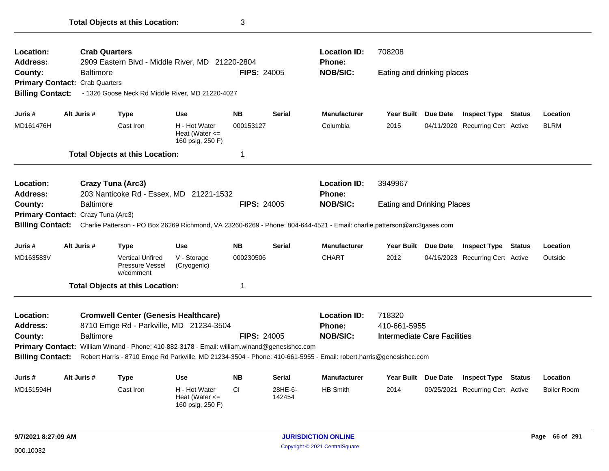Heat (Water <= 160 psig, 250 F)

| Location:<br><b>Address:</b>       | <b>Crab Quarters</b>                                   | 2909 Eastern Blvd - Middle River, MD 21220-2804                                              |                                                         |                    |               | <b>Location ID:</b><br>Phone:                                                                                           | 708208                              |                 |                                  |               |             |  |  |
|------------------------------------|--------------------------------------------------------|----------------------------------------------------------------------------------------------|---------------------------------------------------------|--------------------|---------------|-------------------------------------------------------------------------------------------------------------------------|-------------------------------------|-----------------|----------------------------------|---------------|-------------|--|--|
| County:<br><b>Billing Contact:</b> | <b>Baltimore</b><br>Primary Contact: Crab Quarters     | - 1326 Goose Neck Rd Middle River, MD 21220-4027                                             |                                                         | <b>FIPS: 24005</b> |               | <b>NOB/SIC:</b>                                                                                                         | Eating and drinking places          |                 |                                  |               |             |  |  |
| Juris #                            | Alt Juris #                                            | <b>Type</b>                                                                                  | <b>Use</b>                                              | <b>NB</b>          | <b>Serial</b> | <b>Manufacturer</b>                                                                                                     | Year Built                          | <b>Due Date</b> | <b>Inspect Type Status</b>       |               | Location    |  |  |
| MD161476H                          |                                                        | Cast Iron                                                                                    | H - Hot Water<br>Heat (Water $\leq$<br>160 psig, 250 F) | 000153127          |               | Columbia                                                                                                                | 2015                                |                 | 04/11/2020 Recurring Cert Active |               | <b>BLRM</b> |  |  |
|                                    |                                                        | <b>Total Objects at this Location:</b>                                                       |                                                         | 1                  |               |                                                                                                                         |                                     |                 |                                  |               |             |  |  |
| Location:<br><b>Address:</b>       |                                                        | <b>Crazy Tuna (Arc3)</b><br>203 Nanticoke Rd - Essex, MD 21221-1532                          |                                                         |                    |               | <b>Location ID:</b><br>Phone:                                                                                           | 3949967                             |                 |                                  |               |             |  |  |
| County:                            | <b>Baltimore</b><br>Primary Contact: Crazy Tuna (Arc3) |                                                                                              |                                                         | <b>FIPS: 24005</b> |               | <b>NOB/SIC:</b>                                                                                                         | <b>Eating and Drinking Places</b>   |                 |                                  |               |             |  |  |
| <b>Billing Contact:</b>            |                                                        |                                                                                              |                                                         |                    |               | Charlie Patterson - PO Box 26269 Richmond, VA 23260-6269 - Phone: 804-644-4521 - Email: charlie.patterson@arc3gases.com |                                     |                 |                                  |               |             |  |  |
| Juris #                            | Alt Juris #                                            | <b>Type</b>                                                                                  | <b>Use</b>                                              | <b>NB</b>          | <b>Serial</b> | <b>Manufacturer</b>                                                                                                     | Year Built Due Date                 |                 | <b>Inspect Type Status</b>       |               | Location    |  |  |
| MD163583V                          |                                                        | <b>Vertical Unfired</b><br>Pressure Vessel<br>w/comment                                      | V - Storage<br>(Cryogenic)                              | 000230506          |               | <b>CHART</b>                                                                                                            | 2012                                |                 | 04/16/2023 Recurring Cert Active |               | Outside     |  |  |
|                                    |                                                        | <b>Total Objects at this Location:</b>                                                       |                                                         | 1                  |               |                                                                                                                         |                                     |                 |                                  |               |             |  |  |
| Location:<br><b>Address:</b>       |                                                        | <b>Cromwell Center (Genesis Healthcare)</b><br>8710 Emge Rd - Parkville, MD 21234-3504       |                                                         |                    |               | <b>Location ID:</b><br>Phone:                                                                                           | 718320<br>410-661-5955              |                 |                                  |               |             |  |  |
| County:                            | <b>Baltimore</b>                                       |                                                                                              |                                                         | <b>FIPS: 24005</b> |               | <b>NOB/SIC:</b>                                                                                                         | <b>Intermediate Care Facilities</b> |                 |                                  |               |             |  |  |
|                                    |                                                        | Primary Contact: William Winand - Phone: 410-882-3178 - Email: william.winand@genesishcc.com |                                                         |                    |               |                                                                                                                         |                                     |                 |                                  |               |             |  |  |
| <b>Billing Contact:</b>            |                                                        |                                                                                              |                                                         |                    |               | Robert Harris - 8710 Emge Rd Parkville, MD 21234-3504 - Phone: 410-661-5955 - Email: robert.harris@genesishcc.com       |                                     |                 |                                  |               |             |  |  |
| Juris #                            | Alt Juris #                                            | Type                                                                                         | Use                                                     | <b>NB</b>          | <b>Serial</b> | <b>Manufacturer</b>                                                                                                     | <b>Year Built</b>                   | <b>Due Date</b> | <b>Inspect Type</b>              | <b>Status</b> | Location    |  |  |
| MD151594H                          |                                                        | Cast Iron                                                                                    | H - Hot Water                                           | CI.                | 28HE-6-       | <b>HB Smith</b>                                                                                                         | 2014                                | 09/25/2021      | <b>Recurring Cert Active</b>     |               | Boiler Room |  |  |

142454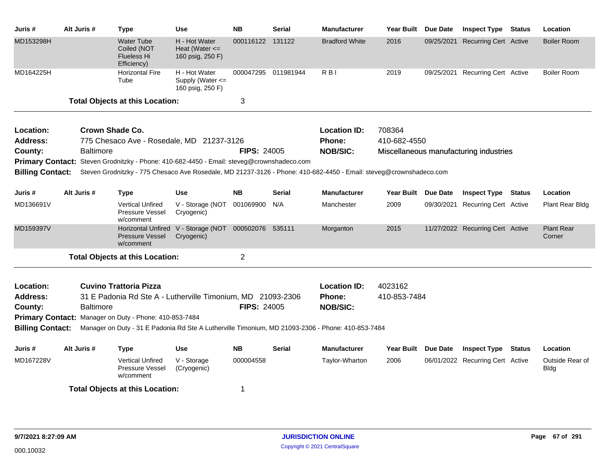| Juris #                 | Alt Juris #                                 |                        | Type                                                                     | <b>Use</b>                                                  | <b>NB</b>          | <b>Serial</b>       | <b>Manufacturer</b>                                                                                                | Year Built Due Date |            | <b>Inspect Type Status</b>             |  | Location                       |
|-------------------------|---------------------------------------------|------------------------|--------------------------------------------------------------------------|-------------------------------------------------------------|--------------------|---------------------|--------------------------------------------------------------------------------------------------------------------|---------------------|------------|----------------------------------------|--|--------------------------------|
| MD153298H               |                                             |                        | <b>Water Tube</b><br>Coiled (NOT<br>Flueless Hi<br>Efficiency)           | H - Hot Water<br>Heat (Water $\leq$<br>160 psig, 250 F)     | 000116122 131122   |                     | <b>Bradford White</b>                                                                                              | 2016                | 09/25/2021 | <b>Recurring Cert Active</b>           |  | <b>Boiler Room</b>             |
| MD164225H               |                                             |                        | <b>Horizontal Fire</b><br>Tube                                           | H - Hot Water<br>Supply (Water <=<br>160 psig, 250 F)       |                    | 000047295 011981944 | R <sub>B</sub>                                                                                                     | 2019                |            | 09/25/2021 Recurring Cert Active       |  | <b>Boiler Room</b>             |
|                         |                                             |                        | <b>Total Objects at this Location:</b>                                   |                                                             | 3                  |                     |                                                                                                                    |                     |            |                                        |  |                                |
| Location:               |                                             | <b>Crown Shade Co.</b> |                                                                          |                                                             |                    |                     | <b>Location ID:</b>                                                                                                | 708364              |            |                                        |  |                                |
| <b>Address:</b>         |                                             |                        | 775 Chesaco Ave - Rosedale, MD 21237-3126                                |                                                             |                    |                     | <b>Phone:</b>                                                                                                      | 410-682-4550        |            |                                        |  |                                |
| County:                 |                                             | <b>Baltimore</b>       |                                                                          |                                                             | <b>FIPS: 24005</b> |                     | <b>NOB/SIC:</b>                                                                                                    |                     |            | Miscellaneous manufacturing industries |  |                                |
| <b>Primary Contact:</b> |                                             |                        | Steven Grodnitzky - Phone: 410-682-4450 - Email: steveg@crownshadeco.com |                                                             |                    |                     |                                                                                                                    |                     |            |                                        |  |                                |
| <b>Billing Contact:</b> |                                             |                        |                                                                          |                                                             |                    |                     | Steven Grodnitzky - 775 Chesaco Ave Rosedale, MD 21237-3126 - Phone: 410-682-4450 - Email: steveg@crownshadeco.com |                     |            |                                        |  |                                |
| Juris #                 | Alt Juris #                                 |                        | <b>Type</b>                                                              | <b>Use</b>                                                  | <b>NB</b>          | <b>Serial</b>       | <b>Manufacturer</b>                                                                                                | Year Built Due Date |            | <b>Inspect Type Status</b>             |  | Location                       |
| MD136691V               |                                             |                        | <b>Vertical Unfired</b><br>Pressure Vessel<br>w/comment                  | V - Storage (NOT 001069900<br>Cryogenic)                    |                    | N/A                 | Manchester                                                                                                         | 2009                |            | 09/30/2021 Recurring Cert Active       |  | Plant Rear Bldg                |
| MD159397V               |                                             |                        | <b>Pressure Vessel</b><br>w/comment                                      | Horizontal Unfired V - Storage (NOT 000502076<br>Cryogenic) |                    | 535111              | Morganton                                                                                                          | 2015                |            | 11/27/2022 Recurring Cert Active       |  | <b>Plant Rear</b><br>Corner    |
|                         |                                             |                        | <b>Total Objects at this Location:</b>                                   |                                                             | $\overline{2}$     |                     |                                                                                                                    |                     |            |                                        |  |                                |
| Location:               |                                             |                        | <b>Cuvino Trattoria Pizza</b>                                            |                                                             |                    |                     | <b>Location ID:</b>                                                                                                | 4023162             |            |                                        |  |                                |
| <b>Address:</b>         |                                             |                        | 31 E Padonia Rd Ste A - Lutherville Timonium, MD 21093-2306              |                                                             |                    |                     | Phone:                                                                                                             | 410-853-7484        |            |                                        |  |                                |
| County:                 |                                             | <b>Baltimore</b>       |                                                                          |                                                             | <b>FIPS: 24005</b> |                     | <b>NOB/SIC:</b>                                                                                                    |                     |            |                                        |  |                                |
|                         |                                             |                        | Primary Contact: Manager on Duty - Phone: 410-853-7484                   |                                                             |                    |                     |                                                                                                                    |                     |            |                                        |  |                                |
| <b>Billing Contact:</b> |                                             |                        |                                                                          |                                                             |                    |                     | Manager on Duty - 31 E Padonia Rd Ste A Lutherville Timonium, MD 21093-2306 - Phone: 410-853-7484                  |                     |            |                                        |  |                                |
| Juris #                 | Alt Juris #                                 |                        | Type                                                                     | <b>Use</b>                                                  | <b>NB</b>          | <b>Serial</b>       | <b>Manufacturer</b>                                                                                                | Year Built Due Date |            | <b>Inspect Type Status</b>             |  | Location                       |
| MD167228V               |                                             |                        | <b>Vertical Unfired</b><br><b>Pressure Vessel</b><br>w/comment           | V - Storage<br>(Cryogenic)                                  | 000004558          |                     | Taylor-Wharton                                                                                                     | 2006                |            | 06/01/2022 Recurring Cert Active       |  | Outside Rear of<br><b>Bldg</b> |
|                         | <b>Total Objects at this Location:</b><br>1 |                        |                                                                          |                                                             |                    |                     |                                                                                                                    |                     |            |                                        |  |                                |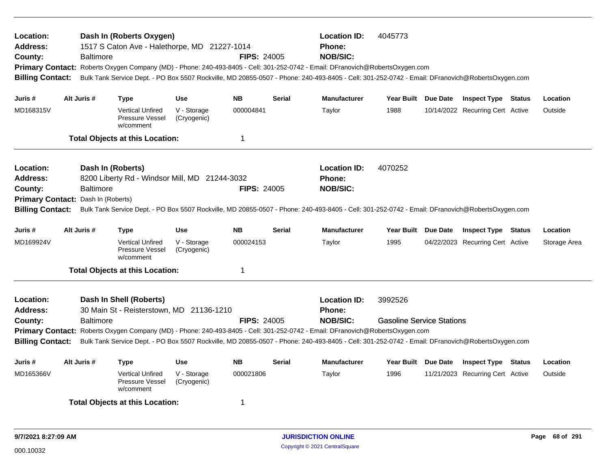| <b>Location:</b><br>Dash In (Roberts Oxygen)<br>1517 S Caton Ave - Halethorpe, MD 21227-1014<br>Address:<br><b>FIPS: 24005</b><br>County:<br>Baltimore<br>Primary Contact: Roberts Oxygen Company (MD) - Phone: 240-493-8405 - Cell: 301-252-0742 - Email: DFranovich@RobertsOxygen.com<br>Bulk Tank Service Dept. - PO Box 5507 Rockville, MD 20855-0507 - Phone: 240-493-8405 - Cell: 301-252-0742 - Email: DFranovich@RobertsOxygen.com<br><b>Billing Contact:</b> |                                                        |                                                                     |                            |                    |               | <b>Location ID:</b><br>Phone:<br><b>NOB/SIC:</b>                                                                                                                                                                                                                                                                                            | 4045773                                     |  |                                  |        |              |  |  |
|-----------------------------------------------------------------------------------------------------------------------------------------------------------------------------------------------------------------------------------------------------------------------------------------------------------------------------------------------------------------------------------------------------------------------------------------------------------------------|--------------------------------------------------------|---------------------------------------------------------------------|----------------------------|--------------------|---------------|---------------------------------------------------------------------------------------------------------------------------------------------------------------------------------------------------------------------------------------------------------------------------------------------------------------------------------------------|---------------------------------------------|--|----------------------------------|--------|--------------|--|--|
| Juris #                                                                                                                                                                                                                                                                                                                                                                                                                                                               | Alt Juris #                                            | <b>Type</b>                                                         | <b>Use</b>                 | <b>NB</b>          | <b>Serial</b> | <b>Manufacturer</b>                                                                                                                                                                                                                                                                                                                         | Year Built Due Date                         |  | <b>Inspect Type Status</b>       |        | Location     |  |  |
| MD168315V                                                                                                                                                                                                                                                                                                                                                                                                                                                             |                                                        | <b>Vertical Unfired</b><br>Pressure Vessel<br>w/comment             | V - Storage<br>(Cryogenic) | 000004841          |               | Taylor                                                                                                                                                                                                                                                                                                                                      | 1988                                        |  | 10/14/2022 Recurring Cert Active |        | Outside      |  |  |
|                                                                                                                                                                                                                                                                                                                                                                                                                                                                       |                                                        | <b>Total Objects at this Location:</b>                              |                            | -1                 |               |                                                                                                                                                                                                                                                                                                                                             |                                             |  |                                  |        |              |  |  |
| <b>Location:</b><br>Address:<br>County:<br><b>Billing Contact:</b>                                                                                                                                                                                                                                                                                                                                                                                                    | <b>Baltimore</b><br>Primary Contact: Dash In (Roberts) | Dash In (Roberts)<br>8200 Liberty Rd - Windsor Mill, MD 21244-3032  |                            | <b>FIPS: 24005</b> |               | <b>Location ID:</b><br>Phone:<br><b>NOB/SIC:</b><br>Bulk Tank Service Dept. - PO Box 5507 Rockville, MD 20855-0507 - Phone: 240-493-8405 - Cell: 301-252-0742 - Email: DFranovich@RobertsOxygen.com                                                                                                                                         | 4070252                                     |  |                                  |        |              |  |  |
| Juris #                                                                                                                                                                                                                                                                                                                                                                                                                                                               | Alt Juris #                                            | <b>Type</b>                                                         | <b>Use</b>                 | <b>NB</b>          | <b>Serial</b> | <b>Manufacturer</b>                                                                                                                                                                                                                                                                                                                         | Year Built Due Date                         |  | <b>Inspect Type Status</b>       |        | Location     |  |  |
| MD169924V                                                                                                                                                                                                                                                                                                                                                                                                                                                             |                                                        | <b>Vertical Unfired</b><br><b>Pressure Vessel</b><br>w/comment      | V - Storage<br>(Cryogenic) | 000024153          |               | Taylor                                                                                                                                                                                                                                                                                                                                      | 1995                                        |  | 04/22/2023 Recurring Cert Active |        | Storage Area |  |  |
|                                                                                                                                                                                                                                                                                                                                                                                                                                                                       |                                                        | <b>Total Objects at this Location:</b>                              |                            | -1                 |               |                                                                                                                                                                                                                                                                                                                                             |                                             |  |                                  |        |              |  |  |
| Location:<br><b>Address:</b><br>County:<br><b>Billing Contact:</b>                                                                                                                                                                                                                                                                                                                                                                                                    | Baltimore                                              | Dash In Shell (Roberts)<br>30 Main St - Reisterstown, MD 21136-1210 |                            | <b>FIPS: 24005</b> |               | <b>Location ID:</b><br><b>Phone:</b><br><b>NOB/SIC:</b><br>Primary Contact: Roberts Oxygen Company (MD) - Phone: 240-493-8405 - Cell: 301-252-0742 - Email: DFranovich@RobertsOxygen.com<br>Bulk Tank Service Dept. - PO Box 5507 Rockville, MD 20855-0507 - Phone: 240-493-8405 - Cell: 301-252-0742 - Email: DFranovich@RobertsOxygen.com | 3992526<br><b>Gasoline Service Stations</b> |  |                                  |        |              |  |  |
| Juris #                                                                                                                                                                                                                                                                                                                                                                                                                                                               | Alt Juris #                                            | <b>Type</b>                                                         | <b>Use</b>                 | <b>NB</b>          | <b>Serial</b> | <b>Manufacturer</b>                                                                                                                                                                                                                                                                                                                         | Year Built Due Date                         |  | <b>Inspect Type</b>              | Status | Location     |  |  |
| MD165366V                                                                                                                                                                                                                                                                                                                                                                                                                                                             |                                                        | <b>Vertical Unfired</b><br>Pressure Vessel<br>w/comment             | V - Storage<br>(Cryogenic) | 000021806          |               | Taylor                                                                                                                                                                                                                                                                                                                                      | 1996                                        |  | 11/21/2023 Recurring Cert Active |        | Outside      |  |  |
|                                                                                                                                                                                                                                                                                                                                                                                                                                                                       |                                                        | <b>Total Objects at this Location:</b>                              |                            | 1                  |               |                                                                                                                                                                                                                                                                                                                                             |                                             |  |                                  |        |              |  |  |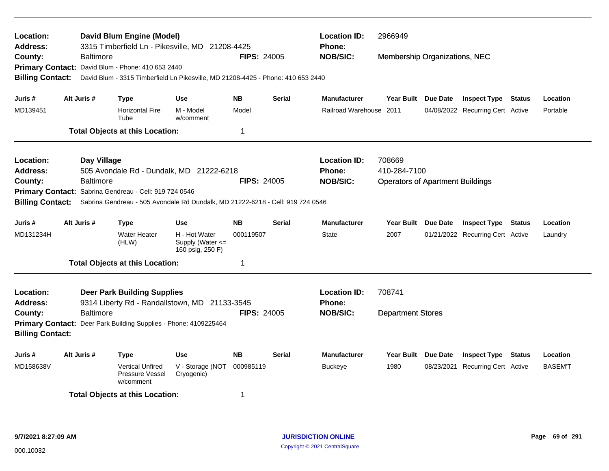| Location:<br><b>Address:</b><br>County:                                                                     |  | Baltimore        | David Blum Engine (Model)                                        | 3315 Timberfield Ln - Pikesville, MD 21208-4425                                | <b>FIPS: 24005</b> |               | <b>Location ID:</b><br><b>Phone:</b><br><b>NOB/SIC:</b> | 2966949<br>Membership Organizations, NEC |  |                                  |               |               |  |  |
|-------------------------------------------------------------------------------------------------------------|--|------------------|------------------------------------------------------------------|--------------------------------------------------------------------------------|--------------------|---------------|---------------------------------------------------------|------------------------------------------|--|----------------------------------|---------------|---------------|--|--|
| <b>Primary Contact:</b>                                                                                     |  |                  | David Blum - Phone: 410 653 2440                                 |                                                                                |                    |               |                                                         |                                          |  |                                  |               |               |  |  |
| <b>Billing Contact:</b><br>David Blum - 3315 Timberfield Ln Pikesville, MD 21208-4425 - Phone: 410 653 2440 |  |                  |                                                                  |                                                                                |                    |               |                                                         |                                          |  |                                  |               |               |  |  |
|                                                                                                             |  |                  |                                                                  |                                                                                |                    |               |                                                         |                                          |  |                                  |               |               |  |  |
| Juris #                                                                                                     |  | Alt Juris #      | <b>Type</b>                                                      | <b>Use</b>                                                                     | <b>NB</b>          | <b>Serial</b> | <b>Manufacturer</b>                                     | Year Built Due Date                      |  | <b>Inspect Type</b>              | <b>Status</b> | Location      |  |  |
| MD139451                                                                                                    |  |                  | <b>Horizontal Fire</b><br>Tube                                   | M - Model<br>w/comment                                                         | Model              |               | Railroad Warehouse 2011                                 |                                          |  | 04/08/2022 Recurring Cert Active |               | Portable      |  |  |
|                                                                                                             |  |                  | <b>Total Objects at this Location:</b>                           |                                                                                | 1                  |               |                                                         |                                          |  |                                  |               |               |  |  |
| Location:                                                                                                   |  | Day Village      |                                                                  |                                                                                |                    |               | <b>Location ID:</b>                                     | 708669                                   |  |                                  |               |               |  |  |
| <b>Address:</b>                                                                                             |  |                  |                                                                  | 505 Avondale Rd - Dundalk, MD 21222-6218                                       |                    |               | <b>Phone:</b>                                           | 410-284-7100                             |  |                                  |               |               |  |  |
| County:                                                                                                     |  | <b>Baltimore</b> |                                                                  |                                                                                | <b>FIPS: 24005</b> |               | <b>NOB/SIC:</b>                                         | <b>Operators of Apartment Buildings</b>  |  |                                  |               |               |  |  |
|                                                                                                             |  |                  | Primary Contact: Sabrina Gendreau - Cell: 919 724 0546           |                                                                                |                    |               |                                                         |                                          |  |                                  |               |               |  |  |
| <b>Billing Contact:</b>                                                                                     |  |                  |                                                                  | Sabrina Gendreau - 505 Avondale Rd Dundalk, MD 21222-6218 - Cell: 919 724 0546 |                    |               |                                                         |                                          |  |                                  |               |               |  |  |
| Juris #                                                                                                     |  | Alt Juris #      | <b>Type</b>                                                      | <b>Use</b>                                                                     | <b>NB</b>          | <b>Serial</b> | <b>Manufacturer</b>                                     | Year Built Due Date                      |  | <b>Inspect Type Status</b>       |               | Location      |  |  |
| MD131234H                                                                                                   |  |                  | <b>Water Heater</b><br>(HLW)                                     | H - Hot Water<br>Supply (Water $\leq$<br>160 psig, 250 F)                      | 000119507          |               | <b>State</b>                                            | 2007                                     |  | 01/21/2022 Recurring Cert Active |               | Laundry       |  |  |
|                                                                                                             |  |                  | <b>Total Objects at this Location:</b>                           |                                                                                | 1                  |               |                                                         |                                          |  |                                  |               |               |  |  |
| Location:<br><b>Address:</b>                                                                                |  |                  | <b>Deer Park Building Supplies</b>                               | 9314 Liberty Rd - Randallstown, MD 21133-3545                                  |                    |               | <b>Location ID:</b><br>Phone:                           | 708741                                   |  |                                  |               |               |  |  |
| County:                                                                                                     |  | <b>Baltimore</b> |                                                                  |                                                                                | <b>FIPS: 24005</b> |               | <b>NOB/SIC:</b>                                         | <b>Department Stores</b>                 |  |                                  |               |               |  |  |
| <b>Billing Contact:</b>                                                                                     |  |                  | Primary Contact: Deer Park Building Supplies - Phone: 4109225464 |                                                                                |                    |               |                                                         |                                          |  |                                  |               |               |  |  |
| Juris #                                                                                                     |  | Alt Juris #      | Type                                                             | <b>Use</b>                                                                     | <b>NB</b>          | <b>Serial</b> | <b>Manufacturer</b>                                     | Year Built Due Date                      |  | <b>Inspect Type</b>              | Status        | Location      |  |  |
| MD158638V                                                                                                   |  |                  | <b>Vertical Unfired</b><br>Pressure Vessel<br>w/comment          | V - Storage (NOT<br>Cryogenic)                                                 | 000985119          |               | <b>Buckeye</b>                                          | 1980                                     |  | 08/23/2021 Recurring Cert Active |               | <b>BASEMT</b> |  |  |
|                                                                                                             |  |                  | <b>Total Objects at this Location:</b>                           |                                                                                | 1                  |               |                                                         |                                          |  |                                  |               |               |  |  |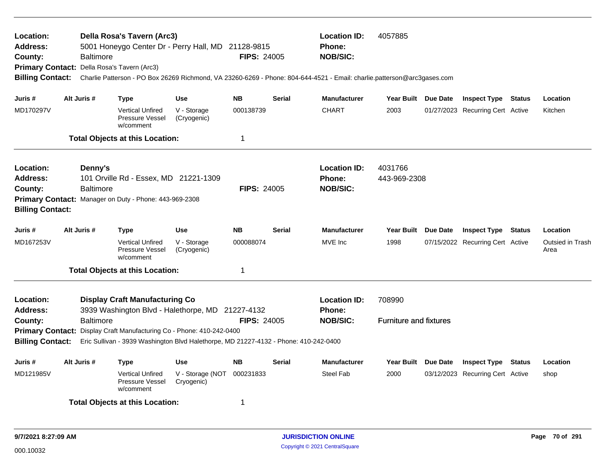| Location:<br>Address:<br>County:<br><b>Billing Contact:</b>        | <b>Baltimore</b>            | Della Rosa's Tavern (Arc3)<br>5001 Honeygo Center Dr - Perry Hall, MD 21128-9815<br>Primary Contact: Della Rosa's Tavern (Arc3)                                                                                                                            |                                | <b>FIPS: 24005</b> |               | <b>Location ID:</b><br><b>Phone:</b><br><b>NOB/SIC:</b> | 4057885<br>Charlie Patterson - PO Box 26269 Richmond, VA 23260-6269 - Phone: 804-644-4521 - Email: charlie.patterson@arc3gases.com |          |                                  |        |                                 |  |  |
|--------------------------------------------------------------------|-----------------------------|------------------------------------------------------------------------------------------------------------------------------------------------------------------------------------------------------------------------------------------------------------|--------------------------------|--------------------|---------------|---------------------------------------------------------|------------------------------------------------------------------------------------------------------------------------------------|----------|----------------------------------|--------|---------------------------------|--|--|
| Juris #                                                            | Alt Juris #                 | <b>Type</b>                                                                                                                                                                                                                                                | <b>Use</b>                     | <b>NB</b>          | <b>Serial</b> | <b>Manufacturer</b>                                     | Year Built Due Date                                                                                                                |          | <b>Inspect Type Status</b>       |        | Location                        |  |  |
| MD170297V                                                          |                             | <b>Vertical Unfired</b><br>Pressure Vessel<br>w/comment                                                                                                                                                                                                    | V - Storage<br>(Cryogenic)     | 000138739          |               | <b>CHART</b>                                            | 2003                                                                                                                               |          | 01/27/2023 Recurring Cert Active |        | Kitchen                         |  |  |
|                                                                    |                             | <b>Total Objects at this Location:</b>                                                                                                                                                                                                                     |                                | 1                  |               |                                                         |                                                                                                                                    |          |                                  |        |                                 |  |  |
| Location:<br><b>Address:</b><br>County:<br><b>Billing Contact:</b> | Denny's<br><b>Baltimore</b> | 101 Orville Rd - Essex, MD 21221-1309<br>Primary Contact: Manager on Duty - Phone: 443-969-2308                                                                                                                                                            |                                | <b>FIPS: 24005</b> |               | <b>Location ID:</b><br><b>Phone:</b><br><b>NOB/SIC:</b> | 4031766<br>443-969-2308                                                                                                            |          |                                  |        |                                 |  |  |
| Juris #                                                            | Alt Juris #                 | <b>Type</b>                                                                                                                                                                                                                                                | <b>Use</b>                     | <b>NB</b>          | <b>Serial</b> | <b>Manufacturer</b>                                     | <b>Year Built</b>                                                                                                                  | Due Date | <b>Inspect Type Status</b>       |        | Location                        |  |  |
| MD167253V                                                          |                             | <b>Vertical Unfired</b><br>Pressure Vessel<br>w/comment                                                                                                                                                                                                    | V - Storage<br>(Cryogenic)     | 000088074          |               | MVE Inc                                                 | 1998                                                                                                                               |          | 07/15/2022 Recurring Cert Active |        | <b>Outsied in Trash</b><br>Area |  |  |
|                                                                    |                             | <b>Total Objects at this Location:</b>                                                                                                                                                                                                                     |                                | $\mathbf 1$        |               |                                                         |                                                                                                                                    |          |                                  |        |                                 |  |  |
| Location:<br><b>Address:</b><br>County:<br><b>Billing Contact:</b> | <b>Baltimore</b>            | <b>Display Craft Manufacturing Co</b><br>3939 Washington Blvd - Halethorpe, MD 21227-4132<br>Primary Contact: Display Craft Manufacturing Co - Phone: 410-242-0400<br>Eric Sullivan - 3939 Washington Blvd Halethorpe, MD 21227-4132 - Phone: 410-242-0400 |                                | <b>FIPS: 24005</b> |               | <b>Location ID:</b><br><b>Phone:</b><br><b>NOB/SIC:</b> | 708990<br><b>Furniture and fixtures</b>                                                                                            |          |                                  |        |                                 |  |  |
| Juris #                                                            | Alt Juris #                 | Type                                                                                                                                                                                                                                                       | <b>Use</b>                     | <b>NB</b>          | <b>Serial</b> | <b>Manufacturer</b>                                     | <b>Year Built</b>                                                                                                                  | Due Date | <b>Inspect Type</b>              | Status | Location                        |  |  |
| MD121985V                                                          |                             | <b>Vertical Unfired</b><br>Pressure Vessel<br>w/comment                                                                                                                                                                                                    | V - Storage (NOT<br>Cryogenic) | 000231833          |               | <b>Steel Fab</b>                                        | 2000                                                                                                                               |          | 03/12/2023 Recurring Cert Active |        | shop                            |  |  |
|                                                                    |                             | <b>Total Objects at this Location:</b>                                                                                                                                                                                                                     |                                | 1                  |               |                                                         |                                                                                                                                    |          |                                  |        |                                 |  |  |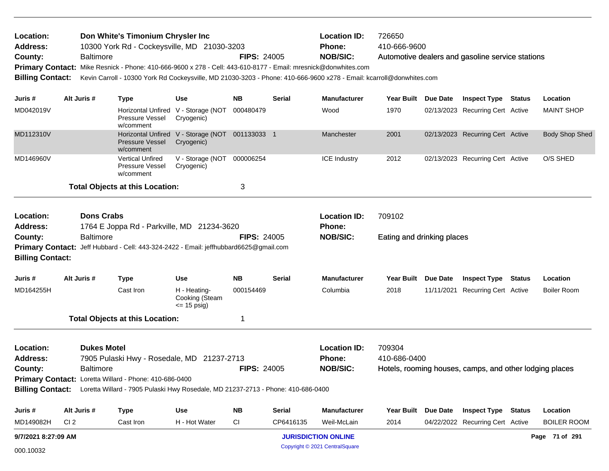| Don White's Timonium Chrysler Inc<br>Location:<br>10300 York Rd - Cockeysville, MD 21030-3203<br><b>Address:</b><br><b>Baltimore</b><br>County: |                   |                                                                                                                      |                                                               | <b>FIPS: 24005</b> |                                      | <b>Location ID:</b><br><b>Phone:</b><br><b>NOB/SIC:</b> | 726650<br>410-666-9600<br>Automotive dealers and gasoline service stations |                                                         |                                  |  |                       |  |  |
|-------------------------------------------------------------------------------------------------------------------------------------------------|-------------------|----------------------------------------------------------------------------------------------------------------------|---------------------------------------------------------------|--------------------|--------------------------------------|---------------------------------------------------------|----------------------------------------------------------------------------|---------------------------------------------------------|----------------------------------|--|-----------------------|--|--|
| <b>Primary Contact:</b>                                                                                                                         |                   | Mike Resnick - Phone: 410-666-9600 x 278 - Cell: 443-610-8177 - Email: mresnick@donwhites.com                        |                                                               |                    |                                      |                                                         |                                                                            |                                                         |                                  |  |                       |  |  |
| <b>Billing Contact:</b>                                                                                                                         |                   | Kevin Carroll - 10300 York Rd Cockeysville, MD 21030-3203 - Phone: 410-666-9600 x278 - Email: kcarroll@donwhites.com |                                                               |                    |                                      |                                                         |                                                                            |                                                         |                                  |  |                       |  |  |
| Juris #                                                                                                                                         | Alt Juris #       | <b>Type</b>                                                                                                          | Use                                                           | <b>NB</b>          | Serial                               | <b>Manufacturer</b>                                     | Year Built Due Date                                                        |                                                         | <b>Inspect Type Status</b>       |  | Location              |  |  |
| MD042019V                                                                                                                                       |                   | Pressure Vessel<br>w/comment                                                                                         | Horizontal Unfired V - Storage (NOT<br>Cryogenic)             | 000480479          |                                      | Wood                                                    | 1970                                                                       |                                                         | 02/13/2023 Recurring Cert Active |  | <b>MAINT SHOP</b>     |  |  |
| MD112310V                                                                                                                                       |                   | <b>Pressure Vessel</b><br>w/comment                                                                                  | Horizontal Unfired V - Storage (NOT 001133033 1<br>Cryogenic) |                    |                                      | Manchester                                              | 2001                                                                       |                                                         | 02/13/2023 Recurring Cert Active |  | <b>Body Shop Shed</b> |  |  |
| MD146960V                                                                                                                                       |                   | <b>Vertical Unfired</b><br>Pressure Vessel<br>w/comment                                                              | V - Storage (NOT 000006254<br>Cryogenic)                      |                    |                                      | <b>ICE Industry</b>                                     | 2012                                                                       |                                                         | 02/13/2023 Recurring Cert Active |  | O/S SHED              |  |  |
|                                                                                                                                                 |                   | <b>Total Objects at this Location:</b>                                                                               |                                                               | 3                  |                                      |                                                         |                                                                            |                                                         |                                  |  |                       |  |  |
| Location:<br><b>Address:</b>                                                                                                                    | <b>Dons Crabs</b> | 1764 E Joppa Rd - Parkville, MD 21234-3620                                                                           |                                                               |                    | <b>Location ID:</b><br><b>Phone:</b> | 709102                                                  |                                                                            |                                                         |                                  |  |                       |  |  |
| County:<br><b>Primary Contact:</b><br><b>Billing Contact:</b>                                                                                   | <b>Baltimore</b>  | Jeff Hubbard - Cell: 443-324-2422 - Email: jeffhubbard6625@gmail.com                                                 |                                                               | <b>FIPS: 24005</b> |                                      | <b>NOB/SIC:</b>                                         | Eating and drinking places                                                 |                                                         |                                  |  |                       |  |  |
| Juris #                                                                                                                                         | Alt Juris #       | <b>Type</b>                                                                                                          | Use                                                           | <b>NB</b>          | Serial                               | <b>Manufacturer</b>                                     | Year Built Due Date                                                        |                                                         | <b>Inspect Type Status</b>       |  | Location              |  |  |
| MD164255H                                                                                                                                       |                   | Cast Iron                                                                                                            | H - Heating-<br>Cooking (Steam<br>$\leq$ 15 psig)             | 000154469          |                                      | Columbia                                                | 2018                                                                       |                                                         | 11/11/2021 Recurring Cert Active |  | <b>Boiler Room</b>    |  |  |
|                                                                                                                                                 |                   | <b>Total Objects at this Location:</b>                                                                               |                                                               | 1                  |                                      |                                                         |                                                                            |                                                         |                                  |  |                       |  |  |
| <b>Dukes Motel</b><br>Location:<br><b>Address:</b><br>7905 Pulaski Hwy - Rosedale, MD 21237-2713                                                |                   |                                                                                                                      |                                                               |                    |                                      | <b>Location ID:</b><br>Phone:                           | 709304<br>410-686-0400                                                     |                                                         |                                  |  |                       |  |  |
| County:<br><b>Baltimore</b>                                                                                                                     |                   |                                                                                                                      |                                                               | <b>FIPS: 24005</b> |                                      | <b>NOB/SIC:</b>                                         |                                                                            | Hotels, rooming houses, camps, and other lodging places |                                  |  |                       |  |  |
|                                                                                                                                                 |                   | Primary Contact: Loretta Willard - Phone: 410-686-0400                                                               |                                                               |                    |                                      |                                                         |                                                                            |                                                         |                                  |  |                       |  |  |
|                                                                                                                                                 |                   | Billing Contact: Loretta Willard - 7905 Pulaski Hwy Rosedale, MD 21237-2713 - Phone: 410-686-0400                    |                                                               |                    |                                      |                                                         |                                                                            |                                                         |                                  |  |                       |  |  |
| Juris #                                                                                                                                         | Alt Juris #       | <b>Type</b>                                                                                                          | <b>Use</b>                                                    | <b>NB</b>          | <b>Serial</b>                        | Manufacturer                                            | Year Built Due Date                                                        |                                                         | <b>Inspect Type Status</b>       |  | Location              |  |  |
| MD149082H                                                                                                                                       | CI <sub>2</sub>   | Cast Iron                                                                                                            | H - Hot Water                                                 | CI                 | CP6416135                            | Weil-McLain                                             | 2014                                                                       |                                                         | 04/22/2022 Recurring Cert Active |  | <b>BOILER ROOM</b>    |  |  |
| 9/7/2021 8:27:09 AM                                                                                                                             |                   |                                                                                                                      |                                                               |                    |                                      | <b>JURISDICTION ONLINE</b>                              |                                                                            |                                                         |                                  |  | Page 71 of 291        |  |  |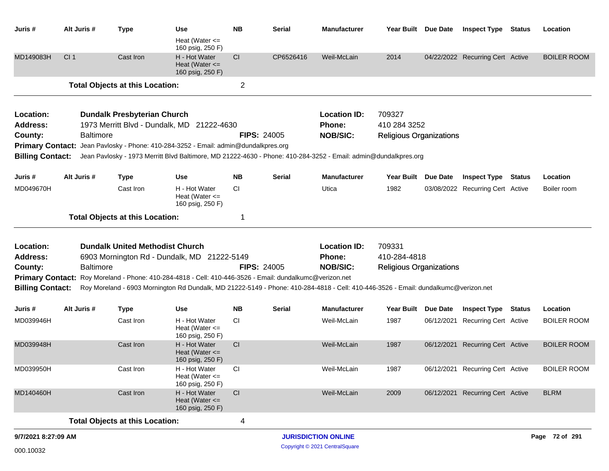| Juris #                 | Alt Juris #      | <b>Type</b>                            | Use                                                                                                                                 | <b>NB</b> | Serial                                                                  | Manufacturer        | Year Built Due Date            |            | <b>Inspect Type Status</b>       |  | Location           |
|-------------------------|------------------|----------------------------------------|-------------------------------------------------------------------------------------------------------------------------------------|-----------|-------------------------------------------------------------------------|---------------------|--------------------------------|------------|----------------------------------|--|--------------------|
|                         |                  |                                        | Heat (Water <=<br>160 psig, 250 F)                                                                                                  |           |                                                                         |                     |                                |            |                                  |  |                    |
| MD149083H               | CI <sub>1</sub>  | Cast Iron                              | H - Hot Water<br>Heat (Water $\leq$<br>160 psig, 250 F)                                                                             | <b>CI</b> | CP6526416                                                               | Weil-McLain         | 2014                           |            | 04/22/2022 Recurring Cert Active |  | <b>BOILER ROOM</b> |
|                         |                  | <b>Total Objects at this Location:</b> |                                                                                                                                     | 2         |                                                                         |                     |                                |            |                                  |  |                    |
| Location:               |                  | <b>Dundalk Presbyterian Church</b>     |                                                                                                                                     |           |                                                                         | <b>Location ID:</b> | 709327                         |            |                                  |  |                    |
| <b>Address:</b>         |                  |                                        | 1973 Merritt Blvd - Dundalk, MD 21222-4630                                                                                          |           |                                                                         | <b>Phone:</b>       | 410 284 3252                   |            |                                  |  |                    |
| County:                 | <b>Baltimore</b> |                                        |                                                                                                                                     |           | <b>FIPS: 24005</b>                                                      | <b>NOB/SIC:</b>     | <b>Religious Organizations</b> |            |                                  |  |                    |
| <b>Primary Contact:</b> |                  |                                        | Jean Pavlosky - Phone: 410-284-3252 - Email: admin@dundalkpres.org                                                                  |           |                                                                         |                     |                                |            |                                  |  |                    |
| <b>Billing Contact:</b> |                  |                                        | Jean Pavlosky - 1973 Merritt Blvd Baltimore, MD 21222-4630 - Phone: 410-284-3252 - Email: admin@dundalkpres.org                     |           |                                                                         |                     |                                |            |                                  |  |                    |
| Juris #                 | Alt Juris #      | <b>Type</b>                            | <b>Use</b>                                                                                                                          | NΒ        | Serial                                                                  | <b>Manufacturer</b> | Year Built Due Date            |            | <b>Inspect Type Status</b>       |  | Location           |
| MD049670H               |                  | Cast Iron                              | H - Hot Water<br>Heat (Water $\leq$<br>160 psig, 250 F)                                                                             | <b>CI</b> |                                                                         | Utica               | 1982                           |            | 03/08/2022 Recurring Cert Active |  | Boiler room        |
|                         |                  | <b>Total Objects at this Location:</b> |                                                                                                                                     | 1         |                                                                         |                     |                                |            |                                  |  |                    |
| Location:               |                  | <b>Dundalk United Methodist Church</b> |                                                                                                                                     |           |                                                                         | <b>Location ID:</b> | 709331                         |            |                                  |  |                    |
| Address:                |                  |                                        | 6903 Mornington Rd - Dundalk, MD 21222-5149                                                                                         |           |                                                                         | <b>Phone:</b>       | 410-284-4818                   |            |                                  |  |                    |
| County:                 | <b>Baltimore</b> |                                        |                                                                                                                                     |           | <b>FIPS: 24005</b><br><b>NOB/SIC:</b><br><b>Religious Organizations</b> |                     |                                |            |                                  |  |                    |
| <b>Primary Contact:</b> |                  |                                        | Roy Moreland - Phone: 410-284-4818 - Cell: 410-446-3526 - Email: dundalkumc@verizon.net                                             |           |                                                                         |                     |                                |            |                                  |  |                    |
| <b>Billing Contact:</b> |                  |                                        | Roy Moreland - 6903 Mornington Rd Dundalk, MD 21222-5149 - Phone: 410-284-4818 - Cell: 410-446-3526 - Email: dundalkumc@verizon.net |           |                                                                         |                     |                                |            |                                  |  |                    |
| Juris #                 | Alt Juris #      | <b>Type</b>                            | <b>Use</b>                                                                                                                          | <b>NB</b> | <b>Serial</b>                                                           | <b>Manufacturer</b> | Year Built                     | Due Date   | <b>Inspect Type Status</b>       |  | Location           |
| MD039946H               |                  | Cast Iron                              | H - Hot Water<br>Heat (Water $\leq$<br>160 psig, 250 F)                                                                             | CI.       |                                                                         | Weil-McLain         | 1987                           | 06/12/2021 | Recurring Cert Active            |  | <b>BOILER ROOM</b> |
| MD039948H               |                  | Cast Iron                              | H - Hot Water<br>Heat (Water $\leq$<br>160 psig, 250 F)                                                                             | CI        |                                                                         | Weil-McLain         | 1987                           | 06/12/2021 | Recurring Cert Active            |  | <b>BOILER ROOM</b> |
| MD039950H               |                  | Cast Iron                              | H - Hot Water<br>Heat (Water $\leq$<br>160 psig, 250 F)                                                                             | <b>CI</b> |                                                                         | Weil-McLain         | 1987                           |            | 06/12/2021 Recurring Cert Active |  | <b>BOILER ROOM</b> |
| MD140460H               |                  | Cast Iron                              | H - Hot Water<br>Heat (Water $\leq$<br>160 psig, 250 F)                                                                             | <b>CI</b> |                                                                         | Weil-McLain         | 2009                           |            | 06/12/2021 Recurring Cert Active |  | <b>BLRM</b>        |
|                         |                  | <b>Total Objects at this Location:</b> |                                                                                                                                     | 4         |                                                                         |                     |                                |            |                                  |  |                    |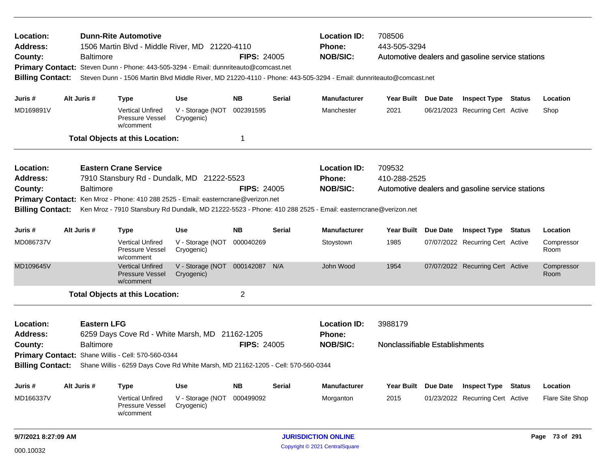| Location:<br>Address:<br>County:<br><b>Billing Contact:</b>                                                                                                                                                                                                                                                                                                                                    |  | <b>Baltimore</b>                       | <b>Dunn-Rite Automotive</b><br>1506 Martin Blvd - Middle River, MD 21220-4110<br>Primary Contact: Steven Dunn - Phone: 443-505-3294 - Email: dunnriteauto@comcast.net |                                              | <b>FIPS: 24005</b>     |               | <b>Location ID:</b><br>Phone:<br><b>NOB/SIC:</b> | 708506<br>443-505-3294<br>Automotive dealers and gasoline service stations<br>Steven Dunn - 1506 Martin Blvd Middle River, MD 21220-4110 - Phone: 443-505-3294 - Email: dunnriteauto@comcast.net |                     |                                                                |  |                             |
|------------------------------------------------------------------------------------------------------------------------------------------------------------------------------------------------------------------------------------------------------------------------------------------------------------------------------------------------------------------------------------------------|--|----------------------------------------|-----------------------------------------------------------------------------------------------------------------------------------------------------------------------|----------------------------------------------|------------------------|---------------|--------------------------------------------------|--------------------------------------------------------------------------------------------------------------------------------------------------------------------------------------------------|---------------------|----------------------------------------------------------------|--|-----------------------------|
| Juris #                                                                                                                                                                                                                                                                                                                                                                                        |  | Alt Juris #                            | <b>Type</b>                                                                                                                                                           | <b>Use</b>                                   | <b>NB</b>              | <b>Serial</b> | <b>Manufacturer</b>                              |                                                                                                                                                                                                  | Year Built Due Date | <b>Inspect Type Status</b>                                     |  | Location                    |
| MD169891V                                                                                                                                                                                                                                                                                                                                                                                      |  |                                        | <b>Vertical Unfired</b><br>Pressure Vessel<br>w/comment                                                                                                               | V - Storage (NOT<br>Cryogenic)               | 002391595              |               | Manchester                                       | 2021                                                                                                                                                                                             |                     | 06/21/2023 Recurring Cert Active                               |  | Shop                        |
|                                                                                                                                                                                                                                                                                                                                                                                                |  |                                        | <b>Total Objects at this Location:</b>                                                                                                                                |                                              | 1                      |               |                                                  |                                                                                                                                                                                                  |                     |                                                                |  |                             |
| <b>Eastern Crane Service</b><br>Location:<br>7910 Stansbury Rd - Dundalk, MD 21222-5523<br><b>Address:</b><br><b>Baltimore</b><br>County:<br><b>FIPS: 24005</b><br>Primary Contact: Ken Mroz - Phone: 410 288 2525 - Email: easterncrane@verizon.net<br><b>Billing Contact:</b><br>Ken Mroz - 7910 Stansbury Rd Dundalk, MD 21222-5523 - Phone: 410 288 2525 - Email: easterncrane@verizon.net |  |                                        |                                                                                                                                                                       |                                              |                        |               | <b>Location ID:</b><br>Phone:<br><b>NOB/SIC:</b> | 709532<br>410-288-2525                                                                                                                                                                           |                     | Automotive dealers and gasoline service stations               |  |                             |
| Alt Juris #<br><b>NB</b><br><b>Serial</b><br>Juris #<br><b>Type</b><br>Use                                                                                                                                                                                                                                                                                                                     |  |                                        |                                                                                                                                                                       |                                              |                        |               | <b>Manufacturer</b>                              | Year Built Due Date                                                                                                                                                                              |                     | <b>Inspect Type Status</b>                                     |  | Location                    |
| MD086737V                                                                                                                                                                                                                                                                                                                                                                                      |  |                                        | <b>Vertical Unfired</b><br>Pressure Vessel<br>w/comment                                                                                                               | V - Storage (NOT<br>Cryogenic)               | 000040269              |               | Stoystown                                        | 1985                                                                                                                                                                                             |                     | 07/07/2022 Recurring Cert Active                               |  | Compressor<br>Room          |
| MD109645V                                                                                                                                                                                                                                                                                                                                                                                      |  |                                        | <b>Vertical Unfired</b><br><b>Pressure Vessel</b><br>w/comment                                                                                                        | V - Storage (NOT<br>Cryogenic)               | 000142087 N/A          |               | John Wood                                        | 1954                                                                                                                                                                                             |                     | 07/07/2022 Recurring Cert Active                               |  | Compressor<br>Room          |
|                                                                                                                                                                                                                                                                                                                                                                                                |  |                                        | <b>Total Objects at this Location:</b>                                                                                                                                |                                              | $\overline{2}$         |               |                                                  |                                                                                                                                                                                                  |                     |                                                                |  |                             |
| Location:<br><b>Address:</b><br>County:                                                                                                                                                                                                                                                                                                                                                        |  | <b>Eastern LFG</b><br><b>Baltimore</b> | 6259 Days Cove Rd - White Marsh, MD 21162-1205<br>Primary Contact: Shane Willis - Cell: 570-560-0344                                                                  |                                              | <b>FIPS: 24005</b>     |               | <b>Location ID:</b><br>Phone:<br><b>NOB/SIC:</b> | 3988179<br>Nonclassifiable Establishments                                                                                                                                                        |                     |                                                                |  |                             |
| <b>Billing Contact:</b>                                                                                                                                                                                                                                                                                                                                                                        |  |                                        | Shane Willis - 6259 Days Cove Rd White Marsh, MD 21162-1205 - Cell: 570-560-0344                                                                                      |                                              |                        |               |                                                  |                                                                                                                                                                                                  |                     |                                                                |  |                             |
| Juris #<br>MD166337V                                                                                                                                                                                                                                                                                                                                                                           |  | Alt Juris #                            | <b>Type</b><br><b>Vertical Unfired</b><br>Pressure Vessel<br>w/comment                                                                                                | <b>Use</b><br>V - Storage (NOT<br>Cryogenic) | <b>NB</b><br>000499092 | <b>Serial</b> | Manufacturer<br>Morganton                        | Year Built Due Date<br>2015                                                                                                                                                                      |                     | <b>Inspect Type Status</b><br>01/23/2022 Recurring Cert Active |  | Location<br>Flare Site Shop |
|                                                                                                                                                                                                                                                                                                                                                                                                |  |                                        |                                                                                                                                                                       |                                              |                        |               |                                                  |                                                                                                                                                                                                  |                     |                                                                |  |                             |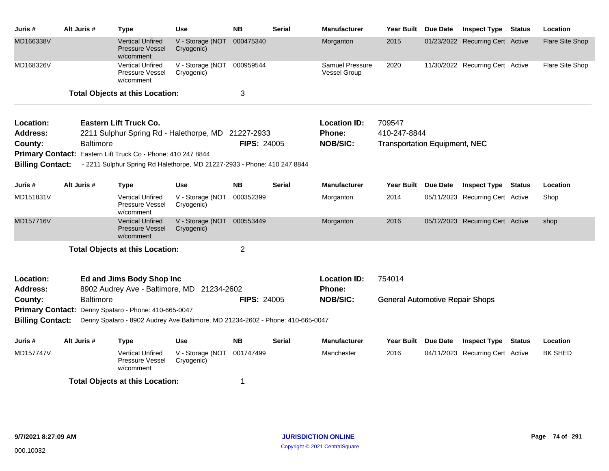| Juris #                                            | Alt Juris #      | <b>Type</b>                                                                                                                              | <b>Use</b>                               | <b>NB</b>          | <b>Serial</b> | <b>Manufacturer</b>                              | <b>Year Built</b>                                              | Due Date | <b>Inspect Type</b>              | <b>Status</b> | Location        |
|----------------------------------------------------|------------------|------------------------------------------------------------------------------------------------------------------------------------------|------------------------------------------|--------------------|---------------|--------------------------------------------------|----------------------------------------------------------------|----------|----------------------------------|---------------|-----------------|
| MD166338V                                          |                  | <b>Vertical Unfired</b><br><b>Pressure Vessel</b><br>w/comment                                                                           | V - Storage (NOT<br>Cryogenic)           | 000475340          |               | Morganton                                        | 2015                                                           |          | 01/23/2022 Recurring Cert Active |               | Flare Site Shop |
| MD168326V                                          |                  | <b>Vertical Unfired</b><br>Pressure Vessel<br>w/comment                                                                                  | V - Storage (NOT 000959544<br>Cryogenic) |                    |               | <b>Samuel Pressure</b><br>Vessel Group           | 2020                                                           |          | 11/30/2022 Recurring Cert Active |               | Flare Site Shop |
|                                                    |                  | <b>Total Objects at this Location:</b>                                                                                                   |                                          | 3                  |               |                                                  |                                                                |          |                                  |               |                 |
| Location:<br><b>Address:</b><br>County:            | <b>Baltimore</b> | Eastern Lift Truck Co.<br>2211 Sulphur Spring Rd - Halethorpe, MD 21227-2933                                                             |                                          | <b>FIPS: 24005</b> |               | <b>Location ID:</b><br>Phone:<br><b>NOB/SIC:</b> | 709547<br>410-247-8844<br><b>Transportation Equipment, NEC</b> |          |                                  |               |                 |
| <b>Billing Contact:</b>                            |                  | Primary Contact: Eastern Lift Truck Co - Phone: 410 247 8844<br>- 2211 Sulphur Spring Rd Halethorpe, MD 21227-2933 - Phone: 410 247 8844 |                                          |                    |               |                                                  |                                                                |          |                                  |               |                 |
| Juris #                                            | Alt Juris #      | <b>Type</b>                                                                                                                              | <b>Use</b>                               | <b>NB</b>          | <b>Serial</b> | <b>Manufacturer</b>                              | <b>Year Built</b>                                              | Due Date | <b>Inspect Type Status</b>       |               | Location        |
| MD151831V                                          |                  | <b>Vertical Unfired</b><br><b>Pressure Vessel</b><br>w/comment                                                                           | V - Storage (NOT<br>Cryogenic)           | 000352399          |               | Morganton                                        | 2014                                                           |          | 05/11/2023 Recurring Cert Active |               | Shop            |
| MD157716V                                          |                  | <b>Vertical Unfired</b><br><b>Pressure Vessel</b><br>w/comment                                                                           | V - Storage (NOT 000553449<br>Cryogenic) |                    |               | Morganton                                        | 2016                                                           |          | 05/12/2023 Recurring Cert Active |               | shop            |
|                                                    |                  | <b>Total Objects at this Location:</b>                                                                                                   |                                          | $\overline{2}$     |               |                                                  |                                                                |          |                                  |               |                 |
| Location:<br><b>Address:</b>                       |                  | Ed and Jims Body Shop Inc<br>8902 Audrey Ave - Baltimore, MD 21234-2602                                                                  |                                          |                    |               | <b>Location ID:</b><br><b>Phone:</b>             | 754014                                                         |          |                                  |               |                 |
| County:                                            | <b>Baltimore</b> |                                                                                                                                          |                                          | <b>FIPS: 24005</b> |               | <b>NOB/SIC:</b>                                  | <b>General Automotive Repair Shops</b>                         |          |                                  |               |                 |
| <b>Primary Contact:</b><br><b>Billing Contact:</b> |                  | Denny Spataro - Phone: 410-665-0047<br>Denny Spataro - 8902 Audrey Ave Baltimore, MD 21234-2602 - Phone: 410-665-0047                    |                                          |                    |               |                                                  |                                                                |          |                                  |               |                 |
| Juris #                                            | Alt Juris #      | <b>Type</b>                                                                                                                              | <b>Use</b>                               | <b>NB</b>          | <b>Serial</b> | <b>Manufacturer</b>                              | <b>Year Built</b>                                              | Due Date | <b>Inspect Type</b>              | <b>Status</b> | Location        |
| MD157747V                                          |                  | <b>Vertical Unfired</b><br>Pressure Vessel<br>w/comment                                                                                  | V - Storage (NOT<br>Cryogenic)           | 001747499          |               | Manchester                                       | 2016                                                           |          | 04/11/2023 Recurring Cert Active |               | <b>BK SHED</b>  |
|                                                    |                  | <b>Total Objects at this Location:</b>                                                                                                   |                                          | $\mathbf{1}$       |               |                                                  |                                                                |          |                                  |               |                 |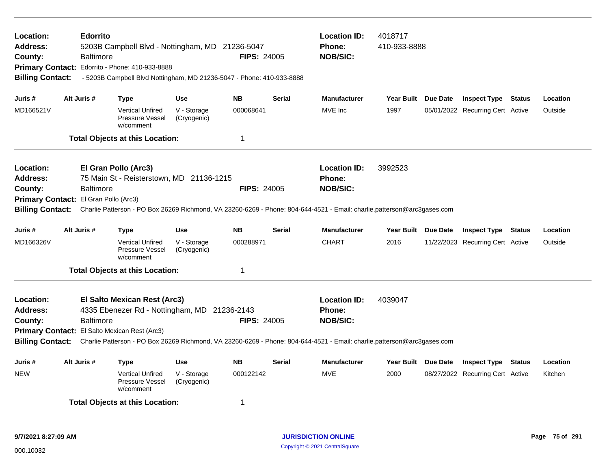| Location:<br>Address:<br>County:<br><b>Billing Contact:</b>                                          |             | Edorrito<br>5203B Campbell Blvd - Nottingham, MD 21236-5047<br><b>Baltimore</b><br><b>FIPS: 24005</b><br>Primary Contact: Edorrito - Phone: 410-933-8888<br>- 5203B Campbell Blvd Nottingham, MD 21236-5047 - Phone: 410-933-8888 |                                                                                                                               |                                          |                             |               | <b>Location ID:</b><br>Phone:<br><b>NOB/SIC:</b>                                                                                                                                   | 4018717<br>410-933-8888     |  |                                                                |  |                     |
|------------------------------------------------------------------------------------------------------|-------------|-----------------------------------------------------------------------------------------------------------------------------------------------------------------------------------------------------------------------------------|-------------------------------------------------------------------------------------------------------------------------------|------------------------------------------|-----------------------------|---------------|------------------------------------------------------------------------------------------------------------------------------------------------------------------------------------|-----------------------------|--|----------------------------------------------------------------|--|---------------------|
| Juris #<br>MD166521V                                                                                 | Alt Juris # |                                                                                                                                                                                                                                   | <b>Type</b><br><b>Vertical Unfired</b><br>Pressure Vessel<br>w/comment<br><b>Total Objects at this Location:</b>              | <b>Use</b><br>V - Storage<br>(Cryogenic) | <b>NB</b><br>000068641<br>1 | <b>Serial</b> | <b>Manufacturer</b><br>MVE Inc                                                                                                                                                     | Year Built Due Date<br>1997 |  | <b>Inspect Type Status</b><br>05/01/2022 Recurring Cert Active |  | Location<br>Outside |
| Location:<br>Address:<br>County:<br>Primary Contact: El Gran Pollo (Arc3)<br><b>Billing Contact:</b> |             | <b>Baltimore</b>                                                                                                                                                                                                                  | El Gran Pollo (Arc3)<br>75 Main St - Reisterstown, MD 21136-1215                                                              |                                          | <b>FIPS: 24005</b>          |               | <b>Location ID:</b><br>Phone:<br><b>NOB/SIC:</b><br>Charlie Patterson - PO Box 26269 Richmond, VA 23260-6269 - Phone: 804-644-4521 - Email: charlie.patterson@arc3gases.com        | 3992523                     |  |                                                                |  |                     |
| Juris #<br>MD166326V                                                                                 | Alt Juris # |                                                                                                                                                                                                                                   | <b>Type</b><br><b>Vertical Unfired</b><br>Pressure Vessel<br>w/comment<br><b>Total Objects at this Location:</b>              | <b>Use</b><br>V - Storage<br>(Cryogenic) | <b>NB</b><br>000288971<br>1 | <b>Serial</b> | <b>Manufacturer</b><br><b>CHART</b>                                                                                                                                                | Year Built Due Date<br>2016 |  | <b>Inspect Type Status</b><br>11/22/2023 Recurring Cert Active |  | Location<br>Outside |
| Location:<br><b>Address:</b><br>County:<br><b>Billing Contact:</b>                                   |             | <b>Baltimore</b>                                                                                                                                                                                                                  | El Salto Mexican Rest (Arc3)<br>4335 Ebenezer Rd - Nottingham, MD 21236-2143<br>Primary Contact: El Salto Mexican Rest (Arc3) |                                          | <b>FIPS: 24005</b>          |               | <b>Location ID:</b><br><b>Phone:</b><br><b>NOB/SIC:</b><br>Charlie Patterson - PO Box 26269 Richmond, VA 23260-6269 - Phone: 804-644-4521 - Email: charlie.patterson@arc3gases.com | 4039047                     |  |                                                                |  |                     |
| Juris #<br><b>NEW</b>                                                                                | Alt Juris # |                                                                                                                                                                                                                                   | <b>Type</b><br><b>Vertical Unfired</b><br><b>Pressure Vessel</b><br>w/comment<br><b>Total Objects at this Location:</b>       | <b>Use</b><br>V - Storage<br>(Cryogenic) | <b>NB</b><br>000122142<br>1 | <b>Serial</b> | <b>Manufacturer</b><br><b>MVE</b>                                                                                                                                                  | Year Built Due Date<br>2000 |  | <b>Inspect Type Status</b><br>08/27/2022 Recurring Cert Active |  | Location<br>Kitchen |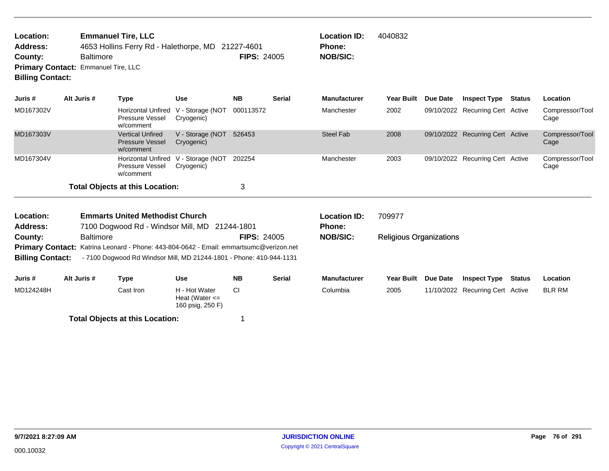| Location:<br><b>Address:</b><br>County:<br>Primary Contact: Emmanuel Tire, LLC<br><b>Billing Contact:</b> | <b>Baltimore</b> | <b>Emmanuel Tire, LLC</b> | 4653 Hollins Ferry Rd - Halethorpe, MD 21227-4601 |           | <b>FIPS: 24005</b> | <b>Location ID:</b><br><b>Phone:</b><br><b>NOB/SIC:</b> | 4040832    |                 |                     |        |          |  |
|-----------------------------------------------------------------------------------------------------------|------------------|---------------------------|---------------------------------------------------|-----------|--------------------|---------------------------------------------------------|------------|-----------------|---------------------|--------|----------|--|
| Juris #                                                                                                   | Alt Juris #      | Type                      | Use                                               | <b>NB</b> | <b>Serial</b>      | <b>Manufacturer</b>                                     | Year Built | <b>Due Date</b> | <b>Inspect Type</b> | Status | Location |  |

| MD167302V | Horizontal Unfired V - Storage (NOT<br>Pressure Vessel<br>w/comment | Cryogenic)                              | 000113572 | Manchester | 2002 | 09/10/2022 Recurring Cert Active | Compressor/Tool<br>Cage |
|-----------|---------------------------------------------------------------------|-----------------------------------------|-----------|------------|------|----------------------------------|-------------------------|
| MD167303V | <b>Vertical Unfired</b><br><b>Pressure Vessel</b><br>w/comment      | V - Storage (NOT $526453$<br>Cryogenic) |           | Steel Fab  | 2008 | 09/10/2022 Recurring Cert Active | Compressor/Tool<br>Cage |
| MD167304V | Horizontal Unfired V - Storage (NOT<br>Pressure Vessel<br>w/comment | Cryogenic)                              | 202254    | Manchester | 2003 | 09/10/2022 Recurring Cert Active | Compressor/Tool<br>Cage |
|           | <b>Total Objects at this Location:</b>                              |                                         |           |            |      |                                  |                         |

| Location:               |                  | <b>Emmarts United Methodist Church</b>                                                 |            |                    |               | <b>Location ID:</b> | 709977                         |                 |                     |        |                 |
|-------------------------|------------------|----------------------------------------------------------------------------------------|------------|--------------------|---------------|---------------------|--------------------------------|-----------------|---------------------|--------|-----------------|
| <b>Address:</b>         |                  | 7100 Dogwood Rd - Windsor Mill, MD 21244-1801                                          |            |                    |               | <b>Phone:</b>       |                                |                 |                     |        |                 |
| County:                 | <b>Baltimore</b> |                                                                                        |            | <b>FIPS: 24005</b> |               | <b>NOB/SIC:</b>     | <b>Religious Organizations</b> |                 |                     |        |                 |
|                         |                  | Primary Contact: Katrina Leonard - Phone: 443-804-0642 - Email: emmartsumc@verizon.net |            |                    |               |                     |                                |                 |                     |        |                 |
| <b>Billing Contact:</b> |                  | - 7100 Dogwood Rd Windsor Mill, MD 21244-1801 - Phone: 410-944-1131                    |            |                    |               |                     |                                |                 |                     |        |                 |
| Juris #                 | Alt Juris #      | Type                                                                                   | <b>Use</b> | <b>NB</b>          | <b>Serial</b> | <b>Manufacturer</b> | <b>Year Built</b>              | <b>Due Date</b> | <b>Inspect Type</b> | Status | <b>Location</b> |

| Juris #   | AIT JUITS $\bm{\#}$ | i vpe                                  | use                                                     | ND | əerial | manufacturer | rear built Due Date | INSDECT TVDE                     | ้ อเสเนร | Location      |
|-----------|---------------------|----------------------------------------|---------------------------------------------------------|----|--------|--------------|---------------------|----------------------------------|----------|---------------|
| MD124248H |                     | Cast Iron .                            | H - Hot Water<br>Heat (Water $\leq$<br>160 psig, 250 F) |    |        | Columbia     | 2005                | 11/10/2022 Recurring Cert Active |          | <b>BLR RM</b> |
|           |                     | <b>Total Objects at this Location:</b> |                                                         |    |        |              |                     |                                  |          |               |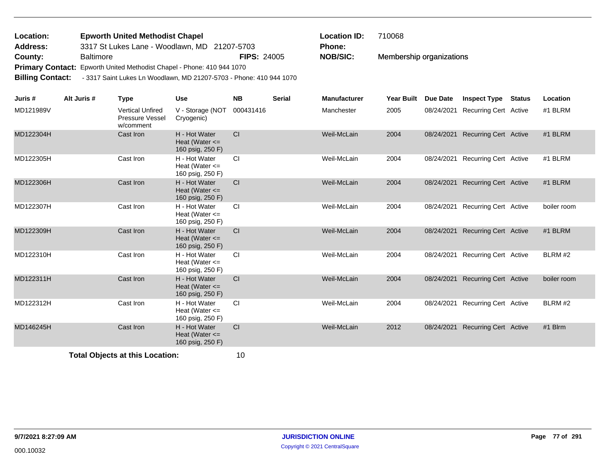| Location:        | <b>Epworth United Methodist Chapel</b>                                 |                    | Location        |
|------------------|------------------------------------------------------------------------|--------------------|-----------------|
| <b>Address:</b>  | 3317 St Lukes Lane - Woodlawn, MD 21207-5703                           |                    | <b>Phone:</b>   |
| County:          | <b>Baltimore</b>                                                       | <b>FIPS: 24005</b> | <b>NOB/SIC:</b> |
|                  | Primary Contact: Epworth United Methodist Chapel - Phone: 410 944 1070 |                    |                 |
| Billing Contact: | - 3317 Saint Lukes Ln Woodlawn, MD 21207-5703 - Phone: 410 944 1070    |                    |                 |

Membership organizations **Eparth ID:** 710068 **Phone:**

| Juris #   | Alt Juris # | <b>Type</b>                                             | <b>Use</b>                                              | <b>NB</b> | <b>Serial</b> | <b>Manufacturer</b> | <b>Year Built</b> | <b>Due Date</b> | <b>Inspect Type</b>              | <b>Status</b> | Location    |
|-----------|-------------|---------------------------------------------------------|---------------------------------------------------------|-----------|---------------|---------------------|-------------------|-----------------|----------------------------------|---------------|-------------|
| MD121989V |             | <b>Vertical Unfired</b><br>Pressure Vessel<br>w/comment | V - Storage (NOT<br>Cryogenic)                          | 000431416 |               | Manchester          | 2005              | 08/24/2021      | <b>Recurring Cert Active</b>     |               | #1 BLRM     |
| MD122304H |             | Cast Iron                                               | H - Hot Water<br>Heat (Water $\leq$<br>160 psig, 250 F) | CI        |               | Weil-McLain         | 2004              | 08/24/2021      | <b>Recurring Cert Active</b>     |               | #1 BLRM     |
| MD122305H |             | Cast Iron                                               | H - Hot Water<br>Heat (Water $\leq$<br>160 psig, 250 F) | <b>CI</b> |               | Weil-McLain         | 2004              | 08/24/2021      | <b>Recurring Cert Active</b>     |               | #1 BLRM     |
| MD122306H |             | Cast Iron                                               | H - Hot Water<br>Heat (Water $\leq$<br>160 psig, 250 F) | <b>CI</b> |               | Weil-McLain         | 2004              | 08/24/2021      | <b>Recurring Cert Active</b>     |               | #1 BLRM     |
| MD122307H |             | Cast Iron                                               | H - Hot Water<br>Heat (Water $\leq$<br>160 psig, 250 F) | <b>CI</b> |               | Weil-McLain         | 2004              | 08/24/2021      | <b>Recurring Cert Active</b>     |               | boiler room |
| MD122309H |             | Cast Iron                                               | H - Hot Water<br>Heat (Water $\leq$<br>160 psig, 250 F) | <b>CI</b> |               | Weil-McLain         | 2004              | 08/24/2021      | <b>Recurring Cert Active</b>     |               | #1 BLRM     |
| MD122310H |             | Cast Iron                                               | H - Hot Water<br>Heat (Water $\leq$<br>160 psig, 250 F) | <b>CI</b> |               | Weil-McLain         | 2004              | 08/24/2021      | <b>Recurring Cert Active</b>     |               | BLRM #2     |
| MD122311H |             | Cast Iron                                               | H - Hot Water<br>Heat (Water $\leq$<br>160 psig, 250 F) | <b>CI</b> |               | Weil-McLain         | 2004              |                 | 08/24/2021 Recurring Cert Active |               | boiler room |
| MD122312H |             | Cast Iron                                               | H - Hot Water<br>Heat (Water $\leq$<br>160 psig, 250 F) | <b>CI</b> |               | Weil-McLain         | 2004              | 08/24/2021      | <b>Recurring Cert Active</b>     |               | BLRM #2     |
| MD146245H |             | Cast Iron                                               | H - Hot Water<br>Heat (Water $\leq$<br>160 psig, 250 F) | <b>CI</b> |               | Weil-McLain         | 2012              | 08/24/2021      | <b>Recurring Cert Active</b>     |               | #1 Blrm     |
|           |             | 美しょうし 合わせ しょくしょく はいちん しょうしょうかん                          |                                                         | $\sim$    |               |                     |                   |                 |                                  |               |             |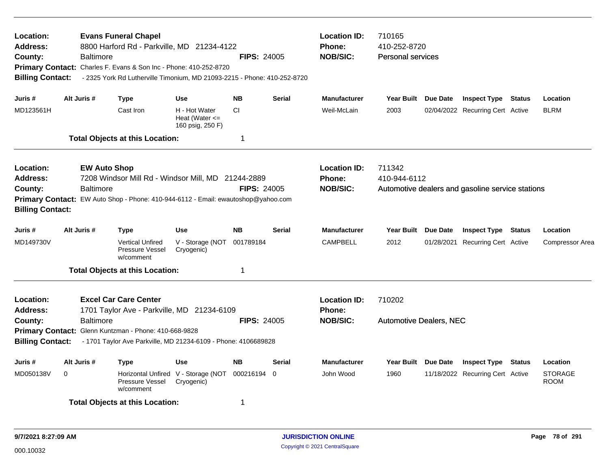| Location:<br>Address:<br>County:<br><b>Billing Contact:</b> |                                                                                                                                                                                              | <b>Baltimore</b>                        | <b>Evans Funeral Chapel</b><br>8800 Harford Rd - Parkville, MD 21234-4122<br><b>FIPS: 24005</b><br>Primary Contact: Charles F. Evans & Son Inc - Phone: 410-252-8720<br>- 2325 York Rd Lutherville Timonium, MD 21093-2215 - Phone: 410-252-8720 |                                                         |                    |               | <b>Location ID:</b><br><b>Phone:</b><br><b>NOB/SIC:</b> | 710165<br>410-252-8720<br><b>Personal services</b> |                 |                                                  |               |                               |  |
|-------------------------------------------------------------|----------------------------------------------------------------------------------------------------------------------------------------------------------------------------------------------|-----------------------------------------|--------------------------------------------------------------------------------------------------------------------------------------------------------------------------------------------------------------------------------------------------|---------------------------------------------------------|--------------------|---------------|---------------------------------------------------------|----------------------------------------------------|-----------------|--------------------------------------------------|---------------|-------------------------------|--|
| Juris #                                                     |                                                                                                                                                                                              | Alt Juris #                             | <b>Type</b>                                                                                                                                                                                                                                      | Use                                                     | <b>NB</b>          | <b>Serial</b> | <b>Manufacturer</b>                                     | <b>Year Built</b>                                  | Due Date        | <b>Inspect Type</b>                              | Status        | Location                      |  |
| MD123561H                                                   |                                                                                                                                                                                              |                                         | Cast Iron                                                                                                                                                                                                                                        | H - Hot Water<br>Heat (Water $\leq$<br>160 psig, 250 F) | CI                 |               | Weil-McLain                                             | 2003                                               |                 | 02/04/2022 Recurring Cert Active                 |               | <b>BLRM</b>                   |  |
|                                                             |                                                                                                                                                                                              |                                         | <b>Total Objects at this Location:</b>                                                                                                                                                                                                           |                                                         | $\mathbf 1$        |               |                                                         |                                                    |                 |                                                  |               |                               |  |
| Location:<br>Address:<br>County:<br><b>Billing Contact:</b> |                                                                                                                                                                                              | <b>EW Auto Shop</b><br><b>Baltimore</b> | 7208 Windsor Mill Rd - Windsor Mill, MD 21244-2889<br>Primary Contact: EW Auto Shop - Phone: 410-944-6112 - Email: ewautoshop@yahoo.com                                                                                                          |                                                         | <b>FIPS: 24005</b> |               | <b>Location ID:</b><br><b>Phone:</b><br><b>NOB/SIC:</b> | 711342<br>410-944-6112                             |                 | Automotive dealers and gasoline service stations |               |                               |  |
| Juris #                                                     |                                                                                                                                                                                              | Alt Juris #                             | Type                                                                                                                                                                                                                                             | <b>Use</b>                                              | <b>NB</b>          | <b>Serial</b> | <b>Manufacturer</b>                                     | <b>Year Built</b>                                  | <b>Due Date</b> | <b>Inspect Type Status</b>                       |               | Location                      |  |
| MD149730V                                                   |                                                                                                                                                                                              |                                         | <b>Vertical Unfired</b><br>Pressure Vessel<br>w/comment                                                                                                                                                                                          | V - Storage (NOT<br>Cryogenic)                          | 001789184          |               | <b>CAMPBELL</b>                                         | 2012                                               |                 | 01/28/2021 Recurring Cert Active                 |               | <b>Compressor Area</b>        |  |
|                                                             |                                                                                                                                                                                              |                                         | <b>Total Objects at this Location:</b>                                                                                                                                                                                                           |                                                         | 1                  |               |                                                         |                                                    |                 |                                                  |               |                               |  |
| Location:<br>Address:                                       |                                                                                                                                                                                              |                                         | <b>Excel Car Care Center</b><br>1701 Taylor Ave - Parkville, MD 21234-6109                                                                                                                                                                       |                                                         |                    |               | <b>Location ID:</b><br><b>Phone:</b>                    | 710202                                             |                 |                                                  |               |                               |  |
| County:                                                     | <b>Baltimore</b><br><b>FIPS: 24005</b><br>Primary Contact: Glenn Kuntzman - Phone: 410-668-9828<br><b>Billing Contact:</b><br>- 1701 Taylor Ave Parkville, MD 21234-6109 - Phone: 4106689828 |                                         |                                                                                                                                                                                                                                                  |                                                         |                    |               | <b>NOB/SIC:</b>                                         | <b>Automotive Dealers, NEC</b>                     |                 |                                                  |               |                               |  |
| Juris #                                                     |                                                                                                                                                                                              | Alt Juris #                             | <b>Type</b>                                                                                                                                                                                                                                      | <b>Use</b>                                              | <b>NB</b>          | <b>Serial</b> | <b>Manufacturer</b>                                     | <b>Year Built</b>                                  | Due Date        | <b>Inspect Type</b>                              | <b>Status</b> | Location                      |  |
| MD050138V                                                   | 0                                                                                                                                                                                            |                                         | Pressure Vessel<br>w/comment                                                                                                                                                                                                                     | Horizontal Unfired V - Storage (NOT<br>Cryogenic)       | 000216194 0        |               | John Wood                                               | 1960                                               |                 | 11/18/2022 Recurring Cert Active                 |               | <b>STORAGE</b><br><b>ROOM</b> |  |
|                                                             |                                                                                                                                                                                              |                                         | <b>Total Objects at this Location:</b>                                                                                                                                                                                                           |                                                         | 1                  |               |                                                         |                                                    |                 |                                                  |               |                               |  |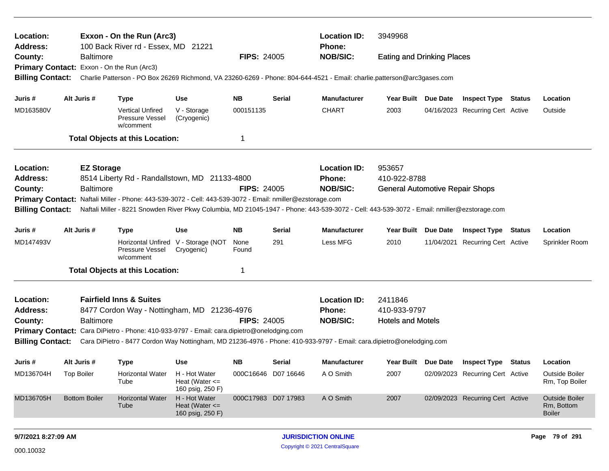| <b>Baltimore</b>                                                                                                                                                                                                                                                            | <b>FIPS: 24005</b>                                                                                                                                               |                                                                 |                                                                                                                                                                                             |                                               | <b>Location ID:</b><br><b>Phone:</b><br><b>NOB/SIC:</b>          | 3949968<br><b>Eating and Drinking Places</b>                                                                                                                         |        |                                                                                                                                                                                                                                                                                                                                                                                   |                                                                                                                                                                                                             |                                                                                                                                                                                                          |
|-----------------------------------------------------------------------------------------------------------------------------------------------------------------------------------------------------------------------------------------------------------------------------|------------------------------------------------------------------------------------------------------------------------------------------------------------------|-----------------------------------------------------------------|---------------------------------------------------------------------------------------------------------------------------------------------------------------------------------------------|-----------------------------------------------|------------------------------------------------------------------|----------------------------------------------------------------------------------------------------------------------------------------------------------------------|--------|-----------------------------------------------------------------------------------------------------------------------------------------------------------------------------------------------------------------------------------------------------------------------------------------------------------------------------------------------------------------------------------|-------------------------------------------------------------------------------------------------------------------------------------------------------------------------------------------------------------|----------------------------------------------------------------------------------------------------------------------------------------------------------------------------------------------------------|
|                                                                                                                                                                                                                                                                             |                                                                                                                                                                  |                                                                 |                                                                                                                                                                                             |                                               |                                                                  |                                                                                                                                                                      |        |                                                                                                                                                                                                                                                                                                                                                                                   |                                                                                                                                                                                                             |                                                                                                                                                                                                          |
|                                                                                                                                                                                                                                                                             | <b>Type</b>                                                                                                                                                      | <b>Use</b>                                                      | <b>NB</b>                                                                                                                                                                                   | <b>Serial</b>                                 | <b>Manufacturer</b>                                              |                                                                                                                                                                      |        |                                                                                                                                                                                                                                                                                                                                                                                   |                                                                                                                                                                                                             | Location                                                                                                                                                                                                 |
|                                                                                                                                                                                                                                                                             | <b>Vertical Unfired</b><br>Pressure Vessel<br>w/comment                                                                                                          | V - Storage<br>(Cryogenic)                                      | 000151135                                                                                                                                                                                   |                                               | <b>CHART</b>                                                     | 2003                                                                                                                                                                 |        |                                                                                                                                                                                                                                                                                                                                                                                   |                                                                                                                                                                                                             | Outside                                                                                                                                                                                                  |
|                                                                                                                                                                                                                                                                             |                                                                                                                                                                  |                                                                 | $\mathbf 1$                                                                                                                                                                                 |                                               |                                                                  |                                                                                                                                                                      |        |                                                                                                                                                                                                                                                                                                                                                                                   |                                                                                                                                                                                                             |                                                                                                                                                                                                          |
|                                                                                                                                                                                                                                                                             |                                                                                                                                                                  |                                                                 |                                                                                                                                                                                             |                                               |                                                                  |                                                                                                                                                                      |        |                                                                                                                                                                                                                                                                                                                                                                                   |                                                                                                                                                                                                             |                                                                                                                                                                                                          |
|                                                                                                                                                                                                                                                                             |                                                                                                                                                                  |                                                                 |                                                                                                                                                                                             |                                               |                                                                  |                                                                                                                                                                      |        |                                                                                                                                                                                                                                                                                                                                                                                   |                                                                                                                                                                                                             |                                                                                                                                                                                                          |
|                                                                                                                                                                                                                                                                             |                                                                                                                                                                  |                                                                 |                                                                                                                                                                                             |                                               |                                                                  |                                                                                                                                                                      |        |                                                                                                                                                                                                                                                                                                                                                                                   |                                                                                                                                                                                                             |                                                                                                                                                                                                          |
|                                                                                                                                                                                                                                                                             |                                                                                                                                                                  |                                                                 |                                                                                                                                                                                             |                                               |                                                                  |                                                                                                                                                                      |        |                                                                                                                                                                                                                                                                                                                                                                                   |                                                                                                                                                                                                             |                                                                                                                                                                                                          |
| <b>Billing Contact:</b>                                                                                                                                                                                                                                                     |                                                                                                                                                                  |                                                                 |                                                                                                                                                                                             |                                               |                                                                  |                                                                                                                                                                      |        |                                                                                                                                                                                                                                                                                                                                                                                   |                                                                                                                                                                                                             |                                                                                                                                                                                                          |
|                                                                                                                                                                                                                                                                             | <b>Type</b>                                                                                                                                                      | <b>Use</b>                                                      | <b>NB</b>                                                                                                                                                                                   | <b>Serial</b>                                 | <b>Manufacturer</b>                                              |                                                                                                                                                                      |        |                                                                                                                                                                                                                                                                                                                                                                                   | Status                                                                                                                                                                                                      | Location                                                                                                                                                                                                 |
|                                                                                                                                                                                                                                                                             | Pressure Vessel<br>w/comment                                                                                                                                     | Cryogenic)                                                      | None<br>Found                                                                                                                                                                               | 291                                           | Less MFG                                                         | 2010                                                                                                                                                                 |        |                                                                                                                                                                                                                                                                                                                                                                                   |                                                                                                                                                                                                             | Sprinkler Room                                                                                                                                                                                           |
|                                                                                                                                                                                                                                                                             |                                                                                                                                                                  |                                                                 | $\overline{1}$                                                                                                                                                                              |                                               |                                                                  |                                                                                                                                                                      |        |                                                                                                                                                                                                                                                                                                                                                                                   |                                                                                                                                                                                                             |                                                                                                                                                                                                          |
| Location:<br><b>Fairfield Inns &amp; Suites</b><br><b>Address:</b><br>8477 Cordon Way - Nottingham, MD 21236-4976<br><b>Baltimore</b><br><b>FIPS: 24005</b><br>County:<br><b>Primary Contact:</b> Cara DiPietro - Phone: 410-933-9797 - Email: cara.dipietro@onelodging.com |                                                                                                                                                                  |                                                                 |                                                                                                                                                                                             |                                               | <b>Location ID:</b><br>Phone:<br><b>NOB/SIC:</b>                 | 2411846                                                                                                                                                              |        |                                                                                                                                                                                                                                                                                                                                                                                   |                                                                                                                                                                                                             |                                                                                                                                                                                                          |
|                                                                                                                                                                                                                                                                             |                                                                                                                                                                  |                                                                 |                                                                                                                                                                                             |                                               |                                                                  |                                                                                                                                                                      |        |                                                                                                                                                                                                                                                                                                                                                                                   |                                                                                                                                                                                                             |                                                                                                                                                                                                          |
|                                                                                                                                                                                                                                                                             | <b>Type</b>                                                                                                                                                      | <b>Use</b>                                                      | <b>NB</b>                                                                                                                                                                                   | <b>Serial</b>                                 | <b>Manufacturer</b>                                              |                                                                                                                                                                      |        |                                                                                                                                                                                                                                                                                                                                                                                   |                                                                                                                                                                                                             | Location                                                                                                                                                                                                 |
|                                                                                                                                                                                                                                                                             | <b>Horizontal Water</b><br>Tube                                                                                                                                  | H - Hot Water<br>Heat (Water $\leq$<br>160 psig, 250 F)         |                                                                                                                                                                                             |                                               | A O Smith                                                        | 2007                                                                                                                                                                 |        |                                                                                                                                                                                                                                                                                                                                                                                   |                                                                                                                                                                                                             | Outside Boiler<br>Rm, Top Boiler                                                                                                                                                                         |
|                                                                                                                                                                                                                                                                             | <b>Horizontal Water</b><br>Tube                                                                                                                                  | H - Hot Water<br>Heat (Water $\leq$<br>160 psig, 250 F)         |                                                                                                                                                                                             |                                               | A O Smith                                                        | 2007                                                                                                                                                                 |        |                                                                                                                                                                                                                                                                                                                                                                                   |                                                                                                                                                                                                             | <b>Outside Boiler</b><br>Rm, Bottom<br><b>Boiler</b>                                                                                                                                                     |
|                                                                                                                                                                                                                                                                             | <b>Billing Contact:</b><br>Alt Juris #<br><b>Baltimore</b><br>Alt Juris #<br><b>Billing Contact:</b><br>Alt Juris #<br><b>Top Boiler</b><br><b>Bottom Boiler</b> | Primary Contact: Exxon - On the Run (Arc3)<br><b>EZ Storage</b> | Exxon - On the Run (Arc3)<br>100 Back River rd - Essex, MD 21221<br><b>Total Objects at this Location:</b><br>Horizontal Unfired V - Storage (NOT<br><b>Total Objects at this Location:</b> | 8514 Liberty Rd - Randallstown, MD 21133-4800 | <b>FIPS: 24005</b><br>000C16646 D07 16646<br>000C17983 D07 17983 | <b>Location ID:</b><br><b>Phone:</b><br><b>NOB/SIC:</b><br>Primary Contact: Naftali Miller - Phone: 443-539-3072 - Cell: 443-539-3072 - Email: nmiller@ezstorage.com | 953657 | Charlie Patterson - PO Box 26269 Richmond, VA 23260-6269 - Phone: 804-644-4521 - Email: charlie.patterson@arc3gases.com<br>Year Built Due Date<br>410-922-8788<br>Year Built Due Date<br>410-933-9797<br><b>Hotels and Motels</b><br>Cara DiPietro - 8477 Cordon Way Nottingham, MD 21236-4976 - Phone: 410-933-9797 - Email: cara.dipietro@onelodging.com<br>Year Built Due Date | <b>General Automotive Repair Shops</b><br>Naftali Miller - 8221 Snowden River Pkwy Columbia, MD 21045-1947 - Phone: 443-539-3072 - Cell: 443-539-3072 - Email: nmiller@ezstorage.com<br><b>Inspect Type</b> | <b>Inspect Type Status</b><br>04/16/2023 Recurring Cert Active<br>11/04/2021 Recurring Cert Active<br><b>Inspect Type Status</b><br>02/09/2023 Recurring Cert Active<br>02/09/2023 Recurring Cert Active |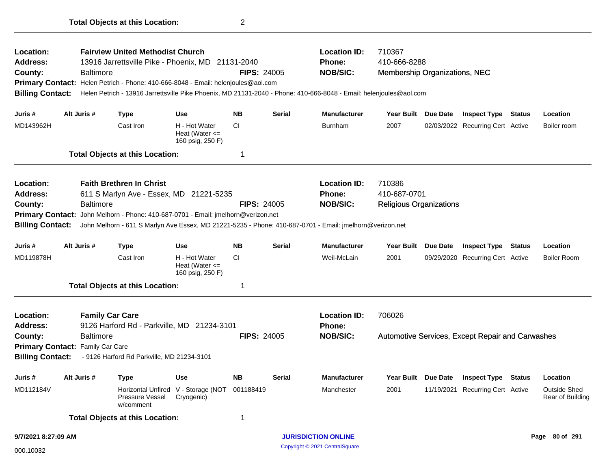| Location:               |                                                                                                                                     |                        | <b>Fairview United Methodist Church</b>                                           |                                                         |                            |               | <b>Location ID:</b><br>710367                                                                                      |                                |            |                                                  |               |                                  |
|-------------------------|-------------------------------------------------------------------------------------------------------------------------------------|------------------------|-----------------------------------------------------------------------------------|---------------------------------------------------------|----------------------------|---------------|--------------------------------------------------------------------------------------------------------------------|--------------------------------|------------|--------------------------------------------------|---------------|----------------------------------|
| Address:                |                                                                                                                                     |                        | 13916 Jarrettsville Pike - Phoenix, MD 21131-2040                                 |                                                         |                            |               | <b>Phone:</b>                                                                                                      | 410-666-8288                   |            |                                                  |               |                                  |
| County:                 |                                                                                                                                     | <b>Baltimore</b>       |                                                                                   |                                                         | <b>FIPS: 24005</b>         |               | <b>NOB/SIC:</b>                                                                                                    | Membership Organizations, NEC  |            |                                                  |               |                                  |
|                         |                                                                                                                                     |                        | Primary Contact: Helen Petrich - Phone: 410-666-8048 - Email: helenjoules@aol.com |                                                         |                            |               |                                                                                                                    |                                |            |                                                  |               |                                  |
| <b>Billing Contact:</b> |                                                                                                                                     |                        |                                                                                   |                                                         |                            |               | Helen Petrich - 13916 Jarrettsville Pike Phoenix, MD 21131-2040 - Phone: 410-666-8048 - Email: helenjoules@aol.com |                                |            |                                                  |               |                                  |
| Juris #                 |                                                                                                                                     | Alt Juris #            | <b>Type</b>                                                                       | <b>Use</b>                                              | <b>NB</b>                  | <b>Serial</b> | <b>Manufacturer</b>                                                                                                | Year Built Due Date            |            | <b>Inspect Type Status</b>                       |               | Location                         |
| MD143962H               |                                                                                                                                     |                        | Cast Iron                                                                         | H - Hot Water<br>Heat (Water $\leq$<br>160 psig, 250 F) | <b>CI</b>                  |               | <b>Burnham</b>                                                                                                     | 2007                           |            | 02/03/2022 Recurring Cert Active                 |               | Boiler room                      |
|                         |                                                                                                                                     |                        | <b>Total Objects at this Location:</b>                                            |                                                         | 1                          |               |                                                                                                                    |                                |            |                                                  |               |                                  |
| Location:               |                                                                                                                                     |                        | <b>Faith Brethren In Christ</b>                                                   |                                                         |                            |               | <b>Location ID:</b>                                                                                                | 710386                         |            |                                                  |               |                                  |
| <b>Address:</b>         |                                                                                                                                     |                        | 611 S Marlyn Ave - Essex, MD 21221-5235                                           |                                                         |                            |               | Phone:                                                                                                             | 410-687-0701                   |            |                                                  |               |                                  |
| County:                 |                                                                                                                                     | <b>Baltimore</b>       |                                                                                   |                                                         | <b>FIPS: 24005</b>         |               | <b>NOB/SIC:</b>                                                                                                    | <b>Religious Organizations</b> |            |                                                  |               |                                  |
| <b>Primary Contact:</b> |                                                                                                                                     |                        | John Melhorn - Phone: 410-687-0701 - Email: jmelhorn@verizon.net                  |                                                         |                            |               |                                                                                                                    |                                |            |                                                  |               |                                  |
|                         | John Melhorn - 611 S Marlyn Ave Essex, MD 21221-5235 - Phone: 410-687-0701 - Email: jmelhorn@verizon.net<br><b>Billing Contact:</b> |                        |                                                                                   |                                                         |                            |               |                                                                                                                    |                                |            |                                                  |               |                                  |
| Juris #                 |                                                                                                                                     | Alt Juris #            | <b>Type</b>                                                                       | <b>Use</b>                                              | <b>NB</b>                  | <b>Serial</b> | <b>Manufacturer</b>                                                                                                | <b>Year Built</b>              | Due Date   | <b>Inspect Type</b>                              | <b>Status</b> | Location                         |
| MD119878H               |                                                                                                                                     |                        | Cast Iron                                                                         | H - Hot Water<br>Heat (Water $\leq$<br>160 psig, 250 F) | <b>CI</b>                  |               | Weil-McLain                                                                                                        | 2001                           |            | 09/29/2020 Recurring Cert Active                 |               | <b>Boiler Room</b>               |
|                         |                                                                                                                                     |                        | <b>Total Objects at this Location:</b>                                            |                                                         | 1                          |               |                                                                                                                    |                                |            |                                                  |               |                                  |
| Location:               |                                                                                                                                     | <b>Family Car Care</b> |                                                                                   |                                                         |                            |               | <b>Location ID:</b>                                                                                                | 706026                         |            |                                                  |               |                                  |
| <b>Address:</b>         |                                                                                                                                     |                        | 9126 Harford Rd - Parkville, MD 21234-3101                                        |                                                         |                            |               | <b>Phone:</b>                                                                                                      |                                |            |                                                  |               |                                  |
| County:                 |                                                                                                                                     | <b>Baltimore</b>       |                                                                                   |                                                         | <b>FIPS: 24005</b>         |               | <b>NOB/SIC:</b>                                                                                                    |                                |            | Automotive Services, Except Repair and Carwashes |               |                                  |
|                         |                                                                                                                                     |                        |                                                                                   |                                                         |                            |               |                                                                                                                    |                                |            |                                                  |               |                                  |
|                         | Primary Contact: Family Car Care<br><b>Billing Contact:</b><br>- 9126 Harford Rd Parkville, MD 21234-3101                           |                        |                                                                                   |                                                         |                            |               |                                                                                                                    |                                |            |                                                  |               |                                  |
| Juris #                 |                                                                                                                                     | Alt Juris #            | <b>Type</b>                                                                       | <b>Use</b>                                              | <b>NB</b>                  | Serial        | <b>Manufacturer</b>                                                                                                | Year Built Due Date            |            | <b>Inspect Type Status</b>                       |               | Location                         |
| MD112184V               |                                                                                                                                     |                        | <b>Pressure Vessel</b><br>w/comment                                               | Horizontal Unfired V - Storage (NOT<br>Cryogenic)       | 001188419                  |               | Manchester                                                                                                         | 2001                           | 11/19/2021 | <b>Recurring Cert Active</b>                     |               | Outside Shed<br>Rear of Building |
|                         |                                                                                                                                     |                        | <b>Total Objects at this Location:</b>                                            |                                                         | 1                          |               |                                                                                                                    |                                |            |                                                  |               |                                  |
| 9/7/2021 8:27:09 AM     |                                                                                                                                     |                        |                                                                                   |                                                         | <b>JURISDICTION ONLINE</b> |               |                                                                                                                    |                                |            |                                                  |               | Page 80 of 291                   |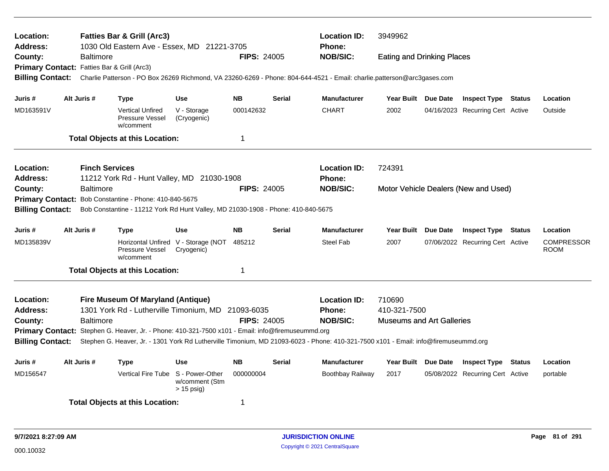| Location:<br><b>Address:</b>                                                                                                                                   |  |                       | <b>Fatties Bar &amp; Grill (Arc3)</b><br>1030 Old Eastern Ave - Essex, MD 21221-3705              |                                                   |                    |               | <b>Location ID:</b><br><b>Phone:</b>                                                                                    | 3949962                              |  |                                  |        |                                  |  |
|----------------------------------------------------------------------------------------------------------------------------------------------------------------|--|-----------------------|---------------------------------------------------------------------------------------------------|---------------------------------------------------|--------------------|---------------|-------------------------------------------------------------------------------------------------------------------------|--------------------------------------|--|----------------------------------|--------|----------------------------------|--|
| County:                                                                                                                                                        |  | <b>Baltimore</b>      |                                                                                                   |                                                   | <b>FIPS: 24005</b> |               | <b>NOB/SIC:</b>                                                                                                         | <b>Eating and Drinking Places</b>    |  |                                  |        |                                  |  |
| Primary Contact: Fatties Bar & Grill (Arc3)                                                                                                                    |  |                       |                                                                                                   |                                                   |                    |               |                                                                                                                         |                                      |  |                                  |        |                                  |  |
| <b>Billing Contact:</b>                                                                                                                                        |  |                       |                                                                                                   |                                                   |                    |               | Charlie Patterson - PO Box 26269 Richmond, VA 23260-6269 - Phone: 804-644-4521 - Email: charlie.patterson@arc3gases.com |                                      |  |                                  |        |                                  |  |
| Juris #                                                                                                                                                        |  | Alt Juris #           | <b>Type</b>                                                                                       | <b>Use</b>                                        | <b>NB</b>          | Serial        | <b>Manufacturer</b>                                                                                                     | Year Built Due Date                  |  | <b>Inspect Type Status</b>       |        | Location                         |  |
| MD163591V                                                                                                                                                      |  |                       | <b>Vertical Unfired</b><br>Pressure Vessel<br>w/comment                                           | V - Storage<br>(Cryogenic)                        | 000142632          |               | <b>CHART</b>                                                                                                            | 2002                                 |  | 04/16/2023 Recurring Cert Active |        | Outside                          |  |
|                                                                                                                                                                |  |                       | <b>Total Objects at this Location:</b>                                                            |                                                   | 1                  |               |                                                                                                                         |                                      |  |                                  |        |                                  |  |
| Location:                                                                                                                                                      |  | <b>Finch Services</b> |                                                                                                   |                                                   |                    |               | <b>Location ID:</b>                                                                                                     | 724391                               |  |                                  |        |                                  |  |
| <b>Address:</b>                                                                                                                                                |  |                       | 11212 York Rd - Hunt Valley, MD 21030-1908                                                        |                                                   |                    |               | <b>Phone:</b>                                                                                                           | Motor Vehicle Dealers (New and Used) |  |                                  |        |                                  |  |
| County:                                                                                                                                                        |  | <b>Baltimore</b>      |                                                                                                   |                                                   | <b>FIPS: 24005</b> |               | <b>NOB/SIC:</b>                                                                                                         |                                      |  |                                  |        |                                  |  |
| <b>Primary Contact:</b>                                                                                                                                        |  |                       | Bob Constantine - Phone: 410-840-5675                                                             |                                                   |                    |               |                                                                                                                         |                                      |  |                                  |        |                                  |  |
| <b>Billing Contact:</b><br>Bob Constantine - 11212 York Rd Hunt Valley, MD 21030-1908 - Phone: 410-840-5675                                                    |  |                       |                                                                                                   |                                                   |                    |               |                                                                                                                         |                                      |  |                                  |        |                                  |  |
| Juris #                                                                                                                                                        |  | Alt Juris #           | <b>Type</b>                                                                                       | Use                                               | <b>NB</b>          | Serial        | <b>Manufacturer</b>                                                                                                     | Year Built Due Date                  |  | <b>Inspect Type Status</b>       |        | Location                         |  |
| MD135839V                                                                                                                                                      |  |                       | Pressure Vessel<br>w/comment                                                                      | Horizontal Unfired V - Storage (NOT<br>Cryogenic) | 485212             |               | Steel Fab                                                                                                               | 2007                                 |  | 07/06/2022 Recurring Cert Active |        | <b>COMPRESSOR</b><br><b>ROOM</b> |  |
|                                                                                                                                                                |  |                       | <b>Total Objects at this Location:</b>                                                            |                                                   | 1                  |               |                                                                                                                         |                                      |  |                                  |        |                                  |  |
| Location:                                                                                                                                                      |  |                       | Fire Museum Of Maryland (Antique)                                                                 |                                                   |                    |               | <b>Location ID:</b>                                                                                                     | 710690                               |  |                                  |        |                                  |  |
| Address:                                                                                                                                                       |  |                       | 1301 York Rd - Lutherville Timonium, MD 21093-6035                                                |                                                   |                    |               | <b>Phone:</b>                                                                                                           | 410-321-7500                         |  |                                  |        |                                  |  |
| County:                                                                                                                                                        |  | Baltimore             |                                                                                                   |                                                   | <b>FIPS: 24005</b> |               | <b>NOB/SIC:</b>                                                                                                         | <b>Museums and Art Galleries</b>     |  |                                  |        |                                  |  |
|                                                                                                                                                                |  |                       | Primary Contact: Stephen G. Heaver, Jr. - Phone: 410-321-7500 x101 - Email: info@firemuseummd.org |                                                   |                    |               |                                                                                                                         |                                      |  |                                  |        |                                  |  |
| Stephen G. Heaver, Jr. - 1301 York Rd Lutherville Timonium, MD 21093-6023 - Phone: 410-321-7500 x101 - Email: info@firemuseummd.org<br><b>Billing Contact:</b> |  |                       |                                                                                                   |                                                   |                    |               |                                                                                                                         |                                      |  |                                  |        |                                  |  |
| Juris #                                                                                                                                                        |  | Alt Juris #           | <b>Type</b>                                                                                       | <b>Use</b>                                        | <b>NB</b>          | <b>Serial</b> | <b>Manufacturer</b>                                                                                                     | Year Built Due Date                  |  | <b>Inspect Type</b>              | Status | Location                         |  |
| MD156547                                                                                                                                                       |  |                       | Vertical Fire Tube S - Power-Other                                                                | w/comment (Stm<br>$> 15$ psig)                    | 000000004          |               | Boothbay Railway                                                                                                        | 2017                                 |  | 05/08/2022 Recurring Cert Active |        | portable                         |  |
|                                                                                                                                                                |  |                       | <b>Total Objects at this Location:</b>                                                            |                                                   | 1                  |               |                                                                                                                         |                                      |  |                                  |        |                                  |  |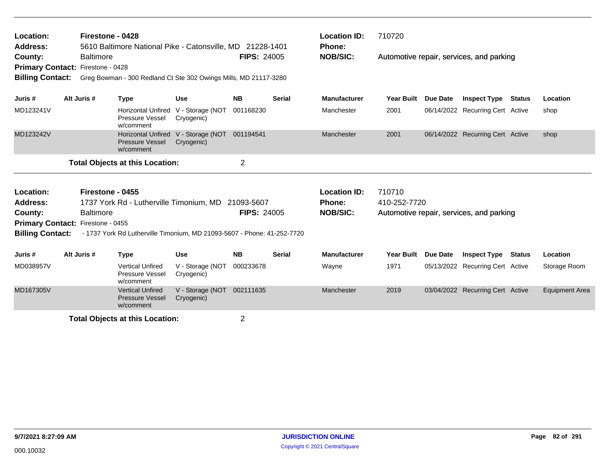| Location:<br>Address:<br>County:<br>Primary Contact: Firestone - 0428<br><b>Billing Contact:</b> | Firestone - 0428<br><b>Baltimore</b> | 5610 Baltimore National Pike - Catonsville, MD 21228-1401<br>Greg Bowman - 300 Redland Ct Ste 302 Owings Mills, MD 21117-3280 |                                                             | <b>FIPS: 24005</b>               |               | <b>Location ID:</b><br><b>Phone:</b><br><b>NOB/SIC:</b> | 710720                 |          | Automotive repair, services, and parking |        |                       |
|--------------------------------------------------------------------------------------------------|--------------------------------------|-------------------------------------------------------------------------------------------------------------------------------|-------------------------------------------------------------|----------------------------------|---------------|---------------------------------------------------------|------------------------|----------|------------------------------------------|--------|-----------------------|
| Juris #                                                                                          | Alt Juris #                          | <b>Type</b>                                                                                                                   | <b>Use</b>                                                  | <b>NB</b>                        | <b>Serial</b> | <b>Manufacturer</b>                                     | <b>Year Built</b>      | Due Date | <b>Inspect Type</b>                      | Status | Location              |
| MD123241V                                                                                        |                                      | Pressure Vessel<br>w/comment                                                                                                  | Horizontal Unfired V - Storage (NOT 001168230<br>Cryogenic) |                                  |               | Manchester                                              | 2001                   |          | 06/14/2022 Recurring Cert Active         |        | shop                  |
| MD123242V                                                                                        |                                      | Pressure Vessel<br>w/comment                                                                                                  | Horizontal Unfired V - Storage (NOT 001194541<br>Cryogenic) |                                  |               | Manchester                                              | 2001                   |          | 06/14/2022 Recurring Cert Active         |        | shop                  |
|                                                                                                  |                                      | <b>Total Objects at this Location:</b>                                                                                        |                                                             | $\overline{2}$                   |               |                                                         |                        |          |                                          |        |                       |
| Location:<br><b>Address:</b><br>County:<br>Primary Contact: Firestone - 0455                     | Firestone - 0455<br><b>Baltimore</b> | 1737 York Rd - Lutherville Timonium, MD                                                                                       |                                                             | 21093-5607<br><b>FIPS: 24005</b> |               | <b>Location ID:</b><br>Phone:<br><b>NOB/SIC:</b>        | 710710<br>410-252-7720 |          | Automotive repair, services, and parking |        |                       |
| <b>Billing Contact:</b>                                                                          |                                      | - 1737 York Rd Lutherville Timonium, MD 21093-5607 - Phone: 41-252-7720                                                       |                                                             |                                  |               |                                                         |                        |          |                                          |        |                       |
| Juris #                                                                                          | Alt Juris #                          | <b>Type</b>                                                                                                                   | <b>Use</b>                                                  | <b>NB</b>                        | <b>Serial</b> | <b>Manufacturer</b>                                     | <b>Year Built</b>      | Due Date | <b>Inspect Type</b>                      | Status | Location              |
| MD038957V                                                                                        |                                      | <b>Vertical Unfired</b><br>Pressure Vessel<br>w/comment                                                                       | V - Storage (NOT<br>Cryogenic)                              | 000233678                        |               | Wayne                                                   | 1971                   |          | 05/13/2022 Recurring Cert Active         |        | Storage Room          |
| MD167305V                                                                                        |                                      | <b>Vertical Unfired</b><br><b>Pressure Vessel</b><br>w/comment                                                                | V - Storage (NOT<br>Cryogenic)                              | 002111635                        |               | Manchester                                              | 2019                   |          | 03/04/2022 Recurring Cert Active         |        | <b>Equipment Area</b> |
|                                                                                                  |                                      |                                                                                                                               |                                                             |                                  |               |                                                         |                        |          |                                          |        |                       |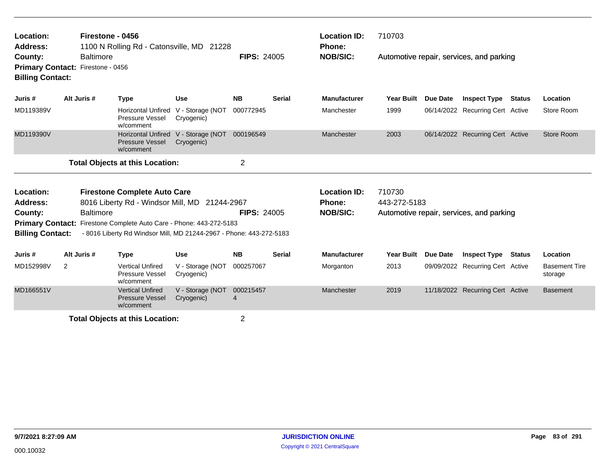| Location:<br><b>Address:</b><br>County:<br>Primary Contact: Firestone - 0456 |             | Firestone - 0456<br><b>Baltimore</b> |                                                                | 1100 N Rolling Rd - Catonsville, MD 21228                                                                                                  | <b>FIPS: 24005</b> |               | <b>Location ID:</b><br><b>Phone:</b><br><b>NOB/SIC:</b> | 710703<br>Automotive repair, services, and parking |                 |                                          |               |                                 |  |
|------------------------------------------------------------------------------|-------------|--------------------------------------|----------------------------------------------------------------|--------------------------------------------------------------------------------------------------------------------------------------------|--------------------|---------------|---------------------------------------------------------|----------------------------------------------------|-----------------|------------------------------------------|---------------|---------------------------------|--|
| <b>Billing Contact:</b>                                                      |             |                                      |                                                                |                                                                                                                                            |                    |               |                                                         |                                                    |                 |                                          |               |                                 |  |
| Juris #                                                                      | Alt Juris # |                                      | <b>Type</b>                                                    | <b>Use</b>                                                                                                                                 | <b>NB</b>          | <b>Serial</b> | <b>Manufacturer</b>                                     | Year Built                                         | Due Date        | <b>Inspect Type</b>                      | <b>Status</b> | Location                        |  |
| MD119389V                                                                    |             |                                      | Pressure Vessel<br>w/comment                                   | Horizontal Unfired V - Storage (NOT<br>Cryogenic)                                                                                          | 000772945          |               | Manchester                                              | 1999                                               |                 | 06/14/2022 Recurring Cert Active         |               | Store Room                      |  |
| MD119390V                                                                    |             |                                      | <b>Pressure Vessel</b><br>w/comment                            | Horizontal Unfired V - Storage (NOT<br>Cryogenic)                                                                                          | 000196549          |               | Manchester                                              | 2003                                               |                 | 06/14/2022 Recurring Cert Active         |               | Store Room                      |  |
|                                                                              |             |                                      | <b>Total Objects at this Location:</b>                         |                                                                                                                                            | $\overline{2}$     |               |                                                         |                                                    |                 |                                          |               |                                 |  |
| Location:                                                                    |             |                                      | <b>Firestone Complete Auto Care</b>                            |                                                                                                                                            |                    |               | <b>Location ID:</b>                                     | 710730                                             |                 |                                          |               |                                 |  |
| <b>Address:</b>                                                              |             |                                      |                                                                | 8016 Liberty Rd - Windsor Mill, MD 21244-2967                                                                                              |                    |               | Phone:                                                  | 443-272-5183                                       |                 |                                          |               |                                 |  |
| County:                                                                      |             | <b>Baltimore</b>                     |                                                                |                                                                                                                                            | <b>FIPS: 24005</b> |               | <b>NOB/SIC:</b>                                         |                                                    |                 | Automotive repair, services, and parking |               |                                 |  |
| <b>Billing Contact:</b>                                                      |             |                                      |                                                                | Primary Contact: Firestone Complete Auto Care - Phone: 443-272-5183<br>- 8016 Liberty Rd Windsor Mill, MD 21244-2967 - Phone: 443-272-5183 |                    |               |                                                         |                                                    |                 |                                          |               |                                 |  |
| Juris #                                                                      | Alt Juris # |                                      | <b>Type</b>                                                    | <b>Use</b>                                                                                                                                 | <b>NB</b>          | <b>Serial</b> | <b>Manufacturer</b>                                     | <b>Year Built</b>                                  | <b>Due Date</b> | <b>Inspect Type</b>                      | Status        | Location                        |  |
| MD152998V                                                                    | 2           |                                      | <b>Vertical Unfired</b><br>Pressure Vessel<br>w/comment        | V - Storage (NOT<br>Cryogenic)                                                                                                             | 000257067          |               | Morganton                                               | 2013                                               |                 | 09/09/2022 Recurring Cert Active         |               | <b>Basement Tire</b><br>storage |  |
| MD166551V                                                                    |             |                                      | <b>Vertical Unfired</b><br><b>Pressure Vessel</b><br>w/comment | V - Storage (NOT<br>Cryogenic)                                                                                                             | 000215457<br>4     |               | Manchester                                              | 2019                                               |                 | 11/18/2022 Recurring Cert Active         |               | <b>Basement</b>                 |  |
|                                                                              |             |                                      |                                                                |                                                                                                                                            | $\sim$             |               |                                                         |                                                    |                 |                                          |               |                                 |  |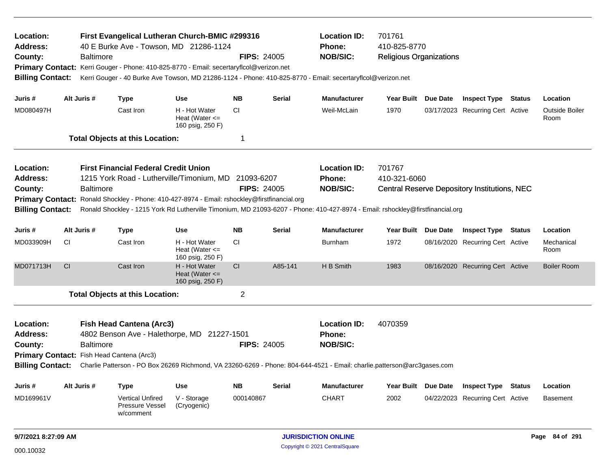| Location:<br><b>Address:</b><br>County:<br><b>Billing Contact:</b>                                                                                                                                                                                                                                                                                                                                                                                                           |    | <b>Baltimore</b> | First Evangelical Lutheran Church-BMIC #299316<br>40 E Burke Ave - Towson, MD 21286-1124<br>Primary Contact: Kerri Gouger - Phone: 410-825-8770 - Email: secertaryflcol@verizon.net |                                                         | <b>FIPS: 24005</b>               |               | <b>Location ID:</b><br>Phone:<br><b>NOB/SIC:</b><br>Kerri Gouger - 40 Burke Ave Towson, MD 21286-1124 - Phone: 410-825-8770 - Email: secertaryflcol@verizon.net                    | 701761<br>410-825-8770<br><b>Religious Organizations</b> |                 |                                                     |               |                               |
|------------------------------------------------------------------------------------------------------------------------------------------------------------------------------------------------------------------------------------------------------------------------------------------------------------------------------------------------------------------------------------------------------------------------------------------------------------------------------|----|------------------|-------------------------------------------------------------------------------------------------------------------------------------------------------------------------------------|---------------------------------------------------------|----------------------------------|---------------|------------------------------------------------------------------------------------------------------------------------------------------------------------------------------------|----------------------------------------------------------|-----------------|-----------------------------------------------------|---------------|-------------------------------|
| Juris #                                                                                                                                                                                                                                                                                                                                                                                                                                                                      |    | Alt Juris #      | <b>Type</b>                                                                                                                                                                         | Use                                                     | NB.                              | <b>Serial</b> | <b>Manufacturer</b>                                                                                                                                                                | Year Built Due Date                                      |                 | <b>Inspect Type Status</b>                          |               | Location                      |
| MD080497H                                                                                                                                                                                                                                                                                                                                                                                                                                                                    |    |                  | Cast Iron                                                                                                                                                                           | H - Hot Water<br>Heat (Water $\leq$<br>160 psig, 250 F) | <b>CI</b>                        |               | Weil-McLain                                                                                                                                                                        | 1970                                                     |                 | 03/17/2023 Recurring Cert Active                    |               | <b>Outside Boiler</b><br>Room |
|                                                                                                                                                                                                                                                                                                                                                                                                                                                                              |    |                  | <b>Total Objects at this Location:</b>                                                                                                                                              |                                                         |                                  |               |                                                                                                                                                                                    |                                                          |                 |                                                     |               |                               |
| <b>First Financial Federal Credit Union</b><br>Location:<br>1215 York Road - Lutherville/Timonium, MD<br><b>Address:</b><br>County:<br><b>Baltimore</b><br><b>Primary Contact:</b><br>Ronald Shockley - Phone: 410-427-8974 - Email: rshockley@firstfinancial.org<br><b>Billing Contact:</b><br>Ronald Shockley - 1215 York Rd Lutherville Timonium, MD 21093-6207 - Phone: 410-427-8974 - Email: rshockley@firstfinancial.org<br>Alt Juris #<br><b>NB</b><br>Use<br>Juris # |    |                  |                                                                                                                                                                                     |                                                         | 21093-6207<br><b>FIPS: 24005</b> |               | <b>Location ID:</b><br>Phone:<br><b>NOB/SIC:</b>                                                                                                                                   | 701767<br>410-321-6060                                   |                 | <b>Central Reserve Depository Institutions, NEC</b> |               |                               |
|                                                                                                                                                                                                                                                                                                                                                                                                                                                                              |    |                  | <b>Type</b>                                                                                                                                                                         |                                                         |                                  | <b>Serial</b> | <b>Manufacturer</b>                                                                                                                                                                | <b>Year Built</b>                                        | <b>Due Date</b> | <b>Inspect Type</b>                                 | <b>Status</b> | Location                      |
| MD033909H                                                                                                                                                                                                                                                                                                                                                                                                                                                                    | CI |                  | Cast Iron                                                                                                                                                                           | H - Hot Water<br>Heat (Water $\leq$<br>160 psig, 250 F) | CI.                              |               | Burnham                                                                                                                                                                            | 1972                                                     |                 | 08/16/2020 Recurring Cert Active                    |               | Mechanical<br>Room            |
| MD071713H                                                                                                                                                                                                                                                                                                                                                                                                                                                                    | CI |                  | Cast Iron                                                                                                                                                                           | H - Hot Water<br>Heat (Water $\leq$<br>160 psig, 250 F) | <b>CI</b>                        | A85-141       | H B Smith                                                                                                                                                                          | 1983                                                     |                 | 08/16/2020 Recurring Cert Active                    |               | <b>Boiler Room</b>            |
|                                                                                                                                                                                                                                                                                                                                                                                                                                                                              |    |                  | <b>Total Objects at this Location:</b>                                                                                                                                              |                                                         | $\overline{2}$                   |               |                                                                                                                                                                                    |                                                          |                 |                                                     |               |                               |
| Location:<br><b>Address:</b><br>County:<br><b>Billing Contact:</b>                                                                                                                                                                                                                                                                                                                                                                                                           |    | <b>Baltimore</b> | <b>Fish Head Cantena (Arc3)</b><br>4802 Benson Ave - Halethorpe, MD 21227-1501<br>Primary Contact: Fish Head Cantena (Arc3)                                                         |                                                         | <b>FIPS: 24005</b>               |               | <b>Location ID:</b><br><b>Phone:</b><br><b>NOB/SIC:</b><br>Charlie Patterson - PO Box 26269 Richmond, VA 23260-6269 - Phone: 804-644-4521 - Email: charlie.patterson@arc3gases.com | 4070359                                                  |                 |                                                     |               |                               |
| Juris#                                                                                                                                                                                                                                                                                                                                                                                                                                                                       |    | Alt Juris #      | <b>Type</b>                                                                                                                                                                         | <b>Use</b>                                              | <b>NB</b>                        | <b>Serial</b> | <b>Manufacturer</b>                                                                                                                                                                | Year Built                                               | <b>Due Date</b> | <b>Inspect Type</b>                                 | <b>Status</b> | Location                      |
| MD169961V                                                                                                                                                                                                                                                                                                                                                                                                                                                                    |    |                  | <b>Vertical Unfired</b><br>Pressure Vessel<br>w/comment                                                                                                                             | V - Storage<br>(Cryogenic)                              | 000140867                        |               | <b>CHART</b>                                                                                                                                                                       | 2002                                                     |                 | 04/22/2023 Recurring Cert Active                    |               | <b>Basement</b>               |
| 9/7/2021 8:27:09 AM                                                                                                                                                                                                                                                                                                                                                                                                                                                          |    |                  |                                                                                                                                                                                     |                                                         |                                  |               | <b>JURISDICTION ONLINE</b>                                                                                                                                                         |                                                          |                 |                                                     |               | Page 84 of 291                |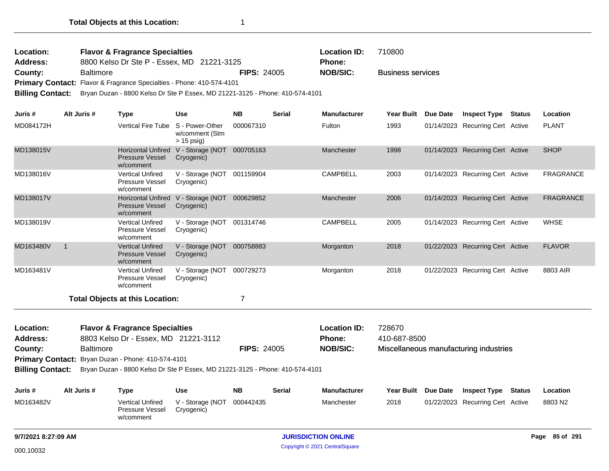| Location:       | <b>Flavor &amp; Fragrance Specialties</b>                                    |                    | <b>Location ID:</b> | 710800                   |
|-----------------|------------------------------------------------------------------------------|--------------------|---------------------|--------------------------|
| <b>Address:</b> | 8800 Kelso Dr Ste P - Essex, MD 21221-3125                                   |                    | Phone:              |                          |
| County:         | <b>Baltimore</b>                                                             | <b>FIPS: 24005</b> | NOB/SIC:            | <b>Business services</b> |
|                 | <b>Primary Contact:</b> Flavor & Fragrance Specialties - Phone: 410-574-4101 |                    |                     |                          |

**Billing Contact:** Bryan Duzan - 8800 Kelso Dr Ste P Essex, MD 21221-3125 - Phone: 410-574-4101

| Juris#                  | Alt Juris #      | <b>Type</b>                                                                  | <b>Use</b>                                                  | <b>NB</b>          | <b>Serial</b> | <b>Manufacturer</b> | <b>Year Built</b>   | Due Date | <b>Inspect Type</b>                    | Status | Location         |
|-------------------------|------------------|------------------------------------------------------------------------------|-------------------------------------------------------------|--------------------|---------------|---------------------|---------------------|----------|----------------------------------------|--------|------------------|
| MD084172H               |                  | Vertical Fire Tube S - Power-Other                                           | w/comment (Stm<br>$> 15$ psig)                              | 000067310          |               | Fulton              | 1993                |          | 01/14/2023 Recurring Cert Active       |        | <b>PLANT</b>     |
| MD138015V               |                  | <b>Pressure Vessel</b><br>w/comment                                          | Horizontal Unfired V - Storage (NOT 000705163<br>Cryogenic) |                    |               | Manchester          | 1998                |          | 01/14/2023 Recurring Cert Active       |        | <b>SHOP</b>      |
| MD138016V               |                  | <b>Vertical Unfired</b><br>Pressure Vessel<br>w/comment                      | V - Storage (NOT 001159904<br>Cryogenic)                    |                    |               | <b>CAMPBELL</b>     | 2003                |          | 01/14/2023 Recurring Cert Active       |        | <b>FRAGRANCE</b> |
| MD138017V               |                  | <b>Pressure Vessel</b><br>w/comment                                          | Horizontal Unfired V - Storage (NOT 000629852<br>Cryogenic) |                    |               | Manchester          | 2006                |          | 01/14/2023 Recurring Cert Active       |        | <b>FRAGRANCE</b> |
| MD138019V               |                  | <b>Vertical Unfired</b><br>Pressure Vessel<br>w/comment                      | V - Storage (NOT 001314746<br>Cryogenic)                    |                    |               | <b>CAMPBELL</b>     | 2005                |          | 01/14/2023 Recurring Cert Active       |        | <b>WHSE</b>      |
| MD163480V               | $\overline{1}$   | <b>Vertical Unfired</b><br><b>Pressure Vessel</b><br>w/comment               | V - Storage (NOT 000758883<br>Cryogenic)                    |                    |               | Morganton           | 2018                |          | 01/22/2023 Recurring Cert Active       |        | <b>FLAVOR</b>    |
| MD163481V               |                  | <b>Vertical Unfired</b><br>Pressure Vessel<br>w/comment                      | V - Storage (NOT<br>Cryogenic)                              | 000729273          |               | Morganton           | 2018                |          | 01/22/2023 Recurring Cert Active       |        | 8803 AIR         |
|                         |                  | <b>Total Objects at this Location:</b>                                       |                                                             | 7                  |               |                     |                     |          |                                        |        |                  |
| Location:               |                  | <b>Flavor &amp; Fragrance Specialties</b>                                    |                                                             |                    |               | <b>Location ID:</b> | 728670              |          |                                        |        |                  |
| Address:                |                  | 8803 Kelso Dr - Essex, MD 21221-3112                                         |                                                             |                    |               | <b>Phone:</b>       | 410-687-8500        |          |                                        |        |                  |
| County:                 | <b>Baltimore</b> |                                                                              |                                                             | <b>FIPS: 24005</b> |               | <b>NOB/SIC:</b>     |                     |          | Miscellaneous manufacturing industries |        |                  |
|                         |                  | Primary Contact: Bryan Duzan - Phone: 410-574-4101                           |                                                             |                    |               |                     |                     |          |                                        |        |                  |
| <b>Billing Contact:</b> |                  | Bryan Duzan - 8800 Kelso Dr Ste P Essex, MD 21221-3125 - Phone: 410-574-4101 |                                                             |                    |               |                     |                     |          |                                        |        |                  |
| Juris #                 | Alt Juris #      | <b>Type</b>                                                                  | <b>Use</b>                                                  | <b>NB</b>          | <b>Serial</b> | <b>Manufacturer</b> | Year Built Due Date |          | <b>Inspect Type</b>                    | Status | Location         |
| MD163482V               |                  | <b>Vertical Unfired</b><br>Pressure Vessel<br>w/comment                      | V - Storage (NOT<br>Cryogenic)                              | 000442435          |               | Manchester          | 2018                |          | 01/22/2023 Recurring Cert Active       |        | 8803 N2          |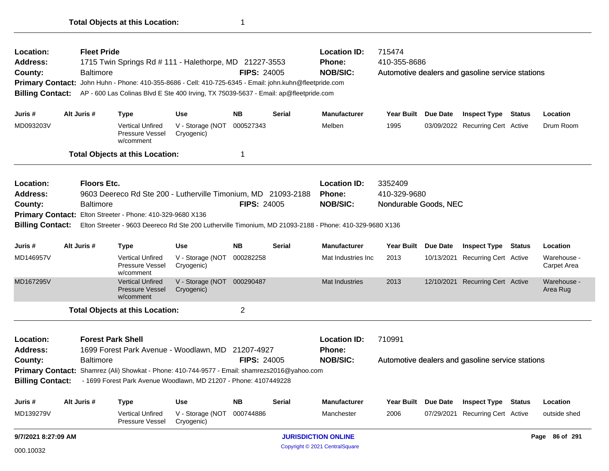| 9/7/2021 8:27:09 AM          |                                                                                                                                                                  |                          |                                                            |                                                                                                         |                    | <b>JURISDICTION ONLINE</b> |                                                                                                         |                         | Page 86 of 291                                   |                            |
|------------------------------|------------------------------------------------------------------------------------------------------------------------------------------------------------------|--------------------------|------------------------------------------------------------|---------------------------------------------------------------------------------------------------------|--------------------|----------------------------|---------------------------------------------------------------------------------------------------------|-------------------------|--------------------------------------------------|----------------------------|
| MD139279V                    |                                                                                                                                                                  |                          | Vertical Unfired<br>Pressure Vessel                        | V - Storage (NOT<br>Cryogenic)                                                                          | 000744886          |                            | Manchester                                                                                              | 2006                    | 07/29/2021 Recurring Cert Active                 | outside shed               |
| Juris #                      | Alt Juris #                                                                                                                                                      |                          | <b>Type</b>                                                | <b>Use</b>                                                                                              | <b>NB</b>          | <b>Serial</b>              | <b>Manufacturer</b>                                                                                     | Year Built Due Date     | <b>Inspect Type Status</b>                       | Location                   |
| <b>Billing Contact:</b>      |                                                                                                                                                                  |                          |                                                            |                                                                                                         |                    |                            |                                                                                                         |                         |                                                  |                            |
|                              | Primary Contact: Shamrez (Ali) Showkat - Phone: 410-744-9577 - Email: shamrezs2016@yahoo.com<br>- 1699 Forest Park Avenue Woodlawn, MD 21207 - Phone: 4107449228 |                          |                                                            |                                                                                                         |                    |                            |                                                                                                         |                         |                                                  |                            |
| County:                      | 1699 Forest Park Avenue - Woodlawn, MD 21207-4927<br><b>Baltimore</b><br><b>FIPS: 24005</b>                                                                      |                          |                                                            |                                                                                                         |                    |                            | <b>NOB/SIC:</b>                                                                                         |                         | Automotive dealers and gasoline service stations |                            |
| Address:                     |                                                                                                                                                                  |                          |                                                            |                                                                                                         |                    |                            | <b>Phone:</b>                                                                                           |                         |                                                  |                            |
| Location:                    |                                                                                                                                                                  | <b>Forest Park Shell</b> |                                                            |                                                                                                         |                    |                            | <b>Location ID:</b>                                                                                     | 710991                  |                                                  |                            |
|                              |                                                                                                                                                                  |                          | <b>Total Objects at this Location:</b>                     |                                                                                                         | $\overline{2}$     |                            |                                                                                                         |                         |                                                  |                            |
| MD167295V                    |                                                                                                                                                                  |                          | <b>Vertical Unfired</b><br>Pressure Vessel<br>w/comment    | V - Storage (NOT 000290487<br>Cryogenic)                                                                |                    |                            | <b>Mat Industries</b>                                                                                   | 2013                    | 12/10/2021 Recurring Cert Active                 | Warehouse -<br>Area Rug    |
| MD146957V                    |                                                                                                                                                                  |                          | <b>Vertical Unfired</b><br>Pressure Vessel<br>w/comment    | V - Storage (NOT 000282258<br>Cryogenic)                                                                |                    |                            | Mat Industries Inc                                                                                      | 2013                    | 10/13/2021 Recurring Cert Active                 | Warehouse -<br>Carpet Area |
| Juris #                      | Alt Juris #                                                                                                                                                      |                          | <b>Type</b>                                                | <b>Use</b>                                                                                              | <b>NB</b>          | Serial                     | <b>Manufacturer</b>                                                                                     | Year Built Due Date     | <b>Inspect Type Status</b>                       | Location                   |
| <b>Billing Contact:</b>      |                                                                                                                                                                  |                          |                                                            |                                                                                                         |                    |                            | Elton Streeter - 9603 Deereco Rd Ste 200 Lutherville Timonium, MD 21093-2188 - Phone: 410-329-9680 X136 |                         |                                                  |                            |
|                              |                                                                                                                                                                  |                          | Primary Contact: Elton Streeter - Phone: 410-329-9680 X136 |                                                                                                         |                    |                            |                                                                                                         |                         |                                                  |                            |
| County:                      |                                                                                                                                                                  | <b>Baltimore</b>         |                                                            |                                                                                                         | <b>FIPS: 24005</b> |                            | <b>NOB/SIC:</b>                                                                                         | Nondurable Goods, NEC   |                                                  |                            |
| Location:<br><b>Address:</b> |                                                                                                                                                                  | <b>Floors Etc.</b>       |                                                            | 9603 Deereco Rd Ste 200 - Lutherville Timonium, MD 21093-2188                                           |                    |                            | <b>Location ID:</b><br><b>Phone:</b>                                                                    | 3352409<br>410-329-9680 |                                                  |                            |
|                              |                                                                                                                                                                  |                          | <b>Total Objects at this Location:</b>                     |                                                                                                         | 1                  |                            |                                                                                                         |                         |                                                  |                            |
| MD093203V                    |                                                                                                                                                                  |                          | <b>Vertical Unfired</b><br>Pressure Vessel<br>w/comment    | V - Storage (NOT 000527343<br>Cryogenic)                                                                |                    |                            | Melben                                                                                                  | 1995                    | 03/09/2022 Recurring Cert Active                 | Drum Room                  |
| Juris #                      |                                                                                                                                                                  | Alt Juris #              | <b>Type</b>                                                | <b>Use</b>                                                                                              | <b>NB</b>          | <b>Serial</b>              | <b>Manufacturer</b>                                                                                     | Year Built Due Date     | <b>Inspect Type Status</b>                       | Location                   |
| <b>Billing Contact:</b>      |                                                                                                                                                                  |                          |                                                            | AP - 600 Las Colinas Blvd E Ste 400 Irving, TX 75039-5637 - Email: ap@fleetpride.com                    |                    |                            |                                                                                                         |                         |                                                  |                            |
|                              |                                                                                                                                                                  |                          |                                                            | Primary Contact: John Huhn - Phone: 410-355-8686 - Cell: 410-725-6345 - Email: john.kuhn@fleetpride.com |                    |                            |                                                                                                         |                         |                                                  |                            |
| <b>Address:</b><br>County:   |                                                                                                                                                                  | <b>Baltimore</b>         |                                                            | 1715 Twin Springs Rd # 111 - Halethorpe, MD 21227-3553                                                  | <b>FIPS: 24005</b> |                            | <b>Phone:</b><br><b>NOB/SIC:</b>                                                                        | 410-355-8686            | Automotive dealers and gasoline service stations |                            |
| Location:                    |                                                                                                                                                                  | <b>Fleet Pride</b>       |                                                            |                                                                                                         |                    |                            | <b>Location ID:</b>                                                                                     | 715474                  |                                                  |                            |

Copyright © 2021 CentralSquare 000.10032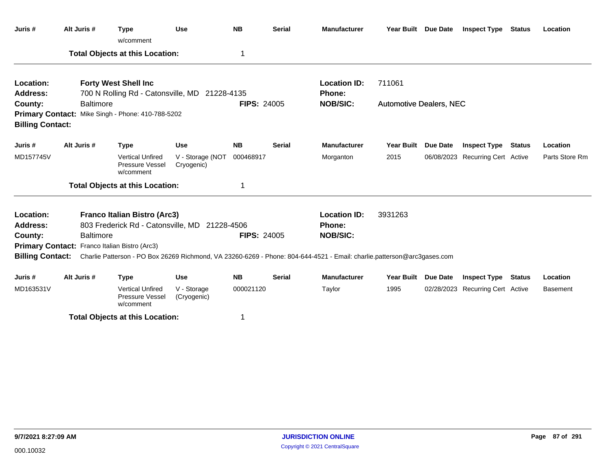| Juris #                 | Alt Juris #                                                                                                | <b>Type</b><br>w/comment                                                             | <b>Use</b>                     | <b>NB</b>          | <b>Serial</b> | <b>Manufacturer</b>                                                                                                     | Year Built Due Date            |                 | <b>Inspect Type Status</b>       |               | Location        |
|-------------------------|------------------------------------------------------------------------------------------------------------|--------------------------------------------------------------------------------------|--------------------------------|--------------------|---------------|-------------------------------------------------------------------------------------------------------------------------|--------------------------------|-----------------|----------------------------------|---------------|-----------------|
|                         |                                                                                                            | <b>Total Objects at this Location:</b>                                               |                                | 1                  |               |                                                                                                                         |                                |                 |                                  |               |                 |
| Location:               |                                                                                                            | <b>Forty West Shell Inc</b>                                                          |                                |                    |               | <b>Location ID:</b>                                                                                                     | 711061                         |                 |                                  |               |                 |
| <b>Address:</b>         |                                                                                                            | 700 N Rolling Rd - Catonsville, MD 21228-4135                                        |                                |                    |               | <b>Phone:</b>                                                                                                           |                                |                 |                                  |               |                 |
| County:                 | <b>Baltimore</b>                                                                                           |                                                                                      |                                | <b>FIPS: 24005</b> |               | <b>NOB/SIC:</b>                                                                                                         | <b>Automotive Dealers, NEC</b> |                 |                                  |               |                 |
| <b>Billing Contact:</b> | Primary Contact: Mike Singh - Phone: 410-788-5202<br>Alt Juris #<br><b>NB</b><br><b>Type</b><br><b>Use</b> |                                                                                      |                                |                    |               |                                                                                                                         |                                |                 |                                  |               |                 |
| Juris #                 |                                                                                                            |                                                                                      |                                |                    | <b>Serial</b> | <b>Manufacturer</b>                                                                                                     | <b>Year Built</b>              | <b>Due Date</b> | <b>Inspect Type</b>              | <b>Status</b> | Location        |
| MD157745V               |                                                                                                            | <b>Vertical Unfired</b><br>Pressure Vessel<br>w/comment                              | V - Storage (NOT<br>Cryogenic) | 000468917          |               | Morganton                                                                                                               | 2015                           |                 | 06/08/2023 Recurring Cert Active |               | Parts Store Rm  |
|                         |                                                                                                            | <b>Total Objects at this Location:</b>                                               |                                |                    |               |                                                                                                                         |                                |                 |                                  |               |                 |
| Location:<br>Address:   |                                                                                                            | <b>Franco Italian Bistro (Arc3)</b><br>803 Frederick Rd - Catonsville, MD 21228-4506 |                                |                    |               | <b>Location ID:</b><br><b>Phone:</b>                                                                                    | 3931263                        |                 |                                  |               |                 |
| County:                 | <b>Baltimore</b>                                                                                           |                                                                                      |                                | <b>FIPS: 24005</b> |               | <b>NOB/SIC:</b>                                                                                                         |                                |                 |                                  |               |                 |
|                         |                                                                                                            | Primary Contact: Franco Italian Bistro (Arc3)                                        |                                |                    |               |                                                                                                                         |                                |                 |                                  |               |                 |
| <b>Billing Contact:</b> |                                                                                                            |                                                                                      |                                |                    |               | Charlie Patterson - PO Box 26269 Richmond, VA 23260-6269 - Phone: 804-644-4521 - Email: charlie.patterson@arc3gases.com |                                |                 |                                  |               |                 |
| Juris #                 | Alt Juris #                                                                                                | <b>Type</b>                                                                          | <b>Use</b>                     | <b>NB</b>          | <b>Serial</b> | <b>Manufacturer</b>                                                                                                     | <b>Year Built</b>              | <b>Due Date</b> | <b>Inspect Type</b>              | <b>Status</b> | Location        |
| MD163531V               |                                                                                                            | <b>Vertical Unfired</b><br>Pressure Vessel<br>w/comment                              | V - Storage<br>(Cryogenic)     | 000021120          |               | Taylor                                                                                                                  | 1995                           |                 | 02/28/2023 Recurring Cert Active |               | <b>Basement</b> |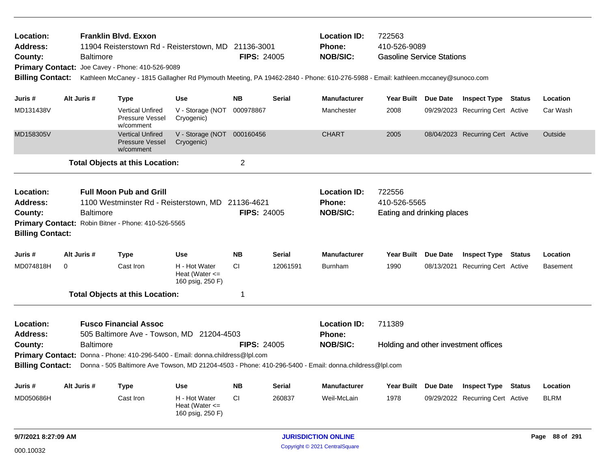| <b>Location:</b><br>Address:<br>County:<br><b>Primary Contact:</b><br><b>Billing Contact:</b> |                                                                                                                                                                | Baltimore        | <b>Franklin Blvd. Exxon</b><br>Joe Cavey - Phone: 410-526-9089 | 11904 Reisterstown Rd - Reisterstown, MD 21136-3001                                                                        | <b>FIPS: 24005</b> |               | <b>Location ID:</b><br>Phone:<br><b>NOB/SIC:</b><br>Kathleen McCaney - 1815 Gallagher Rd Plymouth Meeting, PA 19462-2840 - Phone: 610-276-5988 - Email: kathleen.mccaney@sunoco.com | 722563<br>410-526-9089<br><b>Gasoline Service Stations</b> |                                  |        |             |
|-----------------------------------------------------------------------------------------------|----------------------------------------------------------------------------------------------------------------------------------------------------------------|------------------|----------------------------------------------------------------|----------------------------------------------------------------------------------------------------------------------------|--------------------|---------------|-------------------------------------------------------------------------------------------------------------------------------------------------------------------------------------|------------------------------------------------------------|----------------------------------|--------|-------------|
| Juris #                                                                                       |                                                                                                                                                                | Alt Juris #      | <b>Type</b>                                                    | <b>Use</b>                                                                                                                 | <b>NB</b>          | <b>Serial</b> | <b>Manufacturer</b>                                                                                                                                                                 | Year Built Due Date                                        | <b>Inspect Type Status</b>       |        | Location    |
| MD131438V                                                                                     |                                                                                                                                                                |                  | <b>Vertical Unfired</b><br>Pressure Vessel<br>w/comment        | V - Storage (NOT<br>Cryogenic)                                                                                             | 000978867          |               | Manchester                                                                                                                                                                          | 2008                                                       | 09/29/2023 Recurring Cert Active |        | Car Wash    |
| MD158305V                                                                                     |                                                                                                                                                                |                  | <b>Vertical Unfired</b><br><b>Pressure Vessel</b><br>w/comment | V - Storage (NOT 000160456<br>Cryogenic)                                                                                   |                    |               | <b>CHART</b>                                                                                                                                                                        | 2005                                                       | 08/04/2023 Recurring Cert Active |        | Outside     |
|                                                                                               |                                                                                                                                                                |                  | <b>Total Objects at this Location:</b>                         |                                                                                                                            | $\overline{2}$     |               |                                                                                                                                                                                     |                                                            |                                  |        |             |
| <b>Location:</b><br>Address:<br>County:<br><b>Billing Contact:</b>                            | <b>Full Moon Pub and Grill</b><br>1100 Westminster Rd - Reisterstown, MD 21136-4621<br><b>Baltimore</b><br>Primary Contact: Robin Bitner - Phone: 410-526-5565 |                  |                                                                |                                                                                                                            | <b>FIPS: 24005</b> |               | <b>Location ID:</b><br><b>Phone:</b><br><b>NOB/SIC:</b>                                                                                                                             | 722556<br>410-526-5565<br>Eating and drinking places       |                                  |        |             |
| Juris #                                                                                       |                                                                                                                                                                | Alt Juris #      | <b>Type</b>                                                    | <b>Use</b>                                                                                                                 | <b>NB</b>          | <b>Serial</b> | <b>Manufacturer</b>                                                                                                                                                                 | Year Built Due Date                                        | <b>Inspect Type Status</b>       |        | Location    |
| MD074818H                                                                                     | 0                                                                                                                                                              |                  | Cast Iron                                                      | H - Hot Water<br>Heat (Water $\leq$<br>160 psig, 250 F)                                                                    | <b>CI</b>          | 12061591      | <b>Burnham</b>                                                                                                                                                                      | 1990                                                       | 08/13/2021 Recurring Cert Active |        | Basement    |
|                                                                                               |                                                                                                                                                                |                  | <b>Total Objects at this Location:</b>                         |                                                                                                                            | 1                  |               |                                                                                                                                                                                     |                                                            |                                  |        |             |
| <b>Location:</b><br><b>Address:</b><br>County:<br><b>Billing Contact:</b>                     |                                                                                                                                                                | <b>Baltimore</b> | <b>Fusco Financial Assoc</b>                                   | 505 Baltimore Ave - Towson, MD 21204-4503<br>Primary Contact: Donna - Phone: 410-296-5400 - Email: donna.childress@lpl.com | <b>FIPS: 24005</b> |               | <b>Location ID:</b><br>Phone:<br><b>NOB/SIC:</b><br>Donna - 505 Baltimore Ave Towson, MD 21204-4503 - Phone: 410-296-5400 - Email: donna.childress@lpl.com                          | 711389<br>Holding and other investment offices             |                                  |        |             |
| Juris #                                                                                       |                                                                                                                                                                | Alt Juris #      | <b>Type</b>                                                    | <b>Use</b>                                                                                                                 | <b>NB</b>          | <b>Serial</b> | <b>Manufacturer</b>                                                                                                                                                                 | Year Built Due Date                                        | <b>Inspect Type</b>              | Status | Location    |
| MD050686H                                                                                     |                                                                                                                                                                |                  | Cast Iron                                                      | H - Hot Water<br>Heat (Water $\leq$<br>160 psig, 250 F)                                                                    | <b>CI</b>          | 260837        | Weil-McLain                                                                                                                                                                         | 1978                                                       | 09/29/2022 Recurring Cert Active |        | <b>BLRM</b> |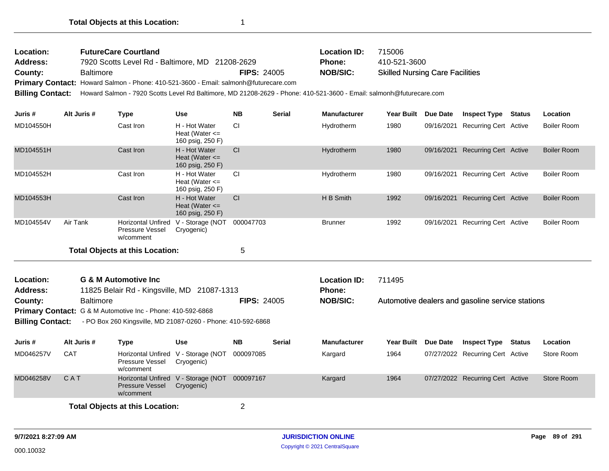| <b>Location:</b> | <b>FutureCare Courtland</b>                                                                                                          |                    | <b>Location ID:</b> | 715006                                 |
|------------------|--------------------------------------------------------------------------------------------------------------------------------------|--------------------|---------------------|----------------------------------------|
| Address:         | 7920 Scotts Level Rd - Baltimore, MD 21208-2629                                                                                      |                    | <b>Phone:</b>       | 410-521-3600                           |
| County:          | <b>Baltimore</b>                                                                                                                     | <b>FIPS: 24005</b> | <b>NOB/SIC:</b>     | <b>Skilled Nursing Care Facilities</b> |
|                  | Primary Contact: Howard Salmon - Phone: 410-521-3600 - Email: salmonh@futurecare.com                                                 |                    |                     |                                        |
|                  | Billing Contact: Howard Salmon - 7920 Scotts Level Rd Baltimore, MD 21208-2629 - Phone: 410-521-3600 - Email: salmonh@futurecare.com |                    |                     |                                        |

**Juris # Alt Juris # Type Use NB Serial Manufacturer Year Built Due Date Inspect Type Status Location** MD104550H Cast Iron H - Hot Water Hydrotherm 1980 09/16/2021 Heat (Water <= 160 psig, 250 F) CI CI Recurring Cert Active Boiler Room CI Recurring Cert Active Boiler Room MD104551H Cast Iron H - Hot Water Hydrotherm 1980 09/16/2021 Heat (Water <= 160 psig, 250 F) CI Recurring Cert Active Boiler Room Nydrotherm 1980 09/16/2021 Recurring Cert Active Boiler Room MD104552H Cast Iron H - Hot Water Hydrotherm 1980 09/16/2021 Heat (Water  $\leq$ 160 psig, 250 F) CI Recurring Cert Active Boiler Room Nydrotherm 1980 09/16/2021 Recurring Cert Active Boiler Room MD104553H Cast Iron H - Hot Water H B Smith 1992 09/16/2021 Heat (Water  $\leq$ 160 psig, 250 F) CI BSmith 1992 09/16/2021 Recurring Cert Active Boiler Room MD104554V Horizontal Unfired Brunner 1992 09/16/2021 V - Storage (NOT Pressure Vessel w/comment Cryogenic) Air Tank Horizontal Unfired V - Storage (NOT 000047703 Brunner 1992 09/16/2021 Recurring Cert Active Boiler Room **Total Objects at this Location:** 5 Automotive dealers and gasoline service stations 11825 Belair Rd - Kingsville, MD 21087-1313 **County:** Baltimore **NOB/SIC: RIPS:** 24005 **NOB/SIC:** Primary Contact: G & M Automotive Inc - Phone: 410-592-6868 **Billing Contact:** - PO Box 260 Kingsville, MD 21087-0260 - Phone: 410-592-6868 **G & M Automotive Inc Location ID:** 711495 **Address: Location: Phone: Juris # Alt Juris # Type Use NB Serial Manufacturer Year Built Due Date Inspect Type Status Location** MD046257V CAT Horizontal Unfired V - Storage (NOT 000097085 Kargard 1964 07/27/2022 Recurring Cert Active Store Room Pressure Vessel w/comment Cryogenic) MD046258V CAT Solontal Unfired V - Storage (NOT 000097167 Kargard 1964 07/27/2022 Recurring Cert Active Store Room Pressure Vessel Cryogenic) w/comment **Total Objects at this Location:** 2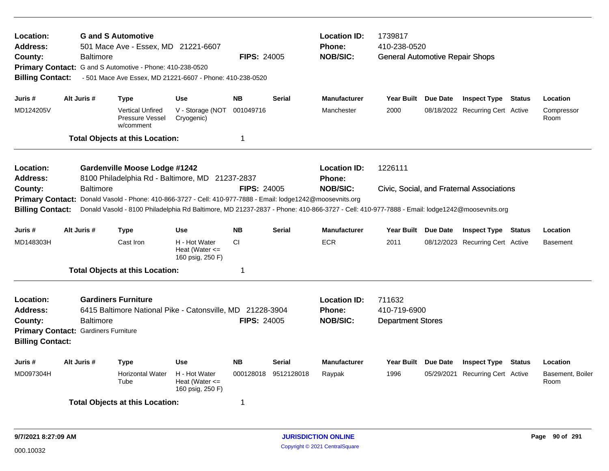| Location:<br><b>Address:</b><br>County:<br><b>Billing Contact:</b>                                                                                                                                                                                                                                                     | Baltimore                                                | <b>G</b> and S Automotive<br>501 Mace Ave - Essex, MD 21221-6607<br>Primary Contact: G and S Automotive - Phone: 410-238-0520<br>- 501 Mace Ave Essex, MD 21221-6607 - Phone: 410-238-0520 |                                                         | <b>FIPS: 24005</b> |                      | <b>Location ID:</b><br><b>Phone:</b><br><b>NOB/SIC:</b> | 1739817<br>410-238-0520<br><b>General Automotive Repair Shops</b> |          |                                           |                          |
|------------------------------------------------------------------------------------------------------------------------------------------------------------------------------------------------------------------------------------------------------------------------------------------------------------------------|----------------------------------------------------------|--------------------------------------------------------------------------------------------------------------------------------------------------------------------------------------------|---------------------------------------------------------|--------------------|----------------------|---------------------------------------------------------|-------------------------------------------------------------------|----------|-------------------------------------------|--------------------------|
| Juris #                                                                                                                                                                                                                                                                                                                | Alt Juris #                                              | <b>Type</b>                                                                                                                                                                                | <b>Use</b>                                              | <b>NB</b>          | <b>Serial</b>        | <b>Manufacturer</b>                                     | Year Built Due Date                                               |          | <b>Inspect Type Status</b>                | Location                 |
| MD124205V                                                                                                                                                                                                                                                                                                              |                                                          | <b>Vertical Unfired</b><br>Pressure Vessel<br>w/comment                                                                                                                                    | V - Storage (NOT<br>Cryogenic)                          | 001049716          |                      | Manchester                                              | 2000                                                              |          | 08/18/2022 Recurring Cert Active          | Compressor<br>Room       |
|                                                                                                                                                                                                                                                                                                                        |                                                          | <b>Total Objects at this Location:</b>                                                                                                                                                     |                                                         | 1                  |                      |                                                         |                                                                   |          |                                           |                          |
| Location:<br><b>Address:</b>                                                                                                                                                                                                                                                                                           |                                                          | <b>Gardenville Moose Lodge #1242</b><br>8100 Philadelphia Rd - Baltimore, MD 21237-2837                                                                                                    |                                                         |                    |                      | <b>Location ID:</b><br><b>Phone:</b>                    | 1226111                                                           |          |                                           |                          |
| County:<br>Baltimore<br><b>Primary Contact:</b><br>Donald Vasold - Phone: 410-866-3727 - Cell: 410-977-7888 - Email: lodge1242@moosevnits.org<br><b>Billing Contact:</b><br>Donald Vasold - 8100 Philadelphia Rd Baltimore, MD 21237-2837 - Phone: 410-866-3727 - Cell: 410-977-7888 - Email: lodge1242@moosevnits.org |                                                          |                                                                                                                                                                                            |                                                         |                    | <b>FIPS: 24005</b>   | <b>NOB/SIC:</b>                                         |                                                                   |          | Civic, Social, and Fraternal Associations |                          |
| Juris #                                                                                                                                                                                                                                                                                                                | Alt Juris #                                              | <b>Type</b>                                                                                                                                                                                | Use                                                     | <b>NB</b>          | <b>Serial</b>        | <b>Manufacturer</b>                                     | Year Built Due Date                                               |          | <b>Inspect Type Status</b>                | Location                 |
| MD148303H                                                                                                                                                                                                                                                                                                              |                                                          | Cast Iron                                                                                                                                                                                  | H - Hot Water<br>Heat (Water $\leq$<br>160 psig, 250 F) | <b>CI</b>          |                      | <b>ECR</b>                                              | 2011                                                              |          | 08/12/2023 Recurring Cert Active          | Basement                 |
|                                                                                                                                                                                                                                                                                                                        |                                                          | <b>Total Objects at this Location:</b>                                                                                                                                                     |                                                         | 1                  |                      |                                                         |                                                                   |          |                                           |                          |
| Location:<br><b>Address:</b><br>County:<br><b>Billing Contact:</b>                                                                                                                                                                                                                                                     | Baltimore<br><b>Primary Contact: Gardiners Furniture</b> | <b>Gardiners Furniture</b><br>6415 Baltimore National Pike - Catonsville, MD 21228-3904                                                                                                    |                                                         | <b>FIPS: 24005</b> |                      | <b>Location ID:</b><br>Phone:<br><b>NOB/SIC:</b>        | 711632<br>410-719-6900<br><b>Department Stores</b>                |          |                                           |                          |
| Juris #                                                                                                                                                                                                                                                                                                                | Alt Juris #                                              | <b>Type</b>                                                                                                                                                                                | <b>Use</b>                                              | <b>NB</b>          | <b>Serial</b>        | <b>Manufacturer</b>                                     | <b>Year Built</b>                                                 | Due Date | <b>Inspect Type Status</b>                | Location                 |
| MD097304H                                                                                                                                                                                                                                                                                                              |                                                          | <b>Horizontal Water</b><br>Tube                                                                                                                                                            | H - Hot Water<br>Heat (Water $\leq$<br>160 psig, 250 F) |                    | 000128018 9512128018 | Raypak                                                  | 1996                                                              |          | 05/29/2021 Recurring Cert Active          | Basement, Boiler<br>Room |
|                                                                                                                                                                                                                                                                                                                        |                                                          | <b>Total Objects at this Location:</b>                                                                                                                                                     |                                                         | 1                  |                      |                                                         |                                                                   |          |                                           |                          |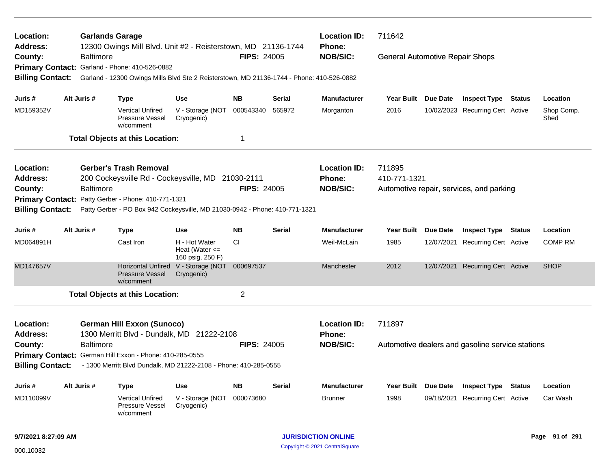| Location:<br>Address:   |                                                          | <b>Garlands Garage</b><br>12300 Owings Mill Blvd. Unit #2 - Reisterstown, MD 21136-1744   |                                                         |                    |               | <b>Location ID:</b><br>Phone: | 711642                                 |          |                                                  |               |                    |
|-------------------------|----------------------------------------------------------|-------------------------------------------------------------------------------------------|---------------------------------------------------------|--------------------|---------------|-------------------------------|----------------------------------------|----------|--------------------------------------------------|---------------|--------------------|
| County:                 | <b>Baltimore</b>                                         |                                                                                           |                                                         | <b>FIPS: 24005</b> |               | <b>NOB/SIC:</b>               | <b>General Automotive Repair Shops</b> |          |                                                  |               |                    |
|                         |                                                          | Primary Contact: Garland - Phone: 410-526-0882                                            |                                                         |                    |               |                               |                                        |          |                                                  |               |                    |
| <b>Billing Contact:</b> |                                                          | Garland - 12300 Owings Mills Blvd Ste 2 Reisterstown, MD 21136-1744 - Phone: 410-526-0882 |                                                         |                    |               |                               |                                        |          |                                                  |               |                    |
| Juris #                 | Alt Juris #                                              | Type                                                                                      | <b>Use</b>                                              | <b>NB</b>          | Serial        | <b>Manufacturer</b>           | <b>Year Built</b>                      | Due Date | <b>Inspect Type</b>                              | Status        | Location           |
| MD159352V               |                                                          | <b>Vertical Unfired</b><br>Pressure Vessel<br>w/comment                                   | V - Storage (NOT<br>Cryogenic)                          | 000543340          | 565972        | Morganton                     | 2016                                   |          | 10/02/2023 Recurring Cert Active                 |               | Shop Comp.<br>Shed |
|                         |                                                          | <b>Total Objects at this Location:</b>                                                    |                                                         | 1                  |               |                               |                                        |          |                                                  |               |                    |
| Location:               |                                                          | <b>Gerber's Trash Removal</b>                                                             |                                                         |                    |               | <b>Location ID:</b>           | 711895                                 |          |                                                  |               |                    |
| Address:                |                                                          | 200 Cockeysville Rd - Cockeysville, MD 21030-2111                                         |                                                         |                    |               | Phone:                        | 410-771-1321                           |          |                                                  |               |                    |
| County:                 | <b>Baltimore</b>                                         |                                                                                           |                                                         | <b>FIPS: 24005</b> |               | <b>NOB/SIC:</b>               |                                        |          | Automotive repair, services, and parking         |               |                    |
| <b>Primary Contact:</b> |                                                          | Patty Gerber - Phone: 410-771-1321                                                        |                                                         |                    |               |                               |                                        |          |                                                  |               |                    |
| <b>Billing Contact:</b> |                                                          | Patty Gerber - PO Box 942 Cockeysville, MD 21030-0942 - Phone: 410-771-1321               |                                                         |                    |               |                               |                                        |          |                                                  |               |                    |
| Juris #                 | Alt Juris #                                              | Type                                                                                      | <b>Use</b>                                              | <b>NB</b>          | Serial        | <b>Manufacturer</b>           | <b>Year Built</b>                      | Due Date | <b>Inspect Type</b>                              | Status        | Location           |
| MD064891H               |                                                          | Cast Iron                                                                                 | H - Hot Water<br>Heat (Water $\leq$<br>160 psig, 250 F) | <b>CI</b>          |               | Weil-McLain                   | 1985                                   |          | 12/07/2021 Recurring Cert Active                 |               | <b>COMP RM</b>     |
| MD147657V               |                                                          | <b>Horizontal Unfired</b><br><b>Pressure Vessel</b><br>w/comment                          | V - Storage (NOT<br>Cryogenic)                          | 000697537          |               | Manchester                    | 2012                                   |          | 12/07/2021 Recurring Cert Active                 |               | <b>SHOP</b>        |
|                         |                                                          | <b>Total Objects at this Location:</b>                                                    |                                                         | $\overline{c}$     |               |                               |                                        |          |                                                  |               |                    |
| Location:<br>Address:   |                                                          | <b>German Hill Exxon (Sunoco)</b><br>1300 Merritt Blvd - Dundalk, MD 21222-2108           |                                                         |                    |               | <b>Location ID:</b><br>Phone: | 711897                                 |          |                                                  |               |                    |
| County:                 | <b>Baltimore</b>                                         |                                                                                           |                                                         | <b>FIPS: 24005</b> |               | <b>NOB/SIC:</b>               |                                        |          | Automotive dealers and gasoline service stations |               |                    |
|                         | Primary Contact: German Hill Exxon - Phone: 410-285-0555 |                                                                                           |                                                         |                    |               |                               |                                        |          |                                                  |               |                    |
| <b>Billing Contact:</b> |                                                          | - 1300 Merritt Blvd Dundalk, MD 21222-2108 - Phone: 410-285-0555                          |                                                         |                    |               |                               |                                        |          |                                                  |               |                    |
| Juris #                 | Alt Juris #                                              | Type                                                                                      | <b>Use</b>                                              | <b>NB</b>          | <b>Serial</b> | <b>Manufacturer</b>           | Year Built                             | Due Date | <b>Inspect Type</b>                              | <b>Status</b> | Location           |
| MD110099V               |                                                          | <b>Vertical Unfired</b><br>Pressure Vessel<br>w/comment                                   | V - Storage (NOT<br>Cryogenic)                          | 000073680          |               | <b>Brunner</b>                | 1998                                   |          | 09/18/2021 Recurring Cert Active                 |               | Car Wash           |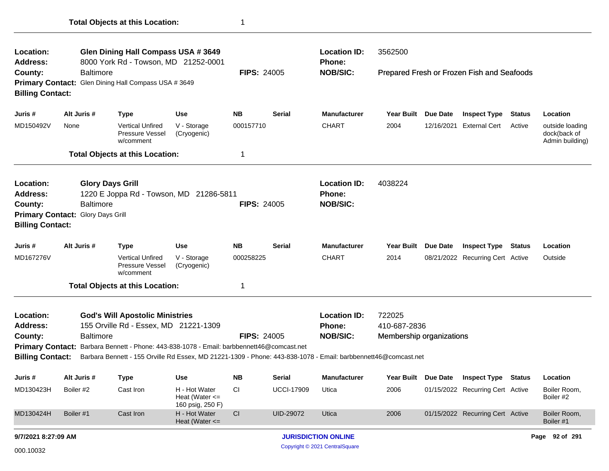| Location:<br><b>Address:</b>                       |                                   | Glen Dining Hall Compass USA # 3649<br>8000 York Rd - Towson, MD 21252-0001                                                                                                                |                                                         |                    |                   | <b>Location ID:</b><br>Phone:        | 3562500                  |            |                                            |               |                                                    |
|----------------------------------------------------|-----------------------------------|--------------------------------------------------------------------------------------------------------------------------------------------------------------------------------------------|---------------------------------------------------------|--------------------|-------------------|--------------------------------------|--------------------------|------------|--------------------------------------------|---------------|----------------------------------------------------|
| County:<br><b>Billing Contact:</b>                 | <b>Baltimore</b>                  | Primary Contact: Glen Dining Hall Compass USA # 3649                                                                                                                                       |                                                         | <b>FIPS: 24005</b> |                   | <b>NOB/SIC:</b>                      |                          |            | Prepared Fresh or Frozen Fish and Seafoods |               |                                                    |
| Juris #                                            | Alt Juris #                       | <b>Type</b>                                                                                                                                                                                | Use                                                     | NΒ                 | <b>Serial</b>     | <b>Manufacturer</b>                  | <b>Year Built</b>        | Due Date   | <b>Inspect Type</b>                        | <b>Status</b> | Location                                           |
| MD150492V                                          | None                              | <b>Vertical Unfired</b><br><b>Pressure Vessel</b><br>w/comment                                                                                                                             | V - Storage<br>(Cryogenic)                              | 000157710          |                   | <b>CHART</b>                         | 2004                     | 12/16/2021 | <b>External Cert</b>                       | Active        | outside loading<br>dock(back of<br>Admin building) |
|                                                    |                                   | <b>Total Objects at this Location:</b>                                                                                                                                                     |                                                         | 1                  |                   |                                      |                          |            |                                            |               |                                                    |
| <b>Location:</b><br>Address:                       |                                   | <b>Glory Days Grill</b><br>1220 E Joppa Rd - Towson, MD 21286-5811                                                                                                                         |                                                         |                    |                   | <b>Location ID:</b><br><b>Phone:</b> | 4038224                  |            |                                            |               |                                                    |
| County:                                            | <b>Baltimore</b>                  |                                                                                                                                                                                            |                                                         | <b>FIPS: 24005</b> |                   | <b>NOB/SIC:</b>                      |                          |            |                                            |               |                                                    |
|                                                    | Primary Contact: Glory Days Grill |                                                                                                                                                                                            |                                                         |                    |                   |                                      |                          |            |                                            |               |                                                    |
| <b>Billing Contact:</b>                            |                                   |                                                                                                                                                                                            |                                                         |                    |                   |                                      |                          |            |                                            |               |                                                    |
| Juris #                                            | Alt Juris #                       | <b>Type</b>                                                                                                                                                                                | <b>Use</b>                                              | <b>NB</b>          | <b>Serial</b>     | <b>Manufacturer</b>                  | <b>Year Built</b>        | Due Date   | <b>Inspect Type</b>                        | Status        | Location                                           |
| MD167276V                                          |                                   | <b>Vertical Unfired</b><br>Pressure Vessel<br>w/comment                                                                                                                                    | V - Storage<br>(Cryogenic)                              | 000258225          |                   | <b>CHART</b>                         | 2014                     |            | 08/21/2022 Recurring Cert Active           |               | Outside                                            |
|                                                    |                                   | <b>Total Objects at this Location:</b>                                                                                                                                                     |                                                         | 1                  |                   |                                      |                          |            |                                            |               |                                                    |
| Location:                                          |                                   | <b>God's Will Apostolic Ministries</b>                                                                                                                                                     |                                                         |                    |                   | <b>Location ID:</b>                  | 722025                   |            |                                            |               |                                                    |
| Address:                                           |                                   | 155 Orville Rd - Essex, MD 21221-1309                                                                                                                                                      |                                                         |                    |                   | Phone:                               | 410-687-2836             |            |                                            |               |                                                    |
| County:                                            | <b>Baltimore</b>                  |                                                                                                                                                                                            |                                                         | <b>FIPS: 24005</b> |                   | <b>NOB/SIC:</b>                      | Membership organizations |            |                                            |               |                                                    |
| <b>Primary Contact:</b><br><b>Billing Contact:</b> |                                   | Barbara Bennett - Phone: 443-838-1078 - Email: barbbennett46@comcast.net<br>Barbara Bennett - 155 Orville Rd Essex, MD 21221-1309 - Phone: 443-838-1078 - Email: barbbennett46@comcast.net |                                                         |                    |                   |                                      |                          |            |                                            |               |                                                    |
| Juris #                                            | Alt Juris #                       | <b>Type</b>                                                                                                                                                                                | <b>Use</b>                                              | <b>NB</b>          | <b>Serial</b>     | <b>Manufacturer</b>                  | <b>Year Built</b>        | Due Date   | <b>Inspect Type Status</b>                 |               | Location                                           |
| MD130423H                                          | Boiler #2                         | Cast Iron                                                                                                                                                                                  | H - Hot Water<br>Heat (Water $\leq$<br>160 psig, 250 F) | <b>CI</b>          | <b>UCCI-17909</b> | Utica                                | 2006                     |            | 01/15/2022 Recurring Cert Active           |               | Boiler Room,<br>Boiler #2                          |
| MD130424H                                          | Boiler #1                         | Cast Iron                                                                                                                                                                                  | H - Hot Water<br>Heat (Water $\leq$                     | CI                 | UID-29072         | Utica                                | 2006                     |            | 01/15/2022 Recurring Cert Active           |               | Boiler Room,<br>Boiler #1                          |
| 9/7/2021 8:27:09 AM                                |                                   |                                                                                                                                                                                            |                                                         |                    |                   | <b>JURISDICTION ONLINE</b>           |                          |            |                                            |               | Page 92 of 291                                     |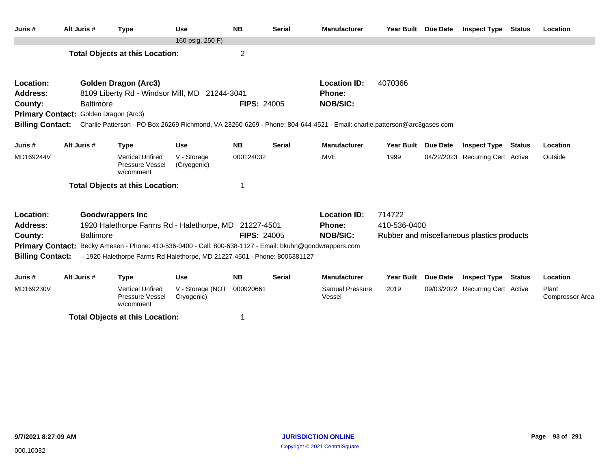| Juris #                 | Alt Juris #                           | <b>Type</b>                                                                                              | <b>Use</b>                     | <b>NB</b>          | <b>Serial</b> | <b>Manufacturer</b>                                                                                                                      | Year Built Due Date |          | <b>Inspect Type Status</b>                 |               | Location                        |
|-------------------------|---------------------------------------|----------------------------------------------------------------------------------------------------------|--------------------------------|--------------------|---------------|------------------------------------------------------------------------------------------------------------------------------------------|---------------------|----------|--------------------------------------------|---------------|---------------------------------|
|                         |                                       |                                                                                                          | 160 psig, 250 F)               |                    |               |                                                                                                                                          |                     |          |                                            |               |                                 |
|                         |                                       | <b>Total Objects at this Location:</b>                                                                   |                                | $\mathbf 2$        |               |                                                                                                                                          |                     |          |                                            |               |                                 |
| Location:               |                                       | <b>Golden Dragon (Arc3)</b>                                                                              |                                |                    |               | <b>Location ID:</b>                                                                                                                      | 4070366             |          |                                            |               |                                 |
| Address:                |                                       | 8109 Liberty Rd - Windsor Mill, MD 21244-3041                                                            |                                |                    |               | <b>Phone:</b>                                                                                                                            |                     |          |                                            |               |                                 |
| County:                 | <b>Baltimore</b>                      |                                                                                                          |                                | <b>FIPS: 24005</b> |               | <b>NOB/SIC:</b>                                                                                                                          |                     |          |                                            |               |                                 |
|                         | Primary Contact: Golden Dragon (Arc3) |                                                                                                          |                                |                    |               |                                                                                                                                          |                     |          |                                            |               |                                 |
|                         |                                       |                                                                                                          |                                |                    |               | Billing Contact: Charlie Patterson - PO Box 26269 Richmond, VA 23260-6269 - Phone: 804-644-4521 - Email: charlie.patterson@arc3gases.com |                     |          |                                            |               |                                 |
| Juris #                 | Alt Juris #                           | <b>Type</b>                                                                                              | <b>Use</b>                     | <b>NB</b>          | <b>Serial</b> | <b>Manufacturer</b>                                                                                                                      | <b>Year Built</b>   | Due Date | <b>Inspect Type</b>                        | <b>Status</b> | Location                        |
| MD169244V               |                                       | <b>Vertical Unfired</b><br>Pressure Vessel<br>w/comment                                                  | V - Storage<br>(Cryogenic)     | 000124032          |               | <b>MVE</b>                                                                                                                               | 1999                |          | 04/22/2023 Recurring Cert Active           |               | Outside                         |
|                         |                                       | <b>Total Objects at this Location:</b>                                                                   |                                |                    |               |                                                                                                                                          |                     |          |                                            |               |                                 |
| Location:               |                                       | <b>Goodwrappers Inc</b>                                                                                  |                                |                    |               | <b>Location ID:</b>                                                                                                                      | 714722              |          |                                            |               |                                 |
| <b>Address:</b>         |                                       | 1920 Halethorpe Farms Rd - Halethorpe, MD 21227-4501                                                     |                                |                    |               | <b>Phone:</b>                                                                                                                            | 410-536-0400        |          |                                            |               |                                 |
| County:                 | <b>Baltimore</b>                      |                                                                                                          |                                | <b>FIPS: 24005</b> |               | <b>NOB/SIC:</b>                                                                                                                          |                     |          | Rubber and miscellaneous plastics products |               |                                 |
|                         |                                       | Primary Contact: Becky Amesen - Phone: 410-536-0400 - Cell: 800-638-1127 - Email: bkuhn@goodwrappers.com |                                |                    |               |                                                                                                                                          |                     |          |                                            |               |                                 |
| <b>Billing Contact:</b> |                                       | - 1920 Halethorpe Farms Rd Halethorpe, MD 21227-4501 - Phone: 8006381127                                 |                                |                    |               |                                                                                                                                          |                     |          |                                            |               |                                 |
| Juris #                 | Alt Juris #                           | <b>Type</b>                                                                                              | <b>Use</b>                     | <b>NB</b>          | <b>Serial</b> | <b>Manufacturer</b>                                                                                                                      | <b>Year Built</b>   | Due Date | <b>Inspect Type</b>                        | Status        | Location                        |
| MD169230V               |                                       | <b>Vertical Unfired</b><br>Pressure Vessel<br>w/comment                                                  | V - Storage (NOT<br>Cryogenic) | 000920661          |               | <b>Samual Pressure</b><br>Vessel                                                                                                         | 2019                |          | 09/03/2022 Recurring Cert Active           |               | Plant<br><b>Compressor Area</b> |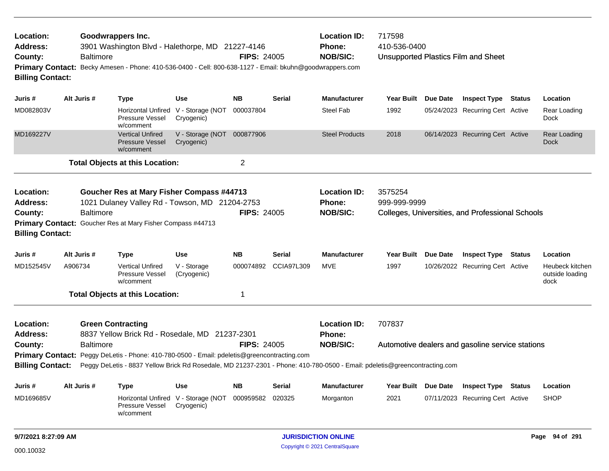| Location:<br>Address:<br>County:<br><b>Primary Contact:</b><br><b>Billing Contact:</b> |         | <b>Baltimore</b> | Goodwrappers Inc.<br>3901 Washington Blvd - Halethorpe, MD 21227-4146<br>Becky Amesen - Phone: 410-536-0400 - Cell: 800-638-1127 - Email: bkuhn@goodwrappers.com                                                                                                                                       |                                                   | <b>FIPS: 24005</b> |                   | <b>Location ID:</b><br><b>Phone:</b><br><b>NOB/SIC:</b> | 717598<br>410-536-0400  |                     | <b>Unsupported Plastics Film and Sheet</b>       |                                            |
|----------------------------------------------------------------------------------------|---------|------------------|--------------------------------------------------------------------------------------------------------------------------------------------------------------------------------------------------------------------------------------------------------------------------------------------------------|---------------------------------------------------|--------------------|-------------------|---------------------------------------------------------|-------------------------|---------------------|--------------------------------------------------|--------------------------------------------|
| Juris #                                                                                |         | Alt Juris #      | <b>Type</b>                                                                                                                                                                                                                                                                                            | Use                                               | <b>NB</b>          | <b>Serial</b>     | <b>Manufacturer</b>                                     | Year Built              | Due Date            | <b>Inspect Type Status</b>                       | Location                                   |
| MD082803V                                                                              |         |                  | Pressure Vessel<br>w/comment                                                                                                                                                                                                                                                                           | Horizontal Unfired V - Storage (NOT<br>Cryogenic) | 000037804          |                   | Steel Fab                                               | 1992                    |                     | 05/24/2023 Recurring Cert Active                 | Rear Loading<br>Dock                       |
| MD169227V                                                                              |         |                  | <b>Vertical Unfired</b><br><b>Pressure Vessel</b><br>w/comment                                                                                                                                                                                                                                         | V - Storage (NOT 000877906<br>Cryogenic)          |                    |                   | <b>Steel Products</b>                                   | 2018                    |                     | 06/14/2023 Recurring Cert Active                 | <b>Rear Loading</b><br><b>Dock</b>         |
|                                                                                        |         |                  | <b>Total Objects at this Location:</b>                                                                                                                                                                                                                                                                 |                                                   | 2                  |                   |                                                         |                         |                     |                                                  |                                            |
| Location:<br><b>Address:</b><br>County:<br><b>Billing Contact:</b>                     |         | <b>Baltimore</b> | <b>Goucher Res at Mary Fisher Compass #44713</b><br>1021 Dulaney Valley Rd - Towson, MD 21204-2753<br>Primary Contact: Goucher Res at Mary Fisher Compass #44713                                                                                                                                       |                                                   | <b>FIPS: 24005</b> |                   | <b>Location ID:</b><br>Phone:<br><b>NOB/SIC:</b>        | 3575254<br>999-999-9999 |                     | Colleges, Universities, and Professional Schools |                                            |
| Juris #                                                                                |         | Alt Juris #      | <b>Type</b>                                                                                                                                                                                                                                                                                            | <b>Use</b>                                        | <b>NB</b>          | Serial            | <b>Manufacturer</b>                                     |                         | Year Built Due Date | <b>Inspect Type Status</b>                       | Location                                   |
| MD152545V                                                                              | A906734 |                  | <b>Vertical Unfired</b><br>Pressure Vessel<br>w/comment                                                                                                                                                                                                                                                | V - Storage<br>(Cryogenic)                        | 000074892          | <b>CCIA97L309</b> | MVE                                                     | 1997                    |                     | 10/26/2022 Recurring Cert Active                 | Heubeck kitchen<br>outside loading<br>dock |
|                                                                                        |         |                  | <b>Total Objects at this Location:</b>                                                                                                                                                                                                                                                                 |                                                   | 1                  |                   |                                                         |                         |                     |                                                  |                                            |
| Location:<br><b>Address:</b><br>County:<br><b>Billing Contact:</b>                     |         | <b>Baltimore</b> | <b>Green Contracting</b><br>8837 Yellow Brick Rd - Rosedale, MD 21237-2301<br>Primary Contact: Peggy DeLetis - Phone: 410-780-0500 - Email: pdeletis@greencontracting.com<br>Peggy DeLetis - 8837 Yellow Brick Rd Rosedale, MD 21237-2301 - Phone: 410-780-0500 - Email: pdeletis@greencontracting.com |                                                   | <b>FIPS: 24005</b> |                   | <b>Location ID:</b><br><b>Phone:</b><br><b>NOB/SIC:</b> | 707837                  |                     | Automotive dealers and gasoline service stations |                                            |
| Juris #                                                                                |         | Alt Juris #      | Type                                                                                                                                                                                                                                                                                                   | <b>Use</b>                                        | ΝB                 | <b>Serial</b>     | <b>Manufacturer</b>                                     |                         | Year Built Due Date | <b>Inspect Type Status</b>                       | Location                                   |
| MD169685V                                                                              |         |                  | Pressure Vessel<br>w/comment                                                                                                                                                                                                                                                                           | Horizontal Unfired V - Storage (NOT<br>Cryogenic) | 000959582          | 020325            | Morganton                                               | 2021                    |                     | 07/11/2023 Recurring Cert Active                 | <b>SHOP</b>                                |
| 9/7/2021 8:27:09 AM                                                                    |         |                  |                                                                                                                                                                                                                                                                                                        |                                                   |                    |                   | <b>JURISDICTION ONLINE</b>                              |                         |                     |                                                  | Page 94 of 291                             |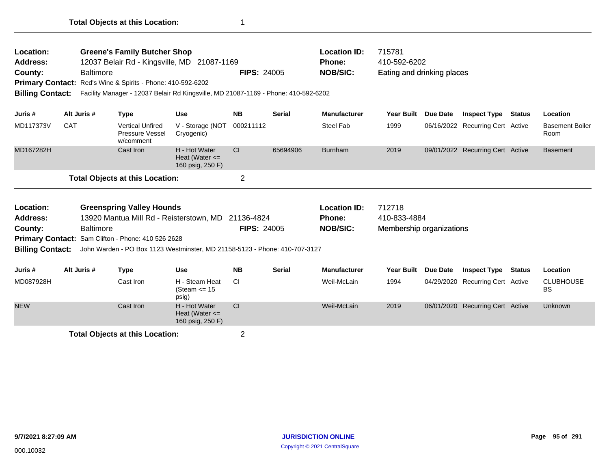| Location:               |            |                  | <b>Greene's Family Butcher Shop</b>                                                         |                                                         |                    |               | <b>Location ID:</b> | 715781                     |          |                                  |        |                                |
|-------------------------|------------|------------------|---------------------------------------------------------------------------------------------|---------------------------------------------------------|--------------------|---------------|---------------------|----------------------------|----------|----------------------------------|--------|--------------------------------|
| Address:                |            |                  | 12037 Belair Rd - Kingsville, MD 21087-1169                                                 |                                                         |                    |               | Phone:              | 410-592-6202               |          |                                  |        |                                |
| County:                 |            | <b>Baltimore</b> |                                                                                             |                                                         | <b>FIPS: 24005</b> |               | <b>NOB/SIC:</b>     | Eating and drinking places |          |                                  |        |                                |
|                         |            |                  | Primary Contact: Red's Wine & Spirits - Phone: 410-592-6202                                 |                                                         |                    |               |                     |                            |          |                                  |        |                                |
| <b>Billing Contact:</b> |            |                  | Facility Manager - 12037 Belair Rd Kingsville, MD 21087-1169 - Phone: 410-592-6202          |                                                         |                    |               |                     |                            |          |                                  |        |                                |
| Juris #                 |            | Alt Juris #      | <b>Type</b>                                                                                 | <b>Use</b>                                              | <b>NB</b>          | <b>Serial</b> | <b>Manufacturer</b> | <b>Year Built</b>          | Due Date | <b>Inspect Type</b>              | Status | Location                       |
| MD117373V               | <b>CAT</b> |                  | <b>Vertical Unfired</b><br>Pressure Vessel<br>w/comment                                     | V - Storage (NOT<br>Cryogenic)                          | 000211112          |               | <b>Steel Fab</b>    | 1999                       |          | 06/16/2022 Recurring Cert Active |        | <b>Basement Boiler</b><br>Room |
| MD167282H               |            |                  | Cast Iron                                                                                   | H - Hot Water<br>Heat (Water $\leq$<br>160 psig, 250 F) | CI                 | 65694906      | <b>Burnham</b>      | 2019                       |          | 09/01/2022 Recurring Cert Active |        | <b>Basement</b>                |
|                         |            |                  | <b>Total Objects at this Location:</b>                                                      |                                                         | $\overline{2}$     |               |                     |                            |          |                                  |        |                                |
| <b>Location:</b>        |            |                  | <b>Greenspring Valley Hounds</b>                                                            |                                                         |                    |               | <b>Location ID:</b> | 712718                     |          |                                  |        |                                |
| Address:                |            |                  | 13920 Mantua Mill Rd - Reisterstown, MD 21136-4824                                          |                                                         |                    |               | Phone:              | 410-833-4884               |          |                                  |        |                                |
| County:                 |            | <b>Baltimore</b> |                                                                                             |                                                         | <b>FIPS: 24005</b> |               | <b>NOB/SIC:</b>     | Membership organizations   |          |                                  |        |                                |
|                         |            |                  | Primary Contact: Sam Clifton - Phone: 410 526 2628                                          |                                                         |                    |               |                     |                            |          |                                  |        |                                |
|                         |            |                  | Billing Contact: John Warden - PO Box 1123 Westminster, MD 21158-5123 - Phone: 410-707-3127 |                                                         |                    |               |                     |                            |          |                                  |        |                                |
| Juris #                 |            | Alt Juris #      | <b>Type</b>                                                                                 | <b>Use</b>                                              | <b>NB</b>          | <b>Serial</b> | <b>Manufacturer</b> | <b>Year Built</b>          | Due Date | <b>Inspect Type Status</b>       |        | Location                       |
| MD087928H               |            |                  | Cast Iron                                                                                   | H - Steam Heat<br>(Steam $\le$ 15<br>psig)              | <b>CI</b>          |               | Weil-McLain         | 1994                       |          | 04/29/2020 Recurring Cert Active |        | <b>CLUBHOUSE</b><br><b>BS</b>  |
| <b>NEW</b>              |            |                  | Cast Iron                                                                                   | H - Hot Water<br>Heat (Water $\leq$<br>160 psig, 250 F) | CI                 |               | Weil-McLain         | 2019                       |          | 06/01/2020 Recurring Cert Active |        | <b>Unknown</b>                 |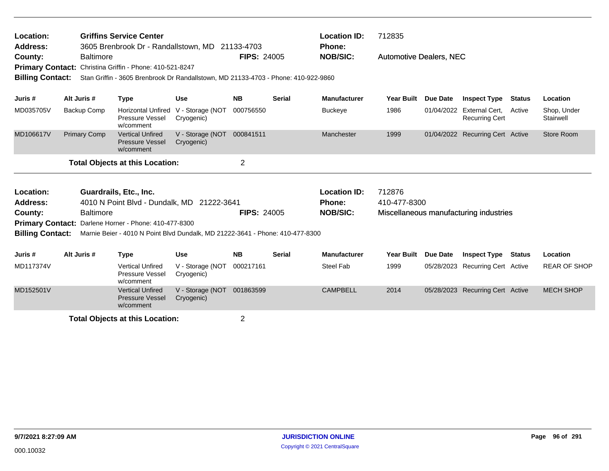| Location:<br><b>Address:</b><br>County:<br><b>Billing Contact:</b> |                     | <b>Baltimore</b> | <b>Griffins Service Center</b><br>3605 Brenbrook Dr - Randallstown, MD 21133-4703<br>Primary Contact: Christina Griffin - Phone: 410-521-8247<br>Stan Griffin - 3605 Brenbrook Dr Randallstown, MD 21133-4703 - Phone: 410-922-9860 |                                          | <b>FIPS: 24005</b> |               | <b>Location ID:</b><br><b>Phone:</b><br><b>NOB/SIC:</b> | 712835<br><b>Automotive Dealers, NEC</b> |                 |                                         |               |                          |
|--------------------------------------------------------------------|---------------------|------------------|-------------------------------------------------------------------------------------------------------------------------------------------------------------------------------------------------------------------------------------|------------------------------------------|--------------------|---------------|---------------------------------------------------------|------------------------------------------|-----------------|-----------------------------------------|---------------|--------------------------|
| Juris #                                                            | Alt Juris #         |                  | <b>Type</b>                                                                                                                                                                                                                         | <b>Use</b>                               | <b>NB</b>          | <b>Serial</b> | <b>Manufacturer</b>                                     | <b>Year Built</b>                        | <b>Due Date</b> | <b>Inspect Type</b>                     | <b>Status</b> | Location                 |
| MD035705V                                                          | Backup Comp         |                  | <b>Horizontal Unfired</b><br>Pressure Vessel<br>w/comment                                                                                                                                                                           | V - Storage (NOT<br>Cryogenic)           | 000756550          |               | <b>Buckeye</b>                                          | 1986                                     | 01/04/2022      | External Cert,<br><b>Recurring Cert</b> | Active        | Shop, Under<br>Stairwell |
| MD106617V                                                          | <b>Primary Comp</b> |                  | <b>Vertical Unfired</b><br><b>Pressure Vessel</b><br>w/comment                                                                                                                                                                      | V - Storage (NOT 000841511<br>Cryogenic) |                    |               | Manchester                                              | 1999                                     |                 | 01/04/2022 Recurring Cert Active        |               | Store Room               |
|                                                                    |                     |                  | <b>Total Objects at this Location:</b>                                                                                                                                                                                              |                                          | $\overline{2}$     |               |                                                         |                                          |                 |                                         |               |                          |
| Location:                                                          |                     |                  | Guardrails, Etc., Inc.                                                                                                                                                                                                              |                                          |                    |               | <b>Location ID:</b>                                     | 712876                                   |                 |                                         |               |                          |
| <b>Address:</b>                                                    |                     |                  | 4010 N Point Blvd - Dundalk, MD 21222-3641                                                                                                                                                                                          |                                          |                    |               | Phone:                                                  | 410-477-8300                             |                 |                                         |               |                          |
| County:                                                            |                     | <b>Baltimore</b> | Primary Contact: Darlene Horner - Phone: 410-477-8300                                                                                                                                                                               |                                          | <b>FIPS: 24005</b> |               | <b>NOB/SIC:</b>                                         |                                          |                 | Miscellaneous manufacturing industries  |               |                          |
| <b>Billing Contact:</b>                                            |                     |                  | Marnie Beier - 4010 N Point Blvd Dundalk, MD 21222-3641 - Phone: 410-477-8300                                                                                                                                                       |                                          |                    |               |                                                         |                                          |                 |                                         |               |                          |
| Juris #                                                            | Alt Juris #         |                  | <b>Type</b>                                                                                                                                                                                                                         | <b>Use</b>                               | <b>NB</b>          | <b>Serial</b> | <b>Manufacturer</b>                                     | <b>Year Built</b>                        | Due Date        | <b>Inspect Type</b>                     | Status        | Location                 |
| MD117374V                                                          |                     |                  | <b>Vertical Unfired</b><br>Pressure Vessel<br>w/comment                                                                                                                                                                             | V - Storage (NOT<br>Cryogenic)           | 000217161          |               | Steel Fab                                               | 1999                                     |                 | 05/28/2023 Recurring Cert Active        |               | <b>REAR OF SHOP</b>      |
| MD152501V                                                          |                     |                  | <b>Vertical Unfired</b><br><b>Pressure Vessel</b><br>w/comment                                                                                                                                                                      | V - Storage (NOT 001863599<br>Cryogenic) |                    |               | <b>CAMPBELL</b>                                         | 2014                                     |                 | 05/28/2023 Recurring Cert Active        |               | <b>MECH SHOP</b>         |
|                                                                    |                     |                  |                                                                                                                                                                                                                                     |                                          |                    |               |                                                         |                                          |                 |                                         |               |                          |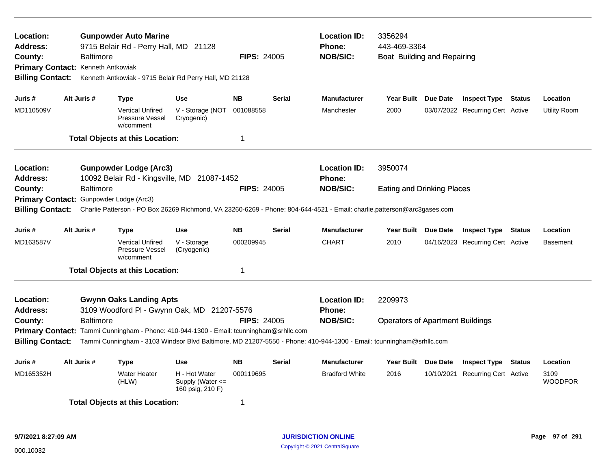| Location:<br>Address:<br>County:<br><b>Primary Contact:</b><br><b>Billing Contact:</b>                                                                                                                                                                                                |             | <b>Gunpowder Auto Marine</b><br>9715 Belair Rd - Perry Hall, MD 21128<br><b>FIPS: 24005</b><br>Baltimore<br>Kenneth Antkowiak<br>Kenneth Antkowiak - 9715 Belair Rd Perry Hall, MD 21128 |                                                                                                                                                                          |                                                       |                    |                 | <b>Location ID:</b><br><b>Phone:</b><br><b>NOB/SIC:</b>                                                                                                                 | 3356294<br>443-469-3364<br>Boat Building and Repairing |            |                                  |                        |
|---------------------------------------------------------------------------------------------------------------------------------------------------------------------------------------------------------------------------------------------------------------------------------------|-------------|------------------------------------------------------------------------------------------------------------------------------------------------------------------------------------------|--------------------------------------------------------------------------------------------------------------------------------------------------------------------------|-------------------------------------------------------|--------------------|-----------------|-------------------------------------------------------------------------------------------------------------------------------------------------------------------------|--------------------------------------------------------|------------|----------------------------------|------------------------|
| Juris #                                                                                                                                                                                                                                                                               | Alt Juris # |                                                                                                                                                                                          | <b>Type</b>                                                                                                                                                              | <b>Use</b>                                            | <b>NB</b>          | <b>Serial</b>   | <b>Manufacturer</b>                                                                                                                                                     | Year Built Due Date                                    |            | <b>Inspect Type Status</b>       | Location               |
| MD110509V                                                                                                                                                                                                                                                                             |             |                                                                                                                                                                                          | <b>Vertical Unfired</b><br>Pressure Vessel<br>w/comment                                                                                                                  | V - Storage (NOT<br>Cryogenic)                        | 001088558          |                 | Manchester                                                                                                                                                              | 2000                                                   |            | 03/07/2022 Recurring Cert Active | Utility Room           |
|                                                                                                                                                                                                                                                                                       |             |                                                                                                                                                                                          | <b>Total Objects at this Location:</b>                                                                                                                                   |                                                       | $\mathbf 1$        |                 |                                                                                                                                                                         |                                                        |            |                                  |                        |
| Location:<br>Address:                                                                                                                                                                                                                                                                 |             |                                                                                                                                                                                          | <b>Gunpowder Lodge (Arc3)</b>                                                                                                                                            |                                                       |                    |                 | <b>Location ID:</b><br>Phone:                                                                                                                                           | 3950074                                                |            |                                  |                        |
| 10092 Belair Rd - Kingsville, MD 21087-1452<br><b>Baltimore</b><br>County:<br><b>Primary Contact:</b><br>Gunpowder Lodge (Arc3)<br><b>Billing Contact:</b><br>Charlie Patterson - PO Box 26269 Richmond, VA 23260-6269 - Phone: 804-644-4521 - Email: charlie.patterson@arc3gases.com |             |                                                                                                                                                                                          |                                                                                                                                                                          | <b>FIPS: 24005</b>                                    |                    | <b>NOB/SIC:</b> | <b>Eating and Drinking Places</b>                                                                                                                                       |                                                        |            |                                  |                        |
| Juris #                                                                                                                                                                                                                                                                               | Alt Juris # |                                                                                                                                                                                          | <b>Type</b>                                                                                                                                                              | Use                                                   | <b>NB</b>          | <b>Serial</b>   | <b>Manufacturer</b>                                                                                                                                                     | Year Built Due Date                                    |            | <b>Inspect Type Status</b>       | Location               |
| MD163587V                                                                                                                                                                                                                                                                             |             |                                                                                                                                                                                          | <b>Vertical Unfired</b><br>Pressure Vessel<br>w/comment                                                                                                                  | V - Storage<br>(Cryogenic)                            | 000209945          |                 | <b>CHART</b>                                                                                                                                                            | 2010                                                   |            | 04/16/2023 Recurring Cert Active | <b>Basement</b>        |
|                                                                                                                                                                                                                                                                                       |             |                                                                                                                                                                                          | <b>Total Objects at this Location:</b>                                                                                                                                   |                                                       | $\mathbf 1$        |                 |                                                                                                                                                                         |                                                        |            |                                  |                        |
| Location:<br><b>Address:</b><br>County:<br><b>Billing Contact:</b>                                                                                                                                                                                                                    |             | <b>Baltimore</b>                                                                                                                                                                         | <b>Gwynn Oaks Landing Apts</b><br>3109 Woodford PI - Gwynn Oak, MD 21207-5576<br>Primary Contact: Tammi Cunningham - Phone: 410-944-1300 - Email: tcunningham@srhllc.com |                                                       | <b>FIPS: 24005</b> |                 | <b>Location ID:</b><br>Phone:<br><b>NOB/SIC:</b><br>Tammi Cunningham - 3103 Windsor Blvd Baltimore, MD 21207-5550 - Phone: 410-944-1300 - Email: tcunningham@srhllc.com | 2209973<br><b>Operators of Apartment Buildings</b>     |            |                                  |                        |
| Juris #                                                                                                                                                                                                                                                                               | Alt Juris # |                                                                                                                                                                                          | <b>Type</b>                                                                                                                                                              | <b>Use</b>                                            | <b>NB</b>          | <b>Serial</b>   | <b>Manufacturer</b>                                                                                                                                                     | Year Built Due Date                                    |            | <b>Inspect Type Status</b>       | Location               |
| MD165352H                                                                                                                                                                                                                                                                             |             |                                                                                                                                                                                          | <b>Water Heater</b><br>(HLW)                                                                                                                                             | H - Hot Water<br>Supply (Water <=<br>160 psig, 210 F) | 000119695          |                 | <b>Bradford White</b>                                                                                                                                                   | 2016                                                   | 10/10/2021 | Recurring Cert Active            | 3109<br><b>WOODFOR</b> |
|                                                                                                                                                                                                                                                                                       |             |                                                                                                                                                                                          | <b>Total Objects at this Location:</b>                                                                                                                                   |                                                       | -1                 |                 |                                                                                                                                                                         |                                                        |            |                                  |                        |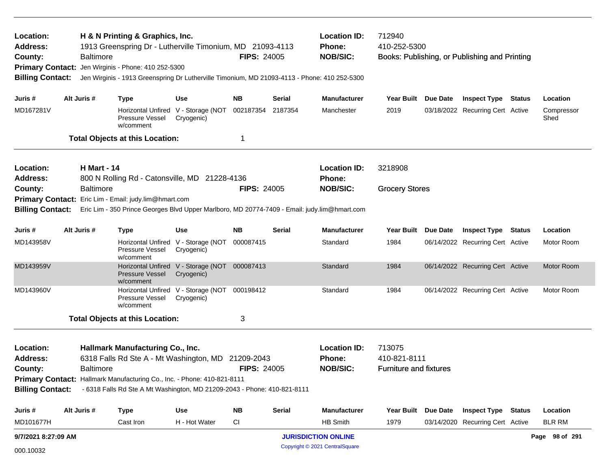| Location:<br><b>Address:</b><br>County: | H & N Printing & Graphics, Inc.<br>1913 Greenspring Dr - Lutherville Timonium, MD 21093-4113<br><b>Baltimore</b><br>Jen Wirginis - Phone: 410 252-5300<br><b>Primary Contact:</b><br><b>Billing Contact:</b><br>Jen Wirginis - 1913 Greenspring Dr Lutherville Timonium, MD 21093-4113 - Phone: 410 252-5300 |                    |                                                                                              |                                                             |                    | <b>FIPS: 24005</b>         | <b>Location ID:</b><br>712940<br>410-252-5300<br>Phone:<br><b>NOB/SIC:</b><br>Books: Publishing, or Publishing and Printing |                               |  |                                  |                |                    |
|-----------------------------------------|--------------------------------------------------------------------------------------------------------------------------------------------------------------------------------------------------------------------------------------------------------------------------------------------------------------|--------------------|----------------------------------------------------------------------------------------------|-------------------------------------------------------------|--------------------|----------------------------|-----------------------------------------------------------------------------------------------------------------------------|-------------------------------|--|----------------------------------|----------------|--------------------|
|                                         |                                                                                                                                                                                                                                                                                                              |                    |                                                                                              |                                                             |                    |                            |                                                                                                                             |                               |  |                                  |                |                    |
| Juris #                                 |                                                                                                                                                                                                                                                                                                              | Alt Juris #        | <b>Type</b>                                                                                  | Use                                                         | NΒ                 | Serial                     | <b>Manufacturer</b>                                                                                                         | Year Built Due Date           |  | <b>Inspect Type Status</b>       |                | Location           |
| MD167281V                               |                                                                                                                                                                                                                                                                                                              |                    | Pressure Vessel<br>w/comment                                                                 | Horizontal Unfired V - Storage (NOT<br>Cryogenic)           | 002187354          | 2187354                    | Manchester                                                                                                                  | 2019                          |  | 03/18/2022 Recurring Cert Active |                | Compressor<br>Shed |
|                                         |                                                                                                                                                                                                                                                                                                              |                    | <b>Total Objects at this Location:</b>                                                       |                                                             | 1                  |                            |                                                                                                                             |                               |  |                                  |                |                    |
| Location:                               |                                                                                                                                                                                                                                                                                                              | <b>H</b> Mart - 14 |                                                                                              |                                                             |                    |                            | <b>Location ID:</b>                                                                                                         | 3218908                       |  |                                  |                |                    |
| Address:                                |                                                                                                                                                                                                                                                                                                              |                    | 800 N Rolling Rd - Catonsville, MD 21228-4136                                                |                                                             |                    |                            | Phone:                                                                                                                      |                               |  |                                  |                |                    |
| County:                                 |                                                                                                                                                                                                                                                                                                              | <b>Baltimore</b>   |                                                                                              |                                                             | <b>FIPS: 24005</b> |                            | <b>NOB/SIC:</b>                                                                                                             | <b>Grocery Stores</b>         |  |                                  |                |                    |
|                                         |                                                                                                                                                                                                                                                                                                              |                    | Primary Contact: Eric Lim - Email: judy.lim@hmart.com                                        |                                                             |                    |                            |                                                                                                                             |                               |  |                                  |                |                    |
| <b>Billing Contact:</b>                 |                                                                                                                                                                                                                                                                                                              |                    | Eric Lim - 350 Prince Georges Blvd Upper Marlboro, MD 20774-7409 - Email: judy.lim@hmart.com |                                                             |                    |                            |                                                                                                                             |                               |  |                                  |                |                    |
| Juris #                                 |                                                                                                                                                                                                                                                                                                              | Alt Juris #        | <b>Type</b>                                                                                  | Use                                                         | <b>NB</b>          | <b>Serial</b>              | <b>Manufacturer</b>                                                                                                         | Year Built Due Date           |  | <b>Inspect Type Status</b>       |                | Location           |
| MD143958V                               |                                                                                                                                                                                                                                                                                                              |                    | Pressure Vessel<br>w/comment                                                                 | Horizontal Unfired V - Storage (NOT<br>Cryogenic)           | 000087415          |                            | Standard                                                                                                                    | 1984                          |  | 06/14/2022 Recurring Cert Active |                | Motor Room         |
| MD143959V                               |                                                                                                                                                                                                                                                                                                              |                    | <b>Pressure Vessel</b><br>w/comment                                                          | Horizontal Unfired V - Storage (NOT 000087413<br>Cryogenic) |                    |                            | Standard                                                                                                                    | 1984                          |  | 06/14/2022 Recurring Cert Active |                | Motor Room         |
| MD143960V                               |                                                                                                                                                                                                                                                                                                              |                    | Pressure Vessel<br>w/comment                                                                 | Horizontal Unfired V - Storage (NOT 000198412<br>Cryogenic) |                    |                            | Standard                                                                                                                    | 1984                          |  | 06/14/2022 Recurring Cert Active |                | Motor Room         |
|                                         |                                                                                                                                                                                                                                                                                                              |                    | <b>Total Objects at this Location:</b>                                                       |                                                             | 3                  |                            |                                                                                                                             |                               |  |                                  |                |                    |
| Location:<br>Address:                   |                                                                                                                                                                                                                                                                                                              |                    | <b>Hallmark Manufacturing Co., Inc.</b><br>6318 Falls Rd Ste A - Mt Washington, MD           |                                                             | 21209-2043         |                            | <b>Location ID:</b><br><b>Phone:</b>                                                                                        | 713075<br>410-821-8111        |  |                                  |                |                    |
| County:                                 |                                                                                                                                                                                                                                                                                                              | Baltimore          |                                                                                              |                                                             | <b>FIPS: 24005</b> |                            | <b>NOB/SIC:</b>                                                                                                             | <b>Furniture and fixtures</b> |  |                                  |                |                    |
|                                         |                                                                                                                                                                                                                                                                                                              |                    | Primary Contact: Hallmark Manufacturing Co., Inc. - Phone: 410-821-8111                      |                                                             |                    |                            |                                                                                                                             |                               |  |                                  |                |                    |
| <b>Billing Contact:</b>                 |                                                                                                                                                                                                                                                                                                              |                    | - 6318 Falls Rd Ste A Mt Washington, MD 21209-2043 - Phone: 410-821-8111                     |                                                             |                    |                            |                                                                                                                             |                               |  |                                  |                |                    |
| Juris #                                 |                                                                                                                                                                                                                                                                                                              | Alt Juris #        | <b>Type</b>                                                                                  | Use                                                         | <b>NB</b>          | <b>Serial</b>              | <b>Manufacturer</b>                                                                                                         | Year Built Due Date           |  | <b>Inspect Type Status</b>       |                | Location           |
| MD101677H                               |                                                                                                                                                                                                                                                                                                              |                    | Cast Iron                                                                                    | H - Hot Water                                               | <b>CI</b>          |                            | HB Smith                                                                                                                    | 1979                          |  | 03/14/2020 Recurring Cert Active |                | <b>BLR RM</b>      |
| 9/7/2021 8:27:09 AM                     |                                                                                                                                                                                                                                                                                                              |                    |                                                                                              |                                                             |                    | <b>JURISDICTION ONLINE</b> |                                                                                                                             |                               |  |                                  | Page 98 of 291 |                    |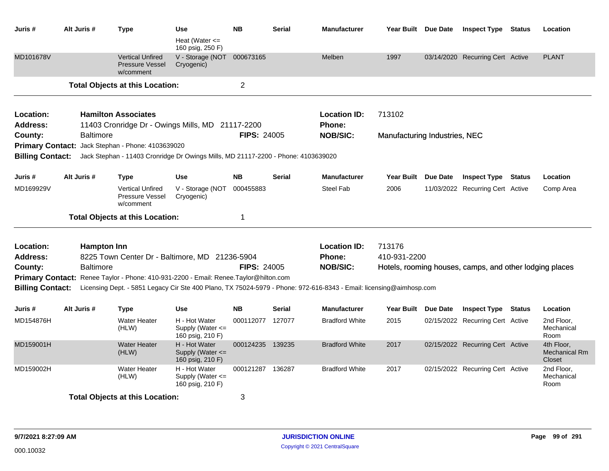| Juris #                                            | Alt Juris #              | <b>Type</b>                                                                                                                            | Use<br>Heat (Water $\leq$<br>160 psig, 250 F)             | <b>NB</b>          | Serial        | <b>Manufacturer</b>                                                                                                 | Year Built Due Date           | <b>Inspect Type Status</b>                              | Location                                     |
|----------------------------------------------------|--------------------------|----------------------------------------------------------------------------------------------------------------------------------------|-----------------------------------------------------------|--------------------|---------------|---------------------------------------------------------------------------------------------------------------------|-------------------------------|---------------------------------------------------------|----------------------------------------------|
| MD101678V                                          |                          | <b>Vertical Unfired</b><br><b>Pressure Vessel</b><br>w/comment                                                                         | V - Storage (NOT 000673165<br>Cryogenic)                  |                    |               | Melben                                                                                                              | 1997                          | 03/14/2020 Recurring Cert Active                        | <b>PLANT</b>                                 |
|                                                    |                          | <b>Total Objects at this Location:</b>                                                                                                 |                                                           | $\overline{2}$     |               |                                                                                                                     |                               |                                                         |                                              |
| Location:<br>Address:                              |                          | <b>Hamilton Associates</b><br>11403 Cronridge Dr - Owings Mills, MD 21117-2200                                                         |                                                           |                    |               | <b>Location ID:</b><br><b>Phone:</b>                                                                                | 713102                        |                                                         |                                              |
| County:<br><b>Billing Contact:</b>                 | <b>Baltimore</b>         | Primary Contact: Jack Stephan - Phone: 4103639020<br>Jack Stephan - 11403 Cronridge Dr Owings Mills, MD 21117-2200 - Phone: 4103639020 |                                                           | <b>FIPS: 24005</b> |               | <b>NOB/SIC:</b>                                                                                                     | Manufacturing Industries, NEC |                                                         |                                              |
| Juris #                                            | Alt Juris #              | <b>Type</b>                                                                                                                            | <b>Use</b>                                                | <b>NB</b>          | <b>Serial</b> | <b>Manufacturer</b>                                                                                                 | Year Built Due Date           | <b>Inspect Type Status</b>                              | Location                                     |
| MD169929V                                          |                          | <b>Vertical Unfired</b><br>Pressure Vessel<br>w/comment                                                                                | V - Storage (NOT 000455883<br>Cryogenic)                  |                    |               | <b>Steel Fab</b>                                                                                                    | 2006                          | 11/03/2022 Recurring Cert Active                        | Comp Area                                    |
|                                                    |                          | <b>Total Objects at this Location:</b>                                                                                                 |                                                           | 1                  |               |                                                                                                                     |                               |                                                         |                                              |
| <b>Location:</b><br><b>Address:</b><br>County:     | Hampton Inn<br>Baltimore | 8225 Town Center Dr - Baltimore, MD 21236-5904                                                                                         |                                                           | <b>FIPS: 24005</b> |               | <b>Location ID:</b><br><b>Phone:</b><br><b>NOB/SIC:</b>                                                             | 713176<br>410-931-2200        | Hotels, rooming houses, camps, and other lodging places |                                              |
| <b>Primary Contact:</b><br><b>Billing Contact:</b> |                          | Renee Taylor - Phone: 410-931-2200 - Email: Renee.Taylor@hilton.com                                                                    |                                                           |                    |               | Licensing Dept. - 5851 Legacy Cir Ste 400 Plano, TX 75024-5979 - Phone: 972-616-8343 - Email: licensing@aimhosp.com |                               |                                                         |                                              |
| Juris #                                            | Alt Juris #              | <b>Type</b>                                                                                                                            | <b>Use</b>                                                | <b>NB</b>          | Serial        | <b>Manufacturer</b>                                                                                                 | Year Built Due Date           | <b>Inspect Type Status</b>                              | Location                                     |
| MD154876H                                          |                          | <b>Water Heater</b><br>(HLW)                                                                                                           | H - Hot Water<br>Supply (Water $\leq$<br>160 psig, 210 F) | 000112077          | 127077        | <b>Bradford White</b>                                                                                               | 2015                          | 02/15/2022 Recurring Cert Active                        | 2nd Floor,<br>Mechanical<br>Room             |
| MD159001H                                          |                          | <b>Water Heater</b><br>(HLW)                                                                                                           | H - Hot Water<br>Supply (Water $\leq$<br>160 psig, 210 F) | 000124235 139235   |               | <b>Bradford White</b>                                                                                               | 2017                          | 02/15/2022 Recurring Cert Active                        | 4th Floor,<br><b>Mechanical Rm</b><br>Closet |
| MD159002H                                          |                          | <b>Water Heater</b><br>(HLW)                                                                                                           | H - Hot Water<br>Supply (Water <=<br>160 psig, 210 F)     | 000121287 136287   |               | <b>Bradford White</b>                                                                                               | 2017                          | 02/15/2022 Recurring Cert Active                        | 2nd Floor,<br>Mechanical<br>Room             |
|                                                    |                          | <b>Total Objects at this Location:</b>                                                                                                 |                                                           | 3                  |               |                                                                                                                     |                               |                                                         |                                              |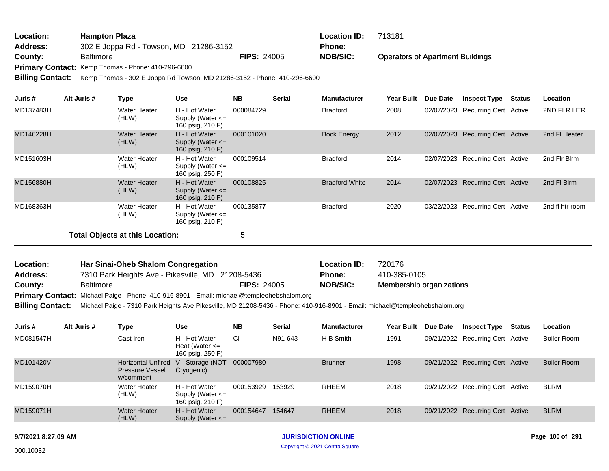| Location:               | <b>Hampton Plaza</b>                                                     |                    | Location ID:    | 713181                                  |
|-------------------------|--------------------------------------------------------------------------|--------------------|-----------------|-----------------------------------------|
| Address:                | 302 E Joppa Rd - Towson, MD 21286-3152                                   |                    | <b>Phone:</b>   |                                         |
| County:                 | <b>Baltimore</b>                                                         | <b>FIPS: 24005</b> | <b>NOB/SIC:</b> | <b>Operators of Apartment Buildings</b> |
|                         | Primary Contact: Kemp Thomas - Phone: 410-296-6600                       |                    |                 |                                         |
| <b>Billing Contact:</b> | Kemp Thomas - 302 E Joppa Rd Towson, MD 21286-3152 - Phone: 410-296-6600 |                    |                 |                                         |

| Juris #   | Alt Juris # | Type                            | Use                                                       | <b>NB</b> | <b>Serial</b> | <b>Manufacturer</b>   | <b>Year Built</b> | <b>Due Date</b> | <b>Inspect Type</b>              | Status | Location        |
|-----------|-------------|---------------------------------|-----------------------------------------------------------|-----------|---------------|-----------------------|-------------------|-----------------|----------------------------------|--------|-----------------|
| MD137483H |             | Water Heater<br>(HLW)           | H - Hot Water<br>Supply (Water $\leq$<br>160 psig, 210 F) | 000084729 |               | <b>Bradford</b>       | 2008              |                 | 02/07/2023 Recurring Cert Active |        | 2ND FLR HTR     |
| MD146228H |             | <b>Water Heater</b><br>(HLW)    | H - Hot Water<br>Supply (Water $\leq$<br>160 psig, 210 F) | 000101020 |               | <b>Bock Energy</b>    | 2012              |                 | 02/07/2023 Recurring Cert Active |        | 2nd FI Heater   |
| MD151603H |             | <b>Water Heater</b><br>(HLW)    | H - Hot Water<br>Supply (Water $\leq$<br>160 psig, 250 F) | 000109514 |               | <b>Bradford</b>       | 2014              |                 | 02/07/2023 Recurring Cert Active |        | 2nd Fir Birm    |
| MD156880H |             | <b>Water Heater</b><br>(HLW)    | H - Hot Water<br>Supply (Water $\leq$<br>160 psig, 210 F) | 000108825 |               | <b>Bradford White</b> | 2014              |                 | 02/07/2023 Recurring Cert Active |        | 2nd FI Blrm     |
| MD168363H |             | <b>Water Heater</b><br>(HLW)    | H - Hot Water<br>Supply (Water $\leq$<br>160 psig, 210 F) | 000135877 |               | <b>Bradford</b>       | 2020              |                 | 03/22/2023 Recurring Cert Active |        | 2nd fl htr room |
|           |             | Total Objects at this Location: |                                                           | 5         |               |                       |                   |                 |                                  |        |                 |

| <b>Location:</b> | Har Sinai-Oheb Shalom Congregation                |                    | <b>Location ID:</b> | 720176                   |
|------------------|---------------------------------------------------|--------------------|---------------------|--------------------------|
| <b>Address:</b>  | 7310 Park Heights Ave - Pikesville, MD 21208-5436 |                    | <b>Phone:</b>       | 410-385-0105             |
| County:          | <b>Baltimore</b>                                  | <b>FIPS: 24005</b> | <b>NOB/SIC:</b>     | Membership organizations |
|                  | $\cdots$ $\cdots$ $\cdots$ $\cdots$               |                    |                     |                          |

Primary Contact: Michael Paige - Phone: 410-916-8901 - Email: michael@templeohebshalom.org

**Billing Contact:** Michael Paige - 7310 Park Heights Ave Pikesville, MD 21208-5436 - Phone: 410-916-8901 - Email: michael@templeohebshalom.org

| Juris #   | Alt Juris # | Type                                                             | Use                                                       | <b>NB</b> | <b>Serial</b> | <b>Manufacturer</b> | <b>Year Built</b> | Due Date | <b>Inspect Type</b>              | <b>Status</b> | Location    |
|-----------|-------------|------------------------------------------------------------------|-----------------------------------------------------------|-----------|---------------|---------------------|-------------------|----------|----------------------------------|---------------|-------------|
| MD081547H |             | Cast Iron                                                        | H - Hot Water<br>Heat (Water $\leq$<br>160 psig, 250 F)   | CI.       | N91-643       | H B Smith           | 1991              |          | 09/21/2022 Recurring Cert Active |               | Boiler Room |
| MD101420V |             | <b>Horizontal Unfired</b><br><b>Pressure Vessel</b><br>w/comment | V - Storage (NOT<br>Cryogenic)                            | 000007980 |               | <b>Brunner</b>      | 1998              |          | 09/21/2022 Recurring Cert Active |               | Boiler Room |
| MD159070H |             | Water Heater<br>(HLW)                                            | H - Hot Water<br>Supply (Water $\leq$<br>160 psig, 210 F) | 000153929 | 153929        | RHEEM               | 2018              |          | 09/21/2022 Recurring Cert Active |               | BLRM        |
| MD159071H |             | <b>Water Heater</b><br>(HLW)                                     | H - Hot Water<br>Supply (Water $\leq$                     | 000154647 | 154647        | <b>RHEEM</b>        | 2018              |          | 09/21/2022 Recurring Cert Active |               | <b>BLRM</b> |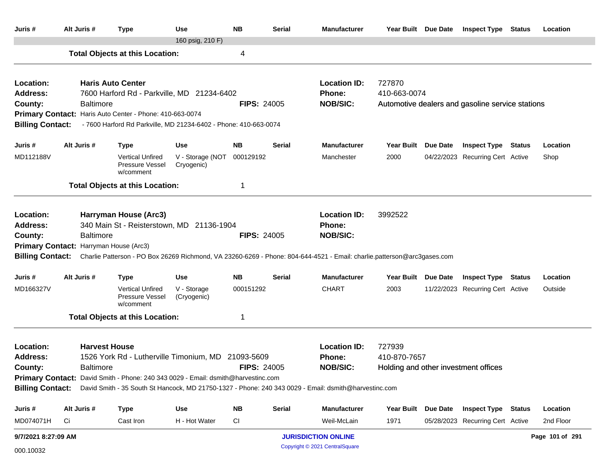| Juris #                                 | Alt Juris #                            | <b>Type</b>                                                                       | Use                                      | <b>NB</b>          | <b>Serial</b>   | <b>Manufacturer</b>                                                                                                                      |                                      | Year Built Due Date | <b>Inspect Type</b>                              | Status        | Location        |
|-----------------------------------------|----------------------------------------|-----------------------------------------------------------------------------------|------------------------------------------|--------------------|-----------------|------------------------------------------------------------------------------------------------------------------------------------------|--------------------------------------|---------------------|--------------------------------------------------|---------------|-----------------|
|                                         |                                        |                                                                                   | 160 psig, 210 F)                         |                    |                 |                                                                                                                                          |                                      |                     |                                                  |               |                 |
|                                         |                                        | <b>Total Objects at this Location:</b>                                            |                                          | 4                  |                 |                                                                                                                                          |                                      |                     |                                                  |               |                 |
| Location:<br><b>Address:</b><br>County: | <b>Baltimore</b>                       | <b>Haris Auto Center</b><br>7600 Harford Rd - Parkville, MD 21234-6402            |                                          | <b>FIPS: 24005</b> |                 | <b>Location ID:</b><br><b>Phone:</b><br><b>NOB/SIC:</b>                                                                                  | 727870<br>410-663-0074               |                     | Automotive dealers and gasoline service stations |               |                 |
|                                         |                                        | Primary Contact: Haris Auto Center - Phone: 410-663-0074                          |                                          |                    |                 |                                                                                                                                          |                                      |                     |                                                  |               |                 |
| <b>Billing Contact:</b>                 |                                        | - 7600 Harford Rd Parkville, MD 21234-6402 - Phone: 410-663-0074                  |                                          |                    |                 |                                                                                                                                          |                                      |                     |                                                  |               |                 |
| Juris #                                 | Alt Juris #                            | <b>Type</b>                                                                       | <b>Use</b>                               | NΒ                 | Serial          | <b>Manufacturer</b>                                                                                                                      | Year Built                           | Due Date            | <b>Inspect Type</b>                              | <b>Status</b> | Location        |
| MD112188V                               |                                        | <b>Vertical Unfired</b><br>Pressure Vessel<br>w/comment                           | V - Storage (NOT 000129192<br>Cryogenic) |                    |                 | Manchester                                                                                                                               | 2000                                 |                     | 04/22/2023 Recurring Cert Active                 |               | Shop            |
|                                         |                                        | <b>Total Objects at this Location:</b>                                            |                                          | 1                  |                 |                                                                                                                                          |                                      |                     |                                                  |               |                 |
| Location:<br><b>Address:</b>            |                                        | <b>Harryman House (Arc3)</b><br>340 Main St - Reisterstown, MD 21136-1904         |                                          |                    |                 | <b>Location ID:</b><br>Phone:                                                                                                            | 3992522                              |                     |                                                  |               |                 |
| County:                                 | <b>Baltimore</b>                       |                                                                                   |                                          | <b>FIPS: 24005</b> | <b>NOB/SIC:</b> |                                                                                                                                          |                                      |                     |                                                  |               |                 |
|                                         | Primary Contact: Harryman House (Arc3) |                                                                                   |                                          |                    |                 | Billing Contact: Charlie Patterson - PO Box 26269 Richmond, VA 23260-6269 - Phone: 804-644-4521 - Email: charlie.patterson@arc3gases.com |                                      |                     |                                                  |               |                 |
|                                         |                                        |                                                                                   |                                          |                    |                 |                                                                                                                                          |                                      |                     |                                                  |               |                 |
| Juris #                                 | Alt Juris #                            | <b>Type</b>                                                                       | <b>Use</b>                               | <b>NB</b>          | <b>Serial</b>   | <b>Manufacturer</b>                                                                                                                      | Year Built                           | Due Date            | <b>Inspect Type</b>                              | Status        | Location        |
| MD166327V                               |                                        | <b>Vertical Unfired</b><br><b>Pressure Vessel</b><br>w/comment                    | V - Storage<br>(Cryogenic)               | 000151292          |                 | <b>CHART</b>                                                                                                                             | 2003                                 |                     | 11/22/2023 Recurring Cert Active                 |               | Outside         |
|                                         |                                        | <b>Total Objects at this Location:</b>                                            |                                          | 1                  |                 |                                                                                                                                          |                                      |                     |                                                  |               |                 |
| Location:                               |                                        | <b>Harvest House</b>                                                              |                                          |                    |                 | <b>Location ID:</b>                                                                                                                      | 727939                               |                     |                                                  |               |                 |
| <b>Address:</b>                         |                                        | 1526 York Rd - Lutherville Timonium, MD 21093-5609                                |                                          |                    |                 | <b>Phone:</b>                                                                                                                            | 410-870-7657                         |                     |                                                  |               |                 |
| County:                                 | <b>Baltimore</b>                       | Primary Contact: David Smith - Phone: 240 343 0029 - Email: dsmith@harvestinc.com |                                          | <b>FIPS: 24005</b> |                 | <b>NOB/SIC:</b>                                                                                                                          | Holding and other investment offices |                     |                                                  |               |                 |
|                                         |                                        |                                                                                   |                                          |                    |                 | Billing Contact: David Smith - 35 South St Hancock, MD 21750-1327 - Phone: 240 343 0029 - Email: dsmith@harvestinc.com                   |                                      |                     |                                                  |               |                 |
| Juris #                                 | Alt Juris #                            | Type                                                                              | <b>Use</b>                               | <b>NB</b>          | <b>Serial</b>   | Manufacturer                                                                                                                             | <b>Year Built</b>                    | <b>Due Date</b>     | <b>Inspect Type Status</b>                       |               | Location        |
| MD074071H                               | Ci                                     | Cast Iron                                                                         | H - Hot Water                            | <b>CI</b>          |                 | Weil-McLain                                                                                                                              | 1971                                 |                     | 05/28/2023 Recurring Cert Active                 |               | 2nd Floor       |
| 9/7/2021 8:27:09 AM                     |                                        |                                                                                   |                                          |                    |                 | <b>JURISDICTION ONLINE</b>                                                                                                               |                                      |                     |                                                  |               | Page 101 of 291 |
| 000.10032                               |                                        |                                                                                   |                                          |                    |                 | Copyright © 2021 CentralSquare                                                                                                           |                                      |                     |                                                  |               |                 |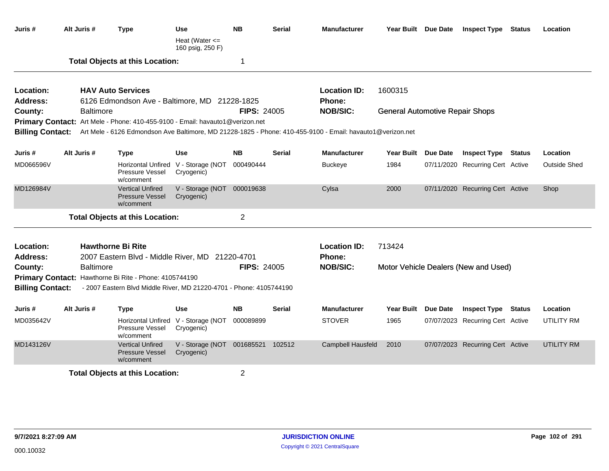| Juris #                                                       | Alt Juris #      | Type                                                                                                         | <b>Use</b><br>Heat (Water $\leq$                  | <b>NB</b>          | <b>Serial</b> | <b>Manufacturer</b>                                                                                        |                                        |                 | Year Built Due Date Inspect Type Status |        | Location            |
|---------------------------------------------------------------|------------------|--------------------------------------------------------------------------------------------------------------|---------------------------------------------------|--------------------|---------------|------------------------------------------------------------------------------------------------------------|----------------------------------------|-----------------|-----------------------------------------|--------|---------------------|
|                                                               |                  | <b>Total Objects at this Location:</b>                                                                       | 160 psig, 250 F)                                  | -1                 |               |                                                                                                            |                                        |                 |                                         |        |                     |
| Location:<br><b>Address:</b>                                  |                  | <b>HAV Auto Services</b>                                                                                     |                                                   |                    |               | <b>Location ID:</b><br><b>Phone:</b>                                                                       | 1600315                                |                 |                                         |        |                     |
| County:                                                       | <b>Baltimore</b> | 6126 Edmondson Ave - Baltimore, MD 21228-1825                                                                |                                                   | <b>FIPS: 24005</b> |               | <b>NOB/SIC:</b>                                                                                            | <b>General Automotive Repair Shops</b> |                 |                                         |        |                     |
|                                                               |                  | Primary Contact: Art Mele - Phone: 410-455-9100 - Email: havauto1@verizon.net                                |                                                   |                    |               |                                                                                                            |                                        |                 |                                         |        |                     |
| <b>Billing Contact:</b>                                       |                  |                                                                                                              |                                                   |                    |               | Art Mele - 6126 Edmondson Ave Baltimore, MD 21228-1825 - Phone: 410-455-9100 - Email: havauto1@verizon.net |                                        |                 |                                         |        |                     |
|                                                               |                  |                                                                                                              |                                                   |                    |               |                                                                                                            |                                        |                 |                                         |        |                     |
| Juris #                                                       | Alt Juris #      | Type                                                                                                         | <b>Use</b>                                        | <b>NB</b>          | <b>Serial</b> | <b>Manufacturer</b>                                                                                        | Year Built Due Date                    |                 | <b>Inspect Type Status</b>              |        | Location            |
| MD066596V                                                     |                  | Pressure Vessel<br>w/comment                                                                                 | Horizontal Unfired V - Storage (NOT<br>Cryogenic) | 000490444          |               | <b>Buckeye</b>                                                                                             | 1984                                   |                 | 07/11/2020 Recurring Cert Active        |        | <b>Outside Shed</b> |
| MD126984V                                                     |                  | <b>Vertical Unfired</b><br><b>Pressure Vessel</b><br>w/comment                                               | V - Storage (NOT<br>Cryogenic)                    | 000019638          |               | Cylsa                                                                                                      | 2000                                   |                 | 07/11/2020 Recurring Cert Active        |        | Shop                |
|                                                               |                  | <b>Total Objects at this Location:</b>                                                                       |                                                   | $\overline{2}$     |               |                                                                                                            |                                        |                 |                                         |        |                     |
| Location:<br><b>Address:</b>                                  |                  | <b>Hawthorne Bi Rite</b><br>2007 Eastern Blvd - Middle River, MD 21220-4701                                  |                                                   |                    |               | <b>Location ID:</b><br>Phone:                                                                              | 713424                                 |                 |                                         |        |                     |
| County:<br><b>Primary Contact:</b><br><b>Billing Contact:</b> | Baltimore        | Hawthorne Bi Rite - Phone: 4105744190<br>- 2007 Eastern Blvd Middle River, MD 21220-4701 - Phone: 4105744190 |                                                   | <b>FIPS: 24005</b> |               | <b>NOB/SIC:</b>                                                                                            | Motor Vehicle Dealers (New and Used)   |                 |                                         |        |                     |
|                                                               |                  |                                                                                                              |                                                   |                    |               |                                                                                                            |                                        |                 |                                         |        |                     |
| Juris #                                                       | Alt Juris #      | <b>Type</b>                                                                                                  | <b>Use</b>                                        | <b>NB</b>          | <b>Serial</b> | <b>Manufacturer</b>                                                                                        | Year Built                             | <b>Due Date</b> | <b>Inspect Type</b>                     | Status | Location            |
| MD035642V                                                     |                  | Pressure Vessel<br>w/comment                                                                                 | Horizontal Unfired V - Storage (NOT<br>Cryogenic) | 000089899          |               | <b>STOVER</b>                                                                                              | 1965                                   |                 | 07/07/2023 Recurring Cert Active        |        | UTILITY RM          |
| MD143126V                                                     |                  | <b>Vertical Unfired</b><br><b>Pressure Vessel</b><br>w/comment                                               | V - Storage (NOT<br>Cryogenic)                    | 001685521          | 102512        | Campbell Hausfeld                                                                                          | 2010                                   |                 | 07/07/2023 Recurring Cert Active        |        | UTILITY RM          |
|                                                               |                  | <b>Total Objects at this Location:</b>                                                                       |                                                   | $\overline{2}$     |               |                                                                                                            |                                        |                 |                                         |        |                     |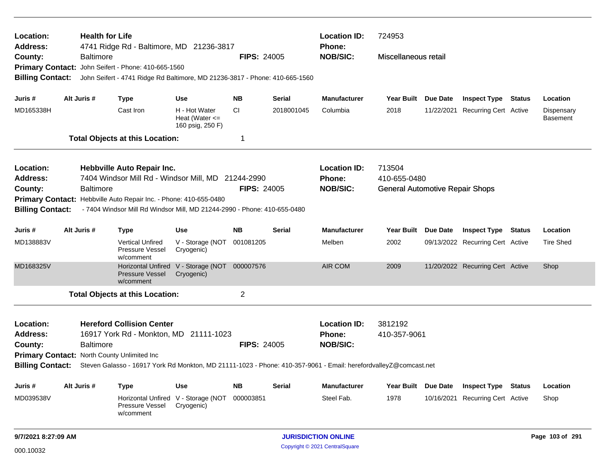| Location:<br><b>Address:</b>                                      |             | <b>Health for Life</b> | 4741 Ridge Rd - Baltimore, MD 21236-3817                                                                         |                                                         |                    |                                                                                 | <b>Location ID:</b><br><b>Phone:</b> | 724953<br>Miscellaneous retail |                 |                                  |        |                               |  |  |
|-------------------------------------------------------------------|-------------|------------------------|------------------------------------------------------------------------------------------------------------------|---------------------------------------------------------|--------------------|---------------------------------------------------------------------------------|--------------------------------------|--------------------------------|-----------------|----------------------------------|--------|-------------------------------|--|--|
| County:                                                           |             | <b>Baltimore</b>       |                                                                                                                  |                                                         | <b>FIPS: 24005</b> |                                                                                 | <b>NOB/SIC:</b>                      |                                |                 |                                  |        |                               |  |  |
|                                                                   |             |                        | Primary Contact: John Seifert - Phone: 410-665-1560                                                              |                                                         |                    |                                                                                 |                                      |                                |                 |                                  |        |                               |  |  |
| <b>Billing Contact:</b>                                           |             |                        | John Seifert - 4741 Ridge Rd Baltimore, MD 21236-3817 - Phone: 410-665-1560                                      |                                                         |                    |                                                                                 |                                      |                                |                 |                                  |        |                               |  |  |
| Juris #                                                           | Alt Juris # |                        | <b>Type</b>                                                                                                      | <b>Use</b>                                              | <b>NB</b>          | Serial                                                                          | <b>Manufacturer</b>                  | Year Built Due Date            |                 | <b>Inspect Type Status</b>       |        | Location                      |  |  |
| MD165338H                                                         |             |                        | Cast Iron                                                                                                        | H - Hot Water<br>Heat (Water $\leq$<br>160 psig, 250 F) | <b>CI</b>          | 2018001045                                                                      | Columbia                             | 2018                           |                 | 11/22/2021 Recurring Cert Active |        | Dispensary<br><b>Basement</b> |  |  |
|                                                                   |             |                        | <b>Total Objects at this Location:</b>                                                                           |                                                         | -1                 |                                                                                 |                                      |                                |                 |                                  |        |                               |  |  |
| Location:                                                         |             |                        | <b>Hebbville Auto Repair Inc.</b>                                                                                |                                                         |                    |                                                                                 | <b>Location ID:</b>                  | 713504                         |                 |                                  |        |                               |  |  |
| Address:                                                          |             |                        | 7404 Windsor Mill Rd - Windsor Mill, MD 21244-2990                                                               |                                                         |                    |                                                                                 | Phone:                               | 410-655-0480                   |                 |                                  |        |                               |  |  |
| County:                                                           |             | <b>Baltimore</b>       |                                                                                                                  |                                                         |                    | <b>NOB/SIC:</b><br><b>FIPS: 24005</b><br><b>General Automotive Repair Shops</b> |                                      |                                |                 |                                  |        |                               |  |  |
| Primary Contact: Hebbville Auto Repair Inc. - Phone: 410-655-0480 |             |                        |                                                                                                                  |                                                         |                    |                                                                                 |                                      |                                |                 |                                  |        |                               |  |  |
| <b>Billing Contact:</b>                                           |             |                        | - 7404 Windsor Mill Rd Windsor Mill, MD 21244-2990 - Phone: 410-655-0480                                         |                                                         |                    |                                                                                 |                                      |                                |                 |                                  |        |                               |  |  |
| Juris #                                                           | Alt Juris # |                        | <b>Type</b>                                                                                                      | <b>Use</b>                                              | <b>NB</b>          | Serial                                                                          | <b>Manufacturer</b>                  | Year Built                     | <b>Due Date</b> | <b>Inspect Type Status</b>       |        | Location                      |  |  |
| MD138883V                                                         |             |                        | Vertical Unfired<br>Pressure Vessel<br>w/comment                                                                 | V - Storage (NOT<br>Cryogenic)                          | 001081205          |                                                                                 | Melben                               | 2002                           |                 | 09/13/2022 Recurring Cert Active |        | <b>Tire Shed</b>              |  |  |
| MD168325V                                                         |             |                        | <b>Horizontal Unfired</b><br><b>Pressure Vessel</b><br>w/comment                                                 | V - Storage (NOT<br>Cryogenic)                          | 000007576          |                                                                                 | <b>AIR COM</b>                       | 2009                           |                 | 11/20/2022 Recurring Cert Active |        | Shop                          |  |  |
|                                                                   |             |                        | <b>Total Objects at this Location:</b>                                                                           |                                                         | $\overline{2}$     |                                                                                 |                                      |                                |                 |                                  |        |                               |  |  |
| Location:                                                         |             |                        | <b>Hereford Collision Center</b>                                                                                 |                                                         |                    |                                                                                 | <b>Location ID:</b>                  | 3812192                        |                 |                                  |        |                               |  |  |
| <b>Address:</b>                                                   |             |                        | 16917 York Rd - Monkton, MD 21111-1023                                                                           |                                                         |                    |                                                                                 | <b>Phone:</b>                        | 410-357-9061                   |                 |                                  |        |                               |  |  |
| County:                                                           |             | <b>Baltimore</b>       |                                                                                                                  |                                                         | <b>FIPS: 24005</b> |                                                                                 | <b>NOB/SIC:</b>                      |                                |                 |                                  |        |                               |  |  |
|                                                                   |             |                        | Primary Contact: North County Unlimited Inc                                                                      |                                                         |                    |                                                                                 |                                      |                                |                 |                                  |        |                               |  |  |
| <b>Billing Contact:</b>                                           |             |                        | Steven Galasso - 16917 York Rd Monkton, MD 21111-1023 - Phone: 410-357-9061 - Email: herefordvalleyZ@comcast.net |                                                         |                    |                                                                                 |                                      |                                |                 |                                  |        |                               |  |  |
| Juris #                                                           | Alt Juris # |                        | <b>Type</b>                                                                                                      | Use                                                     | <b>NB</b>          | Serial                                                                          | <b>Manufacturer</b>                  | <b>Year Built</b>              | Due Date        | Inspect Type                     | Status | Location                      |  |  |
| MD039538V                                                         |             |                        | Pressure Vessel<br>w/comment                                                                                     | Horizontal Unfired V - Storage (NOT<br>Cryogenic)       | 000003851          |                                                                                 | Steel Fab.                           | 1978                           |                 | 10/16/2021 Recurring Cert Active |        | Shop                          |  |  |
| 9/7/2021 8:27:09 AM                                               |             |                        |                                                                                                                  |                                                         |                    |                                                                                 | <b>JURISDICTION ONLINE</b>           |                                |                 |                                  |        | Page 103 of 291               |  |  |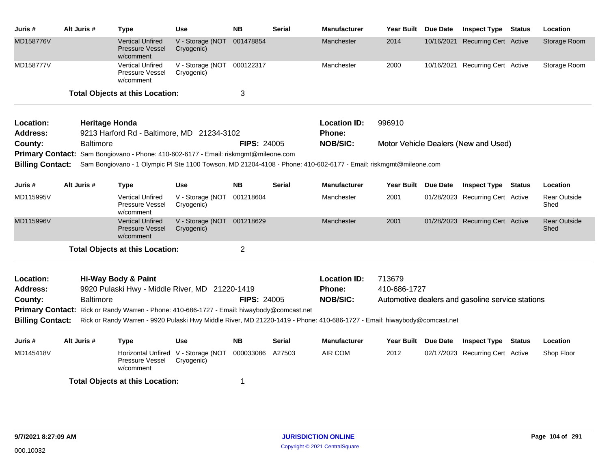| Juris #                                                                                                                                     | Alt Juris #           | <b>Type</b>                                                                                                              | Use                                               | <b>NB</b>          | <b>Serial</b> | <b>Manufacturer</b>                  | Year Built Due Date |  | <b>Inspect Type Status</b>                       |               | Location                    |  |
|---------------------------------------------------------------------------------------------------------------------------------------------|-----------------------|--------------------------------------------------------------------------------------------------------------------------|---------------------------------------------------|--------------------|---------------|--------------------------------------|---------------------|--|--------------------------------------------------|---------------|-----------------------------|--|
| MD158776V                                                                                                                                   |                       | <b>Vertical Unfired</b><br><b>Pressure Vessel</b><br>w/comment                                                           | V - Storage (NOT<br>Cryogenic)                    | 001478854          |               | Manchester                           | 2014                |  | 10/16/2021 Recurring Cert Active                 |               | Storage Room                |  |
| MD158777V                                                                                                                                   |                       | <b>Vertical Unfired</b><br>Pressure Vessel<br>w/comment                                                                  | V - Storage (NOT 000122317<br>Cryogenic)          |                    |               | Manchester                           | 2000                |  | 10/16/2021 Recurring Cert Active                 |               | Storage Room                |  |
|                                                                                                                                             |                       | <b>Total Objects at this Location:</b>                                                                                   |                                                   | 3                  |               |                                      |                     |  |                                                  |               |                             |  |
| Location:<br><b>Address:</b>                                                                                                                | <b>Heritage Honda</b> | 9213 Harford Rd - Baltimore, MD 21234-3102                                                                               |                                                   |                    |               | <b>Location ID:</b><br><b>Phone:</b> | 996910              |  |                                                  |               |                             |  |
| County:                                                                                                                                     | <b>Baltimore</b>      |                                                                                                                          |                                                   | <b>FIPS: 24005</b> |               | <b>NOB/SIC:</b>                      |                     |  | Motor Vehicle Dealers (New and Used)             |               |                             |  |
| <b>Primary Contact:</b>                                                                                                                     |                       | Sam Bongiovano - Phone: 410-602-6177 - Email: riskmgmt@mileone.com                                                       |                                                   |                    |               |                                      |                     |  |                                                  |               |                             |  |
| <b>Billing Contact:</b><br>Sam Bongiovano - 1 Olympic PI Ste 1100 Towson, MD 21204-4108 - Phone: 410-602-6177 - Email: riskmgmt@mileone.com |                       |                                                                                                                          |                                                   |                    |               |                                      |                     |  |                                                  |               |                             |  |
| Juris #                                                                                                                                     | Alt Juris #           | Type                                                                                                                     | Use                                               | NB                 | <b>Serial</b> | <b>Manufacturer</b>                  | Year Built Due Date |  | <b>Inspect Type</b>                              | <b>Status</b> | Location                    |  |
| MD115995V                                                                                                                                   |                       | <b>Vertical Unfired</b><br>Pressure Vessel<br>w/comment                                                                  | V - Storage (NOT<br>Cryogenic)                    | 001218604          |               | Manchester                           | 2001                |  | 01/28/2023 Recurring Cert Active                 |               | <b>Rear Outside</b><br>Shed |  |
| MD115996V                                                                                                                                   |                       | <b>Vertical Unfired</b><br><b>Pressure Vessel</b><br>w/comment                                                           | V - Storage (NOT 001218629<br>Cryogenic)          |                    |               | Manchester                           | 2001                |  | 01/28/2023 Recurring Cert Active                 |               | <b>Rear Outside</b><br>Shed |  |
|                                                                                                                                             |                       | <b>Total Objects at this Location:</b>                                                                                   |                                                   | $\overline{2}$     |               |                                      |                     |  |                                                  |               |                             |  |
| Location:                                                                                                                                   |                       | Hi-Way Body & Paint                                                                                                      |                                                   |                    |               | <b>Location ID:</b>                  | 713679              |  |                                                  |               |                             |  |
| <b>Address:</b>                                                                                                                             |                       | 9920 Pulaski Hwy - Middle River, MD 21220-1419                                                                           |                                                   |                    |               | <b>Phone:</b>                        | 410-686-1727        |  |                                                  |               |                             |  |
| County:                                                                                                                                     | <b>Baltimore</b>      |                                                                                                                          |                                                   | <b>FIPS: 24005</b> |               | <b>NOB/SIC:</b>                      |                     |  | Automotive dealers and gasoline service stations |               |                             |  |
|                                                                                                                                             |                       | Primary Contact: Rick or Randy Warren - Phone: 410-686-1727 - Email: hiwaybody@comcast.net                               |                                                   |                    |               |                                      |                     |  |                                                  |               |                             |  |
| <b>Billing Contact:</b>                                                                                                                     |                       | Rick or Randy Warren - 9920 Pulaski Hwy Middle River, MD 21220-1419 - Phone: 410-686-1727 - Email: hiwaybody@comcast.net |                                                   |                    |               |                                      |                     |  |                                                  |               |                             |  |
| Juris #                                                                                                                                     | Alt Juris #           | <b>Type</b>                                                                                                              | Use                                               | <b>NB</b>          | <b>Serial</b> | <b>Manufacturer</b>                  | Year Built Due Date |  | <b>Inspect Type</b>                              | <b>Status</b> | Location                    |  |
| MD145418V                                                                                                                                   |                       | Pressure Vessel<br>w/comment                                                                                             | Horizontal Unfired V - Storage (NOT<br>Cryogenic) | 000033086          | A27503        | AIR COM                              | 2012                |  | 02/17/2023 Recurring Cert Active                 |               | Shop Floor                  |  |
|                                                                                                                                             |                       | <b>Total Objects at this Location:</b>                                                                                   |                                                   | 1                  |               |                                      |                     |  |                                                  |               |                             |  |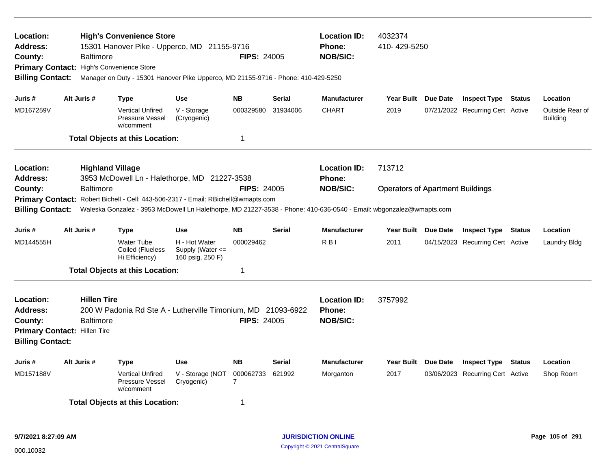| Location:<br><b>Address:</b><br>County:<br><b>Primary Contact:</b><br><b>Billing Contact:</b>                                                                                                                                                                                           |                                                                                                                                                                                         | <b>Baltimore</b> | <b>High's Convenience Store</b><br>High's Convenience Store | 15301 Hanover Pike - Upperco, MD 21155-9716<br>Manager on Duty - 15301 Hanover Pike Upperco, MD 21155-9716 - Phone: 410-429-5250 | <b>FIPS: 24005</b> |               | <b>Location ID:</b><br><b>Phone:</b><br><b>NOB/SIC:</b> | 4032374<br>410-429-5250                 |                 |                                  |        |                                    |  |
|-----------------------------------------------------------------------------------------------------------------------------------------------------------------------------------------------------------------------------------------------------------------------------------------|-----------------------------------------------------------------------------------------------------------------------------------------------------------------------------------------|------------------|-------------------------------------------------------------|----------------------------------------------------------------------------------------------------------------------------------|--------------------|---------------|---------------------------------------------------------|-----------------------------------------|-----------------|----------------------------------|--------|------------------------------------|--|
| Juris #                                                                                                                                                                                                                                                                                 |                                                                                                                                                                                         | Alt Juris #      | Type                                                        | <b>Use</b>                                                                                                                       | <b>NB</b>          | <b>Serial</b> | <b>Manufacturer</b>                                     | Year Built Due Date                     |                 | <b>Inspect Type Status</b>       |        | Location                           |  |
| MD167259V                                                                                                                                                                                                                                                                               |                                                                                                                                                                                         |                  | <b>Vertical Unfired</b><br>Pressure Vessel<br>w/comment     | V - Storage<br>(Cryogenic)                                                                                                       | 000329580          | 31934006      | <b>CHART</b>                                            | 2019                                    |                 | 07/21/2022 Recurring Cert Active |        | Outside Rear of<br><b>Building</b> |  |
|                                                                                                                                                                                                                                                                                         |                                                                                                                                                                                         |                  | <b>Total Objects at this Location:</b>                      |                                                                                                                                  | $\mathbf 1$        |               |                                                         |                                         |                 |                                  |        |                                    |  |
| <b>Location:</b><br><b>Address:</b>                                                                                                                                                                                                                                                     | <b>Highland Village</b><br>3953 McDowell Ln - Halethorpe, MD 21227-3538                                                                                                                 |                  |                                                             |                                                                                                                                  |                    |               | <b>Location ID:</b><br><b>Phone:</b>                    | 713712                                  |                 |                                  |        |                                    |  |
| <b>Baltimore</b><br><b>FIPS: 24005</b><br>County:<br>Primary Contact: Robert Bichell - Cell: 443-506-2317 - Email: RBichell@wmapts.com<br>Waleska Gonzalez - 3953 McDowell Ln Halethorpe, MD 21227-3538 - Phone: 410-636-0540 - Email: wbgonzalez@wmapts.com<br><b>Billing Contact:</b> |                                                                                                                                                                                         |                  |                                                             |                                                                                                                                  |                    |               | <b>NOB/SIC:</b>                                         | <b>Operators of Apartment Buildings</b> |                 |                                  |        |                                    |  |
| Juris #                                                                                                                                                                                                                                                                                 |                                                                                                                                                                                         | Alt Juris #      | Type                                                        | <b>Use</b>                                                                                                                       | <b>NB</b>          | <b>Serial</b> | <b>Manufacturer</b>                                     | <b>Year Built</b>                       | <b>Due Date</b> | <b>Inspect Type Status</b>       |        | Location                           |  |
| MD144555H                                                                                                                                                                                                                                                                               |                                                                                                                                                                                         |                  | <b>Water Tube</b><br>Coiled (Flueless<br>Hi Efficiency)     | H - Hot Water<br>Supply (Water <=<br>160 psig, 250 F)                                                                            | 000029462          |               | RBI                                                     | 2011                                    |                 | 04/15/2023 Recurring Cert Active |        | Laundry Bldg                       |  |
|                                                                                                                                                                                                                                                                                         |                                                                                                                                                                                         |                  | <b>Total Objects at this Location:</b>                      |                                                                                                                                  | 1                  |               |                                                         |                                         |                 |                                  |        |                                    |  |
| Location:<br>Address:<br>County:                                                                                                                                                                                                                                                        | <b>Hillen Tire</b><br>200 W Padonia Rd Ste A - Lutherville Timonium, MD 21093-6922<br><b>Baltimore</b><br><b>FIPS: 24005</b><br>Primary Contact: Hillen Tire<br><b>Billing Contact:</b> |                  |                                                             |                                                                                                                                  |                    |               | <b>Location ID:</b><br><b>Phone:</b><br><b>NOB/SIC:</b> | 3757992                                 |                 |                                  |        |                                    |  |
| Juris #                                                                                                                                                                                                                                                                                 |                                                                                                                                                                                         | Alt Juris #      | Type                                                        | <b>Use</b>                                                                                                                       | <b>NB</b>          | <b>Serial</b> | <b>Manufacturer</b>                                     | <b>Year Built</b>                       | <b>Due Date</b> | <b>Inspect Type</b>              | Status | Location                           |  |
| MD157188V                                                                                                                                                                                                                                                                               |                                                                                                                                                                                         |                  | <b>Vertical Unfired</b><br>Pressure Vessel<br>w/comment     | V - Storage (NOT<br>Cryogenic)                                                                                                   | 000062733<br>7     | 621992        | Morganton                                               | 2017                                    |                 | 03/06/2023 Recurring Cert Active |        | Shop Room                          |  |
|                                                                                                                                                                                                                                                                                         |                                                                                                                                                                                         |                  | <b>Total Objects at this Location:</b>                      |                                                                                                                                  | 1                  |               |                                                         |                                         |                 |                                  |        |                                    |  |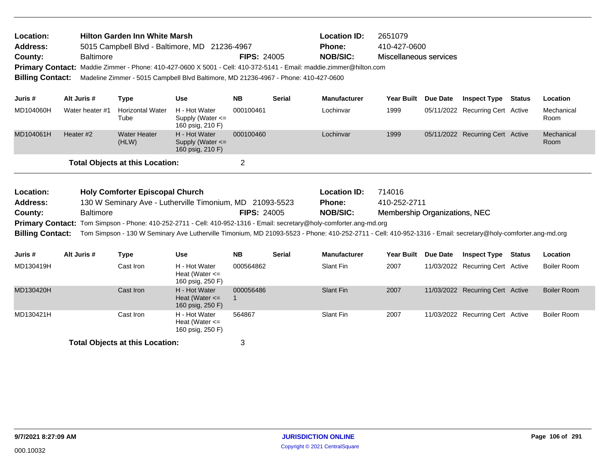| Location:<br>Address:<br>County:<br><b>Billing Contact:</b> | <b>Baltimore</b> | <b>Hilton Garden Inn White Marsh</b><br>5015 Campbell Blvd - Baltimore, MD 21236-4967<br>Primary Contact: Maddie Zimmer - Phone: 410-427-0600 X 5001 - Cell: 410-372-5141 - Email: maddie.zimmer@hilton.com<br>Madeline Zimmer - 5015 Campbell Blvd Baltimore, MD 21236-4967 - Phone: 410-427-0600 | <b>FIPS: 24005</b>                                                                                                                                           | <b>Location ID:</b><br>Phone:<br><b>NOB/SIC:</b> | 2651079<br>410-427-0600<br>Miscellaneous services |                                                  |                                                         |                 |                                  |               |                    |
|-------------------------------------------------------------|------------------|----------------------------------------------------------------------------------------------------------------------------------------------------------------------------------------------------------------------------------------------------------------------------------------------------|--------------------------------------------------------------------------------------------------------------------------------------------------------------|--------------------------------------------------|---------------------------------------------------|--------------------------------------------------|---------------------------------------------------------|-----------------|----------------------------------|---------------|--------------------|
| Juris #                                                     | Alt Juris #      | <b>Type</b>                                                                                                                                                                                                                                                                                        | <b>Use</b>                                                                                                                                                   | <b>NB</b>                                        | <b>Serial</b>                                     | <b>Manufacturer</b>                              | Year Built Due Date                                     |                 | <b>Inspect Type</b>              | <b>Status</b> | Location           |
| MD104060H                                                   | Water heater #1  | <b>Horizontal Water</b><br>Tube                                                                                                                                                                                                                                                                    | H - Hot Water<br>Supply (Water $\leq$<br>160 psig, 210 F)                                                                                                    | 000100461                                        |                                                   | Lochinvar                                        | 1999                                                    |                 | 05/11/2022 Recurring Cert Active |               | Mechanical<br>Room |
| MD104061H                                                   | Heater #2        | <b>Water Heater</b><br>(HLW)                                                                                                                                                                                                                                                                       | H - Hot Water<br>Supply (Water $\leq$<br>160 psig, 210 F)                                                                                                    | 000100460                                        |                                                   | Lochinvar                                        | 1999                                                    |                 | 05/11/2022 Recurring Cert Active |               | Mechanical<br>Room |
|                                                             |                  | <b>Total Objects at this Location:</b>                                                                                                                                                                                                                                                             |                                                                                                                                                              | $\overline{2}$                                   |                                                   |                                                  |                                                         |                 |                                  |               |                    |
| Location:<br><b>Address:</b><br>County:                     | <b>Baltimore</b> | <b>Holy Comforter Episcopal Church</b>                                                                                                                                                                                                                                                             | 130 W Seminary Ave - Lutherville Timonium, MD 21093-5523                                                                                                     | <b>FIPS: 24005</b>                               |                                                   | <b>Location ID:</b><br>Phone:<br><b>NOB/SIC:</b> | 714016<br>410-252-2711<br>Membership Organizations, NEC |                 |                                  |               |                    |
|                                                             |                  |                                                                                                                                                                                                                                                                                                    | <b>Primary Contact:</b> Tom Simpson - Phone: 410-252-2711 - Cell: 410-952-1316 - Email: secretary@holy-comforter.ang-md.org                                  |                                                  |                                                   |                                                  |                                                         |                 |                                  |               |                    |
| <b>Billing Contact:</b>                                     |                  |                                                                                                                                                                                                                                                                                                    | Tom Simpson - 130 W Seminary Ave Lutherville Timonium, MD 21093-5523 - Phone: 410-252-2711 - Cell: 410-952-1316 - Email: secretary@holy-comforter.ang-md.org |                                                  |                                                   |                                                  |                                                         |                 |                                  |               |                    |
| Juris #                                                     | Alt Juris #      | <b>Type</b>                                                                                                                                                                                                                                                                                        | <b>Use</b>                                                                                                                                                   | <b>NB</b>                                        | <b>Serial</b>                                     | <b>Manufacturer</b>                              | Year Built                                              | <b>Due Date</b> | <b>Inspect Type</b>              | <b>Status</b> | Location           |
| MD130419H                                                   |                  | Cast Iron                                                                                                                                                                                                                                                                                          | H - Hot Water<br>Heat (Water $\leq$<br>160 psig, 250 F)                                                                                                      | 000564862                                        |                                                   | Slant Fin                                        | 2007                                                    |                 | 11/03/2022 Recurring Cert Active |               | <b>Boiler Room</b> |
| MD130420H                                                   |                  | Cast Iron                                                                                                                                                                                                                                                                                          | H - Hot Water<br>Heat (Water $\leq$<br>160 psig, 250 F)                                                                                                      | 000056486<br>-1                                  |                                                   | <b>Slant Fin</b>                                 | 2007                                                    |                 | 11/03/2022 Recurring Cert Active |               | <b>Boiler Room</b> |

160 psig, 250 F) **Total Objects at this Location:** 3

MD130421H Cast Iron H - Hot Water Slant Fin 2007 11/03/2022

Heat (Water <=

564867 Slant Fin 2007 11/03/2022 Recurring Cert Active Boiler Room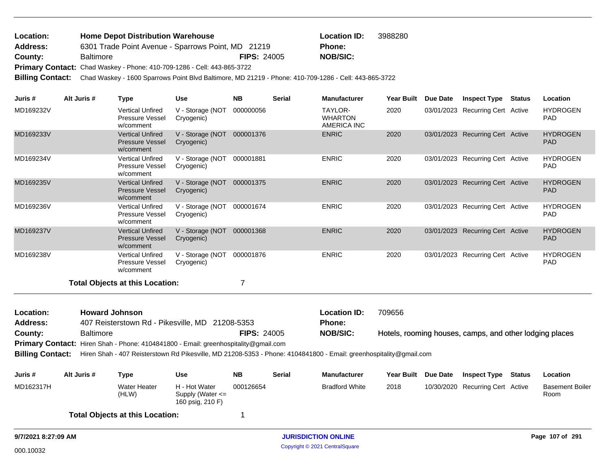| <b>Location:</b> | <b>Home Depot Distribution Warehouse</b>                                       |                    | <b>Location ID:</b> | 3988280 |  |  |
|------------------|--------------------------------------------------------------------------------|--------------------|---------------------|---------|--|--|
| Address:         | 6301 Trade Point Avenue - Sparrows Point, MD 21219                             |                    | <b>Phone:</b>       |         |  |  |
| County:          | <b>Baltimore</b>                                                               | <b>FIPS: 24005</b> | <b>NOB/SIC:</b>     |         |  |  |
|                  | <b>Primary Contact:</b> Chad Waskey - Phone: 410-709-1286 - Cell: 443-865-3722 |                    |                     |         |  |  |

**Billing Contact:** Chad Waskey - 1600 Sparrows Point Blvd Baltimore, MD 21219 - Phone: 410-709-1286 - Cell: 443-865-3722

| Juris #   | Alt Juris # | Type                                                           | <b>Use</b>                     | <b>NB</b> | <b>Serial</b> | <b>Manufacturer</b>                      | Year Built | Due Date | <b>Inspect Type</b>              | Status | Location                      |
|-----------|-------------|----------------------------------------------------------------|--------------------------------|-----------|---------------|------------------------------------------|------------|----------|----------------------------------|--------|-------------------------------|
| MD169232V |             | <b>Vertical Unfired</b><br>Pressure Vessel<br>w/comment        | V - Storage (NOT<br>Cryogenic) | 000000056 |               | TAYLOR-<br><b>WHARTON</b><br>AMERICA INC | 2020       |          | 03/01/2023 Recurring Cert Active |        | <b>HYDROGEN</b><br>PAD.       |
| MD169233V |             | <b>Vertical Unfired</b><br><b>Pressure Vessel</b><br>w/comment | V - Storage (NOT<br>Cryogenic) | 000001376 |               | <b>ENRIC</b>                             | 2020       |          | 03/01/2023 Recurring Cert Active |        | <b>HYDROGEN</b><br><b>PAD</b> |
| MD169234V |             | <b>Vertical Unfired</b><br>Pressure Vessel<br>w/comment        | V - Storage (NOT<br>Cryogenic) | 000001881 |               | <b>ENRIC</b>                             | 2020       |          | 03/01/2023 Recurring Cert Active |        | <b>HYDROGEN</b><br>PAD.       |
| MD169235V |             | <b>Vertical Unfired</b><br><b>Pressure Vessel</b><br>w/comment | V - Storage (NOT<br>Cryogenic) | 000001375 |               | <b>ENRIC</b>                             | 2020       |          | 03/01/2023 Recurring Cert Active |        | <b>HYDROGEN</b><br><b>PAD</b> |
| MD169236V |             | <b>Vertical Unfired</b><br><b>Pressure Vessel</b><br>w/comment | V - Storage (NOT<br>Cryogenic) | 000001674 |               | <b>ENRIC</b>                             | 2020       |          | 03/01/2023 Recurring Cert Active |        | <b>HYDROGEN</b><br>PAD.       |
| MD169237V |             | <b>Vertical Unfired</b><br><b>Pressure Vessel</b><br>w/comment | V - Storage (NOT<br>Cryogenic) | 000001368 |               | <b>ENRIC</b>                             | 2020       |          | 03/01/2023 Recurring Cert Active |        | <b>HYDROGEN</b><br>PAD.       |
| MD169238V |             | <b>Vertical Unfired</b><br>Pressure Vessel<br>w/comment        | V - Storage (NOT<br>Cryogenic) | 000001876 |               | <b>ENRIC</b>                             | 2020       |          | 03/01/2023 Recurring Cert Active |        | <b>HYDROGEN</b><br>PAD.       |
|           |             | Total Obiects at this Location:                                |                                |           |               |                                          |            |          |                                  |        |                               |

Hotels, rooming houses, camps, and other lodging places 407 Reisterstown Rd - Pikesville, MD 21208-5353 **County:** Baltimore **NOB/SIC: RIPS:** 24005 **NOB/SIC:** Primary Contact: Hiren Shah - Phone: 4104841800 - Email: greenhospitality@gmail.com **Billing Contact:** Hiren Shah - 407 Reisterstown Rd Pikesville, MD 21208-5353 - Phone: 4104841800 - Email: greenhospitality@gmail.com **Howard Johnson Location ID:** 709656 **Address: Location: Phone:**

| Juris #   | Alt Juris # | Type                                   | Use                                                       | <b>NB</b> | <b>Serial</b> | <b>Manufacturer</b>   | Year Built | <b>Due Date</b> | <b>Inspect Type</b>              | <b>Status</b> | <b>Location</b>                |
|-----------|-------------|----------------------------------------|-----------------------------------------------------------|-----------|---------------|-----------------------|------------|-----------------|----------------------------------|---------------|--------------------------------|
| MD162317H |             | <b>Water Heater</b><br>(HLW)           | H - Hot Water<br>Supply (Water $\leq$<br>160 psig, 210 F) | 000126654 |               | <b>Bradford White</b> | 2018       |                 | 10/30/2020 Recurring Cert Active |               | <b>Basement Boiler</b><br>Room |
|           |             | <b>Total Objects at this Location:</b> |                                                           |           |               |                       |            |                 |                                  |               |                                |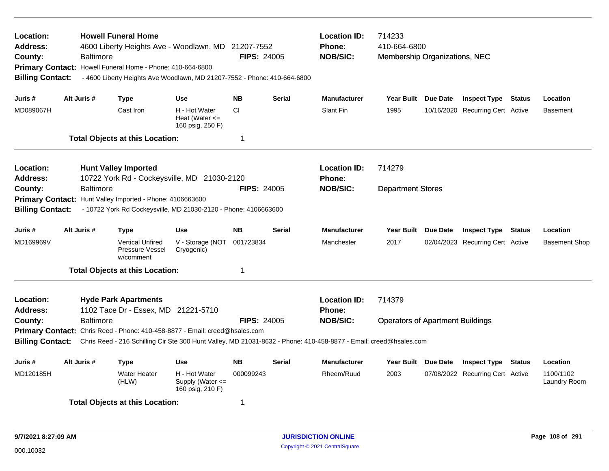| Location:<br><b>Address:</b><br>County:<br><b>Billing Contact:</b> | <b>Baltimore</b> | <b>Howell Funeral Home</b><br>4600 Liberty Heights Ave - Woodlawn, MD 21207-7552<br>Primary Contact: Howell Funeral Home - Phone: 410-664-6800<br>- 4600 Liberty Heights Ave Woodlawn, MD 21207-7552 - Phone: 410-664-6800 |                                                           | <b>FIPS: 24005</b> |               | <b>Location ID:</b><br><b>Phone:</b><br><b>NOB/SIC:</b>                                                           | 714233<br>410-664-6800<br>Membership Organizations, NEC |                     |                                  |        |                           |  |
|--------------------------------------------------------------------|------------------|----------------------------------------------------------------------------------------------------------------------------------------------------------------------------------------------------------------------------|-----------------------------------------------------------|--------------------|---------------|-------------------------------------------------------------------------------------------------------------------|---------------------------------------------------------|---------------------|----------------------------------|--------|---------------------------|--|
| Juris #                                                            | Alt Juris #      | <b>Type</b>                                                                                                                                                                                                                | Use                                                       | <b>NB</b>          | <b>Serial</b> | <b>Manufacturer</b>                                                                                               |                                                         | Year Built Due Date | <b>Inspect Type Status</b>       |        | Location                  |  |
| MD089067H                                                          |                  | Cast Iron                                                                                                                                                                                                                  | H - Hot Water<br>Heat (Water $\leq$<br>160 psig, 250 F)   | <b>CI</b>          |               | Slant Fin                                                                                                         | 1995                                                    |                     | 10/16/2020 Recurring Cert Active |        | <b>Basement</b>           |  |
|                                                                    |                  | <b>Total Objects at this Location:</b>                                                                                                                                                                                     |                                                           | 1                  |               |                                                                                                                   |                                                         |                     |                                  |        |                           |  |
| Location:<br>Address:                                              |                  | <b>Hunt Valley Imported</b><br>10722 York Rd - Cockeysville, MD 21030-2120                                                                                                                                                 |                                                           |                    |               | <b>Location ID:</b><br><b>Phone:</b>                                                                              | 714279                                                  |                     |                                  |        |                           |  |
| County:<br><b>Billing Contact:</b>                                 | <b>Baltimore</b> | Primary Contact: Hunt Valley Imported - Phone: 4106663600<br>- 10722 York Rd Cockeysville, MD 21030-2120 - Phone: 4106663600                                                                                               |                                                           | <b>FIPS: 24005</b> |               | <b>NOB/SIC:</b>                                                                                                   | <b>Department Stores</b>                                |                     |                                  |        |                           |  |
| Juris#                                                             | Alt Juris #      | Type                                                                                                                                                                                                                       | <b>Use</b>                                                | <b>NB</b>          | <b>Serial</b> | <b>Manufacturer</b>                                                                                               | <b>Year Built</b>                                       | Due Date            | <b>Inspect Type Status</b>       |        | Location                  |  |
| MD169969V                                                          |                  | <b>Vertical Unfired</b><br>Pressure Vessel<br>w/comment                                                                                                                                                                    | V - Storage (NOT<br>Cryogenic)                            | 001723834          |               | Manchester                                                                                                        | 2017                                                    |                     | 02/04/2023 Recurring Cert Active |        | <b>Basement Shop</b>      |  |
|                                                                    |                  | <b>Total Objects at this Location:</b>                                                                                                                                                                                     |                                                           | 1                  |               |                                                                                                                   |                                                         |                     |                                  |        |                           |  |
| Location:<br><b>Address:</b>                                       |                  | <b>Hyde Park Apartments</b><br>1102 Tace Dr - Essex, MD 21221-5710                                                                                                                                                         |                                                           |                    |               | <b>Location ID:</b><br><b>Phone:</b>                                                                              | 714379                                                  |                     |                                  |        |                           |  |
| County:                                                            | Baltimore        |                                                                                                                                                                                                                            |                                                           | <b>FIPS: 24005</b> |               | <b>NOB/SIC:</b>                                                                                                   | <b>Operators of Apartment Buildings</b>                 |                     |                                  |        |                           |  |
| <b>Billing Contact:</b>                                            |                  | Primary Contact: Chris Reed - Phone: 410-458-8877 - Email: creed@hsales.com                                                                                                                                                |                                                           |                    |               | Chris Reed - 216 Schilling Cir Ste 300 Hunt Valley, MD 21031-8632 - Phone: 410-458-8877 - Email: creed@hsales.com |                                                         |                     |                                  |        |                           |  |
|                                                                    |                  |                                                                                                                                                                                                                            |                                                           |                    |               |                                                                                                                   |                                                         |                     |                                  |        |                           |  |
| Juris #                                                            | Alt Juris #      | Type                                                                                                                                                                                                                       | <b>Use</b>                                                | <b>NB</b>          | <b>Serial</b> | <b>Manufacturer</b>                                                                                               |                                                         | Year Built Due Date | <b>Inspect Type</b>              | Status | Location                  |  |
| MD120185H                                                          |                  | <b>Water Heater</b><br>(HLW)                                                                                                                                                                                               | H - Hot Water<br>Supply (Water $\leq$<br>160 psig, 210 F) | 000099243          |               | Rheem/Ruud                                                                                                        | 2003                                                    |                     | 07/08/2022 Recurring Cert Active |        | 1100/1102<br>Laundry Room |  |
|                                                                    |                  | <b>Total Objects at this Location:</b>                                                                                                                                                                                     |                                                           | 1                  |               |                                                                                                                   |                                                         |                     |                                  |        |                           |  |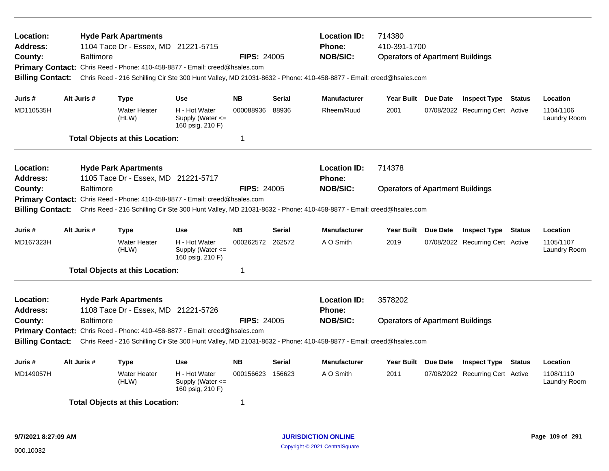| Location:<br><b>Address:</b><br>County:<br><b>Billing Contact:</b>          |                                                                             | <b>Baltimore</b> | <b>Hyde Park Apartments</b><br>1104 Tace Dr - Essex, MD 21221-5715<br>Primary Contact: Chris Reed - Phone: 410-458-8877 - Email: creed@hsales.com |                                                           | <b>FIPS: 24005</b> |               | <b>Location ID:</b><br>Phone:<br><b>NOB/SIC:</b><br>Chris Reed - 216 Schilling Cir Ste 300 Hunt Valley, MD 21031-8632 - Phone: 410-458-8877 - Email: creed@hsales.com | 714380<br>410-391-1700<br><b>Operators of Apartment Buildings</b> |          |                                  |               |                                  |
|-----------------------------------------------------------------------------|-----------------------------------------------------------------------------|------------------|---------------------------------------------------------------------------------------------------------------------------------------------------|-----------------------------------------------------------|--------------------|---------------|-----------------------------------------------------------------------------------------------------------------------------------------------------------------------|-------------------------------------------------------------------|----------|----------------------------------|---------------|----------------------------------|
| Juris #                                                                     |                                                                             | Alt Juris #      | <b>Type</b>                                                                                                                                       | <b>Use</b>                                                | <b>NB</b>          | <b>Serial</b> | <b>Manufacturer</b>                                                                                                                                                   | Year Built Due Date                                               |          | <b>Inspect Type Status</b>       |               | Location                         |
| MD110535H                                                                   |                                                                             |                  | <b>Water Heater</b><br>(HLW)                                                                                                                      | H - Hot Water<br>Supply (Water $\leq$<br>160 psig, 210 F) | 000088936          | 88936         | Rheem/Ruud                                                                                                                                                            | 2001                                                              |          | 07/08/2022 Recurring Cert Active |               | 1104/1106<br>Laundry Room        |
|                                                                             |                                                                             |                  | <b>Total Objects at this Location:</b>                                                                                                            |                                                           | -1                 |               |                                                                                                                                                                       |                                                                   |          |                                  |               |                                  |
| Location:<br><b>Address:</b>                                                |                                                                             |                  | <b>Hyde Park Apartments</b><br>1105 Tace Dr - Essex, MD 21221-5717                                                                                |                                                           |                    |               | <b>Location ID:</b><br><b>Phone:</b>                                                                                                                                  | 714378                                                            |          |                                  |               |                                  |
| County:                                                                     |                                                                             | <b>Baltimore</b> |                                                                                                                                                   |                                                           | <b>FIPS: 24005</b> |               | <b>NOB/SIC:</b>                                                                                                                                                       | <b>Operators of Apartment Buildings</b>                           |          |                                  |               |                                  |
|                                                                             | Primary Contact: Chris Reed - Phone: 410-458-8877 - Email: creed@hsales.com |                  |                                                                                                                                                   |                                                           |                    |               |                                                                                                                                                                       |                                                                   |          |                                  |               |                                  |
| <b>Billing Contact:</b>                                                     |                                                                             |                  |                                                                                                                                                   |                                                           |                    |               | Chris Reed - 216 Schilling Cir Ste 300 Hunt Valley, MD 21031-8632 - Phone: 410-458-8877 - Email: creed@hsales.com                                                     |                                                                   |          |                                  |               |                                  |
| Juris #                                                                     |                                                                             | Alt Juris #      | Type                                                                                                                                              | Use                                                       | <b>NB</b>          | <b>Serial</b> | <b>Manufacturer</b>                                                                                                                                                   | Year Built Due Date                                               |          | <b>Inspect Type Status</b>       |               | Location                         |
| MD167323H                                                                   |                                                                             |                  | <b>Water Heater</b><br>(HLW)                                                                                                                      | H - Hot Water<br>Supply (Water $\leq$<br>160 psig, 210 F) | 000262572 262572   |               | A O Smith                                                                                                                                                             | 2019                                                              |          | 07/08/2022 Recurring Cert Active |               | 1105/1107<br><b>Laundry Room</b> |
|                                                                             |                                                                             |                  | <b>Total Objects at this Location:</b>                                                                                                            |                                                           | $\mathbf 1$        |               |                                                                                                                                                                       |                                                                   |          |                                  |               |                                  |
| Location:<br><b>Address:</b>                                                |                                                                             |                  | <b>Hyde Park Apartments</b><br>1108 Tace Dr - Essex, MD 21221-5726                                                                                |                                                           |                    |               | <b>Location ID:</b><br><b>Phone:</b>                                                                                                                                  | 3578202                                                           |          |                                  |               |                                  |
| County:                                                                     |                                                                             | <b>Baltimore</b> |                                                                                                                                                   |                                                           | <b>FIPS: 24005</b> |               | <b>NOB/SIC:</b>                                                                                                                                                       | <b>Operators of Apartment Buildings</b>                           |          |                                  |               |                                  |
| Primary Contact: Chris Reed - Phone: 410-458-8877 - Email: creed@hsales.com |                                                                             |                  |                                                                                                                                                   |                                                           |                    |               |                                                                                                                                                                       |                                                                   |          |                                  |               |                                  |
| <b>Billing Contact:</b>                                                     |                                                                             |                  |                                                                                                                                                   |                                                           |                    |               | Chris Reed - 216 Schilling Cir Ste 300 Hunt Valley, MD 21031-8632 - Phone: 410-458-8877 - Email: creed@hsales.com                                                     |                                                                   |          |                                  |               |                                  |
| Juris #                                                                     |                                                                             | Alt Juris #      | <b>Type</b>                                                                                                                                       | <b>Use</b>                                                | <b>NB</b>          | Serial        | <b>Manufacturer</b>                                                                                                                                                   | <b>Year Built</b>                                                 | Due Date | <b>Inspect Type</b>              | <b>Status</b> | Location                         |
| MD149057H                                                                   |                                                                             |                  | <b>Water Heater</b><br>(HLW)                                                                                                                      | H - Hot Water<br>Supply (Water $\leq$<br>160 psig, 210 F) | 000156623          | 156623        | A O Smith                                                                                                                                                             | 2011                                                              |          | 07/08/2022 Recurring Cert Active |               | 1108/1110<br>Laundry Room        |
|                                                                             |                                                                             |                  | <b>Total Objects at this Location:</b>                                                                                                            |                                                           | -1                 |               |                                                                                                                                                                       |                                                                   |          |                                  |               |                                  |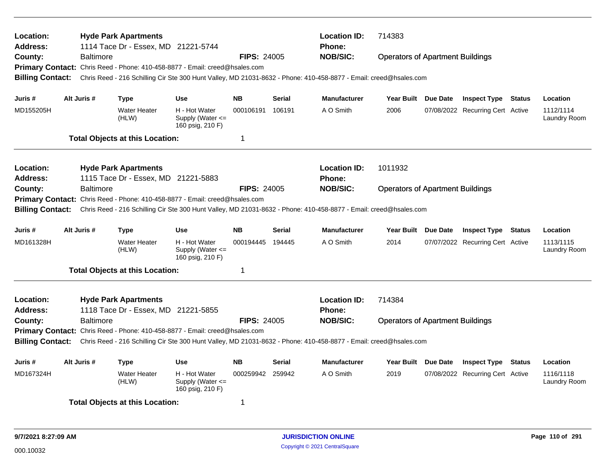| Location:<br>Address:<br>County:                                                       |  | <b>Baltimore</b> | <b>Hyde Park Apartments</b><br>1114 Tace Dr - Essex, MD 21221-5744          |                                                           | <b>FIPS: 24005</b> |               | <b>Location ID:</b><br><b>Phone:</b><br><b>NOB/SIC:</b>                                                           | 714383<br><b>Operators of Apartment Buildings</b> |                                  |        |                           |
|----------------------------------------------------------------------------------------|--|------------------|-----------------------------------------------------------------------------|-----------------------------------------------------------|--------------------|---------------|-------------------------------------------------------------------------------------------------------------------|---------------------------------------------------|----------------------------------|--------|---------------------------|
|                                                                                        |  |                  | Primary Contact: Chris Reed - Phone: 410-458-8877 - Email: creed@hsales.com |                                                           |                    |               |                                                                                                                   |                                                   |                                  |        |                           |
| <b>Billing Contact:</b>                                                                |  |                  |                                                                             |                                                           |                    |               | Chris Reed - 216 Schilling Cir Ste 300 Hunt Valley, MD 21031-8632 - Phone: 410-458-8877 - Email: creed@hsales.com |                                                   |                                  |        |                           |
|                                                                                        |  |                  |                                                                             |                                                           |                    |               |                                                                                                                   |                                                   |                                  |        |                           |
| Juris #                                                                                |  | Alt Juris #      | Type                                                                        | <b>Use</b>                                                | <b>NB</b>          | <b>Serial</b> | <b>Manufacturer</b>                                                                                               | Year Built Due Date                               | <b>Inspect Type Status</b>       |        | Location                  |
| MD155205H                                                                              |  |                  | <b>Water Heater</b><br>(HLW)                                                | H - Hot Water<br>Supply (Water $\leq$<br>160 psig, 210 F) | 000106191          | 106191        | A O Smith                                                                                                         | 2006                                              | 07/08/2022 Recurring Cert Active |        | 1112/1114<br>Laundry Room |
|                                                                                        |  |                  | <b>Total Objects at this Location:</b>                                      |                                                           | $\mathbf 1$        |               |                                                                                                                   |                                                   |                                  |        |                           |
| Location:                                                                              |  |                  | <b>Hyde Park Apartments</b>                                                 |                                                           |                    |               | <b>Location ID:</b>                                                                                               | 1011932                                           |                                  |        |                           |
| <b>Address:</b>                                                                        |  |                  | 1115 Tace Dr - Essex, MD 21221-5883                                         |                                                           |                    |               | Phone:                                                                                                            |                                                   |                                  |        |                           |
|                                                                                        |  | <b>Baltimore</b> |                                                                             |                                                           | <b>FIPS: 24005</b> |               | <b>NOB/SIC:</b>                                                                                                   | <b>Operators of Apartment Buildings</b>           |                                  |        |                           |
| County:<br>Primary Contact: Chris Reed - Phone: 410-458-8877 - Email: creed@hsales.com |  |                  |                                                                             |                                                           |                    |               |                                                                                                                   |                                                   |                                  |        |                           |
| <b>Billing Contact:</b>                                                                |  |                  |                                                                             |                                                           |                    |               | Chris Reed - 216 Schilling Cir Ste 300 Hunt Valley, MD 21031-8632 - Phone: 410-458-8877 - Email: creed@hsales.com |                                                   |                                  |        |                           |
|                                                                                        |  |                  |                                                                             |                                                           |                    |               |                                                                                                                   |                                                   |                                  |        |                           |
| Juris #                                                                                |  | Alt Juris #      | <b>Type</b>                                                                 | <b>Use</b>                                                | <b>NB</b>          | <b>Serial</b> | <b>Manufacturer</b>                                                                                               | Year Built Due Date                               | <b>Inspect Type</b>              | Status | Location                  |
| MD161328H                                                                              |  |                  | <b>Water Heater</b><br>(HLW)                                                | H - Hot Water<br>Supply (Water $\leq$<br>160 psig, 210 F) | 000194445          | 194445        | A O Smith                                                                                                         | 2014                                              | 07/07/2022 Recurring Cert Active |        | 1113/1115<br>Laundry Room |
|                                                                                        |  |                  | <b>Total Objects at this Location:</b>                                      |                                                           | $\mathbf 1$        |               |                                                                                                                   |                                                   |                                  |        |                           |
| Location:                                                                              |  |                  | <b>Hyde Park Apartments</b>                                                 |                                                           |                    |               | <b>Location ID:</b>                                                                                               | 714384                                            |                                  |        |                           |
| Address:                                                                               |  |                  | 1118 Tace Dr - Essex, MD 21221-5855                                         |                                                           |                    |               | <b>Phone:</b>                                                                                                     |                                                   |                                  |        |                           |
| County:                                                                                |  | Baltimore        |                                                                             |                                                           | <b>FIPS: 24005</b> |               | <b>NOB/SIC:</b>                                                                                                   | <b>Operators of Apartment Buildings</b>           |                                  |        |                           |
|                                                                                        |  |                  | Primary Contact: Chris Reed - Phone: 410-458-8877 - Email: creed@hsales.com |                                                           |                    |               |                                                                                                                   |                                                   |                                  |        |                           |
| <b>Billing Contact:</b>                                                                |  |                  |                                                                             |                                                           |                    |               | Chris Reed - 216 Schilling Cir Ste 300 Hunt Valley, MD 21031-8632 - Phone: 410-458-8877 - Email: creed@hsales.com |                                                   |                                  |        |                           |
| Juris#                                                                                 |  | Alt Juris #      | <b>Type</b>                                                                 | <b>Use</b>                                                | <b>NB</b>          | <b>Serial</b> | <b>Manufacturer</b>                                                                                               | Year Built Due Date                               | <b>Inspect Type</b>              | Status | Location                  |
| MD167324H                                                                              |  |                  | Water Heater<br>(HLW)                                                       | H - Hot Water<br>Supply (Water $\leq$<br>160 psig, 210 F) | 000259942          | 259942        | A O Smith                                                                                                         | 2019                                              | 07/08/2022 Recurring Cert Active |        | 1116/1118<br>Laundry Room |
|                                                                                        |  |                  | <b>Total Objects at this Location:</b>                                      |                                                           | 1                  |               |                                                                                                                   |                                                   |                                  |        |                           |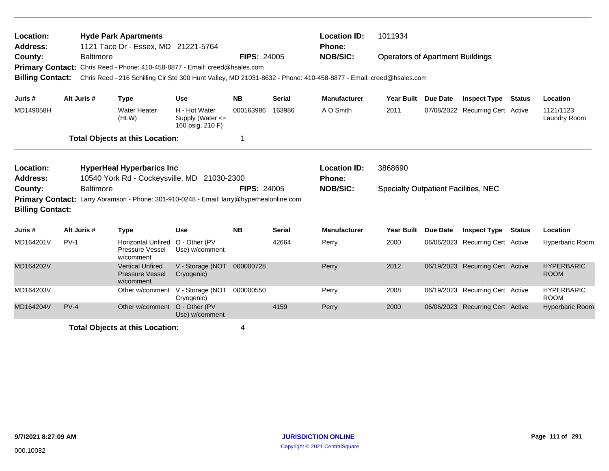| Location:<br><b>Address:</b><br>County:<br><b>Billing Contact:</b> | <b>Baltimore</b>                                                                                                                                                                                                              | <b>Hyde Park Apartments</b><br>1121 Tace Dr - Essex, MD 21221-5764<br>Primary Contact: Chris Reed - Phone: 410-458-8877 - Email: creed@hsales.com<br>Chris Reed - 216 Schilling Cir Ste 300 Hunt Valley, MD 21031-8632 - Phone: 410-458-8877 - Email: creed@hsales.com |                                                           | <b>FIPS: 24005</b> |                    | <b>Location ID:</b><br>Phone:<br><b>NOB/SIC:</b>        | 1011934<br><b>Operators of Apartment Buildings</b>     |                 |                                  |               |                                  |
|--------------------------------------------------------------------|-------------------------------------------------------------------------------------------------------------------------------------------------------------------------------------------------------------------------------|------------------------------------------------------------------------------------------------------------------------------------------------------------------------------------------------------------------------------------------------------------------------|-----------------------------------------------------------|--------------------|--------------------|---------------------------------------------------------|--------------------------------------------------------|-----------------|----------------------------------|---------------|----------------------------------|
| Juris #                                                            | Alt Juris #                                                                                                                                                                                                                   | <b>Type</b>                                                                                                                                                                                                                                                            | <b>Use</b>                                                | <b>NB</b>          | <b>Serial</b>      | <b>Manufacturer</b>                                     | <b>Year Built</b>                                      | <b>Due Date</b> | <b>Inspect Type Status</b>       |               | Location                         |
| MD149058H                                                          |                                                                                                                                                                                                                               | <b>Water Heater</b><br>(HLW)                                                                                                                                                                                                                                           | H - Hot Water<br>Supply (Water $\leq$<br>160 psig, 210 F) | 000163986          | 163986             | A O Smith                                               | 2011                                                   |                 | 07/08/2022 Recurring Cert Active |               | 1121/1123<br>Laundry Room        |
|                                                                    |                                                                                                                                                                                                                               | <b>Total Objects at this Location:</b>                                                                                                                                                                                                                                 |                                                           | 1                  |                    |                                                         |                                                        |                 |                                  |               |                                  |
| Location:<br><b>Address:</b><br>County:                            | <b>HyperHeal Hyperbarics Inc</b><br>10540 York Rd - Cockeysville, MD<br>21030-2300<br><b>Baltimore</b><br>Primary Contact: Larry Abramson - Phone: 301-910-0248 - Email: larry@hyperhealonline.com<br><b>Billing Contact:</b> |                                                                                                                                                                                                                                                                        |                                                           |                    | <b>FIPS: 24005</b> | <b>Location ID:</b><br><b>Phone:</b><br><b>NOB/SIC:</b> | 3868690<br><b>Specialty Outpatient Facilities, NEC</b> |                 |                                  |               |                                  |
| Juris #                                                            | Alt Juris #                                                                                                                                                                                                                   | <b>Type</b>                                                                                                                                                                                                                                                            | <b>Use</b>                                                | <b>NB</b>          | <b>Serial</b>      | <b>Manufacturer</b>                                     | <b>Year Built</b>                                      | <b>Due Date</b> | <b>Inspect Type</b>              | <b>Status</b> | Location                         |
| MD164201V                                                          | $PV-1$                                                                                                                                                                                                                        | <b>Horizontal Unfired</b><br>Pressure Vessel<br>w/comment                                                                                                                                                                                                              | O - Other (PV<br>Use) w/comment                           |                    | 42664              | Perry                                                   | 2000                                                   |                 | 06/06/2023 Recurring Cert Active |               | Hyperbaric Room                  |
| MD164202V                                                          |                                                                                                                                                                                                                               | <b>Vertical Unfired</b><br><b>Pressure Vessel</b><br>w/comment                                                                                                                                                                                                         | V - Storage (NOT<br>Cryogenic)                            | 000000728          |                    | Perry                                                   | 2012                                                   |                 | 06/19/2023 Recurring Cert Active |               | <b>HYPERBARIC</b><br><b>ROOM</b> |
| MD164203V                                                          |                                                                                                                                                                                                                               | Other w/comment                                                                                                                                                                                                                                                        | V - Storage (NOT<br>Cryogenic)                            | 000000550          |                    | Perry                                                   | 2008                                                   |                 | 06/19/2023 Recurring Cert Active |               | <b>HYPERBARIC</b><br><b>ROOM</b> |
| MD164204V                                                          | $PV-4$                                                                                                                                                                                                                        | Other w/comment                                                                                                                                                                                                                                                        | O - Other (PV<br>Use) w/comment                           |                    | 4159               | Perry                                                   | 2000                                                   |                 | 06/06/2023 Recurring Cert Active |               | <b>Hyperbaric Room</b>           |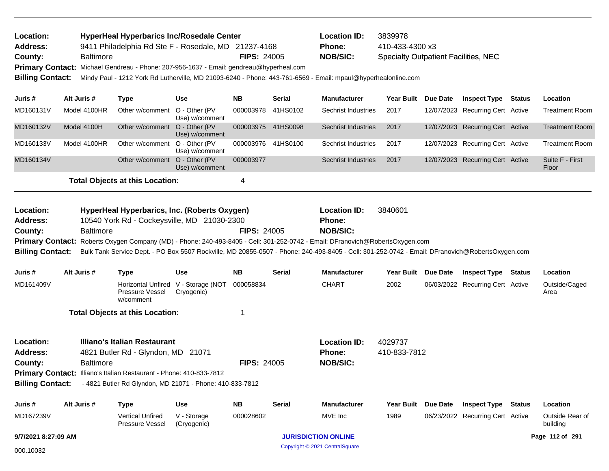| Location:<br><b>HyperHeal Hyperbarics Inc/Rosedale Center</b><br>9411 Philadelphia Rd Ste F - Rosedale, MD 21237-4168<br><b>Address:</b><br><b>Baltimore</b><br>County:<br>Primary Contact: Michael Gendreau - Phone: 207-956-1637 - Email: gendreau@hyperheal.com<br><b>Billing Contact:</b><br>Mindy Paul - 1212 York Rd Lutherville, MD 21093-6240 - Phone: 443-761-6569 - Email: mpaul@hyperhealonline.com<br>Alt Juris #<br><b>Type</b><br>Use<br>Juris # |              |                                                                                                                                                                                                                                                                                                                                                                                                     |                                                   | <b>FIPS: 24005</b> |                    | <b>Location ID:</b><br><b>Phone:</b><br><b>NOB/SIC:</b> | 3839978<br>410-433-4300 x3<br><b>Specialty Outpatient Facilities, NEC</b> |          |                                                                |                                   |
|----------------------------------------------------------------------------------------------------------------------------------------------------------------------------------------------------------------------------------------------------------------------------------------------------------------------------------------------------------------------------------------------------------------------------------------------------------------|--------------|-----------------------------------------------------------------------------------------------------------------------------------------------------------------------------------------------------------------------------------------------------------------------------------------------------------------------------------------------------------------------------------------------------|---------------------------------------------------|--------------------|--------------------|---------------------------------------------------------|---------------------------------------------------------------------------|----------|----------------------------------------------------------------|-----------------------------------|
|                                                                                                                                                                                                                                                                                                                                                                                                                                                                |              |                                                                                                                                                                                                                                                                                                                                                                                                     |                                                   |                    |                    |                                                         |                                                                           |          |                                                                |                                   |
| MD160131V                                                                                                                                                                                                                                                                                                                                                                                                                                                      | Model 4100HR | Other w/comment                                                                                                                                                                                                                                                                                                                                                                                     | O - Other (PV                                     | NB.<br>000003978   | Serial<br>41HS0102 | <b>Manufacturer</b><br>Sechrist Industries              | <b>Year Built</b><br>2017                                                 | Due Date | <b>Inspect Type Status</b><br>12/07/2023 Recurring Cert Active | Location<br><b>Treatment Room</b> |
|                                                                                                                                                                                                                                                                                                                                                                                                                                                                |              |                                                                                                                                                                                                                                                                                                                                                                                                     | Use) w/comment                                    |                    |                    |                                                         |                                                                           |          |                                                                |                                   |
| MD160132V                                                                                                                                                                                                                                                                                                                                                                                                                                                      | Model 4100H  |                                                                                                                                                                                                                                                                                                                                                                                                     | Other w/comment O - Other (PV<br>Use) w/comment   | 000003975 41HS0098 |                    | Sechrist Industries                                     | 2017                                                                      |          | 12/07/2023 Recurring Cert Active                               | <b>Treatment Room</b>             |
| MD160133V                                                                                                                                                                                                                                                                                                                                                                                                                                                      | Model 4100HR | Other w/comment                                                                                                                                                                                                                                                                                                                                                                                     | O - Other (PV<br>Use) w/comment                   |                    | 000003976 41HS0100 | Sechrist Industries                                     | 2017                                                                      |          | 12/07/2023 Recurring Cert Active                               | <b>Treatment Room</b>             |
| MD160134V                                                                                                                                                                                                                                                                                                                                                                                                                                                      |              |                                                                                                                                                                                                                                                                                                                                                                                                     | Other w/comment O - Other (PV<br>Use) w/comment   | 000003977          |                    | Sechrist Industries                                     | 2017                                                                      |          | 12/07/2023 Recurring Cert Active                               | Suite F - First<br>Floor          |
|                                                                                                                                                                                                                                                                                                                                                                                                                                                                |              | <b>Total Objects at this Location:</b>                                                                                                                                                                                                                                                                                                                                                              |                                                   | 4                  |                    |                                                         |                                                                           |          |                                                                |                                   |
| Location:<br><b>Address:</b><br>County:<br><b>Billing Contact:</b>                                                                                                                                                                                                                                                                                                                                                                                             |              | HyperHeal Hyperbarics, Inc. (Roberts Oxygen)<br>10540 York Rd - Cockeysville, MD 21030-2300<br><b>Baltimore</b><br>Primary Contact: Roberts Oxygen Company (MD) - Phone: 240-493-8405 - Cell: 301-252-0742 - Email: DFranovich@RobertsOxygen.com<br>Bulk Tank Service Dept. - PO Box 5507 Rockville, MD 20855-0507 - Phone: 240-493-8405 - Cell: 301-252-0742 - Email: DFranovich@RobertsOxygen.com |                                                   | <b>FIPS: 24005</b> |                    | <b>Location ID:</b><br>Phone:<br><b>NOB/SIC:</b>        | 3840601                                                                   |          |                                                                |                                   |
| Juris #                                                                                                                                                                                                                                                                                                                                                                                                                                                        | Alt Juris #  | <b>Type</b>                                                                                                                                                                                                                                                                                                                                                                                         | Use                                               | <b>NB</b>          | Serial             | <b>Manufacturer</b>                                     | <b>Year Built</b>                                                         | Due Date | <b>Inspect Type Status</b>                                     | Location                          |
| MD161409V                                                                                                                                                                                                                                                                                                                                                                                                                                                      |              | Pressure Vessel<br>w/comment                                                                                                                                                                                                                                                                                                                                                                        | Horizontal Unfired V - Storage (NOT<br>Cryogenic) | 000058834          |                    | <b>CHART</b>                                            | 2002                                                                      |          | 06/03/2022 Recurring Cert Active                               | Outside/Caged<br>Area             |
|                                                                                                                                                                                                                                                                                                                                                                                                                                                                |              |                                                                                                                                                                                                                                                                                                                                                                                                     |                                                   | 1                  |                    |                                                         |                                                                           |          |                                                                |                                   |
| <b>Total Objects at this Location:</b><br>Illiano's Italian Restaurant<br>Location:<br><b>Address:</b><br>4821 Butler Rd - Glyndon, MD 21071<br><b>Baltimore</b><br>County:<br>Primary Contact: Illiano's Italian Restaurant - Phone: 410-833-7812<br><b>Billing Contact:</b><br>- 4821 Butler Rd Glyndon, MD 21071 - Phone: 410-833-7812                                                                                                                      |              |                                                                                                                                                                                                                                                                                                                                                                                                     |                                                   | <b>FIPS: 24005</b> |                    | <b>Location ID:</b><br><b>Phone:</b><br><b>NOB/SIC:</b> | 4029737<br>410-833-7812                                                   |          |                                                                |                                   |
| Juris #                                                                                                                                                                                                                                                                                                                                                                                                                                                        | Alt Juris #  | <b>Type</b>                                                                                                                                                                                                                                                                                                                                                                                         | <b>Use</b>                                        | <b>NB</b>          | <b>Serial</b>      | <b>Manufacturer</b>                                     | Year Built                                                                | Due Date | <b>Inspect Type Status</b>                                     | Location                          |
| MD167239V                                                                                                                                                                                                                                                                                                                                                                                                                                                      |              | <b>Vertical Unfired</b><br>Pressure Vessel                                                                                                                                                                                                                                                                                                                                                          | V - Storage<br>(Cryogenic)                        | 000028602          |                    | MVE Inc                                                 | 1989                                                                      |          | 06/23/2022 Recurring Cert Active                               | Outside Rear of<br>building       |
| 9/7/2021 8:27:09 AM                                                                                                                                                                                                                                                                                                                                                                                                                                            |              |                                                                                                                                                                                                                                                                                                                                                                                                     |                                                   |                    |                    | <b>JURISDICTION ONLINE</b>                              |                                                                           |          |                                                                | Page 112 of 291                   |
| 000.10032                                                                                                                                                                                                                                                                                                                                                                                                                                                      |              |                                                                                                                                                                                                                                                                                                                                                                                                     |                                                   |                    |                    | Copyright © 2021 CentralSquare                          |                                                                           |          |                                                                |                                   |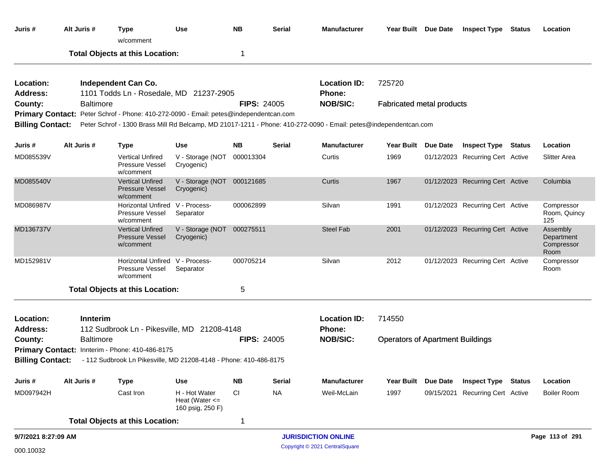| Juris #                            | Alt Juris #      | <b>Type</b><br>w/comment                                                                                             | <b>Use</b>                                              | <b>NB</b>          | <b>Serial</b> | <b>Manufacturer</b>                                                                                                                 | Year Built Due Date                     |                 | <b>Inspect Type Status</b>       |               | Location                                     |
|------------------------------------|------------------|----------------------------------------------------------------------------------------------------------------------|---------------------------------------------------------|--------------------|---------------|-------------------------------------------------------------------------------------------------------------------------------------|-----------------------------------------|-----------------|----------------------------------|---------------|----------------------------------------------|
|                                    |                  | <b>Total Objects at this Location:</b>                                                                               |                                                         | 1                  |               |                                                                                                                                     |                                         |                 |                                  |               |                                              |
| Location:<br><b>Address:</b>       |                  | Independent Can Co.<br>1101 Todds Ln - Rosedale, MD 21237-2905                                                       |                                                         |                    |               | <b>Location ID:</b><br>Phone:                                                                                                       | 725720                                  |                 |                                  |               |                                              |
| County:<br><b>Billing Contact:</b> | <b>Baltimore</b> | Primary Contact: Peter Schrof - Phone: 410-272-0090 - Email: petes@independentcan.com                                |                                                         | <b>FIPS: 24005</b> |               | <b>NOB/SIC:</b><br>Peter Schrof - 1300 Brass Mill Rd Belcamp, MD 21017-1211 - Phone: 410-272-0090 - Email: petes@independentcan.com | <b>Fabricated metal products</b>        |                 |                                  |               |                                              |
| Juris #                            | Alt Juris #      | <b>Type</b>                                                                                                          | <b>Use</b>                                              | <b>NB</b>          | Serial        | <b>Manufacturer</b>                                                                                                                 | Year Built Due Date                     |                 | <b>Inspect Type Status</b>       |               | Location                                     |
| MD085539V                          |                  | <b>Vertical Unfired</b><br>Pressure Vessel<br>w/comment                                                              | V - Storage (NOT<br>Cryogenic)                          | 000013304          |               | Curtis                                                                                                                              | 1969                                    |                 | 01/12/2023 Recurring Cert Active |               | Slitter Area                                 |
| MD085540V                          |                  | <b>Vertical Unfired</b><br><b>Pressure Vessel</b><br>w/comment                                                       | V - Storage (NOT 000121685<br>Cryogenic)                |                    |               | Curtis                                                                                                                              | 1967                                    |                 | 01/12/2023 Recurring Cert Active |               | Columbia                                     |
| MD086987V                          |                  | Horizontal Unfired<br>Pressure Vessel<br>w/comment                                                                   | V - Process-<br>Separator                               | 000062899          |               | Silvan                                                                                                                              | 1991                                    |                 | 01/12/2023 Recurring Cert Active |               | Compressor<br>Room, Quincy<br>125            |
| MD136737V                          |                  | <b>Vertical Unfired</b><br><b>Pressure Vessel</b><br>w/comment                                                       | V - Storage (NOT 000275511<br>Cryogenic)                |                    |               | <b>Steel Fab</b>                                                                                                                    | 2001                                    |                 | 01/12/2023 Recurring Cert Active |               | Assembly<br>Department<br>Compressor<br>Room |
| MD152981V                          |                  | Horizontal Unfired<br>Pressure Vessel<br>w/comment                                                                   | V - Process-<br>Separator                               | 000705214          |               | Silvan                                                                                                                              | 2012                                    |                 | 01/12/2023 Recurring Cert Active |               | Compressor<br>Room                           |
|                                    |                  | <b>Total Objects at this Location:</b>                                                                               |                                                         | 5                  |               |                                                                                                                                     |                                         |                 |                                  |               |                                              |
| Location:<br><b>Address:</b>       | Innterim         | 112 Sudbrook Ln - Pikesville, MD 21208-4148                                                                          |                                                         |                    |               | <b>Location ID:</b><br><b>Phone:</b>                                                                                                | 714550                                  |                 |                                  |               |                                              |
| County:                            | <b>Baltimore</b> |                                                                                                                      |                                                         | <b>FIPS: 24005</b> |               | <b>NOB/SIC:</b>                                                                                                                     | <b>Operators of Apartment Buildings</b> |                 |                                  |               |                                              |
| <b>Billing Contact:</b>            |                  | Primary Contact: Innterim - Phone: 410-486-8175<br>- 112 Sudbrook Ln Pikesville, MD 21208-4148 - Phone: 410-486-8175 |                                                         |                    |               |                                                                                                                                     |                                         |                 |                                  |               |                                              |
| Juris #                            | Alt Juris #      | <b>Type</b>                                                                                                          | <b>Use</b>                                              | <b>NB</b>          | <b>Serial</b> | <b>Manufacturer</b>                                                                                                                 | <b>Year Built</b>                       | <b>Due Date</b> | <b>Inspect Type</b>              | <b>Status</b> | Location                                     |
| MD097942H                          |                  | Cast Iron                                                                                                            | H - Hot Water<br>Heat (Water $\leq$<br>160 psig, 250 F) | CI.                | <b>NA</b>     | Weil-McLain                                                                                                                         | 1997                                    | 09/15/2021      | <b>Recurring Cert Active</b>     |               | <b>Boiler Room</b>                           |
|                                    |                  | <b>Total Objects at this Location:</b>                                                                               |                                                         | 1                  |               |                                                                                                                                     |                                         |                 |                                  |               |                                              |
| 9/7/2021 8:27:09 AM                |                  |                                                                                                                      |                                                         |                    |               | <b>JURISDICTION ONLINE</b>                                                                                                          |                                         |                 |                                  |               | Page 113 of 291                              |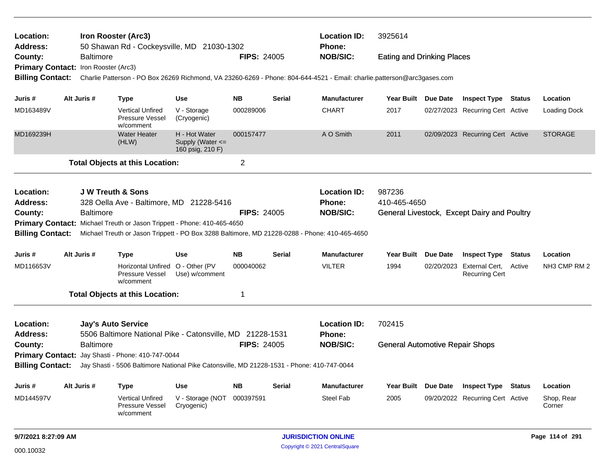| Location:                            |  |                           | Iron Rooster (Arc3)                                              |                                                                                            |                    |        | <b>Location ID:</b>                                                                                                     | 3925614                                |          |                                                    |               |                      |
|--------------------------------------|--|---------------------------|------------------------------------------------------------------|--------------------------------------------------------------------------------------------|--------------------|--------|-------------------------------------------------------------------------------------------------------------------------|----------------------------------------|----------|----------------------------------------------------|---------------|----------------------|
| <b>Address:</b>                      |  |                           |                                                                  | 50 Shawan Rd - Cockeysville, MD 21030-1302                                                 |                    |        | Phone:                                                                                                                  |                                        |          |                                                    |               |                      |
| County:                              |  | <b>Baltimore</b>          |                                                                  |                                                                                            | <b>FIPS: 24005</b> |        | <b>NOB/SIC:</b>                                                                                                         | <b>Eating and Drinking Places</b>      |          |                                                    |               |                      |
| Primary Contact: Iron Rooster (Arc3) |  |                           |                                                                  |                                                                                            |                    |        |                                                                                                                         |                                        |          |                                                    |               |                      |
| <b>Billing Contact:</b>              |  |                           |                                                                  |                                                                                            |                    |        | Charlie Patterson - PO Box 26269 Richmond, VA 23260-6269 - Phone: 804-644-4521 - Email: charlie.patterson@arc3gases.com |                                        |          |                                                    |               |                      |
| Juris #                              |  | Alt Juris #               | Type                                                             | <b>Use</b>                                                                                 | <b>NB</b>          | Serial | <b>Manufacturer</b>                                                                                                     | Year Built Due Date                    |          | <b>Inspect Type Status</b>                         |               | Location             |
| MD163489V                            |  |                           | <b>Vertical Unfired</b><br><b>Pressure Vessel</b><br>w/comment   | V - Storage<br>(Cryogenic)                                                                 | 000289006          |        | <b>CHART</b>                                                                                                            | 2017                                   |          | 02/27/2023 Recurring Cert Active                   |               | Loading Dock         |
| MD169239H                            |  |                           | <b>Water Heater</b><br>(HLW)                                     | H - Hot Water<br>Supply (Water <=<br>160 psig, 210 F)                                      | 000157477          |        | A O Smith                                                                                                               | 2011                                   |          | 02/09/2023 Recurring Cert Active                   |               | <b>STORAGE</b>       |
|                                      |  |                           | <b>Total Objects at this Location:</b>                           |                                                                                            | 2                  |        |                                                                                                                         |                                        |          |                                                    |               |                      |
| Location:                            |  |                           | <b>JW Treuth &amp; Sons</b>                                      |                                                                                            |                    |        | <b>Location ID:</b>                                                                                                     | 987236                                 |          |                                                    |               |                      |
| <b>Address:</b>                      |  |                           |                                                                  | 328 Oella Ave - Baltimore, MD 21228-5416                                                   |                    |        | Phone:                                                                                                                  | 410-465-4650                           |          |                                                    |               |                      |
| County:                              |  | <b>Baltimore</b>          |                                                                  |                                                                                            | <b>FIPS: 24005</b> |        | <b>NOB/SIC:</b>                                                                                                         |                                        |          | General Livestock, Except Dairy and Poultry        |               |                      |
|                                      |  |                           |                                                                  | Primary Contact: Michael Treuth or Jason Trippett - Phone: 410-465-4650                    |                    |        |                                                                                                                         |                                        |          |                                                    |               |                      |
| <b>Billing Contact:</b>              |  |                           |                                                                  |                                                                                            |                    |        | Michael Treuth or Jason Trippett - PO Box 3288 Baltimore, MD 21228-0288 - Phone: 410-465-4650                           |                                        |          |                                                    |               |                      |
| Juris #                              |  | Alt Juris #               | <b>Type</b>                                                      | <b>Use</b>                                                                                 | <b>NB</b>          | Serial | <b>Manufacturer</b>                                                                                                     | Year Built Due Date                    |          | <b>Inspect Type</b>                                | Status        | Location             |
| MD116653V                            |  |                           | Horizontal Unfired O - Other (PV<br>Pressure Vessel<br>w/comment | Use) w/comment                                                                             | 000040062          |        | <b>VILTER</b>                                                                                                           | 1994                                   |          | 02/20/2023 External Cert,<br><b>Recurring Cert</b> | Active        | NH3 CMP RM 2         |
|                                      |  |                           | <b>Total Objects at this Location:</b>                           |                                                                                            | 1                  |        |                                                                                                                         |                                        |          |                                                    |               |                      |
| Location:                            |  | <b>Jay's Auto Service</b> |                                                                  |                                                                                            |                    |        | <b>Location ID:</b>                                                                                                     | 702415                                 |          |                                                    |               |                      |
| <b>Address:</b>                      |  |                           |                                                                  | 5506 Baltimore National Pike - Catonsville, MD 21228-1531                                  |                    |        | Phone:                                                                                                                  |                                        |          |                                                    |               |                      |
| County:                              |  | <b>Baltimore</b>          |                                                                  |                                                                                            | <b>FIPS: 24005</b> |        | <b>NOB/SIC:</b>                                                                                                         | <b>General Automotive Repair Shops</b> |          |                                                    |               |                      |
|                                      |  |                           | Primary Contact: Jay Shasti - Phone: 410-747-0044                |                                                                                            |                    |        |                                                                                                                         |                                        |          |                                                    |               |                      |
| <b>Billing Contact:</b>              |  |                           |                                                                  | Jay Shasti - 5506 Baltimore National Pike Catonsville, MD 21228-1531 - Phone: 410-747-0044 |                    |        |                                                                                                                         |                                        |          |                                                    |               |                      |
| Juris #                              |  | Alt Juris #               | <b>Type</b>                                                      | <b>Use</b>                                                                                 | <b>NB</b>          | Serial | <b>Manufacturer</b>                                                                                                     | <b>Year Built</b>                      | Due Date | <b>Inspect Type</b>                                | <b>Status</b> | Location             |
| MD144597V                            |  |                           | <b>Vertical Unfired</b><br>Pressure Vessel<br>w/comment          | V - Storage (NOT<br>Cryogenic)                                                             | 000397591          |        | Steel Fab                                                                                                               | 2005                                   |          | 09/20/2022 Recurring Cert Active                   |               | Shop, Rear<br>Corner |
| 9/7/2021 8:27:09 AM                  |  |                           |                                                                  |                                                                                            |                    |        | <b>JURISDICTION ONLINE</b>                                                                                              |                                        |          |                                                    |               | Page 114 of 291      |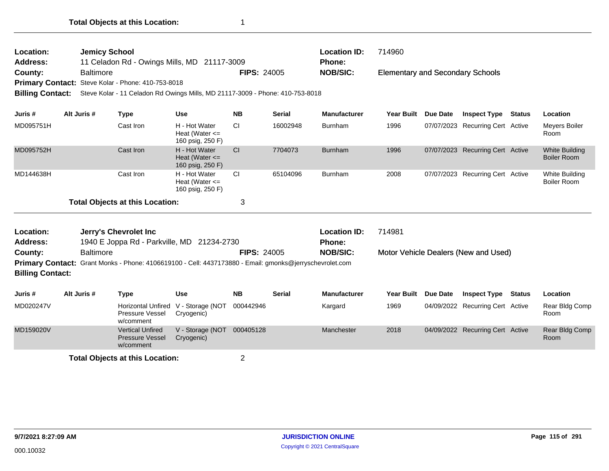| Location:<br><b>Address:</b> |                  | <b>Jemicy School</b><br>11 Celadon Rd - Owings Mills, MD 21117-3009                                     |                                                         |                    |               | <b>Location ID:</b><br><b>Phone:</b> | 714960                                  |                 |                                      |               |                                      |
|------------------------------|------------------|---------------------------------------------------------------------------------------------------------|---------------------------------------------------------|--------------------|---------------|--------------------------------------|-----------------------------------------|-----------------|--------------------------------------|---------------|--------------------------------------|
| County:                      | <b>Baltimore</b> |                                                                                                         |                                                         | <b>FIPS: 24005</b> |               | <b>NOB/SIC:</b>                      | <b>Elementary and Secondary Schools</b> |                 |                                      |               |                                      |
|                              |                  | Primary Contact: Steve Kolar - Phone: 410-753-8018                                                      |                                                         |                    |               |                                      |                                         |                 |                                      |               |                                      |
| <b>Billing Contact:</b>      |                  | Steve Kolar - 11 Celadon Rd Owings Mills, MD 21117-3009 - Phone: 410-753-8018                           |                                                         |                    |               |                                      |                                         |                 |                                      |               |                                      |
| Juris#                       | Alt Juris #      | <b>Type</b>                                                                                             | <b>Use</b>                                              | <b>NB</b>          | <b>Serial</b> | <b>Manufacturer</b>                  | Year Built                              | Due Date        | <b>Inspect Type</b>                  | Status        | Location                             |
| MD095751H                    |                  | Cast Iron                                                                                               | H - Hot Water<br>Heat (Water $\leq$<br>160 psig, 250 F) | <b>CI</b>          | 16002948      | <b>Burnham</b>                       | 1996                                    |                 | 07/07/2023 Recurring Cert Active     |               | Meyers Boiler<br>Room                |
| MD095752H                    |                  | Cast Iron                                                                                               | H - Hot Water<br>Heat (Water $\leq$<br>160 psig, 250 F) | CI                 | 7704073       | <b>Burnham</b>                       | 1996                                    |                 | 07/07/2023 Recurring Cert Active     |               | White Building<br><b>Boiler Room</b> |
| MD144638H                    |                  | Cast Iron                                                                                               | H - Hot Water<br>Heat (Water $\leq$<br>160 psig, 250 F) | <b>CI</b>          | 65104096      | Burnham                              | 2008                                    |                 | 07/07/2023 Recurring Cert Active     |               | White Building<br>Boiler Room        |
|                              |                  | <b>Total Objects at this Location:</b>                                                                  |                                                         | 3                  |               |                                      |                                         |                 |                                      |               |                                      |
| Location:                    |                  | Jerry's Chevrolet Inc                                                                                   |                                                         |                    |               | <b>Location ID:</b>                  | 714981                                  |                 |                                      |               |                                      |
| <b>Address:</b>              |                  | 1940 E Joppa Rd - Parkville, MD 21234-2730                                                              |                                                         |                    |               | <b>Phone:</b>                        |                                         |                 |                                      |               |                                      |
| County:                      | <b>Baltimore</b> |                                                                                                         |                                                         | <b>FIPS: 24005</b> |               | <b>NOB/SIC:</b>                      |                                         |                 | Motor Vehicle Dealers (New and Used) |               |                                      |
| <b>Billing Contact:</b>      |                  | Primary Contact: Grant Monks - Phone: 4106619100 - Cell: 4437173880 - Email: gmonks@jerryschevrolet.com |                                                         |                    |               |                                      |                                         |                 |                                      |               |                                      |
| Juris #                      | Alt Juris #      | <b>Type</b>                                                                                             | <b>Use</b>                                              | <b>NB</b>          | <b>Serial</b> | <b>Manufacturer</b>                  | <b>Year Built</b>                       | <b>Due Date</b> | <b>Inspect Type</b>                  | <b>Status</b> | Location                             |
| MD020247V                    |                  | <b>Horizontal Unfired</b><br>Pressure Vessel<br>w/comment                                               | V - Storage (NOT<br>Cryogenic)                          | 000442946          |               | Kargard                              | 1969                                    |                 | 04/09/2022 Recurring Cert Active     |               | Rear Bldg Comp<br>Room               |
| MD159020V                    |                  | <b>Vertical Unfired</b><br><b>Pressure Vessel</b><br>w/comment                                          | V - Storage (NOT<br>Cryogenic)                          | 000405128          |               | Manchester                           | 2018                                    |                 | 04/09/2022 Recurring Cert Active     |               | Rear Bldg Comp<br>Room               |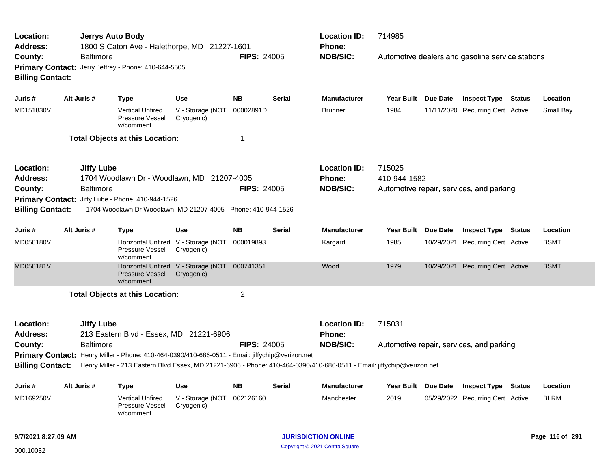| Location:<br><b>Address:</b>                                           |             |                   | <b>Jerrys Auto Body</b><br>1800 S Caton Ave - Halethorpe, MD 21227-1601                                                                                                                                                   |                                                             |                    |               | <b>Location ID:</b><br><b>Phone:</b> | 714985                 |                                                  |             |
|------------------------------------------------------------------------|-------------|-------------------|---------------------------------------------------------------------------------------------------------------------------------------------------------------------------------------------------------------------------|-------------------------------------------------------------|--------------------|---------------|--------------------------------------|------------------------|--------------------------------------------------|-------------|
| County:<br><b>Billing Contact:</b>                                     |             | Baltimore         | Primary Contact: Jerry Jeffrey - Phone: 410-644-5505                                                                                                                                                                      |                                                             | <b>FIPS: 24005</b> |               | <b>NOB/SIC:</b>                      |                        | Automotive dealers and gasoline service stations |             |
| Juris #                                                                | Alt Juris # |                   | <b>Type</b>                                                                                                                                                                                                               | Use                                                         | <b>NB</b>          | <b>Serial</b> | <b>Manufacturer</b>                  | Year Built Due Date    | <b>Inspect Type Status</b>                       | Location    |
| MD151830V                                                              |             |                   | <b>Vertical Unfired</b><br>Pressure Vessel<br>w/comment                                                                                                                                                                   | V - Storage (NOT<br>Cryogenic)                              | 00002891D          |               | <b>Brunner</b>                       | 1984                   | 11/11/2020 Recurring Cert Active                 | Small Bay   |
|                                                                        |             |                   | <b>Total Objects at this Location:</b>                                                                                                                                                                                    |                                                             | 1                  |               |                                      |                        |                                                  |             |
| Location:<br><b>Address:</b>                                           |             | <b>Jiffy Lube</b> | 1704 Woodlawn Dr - Woodlawn, MD 21207-4005                                                                                                                                                                                |                                                             |                    |               | <b>Location ID:</b><br><b>Phone:</b> | 715025<br>410-944-1582 |                                                  |             |
| County:<br><b>Billing Contact:</b>                                     |             | <b>Baltimore</b>  | Primary Contact: Jiffy Lube - Phone: 410-944-1526<br>- 1704 Woodlawn Dr Woodlawn, MD 21207-4005 - Phone: 410-944-1526                                                                                                     |                                                             | <b>FIPS: 24005</b> |               | <b>NOB/SIC:</b>                      |                        | Automotive repair, services, and parking         |             |
| Juris #                                                                | Alt Juris # |                   | <b>Type</b>                                                                                                                                                                                                               | <b>Use</b>                                                  | <b>NB</b>          | <b>Serial</b> | <b>Manufacturer</b>                  | Year Built Due Date    | <b>Inspect Type Status</b>                       | Location    |
| MD050180V                                                              |             |                   | Pressure Vessel<br>w/comment                                                                                                                                                                                              | Horizontal Unfired V - Storage (NOT<br>Cryogenic)           | 000019893          |               | Kargard                              | 1985                   | 10/29/2021 Recurring Cert Active                 | <b>BSMT</b> |
| MD050181V                                                              |             |                   | <b>Pressure Vessel</b><br>w/comment                                                                                                                                                                                       | Horizontal Unfired V - Storage (NOT 000741351<br>Cryogenic) |                    |               | Wood                                 | 1979                   | 10/29/2021 Recurring Cert Active                 | <b>BSMT</b> |
|                                                                        |             |                   | <b>Total Objects at this Location:</b>                                                                                                                                                                                    |                                                             | 2                  |               |                                      |                        |                                                  |             |
| Location:<br><b>Address:</b>                                           |             | <b>Jiffy Lube</b> |                                                                                                                                                                                                                           |                                                             |                    |               | <b>Location ID:</b><br>Phone:        | 715031                 |                                                  |             |
| 213 Eastern Blvd - Essex, MD 21221-6906<br><b>Baltimore</b><br>County: |             |                   |                                                                                                                                                                                                                           |                                                             | <b>FIPS: 24005</b> |               | <b>NOB/SIC:</b>                      |                        | Automotive repair, services, and parking         |             |
| <b>Billing Contact:</b>                                                |             |                   | Primary Contact: Henry Miller - Phone: 410-464-0390/410-686-0511 - Email: jiffychip@verizon.net<br>Henry Miller - 213 Eastern Blvd Essex, MD 21221-6906 - Phone: 410-464-0390/410-686-0511 - Email: jiffychip@verizon.net |                                                             |                    |               |                                      |                        |                                                  |             |
| Juris #                                                                | Alt Juris # |                   | <b>Type</b>                                                                                                                                                                                                               | <b>Use</b>                                                  | <b>NB</b>          | <b>Serial</b> | <b>Manufacturer</b>                  | Year Built Due Date    | <b>Inspect Type Status</b>                       | Location    |
| MD169250V                                                              |             |                   | <b>Vertical Unfired</b><br>Pressure Vessel<br>w/comment                                                                                                                                                                   | V - Storage (NOT 002126160<br>Cryogenic)                    |                    |               | Manchester                           | 2019                   | 05/29/2022 Recurring Cert Active                 | <b>BLRM</b> |
|                                                                        |             |                   |                                                                                                                                                                                                                           |                                                             |                    |               |                                      |                        |                                                  |             |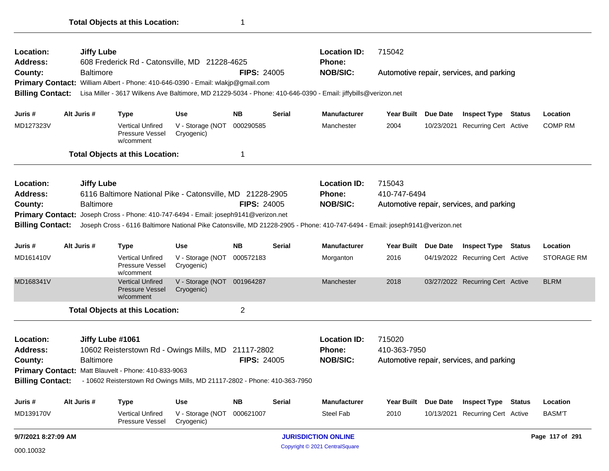| Location:<br><b>Address:</b>                                                                                                    |                                                                                                                                                                                                                               | <b>Jiffy Lube</b> |                                                                | 608 Frederick Rd - Catonsville, MD 21228-4625                                                                 |                    |               | <b>Location ID:</b><br><b>Phone:</b>                    | 715042                 |                                          |                   |
|---------------------------------------------------------------------------------------------------------------------------------|-------------------------------------------------------------------------------------------------------------------------------------------------------------------------------------------------------------------------------|-------------------|----------------------------------------------------------------|---------------------------------------------------------------------------------------------------------------|--------------------|---------------|---------------------------------------------------------|------------------------|------------------------------------------|-------------------|
| County:                                                                                                                         |                                                                                                                                                                                                                               | <b>Baltimore</b>  |                                                                |                                                                                                               | <b>FIPS: 24005</b> |               | <b>NOB/SIC:</b>                                         |                        | Automotive repair, services, and parking |                   |
| <b>Primary Contact:</b>                                                                                                         |                                                                                                                                                                                                                               |                   |                                                                | William Albert - Phone: 410-646-0390 - Email: wlakjp@gmail.com                                                |                    |               |                                                         |                        |                                          |                   |
| <b>Billing Contact:</b>                                                                                                         |                                                                                                                                                                                                                               |                   |                                                                | Lisa Miller - 3617 Wilkens Ave Baltimore, MD 21229-5034 - Phone: 410-646-0390 - Email: jiffybills@verizon.net |                    |               |                                                         |                        |                                          |                   |
| Juris #                                                                                                                         |                                                                                                                                                                                                                               | Alt Juris #       | <b>Type</b>                                                    | <b>Use</b>                                                                                                    | <b>NB</b>          | <b>Serial</b> | <b>Manufacturer</b>                                     | Year Built Due Date    | <b>Inspect Type Status</b>               | Location          |
| MD127323V                                                                                                                       |                                                                                                                                                                                                                               |                   | <b>Vertical Unfired</b><br><b>Pressure Vessel</b><br>w/comment | V - Storage (NOT<br>Cryogenic)                                                                                | 000290585          |               | Manchester                                              | 2004                   | 10/23/2021 Recurring Cert Active         | <b>COMP RM</b>    |
|                                                                                                                                 |                                                                                                                                                                                                                               |                   | <b>Total Objects at this Location:</b>                         |                                                                                                               | 1                  |               |                                                         |                        |                                          |                   |
| Location:                                                                                                                       |                                                                                                                                                                                                                               | <b>Jiffy Lube</b> |                                                                |                                                                                                               |                    |               | <b>Location ID:</b>                                     | 715043                 |                                          |                   |
| Address:                                                                                                                        |                                                                                                                                                                                                                               |                   |                                                                | 6116 Baltimore National Pike - Catonsville, MD 21228-2905                                                     |                    |               | <b>Phone:</b>                                           | 410-747-6494           |                                          |                   |
| County:                                                                                                                         |                                                                                                                                                                                                                               | Baltimore         |                                                                |                                                                                                               | <b>FIPS: 24005</b> |               | <b>NOB/SIC:</b>                                         |                        | Automotive repair, services, and parking |                   |
|                                                                                                                                 | Joseph Cross - Phone: 410-747-6494 - Email: joseph9141@verizon.net<br><b>Primary Contact:</b><br>Joseph Cross - 6116 Baltimore National Pike Catonsville, MD 21228-2905 - Phone: 410-747-6494 - Email: joseph9141@verizon.net |                   |                                                                |                                                                                                               |                    |               |                                                         |                        |                                          |                   |
| <b>Billing Contact:</b>                                                                                                         |                                                                                                                                                                                                                               |                   |                                                                |                                                                                                               |                    |               |                                                         |                        |                                          |                   |
| Juris #                                                                                                                         |                                                                                                                                                                                                                               | Alt Juris #       | <b>Type</b>                                                    | <b>Use</b>                                                                                                    | <b>NB</b>          | <b>Serial</b> | <b>Manufacturer</b>                                     | Year Built Due Date    | <b>Inspect Type Status</b>               | Location          |
| MD161410V                                                                                                                       |                                                                                                                                                                                                                               |                   | <b>Vertical Unfired</b><br><b>Pressure Vessel</b><br>w/comment | V - Storage (NOT<br>Cryogenic)                                                                                | 000572183          |               | Morganton                                               | 2016                   | 04/19/2022 Recurring Cert Active         | <b>STORAGE RM</b> |
| MD168341V                                                                                                                       |                                                                                                                                                                                                                               |                   | <b>Vertical Unfired</b><br><b>Pressure Vessel</b><br>w/comment | V - Storage (NOT 001964287<br>Cryogenic)                                                                      |                    |               | Manchester                                              | 2018                   | 03/27/2022 Recurring Cert Active         | <b>BLRM</b>       |
|                                                                                                                                 |                                                                                                                                                                                                                               |                   | <b>Total Objects at this Location:</b>                         |                                                                                                               | $\overline{2}$     |               |                                                         |                        |                                          |                   |
| Location:<br>Jiffy Lube #1061<br><b>Address:</b><br>10602 Reisterstown Rd - Owings Mills, MD 21117-2802<br>Baltimore<br>County: |                                                                                                                                                                                                                               |                   |                                                                |                                                                                                               | <b>FIPS: 24005</b> |               | <b>Location ID:</b><br><b>Phone:</b><br><b>NOB/SIC:</b> | 715020<br>410-363-7950 | Automotive repair, services, and parking |                   |
|                                                                                                                                 |                                                                                                                                                                                                                               |                   | Primary Contact: Matt Blauvelt - Phone: 410-833-9063           |                                                                                                               |                    |               |                                                         |                        |                                          |                   |
| <b>Billing Contact:</b>                                                                                                         |                                                                                                                                                                                                                               |                   |                                                                | - 10602 Reisterstown Rd Owings Mills, MD 21117-2802 - Phone: 410-363-7950                                     |                    |               |                                                         |                        |                                          |                   |
| Juris #                                                                                                                         |                                                                                                                                                                                                                               | Alt Juris #       | <b>Type</b>                                                    | <b>Use</b>                                                                                                    | <b>NB</b>          | <b>Serial</b> | <b>Manufacturer</b>                                     | Year Built Due Date    | <b>Inspect Type Status</b>               | Location          |
| MD139170V                                                                                                                       |                                                                                                                                                                                                                               |                   | <b>Vertical Unfired</b><br>Pressure Vessel                     | V - Storage (NOT<br>Cryogenic)                                                                                | 000621007          |               | <b>Steel Fab</b>                                        | 2010                   | 10/13/2021 Recurring Cert Active         | <b>BASM'T</b>     |
| 9/7/2021 8:27:09 AM                                                                                                             |                                                                                                                                                                                                                               |                   |                                                                |                                                                                                               |                    |               | <b>JURISDICTION ONLINE</b>                              |                        |                                          | Page 117 of 291   |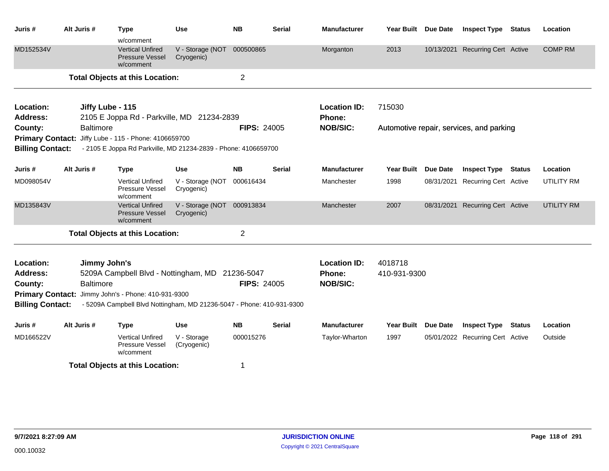| Juris #                 | Alt Juris #                                                                                                                                             | <b>Type</b><br>w/comment                                       | <b>Use</b>                               | <b>NB</b>          | <b>Serial</b> | <b>Manufacturer</b> | Year Built Due Date |                 | <b>Inspect Type</b>                      | <b>Status</b> | Location          |
|-------------------------|---------------------------------------------------------------------------------------------------------------------------------------------------------|----------------------------------------------------------------|------------------------------------------|--------------------|---------------|---------------------|---------------------|-----------------|------------------------------------------|---------------|-------------------|
| MD152534V               |                                                                                                                                                         | <b>Vertical Unfired</b><br><b>Pressure Vessel</b><br>w/comment | V - Storage (NOT<br>Cryogenic)           | 000500865          |               | Morganton           | 2013                |                 | 10/13/2021 Recurring Cert Active         |               | <b>COMP RM</b>    |
|                         |                                                                                                                                                         | <b>Total Objects at this Location:</b>                         |                                          | $\overline{c}$     |               |                     |                     |                 |                                          |               |                   |
| Location:               | Jiffy Lube - 115                                                                                                                                        |                                                                |                                          |                    |               | <b>Location ID:</b> | 715030              |                 |                                          |               |                   |
| <b>Address:</b>         |                                                                                                                                                         | 2105 E Joppa Rd - Parkville, MD 21234-2839                     |                                          |                    |               | <b>Phone:</b>       |                     |                 |                                          |               |                   |
| County:                 | <b>Baltimore</b>                                                                                                                                        |                                                                |                                          | <b>FIPS: 24005</b> |               | <b>NOB/SIC:</b>     |                     |                 | Automotive repair, services, and parking |               |                   |
| <b>Primary Contact:</b> |                                                                                                                                                         | Jiffy Lube - 115 - Phone: 4106659700                           |                                          |                    |               |                     |                     |                 |                                          |               |                   |
| <b>Billing Contact:</b> |                                                                                                                                                         | - 2105 E Joppa Rd Parkville, MD 21234-2839 - Phone: 4106659700 |                                          |                    |               |                     |                     |                 |                                          |               |                   |
| Juris #                 | Alt Juris #                                                                                                                                             | <b>Type</b>                                                    | <b>Use</b>                               | <b>NB</b>          | <b>Serial</b> | <b>Manufacturer</b> | <b>Year Built</b>   | <b>Due Date</b> | <b>Inspect Type Status</b>               |               | Location          |
| MD098054V               |                                                                                                                                                         | <b>Vertical Unfired</b><br>Pressure Vessel<br>w/comment        | V - Storage (NOT<br>Cryogenic)           | 000616434          |               | Manchester          | 1998                | 08/31/2021      | <b>Recurring Cert Active</b>             |               | <b>UTILITY RM</b> |
| MD135843V               |                                                                                                                                                         | <b>Vertical Unfired</b><br><b>Pressure Vessel</b><br>w/comment | V - Storage (NOT 000913834<br>Cryogenic) |                    |               | Manchester          | 2007                |                 | 08/31/2021 Recurring Cert Active         |               | <b>UTILITY RM</b> |
|                         |                                                                                                                                                         | <b>Total Objects at this Location:</b>                         |                                          | $\overline{2}$     |               |                     |                     |                 |                                          |               |                   |
| Location:               | Jimmy John's                                                                                                                                            |                                                                |                                          |                    |               | <b>Location ID:</b> | 4018718             |                 |                                          |               |                   |
| <b>Address:</b>         |                                                                                                                                                         | 5209A Campbell Blvd - Nottingham, MD 21236-5047                |                                          |                    |               | Phone:              | 410-931-9300        |                 |                                          |               |                   |
| County:                 | <b>Baltimore</b>                                                                                                                                        |                                                                |                                          | <b>FIPS: 24005</b> |               | <b>NOB/SIC:</b>     |                     |                 |                                          |               |                   |
|                         |                                                                                                                                                         |                                                                |                                          |                    |               |                     |                     |                 |                                          |               |                   |
|                         | Primary Contact: Jimmy John's - Phone: 410-931-9300<br><b>Billing Contact:</b><br>- 5209A Campbell Blvd Nottingham, MD 21236-5047 - Phone: 410-931-9300 |                                                                |                                          |                    |               |                     |                     |                 |                                          |               |                   |
| Juris#                  | Alt Juris #                                                                                                                                             | <b>Type</b>                                                    | <b>Use</b>                               | <b>NB</b>          | <b>Serial</b> | <b>Manufacturer</b> | Year Built          | <b>Due Date</b> | <b>Inspect Type</b>                      | <b>Status</b> | Location          |
| MD166522V               |                                                                                                                                                         | <b>Vertical Unfired</b><br>Pressure Vessel<br>w/comment        | V - Storage<br>(Cryogenic)               | 000015276          |               | Taylor-Wharton      | 1997                |                 | 05/01/2022 Recurring Cert Active         |               | Outside           |
|                         |                                                                                                                                                         | <b>Total Objects at this Location:</b>                         |                                          | 1                  |               |                     |                     |                 |                                          |               |                   |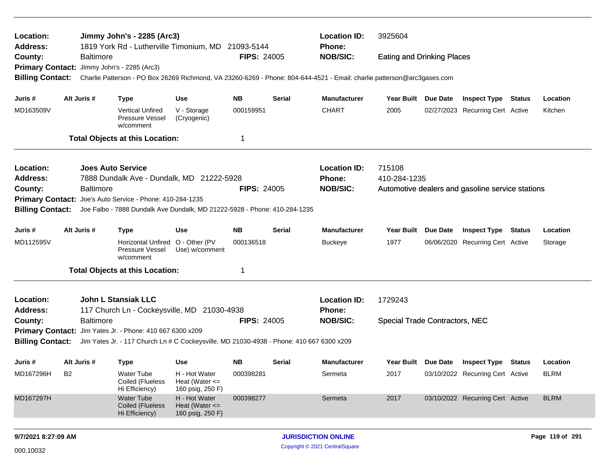| Location:                    |                  | Jimmy John's - 2285 (Arc3)                                                               |                                                         |                    |               | <b>Location ID:</b>                                                                                                     | 3925604                               |          |                                                  |               |                 |
|------------------------------|------------------|------------------------------------------------------------------------------------------|---------------------------------------------------------|--------------------|---------------|-------------------------------------------------------------------------------------------------------------------------|---------------------------------------|----------|--------------------------------------------------|---------------|-----------------|
| <b>Address:</b><br>County:   | <b>Baltimore</b> | 1819 York Rd - Lutherville Timonium, MD 21093-5144                                       |                                                         | <b>FIPS: 24005</b> |               | Phone:<br><b>NOB/SIC:</b>                                                                                               | <b>Eating and Drinking Places</b>     |          |                                                  |               |                 |
| <b>Primary Contact:</b>      |                  | Jimmy John's - 2285 (Arc3)                                                               |                                                         |                    |               |                                                                                                                         |                                       |          |                                                  |               |                 |
| <b>Billing Contact:</b>      |                  |                                                                                          |                                                         |                    |               | Charlie Patterson - PO Box 26269 Richmond, VA 23260-6269 - Phone: 804-644-4521 - Email: charlie.patterson@arc3gases.com |                                       |          |                                                  |               |                 |
| Juris #                      | Alt Juris #      | <b>Type</b>                                                                              | <b>Use</b>                                              | <b>NB</b>          | <b>Serial</b> | <b>Manufacturer</b>                                                                                                     | Year Built Due Date                   |          | <b>Inspect Type Status</b>                       |               | Location        |
| MD163509V                    |                  | <b>Vertical Unfired</b><br>Pressure Vessel<br>w/comment                                  | V - Storage<br>(Cryogenic)                              | 000159951          |               | <b>CHART</b>                                                                                                            | 2005                                  |          | 02/27/2023 Recurring Cert Active                 |               | Kitchen         |
|                              |                  | <b>Total Objects at this Location:</b>                                                   |                                                         | 1                  |               |                                                                                                                         |                                       |          |                                                  |               |                 |
| Location:                    |                  | <b>Joes Auto Service</b>                                                                 |                                                         |                    |               | <b>Location ID:</b>                                                                                                     | 715108                                |          |                                                  |               |                 |
| Address:                     |                  | 7888 Dundalk Ave - Dundalk, MD 21222-5928                                                |                                                         |                    |               | <b>Phone:</b>                                                                                                           | 410-284-1235                          |          |                                                  |               |                 |
| County:                      | <b>Baltimore</b> |                                                                                          |                                                         | <b>FIPS: 24005</b> |               | <b>NOB/SIC:</b>                                                                                                         |                                       |          | Automotive dealers and gasoline service stations |               |                 |
|                              |                  | Primary Contact: Joe's Auto Service - Phone: 410-284-1235                                |                                                         |                    |               |                                                                                                                         |                                       |          |                                                  |               |                 |
| <b>Billing Contact:</b>      |                  | Joe Falbo - 7888 Dundalk Ave Dundalk, MD 21222-5928 - Phone: 410-284-1235                |                                                         |                    |               |                                                                                                                         |                                       |          |                                                  |               |                 |
| Juris #                      | Alt Juris #      | <b>Type</b>                                                                              | <b>Use</b>                                              | <b>NB</b>          | Serial        | <b>Manufacturer</b>                                                                                                     | <b>Year Built</b>                     | Due Date | <b>Inspect Type</b>                              | <b>Status</b> | Location        |
| MD112595V                    |                  | Horizontal Unfired O - Other (PV<br>Pressure Vessel<br>w/comment                         | Use) w/comment                                          | 000136518          |               | <b>Buckeye</b>                                                                                                          | 1977                                  |          | 06/06/2020 Recurring Cert Active                 |               | Storage         |
|                              |                  | <b>Total Objects at this Location:</b>                                                   |                                                         | 1                  |               |                                                                                                                         |                                       |          |                                                  |               |                 |
| Location:<br><b>Address:</b> |                  | <b>John L Stansiak LLC</b><br>117 Church Ln - Cockeysville, MD 21030-4938                |                                                         |                    |               | <b>Location ID:</b><br>Phone:                                                                                           | 1729243                               |          |                                                  |               |                 |
| County:                      | <b>Baltimore</b> |                                                                                          |                                                         | <b>FIPS: 24005</b> |               | <b>NOB/SIC:</b>                                                                                                         | <b>Special Trade Contractors, NEC</b> |          |                                                  |               |                 |
|                              |                  | Primary Contact: Jim Yates Jr. - Phone: 410 667 6300 x209                                |                                                         |                    |               |                                                                                                                         |                                       |          |                                                  |               |                 |
| <b>Billing Contact:</b>      |                  | Jim Yates Jr. - 117 Church Ln # C Cockeysville, MD 21030-4938 - Phone: 410 667 6300 x209 |                                                         |                    |               |                                                                                                                         |                                       |          |                                                  |               |                 |
| Juris #                      | Alt Juris #      | <b>Type</b>                                                                              | <b>Use</b>                                              | <b>NB</b>          | Serial        | <b>Manufacturer</b>                                                                                                     | Year Built Due Date                   |          | <b>Inspect Type Status</b>                       |               | Location        |
| MD167296H                    | B <sub>2</sub>   | Water Tube<br>Coiled (Flueless<br>Hi Efficiency)                                         | H - Hot Water<br>Heat (Water $\leq$<br>160 psig, 250 F) | 000398281          |               | Sermeta                                                                                                                 | 2017                                  |          | 03/10/2022 Recurring Cert Active                 |               | <b>BLRM</b>     |
| MD167297H                    |                  | <b>Water Tube</b><br>Coiled (Flueless<br>Hi Efficiency)                                  | H - Hot Water<br>Heat (Water $\leq$<br>160 psig, 250 F) | 000398277          |               | Sermeta                                                                                                                 | 2017                                  |          | 03/10/2022 Recurring Cert Active                 |               | <b>BLRM</b>     |
| 9/7/2021 8:27:09 AM          |                  |                                                                                          |                                                         |                    |               | <b>JURISDICTION ONLINE</b>                                                                                              |                                       |          |                                                  |               | Page 119 of 291 |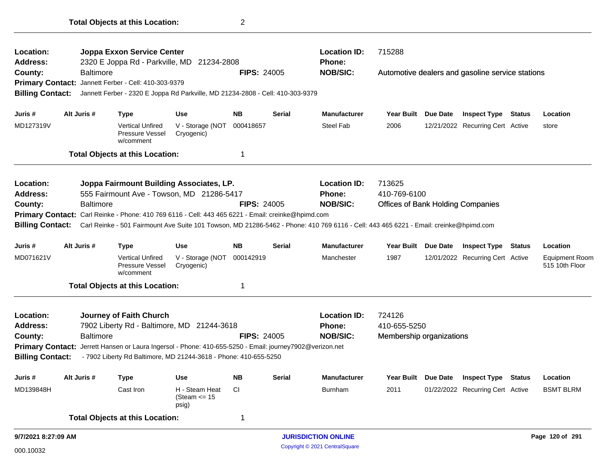| Location:                   |  |                  | Joppa Exxon Service Center                                                                               |                                            |                    |                    | <b>Location ID:</b>                                                                                                                   | 715288                                   |                     |                                                  |               |                                         |
|-----------------------------|--|------------------|----------------------------------------------------------------------------------------------------------|--------------------------------------------|--------------------|--------------------|---------------------------------------------------------------------------------------------------------------------------------------|------------------------------------------|---------------------|--------------------------------------------------|---------------|-----------------------------------------|
| <b>Address:</b>             |  |                  | 2320 E Joppa Rd - Parkville, MD                                                                          | 21234-2808                                 |                    |                    | <b>Phone:</b>                                                                                                                         |                                          |                     |                                                  |               |                                         |
| County:                     |  | <b>Baltimore</b> | Primary Contact: Jannett Ferber - Cell: 410-303-9379                                                     |                                            | <b>FIPS: 24005</b> |                    | <b>NOB/SIC:</b>                                                                                                                       |                                          |                     | Automotive dealers and gasoline service stations |               |                                         |
| <b>Billing Contact:</b>     |  |                  | Jannett Ferber - 2320 E Joppa Rd Parkville, MD 21234-2808 - Cell: 410-303-9379                           |                                            |                    |                    |                                                                                                                                       |                                          |                     |                                                  |               |                                         |
| Juris #                     |  | Alt Juris #      | <b>Type</b>                                                                                              | <b>Use</b>                                 | NB.                | Serial             | <b>Manufacturer</b>                                                                                                                   | <b>Year Built</b>                        | Due Date            | <b>Inspect Type</b>                              | <b>Status</b> | Location                                |
| MD127319V                   |  |                  | <b>Vertical Unfired</b><br>Pressure Vessel<br>w/comment                                                  | V - Storage (NOT<br>Cryogenic)             | 000418657          |                    | <b>Steel Fab</b>                                                                                                                      | 2006                                     |                     | 12/21/2022 Recurring Cert Active                 |               | store                                   |
|                             |  |                  | <b>Total Objects at this Location:</b>                                                                   |                                            | 1                  |                    |                                                                                                                                       |                                          |                     |                                                  |               |                                         |
| Location:                   |  |                  | Joppa Fairmount Building Associates, LP.                                                                 |                                            |                    |                    | <b>Location ID:</b>                                                                                                                   | 713625                                   |                     |                                                  |               |                                         |
| <b>Address:</b>             |  |                  | 555 Fairmount Ave - Towson, MD 21286-5417                                                                |                                            |                    |                    | <b>Phone:</b>                                                                                                                         | 410-769-6100                             |                     |                                                  |               |                                         |
| County:                     |  | <b>Baltimore</b> |                                                                                                          |                                            | <b>FIPS: 24005</b> |                    | <b>NOB/SIC:</b>                                                                                                                       | <b>Offices of Bank Holding Companies</b> |                     |                                                  |               |                                         |
|                             |  |                  | Primary Contact: Carl Reinke - Phone: 410 769 6116 - Cell: 443 465 6221 - Email: creinke@hpimd.com       |                                            |                    |                    |                                                                                                                                       |                                          |                     |                                                  |               |                                         |
| <b>Billing Contact:</b>     |  |                  |                                                                                                          |                                            |                    |                    | Carl Reinke - 501 Fairmount Ave Suite 101 Towson, MD 21286-5462 - Phone: 410 769 6116 - Cell: 443 465 6221 - Email: creinke@hpimd.com |                                          |                     |                                                  |               |                                         |
| Juris #                     |  | Alt Juris #      | <b>Type</b>                                                                                              | <b>Use</b>                                 | <b>NB</b>          | <b>Serial</b>      | <b>Manufacturer</b>                                                                                                                   | Year Built Due Date                      |                     | <b>Inspect Type Status</b>                       |               | Location                                |
| MD071621V                   |  |                  | <b>Vertical Unfired</b><br>Pressure Vessel<br>w/comment                                                  | V - Storage (NOT<br>Cryogenic)             | 000142919          |                    | Manchester                                                                                                                            | 1987                                     |                     | 12/01/2022 Recurring Cert Active                 |               | <b>Equipment Room</b><br>515 10th Floor |
|                             |  |                  | <b>Total Objects at this Location:</b>                                                                   |                                            | 1                  |                    |                                                                                                                                       |                                          |                     |                                                  |               |                                         |
| Location:                   |  |                  | Journey of Faith Church                                                                                  |                                            |                    |                    | <b>Location ID:</b>                                                                                                                   | 724126                                   |                     |                                                  |               |                                         |
| <b>Address:</b>             |  |                  | 7902 Liberty Rd - Baltimore, MD 21244-3618                                                               |                                            |                    |                    | <b>Phone:</b>                                                                                                                         | 410-655-5250                             |                     |                                                  |               |                                         |
| <b>Baltimore</b><br>County: |  |                  |                                                                                                          |                                            |                    | <b>FIPS: 24005</b> | <b>NOB/SIC:</b>                                                                                                                       | Membership organizations                 |                     |                                                  |               |                                         |
|                             |  |                  | Primary Contact: Jerrett Hansen or Laura Ingersol - Phone: 410-655-5250 - Email: journey7902@verizon.net |                                            |                    |                    |                                                                                                                                       |                                          |                     |                                                  |               |                                         |
| <b>Billing Contact:</b>     |  |                  | - 7902 Liberty Rd Baltimore, MD 21244-3618 - Phone: 410-655-5250                                         |                                            |                    |                    |                                                                                                                                       |                                          |                     |                                                  |               |                                         |
| Juris #                     |  | Alt Juris #      | <b>Type</b>                                                                                              | <b>Use</b>                                 | <b>NB</b>          | <b>Serial</b>      | <b>Manufacturer</b>                                                                                                                   |                                          | Year Built Due Date | <b>Inspect Type Status</b>                       |               | Location                                |
| MD139848H                   |  |                  | Cast Iron                                                                                                | H - Steam Heat<br>(Steam $\le$ 15<br>psig) | CI                 |                    | Burnham                                                                                                                               | 2011                                     |                     | 01/22/2022 Recurring Cert Active                 |               | <b>BSMT BLRM</b>                        |
|                             |  |                  | <b>Total Objects at this Location:</b>                                                                   |                                            | 1                  |                    |                                                                                                                                       |                                          |                     |                                                  |               |                                         |
| 9/7/2021 8:27:09 AM         |  |                  |                                                                                                          |                                            |                    |                    | <b>JURISDICTION ONLINE</b>                                                                                                            |                                          |                     |                                                  |               | Page 120 of 291                         |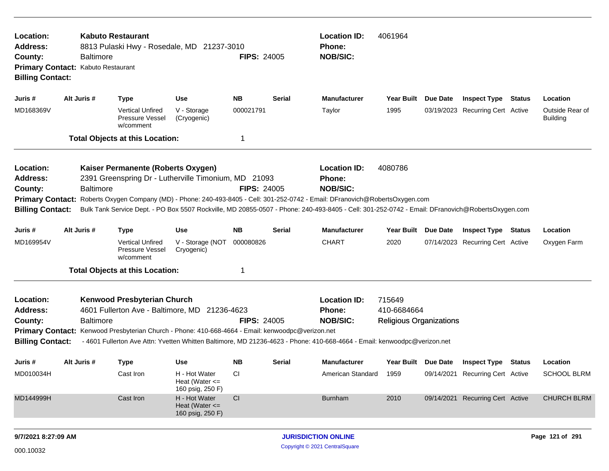| Location:<br><b>Kabuto Restaurant</b><br><b>Address:</b><br>8813 Pulaski Hwy - Rosedale, MD 21237-3010<br><b>Baltimore</b><br>County:<br>Primary Contact: Kabuto Restaurant<br><b>Billing Contact:</b> |                  |                                                         | <b>FIPS: 24005</b>                                      |                    | <b>Location ID:</b><br><b>Phone:</b><br><b>NOB/SIC:</b> | 4061964                                                                                                                                                                                                                                                                                                                    |                                                         |                                         |                                    |
|--------------------------------------------------------------------------------------------------------------------------------------------------------------------------------------------------------|------------------|---------------------------------------------------------|---------------------------------------------------------|--------------------|---------------------------------------------------------|----------------------------------------------------------------------------------------------------------------------------------------------------------------------------------------------------------------------------------------------------------------------------------------------------------------------------|---------------------------------------------------------|-----------------------------------------|------------------------------------|
| Juris #                                                                                                                                                                                                | Alt Juris #      | <b>Type</b>                                             | <b>Use</b>                                              | NΒ                 | Serial                                                  | <b>Manufacturer</b>                                                                                                                                                                                                                                                                                                        | Year Built Due Date                                     | <b>Inspect Type Status</b>              | Location                           |
| MD168369V                                                                                                                                                                                              |                  | <b>Vertical Unfired</b><br>Pressure Vessel<br>w/comment | V - Storage<br>(Cryogenic)                              | 000021791          |                                                         | Taylor                                                                                                                                                                                                                                                                                                                     | 1995                                                    | 03/19/2023 Recurring Cert Active        | Outside Rear of<br><b>Building</b> |
|                                                                                                                                                                                                        |                  | <b>Total Objects at this Location:</b>                  |                                                         | 1                  |                                                         |                                                                                                                                                                                                                                                                                                                            |                                                         |                                         |                                    |
| Location:<br><b>Address:</b><br>County:<br><b>Primary Contact:</b><br><b>Billing Contact:</b>                                                                                                          | <b>Baltimore</b> | Kaiser Permanente (Roberts Oxygen)                      | 2391 Greenspring Dr - Lutherville Timonium, MD 21093    | <b>FIPS: 24005</b> |                                                         | <b>Location ID:</b><br><b>Phone:</b><br><b>NOB/SIC:</b><br>Roberts Oxygen Company (MD) - Phone: 240-493-8405 - Cell: 301-252-0742 - Email: DFranovich@RobertsOxygen.com<br>Bulk Tank Service Dept. - PO Box 5507 Rockville, MD 20855-0507 - Phone: 240-493-8405 - Cell: 301-252-0742 - Email: DFranovich@RobertsOxygen.com | 4080786                                                 |                                         |                                    |
| Juris #                                                                                                                                                                                                | Alt Juris #      | <b>Type</b>                                             | <b>Use</b>                                              | <b>NB</b>          | <b>Serial</b>                                           | <b>Manufacturer</b>                                                                                                                                                                                                                                                                                                        | Year Built Due Date                                     | <b>Inspect Type Status</b>              | Location                           |
| MD169954V                                                                                                                                                                                              |                  | <b>Vertical Unfired</b><br>Pressure Vessel<br>w/comment | V - Storage (NOT<br>Cryogenic)                          | 000080826          |                                                         | <b>CHART</b>                                                                                                                                                                                                                                                                                                               | 2020                                                    | 07/14/2023 Recurring Cert Active        | Oxygen Farm                        |
|                                                                                                                                                                                                        |                  | <b>Total Objects at this Location:</b>                  |                                                         | 1                  |                                                         |                                                                                                                                                                                                                                                                                                                            |                                                         |                                         |                                    |
| Location:<br><b>Address:</b><br>County:<br>Primary Contact: Kenwood Presbyterian Church - Phone: 410-668-4664 - Email: kenwoodpc@verizon.net<br><b>Billing Contact:</b>                                | <b>Baltimore</b> | <b>Kenwood Presbyterian Church</b>                      | 4601 Fullerton Ave - Baltimore, MD 21236-4623           | <b>FIPS: 24005</b> |                                                         | <b>Location ID:</b><br>Phone:<br><b>NOB/SIC:</b><br>- 4601 Fullerton Ave Attn: Yvetten Whitten Baltimore, MD 21236-4623 - Phone: 410-668-4664 - Email: kenwoodpc@verizon.net                                                                                                                                               | 715649<br>410-6684664<br><b>Religious Organizations</b> |                                         |                                    |
| Juris #                                                                                                                                                                                                | Alt Juris #      | Type                                                    | Use                                                     | NΒ                 | Serial                                                  | <b>Manufacturer</b>                                                                                                                                                                                                                                                                                                        |                                                         | Year Built Due Date Inspect Type Status | Location                           |
| MD010034H                                                                                                                                                                                              |                  | Cast Iron                                               | H - Hot Water<br>Heat (Water $\leq$<br>160 psig, 250 F) | <b>CI</b>          |                                                         | American Standard 1959                                                                                                                                                                                                                                                                                                     |                                                         | 09/14/2021 Recurring Cert Active        | <b>SCHOOL BLRM</b>                 |
| MD144999H                                                                                                                                                                                              |                  | Cast Iron                                               | H - Hot Water<br>Heat (Water $\leq$                     | CI                 |                                                         | <b>Burnham</b>                                                                                                                                                                                                                                                                                                             | 2010                                                    | 09/14/2021 Recurring Cert Active        | <b>CHURCH BLRM</b>                 |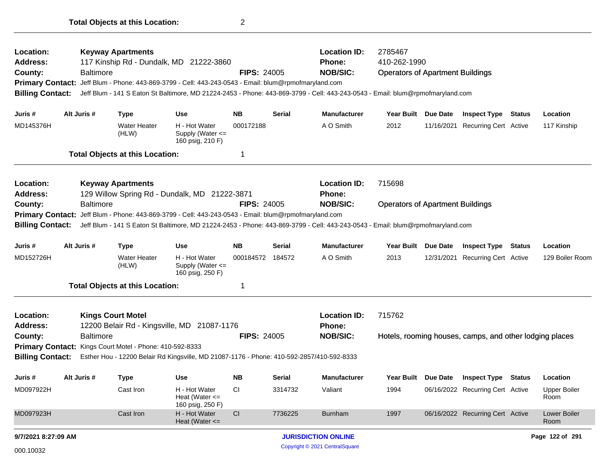| Location:<br>Address:<br>County:<br><b>Billing Contact:</b>   | <b>Baltimore</b> | <b>Keyway Apartments</b><br>117 Kinship Rd - Dundalk, MD 21222-3860<br><b>FIPS: 24005</b><br>Primary Contact: Jeff Blum - Phone: 443-869-3799 - Cell: 443-243-0543 - Email: blum@rpmofmaryland.com<br>Jeff Blum - 141 S Eaton St Baltimore, MD 21224-2453 - Phone: 443-869-3799 - Cell: 443-243-0543 - Email: blum@rpmofmaryland.com |                                                                                           |                    |               |                                                                                                                                                   | <b>Location ID:</b><br>2785467<br>410-262-1990<br><b>Phone:</b><br><b>NOB/SIC:</b><br><b>Operators of Apartment Buildings</b> |                 |                                                         |  |                             |
|---------------------------------------------------------------|------------------|--------------------------------------------------------------------------------------------------------------------------------------------------------------------------------------------------------------------------------------------------------------------------------------------------------------------------------------|-------------------------------------------------------------------------------------------|--------------------|---------------|---------------------------------------------------------------------------------------------------------------------------------------------------|-------------------------------------------------------------------------------------------------------------------------------|-----------------|---------------------------------------------------------|--|-----------------------------|
| Juris #                                                       | Alt Juris #      | <b>Type</b>                                                                                                                                                                                                                                                                                                                          | Use                                                                                       | <b>NB</b>          | <b>Serial</b> | <b>Manufacturer</b>                                                                                                                               | <b>Year Built</b>                                                                                                             | <b>Due Date</b> | <b>Inspect Type Status</b>                              |  | Location                    |
| MD145376H                                                     |                  | <b>Water Heater</b><br>(HLW)                                                                                                                                                                                                                                                                                                         | H - Hot Water<br>Supply (Water <=<br>160 psig, 210 F)                                     | 000172188          |               | A O Smith                                                                                                                                         | 2012                                                                                                                          | 11/16/2021      | <b>Recurring Cert Active</b>                            |  | 117 Kinship                 |
|                                                               |                  | <b>Total Objects at this Location:</b>                                                                                                                                                                                                                                                                                               |                                                                                           | 1                  |               |                                                                                                                                                   |                                                                                                                               |                 |                                                         |  |                             |
| Location:<br>Address:                                         |                  | <b>Keyway Apartments</b>                                                                                                                                                                                                                                                                                                             | 129 Willow Spring Rd - Dundalk, MD 21222-3871                                             |                    |               | <b>Location ID:</b><br><b>Phone:</b>                                                                                                              | 715698                                                                                                                        |                 |                                                         |  |                             |
| County:<br><b>Primary Contact:</b><br><b>Billing Contact:</b> | <b>Baltimore</b> |                                                                                                                                                                                                                                                                                                                                      | Jeff Blum - Phone: 443-869-3799 - Cell: 443-243-0543 - Email: blum@rpmofmaryland.com      | <b>FIPS: 24005</b> |               | <b>NOB/SIC:</b><br>Jeff Blum - 141 S Eaton St Baltimore, MD 21224-2453 - Phone: 443-869-3799 - Cell: 443-243-0543 - Email: blum@rpmofmaryland.com | <b>Operators of Apartment Buildings</b>                                                                                       |                 |                                                         |  |                             |
| Juris #                                                       | Alt Juris #      | <b>Type</b>                                                                                                                                                                                                                                                                                                                          | Use                                                                                       | <b>NB</b>          | Serial        | <b>Manufacturer</b>                                                                                                                               | Year Built Due Date                                                                                                           |                 | <b>Inspect Type Status</b>                              |  | Location                    |
| MD152726H                                                     |                  | <b>Water Heater</b><br>(HLW)                                                                                                                                                                                                                                                                                                         | H - Hot Water<br>Supply (Water <=<br>160 psig, 250 F)                                     | 000184572          | 184572        | A O Smith                                                                                                                                         | 2013                                                                                                                          | 12/31/2021      | <b>Recurring Cert Active</b>                            |  | 129 Boiler Room             |
|                                                               |                  | <b>Total Objects at this Location:</b>                                                                                                                                                                                                                                                                                               |                                                                                           | 1                  |               |                                                                                                                                                   |                                                                                                                               |                 |                                                         |  |                             |
| Location:<br><b>Address:</b>                                  |                  | <b>Kings Court Motel</b>                                                                                                                                                                                                                                                                                                             | 12200 Belair Rd - Kingsville, MD 21087-1176                                               |                    |               | <b>Location ID:</b><br><b>Phone:</b>                                                                                                              | 715762                                                                                                                        |                 |                                                         |  |                             |
| County:                                                       | <b>Baltimore</b> |                                                                                                                                                                                                                                                                                                                                      |                                                                                           | <b>FIPS: 24005</b> |               | <b>NOB/SIC:</b>                                                                                                                                   |                                                                                                                               |                 | Hotels, rooming houses, camps, and other lodging places |  |                             |
| <b>Billing Contact:</b>                                       |                  | Primary Contact: Kings Court Motel - Phone: 410-592-8333                                                                                                                                                                                                                                                                             | Esther Hou - 12200 Belair Rd Kingsville, MD 21087-1176 - Phone: 410-592-2857/410-592-8333 |                    |               |                                                                                                                                                   |                                                                                                                               |                 |                                                         |  |                             |
| Juris #                                                       | Alt Juris #      | <b>Type</b>                                                                                                                                                                                                                                                                                                                          | Use                                                                                       | NB.                | Serial        | <b>Manufacturer</b>                                                                                                                               | Year Built Due Date                                                                                                           |                 | <b>Inspect Type Status</b>                              |  | Location                    |
| MD097922H                                                     |                  | Cast Iron                                                                                                                                                                                                                                                                                                                            | H - Hot Water<br>Heat (Water $\leq$<br>160 psig, 250 F)                                   | CI                 | 3314732       | Valiant                                                                                                                                           | 1994                                                                                                                          |                 | 06/16/2022 Recurring Cert Active                        |  | <b>Upper Boiler</b><br>Room |
| MD097923H                                                     |                  | Cast Iron                                                                                                                                                                                                                                                                                                                            | H - Hot Water<br>Heat (Water $\leq$                                                       | CI                 | 7736225       | Burnham                                                                                                                                           | 1997                                                                                                                          |                 | 06/16/2022 Recurring Cert Active                        |  | <b>Lower Boiler</b><br>Room |
| 9/7/2021 8:27:09 AM                                           |                  |                                                                                                                                                                                                                                                                                                                                      |                                                                                           |                    |               | <b>JURISDICTION ONLINE</b>                                                                                                                        |                                                                                                                               |                 |                                                         |  | Page 122 of 291             |
| 000.10032                                                     |                  |                                                                                                                                                                                                                                                                                                                                      |                                                                                           |                    |               | Copyright © 2021 CentralSquare                                                                                                                    |                                                                                                                               |                 |                                                         |  |                             |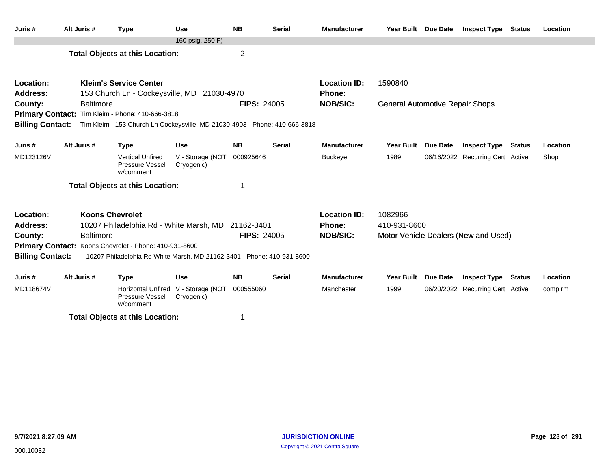| Juris #                 | Alt Juris #      | <b>Type</b>                                                                 | <b>Use</b>                                        | <b>NB</b>          | <b>Serial</b> | <b>Manufacturer</b> | Year Built Due Date                    |                 | <b>Inspect Type Status</b>           | Location |
|-------------------------|------------------|-----------------------------------------------------------------------------|---------------------------------------------------|--------------------|---------------|---------------------|----------------------------------------|-----------------|--------------------------------------|----------|
|                         |                  |                                                                             | 160 psig, 250 F)                                  |                    |               |                     |                                        |                 |                                      |          |
|                         |                  | <b>Total Objects at this Location:</b>                                      |                                                   | $\overline{2}$     |               |                     |                                        |                 |                                      |          |
| Location:               |                  | <b>Kleim's Service Center</b>                                               |                                                   |                    |               | <b>Location ID:</b> | 1590840                                |                 |                                      |          |
| <b>Address:</b>         |                  | 153 Church Ln - Cockeysville, MD 21030-4970                                 |                                                   |                    |               | <b>Phone:</b>       |                                        |                 |                                      |          |
| County:                 | <b>Baltimore</b> |                                                                             |                                                   | <b>FIPS: 24005</b> |               | <b>NOB/SIC:</b>     | <b>General Automotive Repair Shops</b> |                 |                                      |          |
|                         |                  | Primary Contact: Tim Kleim - Phone: 410-666-3818                            |                                                   |                    |               |                     |                                        |                 |                                      |          |
| <b>Billing Contact:</b> |                  | Tim Kleim - 153 Church Ln Cockeysville, MD 21030-4903 - Phone: 410-666-3818 |                                                   |                    |               |                     |                                        |                 |                                      |          |
| Juris #                 | Alt Juris #      | <b>Type</b>                                                                 | <b>Use</b>                                        | <b>NB</b>          | <b>Serial</b> | <b>Manufacturer</b> | <b>Year Built</b>                      | Due Date        | <b>Inspect Type Status</b>           | Location |
| MD123126V               |                  | <b>Vertical Unfired</b><br>Pressure Vessel<br>w/comment                     | V - Storage (NOT<br>Cryogenic)                    | 000925646          |               | <b>Buckeye</b>      | 1989                                   |                 | 06/16/2022 Recurring Cert Active     | Shop     |
|                         |                  | <b>Total Objects at this Location:</b>                                      |                                                   | 1                  |               |                     |                                        |                 |                                      |          |
| Location:               |                  | <b>Koons Chevrolet</b>                                                      |                                                   |                    |               | <b>Location ID:</b> | 1082966                                |                 |                                      |          |
| <b>Address:</b>         |                  | 10207 Philadelphia Rd - White Marsh, MD 21162-3401                          |                                                   |                    |               | <b>Phone:</b>       | 410-931-8600                           |                 |                                      |          |
| County:                 | <b>Baltimore</b> |                                                                             |                                                   | <b>FIPS: 24005</b> |               | <b>NOB/SIC:</b>     |                                        |                 | Motor Vehicle Dealers (New and Used) |          |
|                         |                  | Primary Contact: Koons Chevrolet - Phone: 410-931-8600                      |                                                   |                    |               |                     |                                        |                 |                                      |          |
| <b>Billing Contact:</b> |                  | - 10207 Philadelphia Rd White Marsh, MD 21162-3401 - Phone: 410-931-8600    |                                                   |                    |               |                     |                                        |                 |                                      |          |
| Juris #                 | Alt Juris #      | <b>Type</b>                                                                 | <b>Use</b>                                        | <b>NB</b>          | <b>Serial</b> | <b>Manufacturer</b> | <b>Year Built</b>                      | <b>Due Date</b> | <b>Inspect Type Status</b>           | Location |
| MD118674V               |                  | Pressure Vessel<br>w/comment                                                | Horizontal Unfired V - Storage (NOT<br>Cryogenic) | 000555060          |               | Manchester          | 1999                                   |                 | 06/20/2022 Recurring Cert Active     | comp rm  |
|                         |                  | .                                                                           |                                                   |                    |               |                     |                                        |                 |                                      |          |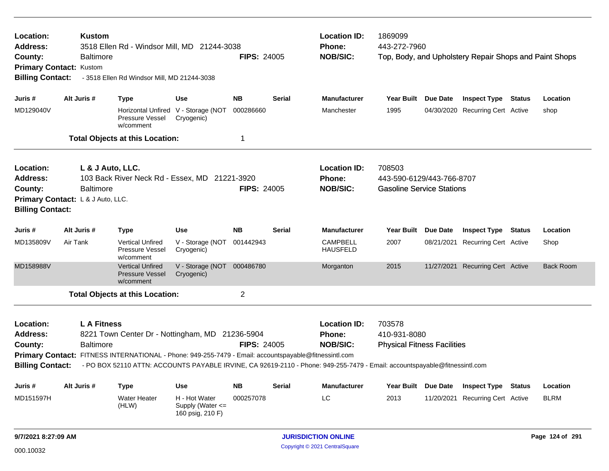| <b>Kustom</b><br>Location:<br>3518 Ellen Rd - Windsor Mill, MD 21244-3038<br><b>Address:</b><br>County:<br><b>Baltimore</b><br><b>Primary Contact: Kustom</b><br>- 3518 Ellen Rd Windsor Mill, MD 21244-3038<br><b>Billing Contact:</b> |                                                       |                                                                                                                                                          |                                                           | <b>FIPS: 24005</b> |               | <b>Location ID:</b><br><b>Phone:</b><br><b>NOB/SIC:</b>                                                                                                                               | 1869099<br>443-272-7960                                                 | Top, Body, and Upholstery Repair Shops and Paint Shops |               |                  |
|-----------------------------------------------------------------------------------------------------------------------------------------------------------------------------------------------------------------------------------------|-------------------------------------------------------|----------------------------------------------------------------------------------------------------------------------------------------------------------|-----------------------------------------------------------|--------------------|---------------|---------------------------------------------------------------------------------------------------------------------------------------------------------------------------------------|-------------------------------------------------------------------------|--------------------------------------------------------|---------------|------------------|
| Juris #                                                                                                                                                                                                                                 | Alt Juris #                                           | <b>Type</b>                                                                                                                                              | <b>Use</b>                                                | <b>NB</b>          | <b>Serial</b> | <b>Manufacturer</b>                                                                                                                                                                   | Year Built Due Date                                                     | <b>Inspect Type Status</b>                             |               | Location         |
| MD129040V                                                                                                                                                                                                                               |                                                       | Pressure Vessel<br>w/comment                                                                                                                             | Horizontal Unfired V - Storage (NOT<br>Cryogenic)         | 000286660          |               | Manchester                                                                                                                                                                            | 1995                                                                    | 04/30/2020 Recurring Cert Active                       |               | shop             |
|                                                                                                                                                                                                                                         |                                                       | <b>Total Objects at this Location:</b>                                                                                                                   |                                                           | $\mathbf{1}$       |               |                                                                                                                                                                                       |                                                                         |                                                        |               |                  |
| <b>Location:</b><br><b>Address:</b><br>County:<br><b>Billing Contact:</b>                                                                                                                                                               | <b>Baltimore</b><br>Primary Contact: L & J Auto, LLC. | L & J Auto, LLC.<br>103 Back River Neck Rd - Essex, MD 21221-3920                                                                                        |                                                           | <b>FIPS: 24005</b> |               | <b>Location ID:</b><br><b>Phone:</b><br><b>NOB/SIC:</b>                                                                                                                               | 708503<br>443-590-6129/443-766-8707<br><b>Gasoline Service Stations</b> |                                                        |               |                  |
| Juris #                                                                                                                                                                                                                                 | Alt Juris #                                           | <b>Type</b>                                                                                                                                              | <b>Use</b>                                                | <b>NB</b>          | Serial        | <b>Manufacturer</b>                                                                                                                                                                   | Year Built Due Date                                                     | <b>Inspect Type</b>                                    | <b>Status</b> | Location         |
| MD135809V                                                                                                                                                                                                                               | Air Tank                                              | <b>Vertical Unfired</b><br>Pressure Vessel<br>w/comment                                                                                                  | V - Storage (NOT<br>Cryogenic)                            | 001442943          |               | <b>CAMPBELL</b><br><b>HAUSFELD</b>                                                                                                                                                    | 2007                                                                    | 08/21/2021 Recurring Cert Active                       |               | Shop             |
| MD158988V                                                                                                                                                                                                                               |                                                       | <b>Vertical Unfired</b><br><b>Pressure Vessel</b><br>w/comment                                                                                           | V - Storage (NOT<br>Cryogenic)                            | 000486780          |               | Morganton                                                                                                                                                                             | 2015                                                                    | 11/27/2021 Recurring Cert Active                       |               | <b>Back Room</b> |
|                                                                                                                                                                                                                                         |                                                       | <b>Total Objects at this Location:</b>                                                                                                                   |                                                           | $\overline{2}$     |               |                                                                                                                                                                                       |                                                                         |                                                        |               |                  |
| <b>Location:</b><br><b>Address:</b><br>County:<br><b>Billing Contact:</b>                                                                                                                                                               | <b>LA Fitness</b><br><b>Baltimore</b>                 | 8221 Town Center Dr - Nottingham, MD 21236-5904<br>Primary Contact: FITNESS INTERNATIONAL - Phone: 949-255-7479 - Email: accountspayable@fitnessintl.com |                                                           | <b>FIPS: 24005</b> |               | <b>Location ID:</b><br><b>Phone:</b><br><b>NOB/SIC:</b><br>- PO BOX 52110 ATTN: ACCOUNTS PAYABLE IRVINE, CA 92619-2110 - Phone: 949-255-7479 - Email: accountspayable@fitnessintl.com | 703578<br>410-931-8080<br><b>Physical Fitness Facilities</b>            |                                                        |               |                  |
| Juris #                                                                                                                                                                                                                                 | Alt Juris #                                           | Type                                                                                                                                                     | <b>Use</b>                                                | <b>NB</b>          | Serial        | <b>Manufacturer</b>                                                                                                                                                                   | Year Built Due Date                                                     | <b>Inspect Type</b>                                    | Status        | Location         |
| MD151597H                                                                                                                                                                                                                               |                                                       | <b>Water Heater</b><br>(HLW)                                                                                                                             | H - Hot Water<br>Supply (Water $\leq$<br>160 psig, 210 F) | 000257078          |               | LC                                                                                                                                                                                    | 2013                                                                    | 11/20/2021 Recurring Cert Active                       |               | <b>BLRM</b>      |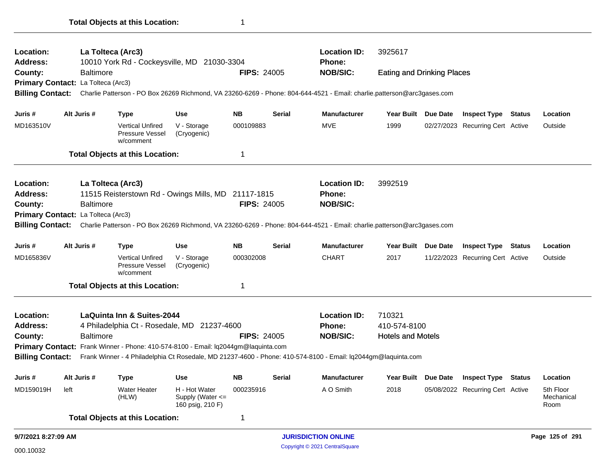|                                     |                                    | Fotal Objects at this Location:                                                    |                            |                    |               |                                                                                                                         |                                   |                                  |        |           |
|-------------------------------------|------------------------------------|------------------------------------------------------------------------------------|----------------------------|--------------------|---------------|-------------------------------------------------------------------------------------------------------------------------|-----------------------------------|----------------------------------|--------|-----------|
| Location:<br><b>Address:</b>        |                                    | La Tolteca (Arc3)<br>10010 York Rd - Cockeysville, MD 21030-3304                   |                            |                    |               | <b>Location ID:</b><br><b>Phone:</b>                                                                                    | 3925617                           |                                  |        |           |
| County:                             | Baltimore                          |                                                                                    |                            | <b>FIPS: 24005</b> |               | <b>NOB/SIC:</b>                                                                                                         | <b>Eating and Drinking Places</b> |                                  |        |           |
|                                     | Primary Contact: La Tolteca (Arc3) |                                                                                    |                            |                    |               |                                                                                                                         |                                   |                                  |        |           |
| <b>Billing Contact:</b>             |                                    |                                                                                    |                            |                    |               | Charlie Patterson - PO Box 26269 Richmond, VA 23260-6269 - Phone: 804-644-4521 - Email: charlie.patterson@arc3gases.com |                                   |                                  |        |           |
| Juris #                             | Alt Juris #                        | Type                                                                               | <b>Use</b>                 | <b>NB</b>          | <b>Serial</b> | <b>Manufacturer</b>                                                                                                     | Year Built Due Date               | <b>Inspect Type</b>              | Status | Location  |
| MD163510V                           |                                    | <b>Vertical Unfired</b><br>Pressure Vessel<br>w/comment                            | V - Storage<br>(Cryogenic) | 000109883          |               | MVE                                                                                                                     | 1999                              | 02/27/2023 Recurring Cert Active |        | Outside   |
|                                     |                                    | <b>Total Objects at this Location:</b>                                             |                            | 1                  |               |                                                                                                                         |                                   |                                  |        |           |
| Location:<br>Address:<br>County:    | <b>Baltimore</b>                   | La Tolteca (Arc3)<br>11515 Reisterstown Rd - Owings Mills, MD 21117-1815           |                            | <b>FIPS: 24005</b> |               | <b>Location ID:</b><br>Phone:<br><b>NOB/SIC:</b>                                                                        | 3992519                           |                                  |        |           |
| <b>Billing Contact:</b>             | Primary Contact: La Tolteca (Arc3) |                                                                                    |                            |                    |               | Charlie Patterson - PO Box 26269 Richmond, VA 23260-6269 - Phone: 804-644-4521 - Email: charlie.patterson@arc3gases.com |                                   |                                  |        |           |
| Juris #                             | Alt Juris #                        | <b>Type</b>                                                                        | <b>Use</b>                 | <b>NB</b>          | <b>Serial</b> | <b>Manufacturer</b>                                                                                                     | Year Built Due Date               | <b>Inspect Type Status</b>       |        | Location  |
| MD165836V                           |                                    | <b>Vertical Unfired</b><br>Pressure Vessel<br>w/comment                            | V - Storage<br>(Cryogenic) | 000302008          |               | <b>CHART</b>                                                                                                            | 2017                              | 11/22/2023 Recurring Cert Active |        | Outside   |
|                                     |                                    | <b>Total Objects at this Location:</b>                                             |                            | 1                  |               |                                                                                                                         |                                   |                                  |        |           |
| <b>Location:</b><br><b>Address:</b> |                                    | LaQuinta Inn & Suites-2044<br>4 Philadelphia Ct - Rosedale, MD 21237-4600          |                            |                    |               | <b>Location ID:</b><br>Phone:                                                                                           | 710321<br>410-574-8100            |                                  |        |           |
| County:                             | <b>Baltimore</b>                   |                                                                                    |                            | <b>FIPS: 24005</b> |               | <b>NOB/SIC:</b>                                                                                                         | <b>Hotels and Motels</b>          |                                  |        |           |
|                                     |                                    | Primary Contact: Frank Winner - Phone: 410-574-8100 - Email: lq2044gm@laquinta.com |                            |                    |               |                                                                                                                         |                                   |                                  |        |           |
| <b>Billing Contact:</b>             |                                    |                                                                                    |                            |                    |               | Frank Winner - 4 Philadelphia Ct Rosedale, MD 21237-4600 - Phone: 410-574-8100 - Email: lq2044gm@laquinta.com           |                                   |                                  |        |           |
| Juris #                             | Alt Juris #                        | Type                                                                               | <b>Use</b>                 | <b>NB</b>          | <b>Serial</b> | <b>Manufacturer</b>                                                                                                     | Year Built Due Date               | <b>Inspect Type Status</b>       |        | Location  |
| MD159019H                           | left                               | <b>Water Heater</b>                                                                | H - Hot Water              | 000235916          |               | A O Smith                                                                                                               | 2018                              | 05/08/2022 Recurring Cert Active |        | 5th Floor |

Supply (Water <= 160 psig, 210 F)

(HLW)

Mechanical Room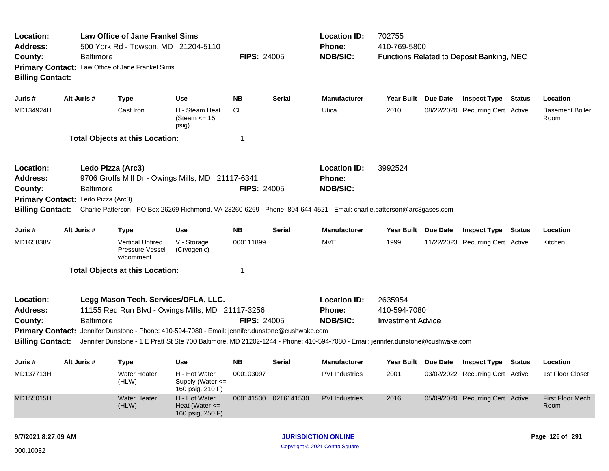| Location:<br><b>Address:</b><br>County:<br><b>Billing Contact:</b> | Law Office of Jane Frankel Sims<br>500 York Rd - Towson, MD 21204-5110<br><b>Baltimore</b><br>Primary Contact: Law Office of Jane Frankel Sims |                                                                                                                                                                                                                                                                                                                                 |                                                           | <b>FIPS: 24005</b> |                      | <b>Location ID:</b><br><b>Phone:</b><br><b>NOB/SIC:</b> | 702755<br>410-769-5800<br>Functions Related to Deposit Banking, NEC |  |                                  |               |                                |  |
|--------------------------------------------------------------------|------------------------------------------------------------------------------------------------------------------------------------------------|---------------------------------------------------------------------------------------------------------------------------------------------------------------------------------------------------------------------------------------------------------------------------------------------------------------------------------|-----------------------------------------------------------|--------------------|----------------------|---------------------------------------------------------|---------------------------------------------------------------------|--|----------------------------------|---------------|--------------------------------|--|
| Juris #                                                            | Alt Juris #                                                                                                                                    | <b>Type</b>                                                                                                                                                                                                                                                                                                                     | <b>Use</b>                                                | <b>NB</b>          | <b>Serial</b>        | <b>Manufacturer</b>                                     | Year Built Due Date                                                 |  | <b>Inspect Type Status</b>       |               | Location                       |  |
| MD134924H                                                          |                                                                                                                                                | Cast Iron                                                                                                                                                                                                                                                                                                                       | H - Steam Heat<br>(Steam $\leq$ 15<br>psig)               | <b>CI</b>          |                      | Utica                                                   | 2010                                                                |  | 08/22/2020 Recurring Cert Active |               | <b>Basement Boiler</b><br>Room |  |
|                                                                    |                                                                                                                                                | <b>Total Objects at this Location:</b>                                                                                                                                                                                                                                                                                          |                                                           | 1                  |                      |                                                         |                                                                     |  |                                  |               |                                |  |
| Location:<br>Address:<br>County:<br><b>Billing Contact:</b>        | <b>Baltimore</b><br>Primary Contact: Ledo Pizza (Arc3)                                                                                         | Ledo Pizza (Arc3)<br>9706 Groffs Mill Dr - Owings Mills, MD 21117-6341<br>Charlie Patterson - PO Box 26269 Richmond, VA 23260-6269 - Phone: 804-644-4521 - Email: charlie.patterson@arc3gases.com                                                                                                                               |                                                           | <b>FIPS: 24005</b> |                      | <b>Location ID:</b><br>Phone:<br><b>NOB/SIC:</b>        | 3992524                                                             |  |                                  |               |                                |  |
| Juris #                                                            | Alt Juris #                                                                                                                                    | <b>Type</b>                                                                                                                                                                                                                                                                                                                     | Use                                                       | <b>NB</b>          | <b>Serial</b>        | <b>Manufacturer</b>                                     | Year Built Due Date                                                 |  | <b>Inspect Type Status</b>       |               | Location                       |  |
| MD165838V                                                          |                                                                                                                                                | <b>Vertical Unfired</b><br>Pressure Vessel<br>w/comment                                                                                                                                                                                                                                                                         | V - Storage<br>(Cryogenic)                                | 000111899          |                      | <b>MVE</b>                                              | 1999                                                                |  | 11/22/2023 Recurring Cert Active |               | Kitchen                        |  |
|                                                                    |                                                                                                                                                | <b>Total Objects at this Location:</b>                                                                                                                                                                                                                                                                                          |                                                           | 1                  |                      |                                                         |                                                                     |  |                                  |               |                                |  |
| Location:<br><b>Address:</b><br>County:<br><b>Billing Contact:</b> | <b>Baltimore</b>                                                                                                                               | Legg Mason Tech. Services/DFLA, LLC.<br>11155 Red Run Blvd - Owings Mills, MD 21117-3256<br>Primary Contact: Jennifer Dunstone - Phone: 410-594-7080 - Email: jennifer.dunstone@cushwake.com<br>Jennifer Dunstone - 1 E Pratt St Ste 700 Baltimore, MD 21202-1244 - Phone: 410-594-7080 - Email: jennifer.dunstone@cushwake.com |                                                           | <b>FIPS: 24005</b> |                      | <b>Location ID:</b><br>Phone:<br><b>NOB/SIC:</b>        | 2635954<br>410-594-7080<br><b>Investment Advice</b>                 |  |                                  |               |                                |  |
| Juris #                                                            | Alt Juris #                                                                                                                                    | <b>Type</b>                                                                                                                                                                                                                                                                                                                     | Use                                                       | <b>NB</b>          | <b>Serial</b>        | <b>Manufacturer</b>                                     | Year Built Due Date                                                 |  | <b>Inspect Type</b>              | <b>Status</b> | Location                       |  |
| MD137713H                                                          |                                                                                                                                                | <b>Water Heater</b><br>(HLW)                                                                                                                                                                                                                                                                                                    | H - Hot Water<br>Supply (Water $\leq$<br>160 psig, 210 F) | 000103097          |                      | <b>PVI</b> Industries                                   | 2001                                                                |  | 03/02/2022 Recurring Cert Active |               | 1st Floor Closet               |  |
| MD155015H                                                          |                                                                                                                                                | <b>Water Heater</b><br>(HLW)                                                                                                                                                                                                                                                                                                    | H - Hot Water<br>Heat (Water $\leq$<br>160 psig, 250 F)   |                    | 000141530 0216141530 | <b>PVI</b> Industries                                   | 2016                                                                |  | 05/09/2020 Recurring Cert Active |               | First Floor Mech.<br>Room      |  |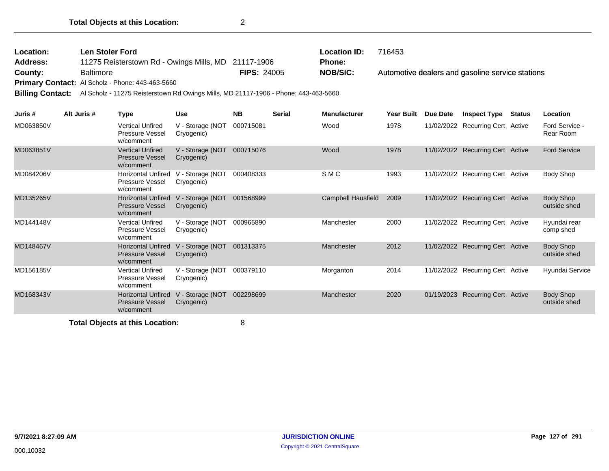| Location: | Len Stoler Ford                                     |                    | <b>Location ID:</b> | 716453                                           |
|-----------|-----------------------------------------------------|--------------------|---------------------|--------------------------------------------------|
| Address:  | 11275 Reisterstown Rd - Owings Mills, MD 21117-1906 |                    | <b>Phone:</b>       |                                                  |
| County:   | Baltimore                                           | <b>FIPS: 24005</b> | <b>NOB/SIC:</b>     | Automotive dealers and gasoline service stations |
|           | Primary Contact: Al Scholz - Phone: 443-463-5660    |                    |                     |                                                  |

**Billing Contact:** Al Scholz - 11275 Reisterstown Rd Owings Mills, MD 21117-1906 - Phone: 443-463-5660

| Juris #   | Alt Juris # | Type                                                             | <b>Use</b>                     | <b>NB</b> | <b>Serial</b> | <b>Manufacturer</b> | <b>Year Built</b> | Due Date   | <b>Inspect Type</b>              | Status | Location                    |
|-----------|-------------|------------------------------------------------------------------|--------------------------------|-----------|---------------|---------------------|-------------------|------------|----------------------------------|--------|-----------------------------|
| MD063850V |             | <b>Vertical Unfired</b><br>Pressure Vessel<br>w/comment          | V - Storage (NOT<br>Cryogenic) | 000715081 |               | Wood                | 1978              |            | 11/02/2022 Recurring Cert Active |        | Ford Service -<br>Rear Room |
| MD063851V |             | <b>Vertical Unfired</b><br><b>Pressure Vessel</b><br>w/comment   | V - Storage (NOT<br>Cryogenic) | 000715076 |               | Wood                | 1978              | 11/02/2022 | <b>Recurring Cert Active</b>     |        | <b>Ford Service</b>         |
| MD084206V |             | <b>Horizontal Unfired</b><br>Pressure Vessel<br>w/comment        | V - Storage (NOT<br>Cryogenic) | 000408333 |               | SMC                 | 1993              | 11/02/2022 | Recurring Cert Active            |        | Body Shop                   |
| MD135265V |             | <b>Horizontal Unfired</b><br><b>Pressure Vessel</b><br>w/comment | V - Storage (NOT<br>Cryogenic) | 001568999 |               | Campbell Hausfield  | 2009              |            | 11/02/2022 Recurring Cert Active |        | Body Shop<br>outside shed   |
| MD144148V |             | <b>Vertical Unfired</b><br><b>Pressure Vessel</b><br>w/comment   | V - Storage (NOT<br>Cryogenic) | 000965890 |               | Manchester          | 2000              |            | 11/02/2022 Recurring Cert Active |        | Hyundai rear<br>comp shed   |
| MD148467V |             | <b>Horizontal Unfired</b><br><b>Pressure Vessel</b><br>w/comment | V - Storage (NOT<br>Cryogenic) | 001313375 |               | Manchester          | 2012              |            | 11/02/2022 Recurring Cert Active |        | Body Shop<br>outside shed   |
| MD156185V |             | <b>Vertical Unfired</b><br><b>Pressure Vessel</b><br>w/comment   | V - Storage (NOT<br>Cryogenic) | 000379110 |               | Morganton           | 2014              | 11/02/2022 | Recurring Cert Active            |        | Hyundai Service             |
| MD168343V |             | <b>Horizontal Unfired</b><br><b>Pressure Vessel</b><br>w/comment | V - Storage (NOT<br>Cryogenic) | 002298699 |               | Manchester          | 2020              | 01/19/2023 | <b>Recurring Cert Active</b>     |        | Body Shop<br>outside shed   |
|           |             | Total Ohjects at this Location:                                  |                                | Ω         |               |                     |                   |            |                                  |        |                             |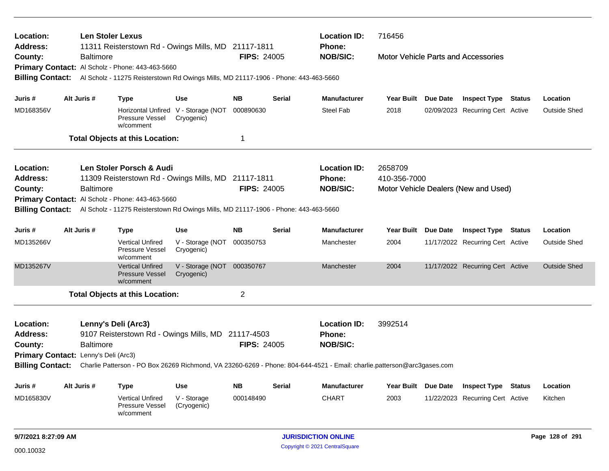|                  |                                                                                                                                                |                                                                                                       |                                                                                                                                                                                                                                                                                         |                                                             | <b>Location ID:</b>                                                                                                                                                                                                                                 | 716456                                                                                                                                                                                                                                                 |                 |                                                                                                                                                                                       |                                     |                                                                                                                                                                                                                                                                                |
|------------------|------------------------------------------------------------------------------------------------------------------------------------------------|-------------------------------------------------------------------------------------------------------|-----------------------------------------------------------------------------------------------------------------------------------------------------------------------------------------------------------------------------------------------------------------------------------------|-------------------------------------------------------------|-----------------------------------------------------------------------------------------------------------------------------------------------------------------------------------------------------------------------------------------------------|--------------------------------------------------------------------------------------------------------------------------------------------------------------------------------------------------------------------------------------------------------|-----------------|---------------------------------------------------------------------------------------------------------------------------------------------------------------------------------------|-------------------------------------|--------------------------------------------------------------------------------------------------------------------------------------------------------------------------------------------------------------------------------------------------------------------------------|
| <b>Baltimore</b> |                                                                                                                                                |                                                                                                       |                                                                                                                                                                                                                                                                                         |                                                             | <b>NOB/SIC:</b>                                                                                                                                                                                                                                     |                                                                                                                                                                                                                                                        |                 |                                                                                                                                                                                       |                                     |                                                                                                                                                                                                                                                                                |
|                  |                                                                                                                                                |                                                                                                       |                                                                                                                                                                                                                                                                                         |                                                             |                                                                                                                                                                                                                                                     |                                                                                                                                                                                                                                                        |                 |                                                                                                                                                                                       |                                     |                                                                                                                                                                                                                                                                                |
|                  |                                                                                                                                                |                                                                                                       |                                                                                                                                                                                                                                                                                         |                                                             |                                                                                                                                                                                                                                                     |                                                                                                                                                                                                                                                        |                 |                                                                                                                                                                                       |                                     |                                                                                                                                                                                                                                                                                |
|                  | <b>Type</b>                                                                                                                                    | <b>Use</b>                                                                                            | <b>NB</b>                                                                                                                                                                                                                                                                               | Serial                                                      | <b>Manufacturer</b>                                                                                                                                                                                                                                 |                                                                                                                                                                                                                                                        |                 |                                                                                                                                                                                       |                                     | Location                                                                                                                                                                                                                                                                       |
|                  | Pressure Vessel<br>w/comment                                                                                                                   |                                                                                                       | 000890630                                                                                                                                                                                                                                                                               |                                                             | <b>Steel Fab</b>                                                                                                                                                                                                                                    | 2018                                                                                                                                                                                                                                                   |                 |                                                                                                                                                                                       |                                     | <b>Outside Shed</b>                                                                                                                                                                                                                                                            |
|                  |                                                                                                                                                |                                                                                                       | 1                                                                                                                                                                                                                                                                                       |                                                             |                                                                                                                                                                                                                                                     |                                                                                                                                                                                                                                                        |                 |                                                                                                                                                                                       |                                     |                                                                                                                                                                                                                                                                                |
|                  |                                                                                                                                                |                                                                                                       |                                                                                                                                                                                                                                                                                         |                                                             | <b>Location ID:</b>                                                                                                                                                                                                                                 | 2658709                                                                                                                                                                                                                                                |                 |                                                                                                                                                                                       |                                     |                                                                                                                                                                                                                                                                                |
|                  |                                                                                                                                                |                                                                                                       |                                                                                                                                                                                                                                                                                         |                                                             | <b>Phone:</b>                                                                                                                                                                                                                                       |                                                                                                                                                                                                                                                        |                 |                                                                                                                                                                                       |                                     |                                                                                                                                                                                                                                                                                |
| <b>Baltimore</b> |                                                                                                                                                |                                                                                                       |                                                                                                                                                                                                                                                                                         |                                                             | <b>NOB/SIC:</b>                                                                                                                                                                                                                                     |                                                                                                                                                                                                                                                        |                 |                                                                                                                                                                                       |                                     |                                                                                                                                                                                                                                                                                |
|                  |                                                                                                                                                |                                                                                                       |                                                                                                                                                                                                                                                                                         |                                                             |                                                                                                                                                                                                                                                     |                                                                                                                                                                                                                                                        |                 |                                                                                                                                                                                       |                                     |                                                                                                                                                                                                                                                                                |
|                  |                                                                                                                                                |                                                                                                       |                                                                                                                                                                                                                                                                                         |                                                             |                                                                                                                                                                                                                                                     |                                                                                                                                                                                                                                                        |                 |                                                                                                                                                                                       |                                     |                                                                                                                                                                                                                                                                                |
|                  | <b>Type</b>                                                                                                                                    | <b>Use</b>                                                                                            | <b>NB</b>                                                                                                                                                                                                                                                                               | <b>Serial</b>                                               | <b>Manufacturer</b>                                                                                                                                                                                                                                 | <b>Year Built</b>                                                                                                                                                                                                                                      | <b>Due Date</b> |                                                                                                                                                                                       |                                     | Location                                                                                                                                                                                                                                                                       |
|                  | <b>Vertical Unfired</b><br>Pressure Vessel<br>w/comment                                                                                        | Cryogenic)                                                                                            |                                                                                                                                                                                                                                                                                         |                                                             | Manchester                                                                                                                                                                                                                                          | 2004                                                                                                                                                                                                                                                   |                 |                                                                                                                                                                                       |                                     | <b>Outside Shed</b>                                                                                                                                                                                                                                                            |
|                  | <b>Vertical Unfired</b><br>Pressure Vessel<br>w/comment                                                                                        | Cryogenic)                                                                                            | 000350767                                                                                                                                                                                                                                                                               |                                                             | Manchester                                                                                                                                                                                                                                          | 2004                                                                                                                                                                                                                                                   |                 |                                                                                                                                                                                       |                                     | <b>Outside Shed</b>                                                                                                                                                                                                                                                            |
|                  |                                                                                                                                                |                                                                                                       | $\overline{2}$                                                                                                                                                                                                                                                                          |                                                             |                                                                                                                                                                                                                                                     |                                                                                                                                                                                                                                                        |                 |                                                                                                                                                                                       |                                     |                                                                                                                                                                                                                                                                                |
|                  |                                                                                                                                                |                                                                                                       |                                                                                                                                                                                                                                                                                         |                                                             | <b>Location ID:</b>                                                                                                                                                                                                                                 | 3992514                                                                                                                                                                                                                                                |                 |                                                                                                                                                                                       |                                     |                                                                                                                                                                                                                                                                                |
|                  |                                                                                                                                                |                                                                                                       |                                                                                                                                                                                                                                                                                         |                                                             |                                                                                                                                                                                                                                                     |                                                                                                                                                                                                                                                        |                 |                                                                                                                                                                                       |                                     |                                                                                                                                                                                                                                                                                |
|                  |                                                                                                                                                |                                                                                                       |                                                                                                                                                                                                                                                                                         |                                                             |                                                                                                                                                                                                                                                     |                                                                                                                                                                                                                                                        |                 |                                                                                                                                                                                       |                                     |                                                                                                                                                                                                                                                                                |
|                  |                                                                                                                                                |                                                                                                       |                                                                                                                                                                                                                                                                                         |                                                             |                                                                                                                                                                                                                                                     |                                                                                                                                                                                                                                                        |                 |                                                                                                                                                                                       |                                     |                                                                                                                                                                                                                                                                                |
|                  |                                                                                                                                                |                                                                                                       |                                                                                                                                                                                                                                                                                         |                                                             |                                                                                                                                                                                                                                                     |                                                                                                                                                                                                                                                        |                 |                                                                                                                                                                                       |                                     | Location                                                                                                                                                                                                                                                                       |
|                  | <b>Vertical Unfired</b><br><b>Pressure Vessel</b><br>w/comment                                                                                 | V - Storage<br>(Cryogenic)                                                                            | 000148490                                                                                                                                                                                                                                                                               |                                                             | <b>CHART</b>                                                                                                                                                                                                                                        | 2003                                                                                                                                                                                                                                                   |                 |                                                                                                                                                                                       |                                     | Kitchen                                                                                                                                                                                                                                                                        |
|                  | <b>Billing Contact:</b><br>Alt Juris #<br><b>Billing Contact:</b><br>Alt Juris #<br><b>Baltimore</b><br><b>Billing Contact:</b><br>Alt Juris # | <b>Len Stoler Lexus</b><br>Lenny's Deli (Arc3)<br>Primary Contact: Lenny's Deli (Arc3)<br><b>Type</b> | Primary Contact: Al Scholz - Phone: 443-463-5660<br>Horizontal Unfired V - Storage (NOT<br>Cryogenic)<br><b>Total Objects at this Location:</b><br>Len Stoler Porsch & Audi<br>Primary Contact: Al Scholz - Phone: 443-463-5660<br><b>Total Objects at this Location:</b><br><b>Use</b> | V - Storage (NOT 000350753<br>V - Storage (NOT<br><b>NB</b> | 11311 Reisterstown Rd - Owings Mills, MD 21117-1811<br><b>FIPS: 24005</b><br>11309 Reisterstown Rd - Owings Mills, MD 21117-1811<br><b>FIPS: 24005</b><br>9107 Reisterstown Rd - Owings Mills, MD 21117-4503<br><b>FIPS: 24005</b><br><b>Serial</b> | <b>Phone:</b><br>Al Scholz - 11275 Reisterstown Rd Owings Mills, MD 21117-1906 - Phone: 443-463-5660<br>Al Scholz - 11275 Reisterstown Rd Owings Mills, MD 21117-1906 - Phone: 443-463-5660<br><b>Phone:</b><br><b>NOB/SIC:</b><br><b>Manufacturer</b> |                 | Year Built Due Date<br>410-356-7000<br>Charlie Patterson - PO Box 26269 Richmond, VA 23260-6269 - Phone: 804-644-4521 - Email: charlie.patterson@arc3gases.com<br>Year Built Due Date | Motor Vehicle Parts and Accessories | <b>Inspect Type Status</b><br>02/09/2023 Recurring Cert Active<br>Motor Vehicle Dealers (New and Used)<br><b>Inspect Type Status</b><br>11/17/2022 Recurring Cert Active<br>11/17/2022 Recurring Cert Active<br><b>Inspect Type Status</b><br>11/22/2023 Recurring Cert Active |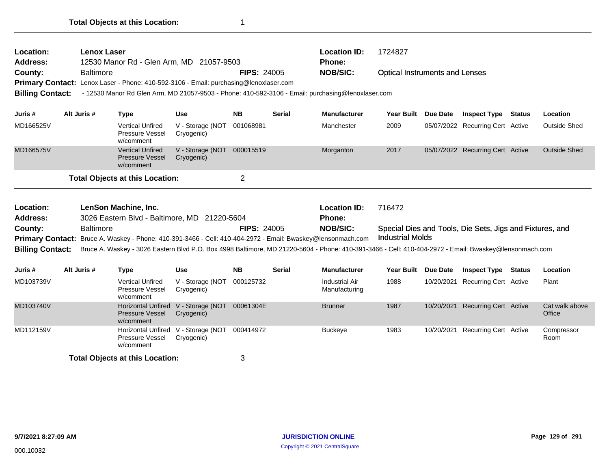| Location:<br>Address:   | <b>Lenox Laser</b> | 12530 Manor Rd - Glen Arm, MD 21057-9503                                                                                                              |                                          |                    | <b>Location ID:</b><br>Phone: | 1724827                                |                                       |            |                                                          |        |                          |
|-------------------------|--------------------|-------------------------------------------------------------------------------------------------------------------------------------------------------|------------------------------------------|--------------------|-------------------------------|----------------------------------------|---------------------------------------|------------|----------------------------------------------------------|--------|--------------------------|
| County:                 | <b>Baltimore</b>   | Primary Contact: Lenox Laser - Phone: 410-592-3106 - Email: purchasing@lenoxlaser.com                                                                 |                                          | <b>FIPS: 24005</b> |                               | <b>NOB/SIC:</b>                        | <b>Optical Instruments and Lenses</b> |            |                                                          |        |                          |
| <b>Billing Contact:</b> |                    | - 12530 Manor Rd Glen Arm, MD 21057-9503 - Phone: 410-592-3106 - Email: purchasing@lenoxlaser.com                                                     |                                          |                    |                               |                                        |                                       |            |                                                          |        |                          |
| Juris #                 | Alt Juris #        | <b>Type</b>                                                                                                                                           | <b>Use</b>                               | <b>NB</b>          | <b>Serial</b>                 | <b>Manufacturer</b>                    | <b>Year Built</b>                     | Due Date   | <b>Inspect Type</b>                                      | Status | Location                 |
| MD166525V               |                    | <b>Vertical Unfired</b><br><b>Pressure Vessel</b><br>w/comment                                                                                        | V - Storage (NOT<br>Cryogenic)           | 001068981          |                               | Manchester                             | 2009                                  |            | 05/07/2022 Recurring Cert Active                         |        | <b>Outside Shed</b>      |
| MD166575V               |                    | <b>Vertical Unfired</b><br><b>Pressure Vessel</b><br>w/comment                                                                                        | V - Storage (NOT 000015519<br>Cryogenic) |                    |                               | Morganton                              | 2017                                  |            | 05/07/2022 Recurring Cert Active                         |        | <b>Outside Shed</b>      |
|                         |                    | <b>Total Objects at this Location:</b>                                                                                                                |                                          | $\overline{2}$     |                               |                                        |                                       |            |                                                          |        |                          |
|                         |                    |                                                                                                                                                       |                                          |                    |                               |                                        |                                       |            |                                                          |        |                          |
|                         |                    |                                                                                                                                                       |                                          |                    |                               |                                        |                                       |            |                                                          |        |                          |
| Location:               |                    | LenSon Machine, Inc.                                                                                                                                  |                                          |                    |                               | <b>Location ID:</b>                    | 716472                                |            |                                                          |        |                          |
| <b>Address:</b>         |                    | 3026 Eastern Blvd - Baltimore, MD 21220-5604                                                                                                          |                                          |                    |                               | Phone:                                 |                                       |            |                                                          |        |                          |
| County:                 | <b>Baltimore</b>   |                                                                                                                                                       |                                          | <b>FIPS: 24005</b> |                               | <b>NOB/SIC:</b>                        |                                       |            | Special Dies and Tools, Die Sets, Jigs and Fixtures, and |        |                          |
|                         |                    | Primary Contact: Bruce A. Waskey - Phone: 410-391-3466 - Cell: 410-404-2972 - Email: Bwaskey@lensonmach.com                                           |                                          |                    |                               |                                        | <b>Industrial Molds</b>               |            |                                                          |        |                          |
| <b>Billing Contact:</b> |                    | Bruce A. Waskey - 3026 Eastern Blvd P.O. Box 4998 Baltimore, MD 21220-5604 - Phone: 410-391-3466 - Cell: 410-404-2972 - Email: Bwaskey@lensonmach.com |                                          |                    |                               |                                        |                                       |            |                                                          |        |                          |
| Juris #                 | Alt Juris #        | <b>Type</b>                                                                                                                                           | <b>Use</b>                               | <b>NB</b>          | <b>Serial</b>                 | <b>Manufacturer</b>                    | Year Built Due Date                   |            | <b>Inspect Type Status</b>                               |        | Location                 |
| MD103739V               |                    | <b>Vertical Unfired</b><br>Pressure Vessel<br>w/comment                                                                                               | V - Storage (NOT<br>Cryogenic)           | 000125732          |                               | <b>Industrial Air</b><br>Manufacturing | 1988                                  | 10/20/2021 | <b>Recurring Cert Active</b>                             |        | Plant                    |
| MD103740V               |                    | <b>Horizontal Unfired</b><br><b>Pressure Vessel</b><br>w/comment                                                                                      | V - Storage (NOT<br>Cryogenic)           | 00061304E          |                               | <b>Brunner</b>                         | 1987                                  |            | 10/20/2021 Recurring Cert Active                         |        | Cat walk above<br>Office |
| MD112159V               |                    | <b>Horizontal Unfired</b><br>Pressure Vessel<br>w/comment                                                                                             | V - Storage (NOT<br>Cryogenic)           | 000414972          |                               | <b>Buckeye</b>                         | 1983                                  |            | 10/20/2021 Recurring Cert Active                         |        | Compressor<br>Room       |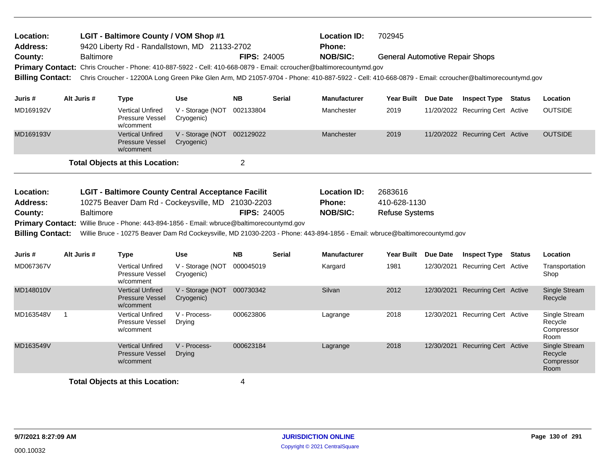| Location:<br><b>Address:</b>                                                              | <b>LGIT - Baltimore County / VOM Shop #1</b><br>9420 Liberty Rd - Randallstown, MD 21133-2702 |                  |                                                                |                                                                                                                                                     |                    |               | <b>Location ID:</b><br>Phone:        | 702945                                 |          |                                  |        |                                                |
|-------------------------------------------------------------------------------------------|-----------------------------------------------------------------------------------------------|------------------|----------------------------------------------------------------|-----------------------------------------------------------------------------------------------------------------------------------------------------|--------------------|---------------|--------------------------------------|----------------------------------------|----------|----------------------------------|--------|------------------------------------------------|
| County:                                                                                   |                                                                                               | <b>Baltimore</b> |                                                                |                                                                                                                                                     | <b>FIPS: 24005</b> |               | <b>NOB/SIC:</b>                      | <b>General Automotive Repair Shops</b> |          |                                  |        |                                                |
|                                                                                           |                                                                                               |                  |                                                                | Primary Contact: Chris Croucher - Phone: 410-887-5922 - Cell: 410-668-0879 - Email: ccroucher@baltimorecountymd.gov                                 |                    |               |                                      |                                        |          |                                  |        |                                                |
| <b>Billing Contact:</b>                                                                   |                                                                                               |                  |                                                                | Chris Croucher - 12200A Long Green Pike Glen Arm, MD 21057-9704 - Phone: 410-887-5922 - Cell: 410-668-0879 - Email: ccroucher@baltimorecountymd.gov |                    |               |                                      |                                        |          |                                  |        |                                                |
| Juris #                                                                                   | Alt Juris #                                                                                   |                  | <b>Type</b>                                                    | <b>Use</b>                                                                                                                                          | <b>NB</b>          | <b>Serial</b> | <b>Manufacturer</b>                  | <b>Year Built</b>                      | Due Date | <b>Inspect Type</b>              | Status | Location                                       |
| MD169192V                                                                                 |                                                                                               |                  | <b>Vertical Unfired</b><br>Pressure Vessel<br>w/comment        | V - Storage (NOT<br>Cryogenic)                                                                                                                      | 002133804          |               | Manchester                           | 2019                                   |          | 11/20/2022 Recurring Cert Active |        | <b>OUTSIDE</b>                                 |
| MD169193V                                                                                 |                                                                                               |                  | <b>Vertical Unfired</b><br>Pressure Vessel<br>w/comment        | V - Storage (NOT<br>Cryogenic)                                                                                                                      | 002129022          |               | Manchester                           | 2019                                   |          | 11/20/2022 Recurring Cert Active |        | <b>OUTSIDE</b>                                 |
|                                                                                           |                                                                                               |                  | <b>Total Objects at this Location:</b>                         |                                                                                                                                                     | $\overline{2}$     |               |                                      |                                        |          |                                  |        |                                                |
|                                                                                           |                                                                                               |                  |                                                                |                                                                                                                                                     |                    |               |                                      |                                        |          |                                  |        |                                                |
| Location:<br>Address:                                                                     |                                                                                               |                  |                                                                | <b>LGIT - Baltimore County Central Acceptance Facilit</b><br>10275 Beaver Dam Rd - Cockeysville, MD 21030-2203                                      |                    |               | <b>Location ID:</b><br><b>Phone:</b> | 2683616<br>410-628-1130                |          |                                  |        |                                                |
| County:                                                                                   |                                                                                               | <b>Baltimore</b> |                                                                |                                                                                                                                                     | <b>FIPS: 24005</b> |               | <b>NOB/SIC:</b>                      | <b>Refuse Systems</b>                  |          |                                  |        |                                                |
| Primary Contact: Willie Bruce - Phone: 443-894-1856 - Email: wbruce@baltimorecountymd.gov |                                                                                               |                  |                                                                |                                                                                                                                                     |                    |               |                                      |                                        |          |                                  |        |                                                |
| <b>Billing Contact:</b>                                                                   |                                                                                               |                  |                                                                |                                                                                                                                                     |                    |               |                                      |                                        |          |                                  |        |                                                |
|                                                                                           |                                                                                               |                  |                                                                | Willie Bruce - 10275 Beaver Dam Rd Cockeysville, MD 21030-2203 - Phone: 443-894-1856 - Email: wbruce@baltimorecountymd.gov                          |                    |               |                                      |                                        |          |                                  |        |                                                |
| Juris #                                                                                   | Alt Juris #                                                                                   |                  | <b>Type</b>                                                    | <b>Use</b>                                                                                                                                          | <b>NB</b>          | <b>Serial</b> | <b>Manufacturer</b>                  | Year Built Due Date                    |          | <b>Inspect Type Status</b>       |        | Location                                       |
| MD067367V                                                                                 |                                                                                               |                  | <b>Vertical Unfired</b><br>Pressure Vessel<br>w/comment        | V - Storage (NOT<br>Cryogenic)                                                                                                                      | 000045019          |               | Kargard                              | 1981                                   |          | 12/30/2021 Recurring Cert Active |        | Transportation<br>Shop                         |
| MD148010V                                                                                 |                                                                                               |                  | <b>Vertical Unfired</b><br>Pressure Vessel<br>w/comment        | V - Storage (NOT 000730342<br>Cryogenic)                                                                                                            |                    |               | Silvan                               | 2012                                   |          | 12/30/2021 Recurring Cert Active |        | Single Stream<br>Recycle                       |
| MD163548V                                                                                 | $\overline{1}$                                                                                |                  | <b>Vertical Unfired</b><br>Pressure Vessel<br>w/comment        | V - Process-<br>Drying                                                                                                                              | 000623806          |               | Lagrange                             | 2018                                   |          | 12/30/2021 Recurring Cert Active |        | Single Stream<br>Recycle<br>Compressor<br>Room |
| MD163549V                                                                                 |                                                                                               |                  | <b>Vertical Unfired</b><br><b>Pressure Vessel</b><br>w/comment | V - Process-<br>Drying                                                                                                                              | 000623184          |               | Lagrange                             | 2018                                   |          | 12/30/2021 Recurring Cert Active |        | Single Stream<br>Recycle<br>Compressor<br>Room |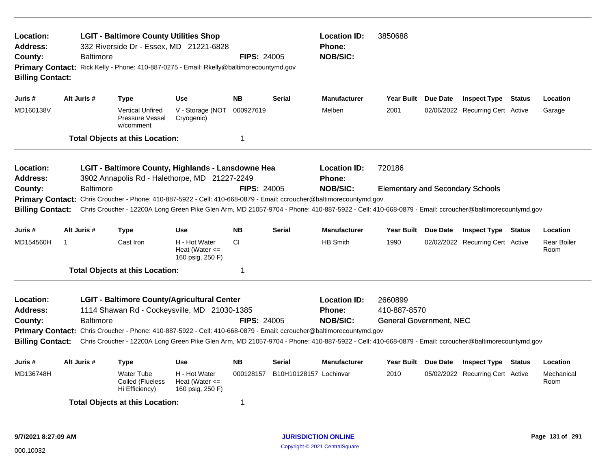| Location:<br><b>Address:</b><br>County:<br><b>Billing Contact:</b> | <b>LGIT - Baltimore County Utilities Shop</b><br>332 Riverside Dr - Essex, MD 21221-6828<br><b>FIPS: 24005</b><br>Baltimore<br>Primary Contact: Rick Kelly - Phone: 410-887-0275 - Email: Rkelly@baltimorecountymd.gov |                                                                                                                                                     |                                                         |                    |                                  | <b>Location ID:</b><br>Phone:<br><b>NOB/SIC:</b> | 3850688                                 |  |                                  |  |                            |  |  |
|--------------------------------------------------------------------|------------------------------------------------------------------------------------------------------------------------------------------------------------------------------------------------------------------------|-----------------------------------------------------------------------------------------------------------------------------------------------------|---------------------------------------------------------|--------------------|----------------------------------|--------------------------------------------------|-----------------------------------------|--|----------------------------------|--|----------------------------|--|--|
| Juris #                                                            | Alt Juris #                                                                                                                                                                                                            | <b>Type</b>                                                                                                                                         | <b>Use</b>                                              | <b>NB</b>          | <b>Serial</b>                    | <b>Manufacturer</b>                              | Year Built Due Date                     |  | <b>Inspect Type Status</b>       |  | Location                   |  |  |
| MD160138V                                                          |                                                                                                                                                                                                                        | <b>Vertical Unfired</b><br>Pressure Vessel<br>w/comment                                                                                             | V - Storage (NOT<br>Cryogenic)                          | 000927619          |                                  | Melben                                           | 2001                                    |  | 02/06/2022 Recurring Cert Active |  | Garage                     |  |  |
|                                                                    |                                                                                                                                                                                                                        | <b>Total Objects at this Location:</b>                                                                                                              |                                                         | $\mathbf 1$        |                                  |                                                  |                                         |  |                                  |  |                            |  |  |
| Location:<br><b>Address:</b>                                       |                                                                                                                                                                                                                        | LGIT - Baltimore County, Highlands - Lansdowne Hea<br>3902 Annapolis Rd - Halethorpe, MD 21227-2249                                                 |                                                         |                    |                                  | <b>Location ID:</b><br>Phone:                    | 720186                                  |  |                                  |  |                            |  |  |
| County:                                                            | Baltimore                                                                                                                                                                                                              |                                                                                                                                                     |                                                         | <b>FIPS: 24005</b> |                                  | <b>NOB/SIC:</b>                                  | <b>Elementary and Secondary Schools</b> |  |                                  |  |                            |  |  |
|                                                                    |                                                                                                                                                                                                                        | Primary Contact: Chris Croucher - Phone: 410-887-5922 - Cell: 410-668-0879 - Email: ccroucher@baltimorecountymd.gov                                 |                                                         |                    |                                  |                                                  |                                         |  |                                  |  |                            |  |  |
| <b>Billing Contact:</b>                                            |                                                                                                                                                                                                                        | Chris Croucher - 12200A Long Green Pike Glen Arm, MD 21057-9704 - Phone: 410-887-5922 - Cell: 410-668-0879 - Email: ccroucher@baltimorecountymd.gov |                                                         |                    |                                  |                                                  |                                         |  |                                  |  |                            |  |  |
| Juris #                                                            | Alt Juris #                                                                                                                                                                                                            | <b>Type</b>                                                                                                                                         | <b>Use</b>                                              | <b>NB</b>          | <b>Serial</b>                    | <b>Manufacturer</b>                              | Year Built Due Date                     |  | <b>Inspect Type Status</b>       |  | Location                   |  |  |
| MD154560H                                                          | $\mathbf{1}$                                                                                                                                                                                                           | Cast Iron                                                                                                                                           | H - Hot Water<br>Heat (Water $\leq$<br>160 psig, 250 F) | <b>CI</b>          |                                  | HB Smith                                         | 1990                                    |  | 02/02/2022 Recurring Cert Active |  | <b>Rear Boiler</b><br>Room |  |  |
|                                                                    |                                                                                                                                                                                                                        | <b>Total Objects at this Location:</b>                                                                                                              |                                                         | $\mathbf 1$        |                                  |                                                  |                                         |  |                                  |  |                            |  |  |
| Location:                                                          |                                                                                                                                                                                                                        | <b>LGIT - Baltimore County/Agricultural Center</b>                                                                                                  |                                                         |                    |                                  | <b>Location ID:</b>                              | 2660899                                 |  |                                  |  |                            |  |  |
| <b>Address:</b>                                                    |                                                                                                                                                                                                                        | 1114 Shawan Rd - Cockeysville, MD 21030-1385                                                                                                        |                                                         |                    |                                  | <b>Phone:</b>                                    | 410-887-8570                            |  |                                  |  |                            |  |  |
| County:                                                            | <b>Baltimore</b>                                                                                                                                                                                                       |                                                                                                                                                     |                                                         | <b>FIPS: 24005</b> |                                  | <b>NOB/SIC:</b>                                  | <b>General Government, NEC</b>          |  |                                  |  |                            |  |  |
|                                                                    |                                                                                                                                                                                                                        | Primary Contact: Chris Croucher - Phone: 410-887-5922 - Cell: 410-668-0879 - Email: ccroucher@baltimorecountymd.gov                                 |                                                         |                    |                                  |                                                  |                                         |  |                                  |  |                            |  |  |
| <b>Billing Contact:</b>                                            |                                                                                                                                                                                                                        | Chris Croucher - 12200A Long Green Pike Glen Arm, MD 21057-9704 - Phone: 410-887-5922 - Cell: 410-668-0879 - Email: ccroucher@baltimorecountymd.gov |                                                         |                    |                                  |                                                  |                                         |  |                                  |  |                            |  |  |
| Juris #                                                            | Alt Juris #                                                                                                                                                                                                            | <b>Type</b>                                                                                                                                         | <b>Use</b>                                              | <b>NB</b>          | Serial                           | <b>Manufacturer</b>                              | Year Built Due Date                     |  | <b>Inspect Type Status</b>       |  | Location                   |  |  |
| MD136748H                                                          |                                                                                                                                                                                                                        | <b>Water Tube</b><br>Coiled (Flueless<br>Hi Efficiency)                                                                                             | H - Hot Water<br>Heat (Water $\leq$<br>160 psig, 250 F) |                    | 000128157 B10H10128157 Lochinvar |                                                  | 2010                                    |  | 05/02/2022 Recurring Cert Active |  | Mechanical<br>Room         |  |  |
|                                                                    |                                                                                                                                                                                                                        | <b>Total Objects at this Location:</b>                                                                                                              |                                                         | -1                 |                                  |                                                  |                                         |  |                                  |  |                            |  |  |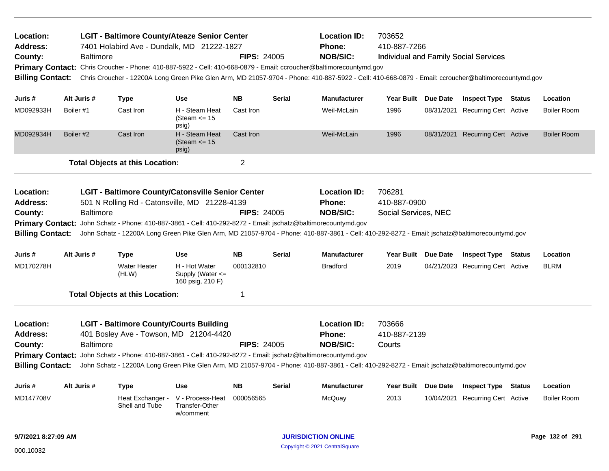| Location:<br><b>Address:</b><br>County:<br><b>Billing Contact:</b> | <b>Baltimore</b> | <b>LGIT - Baltimore County/Ateaze Senior Center</b><br>7401 Holabird Ave - Dundalk, MD 21222-1827<br>Primary Contact: Chris Croucher - Phone: 410-887-5922 - Cell: 410-668-0879 - Email: ccroucher@baltimorecountymd.gov<br>Chris Croucher - 12200A Long Green Pike Glen Arm, MD 21057-9704 - Phone: 410-887-5922 - Cell: 410-668-0879 - Email: ccroucher@baltimorecountymd.gov                |                                                       | <b>FIPS: 24005</b> |               | <b>Location ID:</b><br><b>Phone:</b><br><b>NOB/SIC:</b> | 703652<br>410-887-7266                         | Individual and Family Social Services |                    |
|--------------------------------------------------------------------|------------------|------------------------------------------------------------------------------------------------------------------------------------------------------------------------------------------------------------------------------------------------------------------------------------------------------------------------------------------------------------------------------------------------|-------------------------------------------------------|--------------------|---------------|---------------------------------------------------------|------------------------------------------------|---------------------------------------|--------------------|
| Juris #                                                            | Alt Juris #      | <b>Type</b>                                                                                                                                                                                                                                                                                                                                                                                    | Use                                                   | <b>NB</b>          | <b>Serial</b> | <b>Manufacturer</b>                                     | Year Built Due Date                            | <b>Inspect Type Status</b>            | Location           |
| MD092933H                                                          | Boiler #1        | Cast Iron                                                                                                                                                                                                                                                                                                                                                                                      | H - Steam Heat<br>(Steam $\le$ 15<br>psig)            | Cast Iron          |               | Weil-McLain                                             | 1996                                           | 08/31/2021 Recurring Cert Active      | <b>Boiler Room</b> |
| MD092934H                                                          | Boiler #2        | Cast Iron                                                                                                                                                                                                                                                                                                                                                                                      | H - Steam Heat<br>(Steam $\le$ 15<br>psig)            | Cast Iron          |               | Weil-McLain                                             | 1996                                           | 08/31/2021 Recurring Cert Active      | <b>Boiler Room</b> |
|                                                                    |                  | <b>Total Objects at this Location:</b>                                                                                                                                                                                                                                                                                                                                                         |                                                       | $\overline{2}$     |               |                                                         |                                                |                                       |                    |
| Location:<br><b>Address:</b><br>County:                            | <b>Baltimore</b> | <b>LGIT - Baltimore County/Catonsville Senior Center</b><br>501 N Rolling Rd - Catonsville, MD 21228-4139<br>Primary Contact: John Schatz - Phone: 410-887-3861 - Cell: 410-292-8272 - Email: jschatz@baltimorecountymd.gov<br>Billing Contact: John Schatz - 12200A Long Green Pike Glen Arm, MD 21057-9704 - Phone: 410-887-3861 - Cell: 410-292-8272 - Email: jschatz@baltimorecountymd.gov |                                                       | <b>FIPS: 24005</b> |               | <b>Location ID:</b><br>Phone:<br><b>NOB/SIC:</b>        | 706281<br>410-887-0900<br>Social Services, NEC |                                       |                    |
| Juris #                                                            | Alt Juris #      | <b>Type</b>                                                                                                                                                                                                                                                                                                                                                                                    | <b>Use</b>                                            | <b>NB</b>          | <b>Serial</b> | <b>Manufacturer</b>                                     | Year Built Due Date                            | <b>Inspect Type Status</b>            | Location           |
| MD170278H                                                          |                  | <b>Water Heater</b><br>(HLW)                                                                                                                                                                                                                                                                                                                                                                   | H - Hot Water<br>Supply (Water <=<br>160 psig, 210 F) | 000132810          |               | <b>Bradford</b>                                         | 2019                                           | 04/21/2023 Recurring Cert Active      | <b>BLRM</b>        |
|                                                                    |                  | <b>Total Objects at this Location:</b>                                                                                                                                                                                                                                                                                                                                                         |                                                       | -1                 |               |                                                         |                                                |                                       |                    |
| Location:<br><b>Address:</b><br>County:<br><b>Billing Contact:</b> | <b>Baltimore</b> | <b>LGIT - Baltimore County/Courts Building</b><br>401 Bosley Ave - Towson, MD 21204-4420<br>Primary Contact: John Schatz - Phone: 410-887-3861 - Cell: 410-292-8272 - Email: jschatz@baltimorecountymd.gov<br>John Schatz - 12200A Long Green Pike Glen Arm, MD 21057-9704 - Phone: 410-887-3861 - Cell: 410-292-8272 - Email: jschatz@baltimorecountymd.gov                                   |                                                       | FIPS: 24005        |               | <b>Location ID:</b><br>Phone:<br><b>NOB/SIC:</b>        | 703666<br>410-887-2139<br>Courts               |                                       |                    |
| Juris #                                                            | Alt Juris #      | <b>Type</b>                                                                                                                                                                                                                                                                                                                                                                                    | <b>Use</b>                                            | <b>NB</b>          | Serial        | <b>Manufacturer</b>                                     | Year Built Due Date                            | <b>Inspect Type Status</b>            | Location           |
| MD147708V                                                          |                  | Heat Exchanger -<br>Shell and Tube                                                                                                                                                                                                                                                                                                                                                             | V - Process-Heat<br>Transfer-Other<br>w/comment       | 000056565          |               | McQuay                                                  | 2013                                           | 10/04/2021 Recurring Cert Active      | <b>Boiler Room</b> |
| 9/7/2021 8:27:09 AM                                                |                  |                                                                                                                                                                                                                                                                                                                                                                                                |                                                       |                    |               | <b>JURISDICTION ONLINE</b>                              |                                                |                                       | Page 132 of 291    |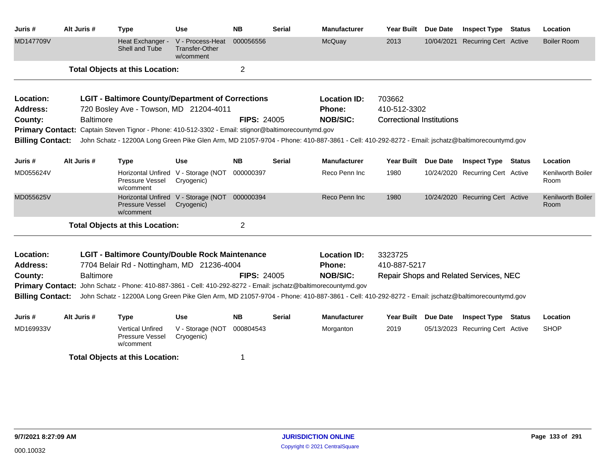| Juris #                 | Alt Juris #      | <b>Type</b>                                                                                         | <b>Use</b>                                                  | <b>NB</b>          | <b>Serial</b> | <b>Manufacturer</b>                                                                                                                            | Year Built Due Date              |            | <b>Inspect Type Status</b>             | Location                         |
|-------------------------|------------------|-----------------------------------------------------------------------------------------------------|-------------------------------------------------------------|--------------------|---------------|------------------------------------------------------------------------------------------------------------------------------------------------|----------------------------------|------------|----------------------------------------|----------------------------------|
| MD147709V               |                  | Heat Exchanger -<br>Shell and Tube                                                                  | V - Process-Heat<br><b>Transfer-Other</b><br>w/comment      | 000056556          |               | McQuay                                                                                                                                         | 2013                             | 10/04/2021 | <b>Recurring Cert Active</b>           | <b>Boiler Room</b>               |
|                         |                  | <b>Total Objects at this Location:</b>                                                              |                                                             | $\overline{2}$     |               |                                                                                                                                                |                                  |            |                                        |                                  |
| Location:               |                  | <b>LGIT - Baltimore County/Department of Corrections</b>                                            |                                                             |                    |               | <b>Location ID:</b>                                                                                                                            | 703662                           |            |                                        |                                  |
| <b>Address:</b>         |                  | 720 Bosley Ave - Towson, MD 21204-4011                                                              |                                                             |                    |               | Phone:                                                                                                                                         | 410-512-3302                     |            |                                        |                                  |
| County:                 | <b>Baltimore</b> |                                                                                                     |                                                             | <b>FIPS: 24005</b> |               | <b>NOB/SIC:</b>                                                                                                                                | <b>Correctional Institutions</b> |            |                                        |                                  |
|                         |                  | Primary Contact: Captain Steven Tignor - Phone: 410-512-3302 - Email: stignor@baltimorecountymd.gov |                                                             |                    |               |                                                                                                                                                |                                  |            |                                        |                                  |
| <b>Billing Contact:</b> |                  |                                                                                                     |                                                             |                    |               | John Schatz - 12200A Long Green Pike Glen Arm, MD 21057-9704 - Phone: 410-887-3861 - Cell: 410-292-8272 - Email: jschatz@baltimorecountymd.gov |                                  |            |                                        |                                  |
| Juris #                 | Alt Juris #      | <b>Type</b>                                                                                         | <b>Use</b>                                                  | <b>NB</b>          | <b>Serial</b> | <b>Manufacturer</b>                                                                                                                            | Year Built Due Date              |            | <b>Inspect Type Status</b>             | Location                         |
| MD055624V               |                  | Pressure Vessel<br>w/comment                                                                        | Horizontal Unfired V - Storage (NOT<br>Cryogenic)           | 000000397          |               | Reco Penn Inc                                                                                                                                  | 1980                             |            | 10/24/2020 Recurring Cert Active       | <b>Kenilworth Boiler</b><br>Room |
| MD055625V               |                  | <b>Pressure Vessel</b><br>w/comment                                                                 | Horizontal Unfired V - Storage (NOT 000000394<br>Cryogenic) |                    |               | Reco Penn Inc                                                                                                                                  | 1980                             |            | 10/24/2020 Recurring Cert Active       | <b>Kenilworth Boiler</b><br>Room |
|                         |                  | <b>Total Objects at this Location:</b>                                                              |                                                             | $\overline{c}$     |               |                                                                                                                                                |                                  |            |                                        |                                  |
| Location:               |                  | LGIT - Baltimore County/Double Rock Maintenance                                                     |                                                             |                    |               | <b>Location ID:</b>                                                                                                                            | 3323725                          |            |                                        |                                  |
| <b>Address:</b>         |                  | 7704 Belair Rd - Nottingham, MD 21236-4004                                                          |                                                             |                    |               | Phone:                                                                                                                                         | 410-887-5217                     |            |                                        |                                  |
| County:                 | <b>Baltimore</b> |                                                                                                     |                                                             | <b>FIPS: 24005</b> |               | <b>NOB/SIC:</b>                                                                                                                                |                                  |            | Repair Shops and Related Services, NEC |                                  |
| <b>Primary Contact:</b> |                  | John Schatz - Phone: 410-887-3861 - Cell: 410-292-8272 - Email: jschatz@baltimorecountymd.gov       |                                                             |                    |               |                                                                                                                                                |                                  |            |                                        |                                  |
| <b>Billing Contact:</b> |                  |                                                                                                     |                                                             |                    |               | John Schatz - 12200A Long Green Pike Glen Arm, MD 21057-9704 - Phone: 410-887-3861 - Cell: 410-292-8272 - Email: jschatz@baltimorecountymd.gov |                                  |            |                                        |                                  |
| Juris #                 | Alt Juris #      | Type                                                                                                | <b>Use</b>                                                  | <b>NB</b>          | <b>Serial</b> | <b>Manufacturer</b>                                                                                                                            | Year Built Due Date              |            | <b>Inspect Type Status</b>             | Location                         |
| MD169933V               |                  | <b>Vertical Unfired</b><br>Pressure Vessel<br>w/comment                                             | V - Storage (NOT<br>Cryogenic)                              | 000804543          |               | Morganton                                                                                                                                      | 2019                             |            | 05/13/2023 Recurring Cert Active       | <b>SHOP</b>                      |
|                         |                  | <b>Total Objects at this Location:</b>                                                              |                                                             | 1                  |               |                                                                                                                                                |                                  |            |                                        |                                  |
|                         |                  |                                                                                                     |                                                             |                    |               |                                                                                                                                                |                                  |            |                                        |                                  |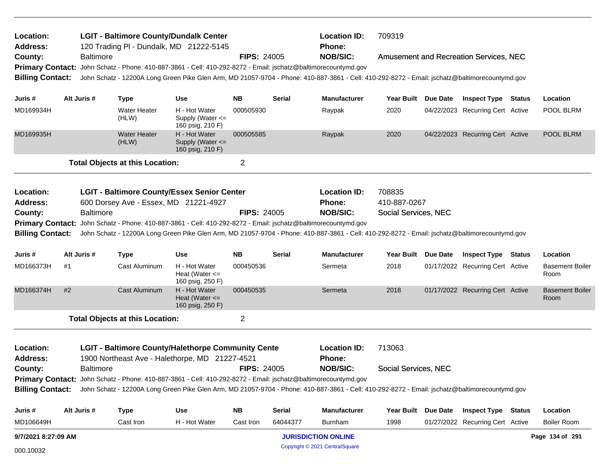| <b>LGIT - Baltimore County/Dundalk Center</b><br>Location:<br>120 Trading PI - Dundalk, MD 21222-5145<br>Address: |             |                  |                                        |                                                                                                                |                    |               | <b>Location ID:</b><br><b>Phone:</b>                                                                                                           | 709319                 |                                               |                                |
|-------------------------------------------------------------------------------------------------------------------|-------------|------------------|----------------------------------------|----------------------------------------------------------------------------------------------------------------|--------------------|---------------|------------------------------------------------------------------------------------------------------------------------------------------------|------------------------|-----------------------------------------------|--------------------------------|
| County:                                                                                                           |             | <b>Baltimore</b> |                                        |                                                                                                                | <b>FIPS: 24005</b> |               | <b>NOB/SIC:</b>                                                                                                                                |                        | <b>Amusement and Recreation Services, NEC</b> |                                |
| <b>Primary Contact:</b>                                                                                           |             |                  |                                        | John Schatz - Phone: 410-887-3861 - Cell: 410-292-8272 - Email: jschatz@baltimorecountymd.gov                  |                    |               |                                                                                                                                                |                        |                                               |                                |
| <b>Billing Contact:</b>                                                                                           |             |                  |                                        |                                                                                                                |                    |               | John Schatz - 12200A Long Green Pike Glen Arm, MD 21057-9704 - Phone: 410-887-3861 - Cell: 410-292-8272 - Email: jschatz@baltimorecountymd.gov |                        |                                               |                                |
| Juris #                                                                                                           | Alt Juris # |                  | <b>Type</b>                            | <b>Use</b>                                                                                                     | NΒ                 | Serial        | <b>Manufacturer</b>                                                                                                                            | Year Built Due Date    | <b>Inspect Type Status</b>                    | Location                       |
| MD169934H                                                                                                         |             |                  | <b>Water Heater</b><br>(HLW)           | H - Hot Water<br>Supply (Water $\leq$<br>160 psig, 210 F)                                                      | 000505930          |               | Raypak                                                                                                                                         | 2020                   | 04/22/2023 Recurring Cert Active              | POOL BLRM                      |
| MD169935H                                                                                                         |             |                  | <b>Water Heater</b><br>(HLW)           | H - Hot Water<br>Supply (Water <=<br>160 psig, 210 F)                                                          | 000505585          |               | Raypak                                                                                                                                         | 2020                   | 04/22/2023 Recurring Cert Active              | POOL BLRM                      |
|                                                                                                                   |             |                  | <b>Total Objects at this Location:</b> |                                                                                                                | $\overline{2}$     |               |                                                                                                                                                |                        |                                               |                                |
|                                                                                                                   |             |                  |                                        |                                                                                                                |                    |               |                                                                                                                                                |                        |                                               |                                |
| Location:<br><b>Address:</b>                                                                                      |             |                  | 600 Dorsey Ave - Essex, MD 21221-4927  | <b>LGIT - Baltimore County/Essex Senior Center</b>                                                             |                    |               | <b>Location ID:</b><br><b>Phone:</b>                                                                                                           | 708835<br>410-887-0267 |                                               |                                |
| County:                                                                                                           |             | <b>Baltimore</b> |                                        |                                                                                                                | <b>FIPS: 24005</b> |               | <b>NOB/SIC:</b>                                                                                                                                | Social Services, NEC   |                                               |                                |
| <b>Primary Contact:</b>                                                                                           |             |                  |                                        | John Schatz - Phone: 410-887-3861 - Cell: 410-292-8272 - Email: jschatz@baltimorecountymd.gov                  |                    |               |                                                                                                                                                |                        |                                               |                                |
| <b>Billing Contact:</b>                                                                                           |             |                  |                                        |                                                                                                                |                    |               | John Schatz - 12200A Long Green Pike Glen Arm, MD 21057-9704 - Phone: 410-887-3861 - Cell: 410-292-8272 - Email: jschatz@baltimorecountymd.gov |                        |                                               |                                |
| Juris #                                                                                                           | Alt Juris # |                  | <b>Type</b>                            | Use                                                                                                            | <b>NB</b>          | <b>Serial</b> | <b>Manufacturer</b>                                                                                                                            | Year Built Due Date    | <b>Inspect Type Status</b>                    | Location                       |
| MD166373H                                                                                                         | #1          |                  | Cast Aluminum                          | H - Hot Water<br>Heat (Water $\leq$<br>160 psig, 250 F)                                                        | 000450536          |               | Sermeta                                                                                                                                        | 2018                   | 01/17/2022 Recurring Cert Active              | <b>Basement Boiler</b><br>Room |
| MD166374H                                                                                                         | #2          |                  | <b>Cast Aluminum</b>                   | H - Hot Water<br>Heat (Water $\leq$<br>160 psig, 250 F)                                                        | 000450535          |               | Sermeta                                                                                                                                        | 2018                   | 01/17/2022 Recurring Cert Active              | <b>Basement Boiler</b><br>Room |
|                                                                                                                   |             |                  | <b>Total Objects at this Location:</b> |                                                                                                                | 2                  |               |                                                                                                                                                |                        |                                               |                                |
| Location:<br><b>Address:</b>                                                                                      |             |                  |                                        | <b>LGIT - Baltimore County/Halethorpe Community Cente</b><br>1900 Northeast Ave - Halethorpe, MD 21227-4521    |                    |               | <b>Location ID:</b><br><b>Phone:</b>                                                                                                           | 713063                 |                                               |                                |
| County:                                                                                                           |             | <b>Baltimore</b> |                                        |                                                                                                                | <b>FIPS: 24005</b> |               | <b>NOB/SIC:</b>                                                                                                                                | Social Services, NEC   |                                               |                                |
|                                                                                                                   |             |                  |                                        | Primary Contact: John Schatz - Phone: 410-887-3861 - Cell: 410-292-8272 - Email: jschatz@baltimorecountymd.gov |                    |               |                                                                                                                                                |                        |                                               |                                |
| <b>Billing Contact:</b>                                                                                           |             |                  |                                        |                                                                                                                |                    |               | John Schatz - 12200A Long Green Pike Glen Arm, MD 21057-9704 - Phone: 410-887-3861 - Cell: 410-292-8272 - Email: jschatz@baltimorecountymd.gov |                        |                                               |                                |
| Juris #                                                                                                           | Alt Juris # |                  | <b>Type</b>                            | Use                                                                                                            | <b>NB</b>          | Serial        | Manufacturer                                                                                                                                   | Year Built Due Date    | <b>Inspect Type Status</b>                    | Location                       |
| MD106649H                                                                                                         |             |                  | Cast Iron                              | H - Hot Water                                                                                                  | Cast Iron          | 64044377      | Burnham                                                                                                                                        | 1998                   | 01/27/2022 Recurring Cert Active              | <b>Boiler Room</b>             |
| 9/7/2021 8:27:09 AM                                                                                               |             |                  |                                        |                                                                                                                |                    |               | <b>JURISDICTION ONLINE</b>                                                                                                                     |                        |                                               | Page 134 of 291                |
| 000.10032                                                                                                         |             |                  |                                        |                                                                                                                |                    |               | Copyright © 2021 CentralSquare                                                                                                                 |                        |                                               |                                |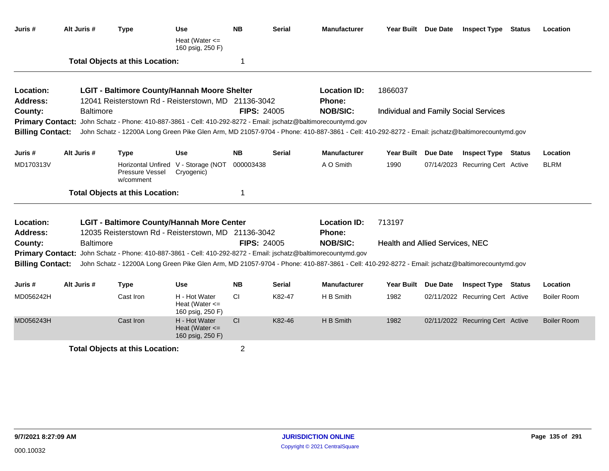| Juris #                 | Alt Juris #      | <b>Type</b>                                                                                                    | Use                                                     | <b>NB</b>          | <b>Serial</b> | <b>Manufacturer</b>                                                                                                                            |                                 | Year Built Due Date | <b>Inspect Type</b>                          | Status | Location           |
|-------------------------|------------------|----------------------------------------------------------------------------------------------------------------|---------------------------------------------------------|--------------------|---------------|------------------------------------------------------------------------------------------------------------------------------------------------|---------------------------------|---------------------|----------------------------------------------|--------|--------------------|
|                         |                  |                                                                                                                | Heat (Water $<=$<br>160 psig, 250 F)                    |                    |               |                                                                                                                                                |                                 |                     |                                              |        |                    |
|                         |                  | <b>Total Objects at this Location:</b>                                                                         |                                                         | -1                 |               |                                                                                                                                                |                                 |                     |                                              |        |                    |
| Location:               |                  | <b>LGIT - Baltimore County/Hannah Moore Shelter</b>                                                            |                                                         |                    |               | <b>Location ID:</b>                                                                                                                            | 1866037                         |                     |                                              |        |                    |
| <b>Address:</b>         |                  | 12041 Reisterstown Rd - Reisterstown, MD 21136-3042                                                            |                                                         |                    |               | Phone:                                                                                                                                         |                                 |                     |                                              |        |                    |
| County:                 | <b>Baltimore</b> |                                                                                                                |                                                         | <b>FIPS: 24005</b> |               | <b>NOB/SIC:</b>                                                                                                                                |                                 |                     | <b>Individual and Family Social Services</b> |        |                    |
| <b>Primary Contact:</b> |                  | John Schatz - Phone: 410-887-3861 - Cell: 410-292-8272 - Email: jschatz@baltimorecountymd.gov                  |                                                         |                    |               |                                                                                                                                                |                                 |                     |                                              |        |                    |
| <b>Billing Contact:</b> |                  |                                                                                                                |                                                         |                    |               | John Schatz - 12200A Long Green Pike Glen Arm, MD 21057-9704 - Phone: 410-887-3861 - Cell: 410-292-8272 - Email: jschatz@baltimorecountymd.gov |                                 |                     |                                              |        |                    |
| Juris #                 | Alt Juris #      | <b>Type</b>                                                                                                    | Use                                                     | <b>NB</b>          | Serial        | <b>Manufacturer</b>                                                                                                                            | Year Built Due Date             |                     | <b>Inspect Type Status</b>                   |        | Location           |
| MD170313V               |                  | Pressure Vessel<br>w/comment                                                                                   | Horizontal Unfired V - Storage (NOT<br>Cryogenic)       | 000003438          |               | A O Smith                                                                                                                                      | 1990                            |                     | 07/14/2023 Recurring Cert Active             |        | <b>BLRM</b>        |
|                         |                  | <b>Total Objects at this Location:</b>                                                                         |                                                         | -1                 |               |                                                                                                                                                |                                 |                     |                                              |        |                    |
| Location:               |                  | LGIT - Baltimore County/Hannah More Center                                                                     |                                                         |                    |               | <b>Location ID:</b>                                                                                                                            | 713197                          |                     |                                              |        |                    |
| <b>Address:</b>         |                  | 12035 Reisterstown Rd - Reisterstown, MD 21136-3042                                                            |                                                         |                    |               | <b>Phone:</b>                                                                                                                                  |                                 |                     |                                              |        |                    |
| County:                 | Baltimore        |                                                                                                                |                                                         | <b>FIPS: 24005</b> |               | <b>NOB/SIC:</b>                                                                                                                                | Health and Allied Services, NEC |                     |                                              |        |                    |
|                         |                  | Primary Contact: John Schatz - Phone: 410-887-3861 - Cell: 410-292-8272 - Email: jschatz@baltimorecountymd.gov |                                                         |                    |               |                                                                                                                                                |                                 |                     |                                              |        |                    |
| <b>Billing Contact:</b> |                  |                                                                                                                |                                                         |                    |               | John Schatz - 12200A Long Green Pike Glen Arm, MD 21057-9704 - Phone: 410-887-3861 - Cell: 410-292-8272 - Email: jschatz@baltimorecountymd.gov |                                 |                     |                                              |        |                    |
| Juris #                 | Alt Juris #      | <b>Type</b>                                                                                                    | Use                                                     | <b>NB</b>          | Serial        | <b>Manufacturer</b>                                                                                                                            | Year Built Due Date             |                     | <b>Inspect Type</b>                          | Status | Location           |
| MD056242H               |                  | Cast Iron                                                                                                      | H - Hot Water<br>Heat (Water $\leq$<br>160 psig, 250 F) | <b>CI</b>          | K82-47        | H B Smith                                                                                                                                      | 1982                            |                     | 02/11/2022 Recurring Cert Active             |        | <b>Boiler Room</b> |
| MD056243H               |                  | Cast Iron                                                                                                      | H - Hot Water<br>Heat (Water $\leq$<br>160 psig, 250 F) | CI                 | K82-46        | H B Smith                                                                                                                                      | 1982                            |                     | 02/11/2022 Recurring Cert Active             |        | <b>Boiler Room</b> |
|                         |                  | <b>Total Objects at this Location:</b>                                                                         |                                                         | $\overline{2}$     |               |                                                                                                                                                |                                 |                     |                                              |        |                    |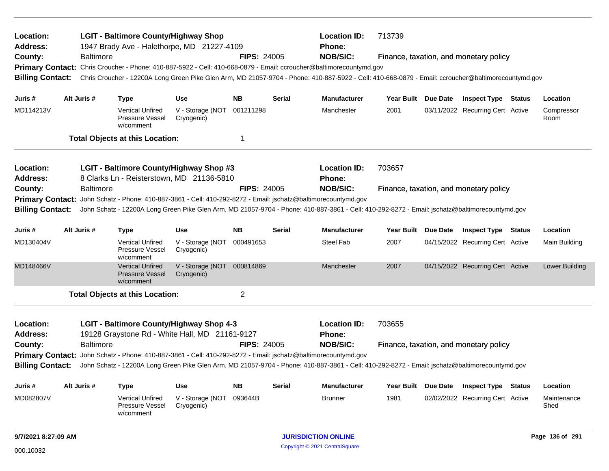| Location:<br><b>Address:</b> |                                                                 | <b>LGIT - Baltimore County/Highway Shop</b><br>1947 Brady Ave - Halethorpe, MD 21227-4109                                                           |                                |                    |               | <b>Location ID:</b><br>Phone: | 713739            |                     |                                        |               |                     |
|------------------------------|-----------------------------------------------------------------|-----------------------------------------------------------------------------------------------------------------------------------------------------|--------------------------------|--------------------|---------------|-------------------------------|-------------------|---------------------|----------------------------------------|---------------|---------------------|
| County:                      | <b>Baltimore</b>                                                |                                                                                                                                                     |                                | <b>FIPS: 24005</b> |               | <b>NOB/SIC:</b>               |                   |                     | Finance, taxation, and monetary policy |               |                     |
| <b>Primary Contact:</b>      |                                                                 | Chris Croucher - Phone: 410-887-5922 - Cell: 410-668-0879 - Email: ccroucher@baltimorecountymd.gov                                                  |                                |                    |               |                               |                   |                     |                                        |               |                     |
| <b>Billing Contact:</b>      |                                                                 | Chris Croucher - 12200A Long Green Pike Glen Arm, MD 21057-9704 - Phone: 410-887-5922 - Cell: 410-668-0879 - Email: ccroucher@baltimorecountymd.gov |                                |                    |               |                               |                   |                     |                                        |               |                     |
| Juris #                      | Alt Juris #                                                     | <b>Type</b>                                                                                                                                         | <b>Use</b>                     | <b>NB</b>          | Serial        | <b>Manufacturer</b>           |                   | Year Built Due Date | <b>Inspect Type Status</b>             |               | Location            |
| MD114213V                    |                                                                 | <b>Vertical Unfired</b><br>Pressure Vessel<br>w/comment                                                                                             | V - Storage (NOT<br>Cryogenic) | 001211298          |               | Manchester                    | 2001              |                     | 03/11/2022 Recurring Cert Active       |               | Compressor<br>Room  |
|                              |                                                                 | <b>Total Objects at this Location:</b>                                                                                                              |                                | 1                  |               |                               |                   |                     |                                        |               |                     |
| Location:                    |                                                                 | LGIT - Baltimore County/Highway Shop #3                                                                                                             |                                |                    |               | <b>Location ID:</b>           | 703657            |                     |                                        |               |                     |
| <b>Address:</b>              |                                                                 | 8 Clarks Ln - Reisterstown, MD 21136-5810                                                                                                           |                                |                    |               | Phone:                        |                   |                     |                                        |               |                     |
| County:                      | <b>Baltimore</b>                                                |                                                                                                                                                     |                                | <b>FIPS: 24005</b> |               | <b>NOB/SIC:</b>               |                   |                     | Finance, taxation, and monetary policy |               |                     |
| <b>Primary Contact:</b>      |                                                                 | John Schatz - Phone: 410-887-3861 - Cell: 410-292-8272 - Email: jschatz@baltimorecountymd.gov                                                       |                                |                    |               |                               |                   |                     |                                        |               |                     |
| <b>Billing Contact:</b>      |                                                                 | John Schatz - 12200A Long Green Pike Glen Arm, MD 21057-9704 - Phone: 410-887-3861 - Cell: 410-292-8272 - Email: jschatz@baltimorecountymd.gov      |                                |                    |               |                               |                   |                     |                                        |               |                     |
| Juris #                      | Alt Juris #<br><b>Use</b><br><b>NB</b><br>Serial<br><b>Type</b> |                                                                                                                                                     |                                |                    |               | <b>Manufacturer</b>           |                   | Year Built Due Date | <b>Inspect Type Status</b>             |               | Location            |
| MD130404V                    |                                                                 | <b>Vertical Unfired</b><br>Pressure Vessel<br>w/comment                                                                                             | V - Storage (NOT<br>Cryogenic) | 000491653          |               | <b>Steel Fab</b>              | 2007              |                     | 04/15/2022 Recurring Cert Active       |               | Main Building       |
| MD148466V                    |                                                                 | <b>Vertical Unfired</b><br><b>Pressure Vessel</b><br>w/comment                                                                                      | V - Storage (NOT<br>Cryogenic) | 000814869          |               | Manchester                    | 2007              |                     | 04/15/2022 Recurring Cert Active       |               | Lower Building      |
|                              |                                                                 | <b>Total Objects at this Location:</b>                                                                                                              |                                | $\overline{2}$     |               |                               |                   |                     |                                        |               |                     |
| Location:                    |                                                                 | <b>LGIT - Baltimore County/Highway Shop 4-3</b>                                                                                                     |                                |                    |               | <b>Location ID:</b>           | 703655            |                     |                                        |               |                     |
| <b>Address:</b>              |                                                                 | 19128 Graystone Rd - White Hall, MD 21161-9127                                                                                                      |                                |                    |               | Phone:                        |                   |                     |                                        |               |                     |
| County:                      | <b>Baltimore</b>                                                |                                                                                                                                                     |                                | <b>FIPS: 24005</b> |               | <b>NOB/SIC:</b>               |                   |                     | Finance, taxation, and monetary policy |               |                     |
|                              |                                                                 | Primary Contact: John Schatz - Phone: 410-887-3861 - Cell: 410-292-8272 - Email: jschatz@baltimorecountymd.gov                                      |                                |                    |               |                               |                   |                     |                                        |               |                     |
| <b>Billing Contact:</b>      |                                                                 | John Schatz - 12200A Long Green Pike Glen Arm, MD 21057-9704 - Phone: 410-887-3861 - Cell: 410-292-8272 - Email: jschatz@baltimorecountymd.gov      |                                |                    |               |                               |                   |                     |                                        |               |                     |
| Juris #                      | Alt Juris #                                                     | Type                                                                                                                                                | <b>Use</b>                     | <b>NB</b>          | <b>Serial</b> | <b>Manufacturer</b>           | <b>Year Built</b> | Due Date            | <b>Inspect Type</b>                    | <b>Status</b> | Location            |
| MD082807V                    |                                                                 | <b>Vertical Unfired</b><br>Pressure Vessel<br>w/comment                                                                                             | V - Storage (NOT<br>Cryogenic) | 093644B            |               | <b>Brunner</b>                | 1981              |                     | 02/02/2022 Recurring Cert Active       |               | Maintenance<br>Shed |
| 9/7/2021 8:27:09 AM          |                                                                 |                                                                                                                                                     |                                |                    |               | <b>JURISDICTION ONLINE</b>    |                   |                     |                                        |               | Page 136 of 291     |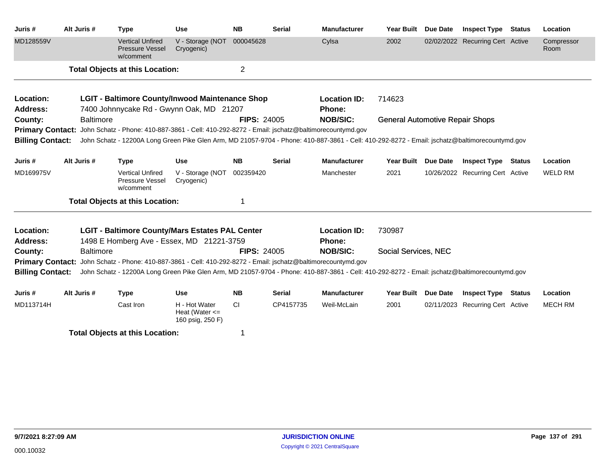| Juris #                      | Alt Juris #      | <b>Type</b>                                                                                                                                                     | <b>Use</b>                                              | <b>NB</b>          | <b>Serial</b> | <b>Manufacturer</b>                  | <b>Year Built</b>                      | <b>Due Date</b> | <b>Inspect Type</b>              | <b>Status</b> | Location           |
|------------------------------|------------------|-----------------------------------------------------------------------------------------------------------------------------------------------------------------|---------------------------------------------------------|--------------------|---------------|--------------------------------------|----------------------------------------|-----------------|----------------------------------|---------------|--------------------|
| MD128559V                    |                  | <b>Vertical Unfired</b><br><b>Pressure Vessel</b><br>w/comment                                                                                                  | V - Storage (NOT<br>Cryogenic)                          | 000045628          |               | Cylsa                                | 2002                                   |                 | 02/02/2022 Recurring Cert Active |               | Compressor<br>Room |
|                              |                  | <b>Total Objects at this Location:</b>                                                                                                                          |                                                         | $\overline{2}$     |               |                                      |                                        |                 |                                  |               |                    |
| Location:                    |                  | LGIT - Baltimore County/Inwood Maintenance Shop                                                                                                                 |                                                         |                    |               | <b>Location ID:</b>                  | 714623                                 |                 |                                  |               |                    |
| Address:                     |                  | 7400 Johnnycake Rd - Gwynn Oak, MD 21207                                                                                                                        |                                                         |                    |               | <b>Phone:</b>                        |                                        |                 |                                  |               |                    |
| County:                      | <b>Baltimore</b> |                                                                                                                                                                 |                                                         | <b>FIPS: 24005</b> |               | <b>NOB/SIC:</b>                      | <b>General Automotive Repair Shops</b> |                 |                                  |               |                    |
|                              |                  | Primary Contact: John Schatz - Phone: 410-887-3861 - Cell: 410-292-8272 - Email: jschatz@baltimorecountymd.gov                                                  |                                                         |                    |               |                                      |                                        |                 |                                  |               |                    |
|                              |                  | Billing Contact: John Schatz - 12200A Long Green Pike Glen Arm, MD 21057-9704 - Phone: 410-887-3861 - Cell: 410-292-8272 - Email: jschatz@baltimorecountymd.gov |                                                         |                    |               |                                      |                                        |                 |                                  |               |                    |
| Juris #                      | Alt Juris #      | <b>Type</b>                                                                                                                                                     | <b>Use</b>                                              | <b>NB</b>          | <b>Serial</b> | <b>Manufacturer</b>                  | <b>Year Built</b>                      | <b>Due Date</b> | <b>Inspect Type</b>              | Status        | Location           |
| MD169975V                    |                  | <b>Vertical Unfired</b><br>Pressure Vessel<br>w/comment                                                                                                         | V - Storage (NOT<br>Cryogenic)                          | 002359420          |               | Manchester                           | 2021                                   |                 | 10/26/2022 Recurring Cert Active |               | WELD RM            |
|                              |                  | <b>Total Objects at this Location:</b>                                                                                                                          |                                                         |                    |               |                                      |                                        |                 |                                  |               |                    |
| Location:<br><b>Address:</b> |                  | <b>LGIT - Baltimore County/Mars Estates PAL Center</b><br>1498 E Homberg Ave - Essex, MD 21221-3759                                                             |                                                         |                    |               | <b>Location ID:</b><br><b>Phone:</b> | 730987                                 |                 |                                  |               |                    |
| County:                      | <b>Baltimore</b> |                                                                                                                                                                 |                                                         | <b>FIPS: 24005</b> |               | <b>NOB/SIC:</b>                      | Social Services, NEC                   |                 |                                  |               |                    |
|                              |                  | Primary Contact: John Schatz - Phone: 410-887-3861 - Cell: 410-292-8272 - Email: jschatz@baltimorecountymd.gov                                                  |                                                         |                    |               |                                      |                                        |                 |                                  |               |                    |
| <b>Billing Contact:</b>      |                  | John Schatz - 12200A Long Green Pike Glen Arm, MD 21057-9704 - Phone: 410-887-3861 - Cell: 410-292-8272 - Email: jschatz@baltimorecountymd.gov                  |                                                         |                    |               |                                      |                                        |                 |                                  |               |                    |
| Juris #                      | Alt Juris #      | <b>Type</b>                                                                                                                                                     | <b>Use</b>                                              | <b>NB</b>          | <b>Serial</b> | <b>Manufacturer</b>                  | <b>Year Built</b>                      | Due Date        | <b>Inspect Type</b>              | <b>Status</b> | Location           |
| MD113714H                    |                  | Cast Iron                                                                                                                                                       | H - Hot Water<br>Heat (Water $\leq$<br>160 psig, 250 F) | <b>CI</b>          | CP4157735     | Weil-McLain                          | 2001                                   |                 | 02/11/2023 Recurring Cert Active |               | <b>MECH RM</b>     |
|                              |                  | <b>Total Objects at this Location:</b>                                                                                                                          |                                                         |                    |               |                                      |                                        |                 |                                  |               |                    |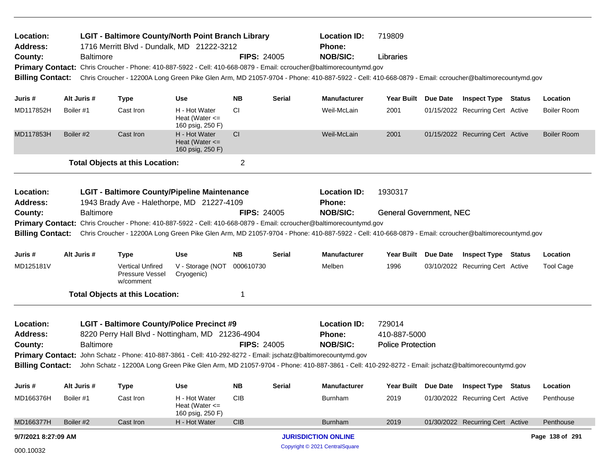| Location:<br><b>Address:</b> |           |                  | <b>LGIT - Baltimore County/North Point Branch Library</b><br>1716 Merritt Blvd - Dundalk, MD 21222-3212        |                                                         |                    |               | <b>Location ID:</b><br><b>Phone:</b>                                                                                                                | 719809                         |          |                                  |                    |
|------------------------------|-----------|------------------|----------------------------------------------------------------------------------------------------------------|---------------------------------------------------------|--------------------|---------------|-----------------------------------------------------------------------------------------------------------------------------------------------------|--------------------------------|----------|----------------------------------|--------------------|
| County:                      |           | <b>Baltimore</b> |                                                                                                                |                                                         | <b>FIPS: 24005</b> |               | <b>NOB/SIC:</b>                                                                                                                                     | Libraries                      |          |                                  |                    |
|                              |           |                  |                                                                                                                |                                                         |                    |               | Primary Contact: Chris Croucher - Phone: 410-887-5922 - Cell: 410-668-0879 - Email: ccroucher@baltimorecountymd.gov                                 |                                |          |                                  |                    |
| <b>Billing Contact:</b>      |           |                  |                                                                                                                |                                                         |                    |               | Chris Croucher - 12200A Long Green Pike Glen Arm, MD 21057-9704 - Phone: 410-887-5922 - Cell: 410-668-0879 - Email: ccroucher@baltimorecountymd.gov |                                |          |                                  |                    |
| Juris #                      |           | Alt Juris #      | <b>Type</b>                                                                                                    | Use                                                     | <b>NB</b>          | Serial        | <b>Manufacturer</b>                                                                                                                                 | <b>Year Built</b>              | Due Date | <b>Inspect Type Status</b>       | Location           |
| MD117852H                    | Boiler #1 |                  | Cast Iron                                                                                                      | H - Hot Water<br>Heat (Water $\leq$<br>160 psig, 250 F) | <b>CI</b>          |               | Weil-McLain                                                                                                                                         | 2001                           |          | 01/15/2022 Recurring Cert Active | <b>Boiler Room</b> |
| MD117853H                    | Boiler #2 |                  | Cast Iron                                                                                                      | H - Hot Water<br>Heat (Water $\leq$<br>160 psig, 250 F) | <b>CI</b>          |               | Weil-McLain                                                                                                                                         | 2001                           |          | 01/15/2022 Recurring Cert Active | <b>Boiler Room</b> |
|                              |           |                  | <b>Total Objects at this Location:</b>                                                                         |                                                         | 2                  |               |                                                                                                                                                     |                                |          |                                  |                    |
| Location:                    |           |                  | <b>LGIT - Baltimore County/Pipeline Maintenance</b>                                                            |                                                         |                    |               | <b>Location ID:</b>                                                                                                                                 | 1930317                        |          |                                  |                    |
| <b>Address:</b>              |           |                  | 1943 Brady Ave - Halethorpe, MD 21227-4109                                                                     |                                                         |                    |               | <b>Phone:</b>                                                                                                                                       |                                |          |                                  |                    |
| County:                      |           | <b>Baltimore</b> |                                                                                                                |                                                         | <b>FIPS: 24005</b> |               | <b>NOB/SIC:</b>                                                                                                                                     | <b>General Government, NEC</b> |          |                                  |                    |
|                              |           |                  |                                                                                                                |                                                         |                    |               | Primary Contact: Chris Croucher - Phone: 410-887-5922 - Cell: 410-668-0879 - Email: ccroucher@baltimorecountymd.gov                                 |                                |          |                                  |                    |
| <b>Billing Contact:</b>      |           |                  |                                                                                                                |                                                         |                    |               | Chris Croucher - 12200A Long Green Pike Glen Arm, MD 21057-9704 - Phone: 410-887-5922 - Cell: 410-668-0879 - Email: ccroucher@baltimorecountymd.gov |                                |          |                                  |                    |
| Juris #                      |           | Alt Juris #      | <b>Type</b>                                                                                                    | Use                                                     | <b>NB</b>          | Serial        | <b>Manufacturer</b>                                                                                                                                 | <b>Year Built</b>              | Due Date | <b>Inspect Type Status</b>       | Location           |
| MD125181V                    |           |                  | <b>Vertical Unfired</b><br>Pressure Vessel<br>w/comment                                                        | V - Storage (NOT 000610730<br>Cryogenic)                |                    |               | Melben                                                                                                                                              | 1996                           |          | 03/10/2022 Recurring Cert Active | <b>Tool Cage</b>   |
|                              |           |                  | <b>Total Objects at this Location:</b>                                                                         |                                                         | 1                  |               |                                                                                                                                                     |                                |          |                                  |                    |
| Location:                    |           |                  | <b>LGIT - Baltimore County/Police Precinct #9</b>                                                              |                                                         |                    |               | <b>Location ID:</b>                                                                                                                                 | 729014                         |          |                                  |                    |
| <b>Address:</b>              |           |                  | 8220 Perry Hall Blvd - Nottingham, MD 21236-4904                                                               |                                                         |                    |               | <b>Phone:</b>                                                                                                                                       | 410-887-5000                   |          |                                  |                    |
| County:                      |           | <b>Baltimore</b> |                                                                                                                |                                                         | <b>FIPS: 24005</b> |               | <b>NOB/SIC:</b>                                                                                                                                     | <b>Police Protection</b>       |          |                                  |                    |
|                              |           |                  | Primary Contact: John Schatz - Phone: 410-887-3861 - Cell: 410-292-8272 - Email: jschatz@baltimorecountymd.gov |                                                         |                    |               |                                                                                                                                                     |                                |          |                                  |                    |
| <b>Billing Contact:</b>      |           |                  |                                                                                                                |                                                         |                    |               | John Schatz - 12200A Long Green Pike Glen Arm, MD 21057-9704 - Phone: 410-887-3861 - Cell: 410-292-8272 - Email: jschatz@baltimorecountymd.gov      |                                |          |                                  |                    |
| Juris #                      |           | Alt Juris #      | <b>Type</b>                                                                                                    | Use                                                     | <b>NB</b>          | <b>Serial</b> | <b>Manufacturer</b>                                                                                                                                 | Year Built                     | Due Date | <b>Inspect Type Status</b>       | Location           |
| MD166376H                    | Boiler #1 |                  | Cast Iron                                                                                                      | H - Hot Water<br>Heat (Water $\leq$<br>160 psig, 250 F) | <b>CIB</b>         |               | <b>Burnham</b>                                                                                                                                      | 2019                           |          | 01/30/2022 Recurring Cert Active | Penthouse          |
| MD166377H                    | Boiler #2 |                  | Cast Iron                                                                                                      | H - Hot Water                                           | <b>CIB</b>         |               | <b>Burnham</b>                                                                                                                                      | 2019                           |          | 01/30/2022 Recurring Cert Active | Penthouse          |
| 9/7/2021 8:27:09 AM          |           |                  |                                                                                                                |                                                         |                    |               | <b>JURISDICTION ONLINE</b>                                                                                                                          |                                |          |                                  | Page 138 of 291    |
| 000.10032                    |           |                  |                                                                                                                |                                                         |                    |               | Copyright © 2021 CentralSquare                                                                                                                      |                                |          |                                  |                    |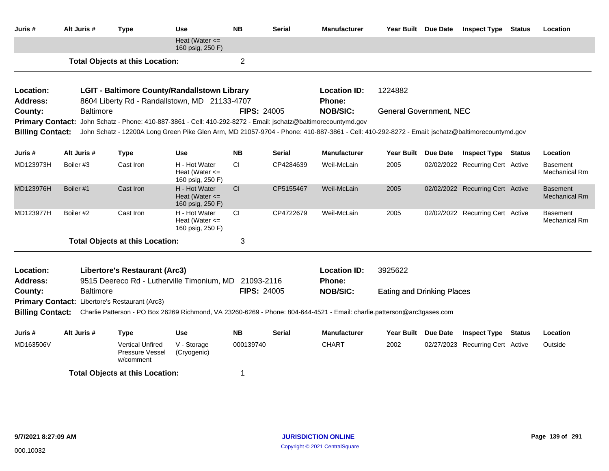| Juris #                      | Alt Juris #                                                                                                                                                                                                                                                                                                                                                                                                                                                                                                                                                 | <b>Type</b>                                                                                                                              | Use                                    | <b>NB</b>          | <b>Serial</b> | <b>Manufacturer</b>           |                                   | Year Built Due Date | <b>Inspect Type Status</b>       | Location                                |
|------------------------------|-------------------------------------------------------------------------------------------------------------------------------------------------------------------------------------------------------------------------------------------------------------------------------------------------------------------------------------------------------------------------------------------------------------------------------------------------------------------------------------------------------------------------------------------------------------|------------------------------------------------------------------------------------------------------------------------------------------|----------------------------------------|--------------------|---------------|-------------------------------|-----------------------------------|---------------------|----------------------------------|-----------------------------------------|
|                              |                                                                                                                                                                                                                                                                                                                                                                                                                                                                                                                                                             |                                                                                                                                          | Heat (Water $\leq$<br>160 psig, 250 F) |                    |               |                               |                                   |                     |                                  |                                         |
|                              |                                                                                                                                                                                                                                                                                                                                                                                                                                                                                                                                                             | <b>Total Objects at this Location:</b>                                                                                                   |                                        | $\overline{2}$     |               |                               |                                   |                     |                                  |                                         |
| Location:<br><b>Address:</b> |                                                                                                                                                                                                                                                                                                                                                                                                                                                                                                                                                             | <b>LGIT - Baltimore County/Randallstown Library</b><br>8604 Liberty Rd - Randallstown, MD 21133-4707                                     |                                        |                    |               | <b>Location ID:</b><br>Phone: | 1224882                           |                     |                                  |                                         |
| County:                      | <b>Baltimore</b>                                                                                                                                                                                                                                                                                                                                                                                                                                                                                                                                            |                                                                                                                                          |                                        | <b>FIPS: 24005</b> |               | <b>NOB/SIC:</b>               | <b>General Government, NEC</b>    |                     |                                  |                                         |
|                              |                                                                                                                                                                                                                                                                                                                                                                                                                                                                                                                                                             |                                                                                                                                          |                                        |                    |               |                               |                                   |                     |                                  |                                         |
|                              |                                                                                                                                                                                                                                                                                                                                                                                                                                                                                                                                                             |                                                                                                                                          |                                        |                    |               |                               |                                   |                     |                                  |                                         |
|                              | Primary Contact: John Schatz - Phone: 410-887-3861 - Cell: 410-292-8272 - Email: jschatz@baltimorecountymd.gov<br><b>Billing Contact:</b><br>John Schatz - 12200A Long Green Pike Glen Arm, MD 21057-9704 - Phone: 410-887-3861 - Cell: 410-292-8272 - Email: jschatz@baltimorecountymd.gov<br><b>NB</b><br>Alt Juris #<br><b>Type</b><br>Use<br><b>CI</b><br>Boiler #3<br>Cast Iron<br>H - Hot Water<br>Heat (Water $\leq$<br>160 psig, 250 F)<br>Boiler #1<br>H - Hot Water<br>CI<br>Cast Iron<br>Heat (Water $\leq$<br>160 psig, 250 F)<br>H - Hot Water |                                                                                                                                          |                                        |                    |               |                               |                                   |                     |                                  |                                         |
| Juris #                      |                                                                                                                                                                                                                                                                                                                                                                                                                                                                                                                                                             |                                                                                                                                          |                                        |                    | Serial        | <b>Manufacturer</b>           | Year Built Due Date               |                     | <b>Inspect Type Status</b>       | Location                                |
| MD123973H                    |                                                                                                                                                                                                                                                                                                                                                                                                                                                                                                                                                             |                                                                                                                                          |                                        |                    | CP4284639     | Weil-McLain                   | 2005                              |                     | 02/02/2022 Recurring Cert Active | <b>Basement</b><br>Mechanical Rm        |
| MD123976H                    |                                                                                                                                                                                                                                                                                                                                                                                                                                                                                                                                                             |                                                                                                                                          |                                        |                    | CP5155467     | Weil-McLain                   | 2005                              |                     | 02/02/2022 Recurring Cert Active | <b>Basement</b><br><b>Mechanical Rm</b> |
| MD123977H                    | Boiler #2                                                                                                                                                                                                                                                                                                                                                                                                                                                                                                                                                   | Cast Iron                                                                                                                                | Heat (Water $\leq$<br>160 psig, 250 F) | <b>CI</b>          | CP4722679     | Weil-McLain                   | 2005                              |                     | 02/02/2022 Recurring Cert Active | <b>Basement</b><br><b>Mechanical Rm</b> |
|                              |                                                                                                                                                                                                                                                                                                                                                                                                                                                                                                                                                             | <b>Total Objects at this Location:</b>                                                                                                   |                                        | 3                  |               |                               |                                   |                     |                                  |                                         |
| Location:                    |                                                                                                                                                                                                                                                                                                                                                                                                                                                                                                                                                             | <b>Libertore's Restaurant (Arc3)</b>                                                                                                     |                                        |                    |               | <b>Location ID:</b>           | 3925622                           |                     |                                  |                                         |
| <b>Address:</b>              |                                                                                                                                                                                                                                                                                                                                                                                                                                                                                                                                                             | 9515 Deereco Rd - Lutherville Timonium, MD 21093-2116                                                                                    |                                        |                    |               | Phone:                        |                                   |                     |                                  |                                         |
| County:                      | <b>Baltimore</b>                                                                                                                                                                                                                                                                                                                                                                                                                                                                                                                                            |                                                                                                                                          |                                        | <b>FIPS: 24005</b> |               | <b>NOB/SIC:</b>               | <b>Eating and Drinking Places</b> |                     |                                  |                                         |
|                              |                                                                                                                                                                                                                                                                                                                                                                                                                                                                                                                                                             | Primary Contact: Libertore's Restaurant (Arc3)                                                                                           |                                        |                    |               |                               |                                   |                     |                                  |                                         |
|                              |                                                                                                                                                                                                                                                                                                                                                                                                                                                                                                                                                             | Billing Contact: Charlie Patterson - PO Box 26269 Richmond, VA 23260-6269 - Phone: 804-644-4521 - Email: charlie.patterson@arc3gases.com |                                        |                    |               |                               |                                   |                     |                                  |                                         |
| Juris #                      | Alt Juris #                                                                                                                                                                                                                                                                                                                                                                                                                                                                                                                                                 | <b>Type</b>                                                                                                                              | <b>Use</b>                             | <b>NB</b>          | <b>Serial</b> | <b>Manufacturer</b>           | Year Built Due Date               |                     | <b>Inspect Type Status</b>       | Location                                |
| MD163506V                    |                                                                                                                                                                                                                                                                                                                                                                                                                                                                                                                                                             | <b>Vertical Unfired</b><br>Pressure Vessel<br>w/comment                                                                                  | V - Storage<br>(Cryogenic)             | 000139740          |               | <b>CHART</b>                  | 2002                              |                     | 02/27/2023 Recurring Cert Active | Outside                                 |
|                              |                                                                                                                                                                                                                                                                                                                                                                                                                                                                                                                                                             | <b>Total Objects at this Location:</b>                                                                                                   |                                        | 1                  |               |                               |                                   |                     |                                  |                                         |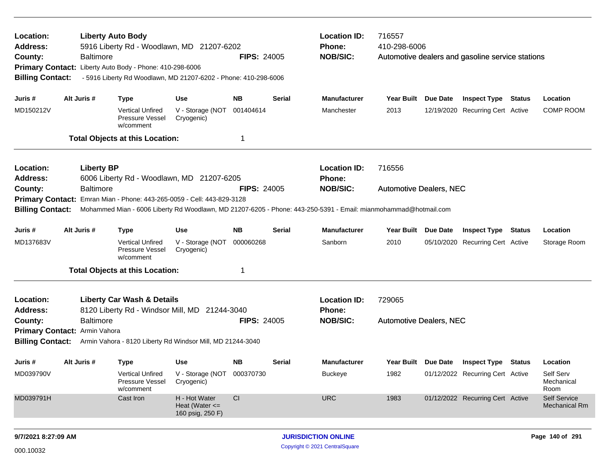| Location:<br>Address:<br>County:<br><b>Billing Contact:</b> |  | <b>Baltimore</b>  | <b>Liberty Auto Body</b><br>5916 Liberty Rd - Woodlawn, MD 21207-6202<br>Primary Contact: Liberty Auto Body - Phone: 410-298-6006<br>- 5916 Liberty Rd Woodlawn, MD 21207-6202 - Phone: 410-298-6006 |                                                         | <b>FIPS: 24005</b>                                                                                               |                            | <b>Location ID:</b><br>Phone:<br><b>NOB/SIC:</b>                                                                | 716557<br>410-298-6006         |  | Automotive dealers and gasoline service stations |                 |                                 |
|-------------------------------------------------------------|--|-------------------|------------------------------------------------------------------------------------------------------------------------------------------------------------------------------------------------------|---------------------------------------------------------|------------------------------------------------------------------------------------------------------------------|----------------------------|-----------------------------------------------------------------------------------------------------------------|--------------------------------|--|--------------------------------------------------|-----------------|---------------------------------|
| Juris #                                                     |  | Alt Juris #       | <b>Type</b>                                                                                                                                                                                          | Use                                                     | <b>NB</b>                                                                                                        | Serial                     | <b>Manufacturer</b>                                                                                             | Year Built Due Date            |  | <b>Inspect Type Status</b>                       |                 | Location                        |
| MD150212V                                                   |  |                   | <b>Vertical Unfired</b><br>Pressure Vessel<br>w/comment                                                                                                                                              | V - Storage (NOT<br>Cryogenic)                          | 001404614                                                                                                        |                            | Manchester                                                                                                      | 2013                           |  | 12/19/2020 Recurring Cert Active                 |                 | <b>COMP ROOM</b>                |
|                                                             |  |                   | <b>Total Objects at this Location:</b>                                                                                                                                                               |                                                         | -1                                                                                                               |                            |                                                                                                                 |                                |  |                                                  |                 |                                 |
| Location:<br><b>Address:</b>                                |  | <b>Liberty BP</b> | 6006 Liberty Rd - Woodlawn, MD 21207-6205                                                                                                                                                            |                                                         |                                                                                                                  |                            | <b>Location ID:</b><br><b>Phone:</b>                                                                            | 716556                         |  |                                                  |                 |                                 |
| County:                                                     |  | <b>Baltimore</b>  |                                                                                                                                                                                                      |                                                         | <b>FIPS: 24005</b>                                                                                               |                            | <b>NOB/SIC:</b>                                                                                                 | <b>Automotive Dealers, NEC</b> |  |                                                  |                 |                                 |
| <b>Primary Contact:</b><br><b>Billing Contact:</b>          |  |                   | Emran Mian - Phone: 443-265-0059 - Cell: 443-829-3128                                                                                                                                                |                                                         |                                                                                                                  |                            | Mohammed Mian - 6006 Liberty Rd Woodlawn, MD 21207-6205 - Phone: 443-250-5391 - Email: mianmohammad@hotmail.com |                                |  |                                                  |                 |                                 |
| Juris #                                                     |  | Alt Juris #       | <b>Type</b>                                                                                                                                                                                          | <b>Use</b>                                              | <b>NB</b><br><b>Manufacturer</b><br><b>Year Built</b><br><b>Due Date</b><br>Serial<br><b>Inspect Type Status</b> |                            |                                                                                                                 |                                |  |                                                  |                 |                                 |
| MD137683V                                                   |  |                   | <b>Vertical Unfired</b><br>Pressure Vessel<br>w/comment                                                                                                                                              | V - Storage (NOT<br>Cryogenic)                          | 000060268                                                                                                        |                            | Sanborn                                                                                                         | 2010                           |  | 05/10/2020 Recurring Cert Active                 |                 | Storage Room                    |
|                                                             |  |                   | <b>Total Objects at this Location:</b>                                                                                                                                                               |                                                         | -1                                                                                                               |                            |                                                                                                                 |                                |  |                                                  |                 |                                 |
| Location:<br><b>Address:</b>                                |  |                   | <b>Liberty Car Wash &amp; Details</b><br>8120 Liberty Rd - Windsor Mill, MD 21244-3040                                                                                                               |                                                         |                                                                                                                  |                            | <b>Location ID:</b><br>Phone:                                                                                   | 729065                         |  |                                                  |                 |                                 |
| County:<br>Primary Contact: Armin Vahora                    |  | <b>Baltimore</b>  |                                                                                                                                                                                                      |                                                         | <b>FIPS: 24005</b>                                                                                               |                            | <b>NOB/SIC:</b>                                                                                                 | <b>Automotive Dealers, NEC</b> |  |                                                  |                 |                                 |
| <b>Billing Contact:</b>                                     |  |                   | Armin Vahora - 8120 Liberty Rd Windsor Mill, MD 21244-3040                                                                                                                                           |                                                         |                                                                                                                  |                            |                                                                                                                 |                                |  |                                                  |                 |                                 |
| Juris #                                                     |  | Alt Juris #       | <b>Type</b>                                                                                                                                                                                          | Use                                                     | <b>NB</b>                                                                                                        | Serial                     | <b>Manufacturer</b>                                                                                             | Year Built Due Date            |  | <b>Inspect Type Status</b>                       |                 | Location                        |
| MD039790V                                                   |  |                   | <b>Vertical Unfired</b><br>Pressure Vessel<br>w/comment                                                                                                                                              | V - Storage (NOT 000370730<br>Cryogenic)                |                                                                                                                  |                            | <b>Buckeye</b>                                                                                                  | 1982                           |  | 01/12/2022 Recurring Cert Active                 |                 | Self Serv<br>Mechanical<br>Room |
| MD039791H                                                   |  |                   | Cast Iron                                                                                                                                                                                            | H - Hot Water<br>Heat (Water $\leq$<br>160 psig, 250 F) | CI                                                                                                               |                            | <b>URC</b>                                                                                                      | 1983                           |  | 01/12/2022 Recurring Cert Active                 |                 | Self Service<br>Mechanical Rm   |
| 9/7/2021 8:27:09 AM                                         |  |                   |                                                                                                                                                                                                      |                                                         |                                                                                                                  | <b>JURISDICTION ONLINE</b> |                                                                                                                 |                                |  |                                                  | Page 140 of 291 |                                 |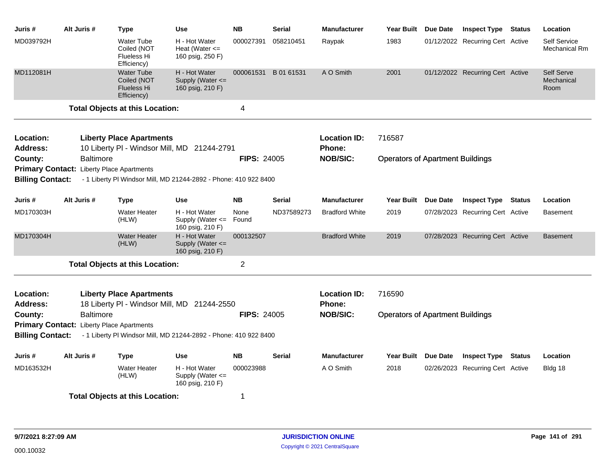| Juris #                             | Alt Juris #                                                          | <b>Type</b>                                                                    | <b>Use</b>                                                | <b>NB</b>          | <b>Serial</b>        | <b>Manufacturer</b>                  | Year Built Due Date                     | <b>Inspect Type Status</b>       | Location                         |
|-------------------------------------|----------------------------------------------------------------------|--------------------------------------------------------------------------------|-----------------------------------------------------------|--------------------|----------------------|--------------------------------------|-----------------------------------------|----------------------------------|----------------------------------|
| MD039792H                           |                                                                      | <b>Water Tube</b><br>Coiled (NOT<br>Flueless Hi<br>Efficiency)                 | H - Hot Water<br>Heat (Water $\leq$<br>160 psig, 250 F)   | 000027391          | 058210451            | Raypak                               | 1983                                    | 01/12/2022 Recurring Cert Active | Self Service<br>Mechanical Rm    |
| MD112081H                           |                                                                      | <b>Water Tube</b><br>Coiled (NOT<br><b>Flueless Hi</b><br>Efficiency)          | H - Hot Water<br>Supply (Water <=<br>160 psig, 210 F)     |                    | 000061531 B 01 61531 | A O Smith                            | 2001                                    | 01/12/2022 Recurring Cert Active | Self Serve<br>Mechanical<br>Room |
|                                     |                                                                      | <b>Total Objects at this Location:</b>                                         |                                                           | 4                  |                      |                                      |                                         |                                  |                                  |
| Location:<br><b>Address:</b>        |                                                                      | <b>Liberty Place Apartments</b><br>10 Liberty PI - Windsor Mill, MD 21244-2791 |                                                           |                    |                      | <b>Location ID:</b><br><b>Phone:</b> | 716587                                  |                                  |                                  |
| County:                             | <b>Baltimore</b><br><b>Primary Contact: Liberty Place Apartments</b> |                                                                                |                                                           | <b>FIPS: 24005</b> |                      | <b>NOB/SIC:</b>                      | <b>Operators of Apartment Buildings</b> |                                  |                                  |
| <b>Billing Contact:</b>             |                                                                      | - 1 Liberty PI Windsor Mill, MD 21244-2892 - Phone: 410 922 8400               |                                                           |                    |                      |                                      |                                         |                                  |                                  |
| Juris #                             | Alt Juris #                                                          | Type                                                                           | <b>Use</b>                                                | <b>NB</b>          | <b>Serial</b>        | <b>Manufacturer</b>                  | Year Built Due Date                     | <b>Inspect Type Status</b>       | Location                         |
| MD170303H                           |                                                                      | Water Heater<br>(HLW)                                                          | H - Hot Water<br>Supply (Water $\leq$<br>160 psig, 210 F) | None<br>Found      | ND37589273           | <b>Bradford White</b>                | 2019                                    | 07/28/2023 Recurring Cert Active | <b>Basement</b>                  |
| MD170304H                           |                                                                      | <b>Water Heater</b><br>(HLW)                                                   | H - Hot Water<br>Supply (Water <=<br>160 psig, 210 F)     | 000132507          |                      | <b>Bradford White</b>                | 2019                                    | 07/28/2023 Recurring Cert Active | <b>Basement</b>                  |
|                                     |                                                                      | <b>Total Objects at this Location:</b>                                         |                                                           | $\overline{2}$     |                      |                                      |                                         |                                  |                                  |
| <b>Location:</b><br><b>Address:</b> |                                                                      | <b>Liberty Place Apartments</b><br>18 Liberty PI - Windsor Mill, MD 21244-2550 |                                                           |                    |                      | <b>Location ID:</b><br><b>Phone:</b> | 716590                                  |                                  |                                  |
| County:                             | Baltimore                                                            |                                                                                |                                                           | <b>FIPS: 24005</b> |                      | <b>NOB/SIC:</b>                      | <b>Operators of Apartment Buildings</b> |                                  |                                  |
| <b>Primary Contact:</b>             |                                                                      | <b>Liberty Place Apartments</b>                                                |                                                           |                    |                      |                                      |                                         |                                  |                                  |
| <b>Billing Contact:</b>             |                                                                      | - 1 Liberty PI Windsor Mill, MD 21244-2892 - Phone: 410 922 8400               |                                                           |                    |                      |                                      |                                         |                                  |                                  |
| Juris #                             | Alt Juris #                                                          | <b>Type</b>                                                                    | <b>Use</b>                                                | <b>NB</b>          | <b>Serial</b>        | <b>Manufacturer</b>                  | Year Built Due Date                     | <b>Inspect Type Status</b>       | Location                         |
| MD163532H                           |                                                                      | <b>Water Heater</b><br>(HLW)                                                   | H - Hot Water<br>Supply (Water $\leq$<br>160 psig, 210 F) | 000023988          |                      | A O Smith                            | 2018                                    | 02/26/2023 Recurring Cert Active | Bldg 18                          |
|                                     |                                                                      | <b>Total Objects at this Location:</b>                                         |                                                           | 1                  |                      |                                      |                                         |                                  |                                  |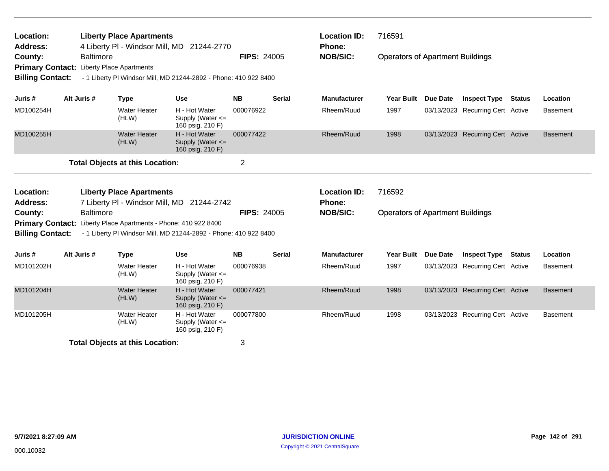| Location:<br><b>Address:</b> |                  | <b>Liberty Place Apartments</b>                                 | 4 Liberty PI - Windsor Mill, MD 21244-2770                       |                    |               | <b>Location ID:</b><br><b>Phone:</b> | 716591                                  |                 |                                  |                 |
|------------------------------|------------------|-----------------------------------------------------------------|------------------------------------------------------------------|--------------------|---------------|--------------------------------------|-----------------------------------------|-----------------|----------------------------------|-----------------|
| County:                      | <b>Baltimore</b> |                                                                 |                                                                  | <b>FIPS: 24005</b> |               | <b>NOB/SIC:</b>                      | <b>Operators of Apartment Buildings</b> |                 |                                  |                 |
| <b>Primary Contact:</b>      |                  | <b>Liberty Place Apartments</b>                                 |                                                                  |                    |               |                                      |                                         |                 |                                  |                 |
| <b>Billing Contact:</b>      |                  |                                                                 | - 1 Liberty PI Windsor Mill, MD 21244-2892 - Phone: 410 922 8400 |                    |               |                                      |                                         |                 |                                  |                 |
| Juris #                      | Alt Juris #      | <b>Type</b>                                                     | <b>Use</b>                                                       | <b>NB</b>          | <b>Serial</b> | <b>Manufacturer</b>                  | <b>Year Built</b>                       | Due Date        | <b>Inspect Type Status</b>       | Location        |
| MD100254H                    |                  | <b>Water Heater</b><br>(HLW)                                    | H - Hot Water<br>Supply (Water <=<br>160 psig, 210 F)            | 000076922          |               | Rheem/Ruud                           | 1997                                    |                 | 03/13/2023 Recurring Cert Active | <b>Basement</b> |
| MD100255H                    |                  | <b>Water Heater</b><br>(HLW)                                    | H - Hot Water<br>Supply (Water <=<br>160 psig, 210 F)            | 000077422          |               | Rheem/Ruud                           | 1998                                    |                 | 03/13/2023 Recurring Cert Active | <b>Basement</b> |
|                              |                  | <b>Total Objects at this Location:</b>                          |                                                                  | $\overline{2}$     |               |                                      |                                         |                 |                                  |                 |
|                              |                  |                                                                 |                                                                  |                    |               |                                      |                                         |                 |                                  |                 |
| Location:                    |                  | <b>Liberty Place Apartments</b>                                 |                                                                  |                    |               | <b>Location ID:</b>                  | 716592                                  |                 |                                  |                 |
| <b>Address:</b>              |                  |                                                                 | 7 Liberty PI - Windsor Mill, MD 21244-2742                       |                    |               | Phone:                               |                                         |                 |                                  |                 |
| County:                      | <b>Baltimore</b> |                                                                 |                                                                  | <b>FIPS: 24005</b> |               | <b>NOB/SIC:</b>                      | <b>Operators of Apartment Buildings</b> |                 |                                  |                 |
|                              |                  | Primary Contact: Liberty Place Apartments - Phone: 410 922 8400 |                                                                  |                    |               |                                      |                                         |                 |                                  |                 |
| <b>Billing Contact:</b>      |                  |                                                                 | - 1 Liberty PI Windsor Mill, MD 21244-2892 - Phone: 410 922 8400 |                    |               |                                      |                                         |                 |                                  |                 |
| Juris #                      | Alt Juris #      | <b>Type</b>                                                     | <b>Use</b>                                                       | <b>NB</b>          | <b>Serial</b> | <b>Manufacturer</b>                  | <b>Year Built</b>                       | <b>Due Date</b> | <b>Inspect Type Status</b>       | Location        |
| MD101202H                    |                  | <b>Water Heater</b><br>(HLW)                                    | H - Hot Water<br>Supply (Water $\leq$<br>160 psig, 210 F)        | 000076938          |               | Rheem/Ruud                           | 1997                                    |                 | 03/13/2023 Recurring Cert Active | <b>Basement</b> |
| MD101204H                    |                  | <b>Water Heater</b><br>(HLW)                                    | H - Hot Water<br>Supply (Water $\leq$<br>160 psig, 210 F)        | 000077421          |               | Rheem/Ruud                           | 1998                                    |                 | 03/13/2023 Recurring Cert Active | <b>Basement</b> |
| MD101205H                    |                  | <b>Water Heater</b><br>(HLW)                                    | H - Hot Water<br>Supply (Water <=<br>160 psig, 210 F)            | 000077800          |               | Rheem/Ruud                           | 1998                                    |                 | 03/13/2023 Recurring Cert Active | <b>Basement</b> |
|                              |                  | <b>Total Objects at this Location:</b>                          |                                                                  | 3                  |               |                                      |                                         |                 |                                  |                 |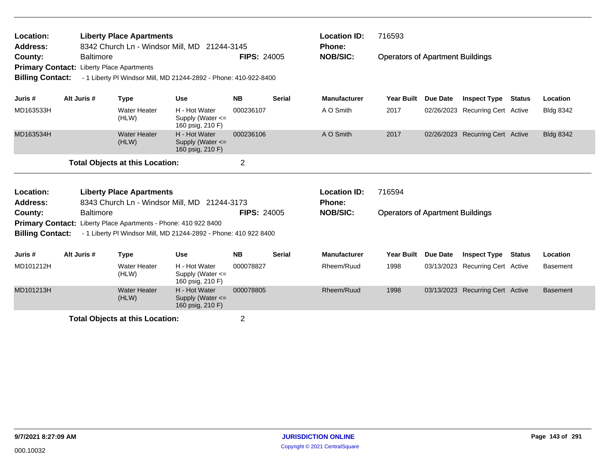| Location:<br>Address:<br>County:<br><b>Primary Contact:</b><br><b>Billing Contact:</b> | <b>Baltimore</b>                                                                                                   | <b>Liberty Place Apartments</b><br>8342 Church Ln - Windsor Mill, MD 21244-3145<br><b>Liberty Place Apartments</b><br>- 1 Liberty PI Windsor Mill, MD 21244-2892 - Phone: 410-922-8400 |                                                           | <b>FIPS: 24005</b> |                                                         | <b>Location ID:</b><br><b>Phone:</b><br><b>NOB/SIC:</b> | 716593<br><b>Operators of Apartment Buildings</b> |                 |                                  |               |                  |
|----------------------------------------------------------------------------------------|--------------------------------------------------------------------------------------------------------------------|----------------------------------------------------------------------------------------------------------------------------------------------------------------------------------------|-----------------------------------------------------------|--------------------|---------------------------------------------------------|---------------------------------------------------------|---------------------------------------------------|-----------------|----------------------------------|---------------|------------------|
| Juris #                                                                                | Alt Juris #                                                                                                        | <b>Type</b>                                                                                                                                                                            | <b>Use</b>                                                | <b>NB</b>          | Serial                                                  | <b>Manufacturer</b>                                     | <b>Year Built</b>                                 | Due Date        | <b>Inspect Type</b>              | <b>Status</b> | Location         |
| MD163533H                                                                              |                                                                                                                    | <b>Water Heater</b><br>(HLW)                                                                                                                                                           | H - Hot Water<br>Supply (Water <=<br>160 psig, 210 F)     | 000236107          |                                                         | A O Smith                                               | 2017                                              |                 | 02/26/2023 Recurring Cert Active |               | <b>Bldg 8342</b> |
| MD163534H                                                                              |                                                                                                                    | <b>Water Heater</b><br>(HLW)                                                                                                                                                           | H - Hot Water<br>Supply (Water <=<br>160 psig, 210 F)     | 000236106          |                                                         | A O Smith                                               | 2017                                              |                 | 02/26/2023 Recurring Cert Active |               | <b>Bldg 8342</b> |
|                                                                                        |                                                                                                                    | <b>Total Objects at this Location:</b>                                                                                                                                                 |                                                           | $\overline{2}$     |                                                         |                                                         |                                                   |                 |                                  |               |                  |
| Location:<br><b>Address:</b>                                                           | <b>Liberty Place Apartments</b><br>8343 Church Ln - Windsor Mill, MD 21244-3173<br><b>Baltimore</b>                |                                                                                                                                                                                        | <b>FIPS: 24005</b>                                        |                    | <b>Location ID:</b><br><b>Phone:</b><br><b>NOB/SIC:</b> | 716594                                                  |                                                   |                 |                                  |               |                  |
| County:<br><b>Primary Contact:</b><br><b>Billing Contact:</b>                          | Liberty Place Apartments - Phone: 410 922 8400<br>- 1 Liberty PI Windsor Mill, MD 21244-2892 - Phone: 410 922 8400 |                                                                                                                                                                                        |                                                           |                    |                                                         | <b>Operators of Apartment Buildings</b>                 |                                                   |                 |                                  |               |                  |
| Juris #                                                                                | Alt Juris #                                                                                                        | <b>Type</b>                                                                                                                                                                            | <b>Use</b>                                                | <b>NB</b>          | <b>Serial</b>                                           | <b>Manufacturer</b>                                     | <b>Year Built</b>                                 | <b>Due Date</b> | <b>Inspect Type</b>              | <b>Status</b> | Location         |
| MD101212H                                                                              |                                                                                                                    | <b>Water Heater</b><br>(HLW)                                                                                                                                                           | H - Hot Water<br>Supply (Water $\leq$<br>160 psig, 210 F) | 000078827          |                                                         | Rheem/Ruud                                              | 1998                                              | 03/13/2023      | <b>Recurring Cert Active</b>     |               | <b>Basement</b>  |
| MD101213H                                                                              |                                                                                                                    | <b>Water Heater</b><br>(HLW)                                                                                                                                                           | H - Hot Water<br>Supply (Water $\leq$<br>160 psig, 210 F) | 000078805          |                                                         | Rheem/Ruud                                              | 1998                                              |                 | 03/13/2023 Recurring Cert Active |               | <b>Basement</b>  |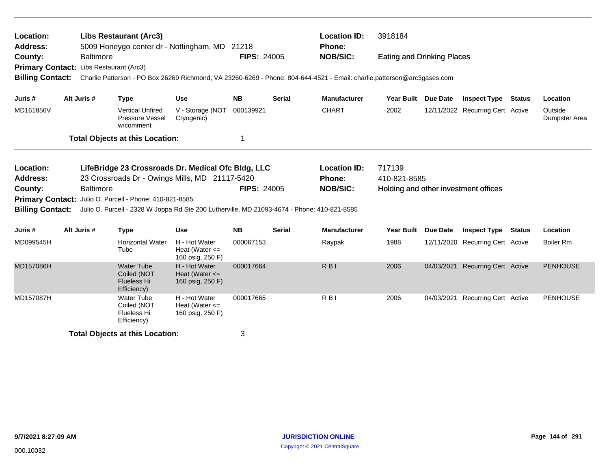| Location:<br><b>Address:</b>                                                                                                                                                                                                                                                                                                                                       |             | <b>Libs Restaurant (Arc3)</b><br>5009 Honeygo center dr - Nottingham, MD 21218                                                                                                         |                                                         |                    |                    | <b>Location ID:</b><br>Phone:                           | 3918184                                                        |            |                                  |               |                          |
|--------------------------------------------------------------------------------------------------------------------------------------------------------------------------------------------------------------------------------------------------------------------------------------------------------------------------------------------------------------------|-------------|----------------------------------------------------------------------------------------------------------------------------------------------------------------------------------------|---------------------------------------------------------|--------------------|--------------------|---------------------------------------------------------|----------------------------------------------------------------|------------|----------------------------------|---------------|--------------------------|
| County:<br><b>Billing Contact:</b>                                                                                                                                                                                                                                                                                                                                 |             | <b>Baltimore</b><br>Primary Contact: Libs Restaurant (Arc3)<br>Charlie Patterson - PO Box 26269 Richmond, VA 23260-6269 - Phone: 804-644-4521 - Email: charlie.patterson@arc3gases.com |                                                         |                    | <b>FIPS: 24005</b> | <b>NOB/SIC:</b>                                         | <b>Eating and Drinking Places</b>                              |            |                                  |               |                          |
| Juris #                                                                                                                                                                                                                                                                                                                                                            | Alt Juris # | <b>Type</b>                                                                                                                                                                            | <b>Use</b>                                              | <b>NB</b>          | <b>Serial</b>      | <b>Manufacturer</b>                                     | Year Built Due Date                                            |            | <b>Inspect Type</b>              | <b>Status</b> | Location                 |
| MD161856V                                                                                                                                                                                                                                                                                                                                                          |             | <b>Vertical Unfired</b><br>Pressure Vessel<br>w/comment                                                                                                                                | V - Storage (NOT<br>Cryogenic)                          | 000139921          |                    | <b>CHART</b>                                            | 2002                                                           |            | 12/11/2022 Recurring Cert Active |               | Outside<br>Dumpster Area |
|                                                                                                                                                                                                                                                                                                                                                                    |             | <b>Total Objects at this Location:</b>                                                                                                                                                 |                                                         | 1                  |                    |                                                         |                                                                |            |                                  |               |                          |
| Location:<br>LifeBridge 23 Crossroads Dr. Medical Ofc Bldg, LLC<br><b>Address:</b><br>23 Crossroads Dr - Owings Mills, MD 21117-5420<br><b>Baltimore</b><br>County:<br>Julio O. Purcell - Phone: 410-821-8585<br><b>Primary Contact:</b><br>Julio O. Purcell - 2328 W Joppa Rd Ste 200 Lutherville, MD 21093-4674 - Phone: 410-821-8585<br><b>Billing Contact:</b> |             |                                                                                                                                                                                        |                                                         | <b>FIPS: 24005</b> |                    | <b>Location ID:</b><br><b>Phone:</b><br><b>NOB/SIC:</b> | 717139<br>410-821-8585<br>Holding and other investment offices |            |                                  |               |                          |
| Juris #                                                                                                                                                                                                                                                                                                                                                            | Alt Juris # | <b>Type</b>                                                                                                                                                                            | <b>Use</b>                                              | <b>NB</b>          | <b>Serial</b>      | <b>Manufacturer</b>                                     | Year Built Due Date                                            |            | <b>Inspect Type Status</b>       |               | Location                 |
| MD099545H                                                                                                                                                                                                                                                                                                                                                          |             | <b>Horizontal Water</b><br>Tube                                                                                                                                                        | H - Hot Water<br>Heat (Water $\leq$<br>160 psig, 250 F) | 000067153          |                    | Raypak                                                  | 1988                                                           |            | 12/11/2020 Recurring Cert Active |               | Boiler Rm                |
| MD157086H                                                                                                                                                                                                                                                                                                                                                          |             | <b>Water Tube</b><br>Coiled (NOT<br><b>Flueless Hi</b><br>Efficiency)                                                                                                                  | H - Hot Water<br>Heat (Water $\leq$<br>160 psig, 250 F) | 000017664          |                    | $R$ <sub>B</sub> $\vert$                                | 2006                                                           | 04/03/2021 | <b>Recurring Cert Active</b>     |               | <b>PENHOUSE</b>          |
| MD157087H                                                                                                                                                                                                                                                                                                                                                          |             | <b>Water Tube</b><br>Coiled (NOT<br><b>Flueless Hi</b><br>Efficiency)                                                                                                                  | H - Hot Water<br>Heat (Water $\leq$<br>160 psig, 250 F) | 000017665          |                    | R <sub>B</sub>                                          | 2006                                                           |            | 04/03/2021 Recurring Cert Active |               | <b>PENHOUSE</b>          |
|                                                                                                                                                                                                                                                                                                                                                                    |             | <b>Total Objects at this Location:</b>                                                                                                                                                 |                                                         | 3                  |                    |                                                         |                                                                |            |                                  |               |                          |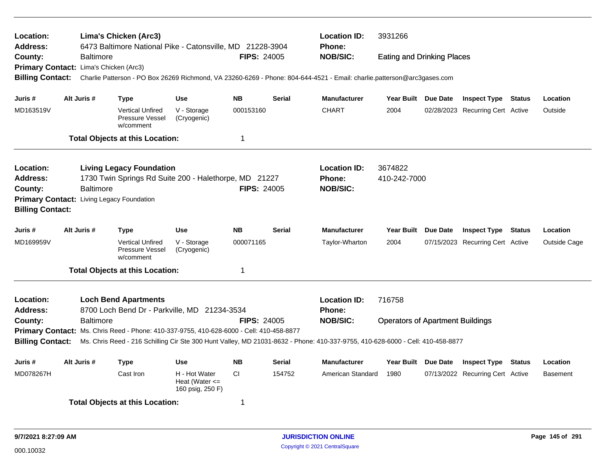| Location:<br><b>Address:</b>           |                                                               |                  | Lima's Chicken (Arc3)<br>6473 Baltimore National Pike - Catonsville, MD 21228-3904       |                                                         |                    |               | <b>Location ID:</b>                                                                                                                                                                                                                                                                                                                                                                                                                                                                                                                                                                                                                                                                                                                                                                                                                                                           | 3931266 |  |  |                 |
|----------------------------------------|---------------------------------------------------------------|------------------|------------------------------------------------------------------------------------------|---------------------------------------------------------|--------------------|---------------|-------------------------------------------------------------------------------------------------------------------------------------------------------------------------------------------------------------------------------------------------------------------------------------------------------------------------------------------------------------------------------------------------------------------------------------------------------------------------------------------------------------------------------------------------------------------------------------------------------------------------------------------------------------------------------------------------------------------------------------------------------------------------------------------------------------------------------------------------------------------------------|---------|--|--|-----------------|
| County:                                |                                                               | <b>Baltimore</b> |                                                                                          |                                                         | <b>FIPS: 24005</b> |               | <b>NOB/SIC:</b>                                                                                                                                                                                                                                                                                                                                                                                                                                                                                                                                                                                                                                                                                                                                                                                                                                                               |         |  |  |                 |
| Primary Contact: Lima's Chicken (Arc3) |                                                               |                  |                                                                                          |                                                         |                    |               |                                                                                                                                                                                                                                                                                                                                                                                                                                                                                                                                                                                                                                                                                                                                                                                                                                                                               |         |  |  |                 |
| <b>Billing Contact:</b>                |                                                               |                  |                                                                                          |                                                         |                    |               |                                                                                                                                                                                                                                                                                                                                                                                                                                                                                                                                                                                                                                                                                                                                                                                                                                                                               |         |  |  |                 |
| Juris #                                |                                                               | Alt Juris #      | <b>Type</b>                                                                              | <b>Use</b>                                              | <b>NB</b>          | <b>Serial</b> | <b>Manufacturer</b>                                                                                                                                                                                                                                                                                                                                                                                                                                                                                                                                                                                                                                                                                                                                                                                                                                                           |         |  |  | Location        |
| MD163519V                              |                                                               |                  | <b>Vertical Unfired</b><br>Pressure Vessel<br>w/comment                                  | V - Storage<br>(Cryogenic)                              | 000153160          |               | <b>CHART</b>                                                                                                                                                                                                                                                                                                                                                                                                                                                                                                                                                                                                                                                                                                                                                                                                                                                                  | 2004    |  |  | Outside         |
|                                        |                                                               |                  | <b>Total Objects at this Location:</b>                                                   |                                                         | 1                  |               |                                                                                                                                                                                                                                                                                                                                                                                                                                                                                                                                                                                                                                                                                                                                                                                                                                                                               |         |  |  |                 |
| Location:                              |                                                               |                  | <b>Living Legacy Foundation</b>                                                          |                                                         |                    |               | <b>Location ID:</b>                                                                                                                                                                                                                                                                                                                                                                                                                                                                                                                                                                                                                                                                                                                                                                                                                                                           | 3674822 |  |  |                 |
| <b>Address:</b>                        |                                                               |                  | 1730 Twin Springs Rd Suite 200 - Halethorpe, MD 21227                                    |                                                         | <b>FIPS: 24005</b> |               |                                                                                                                                                                                                                                                                                                                                                                                                                                                                                                                                                                                                                                                                                                                                                                                                                                                                               |         |  |  |                 |
| County:                                | <b>Baltimore</b><br>Primary Contact: Living Legacy Foundation |                  |                                                                                          |                                                         |                    |               | <b>Phone:</b><br><b>Eating and Drinking Places</b><br>Charlie Patterson - PO Box 26269 Richmond, VA 23260-6269 - Phone: 804-644-4521 - Email: charlie.patterson@arc3gases.com<br>Year Built Due Date<br><b>Inspect Type Status</b><br>02/28/2023 Recurring Cert Active<br><b>Phone:</b><br>410-242-7000<br><b>NOB/SIC:</b><br><b>Manufacturer</b><br>Year Built Due Date<br><b>Inspect Type Status</b><br>Taylor-Wharton<br>2004<br>07/15/2023 Recurring Cert Active<br><b>Location ID:</b><br>716758<br><b>Phone:</b><br><b>NOB/SIC:</b><br><b>Operators of Apartment Buildings</b><br>Ms. Chris Reed - 216 Schilling Cir Ste 300 Hunt Valley, MD 21031-8632 - Phone: 410-337-9755, 410-628-6000 - Cell: 410-458-8877<br><b>Manufacturer</b><br>Year Built Due Date<br><b>Inspect Type</b><br><b>Status</b><br>American Standard<br>1980<br>07/13/2022 Recurring Cert Active |         |  |  |                 |
| <b>Billing Contact:</b>                |                                                               |                  |                                                                                          |                                                         |                    |               |                                                                                                                                                                                                                                                                                                                                                                                                                                                                                                                                                                                                                                                                                                                                                                                                                                                                               |         |  |  |                 |
|                                        |                                                               |                  |                                                                                          |                                                         |                    |               |                                                                                                                                                                                                                                                                                                                                                                                                                                                                                                                                                                                                                                                                                                                                                                                                                                                                               |         |  |  |                 |
| Juris #                                |                                                               | Alt Juris #      | <b>Type</b>                                                                              | <b>Use</b>                                              | <b>NB</b>          | <b>Serial</b> |                                                                                                                                                                                                                                                                                                                                                                                                                                                                                                                                                                                                                                                                                                                                                                                                                                                                               |         |  |  | Location        |
| MD169959V                              |                                                               |                  | <b>Vertical Unfired</b><br>Pressure Vessel<br>w/comment                                  | V - Storage<br>(Cryogenic)                              | 000071165          |               |                                                                                                                                                                                                                                                                                                                                                                                                                                                                                                                                                                                                                                                                                                                                                                                                                                                                               |         |  |  | Outside Cage    |
|                                        |                                                               |                  | <b>Total Objects at this Location:</b>                                                   |                                                         | 1                  |               |                                                                                                                                                                                                                                                                                                                                                                                                                                                                                                                                                                                                                                                                                                                                                                                                                                                                               |         |  |  |                 |
| Location:<br><b>Address:</b>           |                                                               |                  | <b>Loch Bend Apartments</b><br>8700 Loch Bend Dr - Parkville, MD 21234-3534              |                                                         |                    |               |                                                                                                                                                                                                                                                                                                                                                                                                                                                                                                                                                                                                                                                                                                                                                                                                                                                                               |         |  |  |                 |
| County:                                |                                                               | <b>Baltimore</b> |                                                                                          |                                                         | <b>FIPS: 24005</b> |               |                                                                                                                                                                                                                                                                                                                                                                                                                                                                                                                                                                                                                                                                                                                                                                                                                                                                               |         |  |  |                 |
|                                        |                                                               |                  | Primary Contact: Ms. Chris Reed - Phone: 410-337-9755, 410-628-6000 - Cell: 410-458-8877 |                                                         |                    |               |                                                                                                                                                                                                                                                                                                                                                                                                                                                                                                                                                                                                                                                                                                                                                                                                                                                                               |         |  |  |                 |
| <b>Billing Contact:</b>                |                                                               |                  |                                                                                          |                                                         |                    |               |                                                                                                                                                                                                                                                                                                                                                                                                                                                                                                                                                                                                                                                                                                                                                                                                                                                                               |         |  |  |                 |
| Juris #                                |                                                               | Alt Juris #      | <b>Type</b>                                                                              | <b>Use</b>                                              | <b>NB</b>          | <b>Serial</b> |                                                                                                                                                                                                                                                                                                                                                                                                                                                                                                                                                                                                                                                                                                                                                                                                                                                                               |         |  |  | Location        |
| MD078267H                              |                                                               |                  | Cast Iron                                                                                | H - Hot Water<br>Heat (Water $\leq$<br>160 psig, 250 F) | CI.                | 154752        |                                                                                                                                                                                                                                                                                                                                                                                                                                                                                                                                                                                                                                                                                                                                                                                                                                                                               |         |  |  | <b>Basement</b> |
|                                        |                                                               |                  | <b>Total Objects at this Location:</b>                                                   |                                                         | 1                  |               |                                                                                                                                                                                                                                                                                                                                                                                                                                                                                                                                                                                                                                                                                                                                                                                                                                                                               |         |  |  |                 |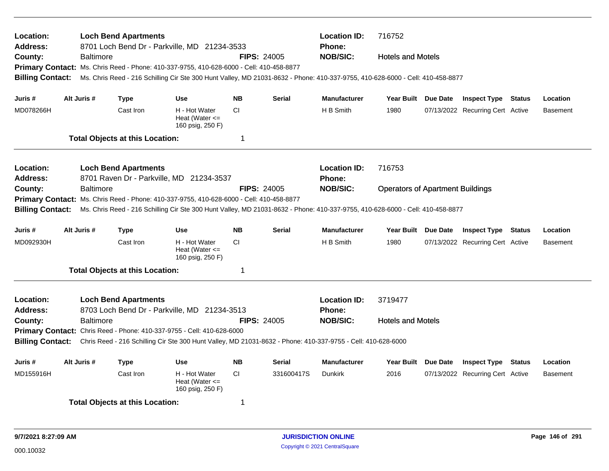| Location:<br><b>Address:</b>                                           |             |                  | <b>Loch Bend Apartments</b>            | 8701 Loch Bend Dr - Parkville, MD 21234-3533                                                                                   |                    |               | <b>Location ID:</b><br>Phone:        | 716752                                  |                                  |               |                 |
|------------------------------------------------------------------------|-------------|------------------|----------------------------------------|--------------------------------------------------------------------------------------------------------------------------------|--------------------|---------------|--------------------------------------|-----------------------------------------|----------------------------------|---------------|-----------------|
| County:                                                                |             | Baltimore        |                                        |                                                                                                                                | <b>FIPS: 24005</b> |               | <b>NOB/SIC:</b>                      | <b>Hotels and Motels</b>                |                                  |               |                 |
|                                                                        |             |                  |                                        | Primary Contact: Ms. Chris Reed - Phone: 410-337-9755, 410-628-6000 - Cell: 410-458-8877                                       |                    |               |                                      |                                         |                                  |               |                 |
| <b>Billing Contact:</b>                                                |             |                  |                                        | Ms. Chris Reed - 216 Schilling Cir Ste 300 Hunt Valley, MD 21031-8632 - Phone: 410-337-9755, 410-628-6000 - Cell: 410-458-8877 |                    |               |                                      |                                         |                                  |               |                 |
| Juris #                                                                | Alt Juris # |                  | <b>Type</b>                            | <b>Use</b>                                                                                                                     | <b>NB</b>          | <b>Serial</b> | <b>Manufacturer</b>                  | Year Built Due Date                     | <b>Inspect Type Status</b>       |               | Location        |
| MD078266H                                                              |             |                  | Cast Iron                              | H - Hot Water                                                                                                                  | <b>CI</b>          |               | H B Smith                            | 1980                                    | 07/13/2022 Recurring Cert Active |               | <b>Basement</b> |
|                                                                        |             |                  |                                        | Heat (Water $\leq$<br>160 psig, 250 F)                                                                                         |                    |               |                                      |                                         |                                  |               |                 |
|                                                                        |             |                  | <b>Total Objects at this Location:</b> |                                                                                                                                | 1                  |               |                                      |                                         |                                  |               |                 |
|                                                                        |             |                  |                                        |                                                                                                                                |                    |               |                                      |                                         |                                  |               |                 |
| Location:<br>Address:                                                  |             |                  | <b>Loch Bend Apartments</b>            | 8701 Raven Dr - Parkville, MD 21234-3537                                                                                       |                    |               | <b>Location ID:</b><br><b>Phone:</b> | 716753                                  |                                  |               |                 |
| County:                                                                |             | Baltimore        |                                        |                                                                                                                                | <b>FIPS: 24005</b> |               | <b>NOB/SIC:</b>                      | <b>Operators of Apartment Buildings</b> |                                  |               |                 |
| <b>Primary Contact:</b>                                                |             |                  |                                        | Ms. Chris Reed - Phone: 410-337-9755, 410-628-6000 - Cell: 410-458-8877                                                        |                    |               |                                      |                                         |                                  |               |                 |
| <b>Billing Contact:</b>                                                |             |                  |                                        | Ms. Chris Reed - 216 Schilling Cir Ste 300 Hunt Valley, MD 21031-8632 - Phone: 410-337-9755, 410-628-6000 - Cell: 410-458-8877 |                    |               |                                      |                                         |                                  |               |                 |
|                                                                        |             |                  |                                        |                                                                                                                                |                    |               |                                      |                                         |                                  |               |                 |
| Juris #                                                                | Alt Juris # |                  | <b>Type</b>                            | <b>Use</b>                                                                                                                     | <b>NB</b>          | <b>Serial</b> | <b>Manufacturer</b>                  | Year Built Due Date                     | <b>Inspect Type Status</b>       |               | Location        |
| MD092930H                                                              |             |                  | Cast Iron                              | H - Hot Water<br>Heat (Water $\leq$<br>160 psig, 250 F)                                                                        | <b>CI</b>          |               | H B Smith                            | 1980                                    | 07/13/2022 Recurring Cert Active |               | <b>Basement</b> |
|                                                                        |             |                  | <b>Total Objects at this Location:</b> |                                                                                                                                | 1                  |               |                                      |                                         |                                  |               |                 |
| Location:                                                              |             |                  | <b>Loch Bend Apartments</b>            |                                                                                                                                |                    |               | <b>Location ID:</b>                  | 3719477                                 |                                  |               |                 |
| <b>Address:</b>                                                        |             |                  |                                        | 8703 Loch Bend Dr - Parkville, MD 21234-3513                                                                                   |                    |               | <b>Phone:</b>                        |                                         |                                  |               |                 |
| County:                                                                |             | <b>Baltimore</b> |                                        |                                                                                                                                | <b>FIPS: 24005</b> |               | <b>NOB/SIC:</b>                      | <b>Hotels and Motels</b>                |                                  |               |                 |
| Primary Contact: Chris Reed - Phone: 410-337-9755 - Cell: 410-628-6000 |             |                  |                                        |                                                                                                                                |                    |               |                                      |                                         |                                  |               |                 |
| <b>Billing Contact:</b>                                                |             |                  |                                        | Chris Reed - 216 Schilling Cir Ste 300 Hunt Valley, MD 21031-8632 - Phone: 410-337-9755 - Cell: 410-628-6000                   |                    |               |                                      |                                         |                                  |               |                 |
| Juris #                                                                | Alt Juris # |                  | <b>Type</b>                            | <b>Use</b>                                                                                                                     | <b>NB</b>          | Serial        | <b>Manufacturer</b>                  | Year Built Due Date                     | <b>Inspect Type</b>              | <b>Status</b> | Location        |
| MD155916H                                                              |             |                  | Cast Iron                              | H - Hot Water<br>Heat (Water $\leq$<br>160 psig, 250 F)                                                                        | CI.                | 331600417S    | <b>Dunkirk</b>                       | 2016                                    | 07/13/2022 Recurring Cert Active |               | Basement        |
|                                                                        |             |                  | <b>Total Objects at this Location:</b> |                                                                                                                                | 1                  |               |                                      |                                         |                                  |               |                 |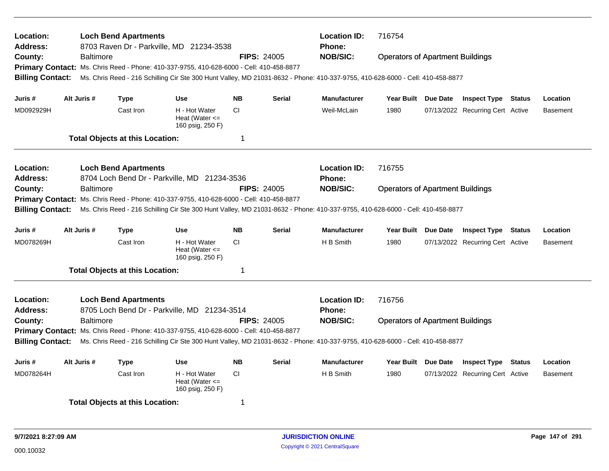| Location:<br>Address:                                                                    |             |                  | <b>Loch Bend Apartments</b>            | 8703 Raven Dr - Parkville, MD 21234-3538                                                                                       | 716754    |                    |                     |                                         |  |                                  |  |                 |  |
|------------------------------------------------------------------------------------------|-------------|------------------|----------------------------------------|--------------------------------------------------------------------------------------------------------------------------------|-----------|--------------------|---------------------|-----------------------------------------|--|----------------------------------|--|-----------------|--|
| County:                                                                                  |             | Baltimore        |                                        |                                                                                                                                |           | <b>FIPS: 24005</b> | <b>NOB/SIC:</b>     | <b>Operators of Apartment Buildings</b> |  |                                  |  |                 |  |
|                                                                                          |             |                  |                                        | Primary Contact: Ms. Chris Reed - Phone: 410-337-9755, 410-628-6000 - Cell: 410-458-8877                                       |           |                    |                     |                                         |  |                                  |  |                 |  |
| <b>Billing Contact:</b>                                                                  |             |                  |                                        | Ms. Chris Reed - 216 Schilling Cir Ste 300 Hunt Valley, MD 21031-8632 - Phone: 410-337-9755, 410-628-6000 - Cell: 410-458-8877 |           |                    |                     |                                         |  |                                  |  |                 |  |
| Juris #                                                                                  | Alt Juris # |                  | <b>Type</b>                            | <b>Use</b>                                                                                                                     | <b>NB</b> | <b>Serial</b>      | <b>Manufacturer</b> | Year Built Due Date                     |  | <b>Inspect Type Status</b>       |  | Location        |  |
| MD092929H                                                                                |             |                  | Cast Iron                              | H - Hot Water                                                                                                                  | <b>CI</b> |                    | Weil-McLain         | 1980                                    |  |                                  |  |                 |  |
|                                                                                          |             |                  |                                        | Heat (Water $\leq$<br>160 psig, 250 F)                                                                                         |           |                    |                     |                                         |  | 07/13/2022 Recurring Cert Active |  | <b>Basement</b> |  |
|                                                                                          |             |                  | <b>Total Objects at this Location:</b> |                                                                                                                                | 1         |                    |                     |                                         |  |                                  |  |                 |  |
| Location:                                                                                |             |                  | <b>Loch Bend Apartments</b>            |                                                                                                                                |           |                    | <b>Location ID:</b> | 716755                                  |  |                                  |  |                 |  |
| <b>Address:</b>                                                                          |             |                  |                                        | 8704 Loch Bend Dr - Parkville, MD 21234-3536                                                                                   |           |                    | Phone:              |                                         |  |                                  |  |                 |  |
| County:                                                                                  |             | Baltimore        |                                        |                                                                                                                                |           | <b>FIPS: 24005</b> | <b>NOB/SIC:</b>     | <b>Operators of Apartment Buildings</b> |  |                                  |  |                 |  |
|                                                                                          |             |                  |                                        | Primary Contact: Ms. Chris Reed - Phone: 410-337-9755, 410-628-6000 - Cell: 410-458-8877                                       |           |                    |                     |                                         |  |                                  |  |                 |  |
| <b>Billing Contact:</b>                                                                  |             |                  |                                        | Ms. Chris Reed - 216 Schilling Cir Ste 300 Hunt Valley, MD 21031-8632 - Phone: 410-337-9755, 410-628-6000 - Cell: 410-458-8877 |           |                    |                     |                                         |  |                                  |  |                 |  |
| Juris #                                                                                  | Alt Juris # |                  | <b>Type</b>                            | <b>Use</b>                                                                                                                     | <b>NB</b> | <b>Serial</b>      | <b>Manufacturer</b> | Year Built Due Date                     |  | <b>Inspect Type Status</b>       |  | Location        |  |
| MD078269H                                                                                |             |                  | Cast Iron                              | H - Hot Water<br>Heat (Water $\leq$<br>160 psig, 250 F)                                                                        | <b>CI</b> |                    | H B Smith           | 1980                                    |  | 07/13/2022 Recurring Cert Active |  | <b>Basement</b> |  |
|                                                                                          |             |                  | <b>Total Objects at this Location:</b> |                                                                                                                                | 1         |                    |                     |                                         |  |                                  |  |                 |  |
| Location:                                                                                |             |                  | <b>Loch Bend Apartments</b>            |                                                                                                                                |           |                    | <b>Location ID:</b> | 716756                                  |  |                                  |  |                 |  |
| <b>Address:</b>                                                                          |             |                  |                                        | 8705 Loch Bend Dr - Parkville, MD 21234-3514                                                                                   |           |                    | <b>Phone:</b>       |                                         |  |                                  |  |                 |  |
| County:                                                                                  |             | <b>Baltimore</b> |                                        |                                                                                                                                |           | <b>FIPS: 24005</b> | <b>NOB/SIC:</b>     | <b>Operators of Apartment Buildings</b> |  |                                  |  |                 |  |
| Primary Contact: Ms. Chris Reed - Phone: 410-337-9755, 410-628-6000 - Cell: 410-458-8877 |             |                  |                                        |                                                                                                                                |           |                    |                     |                                         |  |                                  |  |                 |  |
| <b>Billing Contact:</b>                                                                  |             |                  |                                        | Ms. Chris Reed - 216 Schilling Cir Ste 300 Hunt Valley, MD 21031-8632 - Phone: 410-337-9755, 410-628-6000 - Cell: 410-458-8877 |           |                    |                     |                                         |  |                                  |  |                 |  |
| Juris #                                                                                  | Alt Juris # |                  | <b>Type</b>                            | <b>Use</b>                                                                                                                     | <b>NB</b> | <b>Serial</b>      | <b>Manufacturer</b> | Year Built Due Date                     |  | <b>Inspect Type Status</b>       |  | Location        |  |
| MD078264H                                                                                |             |                  | Cast Iron                              | H - Hot Water<br>Heat (Water $\leq$<br>160 psig, 250 F)                                                                        | <b>CI</b> |                    | H B Smith           | 1980                                    |  | 07/13/2022 Recurring Cert Active |  | <b>Basement</b> |  |
|                                                                                          |             |                  | <b>Total Objects at this Location:</b> | 1                                                                                                                              |           |                    |                     |                                         |  |                                  |  |                 |  |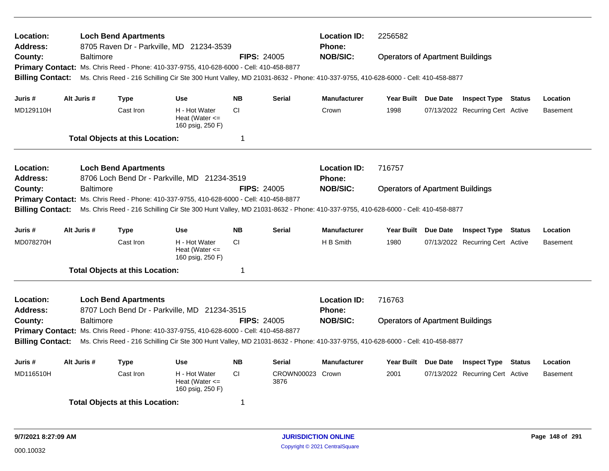| Location:<br>Address:<br>County:<br><b>Billing Contact:</b>                                                                                                                                                                                                                                                                                                |             | <b>Baltimore</b> | <b>Loch Bend Apartments</b>            | 8705 Raven Dr - Parkville, MD 21234-3539<br>Primary Contact: Ms. Chris Reed - Phone: 410-337-9755, 410-628-6000 - Cell: 410-458-8877<br>Ms. Chris Reed - 216 Schilling Cir Ste 300 Hunt Valley, MD 21031-8632 - Phone: 410-337-9755, 410-628-6000 - Cell: 410-458-8877 | <b>FIPS: 24005</b> |                          | <b>Location ID:</b><br><b>Phone:</b><br><b>NOB/SIC:</b> | 2256582<br><b>Operators of Apartment Buildings</b> |          |                                  |               |                 |
|------------------------------------------------------------------------------------------------------------------------------------------------------------------------------------------------------------------------------------------------------------------------------------------------------------------------------------------------------------|-------------|------------------|----------------------------------------|------------------------------------------------------------------------------------------------------------------------------------------------------------------------------------------------------------------------------------------------------------------------|--------------------|--------------------------|---------------------------------------------------------|----------------------------------------------------|----------|----------------------------------|---------------|-----------------|
| Juris #                                                                                                                                                                                                                                                                                                                                                    | Alt Juris # |                  | <b>Type</b>                            | <b>Use</b>                                                                                                                                                                                                                                                             | <b>NB</b>          | <b>Serial</b>            | <b>Manufacturer</b>                                     | Year Built Due Date                                |          | <b>Inspect Type Status</b>       |               | Location        |
| MD129110H                                                                                                                                                                                                                                                                                                                                                  |             |                  | Cast Iron                              | H - Hot Water<br>Heat (Water $\leq$<br>160 psig, 250 F)                                                                                                                                                                                                                | CI.                |                          | Crown                                                   | 1998                                               |          | 07/13/2022 Recurring Cert Active |               | <b>Basement</b> |
|                                                                                                                                                                                                                                                                                                                                                            |             |                  | <b>Total Objects at this Location:</b> |                                                                                                                                                                                                                                                                        | 1                  |                          |                                                         |                                                    |          |                                  |               |                 |
| Location:<br><b>Address:</b>                                                                                                                                                                                                                                                                                                                               |             |                  | <b>Loch Bend Apartments</b>            | 8706 Loch Bend Dr - Parkville, MD 21234-3519                                                                                                                                                                                                                           |                    |                          | <b>Location ID:</b><br>Phone:                           | 716757                                             |          |                                  |               |                 |
| County:<br><b>Primary Contact:</b><br><b>Billing Contact:</b>                                                                                                                                                                                                                                                                                              |             | <b>Baltimore</b> |                                        | Ms. Chris Reed - Phone: 410-337-9755, 410-628-6000 - Cell: 410-458-8877<br>Ms. Chris Reed - 216 Schilling Cir Ste 300 Hunt Valley, MD 21031-8632 - Phone: 410-337-9755, 410-628-6000 - Cell: 410-458-8877                                                              | <b>FIPS: 24005</b> |                          | <b>NOB/SIC:</b>                                         | <b>Operators of Apartment Buildings</b>            |          |                                  |               |                 |
| Juris #                                                                                                                                                                                                                                                                                                                                                    | Alt Juris # |                  | <b>Type</b>                            | <b>Use</b>                                                                                                                                                                                                                                                             | <b>NB</b>          | <b>Serial</b>            | <b>Manufacturer</b>                                     | <b>Year Built</b>                                  | Due Date | <b>Inspect Type</b>              | Status        | Location        |
| MD078270H                                                                                                                                                                                                                                                                                                                                                  |             |                  | Cast Iron                              | H - Hot Water<br>Heat (Water $\leq$<br>160 psig, 250 F)                                                                                                                                                                                                                | CI.                |                          | H B Smith                                               | 1980                                               |          | 07/13/2022 Recurring Cert Active |               | <b>Basement</b> |
|                                                                                                                                                                                                                                                                                                                                                            |             |                  | <b>Total Objects at this Location:</b> |                                                                                                                                                                                                                                                                        | 1                  |                          |                                                         |                                                    |          |                                  |               |                 |
| Location:<br>Address:                                                                                                                                                                                                                                                                                                                                      |             |                  | <b>Loch Bend Apartments</b>            |                                                                                                                                                                                                                                                                        |                    |                          | <b>Location ID:</b><br>Phone:                           | 716763                                             |          |                                  |               |                 |
| 8707 Loch Bend Dr - Parkville, MD 21234-3515<br><b>Baltimore</b><br><b>FIPS: 24005</b><br>County:<br>Primary Contact: Ms. Chris Reed - Phone: 410-337-9755, 410-628-6000 - Cell: 410-458-8877<br><b>Billing Contact:</b><br>Ms. Chris Reed - 216 Schilling Cir Ste 300 Hunt Valley, MD 21031-8632 - Phone: 410-337-9755, 410-628-6000 - Cell: 410-458-8877 |             |                  |                                        |                                                                                                                                                                                                                                                                        |                    |                          | <b>NOB/SIC:</b>                                         | <b>Operators of Apartment Buildings</b>            |          |                                  |               |                 |
| Juris #                                                                                                                                                                                                                                                                                                                                                    | Alt Juris # |                  | <b>Type</b>                            | <b>Use</b>                                                                                                                                                                                                                                                             | <b>NB</b>          | <b>Serial</b>            | <b>Manufacturer</b>                                     | <b>Year Built</b>                                  | Due Date | <b>Inspect Type</b>              | <b>Status</b> | Location        |
| MD116510H                                                                                                                                                                                                                                                                                                                                                  |             |                  | Cast Iron                              | H - Hot Water<br>Heat (Water $\leq$<br>160 psig, 250 F)                                                                                                                                                                                                                | CI.                | CROWN00023 Crown<br>3876 |                                                         | 2001                                               |          | 07/13/2022 Recurring Cert Active |               | <b>Basement</b> |
|                                                                                                                                                                                                                                                                                                                                                            |             |                  | <b>Total Objects at this Location:</b> |                                                                                                                                                                                                                                                                        | -1                 |                          |                                                         |                                                    |          |                                  |               |                 |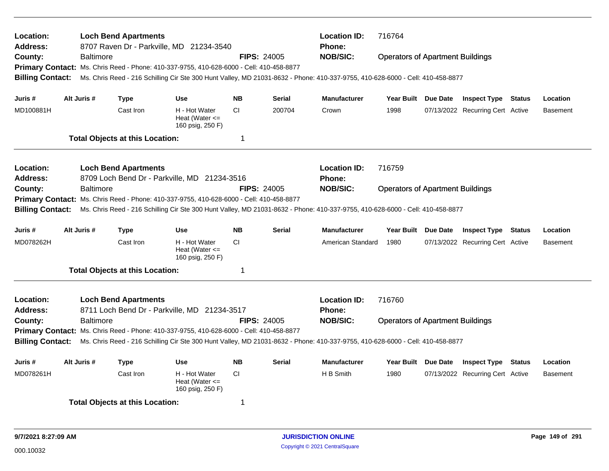| Location:<br><b>Address:</b><br>County:                                                                                                |  | <b>Baltimore</b> | <b>Loch Bend Apartments</b>            | 8707 Raven Dr - Parkville, MD 21234-3540                                                 |           | <b>FIPS: 24005</b> | <b>Location ID:</b><br><b>Phone:</b><br><b>NOB/SIC:</b>                                                                        | 716764<br><b>Operators of Apartment Buildings</b> |  |                                  |               |                 |
|----------------------------------------------------------------------------------------------------------------------------------------|--|------------------|----------------------------------------|------------------------------------------------------------------------------------------|-----------|--------------------|--------------------------------------------------------------------------------------------------------------------------------|---------------------------------------------------|--|----------------------------------|---------------|-----------------|
|                                                                                                                                        |  |                  |                                        | Primary Contact: Ms. Chris Reed - Phone: 410-337-9755, 410-628-6000 - Cell: 410-458-8877 |           |                    |                                                                                                                                |                                                   |  |                                  |               |                 |
| <b>Billing Contact:</b>                                                                                                                |  |                  |                                        |                                                                                          |           |                    | Ms. Chris Reed - 216 Schilling Cir Ste 300 Hunt Valley, MD 21031-8632 - Phone: 410-337-9755, 410-628-6000 - Cell: 410-458-8877 |                                                   |  |                                  |               |                 |
|                                                                                                                                        |  |                  |                                        |                                                                                          |           |                    |                                                                                                                                |                                                   |  |                                  |               |                 |
| Juris #                                                                                                                                |  | Alt Juris #      | <b>Type</b>                            | <b>Use</b>                                                                               | <b>NB</b> | <b>Serial</b>      | <b>Manufacturer</b>                                                                                                            | Year Built Due Date                               |  | <b>Inspect Type Status</b>       |               | Location        |
| MD100881H                                                                                                                              |  |                  | Cast Iron                              | H - Hot Water<br>Heat (Water $\leq$<br>160 psig, 250 F)                                  | <b>CI</b> | 200704             | Crown                                                                                                                          | 1998                                              |  | 07/13/2022 Recurring Cert Active |               | <b>Basement</b> |
|                                                                                                                                        |  |                  | <b>Total Objects at this Location:</b> |                                                                                          | 1         |                    |                                                                                                                                |                                                   |  |                                  |               |                 |
| Location:                                                                                                                              |  |                  | <b>Loch Bend Apartments</b>            |                                                                                          |           |                    | <b>Location ID:</b>                                                                                                            | 716759                                            |  |                                  |               |                 |
| Address:                                                                                                                               |  |                  |                                        | 8709 Loch Bend Dr - Parkville, MD 21234-3516                                             |           |                    | <b>Phone:</b>                                                                                                                  |                                                   |  |                                  |               |                 |
| County:                                                                                                                                |  | Baltimore        |                                        |                                                                                          |           | <b>FIPS: 24005</b> | <b>NOB/SIC:</b>                                                                                                                | <b>Operators of Apartment Buildings</b>           |  |                                  |               |                 |
| <b>Primary Contact:</b>                                                                                                                |  |                  |                                        | Ms. Chris Reed - Phone: 410-337-9755, 410-628-6000 - Cell: 410-458-8877                  |           |                    |                                                                                                                                |                                                   |  |                                  |               |                 |
| <b>Billing Contact:</b>                                                                                                                |  |                  |                                        |                                                                                          |           |                    | Ms. Chris Reed - 216 Schilling Cir Ste 300 Hunt Valley, MD 21031-8632 - Phone: 410-337-9755, 410-628-6000 - Cell: 410-458-8877 |                                                   |  |                                  |               |                 |
| Juris #                                                                                                                                |  | Alt Juris #      | <b>Type</b>                            | <b>Use</b>                                                                               | <b>NB</b> | <b>Serial</b>      | <b>Manufacturer</b>                                                                                                            | Year Built Due Date                               |  | <b>Inspect Type Status</b>       |               | Location        |
| MD078262H                                                                                                                              |  |                  | Cast Iron                              | H - Hot Water<br>Heat (Water $\leq$<br>160 psig, 250 F)                                  | <b>CI</b> |                    | American Standard                                                                                                              | 1980                                              |  | 07/13/2022 Recurring Cert Active |               | <b>Basement</b> |
|                                                                                                                                        |  |                  | <b>Total Objects at this Location:</b> |                                                                                          | 1         |                    |                                                                                                                                |                                                   |  |                                  |               |                 |
| Location:                                                                                                                              |  |                  | <b>Loch Bend Apartments</b>            |                                                                                          |           |                    | <b>Location ID:</b>                                                                                                            | 716760                                            |  |                                  |               |                 |
| <b>Address:</b>                                                                                                                        |  |                  |                                        | 8711 Loch Bend Dr - Parkville, MD 21234-3517                                             |           |                    | <b>Phone:</b>                                                                                                                  |                                                   |  |                                  |               |                 |
| Baltimore<br><b>FIPS: 24005</b><br>County:<br>Primary Contact: Ms. Chris Reed - Phone: 410-337-9755, 410-628-6000 - Cell: 410-458-8877 |  |                  |                                        |                                                                                          |           |                    | <b>NOB/SIC:</b>                                                                                                                | <b>Operators of Apartment Buildings</b>           |  |                                  |               |                 |
|                                                                                                                                        |  |                  |                                        |                                                                                          |           |                    |                                                                                                                                |                                                   |  |                                  |               |                 |
| <b>Billing Contact:</b>                                                                                                                |  |                  |                                        |                                                                                          |           |                    | Ms. Chris Reed - 216 Schilling Cir Ste 300 Hunt Valley, MD 21031-8632 - Phone: 410-337-9755, 410-628-6000 - Cell: 410-458-8877 |                                                   |  |                                  |               |                 |
| Juris #                                                                                                                                |  | Alt Juris #      | <b>Type</b>                            | <b>Use</b>                                                                               | <b>NB</b> | <b>Serial</b>      | <b>Manufacturer</b>                                                                                                            | Year Built Due Date                               |  | <b>Inspect Type</b>              | <b>Status</b> | Location        |
| MD078261H                                                                                                                              |  |                  | Cast Iron                              | H - Hot Water<br>Heat (Water $\leq$<br>160 psig, 250 F)                                  | <b>CI</b> |                    | H B Smith                                                                                                                      | 1980                                              |  | 07/13/2022 Recurring Cert Active |               | <b>Basement</b> |
|                                                                                                                                        |  |                  | <b>Total Objects at this Location:</b> |                                                                                          | 1         |                    |                                                                                                                                |                                                   |  |                                  |               |                 |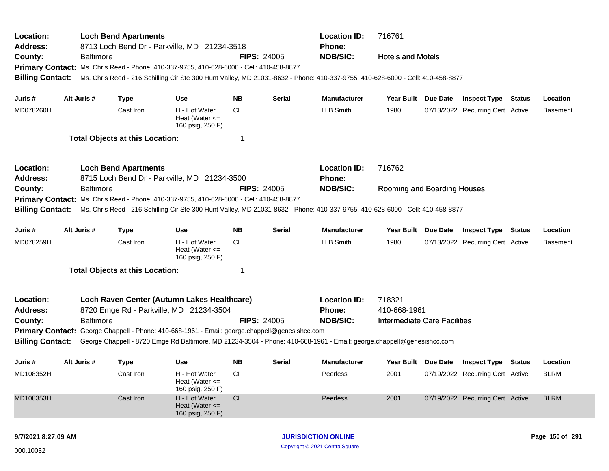| Location:<br><b>Address:</b>                                                                                                                     |             |                  | <b>Loch Bend Apartments</b>            | 8713 Loch Bend Dr - Parkville, MD 21234-3518                                                   |                    |               | <b>Location ID:</b><br><b>Phone:</b>                                                                                           | 716761                              |                 |                                  |        |                 |
|--------------------------------------------------------------------------------------------------------------------------------------------------|-------------|------------------|----------------------------------------|------------------------------------------------------------------------------------------------|--------------------|---------------|--------------------------------------------------------------------------------------------------------------------------------|-------------------------------------|-----------------|----------------------------------|--------|-----------------|
| County:                                                                                                                                          |             | <b>Baltimore</b> |                                        |                                                                                                | <b>FIPS: 24005</b> |               | <b>NOB/SIC:</b>                                                                                                                | <b>Hotels and Motels</b>            |                 |                                  |        |                 |
|                                                                                                                                                  |             |                  |                                        | Primary Contact: Ms. Chris Reed - Phone: 410-337-9755, 410-628-6000 - Cell: 410-458-8877       |                    |               |                                                                                                                                |                                     |                 |                                  |        |                 |
| <b>Billing Contact:</b>                                                                                                                          |             |                  |                                        |                                                                                                |                    |               | Ms. Chris Reed - 216 Schilling Cir Ste 300 Hunt Valley, MD 21031-8632 - Phone: 410-337-9755, 410-628-6000 - Cell: 410-458-8877 |                                     |                 |                                  |        |                 |
| Juris #                                                                                                                                          | Alt Juris # |                  | <b>Type</b>                            | Use                                                                                            | <b>NB</b>          | <b>Serial</b> | <b>Manufacturer</b>                                                                                                            | Year Built Due Date                 |                 | <b>Inspect Type Status</b>       |        | Location        |
| MD078260H                                                                                                                                        |             |                  | Cast Iron                              | H - Hot Water<br>Heat (Water $\leq$<br>160 psig, 250 F)                                        | CI                 |               | H B Smith                                                                                                                      | 1980                                |                 | 07/13/2022 Recurring Cert Active |        | <b>Basement</b> |
|                                                                                                                                                  |             |                  | <b>Total Objects at this Location:</b> |                                                                                                | -1                 |               |                                                                                                                                |                                     |                 |                                  |        |                 |
| Location:                                                                                                                                        |             |                  | <b>Loch Bend Apartments</b>            |                                                                                                |                    |               | <b>Location ID:</b>                                                                                                            | 716762                              |                 |                                  |        |                 |
| <b>Address:</b>                                                                                                                                  |             |                  |                                        | 8715 Loch Bend Dr - Parkville, MD 21234-3500                                                   |                    |               | <b>Phone:</b>                                                                                                                  |                                     |                 |                                  |        |                 |
| County:                                                                                                                                          |             | <b>Baltimore</b> |                                        |                                                                                                | <b>FIPS: 24005</b> |               | <b>NOB/SIC:</b>                                                                                                                | Rooming and Boarding Houses         |                 |                                  |        |                 |
|                                                                                                                                                  |             |                  |                                        | Primary Contact: Ms. Chris Reed - Phone: 410-337-9755, 410-628-6000 - Cell: 410-458-8877       |                    |               |                                                                                                                                |                                     |                 |                                  |        |                 |
| <b>Billing Contact:</b>                                                                                                                          |             |                  |                                        |                                                                                                |                    |               | Ms. Chris Reed - 216 Schilling Cir Ste 300 Hunt Valley, MD 21031-8632 - Phone: 410-337-9755, 410-628-6000 - Cell: 410-458-8877 |                                     |                 |                                  |        |                 |
| Juris #                                                                                                                                          | Alt Juris # |                  | <b>Type</b>                            | <b>Use</b>                                                                                     | <b>NB</b>          | <b>Serial</b> | <b>Manufacturer</b>                                                                                                            | <b>Year Built</b>                   | <b>Due Date</b> | <b>Inspect Type</b>              | Status | Location        |
| MD078259H                                                                                                                                        |             |                  | Cast Iron                              | H - Hot Water<br>Heat (Water $\leq$<br>160 psig, 250 F)                                        | CI                 |               | H B Smith                                                                                                                      | 1980                                |                 | 07/13/2022 Recurring Cert Active |        | <b>Basement</b> |
|                                                                                                                                                  |             |                  | <b>Total Objects at this Location:</b> |                                                                                                | -1                 |               |                                                                                                                                |                                     |                 |                                  |        |                 |
| Location:                                                                                                                                        |             |                  |                                        | Loch Raven Center (Autumn Lakes Healthcare)                                                    |                    |               | <b>Location ID:</b>                                                                                                            | 718321                              |                 |                                  |        |                 |
| <b>Address:</b>                                                                                                                                  |             |                  |                                        | 8720 Emge Rd - Parkville, MD 21234-3504                                                        |                    |               | Phone:                                                                                                                         | 410-668-1961                        |                 |                                  |        |                 |
| County:                                                                                                                                          |             | <b>Baltimore</b> |                                        |                                                                                                | <b>FIPS: 24005</b> |               | <b>NOB/SIC:</b>                                                                                                                | <b>Intermediate Care Facilities</b> |                 |                                  |        |                 |
|                                                                                                                                                  |             |                  |                                        | Primary Contact: George Chappell - Phone: 410-668-1961 - Email: george.chappell@genesishcc.com |                    |               |                                                                                                                                |                                     |                 |                                  |        |                 |
| <b>Billing Contact:</b><br>George Chappell - 8720 Emge Rd Baltimore, MD 21234-3504 - Phone: 410-668-1961 - Email: george.chappell@genesishcc.com |             |                  |                                        |                                                                                                |                    |               |                                                                                                                                |                                     |                 |                                  |        |                 |
| Juris #                                                                                                                                          | Alt Juris # |                  | <b>Type</b>                            | Use                                                                                            | <b>NB</b>          | <b>Serial</b> | <b>Manufacturer</b>                                                                                                            | Year Built Due Date                 |                 | <b>Inspect Type Status</b>       |        | Location        |
| MD108352H                                                                                                                                        |             |                  | Cast Iron                              | H - Hot Water<br>Heat (Water $\leq$<br>160 psig, 250 F)                                        | <b>CI</b>          |               | Peerless                                                                                                                       | 2001                                |                 | 07/19/2022 Recurring Cert Active |        | <b>BLRM</b>     |
| MD108353H                                                                                                                                        |             |                  | Cast Iron                              | H - Hot Water<br>Heat (Water $\leq$<br>160 psig, 250 F)                                        | CI                 |               | Peerless                                                                                                                       | 2001                                |                 | 07/19/2022 Recurring Cert Active |        | <b>BLRM</b>     |
| 9/7/2021 8:27:09 AM                                                                                                                              |             |                  |                                        |                                                                                                |                    |               | <b>JURISDICTION ONLINE</b>                                                                                                     |                                     |                 |                                  |        | Page 150 of 291 |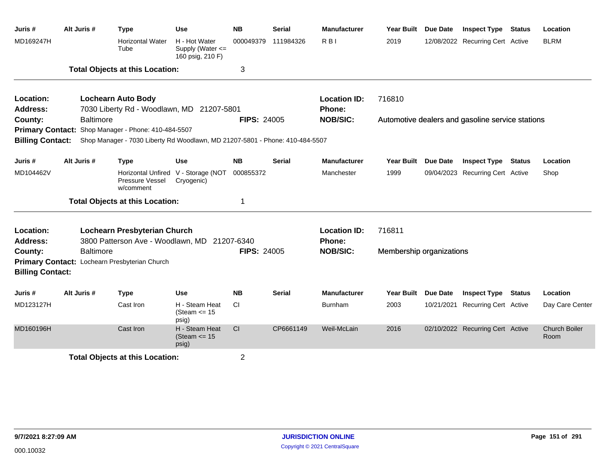| Juris #                 | Alt Juris #      | <b>Type</b>                                                                  | <b>Use</b>                                            | <b>NB</b>          | <b>Serial</b> | <b>Manufacturer</b> | <b>Year Built</b>        | <b>Due Date</b> | <b>Inspect Type</b>                              | <b>Status</b> | Location                     |
|-------------------------|------------------|------------------------------------------------------------------------------|-------------------------------------------------------|--------------------|---------------|---------------------|--------------------------|-----------------|--------------------------------------------------|---------------|------------------------------|
| MD169247H               |                  | <b>Horizontal Water</b><br>Tube                                              | H - Hot Water<br>Supply (Water <=<br>160 psig, 210 F) | 000049379          | 111984326     | R B I               | 2019                     |                 | 12/08/2022 Recurring Cert Active                 |               | <b>BLRM</b>                  |
|                         |                  | <b>Total Objects at this Location:</b>                                       |                                                       | 3                  |               |                     |                          |                 |                                                  |               |                              |
| Location:               |                  | <b>Lochearn Auto Body</b>                                                    |                                                       |                    |               | <b>Location ID:</b> | 716810                   |                 |                                                  |               |                              |
| Address:                |                  | 7030 Liberty Rd - Woodlawn, MD 21207-5801                                    |                                                       |                    |               | <b>Phone:</b>       |                          |                 |                                                  |               |                              |
| County:                 | <b>Baltimore</b> |                                                                              |                                                       | <b>FIPS: 24005</b> |               | <b>NOB/SIC:</b>     |                          |                 | Automotive dealers and gasoline service stations |               |                              |
|                         |                  | Primary Contact: Shop Manager - Phone: 410-484-5507                          |                                                       |                    |               |                     |                          |                 |                                                  |               |                              |
| <b>Billing Contact:</b> |                  | Shop Manager - 7030 Liberty Rd Woodlawn, MD 21207-5801 - Phone: 410-484-5507 |                                                       |                    |               |                     |                          |                 |                                                  |               |                              |
| Juris #                 | Alt Juris #      | <b>Type</b>                                                                  | <b>Use</b>                                            | <b>NB</b>          | Serial        | <b>Manufacturer</b> | <b>Year Built</b>        | Due Date        | <b>Inspect Type</b>                              | <b>Status</b> | Location                     |
| MD104462V               |                  | Pressure Vessel<br>w/comment                                                 | Horizontal Unfired V - Storage (NOT<br>Cryogenic)     | 000855372          |               | Manchester          | 1999                     |                 | 09/04/2023 Recurring Cert Active                 |               | Shop                         |
|                         |                  | <b>Total Objects at this Location:</b>                                       |                                                       | 1                  |               |                     |                          |                 |                                                  |               |                              |
| Location:               |                  | <b>Lochearn Presbyterian Church</b>                                          |                                                       |                    |               | <b>Location ID:</b> | 716811                   |                 |                                                  |               |                              |
| <b>Address:</b>         |                  | 3800 Patterson Ave - Woodlawn, MD                                            |                                                       | 21207-6340         |               | Phone:              |                          |                 |                                                  |               |                              |
| County:                 | <b>Baltimore</b> |                                                                              |                                                       | <b>FIPS: 24005</b> |               | <b>NOB/SIC:</b>     | Membership organizations |                 |                                                  |               |                              |
| <b>Billing Contact:</b> |                  | Primary Contact: Lochearn Presbyterian Church                                |                                                       |                    |               |                     |                          |                 |                                                  |               |                              |
| Juris #                 | Alt Juris #      | <b>Type</b>                                                                  | <b>Use</b>                                            | <b>NB</b>          | <b>Serial</b> | <b>Manufacturer</b> | Year Built Due Date      |                 | <b>Inspect Type</b>                              | <b>Status</b> | Location                     |
| MD123127H               |                  | Cast Iron                                                                    | H - Steam Heat<br>(Steam $\le$ 15<br>psig)            | <b>CI</b>          |               | <b>Burnham</b>      | 2003                     |                 | 10/21/2021 Recurring Cert Active                 |               | Day Care Center              |
| MD160196H               |                  | Cast Iron                                                                    | H - Steam Heat<br>(Steam $\le$ 15<br>psig)            | CI                 | CP6661149     | Weil-McLain         | 2016                     |                 | 02/10/2022 Recurring Cert Active                 |               | <b>Church Boiler</b><br>Room |
|                         |                  | <b>Total Objects at this Location:</b>                                       |                                                       | 2                  |               |                     |                          |                 |                                                  |               |                              |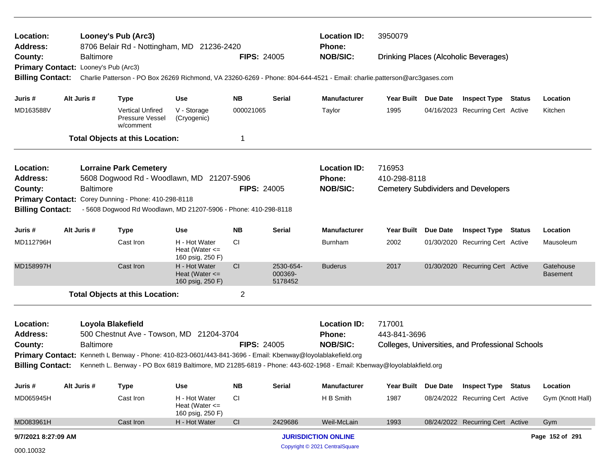| Location:<br><b>Address:</b>                                                                                            |  | <b>Location ID:</b><br>3950079<br>Looney's Pub (Arc3)<br>8706 Belair Rd - Nottingham, MD 21236-2420<br>Phone: |                                                                                                            |                                                         |                    |                                 |                                                                                                                         |                   |                                                                                                                                                                                                                                                                                                                                                                    |                                              |  |                  |
|-------------------------------------------------------------------------------------------------------------------------|--|---------------------------------------------------------------------------------------------------------------|------------------------------------------------------------------------------------------------------------|---------------------------------------------------------|--------------------|---------------------------------|-------------------------------------------------------------------------------------------------------------------------|-------------------|--------------------------------------------------------------------------------------------------------------------------------------------------------------------------------------------------------------------------------------------------------------------------------------------------------------------------------------------------------------------|----------------------------------------------|--|------------------|
| County:                                                                                                                 |  | <b>Baltimore</b>                                                                                              |                                                                                                            |                                                         | <b>FIPS: 24005</b> |                                 | <b>NOB/SIC:</b>                                                                                                         |                   |                                                                                                                                                                                                                                                                                                                                                                    | <b>Drinking Places (Alcoholic Beverages)</b> |  |                  |
| Primary Contact: Looney's Pub (Arc3)                                                                                    |  |                                                                                                               |                                                                                                            |                                                         |                    |                                 |                                                                                                                         |                   |                                                                                                                                                                                                                                                                                                                                                                    |                                              |  |                  |
| <b>Billing Contact:</b>                                                                                                 |  |                                                                                                               |                                                                                                            |                                                         |                    |                                 | Charlie Patterson - PO Box 26269 Richmond, VA 23260-6269 - Phone: 804-644-4521 - Email: charlie.patterson@arc3gases.com |                   |                                                                                                                                                                                                                                                                                                                                                                    |                                              |  |                  |
| Juris #                                                                                                                 |  | Alt Juris #                                                                                                   | <b>Type</b>                                                                                                | Use                                                     | <b>NB</b>          | <b>Serial</b>                   | <b>Manufacturer</b>                                                                                                     |                   |                                                                                                                                                                                                                                                                                                                                                                    |                                              |  | Location         |
| MD163588V                                                                                                               |  |                                                                                                               | <b>Vertical Unfired</b><br>Pressure Vessel<br>w/comment                                                    | V - Storage<br>(Cryogenic)                              | 000021065          |                                 | Taylor                                                                                                                  | 1995              |                                                                                                                                                                                                                                                                                                                                                                    |                                              |  | Kitchen          |
|                                                                                                                         |  |                                                                                                               | <b>Total Objects at this Location:</b>                                                                     |                                                         | 1                  |                                 |                                                                                                                         |                   |                                                                                                                                                                                                                                                                                                                                                                    |                                              |  |                  |
| Location:                                                                                                               |  |                                                                                                               | <b>Lorraine Park Cemetery</b>                                                                              |                                                         |                    |                                 | <b>Location ID:</b>                                                                                                     | 716953            |                                                                                                                                                                                                                                                                                                                                                                    |                                              |  |                  |
| Address:                                                                                                                |  |                                                                                                               | 5608 Dogwood Rd - Woodlawn, MD 21207-5906                                                                  |                                                         |                    |                                 | Phone:                                                                                                                  | 410-298-8118      | Year Built Due Date<br><b>Inspect Type Status</b><br>04/16/2023 Recurring Cert Active<br><b>Cemetery Subdividers and Developers</b><br><b>Inspect Type Status</b><br>Due Date<br>Location<br>01/30/2020 Recurring Cert Active<br>Mausoleum<br>01/30/2020 Recurring Cert Active<br>Gatehouse<br><b>Basement</b><br>Colleges, Universities, and Professional Schools |                                              |  |                  |
| County:                                                                                                                 |  | <b>Baltimore</b>                                                                                              |                                                                                                            |                                                         | <b>FIPS: 24005</b> |                                 | <b>NOB/SIC:</b>                                                                                                         |                   |                                                                                                                                                                                                                                                                                                                                                                    |                                              |  |                  |
| Primary Contact: Corey Dunning - Phone: 410-298-8118<br>- 5608 Dogwood Rd Woodlawn, MD 21207-5906 - Phone: 410-298-8118 |  |                                                                                                               |                                                                                                            |                                                         |                    |                                 |                                                                                                                         |                   |                                                                                                                                                                                                                                                                                                                                                                    |                                              |  |                  |
| <b>Billing Contact:</b>                                                                                                 |  |                                                                                                               |                                                                                                            |                                                         |                    |                                 |                                                                                                                         |                   |                                                                                                                                                                                                                                                                                                                                                                    |                                              |  |                  |
| Juris #                                                                                                                 |  | Alt Juris #                                                                                                   | <b>Type</b>                                                                                                | Use                                                     | <b>NB</b>          | <b>Serial</b>                   | <b>Manufacturer</b>                                                                                                     | <b>Year Built</b> |                                                                                                                                                                                                                                                                                                                                                                    |                                              |  |                  |
| MD112796H                                                                                                               |  |                                                                                                               | Cast Iron                                                                                                  | H - Hot Water<br>Heat (Water $\leq$<br>160 psig, 250 F) | <b>CI</b>          |                                 | <b>Burnham</b>                                                                                                          | 2002              |                                                                                                                                                                                                                                                                                                                                                                    |                                              |  |                  |
| MD158997H                                                                                                               |  |                                                                                                               | Cast Iron                                                                                                  | H - Hot Water<br>Heat (Water $\leq$<br>160 psig, 250 F) | <b>CI</b>          | 2530-654-<br>000369-<br>5178452 | <b>Buderus</b>                                                                                                          | 2017              |                                                                                                                                                                                                                                                                                                                                                                    |                                              |  |                  |
|                                                                                                                         |  |                                                                                                               | <b>Total Objects at this Location:</b>                                                                     |                                                         | $\overline{2}$     |                                 |                                                                                                                         |                   |                                                                                                                                                                                                                                                                                                                                                                    |                                              |  |                  |
| Location:                                                                                                               |  |                                                                                                               | Loyola Blakefield                                                                                          |                                                         |                    |                                 | <b>Location ID:</b>                                                                                                     | 717001            |                                                                                                                                                                                                                                                                                                                                                                    |                                              |  |                  |
| <b>Address:</b>                                                                                                         |  |                                                                                                               | 500 Chestnut Ave - Towson, MD 21204-3704                                                                   |                                                         |                    |                                 | Phone:                                                                                                                  | 443-841-3696      |                                                                                                                                                                                                                                                                                                                                                                    |                                              |  |                  |
| County:                                                                                                                 |  | <b>Baltimore</b>                                                                                              |                                                                                                            |                                                         | <b>FIPS: 24005</b> |                                 | <b>NOB/SIC:</b>                                                                                                         |                   |                                                                                                                                                                                                                                                                                                                                                                    |                                              |  |                  |
|                                                                                                                         |  |                                                                                                               | Primary Contact: Kenneth L Benway - Phone: 410-823-0601/443-841-3696 - Email: Kbenway@loyolablakefield.org |                                                         |                    |                                 |                                                                                                                         |                   |                                                                                                                                                                                                                                                                                                                                                                    |                                              |  |                  |
| <b>Billing Contact:</b>                                                                                                 |  |                                                                                                               |                                                                                                            |                                                         |                    |                                 | Kenneth L. Benway - PO Box 6819 Baltimore, MD 21285-6819 - Phone: 443-602-1968 - Email: Kbenway@loyolablakfield.org     |                   |                                                                                                                                                                                                                                                                                                                                                                    |                                              |  |                  |
| Juris #                                                                                                                 |  | Alt Juris #                                                                                                   | <b>Type</b>                                                                                                | <b>Use</b>                                              | <b>NB</b>          | <b>Serial</b>                   | <b>Manufacturer</b>                                                                                                     | <b>Year Built</b> | <b>Due Date</b>                                                                                                                                                                                                                                                                                                                                                    | <b>Inspect Type Status</b>                   |  | Location         |
| MD065945H                                                                                                               |  |                                                                                                               | Cast Iron                                                                                                  | H - Hot Water<br>Heat (Water $\leq$<br>160 psig, 250 F) | <b>CI</b>          |                                 | H B Smith                                                                                                               | 1987              |                                                                                                                                                                                                                                                                                                                                                                    | 08/24/2022 Recurring Cert Active             |  | Gym (Knott Hall) |
| MD083961H                                                                                                               |  |                                                                                                               | Cast Iron                                                                                                  | H - Hot Water                                           | CI                 | 2429686                         | Weil-McLain                                                                                                             | 1993              |                                                                                                                                                                                                                                                                                                                                                                    | 08/24/2022 Recurring Cert Active             |  | Gym              |
| 9/7/2021 8:27:09 AM                                                                                                     |  |                                                                                                               |                                                                                                            |                                                         |                    |                                 | <b>JURISDICTION ONLINE</b>                                                                                              |                   |                                                                                                                                                                                                                                                                                                                                                                    |                                              |  | Page 152 of 291  |
| 000.10032                                                                                                               |  |                                                                                                               |                                                                                                            |                                                         |                    |                                 | Copyright © 2021 CentralSquare                                                                                          |                   |                                                                                                                                                                                                                                                                                                                                                                    |                                              |  |                  |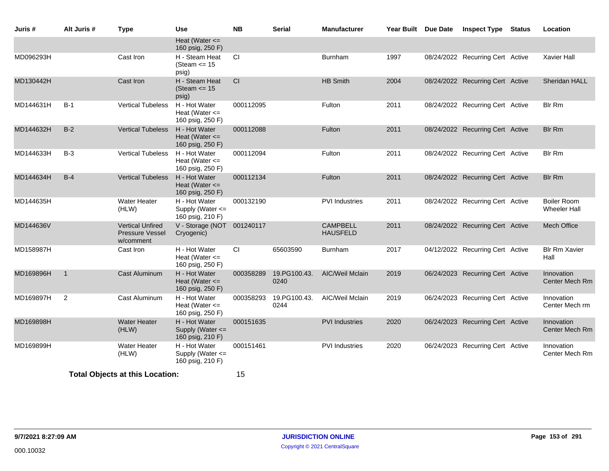| Juris #   | Alt Juris #    | <b>Type</b>                                                    | <b>Use</b>                                                | <b>NB</b> | <b>Serial</b>        | <b>Manufacturer</b>                | Year Built Due Date | <b>Inspect Type</b>              | Status | Location                                  |
|-----------|----------------|----------------------------------------------------------------|-----------------------------------------------------------|-----------|----------------------|------------------------------------|---------------------|----------------------------------|--------|-------------------------------------------|
|           |                |                                                                | Heat (Water $\leq$<br>160 psig, 250 F)                    |           |                      |                                    |                     |                                  |        |                                           |
| MD096293H |                | Cast Iron                                                      | H - Steam Heat<br>(Steam $\leq$ 15<br>psig)               | <b>CI</b> |                      | <b>Burnham</b>                     | 1997                | 08/24/2022 Recurring Cert Active |        | Xavier Hall                               |
| MD130442H |                | Cast Iron                                                      | H - Steam Heat<br>(Steam $\le$ 15<br>psig)                | CI        |                      | <b>HB Smith</b>                    | 2004                | 08/24/2022 Recurring Cert Active |        | <b>Sheridan HALL</b>                      |
| MD144631H | $B-1$          | <b>Vertical Tubeless</b>                                       | H - Hot Water<br>Heat (Water $\leq$<br>160 psig, 250 F)   | 000112095 |                      | Fulton                             | 2011                | 08/24/2022 Recurring Cert Active |        | <b>Blr Rm</b>                             |
| MD144632H | $B-2$          | <b>Vertical Tubeless</b>                                       | H - Hot Water<br>Heat (Water $\leq$<br>160 psig, 250 F)   | 000112088 |                      | Fulton                             | 2011                | 08/24/2022 Recurring Cert Active |        | <b>Blr Rm</b>                             |
| MD144633H | $B-3$          | <b>Vertical Tubeless</b>                                       | H - Hot Water<br>Heat (Water $<=$<br>160 psig, 250 F)     | 000112094 |                      | Fulton                             | 2011                | 08/24/2022 Recurring Cert Active |        | <b>Blr Rm</b>                             |
| MD144634H | $B-4$          | <b>Vertical Tubeless</b>                                       | H - Hot Water<br>Heat (Water $\leq$<br>160 psig, 250 F)   | 000112134 |                      | Fulton                             | 2011                | 08/24/2022 Recurring Cert Active |        | <b>Blr Rm</b>                             |
| MD144635H |                | <b>Water Heater</b><br>(HLW)                                   | H - Hot Water<br>Supply (Water <=<br>160 psig, 210 F)     | 000132190 |                      | <b>PVI</b> Industries              | 2011                | 08/24/2022 Recurring Cert Active |        | <b>Boiler Room</b><br><b>Wheeler Hall</b> |
| MD144636V |                | <b>Vertical Unfired</b><br><b>Pressure Vessel</b><br>w/comment | V - Storage (NOT 001240117<br>Cryogenic)                  |           |                      | <b>CAMPBELL</b><br><b>HAUSFELD</b> | 2011                | 08/24/2022 Recurring Cert Active |        | <b>Mech Office</b>                        |
| MD158987H |                | Cast Iron                                                      | H - Hot Water<br>Heat (Water $\leq$<br>160 psig, 250 F)   | <b>CI</b> | 65603590             | Burnham                            | 2017                | 04/12/2022 Recurring Cert Active |        | <b>Blr Rm Xavier</b><br>Hall              |
| MD169896H | $\overline{1}$ | Cast Aluminum                                                  | H - Hot Water<br>Heat (Water $\leq$<br>160 psig, 250 F)   | 000358289 | 19.PG100.43.<br>0240 | AIC/Weil Mclain                    | 2019                | 06/24/2023 Recurring Cert Active |        | Innovation<br>Center Mech Rm              |
| MD169897H | 2              | Cast Aluminum                                                  | H - Hot Water<br>Heat (Water $\leq$<br>160 psig, 250 F)   | 000358293 | 19.PG100.43.<br>0244 | AIC/Weil Mclain                    | 2019                | 06/24/2023 Recurring Cert Active |        | Innovation<br>Center Mech rm              |
| MD169898H |                | <b>Water Heater</b><br>(HLW)                                   | H - Hot Water<br>Supply (Water <=<br>160 psig, 210 F)     | 000151635 |                      | <b>PVI</b> Industries              | 2020                | 06/24/2023 Recurring Cert Active |        | Innovation<br>Center Mech Rm              |
| MD169899H |                | Water Heater<br>(HLW)                                          | H - Hot Water<br>Supply (Water $\leq$<br>160 psig, 210 F) | 000151461 |                      | <b>PVI</b> Industries              | 2020                | 06/24/2023 Recurring Cert Active |        | Innovation<br>Center Mech Rm              |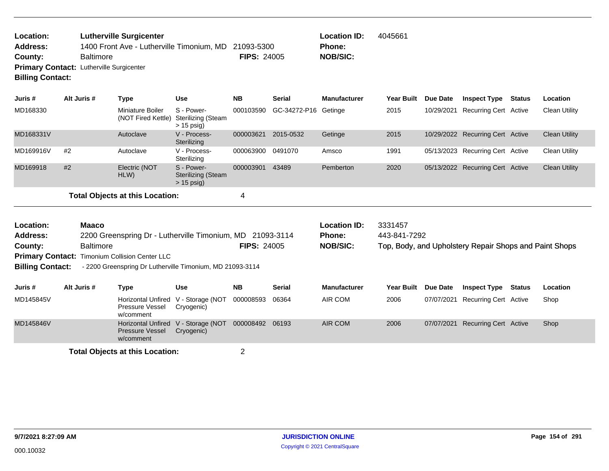| Location:               | <b>Lutherville Surgicenter</b>                       |                    | <b>Location ID:</b> | 4045661 |
|-------------------------|------------------------------------------------------|--------------------|---------------------|---------|
| <b>Address:</b>         | 1400 Front Ave - Lutherville Timonium, MD 21093-5300 |                    | <b>Phone:</b>       |         |
| County:                 | <b>Baltimore</b>                                     | <b>FIPS: 24005</b> | <b>NOB/SIC:</b>     |         |
|                         | <b>Primary Contact: Lutherville Surgicenter</b>      |                    |                     |         |
| <b>Billing Contact:</b> |                                                      |                    |                     |         |
|                         |                                                      |                    |                     |         |

| Juris #   | Alt Juris # | Type                                   | <b>Use</b>                                       | <b>NB</b> | <b>Serial</b>        | <b>Manufacturer</b> | <b>Year Built</b> | <b>Due Date</b> | <b>Inspect Type</b>              | Status | Location             |
|-----------|-------------|----------------------------------------|--------------------------------------------------|-----------|----------------------|---------------------|-------------------|-----------------|----------------------------------|--------|----------------------|
| MD168330  |             | Miniature Boiler<br>(NOT Fired Kettle) | S - Power-<br>Sterilizing (Steam<br>$> 15$ psig) | 000103590 | GC-34272-P16 Getinge |                     | 2015              |                 | 10/29/2021 Recurring Cert Active |        | <b>Clean Utility</b> |
| MD168331V |             | Autoclave                              | V - Process-<br>Sterilizing                      | 000003621 | 2015-0532            | Getinge             | 2015              |                 | 10/29/2022 Recurring Cert Active |        | <b>Clean Utility</b> |
| MD169916V | #2          | Autoclave                              | V - Process-<br>Sterilizing                      | 000063900 | 0491070              | Amsco               | 1991              |                 | 05/13/2023 Recurring Cert Active |        | <b>Clean Utility</b> |
| MD169918  | #2          | Electric (NOT<br>HLW)                  | S - Power-<br>Sterilizing (Steam<br>$> 15$ psig) | 000003901 | 43489                | Pemberton           | 2020              |                 | 05/13/2022 Recurring Cert Active |        | <b>Clean Utility</b> |
|           |             | <b>Total Objects at this Location:</b> |                                                  |           |                      |                     |                   |                 |                                  |        |                      |

| Location:<br>Address:<br>County:<br><b>Billing Contact:</b> | Maaco<br><b>Baltimore</b> | <b>Primary Contact: Timonium Collision Center LLC</b><br>- 2200 Greenspring Dr Lutherville Timonium, MD 21093-3114 |                                | <b>Location ID:</b><br>2200 Greenspring Dr - Lutherville Timonium, MD 21093-3114<br><b>Phone:</b><br><b>NOB/SIC:</b><br><b>FIPS: 24005</b> |               |                     | 3331457<br>443-841-7292<br>Top, Body, and Upholstery Repair Shops and Paint Shops |            |                              |        |          |  |  |
|-------------------------------------------------------------|---------------------------|--------------------------------------------------------------------------------------------------------------------|--------------------------------|--------------------------------------------------------------------------------------------------------------------------------------------|---------------|---------------------|-----------------------------------------------------------------------------------|------------|------------------------------|--------|----------|--|--|
| Juris #                                                     | Alt Juris #               | <b>Type</b>                                                                                                        | Use                            | <b>NB</b>                                                                                                                                  | <b>Serial</b> | <b>Manufacturer</b> | Year Built                                                                        | Due Date   | <b>Inspect Type</b>          | Status | Location |  |  |
| MD145845V                                                   |                           | Horizontal Unfired<br><b>Pressure Vessel</b><br>w/comment                                                          | V - Storage (NOT<br>Cryogenic) | 000008593                                                                                                                                  | 06364         | AIR COM             | 2006                                                                              | 07/07/2021 | Recurring Cert Active        |        | Shop     |  |  |
| MD145846V                                                   |                           | <b>Horizontal Unfired</b><br><b>Pressure Vessel</b><br>w/comment                                                   | V - Storage (NOT<br>Cryogenic) | 000008492                                                                                                                                  | 06193         | AIR COM             | 2006                                                                              | 07/07/2021 | <b>Recurring Cert Active</b> |        | Shop     |  |  |
|                                                             |                           | <b>Total Objects at this Location:</b>                                                                             |                                | 2                                                                                                                                          |               |                     |                                                                                   |            |                              |        |          |  |  |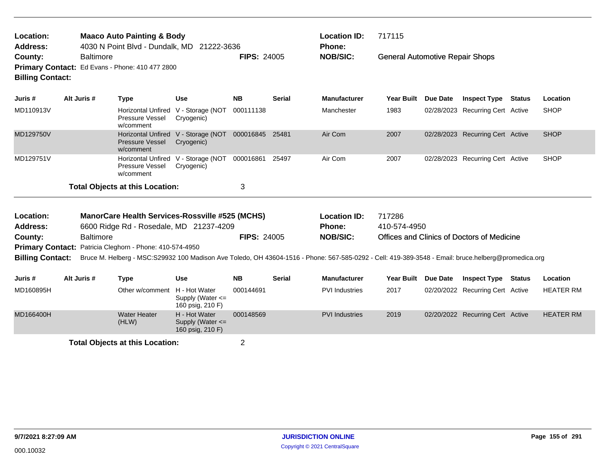| Location:<br><b>Maaco Auto Painting &amp; Body</b><br><b>Address:</b><br>4030 N Point Blvd - Dundalk, MD 21222-3636<br><b>Baltimore</b><br><b>FIPS: 24005</b><br>County:<br>Primary Contact: Ed Evans - Phone: 410 477 2800<br><b>Billing Contact:</b> |             |                                                                  |                                |           |               | 717115<br><b>Location ID:</b><br>Phone:<br><b>NOB/SIC:</b><br><b>General Automotive Repair Shops</b> |            |          |                                  |        |             |
|--------------------------------------------------------------------------------------------------------------------------------------------------------------------------------------------------------------------------------------------------------|-------------|------------------------------------------------------------------|--------------------------------|-----------|---------------|------------------------------------------------------------------------------------------------------|------------|----------|----------------------------------|--------|-------------|
| Juris #                                                                                                                                                                                                                                                | Alt Juris # | Type                                                             | <b>Use</b>                     | <b>NB</b> | <b>Serial</b> | <b>Manufacturer</b>                                                                                  | Year Built | Due Date | <b>Inspect Type</b>              | Status | Location    |
| MD110913V                                                                                                                                                                                                                                              |             | Horizontal Unfired<br>Pressure Vessel<br>w/comment               | V - Storage (NOT<br>Cryogenic) | 000111138 |               | Manchester                                                                                           | 1983       |          | 02/28/2023 Recurring Cert Active |        | <b>SHOP</b> |
| MD129750V                                                                                                                                                                                                                                              |             | <b>Horizontal Unfired</b><br><b>Pressure Vessel</b><br>w/comment | V - Storage (NOT<br>Cryogenic) | 000016845 | 25481         | Air Com                                                                                              | 2007       |          | 02/28/2023 Recurring Cert Active |        | <b>SHOP</b> |
| MD129751V                                                                                                                                                                                                                                              |             | Horizontal Unfired<br>Pressure Vessel<br>w/comment               | V - Storage (NOT<br>Cryogenic) | 000016861 | 25497         | Air Com                                                                                              | 2007       |          | 02/28/2023 Recurring Cert Active |        | <b>SHOP</b> |

| Location:                                                       |                  |      |                                         | ManorCare Health Services-Rossville #525 (MCHS)<br><b>Location ID:</b><br>717286 |                    |                                                                                                                                                     |                                            |                 |                     |               |          |
|-----------------------------------------------------------------|------------------|------|-----------------------------------------|----------------------------------------------------------------------------------|--------------------|-----------------------------------------------------------------------------------------------------------------------------------------------------|--------------------------------------------|-----------------|---------------------|---------------|----------|
| <b>Address:</b>                                                 |                  |      | 6600 Ridge Rd - Rosedale, MD 21237-4209 |                                                                                  |                    | <b>Phone:</b>                                                                                                                                       | 410-574-4950                               |                 |                     |               |          |
| County:                                                         | <b>Baltimore</b> |      |                                         |                                                                                  | <b>FIPS: 24005</b> | <b>NOB/SIC:</b>                                                                                                                                     | Offices and Clinics of Doctors of Medicine |                 |                     |               |          |
| <b>Primary Contact: Patricia Cleghorn - Phone: 410-574-4950</b> |                  |      |                                         |                                                                                  |                    |                                                                                                                                                     |                                            |                 |                     |               |          |
| <b>Billing Contact:</b>                                         |                  |      |                                         |                                                                                  |                    | Bruce M. Helberg - MSC:S29932 100 Madison Ave Toledo, OH 43604-1516 - Phone: 567-585-0292 - Cell: 419-389-3548 - Email: bruce.helberg@promedica.org |                                            |                 |                     |               |          |
|                                                                 |                  |      |                                         |                                                                                  |                    |                                                                                                                                                     |                                            |                 |                     |               |          |
| Juris #                                                         | Alt Juris #      | Type | Use                                     | <b>NB</b>                                                                        | <b>Serial</b>      | <b>Manufacturer</b>                                                                                                                                 | <b>Year Built</b>                          | <b>Due Date</b> | <b>Inspect Type</b> | <b>Status</b> | Location |

| Juris #   | Alt Juris # | Type                                   | Use                                                       | NB.       | Serial | Manutacturer          | Year Built | Due Date | <b>Inspect Type</b>              | Status | Location         |
|-----------|-------------|----------------------------------------|-----------------------------------------------------------|-----------|--------|-----------------------|------------|----------|----------------------------------|--------|------------------|
| MD160895H |             | Other w/comment H - Hot Water          | Supply (Water $\leq$<br>160 psig, 210 F)                  | 000144691 |        | <b>PVI</b> Industries | 2017       |          | 02/20/2022 Recurring Cert Active |        | <b>HEATER RM</b> |
| MD166400H |             | <b>Water Heater</b><br>(HLW)           | H - Hot Water<br>Supply (Water $\leq$<br>160 psig, 210 F) | 000148569 |        | <b>PVI</b> Industries | 2019       |          | 02/20/2022 Recurring Cert Active |        | <b>HEATER RM</b> |
|           |             | <b>Total Objects at this Location:</b> |                                                           |           |        |                       |            |          |                                  |        |                  |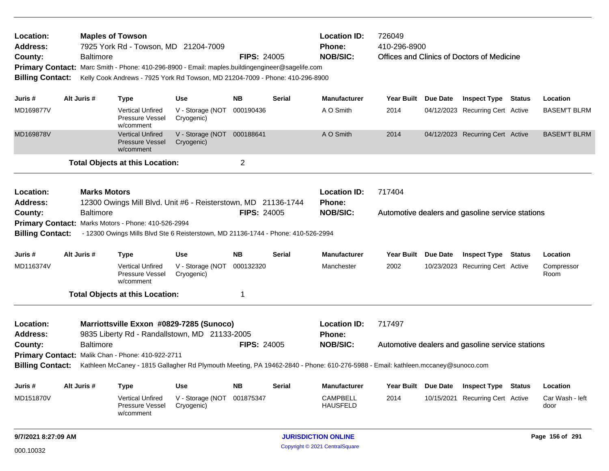| Location:<br>Address:<br>County:                                                                                                                           | 726049<br><b>Maples of Towson</b><br><b>Location ID:</b><br>7925 York Rd - Towson, MD 21204-7009<br>410-296-8900<br>Phone:<br><b>NOB/SIC:</b><br><b>FIPS: 24005</b><br>Offices and Clinics of Doctors of Medicine<br><b>Baltimore</b><br>Primary Contact: Marc Smith - Phone: 410-296-8900 - Email: maples.buildingengineer@sagelife.com<br>Kelly Cook Andrews - 7925 York Rd Towson, MD 21204-7009 - Phone: 410-296-8900<br><b>Billing Contact:</b><br>Alt Juris #<br>Use<br>NB.<br><b>Serial</b><br><b>Manufacturer</b><br><b>Year Built</b> |                     |                                                                |                                                                                   |                    |               |                                      |                                                  |                 |                                                  |               |                         |
|------------------------------------------------------------------------------------------------------------------------------------------------------------|------------------------------------------------------------------------------------------------------------------------------------------------------------------------------------------------------------------------------------------------------------------------------------------------------------------------------------------------------------------------------------------------------------------------------------------------------------------------------------------------------------------------------------------------|---------------------|----------------------------------------------------------------|-----------------------------------------------------------------------------------|--------------------|---------------|--------------------------------------|--------------------------------------------------|-----------------|--------------------------------------------------|---------------|-------------------------|
| Juris #                                                                                                                                                    |                                                                                                                                                                                                                                                                                                                                                                                                                                                                                                                                                |                     | <b>Type</b>                                                    |                                                                                   |                    |               |                                      |                                                  | Due Date        | <b>Inspect Type Status</b>                       |               | Location                |
| MD169877V                                                                                                                                                  |                                                                                                                                                                                                                                                                                                                                                                                                                                                                                                                                                |                     | <b>Vertical Unfired</b><br>Pressure Vessel<br>w/comment        | V - Storage (NOT<br>Cryogenic)                                                    | 000190436          |               | A O Smith                            | 2014                                             |                 | 04/12/2023 Recurring Cert Active                 |               | <b>BASEM'T BLRM</b>     |
| MD169878V                                                                                                                                                  |                                                                                                                                                                                                                                                                                                                                                                                                                                                                                                                                                |                     | <b>Vertical Unfired</b><br><b>Pressure Vessel</b><br>w/comment | V - Storage (NOT 000188641<br>Cryogenic)                                          |                    |               | A O Smith                            | 2014                                             |                 | 04/12/2023 Recurring Cert Active                 |               | <b>BASEM'T BLRM</b>     |
|                                                                                                                                                            |                                                                                                                                                                                                                                                                                                                                                                                                                                                                                                                                                |                     | <b>Total Objects at this Location:</b>                         |                                                                                   | $\overline{2}$     |               |                                      |                                                  |                 |                                                  |               |                         |
| Location:<br><b>Address:</b>                                                                                                                               |                                                                                                                                                                                                                                                                                                                                                                                                                                                                                                                                                | <b>Marks Motors</b> |                                                                | 12300 Owings Mill Blvd. Unit #6 - Reisterstown, MD 21136-1744                     |                    |               | <b>Location ID:</b><br><b>Phone:</b> | 717404                                           |                 |                                                  |               |                         |
| County:                                                                                                                                                    |                                                                                                                                                                                                                                                                                                                                                                                                                                                                                                                                                | <b>Baltimore</b>    |                                                                |                                                                                   | <b>FIPS: 24005</b> |               | <b>NOB/SIC:</b>                      | Automotive dealers and gasoline service stations |                 |                                                  |               |                         |
|                                                                                                                                                            |                                                                                                                                                                                                                                                                                                                                                                                                                                                                                                                                                |                     | Primary Contact: Marks Motors - Phone: 410-526-2994            |                                                                                   |                    |               |                                      |                                                  |                 |                                                  |               |                         |
| <b>Billing Contact:</b>                                                                                                                                    |                                                                                                                                                                                                                                                                                                                                                                                                                                                                                                                                                |                     |                                                                | - 12300 Owings Mills Blvd Ste 6 Reisterstown, MD 21136-1744 - Phone: 410-526-2994 |                    |               |                                      |                                                  |                 |                                                  |               |                         |
| Juris #                                                                                                                                                    |                                                                                                                                                                                                                                                                                                                                                                                                                                                                                                                                                | Alt Juris #         | <b>Type</b>                                                    | <b>Use</b>                                                                        | <b>NB</b>          | <b>Serial</b> | <b>Manufacturer</b>                  | <b>Year Built</b>                                | Due Date        | <b>Inspect Type</b>                              | Status        | Location                |
| MD116374V                                                                                                                                                  |                                                                                                                                                                                                                                                                                                                                                                                                                                                                                                                                                |                     | <b>Vertical Unfired</b><br><b>Pressure Vessel</b><br>w/comment | V - Storage (NOT<br>Cryogenic)                                                    | 000132320          |               | Manchester                           | 2002                                             |                 | 10/23/2023 Recurring Cert Active                 |               | Compressor<br>Room      |
|                                                                                                                                                            |                                                                                                                                                                                                                                                                                                                                                                                                                                                                                                                                                |                     | <b>Total Objects at this Location:</b>                         |                                                                                   | 1                  |               |                                      |                                                  |                 |                                                  |               |                         |
| Location:                                                                                                                                                  |                                                                                                                                                                                                                                                                                                                                                                                                                                                                                                                                                |                     |                                                                | Marriottsville Exxon #0829-7285 (Sunoco)                                          |                    |               | <b>Location ID:</b>                  | 717497                                           |                 |                                                  |               |                         |
| <b>Address:</b>                                                                                                                                            |                                                                                                                                                                                                                                                                                                                                                                                                                                                                                                                                                |                     |                                                                | 9835 Liberty Rd - Randallstown, MD 21133-2005                                     |                    |               | <b>Phone:</b>                        |                                                  |                 |                                                  |               |                         |
| County:                                                                                                                                                    |                                                                                                                                                                                                                                                                                                                                                                                                                                                                                                                                                | <b>Baltimore</b>    |                                                                |                                                                                   | <b>FIPS: 24005</b> |               | <b>NOB/SIC:</b>                      |                                                  |                 | Automotive dealers and gasoline service stations |               |                         |
|                                                                                                                                                            |                                                                                                                                                                                                                                                                                                                                                                                                                                                                                                                                                |                     | Primary Contact: Malik Chan - Phone: 410-922-2711              |                                                                                   |                    |               |                                      |                                                  |                 |                                                  |               |                         |
| <b>Billing Contact:</b><br>Kathleen McCaney - 1815 Gallagher Rd Plymouth Meeting, PA 19462-2840 - Phone: 610-276-5988 - Email: kathleen.mccaney@sunoco.com |                                                                                                                                                                                                                                                                                                                                                                                                                                                                                                                                                |                     |                                                                |                                                                                   |                    |               |                                      |                                                  |                 |                                                  |               |                         |
| Juris #                                                                                                                                                    |                                                                                                                                                                                                                                                                                                                                                                                                                                                                                                                                                | Alt Juris #         | <b>Type</b>                                                    | Use                                                                               | <b>NB</b>          | Serial        | <b>Manufacturer</b>                  | <b>Year Built</b>                                | <b>Due Date</b> | <b>Inspect Type</b>                              | <b>Status</b> | Location                |
| MD151870V                                                                                                                                                  |                                                                                                                                                                                                                                                                                                                                                                                                                                                                                                                                                |                     | <b>Vertical Unfired</b><br>Pressure Vessel<br>w/comment        | V - Storage (NOT<br>Cryogenic)                                                    | 001875347          |               | <b>CAMPBELL</b><br><b>HAUSFELD</b>   | 2014                                             | 10/15/2021      | <b>Recurring Cert Active</b>                     |               | Car Wash - left<br>door |
| 9/7/2021 8:27:09 AM                                                                                                                                        |                                                                                                                                                                                                                                                                                                                                                                                                                                                                                                                                                |                     |                                                                |                                                                                   |                    |               | <b>JURISDICTION ONLINE</b>           | Page 156 of 291                                  |                 |                                                  |               |                         |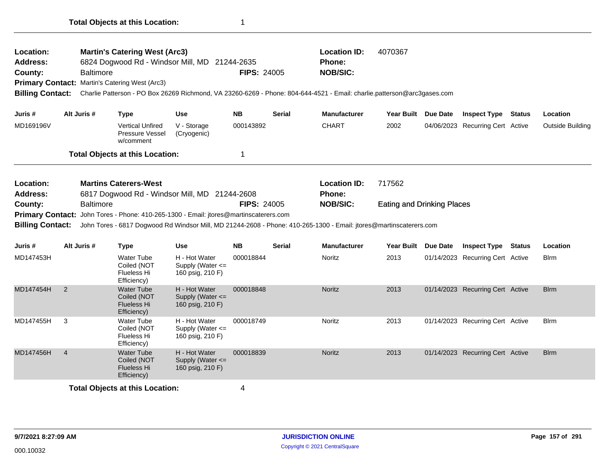| Location:<br><b>Address:</b><br>County:<br><b>Billing Contact:</b> |                | <b>Location ID:</b><br>4070367<br><b>Martin's Catering West (Arc3)</b><br>6824 Dogwood Rd - Windsor Mill, MD 21244-2635<br>Phone:<br><b>NOB/SIC:</b><br><b>Baltimore</b><br><b>FIPS: 24005</b><br>Primary Contact: Martin's Catering West (Arc3)<br>Charlie Patterson - PO Box 26269 Richmond, VA 23260-6269 - Phone: 804-644-4521 - Email: charlie.patterson@arc3gases.com |                                                                       |                                                                                                                                        |                    |               |                                                                                                                                                                        |                                             |                 |                                  |        |                  |
|--------------------------------------------------------------------|----------------|-----------------------------------------------------------------------------------------------------------------------------------------------------------------------------------------------------------------------------------------------------------------------------------------------------------------------------------------------------------------------------|-----------------------------------------------------------------------|----------------------------------------------------------------------------------------------------------------------------------------|--------------------|---------------|------------------------------------------------------------------------------------------------------------------------------------------------------------------------|---------------------------------------------|-----------------|----------------------------------|--------|------------------|
| Juris #                                                            | Alt Juris #    |                                                                                                                                                                                                                                                                                                                                                                             | Type                                                                  | <b>Use</b>                                                                                                                             | <b>NB</b>          | Serial        | <b>Manufacturer</b>                                                                                                                                                    | Year Built Due Date                         |                 | <b>Inspect Type Status</b>       |        | Location         |
| MD169196V                                                          |                |                                                                                                                                                                                                                                                                                                                                                                             | <b>Vertical Unfired</b><br>Pressure Vessel<br>w/comment               | V - Storage<br>(Cryogenic)                                                                                                             | 000143892          |               | <b>CHART</b>                                                                                                                                                           | 2002                                        |                 | 04/06/2023 Recurring Cert Active |        | Outside Building |
|                                                                    |                |                                                                                                                                                                                                                                                                                                                                                                             | <b>Total Objects at this Location:</b>                                |                                                                                                                                        |                    |               |                                                                                                                                                                        |                                             |                 |                                  |        |                  |
| Location:<br><b>Address:</b><br>County:<br><b>Billing Contact:</b> |                | <b>Baltimore</b>                                                                                                                                                                                                                                                                                                                                                            | <b>Martins Caterers-West</b>                                          | 6817 Dogwood Rd - Windsor Mill, MD 21244-2608<br>Primary Contact: John Tores - Phone: 410-265-1300 - Email: jtores@martinscaterers.com | <b>FIPS: 24005</b> |               | <b>Location ID:</b><br>Phone:<br><b>NOB/SIC:</b><br>John Tores - 6817 Dogwood Rd Windsor Mill, MD 21244-2608 - Phone: 410-265-1300 - Email: jtores@martinscaterers.com | 717562<br><b>Eating and Drinking Places</b> |                 |                                  |        |                  |
| Juris #                                                            | Alt Juris #    |                                                                                                                                                                                                                                                                                                                                                                             | Type                                                                  | Use                                                                                                                                    | <b>NB</b>          | <b>Serial</b> | <b>Manufacturer</b>                                                                                                                                                    | <b>Year Built</b>                           | <b>Due Date</b> | <b>Inspect Type</b>              | Status | Location         |
| MD147453H                                                          |                |                                                                                                                                                                                                                                                                                                                                                                             | <b>Water Tube</b><br>Coiled (NOT<br>Flueless Hi<br>Efficiency)        | H - Hot Water<br>Supply (Water $\leq$<br>160 psig, 210 F)                                                                              | 000018844          |               | Noritz                                                                                                                                                                 | 2013                                        |                 | 01/14/2023 Recurring Cert Active |        | <b>Blrm</b>      |
| MD147454H                                                          | $\overline{2}$ |                                                                                                                                                                                                                                                                                                                                                                             | <b>Water Tube</b><br>Coiled (NOT<br><b>Flueless Hi</b><br>Efficiency) | H - Hot Water<br>Supply (Water <=<br>160 psig, 210 F)                                                                                  | 000018848          |               | Noritz                                                                                                                                                                 | 2013                                        |                 | 01/14/2023 Recurring Cert Active |        | <b>Blrm</b>      |
| MD147455H                                                          | 3              |                                                                                                                                                                                                                                                                                                                                                                             | Water Tube<br>Coiled (NOT<br>Flueless Hi<br>Efficiency)               | H - Hot Water<br>Supply (Water <=<br>160 psig, 210 F)                                                                                  | 000018749          |               | Noritz                                                                                                                                                                 | 2013                                        |                 | 01/14/2023 Recurring Cert Active |        | <b>Blrm</b>      |
| MD147456H                                                          | $\overline{4}$ |                                                                                                                                                                                                                                                                                                                                                                             | <b>Water Tube</b><br>Coiled (NOT<br><b>Flueless Hi</b><br>Efficiency) | H - Hot Water<br>Supply (Water <=<br>160 psig, 210 F)                                                                                  | 000018839          |               | Noritz                                                                                                                                                                 | 2013                                        |                 | 01/14/2023 Recurring Cert Active |        | <b>Blrm</b>      |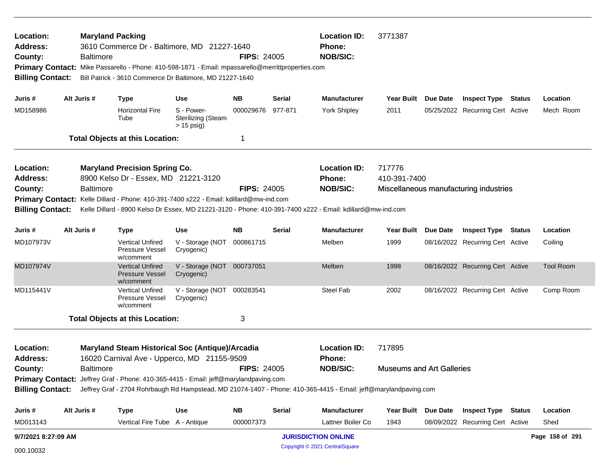| Location:<br><b>Address:</b><br>County:<br><b>Billing Contact:</b>                                                                                                                                                                                                                                                                                                                            |  | <b>Baltimore</b> | <b>Maryland Packing</b><br>3610 Commerce Dr - Baltimore, MD 21227-1640<br>Primary Contact: Mike Passarello - Phone: 410-598-1871 - Email: mpassarello@merrittproperties.com<br>Bill Patrick - 3610 Commerce Dr Baltimore, MD 21227-1640 |                                                         | <b>FIPS: 24005</b> |                    | <b>Location ID:</b><br>Phone:<br><b>NOB/SIC:</b>                                                                                  | 3771387                                    |  |                                         |  |                  |
|-----------------------------------------------------------------------------------------------------------------------------------------------------------------------------------------------------------------------------------------------------------------------------------------------------------------------------------------------------------------------------------------------|--|------------------|-----------------------------------------------------------------------------------------------------------------------------------------------------------------------------------------------------------------------------------------|---------------------------------------------------------|--------------------|--------------------|-----------------------------------------------------------------------------------------------------------------------------------|--------------------------------------------|--|-----------------------------------------|--|------------------|
| Juris #                                                                                                                                                                                                                                                                                                                                                                                       |  | Alt Juris #      | <b>Type</b>                                                                                                                                                                                                                             | <b>Use</b>                                              | NB.                | Serial             | <b>Manufacturer</b>                                                                                                               | Year Built Due Date                        |  | <b>Inspect Type Status</b>              |  | Location         |
| MD158986                                                                                                                                                                                                                                                                                                                                                                                      |  |                  | <b>Horizontal Fire</b><br>Tube                                                                                                                                                                                                          | S - Power-<br><b>Sterilizing (Steam</b><br>$> 15$ psig) | 000029676          | 977-871            | <b>York Shipley</b>                                                                                                               | 2011                                       |  | 05/25/2022 Recurring Cert Active        |  | Mech Room        |
|                                                                                                                                                                                                                                                                                                                                                                                               |  |                  | <b>Total Objects at this Location:</b>                                                                                                                                                                                                  |                                                         | -1                 |                    |                                                                                                                                   |                                            |  |                                         |  |                  |
| <b>Maryland Precision Spring Co.</b><br>Location:<br>8900 Kelso Dr - Essex, MD 21221-3120<br><b>Address:</b><br>County:<br><b>Baltimore</b><br>Primary Contact: Kelle Dillard - Phone: 410-391-7400 x222 - Email: kdillard@mw-ind.com<br><b>Billing Contact:</b><br>Kelle Dillard - 8900 Kelso Dr Essex, MD 21221-3120 - Phone: 410-391-7400 x222 - Email: kdillard@mw-ind.com<br>Alt Juris # |  |                  |                                                                                                                                                                                                                                         |                                                         |                    | <b>FIPS: 24005</b> | <b>Location ID:</b><br>Phone:<br><b>NOB/SIC:</b>                                                                                  | 717776<br>410-391-7400                     |  | Miscellaneous manufacturing industries  |  |                  |
| Juris #                                                                                                                                                                                                                                                                                                                                                                                       |  |                  | <b>Type</b>                                                                                                                                                                                                                             | <b>Use</b>                                              | <b>NB</b>          | Serial             | <b>Manufacturer</b>                                                                                                               | Year Built Due Date                        |  | <b>Inspect Type Status</b>              |  | Location         |
| MD107973V                                                                                                                                                                                                                                                                                                                                                                                     |  |                  | <b>Vertical Unfired</b><br><b>Pressure Vessel</b><br>w/comment                                                                                                                                                                          | V - Storage (NOT<br>Cryogenic)                          | 000861715          |                    | Melben                                                                                                                            | 1999                                       |  | 08/16/2022 Recurring Cert Active        |  | Coiling          |
| MD107974V                                                                                                                                                                                                                                                                                                                                                                                     |  |                  | <b>Vertical Unfired</b><br><b>Pressure Vessel</b><br>w/comment                                                                                                                                                                          | V - Storage (NOT<br>Cryogenic)                          | 000737051          |                    | Melben                                                                                                                            | 1998                                       |  | 08/16/2022 Recurring Cert Active        |  | <b>Tool Room</b> |
| MD115441V                                                                                                                                                                                                                                                                                                                                                                                     |  |                  | <b>Vertical Unfired</b><br>Pressure Vessel<br>w/comment                                                                                                                                                                                 | V - Storage (NOT 000283541<br>Cryogenic)                |                    |                    | Steel Fab                                                                                                                         | 2002                                       |  | 08/16/2022 Recurring Cert Active        |  | Comp Room        |
|                                                                                                                                                                                                                                                                                                                                                                                               |  |                  | <b>Total Objects at this Location:</b>                                                                                                                                                                                                  |                                                         | 3                  |                    |                                                                                                                                   |                                            |  |                                         |  |                  |
| Location:<br><b>Address:</b><br>County:                                                                                                                                                                                                                                                                                                                                                       |  | Baltimore        | <b>Maryland Steam Historical Soc (Antique)/Arcadia</b><br>16020 Carnival Ave - Upperco, MD 21155-9509                                                                                                                                   |                                                         | <b>FIPS: 24005</b> |                    | <b>Location ID:</b><br>Phone:<br><b>NOB/SIC:</b>                                                                                  | 717895<br><b>Museums and Art Galleries</b> |  |                                         |  |                  |
|                                                                                                                                                                                                                                                                                                                                                                                               |  |                  | Primary Contact: Jeffrey Graf - Phone: 410-365-4415 - Email: jeff@marylandpaving.com                                                                                                                                                    |                                                         |                    |                    | Billing Contact: Jeffrey Graf - 2704 Rohrbaugh Rd Hampstead, MD 21074-1407 - Phone: 410-365-4415 - Email: jeff@marylandpaving.com |                                            |  |                                         |  |                  |
| Juris #                                                                                                                                                                                                                                                                                                                                                                                       |  | Alt Juris #      | <b>Type</b>                                                                                                                                                                                                                             | <b>Use</b>                                              | <b>NB</b>          | <b>Serial</b>      | <b>Manufacturer</b>                                                                                                               |                                            |  | Year Built Due Date Inspect Type Status |  | Location         |
| MD013143                                                                                                                                                                                                                                                                                                                                                                                      |  |                  |                                                                                                                                                                                                                                         |                                                         | 000007373          |                    | Lattner Boiler Co                                                                                                                 | 1943                                       |  | 08/09/2022 Recurring Cert Active        |  | Shed             |
| Vertical Fire Tube A - Antique<br>9/7/2021 8:27:09 AM                                                                                                                                                                                                                                                                                                                                         |  |                  |                                                                                                                                                                                                                                         |                                                         |                    |                    | <b>JURISDICTION ONLINE</b>                                                                                                        |                                            |  |                                         |  | Page 158 of 291  |

Copyright © 2021 CentralSquare 000.10032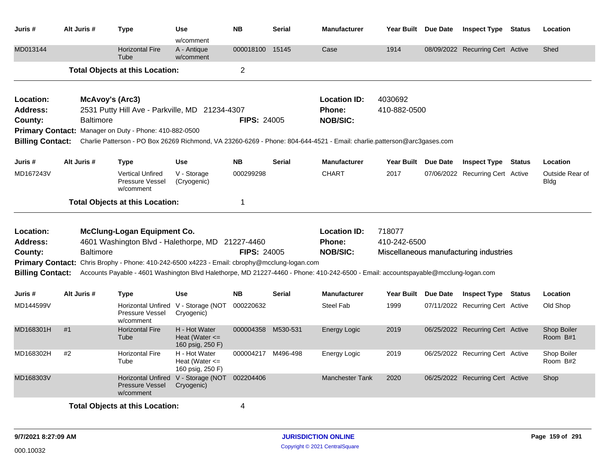| Juris #                 | Alt Juris #      | <b>Type</b>                                                                 | Use                                                     | <b>NB</b>          | <b>Serial</b> | <b>Manufacturer</b>                                                                                                                |                     | Year Built Due Date | <b>Inspect Type Status</b>             |               | Location                       |
|-------------------------|------------------|-----------------------------------------------------------------------------|---------------------------------------------------------|--------------------|---------------|------------------------------------------------------------------------------------------------------------------------------------|---------------------|---------------------|----------------------------------------|---------------|--------------------------------|
| MD013144                |                  | <b>Horizontal Fire</b><br>Tube                                              | w/comment<br>A - Antique<br>w/comment                   | 000018100 15145    |               | Case                                                                                                                               | 1914                |                     | 08/09/2022 Recurring Cert Active       |               | Shed                           |
|                         |                  | <b>Total Objects at this Location:</b>                                      |                                                         | $\overline{2}$     |               |                                                                                                                                    |                     |                     |                                        |               |                                |
| Location:               |                  | McAvoy's (Arc3)                                                             |                                                         |                    |               | <b>Location ID:</b>                                                                                                                | 4030692             |                     |                                        |               |                                |
| Address:                |                  | 2531 Putty Hill Ave - Parkville, MD 21234-4307                              |                                                         |                    |               | <b>Phone:</b>                                                                                                                      | 410-882-0500        |                     |                                        |               |                                |
| County:                 | <b>Baltimore</b> |                                                                             |                                                         | <b>FIPS: 24005</b> |               | <b>NOB/SIC:</b>                                                                                                                    |                     |                     |                                        |               |                                |
|                         |                  | Primary Contact: Manager on Duty - Phone: 410-882-0500                      |                                                         |                    |               |                                                                                                                                    |                     |                     |                                        |               |                                |
| <b>Billing Contact:</b> |                  |                                                                             |                                                         |                    |               | Charlie Patterson - PO Box 26269 Richmond, VA 23260-6269 - Phone: 804-644-4521 - Email: charlie.patterson@arc3gases.com            |                     |                     |                                        |               |                                |
| Juris #                 | Alt Juris #      | <b>Type</b>                                                                 | Use                                                     | <b>NB</b>          | <b>Serial</b> | <b>Manufacturer</b>                                                                                                                | Year Built Due Date |                     | <b>Inspect Type</b>                    | <b>Status</b> | Location                       |
| MD167243V               |                  | <b>Vertical Unfired</b><br>Pressure Vessel<br>w/comment                     | V - Storage<br>(Cryogenic)                              | 000299298          |               | <b>CHART</b>                                                                                                                       | 2017                |                     | 07/06/2022 Recurring Cert Active       |               | Outside Rear of<br><b>Bldg</b> |
|                         |                  | <b>Total Objects at this Location:</b>                                      |                                                         | 1                  |               |                                                                                                                                    |                     |                     |                                        |               |                                |
| <b>Location:</b>        |                  | McClung-Logan Equipment Co.                                                 |                                                         |                    |               | <b>Location ID:</b>                                                                                                                | 718077              |                     |                                        |               |                                |
| <b>Address:</b>         |                  | 4601 Washington Blvd - Halethorpe, MD 21227-4460                            |                                                         |                    |               | <b>Phone:</b>                                                                                                                      | 410-242-6500        |                     |                                        |               |                                |
| County:                 | Baltimore        |                                                                             |                                                         | <b>FIPS: 24005</b> |               | <b>NOB/SIC:</b>                                                                                                                    |                     |                     | Miscellaneous manufacturing industries |               |                                |
| <b>Primary Contact:</b> |                  | Chris Brophy - Phone: 410-242-6500 x4223 - Email: cbrophy@mcclung-logan.com |                                                         |                    |               |                                                                                                                                    |                     |                     |                                        |               |                                |
| <b>Billing Contact:</b> |                  |                                                                             |                                                         |                    |               | Accounts Payable - 4601 Washington Blvd Halethorpe, MD 21227-4460 - Phone: 410-242-6500 - Email: accountspayable@mcclung-logan.com |                     |                     |                                        |               |                                |
| Juris #                 | Alt Juris #      | <b>Type</b>                                                                 | Use                                                     | <b>NB</b>          | <b>Serial</b> | <b>Manufacturer</b>                                                                                                                | Year Built Due Date |                     | <b>Inspect Type</b>                    | <b>Status</b> | Location                       |
| MD144599V               |                  | <b>Pressure Vessel</b><br>w/comment                                         | Horizontal Unfired V - Storage (NOT<br>Cryogenic)       | 000220632          |               | <b>Steel Fab</b>                                                                                                                   | 1999                |                     | 07/11/2022 Recurring Cert Active       |               | Old Shop                       |
| MD168301H               | #1               | <b>Horizontal Fire</b><br>Tube                                              | H - Hot Water<br>Heat (Water $\leq$<br>160 psig, 250 F) | 000004358 M530-531 |               | Energy Logic                                                                                                                       | 2019                |                     | 06/25/2022 Recurring Cert Active       |               | Shop Boiler<br>Room B#1        |
| MD168302H               | #2               | <b>Horizontal Fire</b><br>Tube                                              | H - Hot Water<br>Heat (Water $\leq$<br>160 psig, 250 F) | 000004217 M496-498 |               | Energy Logic                                                                                                                       | 2019                |                     | 06/25/2022 Recurring Cert Active       |               | Shop Boiler<br>Room B#2        |
| MD168303V               |                  | <b>Horizontal Unfired</b><br><b>Pressure Vessel</b><br>w/comment            | V - Storage (NOT<br>Cryogenic)                          | 002204406          |               | <b>Manchester Tank</b>                                                                                                             | 2020                |                     | 06/25/2022 Recurring Cert Active       |               | Shop                           |
|                         |                  | <b>Total Objects at this Location:</b>                                      |                                                         | 4                  |               |                                                                                                                                    |                     |                     |                                        |               |                                |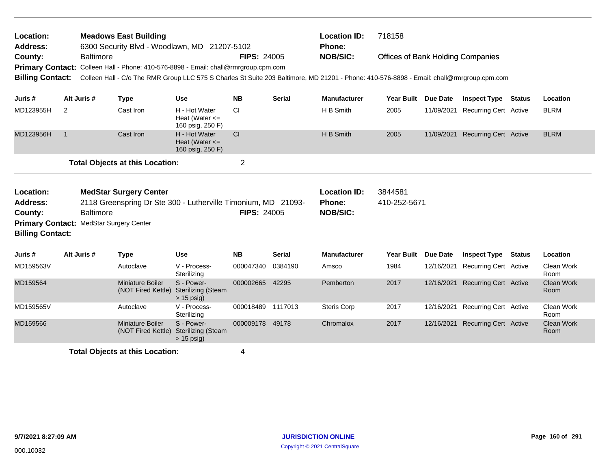| Location:<br><b>Meadows East Building</b><br>6300 Security Blvd - Woodlawn, MD 21207-5102<br><b>Address:</b><br><b>Baltimore</b><br>County:<br>Primary Contact: Colleen Hall - Phone: 410-576-8898 - Email: chall@rmrgroup.cpm.com<br>Colleen Hall - C/o The RMR Group LLC 575 S Charles St Suite 203 Baltimore, MD 21201 - Phone: 410-576-8898 - Email: chall@rmrgroup.cpm.com<br><b>Billing Contact:</b><br>Alt Juris #<br><b>Use</b><br>Juris # |                                        |                         |                    | <b>FIPS: 24005</b>                                      |                                                  | <b>Location ID:</b><br>Phone:<br><b>NOB/SIC:</b> | 718158<br><b>Offices of Bank Holding Companies</b> |                   |                 |                              |                           |
|----------------------------------------------------------------------------------------------------------------------------------------------------------------------------------------------------------------------------------------------------------------------------------------------------------------------------------------------------------------------------------------------------------------------------------------------------|----------------------------------------|-------------------------|--------------------|---------------------------------------------------------|--------------------------------------------------|--------------------------------------------------|----------------------------------------------------|-------------------|-----------------|------------------------------|---------------------------|
|                                                                                                                                                                                                                                                                                                                                                                                                                                                    |                                        | <b>Type</b>             |                    |                                                         | <b>NB</b>                                        | <b>Serial</b>                                    | <b>Manufacturer</b>                                | <b>Year Built</b> | <b>Due Date</b> | <b>Inspect Type Status</b>   | Location                  |
| MD123955H                                                                                                                                                                                                                                                                                                                                                                                                                                          | 2                                      | Cast Iron               |                    | H - Hot Water<br>Heat (Water $\leq$<br>160 psig, 250 F) | CI                                               |                                                  | H B Smith                                          | 2005              | 11/09/2021      | Recurring Cert Active        | <b>BLRM</b>               |
| MD123956H                                                                                                                                                                                                                                                                                                                                                                                                                                          | $\overline{1}$                         | Cast Iron               |                    | H - Hot Water<br>Heat (Water $\leq$<br>160 psig, 250 F) | <b>CI</b>                                        |                                                  | H B Smith                                          | 2005              | 11/09/2021      | <b>Recurring Cert Active</b> | <b>BLRM</b>               |
|                                                                                                                                                                                                                                                                                                                                                                                                                                                    | <b>Total Objects at this Location:</b> |                         |                    |                                                         |                                                  |                                                  |                                                    |                   |                 |                              |                           |
| Location:<br><b>MedStar Surgery Center</b><br>2118 Greenspring Dr Ste 300 - Lutherville Timonium, MD 21093-<br>Address:<br><b>Baltimore</b><br>County:<br>Primary Contact: MedStar Surgery Center<br><b>Billing Contact:</b>                                                                                                                                                                                                                       |                                        |                         | <b>FIPS: 24005</b> |                                                         | <b>Location ID:</b><br>Phone:<br><b>NOB/SIC:</b> | 3844581<br>410-252-5671                          |                                                    |                   |                 |                              |                           |
| Juris #                                                                                                                                                                                                                                                                                                                                                                                                                                            | Alt Juris #                            | <b>Type</b>             |                    | <b>Use</b>                                              | <b>NB</b>                                        | <b>Serial</b>                                    | <b>Manufacturer</b>                                | <b>Year Built</b> | <b>Due Date</b> | <b>Inspect Type Status</b>   | Location                  |
| MD159563V                                                                                                                                                                                                                                                                                                                                                                                                                                          |                                        | Autoclave               |                    |                                                         |                                                  |                                                  |                                                    |                   |                 |                              |                           |
|                                                                                                                                                                                                                                                                                                                                                                                                                                                    |                                        |                         |                    | V - Process-<br>Sterilizing                             | 000047340                                        | 0384190                                          | Amsco                                              | 1984              | 12/16/2021      | Recurring Cert Active        | Clean Work<br>Room        |
| MD159564                                                                                                                                                                                                                                                                                                                                                                                                                                           |                                        | <b>Miniature Boiler</b> | (NOT Fired Kettle) | S - Power-<br><b>Sterilizing (Steam</b><br>$> 15$ psig) | 000002665                                        | 42295                                            | Pemberton                                          | 2017              | 12/16/2021      | <b>Recurring Cert Active</b> | <b>Clean Work</b><br>Room |
| MD159565V                                                                                                                                                                                                                                                                                                                                                                                                                                          |                                        | Autoclave               |                    | V - Process-<br>Sterilizing                             | 000018489                                        | 1117013                                          | <b>Steris Corp</b>                                 | 2017              | 12/16/2021      | Recurring Cert Active        | Clean Work<br>Room        |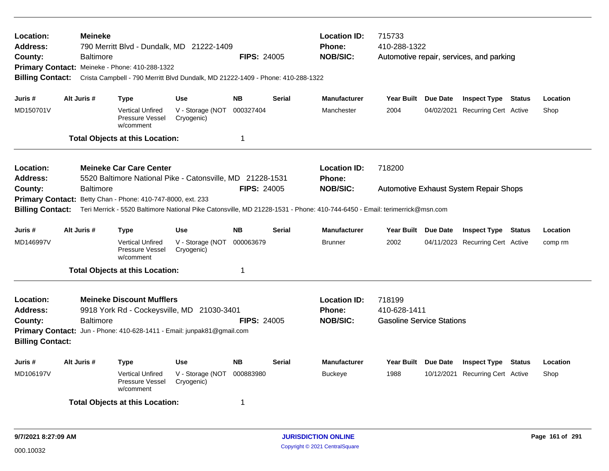| Location:<br>Address:<br>County:<br><b>Billing Contact:</b>                                                                                                                                                                                                              |             | <b>Meineke</b><br><b>Baltimore</b> | Primary Contact: Meineke - Phone: 410-288-1322                 | 790 Merritt Blvd - Dundalk, MD 21222-1409                 |                    | 715733<br><b>Location ID:</b><br>Phone:<br>410-288-1322<br><b>NOB/SIC:</b><br><b>FIPS: 24005</b><br>Automotive repair, services, and parking<br>Crista Campbell - 790 Merritt Blvd Dundalk, MD 21222-1409 - Phone: 410-288-1322 |                                                  |                                                                                                                                                                            |  |                                  |  |          |
|--------------------------------------------------------------------------------------------------------------------------------------------------------------------------------------------------------------------------------------------------------------------------|-------------|------------------------------------|----------------------------------------------------------------|-----------------------------------------------------------|--------------------|---------------------------------------------------------------------------------------------------------------------------------------------------------------------------------------------------------------------------------|--------------------------------------------------|----------------------------------------------------------------------------------------------------------------------------------------------------------------------------|--|----------------------------------|--|----------|
| Juris #                                                                                                                                                                                                                                                                  | Alt Juris # |                                    | <b>Type</b>                                                    | <b>Use</b>                                                | <b>NB</b>          | Serial                                                                                                                                                                                                                          | <b>Manufacturer</b>                              | Year Built Due Date                                                                                                                                                        |  | <b>Inspect Type Status</b>       |  | Location |
| MD150701V                                                                                                                                                                                                                                                                |             |                                    | <b>Vertical Unfired</b><br><b>Pressure Vessel</b><br>w/comment | V - Storage (NOT<br>Cryogenic)                            | 000327404          |                                                                                                                                                                                                                                 | Manchester                                       | 2004                                                                                                                                                                       |  | 04/02/2021 Recurring Cert Active |  | Shop     |
|                                                                                                                                                                                                                                                                          |             |                                    | <b>Total Objects at this Location:</b>                         |                                                           | 1                  |                                                                                                                                                                                                                                 |                                                  |                                                                                                                                                                            |  |                                  |  |          |
| Location:<br><b>Address:</b>                                                                                                                                                                                                                                             |             |                                    | <b>Meineke Car Care Center</b>                                 | 5520 Baltimore National Pike - Catonsville, MD 21228-1531 |                    |                                                                                                                                                                                                                                 | <b>Location ID:</b><br>Phone:                    | 718200                                                                                                                                                                     |  |                                  |  |          |
| County:<br><b>Billing Contact:</b>                                                                                                                                                                                                                                       |             | <b>Baltimore</b>                   | Primary Contact: Betty Chan - Phone: 410-747-8000, ext. 233    |                                                           | <b>FIPS: 24005</b> |                                                                                                                                                                                                                                 | <b>NOB/SIC:</b>                                  | <b>Automotive Exhaust System Repair Shops</b><br>Teri Merrick - 5520 Baltimore National Pike Catonsville, MD 21228-1531 - Phone: 410-744-6450 - Email: terimerrick@msn.com |  |                                  |  |          |
| Juris #                                                                                                                                                                                                                                                                  | Alt Juris # |                                    | <b>Type</b>                                                    | <b>Use</b>                                                | <b>NB</b>          | <b>Serial</b>                                                                                                                                                                                                                   | <b>Manufacturer</b>                              | Year Built Due Date                                                                                                                                                        |  | <b>Inspect Type Status</b>       |  | Location |
| MD146997V                                                                                                                                                                                                                                                                |             |                                    | <b>Vertical Unfired</b><br><b>Pressure Vessel</b><br>w/comment | V - Storage (NOT<br>Cryogenic)                            | 000063679          |                                                                                                                                                                                                                                 | <b>Brunner</b>                                   | 2002                                                                                                                                                                       |  | 04/11/2023 Recurring Cert Active |  | comp rm  |
|                                                                                                                                                                                                                                                                          |             |                                    | <b>Total Objects at this Location:</b>                         |                                                           | $\mathbf 1$        |                                                                                                                                                                                                                                 |                                                  |                                                                                                                                                                            |  |                                  |  |          |
| <b>Meineke Discount Mufflers</b><br>Location:<br>9918 York Rd - Cockeysville, MD 21030-3401<br><b>Address:</b><br><b>Baltimore</b><br><b>FIPS: 24005</b><br>County:<br>Primary Contact: Jun - Phone: 410-628-1411 - Email: junpak81@gmail.com<br><b>Billing Contact:</b> |             |                                    |                                                                |                                                           |                    |                                                                                                                                                                                                                                 | <b>Location ID:</b><br>Phone:<br><b>NOB/SIC:</b> | 718199<br>410-628-1411<br><b>Gasoline Service Stations</b>                                                                                                                 |  |                                  |  |          |
| Juris #                                                                                                                                                                                                                                                                  | Alt Juris # |                                    | <b>Type</b>                                                    | <b>Use</b>                                                | <b>NB</b>          | Serial                                                                                                                                                                                                                          | <b>Manufacturer</b>                              | Year Built Due Date                                                                                                                                                        |  | <b>Inspect Type Status</b>       |  | Location |
| MD106197V                                                                                                                                                                                                                                                                |             |                                    | <b>Vertical Unfired</b><br>Pressure Vessel<br>w/comment        | V - Storage (NOT<br>Cryogenic)                            | 000883980          |                                                                                                                                                                                                                                 | <b>Buckeye</b>                                   | 1988                                                                                                                                                                       |  | 10/12/2021 Recurring Cert Active |  | Shop     |
|                                                                                                                                                                                                                                                                          |             |                                    | <b>Total Objects at this Location:</b>                         |                                                           | -1                 |                                                                                                                                                                                                                                 |                                                  |                                                                                                                                                                            |  |                                  |  |          |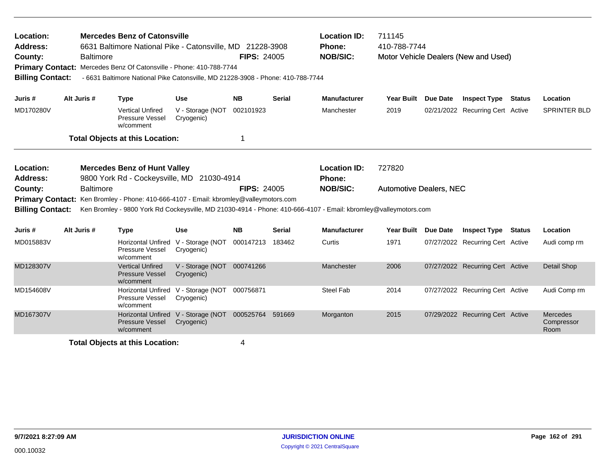| Location:<br><b>Address:</b><br>County:<br><b>Billing Contact:</b>                            |             | <b>Mercedes Benz of Catonsville</b><br>6631 Baltimore National Pike - Catonsville, MD 21228-3908<br><b>Baltimore</b><br>Primary Contact: Mercedes Benz Of Catonsville - Phone: 410-788-7744<br>- 6631 Baltimore National Pike Catonsville, MD 21228-3908 - Phone: 410-788-7744                   |                                          | <b>FIPS: 24005</b> |                                                  | <b>Location ID:</b><br>711145<br>410-788-7744<br>Phone:<br><b>NOB/SIC:</b><br>Motor Vehicle Dealers (New and Used) |                   |                 |                                  |  |                                |
|-----------------------------------------------------------------------------------------------|-------------|--------------------------------------------------------------------------------------------------------------------------------------------------------------------------------------------------------------------------------------------------------------------------------------------------|------------------------------------------|--------------------|--------------------------------------------------|--------------------------------------------------------------------------------------------------------------------|-------------------|-----------------|----------------------------------|--|--------------------------------|
| Juris #                                                                                       | Alt Juris # | <b>Type</b>                                                                                                                                                                                                                                                                                      | <b>Use</b>                               | <b>NB</b>          | <b>Serial</b>                                    | <b>Manufacturer</b>                                                                                                | <b>Year Built</b> | <b>Due Date</b> | <b>Inspect Type Status</b>       |  | Location                       |
| MD170280V                                                                                     |             | <b>Vertical Unfired</b><br>Pressure Vessel<br>w/comment                                                                                                                                                                                                                                          | V - Storage (NOT<br>Cryogenic)           | 002101923          |                                                  | Manchester                                                                                                         | 2019              |                 | 02/21/2022 Recurring Cert Active |  | SPRINTER BLD                   |
|                                                                                               |             | <b>Total Objects at this Location:</b>                                                                                                                                                                                                                                                           |                                          | 1                  |                                                  |                                                                                                                    |                   |                 |                                  |  |                                |
| Location:<br><b>Address:</b><br>County:<br><b>Primary Contact:</b><br><b>Billing Contact:</b> |             | <b>Mercedes Benz of Hunt Valley</b><br>9800 York Rd - Cockeysville, MD 21030-4914<br><b>Baltimore</b><br>Ken Bromley - Phone: 410-666-4107 - Email: kbromley@valleymotors.com<br>Ken Bromley - 9800 York Rd Cockeysville, MD 21030-4914 - Phone: 410-666-4107 - Email: kbromley@valleymotors.com |                                          | <b>FIPS: 24005</b> | <b>Location ID:</b><br>Phone:<br><b>NOB/SIC:</b> | 727820<br><b>Automotive Dealers, NEC</b>                                                                           |                   |                 |                                  |  |                                |
| Juris #                                                                                       | Alt Juris # | <b>Type</b>                                                                                                                                                                                                                                                                                      | <b>Use</b>                               | <b>NB</b>          | <b>Serial</b>                                    | <b>Manufacturer</b>                                                                                                | <b>Year Built</b> | <b>Due Date</b> | <b>Inspect Type Status</b>       |  | Location                       |
| MD015883V                                                                                     |             | <b>Horizontal Unfired</b><br><b>Pressure Vessel</b><br>w/comment                                                                                                                                                                                                                                 | V - Storage (NOT<br>Cryogenic)           | 000147213          | 183462                                           | Curtis                                                                                                             | 1971              |                 | 07/27/2022 Recurring Cert Active |  | Audi comp rm                   |
| MD128307V                                                                                     |             | <b>Vertical Unfired</b><br><b>Pressure Vessel</b><br>w/comment                                                                                                                                                                                                                                   | V - Storage (NOT<br>Cryogenic)           | 000741266          |                                                  | Manchester                                                                                                         | 2006              |                 | 07/27/2022 Recurring Cert Active |  | Detail Shop                    |
| MD154608V                                                                                     |             | <b>Horizontal Unfired</b><br>Pressure Vessel<br>w/comment                                                                                                                                                                                                                                        | V - Storage (NOT 000756871<br>Cryogenic) |                    |                                                  | Steel Fab                                                                                                          | 2014              |                 | 07/27/2022 Recurring Cert Active |  | Audi Comp rm                   |
| MD167307V                                                                                     |             | <b>Horizontal Unfired</b><br><b>Pressure Vessel</b><br>w/comment                                                                                                                                                                                                                                 | V - Storage (NOT<br>Cryogenic)           | 000525764 591669   |                                                  | Morganton                                                                                                          | 2015              |                 | 07/29/2022 Recurring Cert Active |  | Mercedes<br>Compressor<br>Room |
|                                                                                               |             | <b>Total Objects at this Location:</b>                                                                                                                                                                                                                                                           |                                          | 4                  |                                                  |                                                                                                                    |                   |                 |                                  |  |                                |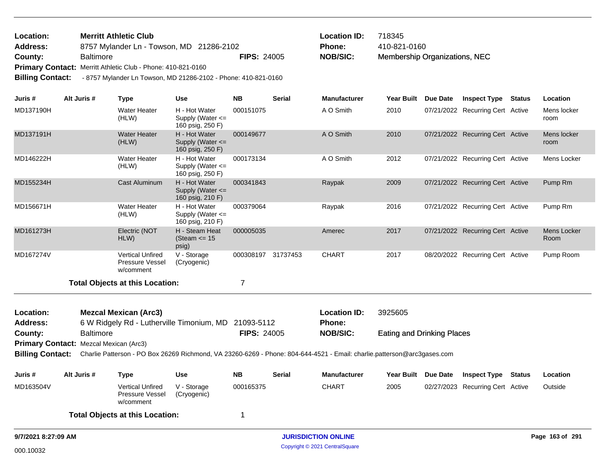| <b>Location:</b>        | <b>Merritt Athletic Club</b>                                        |                    | Location        |
|-------------------------|---------------------------------------------------------------------|--------------------|-----------------|
| <b>Address:</b>         | 8757 Mylander Ln - Towson, MD 21286-2102                            |                    | <b>Phone:</b>   |
| County:                 | <b>Baltimore</b>                                                    | <b>FIPS: 24005</b> | <b>NOB/SIC:</b> |
|                         | <b>Primary Contact:</b> Merritt Athletic Club - Phone: 410-821-0160 |                    |                 |
| <b>Billing Contact:</b> | - 8757 Mylander Ln Towson, MD 21286-2102 - Phone: 410-821-0160      |                    |                 |

Membership Organizations, NEC **Location ID: 718345 Phone:** 410-821-0160

**Juris # Alt Juris # Type Use NB Serial Manufacturer Year Built Due Date Inspect Type Status Location** MD137190H Water Heater A O Smith 2010 07/21/2022 (HLW) H - Hot Water Supply (Water <= 160 psig, 250 F) 000151075 A O Smith 2010 07/21/2022 Recurring Cert Active Mens locker room MD137191H Water Heater A O Smith 2010 07/21/2022 (HLW) H - Hot Water Supply (Water <= 160 psig, 250 F) 000149677 A O Smith 2010 07/21/2022 Recurring Cert Active Mens locker room MD146222H Water Heater A O Smith 2012 07/21/2022 (HLW) H - Hot Water Supply (Water <= 160 psig, 250 F) 000173134 A O Smith 2012 07/21/2022 Recurring Cert Active Mens Locker MD155234H Cast Aluminum H - Hot Water Raypak 2009 07/21/2022 Supply (Water <= 160 psig, 210 F) 000341843 Recurring Cert Active Pump Rm MD156671H Water Heater Raypak 2016 07/21/2022 (HLW) H - Hot Water Supply (Water <= 160 psig, 210 F) 000379064 Raypak 2016 07/21/2022 Recurring Cert Active Pump Rm MD161273H Electric (NOT Amerec 2017 07/21/2022 HLW) H - Steam Heat  $(Steam \leq 15)$ psig) 000005035 Active Mens Locker Recurring Cert Room MD167274V Vertical Unfired CHART 2017 08/20/2022 Pressure Vessel w/comment V - Storage (Cryogenic) 08/20/2022 Recurring Cert Active Pump Room **Total Objects at this Location:** 7

Eating and Drinking Places 6 W Ridgely Rd - Lutherville Timonium, MD 21093-5112 **County:** Baltimore **NOB/SIC: RIPS:** 24005 **NOB/SIC: Primary Contact:** Mezcal Mexican (Arc3) **Mezcal Mexican (Arc3) Location ID:** 3925605 **Address: Location: Phone:**

**Billing Contact:** Charlie Patterson - PO Box 26269 Richmond, VA 23260-6269 - Phone: 804-644-4521 - Email: charlie.patterson@arc3gases.com

| Juris #   | Alt Juris # | Type                                                    | Use                        | <b>NB</b> | <b>Serial</b> | <b>Manufacturer</b> | Year Built | <b>Due Date</b> | <b>Inspect Type</b>              | Status | <b>Location</b> |
|-----------|-------------|---------------------------------------------------------|----------------------------|-----------|---------------|---------------------|------------|-----------------|----------------------------------|--------|-----------------|
| MD163504V |             | <b>Vertical Unfired</b><br>Pressure Vessel<br>w/comment | V - Storage<br>(Cryogenic) | 000165375 |               | <b>CHART</b>        | 2005       |                 | 02/27/2023 Recurring Cert Active |        | Outside         |
|           |             | <b>Total Objects at this Location:</b>                  |                            |           |               |                     |            |                 |                                  |        |                 |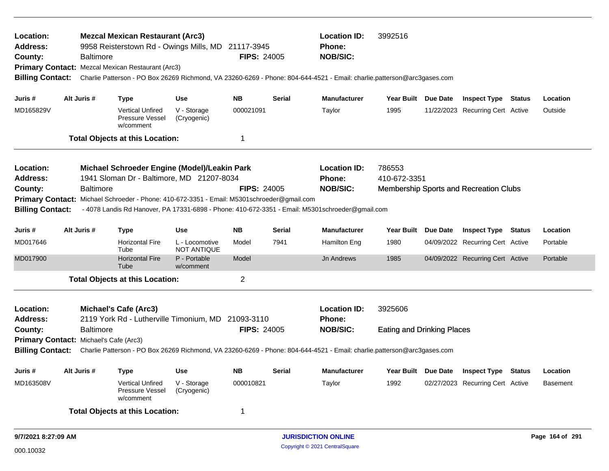| Location:<br><b>Address:</b><br>County:<br><b>Billing Contact:</b>                                                                                                                                                                                                                                                                                                                          |  | <b>Baltimore</b> | <b>Mezcal Mexican Restaurant (Arc3)</b><br>9958 Reisterstown Rd - Owings Mills, MD 21117-3945<br>Primary Contact: Mezcal Mexican Restaurant (Arc3)                                      |                                      | <b>FIPS: 24005</b> |               | <b>Location ID:</b><br><b>Phone:</b><br><b>NOB/SIC:</b><br>Charlie Patterson - PO Box 26269 Richmond, VA 23260-6269 - Phone: 804-644-4521 - Email: charlie.patterson@arc3gases.com | 3992516                                      |          |                                               |                 |
|---------------------------------------------------------------------------------------------------------------------------------------------------------------------------------------------------------------------------------------------------------------------------------------------------------------------------------------------------------------------------------------------|--|------------------|-----------------------------------------------------------------------------------------------------------------------------------------------------------------------------------------|--------------------------------------|--------------------|---------------|------------------------------------------------------------------------------------------------------------------------------------------------------------------------------------|----------------------------------------------|----------|-----------------------------------------------|-----------------|
| Juris #                                                                                                                                                                                                                                                                                                                                                                                     |  | Alt Juris #      | <b>Type</b>                                                                                                                                                                             | <b>Use</b>                           | <b>NB</b>          | <b>Serial</b> | <b>Manufacturer</b>                                                                                                                                                                | Year Built Due Date                          |          | <b>Inspect Type Status</b>                    | Location        |
| MD165829V                                                                                                                                                                                                                                                                                                                                                                                   |  |                  | <b>Vertical Unfired</b><br>Pressure Vessel<br>w/comment                                                                                                                                 | V - Storage<br>(Cryogenic)           | 000021091          |               | Taylor                                                                                                                                                                             | 1995                                         |          | 11/22/2023 Recurring Cert Active              | Outside         |
|                                                                                                                                                                                                                                                                                                                                                                                             |  |                  | <b>Total Objects at this Location:</b>                                                                                                                                                  |                                      | 1                  |               |                                                                                                                                                                                    |                                              |          |                                               |                 |
| Location:<br>Address:<br>County:<br><b>Billing Contact:</b>                                                                                                                                                                                                                                                                                                                                 |  | <b>Baltimore</b> | Michael Schroeder Engine (Model)/Leakin Park<br>1941 Sloman Dr - Baltimore, MD 21207-8034<br>Primary Contact: Michael Schroeder - Phone: 410-672-3351 - Email: M5301schroeder@gmail.com |                                      | <b>FIPS: 24005</b> |               | <b>Location ID:</b><br><b>Phone:</b><br><b>NOB/SIC:</b><br>- 4078 Landis Rd Hanover, PA 17331-6898 - Phone: 410-672-3351 - Email: M5301schroeder@gmail.com                         | 786553<br>410-672-3351                       |          | <b>Membership Sports and Recreation Clubs</b> |                 |
| Juris #                                                                                                                                                                                                                                                                                                                                                                                     |  | Alt Juris #      | Type                                                                                                                                                                                    | <b>Use</b>                           | <b>NB</b>          | <b>Serial</b> | <b>Manufacturer</b>                                                                                                                                                                | <b>Year Built</b>                            | Due Date | <b>Inspect Type Status</b>                    | Location        |
| MD017646                                                                                                                                                                                                                                                                                                                                                                                    |  |                  | <b>Horizontal Fire</b><br>Tube                                                                                                                                                          | L - Locomotive<br><b>NOT ANTIQUE</b> | Model              | 7941          | Hamilton Eng                                                                                                                                                                       | 1980                                         |          | 04/09/2022 Recurring Cert Active              | Portable        |
| MD017900                                                                                                                                                                                                                                                                                                                                                                                    |  |                  | <b>Horizontal Fire</b><br>Tube                                                                                                                                                          | P - Portable<br>w/comment            | Model              |               | <b>Jn Andrews</b>                                                                                                                                                                  | 1985                                         |          | 04/09/2022 Recurring Cert Active              | Portable        |
|                                                                                                                                                                                                                                                                                                                                                                                             |  |                  |                                                                                                                                                                                         |                                      | $\overline{2}$     |               |                                                                                                                                                                                    |                                              |          |                                               |                 |
| <b>Total Objects at this Location:</b><br><b>Michael's Cafe (Arc3)</b><br>Location:<br><b>Address:</b><br>2119 York Rd - Lutherville Timonium, MD 21093-3110<br><b>Baltimore</b><br>County:<br>Primary Contact: Michael's Cafe (Arc3)<br><b>Billing Contact:</b><br>Charlie Patterson - PO Box 26269 Richmond, VA 23260-6269 - Phone: 804-644-4521 - Email: charlie.patterson@arc3gases.com |  |                  |                                                                                                                                                                                         |                                      | <b>FIPS: 24005</b> |               | <b>Location ID:</b><br>Phone:<br><b>NOB/SIC:</b>                                                                                                                                   | 3925606<br><b>Eating and Drinking Places</b> |          |                                               |                 |
| Juris #                                                                                                                                                                                                                                                                                                                                                                                     |  | Alt Juris #      | <b>Type</b>                                                                                                                                                                             | Use                                  | <b>NB</b>          | <b>Serial</b> | <b>Manufacturer</b>                                                                                                                                                                | Year Built Due Date                          |          | <b>Inspect Type Status</b>                    | Location        |
| MD163508V                                                                                                                                                                                                                                                                                                                                                                                   |  |                  | <b>Vertical Unfired</b><br>Pressure Vessel<br>w/comment                                                                                                                                 | V - Storage<br>(Cryogenic)           | 000010821          |               | Taylor                                                                                                                                                                             | 1992                                         |          | 02/27/2023 Recurring Cert Active              | <b>Basement</b> |
|                                                                                                                                                                                                                                                                                                                                                                                             |  |                  | <b>Total Objects at this Location:</b>                                                                                                                                                  |                                      | 1                  |               |                                                                                                                                                                                    |                                              |          |                                               |                 |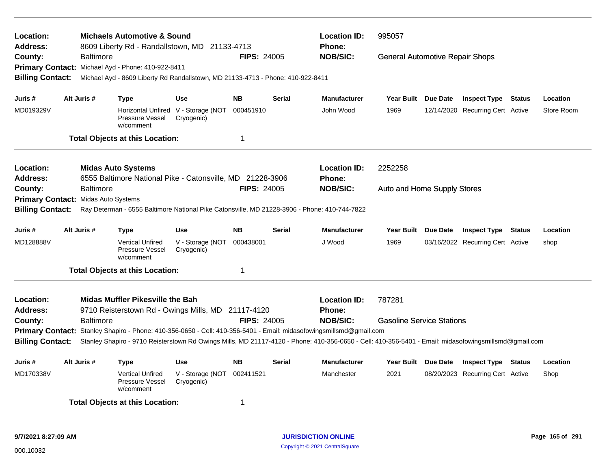| Location:<br><b>Address:</b> |                    | <b>Michaels Automotive &amp; Sound</b><br>8609 Liberty Rd - Randallstown, MD 21133-4713      |                                                   |                    |               | <b>Location ID:</b><br><b>Phone:</b>                                                                                                                  | 995057                                 |                                  |            |
|------------------------------|--------------------|----------------------------------------------------------------------------------------------|---------------------------------------------------|--------------------|---------------|-------------------------------------------------------------------------------------------------------------------------------------------------------|----------------------------------------|----------------------------------|------------|
| County:                      | <b>Baltimore</b>   |                                                                                              |                                                   | <b>FIPS: 24005</b> |               | <b>NOB/SIC:</b>                                                                                                                                       | <b>General Automotive Repair Shops</b> |                                  |            |
|                              |                    | Primary Contact: Michael Ayd - Phone: 410-922-8411                                           |                                                   |                    |               |                                                                                                                                                       |                                        |                                  |            |
| <b>Billing Contact:</b>      |                    | Michael Ayd - 8609 Liberty Rd Randallstown, MD 21133-4713 - Phone: 410-922-8411              |                                                   |                    |               |                                                                                                                                                       |                                        |                                  |            |
| Juris #                      | Alt Juris #        | Type                                                                                         | <b>Use</b>                                        | <b>NB</b>          | <b>Serial</b> | <b>Manufacturer</b>                                                                                                                                   | Year Built Due Date                    | <b>Inspect Type Status</b>       | Location   |
| MD019329V                    |                    | Pressure Vessel<br>w/comment                                                                 | Horizontal Unfired V - Storage (NOT<br>Cryogenic) | 000451910          |               | John Wood                                                                                                                                             | 1969                                   | 12/14/2020 Recurring Cert Active | Store Room |
|                              |                    | <b>Total Objects at this Location:</b>                                                       |                                                   | 1                  |               |                                                                                                                                                       |                                        |                                  |            |
| <b>Location:</b>             |                    | <b>Midas Auto Systems</b>                                                                    |                                                   |                    |               | <b>Location ID:</b>                                                                                                                                   | 2252258                                |                                  |            |
| <b>Address:</b>              |                    | 6555 Baltimore National Pike - Catonsville, MD 21228-3906                                    |                                                   |                    |               | Phone:                                                                                                                                                |                                        |                                  |            |
| County:                      | <b>Baltimore</b>   |                                                                                              |                                                   | <b>FIPS: 24005</b> |               | <b>NOB/SIC:</b>                                                                                                                                       | Auto and Home Supply Stores            |                                  |            |
| <b>Primary Contact:</b>      | Midas Auto Systems |                                                                                              |                                                   |                    |               |                                                                                                                                                       |                                        |                                  |            |
| <b>Billing Contact:</b>      |                    | Ray Determan - 6555 Baltimore National Pike Catonsville, MD 21228-3906 - Phone: 410-744-7822 |                                                   |                    |               |                                                                                                                                                       |                                        |                                  |            |
| Juris #                      | Alt Juris #        | Type                                                                                         | Use                                               | <b>NB</b>          | Serial        | <b>Manufacturer</b>                                                                                                                                   | Year Built Due Date                    | <b>Inspect Type Status</b>       | Location   |
| MD128888V                    |                    | <b>Vertical Unfired</b><br>Pressure Vessel<br>w/comment                                      | V - Storage (NOT<br>Cryogenic)                    | 000438001          |               | J Wood                                                                                                                                                | 1969                                   | 03/16/2022 Recurring Cert Active | shop       |
|                              |                    | <b>Total Objects at this Location:</b>                                                       |                                                   | $\mathbf 1$        |               |                                                                                                                                                       |                                        |                                  |            |
| Location:                    |                    | <b>Midas Muffler Pikesville the Bah</b>                                                      |                                                   |                    |               | <b>Location ID:</b>                                                                                                                                   | 787281                                 |                                  |            |
| <b>Address:</b>              |                    | 9710 Reisterstown Rd - Owings Mills, MD 21117-4120                                           |                                                   | <b>FIPS: 24005</b> |               | <b>Phone:</b><br><b>NOB/SIC:</b>                                                                                                                      |                                        |                                  |            |
| County:                      | <b>Baltimore</b>   |                                                                                              |                                                   |                    |               | Primary Contact: Stanley Shapiro - Phone: 410-356-0650 - Cell: 410-356-5401 - Email: midasofowingsmillsmd@gmail.com                                   | <b>Gasoline Service Stations</b>       |                                  |            |
| <b>Billing Contact:</b>      |                    |                                                                                              |                                                   |                    |               | Stanley Shapiro - 9710 Reisterstown Rd Owings Mills, MD 21117-4120 - Phone: 410-356-0650 - Cell: 410-356-5401 - Email: midasofowingsmillsmd@gmail.com |                                        |                                  |            |
|                              |                    |                                                                                              |                                                   |                    |               |                                                                                                                                                       |                                        |                                  |            |
| Juris #                      | Alt Juris #        | Type                                                                                         | Use                                               | <b>NB</b>          | <b>Serial</b> | <b>Manufacturer</b>                                                                                                                                   | Year Built Due Date                    | <b>Inspect Type Status</b>       | Location   |
| MD170338V                    |                    | <b>Vertical Unfired</b><br>Pressure Vessel<br>w/comment                                      | V - Storage (NOT<br>Cryogenic)                    | 002411521          |               | Manchester                                                                                                                                            | 2021                                   | 08/20/2023 Recurring Cert Active | Shop       |
|                              |                    | <b>Total Objects at this Location:</b>                                                       |                                                   | -1                 |               |                                                                                                                                                       |                                        |                                  |            |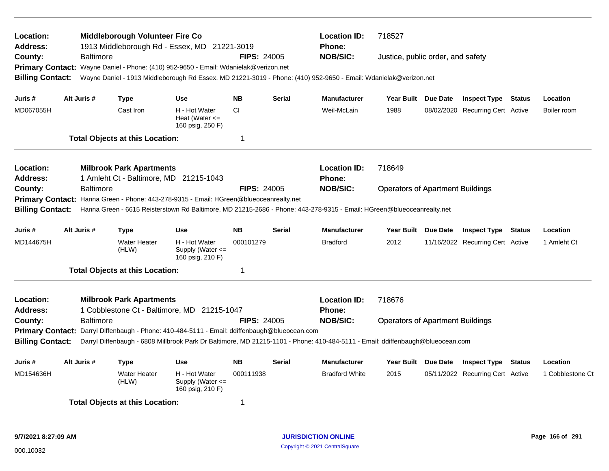| Location:<br><b>Address:</b>       |                  | Middleborough Volunteer Fire Co        | 1913 Middleborough Rd - Essex, MD 21221-3019                                                  |                    |               | <b>Location ID:</b><br><b>Phone:</b>                                                                                                | 718527                                  |                                  |                  |
|------------------------------------|------------------|----------------------------------------|-----------------------------------------------------------------------------------------------|--------------------|---------------|-------------------------------------------------------------------------------------------------------------------------------------|-----------------------------------------|----------------------------------|------------------|
| County:<br><b>Billing Contact:</b> | Baltimore        |                                        | Primary Contact: Wayne Daniel - Phone: (410) 952-9650 - Email: Wdanielak@verizon.net          | <b>FIPS: 24005</b> |               | <b>NOB/SIC:</b><br>Wayne Daniel - 1913 Middleborough Rd Essex, MD 21221-3019 - Phone: (410) 952-9650 - Email: Wdanielak@verizon.net | Justice, public order, and safety       |                                  |                  |
|                                    |                  |                                        |                                                                                               |                    |               |                                                                                                                                     |                                         |                                  |                  |
| Juris #                            | Alt Juris #      | <b>Type</b>                            | <b>Use</b>                                                                                    | <b>NB</b>          | <b>Serial</b> | <b>Manufacturer</b>                                                                                                                 | Year Built Due Date                     | <b>Inspect Type Status</b>       | Location         |
| MD067055H                          |                  | Cast Iron                              | H - Hot Water<br>Heat (Water $\leq$<br>160 psig, 250 F)                                       | CI.                |               | Weil-McLain                                                                                                                         | 1988                                    | 08/02/2020 Recurring Cert Active | Boiler room      |
|                                    |                  | <b>Total Objects at this Location:</b> |                                                                                               | 1                  |               |                                                                                                                                     |                                         |                                  |                  |
| Location:<br><b>Address:</b>       |                  | <b>Milbrook Park Apartments</b>        | 1 Amleht Ct - Baltimore, MD 21215-1043                                                        |                    |               | <b>Location ID:</b><br><b>Phone:</b>                                                                                                | 718649                                  |                                  |                  |
| County:                            | <b>Baltimore</b> |                                        |                                                                                               | <b>FIPS: 24005</b> |               | <b>NOB/SIC:</b>                                                                                                                     | <b>Operators of Apartment Buildings</b> |                                  |                  |
|                                    |                  |                                        | Primary Contact: Hanna Green - Phone: 443-278-9315 - Email: HGreen@blueoceanrealty.net        |                    |               |                                                                                                                                     |                                         |                                  |                  |
| <b>Billing Contact:</b>            |                  |                                        |                                                                                               |                    |               | Hanna Green - 6615 Reisterstown Rd Baltimore, MD 21215-2686 - Phone: 443-278-9315 - Email: HGreen@blueoceanrealty.net               |                                         |                                  |                  |
| Juris #                            | Alt Juris #      | <b>Type</b>                            | <b>Use</b>                                                                                    | <b>NB</b>          | <b>Serial</b> | <b>Manufacturer</b>                                                                                                                 | Year Built Due Date                     | <b>Inspect Type Status</b>       | Location         |
| MD144675H                          |                  | <b>Water Heater</b><br>(HLW)           | H - Hot Water<br>Supply (Water $\leq$<br>160 psig, 210 F)                                     | 000101279          |               | <b>Bradford</b>                                                                                                                     | 2012                                    | 11/16/2022 Recurring Cert Active | 1 Amleht Ct      |
|                                    |                  | <b>Total Objects at this Location:</b> |                                                                                               | 1                  |               |                                                                                                                                     |                                         |                                  |                  |
| Location:<br><b>Address:</b>       |                  | <b>Milbrook Park Apartments</b>        | 1 Cobblestone Ct - Baltimore, MD 21215-1047                                                   |                    |               | <b>Location ID:</b><br>Phone:                                                                                                       | 718676                                  |                                  |                  |
| County:                            | Baltimore        |                                        |                                                                                               | <b>FIPS: 24005</b> |               | <b>NOB/SIC:</b>                                                                                                                     | <b>Operators of Apartment Buildings</b> |                                  |                  |
|                                    |                  |                                        | Primary Contact: Darryl Diffenbaugh - Phone: 410-484-5111 - Email: ddiffenbaugh@blueocean.com |                    |               |                                                                                                                                     |                                         |                                  |                  |
| <b>Billing Contact:</b>            |                  |                                        |                                                                                               |                    |               | Darryl Diffenbaugh - 6808 Millbrook Park Dr Baltimore, MD 21215-1101 - Phone: 410-484-5111 - Email: ddiffenbaugh@blueocean.com      |                                         |                                  |                  |
| Juris #                            | Alt Juris #      | <b>Type</b>                            | <b>Use</b>                                                                                    | <b>NB</b>          | <b>Serial</b> | <b>Manufacturer</b>                                                                                                                 | Year Built Due Date                     | <b>Inspect Type Status</b>       | Location         |
| MD154636H                          |                  | <b>Water Heater</b><br>(HLW)           | H - Hot Water<br>Supply (Water <=<br>160 psig, 210 F)                                         | 000111938          |               | <b>Bradford White</b>                                                                                                               | 2015                                    | 05/11/2022 Recurring Cert Active | 1 Cobblestone Ct |
|                                    |                  | <b>Total Objects at this Location:</b> |                                                                                               | 1                  |               |                                                                                                                                     |                                         |                                  |                  |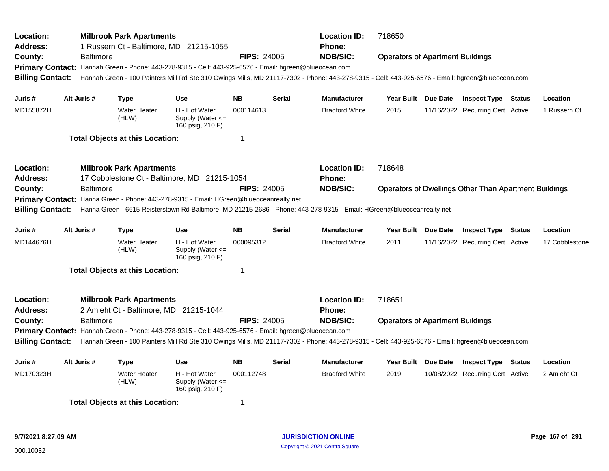| Location:<br><b>Address:</b>                                                                           |  |                  | <b>Milbrook Park Apartments</b>        | 1 Russern Ct - Baltimore, MD 21215-1055                                                                                                          |                    |               | <b>Location ID:</b><br>Phone: | 718650                                  |          |                                                              |        |                |
|--------------------------------------------------------------------------------------------------------|--|------------------|----------------------------------------|--------------------------------------------------------------------------------------------------------------------------------------------------|--------------------|---------------|-------------------------------|-----------------------------------------|----------|--------------------------------------------------------------|--------|----------------|
| County:                                                                                                |  | <b>Baltimore</b> |                                        |                                                                                                                                                  | <b>FIPS: 24005</b> |               | <b>NOB/SIC:</b>               | <b>Operators of Apartment Buildings</b> |          |                                                              |        |                |
|                                                                                                        |  |                  |                                        | Primary Contact: Hannah Green - Phone: 443-278-9315 - Cell: 443-925-6576 - Email: hgreen@blueocean.com                                           |                    |               |                               |                                         |          |                                                              |        |                |
| <b>Billing Contact:</b>                                                                                |  |                  |                                        | Hannah Green - 100 Painters Mill Rd Ste 310 Owings Mills, MD 21117-7302 - Phone: 443-278-9315 - Cell: 443-925-6576 - Email: hgreen@blueocean.com |                    |               |                               |                                         |          |                                                              |        |                |
| Juris #                                                                                                |  | Alt Juris #      | <b>Type</b>                            | <b>Use</b>                                                                                                                                       | <b>NB</b>          | <b>Serial</b> | <b>Manufacturer</b>           | Year Built Due Date                     |          | <b>Inspect Type Status</b>                                   |        | Location       |
| MD155872H                                                                                              |  |                  | <b>Water Heater</b><br>(HLW)           | H - Hot Water<br>Supply (Water $\leq$<br>160 psig, 210 F)                                                                                        | 000114613          |               | <b>Bradford White</b>         | 2015                                    |          | 11/16/2022 Recurring Cert Active                             |        | 1 Russern Ct.  |
|                                                                                                        |  |                  | <b>Total Objects at this Location:</b> |                                                                                                                                                  | $\mathbf 1$        |               |                               |                                         |          |                                                              |        |                |
| Location:                                                                                              |  |                  | <b>Milbrook Park Apartments</b>        |                                                                                                                                                  |                    |               | <b>Location ID:</b>           | 718648                                  |          |                                                              |        |                |
| <b>Address:</b>                                                                                        |  |                  |                                        | 17 Cobblestone Ct - Baltimore, MD 21215-1054                                                                                                     |                    |               | Phone:                        |                                         |          |                                                              |        |                |
| County:                                                                                                |  | Baltimore        |                                        |                                                                                                                                                  | <b>FIPS: 24005</b> |               | <b>NOB/SIC:</b>               |                                         |          | <b>Operators of Dwellings Other Than Apartment Buildings</b> |        |                |
|                                                                                                        |  |                  |                                        | Primary Contact: Hanna Green - Phone: 443-278-9315 - Email: HGreen@blueoceanrealty.net                                                           |                    |               |                               |                                         |          |                                                              |        |                |
| <b>Billing Contact:</b>                                                                                |  |                  |                                        | Hanna Green - 6615 Reisterstown Rd Baltimore, MD 21215-2686 - Phone: 443-278-9315 - Email: HGreen@blueoceanrealty.net                            |                    |               |                               |                                         |          |                                                              |        |                |
| Juris #                                                                                                |  | Alt Juris #      | Type                                   | <b>Use</b>                                                                                                                                       | <b>NB</b>          | <b>Serial</b> | <b>Manufacturer</b>           | Year Built Due Date                     |          | <b>Inspect Type</b>                                          | Status | Location       |
| MD144676H                                                                                              |  |                  | <b>Water Heater</b><br>(HLW)           | H - Hot Water<br>Supply (Water <=<br>160 psig, 210 F)                                                                                            | 000095312          |               | <b>Bradford White</b>         | 2011                                    |          | 11/16/2022 Recurring Cert Active                             |        | 17 Cobblestone |
|                                                                                                        |  |                  | <b>Total Objects at this Location:</b> |                                                                                                                                                  | 1                  |               |                               |                                         |          |                                                              |        |                |
| Location:                                                                                              |  |                  | <b>Milbrook Park Apartments</b>        |                                                                                                                                                  |                    |               | <b>Location ID:</b>           | 718651                                  |          |                                                              |        |                |
| <b>Address:</b>                                                                                        |  |                  |                                        | 2 Amleht Ct - Baltimore, MD 21215-1044                                                                                                           |                    |               | <b>Phone:</b>                 |                                         |          |                                                              |        |                |
| County:                                                                                                |  | <b>Baltimore</b> |                                        |                                                                                                                                                  | <b>FIPS: 24005</b> |               | <b>NOB/SIC:</b>               | <b>Operators of Apartment Buildings</b> |          |                                                              |        |                |
| Primary Contact: Hannah Green - Phone: 443-278-9315 - Cell: 443-925-6576 - Email: hgreen@blueocean.com |  |                  |                                        |                                                                                                                                                  |                    |               |                               |                                         |          |                                                              |        |                |
| <b>Billing Contact:</b>                                                                                |  |                  |                                        | Hannah Green - 100 Painters Mill Rd Ste 310 Owings Mills, MD 21117-7302 - Phone: 443-278-9315 - Cell: 443-925-6576 - Email: hgreen@blueocean.com |                    |               |                               |                                         |          |                                                              |        |                |
| Juris #                                                                                                |  | Alt Juris #      | <b>Type</b>                            | <b>Use</b>                                                                                                                                       | <b>NB</b>          | <b>Serial</b> | <b>Manufacturer</b>           | <b>Year Built</b>                       | Due Date | <b>Inspect Type</b>                                          | Status | Location       |
| MD170323H                                                                                              |  |                  | <b>Water Heater</b><br>(HLW)           | H - Hot Water<br>Supply (Water <=<br>160 psig, 210 F)                                                                                            | 000112748          |               | <b>Bradford White</b>         | 2019                                    |          | 10/08/2022 Recurring Cert Active                             |        | 2 Amleht Ct    |
|                                                                                                        |  |                  | <b>Total Objects at this Location:</b> |                                                                                                                                                  | 1                  |               |                               |                                         |          |                                                              |        |                |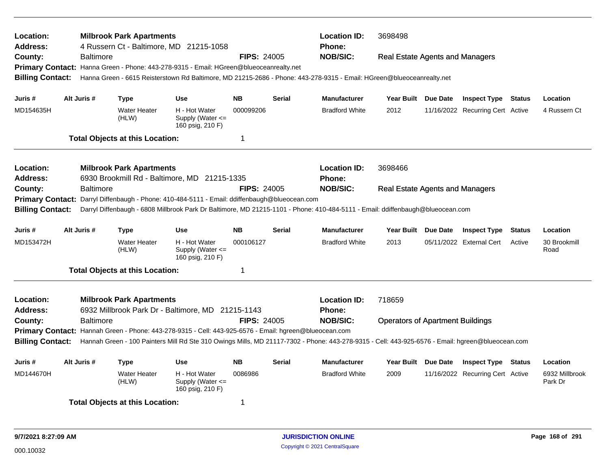| <b>Location:</b><br><b>Address:</b><br>County:<br><b>Billing Contact:</b><br>Juris #                 | <b>Baltimore</b><br>Alt Juris # | <b>Milbrook Park Apartments</b><br><b>Type</b> | 4 Russern Ct - Baltimore, MD 21215-1058<br>Primary Contact: Hanna Green - Phone: 443-278-9315 - Email: HGreen@blueoceanrealty.net<br>Hanna Green - 6615 Reisterstown Rd Baltimore, MD 21215-2686 - Phone: 443-278-9315 - Email: HGreen@blueoceanrealty.net<br><b>Use</b>                                        | <b>FIPS: 24005</b><br><b>NB</b> | <b>Serial</b> | <b>Location ID:</b><br><b>Phone:</b><br><b>NOB/SIC:</b><br><b>Manufacturer</b> | 3698498<br><b>Real Estate Agents and Managers</b><br>Year Built Due Date | <b>Inspect Type Status</b>       |               | Location                  |
|------------------------------------------------------------------------------------------------------|---------------------------------|------------------------------------------------|-----------------------------------------------------------------------------------------------------------------------------------------------------------------------------------------------------------------------------------------------------------------------------------------------------------------|---------------------------------|---------------|--------------------------------------------------------------------------------|--------------------------------------------------------------------------|----------------------------------|---------------|---------------------------|
| MD154635H                                                                                            |                                 | <b>Water Heater</b><br>(HLW)                   | H - Hot Water<br>Supply (Water $\leq$<br>160 psig, 210 F)                                                                                                                                                                                                                                                       | 000099206                       |               | <b>Bradford White</b>                                                          | 2012                                                                     | 11/16/2022 Recurring Cert Active |               | 4 Russern Ct              |
|                                                                                                      |                                 | <b>Total Objects at this Location:</b>         |                                                                                                                                                                                                                                                                                                                 | $\mathbf 1$                     |               |                                                                                |                                                                          |                                  |               |                           |
| <b>Location:</b><br><b>Address:</b><br>County:<br><b>Primary Contact:</b><br><b>Billing Contact:</b> | Baltimore                       | <b>Milbrook Park Apartments</b>                | 6930 Brookmill Rd - Baltimore, MD 21215-1335<br>Darryl Diffenbaugh - Phone: 410-484-5111 - Email: ddiffenbaugh@blueocean.com<br>Darryl Diffenbaugh - 6808 Millbrook Park Dr Baltimore, MD 21215-1101 - Phone: 410-484-5111 - Email: ddiffenbaugh@blueocean.com                                                  | <b>FIPS: 24005</b>              |               | <b>Location ID:</b><br><b>Phone:</b><br><b>NOB/SIC:</b>                        | 3698466<br><b>Real Estate Agents and Managers</b>                        |                                  |               |                           |
| Juris #                                                                                              | Alt Juris #                     | <b>Type</b>                                    | <b>Use</b>                                                                                                                                                                                                                                                                                                      | <b>NB</b>                       | <b>Serial</b> | <b>Manufacturer</b>                                                            | Year Built Due Date                                                      | <b>Inspect Type</b>              | <b>Status</b> | Location                  |
| MD153472H                                                                                            |                                 | <b>Water Heater</b><br>(HLW)                   | H - Hot Water<br>Supply (Water $\leq$<br>160 psig, 210 F)                                                                                                                                                                                                                                                       | 000106127                       |               | <b>Bradford White</b>                                                          | 2013                                                                     | 05/11/2022 External Cert         | Active        | 30 Brookmill<br>Road      |
|                                                                                                      |                                 | <b>Total Objects at this Location:</b>         |                                                                                                                                                                                                                                                                                                                 | -1                              |               |                                                                                |                                                                          |                                  |               |                           |
| Location:<br>Address:<br>County:<br><b>Billing Contact:</b>                                          | <b>Baltimore</b>                | <b>Milbrook Park Apartments</b>                | 6932 Millbrook Park Dr - Baltimore, MD 21215-1143<br>Primary Contact: Hannah Green - Phone: 443-278-9315 - Cell: 443-925-6576 - Email: hgreen@blueocean.com<br>Hannah Green - 100 Painters Mill Rd Ste 310 Owings Mills, MD 21117-7302 - Phone: 443-278-9315 - Cell: 443-925-6576 - Email: hgreen@blueocean.com | <b>FIPS: 24005</b>              |               | <b>Location ID:</b><br>Phone:<br><b>NOB/SIC:</b>                               | 718659<br><b>Operators of Apartment Buildings</b>                        |                                  |               |                           |
| Juris #                                                                                              | Alt Juris #                     | <b>Type</b>                                    | <b>Use</b>                                                                                                                                                                                                                                                                                                      | <b>NB</b>                       | <b>Serial</b> | <b>Manufacturer</b>                                                            | Year Built Due Date                                                      | <b>Inspect Type</b>              | Status        | Location                  |
| MD144670H                                                                                            |                                 | <b>Water Heater</b><br>(HLW)                   | H - Hot Water<br>Supply (Water <=<br>160 psig, 210 F)                                                                                                                                                                                                                                                           | 0086986                         |               | <b>Bradford White</b>                                                          | 2009                                                                     | 11/16/2022 Recurring Cert Active |               | 6932 Millbrook<br>Park Dr |
|                                                                                                      |                                 | <b>Total Objects at this Location:</b>         |                                                                                                                                                                                                                                                                                                                 | -1                              |               |                                                                                |                                                                          |                                  |               |                           |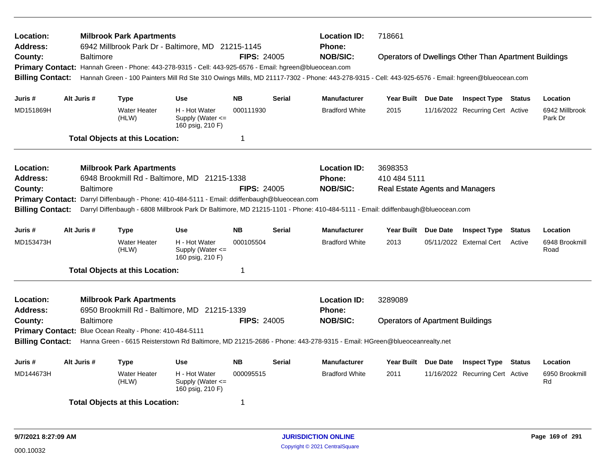| Location:<br>Address:<br>County: | <b>Baltimore</b> | <b>Milbrook Park Apartments</b>                          | 6942 Millbrook Park Dr - Baltimore, MD 21215-1145                                                                                                                                                                                                          | <b>FIPS: 24005</b> |               | <b>Location ID:</b><br><b>Phone:</b><br><b>NOB/SIC:</b> | 718661                                  | <b>Operators of Dwellings Other Than Apartment Buildings</b> |               |                           |
|----------------------------------|------------------|----------------------------------------------------------|------------------------------------------------------------------------------------------------------------------------------------------------------------------------------------------------------------------------------------------------------------|--------------------|---------------|---------------------------------------------------------|-----------------------------------------|--------------------------------------------------------------|---------------|---------------------------|
| <b>Billing Contact:</b>          |                  |                                                          | Primary Contact: Hannah Green - Phone: 443-278-9315 - Cell: 443-925-6576 - Email: hgreen@blueocean.com<br>Hannah Green - 100 Painters Mill Rd Ste 310 Owings Mills, MD 21117-7302 - Phone: 443-278-9315 - Cell: 443-925-6576 - Email: hgreen@blueocean.com |                    |               |                                                         |                                         |                                                              |               |                           |
| Juris #                          | Alt Juris #      | <b>Type</b>                                              | <b>Use</b>                                                                                                                                                                                                                                                 | <b>NB</b>          | <b>Serial</b> | <b>Manufacturer</b>                                     | Year Built Due Date                     | <b>Inspect Type Status</b>                                   |               | Location                  |
| MD151869H                        |                  | <b>Water Heater</b><br>(HLW)                             | H - Hot Water<br>Supply (Water $\leq$<br>160 psig, 210 F)                                                                                                                                                                                                  | 000111930          |               | <b>Bradford White</b>                                   | 2015                                    | 11/16/2022 Recurring Cert Active                             |               | 6942 Millbrook<br>Park Dr |
|                                  |                  | <b>Total Objects at this Location:</b>                   |                                                                                                                                                                                                                                                            | 1                  |               |                                                         |                                         |                                                              |               |                           |
| Location:                        |                  | <b>Milbrook Park Apartments</b>                          |                                                                                                                                                                                                                                                            |                    |               | <b>Location ID:</b>                                     | 3698353                                 |                                                              |               |                           |
| Address:                         |                  |                                                          | 6948 Brookmill Rd - Baltimore, MD 21215-1338                                                                                                                                                                                                               |                    |               | <b>Phone:</b>                                           | 410 484 5111                            |                                                              |               |                           |
| County:                          | <b>Baltimore</b> |                                                          |                                                                                                                                                                                                                                                            | <b>FIPS: 24005</b> |               | <b>NOB/SIC:</b>                                         | <b>Real Estate Agents and Managers</b>  |                                                              |               |                           |
| <b>Primary Contact:</b>          |                  |                                                          | Darryl Diffenbaugh - Phone: 410-484-5111 - Email: ddiffenbaugh@blueocean.com                                                                                                                                                                               |                    |               |                                                         |                                         |                                                              |               |                           |
| <b>Billing Contact:</b>          |                  |                                                          | Darryl Diffenbaugh - 6808 Millbrook Park Dr Baltimore, MD 21215-1101 - Phone: 410-484-5111 - Email: ddiffenbaugh@blueocean.com                                                                                                                             |                    |               |                                                         |                                         |                                                              |               |                           |
| Juris #                          | Alt Juris #      | <b>Type</b>                                              | <b>Use</b>                                                                                                                                                                                                                                                 | <b>NB</b>          | <b>Serial</b> | <b>Manufacturer</b>                                     | Year Built Due Date                     | <b>Inspect Type</b>                                          | <b>Status</b> | Location                  |
| MD153473H                        |                  | <b>Water Heater</b><br>(HLW)                             | H - Hot Water<br>Supply (Water <=<br>160 psig, 210 F)                                                                                                                                                                                                      | 000105504          |               | <b>Bradford White</b>                                   | 2013                                    | 05/11/2022 External Cert                                     | Active        | 6948 Brookmill<br>Road    |
|                                  |                  | <b>Total Objects at this Location:</b>                   |                                                                                                                                                                                                                                                            | $\mathbf 1$        |               |                                                         |                                         |                                                              |               |                           |
| Location:<br>Address:            |                  | <b>Milbrook Park Apartments</b>                          | 6950 Brookmill Rd - Baltimore, MD 21215-1339                                                                                                                                                                                                               |                    |               | <b>Location ID:</b><br><b>Phone:</b>                    | 3289089                                 |                                                              |               |                           |
| County:                          | <b>Baltimore</b> |                                                          |                                                                                                                                                                                                                                                            | <b>FIPS: 24005</b> |               | <b>NOB/SIC:</b>                                         | <b>Operators of Apartment Buildings</b> |                                                              |               |                           |
|                                  |                  | Primary Contact: Blue Ocean Realty - Phone: 410-484-5111 |                                                                                                                                                                                                                                                            |                    |               |                                                         |                                         |                                                              |               |                           |
| <b>Billing Contact:</b>          |                  |                                                          | Hanna Green - 6615 Reisterstown Rd Baltimore, MD 21215-2686 - Phone: 443-278-9315 - Email: HGreen@blueoceanrealty.net                                                                                                                                      |                    |               |                                                         |                                         |                                                              |               |                           |
| Juris #                          | Alt Juris #      | <b>Type</b>                                              | <b>Use</b>                                                                                                                                                                                                                                                 | <b>NB</b>          | <b>Serial</b> | <b>Manufacturer</b>                                     | Year Built Due Date                     | <b>Inspect Type</b>                                          | <b>Status</b> | Location                  |
| MD144673H                        |                  | <b>Water Heater</b><br>(HLW)                             | H - Hot Water<br>Supply (Water $\leq$<br>160 psig, 210 F)                                                                                                                                                                                                  | 000095515          |               | <b>Bradford White</b>                                   | 2011                                    | 11/16/2022 Recurring Cert Active                             |               | 6950 Brookmill<br>Rd      |
|                                  |                  | <b>Total Objects at this Location:</b>                   |                                                                                                                                                                                                                                                            | 1                  |               |                                                         |                                         |                                                              |               |                           |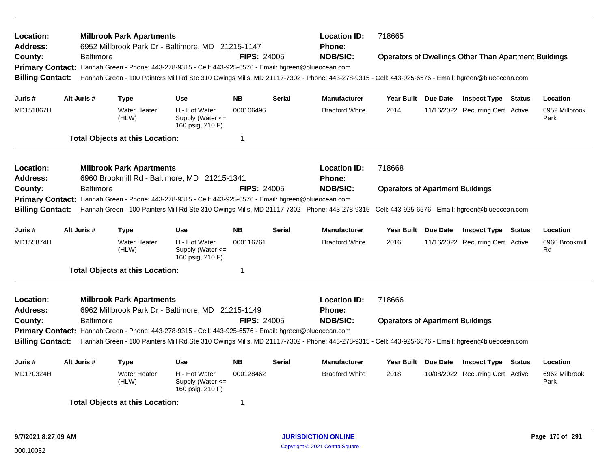| Location:<br>Address:<br>County:<br><b>Billing Contact:</b>   | <b>Baltimore</b> | <b>Milbrook Park Apartments</b>        | 6952 Millbrook Park Dr - Baltimore, MD 21215-1147<br>Primary Contact: Hannah Green - Phone: 443-278-9315 - Cell: 443-925-6576 - Email: hgreen@blueocean.com | <b>FIPS: 24005</b> |               | <b>Location ID:</b><br><b>Phone:</b><br><b>NOB/SIC:</b><br>Hannah Green - 100 Painters Mill Rd Ste 310 Owings Mills, MD 21117-7302 - Phone: 443-278-9315 - Cell: 443-925-6576 - Email: hgreen@blueocean.com | 718665                                  | <b>Operators of Dwellings Other Than Apartment Buildings</b> |               |                        |
|---------------------------------------------------------------|------------------|----------------------------------------|-------------------------------------------------------------------------------------------------------------------------------------------------------------|--------------------|---------------|-------------------------------------------------------------------------------------------------------------------------------------------------------------------------------------------------------------|-----------------------------------------|--------------------------------------------------------------|---------------|------------------------|
| Juris #                                                       | Alt Juris #      | <b>Type</b>                            | <b>Use</b>                                                                                                                                                  | <b>NB</b>          | <b>Serial</b> | <b>Manufacturer</b>                                                                                                                                                                                         | Year Built Due Date                     | <b>Inspect Type Status</b>                                   |               | Location               |
| MD151867H                                                     |                  | <b>Water Heater</b><br>(HLW)           | H - Hot Water<br>Supply (Water $\leq$<br>160 psig, 210 F)                                                                                                   | 000106496          |               | <b>Bradford White</b>                                                                                                                                                                                       | 2014                                    | 11/16/2022 Recurring Cert Active                             |               | 6952 Millbrook<br>Park |
|                                                               |                  | <b>Total Objects at this Location:</b> |                                                                                                                                                             | 1                  |               |                                                                                                                                                                                                             |                                         |                                                              |               |                        |
| Location:<br><b>Address:</b>                                  |                  | <b>Milbrook Park Apartments</b>        | 6960 Brookmill Rd - Baltimore, MD 21215-1341                                                                                                                |                    |               | <b>Location ID:</b><br>Phone:                                                                                                                                                                               | 718668                                  |                                                              |               |                        |
| County:<br><b>Primary Contact:</b><br><b>Billing Contact:</b> | <b>Baltimore</b> |                                        | Hannah Green - Phone: 443-278-9315 - Cell: 443-925-6576 - Email: hgreen@blueocean.com                                                                       | <b>FIPS: 24005</b> |               | <b>NOB/SIC:</b><br>Hannah Green - 100 Painters Mill Rd Ste 310 Owings Mills, MD 21117-7302 - Phone: 443-278-9315 - Cell: 443-925-6576 - Email: hgreen@blueocean.com                                         | <b>Operators of Apartment Buildings</b> |                                                              |               |                        |
| Juris #                                                       | Alt Juris #      | <b>Type</b>                            | <b>Use</b>                                                                                                                                                  | <b>NB</b>          | Serial        | <b>Manufacturer</b>                                                                                                                                                                                         | Year Built Due Date                     | <b>Inspect Type Status</b>                                   |               | Location               |
| MD155874H                                                     |                  | <b>Water Heater</b><br>(HLW)           | H - Hot Water<br>Supply (Water $\leq$<br>160 psig, 210 F)                                                                                                   | 000116761          |               | <b>Bradford White</b>                                                                                                                                                                                       | 2016                                    | 11/16/2022 Recurring Cert Active                             |               | 6960 Brookmill<br>Rd   |
|                                                               |                  | <b>Total Objects at this Location:</b> |                                                                                                                                                             | $\mathbf 1$        |               |                                                                                                                                                                                                             |                                         |                                                              |               |                        |
| Location:<br>Address:                                         |                  | <b>Milbrook Park Apartments</b>        | 6962 Millbrook Park Dr - Baltimore, MD 21215-1149                                                                                                           |                    |               | <b>Location ID:</b><br>Phone:                                                                                                                                                                               | 718666                                  |                                                              |               |                        |
| County:                                                       | <b>Baltimore</b> |                                        |                                                                                                                                                             | <b>FIPS: 24005</b> |               | <b>NOB/SIC:</b>                                                                                                                                                                                             | <b>Operators of Apartment Buildings</b> |                                                              |               |                        |
| <b>Billing Contact:</b>                                       |                  |                                        | Primary Contact: Hannah Green - Phone: 443-278-9315 - Cell: 443-925-6576 - Email: hgreen@blueocean.com                                                      |                    |               | Hannah Green - 100 Painters Mill Rd Ste 310 Owings Mills, MD 21117-7302 - Phone: 443-278-9315 - Cell: 443-925-6576 - Email: hgreen@blueocean.com                                                            |                                         |                                                              |               |                        |
| Juris #                                                       | Alt Juris #      | Type                                   | <b>Use</b>                                                                                                                                                  | <b>NB</b>          | <b>Serial</b> | <b>Manufacturer</b>                                                                                                                                                                                         | Year Built Due Date                     | <b>Inspect Type</b>                                          | <b>Status</b> | Location               |
| MD170324H                                                     |                  | <b>Water Heater</b><br>(HLW)           | H - Hot Water<br>Supply (Water $\leq$<br>160 psig, 210 F)                                                                                                   | 000128462          |               | <b>Bradford White</b>                                                                                                                                                                                       | 2018                                    | 10/08/2022 Recurring Cert Active                             |               | 6962 Milbrook<br>Park  |
|                                                               |                  | <b>Total Objects at this Location:</b> |                                                                                                                                                             | 1                  |               |                                                                                                                                                                                                             |                                         |                                                              |               |                        |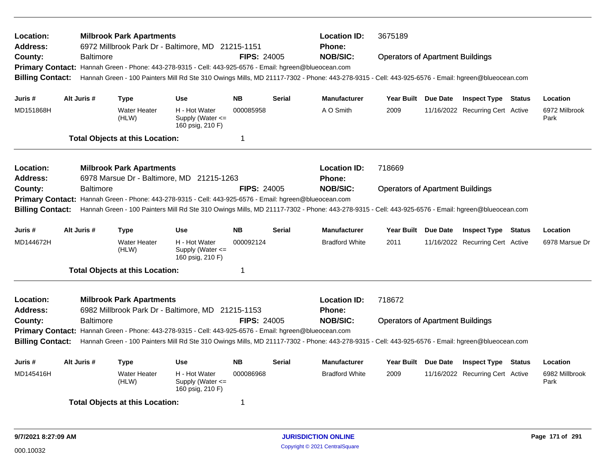| Location:<br>Address:<br>County:<br><b>Primary Contact:</b><br><b>Billing Contact:</b>                                                                                                                                                                                                                                                                                                                                                                      |  | <b>Baltimore</b> | <b>Milbrook Park Apartments</b>        | 6972 Millbrook Park Dr - Baltimore, MD 21215-1151<br>Hannah Green - Phone: 443-278-9315 - Cell: 443-925-6576 - Email: hgreen@blueocean.com | <b>FIPS: 24005</b> |               | <b>Location ID:</b><br><b>Phone:</b><br><b>NOB/SIC:</b><br>Hannah Green - 100 Painters Mill Rd Ste 310 Owings Mills, MD 21117-7302 - Phone: 443-278-9315 - Cell: 443-925-6576 - Email: hgreen@blueocean.com | 3675189<br><b>Operators of Apartment Buildings</b> |                                                         |               |                        |
|-------------------------------------------------------------------------------------------------------------------------------------------------------------------------------------------------------------------------------------------------------------------------------------------------------------------------------------------------------------------------------------------------------------------------------------------------------------|--|------------------|----------------------------------------|--------------------------------------------------------------------------------------------------------------------------------------------|--------------------|---------------|-------------------------------------------------------------------------------------------------------------------------------------------------------------------------------------------------------------|----------------------------------------------------|---------------------------------------------------------|---------------|------------------------|
| Juris #                                                                                                                                                                                                                                                                                                                                                                                                                                                     |  | Alt Juris #      | <b>Type</b>                            | <b>Use</b>                                                                                                                                 | <b>NB</b>          | <b>Serial</b> | Manufacturer                                                                                                                                                                                                | Year Built Due Date                                | <b>Inspect Type Status</b>                              |               | Location               |
| MD151868H                                                                                                                                                                                                                                                                                                                                                                                                                                                   |  |                  | <b>Water Heater</b><br>(HLW)           | H - Hot Water<br>Supply (Water $\leq$<br>160 psig, 210 F)                                                                                  | 000085958          |               | A O Smith                                                                                                                                                                                                   | 2009                                               | 11/16/2022 Recurring Cert Active                        |               | 6972 Milbrook<br>Park  |
|                                                                                                                                                                                                                                                                                                                                                                                                                                                             |  |                  | <b>Total Objects at this Location:</b> |                                                                                                                                            | 1                  |               |                                                                                                                                                                                                             |                                                    |                                                         |               |                        |
| Location:<br><b>Address:</b>                                                                                                                                                                                                                                                                                                                                                                                                                                |  |                  | <b>Milbrook Park Apartments</b>        | 6978 Marsue Dr - Baltimore, MD 21215-1263                                                                                                  |                    |               | <b>Location ID:</b><br>Phone:                                                                                                                                                                               | 718669                                             |                                                         |               |                        |
| County:<br><b>Primary Contact:</b><br><b>Billing Contact:</b>                                                                                                                                                                                                                                                                                                                                                                                               |  | <b>Baltimore</b> |                                        | Hannah Green - Phone: 443-278-9315 - Cell: 443-925-6576 - Email: hgreen@blueocean.com                                                      | <b>FIPS: 24005</b> |               | <b>NOB/SIC:</b><br>Hannah Green - 100 Painters Mill Rd Ste 310 Owings Mills, MD 21117-7302 - Phone: 443-278-9315 - Cell: 443-925-6576 - Email: hgreen@blueocean.com                                         | <b>Operators of Apartment Buildings</b>            |                                                         |               |                        |
| Juris #                                                                                                                                                                                                                                                                                                                                                                                                                                                     |  | Alt Juris #      | Type                                   | <b>Use</b>                                                                                                                                 | <b>NB</b>          | Serial        | <b>Manufacturer</b>                                                                                                                                                                                         | Year Built Due Date                                | <b>Inspect Type Status</b>                              |               | Location               |
| MD144672H                                                                                                                                                                                                                                                                                                                                                                                                                                                   |  |                  | <b>Water Heater</b><br>(HLW)           | H - Hot Water<br>Supply (Water $\leq$<br>160 psig, 210 F)                                                                                  | 000092124          |               | <b>Bradford White</b>                                                                                                                                                                                       | 2011                                               | 11/16/2022 Recurring Cert Active                        |               | 6978 Marsue Dr         |
|                                                                                                                                                                                                                                                                                                                                                                                                                                                             |  |                  | <b>Total Objects at this Location:</b> |                                                                                                                                            | 1                  |               |                                                                                                                                                                                                             |                                                    |                                                         |               |                        |
| Location:<br><b>Milbrook Park Apartments</b><br>6982 Millbrook Park Dr - Baltimore, MD 21215-1153<br>Address:<br><b>FIPS: 24005</b><br><b>Baltimore</b><br>County:<br>Primary Contact: Hannah Green - Phone: 443-278-9315 - Cell: 443-925-6576 - Email: hgreen@blueocean.com<br><b>Billing Contact:</b><br>Hannah Green - 100 Painters Mill Rd Ste 310 Owings Mills, MD 21117-7302 - Phone: 443-278-9315 - Cell: 443-925-6576 - Email: hgreen@blueocean.com |  |                  |                                        |                                                                                                                                            |                    |               | <b>Location ID:</b><br>Phone:<br><b>NOB/SIC:</b>                                                                                                                                                            | 718672<br><b>Operators of Apartment Buildings</b>  |                                                         |               |                        |
| Juris #                                                                                                                                                                                                                                                                                                                                                                                                                                                     |  | Alt Juris #      |                                        | Use                                                                                                                                        | <b>NB</b>          | <b>Serial</b> | <b>Manufacturer</b>                                                                                                                                                                                         | Year Built Due Date                                |                                                         | <b>Status</b> | Location               |
| MD145416H                                                                                                                                                                                                                                                                                                                                                                                                                                                   |  |                  | Type<br><b>Water Heater</b><br>(HLW)   | H - Hot Water<br>Supply (Water $\leq$<br>160 psig, 210 F)                                                                                  | 000086968          |               | <b>Bradford White</b>                                                                                                                                                                                       | 2009                                               | <b>Inspect Type</b><br>11/16/2022 Recurring Cert Active |               | 6982 Millbrook<br>Park |
|                                                                                                                                                                                                                                                                                                                                                                                                                                                             |  |                  | <b>Total Objects at this Location:</b> |                                                                                                                                            | 1                  |               |                                                                                                                                                                                                             |                                                    |                                                         |               |                        |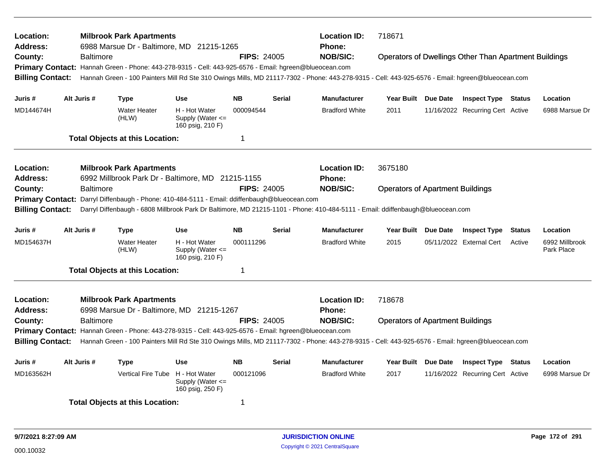| Location:<br>Address:<br>County:<br><b>Billing Contact:</b>                                                                                                                                                                                                                                                                                                                                                                                                                                                                                                        | <b>Baltimore</b> | <b>Milbrook Park Apartments</b><br>6988 Marsue Dr - Baltimore, MD 21215-1265<br>Primary Contact: Hannah Green - Phone: 443-278-9315 - Cell: 443-925-6576 - Email: hgreen@blueocean.com<br>Hannah Green - 100 Painters Mill Rd Ste 310 Owings Mills, MD 21117-7302 - Phone: 443-278-9315 - Cell: 443-925-6576 - Email: hgreen@blueocean.com |                                                                         | <b>FIPS: 24005</b>          |                                                         | <b>Location ID:</b><br><b>Phone:</b><br><b>NOB/SIC:</b> | 718671                      |          | <b>Operators of Dwellings Other Than Apartment Buildings</b>   |                         |                                          |
|--------------------------------------------------------------------------------------------------------------------------------------------------------------------------------------------------------------------------------------------------------------------------------------------------------------------------------------------------------------------------------------------------------------------------------------------------------------------------------------------------------------------------------------------------------------------|------------------|--------------------------------------------------------------------------------------------------------------------------------------------------------------------------------------------------------------------------------------------------------------------------------------------------------------------------------------------|-------------------------------------------------------------------------|-----------------------------|---------------------------------------------------------|---------------------------------------------------------|-----------------------------|----------|----------------------------------------------------------------|-------------------------|------------------------------------------|
| Juris #<br>MD144674H                                                                                                                                                                                                                                                                                                                                                                                                                                                                                                                                               | Alt Juris #      | <b>Type</b><br><b>Water Heater</b><br>(HLW)<br><b>Total Objects at this Location:</b>                                                                                                                                                                                                                                                      | <b>Use</b><br>H - Hot Water<br>Supply (Water $\leq$<br>160 psig, 210 F) | <b>NB</b><br>000094544<br>1 | Serial                                                  | <b>Manufacturer</b><br><b>Bradford White</b>            | Year Built Due Date<br>2011 |          | <b>Inspect Type Status</b><br>11/16/2022 Recurring Cert Active |                         | Location<br>6988 Marsue Dr               |
| <b>Location ID:</b><br>Location:<br><b>Milbrook Park Apartments</b><br>3675180<br>6992 Millbrook Park Dr - Baltimore, MD 21215-1155<br><b>Phone:</b><br><b>Address:</b><br><b>NOB/SIC:</b><br><b>Baltimore</b><br><b>FIPS: 24005</b><br>County:<br><b>Operators of Apartment Buildings</b><br><b>Primary Contact:</b><br>Darryl Diffenbaugh - Phone: 410-484-5111 - Email: ddiffenbaugh@blueocean.com<br><b>Billing Contact:</b><br>Darryl Diffenbaugh - 6808 Millbrook Park Dr Baltimore, MD 21215-1101 - Phone: 410-484-5111 - Email: ddiffenbaugh@blueocean.com |                  |                                                                                                                                                                                                                                                                                                                                            |                                                                         |                             |                                                         |                                                         |                             |          |                                                                |                         |                                          |
| Juris #<br>MD154637H                                                                                                                                                                                                                                                                                                                                                                                                                                                                                                                                               | Alt Juris #      | <b>Type</b><br><b>Water Heater</b><br>(HLW)<br><b>Total Objects at this Location:</b>                                                                                                                                                                                                                                                      | Use<br>H - Hot Water<br>Supply (Water $\leq$<br>160 psig, 210 F)        | <b>NB</b><br>000111296<br>1 | <b>Serial</b>                                           | <b>Manufacturer</b><br><b>Bradford White</b>            | Year Built Due Date<br>2015 |          | <b>Inspect Type</b><br>05/11/2022 External Cert                | <b>Status</b><br>Active | Location<br>6992 Millbrook<br>Park Place |
| Location:<br>Address:<br>County:<br><b>Billing Contact:</b>                                                                                                                                                                                                                                                                                                                                                                                                                                                                                                        | <b>Baltimore</b> | <b>Milbrook Park Apartments</b><br>6998 Marsue Dr - Baltimore, MD 21215-1267<br>Primary Contact: Hannah Green - Phone: 443-278-9315 - Cell: 443-925-6576 - Email: hgreen@blueocean.com<br>Hannah Green - 100 Painters Mill Rd Ste 310 Owings Mills, MD 21117-7302 - Phone: 443-278-9315 - Cell: 443-925-6576 - Email: hgreen@blueocean.com |                                                                         | <b>FIPS: 24005</b>          | <b>Location ID:</b><br><b>Phone:</b><br><b>NOB/SIC:</b> | 718678<br><b>Operators of Apartment Buildings</b>       |                             |          |                                                                |                         |                                          |
| Juris #<br>MD163562H                                                                                                                                                                                                                                                                                                                                                                                                                                                                                                                                               | Alt Juris #      | <b>Type</b><br>Vertical Fire Tube H - Hot Water<br><b>Total Objects at this Location:</b>                                                                                                                                                                                                                                                  | <b>Use</b><br>Supply (Water $\leq$<br>160 psig, 250 F)                  | <b>NB</b><br>000121096<br>1 | <b>Serial</b>                                           | <b>Manufacturer</b><br><b>Bradford White</b>            | <b>Year Built</b><br>2017   | Due Date | <b>Inspect Type Status</b><br>11/16/2022 Recurring Cert Active |                         | Location<br>6998 Marsue Dr               |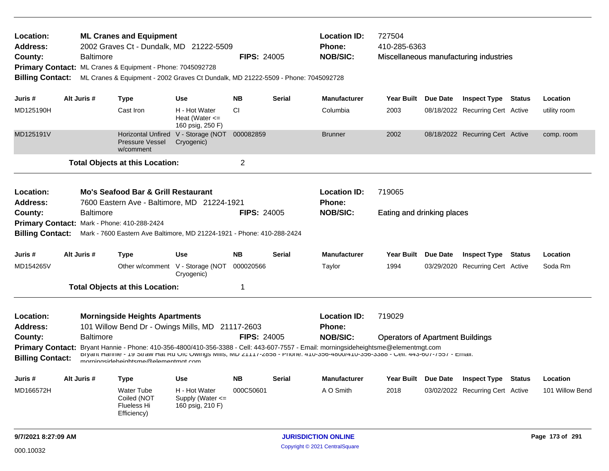| 9/7/2021 8:27:09 AM                                                                                                                                                                                                                                                                                                                                                                                                                                                                                                                                             |                            |                                                                                                                                                                                                                                                                                                             |                                                             |                    |               | <b>JURISDICTION ONLINE</b>           |                                         |                                        |        | Page 173 of 291 |
|-----------------------------------------------------------------------------------------------------------------------------------------------------------------------------------------------------------------------------------------------------------------------------------------------------------------------------------------------------------------------------------------------------------------------------------------------------------------------------------------------------------------------------------------------------------------|----------------------------|-------------------------------------------------------------------------------------------------------------------------------------------------------------------------------------------------------------------------------------------------------------------------------------------------------------|-------------------------------------------------------------|--------------------|---------------|--------------------------------------|-----------------------------------------|----------------------------------------|--------|-----------------|
| MD166572H                                                                                                                                                                                                                                                                                                                                                                                                                                                                                                                                                       |                            | <b>Water Tube</b><br>Coiled (NOT<br>Flueless Hi<br>Efficiency)                                                                                                                                                                                                                                              | H - Hot Water<br>Supply (Water <=<br>160 psig, 210 F)       | 000C50601          |               | A O Smith                            | 2018                                    | 03/02/2022 Recurring Cert Active       |        | 101 Willow Bend |
| Juris#                                                                                                                                                                                                                                                                                                                                                                                                                                                                                                                                                          | Alt Juris #                | <b>Type</b>                                                                                                                                                                                                                                                                                                 | <b>Use</b>                                                  | <b>NB</b>          | <b>Serial</b> | <b>Manufacturer</b>                  | Year Built Due Date                     | <b>Inspect Type Status</b>             |        | Location        |
| <b>Billing Contact:</b>                                                                                                                                                                                                                                                                                                                                                                                                                                                                                                                                         |                            | Primary Contact: Bryant Hannie - Phone: 410-356-4800/410-356-3388 - Cell: 443-607-7557 - Email: morningsideheightsme@elementmgt.com<br>DIYANI HANNE - 19 SHAW HAL KU UIC UWINGS MINS, MD ZTTT/-Z000 - MNONE: 410-300-4600/410-300-3300 - Cell: 443-007-7007 - EMAII:<br>morningsidahaightsma@alamantmgt.com |                                                             |                    |               |                                      |                                         |                                        |        |                 |
| County:                                                                                                                                                                                                                                                                                                                                                                                                                                                                                                                                                         | <b>Baltimore</b>           |                                                                                                                                                                                                                                                                                                             |                                                             | <b>FIPS: 24005</b> |               | <b>NOB/SIC:</b>                      | <b>Operators of Apartment Buildings</b> |                                        |        |                 |
| <b>Address:</b>                                                                                                                                                                                                                                                                                                                                                                                                                                                                                                                                                 |                            | 101 Willow Bend Dr - Owings Mills, MD 21117-2603                                                                                                                                                                                                                                                            |                                                             |                    |               | Phone:                               |                                         |                                        |        |                 |
| Location:                                                                                                                                                                                                                                                                                                                                                                                                                                                                                                                                                       |                            | <b>Morningside Heights Apartments</b>                                                                                                                                                                                                                                                                       |                                                             |                    |               | <b>Location ID:</b>                  | 719029                                  |                                        |        |                 |
|                                                                                                                                                                                                                                                                                                                                                                                                                                                                                                                                                                 |                            |                                                                                                                                                                                                                                                                                                             |                                                             | 1                  |               |                                      |                                         |                                        |        |                 |
|                                                                                                                                                                                                                                                                                                                                                                                                                                                                                                                                                                 |                            |                                                                                                                                                                                                                                                                                                             | Cryogenic)                                                  |                    |               |                                      | 1994                                    | 03/29/2020 Recurring Cert Active       |        | Soda Rm         |
| Juris #                                                                                                                                                                                                                                                                                                                                                                                                                                                                                                                                                         |                            | <b>Type</b>                                                                                                                                                                                                                                                                                                 | <b>Use</b>                                                  | <b>NB</b>          | <b>Serial</b> | <b>Manufacturer</b>                  | Year Built Due Date                     | <b>Inspect Type Status</b>             |        | Location        |
| 2<br><b>Total Objects at this Location:</b><br>Location:<br>Mo's Seafood Bar & Grill Restaurant<br><b>Location ID:</b><br><b>Address:</b><br>7600 Eastern Ave - Baltimore, MD 21224-1921<br>Phone:<br><b>FIPS: 24005</b><br><b>NOB/SIC:</b><br>County:<br><b>Baltimore</b><br>Primary Contact: Mark - Phone: 410-288-2424<br><b>Billing Contact:</b><br>Mark - 7600 Eastern Ave Baltimore, MD 21224-1921 - Phone: 410-288-2424<br>Alt Juris #<br>MD154265V<br>Other w/comment V - Storage (NOT<br>000020566<br>Taylor<br><b>Total Objects at this Location:</b> | Eating and drinking places |                                                                                                                                                                                                                                                                                                             |                                                             |                    |               |                                      |                                         |                                        |        |                 |
|                                                                                                                                                                                                                                                                                                                                                                                                                                                                                                                                                                 |                            |                                                                                                                                                                                                                                                                                                             |                                                             |                    |               |                                      | 719065                                  |                                        |        |                 |
|                                                                                                                                                                                                                                                                                                                                                                                                                                                                                                                                                                 |                            |                                                                                                                                                                                                                                                                                                             |                                                             |                    |               |                                      |                                         |                                        |        |                 |
| MD125191V                                                                                                                                                                                                                                                                                                                                                                                                                                                                                                                                                       |                            | <b>Pressure Vessel</b><br>w/comment                                                                                                                                                                                                                                                                         | Horizontal Unfired V - Storage (NOT 000082859<br>Cryogenic) |                    |               | <b>Brunner</b>                       | 2002                                    | 08/18/2022 Recurring Cert Active       |        | comp. room      |
| MD125190H                                                                                                                                                                                                                                                                                                                                                                                                                                                                                                                                                       |                            | Cast Iron                                                                                                                                                                                                                                                                                                   | H - Hot Water<br>Heat (Water $\leq$<br>160 psig, 250 F)     | CI                 |               | Columbia                             | 2003                                    | 08/18/2022 Recurring Cert Active       |        | utility room    |
| Juris #                                                                                                                                                                                                                                                                                                                                                                                                                                                                                                                                                         | Alt Juris #                | <b>Type</b>                                                                                                                                                                                                                                                                                                 | Use                                                         | <b>NB</b>          | <b>Serial</b> | <b>Manufacturer</b>                  | Year Built Due Date                     | <b>Inspect Type</b>                    | Status | Location        |
| <b>Billing Contact:</b>                                                                                                                                                                                                                                                                                                                                                                                                                                                                                                                                         |                            | Primary Contact: ML Cranes & Equipment - Phone: 7045092728<br>ML Cranes & Equipment - 2002 Graves Ct Dundalk, MD 21222-5509 - Phone: 7045092728                                                                                                                                                             |                                                             |                    |               |                                      |                                         |                                        |        |                 |
| County:                                                                                                                                                                                                                                                                                                                                                                                                                                                                                                                                                         | <b>Baltimore</b>           |                                                                                                                                                                                                                                                                                                             |                                                             | <b>FIPS: 24005</b> |               | <b>NOB/SIC:</b>                      |                                         | Miscellaneous manufacturing industries |        |                 |
| Location:<br><b>Address:</b>                                                                                                                                                                                                                                                                                                                                                                                                                                                                                                                                    |                            | <b>ML Cranes and Equipment</b><br>2002 Graves Ct - Dundalk, MD 21222-5509                                                                                                                                                                                                                                   |                                                             |                    |               | <b>Location ID:</b><br><b>Phone:</b> | 727504<br>410-285-6363                  |                                        |        |                 |
|                                                                                                                                                                                                                                                                                                                                                                                                                                                                                                                                                                 |                            |                                                                                                                                                                                                                                                                                                             |                                                             |                    |               |                                      |                                         |                                        |        |                 |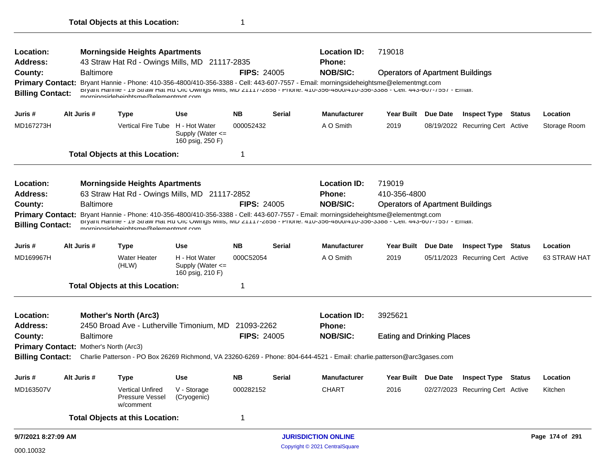| Location:<br><b>Address:</b>                                                                                                                                                                                                                                                                                                                       |  |                  | <b>Morningside Heights Apartments</b><br>43 Straw Hat Rd - Owings Mills, MD 21117-2835                                                                                                                                                                                                                        |                                                           |                    |               | <b>Location ID:</b><br><b>Phone:</b> | 719018                                  |                                  |               |                 |
|----------------------------------------------------------------------------------------------------------------------------------------------------------------------------------------------------------------------------------------------------------------------------------------------------------------------------------------------------|--|------------------|---------------------------------------------------------------------------------------------------------------------------------------------------------------------------------------------------------------------------------------------------------------------------------------------------------------|-----------------------------------------------------------|--------------------|---------------|--------------------------------------|-----------------------------------------|----------------------------------|---------------|-----------------|
| County:                                                                                                                                                                                                                                                                                                                                            |  | <b>Baltimore</b> |                                                                                                                                                                                                                                                                                                               |                                                           | <b>FIPS: 24005</b> |               | <b>NOB/SIC:</b>                      | <b>Operators of Apartment Buildings</b> |                                  |               |                 |
| <b>Billing Contact:</b>                                                                                                                                                                                                                                                                                                                            |  |                  | Primary Contact: Bryant Hannie - Phone: 410-356-4800/410-356-3388 - Cell: 443-607-7557 - Email: morningsideheightsme@elementmgt.com<br>DIYANI HANNE - 19 Straw Hat Rd Old Owings Mills, MD ZTTT/-Z656 - PHONE: 410-356-4600/410-356-3366 - Gell: 443-607-7557 - EMall:<br>morningsideheightsme@elementmat.com |                                                           |                    |               |                                      |                                         |                                  |               |                 |
| Juris #                                                                                                                                                                                                                                                                                                                                            |  | Alt Juris #      | <b>Type</b>                                                                                                                                                                                                                                                                                                   | <b>Use</b>                                                | <b>NB</b>          | Serial        | <b>Manufacturer</b>                  | Year Built Due Date                     | <b>Inspect Type</b>              | <b>Status</b> | Location        |
| MD167273H                                                                                                                                                                                                                                                                                                                                          |  |                  | Vertical Fire Tube H - Hot Water                                                                                                                                                                                                                                                                              | Supply (Water $\leq$<br>160 psig, 250 F)                  | 000052432          |               | A O Smith                            | 2019                                    | 08/19/2022 Recurring Cert Active |               | Storage Room    |
|                                                                                                                                                                                                                                                                                                                                                    |  |                  | <b>Total Objects at this Location:</b>                                                                                                                                                                                                                                                                        |                                                           | $\mathbf 1$        |               |                                      |                                         |                                  |               |                 |
| Location:                                                                                                                                                                                                                                                                                                                                          |  |                  | <b>Morningside Heights Apartments</b>                                                                                                                                                                                                                                                                         |                                                           |                    |               | <b>Location ID:</b>                  | 719019                                  |                                  |               |                 |
| <b>Address:</b>                                                                                                                                                                                                                                                                                                                                    |  |                  | 63 Straw Hat Rd - Owings Mills, MD 21117-2852                                                                                                                                                                                                                                                                 |                                                           |                    |               | <b>Phone:</b>                        | 410-356-4800                            |                                  |               |                 |
| County:                                                                                                                                                                                                                                                                                                                                            |  | <b>Baltimore</b> |                                                                                                                                                                                                                                                                                                               |                                                           | <b>FIPS: 24005</b> |               | <b>NOB/SIC:</b>                      | <b>Operators of Apartment Buildings</b> |                                  |               |                 |
| <b>Primary Contact:</b><br>Bryant Hannie - Phone: 410-356-4800/410-356-3388 - Cell: 443-607-7557 - Email: morningsideheightsme@elementmgt.com<br>DIYANI HANNE - 19 Straw Hat Rd Old Owings Mills, MD ZTTT/-Z656 - PHONE: 410-356-4800/410-356-3366 - Gell: 443-607-7557 - EMall:<br><b>Billing Contact:</b><br>morningsidahaightsma@alamantmgt.com |  |                  |                                                                                                                                                                                                                                                                                                               |                                                           |                    |               |                                      |                                         |                                  |               |                 |
| Juris #                                                                                                                                                                                                                                                                                                                                            |  | Alt Juris #      | Type                                                                                                                                                                                                                                                                                                          | <b>Use</b>                                                | <b>NB</b>          | <b>Serial</b> | <b>Manufacturer</b>                  | Year Built Due Date                     | <b>Inspect Type</b>              | <b>Status</b> | Location        |
| MD169967H                                                                                                                                                                                                                                                                                                                                          |  |                  | <b>Water Heater</b><br>(HLW)                                                                                                                                                                                                                                                                                  | H - Hot Water<br>Supply (Water $\leq$<br>160 psig, 210 F) | 000C52054          |               | A O Smith                            | 2019                                    | 05/11/2023 Recurring Cert Active |               | 63 STRAW HAT    |
|                                                                                                                                                                                                                                                                                                                                                    |  |                  | <b>Total Objects at this Location:</b>                                                                                                                                                                                                                                                                        |                                                           | -1                 |               |                                      |                                         |                                  |               |                 |
| Location:                                                                                                                                                                                                                                                                                                                                          |  |                  | <b>Mother's North (Arc3)</b>                                                                                                                                                                                                                                                                                  |                                                           |                    |               | <b>Location ID:</b>                  | 3925621                                 |                                  |               |                 |
| <b>Address:</b>                                                                                                                                                                                                                                                                                                                                    |  |                  | 2450 Broad Ave - Lutherville Timonium, MD                                                                                                                                                                                                                                                                     |                                                           | 21093-2262         |               | <b>Phone:</b>                        |                                         |                                  |               |                 |
| County:                                                                                                                                                                                                                                                                                                                                            |  | <b>Baltimore</b> |                                                                                                                                                                                                                                                                                                               |                                                           | <b>FIPS: 24005</b> |               | <b>NOB/SIC:</b>                      | <b>Eating and Drinking Places</b>       |                                  |               |                 |
| Primary Contact: Mother's North (Arc3)                                                                                                                                                                                                                                                                                                             |  |                  |                                                                                                                                                                                                                                                                                                               |                                                           |                    |               |                                      |                                         |                                  |               |                 |
| <b>Billing Contact:</b>                                                                                                                                                                                                                                                                                                                            |  |                  | Charlie Patterson - PO Box 26269 Richmond, VA 23260-6269 - Phone: 804-644-4521 - Email: charlie.patterson@arc3gases.com                                                                                                                                                                                       |                                                           |                    |               |                                      |                                         |                                  |               |                 |
| Juris #                                                                                                                                                                                                                                                                                                                                            |  | Alt Juris #      | Type                                                                                                                                                                                                                                                                                                          | <b>Use</b>                                                | <b>NB</b>          | <b>Serial</b> | <b>Manufacturer</b>                  | Year Built Due Date                     | <b>Inspect Type</b>              | <b>Status</b> | Location        |
| MD163507V                                                                                                                                                                                                                                                                                                                                          |  |                  | <b>Vertical Unfired</b><br>Pressure Vessel<br>w/comment                                                                                                                                                                                                                                                       | V - Storage<br>(Cryogenic)                                | 000282152          |               | <b>CHART</b>                         | 2016                                    | 02/27/2023 Recurring Cert Active |               | Kitchen         |
|                                                                                                                                                                                                                                                                                                                                                    |  |                  | <b>Total Objects at this Location:</b>                                                                                                                                                                                                                                                                        |                                                           | $\mathbf 1$        |               |                                      |                                         |                                  |               |                 |
| 9/7/2021 8:27:09 AM                                                                                                                                                                                                                                                                                                                                |  |                  |                                                                                                                                                                                                                                                                                                               |                                                           |                    |               | <b>JURISDICTION ONLINE</b>           |                                         |                                  |               | Page 174 of 291 |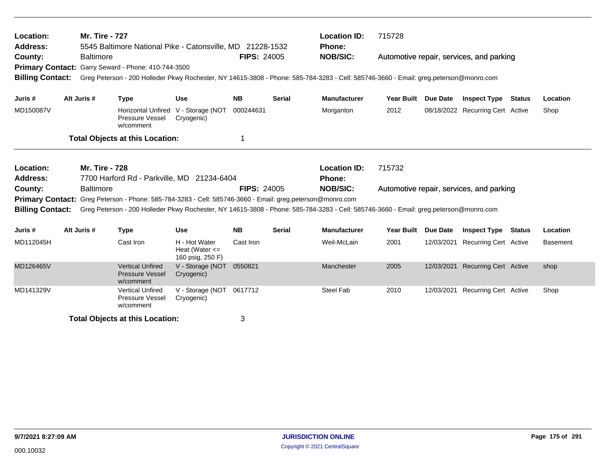| Location:<br><b>Address:</b>       |             | <b>Mr. Tire - 727</b> | 5545 Baltimore National Pike - Catonsville, MD 21228-1532                                                                                                                                                                                          |                                                         |                    |               | <b>Location ID:</b><br><b>Phone:</b> | 715728            |                 |                                          |                 |
|------------------------------------|-------------|-----------------------|----------------------------------------------------------------------------------------------------------------------------------------------------------------------------------------------------------------------------------------------------|---------------------------------------------------------|--------------------|---------------|--------------------------------------|-------------------|-----------------|------------------------------------------|-----------------|
| County:<br><b>Billing Contact:</b> |             | <b>Baltimore</b>      | Primary Contact: Garry Seward - Phone: 410-744-3500<br>Greg Peterson - 200 Holleder Pkwy Rochester, NY 14615-3808 - Phone: 585-784-3283 - Cell: 585746-3660 - Email: greg.peterson@monro.com                                                       |                                                         | <b>FIPS: 24005</b> |               | <b>NOB/SIC:</b>                      |                   |                 | Automotive repair, services, and parking |                 |
| Juris #                            | Alt Juris # |                       | <b>Type</b>                                                                                                                                                                                                                                        | <b>Use</b>                                              | <b>NB</b>          | <b>Serial</b> | <b>Manufacturer</b>                  | <b>Year Built</b> | <b>Due Date</b> | <b>Inspect Type Status</b>               | Location        |
| MD150087V                          |             |                       | Pressure Vessel<br>w/comment                                                                                                                                                                                                                       | Horizontal Unfired V - Storage (NOT<br>Cryogenic)       | 000244631          |               | Morganton                            | 2012              |                 | 08/18/2022 Recurring Cert Active         | Shop            |
|                                    |             |                       | <b>Total Objects at this Location:</b>                                                                                                                                                                                                             |                                                         | 1                  |               |                                      |                   |                 |                                          |                 |
| Location:<br><b>Address:</b>       |             | <b>Mr. Tire - 728</b> | 7700 Harford Rd - Parkville, MD 21234-6404                                                                                                                                                                                                         |                                                         |                    |               | <b>Location ID:</b><br>Phone:        | 715732            |                 |                                          |                 |
| County:<br><b>Billing Contact:</b> |             | <b>Baltimore</b>      | Primary Contact: Greg Peterson - Phone: 585-784-3283 - Cell: 585746-3660 - Email: greg.peterson@monro.com<br>Greg Peterson - 200 Holleder Pkwy Rochester, NY 14615-3808 - Phone: 585-784-3283 - Cell: 585746-3660 - Email: greg.peterson@monro.com |                                                         | <b>FIPS: 24005</b> |               | <b>NOB/SIC:</b>                      |                   |                 | Automotive repair, services, and parking |                 |
| Juris #                            | Alt Juris # |                       | <b>Type</b>                                                                                                                                                                                                                                        | <b>Use</b>                                              | <b>NB</b>          | <b>Serial</b> | <b>Manufacturer</b>                  | Year Built        | <b>Due Date</b> | <b>Inspect Type Status</b>               | Location        |
| MD112045H                          |             |                       | Cast Iron                                                                                                                                                                                                                                          | H - Hot Water<br>Heat (Water $\leq$<br>160 psig, 250 F) | Cast Iron          |               | Weil-McLain                          | 2001              | 12/03/2021      | <b>Recurring Cert Active</b>             | <b>Basement</b> |
| MD126465V                          |             |                       | <b>Vertical Unfired</b><br><b>Pressure Vessel</b><br>w/comment                                                                                                                                                                                     | V - Storage (NOT<br>Cryogenic)                          | 0550821            |               | Manchester                           | 2005              | 12/03/2021      | <b>Recurring Cert Active</b>             | shop            |
| MD141329V                          |             |                       | <b>Vertical Unfired</b><br>Pressure Vessel<br>w/comment                                                                                                                                                                                            | V - Storage (NOT 0617712<br>Cryogenic)                  |                    |               | <b>Steel Fab</b>                     | 2010              |                 | 12/03/2021 Recurring Cert Active         | Shop            |
|                                    |             |                       | <b>Total Objects at this Location:</b>                                                                                                                                                                                                             |                                                         | 3                  |               |                                      |                   |                 |                                          |                 |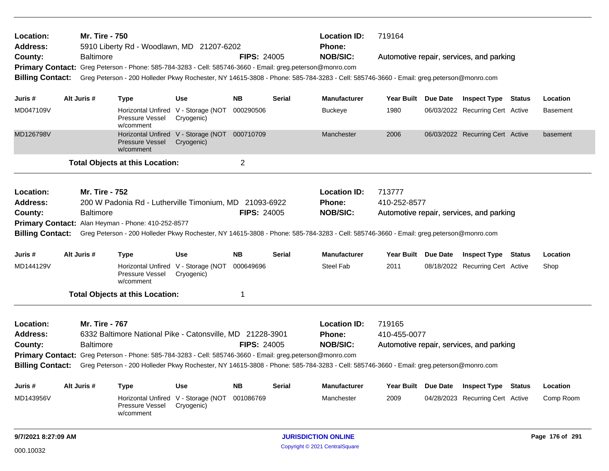| 9/7/2021 8:27:09 AM          |                                           |                       |                                                                                                                                       |                                                             |                    |               | <b>JURISDICTION ONLINE</b>    |                                          |          |                                          |               | Page 176 of 291 |
|------------------------------|-------------------------------------------|-----------------------|---------------------------------------------------------------------------------------------------------------------------------------|-------------------------------------------------------------|--------------------|---------------|-------------------------------|------------------------------------------|----------|------------------------------------------|---------------|-----------------|
| MD143956V                    |                                           |                       | Pressure Vessel<br>w/comment                                                                                                          | Horizontal Unfired V - Storage (NOT<br>Cryogenic)           | 001086769          |               | Manchester                    | 2009                                     |          | 04/28/2023 Recurring Cert Active         |               | Comp Room       |
| Juris #                      |                                           | Alt Juris #           | Type                                                                                                                                  | Use                                                         | <b>NB</b>          | Serial        | <b>Manufacturer</b>           | <b>Year Built</b>                        | Due Date | <b>Inspect Type</b>                      | <b>Status</b> | Location        |
| <b>Billing Contact:</b>      |                                           |                       | Greg Peterson - 200 Holleder Pkwy Rochester, NY 14615-3808 - Phone: 585-784-3283 - Cell: 585746-3660 - Email: greg.peterson@monro.com |                                                             |                    |               |                               |                                          |          |                                          |               |                 |
|                              |                                           |                       | Primary Contact: Greg Peterson - Phone: 585-784-3283 - Cell: 585746-3660 - Email: greg.peterson@monro.com                             |                                                             |                    |               |                               |                                          |          |                                          |               |                 |
| County:                      |                                           | <b>Baltimore</b>      |                                                                                                                                       |                                                             | <b>FIPS: 24005</b> |               | <b>NOB/SIC:</b>               |                                          |          | Automotive repair, services, and parking |               |                 |
| Location:<br><b>Address:</b> |                                           | <b>Mr. Tire - 767</b> | 6332 Baltimore National Pike - Catonsville, MD 21228-3901                                                                             |                                                             |                    |               | <b>Location ID:</b><br>Phone: | 719165<br>410-455-0077                   |          |                                          |               |                 |
|                              |                                           |                       |                                                                                                                                       |                                                             |                    |               |                               |                                          |          |                                          |               |                 |
|                              |                                           |                       | <b>Total Objects at this Location:</b>                                                                                                |                                                             | -1                 |               |                               |                                          |          |                                          |               |                 |
| MD144129V                    |                                           |                       | Pressure Vessel<br>w/comment                                                                                                          | Horizontal Unfired V - Storage (NOT<br>Cryogenic)           | 000649696          |               | <b>Steel Fab</b>              | 2011                                     |          | 08/18/2022 Recurring Cert Active         |               | Shop            |
| Juris #                      |                                           | Alt Juris #           | <b>Type</b>                                                                                                                           | <b>Use</b>                                                  | <b>NB</b>          | Serial        | <b>Manufacturer</b>           | Year Built Due Date                      |          | <b>Inspect Type Status</b>               |               | Location        |
| <b>Billing Contact:</b>      |                                           |                       | Greg Peterson - 200 Holleder Pkwy Rochester, NY 14615-3808 - Phone: 585-784-3283 - Cell: 585746-3660 - Email: greg.peterson@monro.com |                                                             |                    |               |                               |                                          |          |                                          |               |                 |
|                              |                                           |                       | Primary Contact: Alan Heyman - Phone: 410-252-8577                                                                                    |                                                             |                    |               |                               |                                          |          |                                          |               |                 |
| County:                      |                                           | <b>Baltimore</b>      |                                                                                                                                       |                                                             | <b>FIPS: 24005</b> |               | <b>NOB/SIC:</b>               |                                          |          | Automotive repair, services, and parking |               |                 |
| <b>Address:</b>              |                                           |                       | 200 W Padonia Rd - Lutherville Timonium, MD 21093-6922                                                                                |                                                             |                    |               | Phone:                        | 410-252-8577                             |          |                                          |               |                 |
| Location:                    |                                           | <b>Mr. Tire - 752</b> |                                                                                                                                       |                                                             |                    |               | <b>Location ID:</b>           | 713777                                   |          |                                          |               |                 |
|                              |                                           |                       | <b>Total Objects at this Location:</b>                                                                                                |                                                             | $\overline{2}$     |               |                               |                                          |          |                                          |               |                 |
| MD126798V                    |                                           |                       | <b>Pressure Vessel</b><br>w/comment                                                                                                   | Horizontal Unfired V - Storage (NOT 000710709<br>Cryogenic) |                    |               | Manchester                    | 2006                                     |          | 06/03/2022 Recurring Cert Active         |               | basement        |
| MD047109V                    |                                           |                       | Pressure Vessel<br>w/comment                                                                                                          | Horizontal Unfired V - Storage (NOT<br>Cryogenic)           | 000290506          |               | <b>Buckeye</b>                | 1980                                     |          | 06/03/2022 Recurring Cert Active         |               | <b>Basement</b> |
| Juris #                      |                                           | Alt Juris #           | <b>Type</b>                                                                                                                           | Use                                                         | <b>NB</b>          | Serial        | <b>Manufacturer</b>           | Year Built Due Date                      |          | <b>Inspect Type Status</b>               |               | Location        |
| <b>Billing Contact:</b>      |                                           |                       | Greg Peterson - 200 Holleder Pkwy Rochester, NY 14615-3808 - Phone: 585-784-3283 - Cell: 585746-3660 - Email: greg.peterson@monro.com |                                                             |                    |               |                               |                                          |          |                                          |               |                 |
|                              |                                           |                       | Primary Contact: Greg Peterson - Phone: 585-784-3283 - Cell: 585746-3660 - Email: greg.peterson@monro.com                             |                                                             |                    |               |                               |                                          |          |                                          |               |                 |
| County:                      |                                           | <b>Baltimore</b>      |                                                                                                                                       |                                                             | <b>FIPS: 24005</b> |               | <b>NOB/SIC:</b>               | Automotive repair, services, and parking |          |                                          |               |                 |
| <b>Address:</b>              | 5910 Liberty Rd - Woodlawn, MD 21207-6202 |                       |                                                                                                                                       |                                                             |                    | <b>Phone:</b> |                               |                                          |          |                                          |               |                 |
| Location:                    |                                           | <b>Mr. Tire - 750</b> |                                                                                                                                       |                                                             |                    |               | <b>Location ID:</b>           | 719164                                   |          |                                          |               |                 |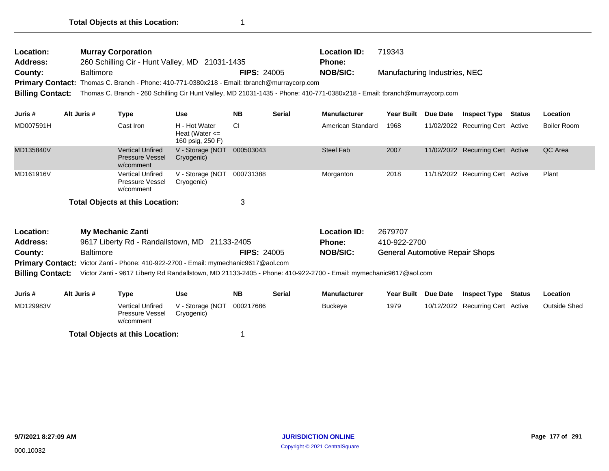Pressure Vessel w/comment

Pressure Vessel

| Location:               |                                        | <b>Murray Corporation</b>                      |                                                                                                    | <b>Location ID:</b> | 719343        |                                                                                                                           |                               |          |                                  |        |                    |  |
|-------------------------|----------------------------------------|------------------------------------------------|----------------------------------------------------------------------------------------------------|---------------------|---------------|---------------------------------------------------------------------------------------------------------------------------|-------------------------------|----------|----------------------------------|--------|--------------------|--|
| <b>Address:</b>         |                                        | 260 Schilling Cir - Hunt Valley, MD 21031-1435 |                                                                                                    | <b>Phone:</b>       |               |                                                                                                                           |                               |          |                                  |        |                    |  |
| County:                 | <b>Baltimore</b><br><b>FIPS: 24005</b> |                                                |                                                                                                    |                     |               | <b>NOB/SIC:</b>                                                                                                           | Manufacturing Industries, NEC |          |                                  |        |                    |  |
|                         |                                        |                                                | <b>Primary Contact:</b> Thomas C. Branch - Phone: 410-771-0380x218 - Email: tbranch@murraycorp.com |                     |               |                                                                                                                           |                               |          |                                  |        |                    |  |
| <b>Billing Contact:</b> |                                        |                                                |                                                                                                    |                     |               | Thomas C. Branch - 260 Schilling Cir Hunt Valley, MD 21031-1435 - Phone: 410-771-0380x218 - Email: tbranch@murraycorp.com |                               |          |                                  |        |                    |  |
| Juris #                 | Alt Juris #                            | Type                                           | <b>Use</b>                                                                                         | <b>NB</b>           | <b>Serial</b> | <b>Manufacturer</b>                                                                                                       | <b>Year Built</b>             | Due Date | <b>Inspect Type</b>              | Status | <b>Location</b>    |  |
| MD007591H               |                                        | Cast Iron                                      | H - Hot Water<br>Heat (Water $\leq$<br>160 psig, 250 F)                                            | СI                  |               | American Standard                                                                                                         | 1968                          |          | 11/02/2022 Recurring Cert Active |        | <b>Boiler Room</b> |  |

|                 | w/comment                                     |                     |              |
|-----------------|-----------------------------------------------|---------------------|--------------|
|                 | <b>Total Objects at this Location:</b>        |                     |              |
|                 |                                               |                     |              |
| Location:       | <b>My Mechanic Zanti</b>                      | <b>Location ID:</b> | 2679707      |
| <b>Address:</b> | 9617 Liberty Rd - Randallstown, MD 21133-2405 | <b>Phone:</b>       | 410-922-2700 |

Steel Fab 2007 11/02/2022 Recurring Cert Active QC Area

Morganton 2018 11/18/2022 Recurring Cert Active Plant

General Automotive Repair Shops

Primary Contact: Victor Zanti - Phone: 410-922-2700 - Email: mymechanic9617@aol.com

MD135840V Vertical Unfired V - Storage (NOT 000503043 Steel Fab 2007 11/02/2022

MD161916V Vertical Unfired V - Storage (NOT 000731388 Morganton 2018 11/18/2022

Cryogenic)

Cryogenic)

**County:** Baltimore **NOB/SIC: RIPS:** 24005 **NOB/SIC:** 

**Billing Contact:** Victor Zanti - 9617 Liberty Rd Randallstown, MD 21133-2405 - Phone: 410-922-2700 - Email: mymechanic9617@aol.com

| Juris #   | Alt Juris # | Type                                             | Use                                      | <b>NB</b> | <b>Serial</b> | <b>Manufacturer</b> |      | Year Built Due Date Inspect Type | Status | Location     |
|-----------|-------------|--------------------------------------------------|------------------------------------------|-----------|---------------|---------------------|------|----------------------------------|--------|--------------|
| MD129983V |             | Vertical Unfired<br>Pressure Vessel<br>w/comment | V - Storage (NOT 000217686<br>Cryogenic) |           |               | Buckeye             | 1979 | 10/12/2022 Recurring Cert Active |        | Outside Shed |
|           |             | <b>Total Objects at this Location:</b>           |                                          |           |               |                     |      |                                  |        |              |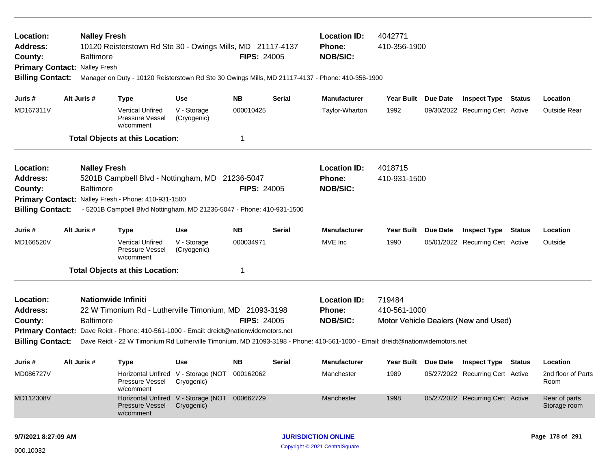| Location:<br><b>Address:</b><br>County:<br><b>Primary Contact:</b><br><b>Billing Contact:</b>                                                                                                                                                                                                                                                                                                                                  | <b>Nalley Fresh</b><br><b>Baltimore</b><br><b>Nalley Fresh</b> | 10120 Reisterstown Rd Ste 30 - Owings Mills, MD 21117-4137                                                       |                                                                    | <b>FIPS: 24005</b>          | <b>Location ID:</b><br><b>Phone:</b><br><b>NOB/SIC:</b><br>Manager on Duty - 10120 Reisterstown Rd Ste 30 Owings Mills, MD 21117-4137 - Phone: 410-356-1900 | 4042771<br>410-356-1900                                 |                             |  |                                                                |               |                                        |
|--------------------------------------------------------------------------------------------------------------------------------------------------------------------------------------------------------------------------------------------------------------------------------------------------------------------------------------------------------------------------------------------------------------------------------|----------------------------------------------------------------|------------------------------------------------------------------------------------------------------------------|--------------------------------------------------------------------|-----------------------------|-------------------------------------------------------------------------------------------------------------------------------------------------------------|---------------------------------------------------------|-----------------------------|--|----------------------------------------------------------------|---------------|----------------------------------------|
| Juris #<br>MD167311V                                                                                                                                                                                                                                                                                                                                                                                                           | Alt Juris #                                                    | Type<br><b>Vertical Unfired</b><br>Pressure Vessel<br>w/comment                                                  | Use<br>V - Storage<br>(Cryogenic)                                  | <b>NB</b><br>000010425      | <b>Serial</b>                                                                                                                                               | <b>Manufacturer</b><br>Taylor-Wharton                   | Year Built Due Date<br>1992 |  | <b>Inspect Type</b><br>09/30/2022 Recurring Cert Active        | Status        | Location<br><b>Outside Rear</b>        |
|                                                                                                                                                                                                                                                                                                                                                                                                                                |                                                                | <b>Total Objects at this Location:</b>                                                                           |                                                                    | 1                           |                                                                                                                                                             |                                                         |                             |  |                                                                |               |                                        |
| Location:<br><b>Nalley Fresh</b><br>Address:<br>5201B Campbell Blvd - Nottingham, MD 21236-5047<br><b>Baltimore</b><br><b>FIPS: 24005</b><br>County:<br>Nalley Fresh - Phone: 410-931-1500<br><b>Primary Contact:</b><br><b>Billing Contact:</b><br>- 5201B Campbell Blvd Nottingham, MD 21236-5047 - Phone: 410-931-1500                                                                                                      |                                                                |                                                                                                                  |                                                                    |                             |                                                                                                                                                             | <b>Location ID:</b><br><b>Phone:</b><br><b>NOB/SIC:</b> | 4018715<br>410-931-1500     |  |                                                                |               |                                        |
| Juris #<br>MD166520V                                                                                                                                                                                                                                                                                                                                                                                                           | Alt Juris #                                                    | <b>Type</b><br><b>Vertical Unfired</b><br>Pressure Vessel<br>w/comment<br><b>Total Objects at this Location:</b> | <b>Use</b><br>V - Storage<br>(Cryogenic)                           | <b>NB</b><br>000034971<br>1 | <b>Serial</b>                                                                                                                                               | <b>Manufacturer</b><br>MVE Inc                          | Year Built Due Date<br>1990 |  | <b>Inspect Type Status</b><br>05/01/2022 Recurring Cert Active |               | Location<br>Outside                    |
| Nationwide Infiniti<br>Location:<br><b>Address:</b><br>22 W Timonium Rd - Lutherville Timonium, MD 21093-3198<br><b>FIPS: 24005</b><br><b>Baltimore</b><br>County:<br><b>Primary Contact:</b> Dave Reidt - Phone: 410-561-1000 - Email: dreidt@nationwidemotors.net<br><b>Billing Contact:</b><br>Dave Reidt - 22 W Timonium Rd Lutherville Timonium, MD 21093-3198 - Phone: 410-561-1000 - Email: dreidt@nationwidemotors.net |                                                                |                                                                                                                  |                                                                    |                             |                                                                                                                                                             | <b>Location ID:</b><br>Phone:<br><b>NOB/SIC:</b>        | 719484<br>410-561-1000      |  | Motor Vehicle Dealers (New and Used)                           |               |                                        |
| Juris #<br>MD086727V                                                                                                                                                                                                                                                                                                                                                                                                           | Alt Juris #                                                    | <b>Type</b><br>Pressure Vessel<br>w/comment                                                                      | Use<br>Horizontal Unfired V - Storage (NOT 000162062<br>Cryogenic) | <b>NB</b>                   | <b>Serial</b>                                                                                                                                               | <b>Manufacturer</b><br>Manchester                       | Year Built Due Date<br>1989 |  | <b>Inspect Type</b><br>05/27/2022 Recurring Cert Active        | <b>Status</b> | Location<br>2nd floor of Parts<br>Room |
| MD112308V                                                                                                                                                                                                                                                                                                                                                                                                                      |                                                                | <b>Pressure Vessel</b><br>w/comment                                                                              | Horizontal Unfired V - Storage (NOT 000662729<br>Cryogenic)        |                             |                                                                                                                                                             | Manchester                                              | 1998                        |  | 05/27/2022 Recurring Cert Active                               |               | Rear of parts<br>Storage room          |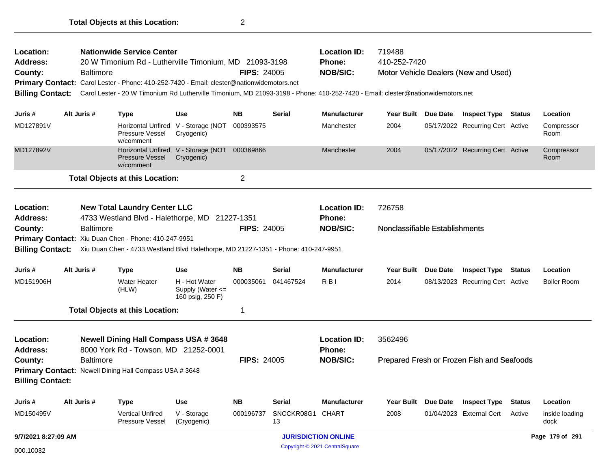| Location:<br><b>Address:</b><br>County:<br><b>Billing Contact:</b> |                                                                                       | <b>Baltimore</b> | <b>Nationwide Service Center</b><br>20 W Timonium Rd - Lutherville Timonium, MD 21093-3198<br>Primary Contact: Carol Lester - Phone: 410-252-7420 - Email: clester@nationwidemotors.net |                                                       | <b>FIPS: 24005</b>         |                        | <b>Location ID:</b><br><b>Phone:</b><br><b>NOB/SIC:</b> | 719488<br>410-252-7420<br>Motor Vehicle Dealers (New and Used)<br>Carol Lester - 20 W Timonium Rd Lutherville Timonium, MD 21093-3198 - Phone: 410-252-7420 - Email: clester@nationwidemotors.net |                 |                                            |               |                        |
|--------------------------------------------------------------------|---------------------------------------------------------------------------------------|------------------|-----------------------------------------------------------------------------------------------------------------------------------------------------------------------------------------|-------------------------------------------------------|----------------------------|------------------------|---------------------------------------------------------|---------------------------------------------------------------------------------------------------------------------------------------------------------------------------------------------------|-----------------|--------------------------------------------|---------------|------------------------|
| Juris #                                                            |                                                                                       | Alt Juris #      | Type                                                                                                                                                                                    | <b>Use</b>                                            | <b>NB</b>                  | Serial                 | <b>Manufacturer</b>                                     | Year Built Due Date                                                                                                                                                                               |                 | <b>Inspect Type Status</b>                 |               | Location               |
| MD127891V                                                          |                                                                                       |                  | <b>Pressure Vessel</b><br>w/comment                                                                                                                                                     | Horizontal Unfired V - Storage (NOT<br>Cryogenic)     | 000393575                  |                        | Manchester                                              | 2004                                                                                                                                                                                              |                 | 05/17/2022 Recurring Cert Active           |               | Compressor<br>Room     |
| MD127892V                                                          |                                                                                       |                  | <b>Pressure Vessel</b><br>w/comment                                                                                                                                                     | Horizontal Unfired V - Storage (NOT<br>Cryogenic)     | 000369866                  |                        | Manchester                                              | 2004                                                                                                                                                                                              |                 | 05/17/2022 Recurring Cert Active           |               | Compressor<br>Room     |
|                                                                    |                                                                                       |                  | <b>Total Objects at this Location:</b>                                                                                                                                                  |                                                       | $\overline{2}$             |                        |                                                         |                                                                                                                                                                                                   |                 |                                            |               |                        |
| <b>Location:</b><br>Address:                                       | <b>New Total Laundry Center LLC</b><br>4733 Westland Blvd - Halethorpe, MD 21227-1351 |                  |                                                                                                                                                                                         |                                                       |                            |                        | <b>Location ID:</b><br><b>Phone:</b>                    | 726758                                                                                                                                                                                            |                 |                                            |               |                        |
| County:                                                            |                                                                                       | <b>Baltimore</b> |                                                                                                                                                                                         |                                                       | <b>FIPS: 24005</b>         |                        | <b>NOB/SIC:</b>                                         | Nonclassifiable Establishments                                                                                                                                                                    |                 |                                            |               |                        |
|                                                                    |                                                                                       |                  | Primary Contact: Xiu Duan Chen - Phone: 410-247-9951                                                                                                                                    |                                                       |                            |                        |                                                         |                                                                                                                                                                                                   |                 |                                            |               |                        |
| <b>Billing Contact:</b>                                            |                                                                                       |                  | Xiu Duan Chen - 4733 Westland Blvd Halethorpe, MD 21227-1351 - Phone: 410-247-9951                                                                                                      |                                                       |                            |                        |                                                         |                                                                                                                                                                                                   |                 |                                            |               |                        |
| Juris #                                                            |                                                                                       | Alt Juris #      | <b>Type</b>                                                                                                                                                                             | <b>Use</b>                                            | <b>NB</b>                  | Serial                 | <b>Manufacturer</b>                                     | <b>Year Built</b>                                                                                                                                                                                 | Due Date        | <b>Inspect Type</b>                        | <b>Status</b> | Location               |
| MD151906H                                                          |                                                                                       |                  | <b>Water Heater</b><br>(HLW)                                                                                                                                                            | H - Hot Water<br>Supply (Water <=<br>160 psig, 250 F) | 000035061                  | 041467524              | R <sub>BI</sub>                                         | 2014                                                                                                                                                                                              |                 | 08/13/2023 Recurring Cert Active           |               | Boiler Room            |
|                                                                    |                                                                                       |                  | <b>Total Objects at this Location:</b>                                                                                                                                                  |                                                       | 1                          |                        |                                                         |                                                                                                                                                                                                   |                 |                                            |               |                        |
| <b>Location:</b><br><b>Address:</b>                                |                                                                                       |                  | <b>Newell Dining Hall Compass USA #3648</b><br>8000 York Rd - Towson, MD 21252-0001                                                                                                     |                                                       |                            |                        | <b>Location ID:</b><br><b>Phone:</b>                    | 3562496                                                                                                                                                                                           |                 |                                            |               |                        |
| County:                                                            |                                                                                       | <b>Baltimore</b> |                                                                                                                                                                                         |                                                       | <b>FIPS: 24005</b>         |                        | <b>NOB/SIC:</b>                                         |                                                                                                                                                                                                   |                 | Prepared Fresh or Frozen Fish and Seafoods |               |                        |
|                                                                    |                                                                                       |                  | <b>Primary Contact: Newell Dining Hall Compass USA #3648</b>                                                                                                                            |                                                       |                            |                        |                                                         |                                                                                                                                                                                                   |                 |                                            |               |                        |
| <b>Billing Contact:</b>                                            |                                                                                       |                  |                                                                                                                                                                                         |                                                       |                            |                        |                                                         |                                                                                                                                                                                                   |                 |                                            |               |                        |
| Juris #                                                            |                                                                                       | Alt Juris #      | Type                                                                                                                                                                                    | <b>Use</b>                                            | <b>NB</b>                  | Serial                 | <b>Manufacturer</b>                                     | <b>Year Built</b>                                                                                                                                                                                 | <b>Due Date</b> | <b>Inspect Type</b>                        | <b>Status</b> | Location               |
| MD150495V                                                          |                                                                                       |                  | <b>Vertical Unfired</b><br><b>Pressure Vessel</b>                                                                                                                                       | V - Storage<br>(Cryogenic)                            | 000196737                  | SNCCKR08G1 CHART<br>13 |                                                         | 2008                                                                                                                                                                                              |                 | 01/04/2023 External Cert                   | Active        | inside loading<br>dock |
| 9/7/2021 8:27:09 AM                                                |                                                                                       |                  |                                                                                                                                                                                         |                                                       | <b>JURISDICTION ONLINE</b> |                        |                                                         |                                                                                                                                                                                                   |                 |                                            |               | Page 179 of 291        |

Copyright © 2021 CentralSquare 000.10032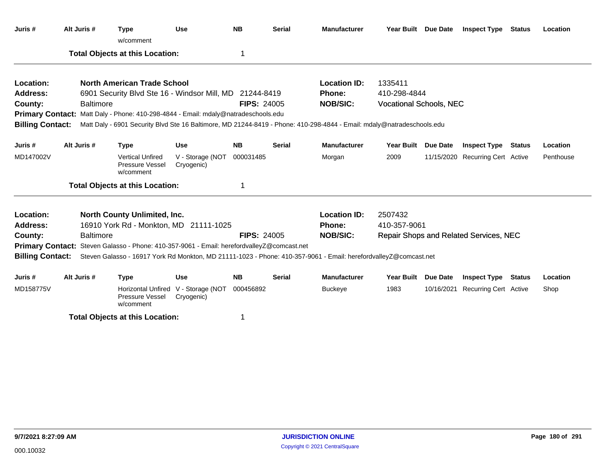| Juris #                 | Alt Juris #                                             | <b>Type</b><br>w/comment                                                                                               | <b>Use</b>                     | <b>NB</b>          | <b>Serial</b> | <b>Manufacturer</b> |                                        | Year Built Due Date | <b>Inspect Type</b>              | Status | Location  |
|-------------------------|---------------------------------------------------------|------------------------------------------------------------------------------------------------------------------------|--------------------------------|--------------------|---------------|---------------------|----------------------------------------|---------------------|----------------------------------|--------|-----------|
|                         |                                                         | <b>Total Objects at this Location:</b>                                                                                 |                                | 1                  |               |                     |                                        |                     |                                  |        |           |
| Location:               |                                                         | <b>North American Trade School</b>                                                                                     |                                |                    |               | <b>Location ID:</b> | 1335411                                |                     |                                  |        |           |
| Address:                | 6901 Security Blvd Ste 16 - Windsor Mill, MD 21244-8419 |                                                                                                                        |                                |                    |               | <b>Phone:</b>       | 410-298-4844                           |                     |                                  |        |           |
| County:                 | <b>FIPS: 24005</b><br><b>Baltimore</b>                  |                                                                                                                        |                                |                    |               | <b>NOB/SIC:</b>     | <b>Vocational Schools, NEC</b>         |                     |                                  |        |           |
|                         |                                                         | Primary Contact: Matt Daly - Phone: 410-298-4844 - Email: mdaly@natradeschools.edu                                     |                                |                    |               |                     |                                        |                     |                                  |        |           |
| <b>Billing Contact:</b> |                                                         | Matt Daly - 6901 Security Blvd Ste 16 Baltimore, MD 21244-8419 - Phone: 410-298-4844 - Email: mdaly@natradeschools.edu |                                |                    |               |                     |                                        |                     |                                  |        |           |
| Juris #                 | Alt Juris #                                             | <b>Type</b>                                                                                                            | <b>Use</b>                     | <b>NB</b>          | <b>Serial</b> | <b>Manufacturer</b> | Year Built Due Date                    |                     | <b>Inspect Type</b>              | Status | Location  |
| MD147002V               |                                                         | <b>Vertical Unfired</b><br>Pressure Vessel<br>w/comment                                                                | V - Storage (NOT<br>Cryogenic) | 000031485          |               | Morgan              | 2009                                   |                     | 11/15/2020 Recurring Cert Active |        | Penthouse |
|                         |                                                         | <b>Total Objects at this Location:</b>                                                                                 |                                | 1                  |               |                     |                                        |                     |                                  |        |           |
| Location:               |                                                         | <b>North County Unlimited, Inc.</b>                                                                                    |                                |                    |               | <b>Location ID:</b> | 2507432                                |                     |                                  |        |           |
| <b>Address:</b>         |                                                         | 16910 York Rd - Monkton, MD 21111-1025                                                                                 |                                |                    |               | <b>Phone:</b>       | 410-357-9061                           |                     |                                  |        |           |
| County:                 | <b>Baltimore</b>                                        |                                                                                                                        |                                | <b>FIPS: 24005</b> |               | <b>NOB/SIC:</b>     | Repair Shops and Related Services, NEC |                     |                                  |        |           |
|                         |                                                         | Primary Contact: Steven Galasso - Phone: 410-357-9061 - Email: herefordvalleyZ@comcast.net                             |                                |                    |               |                     |                                        |                     |                                  |        |           |
| <b>Billing Contact:</b> |                                                         | Steven Galasso - 16917 York Rd Monkton, MD 21111-1023 - Phone: 410-357-9061 - Email: herefordvalleyZ@comcast.net       |                                |                    |               |                     |                                        |                     |                                  |        |           |
| Juris #                 | Alt Juris #                                             | <b>Type</b>                                                                                                            | <b>Use</b>                     | <b>NB</b>          | <b>Serial</b> | <b>Manufacturer</b> | Year Built Due Date                    |                     | <b>Inspect Type</b>              | Status | Location  |
| MD158775V               |                                                         | <b>Horizontal Unfired</b><br>Pressure Vessel<br>w/comment                                                              | V - Storage (NOT<br>Cryogenic) | 000456892          |               | <b>Buckeye</b>      | 1983                                   |                     | 10/16/2021 Recurring Cert Active |        | Shop      |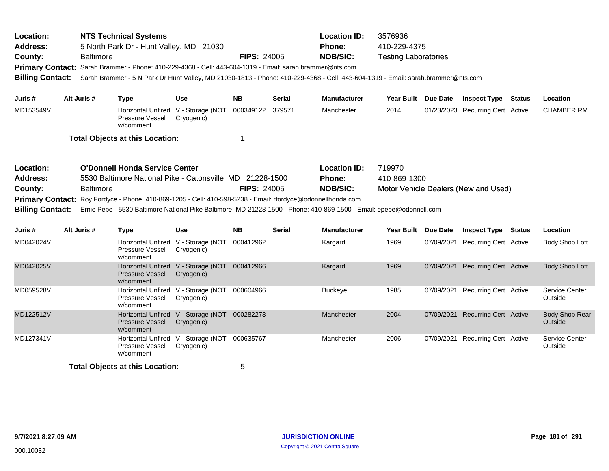| Location:<br><b>Address:</b><br>County:<br><b>Billing Contact:</b>                                                                                                                                                                                                                                                                                                                                                                            | <b>Baltimore</b> | <b>NTS Technical Systems</b><br>5 North Park Dr - Hunt Valley, MD 21030<br>Primary Contact: Sarah Brammer - Phone: 410-229-4368 - Cell: 443-604-1319 - Email: sarah.brammer@nts.com |                                                             | <b>FIPS: 24005</b> |               | <b>Location ID:</b><br>Phone:<br><b>NOB/SIC:</b> | 3576936<br>410-229-4375<br><b>Testing Laboratories</b><br>Sarah Brammer - 5 N Park Dr Hunt Valley, MD 21030-1813 - Phone: 410-229-4368 - Cell: 443-604-1319 - Email: sarah.brammer@nts.com |                 |                                      |                           |
|-----------------------------------------------------------------------------------------------------------------------------------------------------------------------------------------------------------------------------------------------------------------------------------------------------------------------------------------------------------------------------------------------------------------------------------------------|------------------|-------------------------------------------------------------------------------------------------------------------------------------------------------------------------------------|-------------------------------------------------------------|--------------------|---------------|--------------------------------------------------|--------------------------------------------------------------------------------------------------------------------------------------------------------------------------------------------|-----------------|--------------------------------------|---------------------------|
| Juris #                                                                                                                                                                                                                                                                                                                                                                                                                                       | Alt Juris #      | <b>Type</b>                                                                                                                                                                         | Use                                                         | NB.                | Serial        | Manufacturer                                     | Year Built Due Date                                                                                                                                                                        |                 | <b>Inspect Type Status</b>           | Location                  |
| MD153549V                                                                                                                                                                                                                                                                                                                                                                                                                                     |                  | Pressure Vessel<br>w/comment                                                                                                                                                        | Horizontal Unfired V - Storage (NOT<br>Cryogenic)           | 000349122          | 379571        | Manchester                                       | 2014                                                                                                                                                                                       |                 | 01/23/2023 Recurring Cert Active     | <b>CHAMBER RM</b>         |
|                                                                                                                                                                                                                                                                                                                                                                                                                                               |                  | <b>Total Objects at this Location:</b>                                                                                                                                              |                                                             | 1                  |               |                                                  |                                                                                                                                                                                            |                 |                                      |                           |
| <b>O'Donnell Honda Service Center</b><br>Location:<br><b>Address:</b><br>5530 Baltimore National Pike - Catonsville, MD 21228-1500<br><b>Baltimore</b><br>County:<br>Roy Fordyce - Phone: 410-869-1205 - Cell: 410-598-5238 - Email: rfordyce@odonnellhonda.com<br><b>Primary Contact:</b><br><b>Billing Contact:</b><br>Ernie Pepe - 5530 Baltimore National Pike Baltimore, MD 21228-1500 - Phone: 410-869-1500 - Email: epepe@odonnell.com |                  |                                                                                                                                                                                     |                                                             | <b>FIPS: 24005</b> |               | <b>Location ID:</b><br>Phone:<br><b>NOB/SIC:</b> | 719970<br>410-869-1300                                                                                                                                                                     |                 | Motor Vehicle Dealers (New and Used) |                           |
| Juris #                                                                                                                                                                                                                                                                                                                                                                                                                                       | Alt Juris #      | <b>Type</b>                                                                                                                                                                         | <b>Use</b>                                                  | <b>NB</b>          | <b>Serial</b> | <b>Manufacturer</b>                              | <b>Year Built</b>                                                                                                                                                                          | <b>Due Date</b> | <b>Inspect Type Status</b>           | Location                  |
| MD042024V                                                                                                                                                                                                                                                                                                                                                                                                                                     |                  | Pressure Vessel<br>w/comment                                                                                                                                                        | Horizontal Unfired V - Storage (NOT 000412962<br>Cryogenic) |                    |               | Kargard                                          | 1969                                                                                                                                                                                       |                 | 07/09/2021 Recurring Cert Active     | Body Shop Loft            |
| MD042025V                                                                                                                                                                                                                                                                                                                                                                                                                                     |                  | <b>Pressure Vessel</b><br>w/comment                                                                                                                                                 | Horizontal Unfired V - Storage (NOT 000412966<br>Cryogenic) |                    |               | Kargard                                          | 1969                                                                                                                                                                                       |                 | 07/09/2021 Recurring Cert Active     | Body Shop Loft            |
| MD059528V                                                                                                                                                                                                                                                                                                                                                                                                                                     |                  | Pressure Vessel<br>w/comment                                                                                                                                                        | Horizontal Unfired V - Storage (NOT 000604966<br>Cryogenic) |                    |               | <b>Buckeye</b>                                   | 1985                                                                                                                                                                                       |                 | 07/09/2021 Recurring Cert Active     | Service Center<br>Outside |
| MD122512V                                                                                                                                                                                                                                                                                                                                                                                                                                     |                  | Pressure Vessel<br>w/comment                                                                                                                                                        | Horizontal Unfired V - Storage (NOT 000282278<br>Cryogenic) |                    |               | Manchester                                       | 2004                                                                                                                                                                                       |                 | 07/09/2021 Recurring Cert Active     | Body Shop Rear<br>Outside |
| MD127341V                                                                                                                                                                                                                                                                                                                                                                                                                                     |                  | Pressure Vessel<br>w/comment                                                                                                                                                        | Horizontal Unfired V - Storage (NOT<br>Cryogenic)           | 000635767          |               | Manchester                                       | 2006                                                                                                                                                                                       |                 | 07/09/2021 Recurring Cert Active     | Service Center<br>Outside |
|                                                                                                                                                                                                                                                                                                                                                                                                                                               |                  | <b>Total Objects at this Location:</b>                                                                                                                                              |                                                             | 5                  |               |                                                  |                                                                                                                                                                                            |                 |                                      |                           |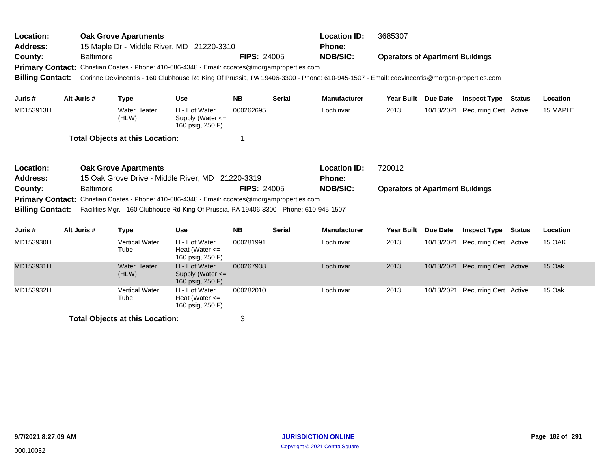| Location:<br><b>Address:</b>                                                                                    |  | <b>Oak Grove Apartments</b><br>15 Maple Dr - Middle River, MD 21220-3310 |                                        |                                                                                                                                         |                    |               | <b>Location ID:</b><br><b>Phone:</b> | 3685307                                 |            |                                  |               |          |
|-----------------------------------------------------------------------------------------------------------------|--|--------------------------------------------------------------------------|----------------------------------------|-----------------------------------------------------------------------------------------------------------------------------------------|--------------------|---------------|--------------------------------------|-----------------------------------------|------------|----------------------------------|---------------|----------|
| County:<br><b>Primary Contact:</b>                                                                              |  | <b>Baltimore</b>                                                         |                                        | Christian Coates - Phone: 410-686-4348 - Email: ccoates@morgamproperties.com                                                            | <b>FIPS: 24005</b> |               | <b>NOB/SIC:</b>                      | <b>Operators of Apartment Buildings</b> |            |                                  |               |          |
| <b>Billing Contact:</b>                                                                                         |  |                                                                          |                                        | Corinne DeVincentis - 160 Clubhouse Rd King Of Prussia, PA 19406-3300 - Phone: 610-945-1507 - Email: cdevincentis@morgan-properties.com |                    |               |                                      |                                         |            |                                  |               |          |
| Juris #                                                                                                         |  | Alt Juris #                                                              | <b>Type</b>                            | <b>Use</b>                                                                                                                              | <b>NB</b>          | <b>Serial</b> | <b>Manufacturer</b>                  | Year Built Due Date                     |            | <b>Inspect Type Status</b>       |               | Location |
| MD153913H                                                                                                       |  |                                                                          | <b>Water Heater</b><br>(HLW)           | H - Hot Water<br>Supply (Water $\leq$<br>160 psig, 250 F)                                                                               | 000262695          |               | Lochinvar                            | 2013                                    |            | 10/13/2021 Recurring Cert Active |               | 15 MAPLE |
|                                                                                                                 |  |                                                                          | <b>Total Objects at this Location:</b> |                                                                                                                                         | 1                  |               |                                      |                                         |            |                                  |               |          |
|                                                                                                                 |  |                                                                          |                                        |                                                                                                                                         |                    |               | <b>Location ID:</b>                  | 720012                                  |            |                                  |               |          |
| Location:<br><b>Oak Grove Apartments</b><br><b>Address:</b><br>15 Oak Grove Drive - Middle River, MD 21220-3319 |  |                                                                          |                                        |                                                                                                                                         |                    |               | <b>Phone:</b>                        |                                         |            |                                  |               |          |
| County:                                                                                                         |  | <b>Baltimore</b>                                                         |                                        |                                                                                                                                         | <b>FIPS: 24005</b> |               | <b>NOB/SIC:</b>                      | <b>Operators of Apartment Buildings</b> |            |                                  |               |          |
| <b>Primary Contact:</b>                                                                                         |  |                                                                          |                                        | Christian Coates - Phone: 410-686-4348 - Email: ccoates@morgamproperties.com                                                            |                    |               |                                      |                                         |            |                                  |               |          |
| <b>Billing Contact:</b>                                                                                         |  |                                                                          |                                        | Facilities Mgr. - 160 Clubhouse Rd King Of Prussia, PA 19406-3300 - Phone: 610-945-1507                                                 |                    |               |                                      |                                         |            |                                  |               |          |
| Juris #                                                                                                         |  | Alt Juris #                                                              | <b>Type</b>                            | <b>Use</b>                                                                                                                              | <b>NB</b>          | <b>Serial</b> | <b>Manufacturer</b>                  | <b>Year Built</b>                       | Due Date   | <b>Inspect Type</b>              | <b>Status</b> | Location |
| MD153930H                                                                                                       |  |                                                                          | <b>Vertical Water</b><br>Tube          | H - Hot Water<br>Heat (Water $\leq$<br>160 psig, 250 F)                                                                                 | 000281991          |               | Lochinvar                            | 2013                                    | 10/13/2021 | <b>Recurring Cert Active</b>     |               | 15 OAK   |
| MD153931H                                                                                                       |  |                                                                          | <b>Water Heater</b><br>(HLW)           | H - Hot Water<br>Supply (Water $\leq$<br>160 psig, 250 F)                                                                               | 000267938          |               | Lochinvar                            | 2013                                    |            | 10/13/2021 Recurring Cert Active |               | 15 Oak   |
| MD153932H                                                                                                       |  |                                                                          | <b>Vertical Water</b><br>Tube          | H - Hot Water<br>Heat (Water $\leq$<br>160 psig, 250 F)                                                                                 | 000282010          |               | Lochinvar                            | 2013                                    |            | 10/13/2021 Recurring Cert Active |               | 15 Oak   |
| <b>Total Objects at this Location:</b>                                                                          |  |                                                                          |                                        | 3                                                                                                                                       |                    |               |                                      |                                         |            |                                  |               |          |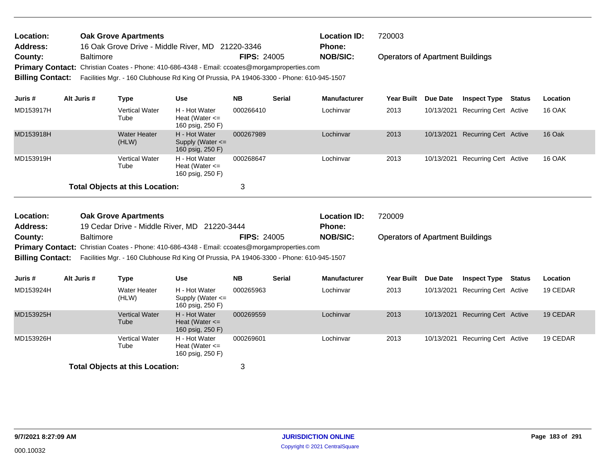| Location:               | <b>Oak Grove Apartments</b>                                                                   |                    | <b>Location ID:</b> | 720003                                  |
|-------------------------|-----------------------------------------------------------------------------------------------|--------------------|---------------------|-----------------------------------------|
| <b>Address:</b>         | 16 Oak Grove Drive - Middle River, MD 21220-3346                                              |                    | <b>Phone:</b>       |                                         |
| County:                 | <b>Baltimore</b>                                                                              | <b>FIPS: 24005</b> | <b>NOB/SIC:</b>     | <b>Operators of Apartment Buildings</b> |
|                         | Primary Contact: Christian Coates - Phone: 410-686-4348 - Email: ccoates@morgamproperties.com |                    |                     |                                         |
| <b>Billing Contact:</b> | Facilities Mgr. - 160 Clubhouse Rd King Of Prussia, PA 19406-3300 - Phone: 610-945-1507       |                    |                     |                                         |

| Juris #                                | Alt Juris # | Type                          | <b>Use</b>                                                | <b>NB</b> | <b>Serial</b> | <b>Manufacturer</b> | <b>Year Built</b> | <b>Due Date</b> | <b>Inspect Type</b>              | <b>Status</b> | Location      |
|----------------------------------------|-------------|-------------------------------|-----------------------------------------------------------|-----------|---------------|---------------------|-------------------|-----------------|----------------------------------|---------------|---------------|
| MD153917H                              |             | <b>Vertical Water</b><br>Tube | H - Hot Water<br>Heat (Water $\leq$<br>160 psig, 250 F)   | 000266410 |               | Lochinvar           | 2013              |                 | 10/13/2021 Recurring Cert Active |               | <b>16 OAK</b> |
| MD153918H                              |             | Water Heater<br>(HLW)         | H - Hot Water<br>Supply (Water $\leq$<br>160 psig, 250 F) | 000267989 |               | Lochinvar           | 2013              |                 | 10/13/2021 Recurring Cert Active |               | 16 Oak        |
| MD153919H                              |             | <b>Vertical Water</b><br>Tube | H - Hot Water<br>Heat (Water $\leq$<br>160 psig, 250 F)   | 000268647 |               | Lochinvar           | 2013              |                 | 10/13/2021 Recurring Cert Active |               | 16 OAK        |
| <b>Total Objects at this Location:</b> |             |                               |                                                           | 3         |               |                     |                   |                 |                                  |               |               |

| <b>Location:</b><br><b>Oak Grove Apartments</b>                                                                                                           |             |                                                                                         |     |           |               | <b>Location ID:</b> | 720009                           |                 |                       |        |                 |
|-----------------------------------------------------------------------------------------------------------------------------------------------------------|-------------|-----------------------------------------------------------------------------------------|-----|-----------|---------------|---------------------|----------------------------------|-----------------|-----------------------|--------|-----------------|
| <b>Address:</b>                                                                                                                                           |             | 19 Cedar Drive - Middle River, MD 21220-3444                                            |     |           |               | <b>Phone:</b>       |                                  |                 |                       |        |                 |
| <b>Baltimore</b><br><b>FIPS: 24005</b><br>County:<br><b>Primary Contact:</b> Christian Coates - Phone: 410-686-4348 - Email: ccoates@morgamproperties.com |             |                                                                                         |     |           |               | <b>NOB/SIC:</b>     | Operators of Apartment Buildings |                 |                       |        |                 |
|                                                                                                                                                           |             |                                                                                         |     |           |               |                     |                                  |                 |                       |        |                 |
| <b>Billing Contact:</b>                                                                                                                                   |             | Facilities Mgr. - 160 Clubhouse Rd King Of Prussia, PA 19406-3300 - Phone: 610-945-1507 |     |           |               |                     |                                  |                 |                       |        |                 |
|                                                                                                                                                           |             |                                                                                         |     |           |               |                     |                                  |                 |                       |        |                 |
| Juris #                                                                                                                                                   | Alt Juris # | Type                                                                                    | Use | <b>NB</b> | <b>Serial</b> | <b>Manufacturer</b> | <b>Year Built</b>                | <b>Due Date</b> | <b>Inspect Type</b>   | Status | <b>Location</b> |
| MD153924H<br>000265963<br>Water Heater<br>H - Hot Water<br>(HLW)<br>Supply (Water $\leq$<br>160 psig, 250 F)                                              |             |                                                                                         |     |           |               | Lochinvar           | 2013                             | 10/13/2021      | Recurring Cert Active |        | 19 CEDAR        |

| MD153925H | <b>Vertical Water</b><br>Tube | H - Hot Water<br>Heat (Water $\leq$<br>160 psig, 250 F) | 000269559 | Lochinvar | 2013 | 10/13/2021 Recurring Cert Active | 19 CEDAR |
|-----------|-------------------------------|---------------------------------------------------------|-----------|-----------|------|----------------------------------|----------|
| MD153926H | <b>Vertical Water</b><br>Tube | H - Hot Water<br>Heat (Water $\leq$<br>160 psig, 250 F) | 000269601 | Lochinvar | 2013 | 10/13/2021 Recurring Cert Active | 19 CEDAR |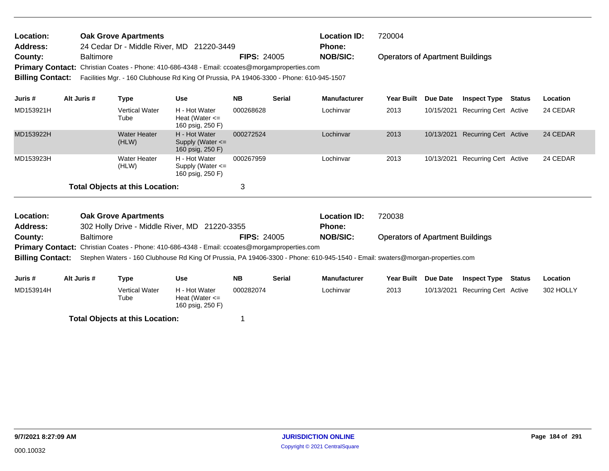| Location:               | <b>Oak Grove Apartments</b>                                                                   |                    | <b>Location ID:</b> | 720004                                  |
|-------------------------|-----------------------------------------------------------------------------------------------|--------------------|---------------------|-----------------------------------------|
| Address:                | 24 Cedar Dr - Middle River, MD 21220-3449                                                     |                    | <b>Phone:</b>       |                                         |
| County:                 | <b>Baltimore</b>                                                                              | <b>FIPS: 24005</b> | <b>NOB/SIC:</b>     | <b>Operators of Apartment Buildings</b> |
|                         | Primary Contact: Christian Coates - Phone: 410-686-4348 - Email: ccoates@morgamproperties.com |                    |                     |                                         |
| <b>Billing Contact:</b> | Facilities Mgr. - 160 Clubhouse Rd King Of Prussia, PA 19406-3300 - Phone: 610-945-1507       |                    |                     |                                         |

| Juris #   | Alt Juris # | Type                                   | Use                                                       | NB.       | <b>Serial</b> | <b>Manufacturer</b> | <b>Year Built</b> | Due Date | <b>Inspect Type</b>              | <b>Status</b> | Location |
|-----------|-------------|----------------------------------------|-----------------------------------------------------------|-----------|---------------|---------------------|-------------------|----------|----------------------------------|---------------|----------|
| MD153921H |             | <b>Vertical Water</b><br>Tube          | H - Hot Water<br>Heat (Water $\leq$<br>160 psig, 250 F)   | 000268628 |               | Lochinvar           | 2013              |          | 10/15/2021 Recurring Cert Active |               | 24 CEDAR |
| MD153922H |             | Water Heater<br>(HLW)                  | H - Hot Water<br>Supply (Water $\leq$<br>160 psig, 250 F) | 000272524 |               | Lochinvar           | 2013              |          | 10/13/2021 Recurring Cert Active |               | 24 CEDAR |
| MD153923H |             | Water Heater<br>(HLW)                  | H - Hot Water<br>Supply (Water $\leq$<br>160 psig, 250 F) | 000267959 |               | Lochinvar           | 2013              |          | 10/13/2021 Recurring Cert Active |               | 24 CEDAR |
|           |             | <b>Total Objects at this Location:</b> |                                                           | 3         |               |                     |                   |          |                                  |               |          |

| <b>Location:</b><br><b>Address:</b>                                                                                                                                                                                                                              |                  | <b>Oak Grove Apartments</b><br>302 Holly Drive - Middle River, MD 21220-3355 |                                                                |                        |                    | <b>Location ID:</b><br><b>Phone:</b> | 720038                                  |                        |                                              |        |                       |  |
|------------------------------------------------------------------------------------------------------------------------------------------------------------------------------------------------------------------------------------------------------------------|------------------|------------------------------------------------------------------------------|----------------------------------------------------------------|------------------------|--------------------|--------------------------------------|-----------------------------------------|------------------------|----------------------------------------------|--------|-----------------------|--|
| County:                                                                                                                                                                                                                                                          | <b>Baltimore</b> |                                                                              |                                                                |                        | <b>FIPS: 24005</b> | <b>NOB/SIC:</b>                      | <b>Operators of Apartment Buildings</b> |                        |                                              |        |                       |  |
| <b>Primary Contact:</b> Christian Coates - Phone: 410-686-4348 - Email: ccoates@morgamproperties.com<br>Stephen Waters - 160 Clubhouse Rd King Of Prussia, PA 19406-3300 - Phone: 610-945-1540 - Email: swaters@morgan-properties.com<br><b>Billing Contact:</b> |                  |                                                                              |                                                                |                        |                    |                                      |                                         |                        |                                              |        |                       |  |
| Juris #<br>MD153914H                                                                                                                                                                                                                                             | Alt Juris #      | Type<br><b>Vertical Water</b><br>Tube                                        | Use<br>H - Hot Water<br>Heat (Water $\leq$<br>160 psig, 250 F) | <b>NB</b><br>000282074 | <b>Serial</b>      | <b>Manufacturer</b><br>Lochinvar     | <b>Year Built</b><br>2013               | Due Date<br>10/13/2021 | <b>Inspect Type</b><br>Recurring Cert Active | Status | Location<br>302 HOLLY |  |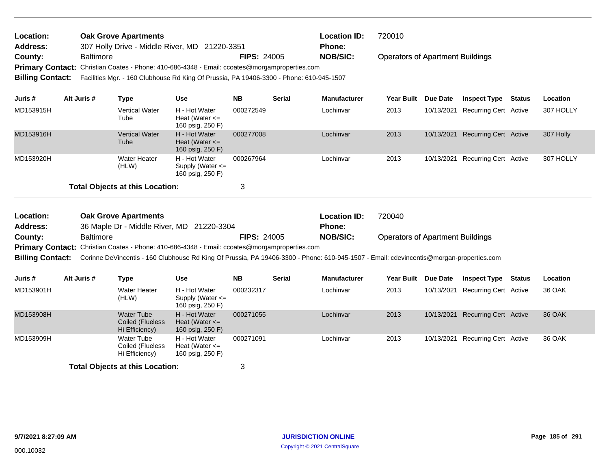| <b>Location:</b> | <b>Oak Grove Apartments</b>                                                                              |                    | <b>Location ID:</b> | 720010                                  |
|------------------|----------------------------------------------------------------------------------------------------------|--------------------|---------------------|-----------------------------------------|
| <b>Address:</b>  | 307 Holly Drive - Middle River, MD 21220-3351                                                            |                    | <b>Phone:</b>       |                                         |
| <b>County:</b>   | <b>Baltimore</b>                                                                                         | <b>FIPS: 24005</b> | <b>NOB/SIC:</b>     | <b>Operators of Apartment Buildings</b> |
|                  | Primary Contact: Christian Coates - Phone: 410-686-4348 - Email: ccoates@morgamproperties.com            |                    |                     |                                         |
|                  | Billing Contact: Facilities Mgr. - 160 Clubhouse Rd King Of Prussia, PA 19406-3300 - Phone: 610-945-1507 |                    |                     |                                         |
|                  |                                                                                                          |                    |                     |                                         |

| Juris #   | Alt Juris # | Type                                   | <b>Use</b>                                                | <b>NB</b> | <b>Serial</b> | <b>Manufacturer</b> | Year Built | <b>Due Date</b> | <b>Inspect Type</b>              | <b>Status</b> | <b>Location</b> |
|-----------|-------------|----------------------------------------|-----------------------------------------------------------|-----------|---------------|---------------------|------------|-----------------|----------------------------------|---------------|-----------------|
| MD153915H |             | <b>Vertical Water</b><br>Tube          | H - Hot Water<br>Heat (Water $\leq$<br>160 psig, 250 F)   | 000272549 |               | Lochinvar           | 2013       |                 | 10/13/2021 Recurring Cert Active |               | 307 HOLLY       |
| MD153916H |             | <b>Vertical Water</b><br>Tube          | H - Hot Water<br>Heat (Water $\leq$<br>160 psig, 250 F)   | 000277008 |               | Lochinvar           | 2013       |                 | 10/13/2021 Recurring Cert Active |               | 307 Holly       |
| MD153920H |             | Water Heater<br>(HLW)                  | H - Hot Water<br>Supply (Water $\leq$<br>160 psig, 250 F) | 000267964 |               | Lochinvar           | 2013       |                 | 10/13/2021 Recurring Cert Active |               | 307 HOLLY       |
|           |             | <b>Total Objects at this Location:</b> |                                                           | 3         |               |                     |            |                 |                                  |               |                 |

| Location:<br><b>Oak Grove Apartments</b><br>36 Maple Dr - Middle River, MD 21220-3304<br><b>Address:</b>                                                           |             |                                                  |                                                           |                    |               | <b>Location ID:</b><br><b>Phone:</b> | 720040                                  |            |                              |        |                 |
|--------------------------------------------------------------------------------------------------------------------------------------------------------------------|-------------|--------------------------------------------------|-----------------------------------------------------------|--------------------|---------------|--------------------------------------|-----------------------------------------|------------|------------------------------|--------|-----------------|
| County:                                                                                                                                                            | Baltimore   |                                                  |                                                           | <b>FIPS: 24005</b> |               | <b>NOB/SIC:</b>                      | <b>Operators of Apartment Buildings</b> |            |                              |        |                 |
| <b>Primary Contact:</b> Christian Coates - Phone: 410-686-4348 - Email: ccoates@morgamproperties.com                                                               |             |                                                  |                                                           |                    |               |                                      |                                         |            |                              |        |                 |
| Corinne DeVincentis - 160 Clubhouse Rd King Of Prussia, PA 19406-3300 - Phone: 610-945-1507 - Email: cdevincentis@morgan-properties.com<br><b>Billing Contact:</b> |             |                                                  |                                                           |                    |               |                                      |                                         |            |                              |        |                 |
|                                                                                                                                                                    |             |                                                  |                                                           |                    |               |                                      |                                         |            |                              |        |                 |
| Juris #                                                                                                                                                            | Alt Juris # | Type                                             | Use                                                       | <b>NB</b>          | <b>Serial</b> | <b>Manufacturer</b>                  | <b>Year Built</b>                       | Due Date   | <b>Inspect Type</b>          | Status | <b>Location</b> |
| MD153901H                                                                                                                                                          |             | <b>Water Heater</b><br>(HLW)                     | H - Hot Water<br>Supply (Water $\leq$<br>160 psig, 250 F) | 000232317          |               | Lochinvar                            | 2013                                    | 10/13/2021 | Recurring Cert Active        |        | 36 OAK          |
| MD153908H                                                                                                                                                          |             | Water Tube<br>Coiled (Flueless<br>Hi Efficiency) | H - Hot Water<br>Heat (Water $\leq$<br>160 psig, 250 F)   | 000271055          |               | Lochinvar                            | 2013                                    | 10/13/2021 | <b>Recurring Cert Active</b> |        | 36 OAK          |
| MD153909H                                                                                                                                                          |             | Water Tube<br>Coiled (Flueless<br>Hi Efficiency) | H - Hot Water<br>Heat (Water $\leq$<br>160 psig, 250 F)   | 000271091          |               | Lochinvar                            | 2013                                    | 10/13/2021 | Recurring Cert Active        |        | 36 OAK          |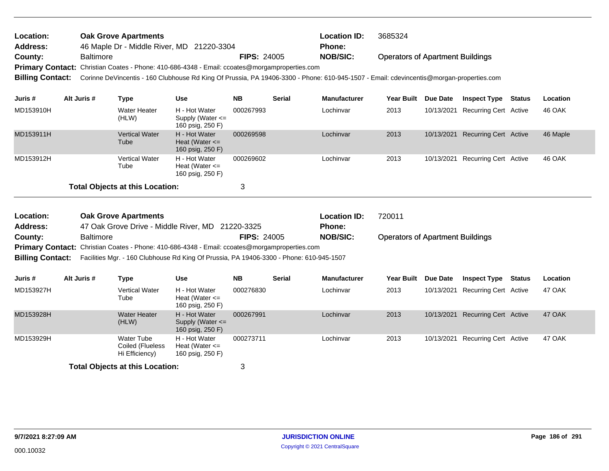| <b>Location:</b> | <b>Oak Grove Apartments</b>                                                                                                                              |                    | <b>Location ID:</b> | 3685324                                 |
|------------------|----------------------------------------------------------------------------------------------------------------------------------------------------------|--------------------|---------------------|-----------------------------------------|
| <b>Address:</b>  | 46 Maple Dr - Middle River, MD 21220-3304                                                                                                                |                    | Phone:              |                                         |
| <b>County:</b>   | <b>Baltimore</b>                                                                                                                                         | <b>FIPS: 24005</b> | <b>NOB/SIC:</b>     | <b>Operators of Apartment Buildings</b> |
|                  | Primary Contact: Christian Coates - Phone: 410-686-4348 - Email: ccoates@morgamproperties.com                                                            |                    |                     |                                         |
|                  | Billing Contact: Corinne DeVincentis - 160 Clubhouse Rd King Of Prussia, PA 19406-3300 - Phone: 610-945-1507 - Email: cdevincentis@morgan-properties.com |                    |                     |                                         |

| Juris #   | Alt Juris # | Type                                   | <b>Use</b>                                                | <b>NB</b> | <b>Serial</b> | <b>Manufacturer</b> | <b>Year Built</b> | Due Date   | <b>Inspect Type</b>   | Status | <b>Location</b> |
|-----------|-------------|----------------------------------------|-----------------------------------------------------------|-----------|---------------|---------------------|-------------------|------------|-----------------------|--------|-----------------|
| MD153910H |             | Water Heater<br>(HLW)                  | H - Hot Water<br>Supply (Water $\leq$<br>160 psig, 250 F) | 000267993 |               | Lochinvar           | 2013              | 10/13/2021 | Recurring Cert Active |        | 46 OAK          |
| MD153911H |             | <b>Vertical Water</b><br>Tube          | H - Hot Water<br>Heat (Water $\leq$<br>160 psig, 250 F)   | 000269598 |               | Lochinvar           | 2013              | 10/13/2021 | Recurring Cert Active |        | 46 Maple        |
| MD153912H |             | <b>Vertical Water</b><br>Tube          | H - Hot Water<br>Heat (Water $\leq$<br>160 psig, 250 F)   | 000269602 |               | Lochinvar           | 2013              | 10/13/2021 | Recurring Cert Active |        | 46 OAK          |
|           |             | <b>Total Objects at this Location:</b> |                                                           | 3         |               |                     |                   |            |                       |        |                 |

| Location:               |                  | <b>Oak Grove Apartments</b>                                                                          |                                                         |                    |               | <b>Location ID:</b> | 720011                                  |                 |                       |        |          |
|-------------------------|------------------|------------------------------------------------------------------------------------------------------|---------------------------------------------------------|--------------------|---------------|---------------------|-----------------------------------------|-----------------|-----------------------|--------|----------|
| <b>Address:</b>         |                  | 47 Oak Grove Drive - Middle River, MD 21220-3325                                                     |                                                         |                    |               | <b>Phone:</b>       |                                         |                 |                       |        |          |
| County:                 | <b>Baltimore</b> |                                                                                                      |                                                         | <b>FIPS: 24005</b> |               | <b>NOB/SIC:</b>     | <b>Operators of Apartment Buildings</b> |                 |                       |        |          |
|                         |                  | <b>Primary Contact:</b> Christian Coates - Phone: 410-686-4348 - Email: ccoates@morgamproperties.com |                                                         |                    |               |                     |                                         |                 |                       |        |          |
| <b>Billing Contact:</b> |                  | Facilities Mgr. - 160 Clubhouse Rd King Of Prussia, PA 19406-3300 - Phone: 610-945-1507              |                                                         |                    |               |                     |                                         |                 |                       |        |          |
|                         |                  |                                                                                                      |                                                         |                    |               |                     |                                         |                 |                       |        |          |
| Juris #                 | Alt Juris #      | <b>Type</b>                                                                                          | Use                                                     | NΒ                 | <b>Serial</b> | <b>Manufacturer</b> | Year Built                              | <b>Due Date</b> | <b>Inspect Type</b>   | Status | Location |
| MD153927H               |                  | <b>Vertical Water</b><br>Tube                                                                        | H - Hot Water<br>Heat (Water $\leq$<br>160 psig, 250 F) | 000276830          |               | Lochinvar           | 2013                                    | 10/13/2021      | Recurring Cert Active |        | 47 OAK   |
| MD153928H               |                  | <b>Water Heater</b>                                                                                  | H - Hot Water                                           | 000267991          |               | Lochinvar           | 2013                                    | 10/13/2021      | Recurring Cert Active |        | 47 OAK   |

|           | (HLW)                                                   | Supply (Water $\leq$<br>160 psig, 250 F)                |           |           |      |            |                       |        |
|-----------|---------------------------------------------------------|---------------------------------------------------------|-----------|-----------|------|------------|-----------------------|--------|
| MD153929H | <b>Water Tube</b><br>Coiled (Flueless<br>Hi Efficiency) | H - Hot Water<br>Heat (Water $\leq$<br>160 psig, 250 F) | 000273711 | Lochinvar | 2013 | 10/13/2021 | Recurring Cert Active | 47 OAK |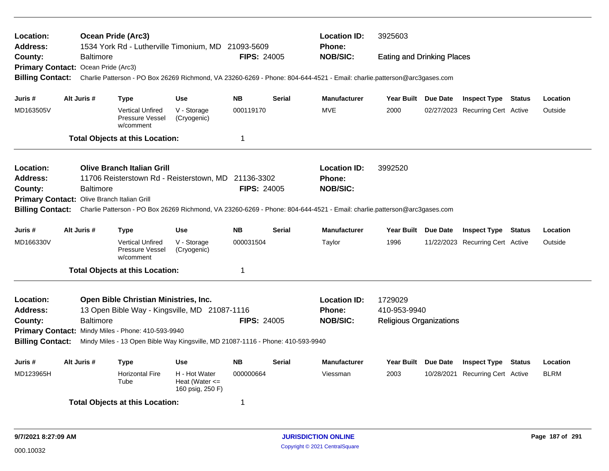| <b>Location:</b><br><b>Address:</b>         |             |                  | Ocean Pride (Arc3)                                      | 1534 York Rd - Lutherville Timonium, MD 21093-5609                              |                    |               | <b>Location ID:</b><br>Phone:                                                                                           | 3925603                           |            |                                  |        |             |
|---------------------------------------------|-------------|------------------|---------------------------------------------------------|---------------------------------------------------------------------------------|--------------------|---------------|-------------------------------------------------------------------------------------------------------------------------|-----------------------------------|------------|----------------------------------|--------|-------------|
| County:                                     |             | Baltimore        |                                                         |                                                                                 | <b>FIPS: 24005</b> |               | <b>NOB/SIC:</b>                                                                                                         | <b>Eating and Drinking Places</b> |            |                                  |        |             |
| Primary Contact: Ocean Pride (Arc3)         |             |                  |                                                         |                                                                                 |                    |               |                                                                                                                         |                                   |            |                                  |        |             |
| <b>Billing Contact:</b>                     |             |                  |                                                         |                                                                                 |                    |               | Charlie Patterson - PO Box 26269 Richmond, VA 23260-6269 - Phone: 804-644-4521 - Email: charlie.patterson@arc3gases.com |                                   |            |                                  |        |             |
| Juris #                                     | Alt Juris # |                  | <b>Type</b>                                             | <b>Use</b>                                                                      | <b>NB</b>          | <b>Serial</b> | <b>Manufacturer</b>                                                                                                     | Year Built Due Date               |            | <b>Inspect Type Status</b>       |        | Location    |
| MD163505V                                   |             |                  | <b>Vertical Unfired</b><br>Pressure Vessel<br>w/comment | V - Storage<br>(Cryogenic)                                                      | 000119170          |               | <b>MVE</b>                                                                                                              | 2000                              |            | 02/27/2023 Recurring Cert Active |        | Outside     |
|                                             |             |                  | <b>Total Objects at this Location:</b>                  |                                                                                 | -1                 |               |                                                                                                                         |                                   |            |                                  |        |             |
| <b>Location:</b>                            |             |                  | <b>Olive Branch Italian Grill</b>                       |                                                                                 |                    |               | <b>Location ID:</b>                                                                                                     | 3992520                           |            |                                  |        |             |
| <b>Address:</b>                             |             |                  |                                                         | 11706 Reisterstown Rd - Reisterstown, MD 21136-3302                             |                    |               | Phone:                                                                                                                  |                                   |            |                                  |        |             |
| County:                                     |             | Baltimore        |                                                         |                                                                                 | <b>FIPS: 24005</b> |               | <b>NOB/SIC:</b>                                                                                                         |                                   |            |                                  |        |             |
| Primary Contact: Olive Branch Italian Grill |             |                  |                                                         |                                                                                 |                    |               |                                                                                                                         |                                   |            |                                  |        |             |
| <b>Billing Contact:</b>                     |             |                  |                                                         |                                                                                 |                    |               | Charlie Patterson - PO Box 26269 Richmond, VA 23260-6269 - Phone: 804-644-4521 - Email: charlie.patterson@arc3gases.com |                                   |            |                                  |        |             |
| Juris #                                     | Alt Juris # |                  | <b>Type</b>                                             | <b>Use</b>                                                                      | <b>NB</b>          | <b>Serial</b> | <b>Manufacturer</b>                                                                                                     | Year Built Due Date               |            | <b>Inspect Type Status</b>       |        | Location    |
| MD166330V                                   |             |                  | <b>Vertical Unfired</b><br>Pressure Vessel<br>w/comment | V - Storage<br>(Cryogenic)                                                      | 000031504          |               | Taylor                                                                                                                  | 1996                              |            | 11/22/2023 Recurring Cert Active |        | Outside     |
|                                             |             |                  | <b>Total Objects at this Location:</b>                  |                                                                                 | $\overline{1}$     |               |                                                                                                                         |                                   |            |                                  |        |             |
| Location:                                   |             |                  | Open Bible Christian Ministries, Inc.                   |                                                                                 |                    |               | <b>Location ID:</b>                                                                                                     | 1729029                           |            |                                  |        |             |
| <b>Address:</b>                             |             |                  |                                                         | 13 Open Bible Way - Kingsville, MD 21087-1116                                   |                    |               | Phone:                                                                                                                  | 410-953-9940                      |            |                                  |        |             |
| County:                                     |             | <b>Baltimore</b> |                                                         |                                                                                 | <b>FIPS: 24005</b> |               | <b>NOB/SIC:</b>                                                                                                         | <b>Religious Organizations</b>    |            |                                  |        |             |
|                                             |             |                  | Primary Contact: Mindy Miles - Phone: 410-593-9940      |                                                                                 |                    |               |                                                                                                                         |                                   |            |                                  |        |             |
| <b>Billing Contact:</b>                     |             |                  |                                                         | Mindy Miles - 13 Open Bible Way Kingsville, MD 21087-1116 - Phone: 410-593-9940 |                    |               |                                                                                                                         |                                   |            |                                  |        |             |
| Juris #                                     | Alt Juris # |                  | <b>Type</b>                                             | <b>Use</b>                                                                      | <b>NB</b>          | <b>Serial</b> | <b>Manufacturer</b>                                                                                                     | Year Built Due Date               |            | <b>Inspect Type</b>              | Status | Location    |
| MD123965H                                   |             |                  | <b>Horizontal Fire</b><br>Tube                          | H - Hot Water<br>Heat (Water $\leq$<br>160 psig, 250 F)                         | 000000664          |               | Viessman                                                                                                                | 2003                              | 10/28/2021 | Recurring Cert Active            |        | <b>BLRM</b> |
|                                             |             |                  | <b>Total Objects at this Location:</b>                  |                                                                                 | -1                 |               |                                                                                                                         |                                   |            |                                  |        |             |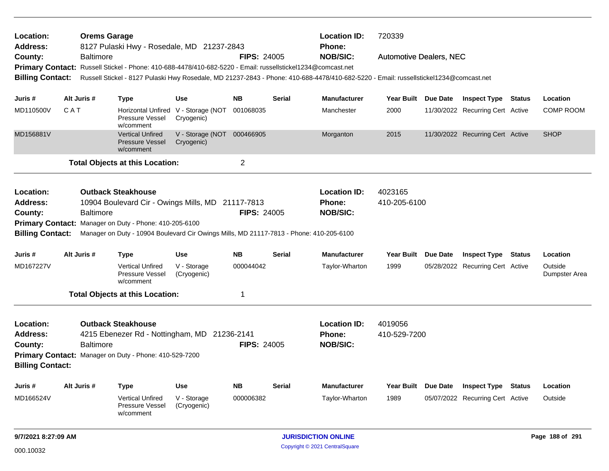| Location:<br><b>Address:</b>            |                  | <b>Orems Garage</b><br>8127 Pulaski Hwy - Rosedale, MD 21237-2843                                                                     |                                                   |                    |               | <b>Location ID:</b><br><b>Phone:</b>                    | 720339                         |                                  |               |                          |
|-----------------------------------------|------------------|---------------------------------------------------------------------------------------------------------------------------------------|---------------------------------------------------|--------------------|---------------|---------------------------------------------------------|--------------------------------|----------------------------------|---------------|--------------------------|
| County:                                 | <b>Baltimore</b> |                                                                                                                                       |                                                   | <b>FIPS: 24005</b> |               | <b>NOB/SIC:</b>                                         | <b>Automotive Dealers, NEC</b> |                                  |               |                          |
|                                         |                  | Primary Contact: Russell Stickel - Phone: 410-688-4478/410-682-5220 - Email: russellstickel1234@comcast.net                           |                                                   |                    |               |                                                         |                                |                                  |               |                          |
| <b>Billing Contact:</b>                 |                  | Russell Stickel - 8127 Pulaski Hwy Rosedale, MD 21237-2843 - Phone: 410-688-4478/410-682-5220 - Email: russellstickel1234@comcast.net |                                                   |                    |               |                                                         |                                |                                  |               |                          |
|                                         |                  |                                                                                                                                       |                                                   |                    |               |                                                         |                                |                                  |               |                          |
| Juris #                                 | Alt Juris #      | <b>Type</b>                                                                                                                           | <b>Use</b>                                        | <b>NB</b>          | <b>Serial</b> | <b>Manufacturer</b>                                     | Year Built Due Date            | <b>Inspect Type Status</b>       |               | Location                 |
| MD110500V                               | C A T            | <b>Pressure Vessel</b><br>w/comment                                                                                                   | Horizontal Unfired V - Storage (NOT<br>Cryogenic) | 001068035          |               | Manchester                                              | 2000                           | 11/30/2022 Recurring Cert Active |               | <b>COMP ROOM</b>         |
| MD156881V                               |                  | <b>Vertical Unfired</b><br><b>Pressure Vessel</b><br>w/comment                                                                        | V - Storage (NOT 000466905<br>Cryogenic)          |                    |               | Morganton                                               | 2015                           | 11/30/2022 Recurring Cert Active |               | <b>SHOP</b>              |
|                                         |                  | <b>Total Objects at this Location:</b>                                                                                                |                                                   | $\overline{2}$     |               |                                                         |                                |                                  |               |                          |
| Location:                               |                  | <b>Outback Steakhouse</b>                                                                                                             |                                                   |                    |               | <b>Location ID:</b>                                     | 4023165                        |                                  |               |                          |
| <b>Address:</b>                         |                  | 10904 Boulevard Cir - Owings Mills, MD 21117-7813                                                                                     |                                                   |                    |               | <b>Phone:</b>                                           | 410-205-6100                   |                                  |               |                          |
| County:                                 | <b>Baltimore</b> |                                                                                                                                       |                                                   | <b>FIPS: 24005</b> |               | <b>NOB/SIC:</b>                                         |                                |                                  |               |                          |
|                                         |                  | Primary Contact: Manager on Duty - Phone: 410-205-6100                                                                                |                                                   |                    |               |                                                         |                                |                                  |               |                          |
| <b>Billing Contact:</b>                 |                  | Manager on Duty - 10904 Boulevard Cir Owings Mills, MD 21117-7813 - Phone: 410-205-6100                                               |                                                   |                    |               |                                                         |                                |                                  |               |                          |
| Juris #                                 | Alt Juris #      | <b>Type</b>                                                                                                                           | <b>Use</b>                                        | <b>NB</b>          | <b>Serial</b> | <b>Manufacturer</b>                                     | Year Built Due Date            | <b>Inspect Type</b>              | Status        | Location                 |
| MD167227V                               |                  | <b>Vertical Unfired</b><br><b>Pressure Vessel</b><br>w/comment                                                                        | V - Storage<br>(Cryogenic)                        | 000044042          |               | Taylor-Wharton                                          | 1999                           | 05/28/2022 Recurring Cert Active |               | Outside<br>Dumpster Area |
|                                         |                  | <b>Total Objects at this Location:</b>                                                                                                |                                                   | 1                  |               |                                                         |                                |                                  |               |                          |
| Location:<br><b>Address:</b><br>County: | <b>Baltimore</b> | <b>Outback Steakhouse</b><br>4215 Ebenezer Rd - Nottingham, MD 21236-2141<br>Primary Contact: Manager on Duty - Phone: 410-529-7200   |                                                   | <b>FIPS: 24005</b> |               | <b>Location ID:</b><br><b>Phone:</b><br><b>NOB/SIC:</b> | 4019056<br>410-529-7200        |                                  |               |                          |
| <b>Billing Contact:</b>                 |                  |                                                                                                                                       |                                                   |                    |               |                                                         |                                |                                  |               |                          |
| Juris #                                 | Alt Juris #      | <b>Type</b>                                                                                                                           | <b>Use</b>                                        | <b>NB</b>          | <b>Serial</b> | <b>Manufacturer</b>                                     | Year Built Due Date            | <b>Inspect Type</b>              | <b>Status</b> | Location                 |
| MD166524V                               |                  | <b>Vertical Unfired</b><br><b>Pressure Vessel</b><br>w/comment                                                                        | V - Storage<br>(Cryogenic)                        | 000006382          |               | Taylor-Wharton                                          | 1989                           | 05/07/2022 Recurring Cert Active |               | Outside                  |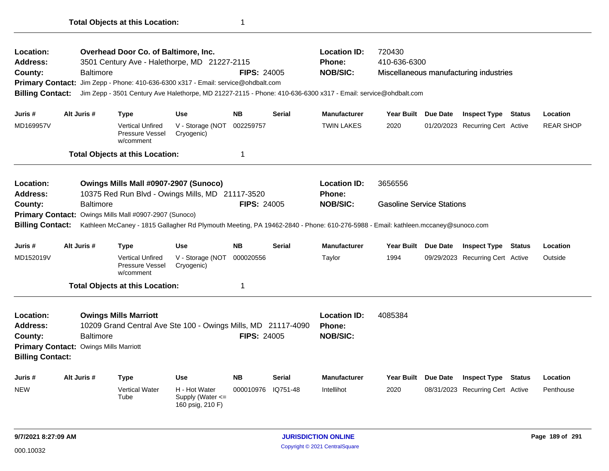| Location:<br><b>Address:</b><br>County:<br><b>Primary Contact:</b><br><b>Billing Contact:</b>                       | <b>Baltimore</b> | Overhead Door Co. of Baltimore, Inc.                    | 3501 Century Ave - Halethorpe, MD 21227-2115<br>Jim Zepp - Phone: 410-636-6300 x317 - Email: service@ohdbalt.com | <b>FIPS: 24005</b> |               | <b>Location ID:</b><br>Phone:<br><b>NOB/SIC:</b><br>Jim Zepp - 3501 Century Ave Halethorpe, MD 21227-2115 - Phone: 410-636-6300 x317 - Email: service@ohdbalt.com | 720430<br>410-636-6300 |                                                                                                                                                                     | Miscellaneous manufacturing industries |               |                  |
|---------------------------------------------------------------------------------------------------------------------|------------------|---------------------------------------------------------|------------------------------------------------------------------------------------------------------------------|--------------------|---------------|-------------------------------------------------------------------------------------------------------------------------------------------------------------------|------------------------|---------------------------------------------------------------------------------------------------------------------------------------------------------------------|----------------------------------------|---------------|------------------|
| Juris #                                                                                                             | Alt Juris #      | <b>Type</b>                                             | <b>Use</b>                                                                                                       | <b>NB</b>          | <b>Serial</b> | <b>Manufacturer</b>                                                                                                                                               | Year Built Due Date    |                                                                                                                                                                     | <b>Inspect Type Status</b>             |               | Location         |
| MD169957V                                                                                                           |                  | <b>Vertical Unfired</b><br>Pressure Vessel<br>w/comment | V - Storage (NOT<br>Cryogenic)                                                                                   | 002259757          |               | <b>TWIN LAKES</b>                                                                                                                                                 | 2020                   |                                                                                                                                                                     | 01/20/2023 Recurring Cert Active       |               | <b>REAR SHOP</b> |
|                                                                                                                     |                  | <b>Total Objects at this Location:</b>                  |                                                                                                                  | 1                  |               |                                                                                                                                                                   |                        |                                                                                                                                                                     |                                        |               |                  |
| Location:<br><b>Address:</b>                                                                                        |                  | Owings Mills Mall #0907-2907 (Sunoco)                   | 10375 Red Run Blvd - Owings Mills, MD 21117-3520                                                                 |                    |               | <b>Location ID:</b><br><b>Phone:</b>                                                                                                                              | 3656556                |                                                                                                                                                                     |                                        |               |                  |
| County:<br><b>Billing Contact:</b>                                                                                  | <b>Baltimore</b> | Primary Contact: Owings Mills Mall #0907-2907 (Sunoco)  |                                                                                                                  | <b>FIPS: 24005</b> |               | <b>NOB/SIC:</b>                                                                                                                                                   |                        | <b>Gasoline Service Stations</b><br>Kathleen McCaney - 1815 Gallagher Rd Plymouth Meeting, PA 19462-2840 - Phone: 610-276-5988 - Email: kathleen.mccaney@sunoco.com |                                        |               |                  |
| Juris #                                                                                                             | Alt Juris #      | <b>Type</b>                                             | <b>Use</b>                                                                                                       | <b>NB</b>          | <b>Serial</b> | <b>Manufacturer</b>                                                                                                                                               | Year Built Due Date    |                                                                                                                                                                     | <b>Inspect Type Status</b>             |               | Location         |
| MD152019V                                                                                                           |                  | <b>Vertical Unfired</b><br>Pressure Vessel<br>w/comment | V - Storage (NOT<br>Cryogenic)                                                                                   | 000020556          |               | Taylor                                                                                                                                                            | 1994                   |                                                                                                                                                                     | 09/29/2023 Recurring Cert Active       |               | Outside          |
|                                                                                                                     |                  | <b>Total Objects at this Location:</b>                  |                                                                                                                  | 1                  |               |                                                                                                                                                                   |                        |                                                                                                                                                                     |                                        |               |                  |
| Location:<br><b>Address:</b><br>County:<br><b>Primary Contact: Owings Mills Marriott</b><br><b>Billing Contact:</b> | <b>Baltimore</b> | <b>Owings Mills Marriott</b>                            | 10209 Grand Central Ave Ste 100 - Owings Mills, MD 21117-4090                                                    | <b>FIPS: 24005</b> |               | <b>Location ID:</b><br>Phone:<br><b>NOB/SIC:</b>                                                                                                                  | 4085384                |                                                                                                                                                                     |                                        |               |                  |
| Juris #                                                                                                             | Alt Juris #      | Type                                                    | Use                                                                                                              | <b>NB</b>          | Serial        | <b>Manufacturer</b>                                                                                                                                               | Year Built Due Date    |                                                                                                                                                                     | <b>Inspect Type</b>                    | <b>Status</b> | Location         |
| NEW                                                                                                                 |                  | <b>Vertical Water</b><br>Tube                           | H - Hot Water<br>Supply (Water <=<br>160 psig, 210 F)                                                            | 000010976          | IQ751-48      | Intellihot                                                                                                                                                        | 2020                   |                                                                                                                                                                     | 08/31/2023 Recurring Cert Active       |               | Penthouse        |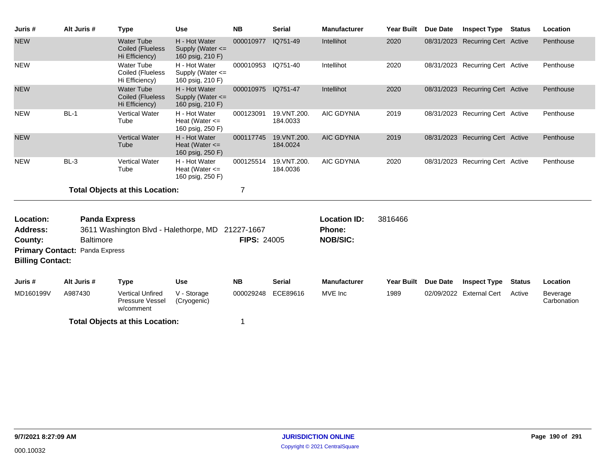| Juris #                                            | Alt Juris #                              | <b>Type</b>                                             | <b>Use</b>                                                | <b>NB</b>          | <b>Serial</b>             | <b>Manufacturer</b>                                     | Year Built        | <b>Due Date</b> | <b>Inspect Type</b>              | <b>Status</b> | Location                |
|----------------------------------------------------|------------------------------------------|---------------------------------------------------------|-----------------------------------------------------------|--------------------|---------------------------|---------------------------------------------------------|-------------------|-----------------|----------------------------------|---------------|-------------------------|
| <b>NEW</b>                                         |                                          | <b>Water Tube</b><br>Coiled (Flueless<br>Hi Efficiency) | H - Hot Water<br>Supply (Water $\leq$<br>160 psig, 210 F) | 000010977          | IQ751-49                  | Intellihot                                              | 2020              |                 | 08/31/2023 Recurring Cert Active |               | Penthouse               |
| <b>NEW</b>                                         |                                          | <b>Water Tube</b><br>Coiled (Flueless<br>Hi Efficiency) | H - Hot Water<br>Supply (Water <=<br>160 psig, 210 F)     | 000010953          | IQ751-40                  | Intellihot                                              | 2020              |                 | 08/31/2023 Recurring Cert Active |               | Penthouse               |
| <b>NEW</b>                                         |                                          | <b>Water Tube</b><br>Coiled (Flueless<br>Hi Efficiency) | H - Hot Water<br>Supply (Water <=<br>160 psig, 210 F)     | 000010975 IQ751-47 |                           | Intellihot                                              | 2020              |                 | 08/31/2023 Recurring Cert Active |               | Penthouse               |
| <b>NEW</b>                                         | $BL-1$                                   | <b>Vertical Water</b><br>Tube                           | H - Hot Water<br>Heat (Water $\leq$<br>160 psig, 250 F)   | 000123091          | 19.VNT.200.<br>184.0033   | <b>AIC GDYNIA</b>                                       | 2019              |                 | 08/31/2023 Recurring Cert Active |               | Penthouse               |
| <b>NEW</b>                                         |                                          | <b>Vertical Water</b><br>Tube                           | H - Hot Water<br>Heat (Water $\leq$<br>160 psig, 250 F)   | 000117745          | 19. VNT. 200.<br>184.0024 | <b>AIC GDYNIA</b>                                       | 2019              |                 | 08/31/2023 Recurring Cert Active |               | Penthouse               |
| <b>NEW</b>                                         | $BL-3$                                   | <b>Vertical Water</b><br>Tube                           | H - Hot Water<br>Heat (Water $\leq$<br>160 psig, 250 F)   | 000125514          | 19. VNT. 200.<br>184.0036 | <b>AIC GDYNIA</b>                                       | 2020              |                 | 08/31/2023 Recurring Cert Active |               | Penthouse               |
|                                                    |                                          | <b>Total Objects at this Location:</b>                  |                                                           | 7                  |                           |                                                         |                   |                 |                                  |               |                         |
| Location:<br><b>Address:</b><br>County:            | <b>Panda Express</b><br><b>Baltimore</b> | 3611 Washington Blvd - Halethorpe, MD 21227-1667        |                                                           | <b>FIPS: 24005</b> |                           | <b>Location ID:</b><br><b>Phone:</b><br><b>NOB/SIC:</b> | 3816466           |                 |                                  |               |                         |
| <b>Primary Contact:</b><br><b>Billing Contact:</b> | Panda Express                            |                                                         |                                                           |                    |                           |                                                         |                   |                 |                                  |               |                         |
| Juris #                                            | Alt Juris #                              | <b>Type</b>                                             | <b>Use</b>                                                | <b>NB</b>          | <b>Serial</b>             | <b>Manufacturer</b>                                     | <b>Year Built</b> | <b>Due Date</b> | <b>Inspect Type</b>              | <b>Status</b> | Location                |
| MD160199V                                          | A987430                                  | <b>Vertical Unfired</b><br>Pressure Vessel<br>w/comment | V - Storage<br>(Cryogenic)                                | 000029248          | ECE89616                  | MVE Inc                                                 | 1989              |                 | 02/09/2022 External Cert         | Active        | Beverage<br>Carbonation |
|                                                    |                                          | <b>Total Objects at this Location:</b>                  |                                                           | 1                  |                           |                                                         |                   |                 |                                  |               |                         |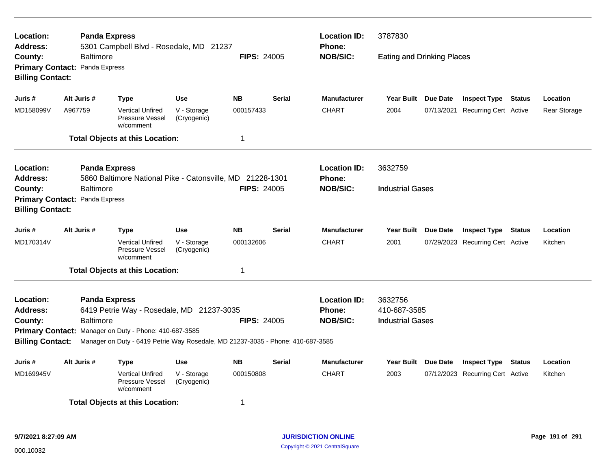| Location:<br><b>Address:</b>            | <b>Panda Express</b>                               | 5301 Campbell Blvd - Rosedale, MD 21237                                                                                                   |                            |                    |               | <b>Location ID:</b><br><b>Phone:</b>             | 3787830                                            |                                  |        |              |
|-----------------------------------------|----------------------------------------------------|-------------------------------------------------------------------------------------------------------------------------------------------|----------------------------|--------------------|---------------|--------------------------------------------------|----------------------------------------------------|----------------------------------|--------|--------------|
| County:<br><b>Billing Contact:</b>      | <b>Baltimore</b><br>Primary Contact: Panda Express |                                                                                                                                           |                            | <b>FIPS: 24005</b> |               | <b>NOB/SIC:</b>                                  | <b>Eating and Drinking Places</b>                  |                                  |        |              |
| Juris #                                 | Alt Juris #                                        | Type                                                                                                                                      | <b>Use</b>                 | <b>NB</b>          | <b>Serial</b> | <b>Manufacturer</b>                              | Year Built Due Date                                | <b>Inspect Type Status</b>       |        | Location     |
| MD158099V                               | A967759                                            | <b>Vertical Unfired</b><br>Pressure Vessel<br>w/comment                                                                                   | V - Storage<br>(Cryogenic) | 000157433          |               | <b>CHART</b>                                     | 2004                                               | 07/13/2021 Recurring Cert Active |        | Rear Storage |
|                                         |                                                    | <b>Total Objects at this Location:</b>                                                                                                    |                            | 1                  |               |                                                  |                                                    |                                  |        |              |
| Location:<br><b>Address:</b>            | <b>Panda Express</b>                               | 5860 Baltimore National Pike - Catonsville, MD 21228-1301                                                                                 |                            |                    |               | <b>Location ID:</b><br><b>Phone:</b>             | 3632759                                            |                                  |        |              |
| County:<br><b>Billing Contact:</b>      | <b>Baltimore</b><br>Primary Contact: Panda Express |                                                                                                                                           |                            | <b>FIPS: 24005</b> |               | <b>NOB/SIC:</b>                                  | <b>Industrial Gases</b>                            |                                  |        |              |
| Juris #                                 | Alt Juris #                                        | <b>Type</b>                                                                                                                               | <b>Use</b>                 | <b>NB</b>          | <b>Serial</b> | <b>Manufacturer</b>                              | Year Built Due Date                                | <b>Inspect Type Status</b>       |        | Location     |
| MD170314V                               |                                                    | <b>Vertical Unfired</b><br>Pressure Vessel<br>w/comment                                                                                   | V - Storage<br>(Cryogenic) | 000132606          |               | <b>CHART</b>                                     | 2001                                               | 07/29/2023 Recurring Cert Active |        | Kitchen      |
|                                         |                                                    | <b>Total Objects at this Location:</b>                                                                                                    |                            | 1                  |               |                                                  |                                                    |                                  |        |              |
| Location:<br><b>Address:</b><br>County: | <b>Panda Express</b><br><b>Baltimore</b>           | 6419 Petrie Way - Rosedale, MD 21237-3035                                                                                                 |                            | <b>FIPS: 24005</b> |               | <b>Location ID:</b><br>Phone:<br><b>NOB/SIC:</b> | 3632756<br>410-687-3585<br><b>Industrial Gases</b> |                                  |        |              |
| <b>Billing Contact:</b>                 |                                                    | Primary Contact: Manager on Duty - Phone: 410-687-3585<br>Manager on Duty - 6419 Petrie Way Rosedale, MD 21237-3035 - Phone: 410-687-3585 |                            |                    |               |                                                  |                                                    |                                  |        |              |
| Juris #                                 | Alt Juris #                                        | <b>Type</b>                                                                                                                               | <b>Use</b>                 | <b>NB</b>          | Serial        | <b>Manufacturer</b>                              | Year Built Due Date                                | <b>Inspect Type</b>              | Status | Location     |
| MD169945V                               |                                                    | <b>Vertical Unfired</b><br>Pressure Vessel<br>w/comment                                                                                   | V - Storage<br>(Cryogenic) | 000150808          |               | <b>CHART</b>                                     | 2003                                               | 07/12/2023 Recurring Cert Active |        | Kitchen      |
|                                         |                                                    | <b>Total Objects at this Location:</b>                                                                                                    |                            | 1                  |               |                                                  |                                                    |                                  |        |              |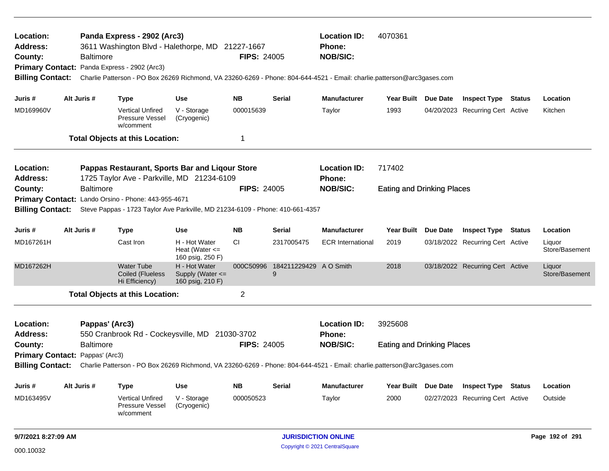| Location:<br>Address:<br>County:                           | <b>Baltimore</b> | Panda Express - 2902 (Arc3)<br>3611 Washington Blvd - Halethorpe, MD 21227-1667<br>Primary Contact: Panda Express - 2902 (Arc3)      |                                                         | <b>FIPS: 24005</b> |                             | <b>Location ID:</b><br>Phone:<br><b>NOB/SIC:</b> | 4070361                           |                 |                                  |               |                          |
|------------------------------------------------------------|------------------|--------------------------------------------------------------------------------------------------------------------------------------|---------------------------------------------------------|--------------------|-----------------------------|--------------------------------------------------|-----------------------------------|-----------------|----------------------------------|---------------|--------------------------|
| <b>Billing Contact:</b>                                    |                  | Charlie Patterson - PO Box 26269 Richmond, VA 23260-6269 - Phone: 804-644-4521 - Email: charlie.patterson@arc3gases.com              |                                                         |                    |                             |                                                  |                                   |                 |                                  |               |                          |
| Juris #                                                    | Alt Juris #      | <b>Type</b>                                                                                                                          | Use                                                     | <b>NB</b>          | Serial                      | <b>Manufacturer</b>                              | Year Built Due Date               |                 | <b>Inspect Type Status</b>       |               | Location                 |
| MD169960V                                                  |                  | <b>Vertical Unfired</b><br>Pressure Vessel<br>w/comment                                                                              | V - Storage<br>(Cryogenic)                              | 000015639          |                             | Taylor                                           | 1993                              |                 | 04/20/2023 Recurring Cert Active |               | Kitchen                  |
|                                                            |                  | <b>Total Objects at this Location:</b>                                                                                               |                                                         | 1                  |                             |                                                  |                                   |                 |                                  |               |                          |
| Location:<br><b>Address:</b>                               |                  | Pappas Restaurant, Sports Bar and Liqour Store<br>1725 Taylor Ave - Parkville, MD 21234-6109                                         |                                                         |                    |                             | <b>Location ID:</b><br><b>Phone:</b>             | 717402                            |                 |                                  |               |                          |
| County:                                                    | <b>Baltimore</b> |                                                                                                                                      |                                                         | <b>FIPS: 24005</b> |                             | <b>NOB/SIC:</b>                                  | Eating and Drinking Places        |                 |                                  |               |                          |
| <b>Billing Contact:</b>                                    |                  | Primary Contact: Lando Orsino - Phone: 443-955-4671<br>Steve Pappas - 1723 Taylor Ave Parkville, MD 21234-6109 - Phone: 410-661-4357 |                                                         |                    |                             |                                                  |                                   |                 |                                  |               |                          |
| Juris #                                                    | Alt Juris #      | <b>Type</b>                                                                                                                          | Use                                                     | <b>NB</b>          | Serial                      | <b>Manufacturer</b>                              | <b>Year Built</b>                 | <b>Due Date</b> | <b>Inspect Type Status</b>       |               | Location                 |
| MD167261H                                                  |                  | Cast Iron                                                                                                                            | H - Hot Water<br>Heat (Water $\leq$<br>160 psig, 250 F) | <b>CI</b>          | 2317005475                  | <b>ECR International</b>                         | 2019                              |                 | 03/18/2022 Recurring Cert Active |               | Liquor<br>Store/Basement |
| MD167262H                                                  |                  | <b>Water Tube</b><br>Coiled (Flueless<br>Hi Efficiency)                                                                              | H - Hot Water<br>Supply (Water <=<br>160 psig, 210 F)   | 000C50996          | 184211229429 A O Smith<br>9 |                                                  | 2018                              |                 | 03/18/2022 Recurring Cert Active |               | Liquor<br>Store/Basement |
|                                                            |                  | <b>Total Objects at this Location:</b>                                                                                               |                                                         | $\overline{2}$     |                             |                                                  |                                   |                 |                                  |               |                          |
| Location:<br><b>Address:</b>                               | Pappas' (Arc3)   | 550 Cranbrook Rd - Cockeysville, MD 21030-3702                                                                                       |                                                         |                    |                             | <b>Location ID:</b><br><b>Phone:</b>             | 3925608                           |                 |                                  |               |                          |
| County:                                                    | <b>Baltimore</b> |                                                                                                                                      |                                                         | <b>FIPS: 24005</b> |                             | <b>NOB/SIC:</b>                                  | <b>Eating and Drinking Places</b> |                 |                                  |               |                          |
| Primary Contact: Pappas' (Arc3)<br><b>Billing Contact:</b> |                  | Charlie Patterson - PO Box 26269 Richmond, VA 23260-6269 - Phone: 804-644-4521 - Email: charlie.patterson@arc3gases.com              |                                                         |                    |                             |                                                  |                                   |                 |                                  |               |                          |
| Juris #                                                    | Alt Juris #      | <b>Type</b>                                                                                                                          | Use                                                     | <b>NB</b>          | <b>Serial</b>               | <b>Manufacturer</b>                              | <b>Year Built</b>                 | <b>Due Date</b> | <b>Inspect Type</b>              | <b>Status</b> | Location                 |
| MD163495V                                                  |                  | <b>Vertical Unfired</b><br>Pressure Vessel<br>w/comment                                                                              | V - Storage<br>(Cryogenic)                              | 000050523          |                             | Taylor                                           | 2000                              |                 | 02/27/2023 Recurring Cert Active |               | Outside                  |
| 9/7/2021 8:27:09 AM                                        |                  |                                                                                                                                      |                                                         |                    |                             | <b>JURISDICTION ONLINE</b>                       |                                   |                 |                                  |               | Page 192 of 291          |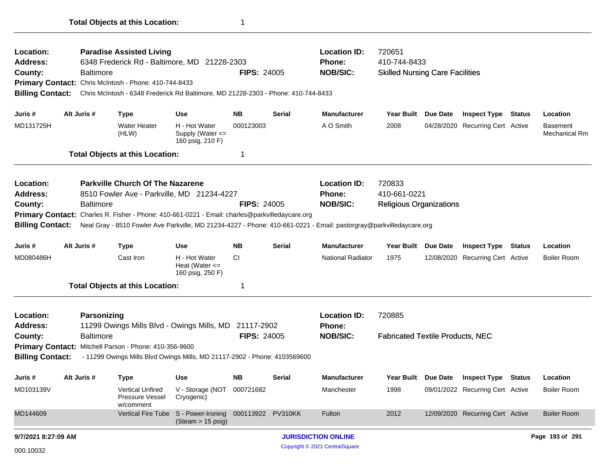| Location:               |                  | <b>Paradise Assisted Living</b>                                                   |                                                           |                    |               | <b>Location ID:</b>                                                                                                 | 720651                                  |                     |                                  |                                  |
|-------------------------|------------------|-----------------------------------------------------------------------------------|-----------------------------------------------------------|--------------------|---------------|---------------------------------------------------------------------------------------------------------------------|-----------------------------------------|---------------------|----------------------------------|----------------------------------|
| <b>Address:</b>         |                  | 6348 Frederick Rd - Baltimore, MD 21228-2303                                      |                                                           |                    |               | <b>Phone:</b>                                                                                                       | 410-744-8433                            |                     |                                  |                                  |
| County:                 | <b>Baltimore</b> |                                                                                   |                                                           | <b>FIPS: 24005</b> |               | <b>NOB/SIC:</b>                                                                                                     | <b>Skilled Nursing Care Facilities</b>  |                     |                                  |                                  |
|                         |                  | Primary Contact: Chris McIntosh - Phone: 410-744-8433                             |                                                           |                    |               |                                                                                                                     |                                         |                     |                                  |                                  |
| <b>Billing Contact:</b> |                  | Chris McIntosh - 6348 Frederick Rd Baltimore, MD 21228-2303 - Phone: 410-744-8433 |                                                           |                    |               |                                                                                                                     |                                         |                     |                                  |                                  |
| Juris #                 | Alt Juris #      | <b>Type</b>                                                                       | Use                                                       | <b>NB</b>          | Serial        | <b>Manufacturer</b>                                                                                                 | Year Built Due Date                     |                     | <b>Inspect Type Status</b>       | Location                         |
| MD131725H               |                  | <b>Water Heater</b><br>(HLW)                                                      | H - Hot Water<br>Supply (Water <=<br>160 psig, 210 F)     | 000123003          |               | A O Smith                                                                                                           | 2008                                    |                     | 04/28/2020 Recurring Cert Active | <b>Basement</b><br>Mechanical Rm |
|                         |                  | <b>Total Objects at this Location:</b>                                            |                                                           | -1                 |               |                                                                                                                     |                                         |                     |                                  |                                  |
| Location:               |                  | <b>Parkville Church Of The Nazarene</b>                                           |                                                           |                    |               | <b>Location ID:</b>                                                                                                 | 720833                                  |                     |                                  |                                  |
| <b>Address:</b>         |                  | 8510 Fowler Ave - Parkville, MD 21234-4227                                        |                                                           |                    |               | Phone:                                                                                                              | 410-661-0221                            |                     |                                  |                                  |
| County:                 | <b>Baltimore</b> |                                                                                   |                                                           | <b>FIPS: 24005</b> |               | <b>NOB/SIC:</b>                                                                                                     | <b>Religious Organizations</b>          |                     |                                  |                                  |
| <b>Primary Contact:</b> |                  | Charles R. Fisher - Phone: 410-661-0221 - Email: charles@parkvilledaycare.org     |                                                           |                    |               |                                                                                                                     |                                         |                     |                                  |                                  |
| <b>Billing Contact:</b> |                  |                                                                                   |                                                           |                    |               | Neal Gray - 8510 Fowler Ave Parkville, MD 21234-4227 - Phone: 410-661-0221 - Email: pastorgray@parkvilledaycare.org |                                         |                     |                                  |                                  |
| Juris #                 | Alt Juris #      | <b>Type</b>                                                                       | Use                                                       | <b>NB</b>          | <b>Serial</b> | <b>Manufacturer</b>                                                                                                 | Year Built Due Date                     |                     | <b>Inspect Type Status</b>       | Location                         |
| MD080486H               |                  | Cast Iron                                                                         | H - Hot Water<br>Heat (Water $\leq$<br>160 psig, 250 F)   | CI.                |               | <b>National Radiator</b>                                                                                            | 1975                                    |                     | 12/08/2020 Recurring Cert Active | <b>Boiler Room</b>               |
|                         |                  | <b>Total Objects at this Location:</b>                                            |                                                           | 1                  |               |                                                                                                                     |                                         |                     |                                  |                                  |
| Location:               | Parsonizing      |                                                                                   |                                                           |                    |               | <b>Location ID:</b>                                                                                                 | 720885                                  |                     |                                  |                                  |
| Address:                |                  | 11299 Owings Mills Blvd - Owings Mills, MD 21117-2902                             |                                                           |                    |               | <b>Phone:</b>                                                                                                       |                                         |                     |                                  |                                  |
| County:                 | <b>Baltimore</b> |                                                                                   |                                                           | <b>FIPS: 24005</b> |               | <b>NOB/SIC:</b>                                                                                                     | <b>Fabricated Textile Products, NEC</b> |                     |                                  |                                  |
|                         |                  | Primary Contact: Mitchell Parson - Phone: 410-356-9600                            |                                                           |                    |               |                                                                                                                     |                                         |                     |                                  |                                  |
| <b>Billing Contact:</b> |                  | - 11299 Owings Mills Blvd Owings Mills, MD 21117-2902 - Phone: 4103569600         |                                                           |                    |               |                                                                                                                     |                                         |                     |                                  |                                  |
| Juris #                 | Alt Juris #      | <b>Type</b>                                                                       | Use                                                       | <b>NB</b>          | <b>Serial</b> | <b>Manufacturer</b>                                                                                                 |                                         | Year Built Due Date | <b>Inspect Type Status</b>       | Location                         |
| MD103139V               |                  | <b>Vertical Unfired</b><br>Pressure Vessel<br>w/comment                           | V - Storage (NOT<br>Cryogenic)                            | 000721682          |               | Manchester                                                                                                          | 1998                                    |                     | 09/01/2022 Recurring Cert Active | <b>Boiler Room</b>               |
| MD144609                |                  |                                                                                   | Vertical Fire Tube S - Power-Ironing<br>(Steam > 15 psig) | 000113922 PV310KK  |               | Fulton                                                                                                              | 2012                                    |                     | 12/09/2020 Recurring Cert Active | <b>Boiler Room</b>               |
| 9/7/2021 8:27:09 AM     |                  |                                                                                   |                                                           |                    |               | <b>JURISDICTION ONLINE</b>                                                                                          |                                         |                     |                                  | Page 193 of 291                  |
| 000.10032               |                  |                                                                                   |                                                           |                    |               | Copyright © 2021 CentralSquare                                                                                      |                                         |                     |                                  |                                  |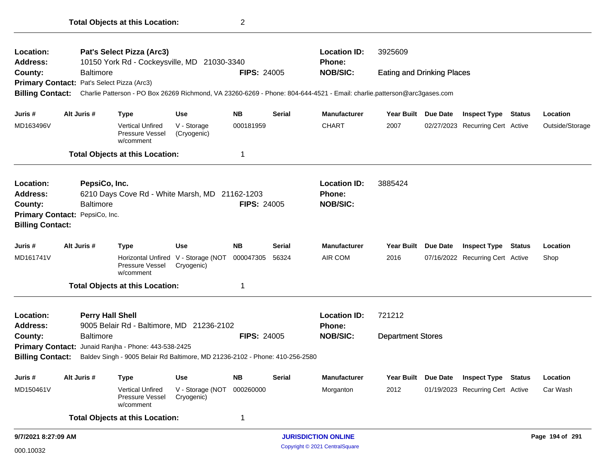| Location:                                  |                         | Pat's Select Pizza (Arc3)                                                    |                                                   |                    |               | <b>Location ID:</b>                                                                                                     | 3925609                           |          |                                  |               |                 |
|--------------------------------------------|-------------------------|------------------------------------------------------------------------------|---------------------------------------------------|--------------------|---------------|-------------------------------------------------------------------------------------------------------------------------|-----------------------------------|----------|----------------------------------|---------------|-----------------|
| <b>Address:</b>                            |                         | 10150 York Rd - Cockeysville, MD 21030-3340                                  |                                                   |                    |               | Phone:                                                                                                                  |                                   |          |                                  |               |                 |
| County:                                    | <b>Baltimore</b>        |                                                                              |                                                   | <b>FIPS: 24005</b> |               | <b>NOB/SIC:</b>                                                                                                         | <b>Eating and Drinking Places</b> |          |                                  |               |                 |
| Primary Contact: Pat's Select Pizza (Arc3) |                         |                                                                              |                                                   |                    |               |                                                                                                                         |                                   |          |                                  |               |                 |
| <b>Billing Contact:</b>                    |                         |                                                                              |                                                   |                    |               | Charlie Patterson - PO Box 26269 Richmond, VA 23260-6269 - Phone: 804-644-4521 - Email: charlie.patterson@arc3gases.com |                                   |          |                                  |               |                 |
| Juris #                                    | Alt Juris #             | <b>Type</b>                                                                  | Use                                               | <b>NB</b>          | <b>Serial</b> | <b>Manufacturer</b>                                                                                                     | Year Built Due Date               |          | <b>Inspect Type Status</b>       |               | Location        |
| MD163496V                                  |                         | <b>Vertical Unfired</b><br><b>Pressure Vessel</b><br>w/comment               | V - Storage<br>(Cryogenic)                        | 000181959          |               | <b>CHART</b>                                                                                                            | 2007                              |          | 02/27/2023 Recurring Cert Active |               | Outside/Storage |
|                                            |                         | <b>Total Objects at this Location:</b>                                       |                                                   | 1                  |               |                                                                                                                         |                                   |          |                                  |               |                 |
| Location:                                  | PepsiCo, Inc.           |                                                                              |                                                   |                    |               | <b>Location ID:</b>                                                                                                     | 3885424                           |          |                                  |               |                 |
| <b>Address:</b>                            |                         | 6210 Days Cove Rd - White Marsh, MD 21162-1203                               |                                                   |                    |               | Phone:                                                                                                                  |                                   |          |                                  |               |                 |
| County:                                    | <b>Baltimore</b>        |                                                                              |                                                   | <b>FIPS: 24005</b> |               | <b>NOB/SIC:</b>                                                                                                         |                                   |          |                                  |               |                 |
| Primary Contact: PepsiCo, Inc.             |                         |                                                                              |                                                   |                    |               |                                                                                                                         |                                   |          |                                  |               |                 |
| <b>Billing Contact:</b>                    |                         |                                                                              |                                                   |                    |               |                                                                                                                         |                                   |          |                                  |               |                 |
| Juris #                                    | Alt Juris #             | <b>Type</b>                                                                  | <b>Use</b>                                        | <b>NB</b>          | <b>Serial</b> | <b>Manufacturer</b>                                                                                                     | <b>Year Built</b>                 | Due Date | <b>Inspect Type</b>              | <b>Status</b> | Location        |
| MD161741V                                  |                         | <b>Pressure Vessel</b><br>w/comment                                          | Horizontal Unfired V - Storage (NOT<br>Cryogenic) | 000047305          | 56324         | AIR COM                                                                                                                 | 2016                              |          | 07/16/2022 Recurring Cert Active |               | Shop            |
|                                            |                         | <b>Total Objects at this Location:</b>                                       |                                                   | 1                  |               |                                                                                                                         |                                   |          |                                  |               |                 |
| Location:                                  | <b>Perry Hall Shell</b> |                                                                              |                                                   |                    |               | <b>Location ID:</b>                                                                                                     | 721212                            |          |                                  |               |                 |
| <b>Address:</b>                            |                         | 9005 Belair Rd - Baltimore, MD 21236-2102                                    |                                                   |                    |               | <b>Phone:</b>                                                                                                           |                                   |          |                                  |               |                 |
| County:                                    | <b>Baltimore</b>        |                                                                              |                                                   | <b>FIPS: 24005</b> |               | <b>NOB/SIC:</b>                                                                                                         | <b>Department Stores</b>          |          |                                  |               |                 |
|                                            |                         | Primary Contact: Junaid Ranjha - Phone: 443-538-2425                         |                                                   |                    |               |                                                                                                                         |                                   |          |                                  |               |                 |
| <b>Billing Contact:</b>                    |                         | Baldev Singh - 9005 Belair Rd Baltimore, MD 21236-2102 - Phone: 410-256-2580 |                                                   |                    |               |                                                                                                                         |                                   |          |                                  |               |                 |
| Juris #                                    | Alt Juris #             | Type                                                                         | <b>Use</b>                                        | <b>NB</b>          | Serial        | <b>Manufacturer</b>                                                                                                     | <b>Year Built</b>                 | Due Date | <b>Inspect Type Status</b>       |               | Location        |
| MD150461V                                  |                         | <b>Vertical Unfired</b><br>Pressure Vessel<br>w/comment                      | V - Storage (NOT<br>Cryogenic)                    | 000260000          |               | Morganton                                                                                                               | 2012                              |          | 01/19/2023 Recurring Cert Active |               | Car Wash        |
|                                            |                         | <b>Total Objects at this Location:</b>                                       |                                                   | 1                  |               |                                                                                                                         |                                   |          |                                  |               |                 |
| 9/7/2021 8:27:09 AM                        |                         |                                                                              |                                                   |                    |               | <b>JURISDICTION ONLINE</b>                                                                                              |                                   |          |                                  |               | Page 194 of 291 |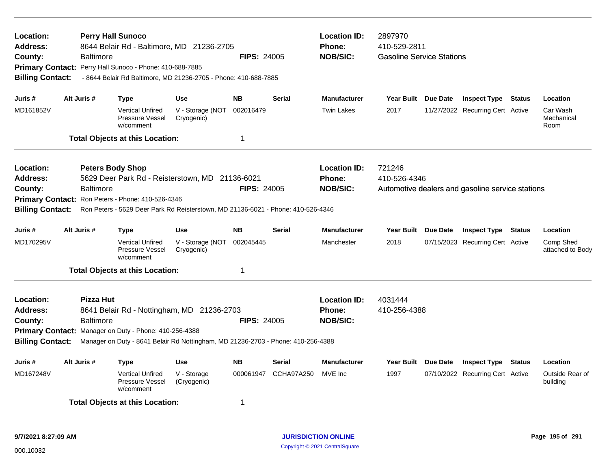| Location:<br><b>Address:</b><br>County:<br><b>Billing Contact:</b>                                                                                                                                                                                                                                                           | <b>Baltimore</b> | <b>Perry Hall Sunoco</b><br>8644 Belair Rd - Baltimore, MD 21236-2705<br>Primary Contact: Perry Hall Sunoco - Phone: 410-688-7885<br>- 8644 Belair Rd Baltimore, MD 21236-2705 - Phone: 410-688-7885                |                                | <b>FIPS: 24005</b> |               | <b>Location ID:</b><br><b>Phone:</b><br><b>NOB/SIC:</b> | 2897970<br>410-529-2811<br><b>Gasoline Service Stations</b> |                     |                                                  |        |                                |
|------------------------------------------------------------------------------------------------------------------------------------------------------------------------------------------------------------------------------------------------------------------------------------------------------------------------------|------------------|---------------------------------------------------------------------------------------------------------------------------------------------------------------------------------------------------------------------|--------------------------------|--------------------|---------------|---------------------------------------------------------|-------------------------------------------------------------|---------------------|--------------------------------------------------|--------|--------------------------------|
| Juris #                                                                                                                                                                                                                                                                                                                      | Alt Juris #      | Type                                                                                                                                                                                                                | <b>Use</b>                     | <b>NB</b>          | <b>Serial</b> | <b>Manufacturer</b>                                     |                                                             | Year Built Due Date | <b>Inspect Type Status</b>                       |        | Location                       |
| MD161852V                                                                                                                                                                                                                                                                                                                    |                  | <b>Vertical Unfired</b><br><b>Pressure Vessel</b><br>w/comment                                                                                                                                                      | V - Storage (NOT<br>Cryogenic) | 002016479          |               | <b>Twin Lakes</b>                                       | 2017                                                        |                     | 11/27/2022 Recurring Cert Active                 |        | Car Wash<br>Mechanical<br>Room |
|                                                                                                                                                                                                                                                                                                                              |                  | <b>Total Objects at this Location:</b>                                                                                                                                                                              |                                | $\mathbf 1$        |               |                                                         |                                                             |                     |                                                  |        |                                |
| <b>Location:</b><br>Address:<br>County:<br><b>Billing Contact:</b>                                                                                                                                                                                                                                                           | <b>Baltimore</b> | <b>Peters Body Shop</b><br>5629 Deer Park Rd - Reisterstown, MD 21136-6021<br>Primary Contact: Ron Peters - Phone: 410-526-4346<br>Ron Peters - 5629 Deer Park Rd Reisterstown, MD 21136-6021 - Phone: 410-526-4346 |                                | <b>FIPS: 24005</b> |               | <b>Location ID:</b><br><b>Phone:</b><br><b>NOB/SIC:</b> | 721246<br>410-526-4346                                      |                     | Automotive dealers and gasoline service stations |        |                                |
| Juris #                                                                                                                                                                                                                                                                                                                      | Alt Juris #      | Type                                                                                                                                                                                                                | <b>Use</b>                     | <b>NB</b>          | <b>Serial</b> | <b>Manufacturer</b>                                     | Year Built                                                  | <b>Due Date</b>     | <b>Inspect Type Status</b>                       |        | Location                       |
| MD170295V                                                                                                                                                                                                                                                                                                                    |                  | <b>Vertical Unfired</b><br><b>Pressure Vessel</b><br>w/comment                                                                                                                                                      | V - Storage (NOT<br>Cryogenic) | 002045445          |               | Manchester                                              | 2018                                                        |                     | 07/15/2023 Recurring Cert Active                 |        | Comp Shed<br>attached to Body  |
|                                                                                                                                                                                                                                                                                                                              |                  | <b>Total Objects at this Location:</b>                                                                                                                                                                              |                                | $\mathbf 1$        |               |                                                         |                                                             |                     |                                                  |        |                                |
| <b>Pizza Hut</b><br>Location:<br>8641 Belair Rd - Nottingham, MD 21236-2703<br><b>Address:</b><br><b>Baltimore</b><br><b>FIPS: 24005</b><br>County:<br>Primary Contact: Manager on Duty - Phone: 410-256-4388<br>Manager on Duty - 8641 Belair Rd Nottingham, MD 21236-2703 - Phone: 410-256-4388<br><b>Billing Contact:</b> |                  |                                                                                                                                                                                                                     |                                |                    |               | <b>Location ID:</b><br><b>Phone:</b><br><b>NOB/SIC:</b> | 4031444<br>410-256-4388                                     |                     |                                                  |        |                                |
| Juris #                                                                                                                                                                                                                                                                                                                      | Alt Juris #      | <b>Type</b>                                                                                                                                                                                                         | <b>Use</b>                     | <b>NB</b>          | Serial        | <b>Manufacturer</b>                                     |                                                             | Year Built Due Date | <b>Inspect Type</b>                              | Status | Location                       |
| MD167248V                                                                                                                                                                                                                                                                                                                    |                  | <b>Vertical Unfired</b><br><b>Pressure Vessel</b><br>w/comment                                                                                                                                                      | V - Storage<br>(Cryogenic)     | 000061947          | CCHA97A250    | MVE Inc                                                 | 1997                                                        |                     | 07/10/2022 Recurring Cert Active                 |        | Outside Rear of<br>building    |
|                                                                                                                                                                                                                                                                                                                              |                  | <b>Total Objects at this Location:</b>                                                                                                                                                                              |                                | -1                 |               |                                                         |                                                             |                     |                                                  |        |                                |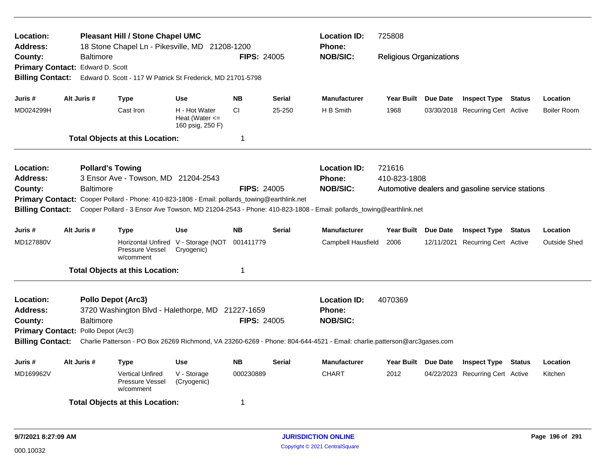| Location:<br><b>Address:</b><br>County:                                                                |  | <b>Baltimore</b>          | Pleasant Hill / Stone Chapel UMC<br>18 Stone Chapel Ln - Pikesville, MD 21208-1200 |                                                         | <b>FIPS: 24005</b> |               | <b>Location ID:</b><br><b>Phone:</b><br><b>NOB/SIC:</b>                                                                 |                                |                                                  |               |                    |
|--------------------------------------------------------------------------------------------------------|--|---------------------------|------------------------------------------------------------------------------------|---------------------------------------------------------|--------------------|---------------|-------------------------------------------------------------------------------------------------------------------------|--------------------------------|--------------------------------------------------|---------------|--------------------|
| Primary Contact: Edward D. Scott                                                                       |  |                           |                                                                                    |                                                         |                    |               |                                                                                                                         | <b>Religious Organizations</b> |                                                  |               |                    |
|                                                                                                        |  |                           |                                                                                    |                                                         |                    |               |                                                                                                                         |                                |                                                  |               |                    |
| <b>Billing Contact:</b>                                                                                |  |                           | Edward D. Scott - 117 W Patrick St Frederick, MD 21701-5798                        |                                                         |                    |               |                                                                                                                         |                                |                                                  |               |                    |
| Juris #                                                                                                |  | Alt Juris #               | <b>Type</b>                                                                        | <b>Use</b>                                              | <b>NB</b>          | <b>Serial</b> | <b>Manufacturer</b>                                                                                                     | Year Built Due Date            | <b>Inspect Type Status</b>                       |               | Location           |
| MD024299H                                                                                              |  |                           | Cast Iron                                                                          | H - Hot Water<br>Heat (Water $\leq$<br>160 psig, 250 F) | <b>CI</b>          | 25-250        | H B Smith                                                                                                               | 1968                           | 03/30/2018 Recurring Cert Active                 |               | <b>Boiler Room</b> |
|                                                                                                        |  |                           | <b>Total Objects at this Location:</b>                                             |                                                         | 1                  |               |                                                                                                                         |                                |                                                  |               |                    |
| Location:                                                                                              |  | <b>Pollard's Towing</b>   |                                                                                    |                                                         |                    |               | <b>Location ID:</b>                                                                                                     | 721616                         |                                                  |               |                    |
| Address:                                                                                               |  |                           | 3 Ensor Ave - Towson, MD 21204-2543                                                |                                                         |                    |               | <b>Phone:</b>                                                                                                           | 410-823-1808                   |                                                  |               |                    |
| County:                                                                                                |  | Baltimore                 |                                                                                    |                                                         | <b>FIPS: 24005</b> |               | <b>NOB/SIC:</b>                                                                                                         |                                | Automotive dealers and gasoline service stations |               |                    |
| <b>Primary Contact:</b><br>Cooper Pollard - Phone: 410-823-1808 - Email: pollards_towing@earthlink.net |  |                           |                                                                                    |                                                         |                    |               |                                                                                                                         |                                |                                                  |               |                    |
| <b>Billing Contact:</b>                                                                                |  |                           |                                                                                    |                                                         |                    |               | Cooper Pollard - 3 Ensor Ave Towson, MD 21204-2543 - Phone: 410-823-1808 - Email: pollards_towing@earthlink.net         |                                |                                                  |               |                    |
| Juris #                                                                                                |  | Alt Juris #               | <b>Type</b>                                                                        | <b>Use</b>                                              | <b>NB</b>          | <b>Serial</b> | <b>Manufacturer</b>                                                                                                     | Year Built Due Date            | <b>Inspect Type Status</b>                       |               | Location           |
| MD127880V                                                                                              |  |                           | Pressure Vessel<br>w/comment                                                       | Horizontal Unfired V - Storage (NOT<br>Cryogenic)       | 001411779          |               | Campbell Hausfield                                                                                                      | 2006                           | 12/11/2021 Recurring Cert Active                 |               | Outside Shed       |
|                                                                                                        |  |                           | <b>Total Objects at this Location:</b>                                             |                                                         | 1                  |               |                                                                                                                         |                                |                                                  |               |                    |
| Location:<br><b>Address:</b>                                                                           |  | <b>Pollo Depot (Arc3)</b> | 3720 Washington Blvd - Halethorpe, MD 21227-1659                                   |                                                         |                    |               | <b>Location ID:</b><br>Phone:                                                                                           | 4070369                        |                                                  |               |                    |
| County:                                                                                                |  | <b>Baltimore</b>          |                                                                                    |                                                         | <b>FIPS: 24005</b> |               | <b>NOB/SIC:</b>                                                                                                         |                                |                                                  |               |                    |
| Primary Contact: Pollo Depot (Arc3)                                                                    |  |                           |                                                                                    |                                                         |                    |               |                                                                                                                         |                                |                                                  |               |                    |
| <b>Billing Contact:</b>                                                                                |  |                           |                                                                                    |                                                         |                    |               | Charlie Patterson - PO Box 26269 Richmond, VA 23260-6269 - Phone: 804-644-4521 - Email: charlie.patterson@arc3gases.com |                                |                                                  |               |                    |
| Juris #                                                                                                |  | Alt Juris #               | Type                                                                               | <b>Use</b>                                              | <b>NB</b>          | <b>Serial</b> | <b>Manufacturer</b>                                                                                                     | Year Built Due Date            | <b>Inspect Type</b>                              | <b>Status</b> | Location           |
| MD169962V                                                                                              |  |                           | <b>Vertical Unfired</b><br>Pressure Vessel<br>w/comment                            | V - Storage<br>(Cryogenic)                              | 000230889          |               | <b>CHART</b>                                                                                                            | 2012                           | 04/22/2023 Recurring Cert Active                 |               | Kitchen            |
|                                                                                                        |  |                           | <b>Total Objects at this Location:</b>                                             |                                                         | 1                  |               |                                                                                                                         |                                |                                                  |               |                    |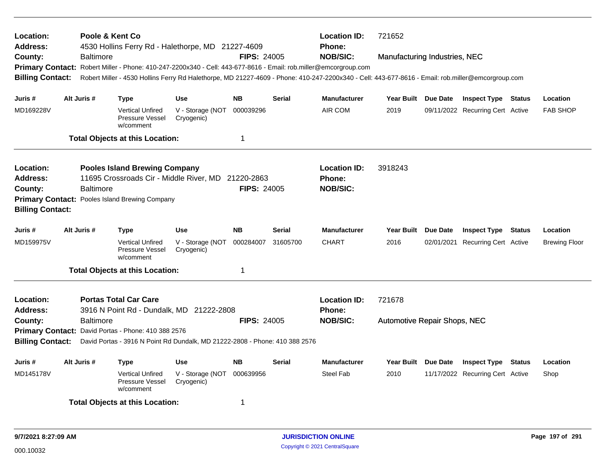| Location:<br>Address:<br>County:<br><b>Billing Contact:</b>        |                                                                                                                                                                                                                                                                                                    | Poole & Kent Co<br><b>Baltimore</b> | 4530 Hollins Ferry Rd - Halethorpe, MD 21227-4609<br>Primary Contact: Robert Miller - Phone: 410-247-2200x340 - Cell: 443-677-8616 - Email: rob.miller@emcorgroup.com |                                              | <b>FIPS: 24005</b>                    |                                                         | <b>Location ID:</b><br><b>Phone:</b><br><b>NOB/SIC:</b> | 721652                      | Manufacturing Industries, NEC<br>Robert Miller - 4530 Hollins Ferry Rd Halethorpe, MD 21227-4609 - Phone: 410-247-2200x340 - Cell: 443-677-8616 - Email: rob.miller@emcorgroup.com |                                                                |  |                                  |  |
|--------------------------------------------------------------------|----------------------------------------------------------------------------------------------------------------------------------------------------------------------------------------------------------------------------------------------------------------------------------------------------|-------------------------------------|-----------------------------------------------------------------------------------------------------------------------------------------------------------------------|----------------------------------------------|---------------------------------------|---------------------------------------------------------|---------------------------------------------------------|-----------------------------|------------------------------------------------------------------------------------------------------------------------------------------------------------------------------------|----------------------------------------------------------------|--|----------------------------------|--|
| Juris #<br>MD169228V                                               |                                                                                                                                                                                                                                                                                                    | Alt Juris #                         | <b>Type</b><br><b>Vertical Unfired</b><br>Pressure Vessel<br>w/comment<br><b>Total Objects at this Location:</b>                                                      | <b>Use</b><br>V - Storage (NOT<br>Cryogenic) | <b>NB</b><br>000039296<br>$\mathbf 1$ | <b>Serial</b>                                           | <b>Manufacturer</b><br>AIR COM                          | Year Built Due Date<br>2019 |                                                                                                                                                                                    | <b>Inspect Type Status</b><br>09/11/2022 Recurring Cert Active |  | Location<br><b>FAB SHOP</b>      |  |
| Location:<br><b>Address:</b><br>County:<br><b>Billing Contact:</b> |                                                                                                                                                                                                                                                                                                    | <b>Baltimore</b>                    | <b>Pooles Island Brewing Company</b><br>11695 Crossroads Cir - Middle River, MD 21220-2863<br>Primary Contact: Pooles Island Brewing Company                          |                                              | <b>FIPS: 24005</b>                    |                                                         | <b>Location ID:</b><br><b>Phone:</b><br><b>NOB/SIC:</b> | 3918243                     |                                                                                                                                                                                    |                                                                |  |                                  |  |
| Juris #<br>MD159975V                                               |                                                                                                                                                                                                                                                                                                    | Alt Juris #                         | <b>Type</b><br><b>Vertical Unfired</b><br>Pressure Vessel<br>w/comment                                                                                                | <b>Use</b><br>V - Storage (NOT<br>Cryogenic) | <b>NB</b><br>000284007<br>$\mathbf 1$ | <b>Serial</b><br>31605700                               | <b>Manufacturer</b><br><b>CHART</b>                     | Year Built<br>2016          | Due Date<br>02/01/2021                                                                                                                                                             | <b>Inspect Type Status</b><br>Recurring Cert Active            |  | Location<br><b>Brewing Floor</b> |  |
| Location:<br><b>Address:</b><br>County:<br><b>Billing Contact:</b> | <b>Total Objects at this Location:</b><br><b>Portas Total Car Care</b><br>3916 N Point Rd - Dundalk, MD 21222-2808<br><b>Baltimore</b><br><b>FIPS: 24005</b><br>Primary Contact: David Portas - Phone: 410 388 2576<br>David Portas - 3916 N Point Rd Dundalk, MD 21222-2808 - Phone: 410 388 2576 |                                     |                                                                                                                                                                       |                                              |                                       | <b>Location ID:</b><br><b>Phone:</b><br><b>NOB/SIC:</b> | 721678<br>Automotive Repair Shops, NEC                  |                             |                                                                                                                                                                                    |                                                                |  |                                  |  |
| Juris #<br>MD145178V                                               |                                                                                                                                                                                                                                                                                                    | Alt Juris #                         | <b>Type</b><br><b>Vertical Unfired</b><br>Pressure Vessel<br>w/comment<br><b>Total Objects at this Location:</b>                                                      | <b>Use</b><br>V - Storage (NOT<br>Cryogenic) | <b>NB</b><br>000639956<br>-1          | <b>Serial</b>                                           | <b>Manufacturer</b><br><b>Steel Fab</b>                 | Year Built Due Date<br>2010 |                                                                                                                                                                                    | <b>Inspect Type Status</b><br>11/17/2022 Recurring Cert Active |  | Location<br>Shop                 |  |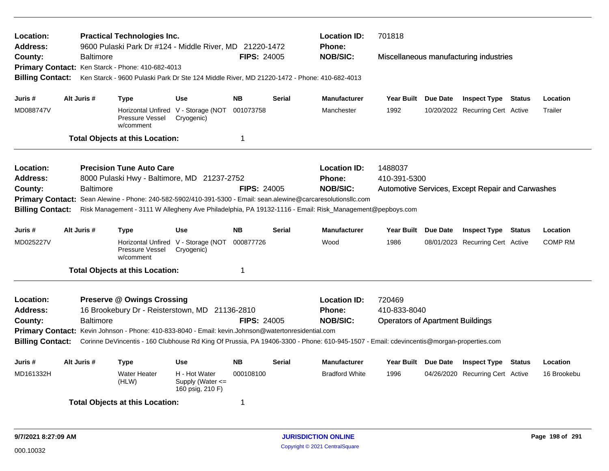| Location:<br><b>Address:</b>                                                                                    |  |                  | <b>Practical Technologies Inc.</b><br>9600 Pulaski Park Dr #124 - Middle River, MD 21220-1472 |            |                    |                       | <b>Location ID:</b><br><b>Phone:</b>                                                                                                    | 701818                                  |                                  |                                                  |             |                |
|-----------------------------------------------------------------------------------------------------------------|--|------------------|-----------------------------------------------------------------------------------------------|------------|--------------------|-----------------------|-----------------------------------------------------------------------------------------------------------------------------------------|-----------------------------------------|----------------------------------|--------------------------------------------------|-------------|----------------|
| County:                                                                                                         |  | <b>Baltimore</b> |                                                                                               |            | <b>FIPS: 24005</b> |                       | <b>NOB/SIC:</b>                                                                                                                         |                                         |                                  | Miscellaneous manufacturing industries           |             |                |
|                                                                                                                 |  |                  | Primary Contact: Ken Starck - Phone: 410-682-4013                                             |            |                    |                       |                                                                                                                                         |                                         |                                  |                                                  |             |                |
| <b>Billing Contact:</b>                                                                                         |  |                  | Ken Starck - 9600 Pulaski Park Dr Ste 124 Middle River, MD 21220-1472 - Phone: 410-682-4013   |            |                    |                       |                                                                                                                                         |                                         |                                  |                                                  |             |                |
| Juris #                                                                                                         |  | Alt Juris #      | <b>Type</b>                                                                                   | <b>Use</b> | <b>NB</b>          | <b>Serial</b>         | <b>Manufacturer</b>                                                                                                                     | <b>Year Built</b>                       | Due Date                         | <b>Inspect Type Status</b>                       |             | Location       |
| MD088747V                                                                                                       |  |                  | Horizontal Unfired V - Storage (NOT<br><b>Pressure Vessel</b><br>w/comment                    | Cryogenic) | 001073758          |                       | Manchester                                                                                                                              | 1992                                    |                                  | 10/20/2022 Recurring Cert Active                 |             | Trailer        |
|                                                                                                                 |  |                  | <b>Total Objects at this Location:</b>                                                        |            | -1                 |                       |                                                                                                                                         |                                         |                                  |                                                  |             |                |
| Location:                                                                                                       |  |                  | <b>Precision Tune Auto Care</b>                                                               |            |                    |                       | <b>Location ID:</b>                                                                                                                     | 1488037                                 |                                  |                                                  |             |                |
| <b>Address:</b>                                                                                                 |  |                  | 8000 Pulaski Hwy - Baltimore, MD 21237-2752                                                   |            |                    |                       | <b>Phone:</b>                                                                                                                           | 410-391-5300                            |                                  |                                                  |             |                |
| <b>FIPS: 24005</b><br>County:<br>Baltimore                                                                      |  |                  |                                                                                               |            |                    |                       | <b>NOB/SIC:</b>                                                                                                                         |                                         |                                  | Automotive Services, Except Repair and Carwashes |             |                |
| <b>Primary Contact:</b>                                                                                         |  |                  | Sean Alewine - Phone: 240-582-5902/410-391-5300 - Email: sean.alewine@carcaresolutionsllc.com |            |                    |                       |                                                                                                                                         |                                         |                                  |                                                  |             |                |
| <b>Billing Contact:</b>                                                                                         |  |                  |                                                                                               |            |                    |                       | Risk Management - 3111 W Allegheny Ave Philadelphia, PA 19132-1116 - Email: Risk_Management@pepboys.com                                 |                                         |                                  |                                                  |             |                |
| Juris #                                                                                                         |  | Alt Juris #      | <b>Type</b>                                                                                   | <b>Use</b> | <b>NB</b>          | <b>Serial</b>         | <b>Manufacturer</b>                                                                                                                     | <b>Year Built</b>                       | Due Date                         | <b>Inspect Type Status</b>                       |             | Location       |
| MD025227V                                                                                                       |  |                  | Horizontal Unfired V - Storage (NOT<br>Pressure Vessel<br>w/comment                           | Cryogenic) | 000877726          |                       | Wood                                                                                                                                    | 1986                                    |                                  | 08/01/2023 Recurring Cert Active                 |             | <b>COMP RM</b> |
|                                                                                                                 |  |                  | <b>Total Objects at this Location:</b>                                                        |            | $\mathbf 1$        |                       |                                                                                                                                         |                                         |                                  |                                                  |             |                |
| Location:                                                                                                       |  |                  | <b>Preserve @ Owings Crossing</b>                                                             |            |                    |                       | <b>Location ID:</b>                                                                                                                     | 720469                                  |                                  |                                                  |             |                |
| <b>Address:</b>                                                                                                 |  |                  | 16 Brookebury Dr - Reisterstown, MD 21136-2810                                                |            |                    |                       | <b>Phone:</b>                                                                                                                           | 410-833-8040                            |                                  |                                                  |             |                |
| County:                                                                                                         |  | <b>Baltimore</b> |                                                                                               |            | <b>FIPS: 24005</b> |                       | <b>NOB/SIC:</b>                                                                                                                         | <b>Operators of Apartment Buildings</b> |                                  |                                                  |             |                |
| Primary Contact: Kevin Johnson - Phone: 410-833-8040 - Email: kevin.Johnson@watertonresidential.com             |  |                  |                                                                                               |            |                    |                       |                                                                                                                                         |                                         |                                  |                                                  |             |                |
| <b>Billing Contact:</b>                                                                                         |  |                  |                                                                                               |            |                    |                       | Corinne DeVincentis - 160 Clubhouse Rd King Of Prussia, PA 19406-3300 - Phone: 610-945-1507 - Email: cdevincentis@morgan-properties.com |                                         |                                  |                                                  |             |                |
| Juris #                                                                                                         |  | Alt Juris #      | <b>Type</b>                                                                                   | <b>Use</b> | <b>NB</b>          | <b>Serial</b>         | <b>Manufacturer</b>                                                                                                                     | Year Built Due Date                     |                                  | <b>Inspect Type</b>                              | Status      | Location       |
| H - Hot Water<br>MD161332H<br><b>Water Heater</b><br>000108100<br>Supply (Water <=<br>(HLW)<br>160 psig, 210 F) |  |                  |                                                                                               |            |                    | <b>Bradford White</b> | 1996                                                                                                                                    |                                         | 04/26/2020 Recurring Cert Active |                                                  | 16 Brookebu |                |
|                                                                                                                 |  |                  | <b>Total Objects at this Location:</b>                                                        |            | -1                 |                       |                                                                                                                                         |                                         |                                  |                                                  |             |                |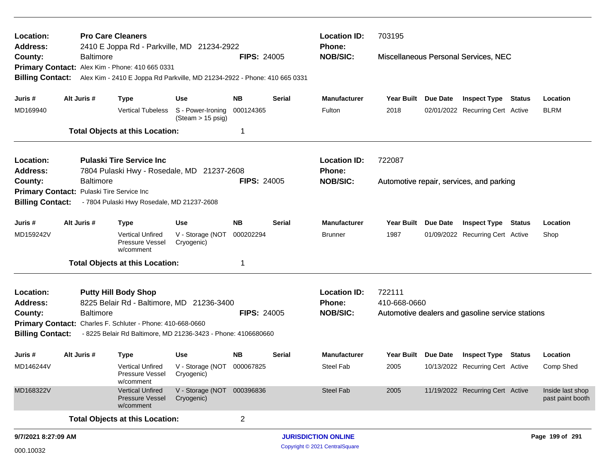|                                         |                                           | <b>Total Objects at this Location:</b>                                                                                       |                                                  | $\overline{2}$     |               |                                                         |                                          |  |                                                  |  |                                      |  |
|-----------------------------------------|-------------------------------------------|------------------------------------------------------------------------------------------------------------------------------|--------------------------------------------------|--------------------|---------------|---------------------------------------------------------|------------------------------------------|--|--------------------------------------------------|--|--------------------------------------|--|
| MD168322V                               |                                           | <b>Vertical Unfired</b><br>Pressure Vessel<br>w/comment                                                                      | V - Storage (NOT 000396836<br>Cryogenic)         |                    |               | Steel Fab                                               | 2005                                     |  | 11/19/2022 Recurring Cert Active                 |  | Inside last shop<br>past paint booth |  |
| MD146244V                               |                                           | <b>Vertical Unfired</b><br>Pressure Vessel<br>w/comment                                                                      | V - Storage (NOT 000067825<br>Cryogenic)         |                    |               | <b>Steel Fab</b>                                        | 2005                                     |  | 10/13/2022 Recurring Cert Active                 |  | Comp Shed                            |  |
| Juris #                                 | Alt Juris #                               | <b>Type</b>                                                                                                                  | <b>Use</b>                                       | <b>NB</b>          | <b>Serial</b> | <b>Manufacturer</b>                                     | Year Built Due Date                      |  | <b>Inspect Type Status</b>                       |  | Location                             |  |
| <b>Billing Contact:</b>                 |                                           | Primary Contact: Charles F. Schluter - Phone: 410-668-0660<br>- 8225 Belair Rd Baltimore, MD 21236-3423 - Phone: 4106680660  |                                                  |                    |               |                                                         |                                          |  |                                                  |  |                                      |  |
| Location:<br><b>Address:</b><br>County: | <b>Baltimore</b>                          | <b>Putty Hill Body Shop</b><br>8225 Belair Rd - Baltimore, MD 21236-3400                                                     |                                                  | <b>FIPS: 24005</b> |               | <b>Location ID:</b><br><b>Phone:</b><br><b>NOB/SIC:</b> | 722111<br>410-668-0660                   |  | Automotive dealers and gasoline service stations |  |                                      |  |
|                                         |                                           | <b>Total Objects at this Location:</b>                                                                                       |                                                  | 1                  |               |                                                         |                                          |  |                                                  |  |                                      |  |
| MD159242V                               |                                           | <b>Vertical Unfired</b><br>Pressure Vessel<br>w/comment                                                                      | V - Storage (NOT<br>Cryogenic)                   | 000202294          |               | <b>Brunner</b>                                          | 1987                                     |  | 01/09/2022 Recurring Cert Active                 |  | Shop                                 |  |
| Juris #                                 | Alt Juris #                               | <b>Type</b>                                                                                                                  | <b>Use</b>                                       | <b>NB</b>          | Serial        | <b>Manufacturer</b>                                     | Year Built Due Date                      |  | <b>Inspect Type Status</b>                       |  | Location                             |  |
| <b>Billing Contact:</b>                 |                                           | - 7804 Pulaski Hwy Rosedale, MD 21237-2608                                                                                   |                                                  |                    |               |                                                         |                                          |  |                                                  |  |                                      |  |
|                                         | Primary Contact: Pulaski Tire Service Inc |                                                                                                                              |                                                  |                    |               |                                                         |                                          |  |                                                  |  |                                      |  |
| <b>Address:</b><br>County:              | <b>Baltimore</b>                          | 7804 Pulaski Hwy - Rosedale, MD 21237-2608                                                                                   |                                                  | <b>FIPS: 24005</b> |               | <b>Phone:</b><br><b>NOB/SIC:</b>                        | Automotive repair, services, and parking |  |                                                  |  |                                      |  |
| Location:                               |                                           | <b>Pulaski Tire Service Inc</b>                                                                                              |                                                  |                    |               | <b>Location ID:</b>                                     | 722087                                   |  |                                                  |  |                                      |  |
|                                         |                                           | <b>Total Objects at this Location:</b>                                                                                       |                                                  | 1                  |               |                                                         |                                          |  |                                                  |  |                                      |  |
| MD169940                                |                                           | <b>Vertical Tubeless</b>                                                                                                     | S - Power-Ironing<br>$(Steam > 15 \text{ psig})$ | 000124365          |               | Fulton                                                  | 2018                                     |  | 02/01/2022 Recurring Cert Active                 |  | <b>BLRM</b>                          |  |
| Juris #                                 | Alt Juris #                               | <b>Type</b>                                                                                                                  | <b>Use</b>                                       | <b>NB</b>          | Serial        | <b>Manufacturer</b>                                     | Year Built Due Date                      |  | <b>Inspect Type Status</b>                       |  | Location                             |  |
| <b>Billing Contact:</b>                 |                                           | Primary Contact: Alex Kim - Phone: 410 665 0331<br>Alex Kim - 2410 E Joppa Rd Parkville, MD 21234-2922 - Phone: 410 665 0331 |                                                  |                    |               |                                                         |                                          |  |                                                  |  |                                      |  |
| County:                                 | <b>Baltimore</b>                          |                                                                                                                              |                                                  | <b>FIPS: 24005</b> |               | <b>NOB/SIC:</b>                                         |                                          |  | Miscellaneous Personal Services, NEC             |  |                                      |  |
| <b>Address:</b>                         |                                           | 2410 E Joppa Rd - Parkville, MD 21234-2922                                                                                   |                                                  |                    |               | <b>Phone:</b>                                           |                                          |  |                                                  |  |                                      |  |
| Location:                               |                                           | <b>Pro Care Cleaners</b>                                                                                                     |                                                  |                    |               | <b>Location ID:</b>                                     | 703195                                   |  |                                                  |  |                                      |  |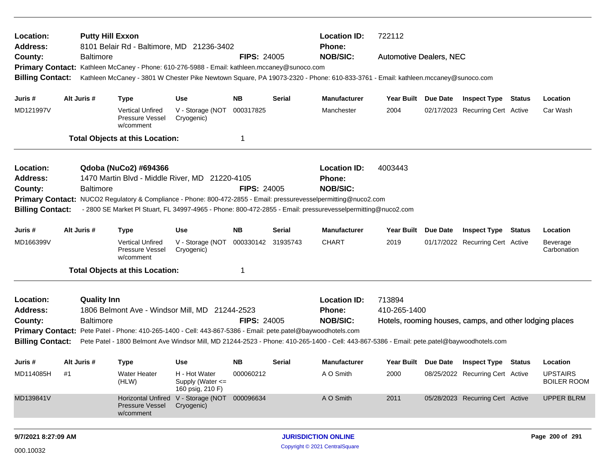| Location:<br><b>Address:</b> |             | <b>Putty Hill Exxon</b><br>8101 Belair Rd - Baltimore, MD 21236-3402                                                                       |                                                             |                    |               | <b>Location ID:</b><br><b>Phone:</b> |                                |  |                                                         |                                       |
|------------------------------|-------------|--------------------------------------------------------------------------------------------------------------------------------------------|-------------------------------------------------------------|--------------------|---------------|--------------------------------------|--------------------------------|--|---------------------------------------------------------|---------------------------------------|
| County:                      |             | <b>Baltimore</b>                                                                                                                           |                                                             | <b>FIPS: 24005</b> |               | <b>NOB/SIC:</b>                      | <b>Automotive Dealers, NEC</b> |  |                                                         |                                       |
|                              |             | Primary Contact: Kathleen McCaney - Phone: 610-276-5988 - Email: kathleen.mccaney@sunoco.com                                               |                                                             |                    |               |                                      |                                |  |                                                         |                                       |
| <b>Billing Contact:</b>      |             | Kathleen McCaney - 3801 W Chester Pike Newtown Square, PA 19073-2320 - Phone: 610-833-3761 - Email: kathleen.mccaney@sunoco.com            |                                                             |                    |               |                                      |                                |  |                                                         |                                       |
| Juris #                      | Alt Juris # | <b>Type</b>                                                                                                                                | <b>Use</b>                                                  | NB.                | <b>Serial</b> | <b>Manufacturer</b>                  | Year Built Due Date            |  | <b>Inspect Type Status</b>                              | Location                              |
| MD121997V                    |             | <b>Vertical Unfired</b><br>Pressure Vessel<br>w/comment                                                                                    | V - Storage (NOT<br>Cryogenic)                              | 000317825          |               | Manchester                           | 2004                           |  | 02/17/2023 Recurring Cert Active                        | Car Wash                              |
|                              |             | <b>Total Objects at this Location:</b>                                                                                                     |                                                             | -1                 |               |                                      |                                |  |                                                         |                                       |
| Location:                    |             | Qdoba (NuCo2) #694366                                                                                                                      |                                                             |                    |               | <b>Location ID:</b>                  | 4003443                        |  |                                                         |                                       |
| Address:                     |             | 1470 Martin Blvd - Middle River, MD 21220-4105                                                                                             |                                                             |                    |               | Phone:                               |                                |  |                                                         |                                       |
| County:                      |             | <b>Baltimore</b>                                                                                                                           |                                                             | <b>FIPS: 24005</b> |               | <b>NOB/SIC:</b>                      |                                |  |                                                         |                                       |
|                              |             | Primary Contact: NUCO2 Regulatory & Compliance - Phone: 800-472-2855 - Email: pressurevesselpermitting@nuco2.com                           |                                                             |                    |               |                                      |                                |  |                                                         |                                       |
| <b>Billing Contact:</b>      |             | - 2800 SE Market PI Stuart, FL 34997-4965 - Phone: 800-472-2855 - Email: pressurevesselpermitting@nuco2.com                                |                                                             |                    |               |                                      |                                |  |                                                         |                                       |
| Juris #                      | Alt Juris # | <b>Type</b>                                                                                                                                | <b>Use</b>                                                  | NB.                | <b>Serial</b> | <b>Manufacturer</b>                  | Year Built Due Date            |  | <b>Inspect Type Status</b>                              | Location                              |
| MD166399V                    |             | <b>Vertical Unfired</b><br>Pressure Vessel<br>w/comment                                                                                    | V - Storage (NOT<br>Cryogenic)                              | 000330142 31935743 |               | <b>CHART</b>                         | 2019                           |  | 01/17/2022 Recurring Cert Active                        | Beverage<br>Carbonation               |
|                              |             | <b>Total Objects at this Location:</b>                                                                                                     |                                                             | -1                 |               |                                      |                                |  |                                                         |                                       |
| Location:                    |             | <b>Quality Inn</b>                                                                                                                         |                                                             |                    |               | <b>Location ID:</b>                  | 713894                         |  |                                                         |                                       |
| <b>Address:</b>              |             | 1806 Belmont Ave - Windsor Mill, MD 21244-2523                                                                                             |                                                             |                    |               | Phone:                               | 410-265-1400                   |  |                                                         |                                       |
| County:                      |             | <b>Baltimore</b>                                                                                                                           |                                                             | <b>FIPS: 24005</b> |               | <b>NOB/SIC:</b>                      |                                |  | Hotels, rooming houses, camps, and other lodging places |                                       |
|                              |             | Primary Contact: Pete Patel - Phone: 410-265-1400 - Cell: 443-867-5386 - Email: pete.patel@baywoodhotels.com                               |                                                             |                    |               |                                      |                                |  |                                                         |                                       |
| <b>Billing Contact:</b>      |             | Pete Patel - 1800 Belmont Ave Windsor Mill, MD 21244-2523 - Phone: 410-265-1400 - Cell: 443-867-5386 - Email: pete.patel@baywoodhotels.com |                                                             |                    |               |                                      |                                |  |                                                         |                                       |
| Juris #                      | Alt Juris # | <b>Type</b>                                                                                                                                | <b>Use</b>                                                  | NB.                | <b>Serial</b> | Manufacturer                         |                                |  | Year Built Due Date Inspect Type Status                 | Location                              |
| MD114085H                    | #1          | Water Heater<br>(HLW)                                                                                                                      | H - Hot Water<br>Supply (Water <=<br>160 psig, 210 F)       | 000060212          |               | A O Smith                            | 2000                           |  | 08/25/2022 Recurring Cert Active                        | <b>UPSTAIRS</b><br><b>BOILER ROOM</b> |
| MD139841V                    |             | <b>Pressure Vessel</b><br>w/comment                                                                                                        | Horizontal Unfired V - Storage (NOT 000096634<br>Cryogenic) |                    |               | A O Smith                            | 2011                           |  | 05/28/2023 Recurring Cert Active                        | <b>UPPER BLRM</b>                     |
| 9/7/2021 8:27:09 AM          |             |                                                                                                                                            |                                                             |                    |               | <b>JURISDICTION ONLINE</b>           |                                |  |                                                         | Page 200 of 291                       |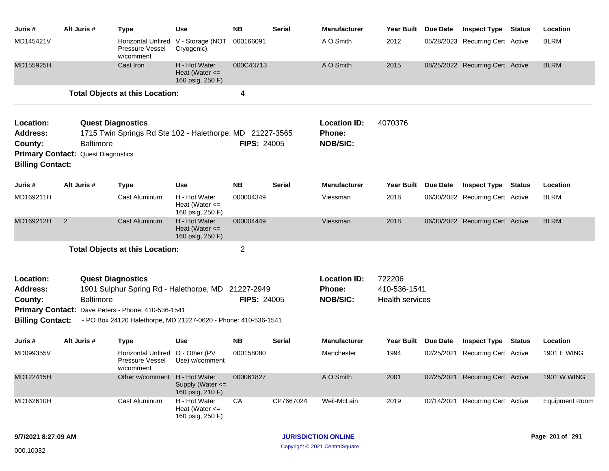| Juris #                                                            | Alt Juris #                                                   | <b>Type</b>                                                                                                                                                                                 | Use                                                     | <b>NB</b>                        | <b>Serial</b> | <b>Manufacturer</b>                                     | <b>Year Built</b>                                | Due Date        | <b>Inspect Type Status</b>       | Location              |
|--------------------------------------------------------------------|---------------------------------------------------------------|---------------------------------------------------------------------------------------------------------------------------------------------------------------------------------------------|---------------------------------------------------------|----------------------------------|---------------|---------------------------------------------------------|--------------------------------------------------|-----------------|----------------------------------|-----------------------|
| MD145421V                                                          |                                                               | Pressure Vessel<br>w/comment                                                                                                                                                                | Horizontal Unfired V - Storage (NOT<br>Cryogenic)       | 000166091                        |               | A O Smith                                               | 2012                                             |                 | 05/28/2023 Recurring Cert Active | <b>BLRM</b>           |
| MD155925H                                                          |                                                               | Cast Iron                                                                                                                                                                                   | H - Hot Water<br>Heat (Water $\leq$<br>160 psig, 250 F) | 000C43713                        |               | A O Smith                                               | 2015                                             |                 | 08/25/2022 Recurring Cert Active | <b>BLRM</b>           |
|                                                                    |                                                               | <b>Total Objects at this Location:</b>                                                                                                                                                      |                                                         | 4                                |               |                                                         |                                                  |                 |                                  |                       |
| Location:<br>Address:<br>County:<br><b>Billing Contact:</b>        | <b>Baltimore</b><br><b>Primary Contact: Quest Diagnostics</b> | <b>Quest Diagnostics</b><br>1715 Twin Springs Rd Ste 102 - Halethorpe, MD 21227-3565                                                                                                        |                                                         | <b>FIPS: 24005</b>               |               | <b>Location ID:</b><br><b>Phone:</b><br><b>NOB/SIC:</b> | 4070376                                          |                 |                                  |                       |
| Juris #                                                            | Alt Juris #                                                   | <b>Type</b>                                                                                                                                                                                 | Use                                                     | <b>NB</b>                        | <b>Serial</b> | <b>Manufacturer</b>                                     | <b>Year Built</b>                                | Due Date        | <b>Inspect Type Status</b>       | Location              |
| MD169211H                                                          |                                                               | Cast Aluminum                                                                                                                                                                               | H - Hot Water<br>Heat (Water $\leq$<br>160 psig, 250 F) | 000004349                        |               | Viessman                                                | 2018                                             |                 | 06/30/2022 Recurring Cert Active | <b>BLRM</b>           |
| MD169212H                                                          | 2                                                             | <b>Cast Aluminum</b>                                                                                                                                                                        | H - Hot Water<br>Heat (Water $\leq$<br>160 psig, 250 F) | 000004449                        |               | Viessman                                                | 2018                                             |                 | 06/30/2022 Recurring Cert Active | <b>BLRM</b>           |
|                                                                    |                                                               | <b>Total Objects at this Location:</b>                                                                                                                                                      |                                                         | $\overline{2}$                   |               |                                                         |                                                  |                 |                                  |                       |
| Location:<br><b>Address:</b><br>County:<br><b>Billing Contact:</b> | <b>Baltimore</b>                                              | <b>Quest Diagnostics</b><br>1901 Sulphur Spring Rd - Halethorpe, MD<br>Primary Contact: Dave Peters - Phone: 410-536-1541<br>- PO Box 24120 Halethorpe, MD 21227-0620 - Phone: 410-536-1541 |                                                         | 21227-2949<br><b>FIPS: 24005</b> |               | <b>Location ID:</b><br><b>Phone:</b><br><b>NOB/SIC:</b> | 722206<br>410-536-1541<br><b>Health services</b> |                 |                                  |                       |
| Juris #                                                            | Alt Juris #                                                   | <b>Type</b>                                                                                                                                                                                 | Use                                                     | NB.                              | <b>Serial</b> | Manufacturer                                            | <b>Year Built</b>                                | <b>Due Date</b> | <b>Inspect Type Status</b>       | Location              |
| MD099355V                                                          |                                                               | <b>Horizontal Unfired</b><br>Pressure Vessel<br>w/comment                                                                                                                                   | O - Other (PV<br>Use) w/comment                         | 000158080                        |               | Manchester                                              | 1994                                             | 02/25/2021      | <b>Recurring Cert Active</b>     | <b>1901 E WING</b>    |
| MD122415H                                                          |                                                               | Other w/comment H - Hot Water                                                                                                                                                               | Supply (Water <=<br>160 psig, 210 F)                    | 000061827                        |               | A O Smith                                               | 2001                                             |                 | 02/25/2021 Recurring Cert Active | <b>1901 W WING</b>    |
| MD162610H                                                          |                                                               | Cast Aluminum                                                                                                                                                                               | H - Hot Water<br>Heat (Water $\leq$<br>160 psig, 250 F) | CA                               | CP7667024     | Weil-McLain                                             | 2019                                             |                 | 02/14/2021 Recurring Cert Active | <b>Equipment Room</b> |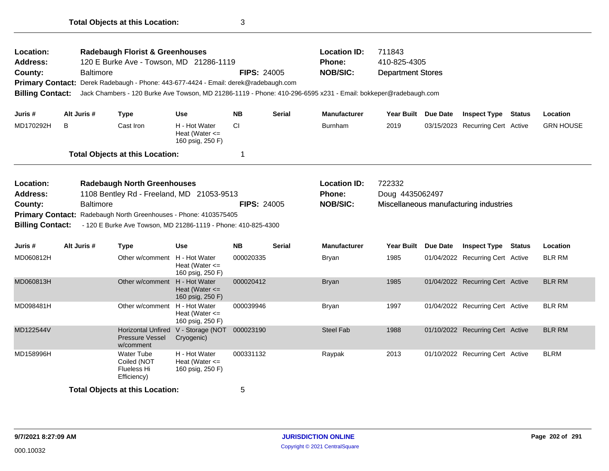| Location:<br><b>Address:</b><br>County:<br><b>Primary Contact:</b><br><b>Billing Contact:</b> | <b>Baltimore</b> | <b>Radebaugh Florist &amp; Greenhouses</b><br>120 E Burke Ave - Towson, MD 21286-1119<br>Derek Radebaugh - Phone: 443-677-4424 - Email: derek@radebaugh.com                                         |                                                         | <b>FIPS: 24005</b> |               | <b>Location ID:</b><br>Phone:<br><b>NOB/SIC:</b> | 711843<br>410-825-4305<br><b>Department Stores</b><br>Jack Chambers - 120 Burke Ave Towson, MD 21286-1119 - Phone: 410-296-6595 x231 - Email: bokkeper@radebaugh.com |                 |                                        |                  |
|-----------------------------------------------------------------------------------------------|------------------|-----------------------------------------------------------------------------------------------------------------------------------------------------------------------------------------------------|---------------------------------------------------------|--------------------|---------------|--------------------------------------------------|----------------------------------------------------------------------------------------------------------------------------------------------------------------------|-----------------|----------------------------------------|------------------|
| Juris #                                                                                       | Alt Juris #      | <b>Type</b>                                                                                                                                                                                         | Use                                                     | NB.                | <b>Serial</b> | <b>Manufacturer</b>                              | <b>Year Built</b>                                                                                                                                                    | <b>Due Date</b> | <b>Inspect Type Status</b>             | Location         |
| MD170292H                                                                                     | B                | Cast Iron                                                                                                                                                                                           | H - Hot Water<br>Heat (Water $\leq$<br>160 psig, 250 F) | <b>CI</b>          |               | <b>Burnham</b>                                   | 2019                                                                                                                                                                 |                 | 03/15/2023 Recurring Cert Active       | <b>GRN HOUSE</b> |
|                                                                                               |                  | <b>Total Objects at this Location:</b>                                                                                                                                                              |                                                         | -1                 |               |                                                  |                                                                                                                                                                      |                 |                                        |                  |
| Location:<br><b>Address:</b><br>County:<br><b>Primary Contact:</b><br><b>Billing Contact:</b> | <b>Baltimore</b> | <b>Radebaugh North Greenhouses</b><br>1108 Bentley Rd - Freeland, MD 21053-9513<br>Radebaugh North Greenhouses - Phone: 4103575405<br>- 120 E Burke Ave Towson, MD 21286-1119 - Phone: 410-825-4300 |                                                         | <b>FIPS: 24005</b> |               | <b>Location ID:</b><br>Phone:<br><b>NOB/SIC:</b> | 722332<br>Doug 4435062497                                                                                                                                            |                 | Miscellaneous manufacturing industries |                  |
| Juris #                                                                                       | Alt Juris #      | <b>Type</b>                                                                                                                                                                                         | <b>Use</b>                                              | <b>NB</b>          | <b>Serial</b> | <b>Manufacturer</b>                              | <b>Year Built</b>                                                                                                                                                    | Due Date        | <b>Inspect Type Status</b>             | Location         |
| MD060812H                                                                                     |                  | Other w/comment H - Hot Water                                                                                                                                                                       | Heat (Water $\leq$<br>160 psig, 250 F)                  | 000020335          |               | <b>Bryan</b>                                     | 1985                                                                                                                                                                 |                 | 01/04/2022 Recurring Cert Active       | <b>BLR RM</b>    |
| MD060813H                                                                                     |                  | Other w/comment H - Hot Water                                                                                                                                                                       | Heat (Water $\leq$<br>160 psig, 250 F)                  | 000020412          |               | <b>Bryan</b>                                     | 1985                                                                                                                                                                 |                 | 01/04/2022 Recurring Cert Active       | <b>BLR RM</b>    |
| MD098481H                                                                                     |                  | Other w/comment                                                                                                                                                                                     | H - Hot Water<br>Heat (Water $\leq$<br>160 psig, 250 F) | 000039946          |               | <b>Bryan</b>                                     | 1997                                                                                                                                                                 |                 | 01/04/2022 Recurring Cert Active       | <b>BLR RM</b>    |
| MD122544V                                                                                     |                  | <b>Pressure Vessel</b><br>w/comment                                                                                                                                                                 | Horizontal Unfired V - Storage (NOT<br>Cryogenic)       | 000023190          |               | <b>Steel Fab</b>                                 | 1988                                                                                                                                                                 |                 | 01/10/2022 Recurring Cert Active       | <b>BLR RM</b>    |
| MD158996H                                                                                     |                  | <b>Water Tube</b><br>Coiled (NOT<br>Flueless Hi<br>Efficiency)                                                                                                                                      | H - Hot Water<br>Heat (Water $\leq$<br>160 psig, 250 F) | 000331132          |               | Raypak                                           | 2013                                                                                                                                                                 |                 | 01/10/2022 Recurring Cert Active       | <b>BLRM</b>      |
|                                                                                               |                  | <b>Total Objects at this Location:</b>                                                                                                                                                              |                                                         | 5                  |               |                                                  |                                                                                                                                                                      |                 |                                        |                  |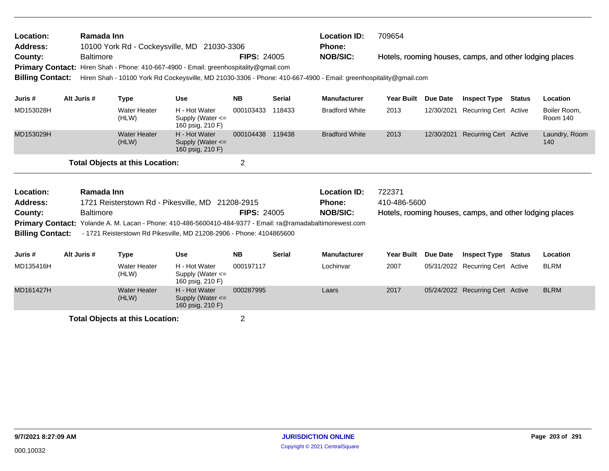| Location:<br><b>Address:</b><br>County:<br><b>Billing Contact:</b> | Ramada Inn<br><b>Baltimore</b> |                                        | 10100 York Rd - Cockeysville, MD 21030-3306<br>Primary Contact: Hiren Shah - Phone: 410-667-4900 - Email: greenhospitality@gmail.com | <b>FIPS: 24005</b> |               | <b>Location ID:</b><br>Phone:<br><b>NOB/SIC:</b><br>Hiren Shah - 10100 York Rd Cockeysville, MD 21030-3306 - Phone: 410-667-4900 - Email: greenhospitality@gmail.com | 709654<br>Hotels, rooming houses, camps, and other lodging places |            |                                                         |        |                          |
|--------------------------------------------------------------------|--------------------------------|----------------------------------------|--------------------------------------------------------------------------------------------------------------------------------------|--------------------|---------------|----------------------------------------------------------------------------------------------------------------------------------------------------------------------|-------------------------------------------------------------------|------------|---------------------------------------------------------|--------|--------------------------|
| Juris #                                                            | Alt Juris #                    | <b>Type</b>                            | <b>Use</b>                                                                                                                           | <b>NB</b>          | <b>Serial</b> | <b>Manufacturer</b>                                                                                                                                                  | <b>Year Built</b>                                                 | Due Date   | <b>Inspect Type</b>                                     | Status | Location                 |
| MD153028H                                                          |                                | <b>Water Heater</b><br>(HLW)           | H - Hot Water<br>Supply (Water <=<br>160 psig, 210 F)                                                                                | 000103433          | 118433        | <b>Bradford White</b>                                                                                                                                                | 2013                                                              | 12/30/2021 | <b>Recurring Cert Active</b>                            |        | Boiler Room,<br>Room 140 |
| MD153029H                                                          |                                | <b>Water Heater</b><br>(HLW)           | H - Hot Water<br>Supply (Water $\leq$<br>160 psig, 210 F)                                                                            | 000104438          | 119438        | <b>Bradford White</b>                                                                                                                                                | 2013                                                              | 12/30/2021 | <b>Recurring Cert Active</b>                            |        | Laundry, Room<br>140     |
|                                                                    |                                | <b>Total Objects at this Location:</b> |                                                                                                                                      | $\overline{2}$     |               |                                                                                                                                                                      |                                                                   |            |                                                         |        |                          |
| Location:                                                          | Ramada Inn                     |                                        |                                                                                                                                      |                    |               | <b>Location ID:</b>                                                                                                                                                  | 722371                                                            |            |                                                         |        |                          |
| <b>Address:</b>                                                    |                                |                                        | 1721 Reisterstown Rd - Pikesville, MD 21208-2915                                                                                     |                    |               | <b>Phone:</b>                                                                                                                                                        | 410-486-5600                                                      |            |                                                         |        |                          |
| County:                                                            | <b>Baltimore</b>               |                                        |                                                                                                                                      | <b>FIPS: 24005</b> |               | <b>NOB/SIC:</b>                                                                                                                                                      |                                                                   |            | Hotels, rooming houses, camps, and other lodging places |        |                          |
|                                                                    |                                |                                        | Primary Contact: Yolande A. M. Lacan - Phone: 410-486-5600410-484-9377 - Email: ra@ramadabaltimorewest.com                           |                    |               |                                                                                                                                                                      |                                                                   |            |                                                         |        |                          |
| <b>Billing Contact:</b>                                            |                                |                                        | - 1721 Reisterstown Rd Pikesville, MD 21208-2906 - Phone: 4104865600                                                                 |                    |               |                                                                                                                                                                      |                                                                   |            |                                                         |        |                          |
| Juris #                                                            | Alt Juris #                    | <b>Type</b>                            | Use                                                                                                                                  | <b>NB</b>          | <b>Serial</b> | <b>Manufacturer</b>                                                                                                                                                  | <b>Year Built</b>                                                 | Due Date   | <b>Inspect Type</b>                                     | Status | Location                 |
| MD135416H                                                          |                                | <b>Water Heater</b><br>(HLW)           | H - Hot Water<br>Supply (Water $\leq$                                                                                                | 000197117          |               | Lochinvar                                                                                                                                                            | 2007                                                              | 05/31/2022 | <b>Recurring Cert Active</b>                            |        | <b>BLRM</b>              |

|           | $\cdots$                     | 160 psig, 210 F)                                          |           |       |      |                                  |             |
|-----------|------------------------------|-----------------------------------------------------------|-----------|-------|------|----------------------------------|-------------|
| MD161427H | <b>Water Heater</b><br>(HLW) | H - Hot Water<br>Supply (Water $\leq$<br>160 psig, 210 F) | 000287995 | Laars | 2017 | 05/24/2022 Recurring Cert Active | <b>BLRM</b> |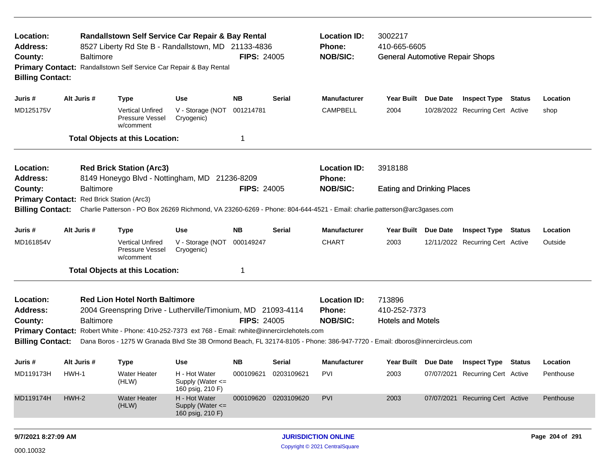| Location:<br><b>Address:</b><br>County:<br><b>Billing Contact:</b>                                                                                                                                                                                                                                                                                                                                                                                 |       | <b>Baltimore</b> |                                                         | Randallstown Self Service Car Repair & Bay Rental<br>8527 Liberty Rd Ste B - Randallstown, MD 21133-4836<br>Primary Contact: Randallstown Self Service Car Repair & Bay Rental | <b>FIPS: 24005</b> |                                                         | <b>Location ID:</b><br>Phone:<br><b>NOB/SIC:</b>   | 3002217<br>410-665-6605<br><b>General Automotive Repair Shops</b> |            |                                  |        |           |
|----------------------------------------------------------------------------------------------------------------------------------------------------------------------------------------------------------------------------------------------------------------------------------------------------------------------------------------------------------------------------------------------------------------------------------------------------|-------|------------------|---------------------------------------------------------|--------------------------------------------------------------------------------------------------------------------------------------------------------------------------------|--------------------|---------------------------------------------------------|----------------------------------------------------|-------------------------------------------------------------------|------------|----------------------------------|--------|-----------|
| Juris #                                                                                                                                                                                                                                                                                                                                                                                                                                            |       | Alt Juris #      | <b>Type</b>                                             | <b>Use</b>                                                                                                                                                                     | <b>NB</b>          | <b>Serial</b>                                           | <b>Manufacturer</b>                                | Year Built Due Date                                               |            | <b>Inspect Type Status</b>       |        | Location  |
| MD125175V                                                                                                                                                                                                                                                                                                                                                                                                                                          |       |                  | <b>Vertical Unfired</b><br>Pressure Vessel<br>w/comment | V - Storage (NOT<br>Cryogenic)                                                                                                                                                 | 001214781          |                                                         | <b>CAMPBELL</b>                                    | 2004                                                              |            | 10/28/2022 Recurring Cert Active |        | shop      |
|                                                                                                                                                                                                                                                                                                                                                                                                                                                    |       |                  | <b>Total Objects at this Location:</b>                  |                                                                                                                                                                                | $\overline{1}$     |                                                         |                                                    |                                                                   |            |                                  |        |           |
| <b>Location:</b><br><b>Address:</b>                                                                                                                                                                                                                                                                                                                                                                                                                |       |                  | <b>Red Brick Station (Arc3)</b>                         | 8149 Honeygo Blvd - Nottingham, MD 21236-8209                                                                                                                                  |                    |                                                         | <b>Location ID:</b><br><b>Phone:</b>               | 3918188                                                           |            |                                  |        |           |
| <b>Baltimore</b><br><b>FIPS: 24005</b><br>County:                                                                                                                                                                                                                                                                                                                                                                                                  |       |                  |                                                         |                                                                                                                                                                                |                    | <b>NOB/SIC:</b>                                         | Eating and Drinking Places                         |                                                                   |            |                                  |        |           |
| Primary Contact: Red Brick Station (Arc3)                                                                                                                                                                                                                                                                                                                                                                                                          |       |                  |                                                         |                                                                                                                                                                                |                    |                                                         |                                                    |                                                                   |            |                                  |        |           |
| <b>Billing Contact:</b>                                                                                                                                                                                                                                                                                                                                                                                                                            |       |                  |                                                         | Charlie Patterson - PO Box 26269 Richmond, VA 23260-6269 - Phone: 804-644-4521 - Email: charlie.patterson@arc3gases.com                                                        |                    |                                                         |                                                    |                                                                   |            |                                  |        |           |
| Juris#                                                                                                                                                                                                                                                                                                                                                                                                                                             |       | Alt Juris #      | Type                                                    | <b>Use</b>                                                                                                                                                                     | <b>NB</b>          | <b>Serial</b>                                           | <b>Manufacturer</b>                                | Year Built Due Date                                               |            | <b>Inspect Type</b>              | Status | Location  |
| MD161854V                                                                                                                                                                                                                                                                                                                                                                                                                                          |       |                  | <b>Vertical Unfired</b><br>Pressure Vessel<br>w/comment | V - Storage (NOT<br>Cryogenic)                                                                                                                                                 | 000149247          |                                                         | <b>CHART</b>                                       | 2003                                                              |            | 12/11/2022 Recurring Cert Active |        | Outside   |
|                                                                                                                                                                                                                                                                                                                                                                                                                                                    |       |                  | <b>Total Objects at this Location:</b>                  |                                                                                                                                                                                | $\mathbf 1$        |                                                         |                                                    |                                                                   |            |                                  |        |           |
| Location:<br><b>Red Lion Hotel North Baltimore</b><br>Address:<br>2004 Greenspring Drive - Lutherville/Timonium, MD 21093-4114<br><b>Baltimore</b><br><b>FIPS: 24005</b><br>County:<br>Primary Contact: Robert White - Phone: 410-252-7373 ext 768 - Email: rwhite@innercirclehotels.com<br>Dana Boros - 1275 W Granada Blvd Ste 3B Ormond Beach, FL 32174-8105 - Phone: 386-947-7720 - Email: dboros@innercircleus.com<br><b>Billing Contact:</b> |       |                  |                                                         |                                                                                                                                                                                |                    | <b>Location ID:</b><br><b>Phone:</b><br><b>NOB/SIC:</b> | 713896<br>410-252-7373<br><b>Hotels and Motels</b> |                                                                   |            |                                  |        |           |
| Juris #                                                                                                                                                                                                                                                                                                                                                                                                                                            |       | Alt Juris #      | Type                                                    | <b>Use</b>                                                                                                                                                                     | <b>NB</b>          | <b>Serial</b>                                           | <b>Manufacturer</b>                                | Year Built Due Date                                               |            | <b>Inspect Type</b>              | Status | Location  |
| MD119173H                                                                                                                                                                                                                                                                                                                                                                                                                                          | HWH-1 |                  | Water Heater<br>(HLW)                                   | H - Hot Water<br>Supply (Water <=<br>160 psig, 210 F)                                                                                                                          | 000109621          | 0203109621                                              | <b>PVI</b>                                         | 2003                                                              | 07/07/2021 | <b>Recurring Cert Active</b>     |        | Penthouse |
| MD119174H                                                                                                                                                                                                                                                                                                                                                                                                                                          | HWH-2 |                  | <b>Water Heater</b><br>(HLW)                            | H - Hot Water<br>Supply (Water <=<br>160 psig, 210 F)                                                                                                                          |                    | 000109620 0203109620                                    | PVI                                                | 2003                                                              |            | 07/07/2021 Recurring Cert Active |        | Penthouse |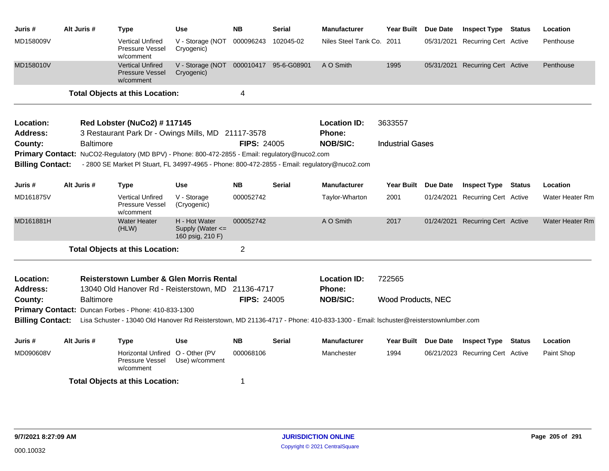| Juris #                      | Alt Juris #      | Type                                                                                                                             | <b>Use</b>                                            | <b>NB</b>          | <b>Serial</b>         | <b>Manufacturer</b>           |                           | Year Built Due Date | <b>Inspect Type Status</b>       |               | Location               |
|------------------------------|------------------|----------------------------------------------------------------------------------------------------------------------------------|-------------------------------------------------------|--------------------|-----------------------|-------------------------------|---------------------------|---------------------|----------------------------------|---------------|------------------------|
| MD158009V                    |                  | <b>Vertical Unfired</b><br>Pressure Vessel<br>w/comment                                                                          | V - Storage (NOT<br>Cryogenic)                        | 000096243          | 102045-02             | Niles Steel Tank Co. 2011     |                           |                     | 05/31/2021 Recurring Cert Active |               | Penthouse              |
| MD158010V                    |                  | <b>Vertical Unfired</b><br><b>Pressure Vessel</b><br>w/comment                                                                   | V - Storage (NOT<br>Cryogenic)                        |                    | 000010417 95-6-G08901 | A O Smith                     | 1995                      | 05/31/2021          | <b>Recurring Cert Active</b>     |               | Penthouse              |
|                              |                  | <b>Total Objects at this Location:</b>                                                                                           |                                                       | 4                  |                       |                               |                           |                     |                                  |               |                        |
| Location:<br><b>Address:</b> |                  | Red Lobster (NuCo2) #117145<br>3 Restaurant Park Dr - Owings Mills, MD 21117-3578                                                |                                                       |                    |                       | <b>Location ID:</b><br>Phone: | 3633557                   |                     |                                  |               |                        |
| County:                      | <b>Baltimore</b> |                                                                                                                                  |                                                       | <b>FIPS: 24005</b> |                       | <b>NOB/SIC:</b>               | <b>Industrial Gases</b>   |                     |                                  |               |                        |
|                              |                  | Primary Contact: NuCO2-Regulatory (MD BPV) - Phone: 800-472-2855 - Email: regulatory@nuco2.com                                   |                                                       |                    |                       |                               |                           |                     |                                  |               |                        |
| <b>Billing Contact:</b>      |                  | - 2800 SE Market PI Stuart, FL 34997-4965 - Phone: 800-472-2855 - Email: regulatory@nuco2.com                                    |                                                       |                    |                       |                               |                           |                     |                                  |               |                        |
| Juris #                      | Alt Juris #      | <b>Type</b>                                                                                                                      | <b>Use</b>                                            | <b>NB</b>          | <b>Serial</b>         | <b>Manufacturer</b>           | <b>Year Built</b>         | Due Date            | <b>Inspect Type</b>              | Status        | Location               |
| MD161875V                    |                  | <b>Vertical Unfired</b><br><b>Pressure Vessel</b><br>w/comment                                                                   | V - Storage<br>(Cryogenic)                            | 000052742          |                       | Taylor-Wharton                | 2001                      |                     | 01/24/2021 Recurring Cert Active |               | <b>Water Heater Rm</b> |
| MD161881H                    |                  | <b>Water Heater</b><br>(HLW)                                                                                                     | H - Hot Water<br>Supply (Water <=<br>160 psig, 210 F) | 000052742          |                       | A O Smith                     | 2017                      |                     | 01/24/2021 Recurring Cert Active |               | <b>Water Heater Rm</b> |
|                              |                  | <b>Total Objects at this Location:</b>                                                                                           |                                                       | $\overline{2}$     |                       |                               |                           |                     |                                  |               |                        |
| Location:                    |                  | <b>Reisterstown Lumber &amp; Glen Morris Rental</b>                                                                              |                                                       |                    |                       | <b>Location ID:</b>           | 722565                    |                     |                                  |               |                        |
| <b>Address:</b>              |                  | 13040 Old Hanover Rd - Reisterstown, MD 21136-4717                                                                               |                                                       |                    |                       | Phone:                        |                           |                     |                                  |               |                        |
| County:                      | <b>Baltimore</b> |                                                                                                                                  |                                                       | <b>FIPS: 24005</b> |                       | <b>NOB/SIC:</b>               | <b>Wood Products, NEC</b> |                     |                                  |               |                        |
|                              |                  | Primary Contact: Duncan Forbes - Phone: 410-833-1300                                                                             |                                                       |                    |                       |                               |                           |                     |                                  |               |                        |
| <b>Billing Contact:</b>      |                  | Lisa Schuster - 13040 Old Hanover Rd Reisterstown, MD 21136-4717 - Phone: 410-833-1300 - Email: Ischuster@reisterstownlumber.com |                                                       |                    |                       |                               |                           |                     |                                  |               |                        |
| Juris #                      | Alt Juris #      | <b>Type</b>                                                                                                                      | <b>Use</b>                                            | <b>NB</b>          | <b>Serial</b>         | <b>Manufacturer</b>           | <b>Year Built</b>         | Due Date            | <b>Inspect Type</b>              | <b>Status</b> | Location               |
| MD090608V                    |                  | Horizontal Unfired O - Other (PV<br>Pressure Vessel<br>w/comment                                                                 | Use) w/comment                                        | 000068106          |                       | Manchester                    | 1994                      |                     | 06/21/2023 Recurring Cert Active |               | Paint Shop             |
|                              |                  | <b>Total Objects at this Location:</b>                                                                                           |                                                       | 1                  |                       |                               |                           |                     |                                  |               |                        |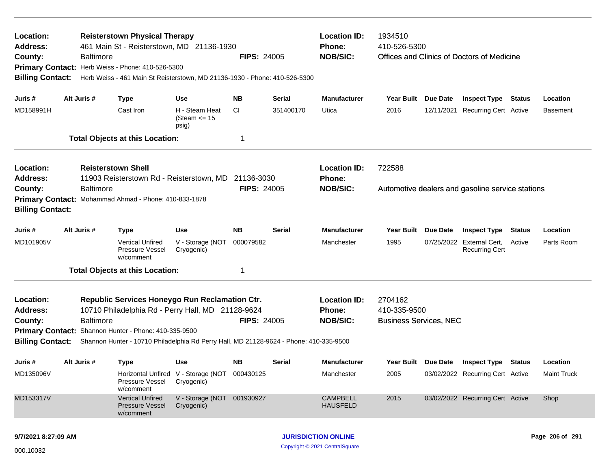| Location:<br><b>Address:</b><br>County:<br><b>Billing Contact:</b>                                                             |  | <b>Baltimore</b> | <b>Reisterstown Physical Therapy</b><br>461 Main St - Reisterstown, MD 21136-1930<br>Primary Contact: Herb Weiss - Phone: 410-526-5300<br>Herb Weiss - 461 Main St Reisterstown, MD 21136-1930 - Phone: 410-526-5300                                   |                                            | <b>FIPS: 24005</b> |               | <b>Location ID:</b><br>Phone:<br><b>NOB/SIC:</b> | 1934510<br>410-526-5300                                  | Offices and Clinics of Doctors of Medicine         |        |                    |
|--------------------------------------------------------------------------------------------------------------------------------|--|------------------|--------------------------------------------------------------------------------------------------------------------------------------------------------------------------------------------------------------------------------------------------------|--------------------------------------------|--------------------|---------------|--------------------------------------------------|----------------------------------------------------------|----------------------------------------------------|--------|--------------------|
| Juris #                                                                                                                        |  | Alt Juris #      | <b>Type</b>                                                                                                                                                                                                                                            | Use                                        | <b>NB</b>          | <b>Serial</b> | <b>Manufacturer</b>                              | Year Built Due Date                                      | <b>Inspect Type Status</b>                         |        | Location           |
| MD158991H                                                                                                                      |  |                  | Cast Iron                                                                                                                                                                                                                                              | H - Steam Heat<br>(Steam $\le$ 15<br>psig) | CI.                | 351400170     | Utica                                            | 2016                                                     | 12/11/2021 Recurring Cert Active                   |        | <b>Basement</b>    |
|                                                                                                                                |  |                  | <b>Total Objects at this Location:</b>                                                                                                                                                                                                                 |                                            | 1                  |               |                                                  |                                                          |                                                    |        |                    |
| Location:<br><b>Address:</b>                                                                                                   |  |                  | <b>Reisterstown Shell</b><br>11903 Reisterstown Rd - Reisterstown, MD 21136-3030                                                                                                                                                                       |                                            |                    |               | <b>Location ID:</b><br><b>Phone:</b>             | 722588                                                   |                                                    |        |                    |
| County:<br><b>Baltimore</b><br>Primary Contact: Mohammad Ahmad - Phone: 410-833-1878<br><b>Billing Contact:</b><br>Alt Juris # |  |                  |                                                                                                                                                                                                                                                        |                                            | <b>FIPS: 24005</b> |               | <b>NOB/SIC:</b>                                  |                                                          | Automotive dealers and gasoline service stations   |        |                    |
| Juris #                                                                                                                        |  |                  | <b>Type</b>                                                                                                                                                                                                                                            | <b>Use</b>                                 | <b>NB</b>          | <b>Serial</b> | <b>Manufacturer</b>                              | Year Built Due Date                                      | <b>Inspect Type</b>                                | Status | Location           |
| MD101905V                                                                                                                      |  |                  | <b>Vertical Unfired</b><br>Pressure Vessel<br>w/comment                                                                                                                                                                                                | V - Storage (NOT<br>Cryogenic)             | 000079582          |               | Manchester                                       | 1995                                                     | 07/25/2022 External Cert,<br><b>Recurring Cert</b> | Active | Parts Room         |
|                                                                                                                                |  |                  | <b>Total Objects at this Location:</b>                                                                                                                                                                                                                 |                                            | 1                  |               |                                                  |                                                          |                                                    |        |                    |
| Location:<br><b>Address:</b><br>County:<br><b>Billing Contact:</b>                                                             |  | <b>Baltimore</b> | Republic Services Honeygo Run Reclamation Ctr.<br>10710 Philadelphia Rd - Perry Hall, MD 21128-9624<br>Primary Contact: Shannon Hunter - Phone: 410-335-9500<br>Shannon Hunter - 10710 Philadelphia Rd Perry Hall, MD 21128-9624 - Phone: 410-335-9500 |                                            | <b>FIPS: 24005</b> |               | <b>Location ID:</b><br>Phone:<br><b>NOB/SIC:</b> | 2704162<br>410-335-9500<br><b>Business Services, NEC</b> |                                                    |        |                    |
| Juris #                                                                                                                        |  | Alt Juris #      | <b>Type</b>                                                                                                                                                                                                                                            | <b>Use</b>                                 | <b>NB</b>          | <b>Serial</b> | <b>Manufacturer</b>                              | Year Built Due Date                                      | <b>Inspect Type Status</b>                         |        | Location           |
| MD135096V                                                                                                                      |  |                  | Horizontal Unfired<br>Pressure Vessel<br>w/comment                                                                                                                                                                                                     | V - Storage (NOT<br>Cryogenic)             | 000430125          |               | Manchester                                       | 2005                                                     | 03/02/2022 Recurring Cert Active                   |        | <b>Maint Truck</b> |
| MD153317V                                                                                                                      |  |                  | <b>Vertical Unfired</b><br><b>Pressure Vessel</b><br>w/comment                                                                                                                                                                                         | V - Storage (NOT 001930927<br>Cryogenic)   |                    |               | <b>CAMPBELL</b><br><b>HAUSFELD</b>               | 2015                                                     | 03/02/2022 Recurring Cert Active                   |        | Shop               |
|                                                                                                                                |  |                  |                                                                                                                                                                                                                                                        |                                            |                    |               |                                                  |                                                          |                                                    |        |                    |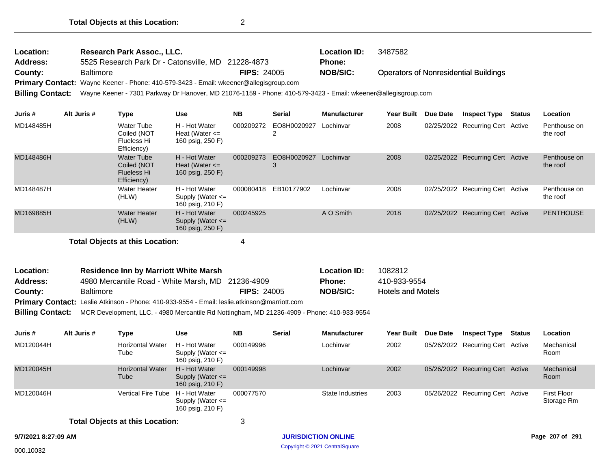| Location:               | Research Park Assoc., LLC.                                                                                    |                    | <b>Location ID:</b> | 3487582                                      |  |  |  |  |  |  |
|-------------------------|---------------------------------------------------------------------------------------------------------------|--------------------|---------------------|----------------------------------------------|--|--|--|--|--|--|
| <b>Address:</b>         | 5525 Research Park Dr - Catonsville, MD 21228-4873                                                            |                    | Phone:              |                                              |  |  |  |  |  |  |
| County:                 | <b>Baltimore</b>                                                                                              | <b>FIPS: 24005</b> | <b>NOB/SIC:</b>     | <b>Operators of Nonresidential Buildings</b> |  |  |  |  |  |  |
|                         | Primary Contact: Wayne Keener - Phone: 410-579-3423 - Email: wkeener@allegisgroup.com                         |                    |                     |                                              |  |  |  |  |  |  |
| <b>Billing Contact:</b> | Wayne Keener - 7301 Parkway Dr Hanover, MD 21076-1159 - Phone: 410-579-3423 - Email: wkeener@allegisgroup.com |                    |                     |                                              |  |  |  |  |  |  |

| Juris #   | Alt Juris # | Type                                                                  | Use                                                       | <b>NB</b> | <b>Serial</b> | <b>Manufacturer</b> | Year Built | <b>Due Date</b> | <b>Inspect Type</b>              | Status | <b>Location</b>          |
|-----------|-------------|-----------------------------------------------------------------------|-----------------------------------------------------------|-----------|---------------|---------------------|------------|-----------------|----------------------------------|--------|--------------------------|
| MD148485H |             | Water Tube<br>Coiled (NOT<br>Flueless Hi<br>Efficiency)               | H - Hot Water<br>Heat (Water $\leq$<br>160 psig, 250 F)   | 000209272 | EO8H0020927   | Lochinvar           | 2008       |                 | 02/25/2022 Recurring Cert Active |        | Penthouse on<br>the roof |
| MD148486H |             | <b>Water Tube</b><br>Coiled (NOT<br><b>Flueless Hi</b><br>Efficiency) | H - Hot Water<br>Heat (Water $\leq$<br>160 psig, 250 F)   | 000209273 | EO8H0020927   | Lochinvar           | 2008       |                 | 02/25/2022 Recurring Cert Active |        | Penthouse on<br>the roof |
| MD148487H |             | Water Heater<br>(HLW)                                                 | H - Hot Water<br>Supply (Water $\leq$<br>160 psig, 210 F) | 000080418 | EB10177902    | Lochinvar           | 2008       |                 | 02/25/2022 Recurring Cert Active |        | Penthouse on<br>the roof |
| MD169885H |             | <b>Water Heater</b><br>(HLW)                                          | H - Hot Water<br>Supply (Water $\leq$<br>160 psig, 250 F) | 000245925 |               | A O Smith           | 2018       |                 | 02/25/2022 Recurring Cert Active |        | <b>PENTHOUSE</b>         |
|           |             | Total Obiects at this Location:                                       |                                                           | 4         |               |                     |            |                 |                                  |        |                          |

| <b>Location:</b> | <b>Residence Inn by Marriott White Marsh</b>                                                                 |                    | <b>Location ID:</b> | 1082812                  |
|------------------|--------------------------------------------------------------------------------------------------------------|--------------------|---------------------|--------------------------|
| <b>Address:</b>  | 4980 Mercantile Road - White Marsh, MD 21236-4909                                                            |                    | Phone:              | 410-933-9554             |
| County:          | <b>Baltimore</b>                                                                                             | <b>FIPS: 24005</b> | NOB/SIC:            | <b>Hotels and Motels</b> |
|                  | Primary Contact: Leslie Atkinson - Phone: 410-933-9554 - Email: leslie.atkinson@marriott.com                 |                    |                     |                          |
|                  | <b>Dillian Operante</b> MOD Development LLO MOD Messarily Del Nattigalizar MD 04000 4000 Dhages 440,000 OEE4 |                    |                     |                          |

**Billing Contact:** MCR Development, LLC. - 4980 Mercantile Rd Nottingham, MD 21236-4909 - Phone: 410-933-9554

| Juris #   | Alt Juris # | Type                                   | Use                                                       | <b>NB</b> | <b>Serial</b> | <b>Manufacturer</b> | <b>Year Built</b> | Due Date | <b>Inspect Type</b>              | <b>Status</b> | <b>Location</b>                  |
|-----------|-------------|----------------------------------------|-----------------------------------------------------------|-----------|---------------|---------------------|-------------------|----------|----------------------------------|---------------|----------------------------------|
| MD120044H |             | <b>Horizontal Water</b><br>Tube        | H - Hot Water<br>Supply (Water $\leq$<br>160 psig, 210 F) | 000149996 |               | Lochinvar           | 2002              |          | 05/26/2022 Recurring Cert Active |               | Mechanical<br>Room               |
| MD120045H |             | <b>Horizontal Water</b><br>Tube        | H - Hot Water<br>Supply (Water $\leq$<br>160 psig, 210 F) | 000149998 |               | Lochinvar           | 2002              |          | 05/26/2022 Recurring Cert Active |               | Mechanical<br>Room               |
| MD120046H |             | Vertical Fire Tube                     | H - Hot Water<br>Supply (Water $\leq$<br>160 psig, 210 F) | 000077570 |               | State Industries    | 2003              |          | 05/26/2022 Recurring Cert Active |               | <b>First Floor</b><br>Storage Rm |
|           |             | <b>Total Objects at this Location:</b> |                                                           |           |               |                     |                   |          |                                  |               |                                  |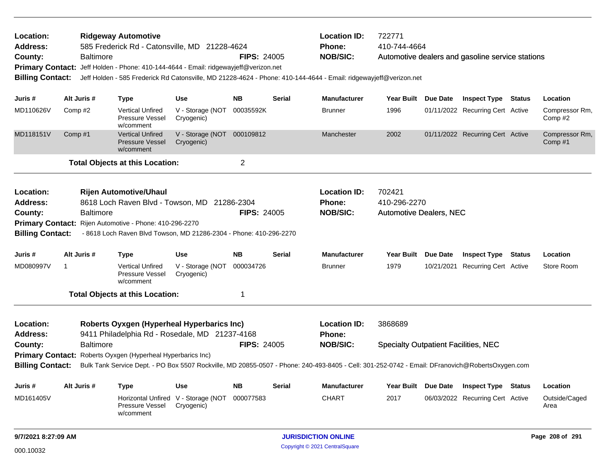| Location:<br><b>Address:</b><br>County:                            |        | <b>Baltimore</b> | <b>Ridgeway Automotive</b><br>585 Frederick Rd - Catonsville, MD 21228-4624                                                                                                                                    |                                                             | <b>FIPS: 24005</b> |               | <b>Location ID:</b><br><b>Phone:</b><br><b>NOB/SIC:</b>                                                                                         | 722771<br>410-744-4664                                 |          | Automotive dealers and gasoline service stations |                          |
|--------------------------------------------------------------------|--------|------------------|----------------------------------------------------------------------------------------------------------------------------------------------------------------------------------------------------------------|-------------------------------------------------------------|--------------------|---------------|-------------------------------------------------------------------------------------------------------------------------------------------------|--------------------------------------------------------|----------|--------------------------------------------------|--------------------------|
| <b>Billing Contact:</b>                                            |        |                  | Primary Contact: Jeff Holden - Phone: 410-144-4644 - Email: ridgewayjeff@verizon.net                                                                                                                           |                                                             |                    |               | Jeff Holden - 585 Frederick Rd Catonsville, MD 21228-4624 - Phone: 410-144-4644 - Email: ridgewayjeff@verizon.net                               |                                                        |          |                                                  |                          |
| Juris #                                                            |        | Alt Juris #      | <b>Type</b>                                                                                                                                                                                                    | <b>Use</b>                                                  | <b>NB</b>          | <b>Serial</b> | <b>Manufacturer</b>                                                                                                                             | <b>Year Built</b>                                      | Due Date | <b>Inspect Type Status</b>                       | Location                 |
| MD110626V                                                          | Comp#2 |                  | <b>Vertical Unfired</b><br>Pressure Vessel<br>w/comment                                                                                                                                                        | V - Storage (NOT<br>Cryogenic)                              | 00035592K          |               | <b>Brunner</b>                                                                                                                                  | 1996                                                   |          | 01/11/2022 Recurring Cert Active                 | Compressor Rm,<br>Comp#2 |
| MD118151V                                                          | Comp#1 |                  | <b>Vertical Unfired</b><br><b>Pressure Vessel</b><br>w/comment                                                                                                                                                 | V - Storage (NOT 000109812<br>Cryogenic)                    |                    |               | Manchester                                                                                                                                      | 2002                                                   |          | 01/11/2022 Recurring Cert Active                 | Compressor Rm,<br>Comp#1 |
|                                                                    |        |                  | <b>Total Objects at this Location:</b>                                                                                                                                                                         |                                                             | 2                  |               |                                                                                                                                                 |                                                        |          |                                                  |                          |
| Location:<br><b>Address:</b><br>County:<br><b>Billing Contact:</b> |        | <b>Baltimore</b> | <b>Rijen Automotive/Uhaul</b><br>8618 Loch Raven Blvd - Towson, MD 21286-2304<br>Primary Contact: Rijen Automotive - Phone: 410-296-2270<br>- 8618 Loch Raven Blvd Towson, MD 21286-2304 - Phone: 410-296-2270 |                                                             | <b>FIPS: 24005</b> |               | <b>Location ID:</b><br>Phone:<br><b>NOB/SIC:</b>                                                                                                | 702421<br>410-296-2270<br>Automotive Dealers, NEC      |          |                                                  |                          |
| Juris #                                                            |        | Alt Juris #      | <b>Type</b>                                                                                                                                                                                                    | <b>Use</b>                                                  | NB.                | Serial        | <b>Manufacturer</b>                                                                                                                             | <b>Year Built</b>                                      | Due Date | <b>Inspect Type Status</b>                       | Location                 |
| MD080997V                                                          |        |                  | <b>Vertical Unfired</b><br>Pressure Vessel<br>w/comment                                                                                                                                                        | V - Storage (NOT<br>Cryogenic)                              | 000034726          |               | <b>Brunner</b>                                                                                                                                  | 1979                                                   |          | 10/21/2021 Recurring Cert Active                 | Store Room               |
|                                                                    |        |                  | <b>Total Objects at this Location:</b>                                                                                                                                                                         |                                                             | 1                  |               |                                                                                                                                                 |                                                        |          |                                                  |                          |
| Location:<br><b>Address:</b><br>County:                            |        | <b>Baltimore</b> | Roberts Oyxgen (Hyperheal Hyperbarics Inc)<br>9411 Philadelphia Rd - Rosedale, MD 21237-4168                                                                                                                   |                                                             | <b>FIPS: 24005</b> |               | <b>Location ID:</b><br><b>Phone:</b><br><b>NOB/SIC:</b>                                                                                         | 3868689<br><b>Specialty Outpatient Facilities, NEC</b> |          |                                                  |                          |
|                                                                    |        |                  | Primary Contact: Roberts Oyxgen (Hyperheal Hyperbarics Inc)                                                                                                                                                    |                                                             |                    |               |                                                                                                                                                 |                                                        |          |                                                  |                          |
| <b>Billing Contact:</b>                                            |        |                  |                                                                                                                                                                                                                |                                                             |                    |               | Bulk Tank Service Dept. - PO Box 5507 Rockville, MD 20855-0507 - Phone: 240-493-8405 - Cell: 301-252-0742 - Email: DFranovich@RobertsOxygen.com |                                                        |          |                                                  |                          |
| Juris #                                                            |        | Alt Juris #      | <b>Type</b>                                                                                                                                                                                                    | <b>Use</b>                                                  | NB.                | Serial        | <b>Manufacturer</b>                                                                                                                             | Year Built Due Date                                    |          | <b>Inspect Type Status</b>                       | Location                 |
| MD161405V                                                          |        |                  | Pressure Vessel<br>w/comment                                                                                                                                                                                   | Horizontal Unfired V - Storage (NOT 000077583<br>Cryogenic) |                    |               | <b>CHART</b>                                                                                                                                    | 2017                                                   |          | 06/03/2022 Recurring Cert Active                 | Outside/Caged<br>Area    |
| 9/7/2021 8:27:09 AM                                                |        |                  |                                                                                                                                                                                                                |                                                             |                    |               | <b>JURISDICTION ONLINE</b>                                                                                                                      |                                                        |          |                                                  | Page 208 of 291          |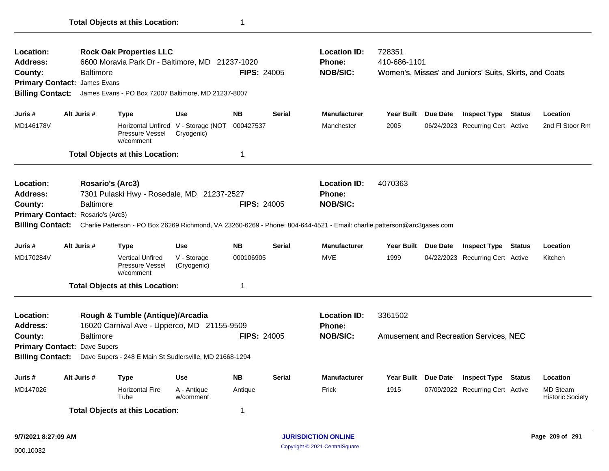| Location:<br>Address:<br>County:<br>Primary Contact: James Evans<br><b>Billing Contact:</b>        | <b>Baltimore</b>              | <b>Rock Oak Properties LLC</b><br>6600 Moravia Park Dr - Baltimore, MD 21237-1020<br>James Evans - PO Box 72007 Baltimore, MD 21237-8007   |                                                             | <b>FIPS: 24005</b> |               | <b>Location ID:</b><br>Phone:<br><b>NOB/SIC:</b>                                                                                                                                   | 728351<br>410-686-1101 |                 | Women's, Misses' and Juniors' Suits, Skirts, and Coats |                                            |
|----------------------------------------------------------------------------------------------------|-------------------------------|--------------------------------------------------------------------------------------------------------------------------------------------|-------------------------------------------------------------|--------------------|---------------|------------------------------------------------------------------------------------------------------------------------------------------------------------------------------------|------------------------|-----------------|--------------------------------------------------------|--------------------------------------------|
| Juris #                                                                                            | Alt Juris #                   | <b>Type</b>                                                                                                                                | <b>Use</b>                                                  | NB                 | <b>Serial</b> | <b>Manufacturer</b>                                                                                                                                                                | Year Built             | Due Date        | <b>Inspect Type Status</b>                             | Location                                   |
| MD146178V                                                                                          |                               | Pressure Vessel<br>w/comment                                                                                                               | Horizontal Unfired V - Storage (NOT 000427537<br>Cryogenic) |                    |               | Manchester                                                                                                                                                                         | 2005                   |                 | 06/24/2023 Recurring Cert Active                       | 2nd FI Stoor Rm                            |
|                                                                                                    |                               | <b>Total Objects at this Location:</b>                                                                                                     |                                                             | 1                  |               |                                                                                                                                                                                    |                        |                 |                                                        |                                            |
| Location:<br>Address:<br>County:<br>Primary Contact: Rosario's (Arc3)<br><b>Billing Contact:</b>   | Rosario's (Arc3)<br>Baltimore | 7301 Pulaski Hwy - Rosedale, MD 21237-2527                                                                                                 |                                                             | <b>FIPS: 24005</b> |               | <b>Location ID:</b><br><b>Phone:</b><br><b>NOB/SIC:</b><br>Charlie Patterson - PO Box 26269 Richmond, VA 23260-6269 - Phone: 804-644-4521 - Email: charlie.patterson@arc3gases.com | 4070363                |                 |                                                        |                                            |
| Juris #                                                                                            | Alt Juris #                   | <b>Type</b>                                                                                                                                | <b>Use</b>                                                  | <b>NB</b>          | <b>Serial</b> | <b>Manufacturer</b>                                                                                                                                                                | Year Built             | Due Date        | <b>Inspect Type Status</b>                             | Location                                   |
| MD170284V                                                                                          |                               | <b>Vertical Unfired</b><br>Pressure Vessel<br>w/comment                                                                                    | V - Storage<br>(Cryogenic)                                  | 000106905          |               | <b>MVE</b>                                                                                                                                                                         | 1999                   |                 | 04/22/2023 Recurring Cert Active                       | Kitchen                                    |
|                                                                                                    |                               | <b>Total Objects at this Location:</b>                                                                                                     |                                                             | 1                  |               |                                                                                                                                                                                    |                        |                 |                                                        |                                            |
| Location:<br>Address:<br>County:<br><b>Primary Contact: Dave Supers</b><br><b>Billing Contact:</b> | <b>Baltimore</b>              | Rough & Tumble (Antique)/Arcadia<br>16020 Carnival Ave - Upperco, MD 21155-9509<br>Dave Supers - 248 E Main St Sudlersville, MD 21668-1294 |                                                             | <b>FIPS: 24005</b> |               | <b>Location ID:</b><br>Phone:<br><b>NOB/SIC:</b>                                                                                                                                   | 3361502                |                 | Amusement and Recreation Services, NEC                 |                                            |
| Juris #                                                                                            | Alt Juris #                   | <b>Type</b>                                                                                                                                | <b>Use</b>                                                  | <b>NB</b>          | <b>Serial</b> | <b>Manufacturer</b>                                                                                                                                                                | <b>Year Built</b>      | <b>Due Date</b> | <b>Inspect Type Status</b>                             | Location                                   |
| MD147026                                                                                           |                               | <b>Horizontal Fire</b><br>Tube                                                                                                             | A - Antique<br>w/comment                                    | Antique            |               | Frick                                                                                                                                                                              | 1915                   |                 | 07/09/2022 Recurring Cert Active                       | <b>MD Steam</b><br><b>Historic Society</b> |
|                                                                                                    |                               | <b>Total Objects at this Location:</b>                                                                                                     |                                                             | 1                  |               |                                                                                                                                                                                    |                        |                 |                                                        |                                            |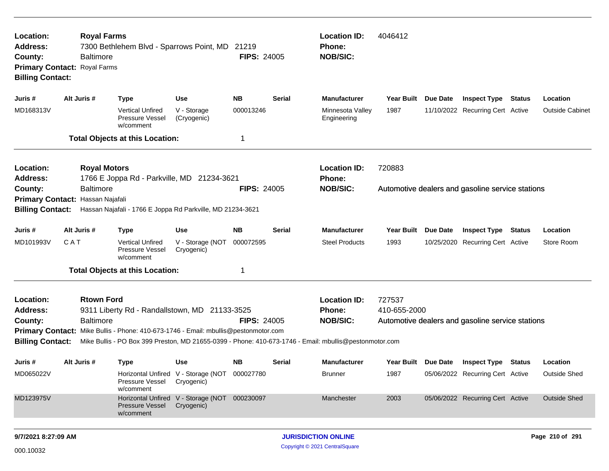| Location:<br>Address:<br>County:<br>Primary Contact: Royal Farms<br><b>Billing Contact:</b> |                                                                                                                           | <b>Royal Farms</b><br><b>Baltimore</b> | 7300 Bethlehem Blvd - Sparrows Point, MD 21219                                                                                       |                                                             | <b>FIPS: 24005</b> |               | <b>Location ID:</b><br><b>Phone:</b><br><b>NOB/SIC:</b>                                                                                                    | 4046412                |                 |                                                  |        |                        |
|---------------------------------------------------------------------------------------------|---------------------------------------------------------------------------------------------------------------------------|----------------------------------------|--------------------------------------------------------------------------------------------------------------------------------------|-------------------------------------------------------------|--------------------|---------------|------------------------------------------------------------------------------------------------------------------------------------------------------------|------------------------|-----------------|--------------------------------------------------|--------|------------------------|
| Juris #                                                                                     |                                                                                                                           | Alt Juris #                            | <b>Type</b>                                                                                                                          | <b>Use</b>                                                  | <b>NB</b>          | Serial        | <b>Manufacturer</b>                                                                                                                                        | <b>Year Built</b>      | Due Date        | <b>Inspect Type</b>                              | Status | Location               |
| MD168313V                                                                                   |                                                                                                                           |                                        | <b>Vertical Unfired</b><br>Pressure Vessel<br>w/comment                                                                              | V - Storage<br>(Cryogenic)                                  | 000013246          |               | Minnesota Valley<br>Engineering                                                                                                                            | 1987                   |                 | 11/10/2022 Recurring Cert Active                 |        | <b>Outside Cabinet</b> |
|                                                                                             |                                                                                                                           |                                        | <b>Total Objects at this Location:</b>                                                                                               |                                                             | $\mathbf 1$        |               |                                                                                                                                                            |                        |                 |                                                  |        |                        |
| Location:<br><b>Address:</b>                                                                |                                                                                                                           | <b>Royal Motors</b>                    | 1766 E Joppa Rd - Parkville, MD 21234-3621                                                                                           |                                                             |                    |               | <b>Location ID:</b><br>Phone:                                                                                                                              | 720883                 |                 |                                                  |        |                        |
| County:                                                                                     |                                                                                                                           | <b>Baltimore</b>                       |                                                                                                                                      |                                                             | <b>FIPS: 24005</b> |               | <b>NOB/SIC:</b>                                                                                                                                            |                        |                 | Automotive dealers and gasoline service stations |        |                        |
|                                                                                             | Primary Contact: Hassan Najafali<br><b>Billing Contact:</b><br>Hassan Najafali - 1766 E Joppa Rd Parkville, MD 21234-3621 |                                        |                                                                                                                                      |                                                             |                    |               |                                                                                                                                                            |                        |                 |                                                  |        |                        |
| Juris #                                                                                     |                                                                                                                           | Alt Juris #                            | Type                                                                                                                                 | <b>Use</b>                                                  | <b>NB</b>          | <b>Serial</b> | <b>Manufacturer</b>                                                                                                                                        | Year Built             | Due Date        | <b>Inspect Type Status</b>                       |        | Location               |
| MD101993V                                                                                   | CAT                                                                                                                       |                                        | <b>Vertical Unfired</b><br>Pressure Vessel<br>w/comment                                                                              | V - Storage (NOT<br>Cryogenic)                              | 000072595          |               | <b>Steel Products</b>                                                                                                                                      | 1993                   |                 | 10/25/2020 Recurring Cert Active                 |        | Store Room             |
|                                                                                             |                                                                                                                           |                                        | <b>Total Objects at this Location:</b>                                                                                               |                                                             | 1                  |               |                                                                                                                                                            |                        |                 |                                                  |        |                        |
| Location:<br>Address:<br>County:<br><b>Billing Contact:</b>                                 |                                                                                                                           | <b>Rtown Ford</b><br><b>Baltimore</b>  | 9311 Liberty Rd - Randallstown, MD 21133-3525<br>Primary Contact: Mike Bullis - Phone: 410-673-1746 - Email: mbullis@pestonmotor.com |                                                             | <b>FIPS: 24005</b> |               | <b>Location ID:</b><br>Phone:<br><b>NOB/SIC:</b><br>Mike Bullis - PO Box 399 Preston, MD 21655-0399 - Phone: 410-673-1746 - Email: mbullis@pestonmotor.com | 727537<br>410-655-2000 |                 | Automotive dealers and gasoline service stations |        |                        |
| Juris #                                                                                     |                                                                                                                           | Alt Juris #                            | <b>Type</b>                                                                                                                          | Use                                                         | <b>NB</b>          | <b>Serial</b> | <b>Manufacturer</b>                                                                                                                                        | <b>Year Built</b>      | <b>Due Date</b> | <b>Inspect Type Status</b>                       |        | Location               |
| MD065022V                                                                                   |                                                                                                                           |                                        | Pressure Vessel<br>w/comment                                                                                                         | Horizontal Unfired V - Storage (NOT<br>Cryogenic)           | 000027780          |               | <b>Brunner</b>                                                                                                                                             | 1987                   |                 | 05/06/2022 Recurring Cert Active                 |        | <b>Outside Shed</b>    |
| MD123975V                                                                                   |                                                                                                                           |                                        | <b>Pressure Vessel</b><br>w/comment                                                                                                  | Horizontal Unfired V - Storage (NOT 000230097<br>Cryogenic) |                    |               | Manchester                                                                                                                                                 | 2003                   |                 | 05/06/2022 Recurring Cert Active                 |        | <b>Outside Shed</b>    |
|                                                                                             |                                                                                                                           |                                        |                                                                                                                                      |                                                             |                    |               |                                                                                                                                                            |                        |                 |                                                  |        |                        |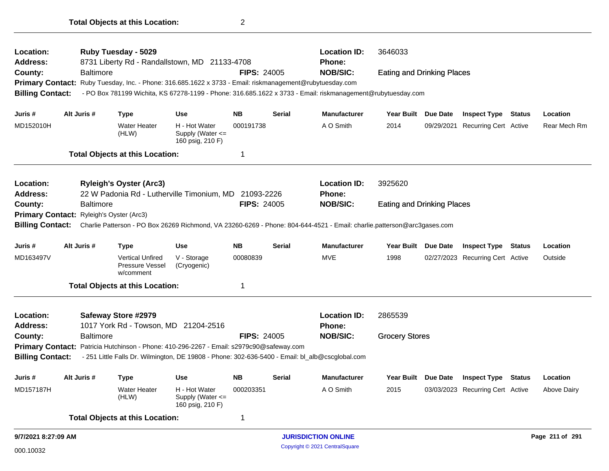| Location:<br><b>Address:</b> |                                                                                                                                                                                             | Ruby Tuesday - 5029<br>8731 Liberty Rd - Randallstown, MD 21133-4708                                        |                                                           |                    |               | <b>Location ID:</b><br><b>Phone:</b> | 3646033                           |                 |                                  |               |                    |
|------------------------------|---------------------------------------------------------------------------------------------------------------------------------------------------------------------------------------------|-------------------------------------------------------------------------------------------------------------|-----------------------------------------------------------|--------------------|---------------|--------------------------------------|-----------------------------------|-----------------|----------------------------------|---------------|--------------------|
| County:                      | <b>Baltimore</b>                                                                                                                                                                            |                                                                                                             |                                                           | <b>FIPS: 24005</b> |               | <b>NOB/SIC:</b>                      | <b>Eating and Drinking Places</b> |                 |                                  |               |                    |
|                              |                                                                                                                                                                                             | Primary Contact: Ruby Tuesday, Inc. - Phone: 316.685.1622 x 3733 - Email: riskmanagement@rubytuesday.com    |                                                           |                    |               |                                      |                                   |                 |                                  |               |                    |
| <b>Billing Contact:</b>      |                                                                                                                                                                                             | - PO Box 781199 Wichita, KS 67278-1199 - Phone: 316.685.1622 x 3733 - Email: riskmanagement@rubytuesday.com |                                                           |                    |               |                                      |                                   |                 |                                  |               |                    |
| Juris #                      | Alt Juris #                                                                                                                                                                                 | <b>Type</b>                                                                                                 | <b>Use</b>                                                | <b>NB</b>          | <b>Serial</b> | <b>Manufacturer</b>                  | Year Built Due Date               |                 | <b>Inspect Type Status</b>       |               | Location           |
| MD152010H                    |                                                                                                                                                                                             | <b>Water Heater</b><br>(HLW)                                                                                | H - Hot Water<br>Supply (Water $\leq$<br>160 psig, 210 F) | 000191738          |               | A O Smith                            | 2014                              |                 | 09/29/2021 Recurring Cert Active |               | Rear Mech Rm       |
|                              |                                                                                                                                                                                             | <b>Total Objects at this Location:</b>                                                                      |                                                           | 1                  |               |                                      |                                   |                 |                                  |               |                    |
| Location:                    |                                                                                                                                                                                             | <b>Ryleigh's Oyster (Arc3)</b>                                                                              |                                                           |                    |               | <b>Location ID:</b>                  | 3925620                           |                 |                                  |               |                    |
| <b>Address:</b>              |                                                                                                                                                                                             | 22 W Padonia Rd - Lutherville Timonium, MD                                                                  |                                                           | 21093-2226         |               | Phone:                               |                                   |                 |                                  |               |                    |
| County:                      | <b>Baltimore</b>                                                                                                                                                                            |                                                                                                             |                                                           | <b>FIPS: 24005</b> |               | <b>NOB/SIC:</b>                      | <b>Eating and Drinking Places</b> |                 |                                  |               |                    |
|                              | Primary Contact: Ryleigh's Oyster (Arc3)<br>Charlie Patterson - PO Box 26269 Richmond, VA 23260-6269 - Phone: 804-644-4521 - Email: charlie.patterson@arc3gases.com                         |                                                                                                             |                                                           |                    |               |                                      |                                   |                 |                                  |               |                    |
| <b>Billing Contact:</b>      |                                                                                                                                                                                             |                                                                                                             |                                                           |                    |               |                                      |                                   |                 |                                  |               |                    |
| Juris #                      | Alt Juris #                                                                                                                                                                                 | Type                                                                                                        | <b>Use</b>                                                | <b>NB</b>          | Serial        | <b>Manufacturer</b>                  | Year Built Due Date               |                 | <b>Inspect Type</b>              | Status        | Location           |
| MD163497V                    |                                                                                                                                                                                             | <b>Vertical Unfired</b><br>Pressure Vessel<br>w/comment                                                     | V - Storage<br>(Cryogenic)                                | 00080839           |               | <b>MVE</b>                           | 1998                              |                 | 02/27/2023 Recurring Cert Active |               | Outside            |
|                              |                                                                                                                                                                                             | <b>Total Objects at this Location:</b>                                                                      |                                                           | 1                  |               |                                      |                                   |                 |                                  |               |                    |
| Location:                    |                                                                                                                                                                                             | Safeway Store #2979                                                                                         |                                                           |                    |               | <b>Location ID:</b>                  | 2865539                           |                 |                                  |               |                    |
| <b>Address:</b>              |                                                                                                                                                                                             | 1017 York Rd - Towson, MD 21204-2516                                                                        |                                                           |                    |               | Phone:                               |                                   |                 |                                  |               |                    |
| County:                      | Baltimore                                                                                                                                                                                   |                                                                                                             |                                                           | <b>FIPS: 24005</b> |               | <b>NOB/SIC:</b>                      | <b>Grocery Stores</b>             |                 |                                  |               |                    |
|                              |                                                                                                                                                                                             |                                                                                                             |                                                           |                    |               |                                      |                                   |                 |                                  |               |                    |
| <b>Billing Contact:</b>      | Primary Contact: Patricia Hutchinson - Phone: 410-296-2267 - Email: s2979c90@safeway.com<br>- 251 Little Falls Dr. Wilmington, DE 19808 - Phone: 302-636-5400 - Email: bl_alb@cscglobal.com |                                                                                                             |                                                           |                    |               |                                      |                                   |                 |                                  |               |                    |
| Juris #                      | Alt Juris #                                                                                                                                                                                 | <b>Type</b>                                                                                                 | <b>Use</b>                                                | <b>NB</b>          | <b>Serial</b> | <b>Manufacturer</b>                  | Year Built                        | <b>Due Date</b> | <b>Inspect Type</b>              | <b>Status</b> | Location           |
| MD157187H                    |                                                                                                                                                                                             | <b>Water Heater</b><br>(HLW)                                                                                | H - Hot Water<br>Supply (Water $\leq$<br>160 psig, 210 F) | 000203351          |               | A O Smith                            | 2015                              |                 | 03/03/2023 Recurring Cert Active |               | <b>Above Dairy</b> |
|                              |                                                                                                                                                                                             | <b>Total Objects at this Location:</b>                                                                      |                                                           | 1                  |               |                                      |                                   |                 |                                  |               |                    |
| 9/7/2021 8:27:09 AM          |                                                                                                                                                                                             |                                                                                                             |                                                           |                    |               | <b>JURISDICTION ONLINE</b>           |                                   |                 |                                  |               | Page 211 of 291    |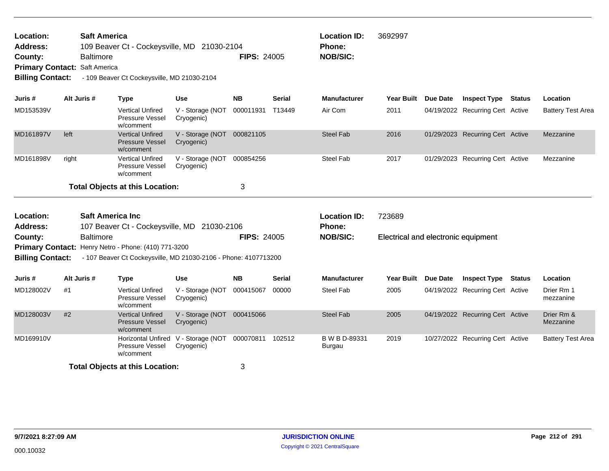| Location:<br><b>Address:</b><br>County:<br>Primary Contact: Saft America<br><b>Billing Contact:</b> |             | <b>Saft America</b><br><b>Baltimore</b> | - 109 Beaver Ct Cockeysville, MD 21030-2104                    | 109 Beaver Ct - Cockeysville, MD 21030-2104                     | <b>FIPS: 24005</b> |               | <b>Location ID:</b><br>Phone:<br><b>NOB/SIC:</b> | 3692997                             |          |                                  |        |                          |
|-----------------------------------------------------------------------------------------------------|-------------|-----------------------------------------|----------------------------------------------------------------|-----------------------------------------------------------------|--------------------|---------------|--------------------------------------------------|-------------------------------------|----------|----------------------------------|--------|--------------------------|
| Juris #                                                                                             | Alt Juris # |                                         | <b>Type</b>                                                    | <b>Use</b>                                                      | NB.                | <b>Serial</b> | <b>Manufacturer</b>                              | <b>Year Built</b>                   | Due Date | <b>Inspect Type Status</b>       |        | Location                 |
| MD153539V                                                                                           |             |                                         | <b>Vertical Unfired</b><br><b>Pressure Vessel</b><br>w/comment | V - Storage (NOT<br>Cryogenic)                                  | 000011931 T13449   |               | Air Com                                          | 2011                                |          | 04/19/2022 Recurring Cert Active |        | <b>Battery Test Area</b> |
| MD161897V                                                                                           | left        |                                         | <b>Vertical Unfired</b><br><b>Pressure Vessel</b><br>w/comment | V - Storage (NOT 000821105<br>Cryogenic)                        |                    |               | <b>Steel Fab</b>                                 | 2016                                |          | 01/29/2023 Recurring Cert Active |        | Mezzanine                |
| MD161898V                                                                                           | right       |                                         | <b>Vertical Unfired</b><br>Pressure Vessel<br>w/comment        | V - Storage (NOT<br>Cryogenic)                                  | 000854256          |               | <b>Steel Fab</b>                                 | 2017                                |          | 01/29/2023 Recurring Cert Active |        | Mezzanine                |
|                                                                                                     |             |                                         | <b>Total Objects at this Location:</b>                         |                                                                 | 3                  |               |                                                  |                                     |          |                                  |        |                          |
| Location:<br>Address:                                                                               |             | <b>Saft America Inc</b>                 |                                                                | 107 Beaver Ct - Cockeysville, MD 21030-2106                     |                    |               | <b>Location ID:</b><br>Phone:                    | 723689                              |          |                                  |        |                          |
| County:                                                                                             |             | <b>Baltimore</b>                        |                                                                |                                                                 | <b>FIPS: 24005</b> |               | <b>NOB/SIC:</b>                                  | Electrical and electronic equipment |          |                                  |        |                          |
| <b>Billing Contact:</b>                                                                             |             |                                         | Primary Contact: Henry Netro - Phone: (410) 771-3200           | - 107 Beaver Ct Cockeysville, MD 21030-2106 - Phone: 4107713200 |                    |               |                                                  |                                     |          |                                  |        |                          |
| Juris #                                                                                             | Alt Juris # |                                         | <b>Type</b>                                                    | Use                                                             | <b>NB</b>          | Serial        | <b>Manufacturer</b>                              | <b>Year Built</b>                   | Due Date | <b>Inspect Type</b>              | Status | Location                 |
| MD128002V                                                                                           | #1          |                                         | <b>Vertical Unfired</b><br>Pressure Vessel<br>w/comment        | V - Storage (NOT<br>Cryogenic)                                  | 000415067          | 00000         | Steel Fab                                        | 2005                                |          | 04/19/2022 Recurring Cert Active |        | Drier Rm 1<br>mezzanine  |
| MD128003V                                                                                           | #2          |                                         | <b>Vertical Unfired</b><br><b>Pressure Vessel</b><br>w/comment | V - Storage (NOT<br>Cryogenic)                                  | 000415066          |               | <b>Steel Fab</b>                                 | 2005                                |          | 04/19/2022 Recurring Cert Active |        | Drier Rm &<br>Mezzanine  |
| MD169910V                                                                                           |             |                                         | Horizontal Unfired<br>Pressure Vessel<br>w/comment             | V - Storage (NOT<br>Cryogenic)                                  | 000070811 102512   |               | B W B D-89331<br><b>Burgau</b>                   | 2019                                |          | 10/27/2022 Recurring Cert Active |        | <b>Battery Test Area</b> |
|                                                                                                     |             |                                         | <b>Total Objects at this Location:</b>                         |                                                                 | 3                  |               |                                                  |                                     |          |                                  |        |                          |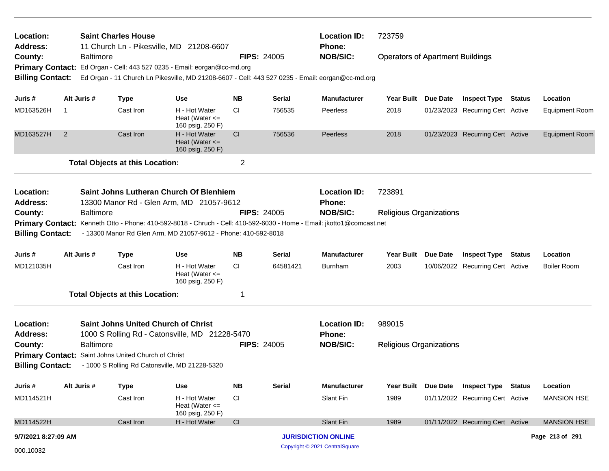| Location:<br><b>Saint Charles House</b><br><b>Address:</b><br>11 Church Ln - Pikesville, MD 21208-6607<br><b>Baltimore</b><br>County:<br>Primary Contact: Ed Organ - Cell: 443 527 0235 - Email: eorgan@cc-md.org<br><b>Billing Contact:</b><br>Ed Organ - 11 Church Ln Pikesville, MD 21208-6607 - Cell: 443 527 0235 - Email: eorgan@cc-md.org |                |                  |                                                      |                                                                                                                                                                                         | <b>FIPS: 24005</b> | <b>Location ID:</b><br>Phone:<br><b>NOB/SIC:</b> | 723759<br><b>Operators of Apartment Buildings</b> |                                |          |                                  |                       |
|--------------------------------------------------------------------------------------------------------------------------------------------------------------------------------------------------------------------------------------------------------------------------------------------------------------------------------------------------|----------------|------------------|------------------------------------------------------|-----------------------------------------------------------------------------------------------------------------------------------------------------------------------------------------|--------------------|--------------------------------------------------|---------------------------------------------------|--------------------------------|----------|----------------------------------|-----------------------|
|                                                                                                                                                                                                                                                                                                                                                  |                |                  |                                                      |                                                                                                                                                                                         |                    |                                                  |                                                   |                                |          |                                  |                       |
| Juris #                                                                                                                                                                                                                                                                                                                                          |                | Alt Juris #      | <b>Type</b>                                          | Use                                                                                                                                                                                     | <b>NB</b>          | Serial                                           | <b>Manufacturer</b>                               | <b>Year Built</b>              | Due Date | <b>Inspect Type Status</b>       | Location              |
| MD163526H                                                                                                                                                                                                                                                                                                                                        | -1             |                  | Cast Iron                                            | H - Hot Water<br>Heat (Water $\leq$<br>160 psig, 250 F)                                                                                                                                 | <b>CI</b>          | 756535                                           | Peerless                                          | 2018                           |          | 01/23/2023 Recurring Cert Active | <b>Equipment Room</b> |
| MD163527H                                                                                                                                                                                                                                                                                                                                        | $\overline{2}$ |                  | Cast Iron                                            | H - Hot Water<br>Heat (Water $\leq$<br>160 psig, 250 F)                                                                                                                                 | <b>CI</b>          | 756536                                           | <b>Peerless</b>                                   | 2018                           |          | 01/23/2023 Recurring Cert Active | <b>Equipment Room</b> |
|                                                                                                                                                                                                                                                                                                                                                  |                |                  | <b>Total Objects at this Location:</b>               |                                                                                                                                                                                         | $\overline{2}$     |                                                  |                                                   |                                |          |                                  |                       |
| Location:<br>Address:                                                                                                                                                                                                                                                                                                                            |                |                  |                                                      | Saint Johns Lutheran Church Of Blenhiem<br>13300 Manor Rd - Glen Arm, MD 21057-9612                                                                                                     |                    |                                                  | <b>Location ID:</b><br>Phone:                     | 723891                         |          |                                  |                       |
| County:<br><b>Billing Contact:</b>                                                                                                                                                                                                                                                                                                               |                | <b>Baltimore</b> |                                                      | Primary Contact: Kenneth Otto - Phone: 410-592-8018 - Chruch - Cell: 410-592-6030 - Home - Email: jkotto1@comcast.net<br>- 13300 Manor Rd Glen Arm, MD 21057-9612 - Phone: 410-592-8018 |                    | <b>FIPS: 24005</b>                               | <b>NOB/SIC:</b>                                   | <b>Religious Organizations</b> |          |                                  |                       |
| Juris #                                                                                                                                                                                                                                                                                                                                          |                | Alt Juris #      | <b>Type</b>                                          | Use                                                                                                                                                                                     | <b>NB</b>          | Serial                                           | <b>Manufacturer</b>                               | <b>Year Built</b>              | Due Date | <b>Inspect Type Status</b>       | Location              |
| MD121035H                                                                                                                                                                                                                                                                                                                                        |                |                  | Cast Iron                                            | H - Hot Water<br>Heat (Water $\leq$<br>160 psig, 250 F)                                                                                                                                 | <b>CI</b>          | 64581421                                         | <b>Burnham</b>                                    | 2003                           |          | 10/06/2022 Recurring Cert Active | Boiler Room           |
|                                                                                                                                                                                                                                                                                                                                                  |                |                  | <b>Total Objects at this Location:</b>               |                                                                                                                                                                                         | 1                  |                                                  |                                                   |                                |          |                                  |                       |
| Location:<br><b>Address:</b>                                                                                                                                                                                                                                                                                                                     |                |                  |                                                      | <b>Saint Johns United Church of Christ</b><br>1000 S Rolling Rd - Catonsville, MD 21228-5470                                                                                            |                    |                                                  | <b>Location ID:</b><br>Phone:                     | 989015                         |          |                                  |                       |
| County:                                                                                                                                                                                                                                                                                                                                          |                | <b>Baltimore</b> |                                                      |                                                                                                                                                                                         |                    | <b>FIPS: 24005</b>                               | <b>NOB/SIC:</b>                                   | <b>Religious Organizations</b> |          |                                  |                       |
| <b>Billing Contact:</b>                                                                                                                                                                                                                                                                                                                          |                |                  | Primary Contact: Saint Johns United Church of Christ | - 1000 S Rolling Rd Catonsville, MD 21228-5320                                                                                                                                          |                    |                                                  |                                                   |                                |          |                                  |                       |
| Juris #                                                                                                                                                                                                                                                                                                                                          |                | Alt Juris #      | <b>Type</b>                                          | Use                                                                                                                                                                                     | NΒ                 | <b>Serial</b>                                    | <b>Manufacturer</b>                               | <b>Year Built</b>              | Due Date | <b>Inspect Type Status</b>       | Location              |
| MD114521H                                                                                                                                                                                                                                                                                                                                        |                |                  | Cast Iron                                            | H - Hot Water<br>Heat (Water $\leq$<br>160 psig, 250 F)                                                                                                                                 | CI                 |                                                  | Slant Fin                                         | 1989                           |          | 01/11/2022 Recurring Cert Active | <b>MANSION HSE</b>    |
| MD114522H                                                                                                                                                                                                                                                                                                                                        |                |                  | Cast Iron                                            | H - Hot Water                                                                                                                                                                           | CI                 |                                                  | <b>Slant Fin</b>                                  | 1989                           |          | 01/11/2022 Recurring Cert Active | <b>MANSION HSE</b>    |
| 9/7/2021 8:27:09 AM                                                                                                                                                                                                                                                                                                                              |                |                  |                                                      |                                                                                                                                                                                         |                    |                                                  | <b>JURISDICTION ONLINE</b>                        |                                |          |                                  | Page 213 of 291       |
| 000.10032                                                                                                                                                                                                                                                                                                                                        |                |                  |                                                      |                                                                                                                                                                                         |                    | Copyright © 2021 CentralSquare                   |                                                   |                                |          |                                  |                       |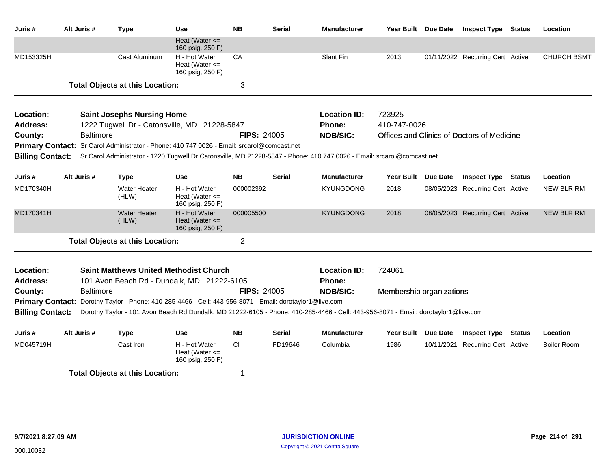| Juris #                 | Alt Juris #                                                                                                                                                   | <b>Type</b>                                                               | <b>Use</b>                                              | <b>NB</b>          | <b>Serial</b> | <b>Manufacturer</b>                                                                                                    | Year Built Due Date      | <b>Inspect Type</b>                        | <b>Status</b> | Location           |
|-------------------------|---------------------------------------------------------------------------------------------------------------------------------------------------------------|---------------------------------------------------------------------------|---------------------------------------------------------|--------------------|---------------|------------------------------------------------------------------------------------------------------------------------|--------------------------|--------------------------------------------|---------------|--------------------|
|                         |                                                                                                                                                               |                                                                           | Heat (Water $\leq$<br>160 psig, 250 F)                  |                    |               |                                                                                                                        |                          |                                            |               |                    |
| MD153325H               |                                                                                                                                                               | Cast Aluminum                                                             | H - Hot Water<br>Heat (Water $\leq$<br>160 psig, 250 F) | CA                 |               | Slant Fin                                                                                                              | 2013                     | 01/11/2022 Recurring Cert Active           |               | <b>CHURCH BSMT</b> |
|                         |                                                                                                                                                               | <b>Total Objects at this Location:</b>                                    |                                                         | 3                  |               |                                                                                                                        |                          |                                            |               |                    |
| Location:               |                                                                                                                                                               | <b>Saint Josephs Nursing Home</b>                                         |                                                         |                    |               | <b>Location ID:</b>                                                                                                    | 723925                   |                                            |               |                    |
| <b>Address:</b>         |                                                                                                                                                               | 1222 Tugwell Dr - Catonsville, MD 21228-5847                              |                                                         |                    |               | <b>Phone:</b>                                                                                                          | 410-747-0026             |                                            |               |                    |
| County:                 | <b>Baltimore</b>                                                                                                                                              |                                                                           |                                                         | <b>FIPS: 24005</b> |               | <b>NOB/SIC:</b>                                                                                                        |                          | Offices and Clinics of Doctors of Medicine |               |                    |
| <b>Primary Contact:</b> |                                                                                                                                                               | Sr Carol Administrator - Phone: 410 747 0026 - Email: srcarol@comcast.net |                                                         |                    |               |                                                                                                                        |                          |                                            |               |                    |
| <b>Billing Contact:</b> |                                                                                                                                                               |                                                                           |                                                         |                    |               | Sr Carol Administrator - 1220 Tugwell Dr Catonsville, MD 21228-5847 - Phone: 410 747 0026 - Email: srcarol@comcast.net |                          |                                            |               |                    |
| Juris #                 | Alt Juris #                                                                                                                                                   | <b>Type</b>                                                               | <b>Use</b>                                              | <b>NB</b>          | <b>Serial</b> | <b>Manufacturer</b>                                                                                                    | Year Built Due Date      | <b>Inspect Type</b>                        | <b>Status</b> | Location           |
| MD170340H               |                                                                                                                                                               | <b>Water Heater</b><br>(HLW)                                              | H - Hot Water<br>Heat (Water $\leq$<br>160 psig, 250 F) | 000002392          |               | <b>KYUNGDONG</b>                                                                                                       | 2018                     | 08/05/2023 Recurring Cert Active           |               | <b>NEW BLR RM</b>  |
| MD170341H               |                                                                                                                                                               | <b>Water Heater</b><br>(HLW)                                              | H - Hot Water<br>Heat (Water $\leq$<br>160 psig, 250 F) | 000005500          |               | <b>KYUNGDONG</b>                                                                                                       | 2018                     | 08/05/2023 Recurring Cert Active           |               | <b>NEW BLR RM</b>  |
|                         |                                                                                                                                                               | <b>Total Objects at this Location:</b>                                    |                                                         | $\overline{2}$     |               |                                                                                                                        |                          |                                            |               |                    |
| Location:               |                                                                                                                                                               | <b>Saint Matthews United Methodist Church</b>                             |                                                         |                    |               | <b>Location ID:</b>                                                                                                    | 724061                   |                                            |               |                    |
| <b>Address:</b>         |                                                                                                                                                               | 101 Avon Beach Rd - Dundalk, MD 21222-6105                                |                                                         |                    |               | <b>Phone:</b>                                                                                                          |                          |                                            |               |                    |
| County:                 | <b>Baltimore</b>                                                                                                                                              |                                                                           |                                                         | <b>FIPS: 24005</b> |               | <b>NOB/SIC:</b>                                                                                                        | Membership organizations |                                            |               |                    |
|                         | <b>Primary Contact:</b><br>Dorothy Taylor - Phone: 410-285-4466 - Cell: 443-956-8071 - Email: dorotaylor1@live.com                                            |                                                                           |                                                         |                    |               |                                                                                                                        |                          |                                            |               |                    |
|                         | <b>Billing Contact:</b><br>Dorothy Taylor - 101 Avon Beach Rd Dundalk, MD 21222-6105 - Phone: 410-285-4466 - Cell: 443-956-8071 - Email: dorotaylor1@live.com |                                                                           |                                                         |                    |               |                                                                                                                        |                          |                                            |               |                    |
| Juris #                 | Alt Juris #                                                                                                                                                   | <b>Type</b>                                                               | <b>Use</b>                                              | <b>NB</b>          | <b>Serial</b> | <b>Manufacturer</b>                                                                                                    | Year Built Due Date      | <b>Inspect Type</b>                        | <b>Status</b> | Location           |
| MD045719H               |                                                                                                                                                               | Cast Iron                                                                 | H - Hot Water<br>Heat (Water $\leq$<br>160 psig, 250 F) | <b>CI</b>          | FD19646       | Columbia                                                                                                               | 1986                     | 10/11/2021 Recurring Cert Active           |               | <b>Boiler Room</b> |
|                         |                                                                                                                                                               | <b>Total Objects at this Location:</b>                                    |                                                         | 1                  |               |                                                                                                                        |                          |                                            |               |                    |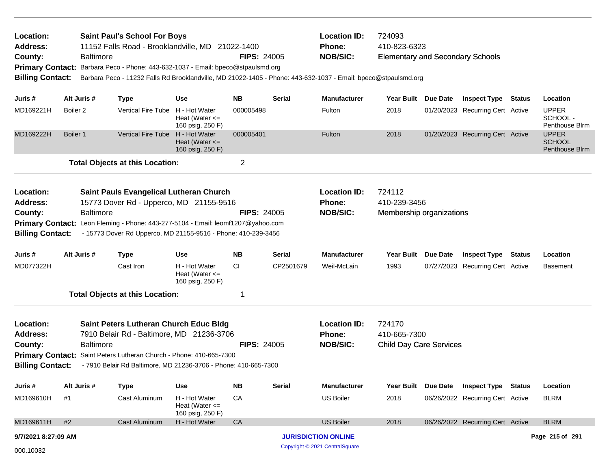| Location:<br><b>Address:</b><br>County:<br><b>Billing Contact:</b> |                                                                                                                                                                                                                                                                                               | <b>Saint Paul's School For Boys</b><br>11152 Falls Road - Brooklandville, MD 21022-1400<br><b>Baltimore</b><br><b>FIPS: 24005</b><br>Primary Contact: Barbara Peco - Phone: 443-632-1037 - Email: bpeco@stpaulsmd.org<br>Barbara Peco - 11232 Falls Rd Brooklandville, MD 21022-1405 - Phone: 443-632-1037 - Email: bpeco@stpaulsmd.org |                                        |                                                         |                    |                                                         | <b>Location ID:</b><br><b>Phone:</b><br><b>NOB/SIC:</b>  | 724093<br>410-823-6323<br><b>Elementary and Secondary Schools</b> |                 |                                  |        |                                                 |  |
|--------------------------------------------------------------------|-----------------------------------------------------------------------------------------------------------------------------------------------------------------------------------------------------------------------------------------------------------------------------------------------|-----------------------------------------------------------------------------------------------------------------------------------------------------------------------------------------------------------------------------------------------------------------------------------------------------------------------------------------|----------------------------------------|---------------------------------------------------------|--------------------|---------------------------------------------------------|----------------------------------------------------------|-------------------------------------------------------------------|-----------------|----------------------------------|--------|-------------------------------------------------|--|
| Juris #                                                            | Alt Juris #                                                                                                                                                                                                                                                                                   |                                                                                                                                                                                                                                                                                                                                         | <b>Type</b>                            | Use                                                     | <b>NB</b>          | <b>Serial</b>                                           | <b>Manufacturer</b>                                      | Year Built Due Date                                               |                 | <b>Inspect Type Status</b>       |        | Location                                        |  |
| MD169221H                                                          | Boiler <sub>2</sub>                                                                                                                                                                                                                                                                           |                                                                                                                                                                                                                                                                                                                                         | Vertical Fire Tube                     | H - Hot Water<br>Heat (Water $\leq$<br>160 psig, 250 F) | 000005498          |                                                         | Fulton                                                   | 2018                                                              |                 | 01/20/2023 Recurring Cert Active |        | <b>UPPER</b><br>SCHOOL -<br>Penthouse Blrm      |  |
| MD169222H                                                          | Boiler 1                                                                                                                                                                                                                                                                                      |                                                                                                                                                                                                                                                                                                                                         | <b>Vertical Fire Tube</b>              | H - Hot Water<br>Heat (Water $\leq$<br>160 psig, 250 F) | 000005401          |                                                         | Fulton                                                   | 2018                                                              |                 | 01/20/2023 Recurring Cert Active |        | <b>UPPER</b><br><b>SCHOOL</b><br>Penthouse Blrm |  |
|                                                                    |                                                                                                                                                                                                                                                                                               |                                                                                                                                                                                                                                                                                                                                         | <b>Total Objects at this Location:</b> |                                                         | $\overline{2}$     |                                                         |                                                          |                                                                   |                 |                                  |        |                                                 |  |
| Location:<br><b>Address:</b><br>County:                            | <b>Saint Pauls Evangelical Lutheran Church</b><br>15773 Dover Rd - Upperco, MD 21155-9516<br><b>Baltimore</b><br>Primary Contact: Leon Fleming - Phone: 443-277-5104 - Email: leomf1207@yahoo.com<br><b>Billing Contact:</b><br>- 15773 Dover Rd Upperco, MD 21155-9516 - Phone: 410-239-3456 |                                                                                                                                                                                                                                                                                                                                         |                                        |                                                         | <b>FIPS: 24005</b> |                                                         | <b>Location ID:</b><br>Phone:<br><b>NOB/SIC:</b>         | 724112<br>410-239-3456<br>Membership organizations                |                 |                                  |        |                                                 |  |
| Juris #                                                            | Alt Juris #                                                                                                                                                                                                                                                                                   |                                                                                                                                                                                                                                                                                                                                         | <b>Type</b>                            | Use                                                     | <b>NB</b>          | Serial                                                  | <b>Manufacturer</b>                                      | <b>Year Built</b>                                                 | <b>Due Date</b> | <b>Inspect Type</b>              | Status | Location                                        |  |
| MD077322H                                                          |                                                                                                                                                                                                                                                                                               |                                                                                                                                                                                                                                                                                                                                         | Cast Iron                              | H - Hot Water<br>Heat (Water $\leq$<br>160 psig, 250 F) | <b>CI</b>          | CP2501679                                               | Weil-McLain                                              | 1993                                                              |                 | 07/27/2023 Recurring Cert Active |        | <b>Basement</b>                                 |  |
|                                                                    |                                                                                                                                                                                                                                                                                               |                                                                                                                                                                                                                                                                                                                                         | <b>Total Objects at this Location:</b> |                                                         | 1                  |                                                         |                                                          |                                                                   |                 |                                  |        |                                                 |  |
| Location:<br><b>Address:</b><br>County:<br><b>Billing Contact:</b> | Saint Peters Lutheran Church Educ Bldg<br>7910 Belair Rd - Baltimore, MD 21236-3706<br><b>FIPS: 24005</b><br><b>Baltimore</b><br>Primary Contact: Saint Peters Lutheran Church - Phone: 410-665-7300<br>- 7910 Belair Rd Baltimore, MD 21236-3706 - Phone: 410-665-7300                       |                                                                                                                                                                                                                                                                                                                                         |                                        |                                                         |                    | <b>Location ID:</b><br><b>Phone:</b><br><b>NOB/SIC:</b> | 724170<br>410-665-7300<br><b>Child Day Care Services</b> |                                                                   |                 |                                  |        |                                                 |  |
| Juris #                                                            | Alt Juris #                                                                                                                                                                                                                                                                                   |                                                                                                                                                                                                                                                                                                                                         | <b>Type</b>                            | Use                                                     | <b>NB</b>          | <b>Serial</b>                                           | <b>Manufacturer</b>                                      | <b>Year Built</b>                                                 | <b>Due Date</b> | <b>Inspect Type Status</b>       |        | Location                                        |  |
| MD169610H                                                          | #1                                                                                                                                                                                                                                                                                            |                                                                                                                                                                                                                                                                                                                                         | Cast Aluminum                          | H - Hot Water<br>Heat (Water $\leq$<br>160 psig, 250 F) | CA                 |                                                         | <b>US Boiler</b>                                         | 2018                                                              |                 | 06/26/2022 Recurring Cert Active |        | <b>BLRM</b>                                     |  |
| MD169611H                                                          | #2                                                                                                                                                                                                                                                                                            |                                                                                                                                                                                                                                                                                                                                         | <b>Cast Aluminum</b>                   | H - Hot Water                                           | CA                 |                                                         | <b>US Boiler</b>                                         | 2018                                                              |                 | 06/26/2022 Recurring Cert Active |        | <b>BLRM</b>                                     |  |
| 9/7/2021 8:27:09 AM                                                |                                                                                                                                                                                                                                                                                               |                                                                                                                                                                                                                                                                                                                                         |                                        |                                                         |                    |                                                         | <b>JURISDICTION ONLINE</b>                               |                                                                   |                 |                                  |        | Page 215 of 291                                 |  |
| 000.10032                                                          |                                                                                                                                                                                                                                                                                               |                                                                                                                                                                                                                                                                                                                                         |                                        |                                                         |                    |                                                         | Copyright © 2021 CentralSquare                           |                                                                   |                 |                                  |        |                                                 |  |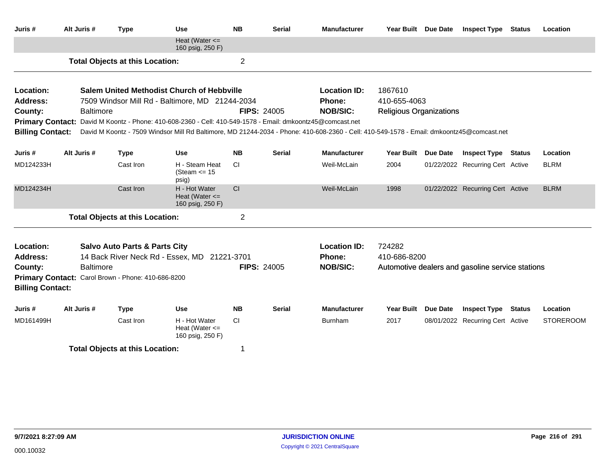| Juris #                                                                                                                                                              | Alt Juris #                                              | <b>Type</b>                                        | Use                                                     | <b>NB</b> | Serial        | <b>Manufacturer</b> | Year Built Due Date                              |                 | <b>Inspect Type</b>              | <b>Status</b> | Location         |  |
|----------------------------------------------------------------------------------------------------------------------------------------------------------------------|----------------------------------------------------------|----------------------------------------------------|---------------------------------------------------------|-----------|---------------|---------------------|--------------------------------------------------|-----------------|----------------------------------|---------------|------------------|--|
|                                                                                                                                                                      | Heat (Water $\leq$<br>160 psig, 250 F)                   |                                                    |                                                         |           |               |                     |                                                  |                 |                                  |               |                  |  |
|                                                                                                                                                                      | $\overline{2}$<br><b>Total Objects at this Location:</b> |                                                    |                                                         |           |               |                     |                                                  |                 |                                  |               |                  |  |
| Location:                                                                                                                                                            |                                                          |                                                    | <b>Salem United Methodist Church of Hebbyille</b>       |           |               | <b>Location ID:</b> | 1867610                                          |                 |                                  |               |                  |  |
| Address:                                                                                                                                                             | 7509 Windsor Mill Rd - Baltimore, MD 21244-2034          |                                                    |                                                         |           |               | <b>Phone:</b>       | 410-655-4063                                     |                 |                                  |               |                  |  |
| County:                                                                                                                                                              | <b>FIPS: 24005</b><br><b>Baltimore</b>                   |                                                    |                                                         |           |               | <b>NOB/SIC:</b>     | <b>Religious Organizations</b>                   |                 |                                  |               |                  |  |
| Primary Contact: David M Koontz - Phone: 410-608-2360 - Cell: 410-549-1578 - Email: dmkoontz45@comcast.net                                                           |                                                          |                                                    |                                                         |           |               |                     |                                                  |                 |                                  |               |                  |  |
| <b>Billing Contact:</b><br>David M Koontz - 7509 Windsor Mill Rd Baltimore, MD 21244-2034 - Phone: 410-608-2360 - Cell: 410-549-1578 - Email: dmkoontz45@comcast.net |                                                          |                                                    |                                                         |           |               |                     |                                                  |                 |                                  |               |                  |  |
| Juris #                                                                                                                                                              | Alt Juris #                                              | <b>Type</b>                                        | <b>Use</b>                                              | <b>NB</b> | <b>Serial</b> | <b>Manufacturer</b> | <b>Year Built</b>                                | <b>Due Date</b> | <b>Inspect Type Status</b>       |               | Location         |  |
| MD124233H                                                                                                                                                            |                                                          | Cast Iron                                          | H - Steam Heat<br>(Steam $\le$ 15<br>psig)              | CI.       |               | Weil-McLain         | 2004                                             |                 | 01/22/2022 Recurring Cert Active |               | <b>BLRM</b>      |  |
| MD124234H                                                                                                                                                            |                                                          | Cast Iron                                          | H - Hot Water<br>Heat (Water $\leq$<br>160 psig, 250 F) | CI        |               | Weil-McLain         | 1998                                             |                 | 01/22/2022 Recurring Cert Active |               | <b>BLRM</b>      |  |
|                                                                                                                                                                      |                                                          | <b>Total Objects at this Location:</b>             |                                                         |           |               |                     |                                                  |                 |                                  |               |                  |  |
| Location:                                                                                                                                                            | <b>Salvo Auto Parts &amp; Parts City</b>                 |                                                    |                                                         |           |               | <b>Location ID:</b> | 724282                                           |                 |                                  |               |                  |  |
| <b>Address:</b>                                                                                                                                                      | 14 Back River Neck Rd - Essex, MD 21221-3701             |                                                    |                                                         |           |               | <b>Phone:</b>       | 410-686-8200                                     |                 |                                  |               |                  |  |
| County:                                                                                                                                                              | <b>Baltimore</b><br><b>FIPS: 24005</b>                   |                                                    |                                                         |           |               | <b>NOB/SIC:</b>     | Automotive dealers and gasoline service stations |                 |                                  |               |                  |  |
| <b>Billing Contact:</b>                                                                                                                                              |                                                          | Primary Contact: Carol Brown - Phone: 410-686-8200 |                                                         |           |               |                     |                                                  |                 |                                  |               |                  |  |
| Juris #                                                                                                                                                              | Alt Juris #                                              | <b>Type</b>                                        | <b>Use</b>                                              | <b>NB</b> | <b>Serial</b> | <b>Manufacturer</b> | Year Built Due Date                              |                 | <b>Inspect Type Status</b>       |               | Location         |  |
| MD161499H                                                                                                                                                            |                                                          | Cast Iron                                          | H - Hot Water<br>Heat (Water $\leq$<br>160 psig, 250 F) | CI.       |               | <b>Burnham</b>      | 2017                                             |                 | 08/01/2022 Recurring Cert Active |               | <b>STOREROOM</b> |  |
| <b>Total Objects at this Location:</b><br>1                                                                                                                          |                                                          |                                                    |                                                         |           |               |                     |                                                  |                 |                                  |               |                  |  |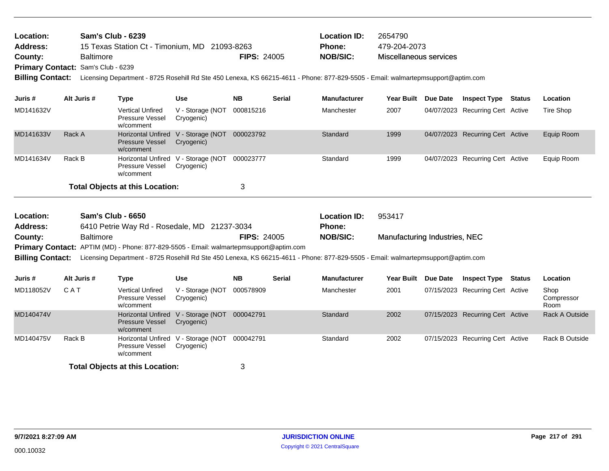| Location:<br><b>Address:</b><br>County:<br><b>Primary Contact:</b><br><b>Billing Contact:</b> |        | <b>Sam's Club - 6239</b><br><b>Baltimore</b><br>Sam's Club - 6239 | 15 Texas Station Ct - Timonium, MD 21093-8263                                          |                                                             | <b>FIPS: 24005</b> |               | <b>Location ID:</b><br>Phone:<br><b>NOB/SIC:</b>                                                                                                    | 2654790<br>479-204-2073<br>Miscellaneous services<br>Licensing Department - 8725 Rosehill Rd Ste 450 Lenexa, KS 66215-4611 - Phone: 877-829-5505 - Email: walmartepmsupport@aptim.com |  |                                  |  |                            |
|-----------------------------------------------------------------------------------------------|--------|-------------------------------------------------------------------|----------------------------------------------------------------------------------------|-------------------------------------------------------------|--------------------|---------------|-----------------------------------------------------------------------------------------------------------------------------------------------------|---------------------------------------------------------------------------------------------------------------------------------------------------------------------------------------|--|----------------------------------|--|----------------------------|
| Juris #                                                                                       |        | Alt Juris #                                                       | <b>Type</b>                                                                            | <b>Use</b>                                                  | <b>NB</b>          | <b>Serial</b> | <b>Manufacturer</b>                                                                                                                                 | Year Built Due Date                                                                                                                                                                   |  | <b>Inspect Type Status</b>       |  | Location                   |
| MD141632V                                                                                     |        |                                                                   | <b>Vertical Unfired</b><br>Pressure Vessel<br>w/comment                                | V - Storage (NOT<br>Cryogenic)                              | 000815216          |               | Manchester                                                                                                                                          | 2007                                                                                                                                                                                  |  | 04/07/2023 Recurring Cert Active |  | Tire Shop                  |
| MD141633V                                                                                     | Rack A |                                                                   | <b>Pressure Vessel</b><br>w/comment                                                    | Horizontal Unfired V - Storage (NOT 000023792<br>Cryogenic) |                    |               | Standard                                                                                                                                            | 1999                                                                                                                                                                                  |  | 04/07/2023 Recurring Cert Active |  | Equip Room                 |
| MD141634V                                                                                     | Rack B |                                                                   | Pressure Vessel<br>w/comment                                                           | Horizontal Unfired V - Storage (NOT<br>Cryogenic)           | 000023777          |               | Standard                                                                                                                                            | 1999                                                                                                                                                                                  |  | 04/07/2023 Recurring Cert Active |  | Equip Room                 |
|                                                                                               |        |                                                                   | <b>Total Objects at this Location:</b>                                                 |                                                             | 3                  |               |                                                                                                                                                     |                                                                                                                                                                                       |  |                                  |  |                            |
| Location:<br><b>Address:</b>                                                                  |        | <b>Sam's Club - 6650</b>                                          | 6410 Petrie Way Rd - Rosedale, MD 21237-3034                                           |                                                             |                    |               | <b>Location ID:</b><br>Phone:                                                                                                                       | 953417                                                                                                                                                                                |  |                                  |  |                            |
| County:<br><b>Billing Contact:</b>                                                            |        | <b>Baltimore</b>                                                  | Primary Contact: APTIM (MD) - Phone: 877-829-5505 - Email: walmartepmsupport@aptim.com |                                                             | <b>FIPS: 24005</b> |               | <b>NOB/SIC:</b><br>Licensing Department - 8725 Rosehill Rd Ste 450 Lenexa, KS 66215-4611 - Phone: 877-829-5505 - Email: walmartepmsupport@aptim.com | Manufacturing Industries, NEC                                                                                                                                                         |  |                                  |  |                            |
| Juris #                                                                                       |        | Alt Juris #                                                       | <b>Type</b>                                                                            | <b>Use</b>                                                  | <b>NB</b>          | <b>Serial</b> | <b>Manufacturer</b>                                                                                                                                 | Year Built Due Date                                                                                                                                                                   |  | <b>Inspect Type Status</b>       |  | Location                   |
| MD118052V                                                                                     | CAT    |                                                                   | <b>Vertical Unfired</b><br>Pressure Vessel<br>w/comment                                | V - Storage (NOT<br>Cryogenic)                              | 000578909          |               | Manchester                                                                                                                                          | 2001                                                                                                                                                                                  |  | 07/15/2023 Recurring Cert Active |  | Shop<br>Compressor<br>Room |
| MD140474V                                                                                     |        |                                                                   | <b>Pressure Vessel</b><br>w/comment                                                    | Horizontal Unfired V - Storage (NOT 000042791<br>Cryogenic) |                    |               | Standard                                                                                                                                            | 2002                                                                                                                                                                                  |  | 07/15/2023 Recurring Cert Active |  | <b>Rack A Outside</b>      |
| MD140475V                                                                                     | Rack B |                                                                   | Pressure Vessel<br>w/comment                                                           | Horizontal Unfired V - Storage (NOT 000042791<br>Cryogenic) |                    |               | Standard                                                                                                                                            | 2002                                                                                                                                                                                  |  | 07/15/2023 Recurring Cert Active |  | Rack B Outside             |
|                                                                                               |        |                                                                   | <b>Total Objects at this Location:</b>                                                 |                                                             | 3                  |               |                                                                                                                                                     |                                                                                                                                                                                       |  |                                  |  |                            |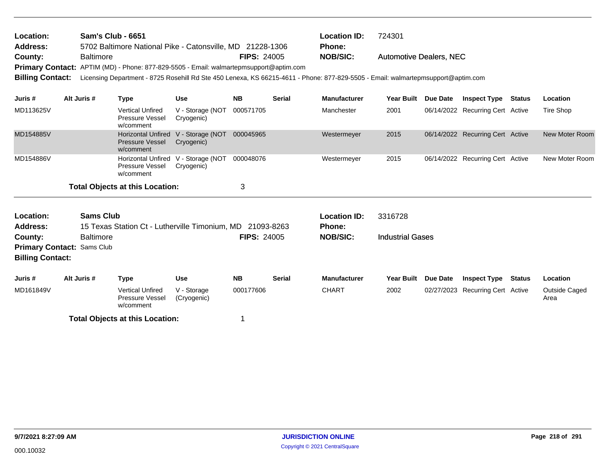| Location:<br><b>Address:</b><br>County:                                 | <b>Sam's Club - 6651</b><br>5702 Baltimore National Pike - Catonsville, MD 21228-1306<br><b>Baltimore</b><br>Primary Contact: APTIM (MD) - Phone: 877-829-5505 - Email: walmartepmsupport@aptim.com |                  |                                                                  |                                          | <b>FIPS: 24005</b> |               | <b>Location ID:</b><br><b>Phone:</b><br><b>NOB/SIC:</b>                                                                          | 724301                  |          |                                  | <b>Automotive Dealers, NEC</b> |                       |  |  |
|-------------------------------------------------------------------------|-----------------------------------------------------------------------------------------------------------------------------------------------------------------------------------------------------|------------------|------------------------------------------------------------------|------------------------------------------|--------------------|---------------|----------------------------------------------------------------------------------------------------------------------------------|-------------------------|----------|----------------------------------|--------------------------------|-----------------------|--|--|
| <b>Billing Contact:</b>                                                 |                                                                                                                                                                                                     |                  |                                                                  |                                          |                    |               | Licensing Department - 8725 Rosehill Rd Ste 450 Lenexa, KS 66215-4611 - Phone: 877-829-5505 - Email: walmartepmsupport@aptim.com |                         |          |                                  |                                |                       |  |  |
| Juris #                                                                 |                                                                                                                                                                                                     | Alt Juris #      | <b>Type</b>                                                      | <b>Use</b>                               | <b>NB</b>          | <b>Serial</b> | <b>Manufacturer</b>                                                                                                              | <b>Year Built</b>       | Due Date | <b>Inspect Type Status</b>       |                                | Location              |  |  |
| MD113625V                                                               |                                                                                                                                                                                                     |                  | <b>Vertical Unfired</b><br>Pressure Vessel<br>w/comment          | V - Storage (NOT<br>Cryogenic)           | 000571705          |               | Manchester                                                                                                                       | 2001                    |          | 06/14/2022 Recurring Cert Active |                                | Tire Shop             |  |  |
| MD154885V                                                               |                                                                                                                                                                                                     |                  | <b>Horizontal Unfired</b><br><b>Pressure Vessel</b><br>w/comment | V - Storage (NOT 000045965<br>Cryogenic) |                    |               | Westermeyer                                                                                                                      | 2015                    |          | 06/14/2022 Recurring Cert Active |                                | New Moter Room        |  |  |
| MD154886V                                                               |                                                                                                                                                                                                     |                  | <b>Horizontal Unfired</b><br><b>Pressure Vessel</b><br>w/comment | V - Storage (NOT<br>Cryogenic)           | 000048076          |               | Westermeyer                                                                                                                      | 2015                    |          | 06/14/2022 Recurring Cert Active |                                | New Moter Room        |  |  |
|                                                                         |                                                                                                                                                                                                     |                  | <b>Total Objects at this Location:</b>                           |                                          | 3                  |               |                                                                                                                                  |                         |          |                                  |                                |                       |  |  |
| Location:<br><b>Address:</b>                                            |                                                                                                                                                                                                     | <b>Sams Club</b> | 15 Texas Station Ct - Lutherville Timonium, MD 21093-8263        |                                          |                    |               | <b>Location ID:</b><br><b>Phone:</b>                                                                                             | 3316728                 |          |                                  |                                |                       |  |  |
| County:<br><b>Primary Contact: Sams Club</b><br><b>Billing Contact:</b> |                                                                                                                                                                                                     | <b>Baltimore</b> |                                                                  |                                          | <b>FIPS: 24005</b> |               | <b>NOB/SIC:</b>                                                                                                                  | <b>Industrial Gases</b> |          |                                  |                                |                       |  |  |
| Juris #                                                                 |                                                                                                                                                                                                     | Alt Juris #      | <b>Type</b>                                                      | <b>Use</b>                               | <b>NB</b>          | <b>Serial</b> | <b>Manufacturer</b>                                                                                                              | <b>Year Built</b>       | Due Date | <b>Inspect Type</b>              | Status                         | Location              |  |  |
| MD161849V                                                               |                                                                                                                                                                                                     |                  | <b>Vertical Unfired</b><br>Pressure Vessel<br>w/comment          | V - Storage<br>(Cryogenic)               | 000177606          |               | <b>CHART</b>                                                                                                                     | 2002                    |          | 02/27/2023 Recurring Cert Active |                                | Outside Caged<br>Area |  |  |
|                                                                         |                                                                                                                                                                                                     |                  | Tatal Okiaata at this Lagatian.                                  |                                          |                    |               |                                                                                                                                  |                         |          |                                  |                                |                       |  |  |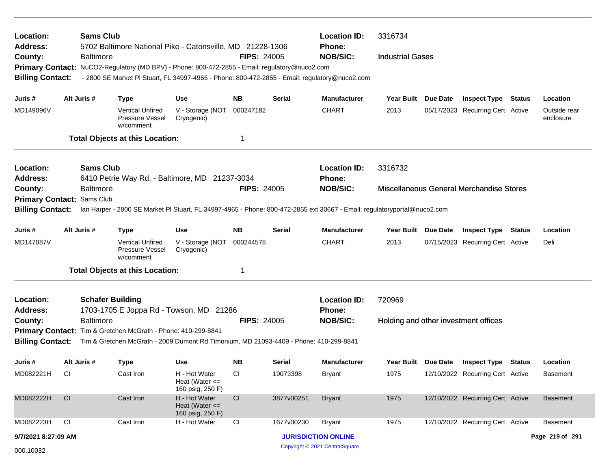| Location:<br><b>Address:</b>                             | <b>Sams Club</b> | 5702 Baltimore National Pike - Catonsville, MD 21228-1306                                                                |                                                         | <b>Location ID:</b><br><b>Phone:</b> | 3316734                        |                                  |                         |                 |                                          |                           |
|----------------------------------------------------------|------------------|--------------------------------------------------------------------------------------------------------------------------|---------------------------------------------------------|--------------------------------------|--------------------------------|----------------------------------|-------------------------|-----------------|------------------------------------------|---------------------------|
| County:                                                  | Baltimore        | Primary Contact: NuCO2-Regulatory (MD BPV) - Phone: 800-472-2855 - Email: regulatory@nuco2.com                           |                                                         | <b>FIPS: 24005</b>                   |                                | <b>NOB/SIC:</b>                  | <b>Industrial Gases</b> |                 |                                          |                           |
| <b>Billing Contact:</b>                                  |                  | - 2800 SE Market PI Stuart, FL 34997-4965 - Phone: 800-472-2855 - Email: regulatory@nuco2.com                            |                                                         |                                      |                                |                                  |                         |                 |                                          |                           |
| Juris #                                                  | Alt Juris #      | <b>Type</b>                                                                                                              | <b>Use</b>                                              | <b>NB</b>                            | <b>Serial</b>                  | <b>Manufacturer</b>              | Year Built Due Date     |                 | <b>Inspect Type Status</b>               | Location                  |
| MD149096V                                                |                  | <b>Vertical Unfired</b><br>Pressure Vessel<br>w/comment                                                                  | V - Storage (NOT<br>Cryogenic)                          | 000247182                            |                                | <b>CHART</b>                     | 2013                    |                 | 05/17/2023 Recurring Cert Active         | Outside rear<br>enclosure |
|                                                          |                  | <b>Total Objects at this Location:</b>                                                                                   |                                                         | -1                                   |                                |                                  |                         |                 |                                          |                           |
| Location:                                                | <b>Sams Club</b> |                                                                                                                          |                                                         |                                      |                                | <b>Location ID:</b>              | 3316732                 |                 |                                          |                           |
| <b>Address:</b><br>County:                               |                  | 6410 Petrie Way Rd. - Baltimore, MD 21237-3034                                                                           |                                                         | <b>FIPS: 24005</b>                   |                                | <b>Phone:</b><br><b>NOB/SIC:</b> |                         |                 | Miscellaneous General Merchandise Stores |                           |
| <b>Baltimore</b><br><b>Primary Contact:</b><br>Sams Club |                  |                                                                                                                          |                                                         |                                      |                                |                                  |                         |                 |                                          |                           |
| <b>Billing Contact:</b>                                  |                  | lan Harper - 2800 SE Market PI Stuart, FL 34997-4965 - Phone: 800-472-2855 ext 30667 - Email: regulatoryportal@nuco2.com |                                                         |                                      |                                |                                  |                         |                 |                                          |                           |
| Juris #                                                  | Alt Juris #      | <b>Type</b>                                                                                                              | <b>Use</b>                                              | <b>NB</b>                            | <b>Serial</b>                  | <b>Manufacturer</b>              | Year Built              | <b>Due Date</b> | <b>Inspect Type Status</b>               | Location                  |
| MD147087V                                                |                  | <b>Vertical Unfired</b><br>Pressure Vessel<br>w/comment                                                                  | V - Storage (NOT<br>Cryogenic)                          | 000244578                            |                                | <b>CHART</b>                     | 2013                    |                 | 07/15/2023 Recurring Cert Active         | Deli                      |
|                                                          |                  | <b>Total Objects at this Location:</b>                                                                                   |                                                         | -1                                   |                                |                                  |                         |                 |                                          |                           |
| Location:                                                |                  | <b>Schafer Building</b>                                                                                                  |                                                         |                                      |                                | <b>Location ID:</b>              | 720969                  |                 |                                          |                           |
| <b>Address:</b>                                          |                  | 1703-1705 E Joppa Rd - Towson, MD 21286                                                                                  |                                                         |                                      |                                | Phone:                           |                         |                 |                                          |                           |
| County:                                                  | <b>Baltimore</b> | Primary Contact: Tim & Gretchen McGrath - Phone: 410-299-8841                                                            |                                                         | <b>FIPS: 24005</b>                   |                                | <b>NOB/SIC:</b>                  |                         |                 | Holding and other investment offices     |                           |
| <b>Billing Contact:</b>                                  |                  | Tim & Gretchen McGrath - 2009 Dumont Rd Timonium, MD 21093-4409 - Phone: 410-299-8841                                    |                                                         |                                      |                                |                                  |                         |                 |                                          |                           |
| Juris #                                                  | Alt Juris #      | <b>Type</b>                                                                                                              | <b>Use</b>                                              | <b>NB</b>                            | <b>Serial</b>                  | <b>Manufacturer</b>              | Year Built Due Date     |                 | <b>Inspect Type Status</b>               | Location                  |
| MD082221H                                                | – CI             | Cast Iron                                                                                                                | H - Hot Water<br>Heat (Water $\leq$<br>160 psig, 250 F) | <b>CI</b>                            | 19073398                       | <b>Bryant</b>                    | 1975                    |                 | 12/10/2022 Recurring Cert Active         | Basement                  |
| MD082222H                                                | CI               | Cast Iron                                                                                                                | H - Hot Water<br>Heat (Water $\leq$<br>160 psig, 250 F) | CI                                   | 3877v00251                     | <b>Bryant</b>                    | 1975                    |                 | 12/10/2022 Recurring Cert Active         | <b>Basement</b>           |
| MD082223H                                                | <b>CI</b>        | Cast Iron                                                                                                                | H - Hot Water                                           | CI                                   | 1677v00230                     | <b>Bryant</b>                    | 1975                    |                 | 12/10/2022 Recurring Cert Active         | <b>Basement</b>           |
| 9/7/2021 8:27:09 AM                                      |                  |                                                                                                                          |                                                         |                                      |                                | <b>JURISDICTION ONLINE</b>       |                         |                 |                                          | Page 219 of 291           |
| 000.10032                                                |                  |                                                                                                                          |                                                         |                                      | Copyright © 2021 CentralSquare |                                  |                         |                 |                                          |                           |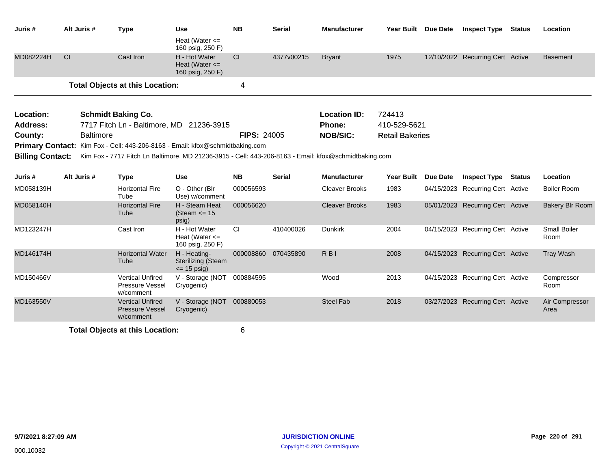| Juris #                 | Alt Juris #      | <b>Type</b>                                                                                           | <b>Use</b>                                                  | <b>NB</b>          | <b>Serial</b> | Manufacturer          | Year Built Due Date    |                 | <b>Inspect Type Status</b>       |               | Location                    |
|-------------------------|------------------|-------------------------------------------------------------------------------------------------------|-------------------------------------------------------------|--------------------|---------------|-----------------------|------------------------|-----------------|----------------------------------|---------------|-----------------------------|
|                         |                  |                                                                                                       | Heat (Water $\leq$<br>160 psig, 250 F)                      |                    |               |                       |                        |                 |                                  |               |                             |
| MD082224H               | CI               | Cast Iron                                                                                             | H - Hot Water<br>Heat (Water $\leq$<br>160 psig, 250 F)     | CI                 | 4377v00215    | <b>Bryant</b>         | 1975                   |                 | 12/10/2022 Recurring Cert Active |               | <b>Basement</b>             |
|                         |                  | <b>Total Objects at this Location:</b>                                                                |                                                             | 4                  |               |                       |                        |                 |                                  |               |                             |
| Location:               |                  | <b>Schmidt Baking Co.</b>                                                                             |                                                             |                    |               | <b>Location ID:</b>   | 724413                 |                 |                                  |               |                             |
| Address:                |                  | 7717 Fitch Ln - Baltimore, MD 21236-3915                                                              |                                                             |                    |               | <b>Phone:</b>         | 410-529-5621           |                 |                                  |               |                             |
| County:                 | <b>Baltimore</b> |                                                                                                       |                                                             | <b>FIPS: 24005</b> |               | <b>NOB/SIC:</b>       | <b>Retail Bakeries</b> |                 |                                  |               |                             |
| <b>Primary Contact:</b> |                  | Kim Fox - Cell: 443-206-8163 - Email: kfox@schmidtbaking.com                                          |                                                             |                    |               |                       |                        |                 |                                  |               |                             |
| <b>Billing Contact:</b> |                  | Kim Fox - 7717 Fitch Ln Baltimore, MD 21236-3915 - Cell: 443-206-8163 - Email: kfox@schmidtbaking.com |                                                             |                    |               |                       |                        |                 |                                  |               |                             |
| Juris #                 | Alt Juris #      | <b>Type</b>                                                                                           | <b>Use</b>                                                  | <b>NB</b>          | <b>Serial</b> | <b>Manufacturer</b>   | <b>Year Built</b>      | <b>Due Date</b> | <b>Inspect Type</b>              | <b>Status</b> | Location                    |
| MD058139H               |                  | <b>Horizontal Fire</b><br>Tube                                                                        | O - Other (Blr<br>Use) w/comment                            | 000056593          |               | <b>Cleaver Brooks</b> | 1983                   |                 | 04/15/2023 Recurring Cert Active |               | <b>Boiler Room</b>          |
| MD058140H               |                  | <b>Horizontal Fire</b><br>Tube                                                                        | H - Steam Heat<br>(Steam $\le$ 15<br>psig)                  | 000056620          |               | <b>Cleaver Brooks</b> | 1983                   |                 | 05/01/2023 Recurring Cert Active |               | <b>Bakery Blr Room</b>      |
| MD123247H               |                  | Cast Iron                                                                                             | H - Hot Water<br>Heat (Water $\leq$<br>160 psig, 250 F)     | <b>CI</b>          | 410400026     | <b>Dunkirk</b>        | 2004                   |                 | 04/15/2023 Recurring Cert Active |               | <b>Small Boiler</b><br>Room |
| MD146174H               |                  | <b>Horizontal Water</b><br>Tube                                                                       | H - Heating-<br><b>Sterilizing (Steam</b><br>$\le$ 15 psig) | 000008860          | 070435890     | <b>RBI</b>            | 2008                   |                 | 04/15/2023 Recurring Cert Active |               | <b>Tray Wash</b>            |
| MD150466V               |                  | <b>Vertical Unfired</b><br>Pressure Vessel<br>w/comment                                               | V - Storage (NOT<br>Cryogenic)                              | 000884595          |               | Wood                  | 2013                   |                 | 04/15/2023 Recurring Cert Active |               | Compressor<br>Room          |
| MD163550V               |                  | <b>Vertical Unfired</b><br><b>Pressure Vessel</b><br>w/comment                                        | V - Storage (NOT<br>Cryogenic)                              | 000880053          |               | <b>Steel Fab</b>      | 2018                   |                 | 03/27/2023 Recurring Cert Active |               | Air Compressor<br>Area      |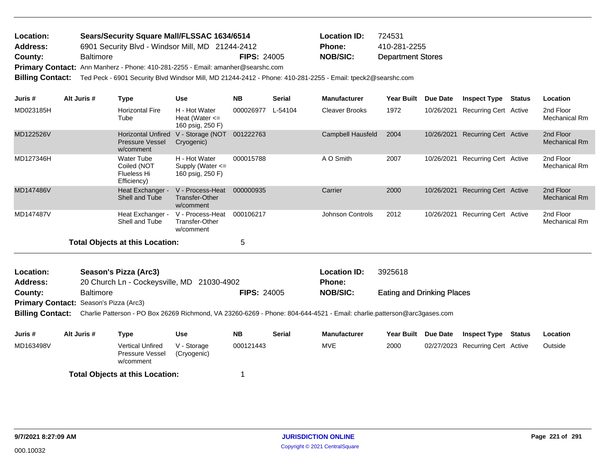| <b>Location:</b> | Sears/Security Square Mall/FLSSAC 1634/6514      |                    | <b>Location ID:</b> | 724531                   |
|------------------|--------------------------------------------------|--------------------|---------------------|--------------------------|
| Address:         | 6901 Security Blvd - Windsor Mill, MD 21244-2412 |                    | <b>Phone:</b>       | 410-281-2255             |
| County:          | <b>Baltimore</b>                                 | <b>FIPS: 24005</b> | NOB/SIC:            | <b>Department Stores</b> |
|                  |                                                  |                    |                     |                          |

Primary Contact: Ann Manherz - Phone: 410-281-2255 - Email: amanher@searshc.com

**Billing Contact:** Ted Peck - 6901 Security Blvd Windsor Mill, MD 21244-2412 - Phone: 410-281-2255 - Email: tpeck2@searshc.com

| Juris #   | Alt Juris # | Type                                                             | <b>Use</b>                                                | <b>NB</b> | <b>Serial</b> | <b>Manufacturer</b>   | <b>Year Built</b> | <b>Due Date</b> | <b>Inspect Type</b>          | Status | Location                   |
|-----------|-------------|------------------------------------------------------------------|-----------------------------------------------------------|-----------|---------------|-----------------------|-------------------|-----------------|------------------------------|--------|----------------------------|
| MD023185H |             | <b>Horizontal Fire</b><br>Tube                                   | H - Hot Water<br>Heat (Water $\leq$<br>160 psig, 250 F)   | 000026977 | L-54104       | <b>Cleaver Brooks</b> | 1972              | 10/26/2021      | Recurring Cert Active        |        | 2nd Floor<br>Mechanical Rm |
| MD122526V |             | <b>Horizontal Unfired</b><br><b>Pressure Vessel</b><br>w/comment | V - Storage (NOT<br>Cryogenic)                            | 001222763 |               | Campbell Hausfeld     | 2004              | 10/26/2021      | <b>Recurring Cert Active</b> |        | 2nd Floor<br>Mechanical Rm |
| MD127346H |             | Water Tube<br>Coiled (NOT<br>Flueless Hi<br>Efficiency)          | H - Hot Water<br>Supply (Water $\leq$<br>160 psig, 250 F) | 000015788 |               | A O Smith             | 2007              | 10/26/2021      | Recurring Cert Active        |        | 2nd Floor<br>Mechanical Rm |
| MD147486V |             | Heat Exchanger -<br>Shell and Tube                               | V - Process-Heat<br>Transfer-Other<br>w/comment           | 000000935 |               | Carrier               | 2000              | 10/26/2021      | Recurring Cert Active        |        | 2nd Floor<br>Mechanical Rm |
| MD147487V |             | Heat Exchanger -<br>Shell and Tube                               | V - Process-Heat<br>Transfer-Other<br>w/comment           | 000106217 |               | Johnson Controls      | 2012              | 10/26/2021      | Recurring Cert Active        |        | 2nd Floor<br>Mechanical Rm |
|           |             | <b>Total Objects at this Location:</b>                           |                                                           | 5         |               |                       |                   |                 |                              |        |                            |
|           |             |                                                                  |                                                           |           |               |                       |                   |                 |                              |        |                            |
| Location: |             | Season's Pizza (Arc3)                                            |                                                           |           |               | <b>Location ID:</b>   | 3925618           |                 |                              |        |                            |

| LUUQUUI.        | <b>UCASUILS LILLE (ALUU)</b>               |                    | LUUQUUI ID. | <b>UJLUU IU</b>                   |
|-----------------|--------------------------------------------|--------------------|-------------|-----------------------------------|
| <b>Address:</b> | 20 Church Ln - Cockeysville, MD 21030-4902 |                    | Phone:      |                                   |
| County:         | Baltimore                                  | <b>FIPS: 24005</b> | NOB/SIC:    | <b>Eating and Drinking Places</b> |
| - -             |                                            |                    |             |                                   |

**Primary Contact:** Season's Pizza (Arc3)

**Billing Contact:** Charlie Patterson - PO Box 26269 Richmond, VA 23260-6269 - Phone: 804-644-4521 - Email: charlie.patterson@arc3gases.com

| Juris #   | Alt Juris # | Type                                                    | Use                        | <b>NB</b> | Serial | <b>Manufacturer</b> | <b>Year Built</b> | <b>Due Date</b> | <b>Inspect Type</b>              | Status | Location |
|-----------|-------------|---------------------------------------------------------|----------------------------|-----------|--------|---------------------|-------------------|-----------------|----------------------------------|--------|----------|
| MD163498V |             | <b>Vertical Unfired</b><br>Pressure Vessel<br>w/comment | V - Storage<br>(Cryogenic) | 000121443 |        | MVE                 | 2000              |                 | 02/27/2023 Recurring Cert Active |        | Outside  |
|           |             | <b>Total Objects at this Location:</b>                  |                            |           |        |                     |                   |                 |                                  |        |          |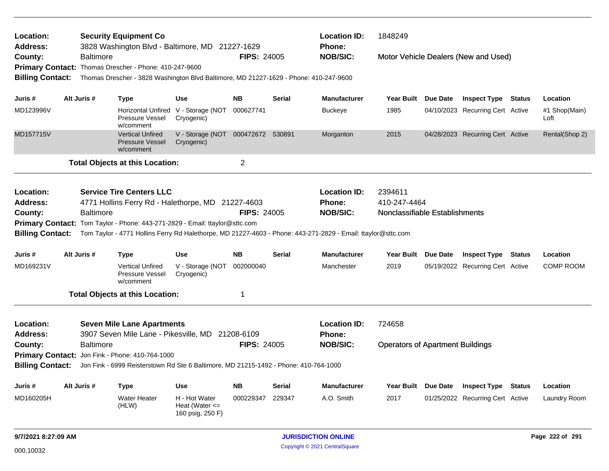| Location:<br>Address:<br>County:<br><b>Primary Contact:</b><br><b>Billing Contact:</b> | <b>Security Equipment Co</b><br><b>Location ID:</b><br>1848249<br>3828 Washington Blvd - Baltimore, MD 21227-1629<br><b>Phone:</b><br><b>NOB/SIC:</b><br><b>Baltimore</b><br><b>FIPS: 24005</b><br>Motor Vehicle Dealers (New and Used)<br>Thomas Drescher - Phone: 410-247-9600<br>Thomas Drescher - 3828 Washington Blvd Baltimore, MD 21227-1629 - Phone: 410-247-9600 |                                                                                                                                                                                                                                                                                     |                                                                                               |                        |                         |                                                         |                                                           |                                                                                                    |               |                                                     |
|----------------------------------------------------------------------------------------|---------------------------------------------------------------------------------------------------------------------------------------------------------------------------------------------------------------------------------------------------------------------------------------------------------------------------------------------------------------------------|-------------------------------------------------------------------------------------------------------------------------------------------------------------------------------------------------------------------------------------------------------------------------------------|-----------------------------------------------------------------------------------------------|------------------------|-------------------------|---------------------------------------------------------|-----------------------------------------------------------|----------------------------------------------------------------------------------------------------|---------------|-----------------------------------------------------|
| Juris #<br>MD123996V<br>MD157715V                                                      | Alt Juris #                                                                                                                                                                                                                                                                                                                                                               | <b>Type</b><br>Pressure Vessel<br>w/comment<br><b>Vertical Unfired</b>                                                                                                                                                                                                              | Use<br>Horizontal Unfired V - Storage (NOT<br>Cryogenic)<br>V - Storage (NOT 000472672 530891 | <b>NB</b><br>000627741 | <b>Serial</b>           | <b>Manufacturer</b><br><b>Buckeye</b><br>Morganton      | Year Built Due Date<br>1985<br>2015                       | <b>Inspect Type Status</b><br>04/10/2023 Recurring Cert Active<br>04/28/2023 Recurring Cert Active |               | Location<br>#1 Shop(Main)<br>Loft<br>Rental(Shop 2) |
|                                                                                        |                                                                                                                                                                                                                                                                                                                                                                           | <b>Pressure Vessel</b><br>w/comment<br><b>Total Objects at this Location:</b>                                                                                                                                                                                                       | Cryogenic)                                                                                    | $\overline{c}$         |                         |                                                         |                                                           |                                                                                                    |               |                                                     |
| Location:<br>Address:<br>County:<br><b>Billing Contact:</b>                            | <b>Baltimore</b>                                                                                                                                                                                                                                                                                                                                                          | <b>Service Tire Centers LLC</b><br>4771 Hollins Ferry Rd - Halethorpe, MD 21227-4603<br>Primary Contact: Tom Taylor - Phone: 443-271-2829 - Email: ttaylor@sttc.com<br>Tom Taylor - 4771 Hollins Ferry Rd Halethorpe, MD 21227-4603 - Phone: 443-271-2829 - Email: ttaylor@sttc.com |                                                                                               | <b>FIPS: 24005</b>     |                         | <b>Location ID:</b><br><b>Phone:</b><br><b>NOB/SIC:</b> | 2394611<br>410-247-4464<br>Nonclassifiable Establishments |                                                                                                    |               |                                                     |
| Juris #<br>MD169231V                                                                   | Alt Juris #                                                                                                                                                                                                                                                                                                                                                               | <b>Type</b><br><b>Vertical Unfired</b><br><b>Pressure Vessel</b><br>w/comment                                                                                                                                                                                                       | <b>Use</b><br>V - Storage (NOT<br>Cryogenic)                                                  | <b>NB</b><br>002000040 | <b>Serial</b>           | <b>Manufacturer</b><br>Manchester                       | Year Built Due Date<br>2019                               | <b>Inspect Type</b><br>05/19/2022 Recurring Cert Active                                            | <b>Status</b> | Location<br><b>COMP ROOM</b>                        |
|                                                                                        |                                                                                                                                                                                                                                                                                                                                                                           | <b>Total Objects at this Location:</b>                                                                                                                                                                                                                                              |                                                                                               | 1                      |                         |                                                         |                                                           |                                                                                                    |               |                                                     |
| Location:<br><b>Address:</b><br>County:<br><b>Billing Contact:</b>                     | <b>Baltimore</b>                                                                                                                                                                                                                                                                                                                                                          | <b>Seven Mile Lane Apartments</b><br>3907 Seven Mile Lane - Pikesville, MD 21208-6109<br>Primary Contact: Jon Fink - Phone: 410-764-1000<br>Jon Fink - 6999 Reisterstown Rd Ste 6 Baltimore, MD 21215-1492 - Phone: 410-764-1000                                                    |                                                                                               | <b>FIPS: 24005</b>     |                         | <b>Location ID:</b><br><b>Phone:</b><br><b>NOB/SIC:</b> | 724658<br><b>Operators of Apartment Buildings</b>         |                                                                                                    |               |                                                     |
| Juris #<br>MD160205H                                                                   | Alt Juris #                                                                                                                                                                                                                                                                                                                                                               | <b>Type</b><br><b>Water Heater</b><br>(HLW)                                                                                                                                                                                                                                         | <b>Use</b><br>H - Hot Water<br>Heat (Water $\leq$<br>160 psig, 250 F)                         | <b>NB</b><br>000229347 | <b>Serial</b><br>229347 | <b>Manufacturer</b><br>A.O. Smith                       | Year Built Due Date<br>2017                               | <b>Inspect Type Status</b><br>01/25/2022 Recurring Cert Active                                     |               | Location<br>Laundry Room                            |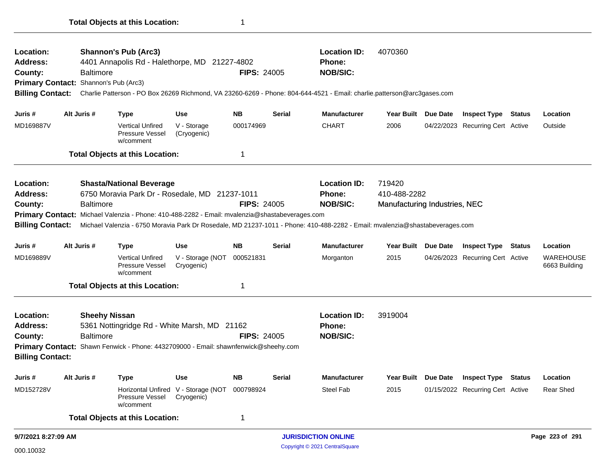| Location:<br>Address:<br>County:<br><b>Billing Contact:</b> | <b>Baltimore</b><br>Primary Contact: Shannon's Pub (Arc3) | <b>Shannon's Pub (Arc3)</b><br>4401 Annapolis Rd - Halethorpe, MD 21227-4802                   |                                                   | <b>Location ID:</b><br>4070360<br><b>Phone:</b><br><b>NOB/SIC:</b><br><b>FIPS: 24005</b><br>Charlie Patterson - PO Box 26269 Richmond, VA 23260-6269 - Phone: 804-644-4521 - Email: charlie.patterson@arc3gases.com |               |                                                                                                                              |                               |          |                                  |               |                                   |
|-------------------------------------------------------------|-----------------------------------------------------------|------------------------------------------------------------------------------------------------|---------------------------------------------------|---------------------------------------------------------------------------------------------------------------------------------------------------------------------------------------------------------------------|---------------|------------------------------------------------------------------------------------------------------------------------------|-------------------------------|----------|----------------------------------|---------------|-----------------------------------|
| Juris #                                                     | Alt Juris #                                               | <b>Type</b>                                                                                    | <b>Use</b>                                        | <b>NB</b>                                                                                                                                                                                                           | <b>Serial</b> | <b>Manufacturer</b>                                                                                                          | Year Built Due Date           |          | <b>Inspect Type Status</b>       |               | Location                          |
| MD169887V                                                   |                                                           | <b>Vertical Unfired</b><br><b>Pressure Vessel</b><br>w/comment                                 | V - Storage<br>(Cryogenic)                        | 000174969                                                                                                                                                                                                           |               | <b>CHART</b>                                                                                                                 | 2006                          |          | 04/22/2023 Recurring Cert Active |               | Outside                           |
|                                                             |                                                           | <b>Total Objects at this Location:</b>                                                         |                                                   | -1                                                                                                                                                                                                                  |               |                                                                                                                              |                               |          |                                  |               |                                   |
| Location:                                                   |                                                           | <b>Shasta/National Beverage</b>                                                                |                                                   |                                                                                                                                                                                                                     |               | <b>Location ID:</b>                                                                                                          | 719420                        |          |                                  |               |                                   |
| <b>Address:</b>                                             |                                                           | 6750 Moravia Park Dr - Rosedale, MD 21237-1011                                                 |                                                   |                                                                                                                                                                                                                     |               | Phone:                                                                                                                       | 410-488-2282                  |          |                                  |               |                                   |
| County:                                                     | <b>Baltimore</b>                                          |                                                                                                |                                                   | <b>FIPS: 24005</b>                                                                                                                                                                                                  |               | <b>NOB/SIC:</b>                                                                                                              | Manufacturing Industries, NEC |          |                                  |               |                                   |
|                                                             |                                                           | Primary Contact: Michael Valenzia - Phone: 410-488-2282 - Email: mvalenzia@shastabeverages.com |                                                   |                                                                                                                                                                                                                     |               |                                                                                                                              |                               |          |                                  |               |                                   |
| <b>Billing Contact:</b>                                     |                                                           |                                                                                                |                                                   |                                                                                                                                                                                                                     |               | Michael Valenzia - 6750 Moravia Park Dr Rosedale, MD 21237-1011 - Phone: 410-488-2282 - Email: mvalenzia@shastabeverages.com |                               |          |                                  |               |                                   |
| Juris #                                                     | Alt Juris #                                               | <b>Type</b>                                                                                    | <b>Use</b>                                        | <b>NB</b>                                                                                                                                                                                                           | <b>Serial</b> | Manufacturer                                                                                                                 | Year Built                    | Due Date | <b>Inspect Type</b>              | Status        | Location                          |
| MD169889V                                                   |                                                           | <b>Vertical Unfired</b><br>Pressure Vessel<br>w/comment                                        | V - Storage (NOT<br>Cryogenic)                    | 000521831                                                                                                                                                                                                           |               | Morganton                                                                                                                    | 2015                          |          | 04/26/2023 Recurring Cert Active |               | <b>WAREHOUSE</b><br>6663 Building |
|                                                             |                                                           | <b>Total Objects at this Location:</b>                                                         |                                                   | $\mathbf 1$                                                                                                                                                                                                         |               |                                                                                                                              |                               |          |                                  |               |                                   |
| Location:<br><b>Address:</b>                                | <b>Sheehy Nissan</b>                                      | 5361 Nottingridge Rd - White Marsh, MD 21162                                                   |                                                   |                                                                                                                                                                                                                     |               | <b>Location ID:</b><br>Phone:                                                                                                | 3919004                       |          |                                  |               |                                   |
| County:                                                     | <b>Baltimore</b>                                          |                                                                                                |                                                   | <b>FIPS: 24005</b>                                                                                                                                                                                                  |               | <b>NOB/SIC:</b>                                                                                                              |                               |          |                                  |               |                                   |
| <b>Billing Contact:</b>                                     |                                                           | Primary Contact: Shawn Fenwick - Phone: 4432709000 - Email: shawnfenwick@sheehy.com            |                                                   |                                                                                                                                                                                                                     |               |                                                                                                                              |                               |          |                                  |               |                                   |
| Juris #                                                     | Alt Juris #                                               | <b>Type</b>                                                                                    | <b>Use</b>                                        | <b>NB</b>                                                                                                                                                                                                           | <b>Serial</b> | Manufacturer                                                                                                                 | <b>Year Built</b>             | Due Date | <b>Inspect Type</b>              | <b>Status</b> | Location                          |
| MD152728V                                                   |                                                           | Pressure Vessel<br>w/comment                                                                   | Horizontal Unfired V - Storage (NOT<br>Cryogenic) | 000798924                                                                                                                                                                                                           |               | <b>Steel Fab</b>                                                                                                             | 2015                          |          | 01/15/2022 Recurring Cert Active |               | Rear Shed                         |
|                                                             |                                                           | <b>Total Objects at this Location:</b>                                                         |                                                   | $\mathbf 1$                                                                                                                                                                                                         |               |                                                                                                                              |                               |          |                                  |               |                                   |
| 9/7/2021 8:27:09 AM                                         |                                                           |                                                                                                |                                                   |                                                                                                                                                                                                                     |               | <b>JURISDICTION ONLINE</b>                                                                                                   |                               |          |                                  |               | Page 223 of 291                   |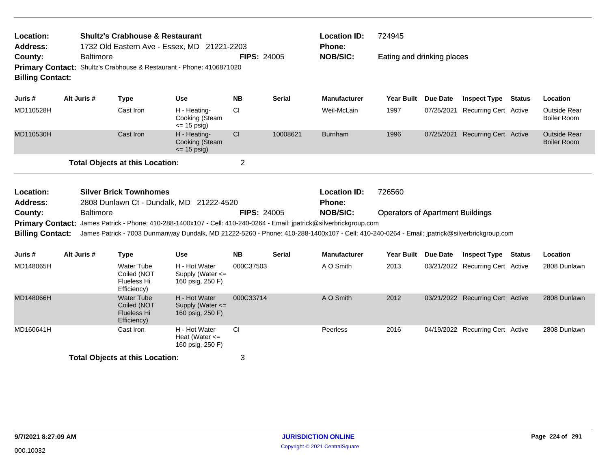| Location:<br><b>Address:</b>       | <b>Shultz's Crabhouse &amp; Restaurant</b><br>1732 Old Eastern Ave - Essex, MD 21221-2203 |                  |                                                                           |                                                         |                    |               | <b>Location ID:</b><br>Phone:                                                                                                               | 724945                                  |                 |                                  |                                           |
|------------------------------------|-------------------------------------------------------------------------------------------|------------------|---------------------------------------------------------------------------|---------------------------------------------------------|--------------------|---------------|---------------------------------------------------------------------------------------------------------------------------------------------|-----------------------------------------|-----------------|----------------------------------|-------------------------------------------|
| County:<br><b>Billing Contact:</b> |                                                                                           | <b>Baltimore</b> | Primary Contact: Shultz's Crabhouse & Restaurant - Phone: 4106871020      |                                                         | <b>FIPS: 24005</b> |               | <b>NOB/SIC:</b>                                                                                                                             | Eating and drinking places              |                 |                                  |                                           |
| Juris #                            |                                                                                           | Alt Juris #      | <b>Type</b>                                                               | <b>Use</b>                                              | <b>NB</b>          | <b>Serial</b> | <b>Manufacturer</b>                                                                                                                         | <b>Year Built</b>                       | <b>Due Date</b> | <b>Inspect Type Status</b>       | Location                                  |
| MD110528H                          |                                                                                           |                  | Cast Iron                                                                 | H - Heating-<br>Cooking (Steam<br>$\leq$ 15 psig)       | <b>CI</b>          |               | Weil-McLain                                                                                                                                 | 1997                                    |                 | 07/25/2021 Recurring Cert Active | <b>Outside Rear</b><br><b>Boiler Room</b> |
| MD110530H                          |                                                                                           |                  | Cast Iron                                                                 | H - Heating-<br>Cooking (Steam<br>$\le$ 15 psig)        | CI                 | 10008621      | <b>Burnham</b>                                                                                                                              | 1996                                    | 07/25/2021      | <b>Recurring Cert Active</b>     | <b>Outside Rear</b><br><b>Boiler Room</b> |
|                                    |                                                                                           |                  | <b>Total Objects at this Location:</b>                                    |                                                         | $\overline{2}$     |               |                                                                                                                                             |                                         |                 |                                  |                                           |
| Location:<br><b>Address:</b>       |                                                                                           |                  | <b>Silver Brick Townhomes</b><br>2808 Dunlawn Ct - Dundalk, MD 21222-4520 |                                                         |                    |               | <b>Location ID:</b><br>Phone:                                                                                                               | 726560                                  |                 |                                  |                                           |
| County:                            |                                                                                           | <b>Baltimore</b> |                                                                           |                                                         | <b>FIPS: 24005</b> |               | <b>NOB/SIC:</b>                                                                                                                             | <b>Operators of Apartment Buildings</b> |                 |                                  |                                           |
|                                    |                                                                                           |                  |                                                                           |                                                         |                    |               | Primary Contact: James Patrick - Phone: 410-288-1400x107 - Cell: 410-240-0264 - Email: jpatrick@silverbrickgroup.com                        |                                         |                 |                                  |                                           |
| <b>Billing Contact:</b>            |                                                                                           |                  |                                                                           |                                                         |                    |               | James Patrick - 7003 Dunmanway Dundalk, MD 21222-5260 - Phone: 410-288-1400x107 - Cell: 410-240-0264 - Email: jpatrick@silverbrickgroup.com |                                         |                 |                                  |                                           |
| Juris #                            |                                                                                           | Alt Juris #      | <b>Type</b>                                                               | <b>Use</b>                                              | <b>NB</b>          | <b>Serial</b> | <b>Manufacturer</b>                                                                                                                         | Year Built Due Date                     |                 | <b>Inspect Type Status</b>       | Location                                  |
| MD148065H                          |                                                                                           |                  | <b>Water Tube</b><br>Coiled (NOT<br>Flueless Hi<br>Efficiency)            | H - Hot Water<br>Supply (Water <=<br>160 psig, 250 F)   | 000C37503          |               | A O Smith                                                                                                                                   | 2013                                    |                 | 03/21/2022 Recurring Cert Active | 2808 Dunlawn                              |
| MD148066H                          |                                                                                           |                  | <b>Water Tube</b><br>Coiled (NOT<br><b>Flueless Hi</b><br>Efficiency)     | H - Hot Water<br>Supply (Water <=<br>160 psig, 250 F)   | 000C33714          |               | A O Smith                                                                                                                                   | 2012                                    |                 | 03/21/2022 Recurring Cert Active | 2808 Dunlawn                              |
| MD160641H                          |                                                                                           |                  | Cast Iron                                                                 | H - Hot Water<br>Heat (Water $\leq$<br>160 psig, 250 F) | <b>CI</b>          |               | Peerless                                                                                                                                    | 2016                                    |                 | 04/19/2022 Recurring Cert Active | 2808 Dunlawn                              |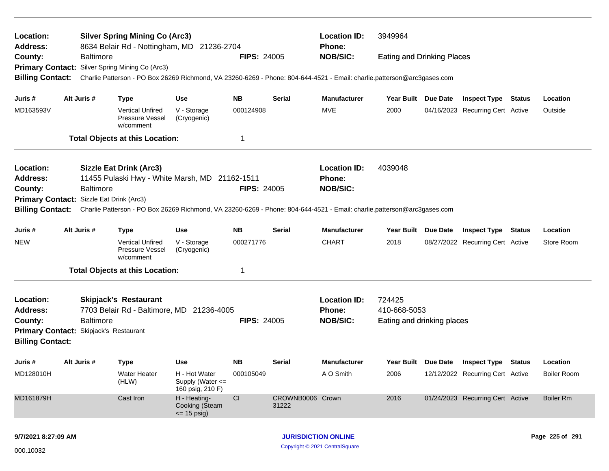| Location:<br><b>Silver Spring Mining Co (Arc3)</b><br>8634 Belair Rd - Nottingham, MD 21236-2704<br><b>Address:</b><br><b>Baltimore</b><br>County:<br>Primary Contact: Silver Spring Mining Co (Arc3) |                                                                                                                                                    |                  |                                                                                                                         |                                                       |                    |                           | <b>Location ID:</b><br><b>Phone:</b> | 3949964                           |                                  |        |                    |
|-------------------------------------------------------------------------------------------------------------------------------------------------------------------------------------------------------|----------------------------------------------------------------------------------------------------------------------------------------------------|------------------|-------------------------------------------------------------------------------------------------------------------------|-------------------------------------------------------|--------------------|---------------------------|--------------------------------------|-----------------------------------|----------------------------------|--------|--------------------|
|                                                                                                                                                                                                       |                                                                                                                                                    |                  |                                                                                                                         |                                                       | <b>FIPS: 24005</b> |                           | <b>NOB/SIC:</b>                      | <b>Eating and Drinking Places</b> |                                  |        |                    |
|                                                                                                                                                                                                       |                                                                                                                                                    |                  |                                                                                                                         |                                                       |                    |                           |                                      |                                   |                                  |        |                    |
| <b>Billing Contact:</b>                                                                                                                                                                               |                                                                                                                                                    |                  | Charlie Patterson - PO Box 26269 Richmond, VA 23260-6269 - Phone: 804-644-4521 - Email: charlie.patterson@arc3gases.com |                                                       |                    |                           |                                      |                                   |                                  |        |                    |
| Juris #                                                                                                                                                                                               |                                                                                                                                                    | Alt Juris #      | <b>Type</b>                                                                                                             | <b>Use</b>                                            | <b>NB</b>          | <b>Serial</b>             | <b>Manufacturer</b>                  | Year Built Due Date               | <b>Inspect Type Status</b>       |        | Location           |
| MD163593V                                                                                                                                                                                             |                                                                                                                                                    |                  | <b>Vertical Unfired</b><br>Pressure Vessel<br>w/comment                                                                 | V - Storage<br>(Cryogenic)                            | 000124908          |                           | <b>MVE</b>                           | 2000                              | 04/16/2023 Recurring Cert Active |        | Outside            |
|                                                                                                                                                                                                       |                                                                                                                                                    |                  | <b>Total Objects at this Location:</b>                                                                                  |                                                       | -1                 |                           |                                      |                                   |                                  |        |                    |
| Location:                                                                                                                                                                                             |                                                                                                                                                    |                  | <b>Sizzle Eat Drink (Arc3)</b>                                                                                          |                                                       |                    |                           | <b>Location ID:</b>                  | 4039048                           |                                  |        |                    |
| <b>Address:</b>                                                                                                                                                                                       |                                                                                                                                                    |                  | 11455 Pulaski Hwy - White Marsh, MD 21162-1511                                                                          |                                                       |                    |                           | Phone:                               |                                   |                                  |        |                    |
| County:                                                                                                                                                                                               |                                                                                                                                                    | <b>Baltimore</b> |                                                                                                                         |                                                       | <b>FIPS: 24005</b> |                           | <b>NOB/SIC:</b>                      |                                   |                                  |        |                    |
|                                                                                                                                                                                                       | Primary Contact: Sizzle Eat Drink (Arc3)                                                                                                           |                  |                                                                                                                         |                                                       |                    |                           |                                      |                                   |                                  |        |                    |
|                                                                                                                                                                                                       | <b>Billing Contact:</b><br>Charlie Patterson - PO Box 26269 Richmond, VA 23260-6269 - Phone: 804-644-4521 - Email: charlie.patterson@arc3gases.com |                  |                                                                                                                         |                                                       |                    |                           |                                      |                                   |                                  |        |                    |
| Juris #                                                                                                                                                                                               |                                                                                                                                                    | Alt Juris #      | <b>Type</b>                                                                                                             | Use                                                   | <b>NB</b>          | <b>Serial</b>             | <b>Manufacturer</b>                  | Year Built Due Date               | <b>Inspect Type</b>              | Status | Location           |
| <b>NEW</b>                                                                                                                                                                                            |                                                                                                                                                    |                  | <b>Vertical Unfired</b><br>Pressure Vessel<br>w/comment                                                                 | V - Storage<br>(Cryogenic)                            | 000271776          |                           | <b>CHART</b>                         | 2018                              | 08/27/2022 Recurring Cert Active |        | Store Room         |
|                                                                                                                                                                                                       |                                                                                                                                                    |                  | <b>Total Objects at this Location:</b>                                                                                  |                                                       | 1                  |                           |                                      |                                   |                                  |        |                    |
| Location:                                                                                                                                                                                             |                                                                                                                                                    |                  | <b>Skipjack's Restaurant</b>                                                                                            |                                                       |                    |                           | <b>Location ID:</b>                  | 724425                            |                                  |        |                    |
| Address:                                                                                                                                                                                              |                                                                                                                                                    |                  | 7703 Belair Rd - Baltimore, MD 21236-4005                                                                               |                                                       |                    |                           | Phone:                               | 410-668-5053                      |                                  |        |                    |
| County:                                                                                                                                                                                               |                                                                                                                                                    | <b>Baltimore</b> |                                                                                                                         |                                                       | <b>FIPS: 24005</b> |                           | <b>NOB/SIC:</b>                      | Eating and drinking places        |                                  |        |                    |
| <b>Primary Contact: Skipjack's Restaurant</b>                                                                                                                                                         |                                                                                                                                                    |                  |                                                                                                                         |                                                       |                    |                           |                                      |                                   |                                  |        |                    |
| <b>Billing Contact:</b>                                                                                                                                                                               |                                                                                                                                                    |                  |                                                                                                                         |                                                       |                    |                           |                                      |                                   |                                  |        |                    |
| Juris #                                                                                                                                                                                               |                                                                                                                                                    | Alt Juris #      | <b>Type</b>                                                                                                             | <b>Use</b>                                            | NB.                | <b>Serial</b>             | <b>Manufacturer</b>                  | Year Built Due Date               | <b>Inspect Type Status</b>       |        | Location           |
| MD128010H                                                                                                                                                                                             |                                                                                                                                                    |                  | <b>Water Heater</b><br>(HLW)                                                                                            | H - Hot Water<br>Supply (Water <=<br>160 psig, 210 F) | 000105049          |                           | A O Smith                            | 2006                              | 12/12/2022 Recurring Cert Active |        | <b>Boiler Room</b> |
| MD161879H                                                                                                                                                                                             |                                                                                                                                                    |                  | Cast Iron                                                                                                               | H - Heating-<br>Cooking (Steam<br>$\le$ 15 psig)      | CI                 | CROWNB0006 Crown<br>31222 |                                      | 2016                              | 01/24/2023 Recurring Cert Active |        | <b>Boiler Rm</b>   |
|                                                                                                                                                                                                       |                                                                                                                                                    |                  |                                                                                                                         |                                                       |                    |                           |                                      |                                   |                                  |        |                    |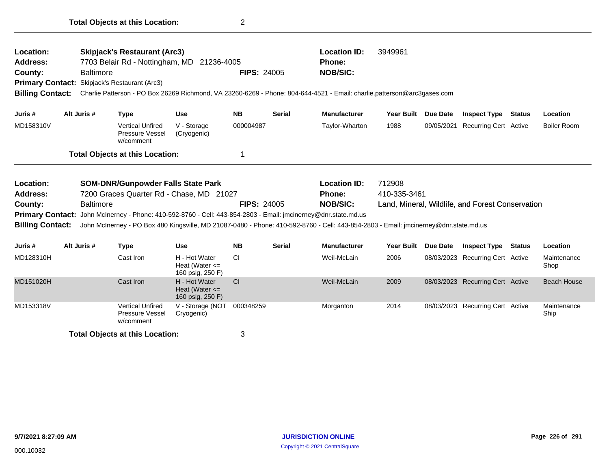| Location:<br>Address:<br>County:<br><b>Primary Contact:</b><br><b>Billing Contact:</b> | <b>Baltimore</b> | <b>Skipjack's Restaurant (Arc3)</b><br>Skipjack's Restaurant (Arc3) | 7703 Belair Rd - Nottingham, MD 21236-4005<br>Charlie Patterson - PO Box 26269 Richmond, VA 23260-6269 - Phone: 804-644-4521 - Email: charlie.patterson@arc3gases.com                                                                                                                              | <b>FIPS: 24005</b> |               | <b>Location ID:</b><br>Phone:<br><b>NOB/SIC:</b> | 3949961                |                 |                                                  |               |                     |
|----------------------------------------------------------------------------------------|------------------|---------------------------------------------------------------------|----------------------------------------------------------------------------------------------------------------------------------------------------------------------------------------------------------------------------------------------------------------------------------------------------|--------------------|---------------|--------------------------------------------------|------------------------|-----------------|--------------------------------------------------|---------------|---------------------|
| Juris #                                                                                | Alt Juris #      | <b>Type</b>                                                         | <b>Use</b>                                                                                                                                                                                                                                                                                         | <b>NB</b>          | <b>Serial</b> | <b>Manufacturer</b>                              | <b>Year Built</b>      | Due Date        | <b>Inspect Type</b>                              | <b>Status</b> | Location            |
| MD158310V                                                                              |                  | <b>Vertical Unfired</b><br>Pressure Vessel<br>w/comment             | V - Storage<br>(Cryogenic)                                                                                                                                                                                                                                                                         | 000004987          |               | Taylor-Wharton                                   | 1988                   | 09/05/2021      | <b>Recurring Cert Active</b>                     |               | <b>Boiler Room</b>  |
|                                                                                        |                  | <b>Total Objects at this Location:</b>                              |                                                                                                                                                                                                                                                                                                    |                    |               |                                                  |                        |                 |                                                  |               |                     |
| Location:<br><b>Address:</b><br>County:<br><b>Billing Contact:</b>                     | <b>Baltimore</b> | <b>SOM-DNR/Gunpowder Falls State Park</b>                           | 7200 Graces Quarter Rd - Chase, MD 21027<br>Primary Contact: John McInerney - Phone: 410-592-8760 - Cell: 443-854-2803 - Email: jmcinerney@dnr.state.md.us<br>John McInerney - PO Box 480 Kingsville, MD 21087-0480 - Phone: 410-592-8760 - Cell: 443-854-2803 - Email: jmcinerney@dnr.state.md.us | <b>FIPS: 24005</b> |               | <b>Location ID:</b><br>Phone:<br><b>NOB/SIC:</b> | 712908<br>410-335-3461 |                 | Land, Mineral, Wildlife, and Forest Conservation |               |                     |
| Juris #                                                                                | Alt Juris #      | <b>Type</b>                                                         | <b>Use</b>                                                                                                                                                                                                                                                                                         | <b>NB</b>          | <b>Serial</b> | <b>Manufacturer</b>                              | <b>Year Built</b>      | <b>Due Date</b> | <b>Inspect Type</b>                              | Status        | Location            |
| MD128310H                                                                              |                  | Cast Iron                                                           | H - Hot Water<br>Heat (Water $\leq$<br>160 psig, 250 F)                                                                                                                                                                                                                                            | <b>CI</b>          |               | Weil-McLain                                      | 2006                   |                 | 08/03/2023 Recurring Cert Active                 |               | Maintenance<br>Shop |
| MD151020H                                                                              |                  | Cast Iron                                                           | H - Hot Water<br>Heat (Water $\leq$<br>160 psig, 250 F)                                                                                                                                                                                                                                            | CI                 |               | Weil-McLain                                      | 2009                   |                 | 08/03/2023 Recurring Cert Active                 |               | <b>Beach House</b>  |
| MD153318V                                                                              |                  | <b>Vertical Unfired</b><br>Pressure Vessel<br>w/comment             | V - Storage (NOT<br>Cryogenic)                                                                                                                                                                                                                                                                     | 000348259          |               | Morganton                                        | 2014                   |                 | 08/03/2023 Recurring Cert Active                 |               | Maintenance<br>Ship |
|                                                                                        |                  | <b>Total Objects at this Location:</b>                              |                                                                                                                                                                                                                                                                                                    | 3                  |               |                                                  |                        |                 |                                                  |               |                     |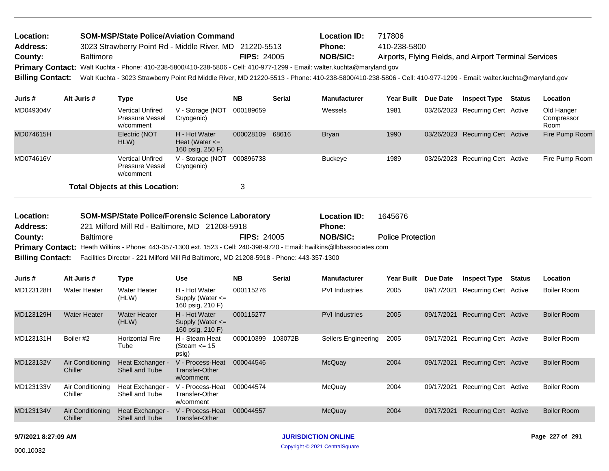| <b>Location:</b> | <b>SOM-MSP/State Police/Aviation Command</b>                                                                             |                    | <b>Location ID:</b> | 717806                                                                                                                                                                          |
|------------------|--------------------------------------------------------------------------------------------------------------------------|--------------------|---------------------|---------------------------------------------------------------------------------------------------------------------------------------------------------------------------------|
| <b>Address:</b>  | 3023 Strawberry Point Rd - Middle River, MD 21220-5513                                                                   |                    | <b>Phone:</b>       | 410-238-5800                                                                                                                                                                    |
| <b>County:</b>   | Baltimore                                                                                                                | <b>FIPS: 24005</b> | <b>NOB/SIC:</b>     | Airports, Flying Fields, and Airport Terminal Services                                                                                                                          |
|                  | Primary Contact: Walt Kuchta - Phone: 410-238-5800/410-238-5806 - Cell: 410-977-1299 - Email: walter.kuchta@maryland.gov |                    |                     |                                                                                                                                                                                 |
|                  |                                                                                                                          |                    |                     | Billing Contact: Walt Kuchta - 3023 Strawberry Point Rd Middle River, MD 21220-5513 - Phone: 410-238-5800/410-238-5806 - Cell: 410-977-1299 - Email: walter.kuchta@maryland.gov |
|                  |                                                                                                                          |                    |                     |                                                                                                                                                                                 |

| Juris #   | Alt Juris # | Type                                                    | <b>Use</b>                                              | <b>NB</b> | <b>Serial</b> | <b>Manufacturer</b> | <b>Year Built</b> | <b>Due Date</b> | <b>Inspect Type</b>              | Status | Location                         |
|-----------|-------------|---------------------------------------------------------|---------------------------------------------------------|-----------|---------------|---------------------|-------------------|-----------------|----------------------------------|--------|----------------------------------|
| MD049304V |             | <b>Vertical Unfired</b><br>Pressure Vessel<br>w/comment | V - Storage (NOT<br>Cryogenic)                          | 000189659 |               | Wessels             | 1981              |                 | 03/26/2023 Recurring Cert Active |        | Old Hanger<br>Compressor<br>Room |
| MD074615H |             | Electric (NOT<br>HLW)                                   | H - Hot Water<br>Heat (Water $\leq$<br>160 psig, 250 F) | 000028109 | 68616         | <b>Bryan</b>        | 1990              |                 | 03/26/2023 Recurring Cert Active |        | Fire Pump Room                   |
| MD074616V |             | <b>Vertical Unfired</b><br>Pressure Vessel<br>w/comment | V - Storage (NOT<br>Cryogenic)                          | 000896738 |               | <b>Buckeye</b>      | 1989              |                 | 03/26/2023 Recurring Cert Active |        | Fire Pump Room                   |
|           |             | <b>Total Objects at this Location:</b>                  |                                                         | ⌒<br>C    |               |                     |                   |                 |                                  |        |                                  |

| Location:       | <b>SOM-MSP/State Police/Forensic Science Laboratory</b>                                                                 |                    | <b>Location ID:</b> | 1645676                  |
|-----------------|-------------------------------------------------------------------------------------------------------------------------|--------------------|---------------------|--------------------------|
| <b>Address:</b> | 221 Milford Mill Rd - Baltimore, MD 21208-5918                                                                          |                    | <b>Phone:</b>       |                          |
| County:         | <b>Baltimore</b>                                                                                                        | <b>FIPS: 24005</b> | NOB/SIC:            | <b>Police Protection</b> |
|                 | Primary Contact: Heath Wilkins - Phone: 443-357-1300 ext. 1523 - Cell: 240-398-9720 - Email: hwilkins@lbbassociates.com |                    |                     |                          |
|                 | Billing Contact: Facilities Director - 221 Milford Mill Rd Baltimore, MD 21208-5918 - Phone: 443-357-1300               |                    |                     |                          |

| Juris #   | Alt Juris #                 | Type                               | <b>Use</b>                                                | <b>NB</b> | <b>Serial</b> | <b>Manufacturer</b>        | <b>Year Built</b> | Due Date   | <b>Inspect Type</b>          | Status | <b>Location</b>    |
|-----------|-----------------------------|------------------------------------|-----------------------------------------------------------|-----------|---------------|----------------------------|-------------------|------------|------------------------------|--------|--------------------|
| MD123128H | <b>Water Heater</b>         | <b>Water Heater</b><br>(HLW)       | H - Hot Water<br>Supply (Water $\leq$<br>160 psig, 210 F) | 000115276 |               | <b>PVI</b> Industries      | 2005              | 09/17/2021 | Recurring Cert Active        |        | Boiler Room        |
| MD123129H | <b>Water Heater</b>         | Water Heater<br>(HLW)              | H - Hot Water<br>Supply (Water $\leq$<br>160 psig, 210 F) | 000115277 |               | <b>PVI</b> Industries      | 2005              | 09/17/2021 | <b>Recurring Cert Active</b> |        | <b>Boiler Room</b> |
| MD123131H | Boiler #2                   | <b>Horizontal Fire</b><br>Tube     | H - Steam Heat<br>(Steam $\le$ 15<br>psig)                | 000010399 | 103072B       | <b>Sellers Engineering</b> | 2005              | 09/17/2021 | Recurring Cert Active        |        | Boiler Room        |
| MD123132V | Air Conditioning<br>Chiller | Heat Exchanger -<br>Shell and Tube | V - Process-Heat<br><b>Transfer-Other</b><br>w/comment    | 000044546 |               | McQuay                     | 2004              | 09/17/2021 | <b>Recurring Cert Active</b> |        | <b>Boiler Room</b> |
| MD123133V | Air Conditioning<br>Chiller | Heat Exchanger -<br>Shell and Tube | V - Process-Heat<br>Transfer-Other<br>w/comment           | 000044574 |               | McQuay                     | 2004              | 09/17/2021 | Recurring Cert Active        |        | Boiler Room        |
| MD123134V | Air Conditioning<br>Chiller | Heat Exchanger -<br>Shell and Tube | V - Process-Heat<br>Transfer-Other                        | 000044557 |               | McQuay                     | 2004              | 09/17/2021 | <b>Recurring Cert Active</b> |        | <b>Boiler Room</b> |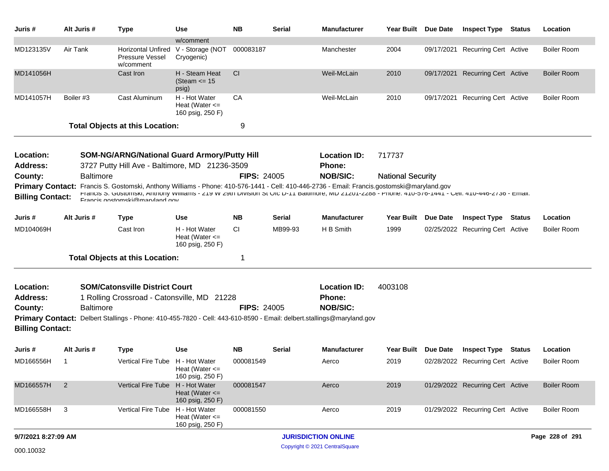| Juris #                                            | Alt Juris #      | <b>Type</b>                                                                                                                                                                                                                                                                                                          | Use                                                     | <b>NB</b>          | Serial        | Manufacturer               |                          | Year Built Due Date | <b>Inspect Type</b>              | Status        | Location           |
|----------------------------------------------------|------------------|----------------------------------------------------------------------------------------------------------------------------------------------------------------------------------------------------------------------------------------------------------------------------------------------------------------------|---------------------------------------------------------|--------------------|---------------|----------------------------|--------------------------|---------------------|----------------------------------|---------------|--------------------|
|                                                    |                  |                                                                                                                                                                                                                                                                                                                      | w/comment                                               |                    |               |                            |                          |                     |                                  |               |                    |
| MD123135V                                          | Air Tank         | Horizontal Unfired<br>Pressure Vessel<br>w/comment                                                                                                                                                                                                                                                                   | V - Storage (NOT<br>Cryogenic)                          | 000083187          |               | Manchester                 | 2004                     |                     | 09/17/2021 Recurring Cert Active |               | <b>Boiler Room</b> |
| MD141056H                                          |                  | Cast Iron                                                                                                                                                                                                                                                                                                            | H - Steam Heat<br>(Steam $\le$ 15<br>psig)              | CI                 |               | Weil-McLain                | 2010                     |                     | 09/17/2021 Recurring Cert Active |               | <b>Boiler Room</b> |
| MD141057H                                          | Boiler #3        | Cast Aluminum                                                                                                                                                                                                                                                                                                        | H - Hot Water<br>Heat (Water $\leq$<br>160 psig, 250 F) | CA                 |               | Weil-McLain                | 2010                     |                     | 09/17/2021 Recurring Cert Active |               | <b>Boiler Room</b> |
|                                                    |                  | <b>Total Objects at this Location:</b>                                                                                                                                                                                                                                                                               |                                                         | 9                  |               |                            |                          |                     |                                  |               |                    |
| Location:                                          |                  | <b>SOM-NG/ARNG/National Guard Armory/Putty Hill</b>                                                                                                                                                                                                                                                                  |                                                         |                    |               | <b>Location ID:</b>        | 717737                   |                     |                                  |               |                    |
| <b>Address:</b>                                    |                  | 3727 Putty Hill Ave - Baltimore, MD 21236-3509                                                                                                                                                                                                                                                                       |                                                         |                    |               | <b>Phone:</b>              |                          |                     |                                  |               |                    |
| County:                                            | <b>Baltimore</b> |                                                                                                                                                                                                                                                                                                                      |                                                         | <b>FIPS: 24005</b> |               | <b>NOB/SIC:</b>            | <b>National Security</b> |                     |                                  |               |                    |
| <b>Primary Contact:</b><br><b>Billing Contact:</b> |                  | Francis S. Gostomski, Anthony Williams - Phone: 410-576-1441 - Cell: 410-446-2736 - Email: Francis.gostomski@maryland.gov<br>Francis 5. GOStomski, Anthony Williams - Z19 W Z9th Division 5t OIC D-11 Baltimore, MD Z1Z01-ZZ88 - Fhone: 410-570-1441 - Cell: 410-440-Z730 - Emall:<br>Francis nostomski@marvland.nov |                                                         |                    |               |                            |                          |                     |                                  |               |                    |
| Juris #                                            | Alt Juris #      | <b>Type</b>                                                                                                                                                                                                                                                                                                          | <b>Use</b>                                              | <b>NB</b>          | <b>Serial</b> | <b>Manufacturer</b>        | <b>Year Built</b>        | <b>Due Date</b>     | <b>Inspect Type</b>              | <b>Status</b> | Location           |
| MD104069H                                          |                  | Cast Iron                                                                                                                                                                                                                                                                                                            | H - Hot Water<br>Heat (Water $\leq$<br>160 psig, 250 F) | <b>CI</b>          | MB99-93       | H B Smith                  | 1999                     |                     | 02/25/2022 Recurring Cert Active |               | Boiler Room        |
|                                                    |                  | <b>Total Objects at this Location:</b>                                                                                                                                                                                                                                                                               |                                                         | -1                 |               |                            |                          |                     |                                  |               |                    |
| Location:                                          |                  | <b>SOM/Catonsville District Court</b>                                                                                                                                                                                                                                                                                |                                                         |                    |               | <b>Location ID:</b>        | 4003108                  |                     |                                  |               |                    |
| <b>Address:</b>                                    |                  | 1 Rolling Crossroad - Catonsville, MD 21228                                                                                                                                                                                                                                                                          |                                                         |                    |               | <b>Phone:</b>              |                          |                     |                                  |               |                    |
| County:                                            | <b>Baltimore</b> |                                                                                                                                                                                                                                                                                                                      |                                                         | <b>FIPS: 24005</b> |               | <b>NOB/SIC:</b>            |                          |                     |                                  |               |                    |
| <b>Primary Contact:</b>                            |                  | Delbert Stallings - Phone: 410-455-7820 - Cell: 443-610-8590 - Email: delbert.stallings@maryland.gov                                                                                                                                                                                                                 |                                                         |                    |               |                            |                          |                     |                                  |               |                    |
| <b>Billing Contact:</b>                            |                  |                                                                                                                                                                                                                                                                                                                      |                                                         |                    |               |                            |                          |                     |                                  |               |                    |
| Juris #                                            | Alt Juris #      | <b>Type</b>                                                                                                                                                                                                                                                                                                          | Use                                                     | <b>NB</b>          | Serial        | <b>Manufacturer</b>        | <b>Year Built</b>        | Due Date            | <b>Inspect Type Status</b>       |               | Location           |
| MD166556H                                          | -1               | Vertical Fire Tube H - Hot Water                                                                                                                                                                                                                                                                                     | Heat (Water $\leq$<br>160 psig, 250 F)                  | 000081549          |               | Aerco                      | 2019                     |                     | 02/28/2022 Recurring Cert Active |               | <b>Boiler Room</b> |
| MD166557H                                          | $\overline{2}$   | <b>Vertical Fire Tube</b>                                                                                                                                                                                                                                                                                            | H - Hot Water<br>Heat (Water $\leq$<br>160 psig, 250 F) | 000081547          |               | Aerco                      | 2019                     |                     | 01/29/2022 Recurring Cert Active |               | <b>Boiler Room</b> |
| MD166558H                                          | 3                | <b>Vertical Fire Tube</b>                                                                                                                                                                                                                                                                                            | H - Hot Water<br>Heat (Water $\leq$<br>160 psig, 250 F) | 000081550          |               | Aerco                      | 2019                     |                     | 01/29/2022 Recurring Cert Active |               | <b>Boiler Room</b> |
| 9/7/2021 8:27:09 AM                                |                  |                                                                                                                                                                                                                                                                                                                      |                                                         |                    |               | <b>JURISDICTION ONLINE</b> |                          |                     |                                  |               | Page 228 of 291    |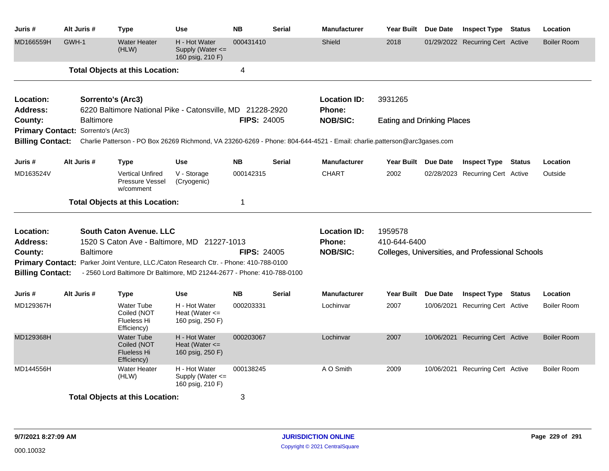| Juris #                 | Alt Juris #                        | Type                                                                                  | Use                                                       | <b>NB</b>          | <b>Serial</b> | <b>Manufacturer</b>                                                                                                     | Year Built Due Date               |                 | <b>Inspect Type Status</b>                       | Location           |
|-------------------------|------------------------------------|---------------------------------------------------------------------------------------|-----------------------------------------------------------|--------------------|---------------|-------------------------------------------------------------------------------------------------------------------------|-----------------------------------|-----------------|--------------------------------------------------|--------------------|
| MD166559H               | GWH-1                              | <b>Water Heater</b><br>(HLW)                                                          | H - Hot Water<br>Supply (Water $\leq$<br>160 psig, 210 F) | 000431410          |               | Shield                                                                                                                  | 2018                              |                 | 01/29/2022 Recurring Cert Active                 | <b>Boiler Room</b> |
|                         |                                    | <b>Total Objects at this Location:</b>                                                |                                                           | 4                  |               |                                                                                                                         |                                   |                 |                                                  |                    |
| Location:               |                                    | Sorrento's (Arc3)                                                                     |                                                           |                    |               | <b>Location ID:</b>                                                                                                     | 3931265                           |                 |                                                  |                    |
| <b>Address:</b>         |                                    | 6220 Baltimore National Pike - Catonsville, MD 21228-2920                             |                                                           |                    |               | <b>Phone:</b>                                                                                                           |                                   |                 |                                                  |                    |
| County:                 | <b>Baltimore</b>                   |                                                                                       |                                                           | <b>FIPS: 24005</b> |               | <b>NOB/SIC:</b>                                                                                                         | <b>Eating and Drinking Places</b> |                 |                                                  |                    |
|                         | Primary Contact: Sorrento's (Arc3) |                                                                                       |                                                           |                    |               |                                                                                                                         |                                   |                 |                                                  |                    |
| <b>Billing Contact:</b> |                                    |                                                                                       |                                                           |                    |               | Charlie Patterson - PO Box 26269 Richmond, VA 23260-6269 - Phone: 804-644-4521 - Email: charlie.patterson@arc3gases.com |                                   |                 |                                                  |                    |
| Juris #                 | Alt Juris #                        | Type                                                                                  | <b>Use</b>                                                | <b>NB</b>          | <b>Serial</b> | <b>Manufacturer</b>                                                                                                     | Year Built Due Date               |                 | <b>Inspect Type Status</b>                       | Location           |
| MD163524V               |                                    | <b>Vertical Unfired</b><br>Pressure Vessel<br>w/comment                               | V - Storage<br>(Cryogenic)                                | 000142315          |               | <b>CHART</b>                                                                                                            | 2002                              |                 | 02/28/2023 Recurring Cert Active                 | Outside            |
|                         |                                    | <b>Total Objects at this Location:</b>                                                |                                                           | $\mathbf 1$        |               |                                                                                                                         |                                   |                 |                                                  |                    |
| <b>Location:</b>        |                                    | <b>South Caton Avenue. LLC</b>                                                        |                                                           |                    |               | <b>Location ID:</b>                                                                                                     | 1959578                           |                 |                                                  |                    |
| <b>Address:</b>         |                                    | 1520 S Caton Ave - Baltimore, MD 21227-1013                                           |                                                           |                    |               | Phone:                                                                                                                  | 410-644-6400                      |                 |                                                  |                    |
| County:                 | <b>Baltimore</b>                   |                                                                                       |                                                           | <b>FIPS: 24005</b> |               | <b>NOB/SIC:</b>                                                                                                         |                                   |                 | Colleges, Universities, and Professional Schools |                    |
|                         |                                    | Primary Contact: Parker Joint Venture, LLC./Caton Research Ctr. - Phone: 410-788-0100 |                                                           |                    |               |                                                                                                                         |                                   |                 |                                                  |                    |
| <b>Billing Contact:</b> |                                    | - 2560 Lord Baltimore Dr Baltimore, MD 21244-2677 - Phone: 410-788-0100               |                                                           |                    |               |                                                                                                                         |                                   |                 |                                                  |                    |
| Juris #                 | Alt Juris #                        | Type                                                                                  | <b>Use</b>                                                | <b>NB</b>          | <b>Serial</b> | <b>Manufacturer</b>                                                                                                     | <b>Year Built</b>                 | <b>Due Date</b> | <b>Inspect Type Status</b>                       | Location           |
| MD129367H               |                                    | <b>Water Tube</b><br>Coiled (NOT<br><b>Flueless Hi</b><br>Efficiency)                 | H - Hot Water<br>Heat (Water $\leq$<br>160 psig, 250 F)   | 000203331          |               | Lochinvar                                                                                                               | 2007                              |                 | 10/06/2021 Recurring Cert Active                 | <b>Boiler Room</b> |
| MD129368H               |                                    | <b>Water Tube</b><br>Coiled (NOT<br><b>Flueless Hi</b><br>Efficiency)                 | H - Hot Water<br>Heat (Water $\leq$<br>160 psig, 250 F)   | 000203067          |               | Lochinvar                                                                                                               | 2007                              |                 | 10/06/2021 Recurring Cert Active                 | <b>Boiler Room</b> |
| MD144556H               |                                    | <b>Water Heater</b><br>(HLW)                                                          | H - Hot Water<br>Supply (Water <=<br>160 psig, 210 F)     | 000138245          |               | A O Smith                                                                                                               | 2009                              |                 | 10/06/2021 Recurring Cert Active                 | <b>Boiler Room</b> |
|                         |                                    | <b>Total Objects at this Location:</b>                                                |                                                           | 3                  |               |                                                                                                                         |                                   |                 |                                                  |                    |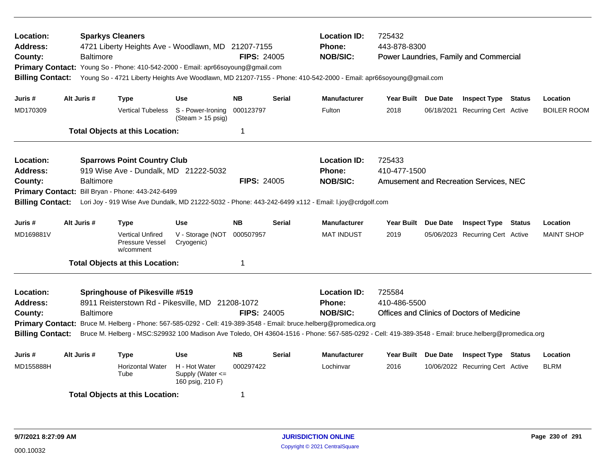| Location:<br><b>Address:</b><br>County:<br><b>Billing Contact:</b> |                                                                                                                                                                                                                                                                                                     | <b>Sparkys Cleaners</b><br><b>Baltimore</b> |                                                         | 4721 Liberty Heights Ave - Woodlawn, MD 21207-7155<br>Primary Contact: Young So - Phone: 410-542-2000 - Email: apr66soyoung@gmail.com | <b>FIPS: 24005</b> |               | <b>Location ID:</b><br><b>Phone:</b><br><b>NOB/SIC:</b><br>Young So - 4721 Liberty Heights Ave Woodlawn, MD 21207-7155 - Phone: 410-542-2000 - Email: apr66soyoung@gmail.com | 725432<br>443-878-8300 |          | Power Laundries, Family and Commercial        |        |                    |
|--------------------------------------------------------------------|-----------------------------------------------------------------------------------------------------------------------------------------------------------------------------------------------------------------------------------------------------------------------------------------------------|---------------------------------------------|---------------------------------------------------------|---------------------------------------------------------------------------------------------------------------------------------------|--------------------|---------------|------------------------------------------------------------------------------------------------------------------------------------------------------------------------------|------------------------|----------|-----------------------------------------------|--------|--------------------|
| Juris #                                                            |                                                                                                                                                                                                                                                                                                     | Alt Juris #                                 | <b>Type</b>                                             | <b>Use</b>                                                                                                                            | <b>NB</b>          | <b>Serial</b> | <b>Manufacturer</b>                                                                                                                                                          | <b>Year Built</b>      | Due Date | <b>Inspect Type Status</b>                    |        | Location           |
| MD170309                                                           |                                                                                                                                                                                                                                                                                                     |                                             | <b>Vertical Tubeless</b>                                | S - Power-Ironing<br>$(Steam > 15 \text{ psig})$                                                                                      | 000123797          |               | Fulton                                                                                                                                                                       | 2018                   |          | 06/18/2021 Recurring Cert Active              |        | <b>BOILER ROOM</b> |
|                                                                    |                                                                                                                                                                                                                                                                                                     |                                             | <b>Total Objects at this Location:</b>                  |                                                                                                                                       | 1                  |               |                                                                                                                                                                              |                        |          |                                               |        |                    |
| Location:                                                          |                                                                                                                                                                                                                                                                                                     |                                             | <b>Sparrows Point Country Club</b>                      |                                                                                                                                       |                    |               | <b>Location ID:</b>                                                                                                                                                          | 725433                 |          |                                               |        |                    |
| <b>Address:</b><br>County:                                         |                                                                                                                                                                                                                                                                                                     | <b>Baltimore</b>                            | 919 Wise Ave - Dundalk, MD 21222-5032                   |                                                                                                                                       | <b>FIPS: 24005</b> |               | Phone:<br><b>NOB/SIC:</b>                                                                                                                                                    | 410-477-1500           |          | <b>Amusement and Recreation Services, NEC</b> |        |                    |
|                                                                    |                                                                                                                                                                                                                                                                                                     |                                             | Primary Contact: Bill Bryan - Phone: 443-242-6499       |                                                                                                                                       |                    |               |                                                                                                                                                                              |                        |          |                                               |        |                    |
| <b>Billing Contact:</b>                                            |                                                                                                                                                                                                                                                                                                     |                                             |                                                         |                                                                                                                                       |                    |               | Lori Joy - 919 Wise Ave Dundalk, MD 21222-5032 - Phone: 443-242-6499 x112 - Email: I.joy@crdgolf.com                                                                         |                        |          |                                               |        |                    |
| Juris #                                                            |                                                                                                                                                                                                                                                                                                     | Alt Juris #                                 | <b>Type</b>                                             | <b>Use</b>                                                                                                                            | <b>NB</b>          | <b>Serial</b> | <b>Manufacturer</b>                                                                                                                                                          | <b>Year Built</b>      | Due Date | <b>Inspect Type</b>                           | Status | Location           |
| MD169881V                                                          |                                                                                                                                                                                                                                                                                                     |                                             | <b>Vertical Unfired</b><br>Pressure Vessel<br>w/comment | V - Storage (NOT<br>Cryogenic)                                                                                                        | 000507957          |               | <b>MAT INDUST</b>                                                                                                                                                            | 2019                   |          | 05/06/2023 Recurring Cert Active              |        | <b>MAINT SHOP</b>  |
|                                                                    |                                                                                                                                                                                                                                                                                                     |                                             | <b>Total Objects at this Location:</b>                  |                                                                                                                                       | 1                  |               |                                                                                                                                                                              |                        |          |                                               |        |                    |
| Location:                                                          |                                                                                                                                                                                                                                                                                                     |                                             | <b>Springhouse of Pikesville #519</b>                   |                                                                                                                                       |                    |               | <b>Location ID:</b>                                                                                                                                                          | 725584                 |          |                                               |        |                    |
| <b>Address:</b>                                                    |                                                                                                                                                                                                                                                                                                     |                                             |                                                         | 8911 Reisterstown Rd - Pikesville, MD 21208-1072                                                                                      |                    |               | <b>Phone:</b>                                                                                                                                                                | 410-486-5500           |          |                                               |        |                    |
| County:                                                            |                                                                                                                                                                                                                                                                                                     | <b>Baltimore</b>                            |                                                         |                                                                                                                                       | <b>FIPS: 24005</b> |               | <b>NOB/SIC:</b>                                                                                                                                                              |                        |          | Offices and Clinics of Doctors of Medicine    |        |                    |
|                                                                    | Primary Contact: Bruce M. Helberg - Phone: 567-585-0292 - Cell: 419-389-3548 - Email: bruce.helberg@promedica.org<br><b>Billing Contact:</b><br>Bruce M. Helberg - MSC:S29932 100 Madison Ave Toledo, OH 43604-1516 - Phone: 567-585-0292 - Cell: 419-389-3548 - Email: bruce.helberg@promedica.org |                                             |                                                         |                                                                                                                                       |                    |               |                                                                                                                                                                              |                        |          |                                               |        |                    |
| Juris #                                                            |                                                                                                                                                                                                                                                                                                     | Alt Juris #                                 | <b>Type</b>                                             | <b>Use</b>                                                                                                                            | <b>NB</b>          | <b>Serial</b> | <b>Manufacturer</b>                                                                                                                                                          | Year Built Due Date    |          | <b>Inspect Type Status</b>                    |        | Location           |
| MD155888H                                                          |                                                                                                                                                                                                                                                                                                     |                                             | <b>Horizontal Water</b><br>Tube                         | H - Hot Water<br>Supply (Water $\leq$<br>160 psig, 210 F)                                                                             | 000297422          |               | Lochinvar                                                                                                                                                                    | 2016                   |          | 10/06/2022 Recurring Cert Active              |        | <b>BLRM</b>        |
|                                                                    |                                                                                                                                                                                                                                                                                                     |                                             | <b>Total Objects at this Location:</b>                  |                                                                                                                                       | 1                  |               |                                                                                                                                                                              |                        |          |                                               |        |                    |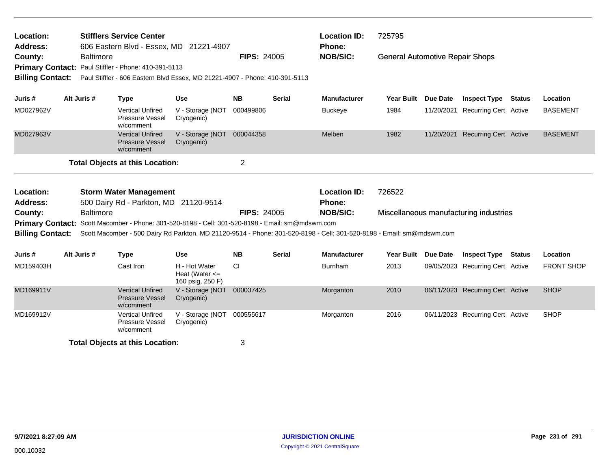| Location:<br>Address:              |                  | <b>Stifflers Service Center</b>                                        | 606 Eastern Blvd - Essex, MD 21221-4907                                                          |                    |               | <b>Location ID:</b><br><b>Phone:</b>                                                                                                     | 725795                                 |                 |                                        |                   |
|------------------------------------|------------------|------------------------------------------------------------------------|--------------------------------------------------------------------------------------------------|--------------------|---------------|------------------------------------------------------------------------------------------------------------------------------------------|----------------------------------------|-----------------|----------------------------------------|-------------------|
| County:<br><b>Billing Contact:</b> | <b>Baltimore</b> | Primary Contact: Paul Stiffler - Phone: 410-391-5113                   | Paul Stiffler - 606 Eastern Blvd Essex, MD 21221-4907 - Phone: 410-391-5113                      | <b>FIPS: 24005</b> |               | <b>NOB/SIC:</b>                                                                                                                          | <b>General Automotive Repair Shops</b> |                 |                                        |                   |
| Juris #                            | Alt Juris #      | <b>Type</b>                                                            | <b>Use</b>                                                                                       | <b>NB</b>          | <b>Serial</b> | <b>Manufacturer</b>                                                                                                                      | <b>Year Built</b>                      | Due Date        | <b>Inspect Type Status</b>             | Location          |
| MD027962V                          |                  | <b>Vertical Unfired</b><br>Pressure Vessel<br>w/comment                | V - Storage (NOT<br>Cryogenic)                                                                   | 000499806          |               | <b>Buckeye</b>                                                                                                                           | 1984                                   | 11/20/2021      | Recurring Cert Active                  | <b>BASEMENT</b>   |
| MD027963V                          |                  | <b>Vertical Unfired</b><br><b>Pressure Vessel</b><br>w/comment         | V - Storage (NOT 000044358<br>Cryogenic)                                                         |                    |               | Melben                                                                                                                                   | 1982                                   |                 | 11/20/2021 Recurring Cert Active       | <b>BASEMENT</b>   |
|                                    |                  | <b>Total Objects at this Location:</b>                                 |                                                                                                  | $\overline{c}$     |               |                                                                                                                                          |                                        |                 |                                        |                   |
| Location:<br><b>Address:</b>       |                  | <b>Storm Water Management</b><br>500 Dairy Rd - Parkton, MD 21120-9514 |                                                                                                  |                    |               | <b>Location ID:</b><br>Phone:                                                                                                            | 726522                                 |                 |                                        |                   |
| County:<br><b>Billing Contact:</b> | <b>Baltimore</b> |                                                                        | Primary Contact: Scott Macomber - Phone: 301-520-8198 - Cell: 301-520-8198 - Email: sm@mdswm.com | <b>FIPS: 24005</b> |               | <b>NOB/SIC:</b><br>Scott Macomber - 500 Dairy Rd Parkton, MD 21120-9514 - Phone: 301-520-8198 - Cell: 301-520-8198 - Email: sm@mdswm.com |                                        |                 | Miscellaneous manufacturing industries |                   |
| Juris #                            | Alt Juris #      | <b>Type</b>                                                            | <b>Use</b>                                                                                       | <b>NB</b>          | <b>Serial</b> | <b>Manufacturer</b>                                                                                                                      | <b>Year Built</b>                      | <b>Due Date</b> | <b>Inspect Type Status</b>             | Location          |
| MD159403H                          |                  | Cast Iron                                                              | H - Hot Water<br>Heat (Water $\leq$<br>160 psig, 250 F)                                          | <b>CI</b>          |               | <b>Burnham</b>                                                                                                                           | 2013                                   |                 | 09/05/2023 Recurring Cert Active       | <b>FRONT SHOP</b> |
| MD169911V                          |                  | <b>Vertical Unfired</b><br><b>Pressure Vessel</b><br>w/comment         | V - Storage (NOT 000037425<br>Cryogenic)                                                         |                    |               | Morganton                                                                                                                                | 2010                                   |                 | 06/11/2023 Recurring Cert Active       | <b>SHOP</b>       |
| MD169912V                          |                  | <b>Vertical Unfired</b><br>Pressure Vessel<br>w/comment                | V - Storage (NOT<br>Cryogenic)                                                                   | 000555617          |               | Morganton                                                                                                                                | 2016                                   |                 | 06/11/2023 Recurring Cert Active       | <b>SHOP</b>       |
|                                    |                  |                                                                        |                                                                                                  |                    |               |                                                                                                                                          |                                        |                 |                                        |                   |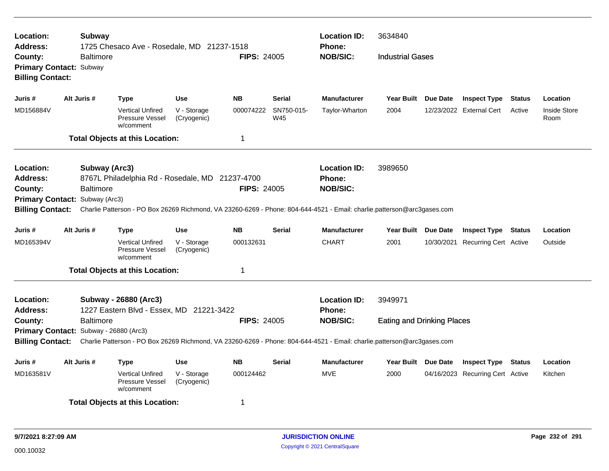| Location:<br>Address:                                                                  |             | Subway                                             |                                                                | 1725 Chesaco Ave - Rosedale, MD 21237-1518      |                    |                   | <b>Location ID:</b><br>3634840<br><b>Phone:</b><br><b>NOB/SIC:</b><br><b>Industrial Gases</b><br><b>Manufacturer</b><br><b>Year Built</b><br>Due Date<br><b>Inspect Type</b><br>Location<br>Status<br>2004<br>Taylor-Wharton<br>12/23/2022 External Cert<br>Active<br>Room<br><b>Location ID:</b><br>3989650<br>Phone:<br><b>NOB/SIC:</b><br>Charlie Patterson - PO Box 26269 Richmond, VA 23260-6269 - Phone: 804-644-4521 - Email: charlie.patterson@arc3gases.com<br><b>Manufacturer</b><br>Year Built Due Date<br><b>Inspect Type Status</b><br>Location<br><b>CHART</b><br>2001<br>10/30/2021 Recurring Cert Active<br>Outside<br><b>Location ID:</b><br>3949971<br><b>Phone:</b><br><b>NOB/SIC:</b><br><b>Eating and Drinking Places</b><br>Charlie Patterson - PO Box 26269 Richmond, VA 23260-6269 - Phone: 804-644-4521 - Email: charlie.patterson@arc3gases.com |                     |                                  |        |              |
|----------------------------------------------------------------------------------------|-------------|----------------------------------------------------|----------------------------------------------------------------|-------------------------------------------------|--------------------|-------------------|---------------------------------------------------------------------------------------------------------------------------------------------------------------------------------------------------------------------------------------------------------------------------------------------------------------------------------------------------------------------------------------------------------------------------------------------------------------------------------------------------------------------------------------------------------------------------------------------------------------------------------------------------------------------------------------------------------------------------------------------------------------------------------------------------------------------------------------------------------------------------|---------------------|----------------------------------|--------|--------------|
| County:<br><b>Primary Contact: Subway</b><br><b>Billing Contact:</b>                   |             | <b>Baltimore</b>                                   |                                                                |                                                 | <b>FIPS: 24005</b> |                   |                                                                                                                                                                                                                                                                                                                                                                                                                                                                                                                                                                                                                                                                                                                                                                                                                                                                           |                     |                                  |        |              |
| Juris #                                                                                | Alt Juris # |                                                    | <b>Type</b>                                                    | <b>Use</b>                                      | <b>NB</b>          | <b>Serial</b>     |                                                                                                                                                                                                                                                                                                                                                                                                                                                                                                                                                                                                                                                                                                                                                                                                                                                                           |                     |                                  |        |              |
| MD156884V                                                                              |             |                                                    | <b>Vertical Unfired</b><br>Pressure Vessel<br>w/comment        | V - Storage<br>(Cryogenic)                      | 000074222          | SN750-015-<br>W45 |                                                                                                                                                                                                                                                                                                                                                                                                                                                                                                                                                                                                                                                                                                                                                                                                                                                                           |                     |                                  |        | Inside Store |
|                                                                                        |             |                                                    | <b>Total Objects at this Location:</b>                         |                                                 | $\mathbf 1$        |                   |                                                                                                                                                                                                                                                                                                                                                                                                                                                                                                                                                                                                                                                                                                                                                                                                                                                                           |                     |                                  |        |              |
| Location:<br>Address:<br>County:<br><b>Primary Contact:</b><br><b>Billing Contact:</b> |             | Subway (Arc3)<br><b>Baltimore</b><br>Subway (Arc3) |                                                                | 8767L Philadelphia Rd - Rosedale, MD 21237-4700 | <b>FIPS: 24005</b> |                   |                                                                                                                                                                                                                                                                                                                                                                                                                                                                                                                                                                                                                                                                                                                                                                                                                                                                           |                     |                                  |        |              |
| Juris #                                                                                | Alt Juris # |                                                    | <b>Type</b>                                                    | <b>Use</b>                                      | <b>NB</b>          | <b>Serial</b>     |                                                                                                                                                                                                                                                                                                                                                                                                                                                                                                                                                                                                                                                                                                                                                                                                                                                                           |                     |                                  |        |              |
| MD165394V                                                                              |             |                                                    | <b>Vertical Unfired</b><br><b>Pressure Vessel</b><br>w/comment | V - Storage<br>(Cryogenic)                      | 000132631          |                   |                                                                                                                                                                                                                                                                                                                                                                                                                                                                                                                                                                                                                                                                                                                                                                                                                                                                           |                     |                                  |        |              |
|                                                                                        |             |                                                    | <b>Total Objects at this Location:</b>                         |                                                 | $\mathbf 1$        |                   |                                                                                                                                                                                                                                                                                                                                                                                                                                                                                                                                                                                                                                                                                                                                                                                                                                                                           |                     |                                  |        |              |
| Location:<br><b>Address:</b>                                                           |             |                                                    | Subway - 26880 (Arc3)                                          | 1227 Eastern Blvd - Essex, MD 21221-3422        |                    |                   |                                                                                                                                                                                                                                                                                                                                                                                                                                                                                                                                                                                                                                                                                                                                                                                                                                                                           |                     |                                  |        |              |
| County:<br>Primary Contact: Subway - 26880 (Arc3)                                      |             | <b>Baltimore</b>                                   |                                                                |                                                 | <b>FIPS: 24005</b> |                   |                                                                                                                                                                                                                                                                                                                                                                                                                                                                                                                                                                                                                                                                                                                                                                                                                                                                           |                     |                                  |        |              |
| <b>Billing Contact:</b>                                                                |             |                                                    |                                                                |                                                 |                    |                   |                                                                                                                                                                                                                                                                                                                                                                                                                                                                                                                                                                                                                                                                                                                                                                                                                                                                           |                     |                                  |        |              |
| Juris #                                                                                | Alt Juris # |                                                    | <b>Type</b>                                                    | <b>Use</b>                                      | <b>NB</b>          | <b>Serial</b>     | Manufacturer                                                                                                                                                                                                                                                                                                                                                                                                                                                                                                                                                                                                                                                                                                                                                                                                                                                              | Year Built Due Date | <b>Inspect Type</b>              | Status | Location     |
| MD163581V                                                                              |             |                                                    | <b>Vertical Unfired</b><br>Pressure Vessel<br>w/comment        | V - Storage<br>(Cryogenic)                      | 000124462          |                   | <b>MVE</b>                                                                                                                                                                                                                                                                                                                                                                                                                                                                                                                                                                                                                                                                                                                                                                                                                                                                | 2000                | 04/16/2023 Recurring Cert Active |        | Kitchen      |
|                                                                                        |             |                                                    | <b>Total Objects at this Location:</b>                         |                                                 | 1                  |                   |                                                                                                                                                                                                                                                                                                                                                                                                                                                                                                                                                                                                                                                                                                                                                                                                                                                                           |                     |                                  |        |              |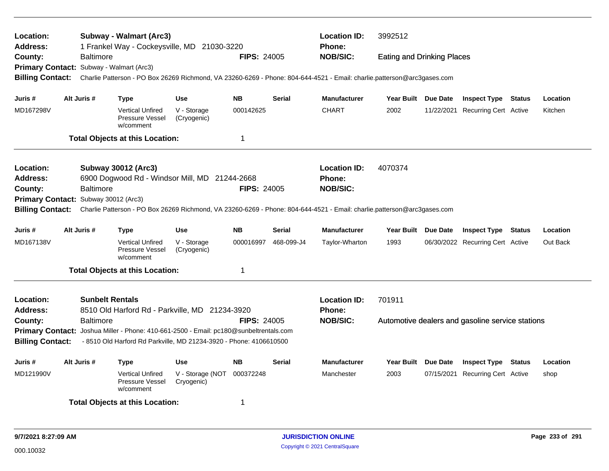| <b>Location:</b><br><b>Address:</b>                                                                                                                                                     | <b>Location ID:</b><br>3992512<br>Subway - Walmart (Arc3)<br>1 Frankel Way - Cockeysville, MD 21030-3220<br>Phone:<br><b>NOB/SIC:</b><br><b>FIPS: 24005</b><br><b>Baltimore</b><br><b>Eating and Drinking Places</b> |                        |                                                                |                                |                    |               |                                                                                                                         |                     |            |                                                  |        |          |
|-----------------------------------------------------------------------------------------------------------------------------------------------------------------------------------------|----------------------------------------------------------------------------------------------------------------------------------------------------------------------------------------------------------------------|------------------------|----------------------------------------------------------------|--------------------------------|--------------------|---------------|-------------------------------------------------------------------------------------------------------------------------|---------------------|------------|--------------------------------------------------|--------|----------|
| County:                                                                                                                                                                                 |                                                                                                                                                                                                                      |                        |                                                                |                                |                    |               |                                                                                                                         |                     |            |                                                  |        |          |
| Primary Contact: Subway - Walmart (Arc3)                                                                                                                                                |                                                                                                                                                                                                                      |                        |                                                                |                                |                    |               |                                                                                                                         |                     |            |                                                  |        |          |
| <b>Billing Contact:</b>                                                                                                                                                                 |                                                                                                                                                                                                                      |                        |                                                                |                                |                    |               | Charlie Patterson - PO Box 26269 Richmond, VA 23260-6269 - Phone: 804-644-4521 - Email: charlie.patterson@arc3gases.com |                     |            |                                                  |        |          |
| Juris #                                                                                                                                                                                 | Alt Juris #                                                                                                                                                                                                          |                        | <b>Type</b>                                                    | <b>Use</b>                     | <b>NB</b>          | <b>Serial</b> | <b>Manufacturer</b>                                                                                                     | Year Built Due Date |            | <b>Inspect Type Status</b>                       |        | Location |
| MD167298V                                                                                                                                                                               |                                                                                                                                                                                                                      |                        | <b>Vertical Unfired</b><br><b>Pressure Vessel</b><br>w/comment | V - Storage<br>(Cryogenic)     | 000142625          |               | <b>CHART</b>                                                                                                            | 2002                |            | 11/22/2021 Recurring Cert Active                 |        | Kitchen  |
|                                                                                                                                                                                         |                                                                                                                                                                                                                      |                        | <b>Total Objects at this Location:</b>                         |                                | $\mathbf 1$        |               |                                                                                                                         |                     |            |                                                  |        |          |
| <b>Location:</b>                                                                                                                                                                        |                                                                                                                                                                                                                      |                        | <b>Subway 30012 (Arc3)</b>                                     |                                |                    |               | <b>Location ID:</b>                                                                                                     | 4070374             |            |                                                  |        |          |
| <b>Address:</b>                                                                                                                                                                         |                                                                                                                                                                                                                      |                        | 6900 Dogwood Rd - Windsor Mill, MD 21244-2668                  |                                |                    |               | <b>Phone:</b>                                                                                                           |                     |            |                                                  |        |          |
| County:                                                                                                                                                                                 |                                                                                                                                                                                                                      | Baltimore              |                                                                |                                | <b>FIPS: 24005</b> |               | <b>NOB/SIC:</b>                                                                                                         |                     |            |                                                  |        |          |
| <b>Primary Contact:</b>                                                                                                                                                                 |                                                                                                                                                                                                                      | Subway 30012 (Arc3)    |                                                                |                                |                    |               |                                                                                                                         |                     |            |                                                  |        |          |
| <b>Billing Contact:</b>                                                                                                                                                                 |                                                                                                                                                                                                                      |                        |                                                                |                                |                    |               | Charlie Patterson - PO Box 26269 Richmond, VA 23260-6269 - Phone: 804-644-4521 - Email: charlie.patterson@arc3gases.com |                     |            |                                                  |        |          |
| Juris #                                                                                                                                                                                 | Alt Juris #                                                                                                                                                                                                          |                        | <b>Type</b>                                                    | <b>Use</b>                     | <b>NB</b>          | <b>Serial</b> | <b>Manufacturer</b>                                                                                                     | Year Built Due Date |            | <b>Inspect Type Status</b>                       |        | Location |
| MD167138V                                                                                                                                                                               |                                                                                                                                                                                                                      |                        | <b>Vertical Unfired</b><br>Pressure Vessel<br>w/comment        | V - Storage<br>(Cryogenic)     | 000016997          | 468-099-J4    | Taylor-Wharton                                                                                                          | 1993                |            | 06/30/2022 Recurring Cert Active                 |        | Out Back |
|                                                                                                                                                                                         |                                                                                                                                                                                                                      |                        | <b>Total Objects at this Location:</b>                         |                                | $\overline{1}$     |               |                                                                                                                         |                     |            |                                                  |        |          |
| Location:                                                                                                                                                                               |                                                                                                                                                                                                                      | <b>Sunbelt Rentals</b> |                                                                |                                |                    |               | <b>Location ID:</b>                                                                                                     | 701911              |            |                                                  |        |          |
| <b>Address:</b>                                                                                                                                                                         |                                                                                                                                                                                                                      |                        | 8510 Old Harford Rd - Parkville, MD 21234-3920                 |                                |                    |               | Phone:                                                                                                                  |                     |            |                                                  |        |          |
| County:                                                                                                                                                                                 |                                                                                                                                                                                                                      | <b>Baltimore</b>       |                                                                |                                | FIPS: 24005        |               | <b>NOB/SIC:</b>                                                                                                         |                     |            | Automotive dealers and gasoline service stations |        |          |
| Primary Contact: Joshua Miller - Phone: 410-661-2500 - Email: pc180@sunbeltrentals.com<br><b>Billing Contact:</b><br>- 8510 Old Harford Rd Parkville, MD 21234-3920 - Phone: 4106610500 |                                                                                                                                                                                                                      |                        |                                                                |                                |                    |               |                                                                                                                         |                     |            |                                                  |        |          |
|                                                                                                                                                                                         |                                                                                                                                                                                                                      |                        |                                                                |                                |                    |               |                                                                                                                         |                     |            |                                                  |        |          |
| Juris #                                                                                                                                                                                 | Alt Juris #                                                                                                                                                                                                          |                        | <b>Type</b>                                                    | <b>Use</b>                     | <b>NB</b>          | <b>Serial</b> | <b>Manufacturer</b>                                                                                                     | Year Built Due Date |            | <b>Inspect Type</b>                              | Status | Location |
| MD121990V                                                                                                                                                                               |                                                                                                                                                                                                                      |                        | <b>Vertical Unfired</b><br>Pressure Vessel<br>w/comment        | V - Storage (NOT<br>Cryogenic) | 000372248          |               | Manchester                                                                                                              | 2003                | 07/15/2021 | <b>Recurring Cert Active</b>                     |        | shop     |
|                                                                                                                                                                                         |                                                                                                                                                                                                                      |                        | <b>Total Objects at this Location:</b>                         |                                | -1                 |               |                                                                                                                         |                     |            |                                                  |        |          |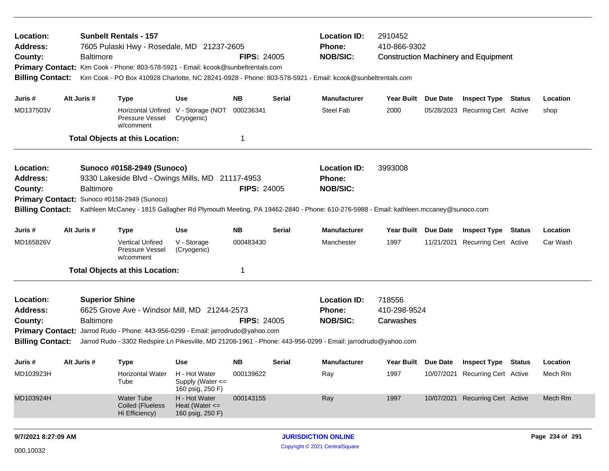| Location:<br><b>Address:</b><br>County:<br><b>Billing Contact:</b> | <b>Baltimore</b>                          | <b>Sunbelt Rentals - 157</b><br>7605 Pulaski Hwy - Rosedale, MD 21237-2605<br>Primary Contact: Kim Cook - Phone: 803-578-5921 - Email: kcook@sunbeltrentals.com |                                                                             | <b>FIPS: 24005</b>     |               | <b>Location ID:</b><br>Phone:<br><b>NOB/SIC:</b><br>Kim Cook - PO Box 410928 Charlotte, NC 28241-0928 - Phone: 803-578-5921 - Email: kcook@sunbeltrentals.com                              | 2910452<br>410-866-9302             |          | <b>Construction Machinery and Equipment</b>                    |               |                      |
|--------------------------------------------------------------------|-------------------------------------------|-----------------------------------------------------------------------------------------------------------------------------------------------------------------|-----------------------------------------------------------------------------|------------------------|---------------|--------------------------------------------------------------------------------------------------------------------------------------------------------------------------------------------|-------------------------------------|----------|----------------------------------------------------------------|---------------|----------------------|
| Juris #<br>MD137503V                                               | Alt Juris #                               | <b>Type</b><br><b>Pressure Vessel</b>                                                                                                                           | <b>Use</b><br>Horizontal Unfired V - Storage (NOT<br>Cryogenic)             | <b>NB</b><br>000236341 | <b>Serial</b> | <b>Manufacturer</b><br>Steel Fab                                                                                                                                                           | Year Built Due Date<br>2000         |          | <b>Inspect Type Status</b><br>05/28/2023 Recurring Cert Active |               | Location<br>shop     |
|                                                                    |                                           | w/comment<br><b>Total Objects at this Location:</b>                                                                                                             |                                                                             | 1                      |               |                                                                                                                                                                                            |                                     |          |                                                                |               |                      |
| Location:<br><b>Address:</b><br>County:<br><b>Billing Contact:</b> | <b>Baltimore</b>                          | Sunoco #0158-2949 (Sunoco)<br>9330 Lakeside Blvd - Owings Mills, MD 21117-4953<br>Primary Contact: Sunoco #0158-2949 (Sunoco)                                   |                                                                             | <b>FIPS: 24005</b>     |               | <b>Location ID:</b><br><b>Phone:</b><br><b>NOB/SIC:</b><br>Kathleen McCaney - 1815 Gallagher Rd Plymouth Meeting, PA 19462-2840 - Phone: 610-276-5988 - Email: kathleen.mccaney@sunoco.com | 3993008                             |          |                                                                |               |                      |
| Juris #<br>MD165826V                                               | Alt Juris #                               | <b>Type</b><br><b>Vertical Unfired</b><br><b>Pressure Vessel</b><br>w/comment                                                                                   | <b>Use</b><br>V - Storage<br>(Cryogenic)                                    | <b>NB</b><br>000483430 | <b>Serial</b> | <b>Manufacturer</b><br>Manchester                                                                                                                                                          | <b>Year Built</b><br>1997           | Due Date | <b>Inspect Type</b><br>11/21/2021 Recurring Cert Active        | <b>Status</b> | Location<br>Car Wash |
|                                                                    |                                           | <b>Total Objects at this Location:</b>                                                                                                                          |                                                                             | 1                      |               |                                                                                                                                                                                            |                                     |          |                                                                |               |                      |
| Location:<br><b>Address:</b><br>County:<br><b>Billing Contact:</b> | <b>Superior Shine</b><br><b>Baltimore</b> | 6625 Grove Ave - Windsor Mill, MD 21244-2573<br><b>Primary Contact:</b> Jarrod Rudo - Phone: 443-956-0299 - Email: jarrodrudo@yahoo.com                         |                                                                             | <b>FIPS: 24005</b>     |               | <b>Location ID:</b><br><b>Phone:</b><br><b>NOB/SIC:</b><br>Jarrod Rudo - 3302 Redspire Ln Pikesville, MD 21208-1961 - Phone: 443-956-0299 - Email: jarrodrudo@yahoo.com                    | 718556<br>410-298-9524<br>Carwashes |          |                                                                |               |                      |
| Juris #<br>MD103923H                                               | Alt Juris #                               | <b>Type</b><br><b>Horizontal Water</b><br>Tube                                                                                                                  | <b>Use</b><br>H - Hot Water<br>Supply (Water $\leq$                         | <b>NB</b><br>000139622 | <b>Serial</b> | <b>Manufacturer</b><br>Ray                                                                                                                                                                 | Year Built Due Date<br>1997         |          | <b>Inspect Type Status</b><br>10/07/2021 Recurring Cert Active |               | Location<br>Mech Rm  |
| MD103924H                                                          |                                           | <b>Water Tube</b><br>Coiled (Flueless<br>Hi Efficiency)                                                                                                         | 160 psig, 250 F)<br>H - Hot Water<br>Heat (Water $\leq$<br>160 psig, 250 F) | 000143155              |               | Ray                                                                                                                                                                                        | 1997                                |          | 10/07/2021 Recurring Cert Active                               |               | Mech Rm              |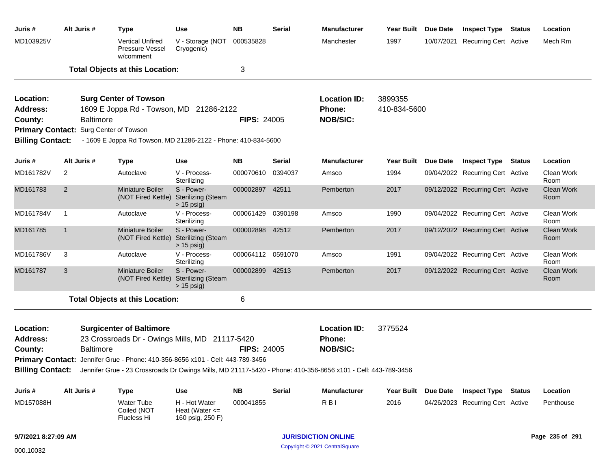| Juris #                                 | Alt Juris #                            | Type                                                                                                                          | <b>Use</b>                                                          | <b>NB</b>          | <b>Serial</b> | <b>Manufacturer</b>                                     | Year Built              | Due Date        | <b>Inspect Type Status</b>       | Location                  |
|-----------------------------------------|----------------------------------------|-------------------------------------------------------------------------------------------------------------------------------|---------------------------------------------------------------------|--------------------|---------------|---------------------------------------------------------|-------------------------|-----------------|----------------------------------|---------------------------|
| MD103925V                               |                                        | <b>Vertical Unfired</b><br>Pressure Vessel<br>w/comment                                                                       | V - Storage (NOT<br>Cryogenic)                                      | 000535828          |               | Manchester                                              | 1997                    |                 | 10/07/2021 Recurring Cert Active | Mech Rm                   |
|                                         |                                        | <b>Total Objects at this Location:</b>                                                                                        |                                                                     | 3                  |               |                                                         |                         |                 |                                  |                           |
| Location:<br>Address:                   |                                        | <b>Surg Center of Towson</b><br>1609 E Joppa Rd - Towson, MD 21286-2122                                                       |                                                                     |                    |               | <b>Location ID:</b><br>Phone:                           | 3899355<br>410-834-5600 |                 |                                  |                           |
| County:                                 | <b>Baltimore</b>                       |                                                                                                                               |                                                                     | <b>FIPS: 24005</b> |               | <b>NOB/SIC:</b>                                         |                         |                 |                                  |                           |
|                                         | Primary Contact: Surg Center of Towson |                                                                                                                               |                                                                     |                    |               |                                                         |                         |                 |                                  |                           |
| <b>Billing Contact:</b>                 |                                        | - 1609 E Joppa Rd Towson, MD 21286-2122 - Phone: 410-834-5600                                                                 |                                                                     |                    |               |                                                         |                         |                 |                                  |                           |
| Juris #                                 | Alt Juris #                            | <b>Type</b>                                                                                                                   | Use                                                                 | NB.                | Serial        | <b>Manufacturer</b>                                     | <b>Year Built</b>       | Due Date        | <b>Inspect Type Status</b>       | Location                  |
| MD161782V                               | 2                                      | Autoclave                                                                                                                     | V - Process-<br>Sterilizing                                         | 000070610          | 0394037       | Amsco                                                   | 1994                    |                 | 09/04/2022 Recurring Cert Active | Clean Work<br>Room        |
| MD161783                                | $\overline{2}$                         | Miniature Boiler                                                                                                              | S - Power-<br>(NOT Fired Kettle) Sterilizing (Steam<br>$> 15$ psig) | 000002897 42511    |               | Pemberton                                               | 2017                    |                 | 09/12/2022 Recurring Cert Active | <b>Clean Work</b><br>Room |
| MD161784V                               | -1                                     | Autoclave                                                                                                                     | V - Process-<br>Sterilizing                                         | 000061429 0390198  |               | Amsco                                                   | 1990                    |                 | 09/04/2022 Recurring Cert Active | Clean Work<br>Room        |
| MD161785                                | $\mathbf{1}$                           | Miniature Boiler                                                                                                              | S - Power-<br>(NOT Fired Kettle) Sterilizing (Steam<br>$> 15$ psig) | 000002898 42512    |               | Pemberton                                               | 2017                    |                 | 09/12/2022 Recurring Cert Active | <b>Clean Work</b><br>Room |
| MD161786V                               | 3                                      | Autoclave                                                                                                                     | V - Process-<br>Sterilizing                                         | 000064112 0591070  |               | Amsco                                                   | 1991                    |                 | 09/04/2022 Recurring Cert Active | Clean Work<br>Room        |
| MD161787                                | 3                                      | Miniature Boiler                                                                                                              | S - Power-<br>(NOT Fired Kettle) Sterilizing (Steam<br>$> 15$ psig) | 000002899 42513    |               | Pemberton                                               | 2017                    |                 | 09/12/2022 Recurring Cert Active | <b>Clean Work</b><br>Room |
|                                         |                                        | <b>Total Objects at this Location:</b>                                                                                        |                                                                     | 6                  |               |                                                         |                         |                 |                                  |                           |
| Location:<br><b>Address:</b><br>County: | <b>Baltimore</b>                       | <b>Surgicenter of Baltimore</b><br>23 Crossroads Dr - Owings Mills, MD 21117-5420                                             |                                                                     | <b>FIPS: 24005</b> |               | <b>Location ID:</b><br><b>Phone:</b><br><b>NOB/SIC:</b> | 3775524                 |                 |                                  |                           |
|                                         |                                        | Primary Contact: Jennifer Grue - Phone: 410-356-8656 x101 - Cell: 443-789-3456                                                |                                                                     |                    |               |                                                         |                         |                 |                                  |                           |
|                                         |                                        | Billing Contact: Jennifer Grue - 23 Crossroads Dr Owings Mills, MD 21117-5420 - Phone: 410-356-8656 x101 - Cell: 443-789-3456 |                                                                     |                    |               |                                                         |                         |                 |                                  |                           |
| Juris #                                 | Alt Juris #                            | <b>Type</b>                                                                                                                   | <b>Use</b>                                                          | <b>NB</b>          | <b>Serial</b> | <b>Manufacturer</b>                                     | <b>Year Built</b>       | <b>Due Date</b> | <b>Inspect Type Status</b>       | Location                  |
| MD157088H                               |                                        | Water Tube<br>Coiled (NOT<br><b>Flueless Hi</b>                                                                               | H - Hot Water<br>Heat (Water $\leq$<br>160 psig, 250 F)             | 000041855          |               | R <sub>BI</sub>                                         | 2016                    |                 | 04/26/2023 Recurring Cert Active | Penthouse                 |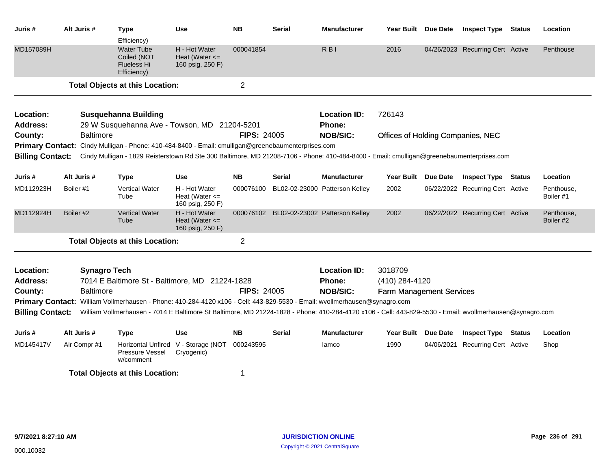| Juris #                 | Alt Juris #         | <b>Type</b><br>Efficiency)                                                                                                                               | <b>Use</b>                                              | <b>NB</b>          | <b>Serial</b> | <b>Manufacturer</b>                      | Year Built Due Date               | <b>Inspect Type Status</b>       | Location                |
|-------------------------|---------------------|----------------------------------------------------------------------------------------------------------------------------------------------------------|---------------------------------------------------------|--------------------|---------------|------------------------------------------|-----------------------------------|----------------------------------|-------------------------|
| MD157089H               |                     | <b>Water Tube</b><br>Coiled (NOT<br>Flueless Hi<br>Efficiency)                                                                                           | H - Hot Water<br>Heat (Water $\leq$<br>160 psig, 250 F) | 000041854          |               | $R$ <sub>B</sub> $\mid$                  | 2016                              | 04/26/2023 Recurring Cert Active | Penthouse               |
|                         |                     | <b>Total Objects at this Location:</b>                                                                                                                   |                                                         | $\overline{2}$     |               |                                          |                                   |                                  |                         |
| Location:               |                     | <b>Susquehanna Building</b>                                                                                                                              |                                                         |                    |               | <b>Location ID:</b>                      | 726143                            |                                  |                         |
| <b>Address:</b>         |                     | 29 W Susquehanna Ave - Towson, MD 21204-5201                                                                                                             |                                                         |                    |               | Phone:                                   |                                   |                                  |                         |
| County:                 | <b>Baltimore</b>    |                                                                                                                                                          |                                                         | <b>FIPS: 24005</b> |               | <b>NOB/SIC:</b>                          | Offices of Holding Companies, NEC |                                  |                         |
|                         |                     | Primary Contact: Cindy Mulligan - Phone: 410-484-8400 - Email: cmulligan@greenebaumenterprises.com                                                       |                                                         |                    |               |                                          |                                   |                                  |                         |
| <b>Billing Contact:</b> |                     | Cindy Mulligan - 1829 Reisterstown Rd Ste 300 Baltimore, MD 21208-7106 - Phone: 410-484-8400 - Email: cmulligan@greenebaumenterprises.com                |                                                         |                    |               |                                          |                                   |                                  |                         |
| Juris #                 | Alt Juris #         | <b>Type</b>                                                                                                                                              | <b>Use</b>                                              | <b>NB</b>          | Serial        | <b>Manufacturer</b>                      | Year Built Due Date               | <b>Inspect Type Status</b>       | Location                |
| MD112923H               | Boiler #1           | Vertical Water<br>Tube                                                                                                                                   | H - Hot Water<br>Heat (Water $\leq$<br>160 psig, 250 F) | 000076100          |               | BL02-02-23000 Patterson Kelley           | 2002                              | 06/22/2022 Recurring Cert Active | Penthouse,<br>Boiler #1 |
| MD112924H               | Boiler #2           | <b>Vertical Water</b><br>Tube                                                                                                                            | H - Hot Water<br>Heat (Water $\leq$<br>160 psig, 250 F) |                    |               | 000076102 BL02-02-23002 Patterson Kelley | 2002                              | 06/22/2022 Recurring Cert Active | Penthouse,<br>Boiler #2 |
|                         |                     | <b>Total Objects at this Location:</b>                                                                                                                   |                                                         | $\overline{2}$     |               |                                          |                                   |                                  |                         |
| Location:               | <b>Synagro Tech</b> |                                                                                                                                                          |                                                         |                    |               | <b>Location ID:</b>                      | 3018709                           |                                  |                         |
| <b>Address:</b>         |                     | 7014 E Baltimore St - Baltimore, MD 21224-1828                                                                                                           |                                                         |                    |               | Phone:                                   | (410) 284-4120                    |                                  |                         |
| County:                 | <b>Baltimore</b>    |                                                                                                                                                          |                                                         | <b>FIPS: 24005</b> |               | <b>NOB/SIC:</b>                          | <b>Farm Management Services</b>   |                                  |                         |
|                         |                     | Primary Contact: William Vollmerhausen - Phone: 410-284-4120 x106 - Cell: 443-829-5530 - Email: wvollmerhausen@synagro.com                               |                                                         |                    |               |                                          |                                   |                                  |                         |
| <b>Billing Contact:</b> |                     | William Vollmerhausen - 7014 E Baltimore St Baltimore, MD 21224-1828 - Phone: 410-284-4120 x106 - Cell: 443-829-5530 - Email: wvollmerhausen@synagro.com |                                                         |                    |               |                                          |                                   |                                  |                         |
| Juris #                 | Alt Juris #         | <b>Type</b>                                                                                                                                              | <b>Use</b>                                              | <b>NB</b>          | <b>Serial</b> | <b>Manufacturer</b>                      | Year Built Due Date               | <b>Inspect Type Status</b>       | Location                |
| MD145417V               | Air Compr#1         | Pressure Vessel<br>w/comment                                                                                                                             | Horizontal Unfired V - Storage (NOT<br>Cryogenic)       | 000243595          |               | lamco                                    | 1990                              | 04/06/2021 Recurring Cert Active | Shop                    |
|                         |                     | <b>Total Objects at this Location:</b>                                                                                                                   |                                                         | 1                  |               |                                          |                                   |                                  |                         |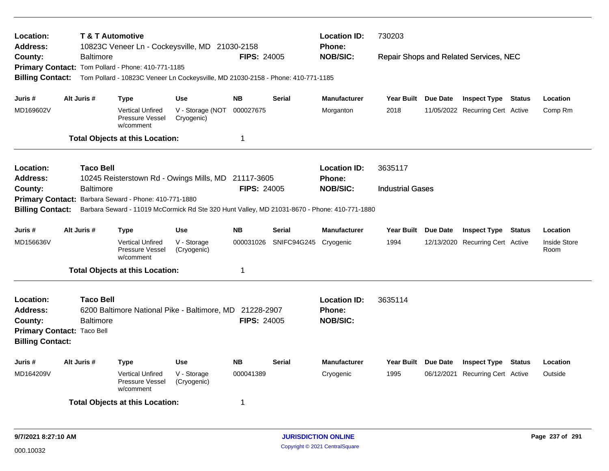| Location:<br>Address:                                 | <b>T &amp; T Automotive</b> | 10823C Veneer Ln - Cockeysville, MD 21030-2158 |                                                                                              |                                |                    | <b>Location ID:</b><br><b>Phone:</b> | 730203                        |                         |                                        |               |                             |
|-------------------------------------------------------|-----------------------------|------------------------------------------------|----------------------------------------------------------------------------------------------|--------------------------------|--------------------|--------------------------------------|-------------------------------|-------------------------|----------------------------------------|---------------|-----------------------------|
| County:                                               |                             | <b>Baltimore</b>                               |                                                                                              |                                | <b>FIPS: 24005</b> |                                      | <b>NOB/SIC:</b>               |                         | Repair Shops and Related Services, NEC |               |                             |
|                                                       |                             |                                                | Primary Contact: Tom Pollard - Phone: 410-771-1185                                           |                                |                    |                                      |                               |                         |                                        |               |                             |
| <b>Billing Contact:</b>                               |                             |                                                | Tom Pollard - 10823C Veneer Ln Cockeysville, MD 21030-2158 - Phone: 410-771-1185             |                                |                    |                                      |                               |                         |                                        |               |                             |
| Juris #                                               |                             | Alt Juris #                                    | <b>Type</b>                                                                                  | <b>Use</b>                     | <b>NB</b>          | <b>Serial</b>                        | <b>Manufacturer</b>           | Year Built Due Date     | <b>Inspect Type Status</b>             |               | Location                    |
| MD169602V                                             |                             |                                                | <b>Vertical Unfired</b><br>Pressure Vessel<br>w/comment                                      | V - Storage (NOT<br>Cryogenic) | 000027675          |                                      | Morganton                     | 2018                    | 11/05/2022 Recurring Cert Active       |               | Comp Rm                     |
|                                                       |                             |                                                | <b>Total Objects at this Location:</b>                                                       |                                | $\mathbf 1$        |                                      |                               |                         |                                        |               |                             |
| <b>Location:</b>                                      |                             | <b>Taco Bell</b>                               |                                                                                              |                                |                    |                                      | <b>Location ID:</b>           | 3635117                 |                                        |               |                             |
| <b>Address:</b>                                       |                             |                                                | 10245 Reisterstown Rd - Owings Mills, MD                                                     |                                | 21117-3605         |                                      | <b>Phone:</b>                 |                         |                                        |               |                             |
| County:                                               |                             | <b>Baltimore</b>                               |                                                                                              |                                | <b>FIPS: 24005</b> |                                      | <b>NOB/SIC:</b>               | <b>Industrial Gases</b> |                                        |               |                             |
|                                                       |                             |                                                | Primary Contact: Barbara Seward - Phone: 410-771-1880                                        |                                |                    |                                      |                               |                         |                                        |               |                             |
| <b>Billing Contact:</b>                               |                             |                                                | Barbara Seward - 11019 McCormick Rd Ste 320 Hunt Valley, MD 21031-8670 - Phone: 410-771-1880 |                                |                    |                                      |                               |                         |                                        |               |                             |
| Juris #                                               |                             | Alt Juris #                                    | <b>Type</b>                                                                                  | <b>Use</b>                     | <b>NB</b>          | <b>Serial</b>                        | <b>Manufacturer</b>           | Year Built Due Date     | <b>Inspect Type Status</b>             |               | Location                    |
| MD156636V                                             |                             |                                                | <b>Vertical Unfired</b><br>Pressure Vessel<br>w/comment                                      | V - Storage<br>(Cryogenic)     | 000031026          | SNIFC94G245                          | Cryogenic                     | 1994                    | 12/13/2020 Recurring Cert Active       |               | <b>Inside Store</b><br>Room |
|                                                       |                             |                                                | <b>Total Objects at this Location:</b>                                                       |                                | $\mathbf 1$        |                                      |                               |                         |                                        |               |                             |
| Location:<br><b>Address:</b>                          |                             | <b>Taco Bell</b>                               | 6200 Baltimore National Pike - Baltimore, MD                                                 |                                | 21228-2907         |                                      | <b>Location ID:</b><br>Phone: | 3635114                 |                                        |               |                             |
| County:                                               |                             | <b>Baltimore</b>                               |                                                                                              |                                | FIPS: 24005        |                                      | <b>NOB/SIC:</b>               |                         |                                        |               |                             |
| Primary Contact: Taco Bell<br><b>Billing Contact:</b> |                             |                                                |                                                                                              |                                |                    |                                      |                               |                         |                                        |               |                             |
| Juris #                                               |                             | Alt Juris #                                    | Type                                                                                         | <b>Use</b>                     | <b>NB</b>          | <b>Serial</b>                        | <b>Manufacturer</b>           | Year Built Due Date     | <b>Inspect Type</b>                    | <b>Status</b> | Location                    |
| MD164209V                                             |                             |                                                | <b>Vertical Unfired</b><br>Pressure Vessel<br>w/comment                                      | V - Storage<br>(Cryogenic)     | 000041389          |                                      | Cryogenic                     | 1995                    | 06/12/2021 Recurring Cert Active       |               | Outside                     |
|                                                       |                             |                                                | <b>Total Objects at this Location:</b>                                                       |                                | -1                 |                                      |                               |                         |                                        |               |                             |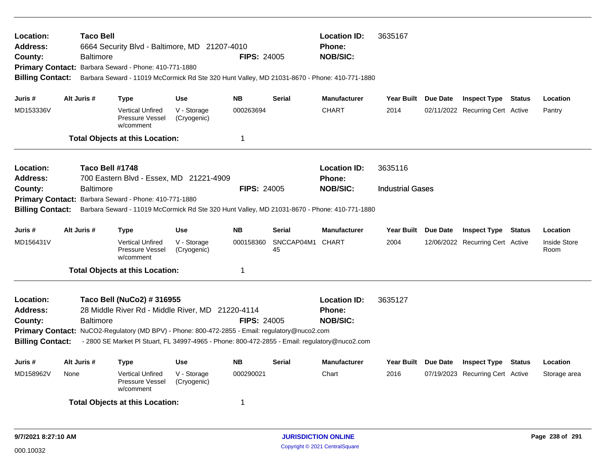| Location:<br>Address:<br>County:<br><b>Billing Contact:</b>                                                                                                                                                                                                                                                                                                                                       |  | <b>Taco Bell</b><br>Baltimore | 6664 Security Blvd - Baltimore, MD 21207-4010<br>Primary Contact: Barbara Seward - Phone: 410-771-1880<br>Barbara Seward - 11019 McCormick Rd Ste 320 Hunt Valley, MD 21031-8670 - Phone: 410-771-1880 |                            | <b>FIPS: 24005</b> |                        | <b>Location ID:</b><br><b>Phone:</b><br><b>NOB/SIC:</b> | 3635167                 |                                  |        |                             |
|---------------------------------------------------------------------------------------------------------------------------------------------------------------------------------------------------------------------------------------------------------------------------------------------------------------------------------------------------------------------------------------------------|--|-------------------------------|--------------------------------------------------------------------------------------------------------------------------------------------------------------------------------------------------------|----------------------------|--------------------|------------------------|---------------------------------------------------------|-------------------------|----------------------------------|--------|-----------------------------|
| Juris #                                                                                                                                                                                                                                                                                                                                                                                           |  | Alt Juris #                   | <b>Type</b>                                                                                                                                                                                            | <b>Use</b>                 | <b>NB</b>          | <b>Serial</b>          | <b>Manufacturer</b>                                     | Year Built Due Date     | <b>Inspect Type Status</b>       |        | Location                    |
| MD153336V                                                                                                                                                                                                                                                                                                                                                                                         |  |                               | <b>Vertical Unfired</b><br>Pressure Vessel<br>w/comment                                                                                                                                                | V - Storage<br>(Cryogenic) | 000263694          |                        | <b>CHART</b>                                            | 2014                    | 02/11/2022 Recurring Cert Active |        | Pantry                      |
|                                                                                                                                                                                                                                                                                                                                                                                                   |  |                               | <b>Total Objects at this Location:</b>                                                                                                                                                                 |                            | $\mathbf 1$        |                        |                                                         |                         |                                  |        |                             |
| <b>Location:</b><br><b>Address:</b>                                                                                                                                                                                                                                                                                                                                                               |  | Taco Bell #1748               | 700 Eastern Blvd - Essex, MD 21221-4909                                                                                                                                                                |                            |                    |                        | <b>Location ID:</b><br><b>Phone:</b>                    | 3635116                 |                                  |        |                             |
| County:<br><b>Primary Contact:</b><br><b>Billing Contact:</b>                                                                                                                                                                                                                                                                                                                                     |  | <b>Baltimore</b>              | Barbara Seward - Phone: 410-771-1880<br>Barbara Seward - 11019 McCormick Rd Ste 320 Hunt Valley, MD 21031-8670 - Phone: 410-771-1880                                                                   |                            | <b>FIPS: 24005</b> |                        | <b>NOB/SIC:</b>                                         | <b>Industrial Gases</b> |                                  |        |                             |
| Juris #                                                                                                                                                                                                                                                                                                                                                                                           |  | Alt Juris #                   | <b>Type</b>                                                                                                                                                                                            | <b>Use</b>                 | <b>NB</b>          | <b>Serial</b>          | <b>Manufacturer</b>                                     | Year Built Due Date     | <b>Inspect Type Status</b>       |        | Location                    |
| MD156431V                                                                                                                                                                                                                                                                                                                                                                                         |  |                               | <b>Vertical Unfired</b><br>Pressure Vessel<br>w/comment                                                                                                                                                | V - Storage<br>(Cryogenic) | 000158360          | SNCCAP04M1 CHART<br>45 |                                                         | 2004                    | 12/06/2022 Recurring Cert Active |        | <b>Inside Store</b><br>Room |
|                                                                                                                                                                                                                                                                                                                                                                                                   |  |                               | <b>Total Objects at this Location:</b>                                                                                                                                                                 |                            | $\mathbf 1$        |                        |                                                         |                         |                                  |        |                             |
| Location:<br>Taco Bell (NuCo2) # 316955<br>28 Middle River Rd - Middle River, MD 21220-4114<br><b>Address:</b><br><b>FIPS: 24005</b><br><b>Baltimore</b><br>County:<br>Primary Contact: NuCO2-Regulatory (MD BPV) - Phone: 800-472-2855 - Email: regulatory@nuco2.com<br><b>Billing Contact:</b><br>- 2800 SE Market PI Stuart, FL 34997-4965 - Phone: 800-472-2855 - Email: regulatory@nuco2.com |  |                               |                                                                                                                                                                                                        |                            |                    |                        | <b>Location ID:</b><br>Phone:<br><b>NOB/SIC:</b>        | 3635127                 |                                  |        |                             |
| Juris #                                                                                                                                                                                                                                                                                                                                                                                           |  | Alt Juris #                   | Type                                                                                                                                                                                                   | <b>Use</b>                 | <b>NB</b>          | <b>Serial</b>          | <b>Manufacturer</b>                                     | Year Built Due Date     | <b>Inspect Type</b>              | Status | Location                    |
| MD158962V<br><b>Vertical Unfired</b><br>None<br>Pressure Vessel<br>w/comment                                                                                                                                                                                                                                                                                                                      |  | V - Storage<br>(Cryogenic)    | 000290021                                                                                                                                                                                              |                            | Chart              | 2016                   | 07/19/2023 Recurring Cert Active                        |                         | Storage area                     |        |                             |
|                                                                                                                                                                                                                                                                                                                                                                                                   |  |                               | <b>Total Objects at this Location:</b>                                                                                                                                                                 |                            | -1                 |                        |                                                         |                         |                                  |        |                             |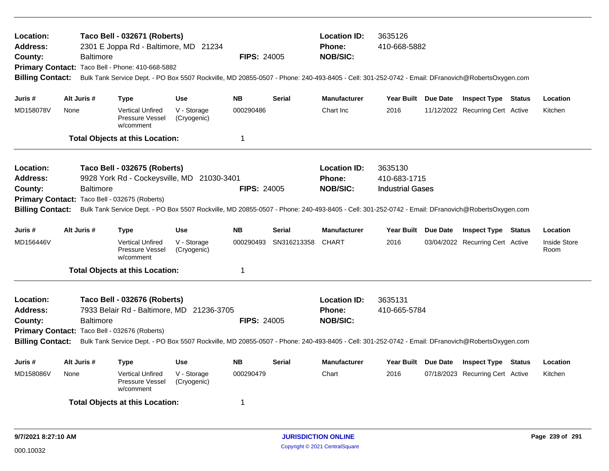| Location:<br><b>Address:</b><br>County:<br>Primary Contact: Taco Bell - Phone: 410-668-5882<br><b>Billing Contact:</b><br>Alt Juris #<br>Juris#<br>MD158078V<br>None                                                                                                                                                                                                                                                                                   |                                                                                                                                                                                                                                                                                                                              | <b>Baltimore</b> | Taco Bell - 032671 (Roberts)<br>2301 E Joppa Rd - Baltimore, MD 21234<br><b>Type</b> | <b>Use</b>                 | <b>FIPS: 24005</b><br><b>NB</b>                         | <b>Serial</b>           | <b>Location ID:</b><br><b>Phone:</b><br><b>NOB/SIC:</b><br>Bulk Tank Service Dept. - PO Box 5507 Rockville, MD 20855-0507 - Phone: 240-493-8405 - Cell: 301-252-0742 - Email: DFranovich@RobertsOxygen.com<br><b>Manufacturer</b> | 3635126<br>410-668-5882<br><b>Year Built</b>       | Due Date | <b>Inspect Type Status</b>       |        | Location                    |
|--------------------------------------------------------------------------------------------------------------------------------------------------------------------------------------------------------------------------------------------------------------------------------------------------------------------------------------------------------------------------------------------------------------------------------------------------------|------------------------------------------------------------------------------------------------------------------------------------------------------------------------------------------------------------------------------------------------------------------------------------------------------------------------------|------------------|--------------------------------------------------------------------------------------|----------------------------|---------------------------------------------------------|-------------------------|-----------------------------------------------------------------------------------------------------------------------------------------------------------------------------------------------------------------------------------|----------------------------------------------------|----------|----------------------------------|--------|-----------------------------|
|                                                                                                                                                                                                                                                                                                                                                                                                                                                        |                                                                                                                                                                                                                                                                                                                              |                  | <b>Vertical Unfired</b><br>Pressure Vessel<br>w/comment                              | V - Storage<br>(Cryogenic) | 000290486                                               |                         | Chart Inc                                                                                                                                                                                                                         | 2016                                               |          | 11/12/2022 Recurring Cert Active |        | Kitchen                     |
|                                                                                                                                                                                                                                                                                                                                                                                                                                                        |                                                                                                                                                                                                                                                                                                                              |                  | <b>Total Objects at this Location:</b>                                               |                            | 1                                                       |                         |                                                                                                                                                                                                                                   |                                                    |          |                                  |        |                             |
| Location:<br>Taco Bell - 032675 (Roberts)<br>9928 York Rd - Cockeysville, MD 21030-3401<br><b>Address:</b><br><b>Baltimore</b><br>County:<br>Taco Bell - 032675 (Roberts)<br><b>Primary Contact:</b><br><b>Billing Contact:</b><br>Bulk Tank Service Dept. - PO Box 5507 Rockville, MD 20855-0507 - Phone: 240-493-8405 - Cell: 301-252-0742 - Email: DFranovich@RobertsOxygen.com<br>Alt Juris #<br><b>Use</b><br><b>NB</b><br>Juris #<br><b>Type</b> |                                                                                                                                                                                                                                                                                                                              |                  |                                                                                      |                            | <b>FIPS: 24005</b>                                      |                         | <b>Location ID:</b><br><b>Phone:</b><br><b>NOB/SIC:</b>                                                                                                                                                                           | 3635130<br>410-683-1715<br><b>Industrial Gases</b> |          |                                  |        |                             |
|                                                                                                                                                                                                                                                                                                                                                                                                                                                        |                                                                                                                                                                                                                                                                                                                              |                  |                                                                                      |                            |                                                         | <b>Serial</b>           | <b>Manufacturer</b>                                                                                                                                                                                                               | Year Built Due Date                                |          | <b>Inspect Type Status</b>       |        | Location                    |
| MD156446V                                                                                                                                                                                                                                                                                                                                                                                                                                              |                                                                                                                                                                                                                                                                                                                              |                  | <b>Vertical Unfired</b><br>Pressure Vessel<br>w/comment                              | V - Storage<br>(Cryogenic) | 000290493                                               | SN316213358             | <b>CHART</b>                                                                                                                                                                                                                      | 2016                                               |          | 03/04/2022 Recurring Cert Active |        | <b>Inside Store</b><br>Room |
|                                                                                                                                                                                                                                                                                                                                                                                                                                                        |                                                                                                                                                                                                                                                                                                                              |                  | <b>Total Objects at this Location:</b>                                               |                            | -1                                                      |                         |                                                                                                                                                                                                                                   |                                                    |          |                                  |        |                             |
| Location:<br>Address:<br>County:                                                                                                                                                                                                                                                                                                                                                                                                                       | Taco Bell - 032676 (Roberts)<br>7933 Belair Rd - Baltimore, MD 21236-3705<br><b>Baltimore</b><br>Primary Contact: Taco Bell - 032676 (Roberts)<br><b>Billing Contact:</b><br>Bulk Tank Service Dept. - PO Box 5507 Rockville, MD 20855-0507 - Phone: 240-493-8405 - Cell: 301-252-0742 - Email: DFranovich@RobertsOxygen.com |                  | <b>FIPS: 24005</b>                                                                   |                            | <b>Location ID:</b><br><b>Phone:</b><br><b>NOB/SIC:</b> | 3635131<br>410-665-5784 |                                                                                                                                                                                                                                   |                                                    |          |                                  |        |                             |
| Juris #                                                                                                                                                                                                                                                                                                                                                                                                                                                |                                                                                                                                                                                                                                                                                                                              | Alt Juris #      | <b>Type</b>                                                                          | <b>Use</b>                 | <b>NB</b>                                               | <b>Serial</b>           | <b>Manufacturer</b>                                                                                                                                                                                                               | Year Built Due Date                                |          | <b>Inspect Type</b>              | Status | Location                    |
| MD158086V                                                                                                                                                                                                                                                                                                                                                                                                                                              | None                                                                                                                                                                                                                                                                                                                         |                  | <b>Vertical Unfired</b><br>Pressure Vessel<br>w/comment                              | V - Storage<br>(Cryogenic) | 000290479                                               |                         | Chart                                                                                                                                                                                                                             | 2016                                               |          | 07/18/2023 Recurring Cert Active |        | Kitchen                     |
|                                                                                                                                                                                                                                                                                                                                                                                                                                                        |                                                                                                                                                                                                                                                                                                                              |                  | <b>Total Objects at this Location:</b>                                               |                            | -1                                                      |                         |                                                                                                                                                                                                                                   |                                                    |          |                                  |        |                             |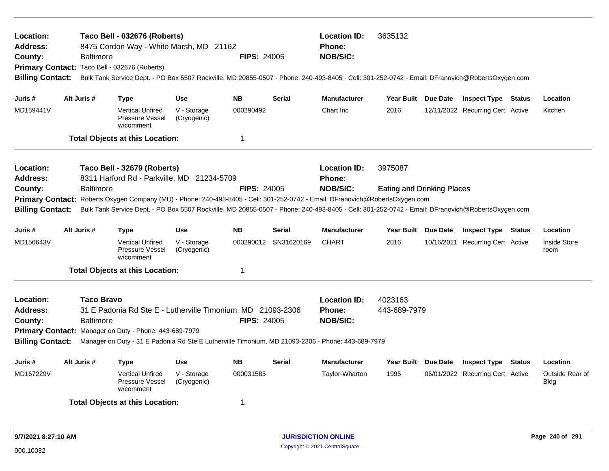| Location:<br><b>Address:</b><br>County:<br><b>Billing Contact:</b>                                                                                                                                                                                                                                                                                              |  | <b>Baltimore</b> | Taco Bell - 032676 (Roberts)<br>8475 Cordon Way - White Marsh, MD 21162<br>Primary Contact: Taco Bell - 032676 (Roberts) |                            | <b>FIPS: 24005</b> |                      | <b>Location ID:</b><br><b>Phone:</b><br><b>NOB/SIC:</b><br>Bulk Tank Service Dept. - PO Box 5507 Rockville, MD 20855-0507 - Phone: 240-493-8405 - Cell: 301-252-0742 - Email: DFranovich@RobertsOxygen.com                                                                       | 3635132                           |                                  |        |                         |
|-----------------------------------------------------------------------------------------------------------------------------------------------------------------------------------------------------------------------------------------------------------------------------------------------------------------------------------------------------------------|--|------------------|--------------------------------------------------------------------------------------------------------------------------|----------------------------|--------------------|----------------------|----------------------------------------------------------------------------------------------------------------------------------------------------------------------------------------------------------------------------------------------------------------------------------|-----------------------------------|----------------------------------|--------|-------------------------|
| Juris #                                                                                                                                                                                                                                                                                                                                                         |  | Alt Juris #      | <b>Type</b>                                                                                                              | <b>Use</b>                 | <b>NB</b>          | <b>Serial</b>        | <b>Manufacturer</b>                                                                                                                                                                                                                                                              | Year Built Due Date               | <b>Inspect Type Status</b>       |        | Location                |
| MD159441V                                                                                                                                                                                                                                                                                                                                                       |  |                  | <b>Vertical Unfired</b><br>Pressure Vessel<br>w/comment                                                                  | V - Storage<br>(Cryogenic) | 000290492          |                      | Chart Inc                                                                                                                                                                                                                                                                        | 2016                              | 12/11/2022 Recurring Cert Active |        | Kitchen                 |
|                                                                                                                                                                                                                                                                                                                                                                 |  |                  | <b>Total Objects at this Location:</b>                                                                                   |                            | $\mathbf 1$        |                      |                                                                                                                                                                                                                                                                                  |                                   |                                  |        |                         |
| Location:<br>Address:                                                                                                                                                                                                                                                                                                                                           |  |                  | Taco Bell - 32679 (Roberts)<br>8311 Harford Rd - Parkville, MD 21234-5709                                                |                            |                    |                      | <b>Location ID:</b><br><b>Phone:</b>                                                                                                                                                                                                                                             | 3975087                           |                                  |        |                         |
| County:                                                                                                                                                                                                                                                                                                                                                         |  | <b>Baltimore</b> |                                                                                                                          |                            | <b>FIPS: 24005</b> |                      | <b>NOB/SIC:</b>                                                                                                                                                                                                                                                                  | <b>Eating and Drinking Places</b> |                                  |        |                         |
| <b>Billing Contact:</b>                                                                                                                                                                                                                                                                                                                                         |  |                  |                                                                                                                          |                            |                    |                      | Primary Contact: Roberts Oxygen Company (MD) - Phone: 240-493-8405 - Cell: 301-252-0742 - Email: DFranovich@RobertsOxygen.com<br>Bulk Tank Service Dept. - PO Box 5507 Rockville, MD 20855-0507 - Phone: 240-493-8405 - Cell: 301-252-0742 - Email: DFranovich@RobertsOxygen.com |                                   |                                  |        |                         |
| Juris #                                                                                                                                                                                                                                                                                                                                                         |  | Alt Juris #      | Type                                                                                                                     | <b>Use</b>                 | <b>NB</b>          | <b>Serial</b>        | <b>Manufacturer</b>                                                                                                                                                                                                                                                              | Year Built Due Date               | <b>Inspect Type Status</b>       |        | Location                |
| MD156643V                                                                                                                                                                                                                                                                                                                                                       |  |                  | <b>Vertical Unfired</b><br>Pressure Vessel<br>w/comment                                                                  | V - Storage<br>(Cryogenic) |                    | 000290012 SN31620169 | <b>CHART</b>                                                                                                                                                                                                                                                                     | 2016                              | 10/16/2021 Recurring Cert Active |        | Inside Store<br>room    |
|                                                                                                                                                                                                                                                                                                                                                                 |  |                  | <b>Total Objects at this Location:</b>                                                                                   |                            | $\mathbf 1$        |                      |                                                                                                                                                                                                                                                                                  |                                   |                                  |        |                         |
| <b>Taco Bravo</b><br>Location:<br><b>Address:</b><br>31 E Padonia Rd Ste E - Lutherville Timonium, MD 21093-2306<br><b>Baltimore</b><br><b>FIPS: 24005</b><br>County:<br>Primary Contact: Manager on Duty - Phone: 443-689-7979<br>Manager on Duty - 31 E Padonia Rd Ste E Lutherville Timonium, MD 21093-2306 - Phone: 443-689-7979<br><b>Billing Contact:</b> |  |                  |                                                                                                                          |                            |                    |                      | <b>Location ID:</b><br><b>Phone:</b><br><b>NOB/SIC:</b>                                                                                                                                                                                                                          | 4023163<br>443-689-7979           |                                  |        |                         |
| Juris #                                                                                                                                                                                                                                                                                                                                                         |  | Alt Juris #      | <b>Type</b>                                                                                                              | <b>Use</b>                 | <b>NB</b>          | <b>Serial</b>        | <b>Manufacturer</b>                                                                                                                                                                                                                                                              | Year Built Due Date               | <b>Inspect Type</b>              | Status | Location                |
| MD167229V                                                                                                                                                                                                                                                                                                                                                       |  |                  | <b>Vertical Unfired</b><br>Pressure Vessel<br>w/comment                                                                  | V - Storage<br>(Cryogenic) | 000031585          |                      | Taylor-Wharton                                                                                                                                                                                                                                                                   | 1996                              | 06/01/2022 Recurring Cert Active |        | Outside Rear of<br>Bldg |
|                                                                                                                                                                                                                                                                                                                                                                 |  |                  | <b>Total Objects at this Location:</b>                                                                                   |                            | -1                 |                      |                                                                                                                                                                                                                                                                                  |                                   |                                  |        |                         |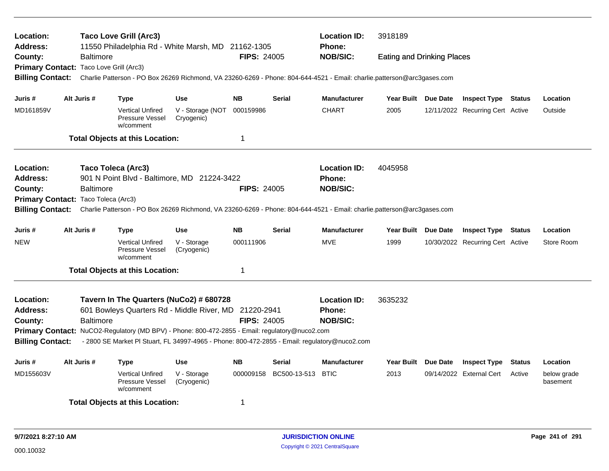| Location:<br><b>Address:</b>            |  |                  | <b>Taco Love Grill (Arc3)</b><br>11550 Philadelphia Rd - White Marsh, MD 21162-1305                                     |                                |                    |               | <b>Location ID:</b><br><b>Phone:</b> | 3918189                           |          |                                  |               |                         |
|-----------------------------------------|--|------------------|-------------------------------------------------------------------------------------------------------------------------|--------------------------------|--------------------|---------------|--------------------------------------|-----------------------------------|----------|----------------------------------|---------------|-------------------------|
| County:                                 |  | <b>Baltimore</b> |                                                                                                                         |                                | <b>FIPS: 24005</b> |               | <b>NOB/SIC:</b>                      | <b>Eating and Drinking Places</b> |          |                                  |               |                         |
| Primary Contact: Taco Love Grill (Arc3) |  |                  |                                                                                                                         |                                |                    |               |                                      |                                   |          |                                  |               |                         |
| <b>Billing Contact:</b>                 |  |                  | Charlie Patterson - PO Box 26269 Richmond, VA 23260-6269 - Phone: 804-644-4521 - Email: charlie.patterson@arc3gases.com |                                |                    |               |                                      |                                   |          |                                  |               |                         |
| Juris #                                 |  | Alt Juris #      | Type                                                                                                                    | <b>Use</b>                     | <b>NB</b>          | <b>Serial</b> | <b>Manufacturer</b>                  | Year Built Due Date               |          | <b>Inspect Type Status</b>       |               | Location                |
| MD161859V                               |  |                  | <b>Vertical Unfired</b><br>Pressure Vessel<br>w/comment                                                                 | V - Storage (NOT<br>Cryogenic) | 000159986          |               | <b>CHART</b>                         | 2005                              |          | 12/11/2022 Recurring Cert Active |               | Outside                 |
|                                         |  |                  | <b>Total Objects at this Location:</b>                                                                                  |                                | 1                  |               |                                      |                                   |          |                                  |               |                         |
| <b>Location:</b>                        |  |                  | Taco Toleca (Arc3)                                                                                                      |                                |                    |               | <b>Location ID:</b>                  | 4045958                           |          |                                  |               |                         |
| <b>Address:</b>                         |  |                  | 901 N Point Blvd - Baltimore, MD 21224-3422                                                                             |                                |                    |               | Phone:                               |                                   |          |                                  |               |                         |
| County:                                 |  | <b>Baltimore</b> |                                                                                                                         |                                | <b>FIPS: 24005</b> |               | <b>NOB/SIC:</b>                      |                                   |          |                                  |               |                         |
| Primary Contact: Taco Toleca (Arc3)     |  |                  |                                                                                                                         |                                |                    |               |                                      |                                   |          |                                  |               |                         |
| <b>Billing Contact:</b>                 |  |                  | Charlie Patterson - PO Box 26269 Richmond, VA 23260-6269 - Phone: 804-644-4521 - Email: charlie.patterson@arc3gases.com |                                |                    |               |                                      |                                   |          |                                  |               |                         |
| Juris #                                 |  | Alt Juris #      | Type                                                                                                                    | <b>Use</b>                     | <b>NB</b>          | <b>Serial</b> | <b>Manufacturer</b>                  | Year Built Due Date               |          | <b>Inspect Type Status</b>       |               | Location                |
| <b>NEW</b>                              |  |                  | <b>Vertical Unfired</b><br>Pressure Vessel<br>w/comment                                                                 | V - Storage<br>(Cryogenic)     | 000111906          |               | <b>MVE</b>                           | 1999                              |          | 10/30/2022 Recurring Cert Active |               | Store Room              |
|                                         |  |                  | <b>Total Objects at this Location:</b>                                                                                  |                                | $\mathbf 1$        |               |                                      |                                   |          |                                  |               |                         |
| Location:                               |  |                  | Tavern In The Quarters (NuCo2) # 680728                                                                                 |                                |                    |               | <b>Location ID:</b>                  | 3635232                           |          |                                  |               |                         |
| <b>Address:</b>                         |  |                  | 601 Bowleys Quarters Rd - Middle River, MD 21220-2941                                                                   |                                |                    |               | Phone:                               |                                   |          |                                  |               |                         |
| County:                                 |  | <b>Baltimore</b> |                                                                                                                         |                                | <b>FIPS: 24005</b> |               | <b>NOB/SIC:</b>                      |                                   |          |                                  |               |                         |
|                                         |  |                  | Primary Contact: NuCO2-Regulatory (MD BPV) - Phone: 800-472-2855 - Email: regulatory@nuco2.com                          |                                |                    |               |                                      |                                   |          |                                  |               |                         |
| <b>Billing Contact:</b>                 |  |                  | - 2800 SE Market PI Stuart, FL 34997-4965 - Phone: 800-472-2855 - Email: regulatory@nuco2.com                           |                                |                    |               |                                      |                                   |          |                                  |               |                         |
| Juris #                                 |  | Alt Juris #      | Type                                                                                                                    | <b>Use</b>                     | <b>NB</b>          | <b>Serial</b> | <b>Manufacturer</b>                  | <b>Year Built</b>                 | Due Date | <b>Inspect Type</b>              | <b>Status</b> | Location                |
| MD155603V                               |  |                  | <b>Vertical Unfired</b><br>Pressure Vessel<br>w/comment                                                                 | V - Storage<br>(Cryogenic)     | 000009158          | BC500-13-513  | <b>BTIC</b>                          | 2013                              |          | 09/14/2022 External Cert         | Active        | below grade<br>basement |
|                                         |  |                  | <b>Total Objects at this Location:</b>                                                                                  |                                | -1                 |               |                                      |                                   |          |                                  |               |                         |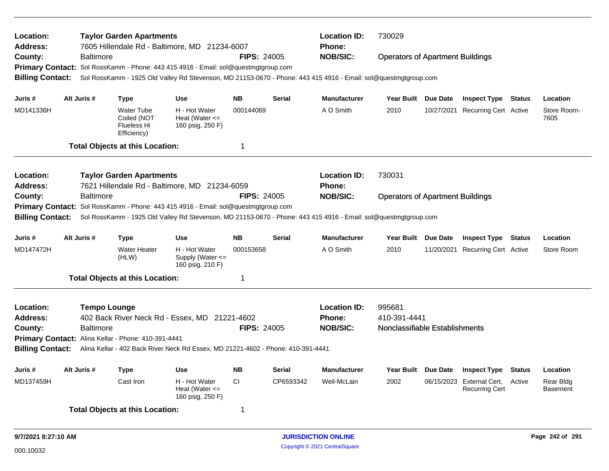| <b>Location ID:</b><br>730029<br>Location:<br><b>Taylor Garden Apartments</b><br><b>Address:</b><br>7605 Hillendale Rd - Baltimore, MD 21234-6007<br><b>Phone:</b><br><b>NOB/SIC:</b><br><b>FIPS: 24005</b><br>County:<br><b>Baltimore</b><br><b>Operators of Apartment Buildings</b><br><b>Primary Contact:</b><br>Sol RossKamm - Phone: 443 415 4916 - Email: sol@questmgtgroup.com<br><b>Billing Contact:</b><br>Sol RossKamm - 1925 Old Valley Rd Stevenson, MD 21153-0670 - Phone: 443 415 4916 - Email: sol@questmgtgroup.com |  |                                               |                                                                                  |                                                           |                    |                                                         |                                                                                                                 |                                         |          |                                                    |               |                              |
|-------------------------------------------------------------------------------------------------------------------------------------------------------------------------------------------------------------------------------------------------------------------------------------------------------------------------------------------------------------------------------------------------------------------------------------------------------------------------------------------------------------------------------------|--|-----------------------------------------------|----------------------------------------------------------------------------------|-----------------------------------------------------------|--------------------|---------------------------------------------------------|-----------------------------------------------------------------------------------------------------------------|-----------------------------------------|----------|----------------------------------------------------|---------------|------------------------------|
|                                                                                                                                                                                                                                                                                                                                                                                                                                                                                                                                     |  |                                               |                                                                                  |                                                           |                    |                                                         |                                                                                                                 |                                         |          |                                                    |               |                              |
| Juris #                                                                                                                                                                                                                                                                                                                                                                                                                                                                                                                             |  | Alt Juris #                                   | <b>Type</b>                                                                      | <b>Use</b>                                                | <b>NB</b>          | <b>Serial</b>                                           | <b>Manufacturer</b>                                                                                             | Year Built Due Date                     |          | <b>Inspect Type Status</b>                         |               | Location                     |
| MD141336H                                                                                                                                                                                                                                                                                                                                                                                                                                                                                                                           |  |                                               | <b>Water Tube</b><br>Coiled (NOT<br>Flueless Hi<br>Efficiency)                   | H - Hot Water<br>Heat (Water $\leq$<br>160 psig, 250 F)   | 000144069          |                                                         | A O Smith                                                                                                       | 2010                                    |          | 10/27/2021 Recurring Cert Active                   |               | Store Room-<br>7605          |
|                                                                                                                                                                                                                                                                                                                                                                                                                                                                                                                                     |  |                                               | <b>Total Objects at this Location:</b>                                           |                                                           | 1                  |                                                         |                                                                                                                 |                                         |          |                                                    |               |                              |
| Location:<br>Address:                                                                                                                                                                                                                                                                                                                                                                                                                                                                                                               |  |                                               | <b>Taylor Garden Apartments</b><br>7621 Hillendale Rd - Baltimore, MD 21234-6059 |                                                           |                    |                                                         | <b>Location ID:</b><br>Phone:                                                                                   | 730031                                  |          |                                                    |               |                              |
| County:                                                                                                                                                                                                                                                                                                                                                                                                                                                                                                                             |  | <b>Baltimore</b>                              |                                                                                  |                                                           | <b>FIPS: 24005</b> |                                                         | <b>NOB/SIC:</b>                                                                                                 | <b>Operators of Apartment Buildings</b> |          |                                                    |               |                              |
| Primary Contact: Sol RossKamm - Phone: 443 415 4916 - Email: sol@questmgtgroup.com                                                                                                                                                                                                                                                                                                                                                                                                                                                  |  |                                               |                                                                                  |                                                           |                    |                                                         |                                                                                                                 |                                         |          |                                                    |               |                              |
| <b>Billing Contact:</b>                                                                                                                                                                                                                                                                                                                                                                                                                                                                                                             |  |                                               |                                                                                  |                                                           |                    |                                                         | Sol RossKamm - 1925 Old Valley Rd Stevenson, MD 21153-0670 - Phone: 443 415 4916 - Email: sol@questmgtgroup.com |                                         |          |                                                    |               |                              |
| Juris #                                                                                                                                                                                                                                                                                                                                                                                                                                                                                                                             |  | Alt Juris #                                   | <b>Type</b>                                                                      | <b>Use</b>                                                | <b>NB</b>          | <b>Serial</b>                                           | <b>Manufacturer</b>                                                                                             | Year Built Due Date                     |          | <b>Inspect Type Status</b>                         |               | Location                     |
| MD147472H                                                                                                                                                                                                                                                                                                                                                                                                                                                                                                                           |  |                                               | <b>Water Heater</b><br>(HLW)                                                     | H - Hot Water<br>Supply (Water $\leq$<br>160 psig, 210 F) | 000153658          |                                                         | A O Smith                                                                                                       | 2010                                    |          | 11/20/2021 Recurring Cert Active                   |               | Store Room                   |
|                                                                                                                                                                                                                                                                                                                                                                                                                                                                                                                                     |  |                                               | <b>Total Objects at this Location:</b>                                           |                                                           | $\mathbf 1$        |                                                         |                                                                                                                 |                                         |          |                                                    |               |                              |
| Location:<br><b>Tempo Lounge</b><br><b>Address:</b><br><b>Baltimore</b><br>County:                                                                                                                                                                                                                                                                                                                                                                                                                                                  |  | 402 Back River Neck Rd - Essex, MD 21221-4602 |                                                                                  | <b>FIPS: 24005</b>                                        |                    | <b>Location ID:</b><br><b>Phone:</b><br><b>NOB/SIC:</b> | 995681<br>410-391-4441<br>Nonclassifiable Establishments                                                        |                                         |          |                                                    |               |                              |
| Primary Contact: Alina Kellar - Phone: 410-391-4441<br><b>Billing Contact:</b><br>Alina Kellar - 402 Back River Neck Rd Essex, MD 21221-4602 - Phone: 410-391-4441                                                                                                                                                                                                                                                                                                                                                                  |  |                                               |                                                                                  |                                                           |                    |                                                         |                                                                                                                 |                                         |          |                                                    |               |                              |
|                                                                                                                                                                                                                                                                                                                                                                                                                                                                                                                                     |  |                                               |                                                                                  |                                                           |                    |                                                         |                                                                                                                 |                                         |          |                                                    |               |                              |
| Juris #                                                                                                                                                                                                                                                                                                                                                                                                                                                                                                                             |  | Alt Juris #                                   | <b>Type</b>                                                                      | <b>Use</b>                                                | <b>NB</b>          | Serial                                                  | <b>Manufacturer</b>                                                                                             | Year Built                              | Due Date | <b>Inspect Type</b>                                | <b>Status</b> | Location                     |
| MD137459H                                                                                                                                                                                                                                                                                                                                                                                                                                                                                                                           |  |                                               | Cast Iron                                                                        | H - Hot Water<br>Heat (Water $\leq$<br>160 psig, 250 F)   | CI.                | CP6593342                                               | Weil-McLain                                                                                                     | 2002                                    |          | 06/15/2023 External Cert,<br><b>Recurring Cert</b> | Active        | Rear Bldg<br><b>Basement</b> |
|                                                                                                                                                                                                                                                                                                                                                                                                                                                                                                                                     |  |                                               | <b>Total Objects at this Location:</b>                                           |                                                           | -1                 |                                                         |                                                                                                                 |                                         |          |                                                    |               |                              |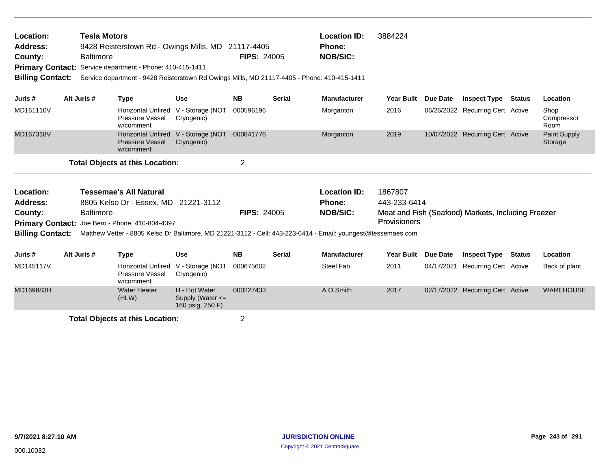| Location:<br><b>Address:</b><br>County: | <b>Tesla Motors</b><br>9428 Reisterstown Rd - Owings Mills, MD 21117-4405<br><b>Baltimore</b><br>Service department - Phone: 410-415-1411<br><b>Primary Contact:</b><br>Service department - 9428 Reisterstown Rd Owings Mills, MD 21117-4405 - Phone: 410-415-1411<br><b>Billing Contact:</b><br>Alt Juris #<br><b>Use</b><br><b>Type</b><br>Horizontal Unfired V - Storage (NOT |                  |                                                                  |                                                           | <b>FIPS: 24005</b> |               | <b>Location ID:</b><br><b>Phone:</b><br><b>NOB/SIC:</b>                                                      | 3884224                 |            |                                                    |                                |
|-----------------------------------------|-----------------------------------------------------------------------------------------------------------------------------------------------------------------------------------------------------------------------------------------------------------------------------------------------------------------------------------------------------------------------------------|------------------|------------------------------------------------------------------|-----------------------------------------------------------|--------------------|---------------|--------------------------------------------------------------------------------------------------------------|-------------------------|------------|----------------------------------------------------|--------------------------------|
| Juris #                                 |                                                                                                                                                                                                                                                                                                                                                                                   |                  |                                                                  |                                                           | <b>NB</b>          | <b>Serial</b> | <b>Manufacturer</b>                                                                                          | <b>Year Built</b>       | Due Date   | <b>Inspect Type Status</b>                         | Location                       |
| MD161110V                               |                                                                                                                                                                                                                                                                                                                                                                                   |                  | <b>Pressure Vessel</b><br>w/comment                              | Cryogenic)                                                | 000596196          |               | Morganton                                                                                                    | 2016                    |            | 06/26/2022 Recurring Cert Active                   | Shop<br>Compressor<br>Room     |
| MD167318V                               |                                                                                                                                                                                                                                                                                                                                                                                   |                  | <b>Horizontal Unfired</b><br><b>Pressure Vessel</b><br>w/comment | V - Storage (NOT 000841776<br>Cryogenic)                  |                    |               | Morganton                                                                                                    | 2019                    |            | 10/07/2022 Recurring Cert Active                   | <b>Paint Supply</b><br>Storage |
|                                         |                                                                                                                                                                                                                                                                                                                                                                                   |                  | <b>Total Objects at this Location:</b>                           |                                                           | $\overline{2}$     |               |                                                                                                              |                         |            |                                                    |                                |
| Location:<br><b>Address:</b>            | <b>Tessemae's All Natural</b><br>8805 Kelso Dr - Essex, MD 21221-3112                                                                                                                                                                                                                                                                                                             |                  |                                                                  |                                                           |                    |               | <b>Location ID:</b><br>Phone:                                                                                | 1867807<br>443-233-6414 |            |                                                    |                                |
| County:                                 |                                                                                                                                                                                                                                                                                                                                                                                   | <b>Baltimore</b> | Primary Contact: Joe Bero - Phone: 410-804-4397                  |                                                           | <b>FIPS: 24005</b> |               | <b>NOB/SIC:</b>                                                                                              | Provisioners            |            | Meat and Fish (Seafood) Markets, Including Freezer |                                |
| <b>Billing Contact:</b>                 |                                                                                                                                                                                                                                                                                                                                                                                   |                  |                                                                  |                                                           |                    |               | Matthew Vetter - 8805 Kelso Dr Baltimore, MD 21221-3112 - Cell: 443-223-6414 - Email: youngest@tessemaes.com |                         |            |                                                    |                                |
| Juris #                                 | Alt Juris #                                                                                                                                                                                                                                                                                                                                                                       |                  | <b>Type</b>                                                      | <b>Use</b>                                                | <b>NB</b>          | <b>Serial</b> | <b>Manufacturer</b>                                                                                          | <b>Year Built</b>       | Due Date   | <b>Inspect Type Status</b>                         | Location                       |
| MD145117V                               |                                                                                                                                                                                                                                                                                                                                                                                   |                  | <b>Horizontal Unfired</b><br>Pressure Vessel<br>w/comment        | V - Storage (NOT<br>Cryogenic)                            | 000675602          |               | Steel Fab                                                                                                    | 2011                    | 04/17/2021 | Recurring Cert Active                              | Back of plant                  |
| MD169883H                               |                                                                                                                                                                                                                                                                                                                                                                                   |                  | <b>Water Heater</b><br>(HLW)                                     | H - Hot Water<br>Supply (Water $\leq$<br>160 psig, 250 F) | 000227433          |               | A O Smith                                                                                                    | 2017                    |            | 02/17/2022 Recurring Cert Active                   | <b>WAREHOUSE</b>               |
|                                         |                                                                                                                                                                                                                                                                                                                                                                                   |                  | <b>Total Objects at this Location:</b>                           |                                                           | 2                  |               |                                                                                                              |                         |            |                                                    |                                |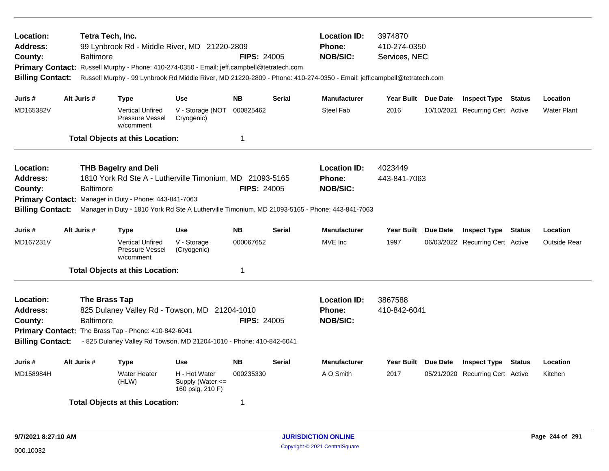| Location:<br>Address:<br>County:<br><b>Billing Contact:</b>        | <b>Baltimore</b>                         | Tetra Tech, Inc.<br>99 Lynbrook Rd - Middle River, MD 21220-2809<br>Primary Contact: Russell Murphy - Phone: 410-274-0350 - Email: jeff.campbell@tetratech.com<br>Russell Murphy - 99 Lynbrook Rd Middle River, MD 21220-2809 - Phone: 410-274-0350 - Email: jeff.campbell@tetratech.com |                                                           | <b>FIPS: 24005</b> |               | <b>Location ID:</b><br>Phone:<br><b>NOB/SIC:</b>        | 3974870<br>410-274-0350<br>Services, NEC |                                  |               |                     |
|--------------------------------------------------------------------|------------------------------------------|------------------------------------------------------------------------------------------------------------------------------------------------------------------------------------------------------------------------------------------------------------------------------------------|-----------------------------------------------------------|--------------------|---------------|---------------------------------------------------------|------------------------------------------|----------------------------------|---------------|---------------------|
| Juris #                                                            | Alt Juris #                              | <b>Type</b>                                                                                                                                                                                                                                                                              | <b>Use</b>                                                | <b>NB</b>          | <b>Serial</b> | Manufacturer                                            | Year Built Due Date                      | <b>Inspect Type Status</b>       |               | Location            |
| MD165382V                                                          |                                          | <b>Vertical Unfired</b><br>Pressure Vessel<br>w/comment                                                                                                                                                                                                                                  | V - Storage (NOT<br>Cryogenic)                            | 000825462          |               | Steel Fab                                               | 2016                                     | 10/10/2021 Recurring Cert Active |               | <b>Water Plant</b>  |
|                                                                    |                                          | <b>Total Objects at this Location:</b>                                                                                                                                                                                                                                                   |                                                           | 1                  |               |                                                         |                                          |                                  |               |                     |
| Location:<br><b>Address:</b><br>County:<br><b>Billing Contact:</b> | <b>Baltimore</b>                         | <b>THB Bagelry and Deli</b><br>1810 York Rd Ste A - Lutherville Timonium, MD 21093-5165<br>Primary Contact: Manager in Duty - Phone: 443-841-7063<br>Manager in Duty - 1810 York Rd Ste A Lutherville Timonium, MD 21093-5165 - Phone: 443-841-7063                                      |                                                           | <b>FIPS: 24005</b> |               | <b>Location ID:</b><br><b>Phone:</b><br><b>NOB/SIC:</b> | 4023449<br>443-841-7063                  |                                  |               |                     |
| Juris #                                                            | Alt Juris #<br><b>Use</b><br><b>Type</b> |                                                                                                                                                                                                                                                                                          |                                                           |                    | <b>Serial</b> | <b>Manufacturer</b>                                     | Year Built Due Date                      | <b>Inspect Type Status</b>       |               | Location            |
| MD167231V                                                          |                                          | <b>Vertical Unfired</b><br><b>Pressure Vessel</b><br>w/comment                                                                                                                                                                                                                           | V - Storage<br>(Cryogenic)                                | 000067652          |               | MVE Inc                                                 | 1997                                     | 06/03/2022 Recurring Cert Active |               | <b>Outside Rear</b> |
|                                                                    |                                          | <b>Total Objects at this Location:</b>                                                                                                                                                                                                                                                   |                                                           | 1                  |               |                                                         |                                          |                                  |               |                     |
| Location:<br><b>Address:</b><br>County:<br><b>Billing Contact:</b> | <b>Baltimore</b>                         | The Brass Tap<br>825 Dulaney Valley Rd - Towson, MD 21204-1010<br>Primary Contact: The Brass Tap - Phone: 410-842-6041<br>- 825 Dulaney Valley Rd Towson, MD 21204-1010 - Phone: 410-842-6041                                                                                            |                                                           | <b>FIPS: 24005</b> |               | <b>Location ID:</b><br><b>Phone:</b><br><b>NOB/SIC:</b> | 3867588<br>410-842-6041                  |                                  |               |                     |
| Juris #                                                            | Alt Juris #                              | <b>Type</b>                                                                                                                                                                                                                                                                              | Use                                                       | <b>NB</b>          | <b>Serial</b> | <b>Manufacturer</b>                                     | Year Built Due Date                      | <b>Inspect Type</b>              | <b>Status</b> | Location            |
| MD158984H                                                          |                                          | <b>Water Heater</b><br>(HLW)                                                                                                                                                                                                                                                             | H - Hot Water<br>Supply (Water $\leq$<br>160 psig, 210 F) | 000235330          |               | A O Smith                                               | 2017                                     | 05/21/2020 Recurring Cert Active |               | Kitchen             |
|                                                                    |                                          | <b>Total Objects at this Location:</b>                                                                                                                                                                                                                                                   |                                                           | 1                  |               |                                                         |                                          |                                  |               |                     |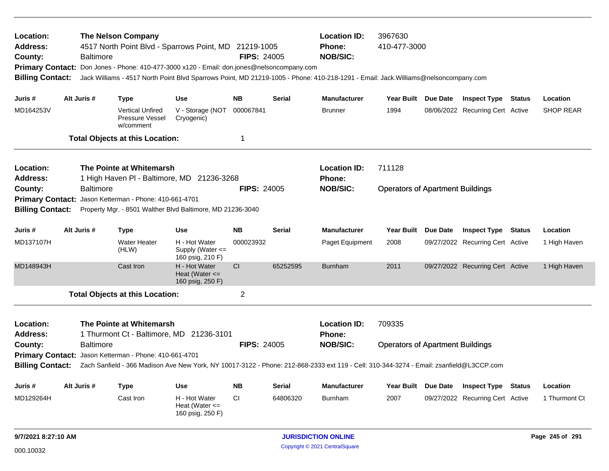| Location:<br>Address:<br>County:<br><b>Primary Contact:</b><br><b>Billing Contact:</b> |  | <b>Baltimore</b> | <b>The Nelson Company</b>                               | 4517 North Point Blvd - Sparrows Point, MD 21219-1005<br>Don Jones - Phone: 410-477-3000 x120 - Email: don.jones@nelsoncompany.com<br>Jack Williams - 4517 North Point Blvd Sparrows Point, MD 21219-1005 - Phone: 410-218-1291 - Email: Jack.Williams@nelsoncompany.com | <b>FIPS: 24005</b> |               | <b>Location ID:</b><br><b>Phone:</b><br><b>NOB/SIC:</b> | 3967630<br>410-477-3000                 |          |                                  |        |                  |
|----------------------------------------------------------------------------------------|--|------------------|---------------------------------------------------------|--------------------------------------------------------------------------------------------------------------------------------------------------------------------------------------------------------------------------------------------------------------------------|--------------------|---------------|---------------------------------------------------------|-----------------------------------------|----------|----------------------------------|--------|------------------|
| Juris #                                                                                |  | Alt Juris #      | <b>Type</b>                                             | <b>Use</b>                                                                                                                                                                                                                                                               | <b>NB</b>          | <b>Serial</b> | <b>Manufacturer</b>                                     | Year Built Due Date                     |          | <b>Inspect Type Status</b>       |        | Location         |
| MD164253V                                                                              |  |                  | <b>Vertical Unfired</b><br>Pressure Vessel<br>w/comment | V - Storage (NOT<br>Cryogenic)                                                                                                                                                                                                                                           | 000067841          |               | <b>Brunner</b>                                          | 1994                                    |          | 08/06/2022 Recurring Cert Active |        | <b>SHOP REAR</b> |
|                                                                                        |  |                  | <b>Total Objects at this Location:</b>                  |                                                                                                                                                                                                                                                                          | $\mathbf 1$        |               |                                                         |                                         |          |                                  |        |                  |
| Location:<br><b>Address:</b>                                                           |  |                  | The Pointe at Whitemarsh                                | 1 High Haven PI - Baltimore, MD 21236-3268                                                                                                                                                                                                                               |                    |               | <b>Location ID:</b><br><b>Phone:</b>                    | 711128                                  |          |                                  |        |                  |
| County:                                                                                |  | <b>Baltimore</b> |                                                         |                                                                                                                                                                                                                                                                          | <b>FIPS: 24005</b> |               | <b>NOB/SIC:</b>                                         | <b>Operators of Apartment Buildings</b> |          |                                  |        |                  |
| <b>Primary Contact:</b>                                                                |  |                  | Jason Ketterman - Phone: 410-661-4701                   |                                                                                                                                                                                                                                                                          |                    |               |                                                         |                                         |          |                                  |        |                  |
| <b>Billing Contact:</b>                                                                |  |                  |                                                         | Property Mgr. - 8501 Walther Blvd Baltimore, MD 21236-3040                                                                                                                                                                                                               |                    |               |                                                         |                                         |          |                                  |        |                  |
| Juris#                                                                                 |  | Alt Juris #      | <b>Type</b>                                             | <b>Use</b>                                                                                                                                                                                                                                                               | <b>NB</b>          | <b>Serial</b> | <b>Manufacturer</b>                                     | Year Built                              | Due Date | <b>Inspect Type</b>              | Status | Location         |
| MD137107H                                                                              |  |                  | <b>Water Heater</b><br>(HLW)                            | H - Hot Water<br>Supply (Water $\leq$<br>160 psig, 210 F)                                                                                                                                                                                                                | 000023932          |               | Paget Equipment                                         | 2008                                    |          | 09/27/2022 Recurring Cert Active |        | 1 High Haven     |
| MD148943H                                                                              |  |                  | Cast Iron                                               | H - Hot Water<br>Heat (Water $\leq$<br>160 psig, 250 F)                                                                                                                                                                                                                  | CI                 | 65252595      | <b>Burnham</b>                                          | 2011                                    |          | 09/27/2022 Recurring Cert Active |        | 1 High Haven     |
|                                                                                        |  |                  | <b>Total Objects at this Location:</b>                  |                                                                                                                                                                                                                                                                          | $\overline{2}$     |               |                                                         |                                         |          |                                  |        |                  |
| Location:<br>Address:                                                                  |  |                  | The Pointe at Whitemarsh                                | 1 Thurmont Ct - Baltimore, MD 21236-3101                                                                                                                                                                                                                                 |                    |               | <b>Location ID:</b><br><b>Phone:</b>                    | 709335                                  |          |                                  |        |                  |
| County:                                                                                |  | <b>Baltimore</b> |                                                         |                                                                                                                                                                                                                                                                          | <b>FIPS: 24005</b> |               | <b>NOB/SIC:</b>                                         | <b>Operators of Apartment Buildings</b> |          |                                  |        |                  |
| Primary Contact: Jason Ketterman - Phone: 410-661-4701                                 |  |                  |                                                         |                                                                                                                                                                                                                                                                          |                    |               |                                                         |                                         |          |                                  |        |                  |
| <b>Billing Contact:</b>                                                                |  |                  |                                                         | Zach Sanfield - 366 Madison Ave New York, NY 10017-3122 - Phone: 212-868-2333 ext 119 - Cell: 310-344-3274 - Email: zsanfield@L3CCP.com                                                                                                                                  |                    |               |                                                         |                                         |          |                                  |        |                  |
| Juris #                                                                                |  | Alt Juris #      | <b>Type</b>                                             | <b>Use</b>                                                                                                                                                                                                                                                               | <b>NB</b>          | <b>Serial</b> | <b>Manufacturer</b>                                     | Year Built Due Date                     |          | <b>Inspect Type Status</b>       |        | Location         |
| MD129264H                                                                              |  |                  | Cast Iron                                               | H - Hot Water<br>Heat (Water $\leq$<br>160 psig, 250 F)                                                                                                                                                                                                                  | CI.                | 64806320      | <b>Burnham</b>                                          | 2007                                    |          | 09/27/2022 Recurring Cert Active |        | 1 Thurmont Ct    |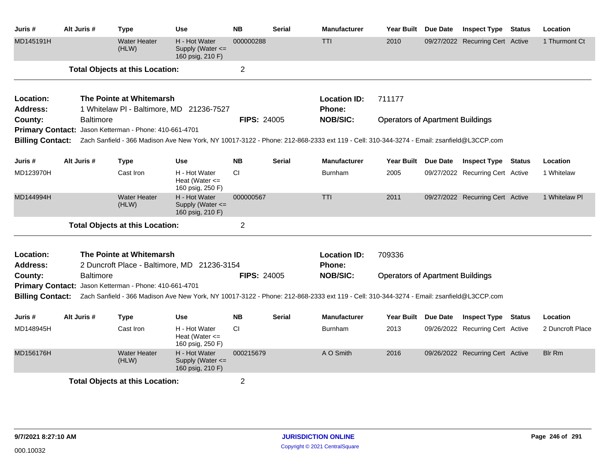| Juris #                      | Alt Juris #      | <b>Type</b>                                            | <b>Use</b>                                              | <b>NB</b>          | <b>Serial</b> | <b>Manufacturer</b>                                                                                                                     | Year Built                              | Due Date | <b>Inspect Type</b>              | <b>Status</b> | Location         |
|------------------------------|------------------|--------------------------------------------------------|---------------------------------------------------------|--------------------|---------------|-----------------------------------------------------------------------------------------------------------------------------------------|-----------------------------------------|----------|----------------------------------|---------------|------------------|
| MD145191H                    |                  | <b>Water Heater</b><br>(HLW)                           | H - Hot Water<br>Supply (Water <=<br>160 psig, 210 F)   | 000000288          |               | <b>TTI</b>                                                                                                                              | 2010                                    |          | 09/27/2022 Recurring Cert Active |               | 1 Thurmont Ct    |
|                              |                  | <b>Total Objects at this Location:</b>                 |                                                         | $\overline{c}$     |               |                                                                                                                                         |                                         |          |                                  |               |                  |
| Location:<br><b>Address:</b> |                  | The Pointe at Whitemarsh                               | 1 Whitelaw PI - Baltimore, MD 21236-7527                |                    |               | <b>Location ID:</b><br><b>Phone:</b>                                                                                                    | 711177                                  |          |                                  |               |                  |
| County:                      | <b>Baltimore</b> | Primary Contact: Jason Ketterman - Phone: 410-661-4701 |                                                         | <b>FIPS: 24005</b> |               | <b>NOB/SIC:</b>                                                                                                                         | <b>Operators of Apartment Buildings</b> |          |                                  |               |                  |
| <b>Billing Contact:</b>      |                  |                                                        |                                                         |                    |               | Zach Sanfield - 366 Madison Ave New York, NY 10017-3122 - Phone: 212-868-2333 ext 119 - Cell: 310-344-3274 - Email: zsanfield@L3CCP.com |                                         |          |                                  |               |                  |
| Juris #                      | Alt Juris #      | <b>Type</b>                                            | <b>Use</b>                                              | <b>NB</b>          | <b>Serial</b> | <b>Manufacturer</b>                                                                                                                     | Year Built Due Date                     |          | <b>Inspect Type Status</b>       |               | Location         |
| MD123970H                    |                  | Cast Iron                                              | H - Hot Water<br>Heat (Water $\leq$<br>160 psig, 250 F) | CI.                |               | <b>Burnham</b>                                                                                                                          | 2005                                    |          | 09/27/2022 Recurring Cert Active |               | 1 Whitelaw       |
| MD144994H                    |                  | <b>Water Heater</b><br>(HLW)                           | H - Hot Water<br>Supply (Water <=<br>160 psig, 210 F)   | 000000567          |               | <b>TTI</b>                                                                                                                              | 2011                                    |          | 09/27/2022 Recurring Cert Active |               | 1 Whitelaw PI    |
|                              |                  | <b>Total Objects at this Location:</b>                 |                                                         | $\overline{2}$     |               |                                                                                                                                         |                                         |          |                                  |               |                  |
| Location:<br><b>Address:</b> |                  | The Pointe at Whitemarsh                               | 2 Duncroft Place - Baltimore, MD 21236-3154             |                    |               | <b>Location ID:</b><br>Phone:                                                                                                           | 709336                                  |          |                                  |               |                  |
| County:                      | <b>Baltimore</b> |                                                        |                                                         | <b>FIPS: 24005</b> |               | <b>NOB/SIC:</b>                                                                                                                         | <b>Operators of Apartment Buildings</b> |          |                                  |               |                  |
| <b>Billing Contact:</b>      |                  | Primary Contact: Jason Ketterman - Phone: 410-661-4701 |                                                         |                    |               | Zach Sanfield - 366 Madison Ave New York, NY 10017-3122 - Phone: 212-868-2333 ext 119 - Cell: 310-344-3274 - Email: zsanfield@L3CCP.com |                                         |          |                                  |               |                  |
| Juris #                      | Alt Juris #      | <b>Type</b>                                            | Use                                                     | <b>NB</b>          | <b>Serial</b> | <b>Manufacturer</b>                                                                                                                     | Year Built Due Date                     |          | <b>Inspect Type Status</b>       |               | Location         |
| MD148945H                    |                  | Cast Iron                                              | H - Hot Water<br>Heat (Water $\leq$<br>160 psig, 250 F) | CI.                |               | <b>Burnham</b>                                                                                                                          | 2013                                    |          | 09/26/2022 Recurring Cert Active |               | 2 Duncroft Place |
| MD156176H                    |                  | <b>Water Heater</b><br>(HLW)                           | H - Hot Water<br>Supply (Water <=<br>160 psig, 210 F)   | 000215679          |               | A O Smith                                                                                                                               | 2016                                    |          | 09/26/2022 Recurring Cert Active |               | <b>Blr Rm</b>    |
|                              |                  | <b>Total Objects at this Location:</b>                 |                                                         | 2                  |               |                                                                                                                                         |                                         |          |                                  |               |                  |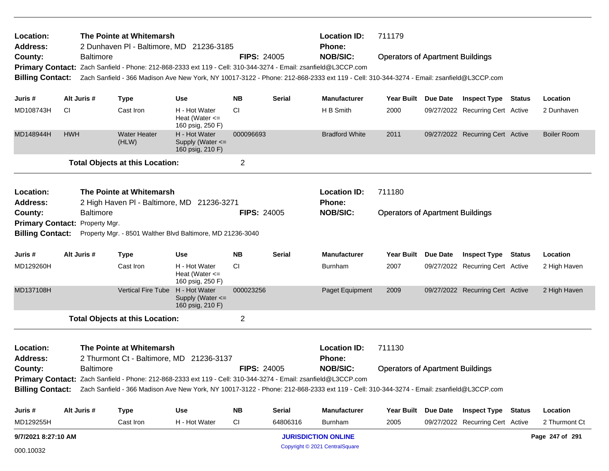| Location:<br><b>Address:</b>                                                                                                                  |            |                  | The Pointe at Whitemarsh<br>2 Dunhaven PI - Baltimore, MD 21236-3185                                           |                                                           |                    |                                         | <b>Location ID:</b><br><b>Phone:</b>                                                                                                                     | 711179                                  |          |                                  |               |                    |
|-----------------------------------------------------------------------------------------------------------------------------------------------|------------|------------------|----------------------------------------------------------------------------------------------------------------|-----------------------------------------------------------|--------------------|-----------------------------------------|----------------------------------------------------------------------------------------------------------------------------------------------------------|-----------------------------------------|----------|----------------------------------|---------------|--------------------|
| County:<br><b>Baltimore</b><br>Primary Contact: Zach Sanfield - Phone: 212-868-2333 ext 119 - Cell: 310-344-3274 - Email: zsanfield@L3CCP.com |            |                  |                                                                                                                | <b>FIPS: 24005</b>                                        |                    | <b>NOB/SIC:</b>                         | <b>Operators of Apartment Buildings</b>                                                                                                                  |                                         |          |                                  |               |                    |
| <b>Billing Contact:</b>                                                                                                                       |            |                  |                                                                                                                |                                                           |                    |                                         | Zach Sanfield - 366 Madison Ave New York, NY 10017-3122 - Phone: 212-868-2333 ext 119 - Cell: 310-344-3274 - Email: zsanfield@L3CCP.com                  |                                         |          |                                  |               |                    |
| Juris #                                                                                                                                       |            | Alt Juris #      | <b>Type</b>                                                                                                    | Use                                                       | NΒ                 | Serial                                  | <b>Manufacturer</b>                                                                                                                                      | Year Built Due Date                     |          | <b>Inspect Type Status</b>       |               | Location           |
| MD108743H                                                                                                                                     | CI         |                  | Cast Iron                                                                                                      | H - Hot Water<br>Heat (Water $\leq$<br>160 psig, 250 F)   | <b>CI</b>          |                                         | H B Smith                                                                                                                                                | 2000                                    |          | 09/27/2022 Recurring Cert Active |               | 2 Dunhaven         |
| MD148944H                                                                                                                                     | <b>HWH</b> |                  | <b>Water Heater</b><br>(HLW)                                                                                   | H - Hot Water<br>Supply (Water $\leq$<br>160 psig, 210 F) | 000096693          |                                         | <b>Bradford White</b>                                                                                                                                    | 2011                                    |          | 09/27/2022 Recurring Cert Active |               | <b>Boiler Room</b> |
|                                                                                                                                               |            |                  | <b>Total Objects at this Location:</b>                                                                         |                                                           | 2                  |                                         |                                                                                                                                                          |                                         |          |                                  |               |                    |
|                                                                                                                                               |            |                  |                                                                                                                |                                                           |                    |                                         |                                                                                                                                                          |                                         |          |                                  |               |                    |
| Location:<br><b>Address:</b>                                                                                                                  |            |                  | The Pointe at Whitemarsh<br>2 High Haven PI - Baltimore, MD 21236-3271                                         |                                                           |                    |                                         | <b>Location ID:</b><br><b>Phone:</b>                                                                                                                     | 711180                                  |          |                                  |               |                    |
| County:                                                                                                                                       |            | <b>Baltimore</b> |                                                                                                                |                                                           | <b>FIPS: 24005</b> |                                         | <b>NOB/SIC:</b>                                                                                                                                          | <b>Operators of Apartment Buildings</b> |          |                                  |               |                    |
| Primary Contact: Property Mgr.                                                                                                                |            |                  |                                                                                                                |                                                           |                    |                                         |                                                                                                                                                          |                                         |          |                                  |               |                    |
| <b>Billing Contact:</b>                                                                                                                       |            |                  | Property Mgr. - 8501 Walther Blvd Baltimore, MD 21236-3040                                                     |                                                           |                    |                                         |                                                                                                                                                          |                                         |          |                                  |               |                    |
| Juris #                                                                                                                                       |            | Alt Juris #      | <b>Type</b>                                                                                                    | Use                                                       | <b>NB</b>          | <b>Serial</b>                           | <b>Manufacturer</b>                                                                                                                                      | <b>Year Built</b>                       | Due Date | <b>Inspect Type</b>              | <b>Status</b> | Location           |
| MD129260H                                                                                                                                     |            |                  | Cast Iron                                                                                                      | H - Hot Water<br>Heat (Water $\leq$<br>160 psig, 250 F)   | <b>CI</b>          |                                         | Burnham                                                                                                                                                  | 2007                                    |          | 09/27/2022 Recurring Cert Active |               | 2 High Haven       |
| MD137108H                                                                                                                                     |            |                  | Vertical Fire Tube H - Hot Water                                                                               | Supply (Water $\leq$<br>160 psig, 210 F)                  | 000023256          |                                         | Paget Equipment                                                                                                                                          | 2009                                    |          | 09/27/2022 Recurring Cert Active |               | 2 High Haven       |
|                                                                                                                                               |            |                  | <b>Total Objects at this Location:</b>                                                                         |                                                           | 2                  |                                         |                                                                                                                                                          |                                         |          |                                  |               |                    |
| Location:<br>Address:                                                                                                                         |            |                  | The Pointe at Whitemarsh<br>2 Thurmont Ct - Baltimore, MD 21236-3137                                           |                                                           |                    | <b>Location ID:</b><br><b>Phone:</b>    | 711130                                                                                                                                                   |                                         |          |                                  |               |                    |
| County:                                                                                                                                       |            | <b>Baltimore</b> |                                                                                                                | <b>FIPS: 24005</b>                                        | <b>NOB/SIC:</b>    | <b>Operators of Apartment Buildings</b> |                                                                                                                                                          |                                         |          |                                  |               |                    |
|                                                                                                                                               |            |                  | Primary Contact: Zach Sanfield - Phone: 212-868-2333 ext 119 - Cell: 310-344-3274 - Email: zsanfield@L3CCP.com |                                                           |                    |                                         |                                                                                                                                                          |                                         |          |                                  |               |                    |
|                                                                                                                                               |            |                  |                                                                                                                |                                                           |                    |                                         | Billing Contact: Zach Sanfield - 366 Madison Ave New York, NY 10017-3122 - Phone: 212-868-2333 ext 119 - Cell: 310-344-3274 - Email: zsanfield@L3CCP.com |                                         |          |                                  |               |                    |
| Juris #                                                                                                                                       |            | Alt Juris #      | Type                                                                                                           | <b>Use</b>                                                | <b>NB</b>          | <b>Serial</b>                           | <b>Manufacturer</b>                                                                                                                                      | Year Built Due Date                     |          | <b>Inspect Type Status</b>       |               | Location           |
| MD129255H                                                                                                                                     |            |                  | Cast Iron                                                                                                      | H - Hot Water                                             | <b>CI</b>          | 64806316                                | Burnham                                                                                                                                                  | 2005                                    |          | 09/27/2022 Recurring Cert Active |               | 2 Thurmont Ct      |
| 9/7/2021 8:27:10 AM                                                                                                                           |            |                  |                                                                                                                |                                                           |                    |                                         | <b>JURISDICTION ONLINE</b>                                                                                                                               |                                         |          |                                  |               | Page 247 of 291    |
| 000.10032                                                                                                                                     |            |                  |                                                                                                                |                                                           |                    |                                         | Copyright © 2021 CentralSquare                                                                                                                           |                                         |          |                                  |               |                    |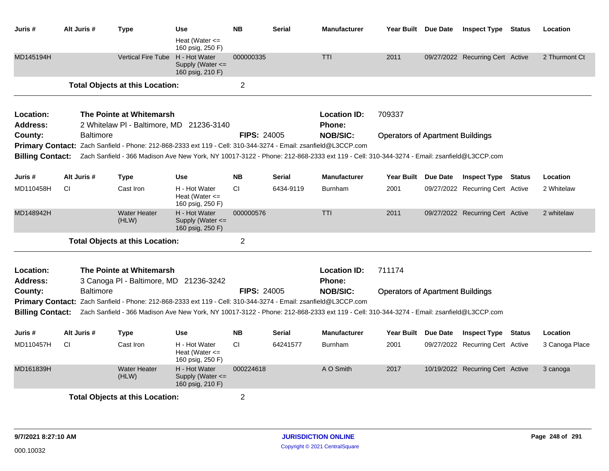| Juris #                 | Alt Juris #              | <b>Type</b>                                                                                                                             | Use                                                       | <b>NB</b>          | <b>Serial</b> | <b>Manufacturer</b> | Year Built Due Date                     |          | <b>Inspect Type</b>              | Status        | Location       |
|-------------------------|--------------------------|-----------------------------------------------------------------------------------------------------------------------------------------|-----------------------------------------------------------|--------------------|---------------|---------------------|-----------------------------------------|----------|----------------------------------|---------------|----------------|
|                         |                          |                                                                                                                                         | Heat (Water $\leq$<br>160 psig, 250 F)                    |                    |               |                     |                                         |          |                                  |               |                |
| MD145194H               |                          | <b>Vertical Fire Tube</b>                                                                                                               | H - Hot Water<br>Supply (Water $\leq$<br>160 psig, 210 F) | 000000335          |               | <b>TTI</b>          | 2011                                    |          | 09/27/2022 Recurring Cert Active |               | 2 Thurmont Ct  |
|                         |                          | <b>Total Objects at this Location:</b>                                                                                                  |                                                           | $\overline{2}$     |               |                     |                                         |          |                                  |               |                |
| Location:               | The Pointe at Whitemarsh |                                                                                                                                         |                                                           |                    |               | <b>Location ID:</b> | 709337                                  |          |                                  |               |                |
| Address:                |                          | 2 Whitelaw PI - Baltimore, MD 21236-3140                                                                                                |                                                           |                    |               | <b>Phone:</b>       |                                         |          |                                  |               |                |
| County:                 |                          | <b>Baltimore</b>                                                                                                                        |                                                           | <b>FIPS: 24005</b> |               | <b>NOB/SIC:</b>     | <b>Operators of Apartment Buildings</b> |          |                                  |               |                |
|                         |                          | Primary Contact: Zach Sanfield - Phone: 212-868-2333 ext 119 - Cell: 310-344-3274 - Email: zsanfield@L3CCP.com                          |                                                           |                    |               |                     |                                         |          |                                  |               |                |
| <b>Billing Contact:</b> |                          | Zach Sanfield - 366 Madison Ave New York, NY 10017-3122 - Phone: 212-868-2333 ext 119 - Cell: 310-344-3274 - Email: zsanfield@L3CCP.com |                                                           |                    |               |                     |                                         |          |                                  |               |                |
| Juris #                 | Alt Juris #              | <b>Type</b>                                                                                                                             | <b>Use</b>                                                | <b>NB</b>          | <b>Serial</b> | <b>Manufacturer</b> | <b>Year Built</b>                       | Due Date | <b>Inspect Type</b>              | <b>Status</b> | Location       |
| MD110458H               | CI                       | Cast Iron                                                                                                                               | H - Hot Water<br>Heat (Water $\leq$<br>160 psig, 250 F)   | CI                 | 6434-9119     | <b>Burnham</b>      | 2001                                    |          | 09/27/2022 Recurring Cert Active |               | 2 Whitelaw     |
| MD148942H               |                          | <b>Water Heater</b><br>(HLW)                                                                                                            | H - Hot Water<br>Supply (Water $\leq$<br>160 psig, 250 F) | 000000576          |               | TTI                 | 2011                                    |          | 09/27/2022 Recurring Cert Active |               | 2 whitelaw     |
|                         |                          | <b>Total Objects at this Location:</b>                                                                                                  |                                                           | $\overline{2}$     |               |                     |                                         |          |                                  |               |                |
| Location:               |                          | The Pointe at Whitemarsh                                                                                                                |                                                           |                    |               | <b>Location ID:</b> | 711174                                  |          |                                  |               |                |
| <b>Address:</b>         |                          | 3 Canoga PI - Baltimore, MD 21236-3242                                                                                                  |                                                           |                    |               | <b>Phone:</b>       |                                         |          |                                  |               |                |
| County:                 |                          | <b>Baltimore</b>                                                                                                                        |                                                           | <b>FIPS: 24005</b> |               | <b>NOB/SIC:</b>     | <b>Operators of Apartment Buildings</b> |          |                                  |               |                |
|                         |                          | Primary Contact: Zach Sanfield - Phone: 212-868-2333 ext 119 - Cell: 310-344-3274 - Email: zsanfield@L3CCP.com                          |                                                           |                    |               |                     |                                         |          |                                  |               |                |
| <b>Billing Contact:</b> |                          | Zach Sanfield - 366 Madison Ave New York, NY 10017-3122 - Phone: 212-868-2333 ext 119 - Cell: 310-344-3274 - Email: zsanfield@L3CCP.com |                                                           |                    |               |                     |                                         |          |                                  |               |                |
| Juris #                 | Alt Juris #              | <b>Type</b>                                                                                                                             | Use                                                       | <b>NB</b>          | Serial        | <b>Manufacturer</b> | Year Built Due Date                     |          | <b>Inspect Type</b>              | <b>Status</b> | Location       |
| MD110457H               | CI                       | Cast Iron                                                                                                                               | H - Hot Water<br>Heat (Water $\leq$<br>160 psig, 250 F)   | CI.                | 64241577      | <b>Burnham</b>      | 2001                                    |          | 09/27/2022 Recurring Cert Active |               | 3 Canoga Place |
| MD161839H               |                          | <b>Water Heater</b><br>(HLW)                                                                                                            | H - Hot Water<br>Supply (Water $\leq$<br>160 psig, 210 F) | 000224618          |               | A O Smith           | 2017                                    |          | 10/19/2022 Recurring Cert Active |               | 3 canoga       |
|                         |                          | <b>Total Objects at this Location:</b>                                                                                                  |                                                           | 2                  |               |                     |                                         |          |                                  |               |                |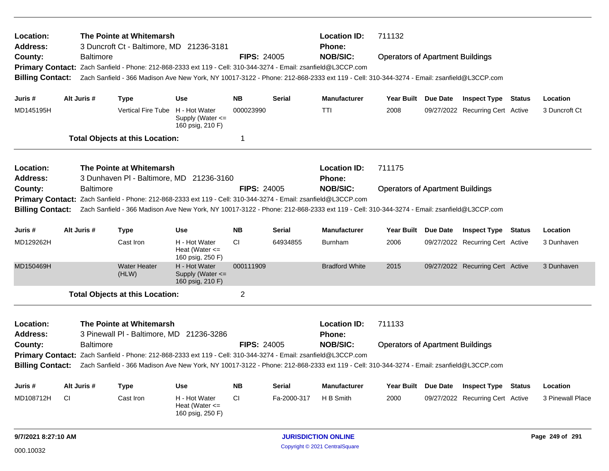| <b>Location:</b><br><b>Address:</b> |                  | The Pointe at Whitemarsh<br>3 Duncroft Ct - Baltimore, MD 21236-3181                                                                    |                                                           |                                      |               | <b>Location ID:</b><br><b>Phone:</b> | 711132                                  |  |                                  |        |                  |  |
|-------------------------------------|------------------|-----------------------------------------------------------------------------------------------------------------------------------------|-----------------------------------------------------------|--------------------------------------|---------------|--------------------------------------|-----------------------------------------|--|----------------------------------|--------|------------------|--|
| County:                             | <b>Baltimore</b> |                                                                                                                                         |                                                           | <b>FIPS: 24005</b>                   |               | <b>NOB/SIC:</b>                      | <b>Operators of Apartment Buildings</b> |  |                                  |        |                  |  |
|                                     |                  | Primary Contact: Zach Sanfield - Phone: 212-868-2333 ext 119 - Cell: 310-344-3274 - Email: zsanfield@L3CCP.com                          |                                                           |                                      |               |                                      |                                         |  |                                  |        |                  |  |
| <b>Billing Contact:</b>             |                  | Zach Sanfield - 366 Madison Ave New York, NY 10017-3122 - Phone: 212-868-2333 ext 119 - Cell: 310-344-3274 - Email: zsanfield@L3CCP.com |                                                           |                                      |               |                                      |                                         |  |                                  |        |                  |  |
| Juris #                             | Alt Juris #      | <b>Type</b>                                                                                                                             | <b>Use</b>                                                | <b>NB</b>                            | <b>Serial</b> | <b>Manufacturer</b>                  | Year Built Due Date                     |  | <b>Inspect Type Status</b>       |        | Location         |  |
| MD145195H                           |                  | Vertical Fire Tube H - Hot Water                                                                                                        | Supply (Water $\leq$<br>160 psig, 210 F)                  | 000023990                            |               | <b>TTI</b>                           | 2008                                    |  | 09/27/2022 Recurring Cert Active |        | 3 Duncroft Ct    |  |
|                                     |                  | <b>Total Objects at this Location:</b>                                                                                                  |                                                           | 1                                    |               |                                      |                                         |  |                                  |        |                  |  |
|                                     |                  | The Pointe at Whitemarsh                                                                                                                |                                                           |                                      |               | <b>Location ID:</b>                  | 711175                                  |  |                                  |        |                  |  |
| <b>Location:</b><br><b>Address:</b> |                  | 3 Dunhaven PI - Baltimore, MD 21236-3160                                                                                                |                                                           |                                      |               | <b>Phone:</b>                        |                                         |  |                                  |        |                  |  |
| County:                             | <b>Baltimore</b> |                                                                                                                                         |                                                           | <b>FIPS: 24005</b>                   |               | <b>NOB/SIC:</b>                      | <b>Operators of Apartment Buildings</b> |  |                                  |        |                  |  |
|                                     |                  | Primary Contact: Zach Sanfield - Phone: 212-868-2333 ext 119 - Cell: 310-344-3274 - Email: zsanfield@L3CCP.com                          |                                                           |                                      |               |                                      |                                         |  |                                  |        |                  |  |
| <b>Billing Contact:</b>             |                  | Zach Sanfield - 366 Madison Ave New York, NY 10017-3122 - Phone: 212-868-2333 ext 119 - Cell: 310-344-3274 - Email: zsanfield@L3CCP.com |                                                           |                                      |               |                                      |                                         |  |                                  |        |                  |  |
| Juris #                             | Alt Juris #      | <b>Type</b>                                                                                                                             | <b>Use</b>                                                | <b>NB</b>                            | <b>Serial</b> | <b>Manufacturer</b>                  | Year Built Due Date                     |  | <b>Inspect Type Status</b>       |        | Location         |  |
| MD129262H                           |                  | Cast Iron                                                                                                                               | H - Hot Water<br>Heat (Water $\leq$<br>160 psig, 250 F)   | <b>CI</b>                            | 64934855      | <b>Burnham</b>                       | 2006                                    |  | 09/27/2022 Recurring Cert Active |        | 3 Dunhaven       |  |
| MD150469H                           |                  | <b>Water Heater</b><br>(HLW)                                                                                                            | H - Hot Water<br>Supply (Water $\leq$<br>160 psig, 210 F) | 000111909                            |               | <b>Bradford White</b>                | 2015                                    |  | 09/27/2022 Recurring Cert Active |        | 3 Dunhaven       |  |
|                                     |                  | <b>Total Objects at this Location:</b>                                                                                                  |                                                           | $\overline{2}$                       |               |                                      |                                         |  |                                  |        |                  |  |
| <b>Location:</b><br>Address:        |                  | The Pointe at Whitemarsh<br>3 Pinewall PI - Baltimore, MD 21236-3286                                                                    |                                                           | <b>Location ID:</b><br><b>Phone:</b> | 711133        |                                      |                                         |  |                                  |        |                  |  |
| County:                             | <b>Baltimore</b> |                                                                                                                                         |                                                           | <b>FIPS: 24005</b>                   |               | <b>NOB/SIC:</b>                      | <b>Operators of Apartment Buildings</b> |  |                                  |        |                  |  |
|                                     |                  | Primary Contact: Zach Sanfield - Phone: 212-868-2333 ext 119 - Cell: 310-344-3274 - Email: zsanfield@L3CCP.com                          |                                                           |                                      |               |                                      |                                         |  |                                  |        |                  |  |
| <b>Billing Contact:</b>             |                  | Zach Sanfield - 366 Madison Ave New York, NY 10017-3122 - Phone: 212-868-2333 ext 119 - Cell: 310-344-3274 - Email: zsanfield@L3CCP.com |                                                           |                                      |               |                                      |                                         |  |                                  |        |                  |  |
| Juris #                             | Alt Juris #      | <b>Type</b>                                                                                                                             | Use                                                       | <b>NB</b>                            | <b>Serial</b> | <b>Manufacturer</b>                  | Year Built Due Date                     |  | <b>Inspect Type</b>              | Status | Location         |  |
| MD108712H<br>CI                     |                  | Cast Iron                                                                                                                               | H - Hot Water<br>Heat (Water $\leq$<br>160 psig, 250 F)   | CI                                   | Fa-2000-317   | H B Smith                            | 2000                                    |  | 09/27/2022 Recurring Cert Active |        | 3 Pinewall Place |  |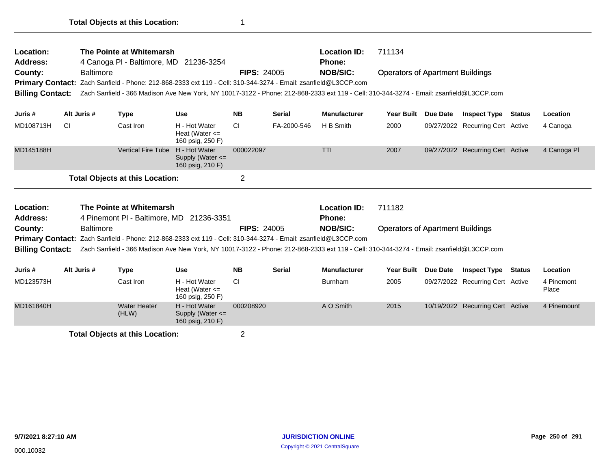| Location:<br>The Pointe at Whitemarsh<br>4 Canoga PI - Baltimore, MD 21236-3254<br>Address:<br><b>Baltimore</b><br>County:<br><b>Primary Contact:</b><br>Zach Sanfield - Phone: 212-868-2333 ext 119 - Cell: 310-344-3274 - Email: zsanfield@L3CCP.com<br><b>Billing Contact:</b><br>Zach Sanfield - 366 Madison Ave New York, NY 10017-3122 - Phone: 212-868-2333 ext 119 - Cell: 310-344-3274 - Email: zsanfield@L3CCP.com |                                                                      |                  |                                                                                                                                                                                                                                                           |                                                           | <b>FIPS: 24005</b> |               | <b>Location ID:</b><br><b>Phone:</b><br><b>NOB/SIC:</b> | 711134<br><b>Operators of Apartment Buildings</b> |                 |                                  |               |                     |  |
|------------------------------------------------------------------------------------------------------------------------------------------------------------------------------------------------------------------------------------------------------------------------------------------------------------------------------------------------------------------------------------------------------------------------------|----------------------------------------------------------------------|------------------|-----------------------------------------------------------------------------------------------------------------------------------------------------------------------------------------------------------------------------------------------------------|-----------------------------------------------------------|--------------------|---------------|---------------------------------------------------------|---------------------------------------------------|-----------------|----------------------------------|---------------|---------------------|--|
| Juris #                                                                                                                                                                                                                                                                                                                                                                                                                      |                                                                      | Alt Juris #      | <b>Type</b>                                                                                                                                                                                                                                               | <b>Use</b>                                                | <b>NB</b>          | <b>Serial</b> | <b>Manufacturer</b>                                     | <b>Year Built</b>                                 | <b>Due Date</b> | <b>Inspect Type</b>              | <b>Status</b> | Location            |  |
| MD108713H                                                                                                                                                                                                                                                                                                                                                                                                                    | CI                                                                   |                  | Cast Iron                                                                                                                                                                                                                                                 | H - Hot Water<br>Heat (Water $\leq$<br>160 psig, 250 F)   | <b>CI</b>          | FA-2000-546   | H B Smith                                               | 2000                                              |                 | 09/27/2022 Recurring Cert Active |               | 4 Canoga            |  |
| MD145188H                                                                                                                                                                                                                                                                                                                                                                                                                    |                                                                      |                  | <b>Vertical Fire Tube</b>                                                                                                                                                                                                                                 | H - Hot Water<br>Supply (Water $\leq$<br>160 psig, 210 F) | 000022097          |               | <b>TTI</b>                                              | 2007                                              |                 | 09/27/2022 Recurring Cert Active |               | 4 Canoga Pl         |  |
|                                                                                                                                                                                                                                                                                                                                                                                                                              |                                                                      |                  | <b>Total Objects at this Location:</b>                                                                                                                                                                                                                    |                                                           | $\overline{2}$     |               |                                                         |                                                   |                 |                                  |               |                     |  |
| Location:<br>Address:                                                                                                                                                                                                                                                                                                                                                                                                        | The Pointe at Whitemarsh<br>4 Pinemont PI - Baltimore, MD 21236-3351 |                  |                                                                                                                                                                                                                                                           |                                                           |                    |               | <b>Location ID:</b><br><b>Phone:</b>                    | 711182                                            |                 |                                  |               |                     |  |
| County:                                                                                                                                                                                                                                                                                                                                                                                                                      |                                                                      | <b>Baltimore</b> |                                                                                                                                                                                                                                                           |                                                           | <b>FIPS: 24005</b> |               | <b>NOB/SIC:</b>                                         | <b>Operators of Apartment Buildings</b>           |                 |                                  |               |                     |  |
| <b>Billing Contact:</b>                                                                                                                                                                                                                                                                                                                                                                                                      |                                                                      |                  | Primary Contact: Zach Sanfield - Phone: 212-868-2333 ext 119 - Cell: 310-344-3274 - Email: zsanfield@L3CCP.com<br>Zach Sanfield - 366 Madison Ave New York, NY 10017-3122 - Phone: 212-868-2333 ext 119 - Cell: 310-344-3274 - Email: zsanfield@L3CCP.com |                                                           |                    |               |                                                         |                                                   |                 |                                  |               |                     |  |
| Juris #                                                                                                                                                                                                                                                                                                                                                                                                                      |                                                                      | Alt Juris #      | <b>Type</b>                                                                                                                                                                                                                                               | <b>Use</b>                                                | <b>NB</b>          | <b>Serial</b> | <b>Manufacturer</b>                                     | Year Built                                        | <b>Due Date</b> | <b>Inspect Type</b>              | Status        | Location            |  |
| MD123573H                                                                                                                                                                                                                                                                                                                                                                                                                    |                                                                      |                  | Cast Iron                                                                                                                                                                                                                                                 | H - Hot Water<br>Heat (Water $\leq$<br>160 psig, 250 F)   | <b>CI</b>          |               | Burnham                                                 | 2005                                              |                 | 09/27/2022 Recurring Cert Active |               | 4 Pinemont<br>Place |  |
| MD161840H                                                                                                                                                                                                                                                                                                                                                                                                                    |                                                                      |                  | <b>Water Heater</b><br>(HLW)                                                                                                                                                                                                                              | H - Hot Water<br>Supply (Water $\leq$<br>160 psig, 210 F) | 000208920          |               | A O Smith                                               | 2015                                              |                 | 10/19/2022 Recurring Cert Active |               | 4 Pinemount         |  |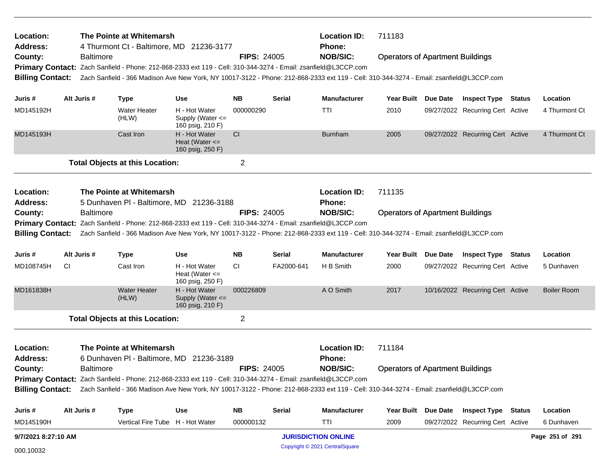| Location:<br><b>Address:</b> | The Pointe at Whitemarsh<br>4 Thurmont Ct - Baltimore, MD 21236-3177 |                  |                                                                                                                |                                                           |                    |               | <b>Location ID:</b><br><b>Phone:</b>                                                                                                                     | 711183                                  |  |                                  |  |                    |  |  |
|------------------------------|----------------------------------------------------------------------|------------------|----------------------------------------------------------------------------------------------------------------|-----------------------------------------------------------|--------------------|---------------|----------------------------------------------------------------------------------------------------------------------------------------------------------|-----------------------------------------|--|----------------------------------|--|--------------------|--|--|
| County:                      |                                                                      | <b>Baltimore</b> |                                                                                                                |                                                           | <b>FIPS: 24005</b> |               | <b>NOB/SIC:</b>                                                                                                                                          | <b>Operators of Apartment Buildings</b> |  |                                  |  |                    |  |  |
| <b>Billing Contact:</b>      |                                                                      |                  | Primary Contact: Zach Sanfield - Phone: 212-868-2333 ext 119 - Cell: 310-344-3274 - Email: zsanfield@L3CCP.com |                                                           |                    |               | Zach Sanfield - 366 Madison Ave New York, NY 10017-3122 - Phone: 212-868-2333 ext 119 - Cell: 310-344-3274 - Email: zsanfield@L3CCP.com                  |                                         |  |                                  |  |                    |  |  |
| Juris #                      |                                                                      | Alt Juris #      | <b>Type</b>                                                                                                    | <b>Use</b>                                                | NΒ                 | Serial        | <b>Manufacturer</b>                                                                                                                                      | Year Built Due Date                     |  | <b>Inspect Type Status</b>       |  | Location           |  |  |
| MD145192H                    |                                                                      |                  | Water Heater<br>(HLW)                                                                                          | H - Hot Water<br>Supply (Water $\leq$<br>160 psig, 210 F) | 000000290          |               | <b>TTI</b>                                                                                                                                               | 2010                                    |  | 09/27/2022 Recurring Cert Active |  | 4 Thurmont Ct      |  |  |
| MD145193H                    |                                                                      |                  | Cast Iron                                                                                                      | H - Hot Water<br>Heat (Water $\leq$<br>160 psig, 250 F)   | CI                 |               | <b>Burnham</b>                                                                                                                                           | 2005                                    |  | 09/27/2022 Recurring Cert Active |  | 4 Thurmont Ct      |  |  |
|                              |                                                                      |                  | <b>Total Objects at this Location:</b>                                                                         |                                                           | $\overline{2}$     |               |                                                                                                                                                          |                                         |  |                                  |  |                    |  |  |
| Location:                    |                                                                      |                  | The Pointe at Whitemarsh                                                                                       |                                                           |                    |               | <b>Location ID:</b>                                                                                                                                      | 711135                                  |  |                                  |  |                    |  |  |
| Address:                     |                                                                      |                  | 5 Dunhaven PI - Baltimore, MD 21236-3188                                                                       |                                                           |                    |               | <b>Phone:</b>                                                                                                                                            |                                         |  |                                  |  |                    |  |  |
| County:                      |                                                                      | <b>Baltimore</b> |                                                                                                                |                                                           | <b>FIPS: 24005</b> |               | <b>NOB/SIC:</b>                                                                                                                                          | <b>Operators of Apartment Buildings</b> |  |                                  |  |                    |  |  |
|                              |                                                                      |                  | Primary Contact: Zach Sanfield - Phone: 212-868-2333 ext 119 - Cell: 310-344-3274 - Email: zsanfield@L3CCP.com |                                                           |                    |               | Billing Contact: Zach Sanfield - 366 Madison Ave New York, NY 10017-3122 - Phone: 212-868-2333 ext 119 - Cell: 310-344-3274 - Email: zsanfield@L3CCP.com |                                         |  |                                  |  |                    |  |  |
| Juris #                      |                                                                      | Alt Juris #      | <b>Type</b>                                                                                                    | <b>Use</b>                                                | <b>NB</b>          | Serial        | <b>Manufacturer</b>                                                                                                                                      | Year Built Due Date                     |  | <b>Inspect Type Status</b>       |  | Location           |  |  |
| MD108745H                    | CI                                                                   |                  | Cast Iron                                                                                                      | H - Hot Water<br>Heat (Water $\leq$<br>160 psig, 250 F)   | <b>CI</b>          | FA2000-641    | H B Smith                                                                                                                                                | 2000                                    |  | 09/27/2022 Recurring Cert Active |  | 5 Dunhaven         |  |  |
| MD161838H                    |                                                                      |                  | <b>Water Heater</b><br>(HLW)                                                                                   | H - Hot Water<br>Supply (Water $\leq$<br>160 psig, 210 F) | 000226809          |               | A O Smith                                                                                                                                                | 2017                                    |  | 10/16/2022 Recurring Cert Active |  | <b>Boiler Room</b> |  |  |
|                              |                                                                      |                  | <b>Total Objects at this Location:</b>                                                                         |                                                           | $\overline{2}$     |               |                                                                                                                                                          |                                         |  |                                  |  |                    |  |  |
| Location:<br><b>Address:</b> |                                                                      |                  | The Pointe at Whitemarsh<br>6 Dunhaven PI - Baltimore, MD 21236-3189                                           |                                                           |                    |               | <b>Location ID:</b><br><b>Phone:</b><br><b>NOB/SIC:</b>                                                                                                  | 711184                                  |  |                                  |  |                    |  |  |
| County:                      | <b>Baltimore</b><br><b>FIPS: 24005</b>                               |                  |                                                                                                                |                                                           |                    |               |                                                                                                                                                          | <b>Operators of Apartment Buildings</b> |  |                                  |  |                    |  |  |
|                              |                                                                      |                  | Primary Contact: Zach Sanfield - Phone: 212-868-2333 ext 119 - Cell: 310-344-3274 - Email: zsanfield@L3CCP.com |                                                           |                    |               | Billing Contact: Zach Sanfield - 366 Madison Ave New York, NY 10017-3122 - Phone: 212-868-2333 ext 119 - Cell: 310-344-3274 - Email: zsanfield@L3CCP.com |                                         |  |                                  |  |                    |  |  |
|                              |                                                                      |                  |                                                                                                                |                                                           |                    |               |                                                                                                                                                          |                                         |  |                                  |  |                    |  |  |
| Juris#                       | Alt Juris #                                                          |                  | <b>Type</b>                                                                                                    | Use                                                       | <b>NB</b>          | <b>Serial</b> | Manufacturer                                                                                                                                             | Year Built Due Date                     |  | <b>Inspect Type Status</b>       |  | Location           |  |  |
| MD145190H                    |                                                                      |                  | Vertical Fire Tube H - Hot Water                                                                               |                                                           | 000000132          |               | TTI                                                                                                                                                      | 2009                                    |  | 09/27/2022 Recurring Cert Active |  | 6 Dunhaven         |  |  |
| 9/7/2021 8:27:10 AM          |                                                                      |                  |                                                                                                                |                                                           |                    |               | <b>JURISDICTION ONLINE</b>                                                                                                                               |                                         |  |                                  |  | Page 251 of 291    |  |  |
| 000.10032                    |                                                                      |                  |                                                                                                                |                                                           |                    |               | Copyright © 2021 CentralSquare                                                                                                                           |                                         |  |                                  |  |                    |  |  |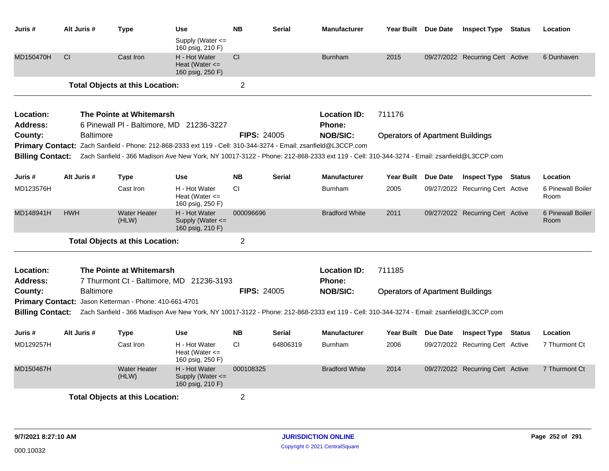| Juris #                 | Alt Juris #      | <b>Type</b>                            | Use                                                                                                                                     | <b>NB</b>      | <b>Serial</b>      | <b>Manufacturer</b>   | Year Built Due Date                     | <b>Inspect Type Status</b>       |        | Location                  |
|-------------------------|------------------|----------------------------------------|-----------------------------------------------------------------------------------------------------------------------------------------|----------------|--------------------|-----------------------|-----------------------------------------|----------------------------------|--------|---------------------------|
|                         |                  |                                        | Supply (Water $\leq$<br>160 psig, 210 F)                                                                                                |                |                    |                       |                                         |                                  |        |                           |
| MD150470H               | CI               | Cast Iron                              | H - Hot Water<br>Heat (Water $\leq$<br>160 psig, 250 F)                                                                                 | CI             |                    | <b>Burnham</b>        | 2015                                    | 09/27/2022 Recurring Cert Active |        | 6 Dunhaven                |
|                         |                  | <b>Total Objects at this Location:</b> |                                                                                                                                         | $\overline{2}$ |                    |                       |                                         |                                  |        |                           |
| Location:               |                  | The Pointe at Whitemarsh               |                                                                                                                                         |                |                    | <b>Location ID:</b>   | 711176                                  |                                  |        |                           |
| <b>Address:</b>         |                  |                                        | 6 Pinewall PI - Baltimore, MD 21236-3227                                                                                                |                |                    | <b>Phone:</b>         |                                         |                                  |        |                           |
| County:                 | <b>Baltimore</b> |                                        |                                                                                                                                         |                | <b>FIPS: 24005</b> | <b>NOB/SIC:</b>       | <b>Operators of Apartment Buildings</b> |                                  |        |                           |
|                         |                  |                                        | Primary Contact: Zach Sanfield - Phone: 212-868-2333 ext 119 - Cell: 310-344-3274 - Email: zsanfield@L3CCP.com                          |                |                    |                       |                                         |                                  |        |                           |
| <b>Billing Contact:</b> |                  |                                        | Zach Sanfield - 366 Madison Ave New York, NY 10017-3122 - Phone: 212-868-2333 ext 119 - Cell: 310-344-3274 - Email: zsanfield@L3CCP.com |                |                    |                       |                                         |                                  |        |                           |
| Juris #                 | Alt Juris #      | <b>Type</b>                            | <b>Use</b>                                                                                                                              | <b>NB</b>      | <b>Serial</b>      | <b>Manufacturer</b>   | Year Built Due Date                     | <b>Inspect Type Status</b>       |        | Location                  |
| MD123576H               |                  | Cast Iron                              | H - Hot Water<br>Heat (Water $\leq$<br>160 psig, 250 F)                                                                                 | CI.            |                    | <b>Burnham</b>        | 2005                                    | 09/27/2022 Recurring Cert Active |        | 6 Pinewall Boiler<br>Room |
| MD148941H               | <b>HWH</b>       | <b>Water Heater</b><br>(HLW)           | H - Hot Water<br>Supply (Water $\leq$<br>160 psig, 210 F)                                                                               | 000096696      |                    | <b>Bradford White</b> | 2011                                    | 09/27/2022 Recurring Cert Active |        | 6 Pinewall Boiler<br>Room |
|                         |                  | <b>Total Objects at this Location:</b> |                                                                                                                                         | $\overline{2}$ |                    |                       |                                         |                                  |        |                           |
| Location:               |                  | The Pointe at Whitemarsh               |                                                                                                                                         |                |                    | <b>Location ID:</b>   | 711185                                  |                                  |        |                           |
| <b>Address:</b>         |                  |                                        | 7 Thurmont Ct - Baltimore, MD 21236-3193                                                                                                |                |                    | <b>Phone:</b>         |                                         |                                  |        |                           |
| County:                 | <b>Baltimore</b> |                                        |                                                                                                                                         |                | <b>FIPS: 24005</b> | <b>NOB/SIC:</b>       | <b>Operators of Apartment Buildings</b> |                                  |        |                           |
| <b>Primary Contact:</b> |                  | Jason Ketterman - Phone: 410-661-4701  |                                                                                                                                         |                |                    |                       |                                         |                                  |        |                           |
| <b>Billing Contact:</b> |                  |                                        | Zach Sanfield - 366 Madison Ave New York, NY 10017-3122 - Phone: 212-868-2333 ext 119 - Cell: 310-344-3274 - Email: zsanfield@L3CCP.com |                |                    |                       |                                         |                                  |        |                           |
| Juris #                 | Alt Juris #      | <b>Type</b>                            | <b>Use</b>                                                                                                                              | NΒ             | <b>Serial</b>      | <b>Manufacturer</b>   | Year Built Due Date                     | <b>Inspect Type</b>              | Status | Location                  |
| MD129257H               |                  | Cast Iron                              | H - Hot Water<br>Heat (Water $\leq$<br>160 psig, 250 F)                                                                                 | СI             | 64806319           | <b>Burnham</b>        | 2006                                    | 09/27/2022 Recurring Cert Active |        | 7 Thurmont Ct             |
| MD150467H               |                  | <b>Water Heater</b><br>(HLW)           | H - Hot Water<br>Supply (Water $\leq$<br>160 psig, 210 F)                                                                               | 000108325      |                    | <b>Bradford White</b> | 2014                                    | 09/27/2022 Recurring Cert Active |        | 7 Thurmont Ct             |
|                         |                  | <b>Total Objects at this Location:</b> |                                                                                                                                         | $\overline{2}$ |                    |                       |                                         |                                  |        |                           |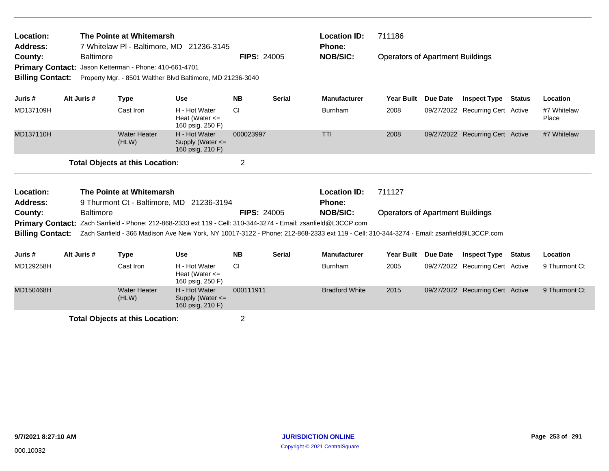| Location:<br>Address:<br>County: | The Pointe at Whitemarsh<br>7 Whitelaw PI - Baltimore, MD 21236-3145<br><b>Baltimore</b><br>Jason Ketterman - Phone: 410-661-4701<br><b>Primary Contact:</b> |                  |                                        |                                                                                                                                         |                    | <b>FIPS: 24005</b> | <b>Location ID:</b><br><b>Phone:</b><br><b>NOB/SIC:</b> | 711186<br><b>Operators of Apartment Buildings</b> |                 |                                  |               |                      |
|----------------------------------|--------------------------------------------------------------------------------------------------------------------------------------------------------------|------------------|----------------------------------------|-----------------------------------------------------------------------------------------------------------------------------------------|--------------------|--------------------|---------------------------------------------------------|---------------------------------------------------|-----------------|----------------------------------|---------------|----------------------|
|                                  |                                                                                                                                                              |                  |                                        |                                                                                                                                         |                    |                    |                                                         |                                                   |                 |                                  |               |                      |
| <b>Billing Contact:</b>          |                                                                                                                                                              |                  |                                        | Property Mgr. - 8501 Walther Blvd Baltimore, MD 21236-3040                                                                              |                    |                    |                                                         |                                                   |                 |                                  |               |                      |
| Juris #                          |                                                                                                                                                              | Alt Juris #      | <b>Type</b>                            | <b>Use</b>                                                                                                                              | <b>NB</b>          | <b>Serial</b>      | <b>Manufacturer</b>                                     | <b>Year Built</b>                                 | <b>Due Date</b> | <b>Inspect Type</b>              | <b>Status</b> | Location             |
| MD137109H                        |                                                                                                                                                              |                  | Cast Iron                              | H - Hot Water<br>Heat (Water $\leq$<br>160 psig, 250 F)                                                                                 | CI                 |                    | <b>Burnham</b>                                          | 2008                                              |                 | 09/27/2022 Recurring Cert Active |               | #7 Whitelaw<br>Place |
| MD137110H                        |                                                                                                                                                              |                  | <b>Water Heater</b><br>(HLW)           | H - Hot Water<br>Supply (Water $\leq$<br>160 psig, 210 F)                                                                               | 000023997          |                    | <b>TTI</b>                                              | 2008                                              |                 | 09/27/2022 Recurring Cert Active |               | #7 Whitelaw          |
|                                  |                                                                                                                                                              |                  | <b>Total Objects at this Location:</b> |                                                                                                                                         | $\overline{2}$     |                    |                                                         |                                                   |                 |                                  |               |                      |
| Location:                        |                                                                                                                                                              |                  | The Pointe at Whitemarsh               |                                                                                                                                         |                    |                    | <b>Location ID:</b>                                     | 711127                                            |                 |                                  |               |                      |
| Address:                         |                                                                                                                                                              |                  |                                        | 9 Thurmont Ct - Baltimore, MD 21236-3194                                                                                                |                    |                    | Phone:                                                  |                                                   |                 |                                  |               |                      |
| County:                          |                                                                                                                                                              | <b>Baltimore</b> |                                        |                                                                                                                                         | <b>FIPS: 24005</b> |                    | <b>NOB/SIC:</b>                                         | <b>Operators of Apartment Buildings</b>           |                 |                                  |               |                      |
|                                  |                                                                                                                                                              |                  |                                        | Primary Contact: Zach Sanfield - Phone: 212-868-2333 ext 119 - Cell: 310-344-3274 - Email: zsanfield@L3CCP.com                          |                    |                    |                                                         |                                                   |                 |                                  |               |                      |
| <b>Billing Contact:</b>          |                                                                                                                                                              |                  |                                        | Zach Sanfield - 366 Madison Ave New York, NY 10017-3122 - Phone: 212-868-2333 ext 119 - Cell: 310-344-3274 - Email: zsanfield@L3CCP.com |                    |                    |                                                         |                                                   |                 |                                  |               |                      |
| Juris #                          |                                                                                                                                                              | Alt Juris #      | <b>Type</b>                            | <b>Use</b>                                                                                                                              | <b>NB</b>          | <b>Serial</b>      | <b>Manufacturer</b>                                     | <b>Year Built</b>                                 | <b>Due Date</b> | <b>Inspect Type</b>              | <b>Status</b> | Location             |
| MD129258H                        |                                                                                                                                                              |                  | Cast Iron                              | H - Hot Water<br>Heat (Water $\leq$<br>160 psig, 250 F)                                                                                 | CI                 |                    | <b>Burnham</b>                                          | 2005                                              |                 | 09/27/2022 Recurring Cert Active |               | 9 Thurmont Ct        |
| MD150468H                        |                                                                                                                                                              |                  | <b>Water Heater</b><br>(HLW)           | H - Hot Water<br>Supply (Water $\leq$<br>160 psig, 210 F)                                                                               | 000111911          |                    | <b>Bradford White</b>                                   | 2015                                              |                 | 09/27/2022 Recurring Cert Active |               | 9 Thurmont Ct        |

**Total Objects at this Location:** 2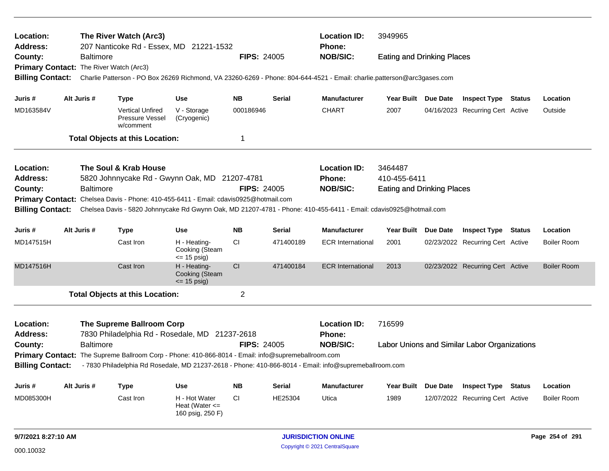| Location:<br>Address:        |                                                                                                |                  | The River Watch (Arc3)<br>207 Nanticoke Rd - Essex, MD 21221-1532                 |                                                         |                    |               | <b>Location ID:</b><br><b>Phone:</b>                                                                                    | 3949965                           |                                              |        |                    |
|------------------------------|------------------------------------------------------------------------------------------------|------------------|-----------------------------------------------------------------------------------|---------------------------------------------------------|--------------------|---------------|-------------------------------------------------------------------------------------------------------------------------|-----------------------------------|----------------------------------------------|--------|--------------------|
| County:                      |                                                                                                | <b>Baltimore</b> |                                                                                   |                                                         | <b>FIPS: 24005</b> |               | <b>NOB/SIC:</b>                                                                                                         | <b>Eating and Drinking Places</b> |                                              |        |                    |
| <b>Primary Contact:</b>      |                                                                                                |                  | The River Watch (Arc3)                                                            |                                                         |                    |               |                                                                                                                         |                                   |                                              |        |                    |
| <b>Billing Contact:</b>      |                                                                                                |                  |                                                                                   |                                                         |                    |               | Charlie Patterson - PO Box 26269 Richmond, VA 23260-6269 - Phone: 804-644-4521 - Email: charlie.patterson@arc3gases.com |                                   |                                              |        |                    |
| Juris #                      | Alt Juris #                                                                                    |                  | <b>Type</b>                                                                       | <b>Use</b>                                              | <b>NB</b>          | <b>Serial</b> | <b>Manufacturer</b>                                                                                                     | Year Built Due Date               | <b>Inspect Type Status</b>                   |        | Location           |
| MD163584V                    |                                                                                                |                  | <b>Vertical Unfired</b><br>Pressure Vessel<br>w/comment                           | V - Storage<br>(Cryogenic)                              | 000186946          |               | <b>CHART</b>                                                                                                            | 2007                              | 04/16/2023 Recurring Cert Active             |        | Outside            |
|                              |                                                                                                |                  | <b>Total Objects at this Location:</b>                                            |                                                         | 1                  |               |                                                                                                                         |                                   |                                              |        |                    |
| Location:                    |                                                                                                |                  | The Soul & Krab House                                                             |                                                         |                    |               | <b>Location ID:</b>                                                                                                     | 3464487                           |                                              |        |                    |
| <b>Address:</b>              |                                                                                                |                  | 5820 Johnnycake Rd - Gwynn Oak, MD 21207-4781                                     |                                                         |                    |               | Phone:                                                                                                                  | 410-455-6411                      |                                              |        |                    |
| County:                      |                                                                                                | <b>Baltimore</b> |                                                                                   |                                                         | <b>FIPS: 24005</b> |               | <b>NOB/SIC:</b>                                                                                                         | <b>Eating and Drinking Places</b> |                                              |        |                    |
|                              | Chelsea Davis - Phone: 410-455-6411 - Email: cdavis0925@hotmail.com<br><b>Primary Contact:</b> |                  |                                                                                   |                                                         |                    |               |                                                                                                                         |                                   |                                              |        |                    |
| <b>Billing Contact:</b>      |                                                                                                |                  |                                                                                   |                                                         |                    |               | Chelsea Davis - 5820 Johnnycake Rd Gwynn Oak, MD 21207-4781 - Phone: 410-455-6411 - Email: cdavis0925@hotmail.com       |                                   |                                              |        |                    |
| Juris #                      | Alt Juris #                                                                                    |                  | <b>Type</b>                                                                       | <b>Use</b>                                              | <b>NB</b>          | <b>Serial</b> | <b>Manufacturer</b>                                                                                                     | Year Built Due Date               | <b>Inspect Type Status</b>                   |        | Location           |
| MD147515H                    |                                                                                                |                  | Cast Iron                                                                         | H - Heating-<br>Cooking (Steam<br>$= 15$ psig)          | CI.                | 471400189     | <b>ECR International</b>                                                                                                | 2001                              | 02/23/2022 Recurring Cert Active             |        | <b>Boiler Room</b> |
| MD147516H                    |                                                                                                |                  | Cast Iron                                                                         | H - Heating-<br>Cooking (Steam<br>$\le$ 15 psig)        | CI                 | 471400184     | <b>ECR</b> International                                                                                                | 2013                              | 02/23/2022 Recurring Cert Active             |        | <b>Boiler Room</b> |
|                              |                                                                                                |                  | <b>Total Objects at this Location:</b>                                            |                                                         | $\overline{c}$     |               |                                                                                                                         |                                   |                                              |        |                    |
| Location:<br><b>Address:</b> | The Supreme Ballroom Corp<br>7830 Philadelphia Rd - Rosedale, MD 21237-2618                    |                  |                                                                                   |                                                         |                    |               | <b>Location ID:</b><br>Phone:                                                                                           | 716599                            |                                              |        |                    |
| County:                      |                                                                                                | Baltimore        |                                                                                   |                                                         | <b>FIPS: 24005</b> |               | <b>NOB/SIC:</b>                                                                                                         |                                   | Labor Unions and Similar Labor Organizations |        |                    |
| <b>Primary Contact:</b>      |                                                                                                |                  | The Supreme Ballroom Corp - Phone: 410-866-8014 - Email: info@supremeballroom.com |                                                         |                    |               |                                                                                                                         |                                   |                                              |        |                    |
| <b>Billing Contact:</b>      |                                                                                                |                  |                                                                                   |                                                         |                    |               | - 7830 Philadelphia Rd Rosedale, MD 21237-2618 - Phone: 410-866-8014 - Email: info@supremeballroom.com                  |                                   |                                              |        |                    |
| Juris #                      | Alt Juris #                                                                                    |                  | <b>Type</b>                                                                       | <b>Use</b>                                              | <b>NB</b>          | Serial        | <b>Manufacturer</b>                                                                                                     | Year Built Due Date               | <b>Inspect Type</b>                          | Status | Location           |
| MD085300H                    |                                                                                                |                  | Cast Iron                                                                         | H - Hot Water<br>Heat (Water $\leq$<br>160 psig, 250 F) | <b>CI</b>          | HE25304       | Utica                                                                                                                   | 1989                              | 12/07/2022 Recurring Cert Active             |        | <b>Boiler Room</b> |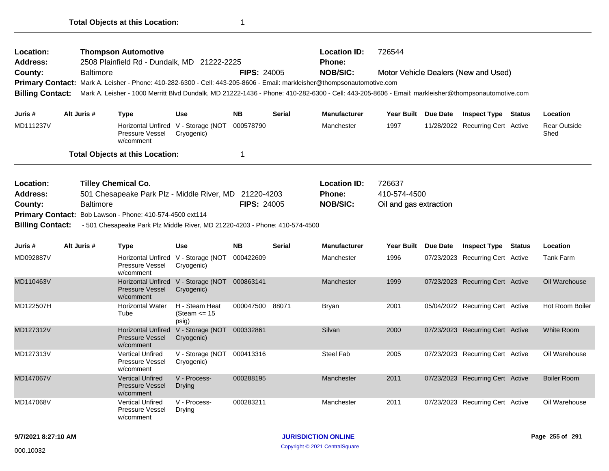| Location:<br>Address:                          |             |                  | <b>Thompson Automotive</b><br>2508 Plainfield Rd - Dundalk, MD 21222-2225                                                                         |                                                             |                    |                 | <b>Location ID:</b><br><b>Phone:</b> | 726544              |                                      |                             |
|------------------------------------------------|-------------|------------------|---------------------------------------------------------------------------------------------------------------------------------------------------|-------------------------------------------------------------|--------------------|-----------------|--------------------------------------|---------------------|--------------------------------------|-----------------------------|
| County:                                        |             | <b>Baltimore</b> |                                                                                                                                                   |                                                             | <b>FIPS: 24005</b> |                 | <b>NOB/SIC:</b>                      |                     | Motor Vehicle Dealers (New and Used) |                             |
|                                                |             |                  | Primary Contact: Mark A. Leisher - Phone: 410-282-6300 - Cell: 443-205-8606 - Email: markleisher@thompsonautomotive.com                           |                                                             |                    |                 |                                      |                     |                                      |                             |
| <b>Billing Contact:</b>                        |             |                  | Mark A. Leisher - 1000 Merritt Blvd Dundalk, MD 21222-1436 - Phone: 410-282-6300 - Cell: 443-205-8606 - Email: markleisher@thompsonautomotive.com |                                                             |                    |                 |                                      |                     |                                      |                             |
| Juris #                                        | Alt Juris # |                  | <b>Type</b>                                                                                                                                       | <b>Use</b>                                                  | <b>NB</b>          | <b>Serial</b>   | <b>Manufacturer</b>                  | Year Built Due Date | <b>Inspect Type Status</b>           | Location                    |
| MD111237V                                      |             |                  | Horizontal Unfired V - Storage (NOT<br>Pressure Vessel<br>w/comment                                                                               | Cryogenic)                                                  | 000578790          |                 | Manchester                           | 1997                | 11/28/2022 Recurring Cert Active     | <b>Rear Outside</b><br>Shed |
|                                                |             |                  | <b>Total Objects at this Location:</b>                                                                                                            |                                                             | 1                  |                 |                                      |                     |                                      |                             |
| Location:                                      |             |                  | <b>Tilley Chemical Co.</b>                                                                                                                        |                                                             |                    |                 | <b>Location ID:</b>                  | 726637              |                                      |                             |
|                                                |             |                  | 501 Chesapeake Park Plz - Middle River, MD 21220-4203                                                                                             |                                                             |                    |                 | Phone:                               | 410-574-4500        |                                      |                             |
| <b>Address:</b><br>County:<br><b>Baltimore</b> |             |                  |                                                                                                                                                   | <b>FIPS: 24005</b>                                          |                    | <b>NOB/SIC:</b> | Oil and gas extraction               |                     |                                      |                             |
| <b>Primary Contact:</b>                        |             |                  | Bob Lawson - Phone: 410-574-4500 ext114                                                                                                           |                                                             |                    |                 |                                      |                     |                                      |                             |
| <b>Billing Contact:</b>                        |             |                  | - 501 Chesapeake Park Plz Middle River, MD 21220-4203 - Phone: 410-574-4500                                                                       |                                                             |                    |                 |                                      |                     |                                      |                             |
|                                                |             |                  |                                                                                                                                                   |                                                             |                    |                 |                                      |                     |                                      |                             |
| Juris #                                        | Alt Juris # |                  | <b>Type</b>                                                                                                                                       | <b>Use</b>                                                  | NΒ                 | <b>Serial</b>   | <b>Manufacturer</b>                  | Year Built Due Date | <b>Inspect Type Status</b>           | Location                    |
| MD092887V                                      |             |                  | Horizontal Unfired V - Storage (NOT<br>Pressure Vessel<br>w/comment                                                                               | Cryogenic)                                                  | 000422609          |                 | Manchester                           | 1996                | 07/23/2023 Recurring Cert Active     | <b>Tank Farm</b>            |
| MD110463V                                      |             |                  | Pressure Vessel<br>w/comment                                                                                                                      | Horizontal Unfired V - Storage (NOT 000863141<br>Cryogenic) |                    |                 | Manchester                           | 1999                | 07/23/2023 Recurring Cert Active     | Oil Warehouse               |
| MD122507H                                      |             |                  | <b>Horizontal Water</b><br>Tube                                                                                                                   | H - Steam Heat<br>(Steam $\le$ 15<br>psig)                  | 000047500 88071    |                 | Bryan                                | 2001                | 05/04/2022 Recurring Cert Active     | Hot Room Boiler             |
| MD127312V                                      |             |                  | <b>Horizontal Unfired</b><br><b>Pressure Vessel</b><br>w/comment                                                                                  | V - Storage (NOT 000332861<br>Cryogenic)                    |                    |                 | Silvan                               | 2000                | 07/23/2023 Recurring Cert Active     | <b>White Room</b>           |
| MD127313V                                      |             |                  | <b>Vertical Unfired</b><br>Pressure Vessel<br>w/comment                                                                                           | V - Storage (NOT 000413316<br>Cryogenic)                    |                    |                 | Steel Fab                            | 2005                | 07/23/2023 Recurring Cert Active     | Oil Warehouse               |
| MD147067V                                      |             |                  | <b>Vertical Unfired</b><br><b>Pressure Vessel</b><br>w/comment                                                                                    | V - Process-<br>Drying                                      | 000288195          |                 | Manchester                           | 2011                | 07/23/2023 Recurring Cert Active     | <b>Boiler Room</b>          |
| MD147068V                                      |             |                  | <b>Vertical Unfired</b><br>Pressure Vessel<br>w/comment                                                                                           | V - Process-<br>Drying                                      | 000283211          |                 | Manchester                           | 2011                | 07/23/2023 Recurring Cert Active     | Oil Warehouse               |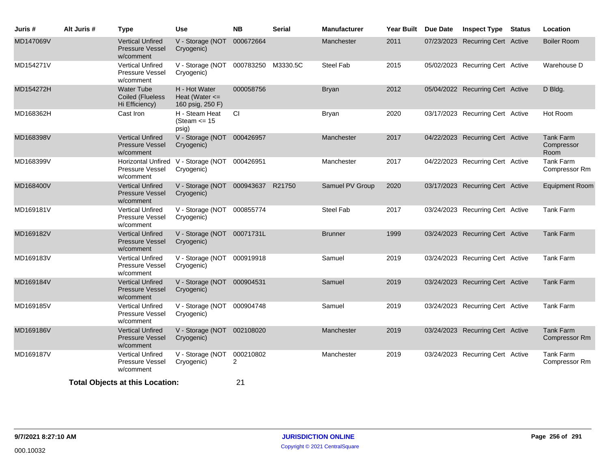| Juris #   | Alt Juris # | <b>Type</b>                                                    | <b>Use</b>                                                  | <b>NB</b>                   | <b>Serial</b> | Manufacturer    | <b>Year Built</b> | Due Date | <b>Inspect Type Status</b>       | Location                               |
|-----------|-------------|----------------------------------------------------------------|-------------------------------------------------------------|-----------------------------|---------------|-----------------|-------------------|----------|----------------------------------|----------------------------------------|
| MD147069V |             | <b>Vertical Unfired</b><br><b>Pressure Vessel</b><br>w/comment | V - Storage (NOT 000672664<br>Cryogenic)                    |                             |               | Manchester      | 2011              |          | 07/23/2023 Recurring Cert Active | <b>Boiler Room</b>                     |
| MD154271V |             | <b>Vertical Unfired</b><br>Pressure Vessel<br>w/comment        | V - Storage (NOT 000783250 M3330.5C<br>Cryogenic)           |                             |               | Steel Fab       | 2015              |          | 05/02/2023 Recurring Cert Active | Warehouse D                            |
| MD154272H |             | <b>Water Tube</b><br>Coiled (Flueless<br>Hi Efficiency)        | H - Hot Water<br>Heat (Water $\leq$<br>160 psig, 250 F)     | 000058756                   |               | <b>Bryan</b>    | 2012              |          | 05/04/2022 Recurring Cert Active | D Bldg.                                |
| MD168362H |             | Cast Iron                                                      | H - Steam Heat<br>(Steam $\leq$ 15<br>psig)                 | <b>CI</b>                   |               | Bryan           | 2020              |          | 03/17/2023 Recurring Cert Active | Hot Room                               |
| MD168398V |             | <b>Vertical Unfired</b><br>Pressure Vessel<br>w/comment        | V - Storage (NOT 000426957<br>Cryogenic)                    |                             |               | Manchester      | 2017              |          | 04/22/2023 Recurring Cert Active | <b>Tank Farm</b><br>Compressor<br>Room |
| MD168399V |             | Pressure Vessel<br>w/comment                                   | Horizontal Unfired V - Storage (NOT 000426951<br>Cryogenic) |                             |               | Manchester      | 2017              |          | 04/22/2023 Recurring Cert Active | Tank Farm<br>Compressor Rm             |
| MD168400V |             | <b>Vertical Unfired</b><br><b>Pressure Vessel</b><br>w/comment | V - Storage (NOT 000943637 R21750<br>Cryogenic)             |                             |               | Samuel PV Group | 2020              |          | 03/17/2023 Recurring Cert Active | <b>Equipment Room</b>                  |
| MD169181V |             | <b>Vertical Unfired</b><br>Pressure Vessel<br>w/comment        | V - Storage (NOT 000855774<br>Cryogenic)                    |                             |               | Steel Fab       | 2017              |          | 03/24/2023 Recurring Cert Active | Tank Farm                              |
| MD169182V |             | <b>Vertical Unfired</b><br><b>Pressure Vessel</b><br>w/comment | V - Storage (NOT 00071731L<br>Cryogenic)                    |                             |               | <b>Brunner</b>  | 1999              |          | 03/24/2023 Recurring Cert Active | <b>Tank Farm</b>                       |
| MD169183V |             | <b>Vertical Unfired</b><br>Pressure Vessel<br>w/comment        | V - Storage (NOT 000919918<br>Cryogenic)                    |                             |               | Samuel          | 2019              |          | 03/24/2023 Recurring Cert Active | Tank Farm                              |
| MD169184V |             | <b>Vertical Unfired</b><br><b>Pressure Vessel</b><br>w/comment | V - Storage (NOT 000904531<br>Cryogenic)                    |                             |               | Samuel          | 2019              |          | 03/24/2023 Recurring Cert Active | <b>Tank Farm</b>                       |
| MD169185V |             | <b>Vertical Unfired</b><br>Pressure Vessel<br>w/comment        | V - Storage (NOT 000904748<br>Cryogenic)                    |                             |               | Samuel          | 2019              |          | 03/24/2023 Recurring Cert Active | Tank Farm                              |
| MD169186V |             | <b>Vertical Unfired</b><br><b>Pressure Vessel</b><br>w/comment | V - Storage (NOT 002108020<br>Cryogenic)                    |                             |               | Manchester      | 2019              |          | 03/24/2023 Recurring Cert Active | <b>Tank Farm</b><br>Compressor Rm      |
| MD169187V |             | <b>Vertical Unfired</b><br>Pressure Vessel<br>w/comment        | V - Storage (NOT<br>Cryogenic)                              | 000210802<br>$\overline{2}$ |               | Manchester      | 2019              |          | 03/24/2023 Recurring Cert Active | Tank Farm<br>Compressor Rm             |
|           |             | <b>Total Objects at this Location:</b>                         |                                                             | 21                          |               |                 |                   |          |                                  |                                        |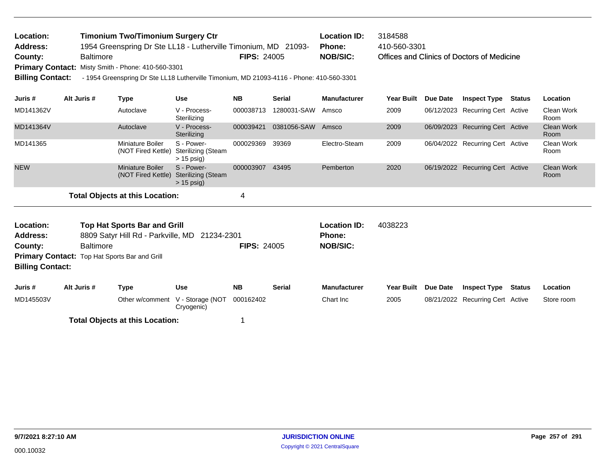| Location:<br>Address:<br>County:<br><b>Primary Contact:</b><br><b>Billing Contact:</b> | <b>Baltimore</b> | <b>Timonium Two/Timonium Surgery Ctr</b><br>1954 Greenspring Dr Ste LL18 - Lutherville Timonium, MD 21093-<br>Misty Smith - Phone: 410-560-3301<br>- 1954 Greenspring Dr Ste LL18 Lutherville Timonium, MD 21093-4116 - Phone: 410-560-3301 |                                                         | <b>FIPS: 24005</b> |               | <b>Location ID:</b><br>Phone:<br><b>NOB/SIC:</b>        | 3184588<br>410-560-3301 |                 | Offices and Clinics of Doctors of Medicine |               |                           |
|----------------------------------------------------------------------------------------|------------------|---------------------------------------------------------------------------------------------------------------------------------------------------------------------------------------------------------------------------------------------|---------------------------------------------------------|--------------------|---------------|---------------------------------------------------------|-------------------------|-----------------|--------------------------------------------|---------------|---------------------------|
| Juris #                                                                                | Alt Juris #      | <b>Type</b>                                                                                                                                                                                                                                 | <b>Use</b>                                              | <b>NB</b>          | <b>Serial</b> | <b>Manufacturer</b>                                     | <b>Year Built</b>       | <b>Due Date</b> | <b>Inspect Type</b>                        | <b>Status</b> | Location                  |
| MD141362V                                                                              |                  | Autoclave                                                                                                                                                                                                                                   | V - Process-<br>Sterilizing                             | 000038713          | 1280031-SAW   | Amsco                                                   | 2009                    |                 | 06/12/2023 Recurring Cert Active           |               | Clean Work<br>Room        |
| MD141364V                                                                              |                  | Autoclave                                                                                                                                                                                                                                   | V - Process-<br>Sterilizing                             | 000039421          | 0381056-SAW   | Amsco                                                   | 2009                    |                 | 06/09/2023 Recurring Cert Active           |               | <b>Clean Work</b><br>Room |
| MD141365                                                                               |                  | Miniature Boiler<br>(NOT Fired Kettle)                                                                                                                                                                                                      | S - Power-<br><b>Sterilizing (Steam</b><br>$> 15$ psig) | 000029369          | 39369         | Electro-Steam                                           | 2009                    |                 | 06/04/2022 Recurring Cert Active           |               | Clean Work<br>Room        |
| <b>NEW</b>                                                                             |                  | <b>Miniature Boiler</b><br>(NOT Fired Kettle)                                                                                                                                                                                               | S - Power-<br><b>Sterilizing (Steam</b><br>$> 15$ psig) | 000003907          | 43495         | Pemberton                                               | 2020                    |                 | 06/19/2022 Recurring Cert Active           |               | <b>Clean Work</b><br>Room |
|                                                                                        |                  | <b>Total Objects at this Location:</b>                                                                                                                                                                                                      |                                                         | 4                  |               |                                                         |                         |                 |                                            |               |                           |
| Location:<br><b>Address:</b><br>County:<br><b>Billing Contact:</b>                     | <b>Baltimore</b> | <b>Top Hat Sports Bar and Grill</b><br>8809 Satyr Hill Rd - Parkville, MD 21234-2301<br>Primary Contact: Top Hat Sports Bar and Grill                                                                                                       |                                                         | <b>FIPS: 24005</b> |               | <b>Location ID:</b><br><b>Phone:</b><br><b>NOB/SIC:</b> | 4038223                 |                 |                                            |               |                           |
| Juris #                                                                                | Alt Juris #      | <b>Type</b>                                                                                                                                                                                                                                 | <b>Use</b>                                              | <b>NB</b>          | <b>Serial</b> | <b>Manufacturer</b>                                     | Year Built Due Date     |                 | <b>Inspect Type</b>                        | <b>Status</b> | Location                  |
| MD145503V                                                                              |                  |                                                                                                                                                                                                                                             | Other w/comment V - Storage (NOT<br>Cryogenic)          | 000162402          |               | Chart Inc                                               | 2005                    |                 | 08/21/2022 Recurring Cert Active           |               | Store room                |
|                                                                                        |                  | <b>Total Objects at this Location:</b>                                                                                                                                                                                                      |                                                         | 1                  |               |                                                         |                         |                 |                                            |               |                           |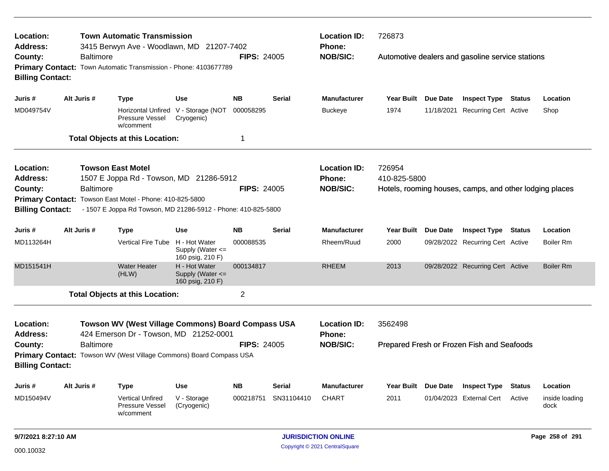| Location:<br><b>Address:</b>       |                                                                                        | <b>Town Automatic Transmission</b><br>3415 Berwyn Ave - Woodlawn, MD 21207-7402 |                                                           |                    |                    | <b>Location ID:</b><br>Phone:        | 726873                 |          |                                                         |               |                        |
|------------------------------------|----------------------------------------------------------------------------------------|---------------------------------------------------------------------------------|-----------------------------------------------------------|--------------------|--------------------|--------------------------------------|------------------------|----------|---------------------------------------------------------|---------------|------------------------|
| County:<br><b>Billing Contact:</b> | <b>Baltimore</b>                                                                       | Primary Contact: Town Automatic Transmission - Phone: 4103677789                |                                                           | <b>FIPS: 24005</b> |                    | <b>NOB/SIC:</b>                      |                        |          | Automotive dealers and gasoline service stations        |               |                        |
| Juris #                            | Alt Juris #                                                                            | <b>Type</b>                                                                     | Use                                                       | <b>NB</b>          | <b>Serial</b>      | <b>Manufacturer</b>                  | Year Built Due Date    |          | <b>Inspect Type</b>                                     | Status        | Location               |
| MD049754V                          |                                                                                        | Pressure Vessel<br>w/comment                                                    | Horizontal Unfired V - Storage (NOT<br>Cryogenic)         | 000058295          |                    | Buckeye                              | 1974                   |          | 11/18/2021 Recurring Cert Active                        |               | Shop                   |
|                                    |                                                                                        | <b>Total Objects at this Location:</b>                                          |                                                           | $\mathbf 1$        |                    |                                      |                        |          |                                                         |               |                        |
| Location:<br>Address:              |                                                                                        | <b>Towson East Motel</b><br>1507 E Joppa Rd - Towson, MD 21286-5912             |                                                           |                    |                    | <b>Location ID:</b><br><b>Phone:</b> | 726954<br>410-825-5800 |          |                                                         |               |                        |
| County:                            | <b>Baltimore</b><br><b>Primary Contact:</b><br>Towson East Motel - Phone: 410-825-5800 |                                                                                 |                                                           |                    | <b>FIPS: 24005</b> | <b>NOB/SIC:</b>                      |                        |          | Hotels, rooming houses, camps, and other lodging places |               |                        |
| <b>Billing Contact:</b>            |                                                                                        | - 1507 E Joppa Rd Towson, MD 21286-5912 - Phone: 410-825-5800                   |                                                           |                    |                    |                                      |                        |          |                                                         |               |                        |
| Juris#                             | Alt Juris #                                                                            | <b>Type</b>                                                                     | Use                                                       | <b>NB</b>          | <b>Serial</b>      | Manufacturer                         | Year Built Due Date    |          | <b>Inspect Type Status</b>                              |               | Location               |
| MD113264H                          |                                                                                        | <b>Vertical Fire Tube</b>                                                       | H - Hot Water<br>Supply (Water $\leq$<br>160 psig, 210 F) | 000088535          |                    | Rheem/Ruud                           | 2000                   |          | 09/28/2022 Recurring Cert Active                        |               | <b>Boiler Rm</b>       |
| MD151541H                          |                                                                                        | <b>Water Heater</b><br>(HLW)                                                    | H - Hot Water<br>Supply (Water <=<br>160 psig, 210 F)     | 000134817          |                    | <b>RHEEM</b>                         | 2013                   |          | 09/28/2022 Recurring Cert Active                        |               | <b>Boiler Rm</b>       |
|                                    |                                                                                        | <b>Total Objects at this Location:</b>                                          |                                                           | $\overline{2}$     |                    |                                      |                        |          |                                                         |               |                        |
| Location:<br>Address:              | Towson WV (West Village Commons) Board Compass USA                                     |                                                                                 |                                                           |                    |                    | <b>Location ID:</b><br><b>Phone:</b> | 3562498                |          |                                                         |               |                        |
| County:                            | 424 Emerson Dr - Towson, MD 21252-0001<br><b>Baltimore</b><br><b>FIPS: 24005</b>       |                                                                                 |                                                           |                    |                    | <b>NOB/SIC:</b>                      |                        |          | Prepared Fresh or Frozen Fish and Seafoods              |               |                        |
| <b>Billing Contact:</b>            |                                                                                        | Primary Contact: Towson WV (West Village Commons) Board Compass USA             |                                                           |                    |                    |                                      |                        |          |                                                         |               |                        |
| Juris #                            | Alt Juris #                                                                            | Type                                                                            | <b>Use</b>                                                | <b>NB</b>          | <b>Serial</b>      | Manufacturer                         | <b>Year Built</b>      | Due Date | <b>Inspect Type</b>                                     | <b>Status</b> | Location               |
| MD150494V                          |                                                                                        | <b>Vertical Unfired</b><br><b>Pressure Vessel</b><br>w/comment                  | V - Storage<br>(Cryogenic)                                | 000218751          | SN31104410         | <b>CHART</b>                         | 2011                   |          | 01/04/2023 External Cert                                | Active        | inside loading<br>dock |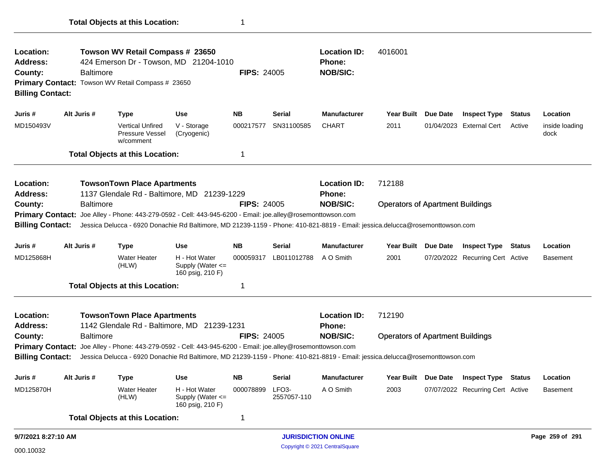| Location:<br><b>Address:</b><br>County:<br><b>Billing Contact:</b> | <b>Baltimore</b> | Towson WV Retail Compass # 23650<br>424 Emerson Dr - Towson, MD 21204-1010<br>Primary Contact: Towson WV Retail Compass # 23650                                                                                                                     |                                                           | <b>FIPS: 24005</b> |                                   | <b>Location ID:</b><br>Phone:<br><b>NOB/SIC:</b> | 4016001                                 |                 |                                  |               |                        |
|--------------------------------------------------------------------|------------------|-----------------------------------------------------------------------------------------------------------------------------------------------------------------------------------------------------------------------------------------------------|-----------------------------------------------------------|--------------------|-----------------------------------|--------------------------------------------------|-----------------------------------------|-----------------|----------------------------------|---------------|------------------------|
| Juris #                                                            | Alt Juris #      | <b>Type</b>                                                                                                                                                                                                                                         | <b>Use</b>                                                | <b>NB</b>          | <b>Serial</b>                     | <b>Manufacturer</b>                              | <b>Year Built</b>                       | Due Date        | <b>Inspect Type</b>              | <b>Status</b> | Location               |
| MD150493V                                                          |                  | <b>Vertical Unfired</b><br>Pressure Vessel<br>w/comment                                                                                                                                                                                             | V - Storage<br>(Cryogenic)                                | 000217577          | SN31100585                        | <b>CHART</b>                                     | 2011                                    |                 | 01/04/2023 External Cert         | Active        | inside loading<br>dock |
|                                                                    |                  | <b>Total Objects at this Location:</b>                                                                                                                                                                                                              |                                                           | 1                  |                                   |                                                  |                                         |                 |                                  |               |                        |
| Location:<br><b>Address:</b>                                       |                  | <b>TowsonTown Place Apartments</b><br>1137 Glendale Rd - Baltimore, MD 21239-1229                                                                                                                                                                   |                                                           |                    |                                   | <b>Location ID:</b><br>Phone:                    | 712188                                  |                 |                                  |               |                        |
| County:                                                            | <b>Baltimore</b> |                                                                                                                                                                                                                                                     |                                                           | <b>FIPS: 24005</b> |                                   | <b>NOB/SIC:</b>                                  | <b>Operators of Apartment Buildings</b> |                 |                                  |               |                        |
|                                                                    |                  | Primary Contact: Joe Alley - Phone: 443-279-0592 - Cell: 443-945-6200 - Email: joe.alley@rosemonttowson.com                                                                                                                                         |                                                           |                    |                                   |                                                  |                                         |                 |                                  |               |                        |
| <b>Billing Contact:</b>                                            |                  | Jessica Delucca - 6920 Donachie Rd Baltimore, MD 21239-1159 - Phone: 410-821-8819 - Email: jessica.delucca@rosemonttowson.com                                                                                                                       |                                                           |                    |                                   |                                                  |                                         |                 |                                  |               |                        |
| Juris #                                                            | Alt Juris #      | <b>Type</b>                                                                                                                                                                                                                                         | <b>Use</b>                                                | <b>NB</b>          | Serial                            | <b>Manufacturer</b>                              | Year Built Due Date                     |                 | <b>Inspect Type</b>              | <b>Status</b> | Location               |
| MD125868H                                                          |                  | <b>Water Heater</b><br>(HLW)                                                                                                                                                                                                                        | H - Hot Water<br>Supply (Water $\leq$<br>160 psig, 210 F) | 000059317          | LB011012788                       | A O Smith                                        | 2001                                    |                 | 07/20/2022 Recurring Cert Active |               | <b>Basement</b>        |
|                                                                    |                  | <b>Total Objects at this Location:</b>                                                                                                                                                                                                              |                                                           | -1                 |                                   |                                                  |                                         |                 |                                  |               |                        |
| Location:                                                          |                  | <b>TowsonTown Place Apartments</b>                                                                                                                                                                                                                  |                                                           |                    |                                   | <b>Location ID:</b>                              | 712190                                  |                 |                                  |               |                        |
| Address:                                                           |                  | 1142 Glendale Rd - Baltimore, MD 21239-1231                                                                                                                                                                                                         |                                                           |                    |                                   | <b>Phone:</b>                                    |                                         |                 |                                  |               |                        |
| County:                                                            | <b>Baltimore</b> |                                                                                                                                                                                                                                                     |                                                           | <b>FIPS: 24005</b> |                                   | <b>NOB/SIC:</b>                                  | <b>Operators of Apartment Buildings</b> |                 |                                  |               |                        |
| <b>Billing Contact:</b>                                            |                  | <b>Primary Contact:</b> Joe Alley - Phone: 443-279-0592 - Cell: 443-945-6200 - Email: joe.alley@rosemonttowson.com<br>Jessica Delucca - 6920 Donachie Rd Baltimore, MD 21239-1159 - Phone: 410-821-8819 - Email: jessica.delucca@rosemonttowson.com |                                                           |                    |                                   |                                                  |                                         |                 |                                  |               |                        |
| Juris #                                                            | Alt Juris #      | <b>Type</b>                                                                                                                                                                                                                                         | Use                                                       | <b>NB</b>          | <b>Serial</b>                     | <b>Manufacturer</b>                              | <b>Year Built</b>                       | <b>Due Date</b> | <b>Inspect Type</b>              | Status        | Location               |
| MD125870H                                                          |                  | <b>Water Heater</b><br>(HLW)                                                                                                                                                                                                                        | H - Hot Water<br>Supply (Water $\leq$<br>160 psig, 210 F) | 000078899          | LFO <sub>3</sub> -<br>2557057-110 | A O Smith                                        | 2003                                    |                 | 07/07/2022 Recurring Cert Active |               | <b>Basement</b>        |
|                                                                    |                  | <b>Total Objects at this Location:</b>                                                                                                                                                                                                              |                                                           | $\mathbf 1$        |                                   |                                                  |                                         |                 |                                  |               |                        |
| 9/7/2021 8:27:10 AM                                                |                  |                                                                                                                                                                                                                                                     |                                                           |                    |                                   | <b>JURISDICTION ONLINE</b>                       |                                         |                 |                                  |               | Page 259 of 291        |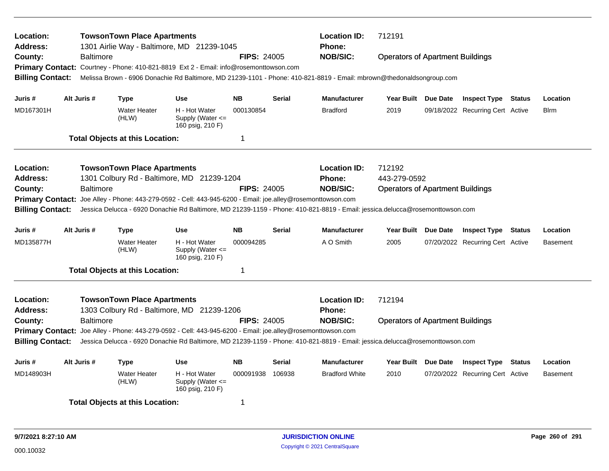| Location:<br>Address:<br>County:<br><b>Primary Contact:</b><br><b>Billing Contact:</b>        | Baltimore        | <b>TowsonTown Place Apartments</b><br>1301 Airlie Way - Baltimore, MD 21239-1045<br>Courtney - Phone: 410-821-8819 Ext 2 - Email: info@rosemonttowson.com                      |                                                                         | <b>FIPS: 24005</b>     |               | <b>Location ID:</b><br><b>Phone:</b><br><b>NOB/SIC:</b><br>Melissa Brown - 6906 Donachie Rd Baltimore, MD 21239-1101 - Phone: 410-821-8819 - Email: mbrown@thedonaldsongroup.com         | 712191<br><b>Operators of Apartment Buildings</b>                 |                                                                |               |                         |
|-----------------------------------------------------------------------------------------------|------------------|--------------------------------------------------------------------------------------------------------------------------------------------------------------------------------|-------------------------------------------------------------------------|------------------------|---------------|------------------------------------------------------------------------------------------------------------------------------------------------------------------------------------------|-------------------------------------------------------------------|----------------------------------------------------------------|---------------|-------------------------|
| Juris #<br>MD167301H                                                                          | Alt Juris #      | <b>Type</b><br><b>Water Heater</b><br>(HLW)                                                                                                                                    | <b>Use</b><br>H - Hot Water<br>Supply (Water $\leq$<br>160 psig, 210 F) | <b>NB</b><br>000130854 | <b>Serial</b> | <b>Manufacturer</b><br><b>Bradford</b>                                                                                                                                                   | Year Built Due Date<br>2019                                       | <b>Inspect Type Status</b><br>09/18/2022 Recurring Cert Active |               | Location<br><b>Blrm</b> |
|                                                                                               |                  | <b>Total Objects at this Location:</b>                                                                                                                                         |                                                                         | 1                      |               |                                                                                                                                                                                          |                                                                   |                                                                |               |                         |
| Location:<br>Address:<br>County:<br><b>Primary Contact:</b><br><b>Billing Contact:</b>        | <b>Baltimore</b> | <b>TowsonTown Place Apartments</b><br>1301 Colbury Rd - Baltimore, MD 21239-1204<br>Joe Alley - Phone: 443-279-0592 - Cell: 443-945-6200 - Email: joe.alley@rosemonttowson.com |                                                                         | <b>FIPS: 24005</b>     |               | <b>Location ID:</b><br><b>Phone:</b><br><b>NOB/SIC:</b><br>Jessica Delucca - 6920 Donachie Rd Baltimore, MD 21239-1159 - Phone: 410-821-8819 - Email: jessica.delucca@rosemonttowson.com | 712192<br>443-279-0592<br><b>Operators of Apartment Buildings</b> |                                                                |               |                         |
| Juris #                                                                                       | Alt Juris #      | <b>Type</b>                                                                                                                                                                    | <b>Use</b>                                                              | <b>NB</b>              | <b>Serial</b> | <b>Manufacturer</b>                                                                                                                                                                      | Year Built Due Date                                               | <b>Inspect Type</b>                                            | Status        | Location                |
| MD135877H                                                                                     |                  | <b>Water Heater</b><br>(HLW)                                                                                                                                                   | H - Hot Water<br>Supply (Water $\leq$<br>160 psig, 210 F)               | 000094285              |               | A O Smith                                                                                                                                                                                | 2005                                                              | 07/20/2022 Recurring Cert Active                               |               | <b>Basement</b>         |
|                                                                                               |                  | <b>Total Objects at this Location:</b>                                                                                                                                         |                                                                         | 1                      |               |                                                                                                                                                                                          |                                                                   |                                                                |               |                         |
| Location:<br><b>Address:</b><br>County:<br><b>Primary Contact:</b><br><b>Billing Contact:</b> | <b>Baltimore</b> | <b>TowsonTown Place Apartments</b><br>1303 Colbury Rd - Baltimore, MD 21239-1206<br>Joe Alley - Phone: 443-279-0592 - Cell: 443-945-6200 - Email: joe.alley@rosemonttowson.com |                                                                         | <b>FIPS: 24005</b>     |               | <b>Location ID:</b><br><b>Phone:</b><br><b>NOB/SIC:</b><br>Jessica Delucca - 6920 Donachie Rd Baltimore, MD 21239-1159 - Phone: 410-821-8819 - Email: jessica.delucca@rosemonttowson.com | 712194<br><b>Operators of Apartment Buildings</b>                 |                                                                |               |                         |
| Juris #                                                                                       | Alt Juris #      |                                                                                                                                                                                | <b>Use</b>                                                              | <b>NB</b>              | <b>Serial</b> | <b>Manufacturer</b>                                                                                                                                                                      | Year Built Due Date                                               |                                                                | <b>Status</b> | Location                |
| MD148903H                                                                                     |                  | <b>Type</b><br><b>Water Heater</b><br>(HLW)                                                                                                                                    | H - Hot Water<br>Supply (Water <=<br>160 psig, 210 F)                   | 000091938              | 106938        | <b>Bradford White</b>                                                                                                                                                                    | 2010                                                              | <b>Inspect Type</b><br>07/20/2022 Recurring Cert Active        |               | <b>Basement</b>         |
|                                                                                               |                  | <b>Total Objects at this Location:</b>                                                                                                                                         |                                                                         | 1                      |               |                                                                                                                                                                                          |                                                                   |                                                                |               |                         |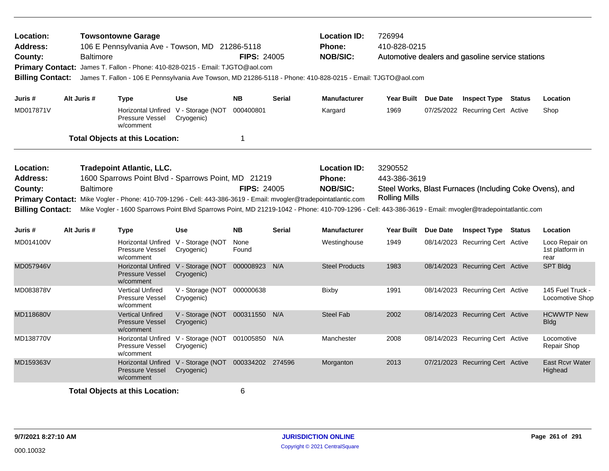| Location:<br>Address:<br>County:<br><b>Primary Contact:</b><br><b>Billing Contact:</b> | <b>Baltimore</b>                                     | <b>Towsontowne Garage</b><br>106 E Pennsylvania Ave - Towson, MD 21286-5118<br>James T. Fallon - Phone: 410-828-0215 - Email: TJGTO@aol.com<br>James T. Fallon - 106 E Pennsylvania Ave Towson, MD 21286-5118 - Phone: 410-828-0215 - Email: TJGTO@aol.com |                                                                    | <b>FIPS: 24005</b> |                                                                                                                                                                                                                                                                                                                                | <b>Location ID:</b><br><b>Phone:</b><br><b>NOB/SIC:</b> | 726994<br>410-828-0215                                  | Automotive dealers and gasoline service stations |                                           |
|----------------------------------------------------------------------------------------|------------------------------------------------------|------------------------------------------------------------------------------------------------------------------------------------------------------------------------------------------------------------------------------------------------------------|--------------------------------------------------------------------|--------------------|--------------------------------------------------------------------------------------------------------------------------------------------------------------------------------------------------------------------------------------------------------------------------------------------------------------------------------|---------------------------------------------------------|---------------------------------------------------------|--------------------------------------------------|-------------------------------------------|
| Juris #                                                                                | Alt Juris #                                          | <b>Type</b>                                                                                                                                                                                                                                                | Use                                                                | <b>NB</b>          | Serial                                                                                                                                                                                                                                                                                                                         | <b>Manufacturer</b>                                     | Year Built Due Date                                     | <b>Inspect Type Status</b>                       | Location                                  |
| MD017871V                                                                              |                                                      | Pressure Vessel<br>w/comment                                                                                                                                                                                                                               | Horizontal Unfired V - Storage (NOT 000400801<br>Cryogenic)        |                    |                                                                                                                                                                                                                                                                                                                                | Kargard                                                 | 1969                                                    | 07/25/2022 Recurring Cert Active                 | Shop                                      |
|                                                                                        |                                                      | <b>Total Objects at this Location:</b>                                                                                                                                                                                                                     |                                                                    | 1                  |                                                                                                                                                                                                                                                                                                                                |                                                         |                                                         |                                                  |                                           |
| Location:<br><b>Address:</b><br>County:<br><b>Billing Contact:</b>                     | <b>Tradepoint Atlantic, LLC.</b><br><b>Baltimore</b> | 1600 Sparrows Point Blvd - Sparrows Point, MD 21219                                                                                                                                                                                                        | <b>FIPS: 24005</b>                                                 |                    | <b>Location ID:</b><br>Phone:<br><b>NOB/SIC:</b><br>Primary Contact: Mike Vogler - Phone: 410-709-1296 - Cell: 443-386-3619 - Email: mvogler@tradepointatlantic.com<br>Mike Vogler - 1600 Sparrows Point Blvd Sparrows Point, MD 21219-1042 - Phone: 410-709-1296 - Cell: 443-386-3619 - Email: mvogler@tradepointatlantic.com | 3290552<br>443-386-3619<br><b>Rolling Mills</b>         | Steel Works, Blast Furnaces (Including Coke Ovens), and |                                                  |                                           |
| Juris #                                                                                | Alt Juris #                                          | <b>Type</b>                                                                                                                                                                                                                                                | Use                                                                | <b>NB</b>          | <b>Serial</b>                                                                                                                                                                                                                                                                                                                  | <b>Manufacturer</b>                                     | Year Built Due Date                                     | <b>Inspect Type Status</b>                       | Location                                  |
| MD014100V                                                                              |                                                      | Pressure Vessel<br>w/comment                                                                                                                                                                                                                               | Horizontal Unfired V - Storage (NOT<br>Cryogenic)                  | None<br>Found      |                                                                                                                                                                                                                                                                                                                                | Westinghouse                                            | 1949                                                    | 08/14/2023 Recurring Cert Active                 | Loco Repair on<br>1st platform in<br>rear |
| MD057946V                                                                              |                                                      | <b>Pressure Vessel</b><br>w/comment                                                                                                                                                                                                                        | Horizontal Unfired V - Storage (NOT 000008923<br>Cryogenic)        |                    | N/A                                                                                                                                                                                                                                                                                                                            | <b>Steel Products</b>                                   | 1983                                                    | 08/14/2023 Recurring Cert Active                 | <b>SPT Bldg</b>                           |
| MD083878V                                                                              |                                                      | <b>Vertical Unfired</b><br>Pressure Vessel<br>w/comment                                                                                                                                                                                                    | V - Storage (NOT 000000638<br>Cryogenic)                           |                    |                                                                                                                                                                                                                                                                                                                                | Bixby                                                   | 1991                                                    | 08/14/2023 Recurring Cert Active                 | 145 Fuel Truck -<br>Locomotive Shop       |
| MD118680V                                                                              |                                                      | <b>Vertical Unfired</b><br><b>Pressure Vessel</b><br>w/comment                                                                                                                                                                                             | V - Storage (NOT 000311550 N/A<br>Cryogenic)                       |                    |                                                                                                                                                                                                                                                                                                                                | <b>Steel Fab</b>                                        | 2002                                                    | 08/14/2023 Recurring Cert Active                 | <b>HCWWTP New</b><br><b>Bldg</b>          |
| MD138770V                                                                              |                                                      | Pressure Vessel<br>w/comment                                                                                                                                                                                                                               | Horizontal Unfired V - Storage (NOT 001005850 N/A<br>Cryogenic)    |                    |                                                                                                                                                                                                                                                                                                                                | Manchester                                              | 2008                                                    | 08/14/2023 Recurring Cert Active                 | Locomotive<br>Repair Shop                 |
| MD159363V                                                                              |                                                      | Pressure Vessel<br>w/comment                                                                                                                                                                                                                               | Horizontal Unfired V - Storage (NOT 000334202 274596<br>Cryogenic) |                    |                                                                                                                                                                                                                                                                                                                                | Morganton                                               | 2013                                                    | 07/21/2023 Recurring Cert Active                 | <b>East Rcvr Water</b><br>Highead         |
|                                                                                        |                                                      | <b>Total Objects at this Location:</b>                                                                                                                                                                                                                     |                                                                    | 6                  |                                                                                                                                                                                                                                                                                                                                |                                                         |                                                         |                                                  |                                           |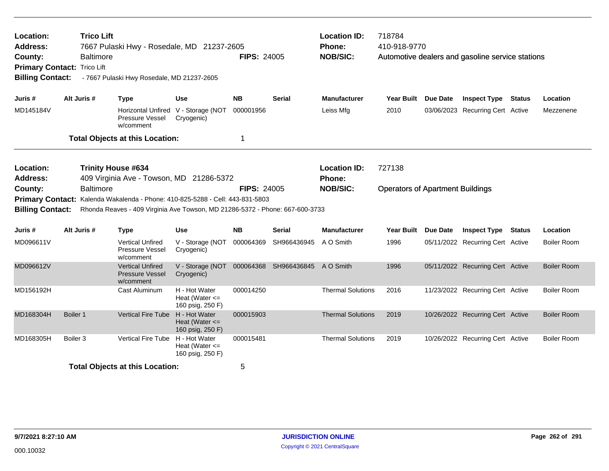| Location:<br><b>Address:</b><br>County:                            | <b>Trico Lift</b><br>7667 Pulaski Hwy - Rosedale, MD 21237-2605<br><b>Baltimore</b><br><b>Primary Contact: Trico Lift</b><br><b>Billing Contact:</b><br>- 7667 Pulaski Hwy Rosedale, MD 21237-2605<br>Alt Juris # |                                               |                                                                                                                                                                                                           |                                                         | <b>FIPS: 24005</b> |                       | <b>Location ID:</b><br>Phone:<br><b>NOB/SIC:</b> | 718784<br>410-918-9770                            |                 | Automotive dealers and gasoline service stations |        |                    |
|--------------------------------------------------------------------|-------------------------------------------------------------------------------------------------------------------------------------------------------------------------------------------------------------------|-----------------------------------------------|-----------------------------------------------------------------------------------------------------------------------------------------------------------------------------------------------------------|---------------------------------------------------------|--------------------|-----------------------|--------------------------------------------------|---------------------------------------------------|-----------------|--------------------------------------------------|--------|--------------------|
| Juris #                                                            |                                                                                                                                                                                                                   |                                               | <b>Type</b>                                                                                                                                                                                               | <b>Use</b>                                              | <b>NB</b>          | Serial                | <b>Manufacturer</b>                              | Year Built Due Date                               |                 | <b>Inspect Type</b>                              | Status | Location           |
| MD145184V                                                          |                                                                                                                                                                                                                   |                                               | Horizontal Unfired V - Storage (NOT<br>Pressure Vessel<br>w/comment                                                                                                                                       | Cryogenic)                                              | 000001956          |                       | Leiss Mfg                                        | 2010                                              |                 | 03/06/2023 Recurring Cert Active                 |        | Mezzenene          |
|                                                                    |                                                                                                                                                                                                                   |                                               | <b>Total Objects at this Location:</b>                                                                                                                                                                    |                                                         | 1                  |                       |                                                  |                                                   |                 |                                                  |        |                    |
| Location:<br><b>Address:</b><br>County:<br><b>Billing Contact:</b> |                                                                                                                                                                                                                   | <b>Trinity House #634</b><br><b>Baltimore</b> | 409 Virginia Ave - Towson, MD 21286-5372<br>Primary Contact: Kalenda Wakalenda - Phone: 410-825-5288 - Cell: 443-831-5803<br>Rhonda Reaves - 409 Virginia Ave Towson, MD 21286-5372 - Phone: 667-600-3733 |                                                         | <b>FIPS: 24005</b> |                       | <b>Location ID:</b><br>Phone:<br><b>NOB/SIC:</b> | 727138<br><b>Operators of Apartment Buildings</b> |                 |                                                  |        |                    |
| Juris #                                                            |                                                                                                                                                                                                                   | Alt Juris #                                   | <b>Type</b>                                                                                                                                                                                               | <b>Use</b>                                              | <b>NB</b>          | <b>Serial</b>         | <b>Manufacturer</b>                              | <b>Year Built</b>                                 | <b>Due Date</b> | <b>Inspect Type</b>                              | Status | Location           |
| MD096611V                                                          |                                                                                                                                                                                                                   |                                               | <b>Vertical Unfired</b><br><b>Pressure Vessel</b><br>w/comment                                                                                                                                            | V - Storage (NOT<br>Cryogenic)                          | 000064369          | SH966436945           | A O Smith                                        | 1996                                              |                 | 05/11/2022 Recurring Cert Active                 |        | Boiler Room        |
| MD096612V                                                          |                                                                                                                                                                                                                   |                                               | <b>Vertical Unfired</b><br><b>Pressure Vessel</b><br>w/comment                                                                                                                                            | V - Storage (NOT<br>Cryogenic)                          |                    | 000064368 SH966436845 | A O Smith                                        | 1996                                              |                 | 05/11/2022 Recurring Cert Active                 |        | <b>Boiler Room</b> |
| MD156192H                                                          |                                                                                                                                                                                                                   |                                               | Cast Aluminum                                                                                                                                                                                             | H - Hot Water<br>Heat (Water $\leq$<br>160 psig, 250 F) | 000014250          |                       | <b>Thermal Solutions</b>                         | 2016                                              |                 | 11/23/2022 Recurring Cert Active                 |        | <b>Boiler Room</b> |
| MD168304H                                                          | Boiler 1                                                                                                                                                                                                          |                                               | <b>Vertical Fire Tube</b>                                                                                                                                                                                 | H - Hot Water<br>Heat (Water $\leq$<br>160 psig, 250 F) | 000015903          |                       | <b>Thermal Solutions</b>                         | 2019                                              |                 | 10/26/2022 Recurring Cert Active                 |        | <b>Boiler Room</b> |
| MD168305H                                                          | Boiler <sub>3</sub>                                                                                                                                                                                               |                                               | <b>Vertical Fire Tube</b>                                                                                                                                                                                 | H - Hot Water<br>Heat (Water $\leq$<br>160 psig, 250 F) | 000015481          |                       | <b>Thermal Solutions</b>                         | 2019                                              |                 | 10/26/2022 Recurring Cert Active                 |        | <b>Boiler Room</b> |
|                                                                    | <b>Total Objects at this Location:</b>                                                                                                                                                                            |                                               |                                                                                                                                                                                                           |                                                         |                    |                       |                                                  |                                                   |                 |                                                  |        |                    |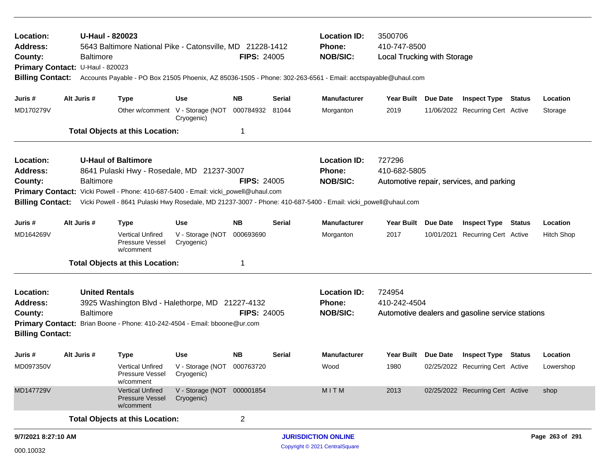| Location:<br>Address:<br>County:<br>Primary Contact: U-Haul - 820023<br><b>Billing Contact:</b>                                                                                                                                                                                                                  |                                                          | U-Haul - 820023<br><b>Baltimore</b> | 5643 Baltimore National Pike - Catonsville, MD 21228-1412 |                                                | <b>FIPS: 24005</b> |        | <b>Location ID:</b><br><b>Phone:</b><br><b>NOB/SIC:</b><br>Accounts Payable - PO Box 21505 Phoenix, AZ 85036-1505 - Phone: 302-263-6561 - Email: acctspayable@uhaul.com | 3500706<br>410-747-8500<br><b>Local Trucking with Storage</b> |          |                                                  |        |                   |
|------------------------------------------------------------------------------------------------------------------------------------------------------------------------------------------------------------------------------------------------------------------------------------------------------------------|----------------------------------------------------------|-------------------------------------|-----------------------------------------------------------|------------------------------------------------|--------------------|--------|-------------------------------------------------------------------------------------------------------------------------------------------------------------------------|---------------------------------------------------------------|----------|--------------------------------------------------|--------|-------------------|
| Juris #                                                                                                                                                                                                                                                                                                          | Alt Juris #                                              |                                     | <b>Type</b>                                               | Use                                            | <b>NB</b>          | Serial | <b>Manufacturer</b>                                                                                                                                                     | Year Built Due Date                                           |          | <b>Inspect Type Status</b>                       |        | Location          |
| MD170279V                                                                                                                                                                                                                                                                                                        |                                                          |                                     |                                                           | Other w/comment V - Storage (NOT<br>Cryogenic) | 000784932 81044    |        | Morganton                                                                                                                                                               | 2019                                                          |          | 11/06/2022 Recurring Cert Active                 |        | Storage           |
|                                                                                                                                                                                                                                                                                                                  |                                                          |                                     | <b>Total Objects at this Location:</b>                    |                                                | 1                  |        |                                                                                                                                                                         |                                                               |          |                                                  |        |                   |
| Location:                                                                                                                                                                                                                                                                                                        |                                                          |                                     | <b>U-Haul of Baltimore</b>                                |                                                |                    |        | <b>Location ID:</b>                                                                                                                                                     | 727296                                                        |          |                                                  |        |                   |
| <b>Address:</b>                                                                                                                                                                                                                                                                                                  |                                                          |                                     | 8641 Pulaski Hwy - Rosedale, MD 21237-3007                |                                                |                    |        | Phone:                                                                                                                                                                  | 410-682-5805                                                  |          |                                                  |        |                   |
| <b>FIPS: 24005</b><br>County:<br><b>Baltimore</b><br>Primary Contact: Vicki Powell - Phone: 410-687-5400 - Email: vicki_powell@uhaul.com                                                                                                                                                                         |                                                          |                                     |                                                           |                                                |                    |        | <b>NOB/SIC:</b>                                                                                                                                                         |                                                               |          | Automotive repair, services, and parking         |        |                   |
| <b>Billing Contact:</b>                                                                                                                                                                                                                                                                                          |                                                          |                                     |                                                           |                                                |                    |        | Vicki Powell - 8641 Pulaski Hwy Rosedale, MD 21237-3007 - Phone: 410-687-5400 - Email: vicki_powell@uhaul.com                                                           |                                                               |          |                                                  |        |                   |
| Juris #                                                                                                                                                                                                                                                                                                          | Alt Juris #<br><b>NB</b><br>Use<br>Serial<br><b>Type</b> |                                     |                                                           |                                                |                    |        | <b>Manufacturer</b>                                                                                                                                                     | Year Built Due Date                                           |          | <b>Inspect Type</b>                              | Status | Location          |
| MD164269V                                                                                                                                                                                                                                                                                                        |                                                          |                                     | <b>Vertical Unfired</b><br>Pressure Vessel<br>w/comment   | V - Storage (NOT<br>Cryogenic)                 | 000693690          |        | Morganton                                                                                                                                                               | 2017                                                          |          | 10/01/2021 Recurring Cert Active                 |        | <b>Hitch Shop</b> |
|                                                                                                                                                                                                                                                                                                                  |                                                          |                                     |                                                           |                                                |                    |        |                                                                                                                                                                         |                                                               |          |                                                  |        |                   |
| <b>Total Objects at this Location:</b><br><b>United Rentals</b><br>Location:<br>3925 Washington Blvd - Halethorpe, MD 21227-4132<br><b>Address:</b><br><b>Baltimore</b><br><b>FIPS: 24005</b><br>County:<br>Primary Contact: Brian Boone - Phone: 410-242-4504 - Email: bboone@ur.com<br><b>Billing Contact:</b> |                                                          |                                     |                                                           |                                                |                    |        | <b>Location ID:</b><br>Phone:<br><b>NOB/SIC:</b>                                                                                                                        | 724954<br>410-242-4504                                        |          | Automotive dealers and gasoline service stations |        |                   |
| Juris #                                                                                                                                                                                                                                                                                                          | Alt Juris #                                              |                                     | <b>Type</b>                                               | <b>Use</b>                                     | <b>NB</b>          | Serial | <b>Manufacturer</b>                                                                                                                                                     | Year Built                                                    | Due Date | <b>Inspect Type</b>                              | Status | Location          |
| MD097350V                                                                                                                                                                                                                                                                                                        |                                                          |                                     | Vertical Unfired<br>Pressure Vessel<br>w/comment          | V - Storage (NOT 000763720<br>Cryogenic)       |                    |        | Wood                                                                                                                                                                    | 1980                                                          |          | 02/25/2022 Recurring Cert Active                 |        | Lowershop         |
| MD147729V                                                                                                                                                                                                                                                                                                        |                                                          |                                     | <b>Vertical Unfired</b><br>Pressure Vessel<br>w/comment   | V - Storage (NOT<br>Cryogenic)                 | 000001854          |        | MITM                                                                                                                                                                    | 2013                                                          |          | 02/25/2022 Recurring Cert Active                 |        | shop              |
|                                                                                                                                                                                                                                                                                                                  |                                                          |                                     | <b>Total Objects at this Location:</b>                    |                                                | $\overline{2}$     |        |                                                                                                                                                                         |                                                               |          |                                                  |        |                   |
| 9/7/2021 8:27:10 AM                                                                                                                                                                                                                                                                                              |                                                          |                                     |                                                           |                                                |                    |        | <b>JURISDICTION ONLINE</b>                                                                                                                                              |                                                               |          |                                                  |        | Page 263 of 291   |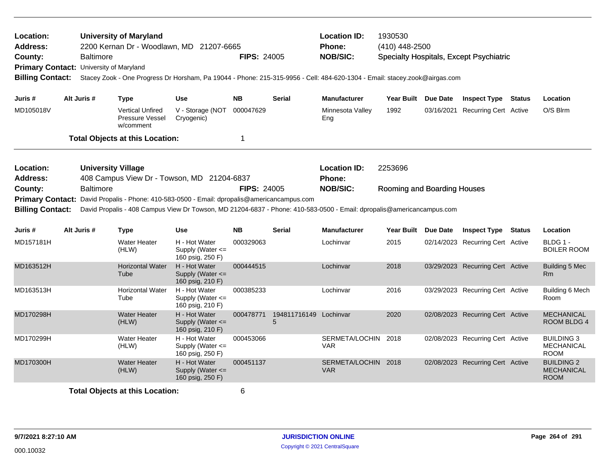| Location:<br><b>Address:</b><br>County:<br>Primary Contact: University of Maryland<br><b>Billing Contact:</b>                                                                                                                                                                                                                                                                                       |  | <b>Baltimore</b> | <b>University of Maryland</b>                           | 2200 Kernan Dr - Woodlawn, MD 21207-6665<br>Stacey Zook - One Progress Dr Horsham, Pa 19044 - Phone: 215-315-9956 - Cell: 484-620-1304 - Email: stacey.zook@airgas.com | <b>FIPS: 24005</b> |                             | <b>Location ID:</b><br><b>Phone:</b><br><b>NOB/SIC:</b> | 1930530<br>(410) 448-2500              |          | <b>Specialty Hospitals, Except Psychiatric</b>          |        |                                                       |
|-----------------------------------------------------------------------------------------------------------------------------------------------------------------------------------------------------------------------------------------------------------------------------------------------------------------------------------------------------------------------------------------------------|--|------------------|---------------------------------------------------------|------------------------------------------------------------------------------------------------------------------------------------------------------------------------|--------------------|-----------------------------|---------------------------------------------------------|----------------------------------------|----------|---------------------------------------------------------|--------|-------------------------------------------------------|
| Juris #                                                                                                                                                                                                                                                                                                                                                                                             |  | Alt Juris #      | <b>Type</b>                                             | <b>Use</b>                                                                                                                                                             | <b>NB</b>          | <b>Serial</b>               | <b>Manufacturer</b>                                     | <b>Year Built</b>                      | Due Date | <b>Inspect Type</b>                                     | Status | Location                                              |
| MD105018V                                                                                                                                                                                                                                                                                                                                                                                           |  |                  | <b>Vertical Unfired</b><br>Pressure Vessel<br>w/comment | V - Storage (NOT<br>Cryogenic)                                                                                                                                         | 000047629          |                             | Minnesota Valley<br>Eng                                 | 1992                                   |          | 03/16/2021 Recurring Cert Active                        |        | O/S Blrm                                              |
|                                                                                                                                                                                                                                                                                                                                                                                                     |  |                  | <b>Total Objects at this Location:</b>                  |                                                                                                                                                                        | $\overline{1}$     |                             |                                                         |                                        |          |                                                         |        |                                                       |
| Location:<br><b>University Village</b><br>408 Campus View Dr - Towson, MD 21204-6837<br><b>Address:</b><br>County:<br><b>Baltimore</b><br><b>Primary Contact:</b><br>David Propalis - Phone: 410-583-0500 - Email: dpropalis@americancampus.com<br><b>Billing Contact:</b><br>David Propalis - 408 Campus View Dr Towson, MD 21204-6837 - Phone: 410-583-0500 - Email: dpropalis@americancampus.com |  |                  |                                                         |                                                                                                                                                                        | <b>FIPS: 24005</b> |                             | <b>Location ID:</b><br><b>Phone:</b><br><b>NOB/SIC:</b> | 2253696<br>Rooming and Boarding Houses |          |                                                         |        |                                                       |
|                                                                                                                                                                                                                                                                                                                                                                                                     |  | Alt Juris #      |                                                         |                                                                                                                                                                        | <b>NB</b>          |                             |                                                         |                                        |          |                                                         |        |                                                       |
| Juris #<br>MD157181H                                                                                                                                                                                                                                                                                                                                                                                |  |                  | Type<br><b>Water Heater</b><br>(HLW)                    | <b>Use</b><br>H - Hot Water<br>Supply (Water $\leq$<br>160 psig, 250 F)                                                                                                | 000329063          | <b>Serial</b>               | <b>Manufacturer</b><br>Lochinvar                        | <b>Year Built</b><br>2015              | Due Date | <b>Inspect Type</b><br>02/14/2023 Recurring Cert Active | Status | Location<br>BLDG 1 -<br><b>BOILER ROOM</b>            |
| MD163512H                                                                                                                                                                                                                                                                                                                                                                                           |  |                  | <b>Horizontal Water</b><br>Tube                         | H - Hot Water<br>Supply (Water <=<br>160 psig, 210 F)                                                                                                                  | 000444515          |                             | Lochinvar                                               | 2018                                   |          | 03/29/2023 Recurring Cert Active                        |        | Building 5 Mec<br>R <sub>m</sub>                      |
| MD163513H                                                                                                                                                                                                                                                                                                                                                                                           |  |                  | <b>Horizontal Water</b><br>Tube                         | H - Hot Water<br>Supply (Water <=<br>160 psig, 210 F)                                                                                                                  | 000385233          |                             | Lochinvar                                               | 2016                                   |          | 03/29/2023 Recurring Cert Active                        |        | Building 6 Mech<br>Room                               |
| MD170298H                                                                                                                                                                                                                                                                                                                                                                                           |  |                  | <b>Water Heater</b><br>(HLW)                            | H - Hot Water<br>Supply (Water $\leq$<br>160 psig, 210 F)                                                                                                              | 000478771          | 194811716149 Lochinvar<br>5 |                                                         | 2020                                   |          | 02/08/2023 Recurring Cert Active                        |        | <b>MECHANICAL</b><br>ROOM BLDG 4                      |
| MD170299H                                                                                                                                                                                                                                                                                                                                                                                           |  |                  | <b>Water Heater</b><br>(HLW)                            | H - Hot Water<br>Supply (Water $\leq$<br>160 psig, 250 F)                                                                                                              | 000453066          |                             | SERMETA/LOCHIN<br><b>VAR</b>                            | 2018                                   |          | 02/08/2023 Recurring Cert Active                        |        | <b>BUILDING 3</b><br><b>MECHANICAL</b><br><b>ROOM</b> |
| MD170300H                                                                                                                                                                                                                                                                                                                                                                                           |  |                  | <b>Water Heater</b><br>(HLW)                            | H - Hot Water<br>Supply (Water $\leq$<br>160 psig, 250 F)                                                                                                              | 000451137          |                             | SERMETA/LOCHIN 2018<br><b>VAR</b>                       |                                        |          | 02/08/2023 Recurring Cert Active                        |        | <b>BUILDING 2</b><br>MECHANICAL<br><b>ROOM</b>        |
|                                                                                                                                                                                                                                                                                                                                                                                                     |  |                  | <b>Total Objects at this Location:</b>                  |                                                                                                                                                                        | 6                  |                             |                                                         |                                        |          |                                                         |        |                                                       |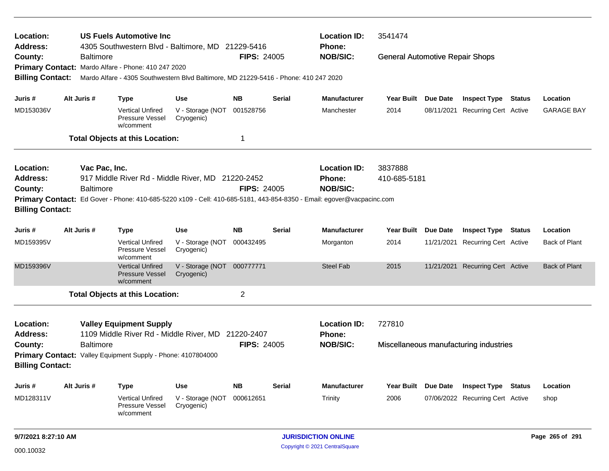| Location:<br><b>Address:</b><br>County:                                                                                                                                                    |                    |                                                                         | <b>US Fuels Automotive Inc</b>                                 | 4305 Southwestern Blvd - Baltimore, MD 21229-5416                                                                     |                    |               | <b>Location ID:</b><br>Phone:        | 3541474             |            |                                        |               |                      |
|--------------------------------------------------------------------------------------------------------------------------------------------------------------------------------------------|--------------------|-------------------------------------------------------------------------|----------------------------------------------------------------|-----------------------------------------------------------------------------------------------------------------------|--------------------|---------------|--------------------------------------|---------------------|------------|----------------------------------------|---------------|----------------------|
| <b>Baltimore</b><br>Primary Contact: Mardo Alfare - Phone: 410 247 2020<br>Mardo Alfare - 4305 Southwestern Blvd Baltimore, MD 21229-5416 - Phone: 410 247 2020<br><b>Billing Contact:</b> | <b>FIPS: 24005</b> |                                                                         | <b>NOB/SIC:</b>                                                | <b>General Automotive Repair Shops</b>                                                                                |                    |               |                                      |                     |            |                                        |               |                      |
|                                                                                                                                                                                            |                    |                                                                         |                                                                |                                                                                                                       |                    |               |                                      |                     |            |                                        |               |                      |
|                                                                                                                                                                                            |                    |                                                                         |                                                                |                                                                                                                       |                    |               |                                      |                     |            |                                        |               |                      |
| Juris #                                                                                                                                                                                    | Alt Juris #        |                                                                         | <b>Type</b>                                                    | <b>Use</b>                                                                                                            | <b>NB</b>          | <b>Serial</b> | <b>Manufacturer</b>                  | Year Built Due Date |            | <b>Inspect Type Status</b>             |               | Location             |
| MD153036V                                                                                                                                                                                  |                    |                                                                         | <b>Vertical Unfired</b><br>Pressure Vessel<br>w/comment        | V - Storage (NOT<br>Cryogenic)                                                                                        | 001528756          |               | Manchester                           | 2014                | 08/11/2021 | <b>Recurring Cert Active</b>           |               | <b>GARAGE BAY</b>    |
|                                                                                                                                                                                            |                    |                                                                         | <b>Total Objects at this Location:</b>                         |                                                                                                                       | 1                  |               |                                      |                     |            |                                        |               |                      |
| Location:                                                                                                                                                                                  |                    | Vac Pac, Inc.                                                           |                                                                |                                                                                                                       |                    |               | <b>Location ID:</b>                  | 3837888             |            |                                        |               |                      |
| Address:                                                                                                                                                                                   |                    | 917 Middle River Rd - Middle River, MD 21220-2452<br><b>FIPS: 24005</b> |                                                                |                                                                                                                       | Phone:             | 410-685-5181  |                                      |                     |            |                                        |               |                      |
| County:                                                                                                                                                                                    |                    | <b>Baltimore</b>                                                        |                                                                |                                                                                                                       |                    |               | <b>NOB/SIC:</b>                      |                     |            |                                        |               |                      |
| <b>Billing Contact:</b>                                                                                                                                                                    |                    |                                                                         |                                                                | Primary Contact: Ed Gover - Phone: 410-685-5220 x109 - Cell: 410-685-5181, 443-854-8350 - Email: egover@vacpacinc.com |                    |               |                                      |                     |            |                                        |               |                      |
| Juris #                                                                                                                                                                                    | Alt Juris #        |                                                                         | Type                                                           | <b>Use</b>                                                                                                            | <b>NB</b>          | <b>Serial</b> | <b>Manufacturer</b>                  | Year Built Due Date |            | <b>Inspect Type Status</b>             |               | Location             |
| MD159395V                                                                                                                                                                                  |                    |                                                                         | <b>Vertical Unfired</b><br>Pressure Vessel<br>w/comment        | V - Storage (NOT<br>Cryogenic)                                                                                        | 000432495          |               | Morganton                            | 2014                |            | 11/21/2021 Recurring Cert Active       |               | <b>Back of Plant</b> |
| MD159396V                                                                                                                                                                                  |                    |                                                                         | <b>Vertical Unfired</b><br><b>Pressure Vessel</b><br>w/comment | V - Storage (NOT 000777771<br>Cryogenic)                                                                              |                    |               | <b>Steel Fab</b>                     | 2015                |            | 11/21/2021 Recurring Cert Active       |               | <b>Back of Plant</b> |
|                                                                                                                                                                                            |                    |                                                                         | <b>Total Objects at this Location:</b>                         |                                                                                                                       | $\overline{c}$     |               |                                      |                     |            |                                        |               |                      |
| Location:<br><b>Address:</b>                                                                                                                                                               |                    |                                                                         | <b>Valley Equipment Supply</b>                                 | 1109 Middle River Rd - Middle River, MD 21220-2407                                                                    |                    |               | <b>Location ID:</b><br><b>Phone:</b> | 727810              |            |                                        |               |                      |
| County:                                                                                                                                                                                    |                    | <b>Baltimore</b>                                                        | Primary Contact: Valley Equipment Supply - Phone: 4107804000   |                                                                                                                       | <b>FIPS: 24005</b> |               | <b>NOB/SIC:</b>                      |                     |            | Miscellaneous manufacturing industries |               |                      |
| <b>Billing Contact:</b>                                                                                                                                                                    |                    |                                                                         |                                                                |                                                                                                                       |                    |               |                                      |                     |            |                                        |               |                      |
| Juris #                                                                                                                                                                                    | Alt Juris #        |                                                                         | Type                                                           | <b>Use</b>                                                                                                            | <b>NB</b>          | <b>Serial</b> | <b>Manufacturer</b>                  | <b>Year Built</b>   | Due Date   | <b>Inspect Type</b>                    | <b>Status</b> | Location             |
| MD128311V                                                                                                                                                                                  |                    |                                                                         | <b>Vertical Unfired</b><br>Pressure Vessel<br>w/comment        | V - Storage (NOT<br>Cryogenic)                                                                                        | 000612651          |               | Trinity                              | 2006                |            | 07/06/2022 Recurring Cert Active       |               | shop                 |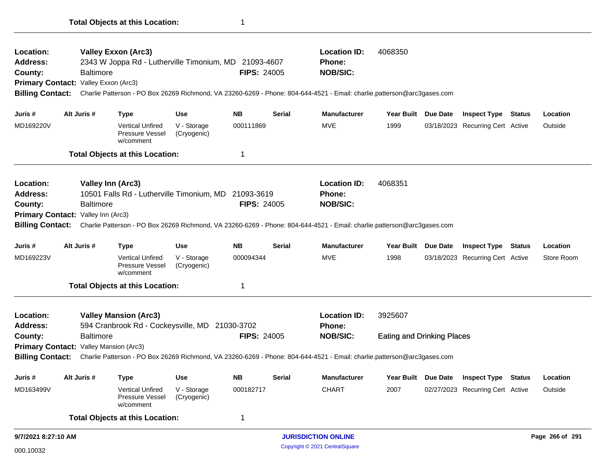|                                                                 |                          | <b>Pressure Vessel</b><br>w/comment<br><b>Total Objects at this Location:</b> | (Cryogenic)                | 1                  |               |                                                                                                                         |                                   |          |                                  |        |            |
|-----------------------------------------------------------------|--------------------------|-------------------------------------------------------------------------------|----------------------------|--------------------|---------------|-------------------------------------------------------------------------------------------------------------------------|-----------------------------------|----------|----------------------------------|--------|------------|
| MD163499V                                                       |                          | <b>Vertical Unfired</b>                                                       | V - Storage                | 000182717          |               | <b>CHART</b>                                                                                                            | 2007                              |          | 02/27/2023 Recurring Cert Active |        | Outside    |
| Juris #                                                         | Alt Juris #              | <b>Type</b>                                                                   | <b>Use</b>                 | <b>NB</b>          | <b>Serial</b> | <b>Manufacturer</b>                                                                                                     | <b>Year Built</b>                 | Due Date | <b>Inspect Type</b>              | Status | Location   |
| <b>Billing Contact:</b>                                         |                          |                                                                               |                            |                    |               | Charlie Patterson - PO Box 26269 Richmond, VA 23260-6269 - Phone: 804-644-4521 - Email: charlie.patterson@arc3gases.com |                                   |          |                                  |        |            |
| Primary Contact: Valley Mansion (Arc3)                          |                          |                                                                               |                            |                    |               |                                                                                                                         |                                   |          |                                  |        |            |
| County:                                                         | <b>Baltimore</b>         |                                                                               |                            | <b>FIPS: 24005</b> |               | <b>NOB/SIC:</b>                                                                                                         | <b>Eating and Drinking Places</b> |          |                                  |        |            |
| <b>Address:</b>                                                 |                          | 594 Cranbrook Rd - Cockeysville, MD 21030-3702                                |                            |                    |               | <b>Phone:</b>                                                                                                           |                                   |          |                                  |        |            |
| Location:                                                       |                          | <b>Valley Mansion (Arc3)</b>                                                  |                            |                    |               | <b>Location ID:</b>                                                                                                     | 3925607                           |          |                                  |        |            |
|                                                                 |                          | <b>Total Objects at this Location:</b>                                        |                            | 1                  |               |                                                                                                                         |                                   |          |                                  |        |            |
| MD169223V                                                       |                          | <b>Vertical Unfired</b><br>Pressure Vessel<br>w/comment                       | V - Storage<br>(Cryogenic) | 000094344          |               | <b>MVE</b>                                                                                                              | 1998                              |          | 03/18/2023 Recurring Cert Active |        | Store Room |
| Juris #                                                         | Alt Juris #              | <b>Type</b>                                                                   | <b>Use</b>                 | <b>NB</b>          | <b>Serial</b> | <b>Manufacturer</b>                                                                                                     | Year Built Due Date               |          | <b>Inspect Type Status</b>       |        | Location   |
| <b>Billing Contact:</b>                                         |                          |                                                                               |                            |                    |               | Charlie Patterson - PO Box 26269 Richmond, VA 23260-6269 - Phone: 804-644-4521 - Email: charlie.patterson@arc3gases.com |                                   |          |                                  |        |            |
| Primary Contact: Valley Inn (Arc3)                              |                          |                                                                               |                            |                    |               |                                                                                                                         |                                   |          |                                  |        |            |
| County:                                                         | <b>Baltimore</b>         |                                                                               |                            | <b>FIPS: 24005</b> |               | <b>NOB/SIC:</b>                                                                                                         |                                   |          |                                  |        |            |
| <b>Address:</b>                                                 |                          | 10501 Falls Rd - Lutherville Timonium, MD 21093-3619                          |                            |                    |               | Phone:                                                                                                                  |                                   |          |                                  |        |            |
| Location:                                                       | <b>Valley Inn (Arc3)</b> |                                                                               |                            |                    |               | <b>Location ID:</b>                                                                                                     | 4068351                           |          |                                  |        |            |
|                                                                 |                          | <b>Total Objects at this Location:</b>                                        |                            | 1                  |               |                                                                                                                         |                                   |          |                                  |        |            |
| MD169220V                                                       |                          | <b>Vertical Unfired</b><br>Pressure Vessel<br>w/comment                       | V - Storage<br>(Cryogenic) | 000111869          |               | MVE                                                                                                                     | 1999                              |          | 03/18/2023 Recurring Cert Active |        | Outside    |
| Juris #                                                         | Alt Juris #              | Type                                                                          | <b>Use</b>                 | <b>NB</b>          | <b>Serial</b> | <b>Manufacturer</b>                                                                                                     | <b>Year Built</b>                 | Due Date | <b>Inspect Type Status</b>       |        | Location   |
| Primary Contact: Valley Exxon (Arc3)<br><b>Billing Contact:</b> |                          |                                                                               |                            |                    |               | Charlie Patterson - PO Box 26269 Richmond, VA 23260-6269 - Phone: 804-644-4521 - Email: charlie.patterson@arc3gases.com |                                   |          |                                  |        |            |
| County:                                                         | <b>Baltimore</b>         |                                                                               |                            | <b>FIPS: 24005</b> |               | <b>NOB/SIC:</b>                                                                                                         |                                   |          |                                  |        |            |
| Address:                                                        |                          | 2343 W Joppa Rd - Lutherville Timonium, MD 21093-4607                         |                            |                    |               | <b>Phone:</b>                                                                                                           |                                   |          |                                  |        |            |
|                                                                 |                          |                                                                               |                            |                    |               |                                                                                                                         |                                   |          |                                  |        |            |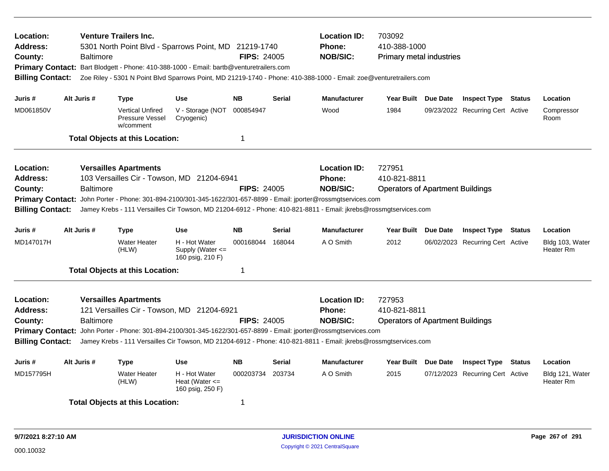| Location:<br>Address:<br>County:<br><b>Billing Contact:</b> | <b>Venture Trailers Inc.</b><br>5301 North Point Blvd - Sparrows Point, MD 21219-1740<br>Baltimore<br>Primary Contact: Bart Blodgett - Phone: 410-388-1000 - Email: bartb@venturetrailers.com<br>Zoe Riley - 5301 N Point Blvd Sparrows Point, MD 21219-1740 - Phone: 410-388-1000 - Email: zoe@venturetrailers.com<br>Alt Juris #<br><b>Use</b><br><b>Type</b> |                                                         |                                                           |                    | <b>FIPS: 24005</b> | <b>Location ID:</b><br><b>Phone:</b><br><b>NOB/SIC:</b>                                                           | 703092<br>410-388-1000<br>Primary metal industries |                                  |        |                              |
|-------------------------------------------------------------|-----------------------------------------------------------------------------------------------------------------------------------------------------------------------------------------------------------------------------------------------------------------------------------------------------------------------------------------------------------------|---------------------------------------------------------|-----------------------------------------------------------|--------------------|--------------------|-------------------------------------------------------------------------------------------------------------------|----------------------------------------------------|----------------------------------|--------|------------------------------|
| Juris #                                                     |                                                                                                                                                                                                                                                                                                                                                                 |                                                         |                                                           | <b>NB</b>          | <b>Serial</b>      | <b>Manufacturer</b>                                                                                               | Year Built Due Date                                | <b>Inspect Type Status</b>       |        | Location                     |
| MD061850V                                                   |                                                                                                                                                                                                                                                                                                                                                                 | <b>Vertical Unfired</b><br>Pressure Vessel<br>w/comment | V - Storage (NOT<br>Cryogenic)                            | 000854947          |                    | Wood                                                                                                              | 1984                                               | 09/23/2022 Recurring Cert Active |        | Compressor<br>Room           |
|                                                             |                                                                                                                                                                                                                                                                                                                                                                 | <b>Total Objects at this Location:</b>                  |                                                           | $\overline{1}$     |                    |                                                                                                                   |                                                    |                                  |        |                              |
| Location:                                                   |                                                                                                                                                                                                                                                                                                                                                                 | <b>Versailles Apartments</b>                            |                                                           |                    |                    | <b>Location ID:</b>                                                                                               | 727951                                             |                                  |        |                              |
| Address:                                                    |                                                                                                                                                                                                                                                                                                                                                                 | 103 Versailles Cir - Towson, MD 21204-6941              |                                                           |                    |                    | <b>Phone:</b>                                                                                                     | 410-821-8811                                       |                                  |        |                              |
| County:                                                     | Baltimore                                                                                                                                                                                                                                                                                                                                                       |                                                         |                                                           | FIPS: 24005        |                    | <b>NOB/SIC:</b>                                                                                                   | <b>Operators of Apartment Buildings</b>            |                                  |        |                              |
|                                                             | Primary Contact: John Porter - Phone: 301-894-2100/301-345-1622/301-657-8899 - Email: jporter@rossmgtservices.com<br>Jamey Krebs - 111 Versailles Cir Towson, MD 21204-6912 - Phone: 410-821-8811 - Email: jkrebs@rossmgtservices.com<br><b>Billing Contact:</b>                                                                                                |                                                         |                                                           |                    |                    |                                                                                                                   |                                                    |                                  |        |                              |
| Juris #                                                     | Alt Juris #                                                                                                                                                                                                                                                                                                                                                     | <b>Type</b>                                             | <b>Use</b>                                                | <b>NB</b>          | <b>Serial</b>      | <b>Manufacturer</b>                                                                                               | Year Built Due Date                                | <b>Inspect Type</b>              | Status | Location                     |
| MD147017H                                                   |                                                                                                                                                                                                                                                                                                                                                                 | <b>Water Heater</b><br>(HLW)                            | H - Hot Water<br>Supply (Water $\leq$<br>160 psig, 210 F) | 000168044          | 168044             | A O Smith                                                                                                         | 2012                                               | 06/02/2023 Recurring Cert Active |        | Bldg 103, Water<br>Heater Rm |
|                                                             |                                                                                                                                                                                                                                                                                                                                                                 | <b>Total Objects at this Location:</b>                  |                                                           | $\mathbf 1$        |                    |                                                                                                                   |                                                    |                                  |        |                              |
| <b>Location:</b>                                            |                                                                                                                                                                                                                                                                                                                                                                 | <b>Versailles Apartments</b>                            |                                                           |                    |                    | <b>Location ID:</b>                                                                                               | 727953                                             |                                  |        |                              |
| <b>Address:</b>                                             |                                                                                                                                                                                                                                                                                                                                                                 | 121 Versailles Cir - Towson, MD 21204-6921              |                                                           |                    |                    | Phone:                                                                                                            | 410-821-8811                                       |                                  |        |                              |
| County:                                                     | <b>Baltimore</b>                                                                                                                                                                                                                                                                                                                                                |                                                         |                                                           | <b>FIPS: 24005</b> |                    | <b>NOB/SIC:</b>                                                                                                   | <b>Operators of Apartment Buildings</b>            |                                  |        |                              |
|                                                             |                                                                                                                                                                                                                                                                                                                                                                 |                                                         |                                                           |                    |                    | Primary Contact: John Porter - Phone: 301-894-2100/301-345-1622/301-657-8899 - Email: jporter@rossmgtservices.com |                                                    |                                  |        |                              |
| <b>Billing Contact:</b>                                     |                                                                                                                                                                                                                                                                                                                                                                 |                                                         |                                                           |                    |                    | Jamey Krebs - 111 Versailles Cir Towson, MD 21204-6912 - Phone: 410-821-8811 - Email: jkrebs@rossmgtservices.com  |                                                    |                                  |        |                              |
| Juris #                                                     | Alt Juris #                                                                                                                                                                                                                                                                                                                                                     | <b>Type</b>                                             | <b>Use</b>                                                | <b>NB</b>          | <b>Serial</b>      | <b>Manufacturer</b>                                                                                               | Year Built Due Date                                | <b>Inspect Type Status</b>       |        | Location                     |
| MD157795H                                                   |                                                                                                                                                                                                                                                                                                                                                                 | Water Heater<br>(HLW)                                   | H - Hot Water<br>Heat (Water $\leq$<br>160 psig, 250 F)   | 000203734          | 203734             | A O Smith                                                                                                         | 2015                                               | 07/12/2023 Recurring Cert Active |        | Bldg 121, Water<br>Heater Rm |
|                                                             |                                                                                                                                                                                                                                                                                                                                                                 | <b>Total Objects at this Location:</b>                  |                                                           | -1                 |                    |                                                                                                                   |                                                    |                                  |        |                              |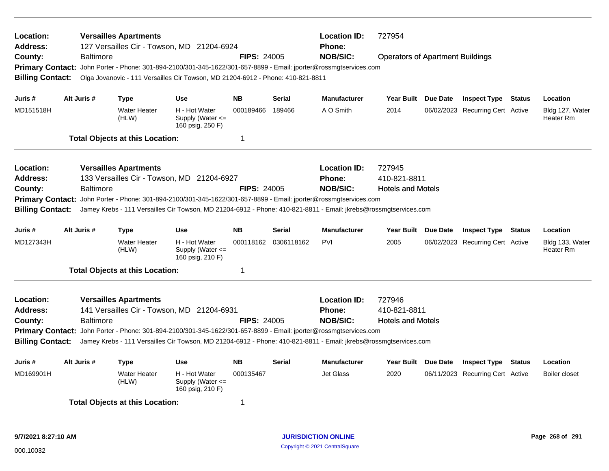| Location:<br><b>Address:</b><br>County:<br><b>Billing Contact:</b>        | <b>Baltimore</b>                                                                                                                                                                                                                                                                                           | <b>Versailles Apartments</b>           | 127 Versailles Cir - Towson, MD 21204-6924<br>Primary Contact: John Porter - Phone: 301-894-2100/301-345-1622/301-657-8899 - Email: jporter@rossmgtservices.com<br>Olga Jovanovic - 111 Versailles Cir Towson, MD 21204-6912 - Phone: 410-821-8811                                  | <b>FIPS: 24005</b> |                      | <b>Location ID:</b><br><b>Phone:</b><br><b>NOB/SIC:</b> | 727954<br><b>Operators of Apartment Buildings</b>  |                                  |        |                              |
|---------------------------------------------------------------------------|------------------------------------------------------------------------------------------------------------------------------------------------------------------------------------------------------------------------------------------------------------------------------------------------------------|----------------------------------------|-------------------------------------------------------------------------------------------------------------------------------------------------------------------------------------------------------------------------------------------------------------------------------------|--------------------|----------------------|---------------------------------------------------------|----------------------------------------------------|----------------------------------|--------|------------------------------|
| Juris #                                                                   | Alt Juris #                                                                                                                                                                                                                                                                                                | <b>Type</b>                            | <b>Use</b>                                                                                                                                                                                                                                                                          | <b>NB</b>          | <b>Serial</b>        | <b>Manufacturer</b>                                     | Year Built Due Date                                | <b>Inspect Type Status</b>       |        | Location                     |
| MD151518H                                                                 |                                                                                                                                                                                                                                                                                                            | <b>Water Heater</b><br>(HLW)           | H - Hot Water<br>Supply (Water <=<br>160 psig, 250 F)                                                                                                                                                                                                                               | 000189466          | 189466               | A O Smith                                               | 2014                                               | 06/02/2023 Recurring Cert Active |        | Bldg 127, Water<br>Heater Rm |
|                                                                           |                                                                                                                                                                                                                                                                                                            | <b>Total Objects at this Location:</b> |                                                                                                                                                                                                                                                                                     | 1                  |                      |                                                         |                                                    |                                  |        |                              |
| Location:<br>Address:                                                     |                                                                                                                                                                                                                                                                                                            | <b>Versailles Apartments</b>           | 133 Versailles Cir - Towson, MD 21204-6927                                                                                                                                                                                                                                          |                    |                      | <b>Location ID:</b><br><b>Phone:</b>                    | 727945<br>410-821-8811                             |                                  |        |                              |
| County:                                                                   | <b>Baltimore</b><br><b>FIPS: 24005</b><br>Primary Contact: John Porter - Phone: 301-894-2100/301-345-1622/301-657-8899 - Email: jporter@rossmgtservices.com<br><b>Billing Contact:</b><br>Jamey Krebs - 111 Versailles Cir Towson, MD 21204-6912 - Phone: 410-821-8811 - Email: jkrebs@rossmgtservices.com |                                        |                                                                                                                                                                                                                                                                                     |                    |                      | <b>NOB/SIC:</b>                                         | <b>Hotels and Motels</b>                           |                                  |        |                              |
| Juris #                                                                   | Alt Juris #                                                                                                                                                                                                                                                                                                | <b>Type</b>                            | <b>Use</b>                                                                                                                                                                                                                                                                          | <b>NB</b>          | Serial               | <b>Manufacturer</b>                                     | Year Built Due Date                                | <b>Inspect Type</b>              | Status | Location                     |
| MD127343H                                                                 |                                                                                                                                                                                                                                                                                                            | <b>Water Heater</b><br>(HLW)           | H - Hot Water<br>Supply (Water $\leq$<br>160 psig, 210 F)                                                                                                                                                                                                                           |                    | 000118162 0306118162 | <b>PVI</b>                                              | 2005                                               | 06/02/2023 Recurring Cert Active |        | Bldg 133, Water<br>Heater Rm |
|                                                                           |                                                                                                                                                                                                                                                                                                            | <b>Total Objects at this Location:</b> |                                                                                                                                                                                                                                                                                     | $\mathbf 1$        |                      |                                                         |                                                    |                                  |        |                              |
| <b>Location:</b><br><b>Address:</b><br>County:<br><b>Billing Contact:</b> | <b>Baltimore</b>                                                                                                                                                                                                                                                                                           | <b>Versailles Apartments</b>           | 141 Versailles Cir - Towson, MD 21204-6931<br>Primary Contact: John Porter - Phone: 301-894-2100/301-345-1622/301-657-8899 - Email: jporter@rossmgtservices.com<br>Jamey Krebs - 111 Versailles Cir Towson, MD 21204-6912 - Phone: 410-821-8811 - Email: jkrebs@rossmgtservices.com | <b>FIPS: 24005</b> |                      | <b>Location ID:</b><br><b>Phone:</b><br><b>NOB/SIC:</b> | 727946<br>410-821-8811<br><b>Hotels and Motels</b> |                                  |        |                              |
| Juris #                                                                   | Alt Juris #                                                                                                                                                                                                                                                                                                | <b>Type</b>                            | <b>Use</b>                                                                                                                                                                                                                                                                          | <b>NB</b>          | <b>Serial</b>        | <b>Manufacturer</b>                                     | Year Built Due Date                                | <b>Inspect Type</b>              | Status | Location                     |
| MD169901H                                                                 |                                                                                                                                                                                                                                                                                                            | Water Heater<br>(HLW)                  | H - Hot Water<br>Supply (Water $\leq$<br>160 psig, 210 F)                                                                                                                                                                                                                           | 000135467          |                      | Jet Glass                                               | 2020                                               | 06/11/2023 Recurring Cert Active |        | Boiler closet                |
|                                                                           |                                                                                                                                                                                                                                                                                                            | <b>Total Objects at this Location:</b> |                                                                                                                                                                                                                                                                                     | 1                  |                      |                                                         |                                                    |                                  |        |                              |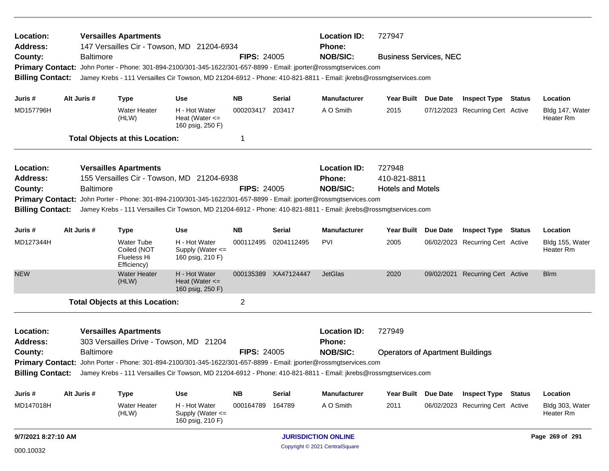| Location:<br><b>Address:</b> |                  | <b>Versailles Apartments</b>                            | 147 Versailles Cir - Towson, MD 21204-6934                                                                                        |                    |                      | <b>Location ID:</b><br>Phone: | 727947                                  |                                  |                              |
|------------------------------|------------------|---------------------------------------------------------|-----------------------------------------------------------------------------------------------------------------------------------|--------------------|----------------------|-------------------------------|-----------------------------------------|----------------------------------|------------------------------|
| County:                      | <b>Baltimore</b> |                                                         |                                                                                                                                   | <b>FIPS: 24005</b> |                      | <b>NOB/SIC:</b>               | <b>Business Services, NEC</b>           |                                  |                              |
|                              |                  |                                                         | Primary Contact: John Porter - Phone: 301-894-2100/301-345-1622/301-657-8899 - Email: jporter@rossmgtservices.com                 |                    |                      |                               |                                         |                                  |                              |
| <b>Billing Contact:</b>      |                  |                                                         | Jamey Krebs - 111 Versailles Cir Towson, MD 21204-6912 - Phone: 410-821-8811 - Email: jkrebs@rossmgtservices.com                  |                    |                      |                               |                                         |                                  |                              |
| Juris #                      | Alt Juris #      | Type                                                    | Use                                                                                                                               | NB.                | Serial               | <b>Manufacturer</b>           | Year Built Due Date                     | <b>Inspect Type Status</b>       | Location                     |
| MD157796H                    |                  | <b>Water Heater</b><br>(HLW)                            | H - Hot Water<br>Heat (Water $\leq$<br>160 psig, 250 F)                                                                           | 000203417          | 203417               | A O Smith                     | 2015                                    | 07/12/2023 Recurring Cert Active | Bldg 147, Water<br>Heater Rm |
|                              |                  | <b>Total Objects at this Location:</b>                  |                                                                                                                                   | 1                  |                      |                               |                                         |                                  |                              |
| Location:                    |                  | <b>Versailles Apartments</b>                            |                                                                                                                                   |                    |                      | <b>Location ID:</b>           | 727948                                  |                                  |                              |
| <b>Address:</b>              |                  |                                                         | 155 Versailles Cir - Towson, MD 21204-6938                                                                                        |                    |                      | <b>Phone:</b>                 | 410-821-8811                            |                                  |                              |
| County:                      | <b>Baltimore</b> |                                                         |                                                                                                                                   | <b>FIPS: 24005</b> |                      | <b>NOB/SIC:</b>               | <b>Hotels and Motels</b>                |                                  |                              |
|                              |                  |                                                         | Primary Contact: John Porter - Phone: 301-894-2100/301-345-1622/301-657-8899 - Email: jporter@rossmgtservices.com                 |                    |                      |                               |                                         |                                  |                              |
| <b>Billing Contact:</b>      |                  |                                                         | Jamey Krebs - 111 Versailles Cir Towson, MD 21204-6912 - Phone: 410-821-8811 - Email: jkrebs@rossmgtservices.com                  |                    |                      |                               |                                         |                                  |                              |
| Juris #                      | Alt Juris #      | <b>Type</b>                                             | <b>Use</b>                                                                                                                        | <b>NB</b>          | Serial               | <b>Manufacturer</b>           | Year Built Due Date                     | <b>Inspect Type Status</b>       | Location                     |
| MD127344H                    |                  | Water Tube<br>Coiled (NOT<br>Flueless Hi<br>Efficiency) | H - Hot Water<br>Supply (Water <=<br>160 psig, 210 F)                                                                             |                    | 000112495 0204112495 | <b>PVI</b>                    | 2005                                    | 06/02/2023 Recurring Cert Active | Bldg 155, Water<br>Heater Rm |
| <b>NEW</b>                   |                  | <b>Water Heater</b><br>(HLW)                            | H - Hot Water<br>Heat (Water $\leq$<br>160 psig, 250 F)                                                                           |                    | 000135389 XA47124447 | <b>JetGlas</b>                | 2020                                    | 09/02/2021 Recurring Cert Active | <b>Blrm</b>                  |
|                              |                  | <b>Total Objects at this Location:</b>                  |                                                                                                                                   | $\overline{2}$     |                      |                               |                                         |                                  |                              |
| Location:<br><b>Address:</b> |                  | <b>Versailles Apartments</b>                            | 303 Versailles Drive - Towson, MD 21204                                                                                           |                    |                      | <b>Location ID:</b><br>Phone: | 727949                                  |                                  |                              |
| County:                      | <b>Baltimore</b> |                                                         |                                                                                                                                   | <b>FIPS: 24005</b> |                      | <b>NOB/SIC:</b>               | <b>Operators of Apartment Buildings</b> |                                  |                              |
|                              |                  |                                                         | Primary Contact: John Porter - Phone: 301-894-2100/301-345-1622/301-657-8899 - Email: jporter@rossmgtservices.com                 |                    |                      |                               |                                         |                                  |                              |
|                              |                  |                                                         | Billing Contact: Jamey Krebs - 111 Versailles Cir Towson, MD 21204-6912 - Phone: 410-821-8811 - Email: jkrebs@rossmgtservices.com |                    |                      |                               |                                         |                                  |                              |
| Juris #                      | Alt Juris #      | <b>Type</b>                                             | <b>Use</b>                                                                                                                        | <b>NB</b>          | <b>Serial</b>        | <b>Manufacturer</b>           | Year Built Due Date                     | <b>Inspect Type Status</b>       | Location                     |
| MD147018H                    |                  | <b>Water Heater</b><br>(HLW)                            | H - Hot Water<br>Supply (Water <=<br>160 psig, 210 F)                                                                             | 000164789          | 164789               | A O Smith                     | 2011                                    | 06/02/2023 Recurring Cert Active | Bldg 303, Water<br>Heater Rm |
| 9/7/2021 8:27:10 AM          |                  |                                                         |                                                                                                                                   |                    |                      | <b>JURISDICTION ONLINE</b>    |                                         |                                  | Page 269 of 291              |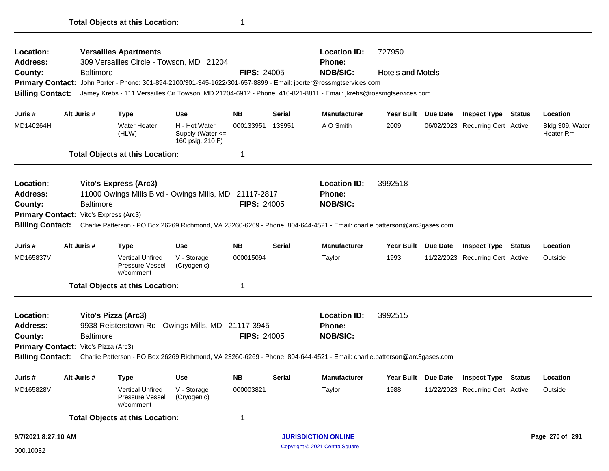| Location:<br><b>Address:</b>         |                  | <b>Versailles Apartments</b><br>309 Versailles Circle - Towson, MD 21204 |                                                       |                    |               | <b>Location ID:</b><br><b>Phone:</b>                                                                                    | 727950                   |          |                                  |        |                              |
|--------------------------------------|------------------|--------------------------------------------------------------------------|-------------------------------------------------------|--------------------|---------------|-------------------------------------------------------------------------------------------------------------------------|--------------------------|----------|----------------------------------|--------|------------------------------|
| County:                              | <b>Baltimore</b> |                                                                          |                                                       | <b>FIPS: 24005</b> |               | <b>NOB/SIC:</b>                                                                                                         | <b>Hotels and Motels</b> |          |                                  |        |                              |
| <b>Primary Contact:</b>              |                  |                                                                          |                                                       |                    |               | John Porter - Phone: 301-894-2100/301-345-1622/301-657-8899 - Email: jporter@rossmgtservices.com                        |                          |          |                                  |        |                              |
| <b>Billing Contact:</b>              |                  |                                                                          |                                                       |                    |               | Jamey Krebs - 111 Versailles Cir Towson, MD 21204-6912 - Phone: 410-821-8811 - Email: jkrebs@rossmgtservices.com        |                          |          |                                  |        |                              |
| Juris #                              | Alt Juris #      | Type                                                                     | <b>Use</b>                                            | <b>NB</b>          | <b>Serial</b> | <b>Manufacturer</b>                                                                                                     | Year Built Due Date      |          | <b>Inspect Type Status</b>       |        | Location                     |
| MD140264H                            |                  | Water Heater<br>(HLW)                                                    | H - Hot Water<br>Supply (Water <=<br>160 psig, 210 F) | 000133951          | 133951        | A O Smith                                                                                                               | 2009                     |          | 06/02/2023 Recurring Cert Active |        | Bldg 309, Water<br>Heater Rm |
|                                      |                  | <b>Total Objects at this Location:</b>                                   |                                                       | 1                  |               |                                                                                                                         |                          |          |                                  |        |                              |
| <b>Location:</b>                     |                  | <b>Vito's Express (Arc3)</b>                                             |                                                       |                    |               | <b>Location ID:</b>                                                                                                     | 3992518                  |          |                                  |        |                              |
| <b>Address:</b>                      |                  | 11000 Owings Mills Blvd - Owings Mills, MD 21117-2817                    |                                                       |                    |               | Phone:                                                                                                                  |                          |          |                                  |        |                              |
| County:                              | <b>Baltimore</b> |                                                                          |                                                       | <b>FIPS: 24005</b> |               | <b>NOB/SIC:</b>                                                                                                         |                          |          |                                  |        |                              |
| <b>Primary Contact:</b>              |                  | Vito's Express (Arc3)                                                    |                                                       |                    |               |                                                                                                                         |                          |          |                                  |        |                              |
| <b>Billing Contact:</b>              |                  |                                                                          |                                                       |                    |               | Charlie Patterson - PO Box 26269 Richmond, VA 23260-6269 - Phone: 804-644-4521 - Email: charlie.patterson@arc3gases.com |                          |          |                                  |        |                              |
| Juris #                              | Alt Juris #      | Type                                                                     | <b>Use</b>                                            | <b>NB</b>          | <b>Serial</b> | <b>Manufacturer</b>                                                                                                     | Year Built               | Due Date | <b>Inspect Type</b>              | Status | Location                     |
| MD165837V                            |                  | <b>Vertical Unfired</b><br>Pressure Vessel<br>w/comment                  | V - Storage<br>(Cryogenic)                            | 000015094          |               | Taylor                                                                                                                  | 1993                     |          | 11/22/2023 Recurring Cert Active |        | Outside                      |
|                                      |                  | <b>Total Objects at this Location:</b>                                   |                                                       | 1                  |               |                                                                                                                         |                          |          |                                  |        |                              |
| Location:                            |                  | Vito's Pizza (Arc3)                                                      |                                                       |                    |               | <b>Location ID:</b>                                                                                                     | 3992515                  |          |                                  |        |                              |
| <b>Address:</b>                      |                  | 9938 Reisterstown Rd - Owings Mills, MD 21117-3945                       |                                                       |                    |               | <b>Phone:</b>                                                                                                           |                          |          |                                  |        |                              |
| County:                              | Baltimore        |                                                                          |                                                       | <b>FIPS: 24005</b> |               | <b>NOB/SIC:</b>                                                                                                         |                          |          |                                  |        |                              |
| Primary Contact: Vito's Pizza (Arc3) |                  |                                                                          |                                                       |                    |               |                                                                                                                         |                          |          |                                  |        |                              |
| <b>Billing Contact:</b>              |                  |                                                                          |                                                       |                    |               | Charlie Patterson - PO Box 26269 Richmond, VA 23260-6269 - Phone: 804-644-4521 - Email: charlie.patterson@arc3gases.com |                          |          |                                  |        |                              |
| Juris #                              | Alt Juris #      | Type                                                                     | Use                                                   | <b>NB</b>          | <b>Serial</b> | <b>Manufacturer</b>                                                                                                     | Year Built Due Date      |          | <b>Inspect Type</b>              | Status | Location                     |
| MD165828V                            |                  | Vertical Unfired<br><b>Pressure Vessel</b><br>w/comment                  | V - Storage<br>(Cryogenic)                            | 000003821          |               | Taylor                                                                                                                  | 1988                     |          | 11/22/2023 Recurring Cert Active |        | Outside                      |
|                                      |                  | <b>Total Objects at this Location:</b>                                   |                                                       | 1                  |               |                                                                                                                         |                          |          |                                  |        |                              |
| 9/7/2021 8:27:10 AM                  |                  |                                                                          |                                                       |                    |               | <b>JURISDICTION ONLINE</b>                                                                                              |                          |          |                                  |        | Page 270 of 291              |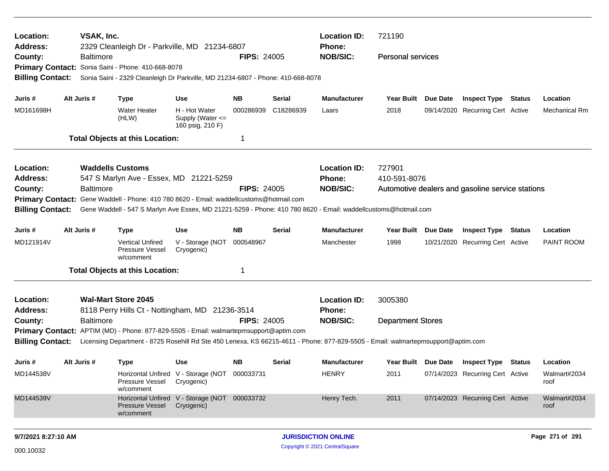| Location:<br><b>Address:</b><br>County: | VSAK, Inc.                                                                                                     |                                                                                                                                                                                              |                                                                                                                                  |                                                             |                    | <b>Location ID:</b><br><b>Phone:</b> | 721190              |                          |                                                  |                      |
|-----------------------------------------|----------------------------------------------------------------------------------------------------------------|----------------------------------------------------------------------------------------------------------------------------------------------------------------------------------------------|----------------------------------------------------------------------------------------------------------------------------------|-------------------------------------------------------------|--------------------|--------------------------------------|---------------------|--------------------------|--------------------------------------------------|----------------------|
|                                         |                                                                                                                | 2329 Cleanleigh Dr - Parkville, MD 21234-6807<br><b>NOB/SIC:</b><br><b>Baltimore</b><br><b>FIPS: 24005</b><br><b>Personal services</b><br>Primary Contact: Sonia Saini - Phone: 410-668-8078 |                                                                                                                                  |                                                             |                    |                                      |                     |                          |                                                  |                      |
|                                         |                                                                                                                |                                                                                                                                                                                              |                                                                                                                                  |                                                             |                    |                                      |                     |                          |                                                  |                      |
| <b>Billing Contact:</b>                 |                                                                                                                |                                                                                                                                                                                              | Sonia Saini - 2329 Cleanleigh Dr Parkville, MD 21234-6807 - Phone: 410-668-8078                                                  |                                                             |                    |                                      |                     |                          |                                                  |                      |
| Juris #                                 |                                                                                                                | Alt Juris #                                                                                                                                                                                  | <b>Type</b>                                                                                                                      | Use                                                         | <b>NB</b>          | Serial                               | <b>Manufacturer</b> | Year Built Due Date      | <b>Inspect Type Status</b>                       | Location             |
| MD161698H                               |                                                                                                                |                                                                                                                                                                                              | <b>Water Heater</b><br>(HLW)                                                                                                     | H - Hot Water<br>Supply (Water <=<br>160 psig, 210 F)       | 000286939          | C18286939                            | Laars               | 2018                     | 09/14/2020 Recurring Cert Active                 | Mechanical Rm        |
|                                         |                                                                                                                |                                                                                                                                                                                              | <b>Total Objects at this Location:</b>                                                                                           |                                                             | -1                 |                                      |                     |                          |                                                  |                      |
| Location:                               |                                                                                                                |                                                                                                                                                                                              | <b>Waddells Customs</b>                                                                                                          |                                                             |                    |                                      | <b>Location ID:</b> | 727901                   |                                                  |                      |
| <b>Address:</b>                         |                                                                                                                |                                                                                                                                                                                              | 547 S Marlyn Ave - Essex, MD 21221-5259                                                                                          |                                                             |                    |                                      | Phone:              | 410-591-8076             |                                                  |                      |
| County:                                 |                                                                                                                | <b>Baltimore</b>                                                                                                                                                                             |                                                                                                                                  |                                                             | <b>FIPS: 24005</b> |                                      | <b>NOB/SIC:</b>     |                          | Automotive dealers and gasoline service stations |                      |
|                                         |                                                                                                                |                                                                                                                                                                                              | Primary Contact: Gene Waddell - Phone: 410 780 8620 - Email: waddellcustoms@hotmail.com                                          |                                                             |                    |                                      |                     |                          |                                                  |                      |
| <b>Billing Contact:</b>                 | Gene Waddell - 547 S Marlyn Ave Essex, MD 21221-5259 - Phone: 410 780 8620 - Email: waddellcustoms@hotmail.com |                                                                                                                                                                                              |                                                                                                                                  |                                                             |                    |                                      |                     |                          |                                                  |                      |
| Juris #                                 |                                                                                                                | Alt Juris #                                                                                                                                                                                  | <b>Type</b>                                                                                                                      | Use                                                         | <b>NB</b>          | Serial                               | <b>Manufacturer</b> | Year Built Due Date      | <b>Inspect Type Status</b>                       | Location             |
| MD121914V                               |                                                                                                                |                                                                                                                                                                                              | <b>Vertical Unfired</b><br>Pressure Vessel<br>w/comment                                                                          | V - Storage (NOT<br>Cryogenic)                              | 000548967          |                                      | Manchester          | 1998                     | 10/21/2020 Recurring Cert Active                 | PAINT ROOM           |
|                                         |                                                                                                                |                                                                                                                                                                                              | <b>Total Objects at this Location:</b>                                                                                           |                                                             | -1                 |                                      |                     |                          |                                                  |                      |
| Location:                               |                                                                                                                |                                                                                                                                                                                              | <b>Wal-Mart Store 2045</b>                                                                                                       |                                                             |                    |                                      | <b>Location ID:</b> | 3005380                  |                                                  |                      |
| Address:                                |                                                                                                                |                                                                                                                                                                                              | 8118 Perry Hills Ct - Nottingham, MD 21236-3514                                                                                  |                                                             |                    |                                      | <b>Phone:</b>       |                          |                                                  |                      |
| County:                                 |                                                                                                                | <b>Baltimore</b>                                                                                                                                                                             |                                                                                                                                  |                                                             | <b>FIPS: 24005</b> |                                      | <b>NOB/SIC:</b>     | <b>Department Stores</b> |                                                  |                      |
|                                         |                                                                                                                |                                                                                                                                                                                              | <b>Primary Contact:</b> APTIM (MD) - Phone: 877-829-5505 - Email: walmartepmsupport@aptim.com                                    |                                                             |                    |                                      |                     |                          |                                                  |                      |
| <b>Billing Contact:</b>                 |                                                                                                                |                                                                                                                                                                                              | Licensing Department - 8725 Rosehill Rd Ste 450 Lenexa, KS 66215-4611 - Phone: 877-829-5505 - Email: walmartepmsupport@aptim.com |                                                             |                    |                                      |                     |                          |                                                  |                      |
| Juris #                                 |                                                                                                                | Alt Juris #                                                                                                                                                                                  | <b>Type</b>                                                                                                                      | Use                                                         | <b>NB</b>          | Serial                               | <b>Manufacturer</b> | Year Built Due Date      | <b>Inspect Type Status</b>                       | Location             |
| MD144538V                               |                                                                                                                |                                                                                                                                                                                              | Pressure Vessel<br>w/comment                                                                                                     | Horizontal Unfired V - Storage (NOT 000033731<br>Cryogenic) |                    |                                      | <b>HENRY</b>        | 2011                     | 07/14/2023 Recurring Cert Active                 | Walmart#2034<br>roof |
| MD144539V                               |                                                                                                                |                                                                                                                                                                                              | <b>Pressure Vessel</b><br>w/comment                                                                                              | Horizontal Unfired V - Storage (NOT 000033732<br>Cryogenic) |                    |                                      | Henry Tech.         | 2011                     | 07/14/2023 Recurring Cert Active                 | Walmart#2034<br>roof |
|                                         |                                                                                                                |                                                                                                                                                                                              |                                                                                                                                  |                                                             |                    |                                      |                     |                          |                                                  |                      |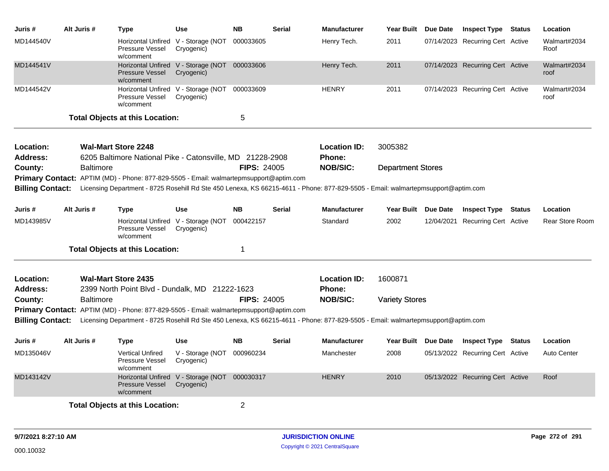| Juris #                 | Alt Juris #      | Type                                                                                   | <b>Use</b>                                                  | <b>NB</b>          | <b>Serial</b> | <b>Manufacturer</b>                                                                                                              | Year Built Due Date      | <b>Inspect Type Status</b>       | Location               |
|-------------------------|------------------|----------------------------------------------------------------------------------------|-------------------------------------------------------------|--------------------|---------------|----------------------------------------------------------------------------------------------------------------------------------|--------------------------|----------------------------------|------------------------|
| MD144540V               |                  | Horizontal Unfired<br><b>Pressure Vessel</b><br>w/comment                              | V - Storage (NOT<br>Cryogenic)                              | 000033605          |               | Henry Tech.                                                                                                                      | 2011                     | 07/14/2023 Recurring Cert Active | Walmart#2034<br>Roof   |
| MD144541V               |                  | <b>Pressure Vessel</b><br>w/comment                                                    | Horizontal Unfired V - Storage (NOT 000033606<br>Cryogenic) |                    |               | Henry Tech.                                                                                                                      | 2011                     | 07/14/2023 Recurring Cert Active | Walmart#2034<br>roof   |
| MD144542V               |                  | Pressure Vessel<br>w/comment                                                           | Horizontal Unfired V - Storage (NOT 000033609<br>Cryogenic) |                    |               | <b>HENRY</b>                                                                                                                     | 2011                     | 07/14/2023 Recurring Cert Active | Walmart#2034<br>roof   |
|                         |                  | <b>Total Objects at this Location:</b>                                                 |                                                             | 5                  |               |                                                                                                                                  |                          |                                  |                        |
| Location:               |                  | <b>Wal-Mart Store 2248</b>                                                             |                                                             |                    |               | <b>Location ID:</b>                                                                                                              | 3005382                  |                                  |                        |
| Address:                |                  | 6205 Baltimore National Pike - Catonsville, MD 21228-2908                              |                                                             |                    |               | Phone:                                                                                                                           |                          |                                  |                        |
| County:                 | <b>Baltimore</b> |                                                                                        |                                                             | <b>FIPS: 24005</b> |               | <b>NOB/SIC:</b>                                                                                                                  | <b>Department Stores</b> |                                  |                        |
| <b>Billing Contact:</b> |                  | Primary Contact: APTIM (MD) - Phone: 877-829-5505 - Email: walmartepmsupport@aptim.com |                                                             |                    |               | Licensing Department - 8725 Rosehill Rd Ste 450 Lenexa, KS 66215-4611 - Phone: 877-829-5505 - Email: walmartepmsupport@aptim.com |                          |                                  |                        |
|                         |                  |                                                                                        |                                                             |                    |               |                                                                                                                                  |                          |                                  |                        |
| Juris #                 | Alt Juris #      | Type                                                                                   | <b>Use</b>                                                  | <b>NB</b>          | <b>Serial</b> | <b>Manufacturer</b>                                                                                                              | Year Built Due Date      | <b>Inspect Type Status</b>       | Location               |
| MD143985V               |                  | Pressure Vessel<br>w/comment                                                           | Horizontal Unfired V - Storage (NOT<br>Cryogenic)           | 000422157          |               | Standard                                                                                                                         | 2002                     | 12/04/2021 Recurring Cert Active | <b>Rear Store Room</b> |
|                         |                  | <b>Total Objects at this Location:</b>                                                 |                                                             | 1                  |               |                                                                                                                                  |                          |                                  |                        |
| Location:               |                  | <b>Wal-Mart Store 2435</b>                                                             |                                                             |                    |               | <b>Location ID:</b>                                                                                                              | 1600871                  |                                  |                        |
| <b>Address:</b>         |                  | 2399 North Point Blvd - Dundalk, MD 21222-1623                                         |                                                             |                    |               | Phone:                                                                                                                           |                          |                                  |                        |
| County:                 | <b>Baltimore</b> |                                                                                        |                                                             | <b>FIPS: 24005</b> |               | <b>NOB/SIC:</b>                                                                                                                  | <b>Variety Stores</b>    |                                  |                        |
|                         |                  | Primary Contact: APTIM (MD) - Phone: 877-829-5505 - Email: walmartepmsupport@aptim.com |                                                             |                    |               |                                                                                                                                  |                          |                                  |                        |
| <b>Billing Contact:</b> |                  |                                                                                        |                                                             |                    |               | Licensing Department - 8725 Rosehill Rd Ste 450 Lenexa, KS 66215-4611 - Phone: 877-829-5505 - Email: walmartepmsupport@aptim.com |                          |                                  |                        |
| Juris #                 | Alt Juris #      | <b>Type</b>                                                                            | <b>Use</b>                                                  | <b>NB</b>          | <b>Serial</b> | <b>Manufacturer</b>                                                                                                              | Year Built Due Date      | <b>Inspect Type Status</b>       | Location               |
| MD135046V               |                  | <b>Vertical Unfired</b><br><b>Pressure Vessel</b><br>w/comment                         | V - Storage (NOT 000960234<br>Cryogenic)                    |                    |               | Manchester                                                                                                                       | 2008                     | 05/13/2022 Recurring Cert Active | <b>Auto Center</b>     |
| MD143142V               |                  | <b>Horizontal Unfired</b><br><b>Pressure Vessel</b><br>w/comment                       | V - Storage (NOT 000030317<br>Cryogenic)                    |                    |               | <b>HENRY</b>                                                                                                                     | 2010                     | 05/13/2022 Recurring Cert Active | Roof                   |
|                         |                  | <b>Total Objects at this Location:</b>                                                 |                                                             | $\overline{2}$     |               |                                                                                                                                  |                          |                                  |                        |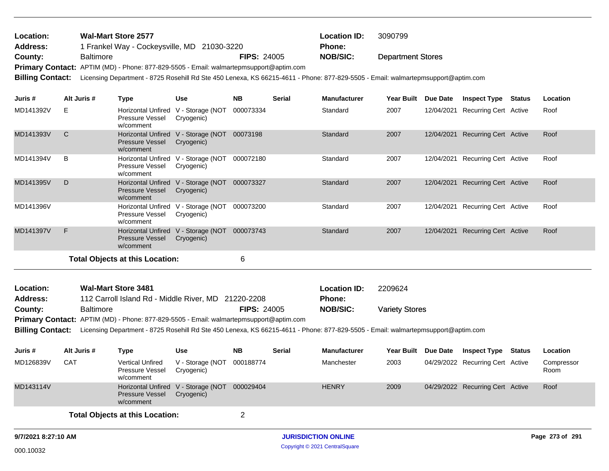| <b>Location:</b> | <b>Wal-Mart Store 2577</b>                                                             |                    | <b>Location ID:</b> | 3090799                  |
|------------------|----------------------------------------------------------------------------------------|--------------------|---------------------|--------------------------|
| Address:         | 1 Frankel Way - Cockeysville, MD 21030-3220                                            |                    | <b>Phone:</b>       |                          |
| County:          | <b>Baltimore</b>                                                                       | <b>FIPS: 24005</b> | NOB/SIC:            | <b>Department Stores</b> |
|                  | Primary Contact: APTIM (MD) - Phone: 877-829-5505 - Email: walmartepmsupport@aptim.com |                    |                     |                          |

**Billing Contact:** Licensing Department - 8725 Rosehill Rd Ste 450 Lenexa, KS 66215-4611 - Phone: 877-829-5505 - Email: walmartepmsupport@aptim.com

| Juris #   | Alt Juris # | Type                                                             | <b>Use</b>                     | <b>NB</b> | <b>Serial</b> | <b>Manufacturer</b> | <b>Year Built</b> | <b>Due Date</b> | <b>Inspect Type</b>          | Status | Location |
|-----------|-------------|------------------------------------------------------------------|--------------------------------|-----------|---------------|---------------------|-------------------|-----------------|------------------------------|--------|----------|
| MD141392V | E.          | Horizontal Unfired<br>Pressure Vessel<br>w/comment               | V - Storage (NOT<br>Cryogenic) | 000073334 |               | Standard            | 2007              | 12/04/2021      | <b>Recurring Cert Active</b> |        | Roof     |
| MD141393V | C           | <b>Horizontal Unfired</b><br><b>Pressure Vessel</b><br>w/comment | V - Storage (NOT<br>Cryogenic) | 00073198  |               | Standard            | 2007              | 12/04/2021      | <b>Recurring Cert Active</b> |        | Roof     |
| MD141394V | B           | Horizontal Unfired<br><b>Pressure Vessel</b><br>w/comment        | V - Storage (NOT<br>Cryogenic) | 000072180 |               | Standard            | 2007              | 12/04/2021      | <b>Recurring Cert Active</b> |        | Roof     |
| MD141395V | D           | <b>Horizontal Unfired</b><br><b>Pressure Vessel</b><br>w/comment | V - Storage (NOT<br>Cryogenic) | 000073327 |               | Standard            | 2007              | 12/04/2021      | <b>Recurring Cert Active</b> |        | Roof     |
| MD141396V |             | Horizontal Unfired<br><b>Pressure Vessel</b><br>w/comment        | V - Storage (NOT<br>Cryogenic) | 000073200 |               | Standard            | 2007              | 12/04/2021      | Recurring Cert Active        |        | Roof     |
| MD141397V | F.          | <b>Horizontal Unfired</b><br><b>Pressure Vessel</b><br>w/comment | V - Storage (NOT<br>Cryogenic) | 000073743 |               | Standard            | 2007              | 12/04/2021      | <b>Recurring Cert Active</b> |        | Roof     |
|           |             | Tatel Ohiosto at this Location:                                  |                                | c         |               |                     |                   |                 |                              |        |          |

**Total Objects at this Location:** 6

| <b>Location:</b> | <b>Wal-Mart Store 3481</b>                                                                    |                    | <b>Location ID:</b> | 2209624               |
|------------------|-----------------------------------------------------------------------------------------------|--------------------|---------------------|-----------------------|
| Address:         | 112 Carroll Island Rd - Middle River, MD 21220-2208                                           |                    | <b>Phone:</b>       |                       |
| County:          | <b>Baltimore</b>                                                                              | <b>FIPS: 24005</b> | NOB/SIC:            | <b>Variety Stores</b> |
|                  | <b>Primary Contact:</b> APTIM (MD) - Phone: 877-829-5505 - Email: walmartepmsupport@aptim.com |                    |                     |                       |

**Billing Contact:** Licensing Department - 8725 Rosehill Rd Ste 450 Lenexa, KS 66215-4611 - Phone: 877-829-5505 - Email: walmartepmsupport@aptim.com

| Juris #   | Alt Juris # | Type                                                                | Use                            | <b>NB</b> | <b>Serial</b> | <b>Manufacturer</b> | Year Built Due Date | <b>Inspect Type Status</b>       | Location           |
|-----------|-------------|---------------------------------------------------------------------|--------------------------------|-----------|---------------|---------------------|---------------------|----------------------------------|--------------------|
| MD126839V | <b>CAT</b>  | <b>Vertical Unfired</b><br>Pressure Vessel<br>w/comment             | V - Storage (NOT<br>Cryogenic) | 000188774 |               | Manchester          | 2003                | 04/29/2022 Recurring Cert Active | Compressor<br>Room |
| MD143114V |             | Horizontal Unfired V - Storage (NOT<br>Pressure Vessel<br>w/comment | Cryogenic)                     | 000029404 |               | <b>HENRY</b>        | 2009                | 04/29/2022 Recurring Cert Active | Roof               |
|           |             |                                                                     |                                |           |               |                     |                     |                                  |                    |

**Total Objects at this Location:** 2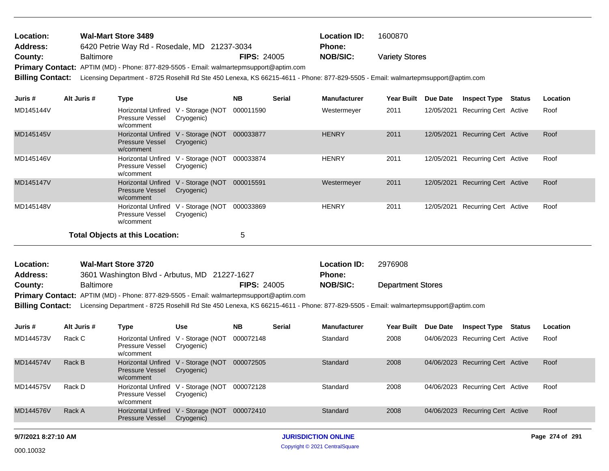| <b>Location:</b> | <b>Wal-Mart Store 3489</b>                                                             |                    | <b>Location ID:</b> | 1600870               |
|------------------|----------------------------------------------------------------------------------------|--------------------|---------------------|-----------------------|
| <b>Address:</b>  | 6420 Petrie Way Rd - Rosedale, MD 21237-3034                                           |                    | <b>Phone:</b>       |                       |
| County:          | <b>Baltimore</b>                                                                       | <b>FIPS: 24005</b> | <b>NOB/SIC:</b>     | <b>Variety Stores</b> |
|                  | Primary Contact: APTIM (MD) - Phone: 877-829-5505 - Email: walmartepmsupport@aptim.com |                    |                     |                       |

**Billing Contact:** Licensing Department - 8725 Rosehill Rd Ste 450 Lenexa, KS 66215-4611 - Phone: 877-829-5505 - Email: walmartepmsupport@aptim.com

| Juris #   | Alt Juris # | Type                                                                       | <b>Use</b>                     | <b>NB</b> | <b>Serial</b> | <b>Manufacturer</b> | Year Built | <b>Due Date</b> | <b>Inspect Type</b>          | Status | <b>Location</b> |
|-----------|-------------|----------------------------------------------------------------------------|--------------------------------|-----------|---------------|---------------------|------------|-----------------|------------------------------|--------|-----------------|
| MD145144V |             | Horizontal Unfired<br>Pressure Vessel<br>w/comment                         | V - Storage (NOT<br>Cryogenic) | 000011590 |               | Westermeyer         | 2011       | 12/05/2021      | Recurring Cert Active        |        | Roof            |
| MD145145V |             | Horizontal Unfired V - Storage (NOT<br><b>Pressure Vessel</b><br>w/comment | Cryogenic)                     | 000033877 |               | <b>HENRY</b>        | 2011       | 12/05/2021      | Recurring Cert Active        |        | Roof            |
| MD145146V |             | Horizontal Unfired<br><b>Pressure Vessel</b><br>w/comment                  | V - Storage (NOT<br>Cryogenic) | 000033874 |               | <b>HENRY</b>        | 2011       | 12/05/2021      | <b>Recurring Cert Active</b> |        | Roof            |
| MD145147V |             | Horizontal Unfired V - Storage (NOT<br><b>Pressure Vessel</b><br>w/comment | Cryogenic)                     | 000015591 |               | Westermeyer         | 2011       | 12/05/2021      | <b>Recurring Cert Active</b> |        | Roof            |
| MD145148V |             | Horizontal Unfired<br>Pressure Vessel<br>w/comment                         | V - Storage (NOT<br>Cryogenic) | 000033869 |               | <b>HENRY</b>        | 2011       | 12/05/2021      | Recurring Cert Active        |        | Roof            |
|           |             | Total Objects at this Location:                                            |                                | 5         |               |                     |            |                 |                              |        |                 |

| <b>Location:</b> | <b>Wal-Mart Store 3720</b>                                                             |                    | <b>Location ID:</b> | 2976908                  |
|------------------|----------------------------------------------------------------------------------------|--------------------|---------------------|--------------------------|
| <b>Address:</b>  | 3601 Washington Blvd - Arbutus, MD 21227-1627                                          |                    | <b>Phone:</b>       |                          |
| County:          | <b>Baltimore</b>                                                                       | <b>FIPS: 24005</b> | NOB/SIC:            | <b>Department Stores</b> |
|                  | Primary Contact: APTIM (MD) - Phone: 877-829-5505 - Email: walmartepmsupport@aptim.com |                    |                     |                          |

**Billing Contact:** Licensing Department - 8725 Rosehill Rd Ste 450 Lenexa, KS 66215-4611 - Phone: 877-829-5505 - Email: walmartepmsupport@aptim.com

| Alt Juris # | Type                                | Use        | <b>NB</b>                                                                                                                                                                            | <b>Serial</b> | <b>Manufacturer</b> | <b>Year Built</b> | Due Date | <b>Inspect Type</b> | Status     | Location                                                                                                                                 |
|-------------|-------------------------------------|------------|--------------------------------------------------------------------------------------------------------------------------------------------------------------------------------------|---------------|---------------------|-------------------|----------|---------------------|------------|------------------------------------------------------------------------------------------------------------------------------------------|
| Rack C      | Pressure Vessel<br>w/comment        |            | 000072148                                                                                                                                                                            |               | Standard            | 2008              |          |                     |            | Roof                                                                                                                                     |
| Rack B      | <b>Pressure Vessel</b><br>w/comment | Cryogenic) | 000072505                                                                                                                                                                            |               | Standard            | 2008              |          |                     |            | Roof                                                                                                                                     |
| Rack D      | Pressure Vessel<br>w/comment        |            | 000072128                                                                                                                                                                            |               | Standard            | 2008              |          |                     |            | Roof                                                                                                                                     |
| Rack A      | <b>Pressure Vessel</b>              | Cryogenic) | 000072410                                                                                                                                                                            |               | Standard            | 2008              |          |                     |            | Roof                                                                                                                                     |
|             |                                     |            | Horizontal Unfired V - Storage (NOT<br>Cryogenic)<br>Horizontal Unfired V - Storage (NOT<br>Horizontal Unfired V - Storage (NOT<br>Cryogenic)<br>Horizontal Unfired V - Storage (NOT |               |                     |                   |          |                     | 04/06/2023 | 04/06/2023 Recurring Cert Active<br>04/06/2023 Recurring Cert Active<br>04/06/2023 Recurring Cert Active<br><b>Recurring Cert Active</b> |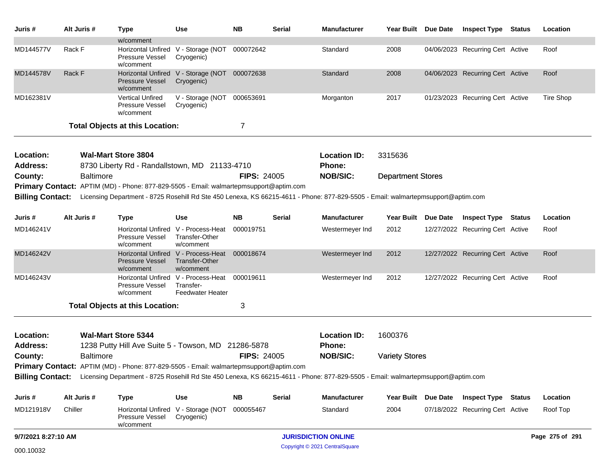| Juris #                 | Alt Juris #      | <b>Type</b>                                                                                                                                       | Use                                                                         | <b>NB</b>          | <b>Serial</b> | <b>Manufacturer</b>            | Year Built Due Date      | <b>Inspect Type Status</b>              | Location        |
|-------------------------|------------------|---------------------------------------------------------------------------------------------------------------------------------------------------|-----------------------------------------------------------------------------|--------------------|---------------|--------------------------------|--------------------------|-----------------------------------------|-----------------|
| MD144577V               | Rack F           | w/comment                                                                                                                                         | Horizontal Unfired V - Storage (NOT                                         | 000072642          |               | Standard                       | 2008                     | 04/06/2023 Recurring Cert Active        | Roof            |
|                         |                  | Pressure Vessel<br>w/comment                                                                                                                      | Cryogenic)                                                                  |                    |               |                                |                          |                                         |                 |
| MD144578V               | Rack F           | Pressure Vessel<br>w/comment                                                                                                                      | Horizontal Unfired V - Storage (NOT 000072638<br>Cryogenic)                 |                    |               | Standard                       | 2008                     | 04/06/2023 Recurring Cert Active        | Roof            |
| MD162381V               |                  | <b>Vertical Unfired</b><br>Pressure Vessel<br>w/comment                                                                                           | V - Storage (NOT<br>Cryogenic)                                              | 000653691          |               | Morganton                      | 2017                     | 01/23/2023 Recurring Cert Active        | Tire Shop       |
|                         |                  | <b>Total Objects at this Location:</b>                                                                                                            |                                                                             | 7                  |               |                                |                          |                                         |                 |
| Location:               |                  | <b>Wal-Mart Store 3804</b>                                                                                                                        |                                                                             |                    |               | <b>Location ID:</b>            | 3315636                  |                                         |                 |
| <b>Address:</b>         |                  | 8730 Liberty Rd - Randallstown, MD 21133-4710                                                                                                     |                                                                             |                    |               | <b>Phone:</b>                  |                          |                                         |                 |
| County:                 | <b>Baltimore</b> |                                                                                                                                                   |                                                                             | <b>FIPS: 24005</b> |               | <b>NOB/SIC:</b>                | <b>Department Stores</b> |                                         |                 |
|                         |                  | Primary Contact: APTIM (MD) - Phone: 877-829-5505 - Email: walmartepmsupport@aptim.com                                                            |                                                                             |                    |               |                                |                          |                                         |                 |
| <b>Billing Contact:</b> |                  | Licensing Department - 8725 Rosehill Rd Ste 450 Lenexa, KS 66215-4611 - Phone: 877-829-5505 - Email: walmartepmsupport@aptim.com                  |                                                                             |                    |               |                                |                          |                                         |                 |
| Juris #                 | Alt Juris #      | <b>Type</b>                                                                                                                                       | <b>Use</b>                                                                  | <b>NB</b>          | <b>Serial</b> | <b>Manufacturer</b>            | Year Built Due Date      | <b>Inspect Type Status</b>              | Location        |
| MD146241V               |                  | <b>Pressure Vessel</b><br>w/comment                                                                                                               | Horizontal Unfired V - Process-Heat<br>Transfer-Other<br>w/comment          | 000019751          |               | Westermeyer Ind                | 2012                     | 12/27/2022 Recurring Cert Active        | Roof            |
| MD146242V               |                  | <b>Pressure Vessel</b><br>w/comment                                                                                                               | Horizontal Unfired V - Process-Heat<br>Transfer-Other<br>w/comment          | 000018674          |               | Westermeyer Ind                | 2012                     | 12/27/2022 Recurring Cert Active        | Roof            |
| MD146243V               |                  | <b>Pressure Vessel</b><br>w/comment                                                                                                               | Horizontal Unfired V - Process-Heat<br>Transfer-<br><b>Feedwater Heater</b> | 000019611          |               | Westermeyer Ind                | 2012                     | 12/27/2022 Recurring Cert Active        | Roof            |
|                         |                  | <b>Total Objects at this Location:</b>                                                                                                            |                                                                             | 3                  |               |                                |                          |                                         |                 |
| Location:               |                  | <b>Wal-Mart Store 5344</b>                                                                                                                        |                                                                             |                    |               | <b>Location ID:</b>            | 1600376                  |                                         |                 |
| <b>Address:</b>         |                  | 1238 Putty Hill Ave Suite 5 - Towson, MD 21286-5878                                                                                               |                                                                             |                    |               | Phone:                         |                          |                                         |                 |
| County:                 | <b>Baltimore</b> |                                                                                                                                                   |                                                                             | <b>FIPS: 24005</b> |               | <b>NOB/SIC:</b>                | <b>Variety Stores</b>    |                                         |                 |
|                         |                  | Primary Contact: APTIM (MD) - Phone: 877-829-5505 - Email: walmartepmsupport@aptim.com                                                            |                                                                             |                    |               |                                |                          |                                         |                 |
|                         |                  | Billing Contact: Licensing Department - 8725 Rosehill Rd Ste 450 Lenexa, KS 66215-4611 - Phone: 877-829-5505 - Email: walmartepmsupport@aptim.com |                                                                             |                    |               |                                |                          |                                         |                 |
| Juris #                 | Alt Juris #      | Type                                                                                                                                              | Use                                                                         | <b>NB</b>          | <b>Serial</b> | <b>Manufacturer</b>            |                          | Year Built Due Date Inspect Type Status | Location        |
| MD121918V               | Chiller          | Pressure Vessel<br>w/comment                                                                                                                      | Horizontal Unfired V - Storage (NOT<br>Cryogenic)                           | 000055467          |               | Standard                       | 2004                     | 07/18/2022 Recurring Cert Active        | Roof Top        |
| 9/7/2021 8:27:10 AM     |                  |                                                                                                                                                   |                                                                             |                    |               | <b>JURISDICTION ONLINE</b>     |                          |                                         | Page 275 of 291 |
| 000.10032               |                  |                                                                                                                                                   |                                                                             |                    |               | Copyright © 2021 CentralSquare |                          |                                         |                 |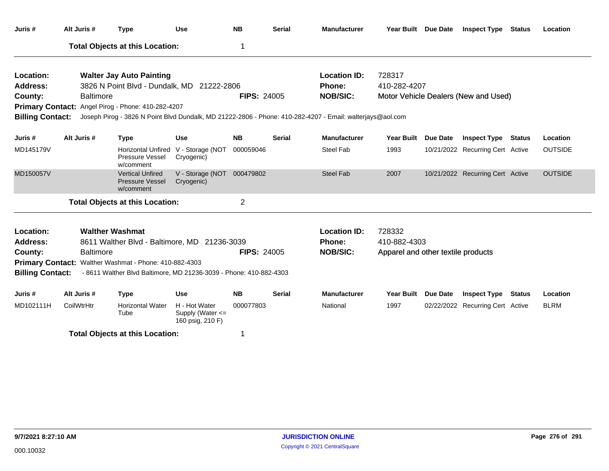| Juris #                 | Alt Juris #      | <b>Type</b>                                                        | <b>Use</b>                                            | <b>NB</b>          | <b>Serial</b> | <b>Manufacturer</b>                                                                                       | Year Built Due Date                |                 | <b>Inspect Type Status</b>           |               | Location       |
|-------------------------|------------------|--------------------------------------------------------------------|-------------------------------------------------------|--------------------|---------------|-----------------------------------------------------------------------------------------------------------|------------------------------------|-----------------|--------------------------------------|---------------|----------------|
|                         |                  | <b>Total Objects at this Location:</b>                             |                                                       | 1                  |               |                                                                                                           |                                    |                 |                                      |               |                |
| Location:               |                  | <b>Walter Jay Auto Painting</b>                                    |                                                       |                    |               | <b>Location ID:</b>                                                                                       | 728317                             |                 |                                      |               |                |
| <b>Address:</b>         |                  | 3826 N Point Blvd - Dundalk, MD 21222-2806                         |                                                       |                    |               | Phone:                                                                                                    | 410-282-4207                       |                 |                                      |               |                |
| County:                 | <b>Baltimore</b> |                                                                    |                                                       | <b>FIPS: 24005</b> |               | <b>NOB/SIC:</b>                                                                                           |                                    |                 | Motor Vehicle Dealers (New and Used) |               |                |
|                         |                  | Primary Contact: Angel Pirog - Phone: 410-282-4207                 |                                                       |                    |               |                                                                                                           |                                    |                 |                                      |               |                |
| <b>Billing Contact:</b> |                  |                                                                    |                                                       |                    |               | Joseph Pirog - 3826 N Point Blvd Dundalk, MD 21222-2806 - Phone: 410-282-4207 - Email: walterjays@aol.com |                                    |                 |                                      |               |                |
| Juris #                 | Alt Juris #      | <b>Type</b>                                                        | <b>Use</b>                                            | <b>NB</b>          | <b>Serial</b> | <b>Manufacturer</b>                                                                                       | Year Built Due Date                |                 | <b>Inspect Type</b>                  | <b>Status</b> | Location       |
| MD145179V               |                  | <b>Horizontal Unfired</b><br>Pressure Vessel<br>w/comment          | V - Storage (NOT<br>Cryogenic)                        | 000059046          |               | Steel Fab                                                                                                 | 1993                               |                 | 10/21/2022 Recurring Cert Active     |               | <b>OUTSIDE</b> |
| MD150057V               |                  | <b>Vertical Unfired</b><br><b>Pressure Vessel</b><br>w/comment     | V - Storage (NOT<br>Cryogenic)                        | 000479802          |               | <b>Steel Fab</b>                                                                                          | 2007                               |                 | 10/21/2022 Recurring Cert Active     |               | <b>OUTSIDE</b> |
|                         |                  | <b>Total Objects at this Location:</b>                             |                                                       | 2                  |               |                                                                                                           |                                    |                 |                                      |               |                |
| Location:               |                  | <b>Walther Washmat</b>                                             |                                                       |                    |               | <b>Location ID:</b>                                                                                       | 728332                             |                 |                                      |               |                |
| <b>Address:</b>         |                  | 8611 Walther Blvd - Baltimore, MD 21236-3039                       |                                                       |                    |               | Phone:                                                                                                    | 410-882-4303                       |                 |                                      |               |                |
| County:                 | <b>Baltimore</b> |                                                                    |                                                       | <b>FIPS: 24005</b> |               | <b>NOB/SIC:</b>                                                                                           | Apparel and other textile products |                 |                                      |               |                |
|                         |                  | Primary Contact: Walther Washmat - Phone: 410-882-4303             |                                                       |                    |               |                                                                                                           |                                    |                 |                                      |               |                |
| <b>Billing Contact:</b> |                  | - 8611 Walther Blvd Baltimore, MD 21236-3039 - Phone: 410-882-4303 |                                                       |                    |               |                                                                                                           |                                    |                 |                                      |               |                |
| Juris #                 | Alt Juris #      | <b>Type</b>                                                        | Use                                                   | <b>NB</b>          | <b>Serial</b> | <b>Manufacturer</b>                                                                                       | <b>Year Built</b>                  | <b>Due Date</b> | <b>Inspect Type</b>                  | Status        | Location       |
| MD102111H               | CoilWtrHtr       | <b>Horizontal Water</b><br>Tube                                    | H - Hot Water<br>Supply (Water <=<br>160 psig, 210 F) | 000077803          |               | National                                                                                                  | 1997                               |                 | 02/22/2022 Recurring Cert Active     |               | <b>BLRM</b>    |
|                         |                  | <b>Total Objects at this Location:</b>                             |                                                       | 1                  |               |                                                                                                           |                                    |                 |                                      |               |                |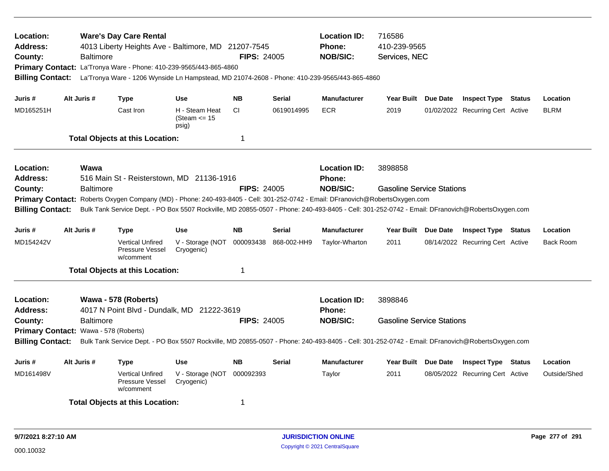| Location:<br><b>Address:</b><br>County:<br><b>Billing Contact:</b> | <b>Baltimore</b> | <b>Ware's Day Care Rental</b><br>4013 Liberty Heights Ave - Baltimore, MD 21207-7545<br>Primary Contact: La'Tronya Ware - Phone: 410-239-9565/443-865-4860 |                                             | <b>FIPS: 24005</b> |               | <b>Location ID:</b><br>Phone:<br><b>NOB/SIC:</b><br>La'Tronya Ware - 1206 Wynside Ln Hampstead, MD 21074-2608 - Phone: 410-239-9565/443-865-4860                                                                                                                                   | 716586<br>410-239-9565<br>Services, NEC |                 |                                  |                  |
|--------------------------------------------------------------------|------------------|------------------------------------------------------------------------------------------------------------------------------------------------------------|---------------------------------------------|--------------------|---------------|------------------------------------------------------------------------------------------------------------------------------------------------------------------------------------------------------------------------------------------------------------------------------------|-----------------------------------------|-----------------|----------------------------------|------------------|
| Juris #                                                            | Alt Juris #      | Type                                                                                                                                                       | <b>Use</b>                                  | <b>NB</b>          | <b>Serial</b> | <b>Manufacturer</b>                                                                                                                                                                                                                                                                | Year Built Due Date                     |                 | <b>Inspect Type Status</b>       | Location         |
| MD165251H                                                          |                  | Cast Iron                                                                                                                                                  | H - Steam Heat<br>(Steam $\leq$ 15<br>psig) | <b>CI</b>          | 0619014995    | <b>ECR</b>                                                                                                                                                                                                                                                                         | 2019                                    |                 | 01/02/2022 Recurring Cert Active | <b>BLRM</b>      |
|                                                                    |                  | <b>Total Objects at this Location:</b>                                                                                                                     |                                             | $\mathbf 1$        |               |                                                                                                                                                                                                                                                                                    |                                         |                 |                                  |                  |
| Location:<br>Address:                                              | Wawa             | 516 Main St - Reisterstown, MD 21136-1916                                                                                                                  |                                             |                    |               | <b>Location ID:</b><br><b>Phone:</b>                                                                                                                                                                                                                                               | 3898858                                 |                 |                                  |                  |
| County:<br><b>Primary Contact:</b><br><b>Billing Contact:</b>      | <b>Baltimore</b> |                                                                                                                                                            |                                             | <b>FIPS: 24005</b> |               | <b>NOB/SIC:</b><br>Roberts Oxygen Company (MD) - Phone: 240-493-8405 - Cell: 301-252-0742 - Email: DFranovich@RobertsOxygen.com<br>Bulk Tank Service Dept. - PO Box 5507 Rockville, MD 20855-0507 - Phone: 240-493-8405 - Cell: 301-252-0742 - Email: DFranovich@RobertsOxygen.com | <b>Gasoline Service Stations</b>        |                 |                                  |                  |
| Juris #                                                            | Alt Juris #      | Type                                                                                                                                                       | <b>Use</b>                                  | <b>NB</b>          | <b>Serial</b> | <b>Manufacturer</b>                                                                                                                                                                                                                                                                | Year Built Due Date                     |                 | <b>Inspect Type Status</b>       | Location         |
| MD154242V                                                          |                  | <b>Vertical Unfired</b><br>Pressure Vessel<br>w/comment                                                                                                    | V - Storage (NOT<br>Cryogenic)              | 000093438          | 868-002-HH9   | Taylor-Wharton                                                                                                                                                                                                                                                                     | 2011                                    |                 | 08/14/2022 Recurring Cert Active | <b>Back Room</b> |
|                                                                    |                  | <b>Total Objects at this Location:</b>                                                                                                                     |                                             | $\mathbf 1$        |               |                                                                                                                                                                                                                                                                                    |                                         |                 |                                  |                  |
| Location:<br>Address:                                              |                  | Wawa - 578 (Roberts)<br>4017 N Point Blvd - Dundalk, MD 21222-3619                                                                                         |                                             |                    |               | <b>Location ID:</b><br><b>Phone:</b>                                                                                                                                                                                                                                               | 3898846                                 |                 |                                  |                  |
| County:<br>Primary Contact: Wawa - 578 (Roberts)                   | <b>Baltimore</b> |                                                                                                                                                            |                                             | <b>FIPS: 24005</b> |               | <b>NOB/SIC:</b>                                                                                                                                                                                                                                                                    | <b>Gasoline Service Stations</b>        |                 |                                  |                  |
| <b>Billing Contact:</b>                                            |                  |                                                                                                                                                            |                                             |                    |               | Bulk Tank Service Dept. - PO Box 5507 Rockville, MD 20855-0507 - Phone: 240-493-8405 - Cell: 301-252-0742 - Email: DFranovich@RobertsOxygen.com                                                                                                                                    |                                         |                 |                                  |                  |
| Juris #                                                            | Alt Juris #      | Type                                                                                                                                                       | Use                                         | <b>NB</b>          | <b>Serial</b> | <b>Manufacturer</b>                                                                                                                                                                                                                                                                | <b>Year Built</b>                       | <b>Due Date</b> | <b>Inspect Type Status</b>       | Location         |
| MD161498V                                                          |                  | <b>Vertical Unfired</b><br><b>Pressure Vessel</b><br>w/comment                                                                                             | V - Storage (NOT<br>Cryogenic)              | 000092393          |               | Taylor                                                                                                                                                                                                                                                                             | 2011                                    |                 | 08/05/2022 Recurring Cert Active | Outside/Shed     |
|                                                                    |                  | <b>Total Objects at this Location:</b>                                                                                                                     |                                             | 1                  |               |                                                                                                                                                                                                                                                                                    |                                         |                 |                                  |                  |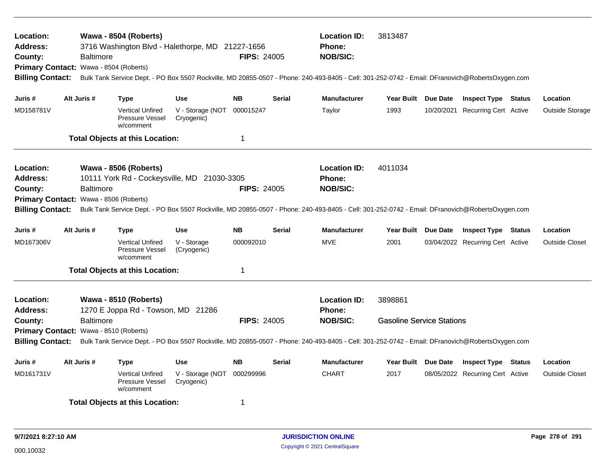| Location:<br>Address:<br>County:<br>Primary Contact: Wawa - 8504 (Roberts)<br><b>Billing Contact:</b>        |             | <b>Baltimore</b> | Wawa - 8504 (Roberts)<br>3716 Washington Blvd - Halethorpe, MD 21227-1656                     |                                | <b>FIPS: 24005</b> |               | <b>Location ID:</b><br><b>Phone:</b><br><b>NOB/SIC:</b><br>Bulk Tank Service Dept. - PO Box 5507 Rockville, MD 20855-0507 - Phone: 240-493-8405 - Cell: 301-252-0742 - Email: DFranovich@RobertsOxygen.com | 3813487                                     |                                  |                       |
|--------------------------------------------------------------------------------------------------------------|-------------|------------------|-----------------------------------------------------------------------------------------------|--------------------------------|--------------------|---------------|------------------------------------------------------------------------------------------------------------------------------------------------------------------------------------------------------------|---------------------------------------------|----------------------------------|-----------------------|
| Juris #                                                                                                      | Alt Juris # |                  | Type                                                                                          | <b>Use</b>                     | <b>NB</b>          | <b>Serial</b> | <b>Manufacturer</b>                                                                                                                                                                                        | Year Built Due Date                         | <b>Inspect Type Status</b>       | Location              |
| MD158781V                                                                                                    |             |                  | <b>Vertical Unfired</b><br>Pressure Vessel<br>w/comment                                       | V - Storage (NOT<br>Cryogenic) | 000015247          |               | Taylor                                                                                                                                                                                                     | 1993                                        | 10/20/2021 Recurring Cert Active | Outside Storage       |
|                                                                                                              |             |                  | <b>Total Objects at this Location:</b>                                                        |                                | $\mathbf 1$        |               |                                                                                                                                                                                                            |                                             |                                  |                       |
| Location:<br><b>Address:</b><br>County:<br><b>Primary Contact:</b><br><b>Billing Contact:</b>                |             | Baltimore        | Wawa - 8506 (Roberts)<br>10111 York Rd - Cockeysville, MD 21030-3305<br>Wawa - 8506 (Roberts) |                                | <b>FIPS: 24005</b> |               | <b>Location ID:</b><br>Phone:<br><b>NOB/SIC:</b><br>Bulk Tank Service Dept. - PO Box 5507 Rockville, MD 20855-0507 - Phone: 240-493-8405 - Cell: 301-252-0742 - Email: DFranovich@RobertsOxygen.com        | 4011034                                     |                                  |                       |
| Juris #                                                                                                      | Alt Juris # |                  | Type                                                                                          | <b>Use</b>                     | <b>NB</b>          | <b>Serial</b> | <b>Manufacturer</b>                                                                                                                                                                                        | Year Built Due Date                         | <b>Inspect Type Status</b>       | Location              |
| MD167306V                                                                                                    |             |                  | <b>Vertical Unfired</b><br>Pressure Vessel<br>w/comment                                       | V - Storage<br>(Cryogenic)     | 000092010          |               | <b>MVE</b>                                                                                                                                                                                                 | 2001                                        | 03/04/2022 Recurring Cert Active | <b>Outside Closet</b> |
|                                                                                                              |             |                  | <b>Total Objects at this Location:</b>                                                        |                                | 1                  |               |                                                                                                                                                                                                            |                                             |                                  |                       |
| Location:<br><b>Address:</b><br>County:<br>Primary Contact: Wawa - 8510 (Roberts)<br><b>Billing Contact:</b> |             | <b>Baltimore</b> | Wawa - 8510 (Roberts)<br>1270 E Joppa Rd - Towson, MD 21286                                   |                                | <b>FIPS: 24005</b> |               | <b>Location ID:</b><br><b>Phone:</b><br><b>NOB/SIC:</b><br>Bulk Tank Service Dept. - PO Box 5507 Rockville, MD 20855-0507 - Phone: 240-493-8405 - Cell: 301-252-0742 - Email: DFranovich@RobertsOxygen.com | 3898861<br><b>Gasoline Service Stations</b> |                                  |                       |
| Juris #                                                                                                      | Alt Juris # |                  | Type                                                                                          | <b>Use</b>                     | <b>NB</b>          | <b>Serial</b> | <b>Manufacturer</b>                                                                                                                                                                                        | Year Built Due Date                         | <b>Inspect Type Status</b>       | Location              |
| MD161731V                                                                                                    |             |                  | <b>Vertical Unfired</b><br>Pressure Vessel<br>w/comment                                       | V - Storage (NOT<br>Cryogenic) | 000299996          |               | <b>CHART</b>                                                                                                                                                                                               | 2017                                        | 08/05/2022 Recurring Cert Active | <b>Outside Closet</b> |
|                                                                                                              |             |                  | <b>Total Objects at this Location:</b>                                                        |                                | -1                 |               |                                                                                                                                                                                                            |                                             |                                  |                       |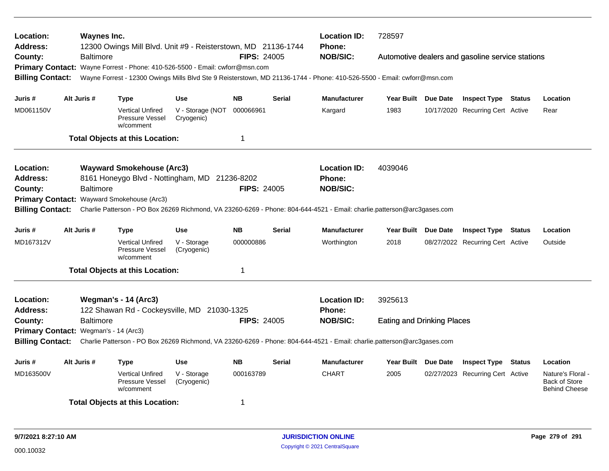| Location:<br><b>Address:</b>               |             | <b>Waynes Inc.</b> | 12300 Owings Mill Blvd. Unit #9 - Reisterstown, MD 21136-1744                |                                |                    |               | <b>Location ID:</b><br>Phone:                                                                                           | 728597                            |                                                  |        |                                                                   |
|--------------------------------------------|-------------|--------------------|------------------------------------------------------------------------------|--------------------------------|--------------------|---------------|-------------------------------------------------------------------------------------------------------------------------|-----------------------------------|--------------------------------------------------|--------|-------------------------------------------------------------------|
| County:                                    |             | <b>Baltimore</b>   |                                                                              |                                | <b>FIPS: 24005</b> |               | <b>NOB/SIC:</b>                                                                                                         |                                   | Automotive dealers and gasoline service stations |        |                                                                   |
|                                            |             |                    | Primary Contact: Wayne Forrest - Phone: 410-526-5500 - Email: cwforr@msn.com |                                |                    |               |                                                                                                                         |                                   |                                                  |        |                                                                   |
| <b>Billing Contact:</b>                    |             |                    |                                                                              |                                |                    |               | Wayne Forrest - 12300 Owings Mills Blvd Ste 9 Reisterstown, MD 21136-1744 - Phone: 410-526-5500 - Email: cwforr@msn.com |                                   |                                                  |        |                                                                   |
| Juris #                                    | Alt Juris # |                    | Type                                                                         | <b>Use</b>                     | <b>NB</b>          | <b>Serial</b> | <b>Manufacturer</b>                                                                                                     | Year Built Due Date               | <b>Inspect Type Status</b>                       |        | Location                                                          |
| MD061150V                                  |             |                    | <b>Vertical Unfired</b><br>Pressure Vessel<br>w/comment                      | V - Storage (NOT<br>Cryogenic) | 000066961          |               | Kargard                                                                                                                 | 1983                              | 10/17/2020 Recurring Cert Active                 |        | Rear                                                              |
|                                            |             |                    | <b>Total Objects at this Location:</b>                                       |                                | 1                  |               |                                                                                                                         |                                   |                                                  |        |                                                                   |
| Location:                                  |             |                    | <b>Wayward Smokehouse (Arc3)</b>                                             |                                |                    |               | <b>Location ID:</b>                                                                                                     | 4039046                           |                                                  |        |                                                                   |
| <b>Address:</b>                            |             |                    | 8161 Honeygo Blvd - Nottingham, MD 21236-8202                                |                                |                    |               | <b>Phone:</b>                                                                                                           |                                   |                                                  |        |                                                                   |
| County:                                    |             | <b>Baltimore</b>   |                                                                              |                                | <b>FIPS: 24005</b> |               | <b>NOB/SIC:</b>                                                                                                         |                                   |                                                  |        |                                                                   |
| Primary Contact: Wayward Smokehouse (Arc3) |             |                    |                                                                              |                                |                    |               |                                                                                                                         |                                   |                                                  |        |                                                                   |
| <b>Billing Contact:</b>                    |             |                    |                                                                              |                                |                    |               | Charlie Patterson - PO Box 26269 Richmond, VA 23260-6269 - Phone: 804-644-4521 - Email: charlie.patterson@arc3gases.com |                                   |                                                  |        |                                                                   |
| Juris #                                    | Alt Juris # |                    | Type                                                                         | <b>Use</b>                     | <b>NB</b>          | <b>Serial</b> | <b>Manufacturer</b>                                                                                                     | Year Built Due Date               | <b>Inspect Type</b>                              | Status | Location                                                          |
| MD167312V                                  |             |                    | <b>Vertical Unfired</b><br>Pressure Vessel<br>w/comment                      | V - Storage<br>(Cryogenic)     | 000000886          |               | Worthington                                                                                                             | 2018                              | 08/27/2022 Recurring Cert Active                 |        | Outside                                                           |
|                                            |             |                    | <b>Total Objects at this Location:</b>                                       |                                | 1                  |               |                                                                                                                         |                                   |                                                  |        |                                                                   |
| Location:                                  |             |                    | Wegman's - 14 (Arc3)                                                         |                                |                    |               | <b>Location ID:</b>                                                                                                     | 3925613                           |                                                  |        |                                                                   |
| <b>Address:</b>                            |             |                    | 122 Shawan Rd - Cockeysville, MD 21030-1325                                  |                                |                    |               | Phone:                                                                                                                  |                                   |                                                  |        |                                                                   |
| County:                                    |             | <b>Baltimore</b>   |                                                                              |                                | <b>FIPS: 24005</b> |               | <b>NOB/SIC:</b>                                                                                                         | <b>Eating and Drinking Places</b> |                                                  |        |                                                                   |
| Primary Contact: Wegman's - 14 (Arc3)      |             |                    |                                                                              |                                |                    |               |                                                                                                                         |                                   |                                                  |        |                                                                   |
| <b>Billing Contact:</b>                    |             |                    |                                                                              |                                |                    |               | Charlie Patterson - PO Box 26269 Richmond, VA 23260-6269 - Phone: 804-644-4521 - Email: charlie.patterson@arc3gases.com |                                   |                                                  |        |                                                                   |
| Juris #                                    | Alt Juris # |                    | <b>Type</b>                                                                  | <b>Use</b>                     | <b>NB</b>          | <b>Serial</b> | <b>Manufacturer</b>                                                                                                     | Year Built Due Date               | <b>Inspect Type</b>                              | Status | Location                                                          |
| MD163500V                                  |             |                    | <b>Vertical Unfired</b><br>Pressure Vessel<br>w/comment                      | V - Storage<br>(Cryogenic)     | 000163789          |               | <b>CHART</b>                                                                                                            | 2005                              | 02/27/2023 Recurring Cert Active                 |        | Nature's Floral -<br><b>Back of Store</b><br><b>Behind Cheese</b> |
|                                            |             |                    | <b>Total Objects at this Location:</b>                                       |                                | -1                 |               |                                                                                                                         |                                   |                                                  |        |                                                                   |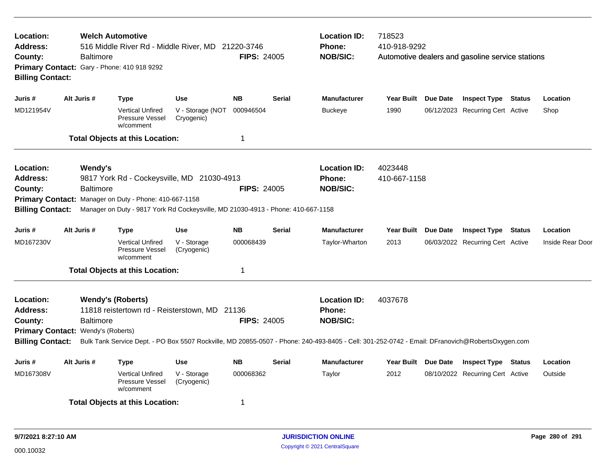| Location:<br>Address:<br>County:<br><b>Billing Contact:</b>                                              |  | <b>Welch Automotive</b><br><b>Baltimore</b>                                                                                                | 516 Middle River Rd - Middle River, MD 21220-3746<br>Primary Contact: Gary - Phone: 410 918 9292 |                                | <b>FIPS: 24005</b> |               | <b>Location ID:</b><br><b>Phone:</b><br><b>NOB/SIC:</b>                                                                                                                                                    | 718523<br>410-918-9292  | Automotive dealers and gasoline service stations |        |                  |
|----------------------------------------------------------------------------------------------------------|--|--------------------------------------------------------------------------------------------------------------------------------------------|--------------------------------------------------------------------------------------------------|--------------------------------|--------------------|---------------|------------------------------------------------------------------------------------------------------------------------------------------------------------------------------------------------------------|-------------------------|--------------------------------------------------|--------|------------------|
| Juris #                                                                                                  |  | Alt Juris #                                                                                                                                | <b>Type</b>                                                                                      | <b>Use</b>                     | <b>NB</b>          | <b>Serial</b> | <b>Manufacturer</b>                                                                                                                                                                                        | Year Built Due Date     | <b>Inspect Type Status</b>                       |        | Location         |
| MD121954V                                                                                                |  |                                                                                                                                            | <b>Vertical Unfired</b><br>Pressure Vessel<br>w/comment                                          | V - Storage (NOT<br>Cryogenic) | 000946504          |               | <b>Buckeye</b>                                                                                                                                                                                             | 1990                    | 06/12/2023 Recurring Cert Active                 |        | Shop             |
|                                                                                                          |  |                                                                                                                                            | <b>Total Objects at this Location:</b>                                                           |                                | 1                  |               |                                                                                                                                                                                                            |                         |                                                  |        |                  |
| Location:<br>Address:<br>County:                                                                         |  | Wendy's<br><b>Baltimore</b>                                                                                                                | 9817 York Rd - Cockeysville, MD 21030-4913                                                       |                                | <b>FIPS: 24005</b> |               | <b>Location ID:</b><br><b>Phone:</b><br><b>NOB/SIC:</b>                                                                                                                                                    | 4023448<br>410-667-1158 |                                                  |        |                  |
| <b>Billing Contact:</b>                                                                                  |  | Primary Contact: Manager on Duty - Phone: 410-667-1158<br>Manager on Duty - 9817 York Rd Cockeysville, MD 21030-4913 - Phone: 410-667-1158 |                                                                                                  |                                |                    |               |                                                                                                                                                                                                            |                         |                                                  |        |                  |
| Juris #                                                                                                  |  | Alt Juris #                                                                                                                                | <b>Type</b>                                                                                      | <b>Use</b>                     | <b>NB</b>          | <b>Serial</b> | <b>Manufacturer</b>                                                                                                                                                                                        | Year Built Due Date     | <b>Inspect Type Status</b>                       |        | Location         |
| MD167230V                                                                                                |  |                                                                                                                                            | <b>Vertical Unfired</b><br>Pressure Vessel<br>w/comment                                          | V - Storage<br>(Cryogenic)     | 000068439          |               | Taylor-Wharton                                                                                                                                                                                             | 2013                    | 06/03/2022 Recurring Cert Active                 |        | Inside Rear Door |
|                                                                                                          |  |                                                                                                                                            | <b>Total Objects at this Location:</b>                                                           |                                | 1                  |               |                                                                                                                                                                                                            |                         |                                                  |        |                  |
| Location:<br><b>Address:</b><br>County:<br>Primary Contact: Wendy's (Roberts)<br><b>Billing Contact:</b> |  | <b>Baltimore</b>                                                                                                                           | <b>Wendy's (Roberts)</b><br>11818 reistertown rd - Reisterstown, MD 21136                        |                                | <b>FIPS: 24005</b> |               | <b>Location ID:</b><br><b>Phone:</b><br><b>NOB/SIC:</b><br>Bulk Tank Service Dept. - PO Box 5507 Rockville, MD 20855-0507 - Phone: 240-493-8405 - Cell: 301-252-0742 - Email: DFranovich@RobertsOxygen.com | 4037678                 |                                                  |        |                  |
| Juris #                                                                                                  |  | Alt Juris #                                                                                                                                | <b>Type</b>                                                                                      | <b>Use</b>                     | <b>NB</b>          | <b>Serial</b> | <b>Manufacturer</b>                                                                                                                                                                                        | Year Built Due Date     | <b>Inspect Type</b>                              | Status | Location         |
| MD167308V                                                                                                |  |                                                                                                                                            | <b>Vertical Unfired</b><br>Pressure Vessel<br>w/comment                                          | V - Storage<br>(Cryogenic)     | 000068362          |               | Taylor                                                                                                                                                                                                     | 2012                    | 08/10/2022 Recurring Cert Active                 |        | Outside          |
|                                                                                                          |  |                                                                                                                                            | <b>Total Objects at this Location:</b>                                                           |                                | 1                  |               |                                                                                                                                                                                                            |                         |                                                  |        |                  |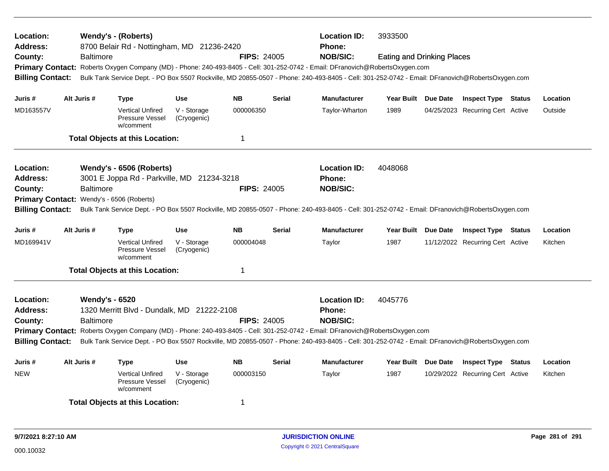| Location:<br><b>Address:</b><br>County:<br><b>Billing Contact:</b>        | <b>Baltimore</b> | <b>Wendy's - (Roberts)</b><br>8700 Belair Rd - Nottingham, MD 21236-2420                                            |                            | <b>FIPS: 24005</b> |               | <b>Location ID:</b><br><b>Phone:</b><br><b>NOB/SIC:</b><br>Primary Contact: Roberts Oxygen Company (MD) - Phone: 240-493-8405 - Cell: 301-252-0742 - Email: DFranovich@RobertsOxygen.com<br>Bulk Tank Service Dept. - PO Box 5507 Rockville, MD 20855-0507 - Phone: 240-493-8405 - Cell: 301-252-0742 - Email: DFranovich@RobertsOxygen.com | 3933500<br><b>Eating and Drinking Places</b> |                                  |          |
|---------------------------------------------------------------------------|------------------|---------------------------------------------------------------------------------------------------------------------|----------------------------|--------------------|---------------|---------------------------------------------------------------------------------------------------------------------------------------------------------------------------------------------------------------------------------------------------------------------------------------------------------------------------------------------|----------------------------------------------|----------------------------------|----------|
| Juris #                                                                   | Alt Juris #      | Type                                                                                                                | <b>Use</b>                 | <b>NB</b>          | <b>Serial</b> | <b>Manufacturer</b>                                                                                                                                                                                                                                                                                                                         | Year Built Due Date                          | <b>Inspect Type Status</b>       | Location |
| MD163557V                                                                 |                  | <b>Vertical Unfired</b><br>Pressure Vessel<br>w/comment                                                             | V - Storage<br>(Cryogenic) | 000006350          |               | Taylor-Wharton                                                                                                                                                                                                                                                                                                                              | 1989                                         | 04/25/2023 Recurring Cert Active | Outside  |
|                                                                           |                  | <b>Total Objects at this Location:</b>                                                                              |                            | $\overline{1}$     |               |                                                                                                                                                                                                                                                                                                                                             |                                              |                                  |          |
| <b>Location:</b><br><b>Address:</b><br>County:<br><b>Billing Contact:</b> | Baltimore        | Wendy's - 6506 (Roberts)<br>3001 E Joppa Rd - Parkville, MD 21234-3218<br>Primary Contact: Wendy's - 6506 (Roberts) |                            | <b>FIPS: 24005</b> |               | <b>Location ID:</b><br><b>Phone:</b><br><b>NOB/SIC:</b><br>Bulk Tank Service Dept. - PO Box 5507 Rockville, MD 20855-0507 - Phone: 240-493-8405 - Cell: 301-252-0742 - Email: DFranovich@RobertsOxygen.com                                                                                                                                  | 4048068                                      |                                  |          |
| Juris #                                                                   | Alt Juris #      | <b>Type</b>                                                                                                         | Use                        | <b>NB</b>          | <b>Serial</b> | <b>Manufacturer</b>                                                                                                                                                                                                                                                                                                                         | Year Built Due Date                          | <b>Inspect Type Status</b>       | Location |
| MD169941V                                                                 |                  | <b>Vertical Unfired</b><br><b>Pressure Vessel</b><br>w/comment                                                      | V - Storage<br>(Cryogenic) | 000004048          |               | Taylor                                                                                                                                                                                                                                                                                                                                      | 1987                                         | 11/12/2022 Recurring Cert Active | Kitchen  |
|                                                                           |                  | <b>Total Objects at this Location:</b>                                                                              |                            | $\overline{1}$     |               |                                                                                                                                                                                                                                                                                                                                             |                                              |                                  |          |
| Location:<br><b>Address:</b><br>County:<br><b>Billing Contact:</b>        | <b>Baltimore</b> | <b>Wendy's - 6520</b><br>1320 Merritt Blvd - Dundalk, MD 21222-2108                                                 |                            | <b>FIPS: 24005</b> |               | <b>Location ID:</b><br><b>Phone:</b><br><b>NOB/SIC:</b><br>Primary Contact: Roberts Oxygen Company (MD) - Phone: 240-493-8405 - Cell: 301-252-0742 - Email: DFranovich@RobertsOxygen.com<br>Bulk Tank Service Dept. - PO Box 5507 Rockville, MD 20855-0507 - Phone: 240-493-8405 - Cell: 301-252-0742 - Email: DFranovich@RobertsOxygen.com | 4045776                                      |                                  |          |
| Juris #                                                                   | Alt Juris #      | Type                                                                                                                | <b>Use</b>                 | <b>NB</b>          | <b>Serial</b> | <b>Manufacturer</b>                                                                                                                                                                                                                                                                                                                         | Year Built Due Date                          | <b>Inspect Type Status</b>       | Location |
| <b>NEW</b>                                                                |                  | <b>Vertical Unfired</b><br><b>Pressure Vessel</b><br>w/comment                                                      | V - Storage<br>(Cryogenic) | 000003150          |               | Taylor                                                                                                                                                                                                                                                                                                                                      | 1987                                         | 10/29/2022 Recurring Cert Active | Kitchen  |
|                                                                           |                  | <b>Total Objects at this Location:</b>                                                                              |                            | -1                 |               |                                                                                                                                                                                                                                                                                                                                             |                                              |                                  |          |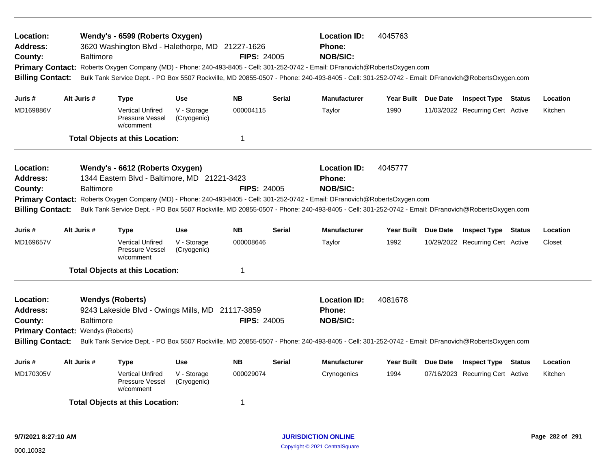| Location:<br><b>Address:</b><br>County:<br><b>Billing Contact:</b>                                             |             | <b>Baltimore</b>                            | Wendy's - 6599 (Roberts Oxygen)<br>3620 Washington Blvd - Halethorpe, MD 21227-1626 |                            | <b>FIPS: 24005</b> |               | <b>Location ID:</b><br><b>Phone:</b><br><b>NOB/SIC:</b><br>Primary Contact: Roberts Oxygen Company (MD) - Phone: 240-493-8405 - Cell: 301-252-0742 - Email: DFranovich@RobertsOxygen.com<br>Bulk Tank Service Dept. - PO Box 5507 Rockville, MD 20855-0507 - Phone: 240-493-8405 - Cell: 301-252-0742 - Email: DFranovich@RobertsOxygen.com | 4045763             |                                  |          |
|----------------------------------------------------------------------------------------------------------------|-------------|---------------------------------------------|-------------------------------------------------------------------------------------|----------------------------|--------------------|---------------|---------------------------------------------------------------------------------------------------------------------------------------------------------------------------------------------------------------------------------------------------------------------------------------------------------------------------------------------|---------------------|----------------------------------|----------|
| Juris #                                                                                                        | Alt Juris # |                                             | Type                                                                                | <b>Use</b>                 | <b>NB</b>          | <b>Serial</b> | <b>Manufacturer</b>                                                                                                                                                                                                                                                                                                                         | Year Built Due Date | <b>Inspect Type Status</b>       | Location |
| MD169886V                                                                                                      |             |                                             | <b>Vertical Unfired</b><br><b>Pressure Vessel</b><br>w/comment                      | V - Storage<br>(Cryogenic) | 000004115          |               | Taylor                                                                                                                                                                                                                                                                                                                                      | 1990                | 11/03/2022 Recurring Cert Active | Kitchen  |
|                                                                                                                |             |                                             | <b>Total Objects at this Location:</b>                                              |                            | -1                 |               |                                                                                                                                                                                                                                                                                                                                             |                     |                                  |          |
| Location:<br><b>Address:</b><br>County:<br><b>Billing Contact:</b>                                             |             | <b>Baltimore</b>                            | Wendy's - 6612 (Roberts Oxygen)<br>1344 Eastern Blvd - Baltimore, MD 21221-3423     |                            | <b>FIPS: 24005</b> |               | <b>Location ID:</b><br>Phone:<br><b>NOB/SIC:</b><br>Primary Contact: Roberts Oxygen Company (MD) - Phone: 240-493-8405 - Cell: 301-252-0742 - Email: DFranovich@RobertsOxygen.com<br>Bulk Tank Service Dept. - PO Box 5507 Rockville, MD 20855-0507 - Phone: 240-493-8405 - Cell: 301-252-0742 - Email: DFranovich@RobertsOxygen.com        | 4045777             |                                  |          |
| Juris #                                                                                                        | Alt Juris # |                                             | <b>Type</b>                                                                         | <b>Use</b>                 | <b>NB</b>          | <b>Serial</b> | <b>Manufacturer</b>                                                                                                                                                                                                                                                                                                                         | Year Built Due Date | <b>Inspect Type Status</b>       | Location |
| MD169657V                                                                                                      |             |                                             | <b>Vertical Unfired</b><br>Pressure Vessel<br>w/comment                             | V - Storage<br>(Cryogenic) | 000008646          |               | Taylor                                                                                                                                                                                                                                                                                                                                      | 1992                | 10/29/2022 Recurring Cert Active | Closet   |
|                                                                                                                |             |                                             | <b>Total Objects at this Location:</b>                                              |                            | $\overline{1}$     |               |                                                                                                                                                                                                                                                                                                                                             |                     |                                  |          |
| Location:<br><b>Address:</b><br>County:<br><b>Primary Contact: Wendys (Roberts)</b><br><b>Billing Contact:</b> |             | <b>Wendys (Roberts)</b><br><b>Baltimore</b> | 9243 Lakeside Blvd - Owings Mills, MD 21117-3859                                    |                            | <b>FIPS: 24005</b> |               | <b>Location ID:</b><br><b>Phone:</b><br><b>NOB/SIC:</b><br>Bulk Tank Service Dept. - PO Box 5507 Rockville, MD 20855-0507 - Phone: 240-493-8405 - Cell: 301-252-0742 - Email: DFranovich@RobertsOxygen.com                                                                                                                                  | 4081678             |                                  |          |
| Juris #                                                                                                        | Alt Juris # |                                             | <b>Type</b>                                                                         | <b>Use</b>                 | <b>NB</b>          | <b>Serial</b> | <b>Manufacturer</b>                                                                                                                                                                                                                                                                                                                         | Year Built Due Date | <b>Inspect Type Status</b>       | Location |
| MD170305V                                                                                                      |             |                                             | <b>Vertical Unfired</b><br>Pressure Vessel<br>w/comment                             | V - Storage<br>(Cryogenic) | 000029074          |               | Crynogenics                                                                                                                                                                                                                                                                                                                                 | 1994                | 07/16/2023 Recurring Cert Active | Kitchen  |
|                                                                                                                |             |                                             | <b>Total Objects at this Location:</b>                                              |                            | -1                 |               |                                                                                                                                                                                                                                                                                                                                             |                     |                                  |          |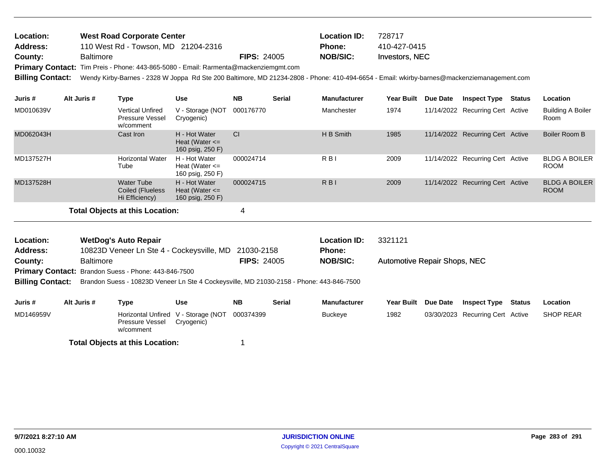| <b>Location:</b> | <b>West Road Corporate Center</b>   |                    | <b>Location ID:</b> | 728717                |
|------------------|-------------------------------------|--------------------|---------------------|-----------------------|
| Address:         | 110 West Rd - Towson, MD 21204-2316 |                    | Phone:              | 410-427-0415          |
| County:          | <b>Baltimore</b>                    | <b>FIPS: 24005</b> | NOB/SIC:            | <b>Investors, NEC</b> |
|                  |                                     |                    |                     |                       |

Primary Contact: Tim Preis - Phone: 443-865-5080 - Email: Rarmenta@mackenziemgmt.com

**Billing Contact:** Wendy Kirby-Barnes - 2328 W Joppa Rd Ste 200 Baltimore, MD 21234-2808 - Phone: 410-494-6654 - Email: wkirby-barnes@mackenziemanagement.com

| Juris #   | Alt Juris # | Type                                                           | <b>Use</b>                                              | <b>NB</b> | <b>Serial</b> | <b>Manufacturer</b>      | <b>Year Built</b> | Due Date | <b>Inspect Type</b>              | Status | Location                            |
|-----------|-------------|----------------------------------------------------------------|---------------------------------------------------------|-----------|---------------|--------------------------|-------------------|----------|----------------------------------|--------|-------------------------------------|
| MD010639V |             | <b>Vertical Unfired</b><br><b>Pressure Vessel</b><br>w/comment | V - Storage (NOT<br>Cryogenic)                          | 000176770 |               | Manchester               | 1974              |          | 11/14/2022 Recurring Cert Active |        | <b>Building A Boiler</b><br>Room    |
| MD062043H |             | Cast Iron                                                      | H - Hot Water<br>Heat (Water $\leq$<br>160 psig, 250 F) | <b>CI</b> |               | H B Smith                | 1985              |          | 11/14/2022 Recurring Cert Active |        | Boiler Room B                       |
| MD137527H |             | <b>Horizontal Water</b><br>Tube                                | H - Hot Water<br>Heat (Water $\leq$<br>160 psig, 250 F) | 000024714 |               | $R$ <sub>B</sub>         | 2009              |          | 11/14/2022 Recurring Cert Active |        | <b>BLDG A BOILER</b><br><b>ROOM</b> |
| MD137528H |             | Water Tube<br>Coiled (Flueless<br>Hi Efficiency)               | H - Hot Water<br>Heat (Water $\leq$<br>160 psig, 250 F) | 000024715 |               | $R$ <sub>B</sub> $\vert$ | 2009              |          | 11/14/2022 Recurring Cert Active |        | <b>BLDG A BOILER</b><br><b>ROOM</b> |
|           |             | <b>Total Objects at this Location:</b>                         | 4                                                       |           |               |                          |                   |          |                                  |        |                                     |

| Location:       | WetDog's Auto Repair                                                                                      |                    | <b>Location ID:</b> | 3321121                      |
|-----------------|-----------------------------------------------------------------------------------------------------------|--------------------|---------------------|------------------------------|
| <b>Address:</b> | 10823D Veneer Ln Ste 4 - Cockeysville, MD 21030-2158                                                      |                    | <b>Phone:</b>       |                              |
| County:         | <b>Baltimore</b>                                                                                          | <b>FIPS: 24005</b> | NOB/SIC:            | Automotive Repair Shops, NEC |
|                 | Primary Contact: Brandon Suess - Phone: 443-846-7500                                                      |                    |                     |                              |
|                 | Billing Contact: Brandon Suess - 10823D Veneer Ln Ste 4 Cockeysville, MD 21030-2158 - Phone: 443-846-7500 |                    |                     |                              |

| Juris #   | Alt Juris # | Type                                                                | Use        | NΒ        | <b>Serial</b> | <b>Manufacturer</b> | Year Built | <b>Due Date</b> | <b>Inspect Type</b>              | Status | Location  |
|-----------|-------------|---------------------------------------------------------------------|------------|-----------|---------------|---------------------|------------|-----------------|----------------------------------|--------|-----------|
| MD146959V |             | Horizontal Unfired V - Storage (NOT<br>Pressure Vessel<br>w/comment | Cryogenic) | 000374399 |               | Buckeye             | 1982       |                 | 03/30/2023 Recurring Cert Active |        | SHOP REAR |
|           |             | <b>Total Objects at this Location:</b>                              |            |           |               |                     |            |                 |                                  |        |           |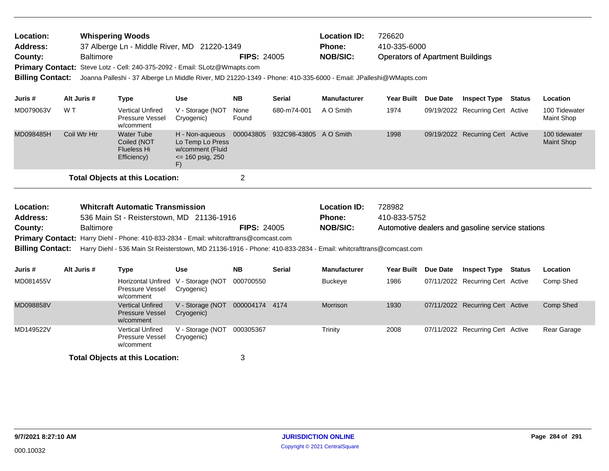| Location:<br>Address:<br>County: | <b>Whispering Woods</b><br>37 Alberge Ln - Middle River, MD 21220-1349<br><b>Baltimore</b><br>Primary Contact: Steve Lotz - Cell: 240-375-2092 - Email: SLotz@Wmapts.com<br>Joanna Palleshi - 37 Alberge Ln Middle River, MD 21220-1349 - Phone: 410-335-6000 - Email: JPalleshi@WMapts.com<br><b>Billing Contact:</b> |                  |                                                                       |                                                                                                                 |                    | <b>FIPS: 24005</b>     | <b>Location ID:</b><br>Phone:<br><b>NOB/SIC:</b> | 726620<br>410-335-6000<br><b>Operators of Apartment Buildings</b> |  |                                  |  |                                    |
|----------------------------------|------------------------------------------------------------------------------------------------------------------------------------------------------------------------------------------------------------------------------------------------------------------------------------------------------------------------|------------------|-----------------------------------------------------------------------|-----------------------------------------------------------------------------------------------------------------|--------------------|------------------------|--------------------------------------------------|-------------------------------------------------------------------|--|----------------------------------|--|------------------------------------|
| Juris #                          | Alt Juris #                                                                                                                                                                                                                                                                                                            |                  | <b>Type</b>                                                           | <b>Use</b>                                                                                                      | <b>NB</b>          | <b>Serial</b>          | <b>Manufacturer</b>                              | Year Built Due Date                                               |  | <b>Inspect Type Status</b>       |  | Location                           |
| MD079063V                        | W T                                                                                                                                                                                                                                                                                                                    |                  | <b>Vertical Unfired</b><br>Pressure Vessel<br>w/comment               | V - Storage (NOT<br>Cryogenic)                                                                                  | None<br>Found      | 680-m74-001            | A O Smith                                        | 1974                                                              |  | 09/19/2022 Recurring Cert Active |  | 100 Tidewater<br><b>Maint Shop</b> |
| MD098485H                        | Coil Wtr Htr                                                                                                                                                                                                                                                                                                           |                  | <b>Water Tube</b><br>Coiled (NOT<br><b>Flueless Hi</b><br>Efficiency) | H - Non-aqueous<br>Lo Temp Lo Press<br>w/comment (Fluid<br>$\le$ 160 psig, 250<br>F)                            | 000043805          | 932C98-43805 A O Smith |                                                  | 1998                                                              |  | 09/19/2022 Recurring Cert Active |  | 100 tidewater<br><b>Maint Shop</b> |
|                                  |                                                                                                                                                                                                                                                                                                                        |                  | <b>Total Objects at this Location:</b>                                |                                                                                                                 | $\overline{2}$     |                        |                                                  |                                                                   |  |                                  |  |                                    |
| Location:                        |                                                                                                                                                                                                                                                                                                                        |                  | <b>Whitcraft Automatic Transmission</b>                               |                                                                                                                 |                    |                        | <b>Location ID:</b>                              | 728982                                                            |  |                                  |  |                                    |
| <b>Address:</b>                  |                                                                                                                                                                                                                                                                                                                        |                  |                                                                       | 536 Main St - Reisterstown, MD 21136-1916                                                                       | <b>FIPS: 24005</b> |                        | <b>Phone:</b>                                    | 410-833-5752<br>Automotive dealers and gasoline service stations  |  |                                  |  |                                    |
| County:                          |                                                                                                                                                                                                                                                                                                                        | <b>Baltimore</b> |                                                                       | Primary Contact: Harry Diehl - Phone: 410-833-2834 - Email: whitcrafttrans@comcast.com                          |                    |                        | <b>NOB/SIC:</b>                                  |                                                                   |  |                                  |  |                                    |
| <b>Billing Contact:</b>          |                                                                                                                                                                                                                                                                                                                        |                  |                                                                       | Harry Diehl - 536 Main St Reisterstown, MD 21136-1916 - Phone: 410-833-2834 - Email: whitcrafttrans@comcast.com |                    |                        |                                                  |                                                                   |  |                                  |  |                                    |
| Juris #                          | Alt Juris #                                                                                                                                                                                                                                                                                                            |                  | <b>Type</b>                                                           | <b>Use</b>                                                                                                      | NB.                | <b>Serial</b>          | <b>Manufacturer</b>                              | Year Built Due Date                                               |  | <b>Inspect Type Status</b>       |  | Location                           |
| MD081455V                        |                                                                                                                                                                                                                                                                                                                        |                  | <b>Horizontal Unfired</b><br>Pressure Vessel<br>w/comment             | V - Storage (NOT<br>Cryogenic)                                                                                  | 000700550          |                        | <b>Buckeye</b>                                   | 1986                                                              |  | 07/11/2022 Recurring Cert Active |  | Comp Shed                          |
| MD098858V                        |                                                                                                                                                                                                                                                                                                                        |                  | <b>Vertical Unfired</b><br><b>Pressure Vessel</b><br>w/comment        | V - Storage (NOT<br>Cryogenic)                                                                                  | 000004174 4174     |                        | Morrison                                         | 1930                                                              |  | 07/11/2022 Recurring Cert Active |  | Comp Shed                          |
| MD149522V                        |                                                                                                                                                                                                                                                                                                                        |                  | <b>Vertical Unfired</b><br>Pressure Vessel<br>w/comment               | V - Storage (NOT 000305367<br>Cryogenic)                                                                        |                    |                        | Trinity                                          | 2008                                                              |  | 07/11/2022 Recurring Cert Active |  | Rear Garage                        |
|                                  |                                                                                                                                                                                                                                                                                                                        |                  | <b>Total Objects at this Location:</b>                                |                                                                                                                 | 3                  |                        |                                                  |                                                                   |  |                                  |  |                                    |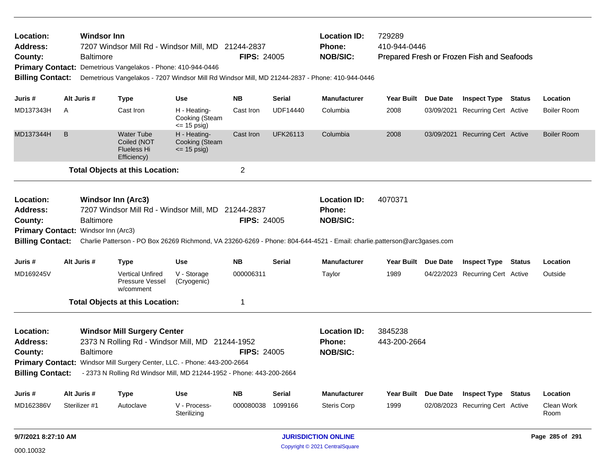| <b>Windsor Inn</b><br>Location:<br>7207 Windsor Mill Rd - Windsor Mill, MD 21244-2837<br><b>Address:</b><br><b>Baltimore</b><br>County:<br>Demetrious Vangelakos - Phone: 410-944-0446<br><b>Primary Contact:</b><br><b>Billing Contact:</b><br>Demetrious Vangelakos - 7207 Windsor Mill Rd Windsor Mill, MD 21244-2837 - Phone: 410-944-0446 |                                                                                                                                                                                                                                                                                                                 |                                               |                                                                       |                                                  | <b>FIPS: 24005</b> |                                                         | <b>Location ID:</b><br>Phone:<br><b>NOB/SIC:</b>                                                                                                                                   | 729289<br>410-944-0446<br>Prepared Fresh or Frozen Fish and Seafoods |            |                                  |        |                    |
|------------------------------------------------------------------------------------------------------------------------------------------------------------------------------------------------------------------------------------------------------------------------------------------------------------------------------------------------|-----------------------------------------------------------------------------------------------------------------------------------------------------------------------------------------------------------------------------------------------------------------------------------------------------------------|-----------------------------------------------|-----------------------------------------------------------------------|--------------------------------------------------|--------------------|---------------------------------------------------------|------------------------------------------------------------------------------------------------------------------------------------------------------------------------------------|----------------------------------------------------------------------|------------|----------------------------------|--------|--------------------|
| Juris #                                                                                                                                                                                                                                                                                                                                        |                                                                                                                                                                                                                                                                                                                 | Alt Juris #                                   | <b>Type</b>                                                           | <b>Use</b>                                       | <b>NB</b>          | <b>Serial</b>                                           | <b>Manufacturer</b>                                                                                                                                                                | <b>Year Built</b>                                                    | Due Date   | <b>Inspect Type Status</b>       |        | Location           |
| MD137343H                                                                                                                                                                                                                                                                                                                                      | A                                                                                                                                                                                                                                                                                                               |                                               | Cast Iron                                                             | H - Heating-<br>Cooking (Steam<br>$\le$ 15 psig) | Cast Iron          | <b>UDF14440</b>                                         | Columbia                                                                                                                                                                           | 2008                                                                 | 03/09/2021 | <b>Recurring Cert Active</b>     |        | <b>Boiler Room</b> |
| MD137344H                                                                                                                                                                                                                                                                                                                                      | B                                                                                                                                                                                                                                                                                                               |                                               | <b>Water Tube</b><br>Coiled (NOT<br><b>Flueless Hi</b><br>Efficiency) | H - Heating-<br>Cooking (Steam<br>$\le$ 15 psig) | Cast Iron          | <b>UFK26113</b>                                         | Columbia                                                                                                                                                                           | 2008                                                                 |            | 03/09/2021 Recurring Cert Active |        | <b>Boiler Room</b> |
|                                                                                                                                                                                                                                                                                                                                                |                                                                                                                                                                                                                                                                                                                 |                                               | <b>Total Objects at this Location:</b>                                |                                                  | $\overline{c}$     |                                                         |                                                                                                                                                                                    |                                                                      |            |                                  |        |                    |
| Location:<br><b>Address:</b><br>County:<br>Primary Contact: Windsor Inn (Arc3)<br><b>Billing Contact:</b>                                                                                                                                                                                                                                      |                                                                                                                                                                                                                                                                                                                 | <b>Windsor Inn (Arc3)</b><br><b>Baltimore</b> | 7207 Windsor Mill Rd - Windsor Mill, MD 21244-2837                    |                                                  | <b>FIPS: 24005</b> |                                                         | <b>Location ID:</b><br><b>Phone:</b><br><b>NOB/SIC:</b><br>Charlie Patterson - PO Box 26269 Richmond, VA 23260-6269 - Phone: 804-644-4521 - Email: charlie.patterson@arc3gases.com | 4070371                                                              |            |                                  |        |                    |
| Juris #                                                                                                                                                                                                                                                                                                                                        |                                                                                                                                                                                                                                                                                                                 | Alt Juris #                                   | <b>Type</b>                                                           | <b>Use</b>                                       | <b>NB</b>          | Serial                                                  | <b>Manufacturer</b>                                                                                                                                                                | Year Built Due Date                                                  |            | <b>Inspect Type</b>              | Status | Location           |
| MD169245V                                                                                                                                                                                                                                                                                                                                      |                                                                                                                                                                                                                                                                                                                 |                                               | <b>Vertical Unfired</b><br>Pressure Vessel<br>w/comment               | V - Storage<br>(Cryogenic)                       | 000006311          |                                                         | Taylor                                                                                                                                                                             | 1989                                                                 |            | 04/22/2023 Recurring Cert Active |        | Outside            |
|                                                                                                                                                                                                                                                                                                                                                |                                                                                                                                                                                                                                                                                                                 |                                               | <b>Total Objects at this Location:</b>                                |                                                  | 1                  |                                                         |                                                                                                                                                                                    |                                                                      |            |                                  |        |                    |
| Location:<br><b>Address:</b><br>County:                                                                                                                                                                                                                                                                                                        | <b>Windsor Mill Surgery Center</b><br>2373 N Rolling Rd - Windsor Mill, MD 21244-1952<br><b>Baltimore</b><br><b>FIPS: 24005</b><br>Primary Contact: Windsor Mill Surgery Center, LLC. - Phone: 443-200-2664<br>- 2373 N Rolling Rd Windsor Mill, MD 21244-1952 - Phone: 443-200-2664<br><b>Billing Contact:</b> |                                               |                                                                       |                                                  |                    | <b>Location ID:</b><br><b>Phone:</b><br><b>NOB/SIC:</b> | 3845238<br>443-200-2664                                                                                                                                                            |                                                                      |            |                                  |        |                    |
| Juris #                                                                                                                                                                                                                                                                                                                                        |                                                                                                                                                                                                                                                                                                                 | Alt Juris #                                   | <b>Type</b>                                                           | <b>Use</b>                                       | <b>NB</b>          | <b>Serial</b>                                           | <b>Manufacturer</b>                                                                                                                                                                | Year Built Due Date                                                  |            | <b>Inspect Type Status</b>       |        | Location           |
| MD162386V                                                                                                                                                                                                                                                                                                                                      |                                                                                                                                                                                                                                                                                                                 | Sterilizer #1                                 | Autoclave                                                             | V - Process-<br>Sterilizing                      | 000080038          | 1099166                                                 | <b>Steris Corp</b>                                                                                                                                                                 | 1999                                                                 |            | 02/08/2023 Recurring Cert Active |        | Clean Work<br>Room |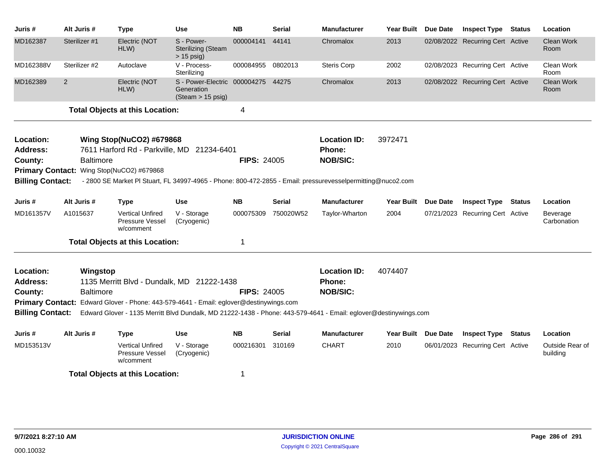| Juris #                                   | Alt Juris #      | <b>Type</b>                                                                                                      | <b>Use</b>                                                                      | <b>NB</b>          | <b>Serial</b> | Manufacturer                  | Year Built          | Due Date | <b>Inspect Type</b>              | <b>Status</b> | Location                    |
|-------------------------------------------|------------------|------------------------------------------------------------------------------------------------------------------|---------------------------------------------------------------------------------|--------------------|---------------|-------------------------------|---------------------|----------|----------------------------------|---------------|-----------------------------|
| MD162387                                  | Sterilizer #1    | Electric (NOT<br>HLW)                                                                                            | S - Power-<br><b>Sterilizing (Steam</b><br>$> 15$ psig)                         | 000004141          | 44141         | Chromalox                     | 2013                |          | 02/08/2022 Recurring Cert Active |               | <b>Clean Work</b><br>Room   |
| MD162388V                                 | Sterilizer #2    | Autoclave                                                                                                        | V - Process-<br>Sterilizing                                                     | 000084955          | 0802013       | <b>Steris Corp</b>            | 2002                |          | 02/08/2023 Recurring Cert Active |               | Clean Work<br>Room          |
| MD162389                                  | $\overline{2}$   | Electric (NOT<br>HLW)                                                                                            | S - Power-Electric 000004275 44275<br>Generation<br>$(Steam > 15 \text{ psig})$ |                    |               | Chromalox                     | 2013                |          | 02/08/2022 Recurring Cert Active |               | <b>Clean Work</b><br>Room   |
|                                           |                  | <b>Total Objects at this Location:</b>                                                                           |                                                                                 | 4                  |               |                               |                     |          |                                  |               |                             |
| Location:<br><b>Address:</b>              |                  | Wing Stop(NuCO2) #679868<br>7611 Harford Rd - Parkville, MD 21234-6401                                           |                                                                                 |                    |               | <b>Location ID:</b><br>Phone: | 3972471             |          |                                  |               |                             |
| <b>Baltimore</b><br>County:               |                  |                                                                                                                  |                                                                                 | <b>FIPS: 24005</b> |               | <b>NOB/SIC:</b>               |                     |          |                                  |               |                             |
| Primary Contact: Wing Stop(NuCO2) #679868 |                  |                                                                                                                  |                                                                                 |                    |               |                               |                     |          |                                  |               |                             |
| <b>Billing Contact:</b>                   |                  | - 2800 SE Market PI Stuart, FL 34997-4965 - Phone: 800-472-2855 - Email: pressurevesselpermitting@nuco2.com      |                                                                                 |                    |               |                               |                     |          |                                  |               |                             |
| Juris #                                   | Alt Juris #      | <b>Type</b>                                                                                                      | <b>Use</b>                                                                      | <b>NB</b>          | <b>Serial</b> | <b>Manufacturer</b>           | Year Built Due Date |          | <b>Inspect Type Status</b>       |               | Location                    |
| MD161357V                                 | A1015637         | <b>Vertical Unfired</b><br>Pressure Vessel<br>w/comment                                                          | V - Storage<br>(Cryogenic)                                                      | 000075309          | 750020W52     | Taylor-Wharton                | 2004                |          | 07/21/2023 Recurring Cert Active |               | Beverage<br>Carbonation     |
|                                           |                  | <b>Total Objects at this Location:</b>                                                                           |                                                                                 | 1                  |               |                               |                     |          |                                  |               |                             |
| Location:<br><b>Address:</b>              | Wingstop         | 1135 Merritt Blvd - Dundalk, MD 21222-1438                                                                       |                                                                                 |                    |               | <b>Location ID:</b><br>Phone: | 4074407             |          |                                  |               |                             |
| County:                                   | <b>Baltimore</b> |                                                                                                                  |                                                                                 | <b>FIPS: 24005</b> |               | <b>NOB/SIC:</b>               |                     |          |                                  |               |                             |
|                                           |                  | Primary Contact: Edward Glover - Phone: 443-579-4641 - Email: eglover@destinywings.com                           |                                                                                 |                    |               |                               |                     |          |                                  |               |                             |
| <b>Billing Contact:</b>                   |                  | Edward Glover - 1135 Merritt Blvd Dundalk, MD 21222-1438 - Phone: 443-579-4641 - Email: eglover@destinywings.com |                                                                                 |                    |               |                               |                     |          |                                  |               |                             |
| Juris #                                   | Alt Juris #      | <b>Type</b>                                                                                                      | <b>Use</b>                                                                      | <b>NB</b>          | Serial        | <b>Manufacturer</b>           | Year Built Due Date |          | <b>Inspect Type Status</b>       |               | Location                    |
| MD153513V                                 |                  | <b>Vertical Unfired</b><br>Pressure Vessel<br>w/comment                                                          | V - Storage<br>(Cryogenic)                                                      | 000216301          | 310169        | <b>CHART</b>                  | 2010                |          | 06/01/2023 Recurring Cert Active |               | Outside Rear of<br>building |
|                                           |                  | <b>Total Objects at this Location:</b>                                                                           |                                                                                 | 1                  |               |                               |                     |          |                                  |               |                             |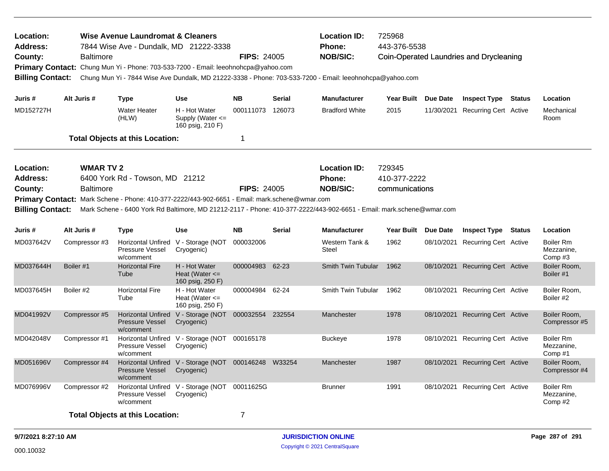| <b>Location:</b><br>Address:<br>County:<br><b>Billing Contact:</b>                                                                              |           | <b>Baltimore</b> | Wise Avenue Laundromat & Cleaners<br>7844 Wise Ave - Dundalk, MD 21222-3338<br>Primary Contact: Chung Mun Yi - Phone: 703-533-7200 - Email: leeohnohcpa@yahoo.com |                                                             | <b>FIPS: 24005</b> |               | <b>Location ID:</b><br><b>Phone:</b><br><b>NOB/SIC:</b><br>Chung Mun Yi - 7844 Wise Ave Dundalk, MD 21222-3338 - Phone: 703-533-7200 - Email: leeohnohcpa@yahoo.com | 725968<br>443-376-5538<br>Coin-Operated Laundries and Drycleaning |          |                                  |               |                                   |  |
|-------------------------------------------------------------------------------------------------------------------------------------------------|-----------|------------------|-------------------------------------------------------------------------------------------------------------------------------------------------------------------|-------------------------------------------------------------|--------------------|---------------|---------------------------------------------------------------------------------------------------------------------------------------------------------------------|-------------------------------------------------------------------|----------|----------------------------------|---------------|-----------------------------------|--|
| Juris #                                                                                                                                         |           | Alt Juris #      | Type                                                                                                                                                              | <b>Use</b>                                                  | <b>NB</b>          | <b>Serial</b> | <b>Manufacturer</b>                                                                                                                                                 | Year Built Due Date                                               |          | <b>Inspect Type Status</b>       |               | Location                          |  |
| MD152727H                                                                                                                                       |           |                  | <b>Water Heater</b><br>(HLW)                                                                                                                                      | H - Hot Water<br>Supply (Water <=<br>160 psig, 210 F)       | 000111073 126073   |               | <b>Bradford White</b>                                                                                                                                               | 2015                                                              |          | 11/30/2021 Recurring Cert Active |               | Mechanical<br>Room                |  |
|                                                                                                                                                 |           |                  | <b>Total Objects at this Location:</b>                                                                                                                            |                                                             | -1                 |               |                                                                                                                                                                     |                                                                   |          |                                  |               |                                   |  |
| Location:                                                                                                                                       |           | <b>WMAR TV 2</b> |                                                                                                                                                                   |                                                             |                    |               | <b>Location ID:</b>                                                                                                                                                 | 729345                                                            |          |                                  |               |                                   |  |
| <b>Address:</b>                                                                                                                                 |           |                  | 6400 York Rd - Towson, MD 21212                                                                                                                                   |                                                             |                    |               | <b>Phone:</b>                                                                                                                                                       | 410-377-2222                                                      |          |                                  |               |                                   |  |
| County:                                                                                                                                         |           | <b>Baltimore</b> |                                                                                                                                                                   |                                                             | <b>FIPS: 24005</b> |               | <b>NOB/SIC:</b>                                                                                                                                                     | communications                                                    |          |                                  |               |                                   |  |
|                                                                                                                                                 |           |                  | Primary Contact: Mark Schene - Phone: 410-377-2222/443-902-6651 - Email: mark.schene@wmar.com                                                                     |                                                             |                    |               |                                                                                                                                                                     |                                                                   |          |                                  |               |                                   |  |
| Mark Schene - 6400 York Rd Baltimore, MD 21212-2117 - Phone: 410-377-2222/443-902-6651 - Email: mark.schene@wmar.com<br><b>Billing Contact:</b> |           |                  |                                                                                                                                                                   |                                                             |                    |               |                                                                                                                                                                     |                                                                   |          |                                  |               |                                   |  |
| Juris #                                                                                                                                         |           | Alt Juris #      | <b>Type</b>                                                                                                                                                       | <b>Use</b>                                                  | <b>NB</b>          | <b>Serial</b> | <b>Manufacturer</b>                                                                                                                                                 | <b>Year Built</b>                                                 | Due Date | <b>Inspect Type</b>              | <b>Status</b> | Location                          |  |
| MD037642V                                                                                                                                       |           | Compressor#3     | Pressure Vessel<br>w/comment                                                                                                                                      | Horizontal Unfired V - Storage (NOT<br>Cryogenic)           | 000032006          |               | Western Tank &<br>Steel                                                                                                                                             | 1962                                                              |          | 08/10/2021 Recurring Cert Active |               | Boiler Rm<br>Mezzanine,<br>Comp#3 |  |
| MD037644H                                                                                                                                       | Boiler #1 |                  | <b>Horizontal Fire</b><br>Tube                                                                                                                                    | H - Hot Water<br>Heat (Water $\leq$<br>160 psig, 250 F)     | 000004983 62-23    |               | <b>Smith Twin Tubular</b>                                                                                                                                           | 1962                                                              |          | 08/10/2021 Recurring Cert Active |               | Boiler Room,<br>Boiler #1         |  |
| MD037645H                                                                                                                                       | Boiler #2 |                  | <b>Horizontal Fire</b><br>Tube                                                                                                                                    | H - Hot Water<br>Heat (Water $\leq$<br>160 psig, 250 F)     | 000004984 62-24    |               | Smith Twin Tubular                                                                                                                                                  | 1962                                                              |          | 08/10/2021 Recurring Cert Active |               | Boiler Room,<br>Boiler #2         |  |
| MD041992V                                                                                                                                       |           | Compressor#5     | <b>Pressure Vessel</b><br>w/comment                                                                                                                               | Horizontal Unfired V - Storage (NOT<br>Cryogenic)           | 000032554 232554   |               | Manchester                                                                                                                                                          | 1978                                                              |          | 08/10/2021 Recurring Cert Active |               | Boiler Room,<br>Compressor #5     |  |
| MD042048V                                                                                                                                       |           | Compressor #1    | Pressure Vessel<br>w/comment                                                                                                                                      | Horizontal Unfired V - Storage (NOT 000165178<br>Cryogenic) |                    |               | Buckeye                                                                                                                                                             | 1978                                                              |          | 08/10/2021 Recurring Cert Active |               | Boiler Rm<br>Mezzanine,<br>Comp#1 |  |
| MD051696V                                                                                                                                       |           | Compressor #4    | <b>Pressure Vessel</b><br>w/comment                                                                                                                               | Horizontal Unfired V - Storage (NOT<br>Cryogenic)           | 000146248 W33254   |               | Manchester                                                                                                                                                          | 1987                                                              |          | 08/10/2021 Recurring Cert Active |               | Boiler Room,<br>Compressor #4     |  |
| MD076996V                                                                                                                                       |           | Compressor #2    | Pressure Vessel<br>w/comment                                                                                                                                      | Horizontal Unfired V - Storage (NOT<br>Cryogenic)           | 00011625G          |               | <b>Brunner</b>                                                                                                                                                      | 1991                                                              |          | 08/10/2021 Recurring Cert Active |               | Boiler Rm<br>Mezzanine,<br>Comp#2 |  |
|                                                                                                                                                 |           |                  | <b>Total Objects at this Location:</b>                                                                                                                            |                                                             | 7                  |               |                                                                                                                                                                     |                                                                   |          |                                  |               |                                   |  |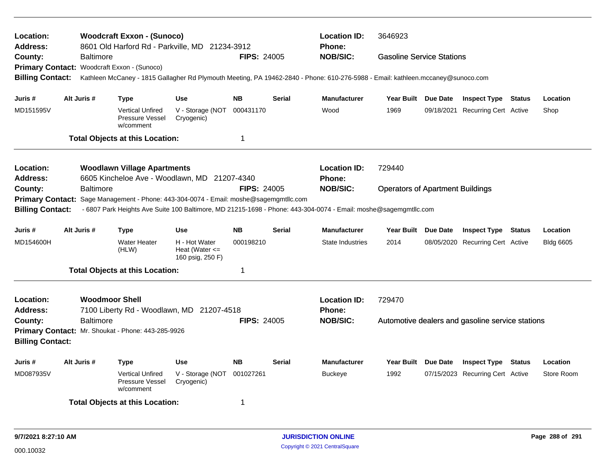| Location:<br><b>Address:</b> | <b>Woodcraft Exxon - (Sunoco)</b><br>8601 Old Harford Rd - Parkville, MD 21234-3912                    |                       |                                                                      |                                                         |                    |               |                                                                                                                                 | 3646923                                 |                 |                                                  |        |                  |
|------------------------------|--------------------------------------------------------------------------------------------------------|-----------------------|----------------------------------------------------------------------|---------------------------------------------------------|--------------------|---------------|---------------------------------------------------------------------------------------------------------------------------------|-----------------------------------------|-----------------|--------------------------------------------------|--------|------------------|
| County:                      |                                                                                                        | Baltimore             |                                                                      |                                                         | <b>FIPS: 24005</b> |               | <b>NOB/SIC:</b>                                                                                                                 | <b>Gasoline Service Stations</b>        |                 |                                                  |        |                  |
|                              |                                                                                                        |                       | Primary Contact: Woodcraft Exxon - (Sunoco)                          |                                                         |                    |               |                                                                                                                                 |                                         |                 |                                                  |        |                  |
| <b>Billing Contact:</b>      |                                                                                                        |                       |                                                                      |                                                         |                    |               | Kathleen McCaney - 1815 Gallagher Rd Plymouth Meeting, PA 19462-2840 - Phone: 610-276-5988 - Email: kathleen.mccaney@sunoco.com |                                         |                 |                                                  |        |                  |
| Juris #                      |                                                                                                        | Alt Juris #           | <b>Type</b>                                                          | <b>Use</b>                                              | <b>NB</b>          | <b>Serial</b> | <b>Manufacturer</b>                                                                                                             | Year Built Due Date                     |                 | <b>Inspect Type Status</b>                       |        | Location         |
| MD151595V                    |                                                                                                        |                       | <b>Vertical Unfired</b><br>Pressure Vessel<br>w/comment              | V - Storage (NOT<br>Cryogenic)                          | 000431170          |               | Wood                                                                                                                            | 1969                                    |                 | 09/18/2021 Recurring Cert Active                 |        | Shop             |
|                              |                                                                                                        |                       | <b>Total Objects at this Location:</b>                               |                                                         | $\mathbf 1$        |               |                                                                                                                                 |                                         |                 |                                                  |        |                  |
| Location:                    |                                                                                                        |                       | <b>Woodlawn Village Apartments</b>                                   |                                                         |                    |               | <b>Location ID:</b>                                                                                                             | 729440                                  |                 |                                                  |        |                  |
| <b>Address:</b>              |                                                                                                        |                       | 6605 Kincheloe Ave - Woodlawn, MD 21207-4340                         |                                                         |                    |               | <b>Phone:</b>                                                                                                                   |                                         |                 |                                                  |        |                  |
| County:                      |                                                                                                        | <b>Baltimore</b>      |                                                                      |                                                         | <b>FIPS: 24005</b> |               | <b>NOB/SIC:</b>                                                                                                                 | <b>Operators of Apartment Buildings</b> |                 |                                                  |        |                  |
| <b>Primary Contact:</b>      |                                                                                                        |                       | Sage Management - Phone: 443-304-0074 - Email: moshe@sagemgmtllc.com |                                                         |                    |               |                                                                                                                                 |                                         |                 |                                                  |        |                  |
| <b>Billing Contact:</b>      |                                                                                                        |                       |                                                                      |                                                         |                    |               | - 6807 Park Heights Ave Suite 100 Baltimore, MD 21215-1698 - Phone: 443-304-0074 - Email: moshe@sagemgmtllc.com                 |                                         |                 |                                                  |        |                  |
| Juris #                      |                                                                                                        | Alt Juris #           | <b>Type</b>                                                          | Use                                                     | <b>NB</b>          | <b>Serial</b> | <b>Manufacturer</b>                                                                                                             | Year Built                              | Due Date        | <b>Inspect Type Status</b>                       |        | Location         |
| MD154600H                    |                                                                                                        |                       | <b>Water Heater</b><br>(HLW)                                         | H - Hot Water<br>Heat (Water $\leq$<br>160 psig, 250 F) | 000198210          |               | <b>State Industries</b>                                                                                                         | 2014                                    |                 | 08/05/2020 Recurring Cert Active                 |        | <b>Bldg 6605</b> |
|                              |                                                                                                        |                       | <b>Total Objects at this Location:</b>                               |                                                         | $\mathbf 1$        |               |                                                                                                                                 |                                         |                 |                                                  |        |                  |
| Location:<br><b>Address:</b> |                                                                                                        | <b>Woodmoor Shell</b> | 7100 Liberty Rd - Woodlawn, MD 21207-4518                            |                                                         |                    |               | <b>Location ID:</b><br><b>Phone:</b>                                                                                            | 729470                                  |                 |                                                  |        |                  |
| County:                      |                                                                                                        | <b>Baltimore</b>      |                                                                      |                                                         | <b>FIPS: 24005</b> |               | <b>NOB/SIC:</b>                                                                                                                 |                                         |                 | Automotive dealers and gasoline service stations |        |                  |
|                              |                                                                                                        |                       | Primary Contact: Mr. Shoukat - Phone: 443-285-9926                   |                                                         |                    |               |                                                                                                                                 |                                         |                 |                                                  |        |                  |
| <b>Billing Contact:</b>      |                                                                                                        |                       |                                                                      |                                                         |                    |               |                                                                                                                                 |                                         |                 |                                                  |        |                  |
| Juris #                      |                                                                                                        | Alt Juris #           | <b>Type</b>                                                          | <b>Use</b>                                              | <b>NB</b>          | <b>Serial</b> | <b>Manufacturer</b>                                                                                                             | <b>Year Built</b>                       | <b>Due Date</b> | <b>Inspect Type</b>                              | Status | Location         |
| MD087935V                    | <b>Vertical Unfired</b><br>V - Storage (NOT<br>001027261<br>Pressure Vessel<br>Cryogenic)<br>w/comment |                       |                                                                      |                                                         |                    |               | Buckeye                                                                                                                         | 1992                                    |                 | 07/15/2023 Recurring Cert Active                 |        | Store Room       |
|                              |                                                                                                        |                       | <b>Total Objects at this Location:</b>                               |                                                         | -1                 |               |                                                                                                                                 |                                         |                 |                                                  |        |                  |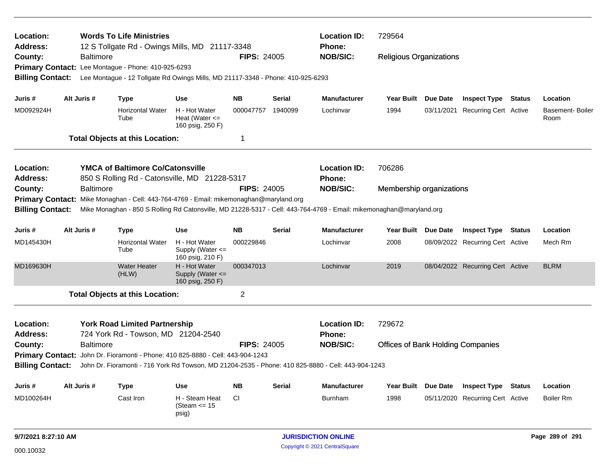| Location:<br>Address:<br>County: |                                        |                                                                                 | <b>Words To Life Ministries</b><br>12 S Tollgate Rd - Owings Mills, MD 21117-3348 |                                                         | <b>Location ID:</b><br><b>Phone:</b> | 729564          |                                                                                                                     |                     |                          |                                  |  |                          |  |
|----------------------------------|----------------------------------------|---------------------------------------------------------------------------------|-----------------------------------------------------------------------------------|---------------------------------------------------------|--------------------------------------|-----------------|---------------------------------------------------------------------------------------------------------------------|---------------------|--------------------------|----------------------------------|--|--------------------------|--|
|                                  |                                        | <b>Baltimore</b>                                                                |                                                                                   |                                                         | <b>FIPS: 24005</b>                   | <b>NOB/SIC:</b> | <b>Religious Organizations</b>                                                                                      |                     |                          |                                  |  |                          |  |
|                                  |                                        |                                                                                 | Primary Contact: Lee Montague - Phone: 410-925-6293                               |                                                         |                                      |                 |                                                                                                                     |                     |                          |                                  |  |                          |  |
| <b>Billing Contact:</b>          |                                        | Lee Montague - 12 Tollgate Rd Owings Mills, MD 21117-3348 - Phone: 410-925-6293 |                                                                                   |                                                         |                                      |                 |                                                                                                                     |                     |                          |                                  |  |                          |  |
| Juris #                          |                                        | Alt Juris #                                                                     | <b>Type</b>                                                                       | <b>Use</b>                                              | NΒ                                   | Serial          | <b>Manufacturer</b>                                                                                                 | Year Built Due Date |                          | <b>Inspect Type Status</b>       |  | Location                 |  |
| MD092924H                        |                                        |                                                                                 | <b>Horizontal Water</b><br>Tube                                                   | H - Hot Water<br>Heat (Water $\leq$<br>160 psig, 250 F) | 000047757                            | 1940099         | Lochinvar                                                                                                           | 1994                | 03/11/2021               | <b>Recurring Cert Active</b>     |  | Basement- Boiler<br>Room |  |
|                                  |                                        |                                                                                 | <b>Total Objects at this Location:</b>                                            |                                                         | 1                                    |                 |                                                                                                                     |                     |                          |                                  |  |                          |  |
| Location:                        |                                        |                                                                                 | <b>YMCA of Baltimore Co/Catonsville</b>                                           |                                                         |                                      |                 | <b>Location ID:</b>                                                                                                 | 706286              |                          |                                  |  |                          |  |
| <b>Address:</b>                  |                                        |                                                                                 | 850 S Rolling Rd - Catonsville, MD 21228-5317                                     |                                                         |                                      |                 | <b>Phone:</b>                                                                                                       |                     |                          |                                  |  |                          |  |
| County:                          |                                        | <b>Baltimore</b>                                                                |                                                                                   |                                                         | <b>FIPS: 24005</b>                   |                 | <b>NOB/SIC:</b>                                                                                                     |                     | Membership organizations |                                  |  |                          |  |
| <b>Primary Contact:</b>          |                                        |                                                                                 | Mike Monaghan - Cell: 443-764-4769 - Email: mikemonaghan@maryland.org             |                                                         |                                      |                 |                                                                                                                     |                     |                          |                                  |  |                          |  |
| <b>Billing Contact:</b>          |                                        |                                                                                 |                                                                                   |                                                         |                                      |                 | Mike Monaghan - 850 S Rolling Rd Catonsville, MD 21228-5317 - Cell: 443-764-4769 - Email: mikemonaghan@maryland.org |                     |                          |                                  |  |                          |  |
| Juris #                          |                                        | Alt Juris #                                                                     | <b>Type</b>                                                                       | <b>Use</b>                                              | <b>NB</b>                            | <b>Serial</b>   | <b>Manufacturer</b>                                                                                                 | <b>Year Built</b>   | Due Date                 | <b>Inspect Type Status</b>       |  | Location                 |  |
| MD145430H                        |                                        |                                                                                 | <b>Horizontal Water</b><br>Tube                                                   | H - Hot Water<br>Supply (Water <=<br>160 psig, 210 F)   | 000229846                            |                 | Lochinvar                                                                                                           | 2008                |                          | 08/09/2022 Recurring Cert Active |  | Mech Rm                  |  |
| MD169630H                        |                                        |                                                                                 | <b>Water Heater</b><br>(HLW)                                                      | H - Hot Water<br>Supply (Water <=<br>160 psig, 250 F)   | 000347013                            |                 | Lochinvar                                                                                                           | 2019                |                          | 08/04/2022 Recurring Cert Active |  | <b>BLRM</b>              |  |
|                                  |                                        |                                                                                 | <b>Total Objects at this Location:</b>                                            |                                                         | $\overline{2}$                       |                 |                                                                                                                     |                     |                          |                                  |  |                          |  |
| Location:                        |                                        |                                                                                 | <b>York Road Limited Partnership</b>                                              |                                                         |                                      |                 | <b>Location ID:</b>                                                                                                 | 729672              |                          |                                  |  |                          |  |
| <b>Address:</b>                  | 724 York Rd - Towson, MD 21204-2540    |                                                                                 |                                                                                   |                                                         |                                      | <b>Phone:</b>   |                                                                                                                     |                     |                          |                                  |  |                          |  |
| County:                          | <b>Baltimore</b><br><b>FIPS: 24005</b> |                                                                                 |                                                                                   |                                                         |                                      |                 | <b>NOB/SIC:</b><br><b>Offices of Bank Holding Companies</b>                                                         |                     |                          |                                  |  |                          |  |
|                                  |                                        |                                                                                 | Primary Contact: John Dr. Fioramonti - Phone: 410 825-8880 - Cell: 443-904-1243   |                                                         |                                      |                 |                                                                                                                     |                     |                          |                                  |  |                          |  |
| <b>Billing Contact:</b>          |                                        |                                                                                 |                                                                                   |                                                         |                                      |                 | John Dr. Fioramonti - 716 York Rd Towson, MD 21204-2535 - Phone: 410 825-8880 - Cell: 443-904-1243                  |                     |                          |                                  |  |                          |  |
| Juris #                          |                                        | Alt Juris #                                                                     | <b>Type</b>                                                                       | <b>Use</b>                                              | <b>NB</b>                            | <b>Serial</b>   | <b>Manufacturer</b>                                                                                                 | <b>Year Built</b>   | <b>Due Date</b>          | <b>Inspect Type Status</b>       |  | Location                 |  |
| MD100264H                        |                                        |                                                                                 | Cast Iron                                                                         | H - Steam Heat<br>(Steam $\le$ 15<br>psig)              | <b>CI</b>                            |                 | Burnham                                                                                                             | 1998                |                          | 05/11/2020 Recurring Cert Active |  | Boiler Rm                |  |
|                                  |                                        |                                                                                 |                                                                                   |                                                         |                                      |                 |                                                                                                                     |                     |                          |                                  |  |                          |  |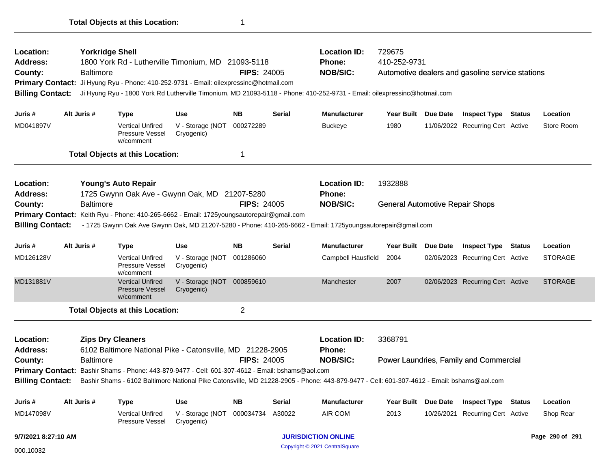Automotive dealers and gasoline service stations **County:** Baltimore **NOB/SIC: RIPS:** 24005 **NOB/SIC: Phone:** 410-252-9731

**Primary Contact:** Ji Hyung Ryu - Phone: 410-252-9731 - Email: oilexpressinc@hotmail.com

w/comment/

**Billing Contact:** Ji Hyung Ryu - 1800 York Rd Lutherville Timonium, MD 21093-5118 - Phone: 410-252-9731 - Email: oilexpressinc@hotmail.com

| Juris#                                                                                                                            | Alt Juris #                           | <b>Type</b>                                                                                      | <b>Use</b>                     | <b>NB</b>          | <b>Serial</b> | <b>Manufacturer</b>                                                                                                                       | <b>Year Built</b>                                         | <b>Due Date</b> | <b>Inspect Type</b>              | <b>Status</b> | Location       |
|-----------------------------------------------------------------------------------------------------------------------------------|---------------------------------------|--------------------------------------------------------------------------------------------------|--------------------------------|--------------------|---------------|-------------------------------------------------------------------------------------------------------------------------------------------|-----------------------------------------------------------|-----------------|----------------------------------|---------------|----------------|
| MD041897V                                                                                                                         |                                       | <b>Vertical Unfired</b><br>Pressure Vessel<br>w/comment                                          | V - Storage (NOT<br>Cryogenic) | 000272289          |               | <b>Buckeye</b>                                                                                                                            | 1980                                                      |                 | 11/06/2022 Recurring Cert Active |               | Store Room     |
|                                                                                                                                   |                                       | <b>Total Objects at this Location:</b>                                                           |                                |                    |               |                                                                                                                                           |                                                           |                 |                                  |               |                |
| Location:                                                                                                                         |                                       | <b>Young's Auto Repair</b>                                                                       |                                |                    |               | <b>Location ID:</b>                                                                                                                       | 1932888                                                   |                 |                                  |               |                |
| <b>Address:</b>                                                                                                                   |                                       | 1725 Gwynn Oak Ave - Gwynn Oak, MD 21207-5280                                                    |                                |                    |               | Phone:                                                                                                                                    |                                                           |                 |                                  |               |                |
| County:                                                                                                                           | <b>Baltimore</b>                      |                                                                                                  |                                | <b>FIPS: 24005</b> |               | <b>NOB/SIC:</b>                                                                                                                           | <b>General Automotive Repair Shops</b>                    |                 |                                  |               |                |
|                                                                                                                                   |                                       | Primary Contact: Keith Ryu - Phone: 410-265-6662 - Email: 1725youngsautorepair@gmail.com         |                                |                    |               |                                                                                                                                           |                                                           |                 |                                  |               |                |
| <b>Billing Contact:</b>                                                                                                           |                                       |                                                                                                  |                                |                    |               | - 1725 Gwynn Oak Ave Gwynn Oak, MD 21207-5280 - Phone: 410-265-6662 - Email: 1725youngsautorepair@gmail.com                               |                                                           |                 |                                  |               |                |
|                                                                                                                                   |                                       |                                                                                                  |                                |                    |               |                                                                                                                                           |                                                           |                 |                                  |               |                |
| Juris #                                                                                                                           | Alt Juris #                           | <b>Type</b>                                                                                      | <b>Use</b>                     | <b>NB</b>          | <b>Serial</b> | <b>Manufacturer</b>                                                                                                                       | Year Built Due Date                                       |                 | <b>Inspect Type</b>              | Status        | Location       |
| MD126128V                                                                                                                         |                                       | <b>Vertical Unfired</b><br>Pressure Vessel<br>w/comment                                          | V - Storage (NOT<br>Cryogenic) | 001286060          |               | Campbell Hausfield                                                                                                                        | 2004                                                      |                 | 02/06/2023 Recurring Cert Active |               | <b>STORAGE</b> |
| MD131881V                                                                                                                         |                                       | <b>Vertical Unfired</b><br>Pressure Vessel<br>w/comment                                          | V - Storage (NOT<br>Cryogenic) | 000859610          |               | Manchester                                                                                                                                | 2007                                                      |                 | 02/06/2023 Recurring Cert Active |               | <b>STORAGE</b> |
|                                                                                                                                   |                                       | <b>Total Objects at this Location:</b>                                                           |                                | $\overline{2}$     |               |                                                                                                                                           |                                                           |                 |                                  |               |                |
|                                                                                                                                   |                                       |                                                                                                  |                                |                    |               | <b>Location ID:</b>                                                                                                                       |                                                           |                 |                                  |               |                |
|                                                                                                                                   | Location:<br><b>Zips Dry Cleaners</b> |                                                                                                  |                                |                    |               |                                                                                                                                           | 3368791                                                   |                 |                                  |               |                |
| <b>Address:</b><br>6102 Baltimore National Pike - Catonsville, MD 21228-2905<br><b>FIPS: 24005</b><br><b>Baltimore</b><br>County: |                                       |                                                                                                  |                                |                    |               | Phone:                                                                                                                                    | <b>NOB/SIC:</b><br>Power Laundries, Family and Commercial |                 |                                  |               |                |
|                                                                                                                                   |                                       | Primary Contact: Bashir Shams - Phone: 443-879-9477 - Cell: 601-307-4612 - Email: bshams@aol.com |                                |                    |               |                                                                                                                                           |                                                           |                 |                                  |               |                |
| <b>Billing Contact:</b>                                                                                                           |                                       |                                                                                                  |                                |                    |               | Bashir Shams - 6102 Baltimore National Pike Catonsville, MD 21228-2905 - Phone: 443-879-9477 - Cell: 601-307-4612 - Email: bshams@aol.com |                                                           |                 |                                  |               |                |
|                                                                                                                                   |                                       |                                                                                                  |                                |                    |               |                                                                                                                                           |                                                           |                 |                                  |               |                |
| Juris#                                                                                                                            | Alt Juris #                           | <b>Type</b>                                                                                      | <b>Use</b>                     | <b>NB</b>          | <b>Serial</b> | <b>Manufacturer</b>                                                                                                                       | Year Built Due Date                                       |                 | <b>Inspect Type Status</b>       |               | Location       |
| MD147098V                                                                                                                         |                                       | <b>Vertical Unfired</b><br>Pressure Vessel                                                       | V - Storage (NOT<br>Cryogenic) | 000034734          | A30022        | AIR COM                                                                                                                                   | 2013                                                      | 10/26/2021      | <b>Recurring Cert Active</b>     |               | Shop Rear      |